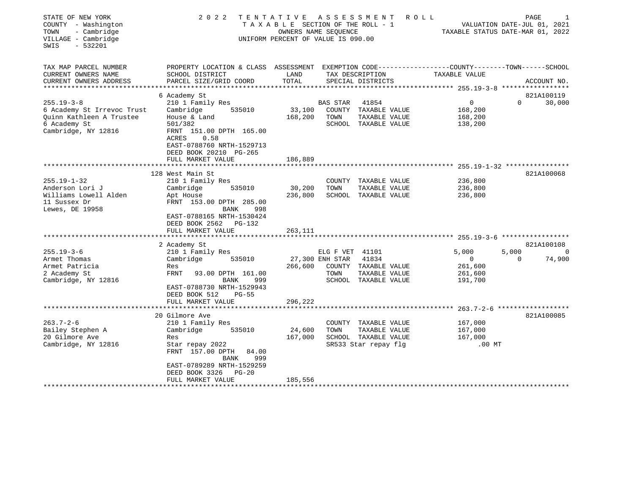| STATE OF NEW YORK<br>COUNTY - Washington<br>- Cambridge<br>TOWN<br>VILLAGE - Cambridge<br>$-532201$<br>SWIS       | 2 0 2 2                                                                                                                                                                                          | TENTATIVE         | ASSESSMENT<br>TAXABLE SECTION OF THE ROLL - 1<br>OWNERS NAME SEOUENCE<br>UNIFORM PERCENT OF VALUE IS 090.00 | ROLL                           | VALUATION DATE-JUL 01, 2021<br>TAXABLE STATUS DATE-MAR 01, 2022 |                   | PAGE        |                    |
|-------------------------------------------------------------------------------------------------------------------|--------------------------------------------------------------------------------------------------------------------------------------------------------------------------------------------------|-------------------|-------------------------------------------------------------------------------------------------------------|--------------------------------|-----------------------------------------------------------------|-------------------|-------------|--------------------|
| TAX MAP PARCEL NUMBER<br>CURRENT OWNERS NAME                                                                      | PROPERTY LOCATION & CLASS ASSESSMENT EXEMPTION CODE----------------COUNTY-------TOWN------SCHOOL<br>SCHOOL DISTRICT                                                                              | LAND<br>TOTAL     | TAX DESCRIPTION                                                                                             |                                | TAXABLE VALUE                                                   |                   |             |                    |
| CURRENT OWNERS ADDRESS<br>*************************                                                               | PARCEL SIZE/GRID COORD                                                                                                                                                                           |                   | SPECIAL DISTRICTS                                                                                           |                                |                                                                 |                   | ACCOUNT NO. |                    |
|                                                                                                                   | 6 Academy St                                                                                                                                                                                     |                   |                                                                                                             |                                |                                                                 |                   | 821A100119  |                    |
| $255.19 - 3 - 8$<br>6 Academy St Irrevoc Trust<br>Quinn Kathleen A Trustee<br>6 Academy St<br>Cambridge, NY 12816 | 210 1 Family Res<br>Cambridge<br>535010<br>House & Land<br>501/382<br>FRNT 151.00 DPTH 165.00<br>ACRES<br>0.58<br>EAST-0788760 NRTH-1529713<br>DEED BOOK 20210 PG-265                            | 33,100<br>168,200 | BAS STAR<br>41854<br>COUNTY<br>TOWN<br>SCHOOL TAXABLE VALUE                                                 | TAXABLE VALUE<br>TAXABLE VALUE | $\mathbf 0$<br>168,200<br>168,200<br>138,200                    | $\Omega$          |             | 30,000             |
|                                                                                                                   | FULL MARKET VALUE                                                                                                                                                                                | 186,889           |                                                                                                             |                                |                                                                 |                   |             |                    |
|                                                                                                                   | **********************                                                                                                                                                                           |                   |                                                                                                             |                                |                                                                 |                   |             |                    |
| $255.19 - 1 - 32$<br>Anderson Lori J<br>Williams Lowell Alden<br>11 Sussex Dr<br>Lewes, DE 19958                  | 128 West Main St<br>210 1 Family Res<br>Cambridge<br>535010<br>Apt House<br>FRNT 153.00 DPTH 285.00<br><b>BANK</b><br>998<br>EAST-0788165 NRTH-1530424<br>DEED BOOK 2562 PG-132                  | 30,200<br>236,800 | COUNTY TAXABLE VALUE<br>TOWN<br>SCHOOL TAXABLE VALUE                                                        | TAXABLE VALUE                  | 236,800<br>236,800<br>236,800                                   |                   | 821A100068  |                    |
|                                                                                                                   | FULL MARKET VALUE                                                                                                                                                                                | 263,111           |                                                                                                             |                                |                                                                 |                   |             |                    |
| $255.19 - 3 - 6$<br>Armet Thomas<br>Armet Patricia<br>2 Academy St<br>Cambridge, NY 12816                         | 2 Academy St<br>210 1 Family Res<br>Cambridge<br>535010<br>Res<br><b>FRNT</b><br>93.00 DPTH 161.00<br><b>BANK</b><br>999<br>EAST-0788730 NRTH-1529943<br>DEED BOOK 512<br>$PG-55$                | 266,600           | ELG F VET 41101<br>27,300 ENH STAR<br>41834<br>COUNTY TAXABLE VALUE<br>TOWN<br>SCHOOL TAXABLE VALUE         | TAXABLE VALUE                  | 5.000<br>$\mathbf 0$<br>261,600<br>261,600<br>191,700           | 5,000<br>$\Omega$ | 821A100108  | $\Omega$<br>74,900 |
|                                                                                                                   | FULL MARKET VALUE                                                                                                                                                                                | 296,222           |                                                                                                             |                                |                                                                 |                   |             |                    |
| $263.7 - 2 - 6$<br>Bailey Stephen A<br>20 Gilmore Ave<br>Cambridge, NY 12816                                      | 20 Gilmore Ave<br>210 1 Family Res<br>Cambridge<br>535010<br>Res<br>Star repay 2022<br>FRNT 157.00 DPTH<br>84.00<br>999<br><b>BANK</b><br>EAST-0789289 NRTH-1529259<br>DEED BOOK 3326<br>$PG-20$ | 24,600<br>167,000 | COUNTY TAXABLE VALUE<br>TOWN<br>SCHOOL TAXABLE VALUE<br>SR533 Star repay flg                                | TAXABLE VALUE                  | 167,000<br>167,000<br>167,000<br>$.00$ MT                       |                   | 821A100085  |                    |
|                                                                                                                   | FULL MARKET VALUE                                                                                                                                                                                | 185,556           |                                                                                                             |                                |                                                                 |                   |             |                    |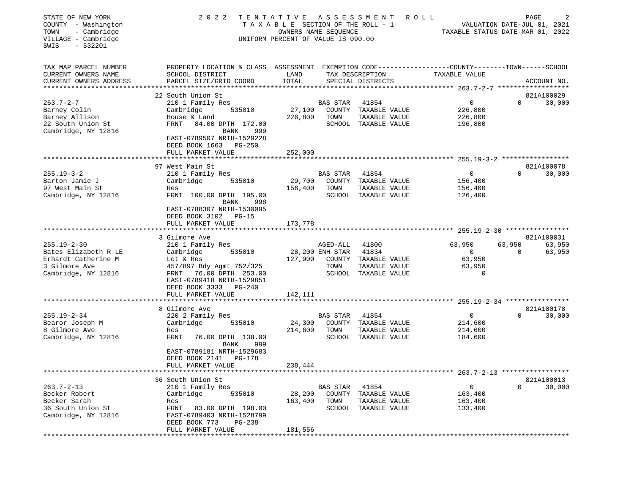| STATE OF NEW YORK<br>COUNTY - Washington<br>- Cambridge<br>TOWN<br>VILLAGE - Cambridge<br>$-532201$<br>SWIS | 2 0 2 2                                                                                                                                                                           | T A X A B L E SECTION OF THE ROLL - 1<br>OWNERS NAME SEQUENCE<br>UNIFORM PERCENT OF VALUE IS 090.00 |                          | TENTATIVE ASSESSMENT ROLL                                                       | TAXABLE STATUS DATE-MAR 01, 2022                          |                    | PAGE<br>2<br>VALUATION DATE-JUL 01, 2021 |
|-------------------------------------------------------------------------------------------------------------|-----------------------------------------------------------------------------------------------------------------------------------------------------------------------------------|-----------------------------------------------------------------------------------------------------|--------------------------|---------------------------------------------------------------------------------|-----------------------------------------------------------|--------------------|------------------------------------------|
| TAX MAP PARCEL NUMBER<br>CURRENT OWNERS NAME<br>CURRENT OWNERS ADDRESS                                      | PROPERTY LOCATION & CLASS ASSESSMENT EXEMPTION CODE----------------COUNTY-------TOWN-----SCHOOL<br>SCHOOL DISTRICT<br>PARCEL SIZE/GRID COORD                                      | LAND<br>TOTAL                                                                                       |                          | TAX DESCRIPTION<br>SPECIAL DISTRICTS                                            | TAXABLE VALUE                                             |                    | ACCOUNT NO.                              |
|                                                                                                             | 22 South Union St                                                                                                                                                                 |                                                                                                     |                          |                                                                                 |                                                           |                    | 821A100029                               |
| $263.7 - 2 - 7$<br>Barney Colin<br>Barney Allison<br>22 South Union St<br>Cambridge, NY 12816               | 210 1 Family Res<br>535010<br>Cambridge<br>House & Land<br>FRNT<br>84.00 DPTH 172.00<br>BANK<br>999<br>EAST-0789507 NRTH-1529228<br>DEED BOOK 1663 PG-250                         | 27,100                                                                                              | BAS STAR<br>226,800 TOWN | 41854<br>COUNTY TAXABLE VALUE<br>TAXABLE VALUE<br>SCHOOL TAXABLE VALUE          | $\overline{0}$<br>226,800<br>226,800<br>196,800           | $\Omega$           | 30,000                                   |
|                                                                                                             | FULL MARKET VALUE                                                                                                                                                                 | 252,000                                                                                             |                          |                                                                                 |                                                           |                    |                                          |
| $255.19 - 3 - 2$<br>Barton Jamie J<br>97 West Main St<br>Cambridge, NY 12816                                | 97 West Main St<br>210 1 Family Res<br>535010<br>Cambridge<br>Res<br>FRNT 100.00 DPTH 195.00<br>BANK<br>998<br>EAST-0788307 NRTH-1530095<br>DEED BOOK 3102 PG-15                  | 29,700<br>156,400                                                                                   | BAS STAR<br>TOWN         | 41854<br>COUNTY TAXABLE VALUE<br>TAXABLE VALUE<br>SCHOOL TAXABLE VALUE          | $\mathbf 0$<br>156,400<br>156,400<br>126,400              | $\Omega$           | 821A100078<br>30,000                     |
|                                                                                                             | FULL MARKET VALUE                                                                                                                                                                 | 173,778                                                                                             |                          |                                                                                 |                                                           |                    |                                          |
|                                                                                                             |                                                                                                                                                                                   |                                                                                                     |                          |                                                                                 |                                                           |                    |                                          |
| $255.19 - 2 - 30$<br>Bates Elizabeth R LE<br>Erhardt Catherine M<br>3 Gilmore Ave<br>Cambridge, NY 12816    | 3 Gilmore Ave<br>210 1 Family Res<br>535010<br>Cambridge<br>Lot & Res<br>457/897 Bdy Agmt 752/325<br>FRNT 76.00 DPTH 253.00<br>EAST-0789418 NRTH-1529851<br>DEED BOOK 3333 PG-240 | 28,200 ENH STAR<br>127,900                                                                          | AGED-ALL<br>TOWN         | 41800<br>41834<br>COUNTY TAXABLE VALUE<br>TAXABLE VALUE<br>SCHOOL TAXABLE VALUE | 63,950<br>$\mathbf{0}$<br>63,950<br>63,950<br>$\mathbf 0$ | 63,950<br>$\Omega$ | 821A100031<br>63,950<br>63,950           |
|                                                                                                             | FULL MARKET VALUE                                                                                                                                                                 | 142,111                                                                                             |                          |                                                                                 |                                                           |                    |                                          |
| $255.19 - 2 - 34$<br>Bearor Joseph M<br>8 Gilmore Ave<br>Cambridge, NY 12816                                | 8 Gilmore Ave<br>220 2 Family Res<br>Cambridge<br>535010<br>Res<br>FRNT<br>76.00 DPTH 138.00<br><b>BANK</b><br>999<br>EAST-0789181 NRTH-1529683                                   | 24,300<br>214,600                                                                                   | BAS STAR<br>TOWN         | 41854<br>COUNTY TAXABLE VALUE<br>TAXABLE VALUE<br>SCHOOL TAXABLE VALUE          | $\mathbf 0$<br>214,600<br>214,600<br>184,600              | $\Omega$           | 821A100178<br>30,000                     |
|                                                                                                             | DEED BOOK 2141 PG-178<br>FULL MARKET VALUE                                                                                                                                        | 238,444                                                                                             |                          |                                                                                 |                                                           |                    |                                          |
|                                                                                                             |                                                                                                                                                                                   |                                                                                                     |                          |                                                                                 | $263.7 - 2 - 13$ ******************                       |                    |                                          |
| $263.7 - 2 - 13$<br>Becker Robert<br>Becker Sarah<br>36 South Union St<br>Cambridge, NY 12816               | 36 South Union St<br>210 1 Family Res<br>Cambridge<br>535010<br>Res<br>83.00 DPTH 198.00<br>FRNT<br>EAST-0789403 NRTH-1528799<br>DEED BOOK 773<br><b>PG-238</b>                   | 28,200<br>163,400                                                                                   | <b>BAS STAR</b><br>TOWN  | 41854<br>COUNTY TAXABLE VALUE<br>TAXABLE VALUE<br>SCHOOL TAXABLE VALUE          | $\overline{0}$<br>163,400<br>163,400<br>133,400           | $\Omega$           | 821A100013<br>30,000                     |
|                                                                                                             | FULL MARKET VALUE<br>**********************                                                                                                                                       | 181,556                                                                                             |                          |                                                                                 |                                                           |                    |                                          |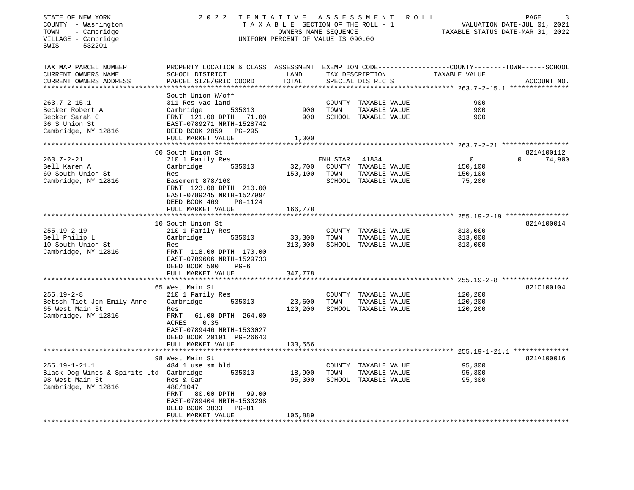| STATE OF NEW YORK<br>COUNTY - Washington<br>- Cambridge<br>TOWN<br>VILLAGE - Cambridge<br>SWIS<br>$-532201$ | 2022                                                                   | TENTATIVE<br>T A X A B L E SECTION OF THE ROLL - 1<br>OWNERS NAME SEOUENCE<br>UNIFORM PERCENT OF VALUE IS 090.00 |          | A S S E S S M E N T                   | R O L L                                                                       | PAGE<br>3<br>VALUATION DATE-JUL 01, 2021<br>TAXABLE STATUS DATE-MAR 01, 2022 |
|-------------------------------------------------------------------------------------------------------------|------------------------------------------------------------------------|------------------------------------------------------------------------------------------------------------------|----------|---------------------------------------|-------------------------------------------------------------------------------|------------------------------------------------------------------------------|
| TAX MAP PARCEL NUMBER<br>CURRENT OWNERS NAME<br>CURRENT OWNERS ADDRESS                                      | PROPERTY LOCATION & CLASS<br>SCHOOL DISTRICT<br>PARCEL SIZE/GRID COORD | ASSESSMENT<br>LAND<br>TOTAL                                                                                      |          | TAX DESCRIPTION<br>SPECIAL DISTRICTS  | EXEMPTION CODE-----------------COUNTY-------TOWN------SCHOOL<br>TAXABLE VALUE | ACCOUNT NO.                                                                  |
| *************************                                                                                   |                                                                        |                                                                                                                  |          |                                       |                                                                               |                                                                              |
|                                                                                                             | South Union W/off                                                      |                                                                                                                  |          |                                       |                                                                               |                                                                              |
| $263.7 - 2 - 15.1$                                                                                          | 311 Res vac land                                                       |                                                                                                                  | COUNTY   | TAXABLE VALUE                         | 900                                                                           |                                                                              |
| Becker Robert A                                                                                             | Cambridge<br>535010                                                    | 900                                                                                                              | TOWN     | TAXABLE VALUE                         | 900                                                                           |                                                                              |
| Becker Sarah C                                                                                              | FRNT 121.00 DPTH<br>71.00                                              | 900                                                                                                              | SCHOOL   | TAXABLE VALUE                         | 900                                                                           |                                                                              |
| 36 S Union St                                                                                               | EAST-0789271 NRTH-1528742                                              |                                                                                                                  |          |                                       |                                                                               |                                                                              |
| Cambridge, NY 12816                                                                                         | DEED BOOK 2059 PG-295                                                  |                                                                                                                  |          |                                       |                                                                               |                                                                              |
|                                                                                                             | FULL MARKET VALUE<br>******************                                | 1,000                                                                                                            |          |                                       |                                                                               |                                                                              |
|                                                                                                             | 60 South Union St                                                      |                                                                                                                  |          |                                       |                                                                               | 821A100112                                                                   |
| $263.7 - 2 - 21$                                                                                            | 210 1 Family Res                                                       |                                                                                                                  | ENH STAR | 41834                                 | 0                                                                             | $\mathbf 0$<br>74,900                                                        |
| Bell Karen A                                                                                                | Cambridge<br>535010                                                    | 32,700                                                                                                           |          | COUNTY TAXABLE VALUE                  | 150,100                                                                       |                                                                              |
| 60 South Union St                                                                                           | Res                                                                    | 150,100                                                                                                          | TOWN     | TAXABLE VALUE                         | 150,100                                                                       |                                                                              |
| Cambridge, NY 12816                                                                                         | Easement 878/160                                                       |                                                                                                                  |          | SCHOOL TAXABLE VALUE                  | 75,200                                                                        |                                                                              |
|                                                                                                             | FRNT 123.00 DPTH 210.00<br>EAST-0789245 NRTH-1527994                   |                                                                                                                  |          |                                       |                                                                               |                                                                              |
|                                                                                                             | DEED BOOK 469<br>PG-1124                                               |                                                                                                                  |          |                                       |                                                                               |                                                                              |
|                                                                                                             | FULL MARKET VALUE                                                      | 166,778                                                                                                          |          |                                       |                                                                               |                                                                              |
|                                                                                                             | ******************                                                     | * * * * * * * * * * *                                                                                            |          |                                       | ********************** 255.19-2-19 *****************                          |                                                                              |
|                                                                                                             | 10 South Union St                                                      |                                                                                                                  |          |                                       |                                                                               | 821A100014                                                                   |
| $255.19 - 2 - 19$                                                                                           | 210 1 Family Res                                                       |                                                                                                                  | COUNTY   | TAXABLE VALUE                         | 313,000                                                                       |                                                                              |
| Bell Philip L                                                                                               | Cambridge<br>535010                                                    | 30,300                                                                                                           | TOWN     | TAXABLE VALUE                         | 313,000                                                                       |                                                                              |
| 10 South Union St                                                                                           | Res                                                                    | 313,000                                                                                                          |          | SCHOOL TAXABLE VALUE                  | 313,000                                                                       |                                                                              |
| Cambridge, NY 12816                                                                                         | FRNT 118.00 DPTH 170.00<br>EAST-0789606 NRTH-1529733                   |                                                                                                                  |          |                                       |                                                                               |                                                                              |
|                                                                                                             | DEED BOOK 500<br>$PG-6$                                                |                                                                                                                  |          |                                       |                                                                               |                                                                              |
|                                                                                                             | FULL MARKET VALUE                                                      | 347,778                                                                                                          |          |                                       |                                                                               |                                                                              |
|                                                                                                             |                                                                        |                                                                                                                  |          |                                       |                                                                               |                                                                              |
|                                                                                                             | 65 West Main St                                                        |                                                                                                                  |          |                                       |                                                                               | 821C100104                                                                   |
| $255.19 - 2 - 8$                                                                                            | 210 1 Family Res                                                       |                                                                                                                  |          | COUNTY TAXABLE VALUE                  | 120,200<br>120,200                                                            |                                                                              |
| Betsch-Tiet Jen Emily Anne<br>65 West Main St                                                               | Cambridge<br>535010<br>Res                                             | 23,600<br>120,200                                                                                                | TOWN     | TAXABLE VALUE<br>SCHOOL TAXABLE VALUE | 120,200                                                                       |                                                                              |
| Cambridge, NY 12816                                                                                         | FRNT<br>61.00 DPTH 264.00                                              |                                                                                                                  |          |                                       |                                                                               |                                                                              |
|                                                                                                             | ACRES<br>0.35                                                          |                                                                                                                  |          |                                       |                                                                               |                                                                              |
|                                                                                                             | EAST-0789446 NRTH-1530027                                              |                                                                                                                  |          |                                       |                                                                               |                                                                              |
|                                                                                                             | DEED BOOK 20191 PG-26643                                               |                                                                                                                  |          |                                       |                                                                               |                                                                              |
|                                                                                                             | FULL MARKET VALUE                                                      | 133,556                                                                                                          |          |                                       |                                                                               |                                                                              |
|                                                                                                             |                                                                        |                                                                                                                  |          |                                       |                                                                               | $255.19 - 1 - 21.1$ ***************                                          |
|                                                                                                             | 98 West Main St                                                        |                                                                                                                  |          |                                       |                                                                               | 821A100016                                                                   |
| $255.19 - 1 - 21.1$                                                                                         | 484 1 use sm bld                                                       |                                                                                                                  | COUNTY   | TAXABLE VALUE                         | 95,300                                                                        |                                                                              |
| Black Dog Wines & Spirits Ltd Cambridge                                                                     | 535010                                                                 | 18,900                                                                                                           | TOWN     | TAXABLE VALUE                         | 95,300                                                                        |                                                                              |
| 98 West Main St                                                                                             | Res & Gar                                                              | 95,300                                                                                                           |          | SCHOOL TAXABLE VALUE                  | 95,300                                                                        |                                                                              |
| Cambridge, NY 12816                                                                                         | 480/1047                                                               |                                                                                                                  |          |                                       |                                                                               |                                                                              |
|                                                                                                             | FRNT<br>80.00 DPTH<br>99.00                                            |                                                                                                                  |          |                                       |                                                                               |                                                                              |
|                                                                                                             | EAST-0789404 NRTH-1530298                                              |                                                                                                                  |          |                                       |                                                                               |                                                                              |
|                                                                                                             | DEED BOOK 3833<br>$PG-81$                                              |                                                                                                                  |          |                                       |                                                                               |                                                                              |
|                                                                                                             | FULL MARKET VALUE                                                      | 105,889                                                                                                          |          |                                       |                                                                               |                                                                              |
|                                                                                                             |                                                                        |                                                                                                                  |          |                                       |                                                                               |                                                                              |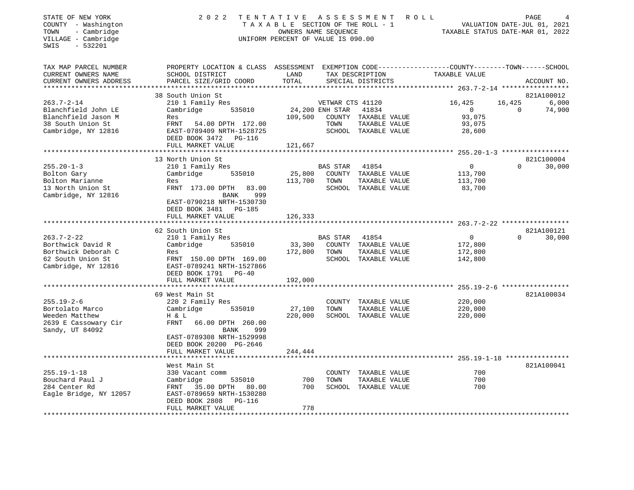| STATE OF NEW YORK<br>COUNTY - Washington<br>- Cambridge<br>TOWN<br>VILLAGE - Cambridge<br>SWIS<br>$-532201$ | 2 0 2 2                                                                                                                                      | TENTATIVE<br>TAXABLE SECTION OF THE ROLL - 1<br>OWNERS NAME SEQUENCE<br>UNIFORM PERCENT OF VALUE IS 090.00 |                                     | A S S E S S M E N T<br><b>ROLL</b>   | TAXABLE STATUS DATE-MAR 01, 2022            | VALUATION DATE-JUL 01, 2021 | PAGE                |
|-------------------------------------------------------------------------------------------------------------|----------------------------------------------------------------------------------------------------------------------------------------------|------------------------------------------------------------------------------------------------------------|-------------------------------------|--------------------------------------|---------------------------------------------|-----------------------------|---------------------|
| TAX MAP PARCEL NUMBER<br>CURRENT OWNERS NAME<br>CURRENT OWNERS ADDRESS                                      | PROPERTY LOCATION & CLASS ASSESSMENT EXEMPTION CODE----------------COUNTY-------TOWN-----SCHOOL<br>SCHOOL DISTRICT<br>PARCEL SIZE/GRID COORD | LAND<br>TOTAL                                                                                              |                                     | TAX DESCRIPTION<br>SPECIAL DISTRICTS | TAXABLE VALUE                               |                             | ACCOUNT NO.         |
|                                                                                                             |                                                                                                                                              |                                                                                                            |                                     |                                      |                                             |                             |                     |
| $263.7 - 2 - 14$                                                                                            | 38 South Union St<br>210 1 Family Res                                                                                                        |                                                                                                            |                                     |                                      | 16,425                                      | 16,425                      | 821A100012<br>6,000 |
| Blanchfield John LE                                                                                         | Cambridge<br>535010                                                                                                                          |                                                                                                            | VETWAR CTS 41120<br>24,200 ENH STAR | 41834                                | $\Omega$                                    | $\Omega$                    | 74,900              |
| Blanchfield Jason M                                                                                         | Res                                                                                                                                          | 109,500                                                                                                    |                                     | COUNTY TAXABLE VALUE                 | 93,075                                      |                             |                     |
| 38 South Union St                                                                                           | FRNT<br>54.00 DPTH 172.00                                                                                                                    |                                                                                                            | TOWN                                | TAXABLE VALUE                        | 93,075                                      |                             |                     |
| Cambridge, NY 12816                                                                                         | EAST-0789409 NRTH-1528725                                                                                                                    |                                                                                                            |                                     | SCHOOL TAXABLE VALUE                 | 28,600                                      |                             |                     |
|                                                                                                             | DEED BOOK 3472 PG-116                                                                                                                        |                                                                                                            |                                     |                                      |                                             |                             |                     |
|                                                                                                             | FULL MARKET VALUE                                                                                                                            | 121,667                                                                                                    |                                     |                                      |                                             |                             |                     |
|                                                                                                             | 13 North Union St                                                                                                                            |                                                                                                            |                                     |                                      |                                             |                             | 821C100004          |
| $255.20 - 1 - 3$                                                                                            | 210 1 Family Res                                                                                                                             |                                                                                                            | BAS STAR                            | 41854                                | $\overline{0}$                              | $\Omega$                    | 30,000              |
| Bolton Gary                                                                                                 | Cambridge<br>535010                                                                                                                          | 25,800                                                                                                     |                                     | COUNTY TAXABLE VALUE                 | 113,700                                     |                             |                     |
| Bolton Marianne                                                                                             | Res                                                                                                                                          | 113,700                                                                                                    | TOWN                                | TAXABLE VALUE                        | 113,700                                     |                             |                     |
| 13 North Union St                                                                                           | FRNT 173.00 DPTH 83.00                                                                                                                       |                                                                                                            |                                     | SCHOOL TAXABLE VALUE                 | 83,700                                      |                             |                     |
| Cambridge, NY 12816                                                                                         | 999<br>BANK                                                                                                                                  |                                                                                                            |                                     |                                      |                                             |                             |                     |
|                                                                                                             | EAST-0790218 NRTH-1530730<br>DEED BOOK 3481 PG-185                                                                                           |                                                                                                            |                                     |                                      |                                             |                             |                     |
|                                                                                                             | FULL MARKET VALUE                                                                                                                            | 126,333                                                                                                    |                                     |                                      |                                             |                             |                     |
|                                                                                                             | 62 South Union St                                                                                                                            |                                                                                                            |                                     |                                      |                                             |                             | 821A100121          |
| $263.7 - 2 - 22$                                                                                            | 210 1 Family Res                                                                                                                             |                                                                                                            | BAS STAR                            | 41854                                | $\overline{0}$                              | $\Omega$                    | 30,000              |
| Borthwick David R                                                                                           | 535010<br>Cambridge                                                                                                                          | 33,300                                                                                                     |                                     | COUNTY TAXABLE VALUE                 | 172,800                                     |                             |                     |
| Borthwick Deborah C                                                                                         | Res                                                                                                                                          | 172,800                                                                                                    | TOWN                                | TAXABLE VALUE                        | 172,800                                     |                             |                     |
| 62 South Union St                                                                                           | FRNT 150.00 DPTH 169.00                                                                                                                      |                                                                                                            |                                     | SCHOOL TAXABLE VALUE                 | 142,800                                     |                             |                     |
| Cambridge, NY 12816                                                                                         | EAST-0789241 NRTH-1527866                                                                                                                    |                                                                                                            |                                     |                                      |                                             |                             |                     |
|                                                                                                             | DEED BOOK 1791 PG-40                                                                                                                         |                                                                                                            |                                     |                                      |                                             |                             |                     |
|                                                                                                             | FULL MARKET VALUE                                                                                                                            | 192,000                                                                                                    |                                     |                                      |                                             |                             |                     |
|                                                                                                             | 69 West Main St                                                                                                                              |                                                                                                            |                                     |                                      |                                             |                             | 821A100034          |
| $255.19 - 2 - 6$                                                                                            | 220 2 Family Res                                                                                                                             |                                                                                                            |                                     | COUNTY TAXABLE VALUE                 | 220,000                                     |                             |                     |
| Bortolato Marco                                                                                             | Cambridge<br>535010                                                                                                                          | 27,100                                                                                                     | TOWN                                | TAXABLE VALUE                        | 220,000                                     |                             |                     |
| Weeden Matthew                                                                                              | H & L                                                                                                                                        | 220,000                                                                                                    |                                     | SCHOOL TAXABLE VALUE                 | 220,000                                     |                             |                     |
| 2639 E Cassowary Cir                                                                                        | FRNT<br>66.00 DPTH 260.00                                                                                                                    |                                                                                                            |                                     |                                      |                                             |                             |                     |
| Sandy, UT 84092                                                                                             | BANK<br>999                                                                                                                                  |                                                                                                            |                                     |                                      |                                             |                             |                     |
|                                                                                                             | EAST-0789308 NRTH-1529998<br>DEED BOOK 20200 PG-2646                                                                                         |                                                                                                            |                                     |                                      |                                             |                             |                     |
|                                                                                                             | FULL MARKET VALUE                                                                                                                            | 244,444                                                                                                    |                                     |                                      |                                             |                             |                     |
|                                                                                                             |                                                                                                                                              |                                                                                                            |                                     |                                      | **************** 255.19-1-18 ************** |                             |                     |
|                                                                                                             | West Main St                                                                                                                                 |                                                                                                            |                                     |                                      |                                             |                             | 821A100041          |
| $255.19 - 1 - 18$                                                                                           | 330 Vacant comm                                                                                                                              |                                                                                                            |                                     | COUNTY TAXABLE VALUE                 | 700                                         |                             |                     |
| Bouchard Paul J                                                                                             | Cambridge<br>535010                                                                                                                          | 700                                                                                                        | TOWN                                | TAXABLE VALUE                        | 700                                         |                             |                     |
| 284 Center Rd                                                                                               | FRNT 35.00 DPTH 80.00                                                                                                                        | 700                                                                                                        |                                     | SCHOOL TAXABLE VALUE                 | 700                                         |                             |                     |
| Eagle Bridge, NY 12057                                                                                      | EAST-0789659 NRTH-1530280                                                                                                                    |                                                                                                            |                                     |                                      |                                             |                             |                     |
|                                                                                                             | DEED BOOK 2808 PG-116<br>FULL MARKET VALUE                                                                                                   | 778                                                                                                        |                                     |                                      |                                             |                             |                     |
| *******************                                                                                         |                                                                                                                                              |                                                                                                            |                                     |                                      |                                             |                             |                     |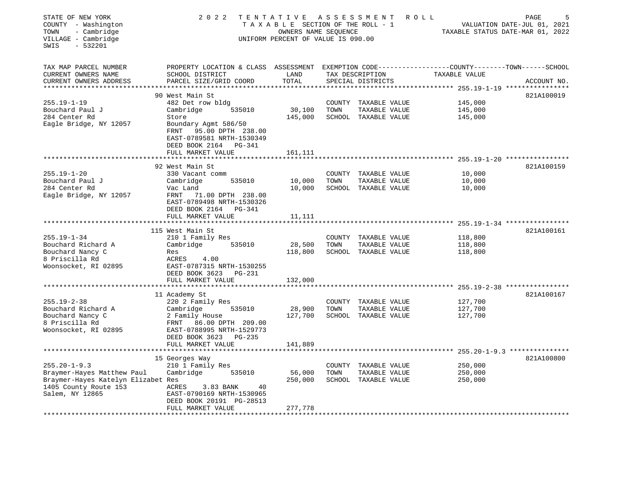| STATE OF NEW YORK<br>COUNTY - Washington<br>- Cambridge<br>TOWN<br>VILLAGE - Cambridge<br>$-532201$<br>SWIS | 2 0 2 2                                                                                                                                      | TENTATIVE<br>TAXABLE SECTION OF THE ROLL - 1<br>OWNERS NAME SEQUENCE<br>UNIFORM PERCENT OF VALUE IS 090.00 |      | A S S E S S M E N T                  | ROLL                                                       | PAGE<br>5<br>VALUATION DATE-JUL 01, 2021<br>TAXABLE STATUS DATE-MAR 01, 2022 |
|-------------------------------------------------------------------------------------------------------------|----------------------------------------------------------------------------------------------------------------------------------------------|------------------------------------------------------------------------------------------------------------|------|--------------------------------------|------------------------------------------------------------|------------------------------------------------------------------------------|
| TAX MAP PARCEL NUMBER<br>CURRENT OWNERS NAME<br>CURRENT OWNERS ADDRESS                                      | PROPERTY LOCATION & CLASS ASSESSMENT EXEMPTION CODE---------------COUNTY-------TOWN------SCHOOL<br>SCHOOL DISTRICT<br>PARCEL SIZE/GRID COORD | LAND<br>TOTAL                                                                                              |      | TAX DESCRIPTION<br>SPECIAL DISTRICTS | TAXABLE VALUE                                              | ACCOUNT NO.                                                                  |
| **********************                                                                                      |                                                                                                                                              | ************                                                                                               |      |                                      | ********************* 255.19-1-19 *****************        |                                                                              |
|                                                                                                             | 90 West Main St                                                                                                                              |                                                                                                            |      |                                      |                                                            | 821A100019                                                                   |
| $255.19 - 1 - 19$                                                                                           | 482 Det row bldg                                                                                                                             |                                                                                                            |      | COUNTY TAXABLE VALUE                 | 145,000                                                    |                                                                              |
| Bouchard Paul J                                                                                             | Cambridge<br>535010                                                                                                                          | 30,100                                                                                                     | TOWN | TAXABLE VALUE                        | 145,000                                                    |                                                                              |
| 284 Center Rd                                                                                               | Store                                                                                                                                        | 145,000                                                                                                    |      | SCHOOL TAXABLE VALUE                 | 145,000                                                    |                                                                              |
| Eagle Bridge, NY 12057                                                                                      | Boundary Agmt 586/50<br>95.00 DPTH 238.00<br>FRNT<br>EAST-0789581 NRTH-1530349<br>DEED BOOK 2164 PG-341                                      |                                                                                                            |      |                                      |                                                            |                                                                              |
|                                                                                                             | FULL MARKET VALUE                                                                                                                            | 161,111                                                                                                    |      |                                      | ************************** 255.19-1-20 *****************   |                                                                              |
|                                                                                                             | 92 West Main St                                                                                                                              |                                                                                                            |      |                                      |                                                            | 821A100159                                                                   |
| $255.19 - 1 - 20$                                                                                           | 330 Vacant comm                                                                                                                              |                                                                                                            |      | COUNTY TAXABLE VALUE                 | 10,000                                                     |                                                                              |
| Bouchard Paul J                                                                                             | Cambridge<br>535010                                                                                                                          | 10,000                                                                                                     | TOWN | TAXABLE VALUE                        | 10,000                                                     |                                                                              |
| 284 Center Rd                                                                                               | Vac Land                                                                                                                                     | 10,000                                                                                                     |      | SCHOOL TAXABLE VALUE                 | 10,000                                                     |                                                                              |
| Eagle Bridge, NY 12057                                                                                      | FRNT<br>71.00 DPTH 238.00<br>EAST-0789498 NRTH-1530326<br>DEED BOOK 2164 PG-341                                                              |                                                                                                            |      |                                      |                                                            |                                                                              |
|                                                                                                             | FULL MARKET VALUE                                                                                                                            | 11,111                                                                                                     |      |                                      |                                                            |                                                                              |
|                                                                                                             | 115 West Main St                                                                                                                             |                                                                                                            |      |                                      |                                                            | 821A100161                                                                   |
| $255.19 - 1 - 34$                                                                                           | 210 1 Family Res                                                                                                                             |                                                                                                            |      | COUNTY TAXABLE VALUE                 | 118,800                                                    |                                                                              |
| Bouchard Richard A                                                                                          | 535010<br>Cambridge                                                                                                                          | 28,500                                                                                                     | TOWN | TAXABLE VALUE                        | 118,800                                                    |                                                                              |
| Bouchard Nancy C                                                                                            | Res                                                                                                                                          | 118,800                                                                                                    |      | SCHOOL TAXABLE VALUE                 | 118,800                                                    |                                                                              |
| 8 Priscilla Rd                                                                                              | ACRES<br>4.00                                                                                                                                |                                                                                                            |      |                                      |                                                            |                                                                              |
| Woonsocket, RI 02895                                                                                        | EAST-0787315 NRTH-1530255<br>DEED BOOK 3623 PG-231                                                                                           |                                                                                                            |      |                                      |                                                            |                                                                              |
|                                                                                                             | FULL MARKET VALUE                                                                                                                            | 132,000                                                                                                    |      |                                      |                                                            |                                                                              |
|                                                                                                             |                                                                                                                                              |                                                                                                            |      |                                      |                                                            |                                                                              |
|                                                                                                             | 11 Academy St                                                                                                                                |                                                                                                            |      |                                      |                                                            | 821A100167                                                                   |
| $255.19 - 2 - 38$                                                                                           | 220 2 Family Res                                                                                                                             |                                                                                                            |      | COUNTY TAXABLE VALUE                 | 127,700                                                    |                                                                              |
| Bouchard Richard A                                                                                          | Cambridge<br>535010                                                                                                                          | 28,900                                                                                                     | TOWN | TAXABLE VALUE                        | 127,700                                                    |                                                                              |
| Bouchard Nancy C                                                                                            | 2 Family House                                                                                                                               | 127,700                                                                                                    |      | SCHOOL TAXABLE VALUE                 | 127,700                                                    |                                                                              |
| 8 Priscilla Rd                                                                                              | 86.00 DPTH 209.00<br>FRNT                                                                                                                    |                                                                                                            |      |                                      |                                                            |                                                                              |
| Woonsocket, RI 02895                                                                                        | EAST-0788995 NRTH-1529773                                                                                                                    |                                                                                                            |      |                                      |                                                            |                                                                              |
|                                                                                                             | DEED BOOK 3623 PG-235<br>FULL MARKET VALUE                                                                                                   | 141,889                                                                                                    |      |                                      |                                                            |                                                                              |
|                                                                                                             |                                                                                                                                              |                                                                                                            |      |                                      | ***************************** 255.20-1-9.3 *************** |                                                                              |
|                                                                                                             | 15 Georges Way                                                                                                                               |                                                                                                            |      |                                      |                                                            | 821A100800                                                                   |
| $255.20 - 1 - 9.3$                                                                                          | 210 1 Family Res                                                                                                                             |                                                                                                            |      | COUNTY TAXABLE VALUE                 | 250,000                                                    |                                                                              |
| Braymer-Hayes Matthew Paul                                                                                  | Cambridge<br>535010                                                                                                                          | 56,000                                                                                                     | TOWN | TAXABLE VALUE                        | 250,000                                                    |                                                                              |
| Braymer-Hayes Katelyn Elizabet Res                                                                          |                                                                                                                                              | 250,000                                                                                                    |      | SCHOOL TAXABLE VALUE                 | 250,000                                                    |                                                                              |
| 1405 County Route 153                                                                                       | ACRES<br>3.83 BANK                                                                                                                           | 40                                                                                                         |      |                                      |                                                            |                                                                              |
| Salem, NY 12865                                                                                             | EAST-0790169 NRTH-1530965                                                                                                                    |                                                                                                            |      |                                      |                                                            |                                                                              |
|                                                                                                             | DEED BOOK 20191 PG-28513                                                                                                                     |                                                                                                            |      |                                      |                                                            |                                                                              |
|                                                                                                             | FULL MARKET VALUE                                                                                                                            | 277,778                                                                                                    |      |                                      |                                                            |                                                                              |
|                                                                                                             |                                                                                                                                              |                                                                                                            |      |                                      |                                                            |                                                                              |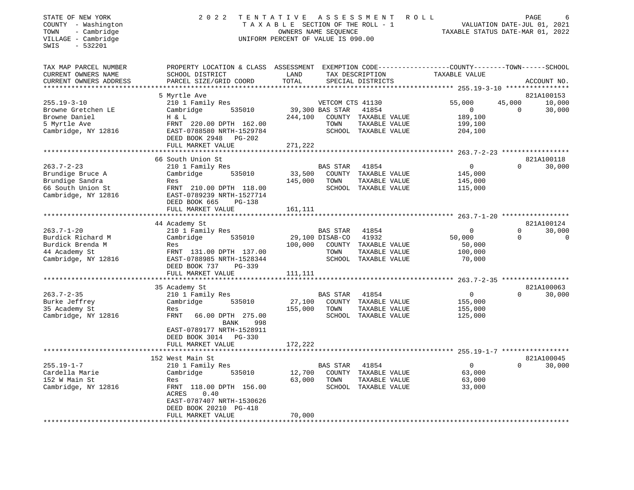| STATE OF NEW YORK<br>COUNTY - Washington<br>- Cambridge<br>TOWN<br>VILLAGE - Cambridge<br>$-532201$<br>SWIS | 2 0 2 2                                                                                                                                                                  | A S S E S S M E N T<br>TENTATIVE<br>TAXABLE SECTION OF THE ROLL - 1<br>OWNERS NAME SEQUENCE<br>UNIFORM PERCENT OF VALUE IS 090.00 | R O L L                                                                                                                | PAGE<br>VALUATION DATE-JUL 01, 2021<br>TAXABLE STATUS DATE-MAR 01, 2022 |                                                     |
|-------------------------------------------------------------------------------------------------------------|--------------------------------------------------------------------------------------------------------------------------------------------------------------------------|-----------------------------------------------------------------------------------------------------------------------------------|------------------------------------------------------------------------------------------------------------------------|-------------------------------------------------------------------------|-----------------------------------------------------|
| TAX MAP PARCEL NUMBER<br>CURRENT OWNERS NAME<br>CURRENT OWNERS ADDRESS<br>*********************             | PROPERTY LOCATION & CLASS ASSESSMENT EXEMPTION CODE---------------COUNTY-------TOWN------SCHOOL<br>SCHOOL DISTRICT<br>PARCEL SIZE/GRID COORD<br>************************ | LAND<br>TOTAL                                                                                                                     | TAX DESCRIPTION<br>SPECIAL DISTRICTS                                                                                   | TAXABLE VALUE                                                           | ACCOUNT NO.                                         |
|                                                                                                             | 5 Myrtle Ave                                                                                                                                                             |                                                                                                                                   |                                                                                                                        |                                                                         | 821A100153                                          |
| $255.19 - 3 - 10$<br>Browne Gretchen LE<br>Browne Daniel<br>5 Myrtle Ave<br>Cambridge, NY 12816             | 210 1 Family Res<br>535010<br>Cambridge<br>H & L<br>FRNT 220.00 DPTH 162.00<br>EAST-0788580 NRTH-1529784<br>DEED BOOK 2948<br>PG-202                                     | 244,100                                                                                                                           | VETCOM CTS 41130<br>39,300 BAS STAR<br>41854<br>COUNTY TAXABLE VALUE<br>TOWN<br>TAXABLE VALUE<br>SCHOOL TAXABLE VALUE  | 55,000<br>$\mathbf{0}$<br>189,100<br>199,100<br>204,100                 | 45,000<br>10,000<br>$\Omega$<br>30,000              |
|                                                                                                             | FULL MARKET VALUE                                                                                                                                                        | 271,222                                                                                                                           |                                                                                                                        |                                                                         |                                                     |
|                                                                                                             | 66 South Union St                                                                                                                                                        |                                                                                                                                   |                                                                                                                        |                                                                         | 821A100118                                          |
| $263.7 - 2 - 23$<br>Brundige Bruce A<br>Brundige Sandra<br>66 South Union St<br>Cambridge, NY 12816         | 210 1 Family Res<br>535010<br>Cambridge<br>Res<br>FRNT 210.00 DPTH 118.00<br>EAST-0789239 NRTH-1527714<br>DEED BOOK 665<br><b>PG-138</b>                                 | 33,500<br>145,000                                                                                                                 | BAS STAR<br>41854<br>COUNTY TAXABLE VALUE<br>TOWN<br>TAXABLE VALUE<br>SCHOOL TAXABLE VALUE                             | $\mathbf 0$<br>145,000<br>145,000<br>115,000                            | 30,000<br>$\Omega$                                  |
|                                                                                                             | FULL MARKET VALUE                                                                                                                                                        | 161,111                                                                                                                           |                                                                                                                        |                                                                         |                                                     |
|                                                                                                             | 44 Academy St                                                                                                                                                            |                                                                                                                                   |                                                                                                                        |                                                                         | 821A100124                                          |
| $263.7 - 1 - 20$<br>Burdick Richard M<br>Burdick Brenda M<br>44 Academy St<br>Cambridge, NY 12816           | 210 1 Family Res<br>535010<br>Cambridge<br>Res<br>FRNT 131.00 DPTH 137.00<br>EAST-0788985 NRTH-1528344<br>DEED BOOK 737<br>PG-339<br>FULL MARKET VALUE                   | 100,000<br>111,111                                                                                                                | BAS STAR<br>41854<br>29,100 DISAB-CO<br>41932<br>COUNTY TAXABLE VALUE<br>TOWN<br>TAXABLE VALUE<br>SCHOOL TAXABLE VALUE | $\Omega$<br>50,000<br>50,000<br>100,000<br>70,000                       | $\mathbf 0$<br>30,000<br>$\mathbf 0$<br>$\mathbf 0$ |
|                                                                                                             |                                                                                                                                                                          |                                                                                                                                   |                                                                                                                        |                                                                         |                                                     |
| $263.7 - 2 - 35$<br>Burke Jeffrey<br>35 Academy St<br>Cambridge, NY 12816                                   | 35 Academy St<br>210 1 Family Res<br>Cambridge<br>535010<br>Res<br>FRNT<br>66.00 DPTH 275.00<br>BANK<br>998<br>EAST-0789177 NRTH-1528911                                 | 27,100<br>155,000                                                                                                                 | BAS STAR<br>41854<br>COUNTY TAXABLE VALUE<br>TOWN<br>TAXABLE VALUE<br>SCHOOL TAXABLE VALUE                             | $\Omega$<br>155,000<br>155,000<br>125,000                               | 821A100063<br>$\Omega$<br>30,000                    |
|                                                                                                             | DEED BOOK 3014 PG-330<br>FULL MARKET VALUE<br>*******************************                                                                                            | 172,222                                                                                                                           |                                                                                                                        |                                                                         |                                                     |
|                                                                                                             | 152 West Main St                                                                                                                                                         |                                                                                                                                   |                                                                                                                        |                                                                         | 821A100045                                          |
| $255.19 - 1 - 7$<br>Cardella Marie<br>152 W Main St<br>Cambridge, NY 12816                                  | 210 1 Family Res<br>Cambridge<br>535010<br>Res<br>FRNT 118.00 DPTH 156.00<br>ACRES<br>0.40<br>EAST-0787407 NRTH-1530626<br>DEED BOOK 20210 PG-418<br>FULL MARKET VALUE   | 12,700<br>63,000<br>70,000                                                                                                        | BAS STAR<br>41854<br>COUNTY TAXABLE VALUE<br>TOWN<br>TAXABLE VALUE<br>SCHOOL TAXABLE VALUE                             | $\overline{0}$<br>63,000<br>63,000<br>33,000                            | $\Omega$<br>30,000                                  |
| ********************                                                                                        |                                                                                                                                                                          |                                                                                                                                   | ***************************                                                                                            |                                                                         |                                                     |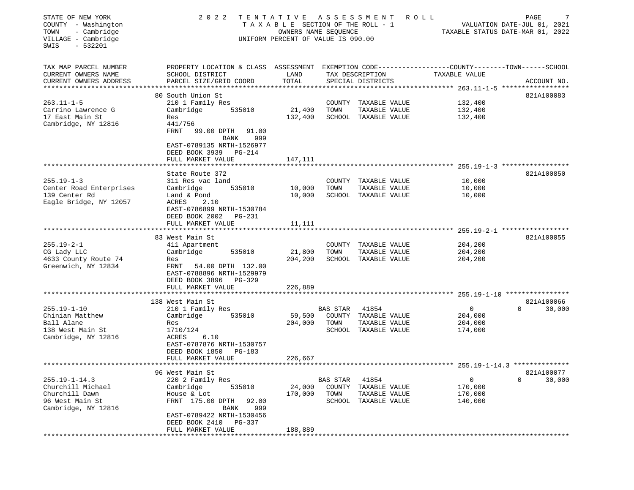| STATE OF NEW YORK<br>COUNTY - Washington<br>- Cambridge<br>TOWN<br>VILLAGE - Cambridge<br>$-532201$<br>SWIS | 2 0 2 2                                                                                                                                                                               | TENTATIVE ASSESSMENT<br>TAXABLE SECTION OF THE ROLL - 1<br>OWNERS NAME SEQUENCE<br>UNIFORM PERCENT OF VALUE IS 090.00 |                                             | R O L L                                                         | TAXABLE STATUS DATE-MAR 01, 2022                         | 7<br>PAGE<br>VALUATION DATE-JUL 01, 2021 |
|-------------------------------------------------------------------------------------------------------------|---------------------------------------------------------------------------------------------------------------------------------------------------------------------------------------|-----------------------------------------------------------------------------------------------------------------------|---------------------------------------------|-----------------------------------------------------------------|----------------------------------------------------------|------------------------------------------|
| TAX MAP PARCEL NUMBER<br>CURRENT OWNERS NAME<br>CURRENT OWNERS ADDRESS<br>***********************           | PROPERTY LOCATION & CLASS ASSESSMENT EXEMPTION CODE---------------COUNTY-------TOWN------SCHOOL<br>SCHOOL DISTRICT<br>PARCEL SIZE/GRID COORD                                          | LAND<br>TOTAL                                                                                                         |                                             | TAX DESCRIPTION<br>SPECIAL DISTRICTS                            | TAXABLE VALUE                                            | ACCOUNT NO.                              |
|                                                                                                             | 80 South Union St                                                                                                                                                                     |                                                                                                                       |                                             |                                                                 |                                                          | 821A100083                               |
| $263.11 - 1 - 5$<br>Carrino Lawrence G<br>17 East Main St<br>Cambridge, NY 12816                            | 210 1 Family Res<br>Cambridge<br>535010<br>Res<br>441/756<br>99.00 DPTH<br>FRNT<br>91.00<br><b>BANK</b><br>999                                                                        | 21,400<br>132,400                                                                                                     | COUNTY<br>TOWN                              | TAXABLE VALUE<br>TAXABLE VALUE<br>SCHOOL TAXABLE VALUE          | 132,400<br>132,400<br>132,400                            |                                          |
|                                                                                                             | EAST-0789135 NRTH-1526977<br>DEED BOOK 3939<br>PG-214<br>FULL MARKET VALUE                                                                                                            | 147,111                                                                                                               |                                             |                                                                 |                                                          |                                          |
|                                                                                                             | * * * * * * * * * * * * * * * * * *                                                                                                                                                   |                                                                                                                       |                                             |                                                                 |                                                          | $255.19 - 1 - 3$ ******************      |
| $255.19 - 1 - 3$<br>Center Road Enterprises<br>139 Center Rd<br>Eagle Bridge, NY 12057                      | State Route 372<br>311 Res vac land<br>Cambridge<br>535010<br>Land & Pond<br>2.10<br>ACRES<br>EAST-0786899 NRTH-1530784                                                               | 10,000<br>10,000                                                                                                      | COUNTY<br>TOWN                              | TAXABLE VALUE<br>TAXABLE VALUE<br>SCHOOL TAXABLE VALUE          | 10,000<br>10,000<br>10,000                               | 821A100850                               |
|                                                                                                             | DEED BOOK 2002<br><b>PG-231</b><br>FULL MARKET VALUE                                                                                                                                  | 11,111                                                                                                                |                                             |                                                                 |                                                          |                                          |
|                                                                                                             |                                                                                                                                                                                       |                                                                                                                       |                                             |                                                                 |                                                          |                                          |
| $255.19 - 2 - 1$<br>CG Lady LLC<br>4633 County Route 74<br>Greenwich, NY 12834                              | 83 West Main St<br>411 Apartment<br>Cambridge<br>535010<br>Res<br>FRNT<br>54.00 DPTH 132.00<br>EAST-0788896 NRTH-1529979<br>DEED BOOK 3896<br><b>PG-329</b><br>FULL MARKET VALUE      | 21,800<br>204,200<br>226,889                                                                                          | TOWN                                        | COUNTY TAXABLE VALUE<br>TAXABLE VALUE<br>SCHOOL TAXABLE VALUE   | 204,200<br>204,200<br>204,200                            | 821A100055                               |
|                                                                                                             |                                                                                                                                                                                       |                                                                                                                       |                                             |                                                                 |                                                          |                                          |
|                                                                                                             | 138 West Main St                                                                                                                                                                      |                                                                                                                       |                                             |                                                                 |                                                          | 821A100066                               |
| $255.19 - 1 - 10$<br>Chinian Matthew<br>Ball Alane<br>138 West Main St<br>Cambridge, NY 12816               | 210 1 Family Res<br>535010<br>Cambridge<br>Res<br>1710/124<br>ACRES<br>6.10<br>EAST-0787876 NRTH-1530757<br>DEED BOOK 1850<br>PG-183<br>FULL MARKET VALUE                             | 59,500<br>204,000<br>226,667                                                                                          | <b>BAS STAR</b><br>COUNTY<br>TOWN           | 41854<br>TAXABLE VALUE<br>TAXABLE VALUE<br>SCHOOL TAXABLE VALUE | 0<br>204,000<br>204,000<br>174,000                       | $\Omega$<br>30,000                       |
|                                                                                                             |                                                                                                                                                                                       |                                                                                                                       |                                             |                                                                 | *************************** 255.19-1-14.3 ************** |                                          |
| $255.19 - 1 - 14.3$<br>Churchill Michael<br>Churchill Dawn<br>96 West Main St<br>Cambridge, NY 12816        | 96 West Main St<br>220 2 Family Res<br>Cambridge<br>535010<br>House & Lot<br>FRNT 175.00 DPTH<br>92.00<br><b>BANK</b><br>999<br>EAST-0789422 NRTH-1530456<br>DEED BOOK 2410<br>PG-337 | 24,000<br>170,000                                                                                                     | <b>BAS STAR</b><br>COUNTY<br>TOWN<br>SCHOOL | 41854<br>TAXABLE VALUE<br>TAXABLE VALUE<br>TAXABLE VALUE        | 0<br>170,000<br>170,000<br>140,000                       | 821A100077<br>$\mathbf 0$<br>30,000      |
|                                                                                                             | FULL MARKET VALUE                                                                                                                                                                     | 188,889                                                                                                               |                                             |                                                                 |                                                          |                                          |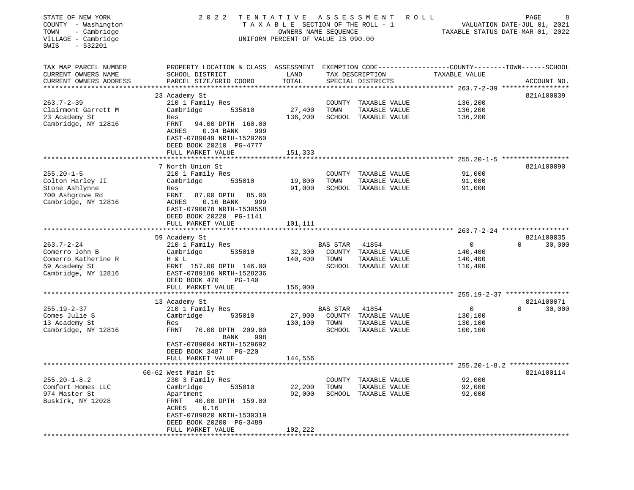| STATE OF NEW YORK<br>COUNTY - Washington<br>- Cambridge<br>TOWN<br>VILLAGE - Cambridge<br>SWIS<br>$-532201$ | 2 0 2 2<br>TENTATIVE ASSESSMENT<br>ROLL<br>TAXABLE SECTION OF THE ROLL - 1<br>OWNERS NAME SEQUENCE<br>UNIFORM PERCENT OF VALUE IS 090.00                                                 |                    |                 |                                                               |                            |                        |
|-------------------------------------------------------------------------------------------------------------|------------------------------------------------------------------------------------------------------------------------------------------------------------------------------------------|--------------------|-----------------|---------------------------------------------------------------|----------------------------|------------------------|
| TAX MAP PARCEL NUMBER<br>CURRENT OWNERS NAME<br>CURRENT OWNERS ADDRESS<br>***************************       | PROPERTY LOCATION & CLASS ASSESSMENT EXEMPTION CODE----------------COUNTY-------TOWN------SCHOOL<br>SCHOOL DISTRICT<br>PARCEL SIZE/GRID COORD                                            | LAND<br>TOTAL      |                 | TAX DESCRIPTION<br>SPECIAL DISTRICTS                          | TAXABLE VALUE              | ACCOUNT NO.            |
| $263.7 - 2 - 39$<br>Clairmont Garrett M                                                                     | 23 Academy St<br>210 1 Family Res<br>Cambridge<br>535010                                                                                                                                 | 27,400             | TOWN            | COUNTY TAXABLE VALUE<br>TAXABLE VALUE                         | 136,200<br>136,200         | 821A100039             |
| 23 Academy St<br>Cambridge, NY 12816                                                                        | Res<br>FRNT<br>94.00 DPTH 160.00<br>ACRES<br>$0.34$ BANK<br>999<br>EAST-0789049 NRTH-1529260<br>DEED BOOK 20210 PG-4777<br>FULL MARKET VALUE                                             | 136,200<br>151,333 |                 | SCHOOL TAXABLE VALUE                                          | 136,200                    |                        |
|                                                                                                             |                                                                                                                                                                                          |                    |                 |                                                               |                            |                        |
| $255.20 - 1 - 5$<br>Colton Harley JI<br>Stone Ashlynne<br>700 Ashgrove Rd<br>Cambridge, NY 12816            | 7 North Union St<br>210 1 Family Res<br>Cambridge<br>535010<br>Res<br>FRNT<br>87.00 DPTH<br>85.00<br>ACRES<br>$0.16$ BANK<br>999<br>EAST-0790078 NRTH-1530558<br>DEED BOOK 20220 PG-1141 | 19,800<br>91,000   | TOWN            | COUNTY TAXABLE VALUE<br>TAXABLE VALUE<br>SCHOOL TAXABLE VALUE | 91,000<br>91,000<br>91,000 | 821A100090             |
|                                                                                                             | FULL MARKET VALUE                                                                                                                                                                        | 101,111            |                 |                                                               |                            |                        |
|                                                                                                             |                                                                                                                                                                                          |                    |                 |                                                               |                            |                        |
| $263.7 - 2 - 24$                                                                                            | 59 Academy St<br>210 1 Family Res                                                                                                                                                        |                    |                 |                                                               | $\mathbf 0$                | 821A100035<br>$\Omega$ |
| Comerro John B                                                                                              | Cambridge<br>535010                                                                                                                                                                      | 32,300             | <b>BAS STAR</b> | 41854<br>COUNTY TAXABLE VALUE                                 | 140,400                    | 30,000                 |
| Comerro Katherine R                                                                                         | H & L                                                                                                                                                                                    | 140,400            | TOWN            | TAXABLE VALUE                                                 | 140,400                    |                        |
| 59 Academy St<br>Cambridge, NY 12816                                                                        | FRNT 157.00 DPTH 146.00<br>EAST-0789186 NRTH-1528236<br>DEED BOOK 470<br>PG-140                                                                                                          |                    |                 | SCHOOL TAXABLE VALUE                                          | 110,400                    |                        |
|                                                                                                             | FULL MARKET VALUE                                                                                                                                                                        | 156,000            |                 |                                                               |                            |                        |
|                                                                                                             | 13 Academy St                                                                                                                                                                            |                    |                 |                                                               |                            | 821A100071             |
| $255.19 - 2 - 37$                                                                                           | 210 1 Family Res                                                                                                                                                                         |                    | BAS STAR        | 41854                                                         | $\overline{0}$             | 30,000<br>$\Omega$     |
| Comes Julie S                                                                                               | Cambridge<br>535010                                                                                                                                                                      | 27,900             |                 | COUNTY TAXABLE VALUE                                          | 130,100                    |                        |
| 13 Academy St<br>Cambridge, NY 12816                                                                        | Res<br>FRNT<br>76.00 DPTH 209.00<br>BANK<br>998<br>EAST-0789004 NRTH-1529692                                                                                                             | 130,100            | TOWN            | TAXABLE VALUE<br>SCHOOL TAXABLE VALUE                         | 130,100<br>100,100         |                        |
|                                                                                                             | DEED BOOK 3487 PG-220                                                                                                                                                                    |                    |                 |                                                               |                            |                        |
|                                                                                                             | FULL MARKET VALUE                                                                                                                                                                        | 144,556            |                 |                                                               |                            |                        |
|                                                                                                             | 60-62 West Main St                                                                                                                                                                       |                    |                 |                                                               |                            | 821A100114             |
| $255.20 - 1 - 8.2$                                                                                          | 230 3 Family Res                                                                                                                                                                         |                    | COUNTY          | TAXABLE VALUE                                                 | 92,000                     |                        |
| Comfort Homes LLC                                                                                           | Cambridge<br>535010                                                                                                                                                                      | 22,200             | TOWN            | TAXABLE VALUE                                                 | 92,000                     |                        |
| 974 Master St<br>Buskirk, NY 12028                                                                          | Apartment<br>40.00 DPTH 159.00<br>FRNT<br>0.16<br>ACRES<br>EAST-0789820 NRTH-1530319<br>DEED BOOK 20200 PG-3489                                                                          | 92,000             | SCHOOL          | TAXABLE VALUE                                                 | 92,000                     |                        |
|                                                                                                             | FULL MARKET VALUE                                                                                                                                                                        | 102,222            |                 |                                                               |                            |                        |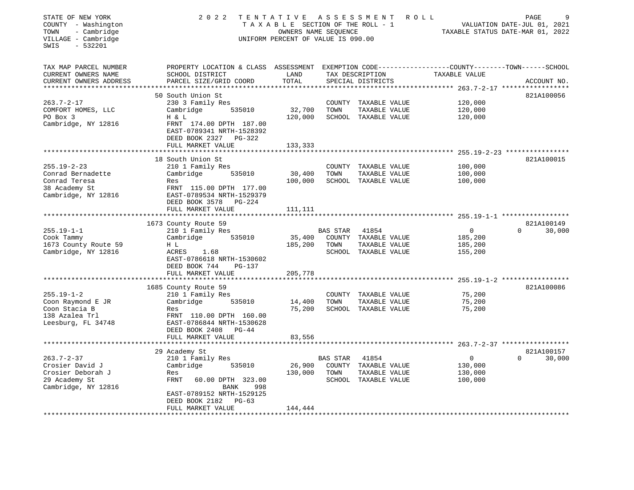| STATE OF NEW YORK<br>COUNTY - Washington<br>- Cambridge<br>TOWN<br>VILLAGE - Cambridge<br>$-532201$<br>SWIS | 2 0 2 2                                                                           | TENTATIVE ASSESSMENT<br>TAXABLE SECTION OF THE ROLL - 1<br>OWNERS NAME SEQUENCE<br>UNIFORM PERCENT OF VALUE IS 090.00 |          |                                       | ROLL                                                                          | PAGE<br>VALUATION DATE-JUL 01, 2021<br>TAXABLE STATUS DATE-MAR 01, 2022 |
|-------------------------------------------------------------------------------------------------------------|-----------------------------------------------------------------------------------|-----------------------------------------------------------------------------------------------------------------------|----------|---------------------------------------|-------------------------------------------------------------------------------|-------------------------------------------------------------------------|
| TAX MAP PARCEL NUMBER<br>CURRENT OWNERS NAME<br>CURRENT OWNERS ADDRESS                                      | PROPERTY LOCATION & CLASS ASSESSMENT<br>SCHOOL DISTRICT<br>PARCEL SIZE/GRID COORD | LAND<br>TOTAL                                                                                                         |          | TAX DESCRIPTION<br>SPECIAL DISTRICTS  | EXEMPTION CODE-----------------COUNTY-------TOWN------SCHOOL<br>TAXABLE VALUE | ACCOUNT NO.                                                             |
| **********************                                                                                      | ***********************                                                           | ***********                                                                                                           |          |                                       |                                                                               |                                                                         |
|                                                                                                             | 50 South Union St                                                                 |                                                                                                                       |          |                                       |                                                                               | 821A100056                                                              |
| $263.7 - 2 - 17$                                                                                            | 230 3 Family Res                                                                  |                                                                                                                       |          | COUNTY TAXABLE VALUE                  | 120,000                                                                       |                                                                         |
| COMFORT HOMES, LLC<br>PO Box 3                                                                              | Cambridge<br>535010<br>H & L                                                      | 32,700<br>120,000                                                                                                     | TOWN     | TAXABLE VALUE<br>SCHOOL TAXABLE VALUE | 120,000<br>120,000                                                            |                                                                         |
| Cambridge, NY 12816                                                                                         | FRNT 174.00 DPTH 187.00<br>EAST-0789341 NRTH-1528392<br>DEED BOOK 2327 PG-322     |                                                                                                                       |          |                                       |                                                                               |                                                                         |
|                                                                                                             | FULL MARKET VALUE                                                                 | 133,333                                                                                                               |          |                                       |                                                                               |                                                                         |
|                                                                                                             |                                                                                   |                                                                                                                       |          |                                       |                                                                               |                                                                         |
|                                                                                                             | 18 South Union St                                                                 |                                                                                                                       |          |                                       |                                                                               | 821A100015                                                              |
| $255.19 - 2 - 23$<br>Conrad Bernadette                                                                      | 210 1 Family Res<br>535010<br>Cambridge                                           | 30,400                                                                                                                | TOWN     | COUNTY TAXABLE VALUE<br>TAXABLE VALUE | 100,000<br>100,000                                                            |                                                                         |
| Conrad Teresa                                                                                               | Res                                                                               | 100,000                                                                                                               |          | SCHOOL TAXABLE VALUE                  | 100,000                                                                       |                                                                         |
| 38 Academy St                                                                                               | FRNT 115.00 DPTH 177.00                                                           |                                                                                                                       |          |                                       |                                                                               |                                                                         |
| Cambridge, NY 12816                                                                                         | EAST-0789534 NRTH-1529379                                                         |                                                                                                                       |          |                                       |                                                                               |                                                                         |
|                                                                                                             | DEED BOOK 3578 PG-224                                                             |                                                                                                                       |          |                                       |                                                                               |                                                                         |
|                                                                                                             | FULL MARKET VALUE                                                                 | 111,111                                                                                                               |          |                                       |                                                                               |                                                                         |
|                                                                                                             |                                                                                   |                                                                                                                       |          |                                       |                                                                               |                                                                         |
| $255.19 - 1 - 1$                                                                                            | 1673 County Route 59<br>210 1 Family Res                                          |                                                                                                                       | BAS STAR | 41854                                 | $\overline{0}$                                                                | 821A100149<br>30,000<br>$\Omega$                                        |
| Cook Tammy                                                                                                  | 535010<br>Cambridge                                                               | 35,400                                                                                                                |          | COUNTY TAXABLE VALUE                  | 185,200                                                                       |                                                                         |
| 1673 County Route 59                                                                                        | H L                                                                               | 185,200                                                                                                               | TOWN     | TAXABLE VALUE                         | 185,200                                                                       |                                                                         |
| Cambridge, NY 12816                                                                                         | ACRES<br>1.68                                                                     |                                                                                                                       |          | SCHOOL TAXABLE VALUE                  | 155,200                                                                       |                                                                         |
|                                                                                                             | EAST-0786618 NRTH-1530602                                                         |                                                                                                                       |          |                                       |                                                                               |                                                                         |
|                                                                                                             | DEED BOOK 744<br>PG-137                                                           |                                                                                                                       |          |                                       |                                                                               |                                                                         |
|                                                                                                             | FULL MARKET VALUE<br>*******************                                          | 205,778                                                                                                               |          |                                       |                                                                               | 255.19-1-2 ******************                                           |
|                                                                                                             | 1685 County Route 59                                                              |                                                                                                                       |          |                                       |                                                                               | 821A100086                                                              |
| $255.19 - 1 - 2$                                                                                            | 210 1 Family Res                                                                  |                                                                                                                       |          | COUNTY TAXABLE VALUE                  | 75,200                                                                        |                                                                         |
| Coon Raymond E JR                                                                                           | Cambridge<br>535010                                                               | 14,400                                                                                                                | TOWN     | TAXABLE VALUE                         | 75,200                                                                        |                                                                         |
| Coon Stacia B                                                                                               | Res                                                                               | 75,200                                                                                                                |          | SCHOOL TAXABLE VALUE                  | 75,200                                                                        |                                                                         |
| 138 Azalea Trl                                                                                              | FRNT 110.00 DPTH 160.00                                                           |                                                                                                                       |          |                                       |                                                                               |                                                                         |
| Leesburg, FL 34748                                                                                          | EAST-0786844 NRTH-1530628                                                         |                                                                                                                       |          |                                       |                                                                               |                                                                         |
|                                                                                                             | DEED BOOK 2408 PG-44<br>FULL MARKET VALUE                                         | 83,556                                                                                                                |          |                                       |                                                                               |                                                                         |
|                                                                                                             |                                                                                   |                                                                                                                       |          |                                       |                                                                               |                                                                         |
|                                                                                                             | 29 Academy St                                                                     |                                                                                                                       |          |                                       |                                                                               | 821A100157                                                              |
| $263.7 - 2 - 37$                                                                                            | 210 1 Family Res                                                                  |                                                                                                                       | BAS STAR | 41854                                 | $\overline{0}$                                                                | $\Omega$<br>30,000                                                      |
| Crosier David J                                                                                             | Cambridge<br>535010                                                               | 26,900                                                                                                                |          | COUNTY TAXABLE VALUE                  | 130,000                                                                       |                                                                         |
| Crosier Deborah J                                                                                           | Res                                                                               | 130,000                                                                                                               | TOWN     | TAXABLE VALUE                         | 130,000                                                                       |                                                                         |
| 29 Academy St                                                                                               | FRNT<br>60.00 DPTH 323.00                                                         |                                                                                                                       |          | SCHOOL TAXABLE VALUE                  | 100,000                                                                       |                                                                         |
| Cambridge, NY 12816                                                                                         | BANK<br>998<br>EAST-0789152 NRTH-1529125                                          |                                                                                                                       |          |                                       |                                                                               |                                                                         |
|                                                                                                             | DEED BOOK 2182<br>$PG-63$                                                         |                                                                                                                       |          |                                       |                                                                               |                                                                         |
|                                                                                                             | FULL MARKET VALUE                                                                 | 144,444                                                                                                               |          |                                       |                                                                               |                                                                         |
|                                                                                                             |                                                                                   |                                                                                                                       |          |                                       |                                                                               |                                                                         |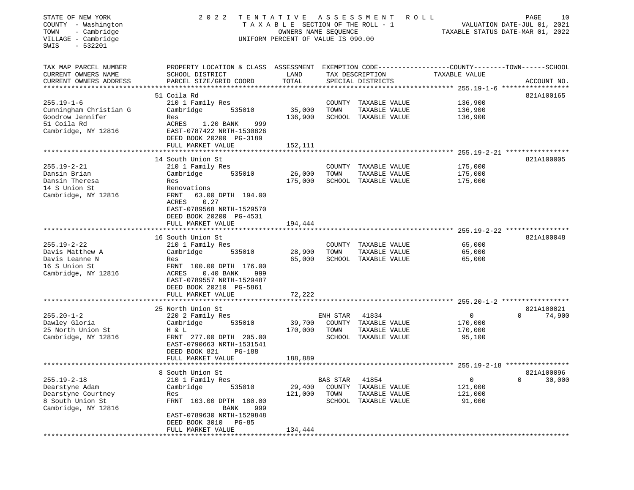| STATE OF NEW YORK<br>COUNTY - Washington<br>- Cambridge<br>TOWN<br>VILLAGE - Cambridge<br>$-532201$<br>SWIS | 2 0 2 2<br>TENTATIVE<br>TAXABLE SECTION OF THE ROLL - 1<br>UNIFORM PERCENT OF VALUE IS 090.00                                                                                                                 | ROLL<br>TAXABLE STATUS DATE-MAR 01, 2022 | 10<br>PAGE<br>VALUATION DATE-JUL 01, 2021 |                                                                        |                                                             |                                  |
|-------------------------------------------------------------------------------------------------------------|---------------------------------------------------------------------------------------------------------------------------------------------------------------------------------------------------------------|------------------------------------------|-------------------------------------------|------------------------------------------------------------------------|-------------------------------------------------------------|----------------------------------|
| TAX MAP PARCEL NUMBER<br>CURRENT OWNERS NAME<br>CURRENT OWNERS ADDRESS                                      | PROPERTY LOCATION & CLASS ASSESSMENT EXEMPTION CODE---------------COUNTY-------TOWN-----SCHOOL<br>SCHOOL DISTRICT<br>PARCEL SIZE/GRID COORD                                                                   | LAND<br>TOTAL                            |                                           | TAX DESCRIPTION<br>SPECIAL DISTRICTS                                   | TAXABLE VALUE                                               | ACCOUNT NO.                      |
| $255.19 - 1 - 6$<br>Cunningham Christian G<br>Goodrow Jennifer<br>51 Coila Rd<br>Cambridge, NY 12816        | 51 Coila Rd<br>210 1 Family Res<br>Cambridge<br>535010<br>Res<br>ACRES<br>1.20 BANK<br>999<br>EAST-0787422 NRTH-1530826<br>DEED BOOK 20200 PG-3189<br>FULL MARKET VALUE                                       | 35,000<br>136,900<br>152,111             | TOWN                                      | COUNTY TAXABLE VALUE<br>TAXABLE VALUE<br>SCHOOL TAXABLE VALUE          | 136,900<br>136,900<br>136,900                               | 821A100165                       |
|                                                                                                             |                                                                                                                                                                                                               |                                          |                                           |                                                                        |                                                             |                                  |
| $255.19 - 2 - 21$<br>Dansin Brian<br>Dansin Theresa<br>14 S Union St<br>Cambridge, NY 12816                 | 14 South Union St<br>210 1 Family Res<br>Cambridge<br>535010<br>Res<br>Renovations<br>FRNT<br>63.00 DPTH 194.00<br>0.27<br>ACRES<br>EAST-0789568 NRTH-1529570<br>DEED BOOK 20200 PG-4531<br>FULL MARKET VALUE | 26,000<br>175,000<br>194,444             | TOWN                                      | COUNTY TAXABLE VALUE<br>TAXABLE VALUE<br>SCHOOL TAXABLE VALUE          | 175,000<br>175,000<br>175,000                               | 821A100005                       |
|                                                                                                             | ***********************                                                                                                                                                                                       | * * * * * * * * * * *                    |                                           |                                                                        | ****************************** 255.19-2-22 **************** |                                  |
| $255.19 - 2 - 22$<br>Davis Matthew A<br>Davis Leanne N<br>16 S Union St<br>Cambridge, NY 12816              | 16 South Union St<br>210 1 Family Res<br>Cambridge<br>535010<br>Res<br>FRNT 100.00 DPTH 176.00<br>ACRES<br>$0.40$ BANK<br>999<br>EAST-0789557 NRTH-1529487<br>DEED BOOK 20210 PG-5861                         | 28,900<br>65,000                         | TOWN                                      | COUNTY TAXABLE VALUE<br>TAXABLE VALUE<br>SCHOOL TAXABLE VALUE          | 65,000<br>65,000<br>65,000                                  | 821A100048                       |
|                                                                                                             | FULL MARKET VALUE                                                                                                                                                                                             | 72,222                                   |                                           |                                                                        |                                                             |                                  |
| $255.20 - 1 - 2$<br>Dawley Gloria<br>25 North Union St<br>Cambridge, NY 12816                               | 25 North Union St<br>220 2 Family Res<br>Cambridge<br>535010<br>H & L<br>FRNT 277.00 DPTH 205.00<br>EAST-0790663 NRTH-1531541<br>DEED BOOK 821<br><b>PG-188</b><br>FULL MARKET VALUE                          | 39,700<br>170,000<br>188,889             | ENH STAR<br>TOWN                          | 41834<br>COUNTY TAXABLE VALUE<br>TAXABLE VALUE<br>SCHOOL TAXABLE VALUE | $\mathbf{0}$<br>170,000<br>170,000<br>95,100                | 821A100021<br>$\Omega$<br>74,900 |
|                                                                                                             |                                                                                                                                                                                                               |                                          |                                           |                                                                        |                                                             |                                  |
| $255.19 - 2 - 18$<br>Dearstyne Adam<br>Dearstyne Courtney<br>8 South Union St<br>Cambridge, NY 12816        | 8 South Union St<br>210 1 Family Res<br>Cambridge<br>535010<br>Res<br>FRNT 103.00 DPTH 180.00<br><b>BANK</b><br>999<br>EAST-0789630 NRTH-1529848<br>DEED BOOK 3010 PG-85<br>FULL MARKET VALUE                 | 29,400<br>121,000<br>134,444             | BAS STAR<br>COUNTY<br>TOWN<br>SCHOOL      | 41854<br>TAXABLE VALUE<br>TAXABLE VALUE<br>TAXABLE VALUE               | 0<br>121,000<br>121,000<br>91,000                           | 821A100096<br>0<br>30,000        |
|                                                                                                             |                                                                                                                                                                                                               |                                          |                                           |                                                                        |                                                             |                                  |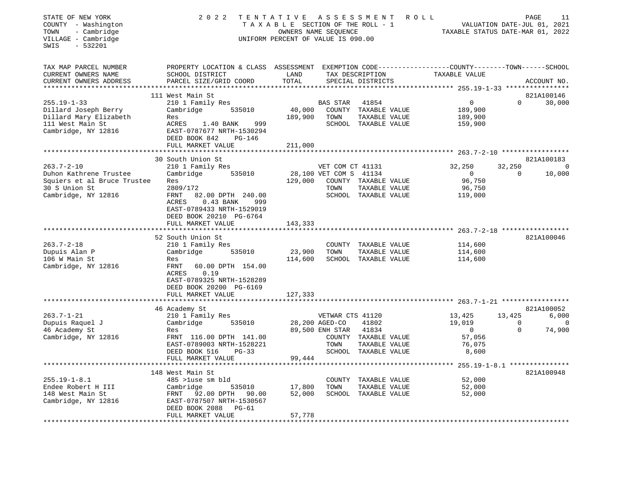| STATE OF NEW YORK<br>COUNTY - Washington<br>TOWN<br>- Cambridge<br>VILLAGE - Cambridge<br>$-532201$<br>SWIS | 2 0 2 2                                                                                                                                      | TENTATIVE ASSESSMENT ROLL<br>TAXABLE SECTION OF THE ROLL - 1<br>OWNERS NAME SEQUENCE<br>UNIFORM PERCENT OF VALUE IS 090.00 |                        | TAXABLE STATUS DATE-MAR 01, 2022      |                                               | PAGE<br>11<br>VALUATION DATE-JUL 01, 2021 |                      |
|-------------------------------------------------------------------------------------------------------------|----------------------------------------------------------------------------------------------------------------------------------------------|----------------------------------------------------------------------------------------------------------------------------|------------------------|---------------------------------------|-----------------------------------------------|-------------------------------------------|----------------------|
| TAX MAP PARCEL NUMBER<br>CURRENT OWNERS NAME<br>CURRENT OWNERS ADDRESS                                      | PROPERTY LOCATION & CLASS ASSESSMENT EXEMPTION CODE----------------COUNTY-------TOWN-----SCHOOL<br>SCHOOL DISTRICT<br>PARCEL SIZE/GRID COORD | LAND<br>TOTAL                                                                                                              |                        | TAX DESCRIPTION<br>SPECIAL DISTRICTS  | TAXABLE VALUE                                 |                                           | ACCOUNT NO.          |
| ***********************                                                                                     |                                                                                                                                              |                                                                                                                            |                        |                                       |                                               |                                           |                      |
| $255.19 - 1 - 33$                                                                                           | 111 West Main St<br>210 1 Family Res                                                                                                         |                                                                                                                            | BAS STAR               | 41854                                 | $\circ$                                       | $\Omega$                                  | 821A100146<br>30,000 |
| Dillard Joseph Berry                                                                                        | Cambridge<br>535010                                                                                                                          | 40,000                                                                                                                     |                        | COUNTY TAXABLE VALUE                  | 189,900                                       |                                           |                      |
| Dillard Mary Elizabeth                                                                                      | Res                                                                                                                                          | 189,900                                                                                                                    | TOWN                   | TAXABLE VALUE                         | 189,900                                       |                                           |                      |
| 111 West Main St                                                                                            | ACRES<br>1.40 BANK<br>999                                                                                                                    |                                                                                                                            |                        | SCHOOL TAXABLE VALUE                  | 159,900                                       |                                           |                      |
| Cambridge, NY 12816                                                                                         | EAST-0787677 NRTH-1530294                                                                                                                    |                                                                                                                            |                        |                                       |                                               |                                           |                      |
|                                                                                                             | DEED BOOK 842<br><b>PG-146</b>                                                                                                               |                                                                                                                            |                        |                                       |                                               |                                           |                      |
|                                                                                                             | FULL MARKET VALUE                                                                                                                            | 211,000                                                                                                                    |                        |                                       |                                               |                                           |                      |
|                                                                                                             | 30 South Union St                                                                                                                            |                                                                                                                            |                        |                                       |                                               |                                           | 821A100183           |
| $263.7 - 2 - 10$                                                                                            | 210 1 Family Res                                                                                                                             |                                                                                                                            | VET COM CT 41131       |                                       | 32,250                                        | 32,250                                    | $\mathbf 0$          |
| Duhon Kathrene Trustee                                                                                      | 535010<br>Cambridge                                                                                                                          |                                                                                                                            | 28,100 VET COM S 41134 |                                       | $\overline{0}$                                | $\mathbf 0$                               | 10,000               |
| Squiers et al Bruce Trustee                                                                                 | Res                                                                                                                                          | 129,000                                                                                                                    |                        | COUNTY TAXABLE VALUE                  | 96,750                                        |                                           |                      |
| 30 S Union St                                                                                               | 2809/172                                                                                                                                     |                                                                                                                            | TOWN                   | TAXABLE VALUE                         | 96,750                                        |                                           |                      |
| Cambridge, NY 12816                                                                                         | FRNT<br>82.00 DPTH 240.00<br>ACRES<br>$0.43$ BANK<br>999                                                                                     |                                                                                                                            |                        | SCHOOL TAXABLE VALUE                  | 119,000                                       |                                           |                      |
|                                                                                                             | EAST-0789433 NRTH-1529019                                                                                                                    |                                                                                                                            |                        |                                       |                                               |                                           |                      |
|                                                                                                             | DEED BOOK 20210 PG-6764                                                                                                                      |                                                                                                                            |                        |                                       |                                               |                                           |                      |
|                                                                                                             | FULL MARKET VALUE                                                                                                                            | 143,333                                                                                                                    |                        |                                       |                                               |                                           |                      |
|                                                                                                             |                                                                                                                                              |                                                                                                                            |                        |                                       |                                               |                                           |                      |
|                                                                                                             | 52 South Union St                                                                                                                            |                                                                                                                            |                        |                                       |                                               |                                           | 821A100046           |
| $263.7 - 2 - 18$                                                                                            | 210 1 Family Res                                                                                                                             |                                                                                                                            |                        | COUNTY TAXABLE VALUE                  | 114,600                                       |                                           |                      |
| Dupuis Alan P<br>106 W Main St                                                                              | Cambridge 535010<br>Res                                                                                                                      | 23,900<br>114,600                                                                                                          | TOWN                   | TAXABLE VALUE<br>SCHOOL TAXABLE VALUE | 114,600<br>114,600                            |                                           |                      |
| Cambridge, NY 12816                                                                                         | FRNT<br>60.00 DPTH 154.00                                                                                                                    |                                                                                                                            |                        |                                       |                                               |                                           |                      |
|                                                                                                             | 0.19<br>ACRES                                                                                                                                |                                                                                                                            |                        |                                       |                                               |                                           |                      |
|                                                                                                             | EAST-0789325 NRTH-1528289                                                                                                                    |                                                                                                                            |                        |                                       |                                               |                                           |                      |
|                                                                                                             | DEED BOOK 20200 PG-6169                                                                                                                      |                                                                                                                            |                        |                                       |                                               |                                           |                      |
|                                                                                                             | FULL MARKET VALUE                                                                                                                            | 127,333                                                                                                                    |                        |                                       |                                               |                                           |                      |
|                                                                                                             |                                                                                                                                              |                                                                                                                            |                        |                                       |                                               |                                           |                      |
| $263.7 - 1 - 21$                                                                                            | 46 Academy St<br>210 1 Family Res                                                                                                            |                                                                                                                            | VETWAR CTS 41120       |                                       | 13,425                                        | 13,425                                    | 821A100052<br>6,000  |
| Dupuis Raquel J                                                                                             | Cambridge<br>535010                                                                                                                          |                                                                                                                            | 28,200 AGED-CO         | 41802                                 | 19,019                                        | $\overline{0}$                            | $\mathbf 0$          |
| 46 Academy St                                                                                               | Res                                                                                                                                          |                                                                                                                            | 89,500 ENH STAR        | 41834                                 | $\overline{0}$                                | $\mathbf 0$                               | 74,900               |
| Cambridge, NY 12816                                                                                         | FRNT 116.00 DPTH 141.00                                                                                                                      |                                                                                                                            |                        | COUNTY TAXABLE VALUE                  | 57,056                                        |                                           |                      |
|                                                                                                             | EAST-0789003 NRTH-1528221                                                                                                                    |                                                                                                                            | TOWN                   | TAXABLE VALUE                         | 76,075                                        |                                           |                      |
|                                                                                                             | DEED BOOK 516<br>$PG-33$                                                                                                                     |                                                                                                                            |                        | SCHOOL TAXABLE VALUE                  | 8,600                                         |                                           |                      |
|                                                                                                             | FULL MARKET VALUE                                                                                                                            | 99,444                                                                                                                     |                        |                                       |                                               |                                           |                      |
|                                                                                                             |                                                                                                                                              | ***************                                                                                                            |                        |                                       | *************** 255.19-1-8.1 **************** |                                           |                      |
| $255.19 - 1 - 8.1$                                                                                          | 148 West Main St<br>485 >luse sm bld                                                                                                         |                                                                                                                            |                        | COUNTY TAXABLE VALUE                  | 52,000                                        |                                           | 821A100948           |
| Endee Robert H III                                                                                          | Cambridge<br>535010                                                                                                                          | 17,800                                                                                                                     | TOWN                   | TAXABLE VALUE                         | 52,000                                        |                                           |                      |
| 148 West Main St                                                                                            | FRNT<br>92.00 DPTH<br>90.00                                                                                                                  | 52,000                                                                                                                     |                        | SCHOOL TAXABLE VALUE                  | 52,000                                        |                                           |                      |
| Cambridge, NY 12816                                                                                         | EAST-0787507 NRTH-1530567                                                                                                                    |                                                                                                                            |                        |                                       |                                               |                                           |                      |
|                                                                                                             | DEED BOOK 2088<br>PG-61                                                                                                                      |                                                                                                                            |                        |                                       |                                               |                                           |                      |
|                                                                                                             | FULL MARKET VALUE                                                                                                                            | 57,778                                                                                                                     |                        |                                       |                                               |                                           |                      |
|                                                                                                             |                                                                                                                                              |                                                                                                                            |                        |                                       |                                               |                                           |                      |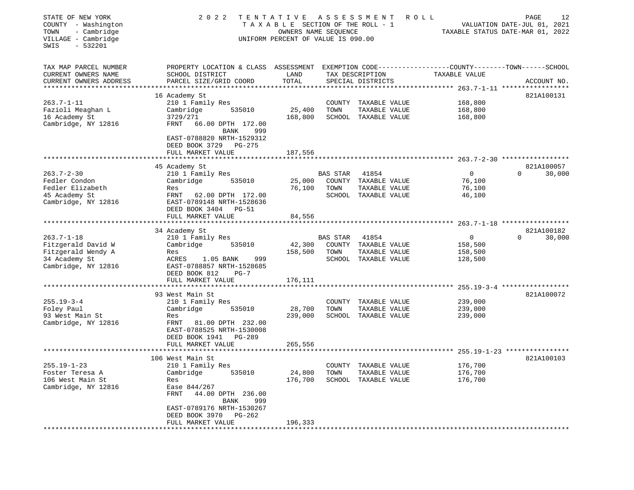| STATE OF NEW YORK<br>COUNTY - Washington<br>- Cambridge<br>TOWN<br>VILLAGE - Cambridge<br>SWIS<br>$-532201$ | 2 0 2 2                                                                                       | TENTATIVE<br>TAXABLE SECTION OF THE ROLL - 1<br>OWNERS NAME SEQUENCE<br>UNIFORM PERCENT OF VALUE IS 090.00 |                 | ASSESSMENT                            | ROLL                                                                          | 12<br>PAGE<br>VALUATION DATE-JUL 01, 2021<br>TAXABLE STATUS DATE-MAR 01, 2022 |
|-------------------------------------------------------------------------------------------------------------|-----------------------------------------------------------------------------------------------|------------------------------------------------------------------------------------------------------------|-----------------|---------------------------------------|-------------------------------------------------------------------------------|-------------------------------------------------------------------------------|
| TAX MAP PARCEL NUMBER<br>CURRENT OWNERS NAME<br>CURRENT OWNERS ADDRESS                                      | PROPERTY LOCATION & CLASS ASSESSMENT<br>SCHOOL DISTRICT<br>PARCEL SIZE/GRID COORD             | LAND<br>TOTAL                                                                                              |                 | TAX DESCRIPTION<br>SPECIAL DISTRICTS  | EXEMPTION CODE-----------------COUNTY-------TOWN------SCHOOL<br>TAXABLE VALUE | ACCOUNT NO.                                                                   |
|                                                                                                             | 16 Academy St                                                                                 | *********                                                                                                  |                 |                                       | *********** 263.7-1-11 ******************                                     | 821A100131                                                                    |
| $263.7 - 1 - 11$<br>Fazioli Meaghan L                                                                       | 210 1 Family Res<br>535010<br>Cambridge                                                       | 25,400                                                                                                     | COUNTY<br>TOWN  | TAXABLE VALUE<br>TAXABLE VALUE        | 168,800<br>168,800                                                            |                                                                               |
| 16 Academy St<br>Cambridge, NY 12816                                                                        | 3729/271<br>FRNT<br>66.00 DPTH 172.00                                                         | 168,800                                                                                                    |                 | SCHOOL TAXABLE VALUE                  | 168,800                                                                       |                                                                               |
|                                                                                                             | <b>BANK</b><br>999<br>EAST-0788820 NRTH-1529312<br>DEED BOOK 3729 PG-275<br>FULL MARKET VALUE | 187,556                                                                                                    |                 |                                       |                                                                               |                                                                               |
|                                                                                                             |                                                                                               |                                                                                                            |                 |                                       | ******* 263.7-2-30 *****                                                      |                                                                               |
|                                                                                                             | 45 Academy St                                                                                 |                                                                                                            |                 |                                       |                                                                               | 821A100057                                                                    |
| $263.7 - 2 - 30$                                                                                            | 210 1 Family Res                                                                              |                                                                                                            | <b>BAS STAR</b> | 41854                                 | $\mathbf 0$                                                                   | $\Omega$<br>30,000                                                            |
| Fedler Condon<br>Fedler Elizabeth                                                                           | 535010<br>Cambridge<br>Res                                                                    | 25,000<br>76,100                                                                                           | TOWN            | COUNTY TAXABLE VALUE<br>TAXABLE VALUE | 76,100<br>76,100                                                              |                                                                               |
| 45 Academy St                                                                                               | FRNT 62.00 DPTH 172.00                                                                        |                                                                                                            |                 | SCHOOL TAXABLE VALUE                  | 46,100                                                                        |                                                                               |
| Cambridge, NY 12816                                                                                         | EAST-0789148 NRTH-1528636<br>DEED BOOK 3404 PG-51                                             |                                                                                                            |                 |                                       |                                                                               |                                                                               |
|                                                                                                             | FULL MARKET VALUE                                                                             | 84,556                                                                                                     |                 |                                       |                                                                               |                                                                               |
|                                                                                                             | ***********************                                                                       |                                                                                                            |                 |                                       |                                                                               |                                                                               |
| $263.7 - 1 - 18$                                                                                            | 34 Academy St<br>210 1 Family Res                                                             |                                                                                                            | <b>BAS STAR</b> | 41854                                 | $\mathbf 0$                                                                   | 821A100182<br>30,000<br>$\Omega$                                              |
| Fitzgerald David W                                                                                          | Cambridge<br>535010                                                                           | 42,300                                                                                                     |                 | COUNTY TAXABLE VALUE                  | 158,500                                                                       |                                                                               |
| Fitzgerald Wendy A                                                                                          | Res                                                                                           | 158,500                                                                                                    | TOWN            | TAXABLE VALUE                         | 158,500                                                                       |                                                                               |
| 34 Academy St                                                                                               | ACRES<br>1.05 BANK<br>999                                                                     |                                                                                                            |                 | SCHOOL TAXABLE VALUE                  | 128,500                                                                       |                                                                               |
| Cambridge, NY 12816                                                                                         | EAST-0788857 NRTH-1528685<br>DEED BOOK 812<br>$PG-7$                                          |                                                                                                            |                 |                                       |                                                                               |                                                                               |
| **********************                                                                                      | FULL MARKET VALUE<br>**********************************                                       | 176,111                                                                                                    |                 |                                       |                                                                               |                                                                               |
|                                                                                                             | 93 West Main St                                                                               |                                                                                                            |                 |                                       |                                                                               | 821A100072                                                                    |
| $255.19 - 3 - 4$                                                                                            | 210 1 Family Res                                                                              |                                                                                                            | COUNTY          | TAXABLE VALUE                         | 239,000                                                                       |                                                                               |
| Foley Paul                                                                                                  | Cambridge<br>535010                                                                           | 28,700                                                                                                     | TOWN            | TAXABLE VALUE                         | 239,000                                                                       |                                                                               |
| 93 West Main St                                                                                             | Res                                                                                           | 239,000                                                                                                    |                 | SCHOOL TAXABLE VALUE                  | 239,000                                                                       |                                                                               |
| Cambridge, NY 12816                                                                                         | FRNT<br>81.00 DPTH 232.00<br>EAST-0788525 NRTH-1530008<br>DEED BOOK 1941<br>PG-289            |                                                                                                            |                 |                                       |                                                                               |                                                                               |
|                                                                                                             | FULL MARKET VALUE                                                                             | 265,556                                                                                                    |                 |                                       |                                                                               |                                                                               |
|                                                                                                             | 106 West Main St                                                                              |                                                                                                            |                 |                                       |                                                                               | 821A100103                                                                    |
| $255.19 - 1 - 23$                                                                                           | 210 1 Family Res                                                                              |                                                                                                            |                 | COUNTY TAXABLE VALUE                  | 176,700                                                                       |                                                                               |
| Foster Teresa A                                                                                             | Cambridge<br>535010                                                                           | 24,800                                                                                                     | TOWN            | TAXABLE VALUE                         | 176,700                                                                       |                                                                               |
| 106 West Main St                                                                                            | Res                                                                                           | 176,700                                                                                                    |                 | SCHOOL TAXABLE VALUE                  | 176,700                                                                       |                                                                               |
| Cambridge, NY 12816                                                                                         | Ease 844/267                                                                                  |                                                                                                            |                 |                                       |                                                                               |                                                                               |
|                                                                                                             | <b>FRNT</b><br>44.00 DPTH 236.00                                                              |                                                                                                            |                 |                                       |                                                                               |                                                                               |
|                                                                                                             | BANK<br>999<br>EAST-0789176 NRTH-1530267                                                      |                                                                                                            |                 |                                       |                                                                               |                                                                               |
|                                                                                                             | DEED BOOK 3970<br>$PG-262$                                                                    |                                                                                                            |                 |                                       |                                                                               |                                                                               |
|                                                                                                             | FULL MARKET VALUE<br>********************                                                     | 196,333                                                                                                    |                 |                                       |                                                                               |                                                                               |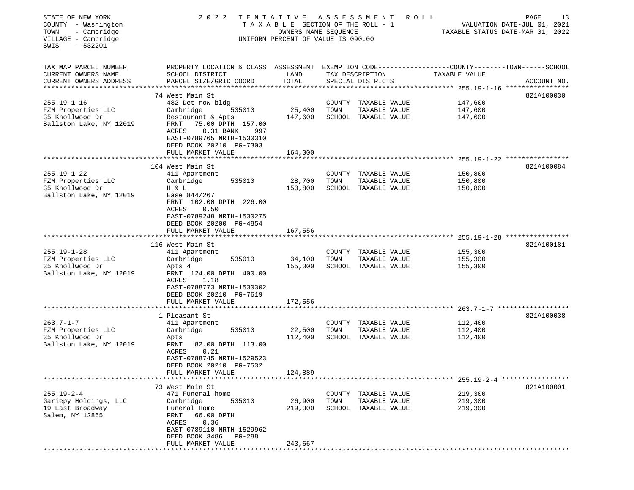| STATE OF NEW YORK<br>COUNTY - Washington<br>- Cambridge<br>TOWN<br>VILLAGE - Cambridge<br>$-532201$<br>SWIS | 2022                                                                                                                                  | TENTATIVE ASSESSMENT<br>TAXABLE SECTION OF THE ROLL - 1<br>OWNERS NAME SEQUENCE<br>UNIFORM PERCENT OF VALUE IS 090.00 |      |                      | R O L L       | 13<br>PAGE<br>VALUATION DATE-JUL 01, 2021<br>TAXABLE STATUS DATE-MAR 01, 2022 |
|-------------------------------------------------------------------------------------------------------------|---------------------------------------------------------------------------------------------------------------------------------------|-----------------------------------------------------------------------------------------------------------------------|------|----------------------|---------------|-------------------------------------------------------------------------------|
| TAX MAP PARCEL NUMBER<br>CURRENT OWNERS NAME                                                                | PROPERTY LOCATION & CLASS ASSESSMENT EXEMPTION CODE---------------COUNTY-------TOWN-----SCHOOL<br>SCHOOL DISTRICT                     | LAND                                                                                                                  |      | TAX DESCRIPTION      | TAXABLE VALUE |                                                                               |
| CURRENT OWNERS ADDRESS                                                                                      | PARCEL SIZE/GRID COORD                                                                                                                | TOTAL                                                                                                                 |      | SPECIAL DISTRICTS    |               | ACCOUNT NO.                                                                   |
|                                                                                                             | 74 West Main St                                                                                                                       |                                                                                                                       |      |                      |               | 821A100030                                                                    |
| $255.19 - 1 - 16$                                                                                           | 482 Det row bldg                                                                                                                      |                                                                                                                       |      | COUNTY TAXABLE VALUE | 147,600       |                                                                               |
| FZM Properties LLC                                                                                          | Cambridge<br>535010                                                                                                                   | 25,400                                                                                                                | TOWN | TAXABLE VALUE        | 147,600       |                                                                               |
| 35 Knollwood Dr                                                                                             | Restaurant & Apts                                                                                                                     | 147,600                                                                                                               |      | SCHOOL TAXABLE VALUE | 147,600       |                                                                               |
| Ballston Lake, NY 12019                                                                                     | FRNT<br>75.00 DPTH 157.00<br>ACRES<br>$0.31$ BANK<br>997<br>EAST-0789765 NRTH-1530310<br>DEED BOOK 20210 PG-7303                      |                                                                                                                       |      |                      |               |                                                                               |
|                                                                                                             | FULL MARKET VALUE                                                                                                                     | 164,000                                                                                                               |      |                      |               |                                                                               |
|                                                                                                             |                                                                                                                                       |                                                                                                                       |      |                      |               |                                                                               |
| $255.19 - 1 - 22$                                                                                           | 104 West Main St<br>411 Apartment                                                                                                     |                                                                                                                       |      | COUNTY TAXABLE VALUE | 150,800       | 821A100084                                                                    |
| FZM Properties LLC                                                                                          | 535010<br>Cambridge                                                                                                                   | 28,700                                                                                                                | TOWN | TAXABLE VALUE        | 150,800       |                                                                               |
| 35 Knollwood Dr                                                                                             | H & L                                                                                                                                 | 150,800                                                                                                               |      | SCHOOL TAXABLE VALUE | 150,800       |                                                                               |
| Ballston Lake, NY 12019                                                                                     | Ease 844/267<br>FRNT 102.00 DPTH 226.00<br>0.50<br>ACRES<br>EAST-0789248 NRTH-1530275<br>DEED BOOK 20200 PG-4854<br>FULL MARKET VALUE | 167,556                                                                                                               |      |                      |               |                                                                               |
|                                                                                                             |                                                                                                                                       |                                                                                                                       |      |                      |               |                                                                               |
|                                                                                                             | 116 West Main St                                                                                                                      |                                                                                                                       |      |                      |               | 821A100181                                                                    |
| $255.19 - 1 - 28$                                                                                           | 411 Apartment                                                                                                                         |                                                                                                                       |      | COUNTY TAXABLE VALUE | 155,300       |                                                                               |
| FZM Properties LLC                                                                                          | Cambridge<br>535010                                                                                                                   | 34,100                                                                                                                | TOWN | TAXABLE VALUE        | 155,300       |                                                                               |
| 35 Knollwood Dr                                                                                             | Apts 4                                                                                                                                | 155,300                                                                                                               |      | SCHOOL TAXABLE VALUE | 155,300       |                                                                               |
| Ballston Lake, NY 12019                                                                                     | FRNT 124.00 DPTH 400.00<br>ACRES<br>1.18<br>EAST-0788773 NRTH-1530302<br>DEED BOOK 20210 PG-7619                                      |                                                                                                                       |      |                      |               |                                                                               |
|                                                                                                             | FULL MARKET VALUE                                                                                                                     | 172,556                                                                                                               |      |                      |               |                                                                               |
|                                                                                                             | 1 Pleasant St                                                                                                                         |                                                                                                                       |      |                      |               | 821A100038                                                                    |
| $263.7 - 1 - 7$                                                                                             | 411 Apartment                                                                                                                         |                                                                                                                       |      | COUNTY TAXABLE VALUE | 112,400       |                                                                               |
| FZM Properties LLC                                                                                          | Cambridge<br>535010                                                                                                                   | 22,500                                                                                                                | TOWN | TAXABLE VALUE        | 112,400       |                                                                               |
| 35 Knollwood Dr                                                                                             | Apts                                                                                                                                  | 112,400                                                                                                               |      | SCHOOL TAXABLE VALUE | 112,400       |                                                                               |
| Ballston Lake, NY 12019                                                                                     | 82.00 DPTH 113.00<br>FRNT<br>ACRES<br>0.21<br>EAST-0788745 NRTH-1529523<br>DEED BOOK 20210 PG-7532                                    |                                                                                                                       |      |                      |               |                                                                               |
|                                                                                                             | FULL MARKET VALUE                                                                                                                     | 124,889                                                                                                               |      |                      |               |                                                                               |
|                                                                                                             | 73 West Main St                                                                                                                       |                                                                                                                       |      |                      |               | 821A100001                                                                    |
| $255.19 - 2 - 4$                                                                                            | 471 Funeral home                                                                                                                      |                                                                                                                       |      | COUNTY TAXABLE VALUE | 219,300       |                                                                               |
| Gariepy Holdings, LLC                                                                                       | Cambridge<br>535010                                                                                                                   | 26,900                                                                                                                | TOWN | TAXABLE VALUE        | 219,300       |                                                                               |
| 19 East Broadway                                                                                            | Funeral Home                                                                                                                          | 219,300                                                                                                               |      | SCHOOL TAXABLE VALUE | 219,300       |                                                                               |
| Salem, NY 12865                                                                                             | FRNT<br>66.00 DPTH<br>ACRES<br>0.36<br>EAST-0789110 NRTH-1529962<br>DEED BOOK 3486<br>PG-288<br>FULL MARKET VALUE                     | 243,667                                                                                                               |      |                      |               |                                                                               |
|                                                                                                             |                                                                                                                                       |                                                                                                                       |      |                      |               |                                                                               |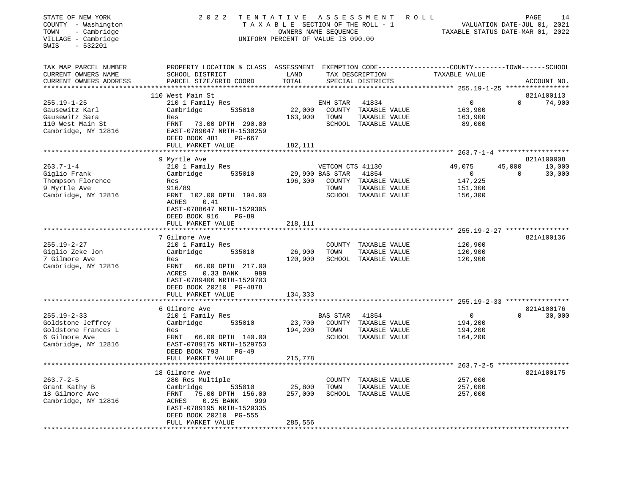| STATE OF NEW YORK<br>COUNTY - Washington<br>TOWN<br>- Cambridge<br>VILLAGE - Cambridge<br>$-532201$<br>SWIS | 2 0 2 2                                                                                                                                                  | TENTATIVE ASSESSMENT<br>TAXABLE SECTION OF THE ROLL - 1<br>OWNERS NAME SEQUENCE<br>UNIFORM PERCENT OF VALUE IS 090.00 |                         |                                                                        | <b>ROLL</b><br>TAXABLE STATUS DATE-MAR 01, 2022 |                    | PAGE<br>14<br>VALUATION DATE-JUL 01, 2021 |
|-------------------------------------------------------------------------------------------------------------|----------------------------------------------------------------------------------------------------------------------------------------------------------|-----------------------------------------------------------------------------------------------------------------------|-------------------------|------------------------------------------------------------------------|-------------------------------------------------|--------------------|-------------------------------------------|
| TAX MAP PARCEL NUMBER<br>CURRENT OWNERS NAME<br>CURRENT OWNERS ADDRESS                                      | PROPERTY LOCATION & CLASS ASSESSMENT EXEMPTION CODE----------------COUNTY-------TOWN------SCHOOL<br>SCHOOL DISTRICT<br>PARCEL SIZE/GRID COORD            | LAND<br>TOTAL                                                                                                         |                         | TAX DESCRIPTION<br>SPECIAL DISTRICTS                                   | TAXABLE VALUE                                   |                    | ACCOUNT NO.                               |
|                                                                                                             | 110 West Main St                                                                                                                                         |                                                                                                                       |                         |                                                                        |                                                 |                    | 821A100113                                |
| $255.19 - 1 - 25$<br>Gausewitz Karl<br>Gausewitz Sara<br>110 West Main St<br>Cambridge, NY 12816            | 210 1 Family Res<br>Cambridge<br>535010<br>Res<br>FRNT<br>73.00 DPTH 290.00<br>EAST-0789047 NRTH-1530259<br>DEED BOOK 481<br>PG-667<br>FULL MARKET VALUE | 22,000<br>163,900<br>182,111                                                                                          | ENH STAR<br>TOWN        | 41834<br>COUNTY TAXABLE VALUE<br>TAXABLE VALUE<br>SCHOOL TAXABLE VALUE | $\Omega$<br>163,900<br>163,900<br>89,000        | $\Omega$           | 74,900                                    |
|                                                                                                             |                                                                                                                                                          |                                                                                                                       |                         |                                                                        |                                                 |                    |                                           |
|                                                                                                             | 9 Myrtle Ave                                                                                                                                             |                                                                                                                       |                         |                                                                        |                                                 |                    | 821A100008                                |
| $263.7 - 1 - 4$                                                                                             | 210 1 Family Res<br>535010                                                                                                                               |                                                                                                                       | VETCOM CTS 41130        | 41854                                                                  | 49,075<br>$\circ$                               | 45,000<br>$\Omega$ | 10,000                                    |
| Giglio Frank<br>Thompson Florence<br>9 Myrtle Ave                                                           | Cambridge<br>Res<br>916/89                                                                                                                               | 196,300                                                                                                               | 29,900 BAS STAR<br>TOWN | COUNTY TAXABLE VALUE<br>TAXABLE VALUE                                  | 147,225<br>151,300                              |                    | 30,000                                    |
| Cambridge, NY 12816                                                                                         | FRNT 102.00 DPTH 194.00<br>ACRES<br>0.41<br>EAST-0788647 NRTH-1529305<br>DEED BOOK 916<br><b>PG-89</b><br>FULL MARKET VALUE                              | 218,111                                                                                                               |                         | SCHOOL TAXABLE VALUE                                                   | 156,300                                         |                    |                                           |
|                                                                                                             |                                                                                                                                                          |                                                                                                                       |                         |                                                                        |                                                 |                    |                                           |
|                                                                                                             | 7 Gilmore Ave                                                                                                                                            |                                                                                                                       |                         |                                                                        |                                                 |                    | 821A100136                                |
| $255.19 - 2 - 27$                                                                                           | 210 1 Family Res                                                                                                                                         |                                                                                                                       |                         | COUNTY TAXABLE VALUE                                                   | 120,900                                         |                    |                                           |
| Giglio Zeke Jon                                                                                             | 535010<br>Cambridge                                                                                                                                      | 26,900                                                                                                                | TOWN                    | TAXABLE VALUE                                                          | 120,900                                         |                    |                                           |
| 7 Gilmore Ave<br>Cambridge, NY 12816                                                                        | Res<br>FRNT<br>66.00 DPTH 217.00<br>ACRES<br>0.33 BANK<br>999<br>EAST-0789406 NRTH-1529703<br>DEED BOOK 20210 PG-4878<br>FULL MARKET VALUE               | 120,900<br>134,333                                                                                                    |                         | SCHOOL TAXABLE VALUE                                                   | 120,900                                         |                    |                                           |
|                                                                                                             |                                                                                                                                                          |                                                                                                                       |                         |                                                                        |                                                 |                    |                                           |
|                                                                                                             | 6 Gilmore Ave                                                                                                                                            |                                                                                                                       |                         |                                                                        |                                                 |                    | 821A100176                                |
| $255.19 - 2 - 33$                                                                                           | 210 1 Family Res                                                                                                                                         |                                                                                                                       | BAS STAR                | 41854                                                                  | $\mathbf{0}$                                    | $\Omega$           | 30,000                                    |
| Goldstone Jeffrey<br>Goldstone Frances L                                                                    | Cambridge<br>535010<br>Res                                                                                                                               | 23,700<br>194,200                                                                                                     | TOWN                    | COUNTY TAXABLE VALUE<br>TAXABLE VALUE                                  | 194,200<br>194,200                              |                    |                                           |
| 6 Gilmore Ave<br>Cambridge, NY 12816                                                                        | FRNT<br>66.00 DPTH 140.00<br>EAST-0789175 NRTH-1529753<br>DEED BOOK 793<br>$PG-49$                                                                       |                                                                                                                       |                         | SCHOOL TAXABLE VALUE                                                   | 164,200                                         |                    |                                           |
|                                                                                                             | FULL MARKET VALUE                                                                                                                                        | 215,778                                                                                                               |                         |                                                                        |                                                 |                    |                                           |
|                                                                                                             |                                                                                                                                                          |                                                                                                                       |                         |                                                                        | ********** 263.7-2-5 *******************        |                    |                                           |
|                                                                                                             | 18 Gilmore Ave                                                                                                                                           |                                                                                                                       |                         |                                                                        |                                                 |                    | 821A100175                                |
| $263.7 - 2 - 5$                                                                                             | 280 Res Multiple                                                                                                                                         |                                                                                                                       |                         | COUNTY TAXABLE VALUE                                                   | 257,000                                         |                    |                                           |
| Grant Kathy B<br>18 Gilmore Ave                                                                             | Cambridge<br>535010<br>75.00 DPTH 156.00<br>FRNT                                                                                                         | 25,800<br>257,000                                                                                                     | TOWN                    | TAXABLE VALUE<br>SCHOOL TAXABLE VALUE                                  | 257,000<br>257,000                              |                    |                                           |
| Cambridge, NY 12816                                                                                         | $0.25$ BANK<br>ACRES<br>999<br>EAST-0789195 NRTH-1529335<br>DEED BOOK 20210 PG-555                                                                       |                                                                                                                       |                         |                                                                        |                                                 |                    |                                           |
|                                                                                                             | FULL MARKET VALUE                                                                                                                                        | 285,556<br>*****************                                                                                          |                         |                                                                        |                                                 |                    |                                           |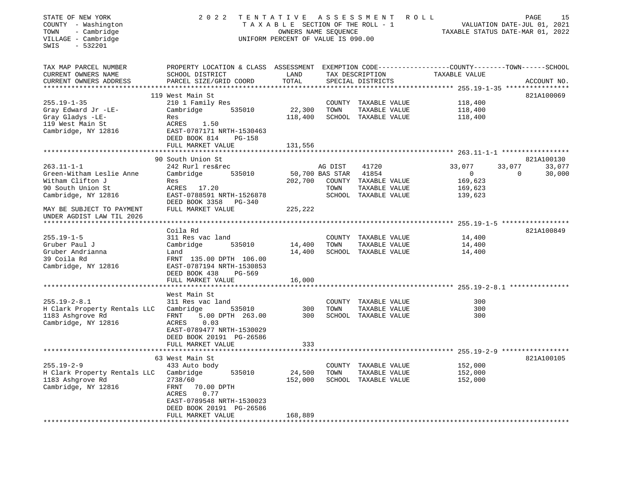| STATE OF NEW YORK<br>COUNTY - Washington<br>- Cambridge<br>TOWN<br>VILLAGE - Cambridge<br>$-532201$<br>SWIS  | 2 0 2 2                                                                                                                                                            | TAXABLE SECTION OF THE ROLL - 1<br>OWNERS NAME SEQUENCE<br>UNIFORM PERCENT OF VALUE IS 090.00 |                 | TENTATIVE ASSESSMENT ROLL                                                       |                                                           | PAGE<br>15<br>VALUATION DATE-JUL 01, 2021<br>TAXABLE STATUS DATE-MAR 01, 2022 |
|--------------------------------------------------------------------------------------------------------------|--------------------------------------------------------------------------------------------------------------------------------------------------------------------|-----------------------------------------------------------------------------------------------|-----------------|---------------------------------------------------------------------------------|-----------------------------------------------------------|-------------------------------------------------------------------------------|
| TAX MAP PARCEL NUMBER<br>CURRENT OWNERS NAME<br>CURRENT OWNERS ADDRESS                                       | PROPERTY LOCATION & CLASS ASSESSMENT EXEMPTION CODE---------------COUNTY-------TOWN------SCHOOL<br>SCHOOL DISTRICT<br>PARCEL SIZE/GRID COORD                       | LAND<br>TOTAL                                                                                 |                 | TAX DESCRIPTION<br>SPECIAL DISTRICTS                                            | TAXABLE VALUE                                             | ACCOUNT NO.                                                                   |
|                                                                                                              | 119 West Main St                                                                                                                                                   |                                                                                               |                 |                                                                                 |                                                           | 821A100069                                                                    |
| $255.19 - 1 - 35$<br>Gray Edward Jr -LE-<br>Gray Gladys -LE-<br>119 West Main St<br>Cambridge, NY 12816      | 210 1 Family Res<br>535010<br>Cambridge<br>Res<br>ACRES 1.50<br>EAST-0787171 NRTH-1530463<br>DEED BOOK 814<br><b>PG-158</b>                                        | 22,300<br>118,400                                                                             | TOWN            | COUNTY TAXABLE VALUE<br>TAXABLE VALUE<br>SCHOOL TAXABLE VALUE                   | 118,400<br>118,400<br>118,400                             |                                                                               |
|                                                                                                              | FULL MARKET VALUE                                                                                                                                                  | 131,556                                                                                       |                 |                                                                                 |                                                           |                                                                               |
|                                                                                                              |                                                                                                                                                                    |                                                                                               |                 |                                                                                 |                                                           |                                                                               |
| $263.11 - 1 - 1$<br>Green-Witham Leslie Anne<br>Witham Clifton J<br>90 South Union St<br>Cambridge, NY 12816 | 90 South Union St<br>242 Rurl res&rec<br>Cambridge<br>535010<br>Res<br>ACRES 17.20<br>EAST-0788591 NRTH-1526878                                                    | 50,700 BAS STAR<br>202,700                                                                    | AG DIST<br>TOWN | 41720<br>41854<br>COUNTY TAXABLE VALUE<br>TAXABLE VALUE<br>SCHOOL TAXABLE VALUE | 33,077<br>$\overline{0}$<br>169,623<br>169,623<br>139,623 | 821A100130<br>33,077<br>33,077<br>$\mathbf 0$<br>30,000                       |
| MAY BE SUBJECT TO PAYMENT<br>UNDER AGDIST LAW TIL 2026                                                       | DEED BOOK 3358 PG-340<br>FULL MARKET VALUE                                                                                                                         | 225,222                                                                                       |                 |                                                                                 |                                                           |                                                                               |
|                                                                                                              | Coila Rd                                                                                                                                                           |                                                                                               |                 |                                                                                 |                                                           | 821A100849                                                                    |
| $255.19 - 1 - 5$<br>Gruber Paul J<br>Gruber Andrianna<br>39 Coila Rd<br>Cambridge, NY 12816                  | 311 Res vac land<br>Cambridge<br>535010<br>Land<br>FRNT 135.00 DPTH 106.00<br>EAST-0787194 NRTH-1530853<br>DEED BOOK 438<br>PG-569                                 | 14,400<br>14,400                                                                              | TOWN            | COUNTY TAXABLE VALUE<br>TAXABLE VALUE<br>SCHOOL TAXABLE VALUE                   | 14,400<br>14,400<br>14,400                                |                                                                               |
|                                                                                                              | FULL MARKET VALUE                                                                                                                                                  | 16,000                                                                                        |                 |                                                                                 |                                                           |                                                                               |
|                                                                                                              | West Main St                                                                                                                                                       |                                                                                               |                 |                                                                                 |                                                           |                                                                               |
| $255.19 - 2 - 8.1$<br>H Clark Property Rentals LLC<br>1183 Ashgrove Rd<br>Cambridge, NY 12816                | 311 Res vac land<br>Cambridge<br>535010<br>5.00 DPTH 263.00<br>FRNT<br>ACRES<br>0.03<br>EAST-0789477 NRTH-1530029<br>DEED BOOK 20191 PG-26586<br>FULL MARKET VALUE | 300<br>300<br>333                                                                             | TOWN            | COUNTY TAXABLE VALUE<br>TAXABLE VALUE<br>SCHOOL TAXABLE VALUE                   | 300<br>300<br>300                                         |                                                                               |
|                                                                                                              |                                                                                                                                                                    |                                                                                               |                 |                                                                                 |                                                           |                                                                               |
| $255.19 - 2 - 9$<br>H Clark Property Rentals LLC<br>1183 Ashgrove Rd<br>Cambridge, NY 12816                  | 63 West Main St<br>433 Auto body<br>Cambridge<br>535010<br>2738/60<br>FRNT<br>70.00 DPTH<br>0.77<br>ACRES<br>EAST-0789548 NRTH-1530023<br>DEED BOOK 20191 PG-26586 | 24,500<br>152,000                                                                             | TOWN            | COUNTY TAXABLE VALUE<br>TAXABLE VALUE<br>SCHOOL TAXABLE VALUE                   | 152,000<br>152,000<br>152,000                             | 821A100105                                                                    |
| *********************                                                                                        | FULL MARKET VALUE                                                                                                                                                  | 168,889                                                                                       |                 |                                                                                 |                                                           |                                                                               |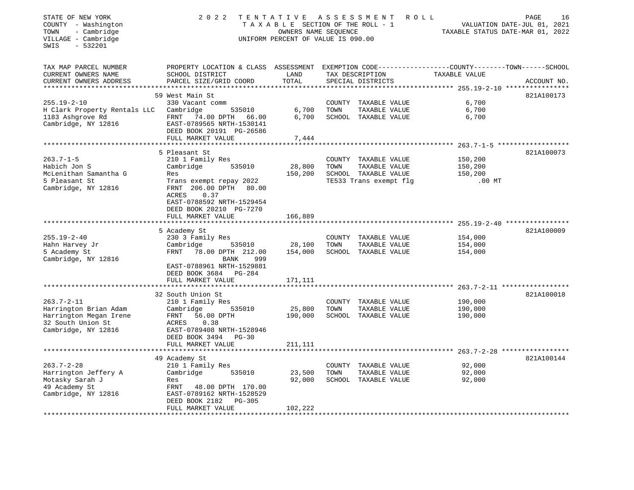| STATE OF NEW YORK<br>COUNTY - Washington<br>- Cambridge<br>TOWN<br>VILLAGE - Cambridge<br>$-532201$<br>SWIS     | 2 0 2 2                                                                                                                                                                                                               | TENTATIVE ASSESSMENT<br>TAXABLE SECTION OF THE ROLL - 1<br>OWNERS NAME SEQUENCE<br>UNIFORM PERCENT OF VALUE IS 090.00 |      | R O L L                                                                                 | TAXABLE STATUS DATE-MAR 01, 2022          | PAGE<br>16<br>VALUATION DATE-JUL 01, 2021 |
|-----------------------------------------------------------------------------------------------------------------|-----------------------------------------------------------------------------------------------------------------------------------------------------------------------------------------------------------------------|-----------------------------------------------------------------------------------------------------------------------|------|-----------------------------------------------------------------------------------------|-------------------------------------------|-------------------------------------------|
| TAX MAP PARCEL NUMBER<br>CURRENT OWNERS NAME<br>CURRENT OWNERS ADDRESS                                          | PROPERTY LOCATION & CLASS ASSESSMENT EXEMPTION CODE----------------COUNTY-------TOWN------SCHOOL<br>SCHOOL DISTRICT<br>PARCEL SIZE/GRID COORD                                                                         | LAND<br>TOTAL                                                                                                         |      | TAX DESCRIPTION<br>SPECIAL DISTRICTS                                                    | TAXABLE VALUE                             | ACCOUNT NO.                               |
|                                                                                                                 | 59 West Main St                                                                                                                                                                                                       |                                                                                                                       |      |                                                                                         |                                           | 821A100173                                |
| $255.19 - 2 - 10$<br>H Clark Property Rentals LLC<br>1183 Ashgrove Rd<br>Cambridge, NY 12816                    | 330 Vacant comm<br>Cambridge<br>535010<br>FRNT 74.00 DPTH 66.00<br>EAST-0789565 NRTH-1530141<br>DEED BOOK 20191 PG-26586<br>FULL MARKET VALUE                                                                         | 6,700<br>6,700<br>7,444                                                                                               | TOWN | COUNTY TAXABLE VALUE<br>TAXABLE VALUE<br>SCHOOL TAXABLE VALUE                           | 6,700<br>6,700<br>6,700                   |                                           |
|                                                                                                                 | **********************                                                                                                                                                                                                |                                                                                                                       |      |                                                                                         |                                           |                                           |
| $263.7 - 1 - 5$<br>Habich Jon S<br>McLenithan Samantha G<br>5 Pleasant St<br>Cambridge, NY 12816                | 5 Pleasant St<br>210 1 Family Res<br>Cambridge<br>535010<br>Res<br>Trans exempt repay 2022<br>FRNT 206.00 DPTH<br>80.00<br>ACRES<br>0.37<br>EAST-0788592 NRTH-1529454<br>DEED BOOK 20210 PG-7270<br>FULL MARKET VALUE | 28,800<br>150,200                                                                                                     | TOWN | COUNTY TAXABLE VALUE<br>TAXABLE VALUE<br>SCHOOL TAXABLE VALUE<br>TE533 Trans exempt flg | 150,200<br>150,200<br>150,200<br>$.00$ MT | 821A100073                                |
|                                                                                                                 |                                                                                                                                                                                                                       | 166,889                                                                                                               |      |                                                                                         |                                           |                                           |
| $255.19 - 2 - 40$<br>Hahn Harvey Jr<br>5 Academy St<br>Cambridge, NY 12816                                      | 5 Academy St<br>230 3 Family Res<br>535010<br>Cambridge<br>FRNT<br>78.00 DPTH 212.00<br>BANK<br>999<br>EAST-0788961 NRTH-1529881<br>DEED BOOK 3684 PG-284                                                             | 28,100<br>154,000                                                                                                     | TOWN | COUNTY TAXABLE VALUE<br>TAXABLE VALUE<br>SCHOOL TAXABLE VALUE                           | 154,000<br>154,000<br>154,000             | 821A100009                                |
|                                                                                                                 | FULL MARKET VALUE                                                                                                                                                                                                     | 171,111                                                                                                               |      |                                                                                         |                                           |                                           |
| $263.7 - 2 - 11$<br>Harrington Brian Adam<br>Harrington Megan Irene<br>32 South Union St<br>Cambridge, NY 12816 | 32 South Union St<br>210 1 Family Res<br>535010<br>Cambridge<br>FRNT<br>56.00 DPTH<br>ACRES<br>0.38<br>EAST-0789408 NRTH-1528946<br>DEED BOOK 3494 PG-30                                                              | 25,800<br>190,000                                                                                                     | TOWN | COUNTY TAXABLE VALUE<br>TAXABLE VALUE<br>SCHOOL TAXABLE VALUE                           | 190,000<br>190,000<br>190,000             | 821A100018                                |
|                                                                                                                 | FULL MARKET VALUE                                                                                                                                                                                                     | 211,111                                                                                                               |      |                                                                                         |                                           |                                           |
| $263.7 - 2 - 28$<br>Harrington Jeffery A<br>Motasky Sarah J<br>49 Academy St<br>Cambridge, NY 12816             | 49 Academy St<br>210 1 Family Res<br>Cambridge<br>535010<br>Res<br>FRNT 48.00 DPTH 170.00<br>EAST-0789162 NRTH-1528529<br>DEED BOOK 2182<br>PG-305                                                                    | 23,500<br>92,000                                                                                                      | TOWN | COUNTY TAXABLE VALUE<br>TAXABLE VALUE<br>SCHOOL TAXABLE VALUE                           | 92,000<br>92,000<br>92,000                | 821A100144                                |
| **************************                                                                                      | FULL MARKET VALUE<br>********************                                                                                                                                                                             | 102,222<br>.                                                                                                          |      |                                                                                         |                                           |                                           |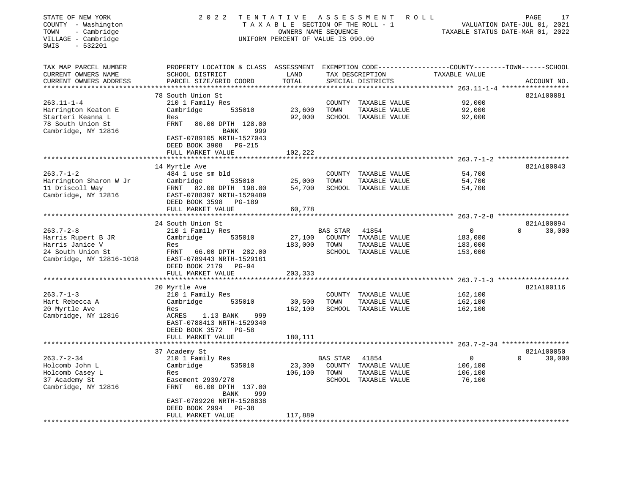| STATE OF NEW YORK<br>COUNTY - Washington<br>- Cambridge<br>TOWN<br>VILLAGE - Cambridge<br>$-532201$<br>SWIS | 2 0 2 2                                                                                                                                      | TENTATIVE ASSESSMENT<br>TAXABLE SECTION OF THE ROLL - 1<br>OWNERS NAME SEQUENCE<br>UNIFORM PERCENT OF VALUE IS 090.00 |          |                                       | R O L L                                              | PAGE<br>17<br>VALUATION DATE-JUL 01, 2021<br>TAXABLE STATUS DATE-MAR 01, 2022 |
|-------------------------------------------------------------------------------------------------------------|----------------------------------------------------------------------------------------------------------------------------------------------|-----------------------------------------------------------------------------------------------------------------------|----------|---------------------------------------|------------------------------------------------------|-------------------------------------------------------------------------------|
| TAX MAP PARCEL NUMBER<br>CURRENT OWNERS NAME<br>CURRENT OWNERS ADDRESS                                      | PROPERTY LOCATION & CLASS ASSESSMENT EXEMPTION CODE---------------COUNTY-------TOWN------SCHOOL<br>SCHOOL DISTRICT<br>PARCEL SIZE/GRID COORD | LAND<br>TOTAL                                                                                                         |          | TAX DESCRIPTION<br>SPECIAL DISTRICTS  | TAXABLE VALUE                                        | ACCOUNT NO.                                                                   |
| **********************                                                                                      |                                                                                                                                              |                                                                                                                       |          |                                       |                                                      |                                                                               |
|                                                                                                             | 78 South Union St                                                                                                                            |                                                                                                                       |          |                                       |                                                      | 821A100081                                                                    |
| $263.11 - 1 - 4$                                                                                            | 210 1 Family Res                                                                                                                             |                                                                                                                       | COUNTY   | TAXABLE VALUE                         | 92,000                                               |                                                                               |
| Harrington Keaton E<br>Starteri Keanna L                                                                    | Cambridge<br>535010<br>Res                                                                                                                   | 23,600<br>92,000                                                                                                      | TOWN     | TAXABLE VALUE<br>SCHOOL TAXABLE VALUE | 92,000<br>92,000                                     |                                                                               |
| 78 South Union St                                                                                           | <b>FRNT</b><br>80.00 DPTH 128.00                                                                                                             |                                                                                                                       |          |                                       |                                                      |                                                                               |
| Cambridge, NY 12816                                                                                         | BANK<br>999                                                                                                                                  |                                                                                                                       |          |                                       |                                                      |                                                                               |
|                                                                                                             | EAST-0789105 NRTH-1527043<br>DEED BOOK 3908 PG-215                                                                                           |                                                                                                                       |          |                                       |                                                      |                                                                               |
|                                                                                                             | FULL MARKET VALUE                                                                                                                            | 102,222<br>**********                                                                                                 |          |                                       |                                                      |                                                                               |
|                                                                                                             |                                                                                                                                              |                                                                                                                       |          |                                       |                                                      | 821A100043                                                                    |
| $263.7 - 1 - 2$                                                                                             | 14 Myrtle Ave<br>484 1 use sm bld                                                                                                            |                                                                                                                       |          | COUNTY TAXABLE VALUE                  | 54,700                                               |                                                                               |
| Harrington Sharon W Jr                                                                                      | Cambridge<br>535010                                                                                                                          | 25,000                                                                                                                | TOWN     | TAXABLE VALUE                         | 54,700                                               |                                                                               |
| 11 Driscoll Way                                                                                             | FRNT<br>82.00 DPTH 198.00                                                                                                                    | 54,700                                                                                                                |          | SCHOOL TAXABLE VALUE                  | 54,700                                               |                                                                               |
| Cambridge, NY 12816                                                                                         | EAST-0788397 NRTH-1529489<br>DEED BOOK 3598<br>PG-189                                                                                        |                                                                                                                       |          |                                       |                                                      |                                                                               |
|                                                                                                             | FULL MARKET VALUE                                                                                                                            | 60,778                                                                                                                |          |                                       |                                                      |                                                                               |
|                                                                                                             | *************************                                                                                                                    | **********                                                                                                            |          |                                       | ********************** 263.7-2-8 ******************* |                                                                               |
|                                                                                                             | 24 South Union St                                                                                                                            |                                                                                                                       |          |                                       |                                                      | 821A100094                                                                    |
| $263.7 - 2 - 8$                                                                                             | 210 1 Family Res                                                                                                                             |                                                                                                                       | BAS STAR | 41854                                 | 0                                                    | 30,000<br>$\Omega$                                                            |
| Harris Rupert B JR                                                                                          | 535010<br>Cambridge                                                                                                                          | 27,100                                                                                                                |          | COUNTY TAXABLE VALUE                  | 183,000                                              |                                                                               |
| Harris Janice V                                                                                             | Res                                                                                                                                          | 183,000                                                                                                               | TOWN     | TAXABLE VALUE                         | 183,000                                              |                                                                               |
| 24 South Union St<br>Cambridge, NY 12816-1018                                                               | FRNT<br>66.00 DPTH 282.00<br>EAST-0789443 NRTH-1529161                                                                                       |                                                                                                                       |          | SCHOOL TAXABLE VALUE                  | 153,000                                              |                                                                               |
|                                                                                                             | DEED BOOK 2179 PG-94                                                                                                                         |                                                                                                                       |          |                                       |                                                      |                                                                               |
|                                                                                                             | FULL MARKET VALUE                                                                                                                            | 203,333                                                                                                               |          |                                       |                                                      |                                                                               |
|                                                                                                             |                                                                                                                                              |                                                                                                                       |          |                                       | *************** 263.7-1-3 *******************        |                                                                               |
|                                                                                                             | 20 Myrtle Ave                                                                                                                                |                                                                                                                       |          |                                       |                                                      | 821A100116                                                                    |
| $263.7 - 1 - 3$                                                                                             | 210 1 Family Res                                                                                                                             |                                                                                                                       |          | COUNTY TAXABLE VALUE                  | 162,100                                              |                                                                               |
| Hart Rebecca A                                                                                              | Cambridge<br>535010                                                                                                                          | 30,500                                                                                                                | TOWN     | TAXABLE VALUE                         | 162,100                                              |                                                                               |
| 20 Myrtle Ave                                                                                               | Res                                                                                                                                          | 162,100                                                                                                               |          | SCHOOL TAXABLE VALUE                  | 162,100                                              |                                                                               |
| Cambridge, NY 12816                                                                                         | ACRES<br>1.13 BANK<br>999<br>EAST-0788413 NRTH-1529340                                                                                       |                                                                                                                       |          |                                       |                                                      |                                                                               |
|                                                                                                             | DEED BOOK 3572<br><b>PG-58</b>                                                                                                               |                                                                                                                       |          |                                       |                                                      |                                                                               |
|                                                                                                             | FULL MARKET VALUE                                                                                                                            | 180,111                                                                                                               |          |                                       |                                                      |                                                                               |
|                                                                                                             |                                                                                                                                              |                                                                                                                       |          |                                       | ********** 263.7-2-34 ******************             |                                                                               |
|                                                                                                             | 37 Academy St                                                                                                                                |                                                                                                                       |          |                                       |                                                      | 821A100050                                                                    |
| $263.7 - 2 - 34$                                                                                            | 210 1 Family Res                                                                                                                             |                                                                                                                       | BAS STAR | 41854                                 | $\mathbf{0}$                                         | $\Omega$<br>30,000                                                            |
| Holcomb John L                                                                                              | Cambridge<br>535010                                                                                                                          | 23,300                                                                                                                |          | COUNTY TAXABLE VALUE                  | 106,100                                              |                                                                               |
| Holcomb Casey L                                                                                             | Res                                                                                                                                          | 106,100                                                                                                               | TOWN     | TAXABLE VALUE                         | 106,100                                              |                                                                               |
| 37 Academy St<br>Cambridge, NY 12816                                                                        | Easement 2939/270<br>FRNT<br>66.00 DPTH 137.00                                                                                               |                                                                                                                       |          | SCHOOL TAXABLE VALUE                  | 76,100                                               |                                                                               |
|                                                                                                             | <b>BANK</b><br>999                                                                                                                           |                                                                                                                       |          |                                       |                                                      |                                                                               |
|                                                                                                             | EAST-0789226 NRTH-1528838                                                                                                                    |                                                                                                                       |          |                                       |                                                      |                                                                               |
|                                                                                                             | DEED BOOK 2994<br>$PG-38$                                                                                                                    |                                                                                                                       |          |                                       |                                                      |                                                                               |
|                                                                                                             | FULL MARKET VALUE                                                                                                                            | 117,889                                                                                                               |          |                                       |                                                      |                                                                               |
|                                                                                                             | * * * * * * * * * * * * * * * * * *                                                                                                          |                                                                                                                       |          |                                       |                                                      |                                                                               |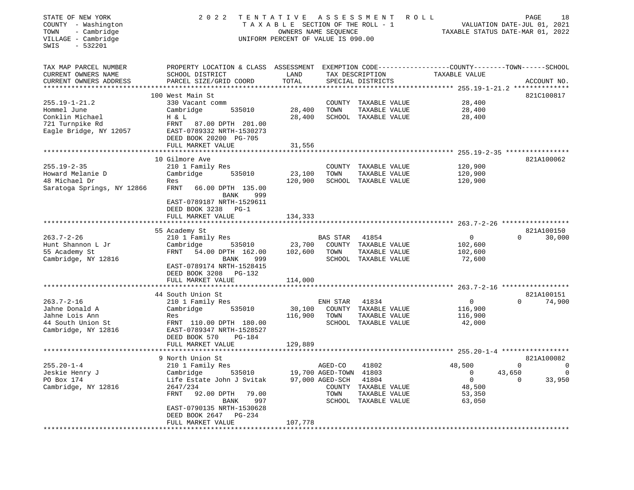| 2 0 2 2                                                                                                                                                                                  |                                                                                                                                                           |                   |                                                                                    | PAGE<br>18<br>VALUATION DATE-JUL 01, 2021<br>TAXABLE STATUS DATE-MAR 01, 2022                                                                                                                                                                                                                                                                                                                                              |                                            |                                                                                                                                |
|------------------------------------------------------------------------------------------------------------------------------------------------------------------------------------------|-----------------------------------------------------------------------------------------------------------------------------------------------------------|-------------------|------------------------------------------------------------------------------------|----------------------------------------------------------------------------------------------------------------------------------------------------------------------------------------------------------------------------------------------------------------------------------------------------------------------------------------------------------------------------------------------------------------------------|--------------------------------------------|--------------------------------------------------------------------------------------------------------------------------------|
| SCHOOL DISTRICT<br>PARCEL SIZE/GRID COORD                                                                                                                                                | LAND<br>TOTAL                                                                                                                                             |                   |                                                                                    | TAXABLE VALUE                                                                                                                                                                                                                                                                                                                                                                                                              |                                            | ACCOUNT NO.                                                                                                                    |
| 100 West Main St                                                                                                                                                                         |                                                                                                                                                           |                   |                                                                                    |                                                                                                                                                                                                                                                                                                                                                                                                                            |                                            | 821C100817                                                                                                                     |
| Cambridge<br>535010<br>H & L<br>FRNT<br>87.00 DPTH 201.00<br>EAST-0789332 NRTH-1530273<br>DEED BOOK 20200 PG-705                                                                         | 28,400<br>28,400                                                                                                                                          | TOWN              | TAXABLE VALUE                                                                      | 28,400<br>28,400                                                                                                                                                                                                                                                                                                                                                                                                           |                                            |                                                                                                                                |
| ****************************                                                                                                                                                             |                                                                                                                                                           |                   |                                                                                    |                                                                                                                                                                                                                                                                                                                                                                                                                            |                                            |                                                                                                                                |
| 10 Gilmore Ave<br>210 1 Family Res<br>Cambridge<br>535010<br>Res<br>FRNT<br>66.00 DPTH 135.00<br>999<br>BANK                                                                             | 23,100<br>120,900                                                                                                                                         | COUNTY<br>TOWN    | TAXABLE VALUE                                                                      | 120,900<br>120,900<br>120,900                                                                                                                                                                                                                                                                                                                                                                                              |                                            |                                                                                                                                |
| DEED BOOK 3238 PG-1<br>FULL MARKET VALUE                                                                                                                                                 | 134,333                                                                                                                                                   |                   |                                                                                    |                                                                                                                                                                                                                                                                                                                                                                                                                            |                                            |                                                                                                                                |
| 55 Academy St                                                                                                                                                                            |                                                                                                                                                           |                   |                                                                                    |                                                                                                                                                                                                                                                                                                                                                                                                                            |                                            | 821A100150<br>30,000                                                                                                           |
| Cambridge<br>535010<br>FRNT<br>54.00 DPTH 162.00<br>BANK<br>999<br>EAST-0789174 NRTH-1528415<br>DEED BOOK 3208<br>PG-132                                                                 | 23,700<br>102,600                                                                                                                                         | TOWN              | TAXABLE VALUE                                                                      | 102,600<br>102,600<br>72,600                                                                                                                                                                                                                                                                                                                                                                                               |                                            |                                                                                                                                |
|                                                                                                                                                                                          |                                                                                                                                                           |                   |                                                                                    |                                                                                                                                                                                                                                                                                                                                                                                                                            |                                            |                                                                                                                                |
| 44 South Union St<br>210 1 Family Res<br>Cambridge<br>535010<br>Res<br>FRNT 110.00 DPTH 180.00<br>EAST-0789347 NRTH-1528527                                                              | 30,100<br>116,900                                                                                                                                         | TOWN              | 41834<br>TAXABLE VALUE                                                             | $\mathbf 0$<br>116,900<br>116,900<br>42,000                                                                                                                                                                                                                                                                                                                                                                                | $\Omega$                                   | 821A100151<br>74,900                                                                                                           |
| FULL MARKET VALUE                                                                                                                                                                        | 129,889                                                                                                                                                   |                   |                                                                                    |                                                                                                                                                                                                                                                                                                                                                                                                                            |                                            |                                                                                                                                |
| 9 North Union St                                                                                                                                                                         |                                                                                                                                                           |                   |                                                                                    |                                                                                                                                                                                                                                                                                                                                                                                                                            | 821A100082                                 |                                                                                                                                |
| 535010<br>Cambridge<br>Life Estate John J Svitak<br>2647/234<br>92.00 DPTH<br>79.00<br>FRNT<br>997<br>BANK<br>EAST-0790135 NRTH-1530628<br>DEED BOOK 2647<br>PG-234<br>FULL MARKET VALUE | 107,778                                                                                                                                                   | COUNTY<br>TOWN    | 41804<br>TAXABLE VALUE<br>TAXABLE VALUE                                            | 0<br>0<br>48,500<br>53,350<br>63,050                                                                                                                                                                                                                                                                                                                                                                                       | 43,650<br>$\Omega$                         | 0<br>33,950                                                                                                                    |
|                                                                                                                                                                                          | 330 Vacant comm<br>FULL MARKET VALUE<br>EAST-0789187 NRTH-1529611<br>210 1 Family Res<br>FULL MARKET VALUE<br>DEED BOOK 570<br>PG-184<br>210 1 Family Res | 31,556<br>114,000 | <b>BAS STAR</b><br>ENH STAR<br>*********************<br>AGED-CO<br>97,000 AGED-SCH | TENTATIVE ASSESSMENT<br>TAXABLE SECTION OF THE ROLL - 1<br>OWNERS NAME SEQUENCE<br>UNIFORM PERCENT OF VALUE IS 090.00<br>TAX DESCRIPTION<br>SPECIAL DISTRICTS<br>COUNTY TAXABLE VALUE<br>SCHOOL TAXABLE VALUE<br>TAXABLE VALUE<br>SCHOOL TAXABLE VALUE<br>41854<br>COUNTY TAXABLE VALUE<br>SCHOOL TAXABLE VALUE<br>COUNTY TAXABLE VALUE<br>SCHOOL TAXABLE VALUE<br>41802<br>19,700 AGED-TOWN 41803<br>SCHOOL TAXABLE VALUE | ROLL<br>28,400<br>$\overline{0}$<br>48,500 | PROPERTY LOCATION & CLASS ASSESSMENT EXEMPTION CODE---------------COUNTY-------TOWN------SCHOOL<br>821A100062<br>$\Omega$<br>0 |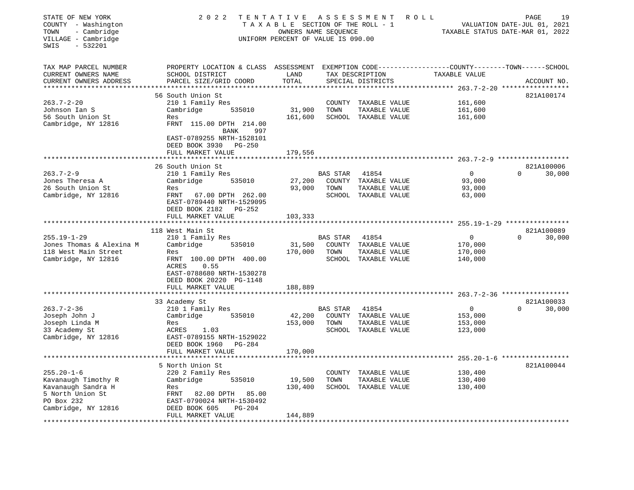| STATE OF NEW YORK<br>COUNTY - Washington<br>- Cambridge<br>TOWN<br>VILLAGE - Cambridge<br>$-532201$<br>SWIS | 2022                                                                                                                                         | TENTATIVE ASSESSMENT<br>TAXABLE SECTION OF THE ROLL - 1<br>OWNERS NAME SEQUENCE<br>UNIFORM PERCENT OF VALUE IS 090.00 |          |                                      | ROLL                                                        | PAGE<br>19<br>VALUATION DATE-JUL 01, 2021<br>TAXABLE STATUS DATE-MAR 01, 2022 |
|-------------------------------------------------------------------------------------------------------------|----------------------------------------------------------------------------------------------------------------------------------------------|-----------------------------------------------------------------------------------------------------------------------|----------|--------------------------------------|-------------------------------------------------------------|-------------------------------------------------------------------------------|
| TAX MAP PARCEL NUMBER<br>CURRENT OWNERS NAME<br>CURRENT OWNERS ADDRESS                                      | PROPERTY LOCATION & CLASS ASSESSMENT EXEMPTION CODE---------------COUNTY-------TOWN------SCHOOL<br>SCHOOL DISTRICT<br>PARCEL SIZE/GRID COORD | LAND<br>TOTAL                                                                                                         |          | TAX DESCRIPTION<br>SPECIAL DISTRICTS | TAXABLE VALUE                                               | ACCOUNT NO.                                                                   |
|                                                                                                             | 56 South Union St                                                                                                                            |                                                                                                                       |          |                                      | ********* 263.7-2-20 ******************                     | 821A100174                                                                    |
| $263.7 - 2 - 20$                                                                                            | 210 1 Family Res                                                                                                                             |                                                                                                                       |          | COUNTY TAXABLE VALUE                 | 161,600                                                     |                                                                               |
| Johnson Ian S                                                                                               | Cambridge<br>535010                                                                                                                          | 31,900                                                                                                                | TOWN     | TAXABLE VALUE                        | 161,600                                                     |                                                                               |
| 56 South Union St                                                                                           | Res                                                                                                                                          | 161,600                                                                                                               |          | SCHOOL TAXABLE VALUE                 | 161,600                                                     |                                                                               |
| Cambridge, NY 12816                                                                                         | FRNT 115.00 DPTH 214.00                                                                                                                      |                                                                                                                       |          |                                      |                                                             |                                                                               |
|                                                                                                             | BANK<br>997<br>EAST-0789255 NRTH-1528101<br>DEED BOOK 3930<br>PG-250<br>FULL MARKET VALUE                                                    | 179,556                                                                                                               |          |                                      |                                                             |                                                                               |
|                                                                                                             |                                                                                                                                              |                                                                                                                       |          |                                      |                                                             |                                                                               |
|                                                                                                             | 26 South Union St                                                                                                                            |                                                                                                                       |          |                                      |                                                             | 821A100006                                                                    |
| $263.7 - 2 - 9$                                                                                             | 210 1 Family Res                                                                                                                             |                                                                                                                       | BAS STAR | 41854                                | $\overline{0}$                                              | $\Omega$<br>30,000                                                            |
| Jones Theresa A                                                                                             | Cambridge<br>535010                                                                                                                          | 27,200                                                                                                                |          | COUNTY TAXABLE VALUE                 | 93,000                                                      |                                                                               |
| 26 South Union St                                                                                           | Res                                                                                                                                          | 93,000                                                                                                                | TOWN     | TAXABLE VALUE                        | 93,000                                                      |                                                                               |
| Cambridge, NY 12816                                                                                         | FRNT 67.00 DPTH 262.00<br>EAST-0789440 NRTH-1529095<br>DEED BOOK 2182 PG-252                                                                 |                                                                                                                       |          | SCHOOL TAXABLE VALUE                 | 63,000                                                      |                                                                               |
|                                                                                                             | FULL MARKET VALUE                                                                                                                            | 103,333                                                                                                               |          |                                      |                                                             |                                                                               |
|                                                                                                             |                                                                                                                                              |                                                                                                                       |          |                                      | *********** 255.19-1-29 ****************                    |                                                                               |
|                                                                                                             | 118 West Main St                                                                                                                             |                                                                                                                       |          |                                      |                                                             | 821A100089                                                                    |
| $255.19 - 1 - 29$<br>Jones Thomas & Alexina M                                                               | 210 1 Family Res<br>Cambridge<br>535010                                                                                                      | 31,500                                                                                                                | BAS STAR | 41854<br>COUNTY TAXABLE VALUE        | $\overline{0}$<br>170,000                                   | $\Omega$<br>30,000                                                            |
| 118 West Main Street                                                                                        | Res                                                                                                                                          | 170,000                                                                                                               | TOWN     | TAXABLE VALUE                        | 170,000                                                     |                                                                               |
| Cambridge, NY 12816                                                                                         | FRNT 100.00 DPTH 400.00                                                                                                                      |                                                                                                                       |          | SCHOOL TAXABLE VALUE                 | 140,000                                                     |                                                                               |
|                                                                                                             | ACRES<br>0.55<br>EAST-0788680 NRTH-1530278                                                                                                   |                                                                                                                       |          |                                      |                                                             |                                                                               |
|                                                                                                             | DEED BOOK 20220 PG-1148                                                                                                                      |                                                                                                                       |          |                                      |                                                             |                                                                               |
|                                                                                                             | FULL MARKET VALUE                                                                                                                            | 188,889<br>***********                                                                                                |          |                                      | ****************************** 263.7-2-36 ***************** |                                                                               |
|                                                                                                             | 33 Academy St                                                                                                                                |                                                                                                                       |          |                                      |                                                             | 821A100033                                                                    |
| $263.7 - 2 - 36$                                                                                            | 210 1 Family Res                                                                                                                             |                                                                                                                       | BAS STAR | 41854                                | $\overline{0}$                                              | $\Omega$<br>30,000                                                            |
| Joseph John J                                                                                               | 535010<br>Cambridge                                                                                                                          | 42,200                                                                                                                |          | COUNTY TAXABLE VALUE                 | 153,000                                                     |                                                                               |
| Joseph Linda M                                                                                              | Res                                                                                                                                          | 153,000                                                                                                               | TOWN     | TAXABLE VALUE                        | 153,000                                                     |                                                                               |
| 33 Academy St                                                                                               | ACRES<br>1.03                                                                                                                                |                                                                                                                       |          | SCHOOL TAXABLE VALUE                 | 123,000                                                     |                                                                               |
| Cambridge, NY 12816                                                                                         | EAST-0789155 NRTH-1529022                                                                                                                    |                                                                                                                       |          |                                      |                                                             |                                                                               |
|                                                                                                             | DEED BOOK 1960<br>PG-284<br>FULL MARKET VALUE                                                                                                | 170,000                                                                                                               |          |                                      |                                                             |                                                                               |
|                                                                                                             |                                                                                                                                              |                                                                                                                       |          |                                      | ****************************** 255.20-1-6 ***************** |                                                                               |
|                                                                                                             | 5 North Union St                                                                                                                             |                                                                                                                       |          |                                      |                                                             | 821A100044                                                                    |
| $255.20 - 1 - 6$                                                                                            | 220 2 Family Res                                                                                                                             |                                                                                                                       |          | COUNTY TAXABLE VALUE                 | 130,400                                                     |                                                                               |
| Kavanaugh Timothy R                                                                                         | Cambridge<br>535010                                                                                                                          | 19,500                                                                                                                | TOWN     | TAXABLE VALUE                        | 130,400                                                     |                                                                               |
| Kavanaugh Sandra H                                                                                          | Res                                                                                                                                          | 130,400                                                                                                               |          | SCHOOL TAXABLE VALUE                 | 130,400                                                     |                                                                               |
| 5 North Union St                                                                                            | 82.00 DPTH 85.00<br>FRNT                                                                                                                     |                                                                                                                       |          |                                      |                                                             |                                                                               |
| PO Box 232<br>Cambridge, NY 12816                                                                           | EAST-0790024 NRTH-1530492<br>DEED BOOK 605<br>$PG-204$                                                                                       |                                                                                                                       |          |                                      |                                                             |                                                                               |
|                                                                                                             | FULL MARKET VALUE                                                                                                                            | 144,889                                                                                                               |          |                                      |                                                             |                                                                               |
|                                                                                                             | *******************                                                                                                                          |                                                                                                                       |          |                                      |                                                             |                                                                               |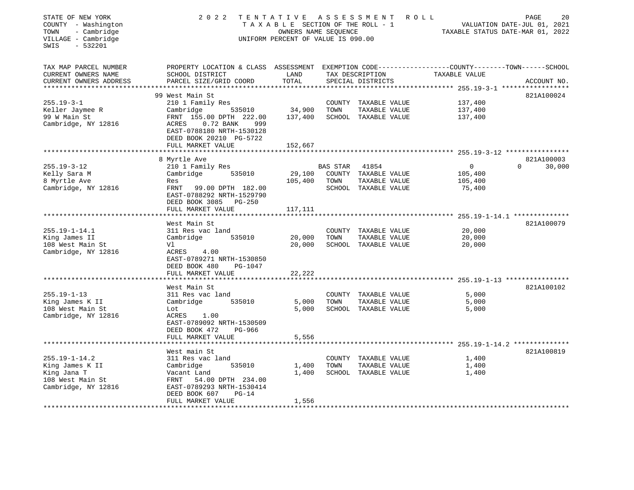| STATE OF NEW YORK<br>COUNTY - Washington<br>- Cambridge<br>TOWN<br>VILLAGE - Cambridge<br>$-532201$<br>SWIS | 2 0 2 2                                                                                        | TENTATIVE ASSESSMENT<br>TAXABLE SECTION OF THE ROLL - 1<br>OWNERS NAME SEQUENCE<br>UNIFORM PERCENT OF VALUE IS 090.00 |                 |                      | R O L L |               | 20<br>PAGE<br>VALUATION DATE-JUL 01, 2021<br>TAXABLE STATUS DATE-MAR 01, 2022 |
|-------------------------------------------------------------------------------------------------------------|------------------------------------------------------------------------------------------------|-----------------------------------------------------------------------------------------------------------------------|-----------------|----------------------|---------|---------------|-------------------------------------------------------------------------------|
| TAX MAP PARCEL NUMBER                                                                                       | PROPERTY LOCATION & CLASS ASSESSMENT EXEMPTION CODE---------------COUNTY-------TOWN-----SCHOOL |                                                                                                                       |                 |                      |         |               |                                                                               |
| CURRENT OWNERS NAME                                                                                         | SCHOOL DISTRICT                                                                                | LAND                                                                                                                  |                 | TAX DESCRIPTION      |         | TAXABLE VALUE |                                                                               |
| CURRENT OWNERS ADDRESS<br>**********************                                                            | PARCEL SIZE/GRID COORD                                                                         | TOTAL                                                                                                                 |                 | SPECIAL DISTRICTS    |         |               | ACCOUNT NO.                                                                   |
|                                                                                                             | 99 West Main St                                                                                |                                                                                                                       |                 |                      |         |               | 821A100024                                                                    |
| $255.19 - 3 - 1$                                                                                            | 210 1 Family Res                                                                               |                                                                                                                       |                 | COUNTY TAXABLE VALUE |         | 137,400       |                                                                               |
| Keller Jaymee R                                                                                             | Cambridge<br>535010                                                                            | 34,900                                                                                                                | TOWN            | TAXABLE VALUE        |         | 137,400       |                                                                               |
| 99 W Main St                                                                                                | FRNT 155.00 DPTH 222.00                                                                        | 137,400                                                                                                               |                 | SCHOOL TAXABLE VALUE |         | 137,400       |                                                                               |
| Cambridge, NY 12816                                                                                         | ACRES<br>$0.72$ BANK<br>999<br>EAST-0788180 NRTH-1530128<br>DEED BOOK 20210 PG-5722            |                                                                                                                       |                 |                      |         |               |                                                                               |
|                                                                                                             | FULL MARKET VALUE                                                                              | 152,667                                                                                                               |                 |                      |         |               |                                                                               |
|                                                                                                             |                                                                                                |                                                                                                                       |                 |                      |         |               |                                                                               |
| $255.19 - 3 - 12$                                                                                           | 8 Myrtle Ave<br>210 1 Family Res                                                               |                                                                                                                       | <b>BAS STAR</b> | 41854                |         | $\mathbf{0}$  | 821A100003<br>30,000<br>$\Omega$                                              |
| Kelly Sara M                                                                                                | Cambridge<br>535010                                                                            | 29,100                                                                                                                |                 | COUNTY TAXABLE VALUE |         | 105,400       |                                                                               |
| 8 Myrtle Ave                                                                                                | Res                                                                                            | 105,400                                                                                                               | TOWN            | TAXABLE VALUE        |         | 105,400       |                                                                               |
| Cambridge, NY 12816                                                                                         | FRNT<br>99.00 DPTH 182.00                                                                      |                                                                                                                       |                 | SCHOOL TAXABLE VALUE |         | 75,400        |                                                                               |
|                                                                                                             | EAST-0788292 NRTH-1529790                                                                      |                                                                                                                       |                 |                      |         |               |                                                                               |
|                                                                                                             | DEED BOOK 3085 PG-250                                                                          |                                                                                                                       |                 |                      |         |               |                                                                               |
|                                                                                                             | FULL MARKET VALUE                                                                              | 117,111                                                                                                               |                 |                      |         |               |                                                                               |
|                                                                                                             | West Main St                                                                                   |                                                                                                                       |                 |                      |         |               | 821A100079                                                                    |
| $255.19 - 1 - 14.1$                                                                                         | 311 Res vac land                                                                               |                                                                                                                       |                 | COUNTY TAXABLE VALUE |         | 20,000        |                                                                               |
| King James II                                                                                               | Cambridge<br>535010                                                                            | 20,000                                                                                                                | TOWN            | TAXABLE VALUE        |         | 20,000        |                                                                               |
| 108 West Main St                                                                                            | Vl                                                                                             | 20,000                                                                                                                |                 | SCHOOL TAXABLE VALUE |         | 20,000        |                                                                               |
| Cambridge, NY 12816                                                                                         | ACRES 4.00                                                                                     |                                                                                                                       |                 |                      |         |               |                                                                               |
|                                                                                                             | EAST-0789271 NRTH-1530850                                                                      |                                                                                                                       |                 |                      |         |               |                                                                               |
|                                                                                                             | DEED BOOK 480<br>PG-1047                                                                       |                                                                                                                       |                 |                      |         |               |                                                                               |
|                                                                                                             | FULL MARKET VALUE                                                                              | 22,222                                                                                                                |                 |                      |         |               |                                                                               |
|                                                                                                             | West Main St                                                                                   |                                                                                                                       |                 |                      |         |               | 821A100102                                                                    |
| $255.19 - 1 - 13$                                                                                           | 311 Res vac land                                                                               |                                                                                                                       |                 | COUNTY TAXABLE VALUE |         | 5,000         |                                                                               |
| King James K II                                                                                             | Cambridge<br>535010                                                                            | 5,000                                                                                                                 | TOWN            | TAXABLE VALUE        |         | 5,000         |                                                                               |
| 108 West Main St                                                                                            | Lot                                                                                            | 5,000                                                                                                                 |                 | SCHOOL TAXABLE VALUE |         | 5,000         |                                                                               |
| Cambridge, NY 12816                                                                                         | ACRES<br>1.00                                                                                  |                                                                                                                       |                 |                      |         |               |                                                                               |
|                                                                                                             | EAST-0789092 NRTH-1530509                                                                      |                                                                                                                       |                 |                      |         |               |                                                                               |
|                                                                                                             | DEED BOOK 472<br>PG-966<br>FULL MARKET VALUE                                                   | 5,556                                                                                                                 |                 |                      |         |               |                                                                               |
|                                                                                                             |                                                                                                |                                                                                                                       |                 |                      |         |               |                                                                               |
|                                                                                                             | West main St                                                                                   |                                                                                                                       |                 |                      |         |               | 821A100819                                                                    |
| $255.19 - 1 - 14.2$                                                                                         | 311 Res vac land                                                                               |                                                                                                                       |                 | COUNTY TAXABLE VALUE |         | 1,400         |                                                                               |
| King James K II                                                                                             | Cambridge<br>535010                                                                            | 1,400                                                                                                                 | TOWN            | TAXABLE VALUE        |         | 1,400         |                                                                               |
| King Jana T                                                                                                 | Vacant Land                                                                                    | 1,400                                                                                                                 |                 | SCHOOL TAXABLE VALUE |         | 1,400         |                                                                               |
| 108 West Main St                                                                                            | FRNT<br>54.00 DPTH 234.00                                                                      |                                                                                                                       |                 |                      |         |               |                                                                               |
| Cambridge, NY 12816                                                                                         | EAST-0789293 NRTH-1530414<br>DEED BOOK 607<br>$PG-14$                                          |                                                                                                                       |                 |                      |         |               |                                                                               |
|                                                                                                             | FULL MARKET VALUE                                                                              | 1,556                                                                                                                 |                 |                      |         |               |                                                                               |
|                                                                                                             |                                                                                                | ********************                                                                                                  |                 |                      |         |               |                                                                               |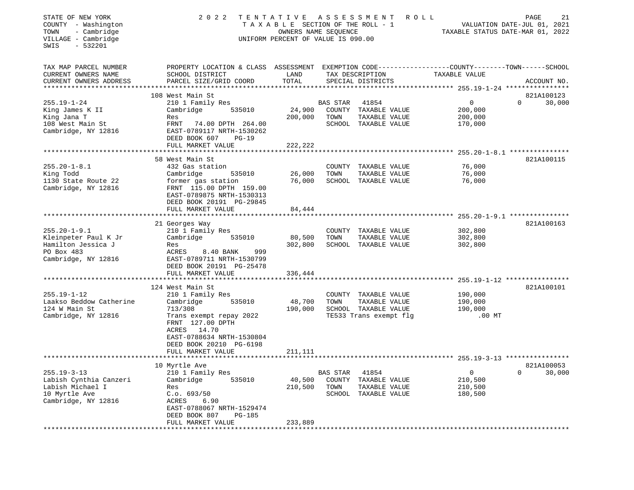| STATE OF NEW YORK<br>COUNTY - Washington<br>- Cambridge<br>TOWN<br>VILLAGE - Cambridge<br>$-532201$<br>SWIS | 2 0 2 2                                                                                                                                                                                      | TENTATIVE ASSESSMENT<br>TAXABLE SECTION OF THE ROLL - 1<br>OWNERS NAME SEQUENCE<br>UNIFORM PERCENT OF VALUE IS 090.00 |                  |                                                                                         | ROLL                                                  | PAGE<br>21<br>VALUATION DATE-JUL 01, 2021<br>TAXABLE STATUS DATE-MAR 01, 2022 |
|-------------------------------------------------------------------------------------------------------------|----------------------------------------------------------------------------------------------------------------------------------------------------------------------------------------------|-----------------------------------------------------------------------------------------------------------------------|------------------|-----------------------------------------------------------------------------------------|-------------------------------------------------------|-------------------------------------------------------------------------------|
| TAX MAP PARCEL NUMBER<br>CURRENT OWNERS NAME<br>CURRENT OWNERS ADDRESS                                      | PROPERTY LOCATION & CLASS ASSESSMENT EXEMPTION CODE----------------COUNTY-------TOWN-----SCHOOL<br>SCHOOL DISTRICT<br>PARCEL SIZE/GRID COORD                                                 | LAND<br>TOTAL                                                                                                         |                  | TAX DESCRIPTION<br>SPECIAL DISTRICTS                                                    | TAXABLE VALUE                                         | ACCOUNT NO.                                                                   |
| $255.19 - 1 - 24$<br>King James K II<br>King Jana T<br>108 West Main St<br>Cambridge, NY 12816              | 108 West Main St<br>210 1 Family Res<br>Cambridge<br>535010<br>Res<br>FRNT<br>74.00 DPTH 264.00<br>EAST-0789117 NRTH-1530262<br>DEED BOOK 607<br>$PG-19$<br>FULL MARKET VALUE                | 24,900<br>200,000<br>222,222                                                                                          | BAS STAR<br>TOWN | 41854<br>COUNTY TAXABLE VALUE<br>TAXABLE VALUE<br>SCHOOL TAXABLE VALUE                  | $\mathbf 0$<br>200,000<br>200,000<br>170,000          | 821A100123<br>30,000<br>$\Omega$                                              |
|                                                                                                             |                                                                                                                                                                                              |                                                                                                                       |                  |                                                                                         |                                                       |                                                                               |
| $255.20 - 1 - 8.1$<br>King Todd<br>1130 State Route 22<br>Cambridge, NY 12816                               | 58 West Main St<br>432 Gas station<br>535010<br>Cambridge<br>former gas station<br>FRNT 115.00 DPTH 159.00<br>EAST-0789875 NRTH-1530313<br>DEED BOOK 20191 PG-29845                          | 26,000<br>76,000                                                                                                      | TOWN             | COUNTY TAXABLE VALUE<br>TAXABLE VALUE<br>SCHOOL TAXABLE VALUE                           | 76,000<br>76,000<br>76,000                            | 821A100115                                                                    |
|                                                                                                             | FULL MARKET VALUE                                                                                                                                                                            | 84,444                                                                                                                |                  |                                                                                         | ************************ 255.20-1-9.1 *************** |                                                                               |
| $255.20 - 1 - 9.1$<br>Kleinpeter Paul K Jr<br>Hamilton Jessica J<br>PO Box 483<br>Cambridge, NY 12816       | 21 Georges Way<br>210 1 Family Res<br>Cambridge<br>535010<br>Res<br>ACRES<br>8.40 BANK<br>999<br>EAST-0789711 NRTH-1530799<br>DEED BOOK 20191 PG-25478<br>FULL MARKET VALUE                  | 80,500<br>302,800<br>336,444                                                                                          | TOWN             | COUNTY TAXABLE VALUE<br>TAXABLE VALUE<br>SCHOOL TAXABLE VALUE                           | 302,800<br>302,800<br>302,800                         | 821A100163                                                                    |
|                                                                                                             |                                                                                                                                                                                              |                                                                                                                       |                  |                                                                                         |                                                       |                                                                               |
| $255.19 - 1 - 12$<br>Laakso Beddow Catherine<br>124 W Main St<br>Cambridge, NY 12816                        | 124 West Main St<br>210 1 Family Res<br>Cambridge<br>535010<br>713/308<br>Trans exempt repay 2022<br>FRNT 127.00 DPTH<br>ACRES 14.70<br>EAST-0788634 NRTH-1530804<br>DEED BOOK 20210 PG-6198 | 48,700<br>190,000                                                                                                     | TOWN             | COUNTY TAXABLE VALUE<br>TAXABLE VALUE<br>SCHOOL TAXABLE VALUE<br>TE533 Trans exempt flg | 190,000<br>190,000<br>190,000<br>$.00$ MT             | 821A100101                                                                    |
|                                                                                                             | FULL MARKET VALUE<br>*******************                                                                                                                                                     | 211,111                                                                                                               |                  |                                                                                         |                                                       |                                                                               |
|                                                                                                             | 10 Myrtle Ave                                                                                                                                                                                |                                                                                                                       |                  |                                                                                         |                                                       | 821A100053                                                                    |
| $255.19 - 3 - 13$<br>Labish Cynthia Canzeri<br>Labish Michael I<br>10 Myrtle Ave<br>Cambridge, NY 12816     | 210 1 Family Res<br>Cambridge<br>535010<br>Res<br>C.o. 693/50<br>ACRES<br>6.90<br>EAST-0788067 NRTH-1529474<br>DEED BOOK 807<br><b>PG-185</b><br>FULL MARKET VALUE                           | 40,500<br>210,500<br>233,889                                                                                          | BAS STAR<br>TOWN | 41854<br>COUNTY TAXABLE VALUE<br>TAXABLE VALUE<br>SCHOOL TAXABLE VALUE                  | $\mathbf{0}$<br>210,500<br>210,500<br>180,500         | 30,000<br>$\Omega$                                                            |
|                                                                                                             |                                                                                                                                                                                              |                                                                                                                       |                  |                                                                                         |                                                       |                                                                               |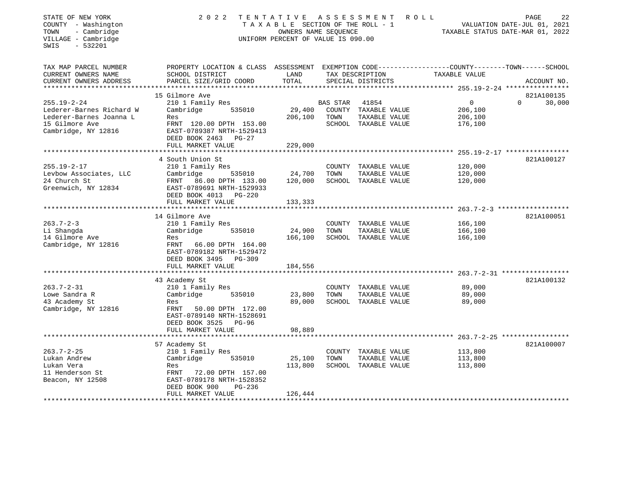| STATE OF NEW YORK<br>COUNTY - Washington<br>- Cambridge<br>TOWN<br>VILLAGE - Cambridge<br>$-532201$<br>SWIS | 2 0 2 2                                                                                         | TENTATIVE<br>TAXABLE SECTION OF THE ROLL - 1<br>OWNERS NAME SEQUENCE<br>UNIFORM PERCENT OF VALUE IS 090.00 |                 | A S S E S S M E N T                   | R O L L<br>TAXABLE STATUS DATE-MAR 01, 2022            | PAGE<br>VALUATION DATE-JUL 01, 2021 | 22     |
|-------------------------------------------------------------------------------------------------------------|-------------------------------------------------------------------------------------------------|------------------------------------------------------------------------------------------------------------|-----------------|---------------------------------------|--------------------------------------------------------|-------------------------------------|--------|
| TAX MAP PARCEL NUMBER                                                                                       | PROPERTY LOCATION & CLASS ASSESSMENT EXEMPTION CODE----------------COUNTY-------TOWN-----SCHOOL |                                                                                                            |                 |                                       |                                                        |                                     |        |
| CURRENT OWNERS NAME<br>CURRENT OWNERS ADDRESS                                                               | SCHOOL DISTRICT<br>PARCEL SIZE/GRID COORD                                                       | LAND<br>TOTAL                                                                                              |                 | TAX DESCRIPTION<br>SPECIAL DISTRICTS  | TAXABLE VALUE                                          | ACCOUNT NO.                         |        |
| ***********************                                                                                     |                                                                                                 |                                                                                                            |                 |                                       |                                                        |                                     |        |
|                                                                                                             | 15 Gilmore Ave                                                                                  |                                                                                                            |                 |                                       |                                                        | 821A100135                          |        |
| $255.19 - 2 - 24$                                                                                           | 210 1 Family Res                                                                                |                                                                                                            | <b>BAS STAR</b> | 41854                                 | $\circ$                                                | $\Omega$                            | 30,000 |
| Lederer-Barnes Richard W<br>Lederer-Barnes Joanna L                                                         | Cambridge<br>535010                                                                             | 29,400                                                                                                     |                 | COUNTY TAXABLE VALUE                  | 206,100                                                |                                     |        |
| 15 Gilmore Ave                                                                                              | Res<br>FRNT 120.00 DPTH 153.00                                                                  | 206,100                                                                                                    | TOWN            | TAXABLE VALUE<br>SCHOOL TAXABLE VALUE | 206,100<br>176,100                                     |                                     |        |
| Cambridge, NY 12816                                                                                         | EAST-0789387 NRTH-1529413<br>DEED BOOK 2463 PG-27                                               |                                                                                                            |                 |                                       |                                                        |                                     |        |
|                                                                                                             | FULL MARKET VALUE                                                                               | 229,000                                                                                                    |                 |                                       |                                                        |                                     |        |
|                                                                                                             | **********************                                                                          | ********************                                                                                       |                 |                                       |                                                        |                                     |        |
|                                                                                                             | 4 South Union St                                                                                |                                                                                                            |                 |                                       |                                                        | 821A100127                          |        |
| $255.19 - 2 - 17$                                                                                           | 210 1 Family Res                                                                                |                                                                                                            |                 | COUNTY TAXABLE VALUE                  | 120,000                                                |                                     |        |
| Levbow Associates, LLC                                                                                      | Cambridge<br>535010                                                                             | 24,700                                                                                                     | TOWN            | TAXABLE VALUE                         | 120,000                                                |                                     |        |
| 24 Church St                                                                                                | FRNT 86.00 DPTH 133.00                                                                          | 120,000                                                                                                    |                 | SCHOOL TAXABLE VALUE                  | 120,000                                                |                                     |        |
| Greenwich, NY 12834                                                                                         | EAST-0789691 NRTH-1529933                                                                       |                                                                                                            |                 |                                       |                                                        |                                     |        |
|                                                                                                             | DEED BOOK 4013 PG-220                                                                           |                                                                                                            |                 |                                       |                                                        |                                     |        |
|                                                                                                             | FULL MARKET VALUE                                                                               | 133,333                                                                                                    |                 |                                       |                                                        |                                     |        |
|                                                                                                             | ************************                                                                        |                                                                                                            |                 |                                       | ************************* 263.7-2-3 ****************** |                                     |        |
|                                                                                                             | 14 Gilmore Ave                                                                                  |                                                                                                            |                 |                                       |                                                        | 821A100051                          |        |
| $263.7 - 2 - 3$                                                                                             | 210 1 Family Res                                                                                |                                                                                                            |                 | COUNTY TAXABLE VALUE                  | 166,100                                                |                                     |        |
| Li Shangda                                                                                                  | Cambridge<br>535010                                                                             | 24,900                                                                                                     | TOWN            | TAXABLE VALUE                         | 166,100                                                |                                     |        |
| 14 Gilmore Ave                                                                                              | Res                                                                                             | 166,100                                                                                                    |                 | SCHOOL TAXABLE VALUE                  | 166,100                                                |                                     |        |
| Cambridge, NY 12816                                                                                         | FRNT 66.00 DPTH 164.00<br>EAST-0789182 NRTH-1529472                                             |                                                                                                            |                 |                                       |                                                        |                                     |        |
|                                                                                                             | DEED BOOK 3495 PG-309                                                                           |                                                                                                            |                 |                                       |                                                        |                                     |        |
|                                                                                                             | FULL MARKET VALUE                                                                               | 184,556                                                                                                    |                 |                                       |                                                        |                                     |        |
|                                                                                                             |                                                                                                 |                                                                                                            |                 |                                       |                                                        |                                     |        |
|                                                                                                             | 43 Academy St                                                                                   |                                                                                                            |                 |                                       |                                                        | 821A100132                          |        |
| $263.7 - 2 - 31$                                                                                            | 210 1 Family Res                                                                                |                                                                                                            |                 | COUNTY TAXABLE VALUE                  | 89,000                                                 |                                     |        |
| Lowe Sandra R                                                                                               | Cambridge<br>535010                                                                             | 23,800                                                                                                     | TOWN            | TAXABLE VALUE                         | 89,000                                                 |                                     |        |
| 43 Academy St                                                                                               | Res                                                                                             | 89,000                                                                                                     |                 | SCHOOL TAXABLE VALUE                  | 89,000                                                 |                                     |        |
| Cambridge, NY 12816                                                                                         | FRNT 50.00 DPTH 172.00                                                                          |                                                                                                            |                 |                                       |                                                        |                                     |        |
|                                                                                                             | EAST-0789140 NRTH-1528691                                                                       |                                                                                                            |                 |                                       |                                                        |                                     |        |
|                                                                                                             | DEED BOOK 3525 PG-96                                                                            |                                                                                                            |                 |                                       |                                                        |                                     |        |
|                                                                                                             | FULL MARKET VALUE                                                                               | 98,889                                                                                                     |                 |                                       |                                                        |                                     |        |
|                                                                                                             | ***********************                                                                         | *********************                                                                                      |                 |                                       |                                                        |                                     |        |
|                                                                                                             | 57 Academy St                                                                                   |                                                                                                            |                 |                                       |                                                        | 821A100007                          |        |
| $263.7 - 2 - 25$                                                                                            | 210 1 Family Res                                                                                |                                                                                                            |                 | COUNTY TAXABLE VALUE                  | 113,800                                                |                                     |        |
| Lukan Andrew                                                                                                | Cambridge<br>535010                                                                             | 25,100                                                                                                     | TOWN            | TAXABLE VALUE                         | 113,800                                                |                                     |        |
| Lukan Vera                                                                                                  | Res                                                                                             | 113,800                                                                                                    |                 | SCHOOL TAXABLE VALUE                  | 113,800                                                |                                     |        |
| 11 Henderson St                                                                                             | FRNT<br>72.00 DPTH 157.00                                                                       |                                                                                                            |                 |                                       |                                                        |                                     |        |
| Beacon, NY 12508                                                                                            | EAST-0789178 NRTH-1528352                                                                       |                                                                                                            |                 |                                       |                                                        |                                     |        |
|                                                                                                             | DEED BOOK 900<br>$PG-236$                                                                       |                                                                                                            |                 |                                       |                                                        |                                     |        |
|                                                                                                             | FULL MARKET VALUE                                                                               | 126,444                                                                                                    |                 |                                       |                                                        |                                     |        |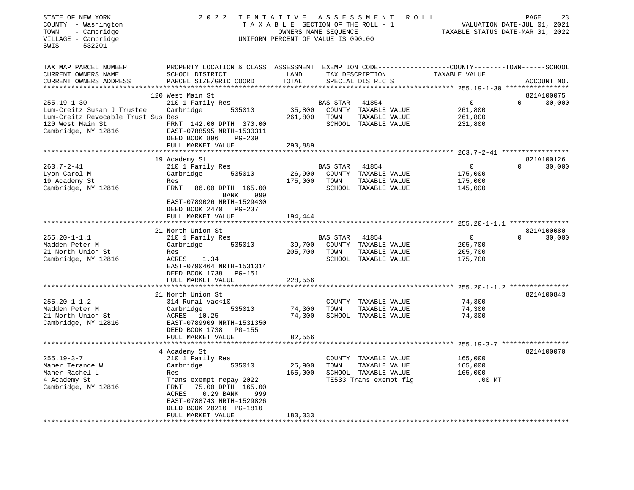| STATE OF NEW YORK<br>COUNTY - Washington<br>- Cambridge<br>TOWN<br>VILLAGE - Cambridge<br>SWIS<br>$-532201$ | 2 0 2 2                                                                                                                                                                                                                          | TENTATIVE<br>ASSESSMENT<br>ROLL<br>TAXABLE SECTION OF THE ROLL - 1<br>OWNERS NAME SEQUENCE<br>UNIFORM PERCENT OF VALUE IS 090.00 |                                   |                                                                                         |                                                           | 23<br>PAGE<br>VALUATION DATE-JUL 01, 2021<br>TAXABLE STATUS DATE-MAR 01, 2022 |
|-------------------------------------------------------------------------------------------------------------|----------------------------------------------------------------------------------------------------------------------------------------------------------------------------------------------------------------------------------|----------------------------------------------------------------------------------------------------------------------------------|-----------------------------------|-----------------------------------------------------------------------------------------|-----------------------------------------------------------|-------------------------------------------------------------------------------|
| TAX MAP PARCEL NUMBER<br>CURRENT OWNERS NAME<br>CURRENT OWNERS ADDRESS                                      | PROPERTY LOCATION & CLASS ASSESSMENT EXEMPTION CODE---------------COUNTY-------TOWN-----SCHOOL<br>SCHOOL DISTRICT<br>PARCEL SIZE/GRID COORD                                                                                      | LAND<br>TOTAL                                                                                                                    |                                   | TAX DESCRIPTION<br>SPECIAL DISTRICTS                                                    | TAXABLE VALUE                                             | ACCOUNT NO.                                                                   |
| $255.19 - 1 - 30$                                                                                           | 120 West Main St<br>210 1 Family Res                                                                                                                                                                                             |                                                                                                                                  | <b>BAS STAR</b>                   | 41854                                                                                   | 0                                                         | 821A100075<br>30,000<br>$\Omega$                                              |
| Lum-Creitz Susan J Trustee<br>Lum-Creitz Revocable Trust Sus Res<br>120 West Main St<br>Cambridge, NY 12816 | Cambridge<br>535010<br>FRNT 142.00 DPTH 370.00<br>EAST-0788595 NRTH-1530311<br>DEED BOOK 896<br>PG-209                                                                                                                           | 35,800<br>261,800                                                                                                                | COUNTY<br>TOWN                    | TAXABLE VALUE<br>TAXABLE VALUE<br>SCHOOL TAXABLE VALUE                                  | 261,800<br>261,800<br>231,800                             |                                                                               |
|                                                                                                             | FULL MARKET VALUE                                                                                                                                                                                                                | 290,889                                                                                                                          |                                   |                                                                                         |                                                           |                                                                               |
| $263.7 - 2 - 41$                                                                                            | 19 Academy St<br>210 1 Family Res                                                                                                                                                                                                |                                                                                                                                  | <b>BAS STAR</b>                   | 41854                                                                                   | ************ 263.7-2-41 ******************<br>$\mathbf 0$ | 821A100126<br>$\Omega$<br>30,000                                              |
| Lyon Carol M<br>19 Academy St<br>Cambridge, NY 12816                                                        | Cambridge<br>535010<br>Res<br>FRNT<br>86.00 DPTH 165.00<br>999<br><b>BANK</b><br>EAST-0789026 NRTH-1529430<br>DEED BOOK 2470 PG-237                                                                                              | 26,900<br>175,000                                                                                                                | TOWN                              | COUNTY TAXABLE VALUE<br>TAXABLE VALUE<br>SCHOOL TAXABLE VALUE                           | 175,000<br>175,000<br>145,000                             |                                                                               |
|                                                                                                             | FULL MARKET VALUE                                                                                                                                                                                                                | 194,444                                                                                                                          |                                   |                                                                                         |                                                           |                                                                               |
|                                                                                                             | ******************<br>21 North Union St                                                                                                                                                                                          |                                                                                                                                  |                                   |                                                                                         |                                                           | 821A100080                                                                    |
| $255.20 - 1 - 1.1$<br>Madden Peter M<br>21 North Union St<br>Cambridge, NY 12816                            | 210 1 Family Res<br>Cambridge<br>535010<br>Res<br>ACRES<br>1.34<br>EAST-0790464 NRTH-1531314<br>DEED BOOK 1738<br>PG-151                                                                                                         | 39,700<br>205,700                                                                                                                | <b>BAS STAR</b><br>COUNTY<br>TOWN | 41854<br>TAXABLE VALUE<br>TAXABLE VALUE<br>SCHOOL TAXABLE VALUE                         | $\mathbf 0$<br>205,700<br>205,700<br>175,700              | $\Omega$<br>30,000                                                            |
|                                                                                                             | FULL MARKET VALUE<br>*******************                                                                                                                                                                                         | 228,556                                                                                                                          |                                   |                                                                                         |                                                           |                                                                               |
| $255.20 - 1 - 1.2$<br>Madden Peter M<br>21 North Union St<br>Cambridge, NY 12816                            | 21 North Union St<br>314 Rural vac<10<br>Cambridge<br>535010<br>ACRES 10.25<br>EAST-0789909 NRTH-1531350<br>DEED BOOK 1738<br><b>PG-155</b><br>FULL MARKET VALUE                                                                 | 74,300<br>74,300<br>82,556                                                                                                       | TOWN                              | COUNTY TAXABLE VALUE<br>TAXABLE VALUE<br>SCHOOL TAXABLE VALUE                           | 74,300<br>74,300<br>74,300                                | 821A100843                                                                    |
|                                                                                                             |                                                                                                                                                                                                                                  |                                                                                                                                  |                                   |                                                                                         | $255.19 - 3 - 7$ *****                                    |                                                                               |
| $255.19 - 3 - 7$<br>Maher Terance W<br>Maher Rachel L<br>4 Academy St<br>Cambridge, NY 12816                | 4 Academy St<br>210 1 Family Res<br>Cambridge<br>535010<br>Res<br>Trans exempt repay 2022<br>FRNT<br>75.00 DPTH 165.00<br>ACRES<br>0.29 BANK<br>999<br>EAST-0788743 NRTH-1529826<br>DEED BOOK 20210 PG-1810<br>FULL MARKET VALUE | 25,900<br>165,000<br>183,333                                                                                                     | TOWN                              | COUNTY TAXABLE VALUE<br>TAXABLE VALUE<br>SCHOOL TAXABLE VALUE<br>TE533 Trans exempt flg | 165,000<br>165,000<br>165,000<br>$.00$ MT                 | 821A100070                                                                    |
|                                                                                                             |                                                                                                                                                                                                                                  |                                                                                                                                  |                                   |                                                                                         |                                                           |                                                                               |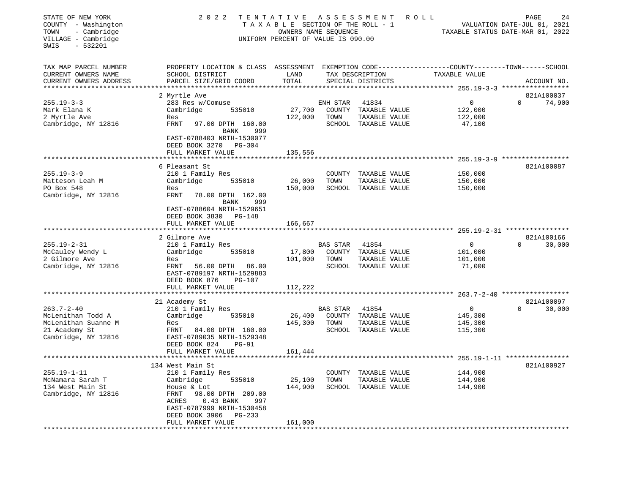| STATE OF NEW YORK<br>COUNTY - Washington<br>- Cambridge<br>TOWN<br>VILLAGE - Cambridge<br>$-532201$<br>SWIS | 2 0 2 2                                                                                                                                                                                                                | TENTATIVE<br>TAXABLE SECTION OF THE ROLL - 1<br>OWNERS NAME SEQUENCE<br>UNIFORM PERCENT OF VALUE IS 090.00 |                          | A S S E S S M E N T<br>ROLL                                            | PAGE<br>24<br>VALUATION DATE-JUL 01, 2021<br>TAXABLE STATUS DATE-MAR 01, 2022 |                                  |  |
|-------------------------------------------------------------------------------------------------------------|------------------------------------------------------------------------------------------------------------------------------------------------------------------------------------------------------------------------|------------------------------------------------------------------------------------------------------------|--------------------------|------------------------------------------------------------------------|-------------------------------------------------------------------------------|----------------------------------|--|
| TAX MAP PARCEL NUMBER<br>CURRENT OWNERS NAME<br>CURRENT OWNERS ADDRESS                                      | PROPERTY LOCATION & CLASS ASSESSMENT<br>SCHOOL DISTRICT<br>PARCEL SIZE/GRID COORD                                                                                                                                      | LAND<br>TOTAL                                                                                              |                          | TAX DESCRIPTION<br>SPECIAL DISTRICTS                                   | EXEMPTION CODE-----------------COUNTY-------TOWN------SCHOOL<br>TAXABLE VALUE | ACCOUNT NO.                      |  |
| ************************                                                                                    |                                                                                                                                                                                                                        |                                                                                                            |                          |                                                                        |                                                                               |                                  |  |
| $255.19 - 3 - 3$<br>Mark Elana K<br>2 Myrtle Ave<br>Cambridge, NY 12816                                     | 2 Myrtle Ave<br>283 Res w/Comuse<br>Cambridge<br>535010<br>Res<br>FRNT<br>97.00 DPTH 160.00<br>BANK<br>999                                                                                                             | 27,700<br>122,000                                                                                          | ENH STAR<br>TOWN         | 41834<br>COUNTY TAXABLE VALUE<br>TAXABLE VALUE<br>SCHOOL TAXABLE VALUE | $\mathbf{0}$<br>122,000<br>122,000<br>47,100                                  | 821A100037<br>74,900<br>$\Omega$ |  |
|                                                                                                             | EAST-0788403 NRTH-1530077<br>DEED BOOK 3270 PG-304<br>FULL MARKET VALUE                                                                                                                                                | 135,556                                                                                                    |                          |                                                                        |                                                                               |                                  |  |
|                                                                                                             | ********************                                                                                                                                                                                                   |                                                                                                            |                          |                                                                        | ********************** 255.19-3-9 ******************                          |                                  |  |
| $255.19 - 3 - 9$<br>Matteson Leah M<br>PO Box 548<br>Cambridge, NY 12816                                    | 6 Pleasant St<br>210 1 Family Res<br>Cambridge<br>535010<br>Res<br>FRNT<br>78.00 DPTH 162.00<br>BANK<br>999                                                                                                            | 26,000<br>150,000                                                                                          | TOWN                     | COUNTY TAXABLE VALUE<br>TAXABLE VALUE<br>SCHOOL TAXABLE VALUE          | 150,000<br>150,000<br>150,000                                                 | 821A100087                       |  |
|                                                                                                             | EAST-0788604 NRTH-1529651<br>DEED BOOK 3830 PG-148<br>FULL MARKET VALUE                                                                                                                                                | 166,667                                                                                                    |                          |                                                                        |                                                                               |                                  |  |
|                                                                                                             | 2 Gilmore Ave                                                                                                                                                                                                          |                                                                                                            |                          |                                                                        |                                                                               | 821A100166                       |  |
| $255.19 - 2 - 31$<br>McCauley Wendy L<br>2 Gilmore Ave<br>Cambridge, NY 12816                               | 210 1 Family Res<br>Cambridge<br>535010<br>Res<br>FRNT<br>56.00 DPTH 86.00<br>EAST-0789197 NRTH-1529883                                                                                                                | 17,800<br>101,000                                                                                          | BAS STAR<br>TOWN         | 41854<br>COUNTY TAXABLE VALUE<br>TAXABLE VALUE<br>SCHOOL TAXABLE VALUE | $\overline{0}$<br>101,000<br>101,000<br>71,000                                | $\Omega$<br>30,000               |  |
|                                                                                                             | DEED BOOK 876<br>PG-107                                                                                                                                                                                                |                                                                                                            |                          |                                                                        |                                                                               |                                  |  |
|                                                                                                             | FULL MARKET VALUE                                                                                                                                                                                                      | 112,222                                                                                                    |                          |                                                                        |                                                                               |                                  |  |
|                                                                                                             | 21 Academy St                                                                                                                                                                                                          |                                                                                                            |                          |                                                                        |                                                                               | 821A100097                       |  |
| $263.7 - 2 - 40$<br>McLenithan Todd A                                                                       | 210 1 Family Res<br>Cambridge<br>535010                                                                                                                                                                                | 26,400                                                                                                     | <b>BAS STAR</b>          | 41854<br>COUNTY TAXABLE VALUE                                          | $\overline{0}$<br>145,300                                                     | $\Omega$<br>30,000               |  |
| McLenithan Suanne M<br>21 Academy St<br>Cambridge, NY 12816                                                 | Res<br>FRNT<br>84.00 DPTH 160.00<br>EAST-0789035 NRTH-1529348<br>DEED BOOK 824<br><b>PG-91</b><br>FULL MARKET VALUE                                                                                                    | 145,300<br>161,444                                                                                         | TOWN                     | TAXABLE VALUE<br>SCHOOL TAXABLE VALUE                                  | 145,300<br>115,300                                                            |                                  |  |
|                                                                                                             | ***********************                                                                                                                                                                                                |                                                                                                            |                          |                                                                        |                                                                               |                                  |  |
| 255.19-1-11<br>McNamara Sarah T<br>134 West Main St<br>Cambridge, NY 12816                                  | 134 West Main St<br>210 1 Family Res<br>Cambridge<br>535010<br>House & Lot<br>98.00 DPTH 209.00<br>FRNT<br>$0.43$ BANK<br>ACRES<br>997<br>EAST-0787999 NRTH-1530458<br>DEED BOOK 3906<br>$PG-233$<br>FULL MARKET VALUE | 25,100<br>144,900<br>161,000                                                                               | COUNTY<br>TOWN<br>SCHOOL | TAXABLE VALUE<br>TAXABLE VALUE<br>TAXABLE VALUE                        | 144,900<br>144,900<br>144,900                                                 | 821A100927                       |  |
|                                                                                                             |                                                                                                                                                                                                                        |                                                                                                            |                          |                                                                        |                                                                               |                                  |  |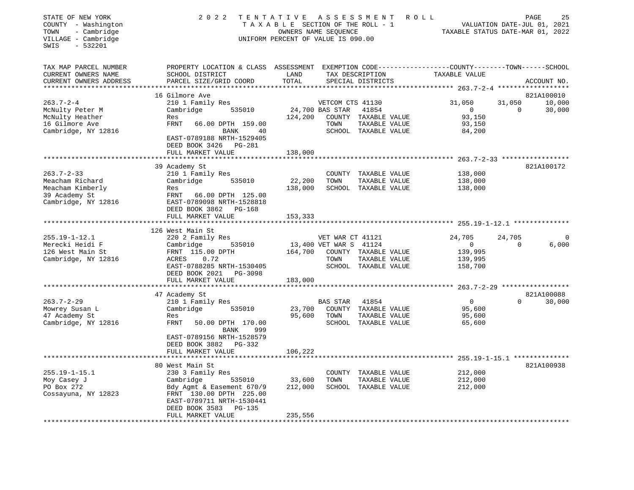| STATE OF NEW YORK<br>COUNTY - Washington<br>- Cambridge<br>TOWN<br>VILLAGE - Cambridge<br>SWIS<br>$-532201$ | 2 0 2 2                                                                                                                                      | TENTATIVE<br>TAXABLE SECTION OF THE ROLL - 1<br>OWNERS NAME SEQUENCE<br>UNIFORM PERCENT OF VALUE IS 090.00 |                        | A S S E S S M E N T                  | R O L L<br>TAXABLE STATUS DATE-MAR 01, 2022           |          | PAGE<br>25<br>VALUATION DATE-JUL 01, 2021 |
|-------------------------------------------------------------------------------------------------------------|----------------------------------------------------------------------------------------------------------------------------------------------|------------------------------------------------------------------------------------------------------------|------------------------|--------------------------------------|-------------------------------------------------------|----------|-------------------------------------------|
| TAX MAP PARCEL NUMBER<br>CURRENT OWNERS NAME<br>CURRENT OWNERS ADDRESS                                      | PROPERTY LOCATION & CLASS ASSESSMENT EXEMPTION CODE---------------COUNTY-------TOWN------SCHOOL<br>SCHOOL DISTRICT<br>PARCEL SIZE/GRID COORD | LAND<br>TOTAL                                                                                              |                        | TAX DESCRIPTION<br>SPECIAL DISTRICTS | TAXABLE VALUE                                         |          | ACCOUNT NO.                               |
|                                                                                                             | 16 Gilmore Ave                                                                                                                               |                                                                                                            |                        |                                      |                                                       |          | 821A100010                                |
| $263.7 - 2 - 4$                                                                                             | 210 1 Family Res                                                                                                                             |                                                                                                            | VETCOM CTS 41130       |                                      | 31,050                                                | 31,050   | 10,000                                    |
| McNulty Peter M                                                                                             | Cambridge<br>535010                                                                                                                          |                                                                                                            | 24,700 BAS STAR        | 41854                                | $\overline{0}$                                        | $\Omega$ | 30,000                                    |
| McNulty Heather                                                                                             | Res                                                                                                                                          | 124,200                                                                                                    |                        | COUNTY TAXABLE VALUE                 | 93,150                                                |          |                                           |
| 16 Gilmore Ave                                                                                              | FRNT<br>66.00 DPTH 159.00                                                                                                                    |                                                                                                            | TOWN                   | TAXABLE VALUE                        | 93,150                                                |          |                                           |
| Cambridge, NY 12816                                                                                         | BANK<br>40                                                                                                                                   |                                                                                                            |                        | SCHOOL TAXABLE VALUE                 | 84,200                                                |          |                                           |
|                                                                                                             | EAST-0789188 NRTH-1529405<br>DEED BOOK 3426<br>PG-281                                                                                        |                                                                                                            |                        |                                      |                                                       |          |                                           |
|                                                                                                             | FULL MARKET VALUE                                                                                                                            | 138,000                                                                                                    |                        |                                      |                                                       |          |                                           |
|                                                                                                             |                                                                                                                                              |                                                                                                            |                        |                                      |                                                       |          | 821A100172                                |
| $263.7 - 2 - 33$                                                                                            | 39 Academy St<br>210 1 Family Res                                                                                                            |                                                                                                            |                        | COUNTY TAXABLE VALUE                 | 138,000                                               |          |                                           |
| Meacham Richard                                                                                             | Cambridge<br>535010                                                                                                                          | 22,200                                                                                                     | TOWN                   | TAXABLE VALUE                        | 138,000                                               |          |                                           |
| Meacham Kimberly                                                                                            | Res                                                                                                                                          | 138,000                                                                                                    |                        | SCHOOL TAXABLE VALUE                 | 138,000                                               |          |                                           |
| 39 Academy St                                                                                               | FRNT 66.00 DPTH 125.00                                                                                                                       |                                                                                                            |                        |                                      |                                                       |          |                                           |
| Cambridge, NY 12816                                                                                         | EAST-0789098 NRTH-1528818<br>DEED BOOK 3862 PG-168                                                                                           |                                                                                                            |                        |                                      |                                                       |          |                                           |
|                                                                                                             | FULL MARKET VALUE                                                                                                                            | 153,333                                                                                                    |                        |                                      |                                                       |          |                                           |
|                                                                                                             |                                                                                                                                              |                                                                                                            |                        |                                      | ****************************** 255.19-1-12.1 ******** |          |                                           |
|                                                                                                             | 126 West Main St                                                                                                                             |                                                                                                            |                        |                                      |                                                       |          |                                           |
| $255.19 - 1 - 12.1$                                                                                         | 220 2 Family Res                                                                                                                             |                                                                                                            | VET WAR CT 41121       |                                      | 24,705                                                | 24,705   | $\Omega$                                  |
| Merecki Heidi F                                                                                             | 535010<br>Cambridge                                                                                                                          |                                                                                                            | 13,400 VET WAR S 41124 |                                      | $\mathbf 0$                                           | $\Omega$ | 6,000                                     |
| 126 West Main St                                                                                            | FRNT 115.00 DPTH                                                                                                                             | 164,700                                                                                                    |                        | COUNTY TAXABLE VALUE                 | 139,995                                               |          |                                           |
| Cambridge, NY 12816                                                                                         | ACRES<br>0.72                                                                                                                                |                                                                                                            | TOWN                   | TAXABLE VALUE                        | 139,995                                               |          |                                           |
|                                                                                                             | EAST-0788285 NRTH-1530405                                                                                                                    |                                                                                                            |                        | SCHOOL TAXABLE VALUE                 | 158,700                                               |          |                                           |
|                                                                                                             | DEED BOOK 2021 PG-3098                                                                                                                       |                                                                                                            |                        |                                      |                                                       |          |                                           |
|                                                                                                             | FULL MARKET VALUE                                                                                                                            | 183,000                                                                                                    |                        |                                      |                                                       |          |                                           |
|                                                                                                             | *************************                                                                                                                    |                                                                                                            |                        |                                      |                                                       |          |                                           |
|                                                                                                             | 47 Academy St                                                                                                                                |                                                                                                            |                        |                                      |                                                       |          | 821A100088                                |
| $263.7 - 2 - 29$                                                                                            | 210 1 Family Res                                                                                                                             |                                                                                                            | BAS STAR               | 41854                                | $\mathbf 0$                                           | $\Omega$ | 30,000                                    |
| Mowrey Susan L                                                                                              | Cambridge<br>535010                                                                                                                          | 23,700                                                                                                     |                        | COUNTY TAXABLE VALUE                 | 95,600                                                |          |                                           |
| 47 Academy St                                                                                               | Res                                                                                                                                          | 95,600                                                                                                     | TOWN                   | TAXABLE VALUE                        | 95,600                                                |          |                                           |
| Cambridge, NY 12816                                                                                         | <b>FRNT</b><br>50.00 DPTH 170.00                                                                                                             |                                                                                                            |                        | SCHOOL TAXABLE VALUE                 | 65,600                                                |          |                                           |
|                                                                                                             | 999<br>BANK<br>EAST-0789156 NRTH-1528579                                                                                                     |                                                                                                            |                        |                                      |                                                       |          |                                           |
|                                                                                                             | DEED BOOK 3882 PG-332                                                                                                                        |                                                                                                            |                        |                                      |                                                       |          |                                           |
|                                                                                                             | FULL MARKET VALUE                                                                                                                            | 106,222                                                                                                    |                        |                                      |                                                       |          |                                           |
|                                                                                                             |                                                                                                                                              |                                                                                                            |                        |                                      | *************** 255.19-1-15.1 ***************         |          |                                           |
|                                                                                                             | 80 West Main St                                                                                                                              |                                                                                                            |                        |                                      |                                                       |          | 821A100938                                |
| $255.19 - 1 - 15.1$                                                                                         | 230 3 Family Res                                                                                                                             |                                                                                                            |                        | COUNTY TAXABLE VALUE                 | 212,000                                               |          |                                           |
| Moy Casey J                                                                                                 |                                                                                                                                              | 33,600                                                                                                     | TOWN                   | TAXABLE VALUE                        | 212,000                                               |          |                                           |
|                                                                                                             |                                                                                                                                              |                                                                                                            |                        |                                      |                                                       |          |                                           |
| PO Box 272                                                                                                  | Cambridge<br>535010                                                                                                                          | 212,000                                                                                                    |                        | SCHOOL TAXABLE VALUE                 | 212,000                                               |          |                                           |
| Cossayuna, NY 12823                                                                                         | Bdy Agmt & Easement 670/9<br>FRNT 130.00 DPTH 225.00                                                                                         |                                                                                                            |                        |                                      |                                                       |          |                                           |
|                                                                                                             | EAST-0789711 NRTH-1530441                                                                                                                    |                                                                                                            |                        |                                      |                                                       |          |                                           |
|                                                                                                             | DEED BOOK 3583<br>PG-135                                                                                                                     |                                                                                                            |                        |                                      |                                                       |          |                                           |
|                                                                                                             | FULL MARKET VALUE                                                                                                                            | 235,556                                                                                                    |                        |                                      |                                                       |          |                                           |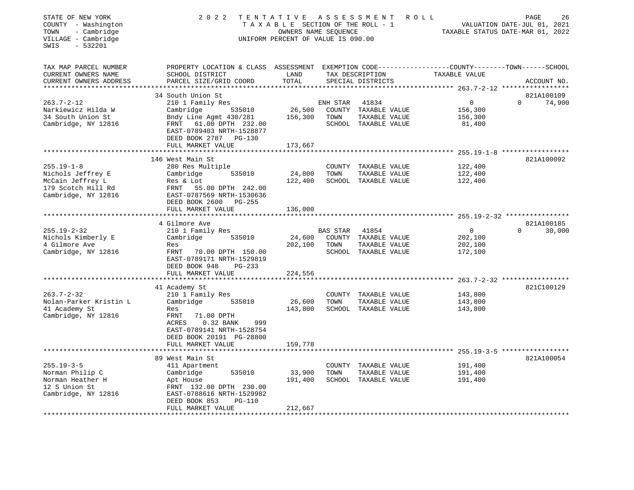| STATE OF NEW YORK<br>COUNTY - Washington<br>- Cambridge<br>TOWN<br>VILLAGE - Cambridge<br>$-532201$<br>SWIS | 2 0 2 2                                                                                                                                      | TENTATIVE ASSESSMENT<br>TAXABLE SECTION OF THE ROLL - 1<br>OWNERS NAME SEQUENCE<br>UNIFORM PERCENT OF VALUE IS 090.00 |          |                                      | R O L L                                                  | PAGE<br>26<br>VALUATION DATE-JUL 01, 2021<br>TAXABLE STATUS DATE-MAR 01, 2022 |
|-------------------------------------------------------------------------------------------------------------|----------------------------------------------------------------------------------------------------------------------------------------------|-----------------------------------------------------------------------------------------------------------------------|----------|--------------------------------------|----------------------------------------------------------|-------------------------------------------------------------------------------|
| TAX MAP PARCEL NUMBER<br>CURRENT OWNERS NAME<br>CURRENT OWNERS ADDRESS<br>***************                   | PROPERTY LOCATION & CLASS ASSESSMENT EXEMPTION CODE----------------COUNTY-------TOWN-----SCHOOL<br>SCHOOL DISTRICT<br>PARCEL SIZE/GRID COORD | LAND<br>TOTAL<br>*******************                                                                                  |          | TAX DESCRIPTION<br>SPECIAL DISTRICTS | TAXABLE VALUE                                            | ACCOUNT NO.                                                                   |
|                                                                                                             | 34 South Union St                                                                                                                            |                                                                                                                       |          |                                      | ***************** 263.7-2-12 *****************           | 821A100109                                                                    |
| $263.7 - 2 - 12$                                                                                            | 210 1 Family Res                                                                                                                             |                                                                                                                       | ENH STAR | 41834                                | $\overline{0}$                                           | $\Omega$<br>74,900                                                            |
| Narkiewicz Hilda W                                                                                          | Cambridge<br>535010                                                                                                                          | 26,500                                                                                                                |          | COUNTY TAXABLE VALUE                 | 156,300                                                  |                                                                               |
| 34 South Union St                                                                                           | Bndy Line Agmt 430/281                                                                                                                       | 156,300                                                                                                               | TOWN     | TAXABLE VALUE                        | 156,300                                                  |                                                                               |
| Cambridge, NY 12816                                                                                         | FRNT 61.00 DPTH 232.00<br>EAST-0789403 NRTH-1528877<br>DEED BOOK 2787 PG-130                                                                 |                                                                                                                       |          | SCHOOL TAXABLE VALUE                 | 81,400                                                   |                                                                               |
|                                                                                                             | FULL MARKET VALUE                                                                                                                            | 173,667                                                                                                               |          |                                      |                                                          |                                                                               |
|                                                                                                             |                                                                                                                                              |                                                                                                                       |          |                                      |                                                          |                                                                               |
| $255.19 - 1 - 8$                                                                                            | 146 West Main St<br>280 Res Multiple                                                                                                         |                                                                                                                       |          | COUNTY TAXABLE VALUE                 | 122,400                                                  | 821A100092                                                                    |
| Nichols Jeffrey E                                                                                           | Cambridge<br>535010                                                                                                                          | 24,800                                                                                                                | TOWN     | TAXABLE VALUE                        | 122,400                                                  |                                                                               |
| McCain Jeffrey L                                                                                            | Res & Lot                                                                                                                                    | 122,400                                                                                                               |          | SCHOOL TAXABLE VALUE                 | 122,400                                                  |                                                                               |
| 179 Scotch Hill Rd                                                                                          | FRNT 55.00 DPTH 242.00                                                                                                                       |                                                                                                                       |          |                                      |                                                          |                                                                               |
| Cambridge, NY 12816                                                                                         | EAST-0787569 NRTH-1530636                                                                                                                    |                                                                                                                       |          |                                      |                                                          |                                                                               |
|                                                                                                             | DEED BOOK 2600 PG-255                                                                                                                        |                                                                                                                       |          |                                      |                                                          |                                                                               |
|                                                                                                             | FULL MARKET VALUE                                                                                                                            | 136,000                                                                                                               |          |                                      |                                                          |                                                                               |
|                                                                                                             | 4 Gilmore Ave                                                                                                                                |                                                                                                                       |          |                                      |                                                          | 821A100185                                                                    |
| $255.19 - 2 - 32$                                                                                           | 210 1 Family Res                                                                                                                             |                                                                                                                       | BAS STAR | 41854                                | $\overline{0}$                                           | $\Omega$<br>30,000                                                            |
| Nichols Kimberly E                                                                                          | Cambridge<br>535010                                                                                                                          | 24,600                                                                                                                |          | COUNTY TAXABLE VALUE                 | 202,100                                                  |                                                                               |
| 4 Gilmore Ave                                                                                               | Res                                                                                                                                          | 202,100                                                                                                               | TOWN     | TAXABLE VALUE                        | 202,100                                                  |                                                                               |
| Cambridge, NY 12816                                                                                         | FRNT 70.00 DPTH 150.00                                                                                                                       |                                                                                                                       |          | SCHOOL TAXABLE VALUE                 | 172,100                                                  |                                                                               |
|                                                                                                             | EAST-0789171 NRTH-1529819                                                                                                                    |                                                                                                                       |          |                                      |                                                          |                                                                               |
|                                                                                                             | DEED BOOK 948<br>PG-233                                                                                                                      |                                                                                                                       |          |                                      |                                                          |                                                                               |
|                                                                                                             | FULL MARKET VALUE                                                                                                                            | 224,556                                                                                                               |          |                                      |                                                          |                                                                               |
|                                                                                                             |                                                                                                                                              |                                                                                                                       |          |                                      |                                                          |                                                                               |
| $263.7 - 2 - 32$                                                                                            | 41 Academy St<br>210 1 Family Res                                                                                                            |                                                                                                                       |          | COUNTY TAXABLE VALUE                 | 143,800                                                  | 821C100129                                                                    |
| Nolan-Parker Kristin L                                                                                      | Cambridge<br>535010                                                                                                                          | 26,600                                                                                                                | TOWN     | TAXABLE VALUE                        | 143,800                                                  |                                                                               |
| 41 Academy St                                                                                               | Res                                                                                                                                          | 143,800                                                                                                               |          | SCHOOL TAXABLE VALUE                 | 143,800                                                  |                                                                               |
| Cambridge, NY 12816                                                                                         | FRNT<br>71.00 DPTH                                                                                                                           |                                                                                                                       |          |                                      |                                                          |                                                                               |
|                                                                                                             | 0.32 BANK<br>ACRES<br>999                                                                                                                    |                                                                                                                       |          |                                      |                                                          |                                                                               |
|                                                                                                             | EAST-0789141 NRTH-1528754                                                                                                                    |                                                                                                                       |          |                                      |                                                          |                                                                               |
|                                                                                                             | DEED BOOK 20191 PG-28800                                                                                                                     |                                                                                                                       |          |                                      |                                                          |                                                                               |
|                                                                                                             | FULL MARKET VALUE                                                                                                                            | 159,778                                                                                                               |          |                                      |                                                          |                                                                               |
|                                                                                                             | *******************                                                                                                                          |                                                                                                                       |          |                                      | *************************** 255.19-3-5 ***************** |                                                                               |
| $255.19 - 3 - 5$                                                                                            | 89 West Main St<br>411 Apartment                                                                                                             |                                                                                                                       |          | COUNTY TAXABLE VALUE                 | 191,400                                                  | 821A100054                                                                    |
| Norman Philip C                                                                                             | Cambridge<br>535010                                                                                                                          | 33,900                                                                                                                | TOWN     | TAXABLE VALUE                        | 191,400                                                  |                                                                               |
| Norman Heather H                                                                                            | Apt House                                                                                                                                    | 191,400                                                                                                               |          | SCHOOL TAXABLE VALUE                 | 191,400                                                  |                                                                               |
| 12 S Union St                                                                                               | FRNT 132.00 DPTH 230.00                                                                                                                      |                                                                                                                       |          |                                      |                                                          |                                                                               |
| Cambridge, NY 12816                                                                                         | EAST-0788616 NRTH-1529982                                                                                                                    |                                                                                                                       |          |                                      |                                                          |                                                                               |
|                                                                                                             | DEED BOOK 853<br>$PG-110$                                                                                                                    |                                                                                                                       |          |                                      |                                                          |                                                                               |
|                                                                                                             | FULL MARKET VALUE                                                                                                                            | 212,667                                                                                                               |          |                                      |                                                          |                                                                               |
|                                                                                                             |                                                                                                                                              |                                                                                                                       |          |                                      |                                                          |                                                                               |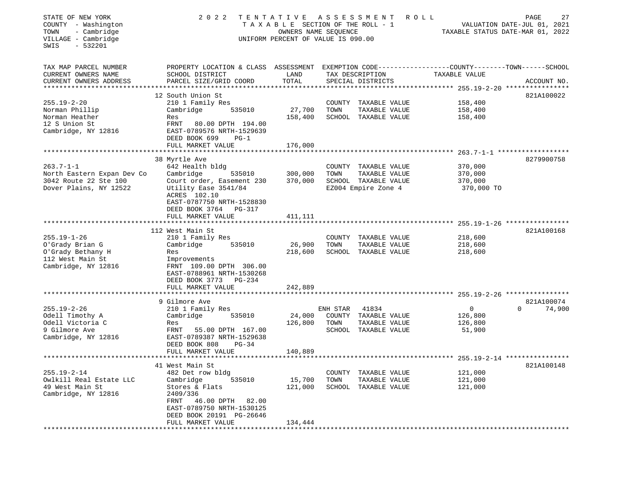| STATE OF NEW YORK<br>COUNTY - Washington<br>TOWN<br>- Cambridge<br>VILLAGE - Cambridge<br>SWIS<br>$-532201$ | 2 0 2 2                                                                                                                                     | TAXABLE SECTION OF THE ROLL - 1<br>OWNERS NAME SEQUENCE<br>UNIFORM PERCENT OF VALUE IS 090.00 |                | TENTATIVE ASSESSMENT                  | R O L L            | PAGE<br>27<br>VALUATION DATE-JUL 01, 2021<br>TAXABLE STATUS DATE-MAR 01, 2022 |
|-------------------------------------------------------------------------------------------------------------|---------------------------------------------------------------------------------------------------------------------------------------------|-----------------------------------------------------------------------------------------------|----------------|---------------------------------------|--------------------|-------------------------------------------------------------------------------|
| TAX MAP PARCEL NUMBER<br>CURRENT OWNERS NAME<br>CURRENT OWNERS ADDRESS                                      | PROPERTY LOCATION & CLASS ASSESSMENT EXEMPTION CODE---------------COUNTY-------TOWN-----SCHOOL<br>SCHOOL DISTRICT<br>PARCEL SIZE/GRID COORD | LAND<br>TOTAL                                                                                 |                | TAX DESCRIPTION<br>SPECIAL DISTRICTS  | TAXABLE VALUE      | ACCOUNT NO.                                                                   |
| $255.19 - 2 - 20$                                                                                           | 12 South Union St<br>210 1 Family Res                                                                                                       |                                                                                               |                | COUNTY TAXABLE VALUE                  | 158,400            | 821A100022                                                                    |
| Norman Phillip<br>Norman Heather<br>12 S Union St<br>Cambridge, NY 12816                                    | Cambridge<br>535010<br>Res<br>FRNT<br>80.00 DPTH 194.00<br>EAST-0789576 NRTH-1529639<br>DEED BOOK 699<br>$PG-1$                             | 27,700<br>158,400                                                                             | TOWN           | TAXABLE VALUE<br>SCHOOL TAXABLE VALUE | 158,400<br>158,400 |                                                                               |
|                                                                                                             | FULL MARKET VALUE<br>**********************                                                                                                 | 176,000<br>**********                                                                         |                |                                       |                    |                                                                               |
|                                                                                                             | 38 Myrtle Ave                                                                                                                               |                                                                                               |                |                                       |                    | ************************* 263.7-1-1 *******************<br>8279900758         |
| $263.7 - 1 - 1$                                                                                             | 642 Health bldg                                                                                                                             |                                                                                               |                | COUNTY TAXABLE VALUE                  | 370,000            |                                                                               |
| North Eastern Expan Dev Co                                                                                  | Cambridge<br>535010                                                                                                                         | 300,000                                                                                       | TOWN           | TAXABLE VALUE                         | 370,000            |                                                                               |
| 3042 Route 22 Ste 100                                                                                       | Court order, Easement 230                                                                                                                   | 370,000                                                                                       |                | SCHOOL TAXABLE VALUE                  | 370,000            |                                                                               |
| Dover Plains, NY 12522                                                                                      | Utility Ease 3541/84<br>ACRES 102.10<br>EAST-0787750 NRTH-1528830<br>DEED BOOK 3764<br>PG-317                                               |                                                                                               |                | EZ004 Empire Zone 4                   |                    | 370,000 TO                                                                    |
|                                                                                                             | FULL MARKET VALUE<br>***********************                                                                                                | 411,111                                                                                       |                |                                       |                    |                                                                               |
|                                                                                                             | 112 West Main St                                                                                                                            |                                                                                               |                |                                       |                    | 821A100168                                                                    |
| $255.19 - 1 - 26$                                                                                           | 210 1 Family Res                                                                                                                            |                                                                                               |                | COUNTY TAXABLE VALUE                  | 218,600            |                                                                               |
| O'Grady Brian G                                                                                             | Cambridge<br>535010                                                                                                                         | 26,900                                                                                        | TOWN           | TAXABLE VALUE                         | 218,600            |                                                                               |
| O'Grady Bethany H                                                                                           | Res                                                                                                                                         | 218,600                                                                                       |                | SCHOOL TAXABLE VALUE                  | 218,600            |                                                                               |
| 112 West Main St<br>Cambridge, NY 12816                                                                     | Improvements<br>FRNT 109.00 DPTH 306.00<br>EAST-0788961 NRTH-1530268<br>DEED BOOK 3773 PG-234                                               |                                                                                               |                |                                       |                    |                                                                               |
|                                                                                                             | FULL MARKET VALUE                                                                                                                           | 242,889                                                                                       |                |                                       |                    |                                                                               |
|                                                                                                             |                                                                                                                                             |                                                                                               |                |                                       |                    |                                                                               |
| $255.19 - 2 - 26$                                                                                           | 9 Gilmore Ave                                                                                                                               |                                                                                               |                |                                       | 0                  | 821A100074<br>$\Omega$<br>74,900                                              |
| Odell Timothy A                                                                                             | 210 1 Family Res<br>Cambridge<br>535010                                                                                                     | 24,000                                                                                        | ENH STAR       | 41834<br>COUNTY TAXABLE VALUE         | 126,800            |                                                                               |
| Odell Victoria C                                                                                            | Res                                                                                                                                         | 126,800                                                                                       | TOWN           | TAXABLE VALUE                         | 126,800            |                                                                               |
| 9 Gilmore Ave<br>Cambridge, NY 12816                                                                        | FRNT<br>55.00 DPTH 167.00<br>EAST-0789387 NRTH-1529638<br>DEED BOOK 808<br>$PG-34$                                                          |                                                                                               |                | SCHOOL TAXABLE VALUE                  | 51,900             |                                                                               |
|                                                                                                             | FULL MARKET VALUE                                                                                                                           | 140,889                                                                                       |                |                                       |                    |                                                                               |
|                                                                                                             |                                                                                                                                             |                                                                                               |                |                                       |                    | ************************************** 255.19-2-14 *****************          |
| $255.19 - 2 - 14$                                                                                           | 41 West Main St                                                                                                                             |                                                                                               |                | TAXABLE VALUE                         |                    | 821A100148                                                                    |
| Owlkill Real Estate LLC                                                                                     | 482 Det row bldg<br>535010<br>Cambridge                                                                                                     | 15,700                                                                                        | COUNTY<br>TOWN | TAXABLE VALUE                         | 121,000<br>121,000 |                                                                               |
| 49 West Main St                                                                                             | Stores & Flats                                                                                                                              | 121,000                                                                                       | SCHOOL         | TAXABLE VALUE                         | 121,000            |                                                                               |
| Cambridge, NY 12816                                                                                         | 2409/336<br>46.00 DPTH<br>FRNT<br>82.00<br>EAST-0789750 NRTH-1530125<br>DEED BOOK 20191 PG-26646<br>FULL MARKET VALUE                       | 134,444                                                                                       |                |                                       |                    |                                                                               |
| ******************************                                                                              |                                                                                                                                             |                                                                                               |                |                                       |                    |                                                                               |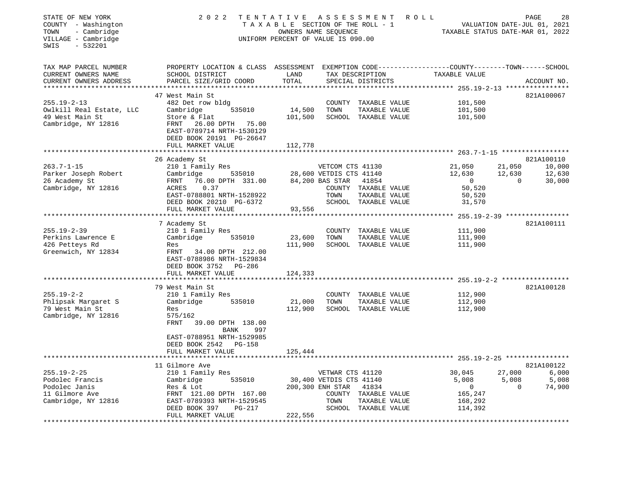| STATE OF NEW YORK<br>COUNTY - Washington<br>- Cambridge<br>TOWN<br>VILLAGE - Cambridge<br>$-532201$<br>SWIS | 2 0 2 2<br>TENTATIVE                                                                                                                                        |                                      | A S S E S S M E N T<br>TAXABLE SECTION OF THE ROLL - 1<br>OWNERS NAME SEQUENCE<br>UNIFORM PERCENT OF VALUE IS 090.00 |                                                                        | ROLL                                                               | PAGE<br>28<br>VALUATION DATE-JUL 01, 2021<br>TAXABLE STATUS DATE-MAR 01, 2022 |
|-------------------------------------------------------------------------------------------------------------|-------------------------------------------------------------------------------------------------------------------------------------------------------------|--------------------------------------|----------------------------------------------------------------------------------------------------------------------|------------------------------------------------------------------------|--------------------------------------------------------------------|-------------------------------------------------------------------------------|
| TAX MAP PARCEL NUMBER<br>CURRENT OWNERS NAME<br>CURRENT OWNERS ADDRESS                                      | PROPERTY LOCATION & CLASS ASSESSMENT EXEMPTION CODE---------------COUNTY-------TOWN-----SCHOOL<br>SCHOOL DISTRICT<br>PARCEL SIZE/GRID COORD                 | LAND<br>TOTAL                        | TAX DESCRIPTION                                                                                                      | SPECIAL DISTRICTS                                                      | TAXABLE VALUE                                                      | ACCOUNT NO.                                                                   |
|                                                                                                             | 47 West Main St                                                                                                                                             |                                      |                                                                                                                      |                                                                        |                                                                    | 821A100067                                                                    |
| $255.19 - 2 - 13$<br>Owlkill Real Estate, LLC<br>49 West Main St<br>Cambridge, NY 12816                     | 482 Det row bldg<br>535010<br>Cambridge<br>Store & Flat<br>FRNT<br>26.00 DPTH 75.00<br>EAST-0789714 NRTH-1530129                                            | 14,500<br>101,500                    | TOWN                                                                                                                 | COUNTY TAXABLE VALUE<br>TAXABLE VALUE<br>SCHOOL TAXABLE VALUE          | 101,500<br>101,500<br>101,500                                      |                                                                               |
|                                                                                                             | DEED BOOK 20191 PG-26647                                                                                                                                    |                                      |                                                                                                                      |                                                                        |                                                                    |                                                                               |
|                                                                                                             | FULL MARKET VALUE                                                                                                                                           | 112,778                              |                                                                                                                      |                                                                        |                                                                    |                                                                               |
|                                                                                                             | 26 Academy St                                                                                                                                               |                                      |                                                                                                                      |                                                                        |                                                                    | 821A100110                                                                    |
| $263.7 - 1 - 15$<br>Parker Joseph Robert<br>26 Academy St<br>Cambridge, NY 12816                            | 210 1 Family Res<br>535010<br>Cambridge<br>FRNT<br>76.00 DPTH 331.00<br>ACRES<br>0.37<br>EAST-0788801 NRTH-1528922                                          |                                      | VETCOM CTS 41130<br>28,600 VETDIS CTS 41140<br>84,200 BAS STAR<br>TOWN                                               | 41854<br>COUNTY TAXABLE VALUE<br>TAXABLE VALUE                         | 21,050<br>12,630<br>$\overline{0}$<br>50,520<br>50,520             | 21,050<br>10,000<br>12,630<br>12,630<br>30,000<br>$\Omega$                    |
|                                                                                                             | DEED BOOK 20210 PG-6372<br>FULL MARKET VALUE                                                                                                                | 93,556                               |                                                                                                                      | SCHOOL TAXABLE VALUE                                                   | 31,570                                                             |                                                                               |
|                                                                                                             |                                                                                                                                                             |                                      |                                                                                                                      |                                                                        |                                                                    | ********* 255.19-2-39 ****************                                        |
|                                                                                                             | 7 Academy St                                                                                                                                                |                                      |                                                                                                                      |                                                                        |                                                                    | 821A100111                                                                    |
| $255.19 - 2 - 39$                                                                                           | 210 1 Family Res                                                                                                                                            |                                      |                                                                                                                      | COUNTY TAXABLE VALUE                                                   | 111,900                                                            |                                                                               |
| Perkins Lawrence E                                                                                          | Cambridge<br>535010                                                                                                                                         | 23,600                               | TOWN                                                                                                                 | TAXABLE VALUE                                                          | 111,900                                                            |                                                                               |
| 426 Petteys Rd<br>Greenwich, NY 12834                                                                       | Res<br>FRNT 34.00 DPTH 212.00<br>EAST-0788986 NRTH-1529834<br>DEED BOOK 3752 PG-286<br>FULL MARKET VALUE                                                    | 111,900<br>124,333                   |                                                                                                                      | SCHOOL TAXABLE VALUE                                                   | 111,900                                                            |                                                                               |
|                                                                                                             |                                                                                                                                                             |                                      |                                                                                                                      |                                                                        |                                                                    |                                                                               |
|                                                                                                             | 79 West Main St                                                                                                                                             |                                      |                                                                                                                      |                                                                        |                                                                    | 821A100128                                                                    |
| $255.19 - 2 - 2$<br>Phlipsak Margaret S<br>79 West Main St<br>Cambridge, NY 12816                           | 210 1 Family Res<br>535010<br>Cambridge<br>Res<br>575/162<br>FRNT<br>39.00 DPTH 138.00<br>997<br>BANK<br>EAST-0788951 NRTH-1529985<br>DEED BOOK 2542 PG-158 | 21,000<br>112,900                    | TOWN                                                                                                                 | COUNTY TAXABLE VALUE<br>TAXABLE VALUE<br>SCHOOL TAXABLE VALUE          | 112,900<br>112,900<br>112,900                                      |                                                                               |
|                                                                                                             | FULL MARKET VALUE                                                                                                                                           | 125,444                              |                                                                                                                      |                                                                        |                                                                    |                                                                               |
|                                                                                                             |                                                                                                                                                             |                                      |                                                                                                                      |                                                                        |                                                                    |                                                                               |
| $255.19 - 2 - 25$<br>Podolec Francis<br>Podolec Janis<br>11 Gilmore Ave<br>Cambridge, NY 12816              | 11 Gilmore Ave<br>210 1 Family Res<br>535010<br>Cambridge<br>Res & Lot<br>FRNT 121.00 DPTH 167.00<br>EAST-0789393 NRTH-1529545<br>DEED BOOK 397<br>PG-217   |                                      | VETWAR CTS 41120<br>30,400 VETDIS CTS 41140<br>200,300 ENH STAR<br>TOWN                                              | 41834<br>COUNTY TAXABLE VALUE<br>TAXABLE VALUE<br>SCHOOL TAXABLE VALUE | 30,045<br>5,008<br>$\overline{0}$<br>165,247<br>168,292<br>114,392 | 821A100122<br>27,000<br>6,000<br>5,008<br>5,008<br>$\Omega$<br>74,900         |
|                                                                                                             | FULL MARKET VALUE                                                                                                                                           | 222,556<br>************************* |                                                                                                                      |                                                                        |                                                                    |                                                                               |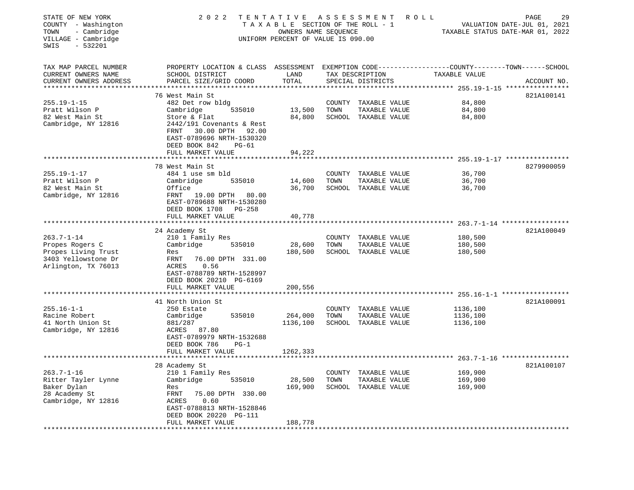| STATE OF NEW YORK<br>COUNTY - Washington<br>- Cambridge<br>TOWN<br>VILLAGE - Cambridge<br>$-532201$<br>SWIS | 2 0 2 2                                                                                                                                      | TENTATIVE<br>T A X A B L E SECTION OF THE ROLL - 1<br>OWNERS NAME SEQUENCE<br>UNIFORM PERCENT OF VALUE IS 090.00 |        | A S S E S S M E N T                   | PAGE<br>29<br>R O L L<br>VALUATION DATE-JUL 01, 2021<br>TAXABLE STATUS DATE-MAR 01, 2022 |             |  |
|-------------------------------------------------------------------------------------------------------------|----------------------------------------------------------------------------------------------------------------------------------------------|------------------------------------------------------------------------------------------------------------------|--------|---------------------------------------|------------------------------------------------------------------------------------------|-------------|--|
| TAX MAP PARCEL NUMBER<br>CURRENT OWNERS NAME<br>CURRENT OWNERS ADDRESS<br>*********************             | PROPERTY LOCATION & CLASS ASSESSMENT EXEMPTION CODE---------------COUNTY-------TOWN------SCHOOL<br>SCHOOL DISTRICT<br>PARCEL SIZE/GRID COORD | LAND<br>TOTAL                                                                                                    |        | TAX DESCRIPTION<br>SPECIAL DISTRICTS  | TAXABLE VALUE                                                                            | ACCOUNT NO. |  |
|                                                                                                             | 76 West Main St                                                                                                                              |                                                                                                                  |        |                                       |                                                                                          | 821A100141  |  |
| $255.19 - 1 - 15$                                                                                           | 482 Det row bldg                                                                                                                             |                                                                                                                  |        | COUNTY TAXABLE VALUE                  | 84,800                                                                                   |             |  |
| Pratt Wilson P                                                                                              | Cambridge<br>535010                                                                                                                          | 13,500                                                                                                           | TOWN   | TAXABLE VALUE                         | 84,800                                                                                   |             |  |
| 82 West Main St<br>Cambridge, NY 12816                                                                      | Store & Flat<br>2442/191 Covenants & Rest<br>30.00 DPTH<br>FRNT<br>92.00<br>EAST-0789696 NRTH-1530320<br>DEED BOOK 842<br>$PG-61$            | 84,800                                                                                                           |        | SCHOOL TAXABLE VALUE                  | 84,800                                                                                   |             |  |
|                                                                                                             | FULL MARKET VALUE                                                                                                                            | 94,222                                                                                                           |        |                                       |                                                                                          |             |  |
|                                                                                                             | *************************                                                                                                                    |                                                                                                                  |        |                                       |                                                                                          |             |  |
| $255.19 - 1 - 17$                                                                                           | 78 West Main St<br>484 1 use sm bld                                                                                                          |                                                                                                                  |        |                                       | 36,700                                                                                   | 8279900059  |  |
| Pratt Wilson P                                                                                              | Cambridge<br>535010                                                                                                                          | 14,600                                                                                                           | TOWN   | COUNTY TAXABLE VALUE<br>TAXABLE VALUE | 36,700                                                                                   |             |  |
| 82 West Main St                                                                                             | Office                                                                                                                                       | 36,700                                                                                                           |        | SCHOOL TAXABLE VALUE                  | 36,700                                                                                   |             |  |
| Cambridge, NY 12816                                                                                         | FRNT<br>19.00 DPTH<br>80.00<br>EAST-0789688 NRTH-1530280<br>DEED BOOK 1708 PG-258                                                            |                                                                                                                  |        |                                       |                                                                                          |             |  |
|                                                                                                             | FULL MARKET VALUE                                                                                                                            | 40,778                                                                                                           |        |                                       |                                                                                          |             |  |
|                                                                                                             | 24 Academy St                                                                                                                                |                                                                                                                  |        |                                       |                                                                                          | 821A100049  |  |
| $263.7 - 1 - 14$                                                                                            | 210 1 Family Res                                                                                                                             |                                                                                                                  | COUNTY | TAXABLE VALUE                         | 180,500                                                                                  |             |  |
| Propes Rogers C                                                                                             | Cambridge<br>535010                                                                                                                          | 28,600                                                                                                           | TOWN   | TAXABLE VALUE                         | 180,500                                                                                  |             |  |
| Propes Living Trust                                                                                         | Res                                                                                                                                          | 180,500                                                                                                          |        | SCHOOL TAXABLE VALUE                  | 180,500                                                                                  |             |  |
| 3403 Yellowstone Dr<br>Arlington, TX 76013                                                                  | FRNT<br>76.00 DPTH 331.00<br>ACRES<br>0.56<br>EAST-0788789 NRTH-1528997<br>DEED BOOK 20210 PG-6169<br>FULL MARKET VALUE                      | 200,556                                                                                                          |        |                                       |                                                                                          |             |  |
|                                                                                                             |                                                                                                                                              |                                                                                                                  |        |                                       |                                                                                          |             |  |
|                                                                                                             | 41 North Union St                                                                                                                            |                                                                                                                  |        |                                       |                                                                                          | 821A100091  |  |
| $255.16 - 1 - 1$                                                                                            | 250 Estate                                                                                                                                   |                                                                                                                  |        | COUNTY TAXABLE VALUE                  | 1136,100                                                                                 |             |  |
| Racine Robert                                                                                               | Cambridge<br>535010                                                                                                                          | 264,000                                                                                                          | TOWN   | TAXABLE VALUE                         | 1136,100                                                                                 |             |  |
| 41 North Union St<br>Cambridge, NY 12816                                                                    | 881/287<br>87.80<br>ACRES<br>EAST-0789979 NRTH-1532688<br>DEED BOOK 786<br>$PG-1$<br>FULL MARKET VALUE                                       | 1136,100<br>1262,333                                                                                             |        | SCHOOL TAXABLE VALUE                  | 1136,100                                                                                 |             |  |
|                                                                                                             |                                                                                                                                              |                                                                                                                  |        |                                       | ******************* 263.7-1-16 ******************                                        |             |  |
|                                                                                                             | 28 Academy St                                                                                                                                |                                                                                                                  |        |                                       |                                                                                          | 821A100107  |  |
| $263.7 - 1 - 16$                                                                                            | 210 1 Family Res                                                                                                                             |                                                                                                                  | COUNTY | TAXABLE VALUE                         | 169,900                                                                                  |             |  |
| Ritter Tayler Lynne                                                                                         | Cambridge<br>535010                                                                                                                          | 28,500                                                                                                           | TOWN   | TAXABLE VALUE                         | 169,900                                                                                  |             |  |
| Baker Dylan                                                                                                 | Res                                                                                                                                          | 169,900                                                                                                          | SCHOOL | TAXABLE VALUE                         | 169,900                                                                                  |             |  |
| 28 Academy St<br>Cambridge, NY 12816                                                                        | FRNT<br>75.00 DPTH 330.00<br>0.60<br>ACRES<br>EAST-0788813 NRTH-1528846                                                                      |                                                                                                                  |        |                                       |                                                                                          |             |  |
|                                                                                                             | DEED BOOK 20220 PG-111                                                                                                                       |                                                                                                                  |        |                                       |                                                                                          |             |  |
|                                                                                                             | FULL MARKET VALUE                                                                                                                            | 188,778                                                                                                          |        |                                       |                                                                                          |             |  |
|                                                                                                             |                                                                                                                                              |                                                                                                                  |        |                                       |                                                                                          |             |  |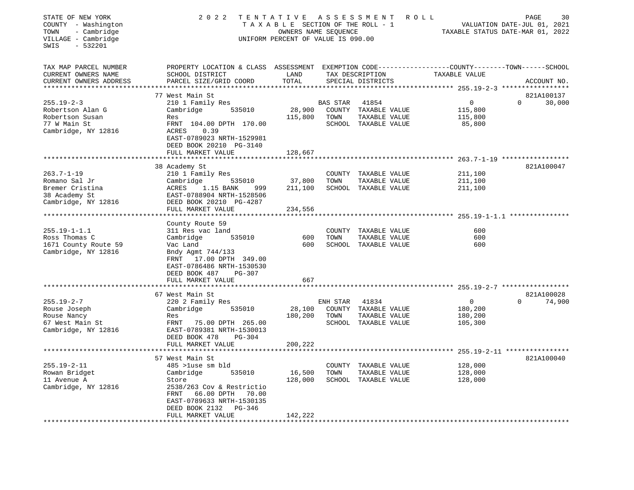| STATE OF NEW YORK<br>COUNTY - Washington<br>- Cambridge<br>TOWN<br>VILLAGE - Cambridge<br>SWIS<br>$-532201$ | 2 0 2 2<br>TENTATIVE                                                              | TAXABLE SECTION OF THE ROLL - 1<br>OWNERS NAME SEOUENCE<br>UNIFORM PERCENT OF VALUE IS 090.00 |          | ASSESSMENT                            | ROLL                                                                           | PAGE<br>30<br>VALUATION DATE-JUL 01, 2021<br>TAXABLE STATUS DATE-MAR 01, 2022 |
|-------------------------------------------------------------------------------------------------------------|-----------------------------------------------------------------------------------|-----------------------------------------------------------------------------------------------|----------|---------------------------------------|--------------------------------------------------------------------------------|-------------------------------------------------------------------------------|
| TAX MAP PARCEL NUMBER<br>CURRENT OWNERS NAME<br>CURRENT OWNERS ADDRESS                                      | PROPERTY LOCATION & CLASS ASSESSMENT<br>SCHOOL DISTRICT<br>PARCEL SIZE/GRID COORD | LAND<br>TOTAL                                                                                 |          | TAX DESCRIPTION<br>SPECIAL DISTRICTS  | EXEMPTION CODE-----------------COUNTY--------TOWN------SCHOOL<br>TAXABLE VALUE | ACCOUNT NO.                                                                   |
| ***********************                                                                                     | 77 West Main St                                                                   |                                                                                               |          |                                       |                                                                                | 821A100137                                                                    |
| $255.19 - 2 - 3$                                                                                            | 210 1 Family Res                                                                  |                                                                                               | BAS STAR | 41854                                 | 0                                                                              | 30,000<br>$\Omega$                                                            |
| Robertson Alan G                                                                                            | Cambridge<br>535010                                                               | 28,900                                                                                        |          | COUNTY TAXABLE VALUE                  | 115,800                                                                        |                                                                               |
| Robertson Susan                                                                                             | Res                                                                               | 115,800                                                                                       | TOWN     | TAXABLE VALUE                         | 115,800                                                                        |                                                                               |
| 77 W Main St                                                                                                | FRNT 104.00 DPTH 170.00                                                           |                                                                                               |          | SCHOOL TAXABLE VALUE                  | 85,800                                                                         |                                                                               |
| Cambridge, NY 12816                                                                                         | ACRES<br>0.39                                                                     |                                                                                               |          |                                       |                                                                                |                                                                               |
|                                                                                                             | EAST-0789023 NRTH-1529981<br>DEED BOOK 20210 PG-3140                              |                                                                                               |          |                                       |                                                                                |                                                                               |
|                                                                                                             | FULL MARKET VALUE                                                                 | 128,667                                                                                       |          |                                       |                                                                                |                                                                               |
|                                                                                                             |                                                                                   |                                                                                               |          |                                       | *************** 263.7-1-19 ***************                                     |                                                                               |
|                                                                                                             | 38 Academy St                                                                     |                                                                                               |          |                                       |                                                                                | 821A100047                                                                    |
| $263.7 - 1 - 19$                                                                                            | 210 1 Family Res                                                                  |                                                                                               |          | COUNTY TAXABLE VALUE                  | 211,100                                                                        |                                                                               |
| Romano Sal Jr                                                                                               | Cambridge<br>535010                                                               | 37,800                                                                                        | TOWN     | TAXABLE VALUE                         | 211,100                                                                        |                                                                               |
| Bremer Cristina                                                                                             | ACRES<br>1.15 BANK<br>999                                                         | 211,100                                                                                       |          | SCHOOL TAXABLE VALUE                  | 211,100                                                                        |                                                                               |
| 38 Academy St                                                                                               | EAST-0788904 NRTH-1528506                                                         |                                                                                               |          |                                       |                                                                                |                                                                               |
| Cambridge, NY 12816                                                                                         | DEED BOOK 20210 PG-4287<br>FULL MARKET VALUE                                      | 234,556                                                                                       |          |                                       |                                                                                |                                                                               |
|                                                                                                             |                                                                                   |                                                                                               |          |                                       |                                                                                |                                                                               |
|                                                                                                             | County Route 59                                                                   |                                                                                               |          |                                       |                                                                                |                                                                               |
| $255.19 - 1 - 1.1$                                                                                          | 311 Res vac land                                                                  |                                                                                               | COUNTY   | TAXABLE VALUE                         | 600                                                                            |                                                                               |
| Ross Thomas C                                                                                               | 535010<br>Cambridge                                                               | 600                                                                                           | TOWN     | TAXABLE VALUE                         | 600                                                                            |                                                                               |
| 1671 County Route 59                                                                                        | Vac Land                                                                          | 600                                                                                           |          | SCHOOL TAXABLE VALUE                  | 600                                                                            |                                                                               |
| Cambridge, NY 12816                                                                                         | Bndy Agmt 744/133                                                                 |                                                                                               |          |                                       |                                                                                |                                                                               |
|                                                                                                             | FRNT 17.00 DPTH 349.00<br>EAST-0786486 NRTH-1530530                               |                                                                                               |          |                                       |                                                                                |                                                                               |
|                                                                                                             | DEED BOOK 487<br>$PG-307$                                                         |                                                                                               |          |                                       |                                                                                |                                                                               |
|                                                                                                             | FULL MARKET VALUE                                                                 | 667                                                                                           |          |                                       |                                                                                |                                                                               |
|                                                                                                             | ********************                                                              |                                                                                               |          |                                       |                                                                                |                                                                               |
|                                                                                                             | 67 West Main St                                                                   |                                                                                               |          |                                       |                                                                                | 821A100028                                                                    |
| $255.19 - 2 - 7$                                                                                            | 220 2 Family Res                                                                  |                                                                                               | ENH STAR | 41834                                 | $\overline{0}$                                                                 | 74,900<br>$\Omega$                                                            |
| Rouse Joseph<br>Rouse Nancy                                                                                 | Cambridge<br>535010<br>Res                                                        | 28,100<br>180,200                                                                             | TOWN     | COUNTY TAXABLE VALUE<br>TAXABLE VALUE | 180,200<br>180,200                                                             |                                                                               |
| 67 West Main St                                                                                             | FRNT<br>75.00 DPTH 265.00                                                         |                                                                                               |          | SCHOOL TAXABLE VALUE                  | 105,300                                                                        |                                                                               |
| Cambridge, NY 12816                                                                                         | EAST-0789381 NRTH-1530013                                                         |                                                                                               |          |                                       |                                                                                |                                                                               |
|                                                                                                             | DEED BOOK 478<br><b>PG-304</b>                                                    |                                                                                               |          |                                       |                                                                                |                                                                               |
|                                                                                                             | FULL MARKET VALUE                                                                 | 200,222                                                                                       |          |                                       |                                                                                |                                                                               |
|                                                                                                             |                                                                                   |                                                                                               |          |                                       |                                                                                |                                                                               |
|                                                                                                             | 57 West Main St                                                                   |                                                                                               |          |                                       |                                                                                | 821A100040                                                                    |
| $255.19 - 2 - 11$                                                                                           | 485 >luse sm bld                                                                  |                                                                                               | COUNTY   | TAXABLE VALUE                         | 128,000                                                                        |                                                                               |
| Rowan Bridget<br>11 Avenue A                                                                                | Cambridge<br>535010<br>Store                                                      | 16,500<br>128,000                                                                             | TOWN     | TAXABLE VALUE<br>SCHOOL TAXABLE VALUE | 128,000<br>128,000                                                             |                                                                               |
| Cambridge, NY 12816                                                                                         | 2538/263 Cov & Restrictio                                                         |                                                                                               |          |                                       |                                                                                |                                                                               |
|                                                                                                             | 66.00 DPTH<br>FRNT<br>70.00                                                       |                                                                                               |          |                                       |                                                                                |                                                                               |
|                                                                                                             | EAST-0789633 NRTH-1530135                                                         |                                                                                               |          |                                       |                                                                                |                                                                               |
|                                                                                                             | DEED BOOK 2132<br>PG-346                                                          |                                                                                               |          |                                       |                                                                                |                                                                               |
|                                                                                                             | FULL MARKET VALUE                                                                 | 142,222                                                                                       |          |                                       |                                                                                |                                                                               |
|                                                                                                             |                                                                                   |                                                                                               |          |                                       |                                                                                |                                                                               |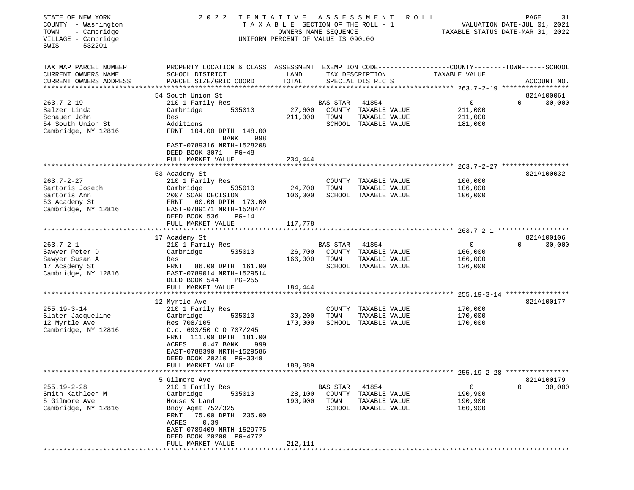| STATE OF NEW YORK<br>COUNTY - Washington                        | 2 0 2 2<br>TENTATIVE<br>T A X A B L E SECTION OF THE ROLL - 1             | 31<br>PAGE<br>R O L L<br>VALUATION DATE-JUL 01, 2021<br>TAXABLE STATUS DATE-MAR 01, 2022 |                 |                                      |                                                                                        |                                     |
|-----------------------------------------------------------------|---------------------------------------------------------------------------|------------------------------------------------------------------------------------------|-----------------|--------------------------------------|----------------------------------------------------------------------------------------|-------------------------------------|
| - Cambridge<br>TOWN<br>VILLAGE - Cambridge<br>$-532201$<br>SWIS |                                                                           | OWNERS NAME SEQUENCE<br>UNIFORM PERCENT OF VALUE IS 090.00                               |                 |                                      |                                                                                        |                                     |
| TAX MAP PARCEL NUMBER<br>CURRENT OWNERS NAME                    | PROPERTY LOCATION & CLASS<br>SCHOOL DISTRICT                              | LAND                                                                                     |                 | TAX DESCRIPTION                      | ASSESSMENT EXEMPTION CODE----------------COUNTY-------TOWN-----SCHOOL<br>TAXABLE VALUE |                                     |
| CURRENT OWNERS ADDRESS<br>**********************                | PARCEL SIZE/GRID COORD                                                    | TOTAL                                                                                    |                 | SPECIAL DISTRICTS                    |                                                                                        | ACCOUNT NO.                         |
|                                                                 | 54 South Union St                                                         |                                                                                          |                 |                                      |                                                                                        |                                     |
| $263.7 - 2 - 19$                                                | 210 1 Family Res                                                          |                                                                                          | <b>BAS STAR</b> | 41854                                | 0                                                                                      | 821A100061<br>0<br>30,000           |
| Salzer Linda                                                    | Cambridge<br>535010                                                       | 27,600                                                                                   | COUNTY          | TAXABLE VALUE                        | 211,000                                                                                |                                     |
| Schauer John                                                    | Res                                                                       | 211,000                                                                                  | TOWN            | TAXABLE VALUE                        | 211,000                                                                                |                                     |
| 54 South Union St                                               | Additions                                                                 |                                                                                          | SCHOOL          | TAXABLE VALUE                        | 181,000                                                                                |                                     |
| Cambridge, NY 12816                                             | FRNT 104.00 DPTH 148.00<br><b>BANK</b><br>998                             |                                                                                          |                 |                                      |                                                                                        |                                     |
|                                                                 | EAST-0789316 NRTH-1528208<br>DEED BOOK 3071<br>PG-48<br>FULL MARKET VALUE | 234,444                                                                                  |                 |                                      |                                                                                        |                                     |
|                                                                 |                                                                           |                                                                                          |                 | ************************************ |                                                                                        | $263.7 - 2 - 27$ ****************** |
|                                                                 | 53 Academy St                                                             |                                                                                          |                 |                                      |                                                                                        | 821A100032                          |
| $263.7 - 2 - 27$                                                | 210 1 Family Res                                                          |                                                                                          | COUNTY          | TAXABLE VALUE                        | 106,000                                                                                |                                     |
| Sartoris Joseph                                                 | 535010<br>Cambridge                                                       | 24,700                                                                                   | TOWN            | TAXABLE VALUE                        | 106,000                                                                                |                                     |
| Sartoris Ann                                                    | 2007 SCAR DECISION                                                        | 106,000                                                                                  |                 | SCHOOL TAXABLE VALUE                 | 106,000                                                                                |                                     |
| 53 Academy St                                                   | 60.00 DPTH 170.00<br>FRNT                                                 |                                                                                          |                 |                                      |                                                                                        |                                     |
| Cambridge, NY 12816                                             | EAST-0789171 NRTH-1528474                                                 |                                                                                          |                 |                                      |                                                                                        |                                     |
|                                                                 | DEED BOOK 536<br>$PG-14$<br>FULL MARKET VALUE                             | 117,778                                                                                  |                 |                                      |                                                                                        |                                     |
|                                                                 |                                                                           |                                                                                          |                 |                                      |                                                                                        |                                     |
|                                                                 | 17 Academy St                                                             |                                                                                          |                 |                                      |                                                                                        | 821A100106                          |
| $263.7 - 2 - 1$                                                 | 210 1 Family Res                                                          |                                                                                          | BAS STAR        | 41854                                | 0                                                                                      | $\Omega$<br>30,000                  |
| Sawyer Peter D                                                  | Cambridge<br>535010                                                       | 26,700                                                                                   | COUNTY          | TAXABLE VALUE                        | 166,000                                                                                |                                     |
| Sawyer Susan A                                                  | Res                                                                       | 166,000                                                                                  | TOWN            | TAXABLE VALUE                        | 166,000                                                                                |                                     |
| 17 Academy St                                                   | 86.00 DPTH 161.00<br>FRNT                                                 |                                                                                          |                 | SCHOOL TAXABLE VALUE                 | 136,000                                                                                |                                     |
| Cambridge, NY 12816                                             | EAST-0789014 NRTH-1529514                                                 |                                                                                          |                 |                                      |                                                                                        |                                     |
|                                                                 | DEED BOOK 544<br>$PG-255$<br>FULL MARKET VALUE                            | 184,444                                                                                  |                 |                                      |                                                                                        |                                     |
|                                                                 |                                                                           |                                                                                          |                 |                                      |                                                                                        |                                     |
|                                                                 | 12 Myrtle Ave                                                             |                                                                                          |                 |                                      |                                                                                        | 821A100177                          |
| $255.19 - 3 - 14$                                               | 210 1 Family Res                                                          |                                                                                          | COUNTY          | TAXABLE VALUE                        | 170,000                                                                                |                                     |
| Slater Jacqueline                                               | 535010<br>Cambridge                                                       | 30,200                                                                                   | TOWN            | TAXABLE VALUE                        | 170,000                                                                                |                                     |
| 12 Myrtle Ave                                                   | Res 708/105                                                               | 170,000                                                                                  |                 | SCHOOL TAXABLE VALUE                 | 170,000                                                                                |                                     |
| Cambridge, NY 12816                                             | C.o. 693/50 C O 707/245                                                   |                                                                                          |                 |                                      |                                                                                        |                                     |
|                                                                 | FRNT 111.00 DPTH 181.00                                                   |                                                                                          |                 |                                      |                                                                                        |                                     |
|                                                                 | ACRES<br>$0.47$ BANK<br>999                                               |                                                                                          |                 |                                      |                                                                                        |                                     |
|                                                                 | EAST-0788390 NRTH-1529586<br>DEED BOOK 20210 PG-3349                      |                                                                                          |                 |                                      |                                                                                        |                                     |
|                                                                 | FULL MARKET VALUE                                                         | 188,889                                                                                  |                 |                                      |                                                                                        |                                     |
| **********************                                          |                                                                           |                                                                                          |                 |                                      |                                                                                        |                                     |
|                                                                 | 5 Gilmore Ave                                                             |                                                                                          |                 |                                      |                                                                                        | 821A100179                          |
| $255.19 - 2 - 28$                                               | 210 1 Family Res                                                          |                                                                                          | <b>BAS STAR</b> | 41854                                | 0                                                                                      | 0<br>30,000                         |
| Smith Kathleen M                                                | Cambridge<br>535010                                                       | 28,100                                                                                   | COUNTY          | TAXABLE VALUE                        | 190,900                                                                                |                                     |
| 5 Gilmore Ave                                                   | House & Land                                                              | 190,900                                                                                  | TOWN            | TAXABLE VALUE                        | 190,900                                                                                |                                     |
| Cambridge, NY 12816                                             | Bndy Agmt 752/325                                                         |                                                                                          | SCHOOL          | TAXABLE VALUE                        | 160,900                                                                                |                                     |
|                                                                 | 75.00 DPTH 235.00<br>FRNT                                                 |                                                                                          |                 |                                      |                                                                                        |                                     |
|                                                                 | ACRES<br>0.39<br>EAST-0789409 NRTH-1529775                                |                                                                                          |                 |                                      |                                                                                        |                                     |
|                                                                 | DEED BOOK 20200 PG-4772                                                   |                                                                                          |                 |                                      |                                                                                        |                                     |
|                                                                 | FULL MARKET VALUE                                                         | 212,111                                                                                  |                 |                                      |                                                                                        |                                     |
|                                                                 |                                                                           |                                                                                          |                 |                                      |                                                                                        |                                     |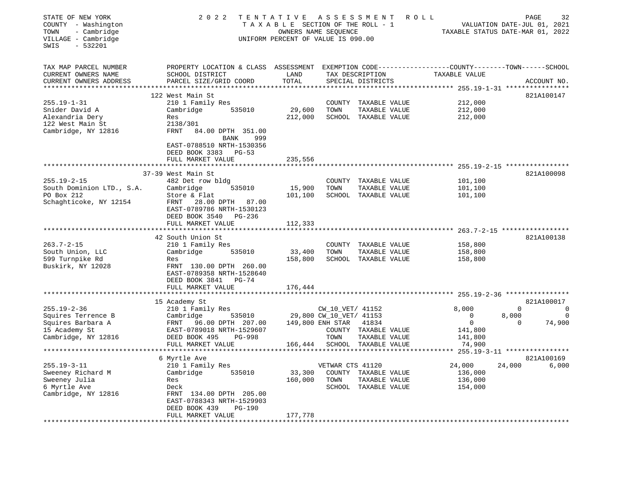| STATE OF NEW YORK<br>COUNTY - Washington<br>- Cambridge<br>TOWN<br>VILLAGE - Cambridge<br>$-532201$<br>SWIS | 2 0 2 2                                                                                                                                      | TENTATIVE<br>TAXABLE SECTION OF THE ROLL - 1<br>OWNERS NAME SEQUENCE<br>UNIFORM PERCENT OF VALUE IS 090.00 |                         | ASSESSMENT                            | R O L L<br>TAXABLE STATUS DATE-MAR 01, 2022                          | PAGE<br>VALUATION DATE-JUL 01, 2021 | 32             |
|-------------------------------------------------------------------------------------------------------------|----------------------------------------------------------------------------------------------------------------------------------------------|------------------------------------------------------------------------------------------------------------|-------------------------|---------------------------------------|----------------------------------------------------------------------|-------------------------------------|----------------|
| TAX MAP PARCEL NUMBER<br>CURRENT OWNERS NAME<br>CURRENT OWNERS ADDRESS                                      | PROPERTY LOCATION & CLASS ASSESSMENT EXEMPTION CODE---------------COUNTY-------TOWN------SCHOOL<br>SCHOOL DISTRICT<br>PARCEL SIZE/GRID COORD | LAND<br>TOTAL                                                                                              |                         | TAX DESCRIPTION<br>SPECIAL DISTRICTS  | TAXABLE VALUE                                                        |                                     | ACCOUNT NO.    |
|                                                                                                             |                                                                                                                                              |                                                                                                            |                         |                                       | ********** 255.19-1-31 ***                                           |                                     | *************  |
|                                                                                                             | 122 West Main St                                                                                                                             |                                                                                                            |                         |                                       |                                                                      |                                     | 821A100147     |
| $255.19 - 1 - 31$                                                                                           | 210 1 Family Res                                                                                                                             |                                                                                                            |                         | COUNTY TAXABLE VALUE                  | 212,000                                                              |                                     |                |
| Snider David A                                                                                              | Cambridge<br>535010                                                                                                                          | 29,600                                                                                                     | TOWN                    | TAXABLE VALUE                         | 212,000                                                              |                                     |                |
| Alexandria Dery                                                                                             | Res                                                                                                                                          | 212,000                                                                                                    |                         | SCHOOL TAXABLE VALUE                  | 212,000                                                              |                                     |                |
| 122 West Main St                                                                                            | 2138/301<br>FRNT                                                                                                                             |                                                                                                            |                         |                                       |                                                                      |                                     |                |
| Cambridge, NY 12816                                                                                         | 84.00 DPTH 351.00<br>BANK<br>999                                                                                                             |                                                                                                            |                         |                                       |                                                                      |                                     |                |
|                                                                                                             | EAST-0788510 NRTH-1530356                                                                                                                    |                                                                                                            |                         |                                       |                                                                      |                                     |                |
|                                                                                                             | DEED BOOK 3383 PG-53                                                                                                                         |                                                                                                            |                         |                                       |                                                                      |                                     |                |
|                                                                                                             | FULL MARKET VALUE                                                                                                                            | 235,556                                                                                                    |                         |                                       |                                                                      |                                     |                |
|                                                                                                             | ***********************                                                                                                                      | * * * * * * * * * * * * * *                                                                                |                         |                                       | ************************************** 255.19-2-15 ***************** |                                     |                |
|                                                                                                             | 37-39 West Main St                                                                                                                           |                                                                                                            |                         |                                       |                                                                      |                                     | 821A100098     |
| $255.19 - 2 - 15$                                                                                           | 482 Det row bldg                                                                                                                             |                                                                                                            |                         | COUNTY TAXABLE VALUE                  | 101,100                                                              |                                     |                |
| South Dominion LTD., S.A.                                                                                   | Cambridge<br>535010                                                                                                                          | 15,900                                                                                                     | TOWN                    | TAXABLE VALUE                         | 101,100                                                              |                                     |                |
| PO Box 212                                                                                                  | Store & Flat                                                                                                                                 | 101,100                                                                                                    |                         | SCHOOL TAXABLE VALUE                  | 101,100                                                              |                                     |                |
| Schaghticoke, NY 12154                                                                                      | FRNT 28.00 DPTH 87.00                                                                                                                        |                                                                                                            |                         |                                       |                                                                      |                                     |                |
|                                                                                                             | EAST-0789786 NRTH-1530123                                                                                                                    |                                                                                                            |                         |                                       |                                                                      |                                     |                |
|                                                                                                             | DEED BOOK 3540 PG-236                                                                                                                        |                                                                                                            |                         |                                       |                                                                      |                                     |                |
|                                                                                                             | FULL MARKET VALUE                                                                                                                            | 112,333                                                                                                    |                         |                                       |                                                                      |                                     |                |
|                                                                                                             |                                                                                                                                              |                                                                                                            |                         |                                       |                                                                      |                                     |                |
|                                                                                                             | 42 South Union St                                                                                                                            |                                                                                                            |                         |                                       |                                                                      |                                     | 821A100138     |
| $263.7 - 2 - 15$<br>South Union, LLC                                                                        | 210 1 Family Res<br>Cambridge                                                                                                                | 33,400                                                                                                     | TOWN                    | COUNTY TAXABLE VALUE                  | 158,800<br>158,800                                                   |                                     |                |
| 599 Turnpike Rd                                                                                             | 535010<br>Res                                                                                                                                | 158,800                                                                                                    |                         | TAXABLE VALUE<br>SCHOOL TAXABLE VALUE | 158,800                                                              |                                     |                |
| Buskirk, NY 12028                                                                                           | FRNT 130.00 DPTH 260.00                                                                                                                      |                                                                                                            |                         |                                       |                                                                      |                                     |                |
|                                                                                                             | EAST-0789358 NRTH-1528640                                                                                                                    |                                                                                                            |                         |                                       |                                                                      |                                     |                |
|                                                                                                             | DEED BOOK 3841 PG-74                                                                                                                         |                                                                                                            |                         |                                       |                                                                      |                                     |                |
|                                                                                                             | FULL MARKET VALUE                                                                                                                            | 176,444                                                                                                    |                         |                                       |                                                                      |                                     |                |
|                                                                                                             | *******************                                                                                                                          | *************                                                                                              |                         |                                       | ****************************** 255.19-2-36 ****************          |                                     |                |
|                                                                                                             | 15 Academy St                                                                                                                                |                                                                                                            |                         |                                       |                                                                      |                                     | 821A100017     |
| $255.19 - 2 - 36$                                                                                           | 210 1 Family Res                                                                                                                             |                                                                                                            | CW_10_VET/ 41152        |                                       | 8,000                                                                | $\mathbf 0$                         | $\overline{0}$ |
| Squires Terrence B                                                                                          | 535010<br>Cambridge                                                                                                                          |                                                                                                            | 29,800 CW_10_VET/ 41153 |                                       | $\mathbf 0$                                                          | 8,000                               | $\Omega$       |
| Squires Barbara A                                                                                           | FRNT<br>96.00 DPTH 207.00                                                                                                                    | 149,800 ENH STAR                                                                                           |                         | 41834                                 | $\mathbf 0$                                                          | $\Omega$                            | 74,900         |
| 15 Academy St                                                                                               | EAST-0789018 NRTH-1529607                                                                                                                    |                                                                                                            |                         | COUNTY TAXABLE VALUE                  | 141,800                                                              |                                     |                |
| Cambridge, NY 12816                                                                                         | DEED BOOK 495<br>PG-998                                                                                                                      |                                                                                                            | TOWN                    | TAXABLE VALUE                         | 141,800                                                              |                                     |                |
|                                                                                                             | FULL MARKET VALUE                                                                                                                            | 166,444                                                                                                    |                         | SCHOOL TAXABLE VALUE                  | 74,900                                                               |                                     |                |
|                                                                                                             | ******************                                                                                                                           |                                                                                                            |                         |                                       | ** 255.19-3-11 *****************                                     |                                     |                |
|                                                                                                             | 6 Myrtle Ave                                                                                                                                 |                                                                                                            |                         |                                       |                                                                      |                                     | 821A100169     |
| $255.19 - 3 - 11$                                                                                           | 210 1 Family Res                                                                                                                             |                                                                                                            | VETWAR CTS 41120        |                                       | 24,000                                                               | 24,000                              | 6,000          |
| Sweeney Richard M                                                                                           | Cambridge<br>535010                                                                                                                          | 33,300                                                                                                     |                         | COUNTY TAXABLE VALUE                  | 136,000                                                              |                                     |                |
| Sweeney Julia                                                                                               | Res                                                                                                                                          | 160,000                                                                                                    | TOWN                    | TAXABLE VALUE                         | 136,000                                                              |                                     |                |
| 6 Myrtle Ave                                                                                                | Deck                                                                                                                                         |                                                                                                            |                         | SCHOOL TAXABLE VALUE                  | 154,000                                                              |                                     |                |
| Cambridge, NY 12816                                                                                         | FRNT 134.00 DPTH 205.00<br>EAST-0788343 NRTH-1529903                                                                                         |                                                                                                            |                         |                                       |                                                                      |                                     |                |
|                                                                                                             | DEED BOOK 439<br>PG-190                                                                                                                      |                                                                                                            |                         |                                       |                                                                      |                                     |                |
|                                                                                                             | FULL MARKET VALUE                                                                                                                            | 177,778                                                                                                    |                         |                                       |                                                                      |                                     |                |
| ******************                                                                                          |                                                                                                                                              |                                                                                                            |                         |                                       |                                                                      |                                     |                |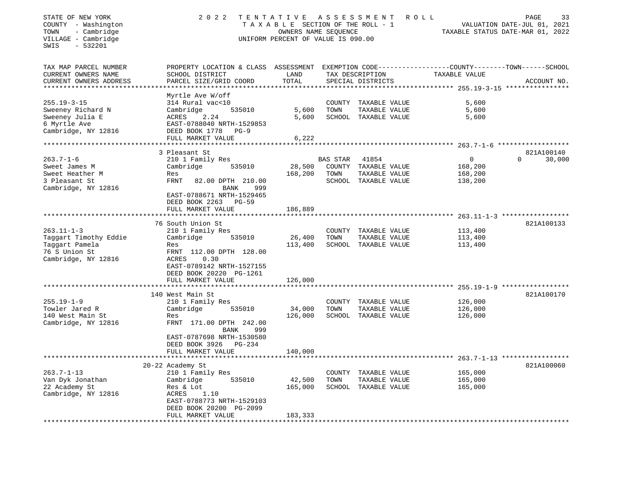| STATE OF NEW YORK<br>COUNTY - Washington<br>- Cambridge<br>TOWN<br>VILLAGE - Cambridge<br>SWIS<br>- 532201 | R O L L                                                                                                                                     | PAGE<br>33<br>VALUATION DATE-JUL 01, 2021<br>TAXABLE STATUS DATE-MAR 01, 2022 |                 |                                       |               |                    |
|------------------------------------------------------------------------------------------------------------|---------------------------------------------------------------------------------------------------------------------------------------------|-------------------------------------------------------------------------------|-----------------|---------------------------------------|---------------|--------------------|
| TAX MAP PARCEL NUMBER<br>CURRENT OWNERS NAME<br>CURRENT OWNERS ADDRESS<br>**************************       | PROPERTY LOCATION & CLASS ASSESSMENT EXEMPTION CODE---------------COUNTY-------TOWN-----SCHOOL<br>SCHOOL DISTRICT<br>PARCEL SIZE/GRID COORD | LAND<br>TOTAL                                                                 |                 | TAX DESCRIPTION<br>SPECIAL DISTRICTS  | TAXABLE VALUE | ACCOUNT NO.        |
|                                                                                                            | Myrtle Ave W/off                                                                                                                            |                                                                               |                 |                                       |               |                    |
| $255.19 - 3 - 15$                                                                                          | 314 Rural vac<10                                                                                                                            |                                                                               |                 | COUNTY TAXABLE VALUE                  | 5,600         |                    |
| Sweeney Richard N                                                                                          | 535010<br>Cambridge                                                                                                                         | 5,600                                                                         | TOWN            | TAXABLE VALUE                         | 5,600         |                    |
| Sweeney Julia E                                                                                            | ACRES<br>2.24                                                                                                                               | 5,600                                                                         |                 | SCHOOL TAXABLE VALUE                  | 5,600         |                    |
| 6 Myrtle Ave                                                                                               | EAST-0788040 NRTH-1529853                                                                                                                   |                                                                               |                 |                                       |               |                    |
| Cambridge, NY 12816                                                                                        | DEED BOOK 1778 PG-9                                                                                                                         |                                                                               |                 |                                       |               |                    |
|                                                                                                            | FULL MARKET VALUE                                                                                                                           | 6,222                                                                         |                 |                                       |               |                    |
|                                                                                                            | *************************                                                                                                                   |                                                                               |                 |                                       |               |                    |
|                                                                                                            | 3 Pleasant St                                                                                                                               |                                                                               |                 |                                       |               | 821A100140         |
| $263.7 - 1 - 6$                                                                                            | 210 1 Family Res                                                                                                                            |                                                                               | <b>BAS STAR</b> | 41854                                 | $\mathbf 0$   | 30,000<br>$\Omega$ |
| Sweet James M                                                                                              | 535010<br>Cambridge                                                                                                                         | 28,500                                                                        |                 | COUNTY TAXABLE VALUE                  | 168,200       |                    |
| Sweet Heather M                                                                                            | Res                                                                                                                                         | 168,200                                                                       | TOWN            | TAXABLE VALUE                         | 168,200       |                    |
| 3 Pleasant St                                                                                              | FRNT<br>82.00 DPTH 210.00                                                                                                                   |                                                                               |                 | SCHOOL TAXABLE VALUE                  | 138,200       |                    |
| Cambridge, NY 12816                                                                                        | <b>BANK</b><br>999                                                                                                                          |                                                                               |                 |                                       |               |                    |
|                                                                                                            | EAST-0788671 NRTH-1529465<br>DEED BOOK 2263 PG-59                                                                                           |                                                                               |                 |                                       |               |                    |
|                                                                                                            | FULL MARKET VALUE                                                                                                                           | 186,889                                                                       |                 |                                       |               |                    |
|                                                                                                            |                                                                                                                                             |                                                                               |                 |                                       |               |                    |
|                                                                                                            | 76 South Union St                                                                                                                           |                                                                               |                 |                                       |               | 821A100133         |
| $263.11 - 1 - 3$                                                                                           | 210 1 Family Res                                                                                                                            |                                                                               |                 | COUNTY TAXABLE VALUE                  | 113,400       |                    |
| Taggart Timothy Eddie                                                                                      | 535010<br>Cambridge                                                                                                                         | 26,400                                                                        | TOWN            | TAXABLE VALUE                         | 113,400       |                    |
| Taggart Pamela                                                                                             | Res                                                                                                                                         | 113,400                                                                       |                 | SCHOOL TAXABLE VALUE                  | 113,400       |                    |
| 76 S Union St                                                                                              | FRNT 112.00 DPTH 128.00                                                                                                                     |                                                                               |                 |                                       |               |                    |
| Cambridge, NY 12816                                                                                        | ACRES<br>0.30                                                                                                                               |                                                                               |                 |                                       |               |                    |
|                                                                                                            | EAST-0789142 NRTH-1527155                                                                                                                   |                                                                               |                 |                                       |               |                    |
|                                                                                                            | DEED BOOK 20220 PG-1261                                                                                                                     |                                                                               |                 |                                       |               |                    |
|                                                                                                            | FULL MARKET VALUE                                                                                                                           | 126,000                                                                       |                 |                                       |               |                    |
|                                                                                                            | ******************                                                                                                                          |                                                                               |                 |                                       |               |                    |
|                                                                                                            | 140 West Main St                                                                                                                            |                                                                               |                 |                                       |               | 821A100170         |
| $255.19 - 1 - 9$                                                                                           | 210 1 Family Res                                                                                                                            |                                                                               |                 | COUNTY TAXABLE VALUE                  | 126,000       |                    |
| Towler Jared R                                                                                             | Cambridge<br>535010                                                                                                                         | 34,000                                                                        | TOWN            | TAXABLE VALUE                         | 126,000       |                    |
| 140 West Main St                                                                                           | Res                                                                                                                                         | 126,000                                                                       |                 | SCHOOL TAXABLE VALUE                  | 126,000       |                    |
| Cambridge, NY 12816                                                                                        | FRNT 171.00 DPTH 242.00                                                                                                                     |                                                                               |                 |                                       |               |                    |
|                                                                                                            | BANK<br>999                                                                                                                                 |                                                                               |                 |                                       |               |                    |
|                                                                                                            | EAST-0787698 NRTH-1530580                                                                                                                   |                                                                               |                 |                                       |               |                    |
|                                                                                                            | DEED BOOK 3926 PG-234                                                                                                                       |                                                                               |                 |                                       |               |                    |
|                                                                                                            | FULL MARKET VALUE                                                                                                                           | 140,000                                                                       |                 |                                       |               |                    |
|                                                                                                            |                                                                                                                                             |                                                                               |                 |                                       |               |                    |
| $263.7 - 1 - 13$                                                                                           | 20-22 Academy St                                                                                                                            |                                                                               |                 |                                       | 165,000       | 821A100060         |
| Van Dyk Jonathan                                                                                           | 210 1 Family Res<br>535010<br>Cambridge                                                                                                     | 42,500                                                                        | TOWN            | COUNTY TAXABLE VALUE<br>TAXABLE VALUE | 165,000       |                    |
| 22 Academy St                                                                                              | Res & Lot                                                                                                                                   | 165,000                                                                       |                 | SCHOOL TAXABLE VALUE                  | 165,000       |                    |
| Cambridge, NY 12816                                                                                        | ACRES<br>1.10                                                                                                                               |                                                                               |                 |                                       |               |                    |
|                                                                                                            | EAST-0788773 NRTH-1529103                                                                                                                   |                                                                               |                 |                                       |               |                    |
|                                                                                                            | DEED BOOK 20200 PG-2099                                                                                                                     |                                                                               |                 |                                       |               |                    |
|                                                                                                            | FULL MARKET VALUE                                                                                                                           | 183,333                                                                       |                 |                                       |               |                    |
|                                                                                                            |                                                                                                                                             |                                                                               |                 |                                       |               |                    |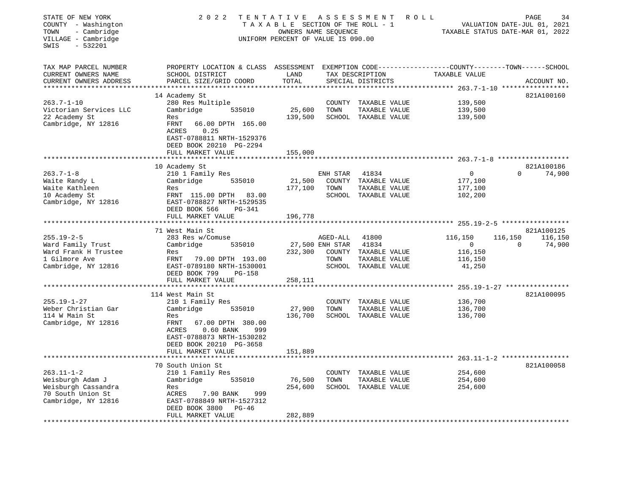| STATE OF NEW YORK<br>COUNTY - Washington<br>- Cambridge<br>TOWN<br>VILLAGE - Cambridge<br>$-532201$<br>SWIS | 2 0 2 2<br>TENTATIVE ASSESSMENT<br>ROLL<br>TAXABLE SECTION OF THE ROLL - 1<br>OWNERS NAME SEQUENCE<br>UNIFORM PERCENT OF VALUE IS 090.00                                                                                |                                     |                                     |                                                                                 |                                                                                                      |                                                        |
|-------------------------------------------------------------------------------------------------------------|-------------------------------------------------------------------------------------------------------------------------------------------------------------------------------------------------------------------------|-------------------------------------|-------------------------------------|---------------------------------------------------------------------------------|------------------------------------------------------------------------------------------------------|--------------------------------------------------------|
| TAX MAP PARCEL NUMBER<br>CURRENT OWNERS NAME<br>CURRENT OWNERS ADDRESS                                      | PROPERTY LOCATION & CLASS ASSESSMENT EXEMPTION CODE---------------COUNTY-------TOWN-----SCHOOL<br>SCHOOL DISTRICT<br>PARCEL SIZE/GRID COORD                                                                             | LAND<br>TOTAL                       |                                     | TAX DESCRIPTION<br>SPECIAL DISTRICTS                                            | TAXABLE VALUE                                                                                        | ACCOUNT NO.                                            |
| $263.7 - 1 - 10$<br>Victorian Services LLC<br>22 Academy St<br>Cambridge, NY 12816                          | 14 Academy St<br>280 Res Multiple<br>Cambridge<br>535010<br>Res<br>66.00 DPTH 165.00<br>FRNT<br>0.25<br>ACRES<br>EAST-0788811 NRTH-1529376<br>DEED BOOK 20210 PG-2294                                                   | 25,600<br>139,500                   | COUNTY<br>TOWN                      | TAXABLE VALUE<br>TAXABLE VALUE<br>SCHOOL TAXABLE VALUE                          | 139,500<br>139,500<br>139,500                                                                        | 821A100160                                             |
|                                                                                                             | FULL MARKET VALUE                                                                                                                                                                                                       | 155,000                             |                                     |                                                                                 |                                                                                                      |                                                        |
| $263.7 - 1 - 8$<br>Waite Randy L<br>Waite Kathleen<br>10 Academy St<br>Cambridge, NY 12816                  | 10 Academy St<br>210 1 Family Res<br>535010<br>Cambridge<br>Res<br>FRNT 115.00 DPTH 83.00<br>EAST-0788827 NRTH-1529535<br>DEED BOOK 566<br>PG-341                                                                       | 21,500<br>177,100                   | ENH STAR<br>TOWN                    | 41834<br>COUNTY TAXABLE VALUE<br>TAXABLE VALUE<br>SCHOOL TAXABLE VALUE          | $\mathbf{0}$<br>177,100<br>177,100<br>102,200                                                        | 821A100186<br>$\Omega$<br>74,900                       |
|                                                                                                             | FULL MARKET VALUE                                                                                                                                                                                                       | 196,778                             |                                     |                                                                                 |                                                                                                      |                                                        |
|                                                                                                             |                                                                                                                                                                                                                         |                                     |                                     |                                                                                 | *************** 255.19-2-5 ******************                                                        |                                                        |
| $255.19 - 2 - 5$<br>Ward Family Trust<br>Ward Frank H Trustee<br>1 Gilmore Ave<br>Cambridge, NY 12816       | 71 West Main St<br>283 Res w/Comuse<br>535010<br>Cambridge<br>Res<br>FRNT 79.00 DPTH 193.00<br>EAST-0789180 NRTH-1530001<br>DEED BOOK 799<br>PG-158                                                                     | 232,300                             | AGED-ALL<br>27,500 ENH STAR<br>TOWN | 41800<br>41834<br>COUNTY TAXABLE VALUE<br>TAXABLE VALUE<br>SCHOOL TAXABLE VALUE | 116,150<br>$\overline{0}$<br>116,150<br>116,150<br>41,250                                            | 821A100125<br>116,150<br>116,150<br>$\Omega$<br>74,900 |
|                                                                                                             | FULL MARKET VALUE                                                                                                                                                                                                       | 258,111                             |                                     |                                                                                 |                                                                                                      |                                                        |
| $255.19 - 1 - 27$<br>Weber Christian Gar<br>114 W Main St<br>Cambridge, NY 12816                            | *****************************<br>114 West Main St<br>210 1 Family Res<br>Cambridge<br>535010<br>Res<br>FRNT<br>67.00 DPTH 380.00<br>ACRES<br>$0.60$ BANK<br>999<br>EAST-0788873 NRTH-1530282<br>DEED BOOK 20210 PG-3658 | **************<br>27,900<br>136,700 | TOWN                                | COUNTY TAXABLE VALUE<br>TAXABLE VALUE<br>SCHOOL TAXABLE VALUE                   | ************************************** 255.19-1-27 ****************<br>136,700<br>136,700<br>136,700 | 821A100095                                             |
|                                                                                                             | FULL MARKET VALUE                                                                                                                                                                                                       | 151,889                             |                                     |                                                                                 |                                                                                                      |                                                        |
|                                                                                                             | 70 South Union St                                                                                                                                                                                                       |                                     |                                     |                                                                                 |                                                                                                      | 821A100058                                             |
| $263.11 - 1 - 2$<br>Weisburgh Adam J<br>Weisburgh Cassandra<br>70 South Union St<br>Cambridge, NY 12816     | 210 1 Family Res<br>Cambridge<br>535010<br>Res<br>ACRES<br>7.90 BANK<br>999<br>EAST-0788849 NRTH-1527312<br>DEED BOOK 3800<br>$PG-46$<br>FULL MARKET VALUE                                                              | 76,500<br>254,600<br>282,889        | TOWN                                | COUNTY TAXABLE VALUE<br>TAXABLE VALUE<br>SCHOOL TAXABLE VALUE                   | 254,600<br>254,600<br>254,600                                                                        |                                                        |
|                                                                                                             |                                                                                                                                                                                                                         |                                     |                                     |                                                                                 |                                                                                                      |                                                        |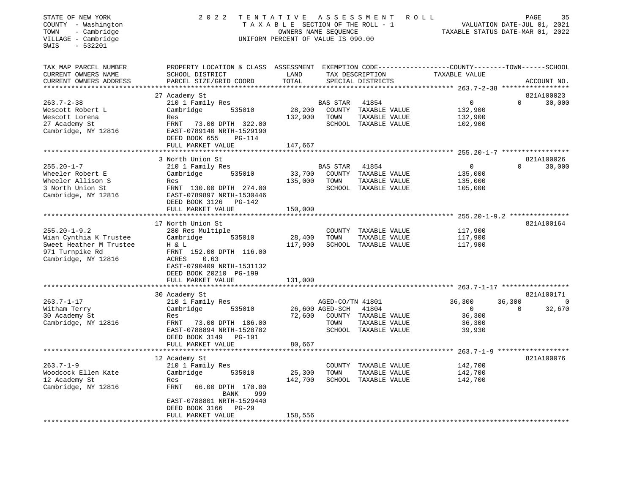| STATE OF NEW YORK<br>COUNTY - Washington<br>- Cambridge<br>TOWN<br>VILLAGE - Cambridge<br>$-532201$<br>SWIS | 2 0 2 2                                                                                                                                      | TENTATIVE<br>TAXABLE SECTION OF THE ROLL - 1<br>OWNERS NAME SEQUENCE<br>UNIFORM PERCENT OF VALUE IS 090.00 |                  | A S S E S S M E N T<br><b>ROLL</b>    | TAXABLE STATUS DATE-MAR 01, 2022                     |          | PAGE<br>35<br>VALUATION DATE-JUL 01, 2021 |
|-------------------------------------------------------------------------------------------------------------|----------------------------------------------------------------------------------------------------------------------------------------------|------------------------------------------------------------------------------------------------------------|------------------|---------------------------------------|------------------------------------------------------|----------|-------------------------------------------|
| TAX MAP PARCEL NUMBER<br>CURRENT OWNERS NAME<br>CURRENT OWNERS ADDRESS                                      | PROPERTY LOCATION & CLASS ASSESSMENT EXEMPTION CODE----------------COUNTY-------TOWN-----SCHOOL<br>SCHOOL DISTRICT<br>PARCEL SIZE/GRID COORD | LAND<br>TOTAL                                                                                              |                  | TAX DESCRIPTION<br>SPECIAL DISTRICTS  | TAXABLE VALUE                                        |          | ACCOUNT NO.                               |
|                                                                                                             |                                                                                                                                              |                                                                                                            |                  | ************************************* | *********** 263.7-2-38 ******************            |          | 821A100023                                |
| $263.7 - 2 - 38$                                                                                            | 27 Academy St<br>210 1 Family Res                                                                                                            |                                                                                                            | BAS STAR         | 41854                                 | $\mathsf{O}$                                         | $\Omega$ | 30,000                                    |
| Wescott Robert L                                                                                            | Cambridge<br>535010                                                                                                                          | 28,200                                                                                                     |                  | COUNTY TAXABLE VALUE                  | 132,900                                              |          |                                           |
| Wescott Lorena                                                                                              | Res                                                                                                                                          | 132,900                                                                                                    | TOWN             | TAXABLE VALUE                         | 132,900                                              |          |                                           |
| 27 Academy St                                                                                               | FRNT<br>73.00 DPTH 322.00                                                                                                                    |                                                                                                            |                  | SCHOOL TAXABLE VALUE                  | 102,900                                              |          |                                           |
| Cambridge, NY 12816                                                                                         | EAST-0789140 NRTH-1529190                                                                                                                    |                                                                                                            |                  |                                       |                                                      |          |                                           |
|                                                                                                             | DEED BOOK 655<br>PG-114                                                                                                                      |                                                                                                            |                  |                                       |                                                      |          |                                           |
|                                                                                                             | FULL MARKET VALUE<br>********************                                                                                                    | 147,667<br>************                                                                                    |                  |                                       | ********************** 255.20-1-7 ****************** |          |                                           |
|                                                                                                             | 3 North Union St                                                                                                                             |                                                                                                            |                  |                                       |                                                      |          | 821A100026                                |
| $255.20 - 1 - 7$                                                                                            | 210 1 Family Res                                                                                                                             |                                                                                                            | BAS STAR         | 41854                                 | $\mathbf 0$                                          | $\Omega$ | 30,000                                    |
| Wheeler Robert E                                                                                            | Cambridge<br>535010                                                                                                                          | 33,700                                                                                                     |                  | COUNTY TAXABLE VALUE                  | 135,000                                              |          |                                           |
| Wheeler Allison S                                                                                           | Res                                                                                                                                          | 135,000                                                                                                    | TOWN             | TAXABLE VALUE                         | 135,000                                              |          |                                           |
| 3 North Union St                                                                                            | FRNT 130.00 DPTH 274.00                                                                                                                      |                                                                                                            |                  | SCHOOL TAXABLE VALUE                  | 105,000                                              |          |                                           |
| Cambridge, NY 12816                                                                                         | EAST-0789897 NRTH-1530446                                                                                                                    |                                                                                                            |                  |                                       |                                                      |          |                                           |
|                                                                                                             | DEED BOOK 3126<br>PG-142<br>FULL MARKET VALUE                                                                                                | 150,000                                                                                                    |                  |                                       |                                                      |          |                                           |
|                                                                                                             |                                                                                                                                              |                                                                                                            |                  |                                       |                                                      |          |                                           |
|                                                                                                             | 17 North Union St                                                                                                                            |                                                                                                            |                  |                                       |                                                      |          | 821A100164                                |
| $255.20 - 1 - 9.2$                                                                                          | 280 Res Multiple                                                                                                                             |                                                                                                            |                  | COUNTY TAXABLE VALUE                  | 117,900                                              |          |                                           |
| Wian Cynthia K Trustee                                                                                      | Cambridge<br>535010                                                                                                                          | 28,400                                                                                                     | TOWN             | TAXABLE VALUE                         | 117,900                                              |          |                                           |
| Sweet Heather M Trustee                                                                                     | H & L                                                                                                                                        | 117,900                                                                                                    |                  | SCHOOL TAXABLE VALUE                  | 117,900                                              |          |                                           |
| 971 Turnpike Rd                                                                                             | FRNT 152.00 DPTH 116.00                                                                                                                      |                                                                                                            |                  |                                       |                                                      |          |                                           |
| Cambridge, NY 12816                                                                                         | ACRES<br>0.63<br>EAST-0790409 NRTH-1531132                                                                                                   |                                                                                                            |                  |                                       |                                                      |          |                                           |
|                                                                                                             | DEED BOOK 20210 PG-199                                                                                                                       |                                                                                                            |                  |                                       |                                                      |          |                                           |
|                                                                                                             | FULL MARKET VALUE                                                                                                                            | 131,000                                                                                                    |                  |                                       |                                                      |          |                                           |
|                                                                                                             | ***************************                                                                                                                  |                                                                                                            |                  |                                       |                                                      |          |                                           |
|                                                                                                             | 30 Academy St                                                                                                                                |                                                                                                            |                  |                                       |                                                      |          | 821A100171                                |
| $263.7 - 1 - 17$                                                                                            | 210 1 Family Res                                                                                                                             |                                                                                                            | AGED-CO/TN 41801 |                                       | 36,300                                               | 36,300   | $\mathbf 0$                               |
| Witham Terry                                                                                                | Cambridge<br>535010                                                                                                                          |                                                                                                            | 26,600 AGED-SCH  | 41804                                 | $\Omega$                                             | $\Omega$ | 32,670                                    |
| 30 Academy St<br>Cambridge, NY 12816                                                                        | Res<br>FRNT<br>73.00 DPTH 186.00                                                                                                             | 72,600                                                                                                     | TOWN             | COUNTY TAXABLE VALUE<br>TAXABLE VALUE | 36,300<br>36,300                                     |          |                                           |
|                                                                                                             | EAST-0788894 NRTH-1528782                                                                                                                    |                                                                                                            |                  | SCHOOL TAXABLE VALUE                  | 39,930                                               |          |                                           |
|                                                                                                             | DEED BOOK 3149<br>PG-191                                                                                                                     |                                                                                                            |                  |                                       |                                                      |          |                                           |
|                                                                                                             | FULL MARKET VALUE                                                                                                                            | 80,667                                                                                                     |                  |                                       |                                                      |          |                                           |
|                                                                                                             | ************************                                                                                                                     |                                                                                                            |                  |                                       | $263.7 - 1 - 9$ *******************                  |          |                                           |
|                                                                                                             | 12 Academy St                                                                                                                                |                                                                                                            |                  |                                       |                                                      |          | 821A100076                                |
| $263.7 - 1 - 9$                                                                                             | 210 1 Family Res                                                                                                                             |                                                                                                            |                  | COUNTY TAXABLE VALUE                  | 142,700                                              |          |                                           |
| Woodcock Ellen Kate                                                                                         | Cambridge<br>535010                                                                                                                          | 25,300                                                                                                     | TOWN             | TAXABLE VALUE                         | 142,700                                              |          |                                           |
| 12 Academy St<br>Cambridge, NY 12816                                                                        | Res<br>FRNT<br>66.00 DPTH 170.00                                                                                                             | 142,700                                                                                                    |                  | SCHOOL TAXABLE VALUE                  | 142,700                                              |          |                                           |
|                                                                                                             | BANK<br>999                                                                                                                                  |                                                                                                            |                  |                                       |                                                      |          |                                           |
|                                                                                                             | EAST-0788801 NRTH-1529440                                                                                                                    |                                                                                                            |                  |                                       |                                                      |          |                                           |
|                                                                                                             | <b>PG-29</b><br>DEED BOOK 3166                                                                                                               |                                                                                                            |                  |                                       |                                                      |          |                                           |
|                                                                                                             | FULL MARKET VALUE                                                                                                                            | 158,556                                                                                                    |                  |                                       |                                                      |          |                                           |
|                                                                                                             |                                                                                                                                              |                                                                                                            |                  |                                       |                                                      |          |                                           |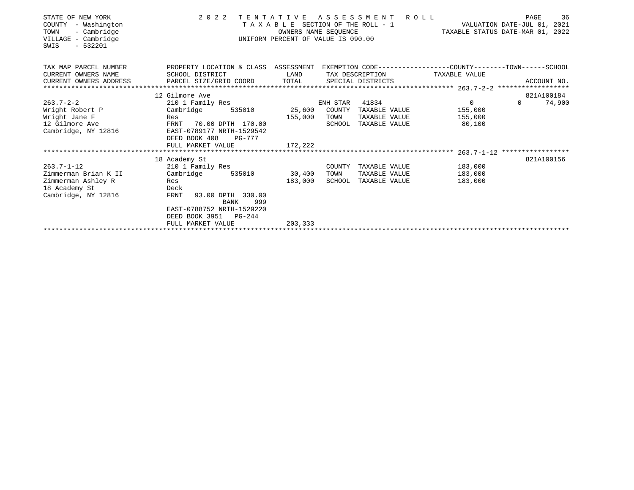| STATE OF NEW YORK<br>COUNTY<br>- Washington<br>TOWN<br>- Cambridge<br>VILLAGE - Cambridge<br>$-532201$<br>SWIS | 2 0 2 2<br>ASSESSMENT<br>TENTATIVE<br>R O L L<br>VALUATION DATE-JUL 01, 2021<br>TAXABLE SECTION OF THE ROLL - 1<br>TAXABLE STATUS DATE-MAR 01, 2022<br>OWNERS NAME SEOUENCE<br>UNIFORM PERCENT OF VALUE IS 090.00 |         |          |                 |                                                                               |                    |  |
|----------------------------------------------------------------------------------------------------------------|-------------------------------------------------------------------------------------------------------------------------------------------------------------------------------------------------------------------|---------|----------|-----------------|-------------------------------------------------------------------------------|--------------------|--|
| TAX MAP PARCEL NUMBER<br>CURRENT OWNERS NAME                                                                   | PROPERTY LOCATION & CLASS ASSESSMENT<br>SCHOOL DISTRICT                                                                                                                                                           | LAND    |          | TAX DESCRIPTION | EXEMPTION CODE-----------------COUNTY-------TOWN------SCHOOL<br>TAXABLE VALUE |                    |  |
| CURRENT OWNERS ADDRESS                                                                                         |                                                                                                                                                                                                                   |         |          |                 |                                                                               |                    |  |
|                                                                                                                | 12 Gilmore Ave                                                                                                                                                                                                    |         |          |                 |                                                                               | 821A100184         |  |
| $263.7 - 2 - 2$                                                                                                | 210 1 Family Res                                                                                                                                                                                                  |         | ENH STAR | 41834           | $\overline{0}$                                                                | 74,900<br>$\Omega$ |  |
| Wright Robert P                                                                                                | Cambridge<br>535010                                                                                                                                                                                               | 25,600  | COUNTY   | TAXABLE VALUE   | 155,000                                                                       |                    |  |
| Wright Jane F                                                                                                  | Res                                                                                                                                                                                                               | 155,000 | TOWN     | TAXABLE VALUE   | 155,000                                                                       |                    |  |
| 12 Gilmore Ave<br>Cambridge, NY 12816                                                                          | FRNT 70.00 DPTH 170.00<br>EAST-0789177 NRTH-1529542<br>DEED BOOK 408<br><b>PG-777</b>                                                                                                                             |         | SCHOOL   | TAXABLE VALUE   | 80,100                                                                        |                    |  |
|                                                                                                                | FULL MARKET VALUE                                                                                                                                                                                                 | 172,222 |          |                 |                                                                               |                    |  |
|                                                                                                                |                                                                                                                                                                                                                   |         |          |                 |                                                                               |                    |  |
|                                                                                                                | 18 Academy St                                                                                                                                                                                                     |         |          |                 |                                                                               | 821A100156         |  |
| 263.7-1-12                                                                                                     | 210 1 Family Res                                                                                                                                                                                                  |         | COUNTY   | TAXABLE VALUE   | 183,000                                                                       |                    |  |
| Zimmerman Brian K II                                                                                           | Cambridge<br>535010                                                                                                                                                                                               | 30,400  | TOWN     | TAXABLE VALUE   | 183,000                                                                       |                    |  |
| Zimmerman Ashley R                                                                                             | Res                                                                                                                                                                                                               | 183,000 | SCHOOL   | TAXABLE VALUE   | 183,000                                                                       |                    |  |
| 18 Academy St                                                                                                  | Deck                                                                                                                                                                                                              |         |          |                 |                                                                               |                    |  |
| Cambridge, NY 12816                                                                                            | 93.00 DPTH 330.00<br>FRNT<br>BANK<br>999                                                                                                                                                                          |         |          |                 |                                                                               |                    |  |
|                                                                                                                | EAST-0788752 NRTH-1529220                                                                                                                                                                                         |         |          |                 |                                                                               |                    |  |
|                                                                                                                | DEED BOOK 3951<br>$PG-244$                                                                                                                                                                                        |         |          |                 |                                                                               |                    |  |
|                                                                                                                | FULL MARKET VALUE                                                                                                                                                                                                 | 203,333 |          |                 |                                                                               |                    |  |
|                                                                                                                |                                                                                                                                                                                                                   |         |          |                 |                                                                               |                    |  |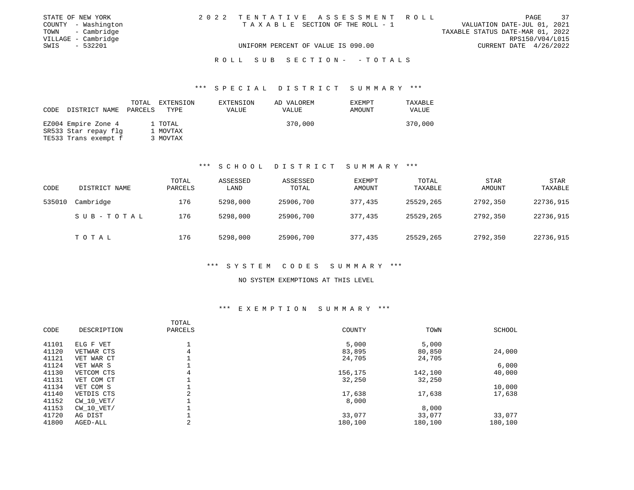| STATE OF NEW YORK   |                                    | 2022 TENTATIVE ASSESSMENT ROLL  |                                  |                        | PAGE | 37 |
|---------------------|------------------------------------|---------------------------------|----------------------------------|------------------------|------|----|
| COUNTY - Washington |                                    | TAXABLE SECTION OF THE ROLL - 1 | VALUATION DATE-JUL 01, 2021      |                        |      |    |
| TOWN - Cambridge    |                                    |                                 | TAXABLE STATUS DATE-MAR 01, 2022 |                        |      |    |
| VILLAGE - Cambridge |                                    |                                 |                                  | RPS150/V04/L015        |      |    |
| SWIS - 532201       | UNIFORM PERCENT OF VALUE IS 090.00 |                                 |                                  | CURRENT DATE 4/26/2022 |      |    |
|                     |                                    |                                 |                                  |                        |      |    |

R O L L S U B S E C T I O N - - T O T A L S

#### \*\*\* S P E C I A L D I S T R I C T S U M M A R Y \*\*\*

| CODE | DISTRICT NAME        | TOTAL<br>PARCELS | EXTENSION<br>TYPE | EXTENSION<br>VALUE | AD VALOREM<br>VALUE | <b>EXEMPT</b><br>AMOUNT | TAXABLE<br>VALUE |
|------|----------------------|------------------|-------------------|--------------------|---------------------|-------------------------|------------------|
|      | EZ004 Empire Zone 4  |                  | 1 TOTAL           |                    | 370,000             |                         | 370,000          |
|      | SR533 Star repay flg |                  | 1 MOVTAX          |                    |                     |                         |                  |
|      | TE533 Trans exempt f |                  | 3 MOVTAX          |                    |                     |                         |                  |

# \*\*\* S C H O O L D I S T R I C T S U M M A R Y \*\*\*

| CODE   | DISTRICT NAME | TOTAL<br>PARCELS | ASSESSED<br>LAND | ASSESSED<br>TOTAL | EXEMPT<br>AMOUNT | TOTAL<br>TAXABLE | <b>STAR</b><br>AMOUNT | STAR<br>TAXABLE |
|--------|---------------|------------------|------------------|-------------------|------------------|------------------|-----------------------|-----------------|
| 535010 | Cambridge     | 176              | 5298,000         | 25906,700         | 377,435          | 25529,265        | 2792,350              | 22736,915       |
|        | SUB-TOTAL     | 176              | 5298,000         | 25906,700         | 377,435          | 25529,265        | 2792,350              | 22736,915       |
|        | TOTAL         | 176              | 5298,000         | 25906,700         | 377,435          | 25529,265        | 2792,350              | 22736,915       |

# \*\*\* S Y S T E M C O D E S S U M M A R Y \*\*\*

#### NO SYSTEM EXEMPTIONS AT THIS LEVEL

| CODE  | DESCRIPTION    | TOTAL<br>PARCELS | COUNTY  | TOWN    | <b>SCHOOL</b> |
|-------|----------------|------------------|---------|---------|---------------|
| 41101 | ELG F VET      |                  | 5,000   | 5,000   |               |
| 41120 | VETWAR CTS     | 4                | 83,895  | 80,850  | 24,000        |
| 41121 | VET WAR CT     |                  | 24,705  | 24,705  |               |
| 41124 | VET WAR S      |                  |         |         | 6,000         |
| 41130 | VETCOM CTS     | 4                | 156,175 | 142,100 | 40,000        |
| 41131 | VET COM CT     |                  | 32,250  | 32,250  |               |
| 41134 | VET COM S      |                  |         |         | 10,000        |
| 41140 | VETDIS CTS     | 2                | 17,638  | 17,638  | 17,638        |
| 41152 | $CW$ 10 $VET/$ |                  | 8,000   |         |               |
| 41153 | $CW$ 10 $VET/$ |                  |         | 8,000   |               |
| 41720 | AG DIST        |                  | 33,077  | 33,077  | 33,077        |
| 41800 | AGED-ALL       | 2                | 180,100 | 180,100 | 180,100       |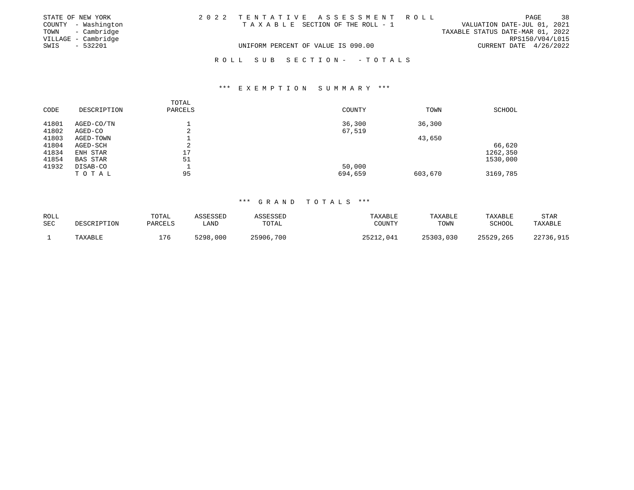|      | STATE OF NEW YORK   | 2022 TENTATIVE ASSESSMENT ROLL |                                    |  |  |                                 |                                  |                        | PAGE            | 38 |
|------|---------------------|--------------------------------|------------------------------------|--|--|---------------------------------|----------------------------------|------------------------|-----------------|----|
|      | COUNTY - Washington |                                |                                    |  |  | TAXABLE SECTION OF THE ROLL - 1 | VALUATION DATE-JUL 01, 2021      |                        |                 |    |
|      | TOWN - Cambridge    |                                |                                    |  |  |                                 | TAXABLE STATUS DATE-MAR 01, 2022 |                        |                 |    |
|      | VILLAGE - Cambridge |                                |                                    |  |  |                                 |                                  |                        | RPS150/V04/L015 |    |
| SWIS | $-532201$           |                                | UNIFORM PERCENT OF VALUE IS 090.00 |  |  |                                 |                                  | CURRENT DATE 4/26/2022 |                 |    |
|      |                     |                                |                                    |  |  |                                 |                                  |                        |                 |    |
|      |                     |                                |                                    |  |  | ROLL SUB SECTION- - TOTALS      |                                  |                        |                 |    |

#### \*\*\* E X E M P T I O N S U M M A R Y \*\*\*

| CODE  | DESCRIPTION     | TOTAL<br>PARCELS | COUNTY  | TOWN    | SCHOOL   |
|-------|-----------------|------------------|---------|---------|----------|
| 41801 | AGED-CO/TN      |                  | 36,300  | 36,300  |          |
| 41802 | AGED-CO         | $\sim$<br>∠      | 67,519  |         |          |
| 41803 | AGED-TOWN       |                  |         | 43,650  |          |
| 41804 | AGED-SCH        | $\sim$<br>∠      |         |         | 66,620   |
| 41834 | ENH STAR        | 17               |         |         | 1262,350 |
| 41854 | <b>BAS STAR</b> | 51               |         |         | 1530,000 |
| 41932 | DISAB-CO        |                  | 50,000  |         |          |
|       | TOTAL           | 95               | 694,659 | 603,670 | 3169,785 |

| ROLL<br><b>SEC</b> | DESCRIPTION | TOTAL<br>PARCELS | ASSESSED<br>LAND | ASSESSED<br>TOTAL | TAXABLE<br>COUNTY | TAXABLE<br>TOWN | <b>TAXABLE</b><br>SCHOOL | <b>STAR</b><br>TAXABLE |
|--------------------|-------------|------------------|------------------|-------------------|-------------------|-----------------|--------------------------|------------------------|
|                    | TAXABLE     | 176              | 5298,000         | 25906,700         | 25212,041         | 25303,030       | 25529,265                | 22736,915              |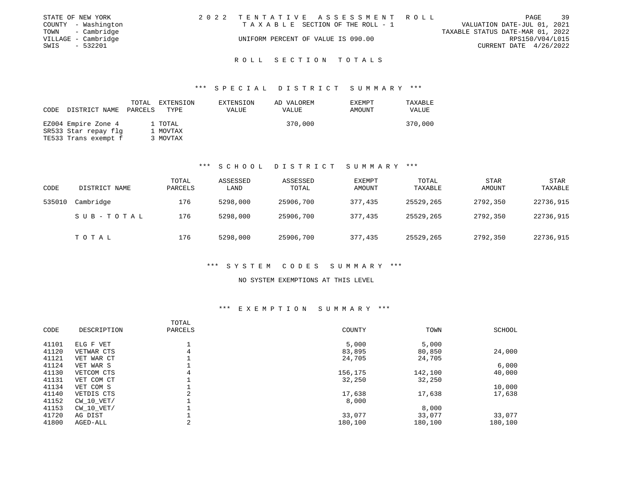|      | STATE OF NEW YORK   | 2022 TENTATIVE ASSESSMENT ROLL     |                                  | PAGE                        | 39 |
|------|---------------------|------------------------------------|----------------------------------|-----------------------------|----|
|      | COUNTY - Washington | TAXABLE SECTION OF THE ROLL - 1    |                                  | VALUATION DATE-JUL 01, 2021 |    |
|      | TOWN - Cambridge    |                                    | TAXABLE STATUS DATE-MAR 01, 2022 |                             |    |
|      | VILLAGE - Cambridge | UNIFORM PERCENT OF VALUE IS 090.00 |                                  | RPS150/V04/L015             |    |
| SWIS | - 532201            |                                    |                                  | CURRENT DATE 4/26/2022      |    |
|      |                     |                                    |                                  |                             |    |

#### \*\*\* S P E C I A L D I S T R I C T S U M M A R Y \*\*\*

| DISTRICT NAME<br>CODE                                               | TOTAL<br>EXTENSION<br>PARCELS<br>TYPE | EXTENSION<br>VALUE | AD VALOREM<br>VALUE | EXEMPT<br>AMOUNT | TAXABLE<br>VALUE |
|---------------------------------------------------------------------|---------------------------------------|--------------------|---------------------|------------------|------------------|
| EZ004 Empire Zone 4<br>SR533 Star repay flg<br>TE533 Trans exempt f | 1 TOTAL<br>1 MOVTAX<br>3 MOVTAX       |                    | 370,000             |                  | 370,000          |

# \*\*\* S C H O O L D I S T R I C T S U M M A R Y \*\*\*

| CODE   | DISTRICT NAME | TOTAL<br>PARCELS | ASSESSED<br>LAND | ASSESSED<br>TOTAL | <b>EXEMPT</b><br>AMOUNT | TOTAL<br>TAXABLE | STAR<br>AMOUNT | <b>STAR</b><br>TAXABLE |
|--------|---------------|------------------|------------------|-------------------|-------------------------|------------------|----------------|------------------------|
| 535010 | Cambridge     | 176              | 5298,000         | 25906,700         | 377,435                 | 25529,265        | 2792,350       | 22736,915              |
|        | SUB-TOTAL     | 176              | 5298,000         | 25906,700         | 377,435                 | 25529,265        | 2792,350       | 22736,915              |
|        | TOTAL         | 176              | 5298,000         | 25906,700         | 377,435                 | 25529,265        | 2792,350       | 22736,915              |

# \*\*\* S Y S T E M C O D E S S U M M A R Y \*\*\*

#### NO SYSTEM EXEMPTIONS AT THIS LEVEL

| CODE  | DESCRIPTION    | TOTAL<br>PARCELS | COUNTY  | TOWN    | <b>SCHOOL</b> |
|-------|----------------|------------------|---------|---------|---------------|
| 41101 | ELG F VET      |                  | 5,000   | 5,000   |               |
| 41120 | VETWAR CTS     | 4                | 83,895  | 80,850  | 24,000        |
| 41121 | VET WAR CT     |                  | 24,705  | 24,705  |               |
| 41124 | VET WAR S      |                  |         |         | 6,000         |
| 41130 | VETCOM CTS     | 4                | 156,175 | 142,100 | 40,000        |
| 41131 | VET COM CT     |                  | 32,250  | 32,250  |               |
| 41134 | VET COM S      |                  |         |         | 10,000        |
| 41140 | VETDIS CTS     | 2                | 17,638  | 17,638  | 17,638        |
| 41152 | $CW$ 10 $VET/$ |                  | 8,000   |         |               |
| 41153 | $CW$ 10 $VET/$ |                  |         | 8,000   |               |
| 41720 | AG DIST        |                  | 33,077  | 33,077  | 33,077        |
| 41800 | AGED-ALL       | 2                | 180,100 | 180,100 | 180,100       |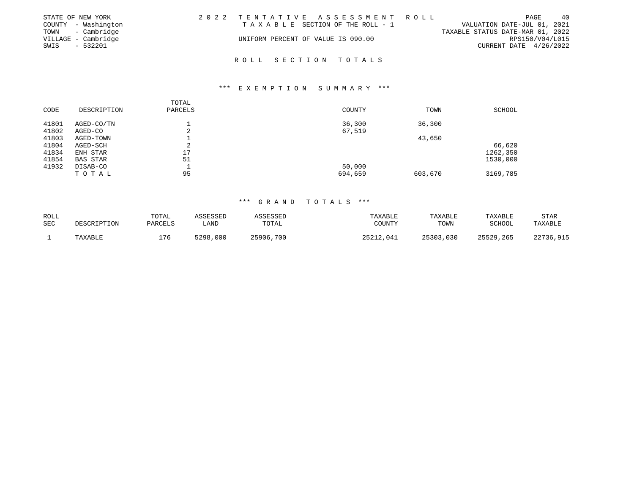|      | STATE OF NEW YORK   |                                    | 2022 TENTATIVE ASSESSMENT ROLL  |                                  |                          | PAGE | 40 |
|------|---------------------|------------------------------------|---------------------------------|----------------------------------|--------------------------|------|----|
|      | COUNTY - Washington |                                    | TAXABLE SECTION OF THE ROLL - 1 | VALUATION DATE-JUL 01, 2021      |                          |      |    |
|      | TOWN - Cambridge    |                                    |                                 | TAXABLE STATUS DATE-MAR 01, 2022 |                          |      |    |
|      | VILLAGE - Cambridge | UNIFORM PERCENT OF VALUE IS 090.00 |                                 |                                  | RPS150/V04/L015          |      |    |
| SWIS | $-532201$           |                                    |                                 |                                  | CURRENT DATE $4/26/2022$ |      |    |
|      |                     |                                    |                                 |                                  |                          |      |    |

#### \*\*\* E X E M P T I O N S U M M A R Y \*\*\*

| CODE  | DESCRIPTION     | TOTAL<br>PARCELS | COUNTY  | TOWN    | SCHOOL   |
|-------|-----------------|------------------|---------|---------|----------|
| 41801 | AGED-CO/TN      |                  | 36,300  | 36,300  |          |
| 41802 | AGED-CO         | $\sim$<br>∠      | 67,519  |         |          |
| 41803 | AGED-TOWN       |                  |         | 43,650  |          |
| 41804 | AGED-SCH        | $\sim$<br>∠      |         |         | 66,620   |
| 41834 | ENH STAR        | 17               |         |         | 1262,350 |
| 41854 | <b>BAS STAR</b> | 51               |         |         | 1530,000 |
| 41932 | DISAB-CO        |                  | 50,000  |         |          |
|       | TOTAL           | 95               | 694,659 | 603,670 | 3169,785 |

| ROLL<br><b>SEC</b> | DESCRIPTION | TOTAL<br>PARCELS | ASSESSED<br>LAND | ASSESSED<br>TOTAL | TAXABLE<br>COUNTY | TAXABLE<br>TOWN | <b>TAXABLE</b><br>SCHOOL | <b>STAR</b><br>TAXABLE |
|--------------------|-------------|------------------|------------------|-------------------|-------------------|-----------------|--------------------------|------------------------|
|                    | TAXABLE     | 176              | 5298,000         | 25906,700         | 25212,041         | 25303,030       | 25529,265                | 22736,915              |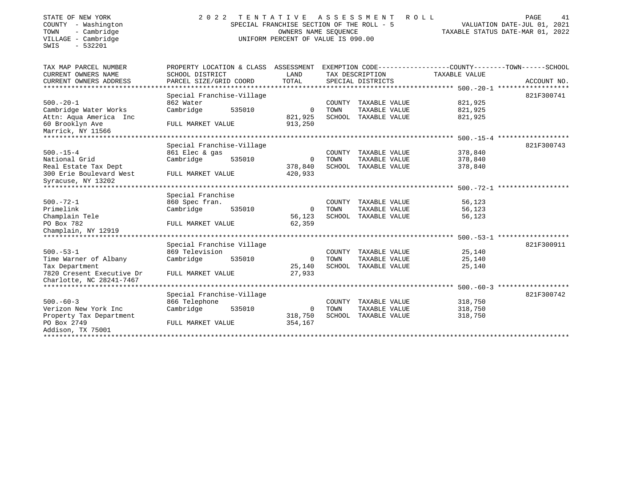| STATE OF NEW YORK<br>COUNTY - Washington<br>- Cambridge<br>TOWN<br>VILLAGE - Cambridge<br>$-532201$<br>SWIS | 2 0 2 2                   | TENTATIVE<br>SPECIAL FRANCHISE SECTION OF THE ROLL - 5<br>OWNERS NAME SEOUENCE<br>UNIFORM PERCENT OF VALUE IS 090.00 | ASSESSMENT | ROLL<br>TAXABLE STATUS DATE-MAR 01, 2022 | PAGE<br>VALUATION DATE-JUL 01, 2021                          | 41          |  |
|-------------------------------------------------------------------------------------------------------------|---------------------------|----------------------------------------------------------------------------------------------------------------------|------------|------------------------------------------|--------------------------------------------------------------|-------------|--|
| TAX MAP PARCEL NUMBER                                                                                       | PROPERTY LOCATION & CLASS | ASSESSMENT                                                                                                           |            |                                          | EXEMPTION CODE-----------------COUNTY-------TOWN------SCHOOL |             |  |
| CURRENT OWNERS NAME                                                                                         | SCHOOL DISTRICT           | LAND                                                                                                                 |            | TAX DESCRIPTION                          | TAXABLE VALUE                                                |             |  |
| CURRENT OWNERS ADDRESS                                                                                      | PARCEL SIZE/GRID COORD    | TOTAL                                                                                                                |            | SPECIAL DISTRICTS                        |                                                              | ACCOUNT NO. |  |
| *******************                                                                                         |                           |                                                                                                                      |            |                                          |                                                              |             |  |
|                                                                                                             | Special Franchise-Village |                                                                                                                      |            |                                          |                                                              | 821F300741  |  |
| $500. - 20 - 1$                                                                                             | 862 Water                 |                                                                                                                      | COUNTY     | TAXABLE VALUE                            | 821,925                                                      |             |  |
| Cambridge Water Works                                                                                       | Cambridge<br>535010       | 0                                                                                                                    | TOWN       | TAXABLE VALUE                            | 821,925                                                      |             |  |
| Attn: Aqua America Inc<br>60 Brooklyn Ave                                                                   |                           | 821,925<br>913,250                                                                                                   |            | SCHOOL TAXABLE VALUE                     | 821,925                                                      |             |  |
| Marrick, NY 11566                                                                                           | FULL MARKET VALUE         |                                                                                                                      |            |                                          |                                                              |             |  |
|                                                                                                             |                           |                                                                                                                      |            |                                          | ********* 500.-15-4 *******************                      |             |  |
|                                                                                                             | Special Franchise-Village |                                                                                                                      |            |                                          |                                                              | 821F300743  |  |
| $500. -15 - 4$                                                                                              | 861 Elec & gas            |                                                                                                                      | COUNTY     | TAXABLE VALUE                            | 378,840                                                      |             |  |
| National Grid                                                                                               | Cambridge<br>535010       | 0                                                                                                                    | TOWN       | TAXABLE VALUE                            | 378,840                                                      |             |  |
| Real Estate Tax Dept                                                                                        |                           | 378,840                                                                                                              | SCHOOL     | TAXABLE VALUE                            | 378,840                                                      |             |  |
| 300 Erie Boulevard West                                                                                     | FULL MARKET VALUE         | 420,933                                                                                                              |            |                                          |                                                              |             |  |
| Syracuse, NY 13202                                                                                          |                           |                                                                                                                      |            |                                          |                                                              |             |  |
|                                                                                                             |                           |                                                                                                                      |            |                                          | ********* 500.-72-1 *******************                      |             |  |
|                                                                                                             | Special Franchise         |                                                                                                                      |            |                                          |                                                              |             |  |
| $500. - 72 - 1$                                                                                             | 860 Spec fran.            |                                                                                                                      | COUNTY     | TAXABLE VALUE                            | 56,123                                                       |             |  |
| Primelink                                                                                                   | Cambridge<br>535010       | $\mathbf 0$                                                                                                          | TOWN       | TAXABLE VALUE                            | 56,123                                                       |             |  |
| Champlain Tele                                                                                              |                           | 56,123                                                                                                               | SCHOOL     | TAXABLE VALUE                            | 56,123                                                       |             |  |
| PO Box 782                                                                                                  | FULL MARKET VALUE         | 62,359                                                                                                               |            |                                          |                                                              |             |  |
| Champlain, NY 12919<br>***************                                                                      |                           |                                                                                                                      |            |                                          | $500. - 53 - 1$                                              |             |  |
|                                                                                                             | Special Franchise Village |                                                                                                                      |            |                                          |                                                              | 821F300911  |  |
| $500. - 53 - 1$                                                                                             | 869 Television            |                                                                                                                      | COUNTY     | TAXABLE VALUE                            | 25,140                                                       |             |  |
| Time Warner of Albany                                                                                       | Cambridge<br>535010       | 0                                                                                                                    | TOWN       | TAXABLE VALUE                            | 25,140                                                       |             |  |
| Tax Department                                                                                              |                           | 25,140                                                                                                               |            | SCHOOL TAXABLE VALUE                     | 25,140                                                       |             |  |
| 7820 Cresent Executive Dr                                                                                   | FULL MARKET VALUE         | 27,933                                                                                                               |            |                                          |                                                              |             |  |
| Charlotte, NC 28241-7467                                                                                    |                           |                                                                                                                      |            |                                          |                                                              |             |  |
| ********************                                                                                        |                           |                                                                                                                      |            |                                          | ********* 500.-60-3 *******************                      |             |  |
|                                                                                                             | Special Franchise-Village |                                                                                                                      |            |                                          |                                                              | 821F300742  |  |
| $500. -60 - 3$                                                                                              | 866 Telephone             |                                                                                                                      | COUNTY     | TAXABLE VALUE                            | 318,750                                                      |             |  |
| Verizon New York Inc                                                                                        | Cambridge<br>535010       | 0                                                                                                                    | TOWN       | TAXABLE VALUE                            | 318,750                                                      |             |  |
| Property Tax Department                                                                                     |                           | 318,750                                                                                                              |            | SCHOOL TAXABLE VALUE                     | 318,750                                                      |             |  |
| PO Box 2749                                                                                                 | FULL MARKET VALUE         | 354,167                                                                                                              |            |                                          |                                                              |             |  |
| Addison, TX 75001                                                                                           |                           |                                                                                                                      |            |                                          |                                                              |             |  |
| ************                                                                                                |                           |                                                                                                                      |            |                                          |                                                              |             |  |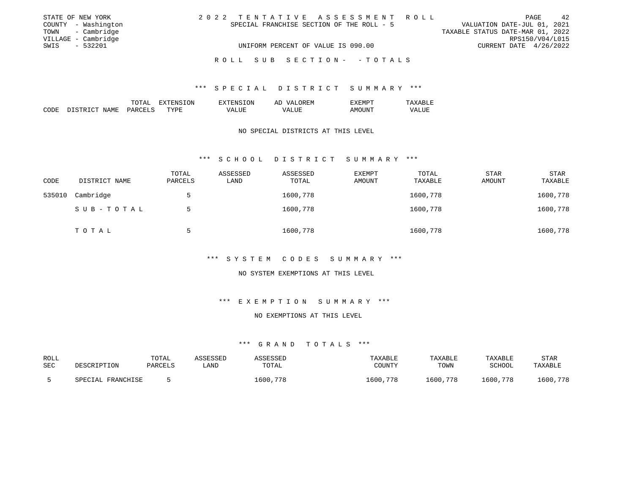|      | STATE OF NEW YORK   |  |                                           |                                    |  |  |  |  |  | 2022 TENTATIVE ASSESSMENT ROLL |                                  |                        | PAGE | 42              |
|------|---------------------|--|-------------------------------------------|------------------------------------|--|--|--|--|--|--------------------------------|----------------------------------|------------------------|------|-----------------|
|      | COUNTY - Washington |  | SPECIAL FRANCHISE SECTION OF THE ROLL - 5 |                                    |  |  |  |  |  |                                | VALUATION DATE-JUL 01, 2021      |                        |      |                 |
|      | TOWN - Cambridge    |  |                                           |                                    |  |  |  |  |  |                                | TAXABLE STATUS DATE-MAR 01, 2022 |                        |      |                 |
|      | VILLAGE - Cambridge |  |                                           |                                    |  |  |  |  |  |                                |                                  |                        |      | RPS150/V04/L015 |
| SWIS | $-532201$           |  |                                           | UNIFORM PERCENT OF VALUE IS 090.00 |  |  |  |  |  |                                |                                  | CURRENT DATE 4/26/2022 |      |                 |
|      |                     |  |                                           |                                    |  |  |  |  |  |                                |                                  |                        |      |                 |
|      |                     |  | ROLL SUB SECTION- -TOTALS                 |                                    |  |  |  |  |  |                                |                                  |                        |      |                 |

|             |                      | $T\cap T\Delta^{\tau}$<br>⊥∪⊥⊓⊥ | .ON.<br>____ | 'ON<br>EN S             | ')REM<br>AĽ<br>$\sqrt{2}$            | <b>L'M</b><br>ĿΔ. |                               |
|-------------|----------------------|---------------------------------|--------------|-------------------------|--------------------------------------|-------------------|-------------------------------|
| CODE<br>___ | NAMF<br>CTD.<br>ــــ | ≀⊬ ∆ ب<br>$\sim$                | TYPE         | $- - -$<br>vд<br>______ | $- - - -$<br>. L H<br>/ Δ<br>_______ | \NI<br>$  -$      | $-777$<br>'7Δ.<br>ப<br>______ |

#### NO SPECIAL DISTRICTS AT THIS LEVEL

#### \*\*\* S C H O O L D I S T R I C T S U M M A R Y \*\*\*

| CODE   | DISTRICT NAME | TOTAL<br>PARCELS | ASSESSED<br>LAND | ASSESSED<br>TOTAL | <b>EXEMPT</b><br>AMOUNT | TOTAL<br>TAXABLE | <b>STAR</b><br>AMOUNT | <b>STAR</b><br>TAXABLE |
|--------|---------------|------------------|------------------|-------------------|-------------------------|------------------|-----------------------|------------------------|
| 535010 | Cambridge     | 5                |                  | 1600,778          |                         | 1600,778         |                       | 1600,778               |
|        | SUB-TOTAL     | 5                |                  | 1600,778          |                         | 1600,778         |                       | 1600,778               |
|        | TOTAL         | 5                |                  | 1600,778          |                         | 1600,778         |                       | 1600,778               |

# \*\*\* S Y S T E M C O D E S S U M M A R Y \*\*\*

#### NO SYSTEM EXEMPTIONS AT THIS LEVEL

# \*\*\* E X E M P T I O N S U M M A R Y \*\*\*

# NO EXEMPTIONS AT THIS LEVEL

| ROLL<br>SEC | DESCRIPTION       | TOTAI<br>PARCELS | ASSESSED<br>_AND | ASSESSED<br>TOTAL | TAXABLE<br>COUNTY | TAXABLE<br>TOWN | TAXABLE<br>SCHOOL | STAR<br>TAXABLE |
|-------------|-------------------|------------------|------------------|-------------------|-------------------|-----------------|-------------------|-----------------|
|             | SPECIAL FRANCHISE |                  |                  | 1600,778          | 1600,778          | 1600,778        | 1600,778          | 1600,778        |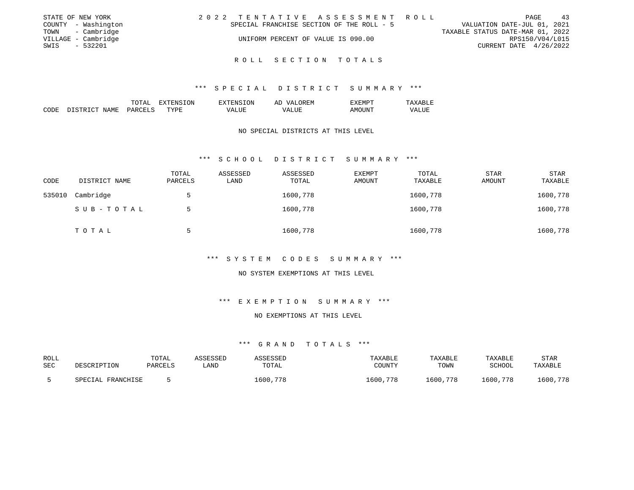|      | STATE OF NEW YORK   |  |  |  |                                           |  |  |  |  | 2022 TENTATIVE ASSESSMENT ROLL |                                  |                 | <b>PAGE</b> | 43 |
|------|---------------------|--|--|--|-------------------------------------------|--|--|--|--|--------------------------------|----------------------------------|-----------------|-------------|----|
|      | COUNTY - Washington |  |  |  | SPECIAL FRANCHISE SECTION OF THE ROLL - 5 |  |  |  |  |                                | VALUATION DATE-JUL 01, 2021      |                 |             |    |
|      | TOWN - Cambridge    |  |  |  |                                           |  |  |  |  |                                | TAXABLE STATUS DATE-MAR 01, 2022 |                 |             |    |
|      | VILLAGE - Cambridge |  |  |  | UNIFORM PERCENT OF VALUE IS 090.00        |  |  |  |  |                                |                                  | RPS150/V04/L015 |             |    |
| SWIS | - 532201            |  |  |  |                                           |  |  |  |  |                                | CURRENT DATE 4/26/2022           |                 |             |    |
|      |                     |  |  |  |                                           |  |  |  |  |                                |                                  |                 |             |    |

#### \*\*\* S P E C I A L D I S T R I C T S U M M A R Y \*\*\*

|             |                            | TOTAL<br>m <sub>o</sub> | $\pi$ , $\pi$<br>.UN<br>. А | TON<br>EX'<br>2NS | OREM<br>77 7.<br>AĽ    | コステ<br>EXEMPT    |                 |
|-------------|----------------------------|-------------------------|-----------------------------|-------------------|------------------------|------------------|-----------------|
| CODE<br>___ | $\sim$<br>NAME<br>DI STR T | PARCET<br>$\sim$ $\sim$ | TYPE<br>- - - -             | <b>LUE</b><br>7A  | ALUE<br>VA.<br>_______ | ٦M<br>11N<br>___ | ™ALU⊥<br>______ |

#### NO SPECIAL DISTRICTS AT THIS LEVEL

#### \*\*\* S C H O O L D I S T R I C T S U M M A R Y \*\*\*

| CODE   | DISTRICT NAME | TOTAL<br>PARCELS | ASSESSED<br>LAND | ASSESSED<br>TOTAL | <b>EXEMPT</b><br>AMOUNT | TOTAL<br>TAXABLE | <b>STAR</b><br>AMOUNT | <b>STAR</b><br>TAXABLE |
|--------|---------------|------------------|------------------|-------------------|-------------------------|------------------|-----------------------|------------------------|
| 535010 | Cambridge     | 5                |                  | 1600,778          |                         | 1600,778         |                       | 1600,778               |
|        | SUB-TOTAL     | 5                |                  | 1600,778          |                         | 1600,778         |                       | 1600,778               |
|        | TOTAL         | 5                |                  | 1600,778          |                         | 1600,778         |                       | 1600,778               |

# \*\*\* S Y S T E M C O D E S S U M M A R Y \*\*\*

#### NO SYSTEM EXEMPTIONS AT THIS LEVEL

# \*\*\* E X E M P T I O N S U M M A R Y \*\*\*

# NO EXEMPTIONS AT THIS LEVEL

| ROLL<br>SEC | DESCRIPTION       | TOTAL<br>PARCELS | ASSESSED<br>LAND | SSESSED<br>TOTAL | TAXABLE<br>COUNTY | TAXABLE<br>TOWN | TAXABLE<br>SCHOOL | <b>STAR</b><br>TAXABLE |
|-------------|-------------------|------------------|------------------|------------------|-------------------|-----------------|-------------------|------------------------|
|             | SPECIAL FRANCHISE |                  |                  | 1600,778         | 1600,778          | 1600,778        | 1600,778          | 1600,778               |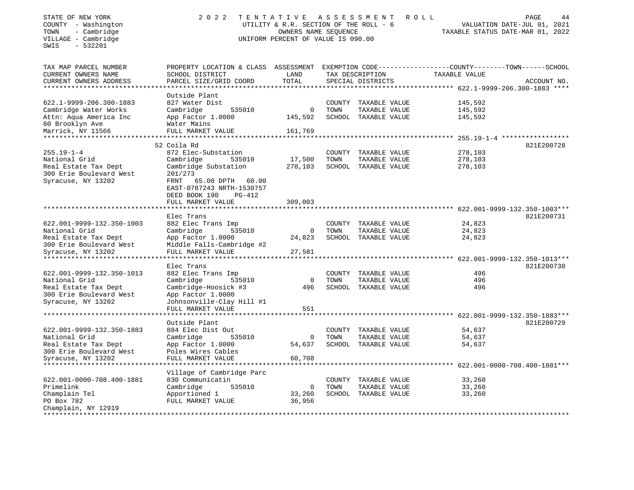| STATE OF NEW YORK<br>COUNTY - Washington<br>- Cambridge<br>TOWN<br>VILLAGE - Cambridge<br>$-532201$<br>SWIS | 2 0 2 2                                                                                                             | TENTATIVE<br>UTILITY & R.R. SECTION OF THE ROLL - 6<br>OWNERS NAME SEQUENCE<br>UNIFORM PERCENT OF VALUE IS 090.00 |                | A S S E S S M E N T                   | ROLL             | PAGE<br>44<br>VALUATION DATE-JUL 01, 2021<br>TAXABLE STATUS DATE-MAR 01, 2022 |
|-------------------------------------------------------------------------------------------------------------|---------------------------------------------------------------------------------------------------------------------|-------------------------------------------------------------------------------------------------------------------|----------------|---------------------------------------|------------------|-------------------------------------------------------------------------------|
| TAX MAP PARCEL NUMBER<br>CURRENT OWNERS NAME                                                                | PROPERTY LOCATION & CLASS ASSESSMENT EXEMPTION CODE----------------COUNTY-------TOWN------SCHOOL<br>SCHOOL DISTRICT | LAND                                                                                                              |                | TAX DESCRIPTION                       | TAXABLE VALUE    |                                                                               |
| CURRENT OWNERS ADDRESS                                                                                      | PARCEL SIZE/GRID COORD                                                                                              | TOTAL                                                                                                             |                | SPECIAL DISTRICTS                     |                  | ACCOUNT NO.                                                                   |
| **********************                                                                                      |                                                                                                                     |                                                                                                                   |                |                                       |                  |                                                                               |
| 622.1-9999-206.300-1883                                                                                     | Outside Plant<br>827 Water Dist                                                                                     |                                                                                                                   |                | COUNTY TAXABLE VALUE                  | 145,592          |                                                                               |
| Cambridge Water Works                                                                                       | 535010<br>Cambridge                                                                                                 | 0                                                                                                                 | TOWN           | TAXABLE VALUE                         | 145,592          |                                                                               |
| Attn: Aqua America Inc                                                                                      | App Factor 1.0000                                                                                                   | 145,592                                                                                                           |                | SCHOOL TAXABLE VALUE                  | 145,592          |                                                                               |
| 60 Brooklyn Ave                                                                                             | Water Mains                                                                                                         |                                                                                                                   |                |                                       |                  |                                                                               |
| Marrick, NY 11566                                                                                           | FULL MARKET VALUE                                                                                                   | 161,769                                                                                                           |                |                                       |                  |                                                                               |
|                                                                                                             |                                                                                                                     |                                                                                                                   |                |                                       |                  | $255.19 - 1 - 4$ ******************                                           |
| $255.19 - 1 - 4$                                                                                            | 52 Coila Rd<br>872 Elec-Substation                                                                                  |                                                                                                                   |                |                                       | 278,103          | 821E200728                                                                    |
| National Grid                                                                                               | Cambridge<br>535010                                                                                                 | 17,500                                                                                                            | COUNTY<br>TOWN | TAXABLE VALUE<br>TAXABLE VALUE        | 278,103          |                                                                               |
| Real Estate Tax Dept                                                                                        | Cambridge Substation                                                                                                | 278,103                                                                                                           |                | SCHOOL TAXABLE VALUE                  | 278,103          |                                                                               |
| 300 Erie Boulevard West<br>Syracuse, NY 13202                                                               | 201/273<br>FRNT<br>65.00 DPTH<br>60.00<br>EAST-0787243 NRTH-1530757                                                 |                                                                                                                   |                |                                       |                  |                                                                               |
|                                                                                                             | DEED BOOK 190<br>$PG-412$                                                                                           |                                                                                                                   |                |                                       |                  |                                                                               |
|                                                                                                             | FULL MARKET VALUE                                                                                                   | 309,003                                                                                                           |                |                                       |                  |                                                                               |
|                                                                                                             |                                                                                                                     |                                                                                                                   |                |                                       |                  |                                                                               |
|                                                                                                             | Elec Trans                                                                                                          |                                                                                                                   |                |                                       |                  | 821E200731                                                                    |
| 622.001-9999-132.350-1003                                                                                   | 882 Elec Trans Imp                                                                                                  |                                                                                                                   |                | COUNTY TAXABLE VALUE                  | 24,823           |                                                                               |
| National Grid                                                                                               | Cambridge<br>535010<br>App Factor 1.0000                                                                            | 0<br>24,823                                                                                                       | TOWN           | TAXABLE VALUE<br>SCHOOL TAXABLE VALUE | 24,823<br>24,823 |                                                                               |
| Real Estate Tax Dept<br>300 Erie Boulevard West<br>Syracuse, NY 13202                                       | Middle Falls-Cambridge #2<br>FULL MARKET VALUE                                                                      | 27,581                                                                                                            |                |                                       |                  |                                                                               |
|                                                                                                             | *************                                                                                                       |                                                                                                                   |                |                                       |                  | 622.001-9999-132.350-1013***                                                  |
|                                                                                                             | Elec Trans                                                                                                          |                                                                                                                   |                |                                       |                  | 821E200730                                                                    |
| 622.001-9999-132.350-1013                                                                                   | 882 Elec Trans Imp                                                                                                  |                                                                                                                   | COUNTY         | TAXABLE VALUE                         | 496              |                                                                               |
| National Grid                                                                                               | Cambridge<br>535010                                                                                                 | 0                                                                                                                 | TOWN           | TAXABLE VALUE                         | 496              |                                                                               |
| Real Estate Tax Dept                                                                                        | Cambridge-Hoosick #3                                                                                                | 496                                                                                                               |                | SCHOOL TAXABLE VALUE                  | 496              |                                                                               |
| 300 Erie Boulevard West<br>Syracuse, NY 13202                                                               | App Factor 1.0000<br>Johnsonville-Clay Hill #1                                                                      |                                                                                                                   |                |                                       |                  |                                                                               |
|                                                                                                             | FULL MARKET VALUE                                                                                                   | 551                                                                                                               |                |                                       |                  |                                                                               |
|                                                                                                             |                                                                                                                     |                                                                                                                   |                |                                       |                  | 622.001-9999-132.350-1883***                                                  |
|                                                                                                             | Outside Plant                                                                                                       |                                                                                                                   |                |                                       |                  | 821E200729                                                                    |
| 622.001-9999-132.350-1883                                                                                   | 884 Elec Dist Out                                                                                                   |                                                                                                                   |                | COUNTY TAXABLE VALUE                  | 54,637           |                                                                               |
| National Grid                                                                                               | Cambridge<br>535010                                                                                                 | 0                                                                                                                 | TOWN           | TAXABLE VALUE                         | 54,637           |                                                                               |
| Real Estate Tax Dept                                                                                        | App Factor 1.0000                                                                                                   | 54,637                                                                                                            |                | SCHOOL TAXABLE VALUE                  | 54,637           |                                                                               |
| 300 Erie Boulevard West<br>Syracuse, NY 13202                                                               | Poles Wires Cables<br>FULL MARKET VALUE                                                                             | 60,708                                                                                                            |                |                                       |                  |                                                                               |
|                                                                                                             | * * * * * * * * * * * * * * * * *                                                                                   |                                                                                                                   |                |                                       |                  | 622.001-0000-708.400-1881***                                                  |
|                                                                                                             | Village of Cambridge Parc                                                                                           |                                                                                                                   |                |                                       |                  |                                                                               |
| 622.001-0000-708.400-1881                                                                                   | 830 Communicatin                                                                                                    |                                                                                                                   | COUNTY         | TAXABLE VALUE                         | 33,260           |                                                                               |
| Primelink                                                                                                   | Cambridge<br>535010                                                                                                 | 0                                                                                                                 | TOWN           | TAXABLE VALUE                         | 33,260           |                                                                               |
| Champlain Tel                                                                                               | Apportioned 1                                                                                                       | 33,260                                                                                                            |                | SCHOOL TAXABLE VALUE                  | 33,260           |                                                                               |
| PO Box 782                                                                                                  | FULL MARKET VALUE                                                                                                   | 36,956                                                                                                            |                |                                       |                  |                                                                               |
| Champlain, NY 12919<br>*******************                                                                  |                                                                                                                     |                                                                                                                   |                |                                       |                  |                                                                               |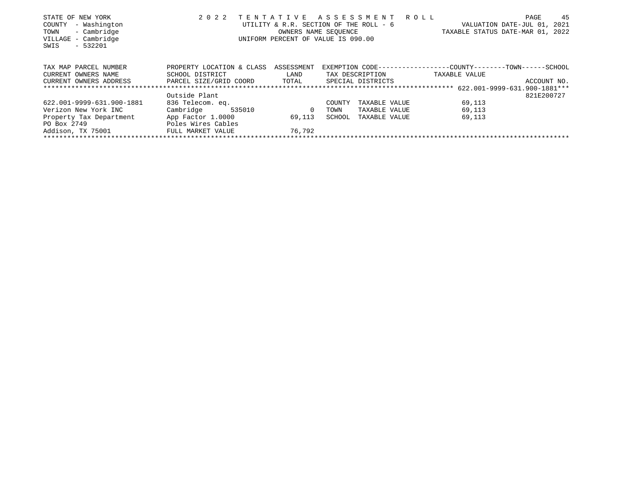| STATE OF NEW YORK         | 2 0 2 2                   | TENTATIVE  | ASSESSMENT                                                   | R O L L |                                  | PAGE                   | 45          |
|---------------------------|---------------------------|------------|--------------------------------------------------------------|---------|----------------------------------|------------------------|-------------|
| - Washington<br>COUNTY    |                           |            | UTILITY & R.R. SECTION OF THE ROLL - 6                       |         |                                  | VALUATION DATE-JUL 01, | 2021        |
| - Cambridge<br>TOWN       |                           |            | OWNERS NAME SEOUENCE                                         |         | TAXABLE STATUS DATE-MAR 01, 2022 |                        |             |
| - Cambridge<br>VILLAGE    |                           |            | UNIFORM PERCENT OF VALUE IS 090.00                           |         |                                  |                        |             |
| $-532201$<br>SWIS         |                           |            |                                                              |         |                                  |                        |             |
|                           |                           |            |                                                              |         |                                  |                        |             |
|                           |                           |            |                                                              |         |                                  |                        |             |
| TAX MAP PARCEL NUMBER     | PROPERTY LOCATION & CLASS | ASSESSMENT | EXEMPTION CODE-----------------COUNTY-------TOWN------SCHOOL |         |                                  |                        |             |
| CURRENT OWNERS NAME       | SCHOOL DISTRICT           | LAND       | TAX DESCRIPTION                                              |         | TAXABLE VALUE                    |                        |             |
| CURRENT OWNERS ADDRESS    | PARCEL SIZE/GRID COORD    | TOTAL      | SPECIAL DISTRICTS                                            |         |                                  |                        | ACCOUNT NO. |
|                           |                           |            |                                                              |         |                                  |                        |             |
|                           | Outside Plant             |            |                                                              |         |                                  |                        | 821E200727  |
| 622.001-9999-631.900-1881 | 836 Telecom. eq.          |            | TAXABLE VALUE<br>COUNTY                                      |         | 69,113                           |                        |             |
| Verizon New York INC      | Cambridge<br>535010       | 0          | TAXABLE VALUE<br>TOWN                                        |         | 69,113                           |                        |             |
| Property Tax Department   | App Factor 1.0000         | 69,113     | SCHOOL<br>TAXABLE VALUE                                      |         | 69,113                           |                        |             |
| PO Box 2749               | Poles Wires Cables        |            |                                                              |         |                                  |                        |             |
| Addison, TX 75001         | FULL MARKET VALUE         | 76,792     |                                                              |         |                                  |                        |             |
|                           |                           |            |                                                              |         |                                  |                        |             |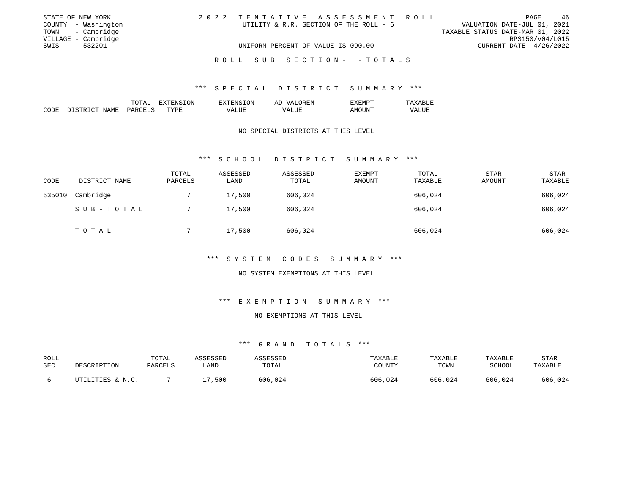| STATE OF NEW YORK   | 2022 TENTATIVE ASSESSMENT ROLL         | - 46<br>PAGE                     |
|---------------------|----------------------------------------|----------------------------------|
| COUNTY - Washington | UTILITY & R.R. SECTION OF THE ROLL - 6 | VALUATION DATE-JUL 01, 2021      |
| TOWN - Cambridge    |                                        | TAXABLE STATUS DATE-MAR 01, 2022 |
| VILLAGE - Cambridge |                                        | RPS150/V04/L015                  |
| - 532201<br>SWIS    | UNIFORM PERCENT OF VALUE IS 090.00     | CURRENT DATE 4/26/2022           |
|                     | ROLL SUB SECTION- - TOTALS             |                                  |

|             |                      | $T\cap T\Delta^{\tau}$<br>⊥∪⊥⊓⊥ | .ON.<br>____ | 'ON<br>EN S             | ')REM<br>AĽ<br>$\sqrt{2}$            | <b>L'M</b><br>ĿΔ. |                               |
|-------------|----------------------|---------------------------------|--------------|-------------------------|--------------------------------------|-------------------|-------------------------------|
| CODE<br>___ | NAMF<br>CTD.<br>ــــ | ≀⊬ ∆ ب<br>$\sim$                | TYPE         | $- - -$<br>vд<br>______ | $- - - -$<br>. L H<br>/ Δ<br>_______ | \NI<br>$  -$      | $-777$<br>'7Δ.<br>ப<br>______ |

#### NO SPECIAL DISTRICTS AT THIS LEVEL

#### \*\*\* S C H O O L D I S T R I C T S U M M A R Y \*\*\*

| CODE   | DISTRICT NAME | TOTAL<br>PARCELS | ASSESSED<br>LAND | ASSESSED<br>TOTAL | <b>EXEMPT</b><br>AMOUNT | TOTAL<br>TAXABLE | STAR<br>AMOUNT | STAR<br>TAXABLE |
|--------|---------------|------------------|------------------|-------------------|-------------------------|------------------|----------------|-----------------|
| 535010 | Cambridge     |                  | 17,500           | 606,024           |                         | 606,024          |                | 606,024         |
|        | SUB-TOTAL     |                  | 17,500           | 606,024           |                         | 606,024          |                | 606,024         |
|        | TOTAL         |                  | 17,500           | 606,024           |                         | 606,024          |                | 606,024         |

# \*\*\* S Y S T E M C O D E S S U M M A R Y \*\*\*

#### NO SYSTEM EXEMPTIONS AT THIS LEVEL

# \*\*\* E X E M P T I O N S U M M A R Y \*\*\*

# NO EXEMPTIONS AT THIS LEVEL

| ROLL | DESCRIPTION      | TOTAL   | ASSESSED | ASSESSED | TAXABLE | TAXABLE | TAXABLE | STAR    |
|------|------------------|---------|----------|----------|---------|---------|---------|---------|
| SEC  |                  | PARCELS | _AND     | TOTAL    | COUNTY  | TOWN    | SCHOOL  | TAXABLE |
|      | UTILITIES & N.C. |         | 17,500   | 606,024  | 606,024 | 606,024 | 606,024 | 606,024 |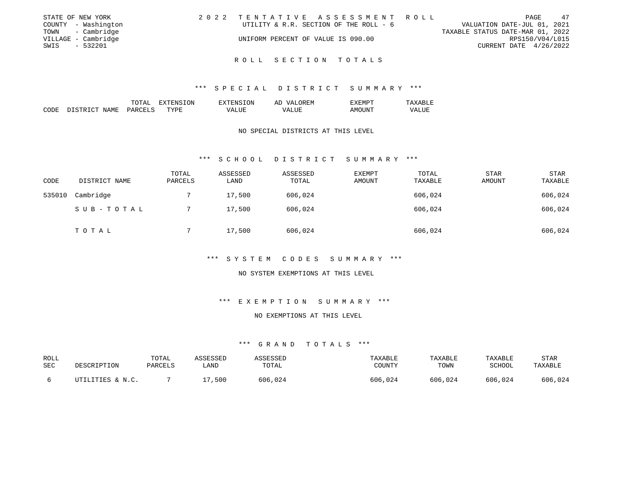|      | STATE OF NEW YORK   | 2022 TENTATIVE ASSESSMENT ROLL         |  |                                  |                        | PAGE | 47 |
|------|---------------------|----------------------------------------|--|----------------------------------|------------------------|------|----|
|      | COUNTY - Washington | UTILITY & R.R. SECTION OF THE ROLL - 6 |  | VALUATION DATE-JUL 01, 2021      |                        |      |    |
|      | TOWN - Cambridge    |                                        |  | TAXABLE STATUS DATE-MAR 01, 2022 |                        |      |    |
|      | VILLAGE - Cambridge | UNIFORM PERCENT OF VALUE IS 090.00     |  |                                  | RPS150/V04/L015        |      |    |
| SWIS | $-532201$           |                                        |  |                                  | CURRENT DATE 4/26/2022 |      |    |
|      |                     |                                        |  |                                  |                        |      |    |

#### \*\*\* S P E C I A L D I S T R I C T S U M M A R Y \*\*\*

|      |                                     | TOTAL                   | LON   | TON<br>EXTT<br>F.N.S | ∩R F.N<br>AD<br>77 N.<br>. F.M   | EXEMPT        | `BLF.                   |
|------|-------------------------------------|-------------------------|-------|----------------------|----------------------------------|---------------|-------------------------|
| CODE | NAME<br>חי חד סידי סי<br>דרי<br>-11 | <b>UARCET</b><br>$\sim$ | TYPR. | LUE<br>VД.           | ALUE<br>$\mathcal{M}$ $\Delta$ . | AMOt<br>$  -$ | ----<br>VALUE<br>______ |

#### NO SPECIAL DISTRICTS AT THIS LEVEL

#### \*\*\* S C H O O L D I S T R I C T S U M M A R Y \*\*\*

| CODE   | DISTRICT NAME | TOTAL<br>PARCELS | ASSESSED<br>LAND | ASSESSED<br>TOTAL | <b>EXEMPT</b><br>AMOUNT | TOTAL<br>TAXABLE | <b>STAR</b><br><b>AMOUNT</b> | <b>STAR</b><br>TAXABLE |
|--------|---------------|------------------|------------------|-------------------|-------------------------|------------------|------------------------------|------------------------|
| 535010 | Cambridge     |                  | 17,500           | 606,024           |                         | 606,024          |                              | 606,024                |
|        | SUB-TOTAL     |                  | 17,500           | 606,024           |                         | 606,024          |                              | 606,024                |
|        | TOTAL         |                  | 17,500           | 606,024           |                         | 606,024          |                              | 606,024                |

# \*\*\* S Y S T E M C O D E S S U M M A R Y \*\*\*

#### NO SYSTEM EXEMPTIONS AT THIS LEVEL

# \*\*\* E X E M P T I O N S U M M A R Y \*\*\*

# NO EXEMPTIONS AT THIS LEVEL

| ROLL<br>SEC | DESCRIPTION      | TOTAL<br>PARCELS | ASSESSED<br>LAND | ASSESSED<br>TOTAL | TAXABLE<br>COUNTY | TAXABLE<br>TOWN | <b>TAXABLE</b><br>SCHOOL | STAR<br>TAXABLE |
|-------------|------------------|------------------|------------------|-------------------|-------------------|-----------------|--------------------------|-----------------|
|             | UTILITIES & N.C. |                  | ,500             | 606,024           | 606,024           | 606,024         | 606,024                  | 606,024         |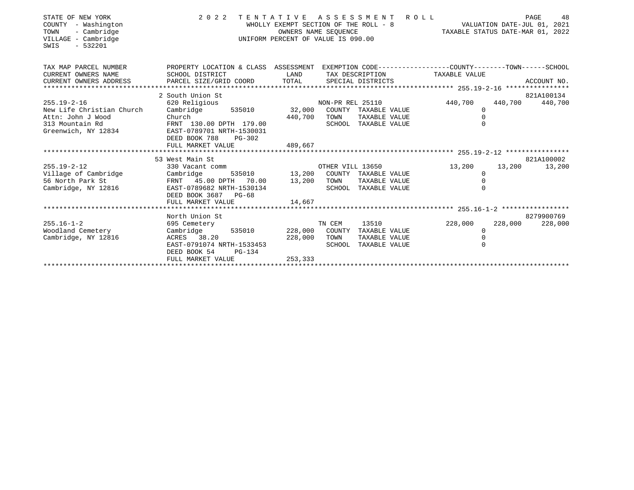| STATE OF NEW YORK<br>COUNTY<br>- Washington<br>- Cambridge<br>TOWN<br>VILLAGE - Cambridge<br>$-532201$<br>SWIS | 2 0 2 2                                                                                                            |         | TENTATIVE ASSESSMENT<br>WHOLLY EXEMPT SECTION OF THE ROLL - 8<br>OWNERS NAME SEOUENCE<br>UNIFORM PERCENT OF VALUE IS 090.00 | R O L L<br>TAXABLE STATUS DATE-MAR 01, 2022 | VALUATION DATE-JUL 01, 2021 |         | 48<br>PAGE      |
|----------------------------------------------------------------------------------------------------------------|--------------------------------------------------------------------------------------------------------------------|---------|-----------------------------------------------------------------------------------------------------------------------------|---------------------------------------------|-----------------------------|---------|-----------------|
| TAX MAP PARCEL NUMBER<br>CURRENT OWNERS NAME                                                                   | PROPERTY LOCATION & CLASS ASSESSMENT EXEMPTION CODE---------------COUNTY-------TOWN------SCHOOL<br>SCHOOL DISTRICT | LAND    | TAX DESCRIPTION                                                                                                             |                                             | TAXABLE VALUE               |         |                 |
| CURRENT OWNERS ADDRESS                                                                                         |                                                                                                                    |         |                                                                                                                             |                                             |                             |         |                 |
|                                                                                                                | 2 South Union St                                                                                                   |         |                                                                                                                             |                                             |                             |         | 821A100134      |
| $255.19 - 2 - 16$                                                                                              | 620 Religious                                                                                                      |         | NON-PR REL 25110 440,700                                                                                                    |                                             |                             |         | 440,700 440,700 |
| New Life Christian Church                                                                                      | Cambridge                                                                                                          |         | 535010 32,000 COUNTY TAXABLE VALUE                                                                                          |                                             | $\Omega$                    |         |                 |
| Attn: John J Wood<br>313 Mountain Rd                                                                           | Church<br>FRNT 130.00 DPTH 179.00                                                                                  | 440,700 | TOWN<br>TAXABLE VALUE<br>SCHOOL TAXABLE VALUE                                                                               |                                             |                             |         |                 |
| Greenwich, NY 12834                                                                                            | EAST-0789701 NRTH-1530031                                                                                          |         |                                                                                                                             |                                             |                             |         |                 |
|                                                                                                                | DEED BOOK 788<br>PG-302                                                                                            |         |                                                                                                                             |                                             |                             |         |                 |
|                                                                                                                | FULL MARKET VALUE                                                                                                  | 489,667 |                                                                                                                             |                                             |                             |         |                 |
|                                                                                                                | 53 West Main St                                                                                                    |         |                                                                                                                             |                                             |                             |         | 821A100002      |
| $255.19 - 2 - 12$                                                                                              | 330 Vacant comm                                                                                                    |         | OTHER VILL 13650                                                                                                            |                                             | 13,200                      | 13,200  | 13,200          |
| Village of Cambridge                                                                                           | Cambridge                                                                                                          |         | 535010 13,200 COUNTY TAXABLE VALUE                                                                                          |                                             | $\Omega$                    |         |                 |
| 56 North Park St                                                                                               | FRNT 45.00 DPTH 70.00 13,200 TOWN                                                                                  |         | TAXABLE VALUE                                                                                                               |                                             |                             |         |                 |
| Cambridge, NY 12816                                                                                            | EAST-0789682 NRTH-1530134<br>DEED BOOK 3687 PG-68                                                                  |         | SCHOOL TAXABLE VALUE                                                                                                        |                                             |                             |         |                 |
|                                                                                                                | FULL MARKET VALUE                                                                                                  | 14,667  |                                                                                                                             |                                             |                             |         |                 |
|                                                                                                                |                                                                                                                    |         |                                                                                                                             |                                             |                             |         |                 |
|                                                                                                                | North Union St                                                                                                     |         |                                                                                                                             |                                             |                             |         | 8279900769      |
| $255.16 - 1 - 2$                                                                                               | 695 Cemetery                                                                                                       |         | TN CEM<br>13510                                                                                                             |                                             | 228,000                     | 228,000 | 228,000         |
| Woodland Cemetery                                                                                              | 535010 228,000<br>Cambridge                                                                                        |         | COUNTY TAXABLE VALUE                                                                                                        |                                             | $\Omega$                    |         |                 |
| Cambridge, NY 12816                                                                                            | ACRES 38.20<br>EAST-0791074 NRTH-1533453                                                                           | 228,000 | TOWN<br>TAXABLE VALUE<br>SCHOOL TAXABLE VALUE                                                                               |                                             |                             |         |                 |
|                                                                                                                | DEED BOOK 54<br>PG-134                                                                                             |         |                                                                                                                             |                                             |                             |         |                 |
|                                                                                                                | FULL MARKET VALUE                                                                                                  | 253,333 |                                                                                                                             |                                             |                             |         |                 |
|                                                                                                                |                                                                                                                    |         |                                                                                                                             |                                             |                             |         |                 |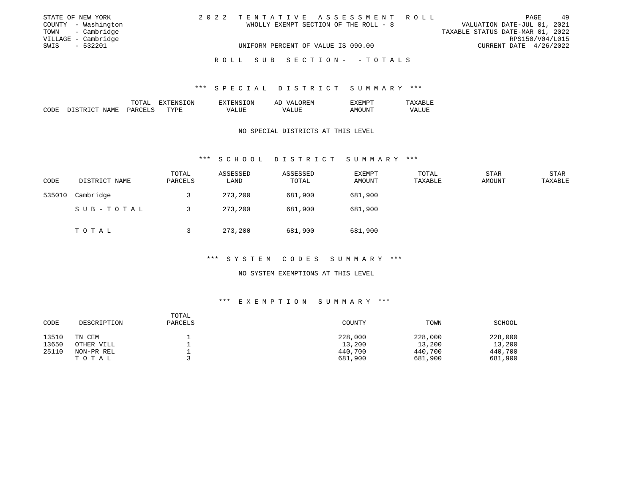| STATE OF NEW YORK   | 2022 TENTATIVE ASSESSMENT ROLL        |  |                                  | PAGE                   | -49 |
|---------------------|---------------------------------------|--|----------------------------------|------------------------|-----|
| COUNTY - Washington | WHOLLY EXEMPT SECTION OF THE ROLL - 8 |  | VALUATION DATE-JUL 01, 2021      |                        |     |
| TOWN - Cambridge    |                                       |  | TAXABLE STATUS DATE-MAR 01, 2022 |                        |     |
| VILLAGE - Cambridge |                                       |  |                                  | RPS150/V04/L015        |     |
| $-532201$<br>SWIS   | UNIFORM PERCENT OF VALUE IS 090.00    |  |                                  | CURRENT DATE 4/26/2022 |     |
|                     | ROLL SUB SECTION- - TOTALS            |  |                                  |                        |     |

|      |           | momz,<br>- - - - -            | ON<br>čNS | י וגו<br>- - -           | JREM.<br>$\cdots$<br>க⊥       | ╖╓<br>√ H.M P                 |                            |
|------|-----------|-------------------------------|-----------|--------------------------|-------------------------------|-------------------------------|----------------------------|
| CODE | JAMF<br>. | $\cap$ $\Gamma$ .<br>.<br>$-$ | myn<br>◡  | $\overline{ }$<br>______ | aU H<br><i>ι</i> Δ<br>_______ | . me<br><b>GIVIL</b><br>$  -$ | $\sqrt{ }$<br>.<br>_______ |

#### NO SPECIAL DISTRICTS AT THIS LEVEL

#### \*\*\* S C H O O L D I S T R I C T S U M M A R Y \*\*\*

| CODE   | DISTRICT NAME | TOTAL<br>PARCELS | ASSESSED<br>LAND | ASSESSED<br>TOTAL | EXEMPT<br>AMOUNT | TOTAL<br>TAXABLE | <b>STAR</b><br>AMOUNT | STAR<br>TAXABLE |
|--------|---------------|------------------|------------------|-------------------|------------------|------------------|-----------------------|-----------------|
| 535010 | Cambridge     |                  | 273,200          | 681,900           | 681,900          |                  |                       |                 |
|        | SUB-TOTAL     |                  | 273,200          | 681,900           | 681,900          |                  |                       |                 |
|        | T O T A L     |                  | 273,200          | 681,900           | 681,900          |                  |                       |                 |

# \*\*\* S Y S T E M C O D E S S U M M A R Y \*\*\*

#### NO SYSTEM EXEMPTIONS AT THIS LEVEL

| CODE  | DESCRIPTION | TOTAL<br>PARCELS | COUNTY  | TOWN    | SCHOOL  |
|-------|-------------|------------------|---------|---------|---------|
| 13510 | TN CEM      |                  | 228,000 | 228,000 | 228,000 |
| 13650 | OTHER VILL  |                  | 13,200  | 13,200  | 13,200  |
| 25110 | NON-PR REL  |                  | 440,700 | 440,700 | 440,700 |
|       | TOTAL       |                  | 681,900 | 681,900 | 681,900 |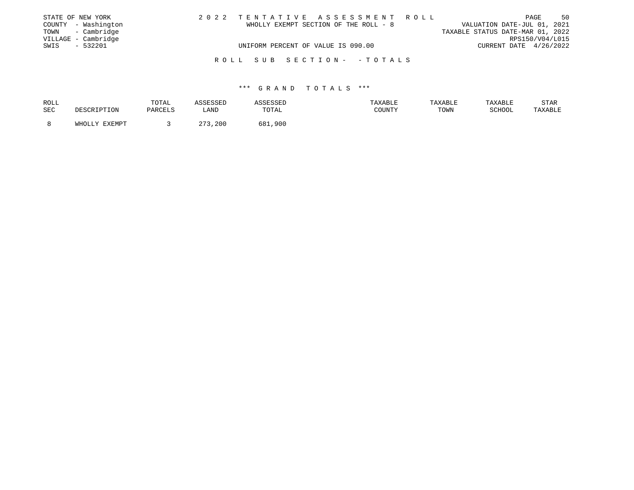|      | STATE OF NEW YORK   |                                    |  |                                       | 2022 TENTATIVE ASSESSMENT ROLL |                                  |                        | PAGE | 50 |
|------|---------------------|------------------------------------|--|---------------------------------------|--------------------------------|----------------------------------|------------------------|------|----|
|      | COUNTY - Washington |                                    |  | WHOLLY EXEMPT SECTION OF THE ROLL - 8 |                                | VALUATION DATE-JUL 01, 2021      |                        |      |    |
|      | TOWN - Cambridge    |                                    |  |                                       |                                | TAXABLE STATUS DATE-MAR 01, 2022 |                        |      |    |
|      | VILLAGE - Cambridge |                                    |  |                                       |                                |                                  | RPS150/V04/L015        |      |    |
| SWIS | - 532201            | UNIFORM PERCENT OF VALUE IS 090.00 |  |                                       |                                |                                  | CURRENT DATE 4/26/2022 |      |    |
|      |                     |                                    |  |                                       |                                |                                  |                        |      |    |
|      |                     | ROLL SUB SECTION- - TOTALS         |  |                                       |                                |                                  |                        |      |    |

| ROLL |               | TOTAL   | SSESSED     |            | TAXABLE | TAXABLE | TAXABLE | STAR    |
|------|---------------|---------|-------------|------------|---------|---------|---------|---------|
| SEC  | DESCRIPTION   | PARCELS | LAND        | TOTAL      | COUNTY  | TOWN    | SCHOOL  | TAXABLE |
|      | WHOLLY EXEMPT |         | 272<br>,200 | 681<br>900 |         |         |         |         |
|      |               |         |             |            |         |         |         |         |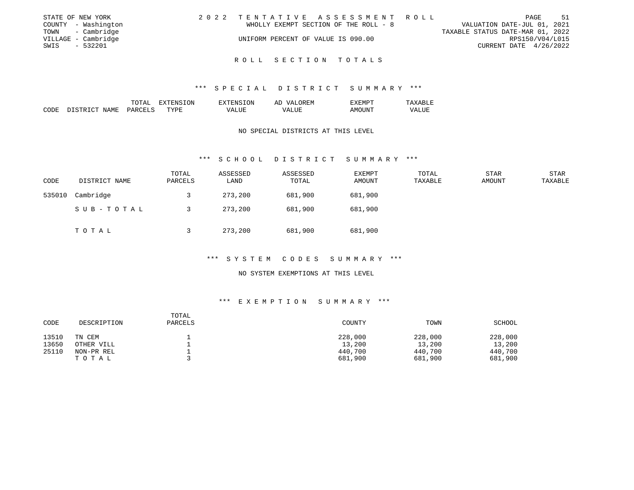|      | STATE OF NEW YORK   | 2022 TENTATIVE ASSESSMENT ROLL        |  |                                  |                        | PAGE | -51 |
|------|---------------------|---------------------------------------|--|----------------------------------|------------------------|------|-----|
|      | COUNTY - Washington | WHOLLY EXEMPT SECTION OF THE ROLL - 8 |  | VALUATION DATE-JUL 01, 2021      |                        |      |     |
|      | TOWN - Cambridge    |                                       |  | TAXABLE STATUS DATE-MAR 01, 2022 |                        |      |     |
|      | VILLAGE - Cambridge | UNIFORM PERCENT OF VALUE IS 090.00    |  |                                  | RPS150/V04/L015        |      |     |
| SWIS | $-532201$           |                                       |  |                                  | CURRENT DATE 4/26/2022 |      |     |
|      |                     |                                       |  |                                  |                        |      |     |

#### \*\*\* S P E C I A L D I S T R I C T S U M M A R Y \*\*\*

|      |                            | TOTAL                           | NSION<br>"ENS<br>x | <b>ION</b><br>- HIN'                  | <b>OREM</b><br>T7∆<br>ΑΓ          | TXEMPT          | ∹<br>' Δ x<br>$\overline{a}$ |
|------|----------------------------|---------------------------------|--------------------|---------------------------------------|-----------------------------------|-----------------|------------------------------|
| CODE | NAME<br>ר כידם דריד<br>דת. | <b>PARCELS</b><br>$\sim$ $\sim$ | <b>TYPE</b>        | $- - - -$<br>. L H<br>٠/ д.<br>______ | <b>T TTE</b><br>VA<br>.<br>______ | AMOUNT<br>$  -$ | T T T<br>VALUE               |

#### NO SPECIAL DISTRICTS AT THIS LEVEL

#### \*\*\* S C H O O L D I S T R I C T S U M M A R Y \*\*\*

| CODE   | DISTRICT NAME | TOTAL<br>PARCELS | ASSESSED<br>LAND | ASSESSED<br>TOTAL | <b>EXEMPT</b><br>AMOUNT | TOTAL<br>TAXABLE | <b>STAR</b><br>AMOUNT | <b>STAR</b><br>TAXABLE |
|--------|---------------|------------------|------------------|-------------------|-------------------------|------------------|-----------------------|------------------------|
| 535010 | Cambridge     |                  | 273,200          | 681,900           | 681,900                 |                  |                       |                        |
|        | SUB-TOTAL     |                  | 273,200          | 681,900           | 681,900                 |                  |                       |                        |
|        | T O T A L     |                  | 273,200          | 681,900           | 681,900                 |                  |                       |                        |

# \*\*\* S Y S T E M C O D E S S U M M A R Y \*\*\*

#### NO SYSTEM EXEMPTIONS AT THIS LEVEL

| CODE  | DESCRIPTION | TOTAL<br>PARCELS | COUNTY  | TOWN    | SCHOOL  |
|-------|-------------|------------------|---------|---------|---------|
| 13510 | TN CEM      |                  | 228,000 | 228,000 | 228,000 |
| 13650 | OTHER VILL  |                  | 13,200  | 13,200  | 13,200  |
| 25110 | NON-PR REL  |                  | 440,700 | 440,700 | 440,700 |
|       | TOTAL       |                  | 681,900 | 681,900 | 681,900 |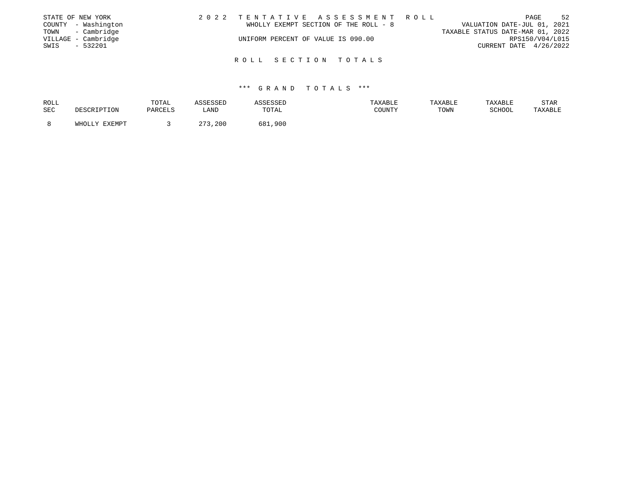|      | STATE OF NEW YORK   | 2022 TENTATIVE ASSESSMENT ROLL     |                                       |                                  |                        | PAGE | 52 |
|------|---------------------|------------------------------------|---------------------------------------|----------------------------------|------------------------|------|----|
|      | COUNTY - Washington |                                    | WHOLLY EXEMPT SECTION OF THE ROLL - 8 | VALUATION DATE-JUL 01, 2021      |                        |      |    |
|      | TOWN - Cambridge    |                                    |                                       | TAXABLE STATUS DATE-MAR 01, 2022 |                        |      |    |
|      | VILLAGE - Cambridge | UNIFORM PERCENT OF VALUE IS 090.00 |                                       |                                  | RPS150/V04/L015        |      |    |
| SWIS | $-532201$           |                                    |                                       |                                  | CURRENT DATE 4/26/2022 |      |    |
|      |                     |                                    |                                       |                                  |                        |      |    |
|      |                     | ROLL SECTION TOTALS                |                                       |                                  |                        |      |    |

| ROLL |               | TOTAL   | ASSESSED    | ASSESSED | TAXABLE | TAXABLE | TAXABLE | <b>STAR</b> |
|------|---------------|---------|-------------|----------|---------|---------|---------|-------------|
| SEC  | DESCRIPTION   | PARCELS | LAND        | TOTAL    | COUNTY  | TOWN    | SCHOOL  | TAXABLE     |
|      |               |         |             |          |         |         |         |             |
|      | WHOLLY EXEMPT |         | 272<br>,200 | 681,900  |         |         |         |             |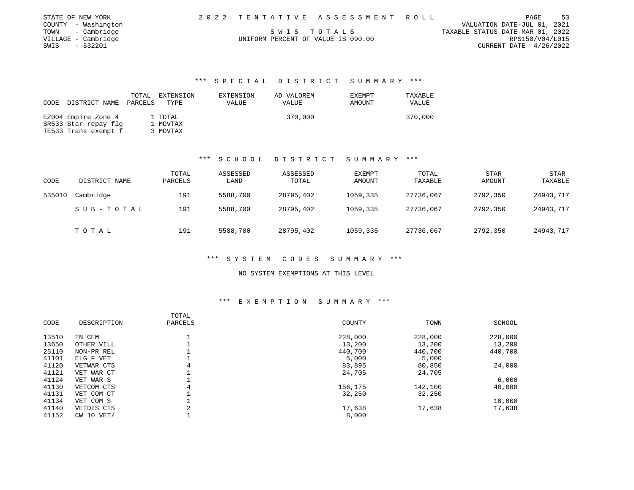| STATE OF NEW YORK   |                                    | 2022 TENTATIVE ASSESSMENT ROLL |                                  | PAGE                        | 53 |
|---------------------|------------------------------------|--------------------------------|----------------------------------|-----------------------------|----|
| COUNTY - Washington |                                    |                                |                                  | VALUATION DATE-JUL 01, 2021 |    |
| TOWN - Cambridge    |                                    | SWIS TOTALS                    | TAXABLE STATUS DATE-MAR 01, 2022 |                             |    |
| VILLAGE - Cambridge | UNIFORM PERCENT OF VALUE IS 090.00 |                                |                                  | RPS150/V04/L015             |    |
| - 532201<br>SWIS    |                                    |                                |                                  | CURRENT DATE 4/26/2022      |    |

|      |                      | TOTAL   | EXTENSION | EXTENSION | AD VALOREM | <b>EXEMPT</b> | TAXABLE |
|------|----------------------|---------|-----------|-----------|------------|---------------|---------|
| CODE | DISTRICT NAME        | PARCELS | TYPE      | VALUE     | VALUE      | AMOUNT        | VALUE   |
|      |                      |         |           |           |            |               |         |
|      | EZ004 Empire Zone 4  |         | 1 TOTAL   |           | 370,000    |               | 370,000 |
|      | SR533 Star repay flg |         | 1 MOVTAX  |           |            |               |         |
|      | TE533 Trans exempt f |         | 3 MOVTAX  |           |            |               |         |

#### \*\*\* S C H O O L D I S T R I C T S U M M A R Y \*\*\*

| CODE   | DISTRICT NAME | TOTAL<br>PARCELS | ASSESSED<br>LAND | ASSESSED<br>TOTAL | <b>EXEMPT</b><br>AMOUNT | TOTAL<br>TAXABLE | <b>STAR</b><br>AMOUNT | STAR<br>TAXABLE |
|--------|---------------|------------------|------------------|-------------------|-------------------------|------------------|-----------------------|-----------------|
| 535010 | Cambridge     | 191              | 5588,700         | 28795,402         | 1059,335                | 27736,067        | 2792,350              | 24943,717       |
|        | SUB-TOTAL     | 191              | 5588,700         | 28795,402         | 1059,335                | 27736,067        | 2792,350              | 24943,717       |
|        | TOTAL         | 191              | 5588,700         | 28795,402         | 1059,335                | 27736,067        | 2792,350              | 24943,717       |

# \*\*\* S Y S T E M C O D E S S U M M A R Y \*\*\*

#### NO SYSTEM EXEMPTIONS AT THIS LEVEL

| CODE  | DESCRIPTION    | TOTAL<br>PARCELS | COUNTY  | TOWN    | SCHOOL  |
|-------|----------------|------------------|---------|---------|---------|
| 13510 | TN CEM         |                  | 228,000 | 228,000 | 228,000 |
| 13650 | OTHER VILL     |                  | 13,200  | 13,200  | 13,200  |
| 25110 | NON-PR REL     |                  | 440,700 | 440,700 | 440,700 |
| 41101 | ELG F VET      |                  | 5,000   | 5,000   |         |
| 41120 | VETWAR CTS     | 4                | 83,895  | 80,850  | 24,000  |
| 41121 | VET WAR CT     |                  | 24,705  | 24,705  |         |
| 41124 | VET WAR S      |                  |         |         | 6,000   |
| 41130 | VETCOM CTS     | 4                | 156,175 | 142,100 | 40,000  |
| 41131 | VET COM CT     |                  | 32,250  | 32,250  |         |
| 41134 | VET COM S      |                  |         |         | 10,000  |
| 41140 | VETDIS CTS     | 2                | 17,638  | 17,638  | 17,638  |
| 41152 | $CW$ 10 $VET/$ |                  | 8,000   |         |         |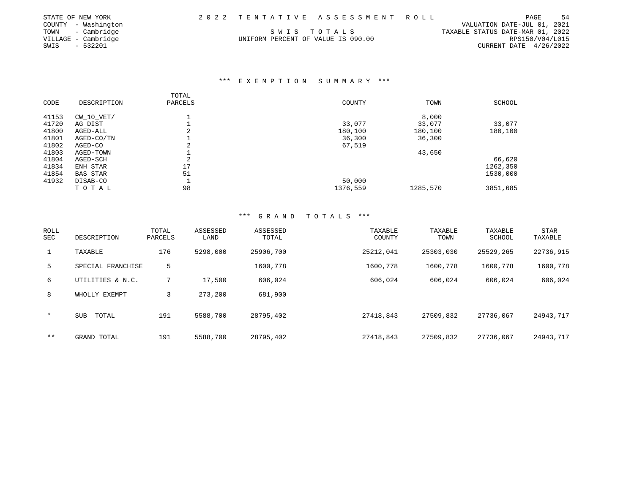| STATE OF NEW YORK   |                                    | 2022 TENTATIVE ASSESSMENT ROLL |                                  | PAGE                     | -54 |
|---------------------|------------------------------------|--------------------------------|----------------------------------|--------------------------|-----|
| COUNTY - Washington |                                    |                                | VALUATION DATE-JUL 01, 2021      |                          |     |
| TOWN - Cambridge    |                                    | SWIS TOTALS                    | TAXABLE STATUS DATE-MAR 01, 2022 |                          |     |
| VILLAGE - Cambridge | UNIFORM PERCENT OF VALUE IS 090.00 |                                |                                  | RPS150/V04/L015          |     |
| - 532201<br>SWIS    |                                    |                                |                                  | CURRENT DATE $4/26/2022$ |     |

# \*\*\* E X E M P T I O N S U M M A R Y \*\*\*

| CODE  | DESCRIPTION     | TOTAL<br>PARCELS                   | COUNTY   | TOWN     | <b>SCHOOL</b> |
|-------|-----------------|------------------------------------|----------|----------|---------------|
| 41153 | CW 10 VET/      |                                    |          | 8,000    |               |
| 41720 | AG DIST         |                                    | 33,077   | 33,077   | 33,077        |
| 41800 | AGED-ALL        | 2                                  | 180,100  | 180,100  | 180,100       |
| 41801 | AGED-CO/TN      |                                    | 36,300   | 36,300   |               |
| 41802 | AGED-CO         | $\sim$<br>$\overline{\phantom{a}}$ | 67,519   |          |               |
| 41803 | AGED-TOWN       |                                    |          | 43,650   |               |
| 41804 | AGED-SCH        | $\mathfrak{D}$                     |          |          | 66,620        |
| 41834 | ENH STAR        | 17                                 |          |          | 1262,350      |
| 41854 | <b>BAS STAR</b> | 51                                 |          |          | 1530,000      |
| 41932 | DISAB-CO        |                                    | 50,000   |          |               |
|       | TOTAL           | 98                                 | 1376,559 | 1285,570 | 3851,685      |

| ROLL<br><b>SEC</b> | DESCRIPTION         | TOTAL<br>PARCELS | ASSESSED<br>LAND | ASSESSED<br>TOTAL | TAXABLE<br>COUNTY | TAXABLE<br>TOWN | TAXABLE<br>SCHOOL | STAR<br>TAXABLE |
|--------------------|---------------------|------------------|------------------|-------------------|-------------------|-----------------|-------------------|-----------------|
| $\mathbf{1}$       | TAXABLE             | 176              | 5298,000         | 25906,700         | 25212,041         | 25303,030       | 25529,265         | 22736,915       |
| 5                  | SPECIAL FRANCHISE   | 5                |                  | 1600,778          | 1600,778          | 1600,778        | 1600,778          | 1600,778        |
| 6                  | UTILITIES & N.C.    |                  | 17,500           | 606,024           | 606,024           | 606,024         | 606,024           | 606,024         |
| 8                  | WHOLLY EXEMPT       | 3                | 273,200          | 681,900           |                   |                 |                   |                 |
| $\star$            | <b>SUB</b><br>TOTAL | 191              | 5588,700         | 28795,402         | 27418,843         | 27509,832       | 27736,067         | 24943,717       |
| $* *$              | GRAND TOTAL         | 191              | 5588,700         | 28795,402         | 27418,843         | 27509,832       | 27736,067         | 24943,717       |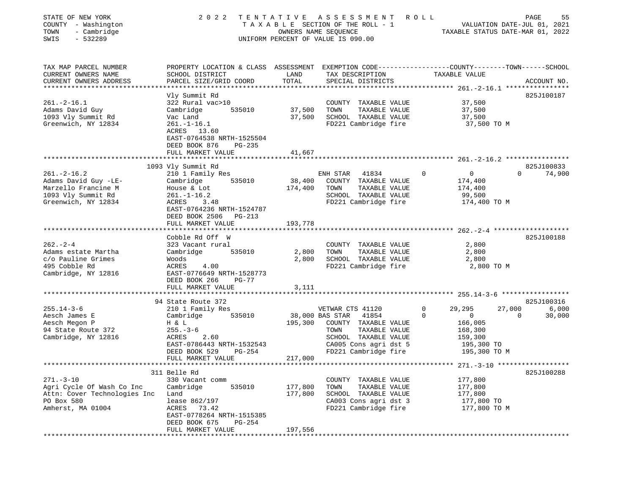| STATE OF NEW YORK<br>COUNTY - Washington<br>- Cambridge<br>TOWN<br>$-532289$<br>SWIS                            | 2 0 2 2                                                                                                                                                                                | TENTATIVE<br>OWNERS NAME SEQUENCE | A S S E S S M E N T<br>TAXABLE SECTION OF THE ROLL - 1<br>UNIFORM PERCENT OF VALUE IS 090.00                                                                           | ROLL<br>TAXABLE STATUS DATE-MAR 01, 2022                                                               | VALUATION DATE-JUL 01, 2021 | PAGE<br>55                    |
|-----------------------------------------------------------------------------------------------------------------|----------------------------------------------------------------------------------------------------------------------------------------------------------------------------------------|-----------------------------------|------------------------------------------------------------------------------------------------------------------------------------------------------------------------|--------------------------------------------------------------------------------------------------------|-----------------------------|-------------------------------|
| TAX MAP PARCEL NUMBER<br>CURRENT OWNERS NAME<br>CURRENT OWNERS ADDRESS<br>***********************               | PROPERTY LOCATION & CLASS ASSESSMENT EXEMPTION CODE---------------COUNTY-------TOWN------SCHOOL<br>SCHOOL DISTRICT<br>PARCEL SIZE/GRID COORD                                           | LAND<br>TOTAL                     | TAX DESCRIPTION<br>SPECIAL DISTRICTS                                                                                                                                   | TAXABLE VALUE                                                                                          |                             | ACCOUNT NO.                   |
| $261. -2 - 16.1$<br>Adams David Guy<br>1093 Vly Summit Rd<br>Greenwich, NY 12834                                | Vly Summit Rd<br>322 Rural vac>10<br>Cambridge<br>535010<br>Vac Land<br>$261. - 1 - 16.1$<br>ACRES 13.60<br>EAST-0764538 NRTH-1525504<br>DEED BOOK 876<br>PG-235<br>FULL MARKET VALUE  | 37,500<br>37,500<br>41,667        | COUNTY TAXABLE VALUE<br>TOWN<br>TAXABLE VALUE<br>SCHOOL TAXABLE VALUE<br>FD221 Cambridge fire                                                                          | 37,500<br>37,500<br>37,500<br>37,500 TO M                                                              |                             | 825J100187                    |
|                                                                                                                 |                                                                                                                                                                                        |                                   |                                                                                                                                                                        |                                                                                                        |                             |                               |
| $261 - 2 - 16.2$<br>Adams David Guy -LE-<br>Marzello Francine M<br>1093 Vly Summit Rd<br>Greenwich, NY 12834    | 1093 Vly Summit Rd<br>210 1 Family Res<br>535010<br>Cambridge<br>House & Lot<br>$261. - 1 - 16.2$<br>ACRES<br>3.48<br>EAST-0764236 NRTH-1524787<br>DEED BOOK 2506 PG-213               | 38,400<br>174,400                 | ENH STAR<br>41834<br>COUNTY TAXABLE VALUE<br>TOWN<br>TAXABLE VALUE<br>SCHOOL TAXABLE VALUE<br>FD221 Cambridge fire                                                     | $\Omega$<br>$\mathbf 0$<br>174,400<br>174,400<br>99,500<br>174,400 TO M                                | $\Omega$                    | 825J100833<br>74,900          |
|                                                                                                                 | FULL MARKET VALUE                                                                                                                                                                      | 193,778                           |                                                                                                                                                                        |                                                                                                        |                             |                               |
| $262 - 2 - 4$<br>Adams estate Martha<br>c/o Pauline Grimes<br>495 Cobble Rd<br>Cambridge, NY 12816              | *************************<br>Cobble Rd Off W<br>323 Vacant rural<br>535010<br>Cambridge<br>Woods<br>ACRES<br>4.00<br>EAST-0776649 NRTH-1528773<br>DEED BOOK 266<br>$PG-77$             | 2,800<br>2,800                    | COUNTY TAXABLE VALUE<br>TOWN<br>TAXABLE VALUE<br>SCHOOL TAXABLE VALUE<br>FD221 Cambridge fire                                                                          | 2,800<br>2,800<br>2,800<br>2,800 TO M                                                                  |                             | 825J100188                    |
|                                                                                                                 | FULL MARKET VALUE                                                                                                                                                                      | 3,111                             |                                                                                                                                                                        |                                                                                                        |                             |                               |
|                                                                                                                 | *************************                                                                                                                                                              |                                   |                                                                                                                                                                        |                                                                                                        |                             |                               |
| $255.14 - 3 - 6$<br>Aesch James E<br>Aesch Megon P<br>94 State Route 372<br>Cambridge, NY 12816                 | 94 State Route 372<br>210 1 Family Res<br>Cambridge<br>535010<br>H & L<br>$255. - 3 - 6$<br>ACRES<br>2.60<br>EAST-0786443 NRTH-1532543<br>DEED BOOK 529<br>PG-254<br>FULL MARKET VALUE | 195,300<br>217,000                | VETWAR CTS 41120<br>38,000 BAS STAR<br>41854<br>COUNTY TAXABLE VALUE<br>TAXABLE VALUE<br>TOWN<br>SCHOOL TAXABLE VALUE<br>CA005 Cons agri dst 5<br>FD221 Cambridge fire | 0<br>29,295<br>$\Omega$<br>$\mathbf{0}$<br>166,005<br>168,300<br>159,300<br>195,300 TO<br>195,300 TO M | 27,000<br>$\Omega$          | 825J100316<br>6,000<br>30,000 |
|                                                                                                                 |                                                                                                                                                                                        |                                   |                                                                                                                                                                        |                                                                                                        |                             |                               |
| $271. - 3 - 10$<br>Agri Cycle Of Wash Co Inc<br>Attn: Cover Technologies Inc<br>PO Box 580<br>Amherst, MA 01004 | 311 Belle Rd<br>330 Vacant comm<br>Cambridge<br>535010<br>Land<br>lease 862/197<br>ACRES<br>73.42<br>EAST-0778264 NRTH-1515385<br>DEED BOOK 675<br>PG-254<br>FULL MARKET VALUE         | 177,800<br>177,800<br>197,556     | COUNTY<br>TAXABLE VALUE<br>TOWN<br>TAXABLE VALUE<br>SCHOOL TAXABLE VALUE<br>CA003 Cons agri dst 3<br>FD221 Cambridge fire                                              | 177,800<br>177,800<br>177,800<br>177,800 TO<br>177,800 TO M                                            |                             | 825J100288                    |
| ***************                                                                                                 |                                                                                                                                                                                        |                                   |                                                                                                                                                                        |                                                                                                        |                             |                               |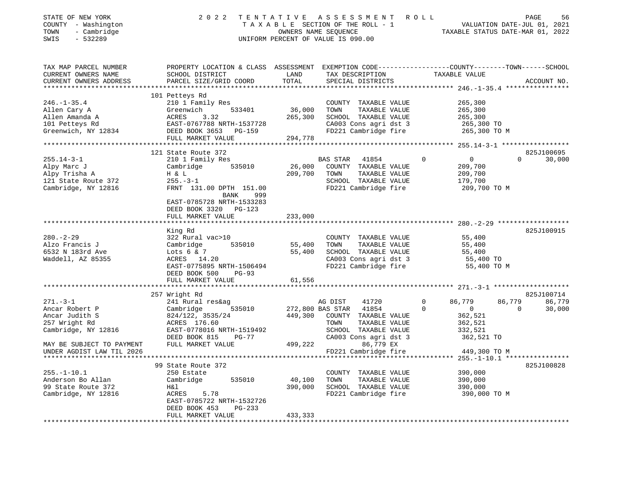| STATE OF NEW YORK<br>COUNTY - Washington<br>TOWN<br>- Cambridge<br>SWIS<br>$-532289$             | 2022                                                                              | TENTATIVE               | ASSESSMENT<br>TAXABLE SECTION OF THE ROLL - 1<br>OWNERS NAME SEQUENCE<br>UNIFORM PERCENT OF VALUE IS 090.00 | <b>ROLL</b>                             | PAGE<br>56<br>VALUATION DATE-JUL 01, 2021<br>TAXABLE STATUS DATE-MAR 01, 2022 |
|--------------------------------------------------------------------------------------------------|-----------------------------------------------------------------------------------|-------------------------|-------------------------------------------------------------------------------------------------------------|-----------------------------------------|-------------------------------------------------------------------------------|
| TAX MAP PARCEL NUMBER<br>CURRENT OWNERS NAME<br>CURRENT OWNERS ADDRESS<br>********************** | PROPERTY LOCATION & CLASS ASSESSMENT<br>SCHOOL DISTRICT<br>PARCEL SIZE/GRID COORD | LAND<br>TOTAL           | EXEMPTION CODE-----------------COUNTY-------TOWN------SCHOOL<br>TAX DESCRIPTION<br>SPECIAL DISTRICTS        | TAXABLE VALUE                           | ACCOUNT NO.                                                                   |
|                                                                                                  | 101 Petteys Rd                                                                    |                         |                                                                                                             |                                         |                                                                               |
| $246. - 1 - 35.4$                                                                                | 210 1 Family Res                                                                  |                         | COUNTY TAXABLE VALUE                                                                                        | 265,300                                 |                                                                               |
| Allen Cary A                                                                                     | 533401<br>Greenwich                                                               | 36,000                  | TOWN<br>TAXABLE VALUE                                                                                       | 265,300                                 |                                                                               |
| Allen Amanda A                                                                                   | ACRES<br>3.32                                                                     | 265,300                 | SCHOOL TAXABLE VALUE                                                                                        | 265,300                                 |                                                                               |
| 101 Petteys Rd                                                                                   | EAST-0767788 NRTH-1537728                                                         |                         | CA003 Cons agri dst 3                                                                                       | 265,300 TO                              |                                                                               |
| Greenwich, NY 12834                                                                              | DEED BOOK 3653<br><b>PG-159</b>                                                   |                         | FD221 Cambridge fire                                                                                        | 265,300 TO M                            |                                                                               |
|                                                                                                  | FULL MARKET VALUE                                                                 | 294,778                 |                                                                                                             |                                         |                                                                               |
|                                                                                                  |                                                                                   |                         |                                                                                                             |                                         |                                                                               |
|                                                                                                  | 121 State Route 372                                                               |                         |                                                                                                             |                                         | 825J100695<br>$\Omega$                                                        |
| $255.14 - 3 - 1$                                                                                 | 210 1 Family Res                                                                  |                         | BAS STAR<br>41854                                                                                           | $\Omega$<br>$\overline{0}$              | 30,000                                                                        |
| Alpy Marc J                                                                                      | Cambridge<br>535010                                                               | 26,000                  | COUNTY TAXABLE VALUE                                                                                        | 209,700<br>209,700                      |                                                                               |
| Alpy Trisha A<br>121 State Route 372                                                             | H & L<br>$255. - 3 - 1$                                                           | 209,700                 | TAXABLE VALUE<br>TOWN<br>SCHOOL TAXABLE VALUE                                                               |                                         |                                                                               |
| Cambridge, NY 12816                                                                              | FRNT 131.00 DPTH 151.00                                                           |                         | FD221 Cambridge fire                                                                                        | 179,700<br>209,700 TO M                 |                                                                               |
|                                                                                                  | BANK<br>999<br>EAST-0785728 NRTH-1533283<br>DEED BOOK 3320 PG-123                 |                         |                                                                                                             |                                         |                                                                               |
|                                                                                                  | FULL MARKET VALUE                                                                 | 233,000                 |                                                                                                             |                                         |                                                                               |
|                                                                                                  | ******************                                                                |                         |                                                                                                             |                                         |                                                                               |
|                                                                                                  | King Rd                                                                           |                         |                                                                                                             |                                         | 825J100915                                                                    |
| $280. - 2 - 29$                                                                                  | 322 Rural vac>10                                                                  |                         | COUNTY TAXABLE VALUE                                                                                        | 55,400                                  |                                                                               |
| Alzo Francis J                                                                                   | 535010<br>Cambridge                                                               | 55,400                  | TOWN<br>TAXABLE VALUE                                                                                       | 55,400                                  |                                                                               |
| 6532 N 183rd Ave                                                                                 | Lots $6 & 7$                                                                      | 55,400                  | SCHOOL TAXABLE VALUE                                                                                        | 55,400                                  |                                                                               |
| Waddell, AZ 85355                                                                                | ACRES 14.20                                                                       |                         | CA003 Cons agri dst 3                                                                                       | 55,400 TO                               |                                                                               |
|                                                                                                  | EAST-0775895 NRTH-1506494<br>DEED BOOK 500<br>$PG-93$                             |                         | FD221 Cambridge fire                                                                                        | 55,400 TO M                             |                                                                               |
|                                                                                                  | FULL MARKET VALUE                                                                 | 61,556                  |                                                                                                             |                                         |                                                                               |
|                                                                                                  |                                                                                   |                         |                                                                                                             |                                         |                                                                               |
|                                                                                                  | 257 Wright Rd                                                                     |                         |                                                                                                             |                                         | 825J100714                                                                    |
| $271. - 3 - 1$<br>Ancar Robert P                                                                 | 241 Rural res&ag                                                                  |                         | 41720<br>AG DIST                                                                                            | 0<br>86,779<br>$\Omega$<br>$\mathbf{0}$ | 86,779<br>86,779<br>$\Omega$                                                  |
| Ancar Judith S                                                                                   | 535010<br>Cambridge<br>824/122, 3535/24                                           | 449,300                 | 272,800 BAS STAR<br>41854                                                                                   | 362,521                                 | 30,000                                                                        |
| 257 Wright Rd                                                                                    | ACRES 176.60                                                                      |                         | COUNTY<br>TAXABLE VALUE<br>TOWN<br>TAXABLE VALUE                                                            | 362,521                                 |                                                                               |
| Cambridge, NY 12816                                                                              | EAST-0778016 NRTH-1519492                                                         |                         | SCHOOL TAXABLE VALUE                                                                                        | 332,521                                 |                                                                               |
|                                                                                                  | DEED BOOK 815<br><b>PG-77</b>                                                     |                         | CA003 Cons agri dst 3                                                                                       | 362,521 TO                              |                                                                               |
| MAY BE SUBJECT TO PAYMENT                                                                        | FULL MARKET VALUE                                                                 | 499,222                 | 86,779 EX                                                                                                   |                                         |                                                                               |
| UNDER AGDIST LAW TIL 2026                                                                        |                                                                                   |                         | FD221 Cambridge fire                                                                                        | 449,300 TO M                            |                                                                               |
|                                                                                                  |                                                                                   |                         |                                                                                                             |                                         |                                                                               |
|                                                                                                  | 99 State Route 372                                                                |                         |                                                                                                             |                                         | 825J100828                                                                    |
| $255. - 1 - 10.1$                                                                                | 250 Estate                                                                        |                         | COUNTY TAXABLE VALUE                                                                                        | 390,000                                 |                                                                               |
| Anderson Bo Allan                                                                                | Cambridge<br>535010                                                               | 40,100                  | TAXABLE VALUE<br>TOWN                                                                                       | 390,000                                 |                                                                               |
| 99 State Route 372                                                                               | H&l                                                                               | 390,000                 | SCHOOL TAXABLE VALUE                                                                                        | 390,000                                 |                                                                               |
| Cambridge, NY 12816                                                                              | ACRES<br>5.78<br>EAST-0785722 NRTH-1532726                                        |                         | FD221 Cambridge fire                                                                                        | 390,000 TO M                            |                                                                               |
|                                                                                                  | DEED BOOK 453<br>PG-233                                                           |                         |                                                                                                             |                                         |                                                                               |
| *************************                                                                        | FULL MARKET VALUE<br>************************                                     | 433,333<br>************ |                                                                                                             |                                         |                                                                               |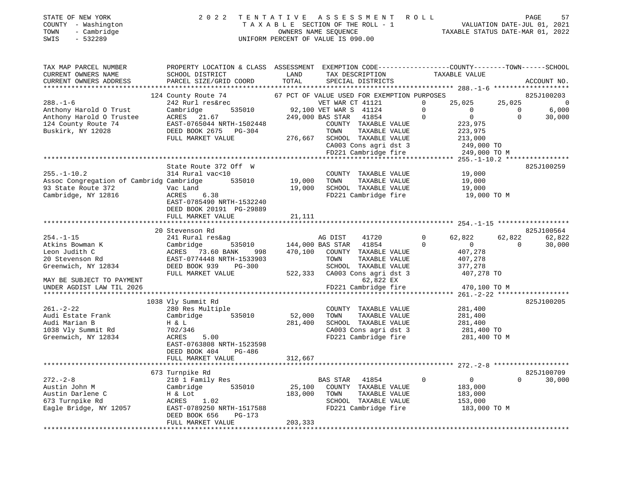| STATE OF NEW YORK<br>- Washington<br>COUNTY<br>- Cambridge<br>TOWN<br>SWIS<br>$-532289$ | 2 0 2 2                                        | TENTATIVE        | ASSESSMENT ROLL<br>TAXABLE SECTION OF THE ROLL - 1<br>OWNERS NAME SEOUENCE<br>UNIFORM PERCENT OF VALUE IS 090.00 |          | TAXABLE STATUS DATE-MAR 01, 2022 | VALUATION DATE-JUL 01, 2021 | 57<br>PAGE     |
|-----------------------------------------------------------------------------------------|------------------------------------------------|------------------|------------------------------------------------------------------------------------------------------------------|----------|----------------------------------|-----------------------------|----------------|
| TAX MAP PARCEL NUMBER                                                                   | PROPERTY LOCATION & CLASS ASSESSMENT           |                  | EXEMPTION CODE-----------------COUNTY-------TOWN------SCHOOL                                                     |          |                                  |                             |                |
| CURRENT OWNERS NAME                                                                     | SCHOOL DISTRICT                                | LAND             | TAX DESCRIPTION                                                                                                  |          | TAXABLE VALUE                    |                             |                |
| CURRENT OWNERS ADDRESS                                                                  | PARCEL SIZE/GRID COORD TOTAL SPECIAL DISTRICTS |                  |                                                                                                                  |          |                                  |                             | ACCOUNT NO.    |
|                                                                                         |                                                |                  |                                                                                                                  |          |                                  |                             |                |
|                                                                                         | 124 County Route 74                            |                  | 67 PCT OF VALUE USED FOR EXEMPTION PURPOSES                                                                      |          |                                  |                             | 825J100203     |
| $288. - 1 - 6$                                                                          | 242 Rurl res&rec                               |                  | VET WAR CT 41121                                                                                                 | $\Omega$ | 25,025 25,025                    |                             | $\overline{0}$ |
| Anthony Harold O Trust                                                                  | Cambridge 535010 92,100 VET WAR S 41124        |                  |                                                                                                                  |          |                                  | $\overline{0}$              | 6,000          |
| Anthony Harold O Trustee                                                                | ACRES 21.67                                    | 249,000 BAS STAR | 41854                                                                                                            | $\Omega$ | $\overline{0}$                   |                             | 30,000         |
| 124 County Route 74                                                                     | EAST-0765044 NRTH-1502448                      |                  | COUNTY<br>TAXABLE VALUE                                                                                          |          | 223,975                          |                             |                |
| Buskirk, NY 12028                                                                       | DEED BOOK 2675<br>PG-304                       |                  | TOWN<br>TAXABLE VALUE                                                                                            |          | 223,975                          |                             |                |
|                                                                                         | FULL MARKET VALUE                              | 276,667          | SCHOOL<br>TAXABLE VALUE                                                                                          |          | 213,000                          |                             |                |
|                                                                                         |                                                |                  | CA003 Cons agri dst 3                                                                                            |          | 249,000 TO                       |                             |                |
|                                                                                         |                                                |                  | FD221 Cambridge fire 249,000 TO M                                                                                |          |                                  |                             |                |
|                                                                                         |                                                |                  |                                                                                                                  |          |                                  |                             |                |
|                                                                                         | State Route 372 Off W                          |                  |                                                                                                                  |          |                                  |                             | 825J100259     |

| $255. - 1 - 10.2$                        | 314 Rural vac<10          |        |         | COUNTY           | TAXABLE VALUE         |              | 19,000        |          |            |
|------------------------------------------|---------------------------|--------|---------|------------------|-----------------------|--------------|---------------|----------|------------|
| Assoc Congregation of Cambridg Cambridge |                           | 535010 | 19,000  | TOWN             | TAXABLE VALUE         |              | 19,000        |          |            |
| 93 State Route 372<br>Vac Land           |                           |        | 19,000  | SCHOOL           | TAXABLE VALUE         |              | 19,000        |          |            |
| Cambridge, NY 12816                      | ACRES 6.38                |        |         |                  | FD221 Cambridge fire  |              | 19,000 TO M   |          |            |
|                                          | EAST-0785490 NRTH-1532240 |        |         |                  |                       |              |               |          |            |
|                                          | DEED BOOK 20191 PG-29889  |        |         |                  |                       |              |               |          |            |
|                                          | FULL MARKET VALUE         |        | 21,111  |                  |                       |              |               |          |            |
|                                          |                           |        |         |                  |                       |              |               |          |            |
|                                          | 20 Stevenson Rd           |        |         |                  |                       |              |               |          | 825J100564 |
| $254. - 1 - 15$                          | 241 Rural res&ag          |        |         | AG DIST          | 41720                 | $\mathbf{0}$ | 62,822 62,822 |          | 62,822     |
| Atkins Bowman K                          | Cambridge                 | 535010 |         | 144,000 BAS STAR | 41854                 |              | $\Omega$      | $\Omega$ | 30,000     |
| Leon Judith C                            | ACRES 73.60 BANK          | 998    | 470,100 | COUNTY           | TAXABLE VALUE         |              | 407,278       |          |            |
| 20 Stevenson Rd                          | EAST-0774448 NRTH-1533903 |        |         | TOWN             | TAXABLE VALUE         |              | 407,278       |          |            |
| Greenwich, NY 12834                      | DEED BOOK 939             | PG-300 |         | SCHOOL           | TAXABLE VALUE         |              | 377,278       |          |            |
|                                          | FULL MARKET VALUE         |        | 522,333 |                  | CA003 Cons agri dst 3 |              | 407,278 TO    |          |            |
| MAY BE SUBJECT TO PAYMENT                |                           |        |         |                  | 62,822 EX             |              |               |          |            |
| UNDER AGDIST LAW TIL 2026                |                           |        |         |                  | FD221 Cambridge fire  |              | 470,100 TO M  |          |            |
|                                          |                           |        |         |                  |                       |              |               |          |            |
|                                          | 1038 Vly Summit Rd        |        |         |                  |                       |              |               |          | 825J100205 |
| 261.-2-22                                | 280 Res Multiple          |        |         | COUNTY           | TAXABLE VALUE         |              | 281,400       |          |            |
| Audi Estate Frank                        | Cambridge                 | 535010 | 52,000  | TOWN             | TAXABLE VALUE         |              | 281,400       |          |            |

| 261.-2-22              | 280 Res Multiple          |         | COUN'I'Y | TAXABLE VALUE         | 281,400       |            |        |
|------------------------|---------------------------|---------|----------|-----------------------|---------------|------------|--------|
| Audi Estate Frank      | Cambridge<br>535010       | 52,000  | TOWN     | TAXABLE VALUE         | 281,400       |            |        |
| Audi Marian B          | H & L                     | 281,400 | SCHOOL   | TAXABLE VALUE         | 281,400       |            |        |
| 1038 Vly Summit Rd     | 702/346                   |         |          | CA003 Cons agri dst 3 | 281,400 TO    |            |        |
| Greenwich, NY 12834    | 5.00<br>ACRES             |         |          | FD221 Cambridge fire  | 281,400 TO M  |            |        |
|                        | EAST-0763808 NRTH-1523598 |         |          |                       |               |            |        |
|                        | DEED BOOK 404 PG-486      |         |          |                       |               |            |        |
|                        | FULL MARKET VALUE         | 312,667 |          |                       |               |            |        |
|                        |                           |         |          |                       |               |            |        |
|                        | 673 Turnpike Rd           |         |          |                       |               | 825J100709 |        |
| $272 - 2 - 8$          | 210 1 Family Res          |         | BAS STAR | 41854                 | 0<br>$\Omega$ | $\Omega$   | 30,000 |
| Austin John M          | Cambridge<br>535010       | 25,100  | COUNTY   | TAXABLE VALUE         | 183,000       |            |        |
| Austin Darlene C       | H & Lot                   | 183,000 | TOWN     | TAXABLE VALUE         | 183,000       |            |        |
| 673 Turnpike Rd        | 1.02<br>ACRES             |         | SCHOOL   | TAXABLE VALUE         | 153,000       |            |        |
| Eagle Bridge, NY 12057 | EAST-0789250 NRTH-1517588 |         |          | FD221 Cambridge fire  | 183,000 TO M  |            |        |
|                        | DEED BOOK 656<br>PG-173   |         |          |                       |               |            |        |
|                        | FULL MARKET VALUE         | 203,333 |          |                       |               |            |        |
|                        |                           |         |          |                       |               |            |        |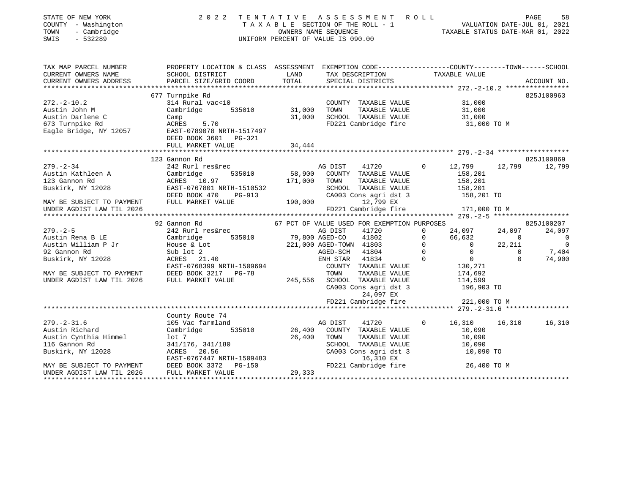| STATE OF NEW YORK<br>COUNTY - Washington<br>TOWN<br>- Cambridge<br>SWIS<br>$-532289$ | 2 0 2 2                                                                                          | TENTATIVE         | A S S E S S M E N T R O L L<br>TENTATIVE ASSESSMENT AVOID<br>TAXABLE SECTION OF THE ROLL - 1 VALUATION DATE-JUL 01, 2021<br>OWNERS NAME SEQUENCE TAXABLE STATUS DATE-MAR 01, 2022<br>UNIFORM PERCENT OF VALUE IS 090.00 |                            |                                  |                          | PAGE<br>58              |
|--------------------------------------------------------------------------------------|--------------------------------------------------------------------------------------------------|-------------------|-------------------------------------------------------------------------------------------------------------------------------------------------------------------------------------------------------------------------|----------------------------|----------------------------------|--------------------------|-------------------------|
| TAX MAP PARCEL NUMBER                                                                | PROPERTY LOCATION & CLASS ASSESSMENT EXEMPTION CODE----------------COUNTY-------TOWN------SCHOOL |                   |                                                                                                                                                                                                                         |                            |                                  |                          |                         |
| CURRENT OWNERS NAME                                                                  | SCHOOL DISTRICT                                                                                  | LAND              | TAX DESCRIPTION                                                                                                                                                                                                         |                            | TAXABLE VALUE                    |                          |                         |
| CURRENT OWNERS ADDRESS                                                               | PARCEL SIZE/GRID COORD                                                                           | TOTAL             | SPECIAL DISTRICTS                                                                                                                                                                                                       |                            |                                  |                          | ACCOUNT NO.             |
|                                                                                      | 677 Turnpike Rd                                                                                  |                   |                                                                                                                                                                                                                         |                            |                                  |                          | 825J100963              |
| $272. - 2 - 10.2$                                                                    | 314 Rural vac<10                                                                                 |                   | COUNTY TAXABLE VALUE                                                                                                                                                                                                    |                            | 31,000                           |                          |                         |
| Austin John M                                                                        | Cambridge 535010                                                                                 | 31,000            | TOWN<br>TAXABLE VALUE                                                                                                                                                                                                   |                            | 31,000                           |                          |                         |
| Austin Darlene C                                                                     | Camp                                                                                             | 31,000            | SCHOOL TAXABLE VALUE                                                                                                                                                                                                    |                            | 31,000                           |                          |                         |
| 673 Turnpike Rd<br>Eagle Bridge, NY 12057                                            | 5.70<br>ACRES<br>EAST-0789078 NRTH-1517497<br>DEED BOOK 3601 PG-321                              |                   | FD221 Cambridge fire                                                                                                                                                                                                    |                            | 31,000 TO M                      |                          |                         |
|                                                                                      | FULL MARKET VALUE                                                                                | 34,444            |                                                                                                                                                                                                                         |                            |                                  |                          |                         |
|                                                                                      |                                                                                                  |                   |                                                                                                                                                                                                                         |                            |                                  |                          |                         |
|                                                                                      | 123 Gannon Rd                                                                                    |                   |                                                                                                                                                                                                                         |                            |                                  |                          | 825J100869              |
| $279. - 2 - 34$                                                                      | 242 Rurl res&rec                                                                                 |                   | AG DIST<br>41720                                                                                                                                                                                                        | $\Omega$                   | 12,799                           |                          | 12,799 12,799           |
| Austin Kathleen A<br>123 Gannon Rd                                                   | Cambridge<br>535010<br>ACRES 10.97                                                               | 58,900<br>171,000 | COUNTY TAXABLE VALUE<br>TOWN<br>TAXABLE VALUE                                                                                                                                                                           |                            | 158,201<br>158,201               |                          |                         |
| Buskirk, NY 12028                                                                    | EAST-0767801 NRTH-1510532                                                                        |                   | SCHOOL TAXABLE VALUE                                                                                                                                                                                                    |                            | 158,201                          |                          |                         |
|                                                                                      | DEED BOOK 470<br>PG-913                                                                          |                   | CA003 Cons agri dst 3                                                                                                                                                                                                   |                            | 158,201 TO                       |                          |                         |
| MAY BE SUBJECT TO PAYMENT                                                            | FULL MARKET VALUE                                                                                |                   | 190,000 000<br>12,799 EX                                                                                                                                                                                                |                            |                                  |                          |                         |
| UNDER AGDIST LAW TIL 2026                                                            |                                                                                                  |                   | FD221 Cambridge fire                                                                                                                                                                                                    |                            | 171,000 TO M                     |                          |                         |
|                                                                                      |                                                                                                  |                   |                                                                                                                                                                                                                         |                            |                                  |                          |                         |
|                                                                                      | 92 Gannon Rd                                                                                     |                   | 67 PCT OF VALUE USED FOR EXEMPTION PURPOSES                                                                                                                                                                             |                            |                                  |                          | 825J100207              |
| $279. - 2 - 5$                                                                       | 242 Rurl res&rec                                                                                 |                   | AG DIST<br>41720                                                                                                                                                                                                        | $\Omega$                   | 24,097                           | 24,097                   | 24,097                  |
| Austin Rena B LE                                                                     | 535010<br>Cambridge                                                                              |                   | 79,800 AGED-CO<br>41802                                                                                                                                                                                                 | $\mathbf 0$                | 66,632                           | $\sim$ 0                 | $\overline{0}$          |
| Austin William P Jr                                                                  | House & Lot                                                                                      |                   | 221,000 AGED-TOWN 41803                                                                                                                                                                                                 | $\Omega$<br>$\overline{0}$ | $\overline{0}$<br>$\overline{0}$ | 22,211<br>$\overline{0}$ | $\overline{0}$<br>7,404 |
| 92 Gannon Rd<br>Buskirk, NY 12028                                                    | Sub lot 2<br>ACRES 21.40                                                                         |                   | AGED-SCH 41804<br>ENH STAR 41834                                                                                                                                                                                        | $\Omega$                   | $\overline{0}$                   | $\Omega$                 | 74,900                  |
|                                                                                      | EAST-0768399 NRTH-1509694                                                                        |                   | COUNTY TAXABLE VALUE                                                                                                                                                                                                    |                            | 130,271                          |                          |                         |
| MAY BE SUBJECT TO PAYMENT                                                            | DEED BOOK 3217 PG-78                                                                             |                   | TOWN<br>TAXABLE VALUE                                                                                                                                                                                                   |                            | 174,692                          |                          |                         |
| UNDER AGDIST LAW TIL 2026                                                            | FULL MARKET VALUE                                                                                |                   | 245,556 SCHOOL TAXABLE VALUE                                                                                                                                                                                            |                            | 114,599                          |                          |                         |
|                                                                                      |                                                                                                  |                   | CA003 Cons agri dst 3                                                                                                                                                                                                   |                            | 196,903 TO                       |                          |                         |
|                                                                                      |                                                                                                  |                   | 24,097 EX                                                                                                                                                                                                               |                            |                                  |                          |                         |
|                                                                                      |                                                                                                  |                   | FD221 Cambridge fire                                                                                                                                                                                                    |                            | 221,000 TO M                     |                          |                         |
|                                                                                      |                                                                                                  |                   |                                                                                                                                                                                                                         |                            |                                  |                          |                         |
|                                                                                      | County Route 74                                                                                  |                   |                                                                                                                                                                                                                         |                            |                                  |                          |                         |
| $279. - 2 - 31.6$                                                                    | 105 Vac farmland                                                                                 |                   | AG DIST<br>41720                                                                                                                                                                                                        | $\Omega$                   | 16,310                           | 16,310                   | 16,310                  |
| Austin Richard                                                                       | Cambridge<br>535010                                                                              | 26,400            | COUNTY TAXABLE VALUE                                                                                                                                                                                                    |                            | 10,090                           |                          |                         |
| Austin Cynthia Himmel                                                                | lot <sub>7</sub>                                                                                 | 26,400            | TOWN<br>TAXABLE VALUE                                                                                                                                                                                                   |                            | 10,090                           |                          |                         |
| 116 Gannon Rd                                                                        | 341/176, 341/180<br>ACRES 20.56                                                                  |                   | SCHOOL TAXABLE VALUE<br>CA003 Cons agri dst 3                                                                                                                                                                           |                            | 10,090<br>10,090 TO              |                          |                         |
| Buskirk, NY 12028                                                                    | EAST-0767447 NRTH-1509483                                                                        |                   | 16,310 EX                                                                                                                                                                                                               |                            |                                  |                          |                         |
| MAY BE SUBJECT TO PAYMENT                                                            | DEED BOOK 3372 PG-150                                                                            |                   | FD221 Cambridge fire                                                                                                                                                                                                    |                            | 26,400 TO M                      |                          |                         |
| UNDER AGDIST LAW TIL 2026                                                            | FULL MARKET VALUE                                                                                | 29,333            |                                                                                                                                                                                                                         |                            |                                  |                          |                         |
|                                                                                      |                                                                                                  |                   |                                                                                                                                                                                                                         |                            |                                  |                          |                         |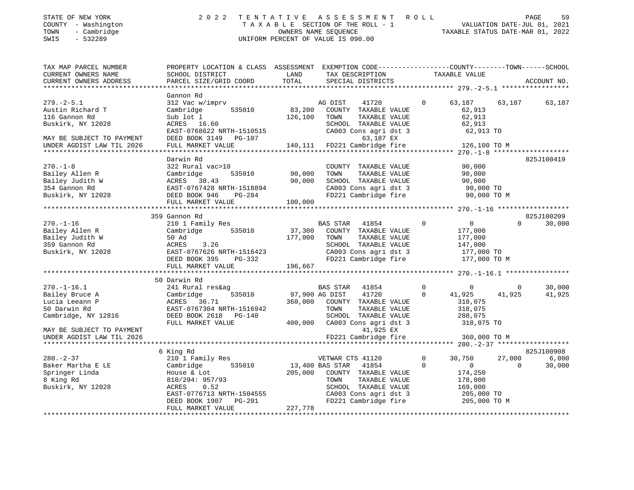| STATE OF NEW YORK   | 2022 TENTATIVE ASSESSMENT ROLL     |                                  | PAGE | 59 |
|---------------------|------------------------------------|----------------------------------|------|----|
| COUNTY - Washington | TAXABLE SECTION OF THE ROLL - 1    | VALUATION DATE-JUL 01, 2021      |      |    |
| - Cambridge<br>TOWN | OWNERS NAME SEOUENCE               | TAXABLE STATUS DATE-MAR 01, 2022 |      |    |
| - 532289<br>SWIS    | UNIFORM PERCENT OF VALUE IS 090.00 |                                  |      |    |

| TAX MAP PARCEL NUMBER<br>CURRENT OWNERS NAME<br>CURRENT OWNERS ADDRESS                                                    | PROPERTY LOCATION & CLASS ASSESSMENT<br>SCHOOL DISTRICT<br>PARCEL SIZE/GRID COORD                                                                                     | LAND<br>TOTAL                | EXEMPTION CODE-----------------COUNTY-------TOWN------SCHOOL<br>TAX DESCRIPTION<br>SPECIAL DISTRICTS                                                     | TAXABLE VALUE                                                                                                          |                       | ACCOUNT NO.      |
|---------------------------------------------------------------------------------------------------------------------------|-----------------------------------------------------------------------------------------------------------------------------------------------------------------------|------------------------------|----------------------------------------------------------------------------------------------------------------------------------------------------------|------------------------------------------------------------------------------------------------------------------------|-----------------------|------------------|
|                                                                                                                           |                                                                                                                                                                       |                              |                                                                                                                                                          |                                                                                                                        |                       |                  |
| $279. - 2 - 5.1$<br>Austin Richard T<br>116 Gannon Rd<br>Buskirk, NY 12028<br>MAY BE SUBJECT TO PAYMENT                   | Gannon Rd<br>312 Vac w/imprv<br>535010<br>Cambridge<br>Sub lot 1<br>ACRES 16.60<br>EAST-0768622 NRTH-1510515<br>DEED BOOK 3149 PG-107                                 | 126,100                      | AG DIST<br>41720<br>83,200 COUNTY TAXABLE VALUE<br>TOWN<br>TAXABLE VALUE<br>SCHOOL TAXABLE VALUE<br>CA003 Cons agri dst 3<br>63,187 EX                   | $\overline{0}$<br>63,187<br>62,913<br>62,913<br>62,913<br>62,913 TO                                                    | 63,187                | 63,187           |
| UNDER AGDIST LAW TIL 2026                                                                                                 | FULL MARKET VALUE                                                                                                                                                     |                              | 140,111 FD221 Cambridge fire                                                                                                                             | 126,100 TO M                                                                                                           |                       |                  |
| $270. - 1 - 8$<br>Bailey Allen R<br>Bailey Judith W<br>354 Gannon Rd<br>Buskirk, NY 12028                                 | Darwin Rd<br>322 Rural vac>10<br>Cambridge<br>535010<br>ACRES 38.43<br>EAST-0767428 NRTH-1518894<br>DEED BOOK 946<br>PG-284<br>FULL MARKET VALUE                      | 90,000<br>90,000<br>100,000  | COUNTY TAXABLE VALUE<br>TOWN<br>TAXABLE VALUE<br>SCHOOL TAXABLE VALUE<br>CA003 Cons agri dst 3<br>FD221 Cambridge fire                                   | 90,000<br>90,000<br>90,000<br>90,000 TO<br>90,000 TO M                                                                 |                       | 825J100419       |
|                                                                                                                           | 359 Gannon Rd                                                                                                                                                         |                              |                                                                                                                                                          |                                                                                                                        |                       | 825J100209       |
| $270. - 1 - 16$<br>Bailey Allen R<br>Bailey Judith W<br>359 Gannon Rd<br>Buskirk, NY 12028                                | 210 1 Family Res<br>Cambridge<br>535010<br>50 Ad<br>ACRES<br>3.26<br>EAST-0767626 NRTH-1516423<br>DEED BOOK 395<br>PG-332<br>FULL MARKET VALUE                        | 37,300<br>177,000<br>196,667 | <b>BAS STAR</b><br>41854<br>COUNTY TAXABLE VALUE<br>TOWN<br>TAXABLE VALUE<br>SCHOOL TAXABLE VALUE<br>CA003 Cons agri dst 3<br>FD221 Cambridge fire       | $\mathbf{0}$<br>$\overline{0}$<br>177,000<br>177,000<br>147,000<br>177,000 TO<br>177,000 TO M                          | $\Omega$              | 30,000           |
|                                                                                                                           | 50 Darwin Rd                                                                                                                                                          |                              |                                                                                                                                                          |                                                                                                                        |                       |                  |
| $270. - 1 - 16.1$<br>Bailey Bruce A<br>Lucia Leeann P<br>50 Darwin Rd<br>Cambridge, NY 12816<br>MAY BE SUBJECT TO PAYMENT | 241 Rural res&ag<br>535010<br>Cambridge<br>ACRES 36.71<br>EAST-0767304 NRTH-1516942<br>DEED BOOK 2618 PG-140<br>FULL MARKET VALUE                                     | 97,900 AG DIST<br>360,000    | <b>BAS STAR</b><br>41854<br>41720<br>COUNTY TAXABLE VALUE<br>TOWN<br>TAXABLE VALUE<br>SCHOOL TAXABLE VALUE<br>400,000 CA003 Cons agri dst 3<br>41,925 EX | $\mathbf 0$<br>$\mathbf 0$<br>$\mathbf 0$<br>41,925<br>318,075<br>318,075<br>288,075<br>318,075 TO                     | $\mathbf 0$<br>41,925 | 30,000<br>41,925 |
| UNDER AGDIST LAW TIL 2026                                                                                                 |                                                                                                                                                                       |                              | FD221 Cambridge fire                                                                                                                                     | 360,000 TO M                                                                                                           |                       |                  |
|                                                                                                                           | 6 King Rd                                                                                                                                                             |                              |                                                                                                                                                          |                                                                                                                        |                       | 825J100908       |
| $280. - 2 - 37$<br>Baker Martha E LE<br>Springer Linda<br>8 King Rd<br>Buskirk, NY 12028<br>***********************       | 210 1 Family Res<br>535010<br>Cambridge<br>House & Lot<br>810/294: 957/93<br>0.52<br>ACRES<br>EAST-0776713 NRTH-1504555<br>DEED BOOK 1907 PG-291<br>FULL MARKET VALUE | 205,000<br>227,778           | VETWAR CTS 41120<br>13,400 BAS STAR<br>41854<br>COUNTY TAXABLE VALUE<br>TAXABLE VALUE<br>TOWN<br>SCHOOL TAXABLE VALUE<br>FD221 Cambridge fire            | $\mathbf{0}$<br>30,750<br>$\mathbf 0$<br>$\overline{0}$<br>174,250<br>178,000<br>169,000<br>205,000 TO<br>205,000 TO M | 27,000<br>$\Omega$    | 6,000<br>30,000  |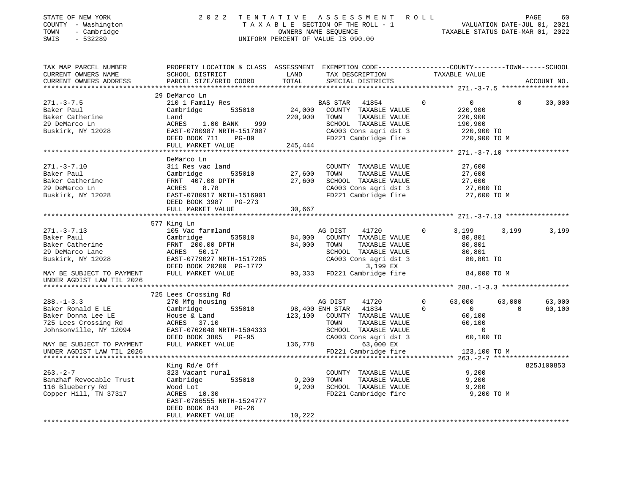| STATE OF NEW YORK<br>COUNTY - Washington<br>TOWN<br>- Cambridge<br>$-532289$<br>SWIS | 2022                                                                                            |         | TENTATIVE ASSESSMENT ROLL<br>UNIFORM PERCENT OF VALUE IS 090.00 |                                |          | 60<br>PAGE  |
|--------------------------------------------------------------------------------------|-------------------------------------------------------------------------------------------------|---------|-----------------------------------------------------------------|--------------------------------|----------|-------------|
| TAX MAP PARCEL NUMBER                                                                | PROPERTY LOCATION & CLASS ASSESSMENT EXEMPTION CODE---------------COUNTY-------TOWN------SCHOOL |         |                                                                 |                                |          |             |
| CURRENT OWNERS NAME                                                                  | SCHOOL DISTRICT                                                                                 | LAND    | TAX DESCRIPTION TAXABLE VALUE                                   |                                |          |             |
| CURRENT OWNERS ADDRESS                                                               | PARCEL SIZE/GRID COORD                                                                          | TOTAL   | SPECIAL DISTRICTS                                               |                                |          | ACCOUNT NO. |
|                                                                                      | 29 DeMarco Ln                                                                                   |         |                                                                 |                                |          |             |
| $271. - 3 - 7.5$                                                                     | 210 1 Family Res                                                                                |         | BAS STAR<br>41854                                               | $\mathbf 0$<br>$\overline{0}$  | $\Omega$ | 30,000      |
| Baker Paul                                                                           | 535010<br>Cambridge                                                                             |         | 24,000 COUNTY TAXABLE VALUE                                     | 220,900                        |          |             |
| Baker Catherine                                                                      | Land                                                                                            |         | 220,900 TOWN<br>TAXABLE VALUE                                   | 220,900                        |          |             |
| 29 DeMarco Ln                                                                        | ACRES 1.00 BANK 999                                                                             |         | SCHOOL TAXABLE VALUE                                            | 190,900                        |          |             |
| Buskirk, NY 12028                                                                    | EAST-0780987 NRTH-1517007                                                                       |         | CA003 Cons agri dst 3                                           | 220,900 TO                     |          |             |
|                                                                                      | DEED BOOK 711 PG-89                                                                             |         | FD221 Cambridge fire                                            | 220,900 TO M                   |          |             |
|                                                                                      | FULL MARKET VALUE                                                                               | 245,444 |                                                                 |                                |          |             |
|                                                                                      | DeMarco Ln                                                                                      |         |                                                                 |                                |          |             |
| $271. - 3 - 7.10$                                                                    | 311 Res vac land                                                                                |         | COUNTY TAXABLE VALUE                                            | 27,600                         |          |             |
| Baker Paul                                                                           | Cambridge<br>535010                                                                             | 27,600  | TAXABLE VALUE<br>TOWN                                           | 27,600                         |          |             |
| Baker Catherine                                                                      | FRNT 407.00 DPTH                                                                                | 27,600  | SCHOOL TAXABLE VALUE                                            | 27,600                         |          |             |
| 29 DeMarco Ln                                                                        | ACRES 8.78                                                                                      |         | CA003 Cons agri dst 3                                           | 27,600 TO                      |          |             |
| Buskirk, NY 12028                                                                    | EAST-0780917 NRTH-1516901                                                                       |         | FD221 Cambridge fire 27,600 TO M                                |                                |          |             |
|                                                                                      | DEED BOOK 3987 PG-273                                                                           |         |                                                                 |                                |          |             |
|                                                                                      | FULL MARKET VALUE                                                                               | 30,667  |                                                                 |                                |          |             |
|                                                                                      |                                                                                                 |         |                                                                 |                                |          |             |
|                                                                                      | 577 King Ln                                                                                     |         |                                                                 |                                |          |             |
| $271. - 3 - 7.13$<br>Baker Paul                                                      | 105 Vac farmland<br>Cambridge<br>535010                                                         | 84,000  | AG DIST<br>41720<br>COUNTY TAXABLE VALUE                        | $\mathbf 0$<br>3,199<br>80,801 | 3,199    | 3,199       |
| Baker Catherine                                                                      | FRNT 200.00 DPTH                                                                                | 84,000  | TOWN<br>TAXABLE VALUE                                           | 80,801                         |          |             |
| 29 DeMarco Lane                                                                      | ACRES 50.17                                                                                     |         | SCHOOL TAXABLE VALUE                                            | 80,801                         |          |             |
| Buskirk, NY 12028                                                                    | EAST-0779027 NRTH-1517285                                                                       |         | CA003 Cons agri dst 3                                           | 80,801 TO                      |          |             |
|                                                                                      | DEED BOOK 20200 PG-1772                                                                         |         | 3,199 EX                                                        |                                |          |             |
| MAY BE SUBJECT TO PAYMENT                                                            | FULL MARKET VALUE                                                                               |         | 93,333 FD221 Cambridge fire                                     | 84,000 TO M                    |          |             |
| UNDER AGDIST LAW TIL 2026                                                            |                                                                                                 |         |                                                                 |                                |          |             |
|                                                                                      |                                                                                                 |         |                                                                 |                                |          |             |
|                                                                                      | 725 Lees Crossing Rd                                                                            |         |                                                                 |                                |          |             |
| $288. - 1 - 3.3$                                                                     | 270 Mfg housing                                                                                 |         | AG DIST<br>41720                                                | $\Omega$<br>63,000             | 63,000   | 63,000      |
| Baker Ronald E LE                                                                    | Cambridge<br>535010                                                                             |         | 98,400 ENH STAR 41834                                           | $\Omega$<br>$\overline{0}$     | $\Omega$ | 60,100      |
| Baker Donna Lee LE                                                                   | House & Land                                                                                    |         | 123,100 COUNTY TAXABLE VALUE                                    | 60,100                         |          |             |
| 725 Lees Crossing Rd                                                                 | ACRES 37.10                                                                                     |         | TOWN<br>TAXABLE VALUE                                           | 60,100<br>$\overline{0}$       |          |             |
| Johnsonville, NY 12094                                                               | EAST-0762048 NRTH-1504333<br>DEED BOOK 3805 PG-95                                               |         | SCHOOL TAXABLE VALUE<br>CA003 Cons agri dst 3                   | 60,100 TO                      |          |             |
| MAY BE SUBJECT TO PAYMENT                                                            | FULL MARKET VALUE                                                                               | 136,778 | 63,000 EX                                                       |                                |          |             |
| UNDER AGDIST LAW TIL 2026                                                            |                                                                                                 |         | FD221 Cambridge fire                                            | 123,100 TO M                   |          |             |
|                                                                                      |                                                                                                 |         |                                                                 |                                |          |             |
|                                                                                      | King Rd/e Off                                                                                   |         |                                                                 |                                |          | 825J100853  |
| $263. - 2 - 7$                                                                       | 323 Vacant rural                                                                                |         | COUNTY TAXABLE VALUE                                            | 9,200                          |          |             |
| Banzhaf Revocable Trust                                                              | Cambridge<br>535010                                                                             | 9,200   | TOWN<br>TAXABLE VALUE                                           | 9,200                          |          |             |
| 116 Blueberry Rd                                                                     | Wood Lot                                                                                        | 9,200   | SCHOOL TAXABLE VALUE                                            | 9,200                          |          |             |
| Copper Hill, TN 37317                                                                | ACRES 10.30                                                                                     |         | FD221 Cambridge fire                                            | 9,200 TO M                     |          |             |

FULL MARKET VALUE 10,222 \*\*\*\*\*\*\*\*\*\*\*\*\*\*\*\*\*\*\*\*\*\*\*\*\*\*\*\*\*\*\*\*\*\*\*\*\*\*\*\*\*\*\*\*\*\*\*\*\*\*\*\*\*\*\*\*\*\*\*\*\*\*\*\*\*\*\*\*\*\*\*\*\*\*\*\*\*\*\*\*\*\*\*\*\*\*\*\*\*\*\*\*\*\*\*\*\*\*\*\*\*\*\*\*\*\*\*\*\*\*\*\*\*\*\*\*\*\*\*\*\*\*\*\*\*\*\*\*\*\*\*\*

EAST-0786555 NRTH-1524777

DEED BOOK 843 PG-26

60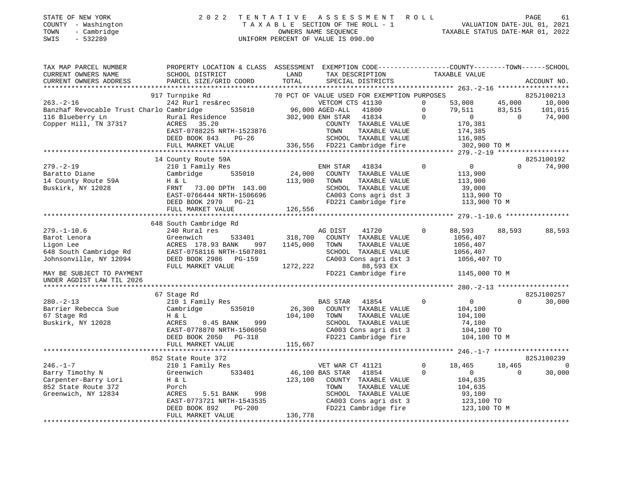| STATE OF NEW YORK |                     | 2022 TENTATIVE ASSESSMENT ROLL     |                      |  |                                  | PAGE | 61 |
|-------------------|---------------------|------------------------------------|----------------------|--|----------------------------------|------|----|
|                   | COUNTY - Washington | TAXABLE SECTION OF THE ROLL - 1    |                      |  | VALUATION DATE-JUL 01, 2021      |      |    |
| TOWN              | - Cambridge         |                                    | OWNERS NAME SEOUENCE |  | TAXABLE STATUS DATE-MAR 01, 2022 |      |    |
| SWIS              | - 532289            | UNIFORM PERCENT OF VALUE IS 090.00 |                      |  |                                  |      |    |

| TAX MAP PARCEL NUMBER                                                                                                                                                                                                                  | PROPERTY LOCATION & CLASS ASSESSMENT EXEMPTION CODE---------------COUNTY-------TOWN-----SCHOOL                            |                                                 |                                                                                                      |                |                                                                                                                                                                                                                            |                |             |
|----------------------------------------------------------------------------------------------------------------------------------------------------------------------------------------------------------------------------------------|---------------------------------------------------------------------------------------------------------------------------|-------------------------------------------------|------------------------------------------------------------------------------------------------------|----------------|----------------------------------------------------------------------------------------------------------------------------------------------------------------------------------------------------------------------------|----------------|-------------|
| CURRENT OWNERS NAME                                                                                                                                                                                                                    | SCHOOL DISTRICT                                                                                                           | LAND                                            | TAX DESCRIPTION                                                                                      |                | TAXABLE VALUE                                                                                                                                                                                                              |                |             |
| CURRENT OWNERS ADDRESS                                                                                                                                                                                                                 | PARCEL SIZE/GRID COORD                                                                                                    | TOTAL                                           | SPECIAL DISTRICTS                                                                                    |                |                                                                                                                                                                                                                            |                | ACCOUNT NO. |
|                                                                                                                                                                                                                                        |                                                                                                                           |                                                 |                                                                                                      |                |                                                                                                                                                                                                                            |                |             |
|                                                                                                                                                                                                                                        | 917 Turnpike Rd                                                                                                           |                                                 | 70 PCT OF VALUE USED FOR EXEMPTION PURPOSES                                                          |                |                                                                                                                                                                                                                            |                | 825J100213  |
| $263. - 2 - 16$                                                                                                                                                                                                                        | 242 Rurl res&rec<br>Cambridge 535010 96,000 AGED-ALL 41800 0<br>Rural Residence 302,900 ENH STAR 41834 905<br>RURAL 25.00 |                                                 |                                                                                                      |                | $\begin{array}{cccc} 53\, , 008 & \quad & 45\, , 000 & \quad & 10\, , 000 \\ 79\, , 511 & \quad & 83\, , 515 & \quad & 101\, , 015 \end{array}$<br>$\begin{bmatrix} 53,032 \\ 79,511 \\ 0 \\ 170,381 \\ 385 \end{bmatrix}$ |                |             |
| Banzhaf Revocable Trust Charlo Cambridge                                                                                                                                                                                               |                                                                                                                           |                                                 |                                                                                                      |                | 79,511 83,515                                                                                                                                                                                                              |                | 74,900      |
| Copper Hill, TN 37317                                                                                                                                                                                                                  | ACRES 35.20                                                                                                               |                                                 |                                                                                                      |                |                                                                                                                                                                                                                            | $\overline{0}$ |             |
|                                                                                                                                                                                                                                        |                                                                                                                           |                                                 |                                                                                                      |                |                                                                                                                                                                                                                            |                |             |
|                                                                                                                                                                                                                                        |                                                                                                                           |                                                 |                                                                                                      |                |                                                                                                                                                                                                                            |                |             |
|                                                                                                                                                                                                                                        |                                                                                                                           |                                                 |                                                                                                      |                |                                                                                                                                                                                                                            |                |             |
| COUNTY TAXABLE VALUE 170,381<br>EAST-0788225 NRTH-1523876 TOWN TAXABLE VALUE 174,385<br>DEED BOOK 843 PG-26 SCHOOL TAXABLE VALUE 116,985<br>FULL MARKET VALUE 336,556 FD221 Cambridge fire 302,900 TO M<br>*************************** |                                                                                                                           |                                                 |                                                                                                      |                |                                                                                                                                                                                                                            |                |             |
|                                                                                                                                                                                                                                        |                                                                                                                           |                                                 |                                                                                                      |                |                                                                                                                                                                                                                            |                |             |
|                                                                                                                                                                                                                                        | 14 County Route 59A                                                                                                       |                                                 |                                                                                                      |                | $\overline{0}$                                                                                                                                                                                                             |                | 825J100192  |
| $279. - 2 - 19$                                                                                                                                                                                                                        | 210 1 Family Res                                                                                                          | $\begin{array}{c} 24,000 \\ 112,00 \end{array}$ | ENH STAR 41834                                                                                       | $\overline{0}$ |                                                                                                                                                                                                                            | $\Omega$       | 74,900      |
| Baratto Diane                                                                                                                                                                                                                          | 535010<br>Cambridge                                                                                                       |                                                 | COUNTY TAXABLE VALUE                                                                                 |                | 113,900                                                                                                                                                                                                                    |                |             |
| 14 County Route 59A                                                                                                                                                                                                                    | H & L                                                                                                                     | 113,900                                         | TOWN<br>TAXABLE VALUE                                                                                |                | 113,900                                                                                                                                                                                                                    |                |             |
| Buskirk, NY 12028                                                                                                                                                                                                                      | FRNT 73.00 DPTH 143.00                                                                                                    |                                                 | SCHOOL TAXABLE VALUE                                                                                 |                | 39,000                                                                                                                                                                                                                     |                |             |
|                                                                                                                                                                                                                                        | FRNT 73.00 DPTH 143.00<br>EAST-0766444 NRTH-1506696<br>DEED BOOK 2970 PG-21                                               |                                                 |                                                                                                      |                |                                                                                                                                                                                                                            |                |             |
|                                                                                                                                                                                                                                        |                                                                                                                           |                                                 | SCHOOL TAXABLE VALUE 39,000<br>CA003 Cons agri dst 3 113,900 TO<br>FD221 Cambridge fire 113,900 TO M |                |                                                                                                                                                                                                                            |                |             |
|                                                                                                                                                                                                                                        | FULL MARKET VALUE                                                                                                         | 126,556                                         |                                                                                                      |                |                                                                                                                                                                                                                            |                |             |
|                                                                                                                                                                                                                                        |                                                                                                                           |                                                 |                                                                                                      |                |                                                                                                                                                                                                                            |                |             |
|                                                                                                                                                                                                                                        | 648 South Cambridge Rd                                                                                                    |                                                 |                                                                                                      |                |                                                                                                                                                                                                                            |                |             |
| $279. - 1 - 10.6$                                                                                                                                                                                                                      | 240 Rural res                                                                                                             |                                                 | AG DIST 41720                                                                                        | $\Omega$       | 88,593 88,593                                                                                                                                                                                                              |                | 88,593      |
| Barot Lenora                                                                                                                                                                                                                           | Greenwich                                                                                                                 | 533401 318,700                                  | COUNTY TAXABLE VALUE                                                                                 |                | 1056,407                                                                                                                                                                                                                   |                |             |
| Ligon Lee                                                                                                                                                                                                                              | ACRES 178.93 BANK 997                                                                                                     | 1145,000                                        | TOWN<br>TAXABLE VALUE                                                                                |                | 1056,407                                                                                                                                                                                                                   |                |             |
| 648 South Cambridge Rd                                                                                                                                                                                                                 | EAST-0758116 NRTH-1507801                                                                                                 |                                                 | SCHOOL TAXABLE VALUE                                                                                 |                | 1056,407                                                                                                                                                                                                                   |                |             |
| Johnsonville, NY 12094                                                                                                                                                                                                                 | DEED BOOK 2986 PG-159                                                                                                     |                                                 | CA003 Cons agri dst 3                                                                                |                | 1056,407 TO                                                                                                                                                                                                                |                |             |
|                                                                                                                                                                                                                                        | FULL MARKET VALUE                                                                                                         | 1272, 222                                       | 88,593 EX                                                                                            |                |                                                                                                                                                                                                                            |                |             |
| MAY BE SUBJECT TO PAYMENT                                                                                                                                                                                                              |                                                                                                                           |                                                 | FD221 Cambridge fire                                                                                 |                | 1145,000 TO M                                                                                                                                                                                                              |                |             |
| UNDER AGDIST LAW TIL 2026                                                                                                                                                                                                              |                                                                                                                           |                                                 |                                                                                                      |                |                                                                                                                                                                                                                            |                |             |
|                                                                                                                                                                                                                                        |                                                                                                                           |                                                 |                                                                                                      |                |                                                                                                                                                                                                                            |                |             |
|                                                                                                                                                                                                                                        | 67 Stage Rd                                                                                                               |                                                 |                                                                                                      |                |                                                                                                                                                                                                                            |                | 825J100257  |
| $280. - 2 - 13$                                                                                                                                                                                                                        | 210 1 Family Res                                                                                                          |                                                 | BAS STAR 41854                                                                                       | $\Omega$       | $\overline{0}$                                                                                                                                                                                                             | $\Omega$       | 30,000      |
| Barrier Rebecca Sue                                                                                                                                                                                                                    | Cambridge 535010                                                                                                          |                                                 | 26,300 COUNTY TAXABLE VALUE                                                                          |                | 104,100                                                                                                                                                                                                                    |                |             |
| 67 Stage Rd                                                                                                                                                                                                                            | H & L                                                                                                                     | 104,100                                         | TOWN<br>TAXABLE VALUE                                                                                |                | 104,100                                                                                                                                                                                                                    |                |             |
| Buskirk, NY 12028                                                                                                                                                                                                                      |                                                                                                                           |                                                 | SCHOOL TAXABLE VALUE<br>SCHOOL TAXABLE VALUE<br>CA003 Cons agri dst 3                                |                | 74,100                                                                                                                                                                                                                     |                |             |
|                                                                                                                                                                                                                                        |                                                                                                                           |                                                 |                                                                                                      |                | 104,100 TO                                                                                                                                                                                                                 |                |             |
|                                                                                                                                                                                                                                        | H & L<br>ACRES 0.45 BANK 999<br>EAST-0778870 NRTH-1506050<br>---- poor 2050 PG-318                                        |                                                 | FD221 Cambridge fire                                                                                 |                | 104,100 TO M                                                                                                                                                                                                               |                |             |
|                                                                                                                                                                                                                                        | FULL MARKET VALUE                                                                                                         | 115,667                                         |                                                                                                      |                |                                                                                                                                                                                                                            |                |             |
|                                                                                                                                                                                                                                        |                                                                                                                           |                                                 |                                                                                                      |                |                                                                                                                                                                                                                            |                |             |
|                                                                                                                                                                                                                                        | 852 State Route 372                                                                                                       |                                                 |                                                                                                      |                |                                                                                                                                                                                                                            |                | 825J100239  |
| $246. - 1 - 7$                                                                                                                                                                                                                         | 210 1 Family Res                                                                                                          |                                                 | VET WAR CT 41121                                                                                     | $\overline{0}$ | 18,465                                                                                                                                                                                                                     | 18,465         | $\Omega$    |
| Barry Timothy N                                                                                                                                                                                                                        | Greenwich                                                                                                                 | 533401 46,100 BAS STAR                          | 41854                                                                                                | $\Omega$       | $0 \qquad \qquad$                                                                                                                                                                                                          | $\Omega$       | 30,000      |
| Carpenter-Barry Lori                                                                                                                                                                                                                   | H & L                                                                                                                     |                                                 | 123,100 COUNTY TAXABLE VALUE                                                                         |                | 104,635                                                                                                                                                                                                                    |                |             |
| 852 State Route 372                                                                                                                                                                                                                    | Porch                                                                                                                     |                                                 | TAXABLE VALUE<br>TOWN                                                                                |                | 104,635                                                                                                                                                                                                                    |                |             |
| Greenwich, NY 12834                                                                                                                                                                                                                    | 5.51 BANK 998<br>ACRES                                                                                                    |                                                 | SCHOOL TAXABLE VALUE 93,100<br>CA003 Cons agri dst 3 123,100 TO                                      |                |                                                                                                                                                                                                                            |                |             |
|                                                                                                                                                                                                                                        | EAST-0773721 NRTH-1543535                                                                                                 |                                                 |                                                                                                      |                |                                                                                                                                                                                                                            |                |             |
|                                                                                                                                                                                                                                        | DEED BOOK 892<br><b>PG-200</b>                                                                                            |                                                 | FD221 Cambridge fire                                                                                 |                | 123,100 TO M                                                                                                                                                                                                               |                |             |
|                                                                                                                                                                                                                                        | FULL MARKET VALUE                                                                                                         | 136,778                                         |                                                                                                      |                |                                                                                                                                                                                                                            |                |             |
|                                                                                                                                                                                                                                        |                                                                                                                           |                                                 |                                                                                                      |                |                                                                                                                                                                                                                            |                |             |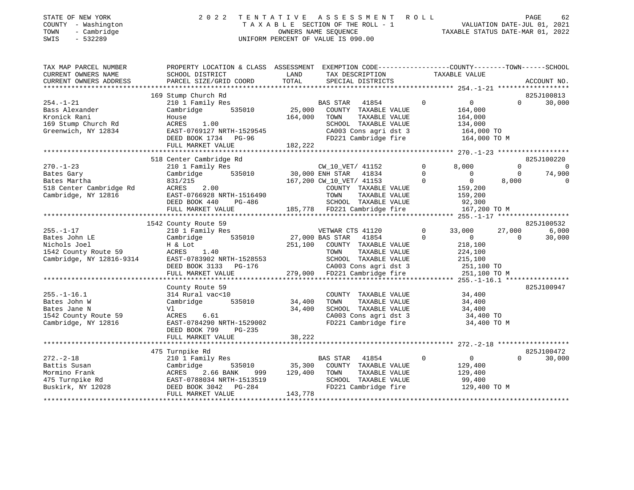|      | STATE OF NEW YORK   | 2022 TENTATIVE ASSESSMENT ROLL     |                                  | PAGE | 62 |
|------|---------------------|------------------------------------|----------------------------------|------|----|
|      | COUNTY - Washington | TAXABLE SECTION OF THE ROLL - 1    | VALUATION DATE-JUL 01, 2021      |      |    |
| TOWN | - Cambridge         | OWNERS NAME SEOUENCE               | TAXABLE STATUS DATE-MAR 01, 2022 |      |    |
| SWIS | - 532289            | UNIFORM PERCENT OF VALUE IS 090.00 |                                  |      |    |

# UNIFORM PERCENT OF VALUE IS 090.00

TAX MAP PARCEL NUMBER PROPERTY LOCATION & CLASS ASSESSMENT EXEMPTION CODE------------------COUNTY--------TOWN------SCHOOL

62

| CURRENT OWNERS NAME     | SCHOOL DISTRICT                                    | LAND                         | TAX DESCRIPTION                                                                                                     |                      | TAXABLE VALUE            |          |               |
|-------------------------|----------------------------------------------------|------------------------------|---------------------------------------------------------------------------------------------------------------------|----------------------|--------------------------|----------|---------------|
| CURRENT OWNERS ADDRESS  | PARCEL SIZE/GRID COORD                             | TOTAL                        | SPECIAL DISTRICTS                                                                                                   |                      |                          |          | ACCOUNT NO.   |
|                         |                                                    |                              |                                                                                                                     |                      |                          |          |               |
|                         | 169 Stump Church Rd                                |                              |                                                                                                                     |                      |                          |          | 825J100813    |
| $254. - 1 - 21$         | 210 1 Family Res                                   |                              | <b>BAS STAR</b><br>41854                                                                                            | $\mathbf{0}$         | $\overline{0}$           | $\Omega$ | 30,000        |
| Bass Alexander          | 535010<br>Cambridge                                |                              | 25,000 COUNTY TAXABLE VALUE                                                                                         |                      | 164,000                  |          |               |
| Kronick Rani            | House                                              | 164,000                      | TOWN<br>TAXABLE VALUE                                                                                               |                      | 164,000                  |          |               |
| 169 Stump Church Rd     | ACRES<br>1.00                                      |                              | SCHOOL TAXABLE VALUE                                                                                                |                      | 134,000                  |          |               |
| Greenwich, NY 12834     |                                                    |                              |                                                                                                                     |                      |                          |          |               |
|                         |                                                    |                              | SCHOOL TAXABLE VALUE 134,000<br>CA003 Cons agri dst 3 164,000 TO<br>FD221 Cambridge fire 164,000 TO M               |                      |                          |          |               |
|                         |                                                    |                              |                                                                                                                     |                      |                          |          |               |
|                         |                                                    |                              |                                                                                                                     |                      |                          |          |               |
|                         | 518 Center Cambridge Rd                            |                              |                                                                                                                     |                      |                          |          | 825J100220    |
| $270. - 1 - 23$         | 210 1 Family Res                                   |                              | CW_10_VET/ 41152                                                                                                    | $\overline{0}$       | 8,000                    | $\Omega$ | $\mathcal{C}$ |
| Bates Gary              | 535010 30,000 ENH STAR<br>Cambridge                |                              | 41834                                                                                                               | $\Omega$             | $\overline{\phantom{0}}$ | $\Omega$ | 74,900        |
| Bates Martha            | 831/215                                            |                              | 167,200 CW_10_VET/ 41153                                                                                            | $\Omega$             | $\overline{0}$           | 8,000    |               |
| 518 Center Cambridge Rd | ACRES<br>2.00                                      |                              | COUNTY TAXABLE VALUE                                                                                                |                      | 159,200                  |          |               |
| Cambridge, NY 12816     | EAST-0766928 NRTH-1516490                          |                              | TOWN<br>TAXABLE VALUE                                                                                               |                      | 159,200                  |          |               |
|                         | DEED BOOK 440 PG-486                               |                              | SCHOOL TAXABLE VALUE                                                                                                |                      | 92,300                   |          |               |
|                         | FULL MARKET VALUE                                  |                              | 185,778 FD221 Cambridge fire                                                                                        |                      | 167,200 TO M             |          |               |
|                         |                                                    |                              |                                                                                                                     |                      |                          |          |               |
|                         | 1542 County Route 59                               |                              |                                                                                                                     |                      |                          |          | 825J100532    |
| $255. - 1 - 17$         | 210 1 Family Res                                   |                              | VETWAR CTS 41120                                                                                                    | $\circ$              | 33,000                   | 27,000   | 6,000         |
| Bates John LE           | Cambridge 535010                                   | VETWAR CT<br>27,000 BAS STAR | 41854                                                                                                               | $\Omega$             | $\overline{0}$           | $\Omega$ | 30,000        |
| Nichols Joel            | H & Lot                                            | 251,100                      | COUNTY TAXABLE VALUE                                                                                                |                      | 218,100                  |          |               |
| 1542 County Route 59    | ACRES 1.40                                         |                              | TAXABLE VALUE<br>TOWN                                                                                               |                      | 224,100                  |          |               |
|                         | Cambridge, NY 12816-9314 EAST-0783902 NRTH-1528553 |                              | SCHOOL TAXABLE VALUE                                                                                                |                      | 215,100                  |          |               |
|                         | DEED BOOK 3133 PG-176                              |                              |                                                                                                                     |                      | 251,100 TO               |          |               |
|                         | FULL MARKET VALUE                                  |                              | CA003 Cons agri dst 3<br>279,000 FD221 Cambridge fire                                                               |                      | 251,100 TO M             |          |               |
|                         |                                                    |                              |                                                                                                                     |                      |                          |          |               |
|                         | County Route 59                                    |                              |                                                                                                                     |                      |                          |          | 825J100947    |
| $255. - 1 - 16.1$       | 314 Rural vac<10                                   |                              | COUNTY TAXABLE VALUE                                                                                                |                      | 34,400                   |          |               |
| Bates John W            | Cambridge 535010                                   | 34,400                       | TOWN<br>TAXABLE VALUE                                                                                               |                      | 34,400                   |          |               |
| Bates Jane N            |                                                    | 34,400                       | SCHOOL TAXABLE VALUE                                                                                                |                      | 34,400                   |          |               |
| 1542 County Route 59    | Vl<br>ACRES 6.61                                   |                              |                                                                                                                     |                      |                          |          |               |
|                         | EAST-0784290 NRTH-1529002                          |                              | CA003 Cons agri dst 3<br>FD221 Cambridge fire                                                                       |                      | 34,400 TO                |          |               |
| Cambridge, NY 12816     |                                                    |                              |                                                                                                                     |                      | 34,400 TO M              |          |               |
|                         | DEED BOOK 799<br>$PG-235$                          | 38,222                       |                                                                                                                     |                      |                          |          |               |
|                         | FULL MARKET VALUE                                  |                              |                                                                                                                     |                      |                          |          |               |
|                         |                                                    |                              |                                                                                                                     |                      |                          |          |               |
|                         | 475 Turnpike Rd<br>210 1 Family Res                |                              |                                                                                                                     |                      | $\overline{0}$           |          | 825J100472    |
| $272. - 2 - 18$         |                                                    |                              | 41854<br><b>BAS STAR</b>                                                                                            | $\circ$              |                          | $\Omega$ | 30,000        |
| Battis Susan            | Cambridge                                          |                              | 535010               35,300    COUNTY   TAXABLE  VALUE<br>NK         999        129,400    TOWN      TAXABLE  VALUE |                      | 129,400                  |          |               |
| Mormino Frank           | ACRES<br>2.66 BANK                                 |                              |                                                                                                                     |                      | 129,400                  |          |               |
| 475 Turnpike Rd         | EAST-0788034 NRTH-1513519                          |                              | SCHOOL TAXABLE VALUE                                                                                                |                      | 99,400                   |          |               |
| Buskirk, NY 12028       | DEED BOOK 3042    PG-284                           |                              | FD221 Cambridge fire                                                                                                |                      | 129,400 TO M             |          |               |
|                         | FULL MARKET VALUE                                  | 143,778                      |                                                                                                                     |                      |                          |          |               |
|                         |                                                    |                              | *************************************                                                                               | ******************** |                          |          |               |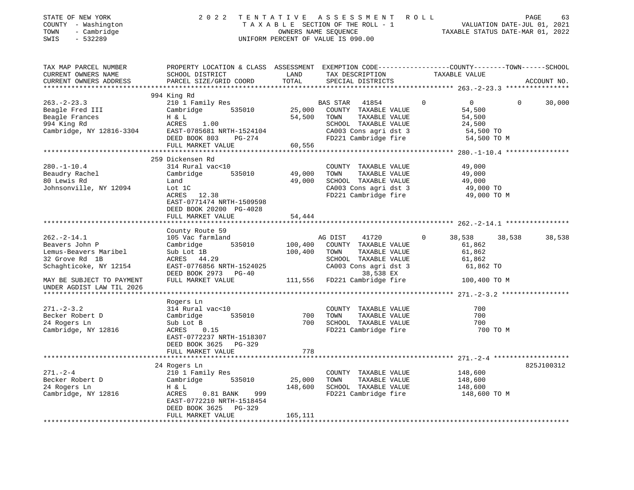| TAX MAP PARCEL NUMBER<br>PROPERTY LOCATION & CLASS ASSESSMENT EXEMPTION CODE---------------COUNTY-------TOWN------SCHOOL<br>CURRENT OWNERS NAME<br>LAND<br>TAX DESCRIPTION<br>SCHOOL DISTRICT<br>TAXABLE VALUE<br>CURRENT OWNERS ADDRESS<br>PARCEL SIZE/GRID COORD<br>TOTAL<br>SPECIAL DISTRICTS<br>ACCOUNT NO.<br>994 King Rd<br>$263 - 2 - 23.3$<br>210 1 Family Res<br>$\mathbf{0}$<br>30,000<br><b>BAS STAR</b><br>41854<br>0<br>$\mathbf{0}$<br>Beagle Fred III<br>535010<br>25,000<br>COUNTY TAXABLE VALUE<br>54,500<br>Cambridge<br>54,500<br>Beagle Frances<br>TAXABLE VALUE<br>54,500<br>H & L<br>TOWN<br>994 King Rd<br>SCHOOL TAXABLE VALUE<br>ACRES<br>1.00<br>24,500<br>Cambridge, NY 12816-3304<br>CA003 Cons agri dst 3<br>EAST-0785681 NRTH-1524104<br>54,500 TO<br>DEED BOOK 803<br>FD221 Cambridge fire<br>54,500 TO M<br>PG-274<br>FULL MARKET VALUE<br>60,556<br>************** 280.-1-10.4 ***************<br>259 Dickensen Rd<br>$280. - 1 - 10.4$<br>314 Rural vac<10<br>COUNTY TAXABLE VALUE<br>49,000<br>Beaudry Rachel<br>Cambridge<br>535010<br>49,000<br>TOWN<br>TAXABLE VALUE<br>49,000<br>80 Lewis Rd<br>49,000<br>SCHOOL TAXABLE VALUE<br>Land<br>49,000<br>Johnsonville, NY 12094<br>CA003 Cons agri dst 3<br>49,000 TO<br>Lot 1C<br>ACRES 12.38<br>FD221 Cambridge fire<br>49,000 TO M<br>EAST-0771474 NRTH-1509598<br>DEED BOOK 20200 PG-4028<br>FULL MARKET VALUE<br>54,444<br>********************************** 262.-2-14.1 ****<br>County Route 59<br>$262 - 2 - 14.1$<br>105 Vac farmland<br>41720<br>38,538<br>AG DIST<br>38,538<br>38,538<br>535010<br>100,400<br>Beavers John P<br>Cambridge<br>COUNTY TAXABLE VALUE<br>61,862<br>Lemus-Beavers Maribel<br>Sub Lot 1B<br>100,400<br>TOWN<br>TAXABLE VALUE<br>61,862<br>32 Grove Rd 1B<br>ACRES 44.29<br>SCHOOL TAXABLE VALUE<br>61,862<br>Schaghticoke, NY 12154<br>EAST-0776856 NRTH-1524025<br>CA003 Cons agri dst 3<br>61,862 TO<br>DEED BOOK 2973 PG-40<br>38,538 EX<br>FULL MARKET VALUE<br>111,556<br>FD221 Cambridge fire<br>MAY BE SUBJECT TO PAYMENT<br>100,400 TO M<br>UNDER AGDIST LAW TIL 2026<br>Rogers Ln<br>$271. - 2 - 3.2$<br>700<br>314 Rural vac<10<br>COUNTY TAXABLE VALUE<br>700<br>700<br>Becker Robert D<br>535010<br>TOWN<br>TAXABLE VALUE<br>Cambridge<br>700<br>SCHOOL TAXABLE VALUE<br>700<br>24 Rogers Ln<br>Sub Lot B<br>FD221 Cambridge fire<br>Cambridge, NY 12816<br>ACRES<br>0.15<br>700 TO M<br>EAST-0772237 NRTH-1518307<br>DEED BOOK 3625<br>PG-329<br>FULL MARKET VALUE<br>778<br>************** 271. -2-4 ********************<br>24 Rogers Ln<br>825J100312<br>$271. - 2 - 4$<br>210 1 Family Res<br>COUNTY TAXABLE VALUE<br>148,600<br>Becker Robert D<br>Cambridge<br>535010<br>25,000<br>TOWN<br>TAXABLE VALUE<br>148,600<br>SCHOOL TAXABLE VALUE<br>24 Rogers Ln<br>H & L<br>148,600<br>148,600<br>FD221 Cambridge fire<br>Cambridge, NY 12816<br>ACRES<br>$0.81$ BANK<br>148,600 TO M<br>999<br>EAST-0772210 NRTH-1518454<br>DEED BOOK 3625<br>$PG-329$<br>FULL MARKET VALUE<br>165,111 | STATE OF NEW YORK<br>COUNTY - Washington<br>- Cambridge<br>TOWN<br>SWIS<br>$-532289$ | 2 0 2 2 | TENTATIVE | A S S E S S M E N T<br>TAXABLE SECTION OF THE ROLL - 1<br>OWNERS NAME SEQUENCE<br>UNIFORM PERCENT OF VALUE IS 090.00 | R O L L | PAGE<br>63<br>VALUATION DATE-JUL 01, 2021<br>TAXABLE STATUS DATE-MAR 01, 2022 |
|-------------------------------------------------------------------------------------------------------------------------------------------------------------------------------------------------------------------------------------------------------------------------------------------------------------------------------------------------------------------------------------------------------------------------------------------------------------------------------------------------------------------------------------------------------------------------------------------------------------------------------------------------------------------------------------------------------------------------------------------------------------------------------------------------------------------------------------------------------------------------------------------------------------------------------------------------------------------------------------------------------------------------------------------------------------------------------------------------------------------------------------------------------------------------------------------------------------------------------------------------------------------------------------------------------------------------------------------------------------------------------------------------------------------------------------------------------------------------------------------------------------------------------------------------------------------------------------------------------------------------------------------------------------------------------------------------------------------------------------------------------------------------------------------------------------------------------------------------------------------------------------------------------------------------------------------------------------------------------------------------------------------------------------------------------------------------------------------------------------------------------------------------------------------------------------------------------------------------------------------------------------------------------------------------------------------------------------------------------------------------------------------------------------------------------------------------------------------------------------------------------------------------------------------------------------------------------------------------------------------------------------------------------------------------------------------------------------------------------------------------------------------------------------------------------------------------------------------------------------------------------------------------------------------------------------------------------------------------------------------------------------------------------|--------------------------------------------------------------------------------------|---------|-----------|----------------------------------------------------------------------------------------------------------------------|---------|-------------------------------------------------------------------------------|
|                                                                                                                                                                                                                                                                                                                                                                                                                                                                                                                                                                                                                                                                                                                                                                                                                                                                                                                                                                                                                                                                                                                                                                                                                                                                                                                                                                                                                                                                                                                                                                                                                                                                                                                                                                                                                                                                                                                                                                                                                                                                                                                                                                                                                                                                                                                                                                                                                                                                                                                                                                                                                                                                                                                                                                                                                                                                                                                                                                                                                               |                                                                                      |         |           |                                                                                                                      |         |                                                                               |
|                                                                                                                                                                                                                                                                                                                                                                                                                                                                                                                                                                                                                                                                                                                                                                                                                                                                                                                                                                                                                                                                                                                                                                                                                                                                                                                                                                                                                                                                                                                                                                                                                                                                                                                                                                                                                                                                                                                                                                                                                                                                                                                                                                                                                                                                                                                                                                                                                                                                                                                                                                                                                                                                                                                                                                                                                                                                                                                                                                                                                               |                                                                                      |         |           |                                                                                                                      |         |                                                                               |
|                                                                                                                                                                                                                                                                                                                                                                                                                                                                                                                                                                                                                                                                                                                                                                                                                                                                                                                                                                                                                                                                                                                                                                                                                                                                                                                                                                                                                                                                                                                                                                                                                                                                                                                                                                                                                                                                                                                                                                                                                                                                                                                                                                                                                                                                                                                                                                                                                                                                                                                                                                                                                                                                                                                                                                                                                                                                                                                                                                                                                               |                                                                                      |         |           |                                                                                                                      |         |                                                                               |
|                                                                                                                                                                                                                                                                                                                                                                                                                                                                                                                                                                                                                                                                                                                                                                                                                                                                                                                                                                                                                                                                                                                                                                                                                                                                                                                                                                                                                                                                                                                                                                                                                                                                                                                                                                                                                                                                                                                                                                                                                                                                                                                                                                                                                                                                                                                                                                                                                                                                                                                                                                                                                                                                                                                                                                                                                                                                                                                                                                                                                               |                                                                                      |         |           |                                                                                                                      |         |                                                                               |
|                                                                                                                                                                                                                                                                                                                                                                                                                                                                                                                                                                                                                                                                                                                                                                                                                                                                                                                                                                                                                                                                                                                                                                                                                                                                                                                                                                                                                                                                                                                                                                                                                                                                                                                                                                                                                                                                                                                                                                                                                                                                                                                                                                                                                                                                                                                                                                                                                                                                                                                                                                                                                                                                                                                                                                                                                                                                                                                                                                                                                               |                                                                                      |         |           |                                                                                                                      |         |                                                                               |
|                                                                                                                                                                                                                                                                                                                                                                                                                                                                                                                                                                                                                                                                                                                                                                                                                                                                                                                                                                                                                                                                                                                                                                                                                                                                                                                                                                                                                                                                                                                                                                                                                                                                                                                                                                                                                                                                                                                                                                                                                                                                                                                                                                                                                                                                                                                                                                                                                                                                                                                                                                                                                                                                                                                                                                                                                                                                                                                                                                                                                               |                                                                                      |         |           |                                                                                                                      |         |                                                                               |
|                                                                                                                                                                                                                                                                                                                                                                                                                                                                                                                                                                                                                                                                                                                                                                                                                                                                                                                                                                                                                                                                                                                                                                                                                                                                                                                                                                                                                                                                                                                                                                                                                                                                                                                                                                                                                                                                                                                                                                                                                                                                                                                                                                                                                                                                                                                                                                                                                                                                                                                                                                                                                                                                                                                                                                                                                                                                                                                                                                                                                               |                                                                                      |         |           |                                                                                                                      |         |                                                                               |
|                                                                                                                                                                                                                                                                                                                                                                                                                                                                                                                                                                                                                                                                                                                                                                                                                                                                                                                                                                                                                                                                                                                                                                                                                                                                                                                                                                                                                                                                                                                                                                                                                                                                                                                                                                                                                                                                                                                                                                                                                                                                                                                                                                                                                                                                                                                                                                                                                                                                                                                                                                                                                                                                                                                                                                                                                                                                                                                                                                                                                               |                                                                                      |         |           |                                                                                                                      |         |                                                                               |
|                                                                                                                                                                                                                                                                                                                                                                                                                                                                                                                                                                                                                                                                                                                                                                                                                                                                                                                                                                                                                                                                                                                                                                                                                                                                                                                                                                                                                                                                                                                                                                                                                                                                                                                                                                                                                                                                                                                                                                                                                                                                                                                                                                                                                                                                                                                                                                                                                                                                                                                                                                                                                                                                                                                                                                                                                                                                                                                                                                                                                               |                                                                                      |         |           |                                                                                                                      |         |                                                                               |
|                                                                                                                                                                                                                                                                                                                                                                                                                                                                                                                                                                                                                                                                                                                                                                                                                                                                                                                                                                                                                                                                                                                                                                                                                                                                                                                                                                                                                                                                                                                                                                                                                                                                                                                                                                                                                                                                                                                                                                                                                                                                                                                                                                                                                                                                                                                                                                                                                                                                                                                                                                                                                                                                                                                                                                                                                                                                                                                                                                                                                               |                                                                                      |         |           |                                                                                                                      |         |                                                                               |
|                                                                                                                                                                                                                                                                                                                                                                                                                                                                                                                                                                                                                                                                                                                                                                                                                                                                                                                                                                                                                                                                                                                                                                                                                                                                                                                                                                                                                                                                                                                                                                                                                                                                                                                                                                                                                                                                                                                                                                                                                                                                                                                                                                                                                                                                                                                                                                                                                                                                                                                                                                                                                                                                                                                                                                                                                                                                                                                                                                                                                               |                                                                                      |         |           |                                                                                                                      |         |                                                                               |
|                                                                                                                                                                                                                                                                                                                                                                                                                                                                                                                                                                                                                                                                                                                                                                                                                                                                                                                                                                                                                                                                                                                                                                                                                                                                                                                                                                                                                                                                                                                                                                                                                                                                                                                                                                                                                                                                                                                                                                                                                                                                                                                                                                                                                                                                                                                                                                                                                                                                                                                                                                                                                                                                                                                                                                                                                                                                                                                                                                                                                               |                                                                                      |         |           |                                                                                                                      |         |                                                                               |
|                                                                                                                                                                                                                                                                                                                                                                                                                                                                                                                                                                                                                                                                                                                                                                                                                                                                                                                                                                                                                                                                                                                                                                                                                                                                                                                                                                                                                                                                                                                                                                                                                                                                                                                                                                                                                                                                                                                                                                                                                                                                                                                                                                                                                                                                                                                                                                                                                                                                                                                                                                                                                                                                                                                                                                                                                                                                                                                                                                                                                               |                                                                                      |         |           |                                                                                                                      |         |                                                                               |
|                                                                                                                                                                                                                                                                                                                                                                                                                                                                                                                                                                                                                                                                                                                                                                                                                                                                                                                                                                                                                                                                                                                                                                                                                                                                                                                                                                                                                                                                                                                                                                                                                                                                                                                                                                                                                                                                                                                                                                                                                                                                                                                                                                                                                                                                                                                                                                                                                                                                                                                                                                                                                                                                                                                                                                                                                                                                                                                                                                                                                               |                                                                                      |         |           |                                                                                                                      |         |                                                                               |
|                                                                                                                                                                                                                                                                                                                                                                                                                                                                                                                                                                                                                                                                                                                                                                                                                                                                                                                                                                                                                                                                                                                                                                                                                                                                                                                                                                                                                                                                                                                                                                                                                                                                                                                                                                                                                                                                                                                                                                                                                                                                                                                                                                                                                                                                                                                                                                                                                                                                                                                                                                                                                                                                                                                                                                                                                                                                                                                                                                                                                               |                                                                                      |         |           |                                                                                                                      |         |                                                                               |
|                                                                                                                                                                                                                                                                                                                                                                                                                                                                                                                                                                                                                                                                                                                                                                                                                                                                                                                                                                                                                                                                                                                                                                                                                                                                                                                                                                                                                                                                                                                                                                                                                                                                                                                                                                                                                                                                                                                                                                                                                                                                                                                                                                                                                                                                                                                                                                                                                                                                                                                                                                                                                                                                                                                                                                                                                                                                                                                                                                                                                               |                                                                                      |         |           |                                                                                                                      |         |                                                                               |
|                                                                                                                                                                                                                                                                                                                                                                                                                                                                                                                                                                                                                                                                                                                                                                                                                                                                                                                                                                                                                                                                                                                                                                                                                                                                                                                                                                                                                                                                                                                                                                                                                                                                                                                                                                                                                                                                                                                                                                                                                                                                                                                                                                                                                                                                                                                                                                                                                                                                                                                                                                                                                                                                                                                                                                                                                                                                                                                                                                                                                               |                                                                                      |         |           |                                                                                                                      |         |                                                                               |
|                                                                                                                                                                                                                                                                                                                                                                                                                                                                                                                                                                                                                                                                                                                                                                                                                                                                                                                                                                                                                                                                                                                                                                                                                                                                                                                                                                                                                                                                                                                                                                                                                                                                                                                                                                                                                                                                                                                                                                                                                                                                                                                                                                                                                                                                                                                                                                                                                                                                                                                                                                                                                                                                                                                                                                                                                                                                                                                                                                                                                               |                                                                                      |         |           |                                                                                                                      |         |                                                                               |
|                                                                                                                                                                                                                                                                                                                                                                                                                                                                                                                                                                                                                                                                                                                                                                                                                                                                                                                                                                                                                                                                                                                                                                                                                                                                                                                                                                                                                                                                                                                                                                                                                                                                                                                                                                                                                                                                                                                                                                                                                                                                                                                                                                                                                                                                                                                                                                                                                                                                                                                                                                                                                                                                                                                                                                                                                                                                                                                                                                                                                               |                                                                                      |         |           |                                                                                                                      |         |                                                                               |
|                                                                                                                                                                                                                                                                                                                                                                                                                                                                                                                                                                                                                                                                                                                                                                                                                                                                                                                                                                                                                                                                                                                                                                                                                                                                                                                                                                                                                                                                                                                                                                                                                                                                                                                                                                                                                                                                                                                                                                                                                                                                                                                                                                                                                                                                                                                                                                                                                                                                                                                                                                                                                                                                                                                                                                                                                                                                                                                                                                                                                               |                                                                                      |         |           |                                                                                                                      |         |                                                                               |
|                                                                                                                                                                                                                                                                                                                                                                                                                                                                                                                                                                                                                                                                                                                                                                                                                                                                                                                                                                                                                                                                                                                                                                                                                                                                                                                                                                                                                                                                                                                                                                                                                                                                                                                                                                                                                                                                                                                                                                                                                                                                                                                                                                                                                                                                                                                                                                                                                                                                                                                                                                                                                                                                                                                                                                                                                                                                                                                                                                                                                               |                                                                                      |         |           |                                                                                                                      |         |                                                                               |
|                                                                                                                                                                                                                                                                                                                                                                                                                                                                                                                                                                                                                                                                                                                                                                                                                                                                                                                                                                                                                                                                                                                                                                                                                                                                                                                                                                                                                                                                                                                                                                                                                                                                                                                                                                                                                                                                                                                                                                                                                                                                                                                                                                                                                                                                                                                                                                                                                                                                                                                                                                                                                                                                                                                                                                                                                                                                                                                                                                                                                               |                                                                                      |         |           |                                                                                                                      |         |                                                                               |
|                                                                                                                                                                                                                                                                                                                                                                                                                                                                                                                                                                                                                                                                                                                                                                                                                                                                                                                                                                                                                                                                                                                                                                                                                                                                                                                                                                                                                                                                                                                                                                                                                                                                                                                                                                                                                                                                                                                                                                                                                                                                                                                                                                                                                                                                                                                                                                                                                                                                                                                                                                                                                                                                                                                                                                                                                                                                                                                                                                                                                               |                                                                                      |         |           |                                                                                                                      |         |                                                                               |
|                                                                                                                                                                                                                                                                                                                                                                                                                                                                                                                                                                                                                                                                                                                                                                                                                                                                                                                                                                                                                                                                                                                                                                                                                                                                                                                                                                                                                                                                                                                                                                                                                                                                                                                                                                                                                                                                                                                                                                                                                                                                                                                                                                                                                                                                                                                                                                                                                                                                                                                                                                                                                                                                                                                                                                                                                                                                                                                                                                                                                               |                                                                                      |         |           |                                                                                                                      |         |                                                                               |
|                                                                                                                                                                                                                                                                                                                                                                                                                                                                                                                                                                                                                                                                                                                                                                                                                                                                                                                                                                                                                                                                                                                                                                                                                                                                                                                                                                                                                                                                                                                                                                                                                                                                                                                                                                                                                                                                                                                                                                                                                                                                                                                                                                                                                                                                                                                                                                                                                                                                                                                                                                                                                                                                                                                                                                                                                                                                                                                                                                                                                               |                                                                                      |         |           |                                                                                                                      |         |                                                                               |
|                                                                                                                                                                                                                                                                                                                                                                                                                                                                                                                                                                                                                                                                                                                                                                                                                                                                                                                                                                                                                                                                                                                                                                                                                                                                                                                                                                                                                                                                                                                                                                                                                                                                                                                                                                                                                                                                                                                                                                                                                                                                                                                                                                                                                                                                                                                                                                                                                                                                                                                                                                                                                                                                                                                                                                                                                                                                                                                                                                                                                               |                                                                                      |         |           |                                                                                                                      |         |                                                                               |
|                                                                                                                                                                                                                                                                                                                                                                                                                                                                                                                                                                                                                                                                                                                                                                                                                                                                                                                                                                                                                                                                                                                                                                                                                                                                                                                                                                                                                                                                                                                                                                                                                                                                                                                                                                                                                                                                                                                                                                                                                                                                                                                                                                                                                                                                                                                                                                                                                                                                                                                                                                                                                                                                                                                                                                                                                                                                                                                                                                                                                               |                                                                                      |         |           |                                                                                                                      |         |                                                                               |
|                                                                                                                                                                                                                                                                                                                                                                                                                                                                                                                                                                                                                                                                                                                                                                                                                                                                                                                                                                                                                                                                                                                                                                                                                                                                                                                                                                                                                                                                                                                                                                                                                                                                                                                                                                                                                                                                                                                                                                                                                                                                                                                                                                                                                                                                                                                                                                                                                                                                                                                                                                                                                                                                                                                                                                                                                                                                                                                                                                                                                               |                                                                                      |         |           |                                                                                                                      |         |                                                                               |
|                                                                                                                                                                                                                                                                                                                                                                                                                                                                                                                                                                                                                                                                                                                                                                                                                                                                                                                                                                                                                                                                                                                                                                                                                                                                                                                                                                                                                                                                                                                                                                                                                                                                                                                                                                                                                                                                                                                                                                                                                                                                                                                                                                                                                                                                                                                                                                                                                                                                                                                                                                                                                                                                                                                                                                                                                                                                                                                                                                                                                               |                                                                                      |         |           |                                                                                                                      |         |                                                                               |
|                                                                                                                                                                                                                                                                                                                                                                                                                                                                                                                                                                                                                                                                                                                                                                                                                                                                                                                                                                                                                                                                                                                                                                                                                                                                                                                                                                                                                                                                                                                                                                                                                                                                                                                                                                                                                                                                                                                                                                                                                                                                                                                                                                                                                                                                                                                                                                                                                                                                                                                                                                                                                                                                                                                                                                                                                                                                                                                                                                                                                               |                                                                                      |         |           |                                                                                                                      |         |                                                                               |
|                                                                                                                                                                                                                                                                                                                                                                                                                                                                                                                                                                                                                                                                                                                                                                                                                                                                                                                                                                                                                                                                                                                                                                                                                                                                                                                                                                                                                                                                                                                                                                                                                                                                                                                                                                                                                                                                                                                                                                                                                                                                                                                                                                                                                                                                                                                                                                                                                                                                                                                                                                                                                                                                                                                                                                                                                                                                                                                                                                                                                               |                                                                                      |         |           |                                                                                                                      |         |                                                                               |
|                                                                                                                                                                                                                                                                                                                                                                                                                                                                                                                                                                                                                                                                                                                                                                                                                                                                                                                                                                                                                                                                                                                                                                                                                                                                                                                                                                                                                                                                                                                                                                                                                                                                                                                                                                                                                                                                                                                                                                                                                                                                                                                                                                                                                                                                                                                                                                                                                                                                                                                                                                                                                                                                                                                                                                                                                                                                                                                                                                                                                               |                                                                                      |         |           |                                                                                                                      |         |                                                                               |
|                                                                                                                                                                                                                                                                                                                                                                                                                                                                                                                                                                                                                                                                                                                                                                                                                                                                                                                                                                                                                                                                                                                                                                                                                                                                                                                                                                                                                                                                                                                                                                                                                                                                                                                                                                                                                                                                                                                                                                                                                                                                                                                                                                                                                                                                                                                                                                                                                                                                                                                                                                                                                                                                                                                                                                                                                                                                                                                                                                                                                               |                                                                                      |         |           |                                                                                                                      |         |                                                                               |
|                                                                                                                                                                                                                                                                                                                                                                                                                                                                                                                                                                                                                                                                                                                                                                                                                                                                                                                                                                                                                                                                                                                                                                                                                                                                                                                                                                                                                                                                                                                                                                                                                                                                                                                                                                                                                                                                                                                                                                                                                                                                                                                                                                                                                                                                                                                                                                                                                                                                                                                                                                                                                                                                                                                                                                                                                                                                                                                                                                                                                               |                                                                                      |         |           |                                                                                                                      |         |                                                                               |
|                                                                                                                                                                                                                                                                                                                                                                                                                                                                                                                                                                                                                                                                                                                                                                                                                                                                                                                                                                                                                                                                                                                                                                                                                                                                                                                                                                                                                                                                                                                                                                                                                                                                                                                                                                                                                                                                                                                                                                                                                                                                                                                                                                                                                                                                                                                                                                                                                                                                                                                                                                                                                                                                                                                                                                                                                                                                                                                                                                                                                               |                                                                                      |         |           |                                                                                                                      |         |                                                                               |
|                                                                                                                                                                                                                                                                                                                                                                                                                                                                                                                                                                                                                                                                                                                                                                                                                                                                                                                                                                                                                                                                                                                                                                                                                                                                                                                                                                                                                                                                                                                                                                                                                                                                                                                                                                                                                                                                                                                                                                                                                                                                                                                                                                                                                                                                                                                                                                                                                                                                                                                                                                                                                                                                                                                                                                                                                                                                                                                                                                                                                               |                                                                                      |         |           |                                                                                                                      |         |                                                                               |
|                                                                                                                                                                                                                                                                                                                                                                                                                                                                                                                                                                                                                                                                                                                                                                                                                                                                                                                                                                                                                                                                                                                                                                                                                                                                                                                                                                                                                                                                                                                                                                                                                                                                                                                                                                                                                                                                                                                                                                                                                                                                                                                                                                                                                                                                                                                                                                                                                                                                                                                                                                                                                                                                                                                                                                                                                                                                                                                                                                                                                               |                                                                                      |         |           |                                                                                                                      |         |                                                                               |
|                                                                                                                                                                                                                                                                                                                                                                                                                                                                                                                                                                                                                                                                                                                                                                                                                                                                                                                                                                                                                                                                                                                                                                                                                                                                                                                                                                                                                                                                                                                                                                                                                                                                                                                                                                                                                                                                                                                                                                                                                                                                                                                                                                                                                                                                                                                                                                                                                                                                                                                                                                                                                                                                                                                                                                                                                                                                                                                                                                                                                               |                                                                                      |         |           |                                                                                                                      |         |                                                                               |
|                                                                                                                                                                                                                                                                                                                                                                                                                                                                                                                                                                                                                                                                                                                                                                                                                                                                                                                                                                                                                                                                                                                                                                                                                                                                                                                                                                                                                                                                                                                                                                                                                                                                                                                                                                                                                                                                                                                                                                                                                                                                                                                                                                                                                                                                                                                                                                                                                                                                                                                                                                                                                                                                                                                                                                                                                                                                                                                                                                                                                               |                                                                                      |         |           |                                                                                                                      |         |                                                                               |
|                                                                                                                                                                                                                                                                                                                                                                                                                                                                                                                                                                                                                                                                                                                                                                                                                                                                                                                                                                                                                                                                                                                                                                                                                                                                                                                                                                                                                                                                                                                                                                                                                                                                                                                                                                                                                                                                                                                                                                                                                                                                                                                                                                                                                                                                                                                                                                                                                                                                                                                                                                                                                                                                                                                                                                                                                                                                                                                                                                                                                               |                                                                                      |         |           |                                                                                                                      |         |                                                                               |
|                                                                                                                                                                                                                                                                                                                                                                                                                                                                                                                                                                                                                                                                                                                                                                                                                                                                                                                                                                                                                                                                                                                                                                                                                                                                                                                                                                                                                                                                                                                                                                                                                                                                                                                                                                                                                                                                                                                                                                                                                                                                                                                                                                                                                                                                                                                                                                                                                                                                                                                                                                                                                                                                                                                                                                                                                                                                                                                                                                                                                               |                                                                                      |         |           |                                                                                                                      |         |                                                                               |
|                                                                                                                                                                                                                                                                                                                                                                                                                                                                                                                                                                                                                                                                                                                                                                                                                                                                                                                                                                                                                                                                                                                                                                                                                                                                                                                                                                                                                                                                                                                                                                                                                                                                                                                                                                                                                                                                                                                                                                                                                                                                                                                                                                                                                                                                                                                                                                                                                                                                                                                                                                                                                                                                                                                                                                                                                                                                                                                                                                                                                               |                                                                                      |         |           |                                                                                                                      |         |                                                                               |
|                                                                                                                                                                                                                                                                                                                                                                                                                                                                                                                                                                                                                                                                                                                                                                                                                                                                                                                                                                                                                                                                                                                                                                                                                                                                                                                                                                                                                                                                                                                                                                                                                                                                                                                                                                                                                                                                                                                                                                                                                                                                                                                                                                                                                                                                                                                                                                                                                                                                                                                                                                                                                                                                                                                                                                                                                                                                                                                                                                                                                               |                                                                                      |         |           |                                                                                                                      |         |                                                                               |
|                                                                                                                                                                                                                                                                                                                                                                                                                                                                                                                                                                                                                                                                                                                                                                                                                                                                                                                                                                                                                                                                                                                                                                                                                                                                                                                                                                                                                                                                                                                                                                                                                                                                                                                                                                                                                                                                                                                                                                                                                                                                                                                                                                                                                                                                                                                                                                                                                                                                                                                                                                                                                                                                                                                                                                                                                                                                                                                                                                                                                               |                                                                                      |         |           |                                                                                                                      |         |                                                                               |
|                                                                                                                                                                                                                                                                                                                                                                                                                                                                                                                                                                                                                                                                                                                                                                                                                                                                                                                                                                                                                                                                                                                                                                                                                                                                                                                                                                                                                                                                                                                                                                                                                                                                                                                                                                                                                                                                                                                                                                                                                                                                                                                                                                                                                                                                                                                                                                                                                                                                                                                                                                                                                                                                                                                                                                                                                                                                                                                                                                                                                               |                                                                                      |         |           |                                                                                                                      |         |                                                                               |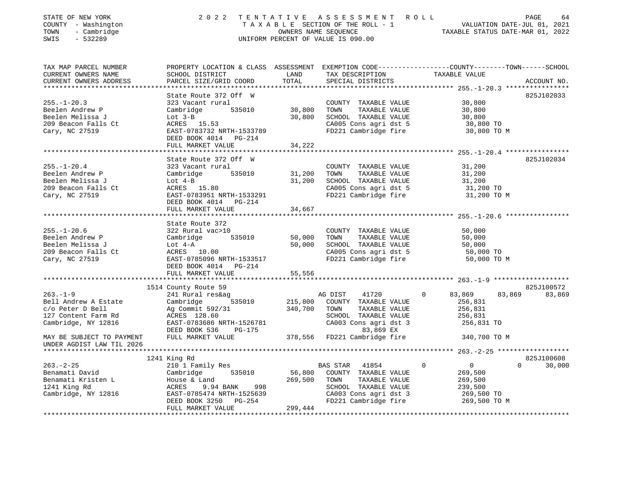| STATE OF NEW YORK<br>COUNTY - Washington<br>- Cambridge<br>TOWN<br>$-532289$<br>SWIS |                                                                                                              |               | 2022 TENTATIVE ASSESSMENT ROLL<br>UNIFORM PERCENT OF VALUE IS 090.00                             | PAGE<br>64<br>T A X A B L E SECTION OF THE ROLL - 1 VALUATION DATE-JUL 01, 2021<br>OWNERS NAME SEQUENCE TAXABLE STATUS DATE-MAR 01, 2022 |
|--------------------------------------------------------------------------------------|--------------------------------------------------------------------------------------------------------------|---------------|--------------------------------------------------------------------------------------------------|------------------------------------------------------------------------------------------------------------------------------------------|
|                                                                                      |                                                                                                              |               |                                                                                                  | TAX MAP PARCEL NUMBER THE PROPERTY LOCATION & CLASS ASSESSMENT EXEMPTION CODE--------------COUNTY-------TOWN-----SCHOOL                  |
| CURRENT OWNERS NAME<br>CURRENT OWNERS ADDRESS                                        | LAND<br>SCHOOL DISTRICT                                                                                      |               | TAX DESCRIPTION TAXABLE VALUE                                                                    |                                                                                                                                          |
|                                                                                      |                                                                                                              |               |                                                                                                  |                                                                                                                                          |
|                                                                                      | State Route 372 Off W                                                                                        |               |                                                                                                  | 825J102033                                                                                                                               |
| $255. -1 - 20.3$                                                                     | $\begin{array}{ccc} \cdot & \cdot & \cdot \\ \text{rural} & 535010 & 30,800 \end{array}$<br>323 Vacant rural |               | COUNTY TAXABLE VALUE 30,800                                                                      |                                                                                                                                          |
| Beelen Andrew P                                                                      | Cambridge                                                                                                    |               | TAXABLE VALUE 30,800<br>TOWN                                                                     |                                                                                                                                          |
| Beelen Melissa J                                                                     | Cambridge 535010<br>J<br>S Ct ACRES 15.53<br>ACRES 15.53                                                     | 30,800        | SCHOOL TAXABLE VALUE 30,800                                                                      |                                                                                                                                          |
| 209 Beacon Falls Ct                                                                  |                                                                                                              |               | CA005 Cons agri dst 5 30,800 TO<br>FD221 Cambridge fire 30,800 TO M                              |                                                                                                                                          |
| Cary, NC 27519                                                                       | EAST-0783732 NRTH-1533789                                                                                    |               |                                                                                                  |                                                                                                                                          |
|                                                                                      | DEED BOOK 4014 PG-214<br>FULL MARKET VALUE                                                                   |               |                                                                                                  |                                                                                                                                          |
|                                                                                      |                                                                                                              | 34,222        |                                                                                                  |                                                                                                                                          |
|                                                                                      | State Route 372 Off W                                                                                        |               |                                                                                                  | 825J102034                                                                                                                               |
| $255. - 1 - 20.4$                                                                    | 323 Vacant rural<br>Cambridge 535010 31,200<br>Lot 4-B 31,200<br>ACRES 15.80<br>EAST-0783951 NRTH-1533291    |               | COUNTY TAXABLE VALUE 31,200                                                                      |                                                                                                                                          |
| Beelen Andrew P                                                                      |                                                                                                              |               | TAXABLE VALUE<br>TOWN                                                                            | 31,200                                                                                                                                   |
| Beelen Melissa J                                                                     |                                                                                                              |               |                                                                                                  |                                                                                                                                          |
| 209 Beacon Falls Ct                                                                  |                                                                                                              |               | SCHOOL TAXABLE VALUE 31,200<br>CA005 Cons agri dst 5 31,200 TO<br>FD221 Cambridge fire 31,200 TO |                                                                                                                                          |
| Cary, NC 27519                                                                       | EAST-0783951 NRTH-1533291<br>DEED BOOK 4014 PG-214                                                           |               |                                                                                                  | 31,200 TO M                                                                                                                              |
|                                                                                      | FULL MARKET VALUE                                                                                            | 34,667        |                                                                                                  |                                                                                                                                          |
|                                                                                      |                                                                                                              |               |                                                                                                  |                                                                                                                                          |
|                                                                                      | State Route 372                                                                                              |               |                                                                                                  |                                                                                                                                          |
| $255. - 1 - 20.6$                                                                    | 322 Rural vac>10                                                                                             |               | COUNTY TAXABLE VALUE                                                                             | 50,000                                                                                                                                   |
| Beelen Andrew P                                                                      | Cambridge                                                                                                    | 535010 50,000 | TAXABLE VALUE<br>TOWN                                                                            | 50,000                                                                                                                                   |
| Beelen Melissa J Lot 4-A                                                             |                                                                                                              | 50,000        | SCHOOL TAXABLE VALUE                                                                             | 50,000                                                                                                                                   |
| 209 Beacon Falls Ct                                                                  | ACRES 10.00                                                                                                  |               | CA005 Cons agri dst 5 50,000 TO                                                                  |                                                                                                                                          |
| Cary, NC 27519                                                                       | EAST-0785096 NRTH-1533517                                                                                    |               | FD221 Cambridge fire                                                                             | 50,000 TO M                                                                                                                              |
|                                                                                      | DEED BOOK 4014 PG-214<br>FULL MARKET VALUE                                                                   | 55,556        |                                                                                                  |                                                                                                                                          |
|                                                                                      |                                                                                                              |               |                                                                                                  |                                                                                                                                          |

|                               |                           |         |          |                       |              | -403. - 1 - 2 |          |            |
|-------------------------------|---------------------------|---------|----------|-----------------------|--------------|---------------|----------|------------|
|                               | 1514 County Route 59      |         |          |                       |              |               |          | 825J100572 |
| $263. - 1 - 9$                | 241 Rural res&ag          |         | AG DIST  | 41720                 | $\mathbf{0}$ | 83,869        | 83,869   | 83,869     |
| Bell Andrew A Estate          | Cambridge<br>535010       | 215,800 | COUNTY   | TAXABLE VALUE         |              | 256,831       |          |            |
| c/o Peter D Bell              | Ag Commit 592/31          | 340,700 | TOWN     | TAXABLE VALUE         |              | 256,831       |          |            |
| 127 Content Farm Rd           | ACRES 128.60              |         | SCHOOL   | TAXABLE VALUE         |              | 256,831       |          |            |
| Cambridge, NY 12816           | EAST-0783686 NRTH-1526781 |         |          | CA003 Cons agri dst 3 |              | 256,831 TO    |          |            |
|                               | DEED BOOK 536<br>PG-175   |         |          | 83,869 EX             |              |               |          |            |
| MAY BE SUBJECT TO PAYMENT     | FULL MARKET VALUE         | 378,556 |          | FD221 Cambridge fire  |              | 340,700 TO M  |          |            |
| UNDER AGDIST LAW TIL 2026     |                           |         |          |                       |              |               |          |            |
| ***************************** |                           |         |          |                       |              |               |          |            |
|                               | 1241 King Rd              |         |          |                       |              |               |          | 825J100608 |
| $263. - 2 - 25$               | 210 1 Family Res          |         | BAS STAR | 41854                 | $\Omega$     | $\Omega$      | $\Omega$ | 30,000     |
| Benamati David                | Cambridge<br>535010       | 56,800  | COUNTY   | TAXABLE VALUE         |              | 269,500       |          |            |
| Benamati Kristen L            | House & Land              | 269,500 | TOWN     | TAXABLE VALUE         |              | 269,500       |          |            |
| 1241 King Rd                  | 9.94 BANK<br>998<br>ACRES |         | SCHOOL   | TAXABLE VALUE         |              | 239,500       |          |            |
| Cambridge, NY 12816           | EAST-0785474 NRTH-1525639 |         |          | CA003 Cons agri dst 3 |              | 269,500 TO    |          |            |
|                               | DEED BOOK 3250<br>PG-254  |         |          | FD221 Cambridge fire  |              | 269,500 TO M  |          |            |
|                               | FULL MARKET VALUE         | 299,444 |          |                       |              |               |          |            |
|                               |                           |         |          |                       |              |               |          |            |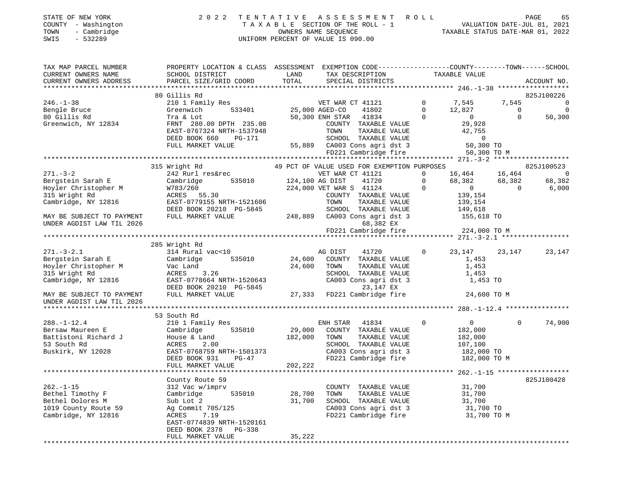| STATE OF NEW YORK   | 2022 TENTATIVE ASSESSMENT ROLL     | 65<br>PAGE                       |
|---------------------|------------------------------------|----------------------------------|
| COUNTY - Washington | TAXABLE SECTION OF THE ROLL - 1    | VALUATION DATE-JUL 01, 2021      |
| - Cambridge<br>TOWN | OWNERS NAME SEOUENCE               | TAXABLE STATUS DATE-MAR 01, 2022 |
| $-532289$<br>SWIS   | UNIFORM PERCENT OF VALUE IS 090.00 |                                  |

| TAX MAP PARCEL NUMBER                                                                                                                                                                                                                                                                | PROPERTY LOCATION & CLASS ASSESSMENT EXEMPTION CODE---------------COUNTY-------TOWN-----SCHOOL                                                                                                                                           |         |                                                                                                                                                             |  |                                                        |          |             |
|--------------------------------------------------------------------------------------------------------------------------------------------------------------------------------------------------------------------------------------------------------------------------------------|------------------------------------------------------------------------------------------------------------------------------------------------------------------------------------------------------------------------------------------|---------|-------------------------------------------------------------------------------------------------------------------------------------------------------------|--|--------------------------------------------------------|----------|-------------|
| CURRENT OWNERS NAME SCHOOL DISTRICT LAND TAX DESCRIPTION TAXABLE VALUE CURRENT OWNERS ADDRESS PARCEL SIZE/GRID COORD TOTAL SPECIAL DISTRICTS                                                                                                                                         |                                                                                                                                                                                                                                          |         |                                                                                                                                                             |  |                                                        |          |             |
|                                                                                                                                                                                                                                                                                      |                                                                                                                                                                                                                                          |         |                                                                                                                                                             |  |                                                        |          | ACCOUNT NO. |
|                                                                                                                                                                                                                                                                                      |                                                                                                                                                                                                                                          |         |                                                                                                                                                             |  |                                                        |          |             |
|                                                                                                                                                                                                                                                                                      | 80 Gillis Rd                                                                                                                                                                                                                             |         |                                                                                                                                                             |  |                                                        |          | 825J100226  |
| $246. - 1 - 38$                                                                                                                                                                                                                                                                      | 80 Gillis Rd<br>210 1 Family Res<br>Creenwich 533401 25,000 AGED-CO 41802 0 7,545 7,545 0<br>Greenwich 533401 25,000 AGED-CO 41802 0 12,827 0<br>Tra & Lot 50,300 ENH STAR 41834 0 0 50,300<br>FRNT 280.00 DPTH 235.00 COUNTY TAXABLE VA |         |                                                                                                                                                             |  |                                                        |          |             |
|                                                                                                                                                                                                                                                                                      |                                                                                                                                                                                                                                          |         |                                                                                                                                                             |  |                                                        |          |             |
| Bengle Bruce<br>80 Gillis Rd                                                                                                                                                                                                                                                         |                                                                                                                                                                                                                                          |         |                                                                                                                                                             |  |                                                        |          |             |
|                                                                                                                                                                                                                                                                                      |                                                                                                                                                                                                                                          |         |                                                                                                                                                             |  |                                                        |          |             |
| Greenwich, NY 12834                                                                                                                                                                                                                                                                  |                                                                                                                                                                                                                                          |         |                                                                                                                                                             |  |                                                        |          |             |
|                                                                                                                                                                                                                                                                                      |                                                                                                                                                                                                                                          |         |                                                                                                                                                             |  |                                                        |          |             |
|                                                                                                                                                                                                                                                                                      |                                                                                                                                                                                                                                          |         |                                                                                                                                                             |  |                                                        |          |             |
|                                                                                                                                                                                                                                                                                      |                                                                                                                                                                                                                                          |         |                                                                                                                                                             |  |                                                        |          |             |
|                                                                                                                                                                                                                                                                                      |                                                                                                                                                                                                                                          |         |                                                                                                                                                             |  |                                                        |          |             |
|                                                                                                                                                                                                                                                                                      |                                                                                                                                                                                                                                          |         |                                                                                                                                                             |  |                                                        |          |             |
|                                                                                                                                                                                                                                                                                      |                                                                                                                                                                                                                                          |         |                                                                                                                                                             |  |                                                        |          |             |
|                                                                                                                                                                                                                                                                                      |                                                                                                                                                                                                                                          |         |                                                                                                                                                             |  |                                                        |          |             |
|                                                                                                                                                                                                                                                                                      |                                                                                                                                                                                                                                          |         |                                                                                                                                                             |  |                                                        |          |             |
|                                                                                                                                                                                                                                                                                      |                                                                                                                                                                                                                                          |         |                                                                                                                                                             |  |                                                        |          |             |
|                                                                                                                                                                                                                                                                                      |                                                                                                                                                                                                                                          |         |                                                                                                                                                             |  |                                                        |          |             |
|                                                                                                                                                                                                                                                                                      |                                                                                                                                                                                                                                          |         |                                                                                                                                                             |  |                                                        |          |             |
|                                                                                                                                                                                                                                                                                      |                                                                                                                                                                                                                                          |         |                                                                                                                                                             |  |                                                        |          |             |
|                                                                                                                                                                                                                                                                                      |                                                                                                                                                                                                                                          |         |                                                                                                                                                             |  |                                                        |          |             |
|                                                                                                                                                                                                                                                                                      |                                                                                                                                                                                                                                          |         |                                                                                                                                                             |  |                                                        |          |             |
|                                                                                                                                                                                                                                                                                      |                                                                                                                                                                                                                                          |         |                                                                                                                                                             |  |                                                        |          |             |
|                                                                                                                                                                                                                                                                                      |                                                                                                                                                                                                                                          |         |                                                                                                                                                             |  |                                                        |          |             |
|                                                                                                                                                                                                                                                                                      |                                                                                                                                                                                                                                          |         |                                                                                                                                                             |  |                                                        |          |             |
|                                                                                                                                                                                                                                                                                      | 285 Wright Rd                                                                                                                                                                                                                            |         |                                                                                                                                                             |  |                                                        |          |             |
|                                                                                                                                                                                                                                                                                      |                                                                                                                                                                                                                                          |         |                                                                                                                                                             |  |                                                        |          | 23,147      |
|                                                                                                                                                                                                                                                                                      |                                                                                                                                                                                                                                          |         |                                                                                                                                                             |  |                                                        |          |             |
|                                                                                                                                                                                                                                                                                      |                                                                                                                                                                                                                                          |         |                                                                                                                                                             |  |                                                        |          |             |
|                                                                                                                                                                                                                                                                                      |                                                                                                                                                                                                                                          |         |                                                                                                                                                             |  |                                                        |          |             |
|                                                                                                                                                                                                                                                                                      |                                                                                                                                                                                                                                          |         |                                                                                                                                                             |  |                                                        |          |             |
|                                                                                                                                                                                                                                                                                      |                                                                                                                                                                                                                                          |         |                                                                                                                                                             |  |                                                        |          |             |
| 271.-3-2.1<br>Bergstein Sarah E<br>Hoyler Christopher M<br>315 Wright Rd<br>315 Wight Rd<br>315 Wight Rd<br>24,600 COUNTY TAXABLE VALUE<br>24,600 TOWN TAXABLE VALUE<br>24,600 TOWN TAXABLE VALUE<br>315 Wright Rd<br>315 Wright Rd<br>315 Wright R                                  |                                                                                                                                                                                                                                          |         |                                                                                                                                                             |  |                                                        |          |             |
| UNDER AGDIST LAW TIL 2026                                                                                                                                                                                                                                                            |                                                                                                                                                                                                                                          |         |                                                                                                                                                             |  |                                                        |          |             |
|                                                                                                                                                                                                                                                                                      |                                                                                                                                                                                                                                          |         |                                                                                                                                                             |  |                                                        |          |             |
|                                                                                                                                                                                                                                                                                      | 53 South Rd                                                                                                                                                                                                                              |         |                                                                                                                                                             |  |                                                        |          |             |
|                                                                                                                                                                                                                                                                                      |                                                                                                                                                                                                                                          |         |                                                                                                                                                             |  |                                                        | $\Omega$ | 74,900      |
|                                                                                                                                                                                                                                                                                      |                                                                                                                                                                                                                                          |         |                                                                                                                                                             |  |                                                        |          |             |
|                                                                                                                                                                                                                                                                                      |                                                                                                                                                                                                                                          |         |                                                                                                                                                             |  | $\begin{array}{c} 0 \\ 182,000 \\ 182,000 \end{array}$ |          |             |
|                                                                                                                                                                                                                                                                                      |                                                                                                                                                                                                                                          |         |                                                                                                                                                             |  |                                                        |          |             |
|                                                                                                                                                                                                                                                                                      |                                                                                                                                                                                                                                          |         |                                                                                                                                                             |  |                                                        |          |             |
|                                                                                                                                                                                                                                                                                      |                                                                                                                                                                                                                                          |         |                                                                                                                                                             |  |                                                        |          |             |
| 38.-1-12.4<br>Bersaw Maureen E<br>Battistoni Richard J<br>Buskirk, NY 12028<br>Buskirk, NY 12028<br>Buskirk, NY 12028<br>Buskirk, NY 12028<br>Buskirk, NY 12028<br>Buskirk, NY 12028<br>Buskirk, NY 12028<br>Buskirk, NY 12028<br>Buskirk, NY 12028<br>                              |                                                                                                                                                                                                                                          | 202,222 |                                                                                                                                                             |  |                                                        |          |             |
|                                                                                                                                                                                                                                                                                      | FULL MARKET VALUE                                                                                                                                                                                                                        |         |                                                                                                                                                             |  |                                                        |          |             |
|                                                                                                                                                                                                                                                                                      |                                                                                                                                                                                                                                          |         |                                                                                                                                                             |  |                                                        |          |             |
|                                                                                                                                                                                                                                                                                      | County Route 59                                                                                                                                                                                                                          |         |                                                                                                                                                             |  |                                                        |          | 825J100428  |
|                                                                                                                                                                                                                                                                                      |                                                                                                                                                                                                                                          |         |                                                                                                                                                             |  |                                                        |          |             |
| 262.-1-15<br>262.-1-15<br>28.700<br>28.700<br>28.700<br>28.700<br>28.700<br>28.700<br>28.700<br>28.700<br>28.700<br>28.700<br>28.700<br>28.700<br>28.700<br>28.700<br>28.700<br>28.700<br>28.700<br>28.700<br>29.700<br>29.700<br>29.20<br>29.700<br>29.700<br>29.700<br>29.700<br>2 |                                                                                                                                                                                                                                          |         | COUNTY TAXABLE VALUE 31,700<br>TOWN TAXABLE VALUE 31,700<br>SCHOOL TAXABLE VALUE 31,700<br>CA003 Cons agri dst 3 31,700<br>FD221 Cambridge fire 31,700 TO M |  |                                                        |          |             |
|                                                                                                                                                                                                                                                                                      |                                                                                                                                                                                                                                          |         |                                                                                                                                                             |  |                                                        |          |             |
|                                                                                                                                                                                                                                                                                      |                                                                                                                                                                                                                                          |         |                                                                                                                                                             |  |                                                        |          |             |
|                                                                                                                                                                                                                                                                                      |                                                                                                                                                                                                                                          |         |                                                                                                                                                             |  |                                                        |          |             |
|                                                                                                                                                                                                                                                                                      | EAST-0774839 NRTH-1520161                                                                                                                                                                                                                |         |                                                                                                                                                             |  |                                                        |          |             |
|                                                                                                                                                                                                                                                                                      | DEED BOOK 2378 PG-338                                                                                                                                                                                                                    |         |                                                                                                                                                             |  |                                                        |          |             |
|                                                                                                                                                                                                                                                                                      | FULL MARKET VALUE                                                                                                                                                                                                                        | 35,222  |                                                                                                                                                             |  |                                                        |          |             |
|                                                                                                                                                                                                                                                                                      |                                                                                                                                                                                                                                          |         |                                                                                                                                                             |  |                                                        |          |             |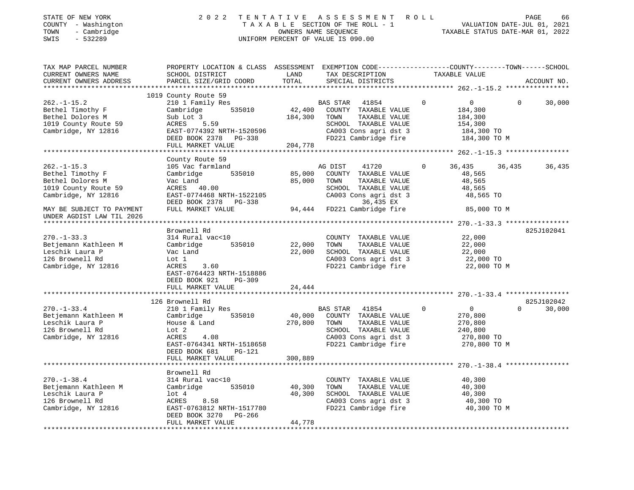| STATE OF NEW YORK<br>COUNTY - Washington<br>- Cambridge<br>TOWN<br>$-532289$<br>SWIS                     | 2 0 2 2                                                                                                                                                             | TENTATIVE         | A S S E S S M E N T<br>TAXABLE SECTION OF THE ROLL - 1<br>OWNERS NAME SEQUENCE<br>UNIFORM PERCENT OF VALUE IS 090.00                               | R O L L                                                                                      | PAGE<br>66<br>VALUATION DATE-JUL 01, 2021<br>TAXABLE STATUS DATE-MAR 01, 2022 |
|----------------------------------------------------------------------------------------------------------|---------------------------------------------------------------------------------------------------------------------------------------------------------------------|-------------------|----------------------------------------------------------------------------------------------------------------------------------------------------|----------------------------------------------------------------------------------------------|-------------------------------------------------------------------------------|
| TAX MAP PARCEL NUMBER<br>CURRENT OWNERS NAME<br>CURRENT OWNERS ADDRESS                                   | PROPERTY LOCATION & CLASS ASSESSMENT EXEMPTION CODE---------------COUNTY-------TOWN------SCHOOL<br>SCHOOL DISTRICT<br>PARCEL SIZE/GRID COORD                        | LAND<br>TOTAL     | TAX DESCRIPTION<br>SPECIAL DISTRICTS                                                                                                               | TAXABLE VALUE                                                                                | ACCOUNT NO.                                                                   |
|                                                                                                          | 1019 County Route 59                                                                                                                                                |                   |                                                                                                                                                    |                                                                                              |                                                                               |
| $262. - 1 - 15.2$<br>Bethel Timothy F<br>Bethel Dolores M<br>1019 County Route 59<br>Cambridge, NY 12816 | 210 1 Family Res<br>535010<br>Cambridge<br>Sub Lot 3<br>5.59<br>ACRES<br>EAST-0774392 NRTH-1520596<br>DEED BOOK 2378 PG-338                                         | 42,400<br>184,300 | <b>BAS STAR</b><br>41854<br>COUNTY TAXABLE VALUE<br>TOWN<br>TAXABLE VALUE<br>SCHOOL TAXABLE VALUE<br>CA003 Cons agri dst 3<br>FD221 Cambridge fire | $\overline{0}$<br>0<br>184,300<br>184,300<br>154,300<br>184,300 TO<br>184,300 TO M           | 30,000<br>$\Omega$                                                            |
|                                                                                                          | FULL MARKET VALUE<br>**********************                                                                                                                         | 204,778           |                                                                                                                                                    |                                                                                              | ************** 262.-1-15.3 *****************                                  |
| $262. -1 - 15.3$<br>Bethel Timothy F<br>Bethel Dolores M                                                 | County Route 59<br>105 Vac farmland<br>535010<br>Cambridge<br>Vac Land                                                                                              | 85,000<br>85,000  | AG DIST<br>41720<br>COUNTY TAXABLE VALUE<br>TOWN<br>TAXABLE VALUE                                                                                  | 36,435<br>0<br>48,565<br>48,565                                                              | 36,435<br>36,435                                                              |
| 1019 County Route 59<br>Cambridge, NY 12816                                                              | ACRES 40.00<br>EAST-0774468 NRTH-1522105<br>DEED BOOK 2378 PG-338<br>FULL MARKET VALUE                                                                              | 94,444            | SCHOOL TAXABLE VALUE<br>CA003 Cons agri dst 3<br>36,435 EX<br>FD221 Cambridge fire                                                                 | 48,565<br>48,565 TO<br>85,000 TO M                                                           |                                                                               |
| MAY BE SUBJECT TO PAYMENT<br>UNDER AGDIST LAW TIL 2026                                                   |                                                                                                                                                                     |                   |                                                                                                                                                    |                                                                                              |                                                                               |
|                                                                                                          | Brownell Rd                                                                                                                                                         |                   |                                                                                                                                                    |                                                                                              |                                                                               |
| $270. - 1 - 33.3$<br>Betjemann Kathleen M<br>Leschik Laura P<br>126 Brownell Rd                          | 314 Rural vac<10<br>Cambridge<br>535010<br>Vac Land<br>Lot 1                                                                                                        | 22,000<br>22,000  | COUNTY TAXABLE VALUE<br>TOWN<br>TAXABLE VALUE<br>SCHOOL TAXABLE VALUE<br>CA003 Cons agri dst 3                                                     | 22,000<br>22,000<br>22,000<br>22,000 TO                                                      | 825J102041                                                                    |
| Cambridge, NY 12816                                                                                      | ACRES<br>3.60<br>EAST-0764423 NRTH-1518886<br>DEED BOOK 921<br>PG-309<br>FULL MARKET VALUE                                                                          | 24,444            | FD221 Cambridge fire                                                                                                                               | 22,000 TO M                                                                                  |                                                                               |
|                                                                                                          |                                                                                                                                                                     | **************    |                                                                                                                                                    |                                                                                              | 825J102042                                                                    |
| $270. - 1 - 33.4$<br>Betjemann Kathleen M<br>Leschik Laura P<br>126 Brownell Rd<br>Cambridge, NY 12816   | 126 Brownell Rd<br>210 1 Family Res<br>535010<br>Cambridge<br>House & Land<br>Lot 2<br>ACRES<br>4.08<br>EAST-0764341 NRTH-1518658<br>DEED BOOK 681<br><b>PG-121</b> | 40,000<br>270,800 | BAS STAR<br>41854<br>COUNTY TAXABLE VALUE<br>TOWN<br>TAXABLE VALUE<br>SCHOOL TAXABLE VALUE<br>CA003 Cons agri dst 3<br>FD221 Cambridge fire        | $\mathbf 0$<br>$\overline{0}$<br>270,800<br>270,800<br>240,800<br>270,800 TO<br>270,800 TO M | 30,000<br>$\Omega$                                                            |
|                                                                                                          | FULL MARKET VALUE                                                                                                                                                   | 300,889           |                                                                                                                                                    |                                                                                              |                                                                               |
| $270. - 1 - 38.4$<br>Betjemann Kathleen M<br>Leschik Laura P                                             | Brownell Rd<br>314 Rural vac<10<br>Cambridge<br>535010<br>lot 4                                                                                                     | 40,300<br>40,300  | COUNTY TAXABLE VALUE<br>TOWN<br>TAXABLE VALUE<br>SCHOOL TAXABLE VALUE                                                                              | 40,300<br>40,300<br>40,300                                                                   |                                                                               |
| 126 Brownell Rd<br>Cambridge, NY 12816                                                                   | ACRES<br>8.58<br>EAST-0763812 NRTH-1517780<br>DEED BOOK 3270<br>PG-266<br>FULL MARKET VALUE                                                                         | 44,778            | CA003 Cons agri dst 3<br>FD221 Cambridge fire                                                                                                      | 40,300 TO<br>40,300 TO M                                                                     |                                                                               |

\*\*\*\*\*\*\*\*\*\*\*\*\*\*\*\*\*\*\*\*\*\*\*\*\*\*\*\*\*\*\*\*\*\*\*\*\*\*\*\*\*\*\*\*\*\*\*\*\*\*\*\*\*\*\*\*\*\*\*\*\*\*\*\*\*\*\*\*\*\*\*\*\*\*\*\*\*\*\*\*\*\*\*\*\*\*\*\*\*\*\*\*\*\*\*\*\*\*\*\*\*\*\*\*\*\*\*\*\*\*\*\*\*\*\*\*\*\*\*\*\*\*\*\*\*\*\*\*\*\*\*\*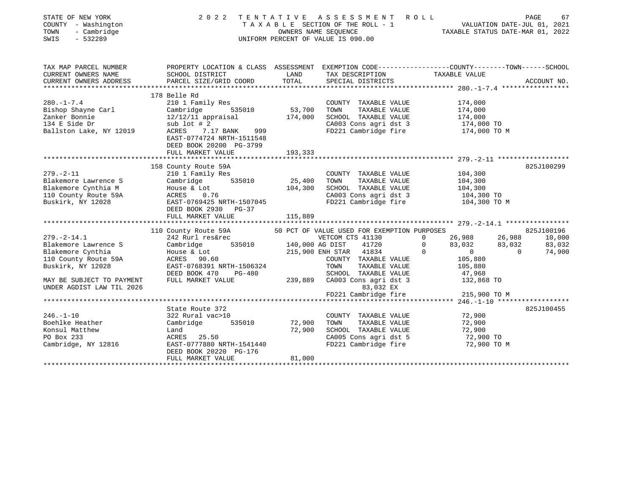| STATE OF NEW YORK<br>COUNTY - Washington<br>- Cambridge<br>TOWN<br>SWIS<br>- 532289 |                                                                                                                                                                                                                                                                                                                                                                                                                                                                                            |                  | 2022 TENTATIVE ASSESSMENT ROLL<br>TAXABLE SECTION OF THE ROLL - 1<br>OWNERS NAME SEQUENCE<br>TAXABLE STATUS DATE-JUL 01, 2021<br>TAXABLE STATUS DATE-MAR 01, 2022<br>UNIFORM PERCENT OF VALUE IS 090.00 |                    |                  | PAGE<br>67  |
|-------------------------------------------------------------------------------------|--------------------------------------------------------------------------------------------------------------------------------------------------------------------------------------------------------------------------------------------------------------------------------------------------------------------------------------------------------------------------------------------------------------------------------------------------------------------------------------------|------------------|---------------------------------------------------------------------------------------------------------------------------------------------------------------------------------------------------------|--------------------|------------------|-------------|
| TAX MAP PARCEL NUMBER                                                               |                                                                                                                                                                                                                                                                                                                                                                                                                                                                                            |                  |                                                                                                                                                                                                         |                    |                  |             |
| CURRENT OWNERS NAME<br>CURRENT OWNERS ADDRESS                                       | PARCEL SIZE/GRID COORD TOTAL                                                                                                                                                                                                                                                                                                                                                                                                                                                               |                  | TAX DESCRIPTION TAXABLE VALUE<br>SPECIAL DISTRICTS                                                                                                                                                      |                    |                  | ACCOUNT NO. |
|                                                                                     | 178 Belle Rd                                                                                                                                                                                                                                                                                                                                                                                                                                                                               |                  |                                                                                                                                                                                                         |                    |                  |             |
| $280. -1 - 7.4$                                                                     | 280.-1-7.4 210 1 Family Res<br>Bishop Shayne Carl Cambridge 535010 53,700<br>Zanker Bonnie 12/12/11 appraisal 174,000<br>134 E Side Dr sub lot #2<br>Ballston Lake, NY 12019 ACRES 7.17 BANK 999<br>EAST-0774724 NRTH-1511548<br>DEED BOOK 20200 PG-3799                                                                                                                                                                                                                                   |                  | COUNTY TAXABLE VALUE<br>TOWN TAXABLE VALUE<br>SCHOOL TAXABLE VALUE 174,000<br>CA003 Cons agri dst 3 174,000<br>FD221 Cambridge fire 174,000 TO M                                                        | 174,000            | 174,000          |             |
|                                                                                     | FULL MARKET VALUE                                                                                                                                                                                                                                                                                                                                                                                                                                                                          | 193,333          |                                                                                                                                                                                                         |                    |                  |             |
|                                                                                     | 158 County Route 59A<br>279.-2-11<br>Blakemore Lawrence S<br>Blakemore Cynthia M<br>Blakemore Cynthia M<br>House & Lot<br>104,300<br>Buskirk, NY 12028<br>Buskirk, NY 12028<br>Buskirk, NY 12028<br>Buskirk, NY 12028<br>Buskirk, NY 12028<br>Buskirk, NY 12028<br>Buskirk, NY<br>DEED BOOK 2930 PG-37<br>FULL MARKET VALUE                                                                                                                                                                | 115,889          | COUNTY TAXABLE VALUE 104,300<br>TOWN TAXABLE VALUE<br>SCHOOL TAXABLE VALUE 104,300<br>TAXABLE VALUE 104,300 TO<br>CA003 Cons agri dst 3 104,300 TO<br>FD221 Cambridge fire 104,300 TO M                 |                    |                  | 825J100299  |
|                                                                                     |                                                                                                                                                                                                                                                                                                                                                                                                                                                                                            |                  |                                                                                                                                                                                                         |                    |                  |             |
|                                                                                     | 110 County Route 59A 50 PCT OF VALUE USED FOR EXEMPTION PURPOSES<br>242 Rurl res&rec vETCOM CTS 41130 0 26,988 26,988 10,000<br>Cambridge 535010 140,000 AG DIST 41720 0 83,032 83,032 363,032<br>House & Lot 215,900 ENH STAR 41834<br>279.-2-14.1<br>Blakemore Lawrence S<br>Blakemore Cynthia House & Lot<br>10 County Route 59A<br>Buskirk, NY 12028<br>Buskirk, NY 12028<br>Buskirk, NY 12028<br>Cambridge 535010<br>COUNTY TAXABLE VALUE<br>COUNTY TAXABLE VALUE<br>COUNTY TAXABLE V |                  | COUNTY TAXABLE VALUE                                                                                                                                                                                    | 105,880<br>105,880 |                  |             |
|                                                                                     | 110 County Route 59A<br>Buskirk, NY 12028 EAST-0768391 NRTH-1506324<br>DEED BOOK 470 PG-480 SCHOOL TAXABLE VALUE<br>MAY BE SUBJECT TO PAYMENT FULL MARKET VALUE 2026 83,032 EX<br>FD221 Cambridge fire 215,900 TO M<br>FD221 Cambridge                                                                                                                                                                                                                                                     |                  |                                                                                                                                                                                                         |                    |                  |             |
|                                                                                     |                                                                                                                                                                                                                                                                                                                                                                                                                                                                                            |                  |                                                                                                                                                                                                         |                    |                  |             |
| $246. - 1 - 10$<br>Boehlke Heather<br>Konsul Matthew<br>PO Box 233                  | State Route 372<br>$ACRES$ 25.50<br>Cambridge, NY 12816 EAST-0777880 NRTH-1541440<br>DEED BOOK 20220 PG-176<br>FULL MARKET VALUE                                                                                                                                                                                                                                                                                                                                                           | 72,900<br>81,000 | COUNTY TAXABLE VALUE<br>TOWN<br>TAXABLE VALUE<br>SCHOOL TAXABLE VALUE 72,900<br>CA005 Cons agri dst 5 72,900 TO<br>FD221 Cambridge fire 72,900 TO M                                                     |                    | 72,900<br>72,900 | 825J100455  |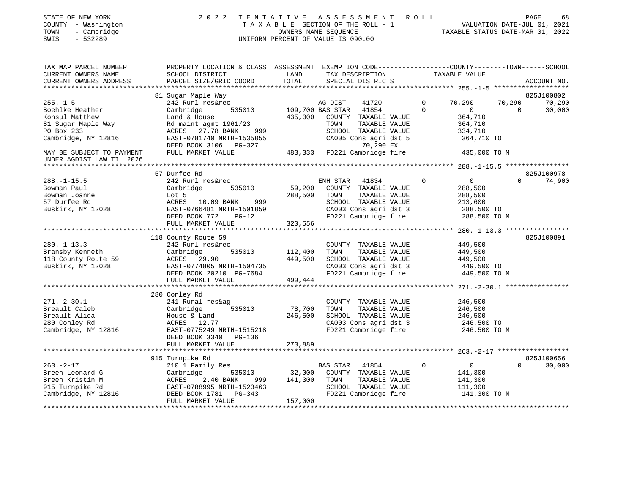| STATE OF NEW YORK   | 2022 TENTATIVE ASSESSMENT ROLL  |                                  | PAGE                        | 68 |
|---------------------|---------------------------------|----------------------------------|-----------------------------|----|
| COUNTY - Washington | TAXABLE SECTION OF THE ROLL - 1 |                                  | VALUATION DATE-JUL 01, 2021 |    |
| TOWN<br>- Cambridge | OWNERS NAME SEOUENCE            | TAXABLE STATUS DATE-MAR 01, 2022 |                             |    |

| TAX MAP PARCEL NUMBER<br>CURRENT OWNERS NAME<br>CURRENT OWNERS ADDRESS | PROPERTY LOCATION & CLASS ASSESSMENT EXEMPTION CODE----------------COUNTY-------TOWN-----SCHOOL<br>SCHOOL DISTRICT<br>PARCEL SIZE/GRID COORD | LAND<br>TOTAL | TAX DESCRIPTION<br>SPECIAL DISTRICTS                                  | TAXABLE VALUE                  | ACCOUNT NO.        |
|------------------------------------------------------------------------|----------------------------------------------------------------------------------------------------------------------------------------------|---------------|-----------------------------------------------------------------------|--------------------------------|--------------------|
|                                                                        |                                                                                                                                              |               |                                                                       |                                |                    |
|                                                                        | 81 Sugar Maple Way                                                                                                                           |               |                                                                       |                                | 825J100802         |
| $255. - 1 - 5$                                                         | 242 Rurl res&rec                                                                                                                             |               | AG DIST<br>41720                                                      | $\overline{0}$<br>70,290       | 70,290<br>70,290   |
| Boehlke Heather                                                        | Cambridge                                                                                                                                    |               | 535010 109,700 BAS STAR 41854                                         | $\Omega$<br>$\overline{0}$     | 30,000<br>$\Omega$ |
| Konsul Matthew                                                         | Land & House                                                                                                                                 |               | 435,000 COUNTY TAXABLE VALUE                                          | 364,710                        |                    |
| 81 Sugar Maple Way                                                     | Rd maint agmt 1961/23                                                                                                                        |               | TOWN<br>TAXABLE VALUE                                                 | 364,710                        |                    |
| PO Box 233                                                             | ACRES 27.78 BANK<br>999                                                                                                                      |               | SCHOOL TAXABLE VALUE                                                  | 334,710                        |                    |
| Cambridge, NY 12816                                                    | EAST-0781740 NRTH-1535855<br>DEED BOOK 3106 PG-327                                                                                           |               | CA005 Cons agri dst 5<br>70,290 EX                                    | 364,710 TO                     |                    |
| MAY BE SUBJECT TO PAYMENT<br>UNDER AGDIST LAW TIL 2026                 | FULL MARKET VALUE                                                                                                                            |               | 27<br>483,333 FD221 Cambridge fire 435,000 TO M                       |                                |                    |
|                                                                        |                                                                                                                                              |               |                                                                       |                                |                    |
|                                                                        | 57 Durfee Rd                                                                                                                                 |               |                                                                       |                                | 825J100978         |
| $288. - 1 - 15.5$                                                      | 242 Rurl res&rec                                                                                                                             |               | ENH STAR<br>41834                                                     | $\mathbf{0}$<br>$\overline{0}$ | 74,900<br>$\Omega$ |
| Bowman Paul                                                            | 535010<br>Cambridge                                                                                                                          | 59,200        | COUNTY TAXABLE VALUE                                                  | 288,500                        |                    |
| Bowman Joanne                                                          | Lot 5                                                                                                                                        | 288,500       | TAXABLE VALUE<br>TOWN                                                 | 288,500                        |                    |
| 57 Durfee Rd                                                           | ACRES 10.09 BANK<br>999                                                                                                                      |               | SCHOOL TAXABLE VALUE                                                  | 213,600                        |                    |
| Buskirk, NY 12028                                                      | EAST-0766481 NRTH-1501859                                                                                                                    |               |                                                                       |                                |                    |
|                                                                        | DEED BOOK 772<br>$PG-12$                                                                                                                     |               | CA003 Cons agri dst 3 288,500 TO<br>FD221 Cambridge fire 288,500 TO M |                                |                    |
|                                                                        | FULL MARKET VALUE                                                                                                                            | 320,556       |                                                                       |                                |                    |
|                                                                        |                                                                                                                                              |               |                                                                       |                                | 825J100891         |
| $280. -1 - 13.3$                                                       | 118 County Route 59<br>242 Rurl res&rec                                                                                                      |               | COUNTY TAXABLE VALUE                                                  | 449,500                        |                    |
| Bransby Kenneth                                                        | Cambridge<br>535010                                                                                                                          | 112,400       | TAXABLE VALUE<br>TOWN                                                 | 449,500                        |                    |
| 118 County Route 59                                                    | ACRES 29.90                                                                                                                                  | 449,500       | SCHOOL TAXABLE VALUE                                                  | 449,500                        |                    |
| Buskirk, NY 12028                                                      | EAST-0774805 NRTH-1504735                                                                                                                    |               | CA003 Cons agri dst 3                                                 | 449,500 TO                     |                    |
|                                                                        | NAULTU / 1900 NKTH-1504735<br>DEED BOOK 20210 PG-7684                                                                                        |               | CAUU3 Cons agri dst 3<br>FD221 Cambridge fire                         | 449,500 TO M                   |                    |
|                                                                        | FULL MARKET VALUE                                                                                                                            | 499,444       |                                                                       |                                |                    |
|                                                                        |                                                                                                                                              |               |                                                                       |                                |                    |
|                                                                        | 280 Conley Rd                                                                                                                                |               |                                                                       |                                |                    |
| $271. - 2 - 30.1$                                                      | 241 Rural res&ag                                                                                                                             |               | COUNTY TAXABLE VALUE                                                  | 246,500                        |                    |
| Breault Caleb                                                          | 535010<br>Cambridge                                                                                                                          | 78,700        | TOWN<br>TAXABLE VALUE                                                 | 246,500                        |                    |
| Breault Alida                                                          | House & Land                                                                                                                                 | 246,500       | SCHOOL TAXABLE VALUE                                                  | 246,500                        |                    |
| 280 Conley Rd                                                          | ACRES 12.77                                                                                                                                  |               | CA003 Cons agri dst 3                                                 | 246,500 TO                     |                    |
| Cambridge, NY 12816                                                    | EAST-0775249 NRTH-1515218                                                                                                                    |               | FD221 Cambridge fire                                                  | 246,500 TO M                   |                    |
|                                                                        | DEED BOOK 3340 PG-136                                                                                                                        |               |                                                                       |                                |                    |
|                                                                        | FULL MARKET VALUE                                                                                                                            | 273,889       |                                                                       |                                |                    |
|                                                                        |                                                                                                                                              |               |                                                                       |                                |                    |
|                                                                        | 915 Turnpike Rd                                                                                                                              |               |                                                                       |                                | 825J100656         |
| $263. - 2 - 17$                                                        | 210 1 Family Res                                                                                                                             |               | <b>BAS STAR</b><br>41854                                              | $\Omega$<br>$\overline{0}$     | $\Omega$<br>30,000 |
| Breen Leonard G                                                        | Cambridge                                                                                                                                    | 535010 32,000 | COUNTY TAXABLE VALUE                                                  | 141,300                        |                    |
| Breen Kristin M                                                        | 2.40 BANK<br>ACRES<br>999                                                                                                                    | 141,300       | TAXABLE VALUE<br>TOWN                                                 | 141,300                        |                    |
| 915 Turnpike Rd                                                        | EAST-0788995 NRTH-1523463                                                                                                                    |               | SCHOOL TAXABLE VALUE                                                  | 111,300                        |                    |
| Cambridge, NY 12816                                                    | DEED BOOK 1781 PG-343<br>FULL MARKET VALUE                                                                                                   | 157,000       | FD221 Cambridge fire                                                  | 141,300 TO M                   |                    |
|                                                                        |                                                                                                                                              |               |                                                                       |                                |                    |

SWIS - 532289 UNIFORM PERCENT OF VALUE IS 090.00

STATE OF NEW YORK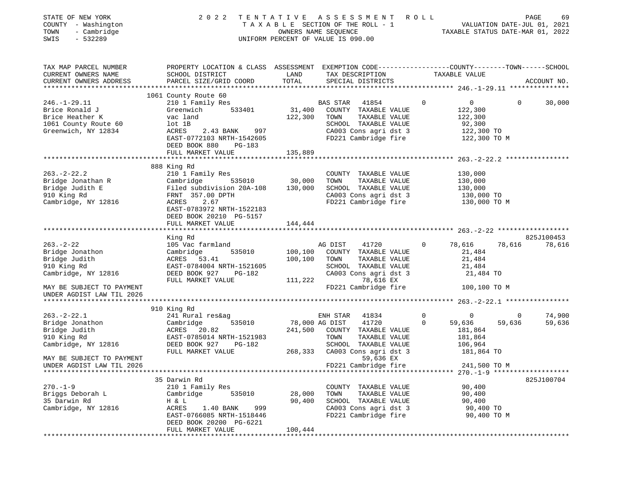| STATE OF NEW YORK<br>COUNTY - Washington<br>TOWN<br>- Cambridge<br>$-532289$<br>SWIS                   | ASSESSMENT ROLL<br>2 0 2 2<br>TENTATIVE<br>T A X A B L E SECTION OF THE ROLL - 1<br>OWNERS NAME SEQUENCE<br>UNIFORM PERCENT OF VALUE IS 090.00                                   |                               |                                                                                                                                                    |                            | PAGE<br>69<br>VALUATION DATE-JUL 01, 2021<br>TAXABLE STATUS DATE-MAR 01, 2022 |                          |                      |  |
|--------------------------------------------------------------------------------------------------------|----------------------------------------------------------------------------------------------------------------------------------------------------------------------------------|-------------------------------|----------------------------------------------------------------------------------------------------------------------------------------------------|----------------------------|-------------------------------------------------------------------------------|--------------------------|----------------------|--|
| TAX MAP PARCEL NUMBER<br>CURRENT OWNERS NAME                                                           | PROPERTY LOCATION & CLASS ASSESSMENT EXEMPTION CODE----------------COUNTY-------TOWN------SCHOOL<br>SCHOOL DISTRICT                                                              | LAND                          | TAX DESCRIPTION                                                                                                                                    |                            | TAXABLE VALUE                                                                 |                          |                      |  |
| CURRENT OWNERS ADDRESS                                                                                 | PARCEL SIZE/GRID COORD                                                                                                                                                           | TOTAL                         | SPECIAL DISTRICTS                                                                                                                                  |                            |                                                                               |                          | ACCOUNT NO.          |  |
|                                                                                                        |                                                                                                                                                                                  |                               |                                                                                                                                                    |                            |                                                                               |                          |                      |  |
| $246. - 1 - 29.11$<br>Brice Ronald J<br>Brice Heather K<br>1061 County Route 60<br>Greenwich, NY 12834 | 1061 County Route 60<br>210 1 Family Res<br>Greenwich 533401<br>vac land<br>lot 1B<br>ACRES<br>2.43 BANK 997<br>EAST-0772103 NRTH-1542605<br>DEED BOOK 880<br>PG-183             | 122,300                       | BAS STAR<br>41854<br>31,400 COUNTY TAXABLE VALUE<br>TOWN<br>TAXABLE VALUE<br>SCHOOL TAXABLE VALUE<br>CA003 Cons agri dst 3<br>FD221 Cambridge fire | $\mathbf 0$                | 0<br>122,300<br>122,300<br>92,300<br>122,300 TO<br>122,300 TO M               | $\mathbf{0}$             | 30,000               |  |
|                                                                                                        | FULL MARKET VALUE                                                                                                                                                                | 135,889                       |                                                                                                                                                    |                            |                                                                               |                          |                      |  |
| $263. - 2 - 22.2$<br>Bridge Jonathan R<br>Bridge Judith E<br>910 King Rd<br>Cambridge, NY 12816        | 888 King Rd<br>210 1 Family Res<br>Cambridge<br>535010<br>Filed subdivision 20A-108<br>FRNT 357.00 DPTH<br>ACRES<br>2.67<br>EAST-0783972 NRTH-1522183<br>DEED BOOK 20210 PG-5157 | 30,000<br>130,000             | COUNTY TAXABLE VALUE<br>TOWN<br>TAXABLE VALUE<br>SCHOOL TAXABLE VALUE<br>CA003 Cons agri dst 3<br>FD221 Cambridge fire 130,000 TO M                |                            | 130,000<br>130,000<br>130,000<br>130,000 TO                                   |                          |                      |  |
|                                                                                                        | FULL MARKET VALUE                                                                                                                                                                | 144,444                       |                                                                                                                                                    |                            |                                                                               |                          |                      |  |
|                                                                                                        |                                                                                                                                                                                  |                               |                                                                                                                                                    |                            |                                                                               |                          |                      |  |
| $263 - 2 - 22$<br>Bridge Jonathon<br>Bridge Judith<br>910 King Rd<br>Cambridge, NY 12816               | King Rd<br>105 Vac farmland<br>Cambridge<br>535010<br>ACRES 53.41<br>EAST-0784004 NRTH-1521605<br>DEED BOOK 927<br>PG-182<br>FULL MARKET VALUE                                   | 100,100<br>100,100<br>111,222 | AG DIST<br>41720<br>COUNTY TAXABLE VALUE<br>TAXABLE VALUE<br>TOWN<br>SCHOOL TAXABLE VALUE<br>CA003 Cons agri dst 3<br>78,616 EX                    | $\mathbf{0}$               | 78,616<br>21,484<br>21,484<br>21,484<br>21,484 TO                             | 78,616                   | 825J100453<br>78,616 |  |
| MAY BE SUBJECT TO PAYMENT                                                                              |                                                                                                                                                                                  |                               | FD221 Cambridge fire                                                                                                                               |                            | 100,100 TO M                                                                  |                          |                      |  |
| UNDER AGDIST LAW TIL 2026                                                                              |                                                                                                                                                                                  |                               |                                                                                                                                                    |                            |                                                                               |                          |                      |  |
|                                                                                                        | 910 King Rd                                                                                                                                                                      |                               |                                                                                                                                                    |                            |                                                                               |                          |                      |  |
| $263. - 2 - 22.1$<br>Bridge Jonathon<br>Bridge Judith<br>910 King Rd<br>Cambridge, NY 12816            | 241 Rural res&ag<br>535010<br>Cambridge<br>ACRES 20.82<br>EAST-0785014 NRTH-1521983<br>DEED BOOK 927<br>PG-182                                                                   | 78,000 AG DIST                | ENH STAR<br>41834<br>41720<br>241,500 COUNTY TAXABLE VALUE<br>TOWN<br>TAXABLE VALUE<br>SCHOOL TAXABLE VALUE                                        | $\mathbf 0$<br>$\mathbf 0$ | $\mathbf 0$<br>59,636<br>181,864<br>181,864<br>106,964                        | $\overline{0}$<br>59,636 | 74,900<br>59,636     |  |
| MAY BE SUBJECT TO PAYMENT<br>UNDER AGDIST LAW TIL 2026                                                 | FULL MARKET VALUE                                                                                                                                                                | 268,333                       | CA003 Cons agri dst 3<br>59,636 EX<br>FD221 Cambridge fire                                                                                         |                            | 181,864 TO<br>241,500 TO M                                                    |                          |                      |  |
|                                                                                                        |                                                                                                                                                                                  |                               |                                                                                                                                                    |                            |                                                                               |                          |                      |  |
| $270. - 1 - 9$<br>Briggs Deborah L<br>35 Darwin Rd<br>Cambridge, NY 12816                              | 35 Darwin Rd<br>210 1 Family Res<br>Cambridge<br>535010<br>H & L<br>ACRES<br>1.40 BANK<br>999<br>EAST-0766085 NRTH-1518446<br>DEED BOOK 20200 PG-6221<br>FULL MARKET VALUE       | 28,000<br>90,400<br>100,444   | COUNTY<br>TAXABLE VALUE<br>TOWN<br>TAXABLE VALUE<br>SCHOOL TAXABLE VALUE<br>CA003 Cons agri dst 3<br>FD221 Cambridge fire                          |                            | 90,400<br>90,400<br>90,400<br>90,400 TO<br>90,400 TO M                        |                          | 825J100704           |  |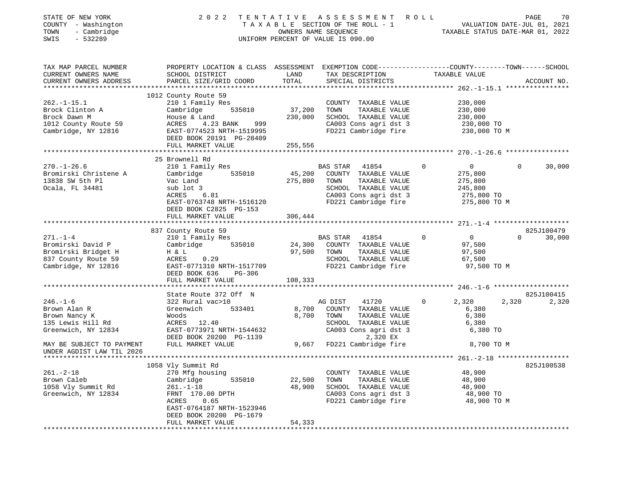| STATE OF NEW YORK<br>COUNTY - Washington<br>TOWN<br>- Cambridge<br>SWIS<br>$-532289$                     | 2 0 2 2<br>TENTATIVE<br>T A X A B L E SECTION OF THE ROLL - 1<br>UNIFORM PERCENT OF VALUE IS 090.00                                                                                        | ASSESSMENT ROLL<br>70<br>PAGE<br>VALUATION DATE-JUL 01, 2021<br>TAXABLE STATUS DATE-MAR 01, 2022 |                                                                                                                                             |                                                                                     |                              |
|----------------------------------------------------------------------------------------------------------|--------------------------------------------------------------------------------------------------------------------------------------------------------------------------------------------|--------------------------------------------------------------------------------------------------|---------------------------------------------------------------------------------------------------------------------------------------------|-------------------------------------------------------------------------------------|------------------------------|
| TAX MAP PARCEL NUMBER<br>CURRENT OWNERS NAME<br>CURRENT OWNERS ADDRESS                                   | PROPERTY LOCATION & CLASS ASSESSMENT EXEMPTION CODE----------------COUNTY-------TOWN------SCHOOL<br>SCHOOL DISTRICT<br>PARCEL SIZE/GRID COORD                                              | LAND<br>TOTAL                                                                                    | TAX DESCRIPTION<br>SPECIAL DISTRICTS                                                                                                        | TAXABLE VALUE                                                                       | ACCOUNT NO.                  |
|                                                                                                          |                                                                                                                                                                                            | *********                                                                                        |                                                                                                                                             | ********** 262.-1-15.1 *****************                                            |                              |
| $262. - 1 - 15.1$<br>Brock Clinton A<br>Brock Dawn M<br>1012 County Route 59<br>Cambridge, NY 12816      | 1012 County Route 59<br>210 1 Family Res<br>535010<br>Cambridge<br>House & Land<br>999<br>ACRES<br>4.23 BANK<br>EAST-0774523 NRTH-1519995<br>DEED BOOK 20191 PG-28409<br>FULL MARKET VALUE | 37,200<br>230,000<br>255,556                                                                     | COUNTY TAXABLE VALUE<br>TOWN<br>TAXABLE VALUE<br>SCHOOL TAXABLE VALUE<br>CA003 Cons agri dst 3<br>FD221 Cambridge fire                      | 230,000<br>230,000<br>230,000<br>230,000 TO<br>230,000 TO M                         |                              |
|                                                                                                          | *********************                                                                                                                                                                      |                                                                                                  |                                                                                                                                             |                                                                                     |                              |
| $270. - 1 - 26.6$<br>Bromirski Christene A<br>13838 SW 5th Pl<br>Ocala, FL 34481                         | 25 Brownell Rd<br>210 1 Family Res<br>Cambridge<br>535010<br>Vac Land<br>sub lot 3<br>ACRES<br>6.81<br>EAST-0763748 NRTH-1516120<br>DEED BOOK C2825 PG-153                                 | 45,200<br>275,800                                                                                | BAS STAR<br>41854<br>COUNTY TAXABLE VALUE<br>TOWN<br>TAXABLE VALUE<br>SCHOOL TAXABLE VALUE<br>CA003 Cons agri dst 3<br>FD221 Cambridge fire | $\Omega$<br>$\Omega$<br>275,800<br>275,800<br>245,800<br>275,800 TO<br>275,800 TO M | 30,000<br>$\cap$             |
|                                                                                                          | FULL MARKET VALUE                                                                                                                                                                          | 306,444                                                                                          |                                                                                                                                             |                                                                                     |                              |
|                                                                                                          | 837 County Route 59                                                                                                                                                                        |                                                                                                  |                                                                                                                                             |                                                                                     | 825J100479                   |
| $271. - 1 - 4$<br>Bromirski David P<br>Bromirski Bridget H<br>837 County Route 59<br>Cambridge, NY 12816 | 210 1 Family Res<br>535010<br>Cambridge<br>H & L<br>0.29<br>ACRES<br>EAST-0771310 NRTH-1517709<br>DEED BOOK 636<br>PG-306<br>FULL MARKET VALUE                                             | 24,300<br>97,500<br>108,333                                                                      | BAS STAR<br>41854<br>COUNTY TAXABLE VALUE<br>TOWN<br>TAXABLE VALUE<br>SCHOOL TAXABLE VALUE<br>FD221 Cambridge fire                          | $\Omega$<br>$\overline{0}$<br>97,500<br>97,500<br>67,500<br>97,500 TO M             | $\Omega$<br>30,000           |
|                                                                                                          |                                                                                                                                                                                            |                                                                                                  |                                                                                                                                             |                                                                                     |                              |
| $246. - 1 - 6$<br>Brown Alan R<br>Brown Nancy K<br>135 Lewis Hill Rd<br>Greenwich, NY 12834              | State Route 372 Off N<br>322 Rural vac>10<br>533401<br>Greenwich<br>Woods<br>ACRES 12.40<br>EAST-0773971 NRTH-1544632<br>DEED BOOK 20200 PG-1139                                           | 8,700<br>8,700                                                                                   | AG DIST<br>41720<br>COUNTY TAXABLE VALUE<br>TAXABLE VALUE<br>TOWN<br>SCHOOL TAXABLE VALUE<br>CA003 Cons agri dst 3<br>2,320 EX              | 2,320<br>$\mathbf{0}$<br>6,380<br>6,380<br>6,380<br>6,380 TO                        | 825J100415<br>2,320<br>2,320 |
| MAY BE SUBJECT TO PAYMENT<br>UNDER AGDIST LAW TIL 2026                                                   | FULL MARKET VALUE                                                                                                                                                                          |                                                                                                  | 9,667 FD221 Cambridge fire                                                                                                                  | 8,700 TO M                                                                          |                              |
|                                                                                                          |                                                                                                                                                                                            |                                                                                                  |                                                                                                                                             |                                                                                     |                              |
| $261. - 2 - 18$<br>Brown Caleb<br>1058 Vly Summit Rd<br>Greenwich, NY 12834                              | 1058 Vly Summit Rd<br>270 Mfg housing<br>Cambridge<br>535010<br>$261. - 1 - 18$<br>FRNT 170.00 DPTH<br>ACRES<br>0.65<br>EAST-0764187 NRTH-1523946<br>DEED BOOK 20200 PG-1679               | 22,500<br>48,900                                                                                 | COUNTY TAXABLE VALUE<br>TOWN<br>TAXABLE VALUE<br>SCHOOL TAXABLE VALUE<br>CA003 Cons agri dst 3<br>FD221 Cambridge fire                      | 48,900<br>48,900<br>48,900<br>48,900 TO<br>48,900 TO M                              | 825J100538                   |
|                                                                                                          | FULL MARKET VALUE                                                                                                                                                                          | 54,333                                                                                           |                                                                                                                                             |                                                                                     |                              |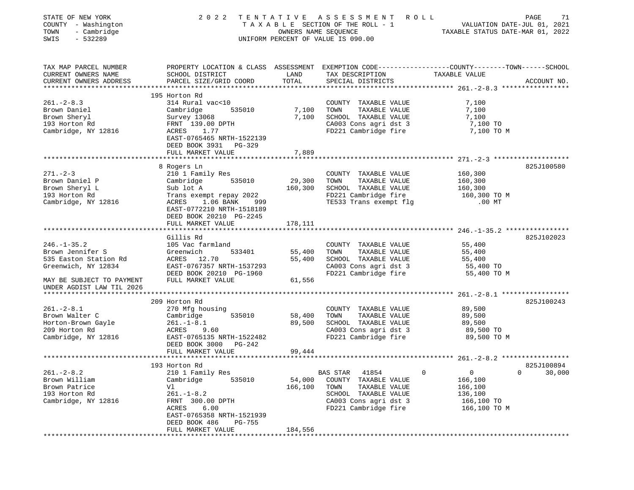| STATE OF NEW YORK<br>COUNTY - Washington<br>- Cambridge<br>TOWN<br>$-532289$<br>SWIS                                                            | 2 0 2 2                                                                                                                                                                                  | OWNERS NAME SEQUENCE         | TENTATIVE ASSESSMENT ROLL<br>TAXABLE SECTION OF THE ROLL - 1<br>UNIFORM PERCENT OF VALUE IS 090.00                                          | VALUATION DATE-JUL 01, 2021<br>TAXABLE STATUS DATE-MAR 01, 2022                  | 71<br>PAGE               |
|-------------------------------------------------------------------------------------------------------------------------------------------------|------------------------------------------------------------------------------------------------------------------------------------------------------------------------------------------|------------------------------|---------------------------------------------------------------------------------------------------------------------------------------------|----------------------------------------------------------------------------------|--------------------------|
| TAX MAP PARCEL NUMBER<br>CURRENT OWNERS NAME<br>CURRENT OWNERS ADDRESS                                                                          | PROPERTY LOCATION & CLASS ASSESSMENT EXEMPTION CODE---------------COUNTY-------TOWN------SCHOOL<br>SCHOOL DISTRICT<br>PARCEL SIZE/GRID COORD                                             | LAND<br>TOTAL                | TAX DESCRIPTION<br>SPECIAL DISTRICTS                                                                                                        | TAXABLE VALUE                                                                    | ACCOUNT NO.              |
| $261 - 2 - 8.3$<br>Brown Daniel<br>Brown Sheryl<br>193 Horton Rd<br>Cambridge, NY 12816                                                         | 195 Horton Rd<br>314 Rural vac<10<br>535010<br>Cambridge<br>Survey 13068<br>FRNT 139.00 DPTH<br>ACRES<br>1.77<br>EAST-0765465 NRTH-1522139<br>DEED BOOK 3931 PG-329<br>FULL MARKET VALUE | 7,100<br>7,100<br>7,889      | COUNTY TAXABLE VALUE<br>TAXABLE VALUE<br>TOWN<br>SCHOOL TAXABLE VALUE<br>CA003 Cons agri dst 3<br>FD221 Cambridge fire                      | 7,100<br>7,100<br>7,100<br>7,100 TO<br>7,100 TO M                                |                          |
| $271. - 2 - 3$<br>Brown Daniel P                                                                                                                | ******************<br>8 Rogers Ln<br>210 1 Family Res<br>Cambridge<br>535010                                                                                                             | 29,300                       | COUNTY TAXABLE VALUE<br>TOWN<br>TAXABLE VALUE                                                                                               | 160,300<br>160,300                                                               | 825J100580               |
| Brown Sheryl L<br>193 Horton Rd<br>Cambridge, NY 12816                                                                                          | Sub lot A<br>Trans exempt repay 2022<br>ACRES<br>1.06 BANK<br>999<br>EAST-0772210 NRTH-1518189<br>DEED BOOK 20210 PG-2245                                                                | 160,300                      | SCHOOL TAXABLE VALUE<br>FD221 Cambridge fire<br>TE533 Trans exempt flg                                                                      | 160,300<br>160,300 TO M<br>$.00$ MT                                              |                          |
|                                                                                                                                                 | FULL MARKET VALUE                                                                                                                                                                        | 178,111                      |                                                                                                                                             |                                                                                  |                          |
| $246. - 1 - 35.2$<br>Brown Jennifer S<br>535 Easton Station Rd<br>Greenwich, NY 12834<br>MAY BE SUBJECT TO PAYMENT<br>UNDER AGDIST LAW TIL 2026 | Gillis Rd<br>105 Vac farmland<br>Greenwich<br>533401<br>ACRES<br>12.70<br>EAST-0767357 NRTH-1537293<br>DEED BOOK 20210 PG-1960<br>FULL MARKET VALUE                                      | 55,400<br>55,400<br>61,556   | COUNTY TAXABLE VALUE<br>TAXABLE VALUE<br>TOWN<br>SCHOOL TAXABLE VALUE<br>CA003 Cons agri dst 3<br>FD221 Cambridge fire                      | 55,400<br>55,400<br>55,400<br>55,400 TO<br>55,400 TO M                           | 825J102023               |
|                                                                                                                                                 |                                                                                                                                                                                          |                              |                                                                                                                                             |                                                                                  |                          |
| $261 - 2 - 8.1$<br>Brown Walter C<br>Horton-Brown Gayle<br>209 Horton Rd<br>Cambridge, NY 12816                                                 | 209 Horton Rd<br>270 Mfg housing<br>535010<br>Cambridge<br>$261. - 1 - 8.1$<br>9.60<br>ACRES<br>EAST-0765135 NRTH-1522482<br>DEED BOOK 3000<br>PG-242                                    | 58,400<br>89,500             | COUNTY TAXABLE VALUE<br>TAXABLE VALUE<br>TOWN<br>SCHOOL TAXABLE VALUE<br>CA003 Cons agri dst 3<br>FD221 Cambridge fire                      | 89,500<br>89,500<br>89,500<br>89,500 TO<br>89,500 TO M                           | 825J100243               |
|                                                                                                                                                 | FULL MARKET VALUE                                                                                                                                                                        | 99,444                       |                                                                                                                                             |                                                                                  |                          |
|                                                                                                                                                 | 193 Horton Rd                                                                                                                                                                            |                              |                                                                                                                                             | ******************************* 261.-2-8.2 ******************                    | 825J100894               |
| $261. - 2 - 8.2$<br>Brown William<br>Brown Patrice<br>193 Horton Rd<br>Cambridge, NY 12816                                                      | 210 1 Family Res<br>Cambridge<br>535010<br>Vl<br>261.-1-8.2<br>FRNT 300.00 DPTH<br>6.00<br>ACRES<br>EAST-0765358 NRTH-1521939<br>DEED BOOK 486<br>PG-755<br>FULL MARKET VALUE            | 54,000<br>166,100<br>184,556 | BAS STAR<br>41854<br>COUNTY TAXABLE VALUE<br>TOWN<br>TAXABLE VALUE<br>SCHOOL TAXABLE VALUE<br>CA003 Cons agri dst 3<br>FD221 Cambridge fire | 0<br>$\mathbf{0}$<br>166,100<br>166,100<br>136,100<br>166,100 TO<br>166,100 TO M | $\overline{0}$<br>30,000 |
|                                                                                                                                                 |                                                                                                                                                                                          |                              |                                                                                                                                             |                                                                                  |                          |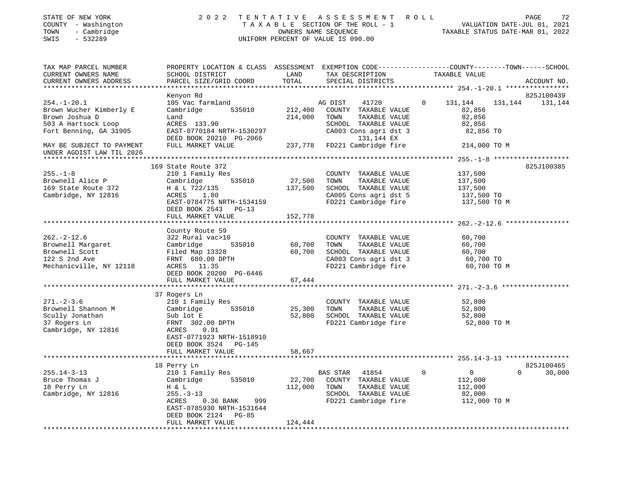| STATE OF NEW YORK<br>COUNTY - Washington<br>TOWN<br>- Cambridge<br>$-532289$<br>SWIS                                                                                                           | 2 0 2 2                                                                                                                                                                              |                              | TENTATIVE ASSESSMENT<br>T A X A B L E SECTION OF THE ROLL - 1<br>OWNERS NAME SEQUENCE<br>UNIFORM PERCENT OF VALUE IS 090.00                                                        | ROLL          | VALUATION DATE-JUL 01, 2021<br>TAXABLE STATUS DATE-MAR 01, 2022                                                   | PAGE<br>72            |
|------------------------------------------------------------------------------------------------------------------------------------------------------------------------------------------------|--------------------------------------------------------------------------------------------------------------------------------------------------------------------------------------|------------------------------|------------------------------------------------------------------------------------------------------------------------------------------------------------------------------------|---------------|-------------------------------------------------------------------------------------------------------------------|-----------------------|
| TAX MAP PARCEL NUMBER<br>CURRENT OWNERS NAME<br>CURRENT OWNERS ADDRESS                                                                                                                         | PROPERTY LOCATION & CLASS ASSESSMENT EXEMPTION CODE---------------COUNTY-------TOWN------SCHOOL<br>SCHOOL DISTRICT<br>PARCEL SIZE/GRID COORD                                         | LAND<br>TOTAL                | TAX DESCRIPTION<br>SPECIAL DISTRICTS                                                                                                                                               | TAXABLE VALUE |                                                                                                                   | ACCOUNT NO.           |
| $254. - 1 - 20.1$<br>Brown Wucher Kimberly E<br>Brown Joshua D<br>503 A Hartsock Loop<br>Fort Benning, GA 31905<br>MAY BE SUBJECT TO PAYMENT<br>UNDER AGDIST LAW TIL 2026<br>***************** | Kenyon Rd<br>105 Vac farmland<br>535010<br>Cambridge<br>Land<br>ACRES 133.90<br>EAST-0770184 NRTH-1530297<br>DEED BOOK 20210 PG-2066<br>FULL MARKET VALUE                            | 212,400<br>214,000           | AG DIST<br>41720<br>COUNTY TAXABLE VALUE<br>TOWN<br>TAXABLE VALUE<br>SCHOOL TAXABLE VALUE<br>CA003 Cons agri dst 3<br>131,144 EX<br>237,778 FD221 Cambridge fire                   | 0<br>131,144  | 131,144<br>82,856<br>82,856<br>82,856<br>82,856 TO<br>214,000 TO M<br>************* 255.-1-8 ******************** | 825J100439<br>131,144 |
| $255. - 1 - 8$<br>Brownell Alice P<br>169 State Route 372<br>Cambridge, NY 12816                                                                                                               | 169 State Route 372<br>210 1 Family Res<br>Cambridge<br>535010<br>H & L 722/135<br>ACRES<br>1.80<br>EAST-0784775 NRTH-1534159<br>DEED BOOK 2543 PG-13<br>FULL MARKET VALUE           | 27,500<br>137,500<br>152,778 | COUNTY TAXABLE VALUE<br>TOWN<br>TAXABLE VALUE<br>SCHOOL TAXABLE VALUE<br>CA005 Cons agri dst 5<br>FD221 Cambridge fire                                                             |               | 137,500<br>137,500<br>137,500<br>137,500 TO<br>137,500 TO M                                                       | 825J100385            |
| $262 - 2 - 12.6$<br>Brownell Margaret<br>Brownell Scott<br>122 S 2nd Ave<br>Mechanicville, NY 12118                                                                                            | County Route 59<br>322 Rural vac>10<br>Cambridge<br>535010<br>Filed Map 13328<br>FRNT 680.00 DPTH<br>ACRES 11.35<br>DEED BOOK 20200 PG-6446<br>FULL MARKET VALUE                     | 60,700<br>60,700<br>67,444   | COUNTY TAXABLE VALUE<br>TOWN<br>TAXABLE VALUE<br>SCHOOL TAXABLE VALUE<br>CA003 Cons agri dst 3<br>FD221 Cambridge fire                                                             |               | 60,700<br>60,700<br>60,700<br>60,700 TO<br>60,700 TO M                                                            |                       |
| $271 - 2 - 3.6$<br>Brownell Shannon M<br>Scully Jonathan<br>37 Rogers Ln<br>Cambridge, NY 12816                                                                                                | 37 Rogers Ln<br>210 1 Family Res<br>535010<br>Cambridge<br>Sub lot E<br>FRNT 302.00 DPTH<br>ACRES<br>0.91<br>EAST-0771923 NRTH-1518910<br>DEED BOOK 3524 PG-145<br>FULL MARKET VALUE | 25,300<br>52,800<br>58,667   | COUNTY TAXABLE VALUE<br>TOWN<br>TAXABLE VALUE<br>SCHOOL TAXABLE VALUE<br>FD221 Cambridge fire                                                                                      |               | 52,800<br>52,800<br>52,800<br>52,800 TO M                                                                         |                       |
| $255.14 - 3 - 13$<br>Bruce Thomas J<br>18 Perry Ln<br>Cambridge, NY 12816                                                                                                                      | 18 Perry Ln<br>210 1 Family Res<br>535010<br>Cambridge<br>H & L<br>$255. - 3 - 13$<br>ACRES<br>$0.36$ BANK<br>999                                                                    | 22,700<br>112,000            | ********************************** 255.14-3-13 *************<br>BAS STAR<br>41854<br>COUNTY TAXABLE VALUE<br>TOWN<br>TAXABLE VALUE<br>SCHOOL TAXABLE VALUE<br>FD221 Cambridge fire | 0             | 0<br>0<br>112,000<br>112,000<br>82,000<br>112,000 TO M                                                            | 825J100465<br>30,000  |
|                                                                                                                                                                                                | EAST-0785930 NRTH-1531644<br>DEED BOOK 2124<br>PG-85<br>FULL MARKET VALUE                                                                                                            | 124,444                      |                                                                                                                                                                                    |               |                                                                                                                   |                       |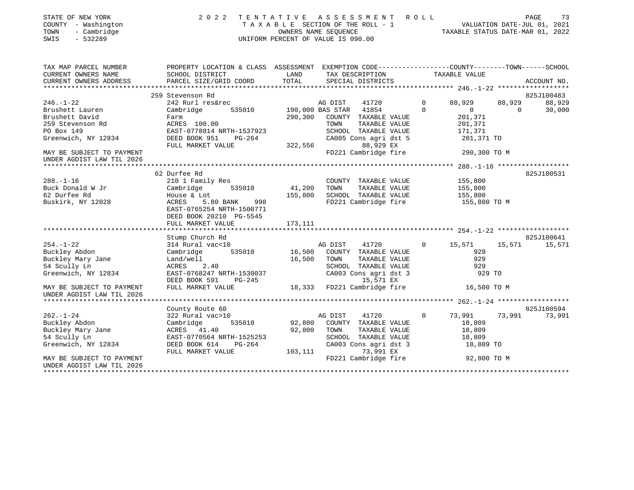| STATE OF NEW YORK |                          |              |
|-------------------|--------------------------|--------------|
| <b>COUNTY</b>     |                          | - Washington |
| TOWN              | $\overline{\phantom{0}}$ | Cambridge    |

### STATE OF NEW YORK 2 0 2 2 T E N T A T I V E A S S E S S M E N T R O L L PAGE 73 COUNTY - Washington T A X A B L E SECTION OF THE ROLL - 1 VALUATION DATE-JUL 01, 2021 TOWN - Cambridge OWNERS NAME SEQUENCE TAXABLE STATUS DATE-MAR 01, 2022 SWIS - 532289 UNIFORM PERCENT OF VALUE IS 090.00

| TAX MAP PARCEL NUMBER                                  | PROPERTY LOCATION & CLASS ASSESSMENT EXEMPTION CODE---------------COUNTY-------TOWN-----SCHOOL |         |                             |                |                          |          |             |
|--------------------------------------------------------|------------------------------------------------------------------------------------------------|---------|-----------------------------|----------------|--------------------------|----------|-------------|
| CURRENT OWNERS NAME                                    | SCHOOL DISTRICT                                                                                | LAND    | TAX DESCRIPTION             |                | TAXABLE VALUE            |          |             |
| CURRENT OWNERS ADDRESS                                 | PARCEL SIZE/GRID COORD                                                                         | TOTAL   | SPECIAL DISTRICTS           |                |                          |          | ACCOUNT NO. |
|                                                        |                                                                                                |         |                             |                |                          |          |             |
|                                                        | 259 Stevenson Rd                                                                               |         |                             |                |                          |          | 825J100483  |
| $246. - 1 - 22$                                        | 242 Rurl res&rec                                                                               |         | AG DIST<br>41720            | $\mathbf 0$    | 88,929                   | 88,929   | 88,929      |
| Brushett Lauren                                        | 535010<br>Cambridge                                                                            |         | 190,000 BAS STAR 41854      | $\Omega$       | $\overline{\phantom{0}}$ | $\Omega$ | 30,000      |
| Brushett David                                         | Farm                                                                                           | 290,300 | COUNTY TAXABLE VALUE        |                | 201,371                  |          |             |
| 259 Stevenson Rd                                       | ACRES 100.00                                                                                   |         | TOWN<br>TAXABLE VALUE       |                | 201,371                  |          |             |
| PO Box 149                                             | EAST-0778814 NRTH-1537923                                                                      |         | SCHOOL TAXABLE VALUE        |                | 171,371                  |          |             |
| Greenwich, NY 12834                                    | DEED BOOK 951<br>PG-264                                                                        |         | CA005 Cons agri dst 5       |                | 201,371 TO               |          |             |
|                                                        | FULL MARKET VALUE                                                                              | 322,556 | 88,929 EX                   |                |                          |          |             |
| MAY BE SUBJECT TO PAYMENT                              |                                                                                                |         | FD221 Cambridge fire        |                | 290,300 TO M             |          |             |
| UNDER AGDIST LAW TIL 2026                              |                                                                                                |         |                             |                |                          |          |             |
|                                                        |                                                                                                |         |                             |                |                          |          |             |
|                                                        | 62 Durfee Rd                                                                                   |         |                             |                |                          |          | 825J100531  |
| $288. - 1 - 16$                                        | 210 1 Family Res                                                                               |         | COUNTY TAXABLE VALUE        |                | 155,800                  |          |             |
| Buck Donald W Jr                                       | Cambridge<br>535010                                                                            | 41,200  | TOWN<br>TAXABLE VALUE       |                | 155,800                  |          |             |
| 62 Durfee Rd                                           | House & Lot                                                                                    | 155,800 | SCHOOL TAXABLE VALUE        |                | 155,800                  |          |             |
| Buskirk, NY 12028                                      | 5.80 BANK<br>ACRES<br>998                                                                      |         | FD221 Cambridge fire        |                | 155,800 TO M             |          |             |
|                                                        | EAST-0765254 NRTH-1500771                                                                      |         |                             |                |                          |          |             |
|                                                        | DEED BOOK 20210 PG-5545                                                                        |         |                             |                |                          |          |             |
|                                                        | FULL MARKET VALUE                                                                              | 173,111 |                             |                |                          |          |             |
|                                                        |                                                                                                |         |                             |                |                          |          |             |
|                                                        | Stump Church Rd                                                                                |         |                             |                |                          |          | 825J100641  |
| $254. - 1 - 22$                                        | 314 Rural vac<10                                                                               |         | AG DIST<br>41720            | $\overline{0}$ | 15,571                   | 15,571   | 15,571      |
| Buckley Abdon                                          | 535010<br>Cambridge                                                                            |         | 16,500 COUNTY TAXABLE VALUE |                | 929                      |          |             |
| Buckley Mary Jane                                      | Land/well                                                                                      | 16,500  | TAXABLE VALUE<br>TOWN       |                | 929                      |          |             |
| 54 Scully Ln                                           | 2.40<br>ACRES                                                                                  |         | SCHOOL TAXABLE VALUE        |                | 929                      |          |             |
| Greenwich, NY 12834                                    | EAST-0768247 NRTH-1530037                                                                      |         | CA003 Cons agri dst 3       |                | 929 TO                   |          |             |
|                                                        | DEED BOOK 591<br>$PG-245$                                                                      |         | 15,571 EX                   |                |                          |          |             |
| MAY BE SUBJECT TO PAYMENT<br>UNDER AGDIST LAW TIL 2026 | FULL MARKET VALUE                                                                              | 18,333  | FD221 Cambridge fire        |                | 16,500 TO M              |          |             |
|                                                        |                                                                                                |         |                             |                |                          |          |             |
|                                                        | County Route 60                                                                                |         |                             |                |                          |          | 825J100594  |
| $262. - 1 - 24$                                        | 322 Rural vac>10                                                                               |         | AG DIST<br>41720            | $\circ$        | 73,991                   | 73,991   | 73,991      |
| Buckley Abdon                                          | 535010<br>Cambridge                                                                            | 92,800  | COUNTY TAXABLE VALUE        |                | 18,809                   |          |             |
| Buckley Mary Jane                                      | ACRES 41.40                                                                                    | 92,800  | TOWN<br>TAXABLE VALUE       |                | 18,809                   |          |             |
| 54 Scully Ln                                           | EAST-0770564 NRTH-1525253                                                                      |         | SCHOOL TAXABLE VALUE        |                | 18,809                   |          |             |
| Greenwich, NY 12834                                    |                                                                                                |         | CA003 Cons agri dst 3       |                |                          |          |             |
|                                                        | DEED BOOK 614<br>PG-264<br>FULL MARKET VALUE                                                   |         | 73,991 EX                   |                | 18,809 TO                |          |             |
| MAY BE SUBJECT TO PAYMENT                              |                                                                                                | 103,111 | FD221 Cambridge fire        |                | 92,800 TO M              |          |             |
|                                                        |                                                                                                |         |                             |                |                          |          |             |
| UNDER AGDIST LAW TIL 2026                              |                                                                                                |         |                             |                |                          |          |             |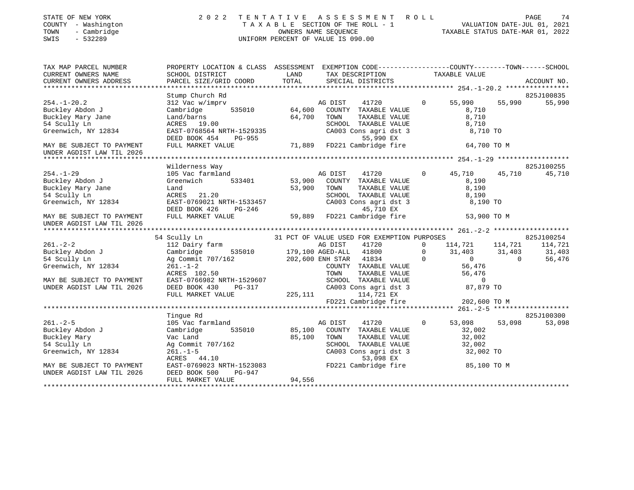| STATE OF NEW YORK<br>COUNTY - Washington<br>- Cambridge<br>TOWN<br>SWIS<br>$-532289$ | 2 0 2 2                                                                                        |        | FENTATIVE ASSESSMENT ROLL PAGE 74<br>TAXABLE SECTION OF THE ROLL - 1 VALUATION DATE-JUL 01, 2021<br>OWNERS NAME SEQUENCE TAXABLE STATUS DATE-MAR 01, 2022<br>TENTATIVE ASSESSMENT ROLL<br>UNIFORM PERCENT OF VALUE IS 090.00 |                |                         |          |                      |
|--------------------------------------------------------------------------------------|------------------------------------------------------------------------------------------------|--------|------------------------------------------------------------------------------------------------------------------------------------------------------------------------------------------------------------------------------|----------------|-------------------------|----------|----------------------|
| TAX MAP PARCEL NUMBER                                                                | PROPERTY LOCATION & CLASS ASSESSMENT EXEMPTION CODE---------------COUNTY-------TOWN-----SCHOOL |        |                                                                                                                                                                                                                              |                |                         |          |                      |
| CURRENT OWNERS NAME                                                                  | SCHOOL DISTRICT                                                                                | LAND   | TAX DESCRIPTION                                                                                                                                                                                                              |                | TAXABLE VALUE           |          |                      |
| CURRENT OWNERS ADDRESS                                                               | PARCEL SIZE/GRID COORD                                                                         | TOTAL  | SPECIAL DISTRICTS                                                                                                                                                                                                            |                |                         |          | ACCOUNT NO.          |
|                                                                                      |                                                                                                |        |                                                                                                                                                                                                                              |                |                         |          |                      |
| $254. - 1 - 20.2$                                                                    | Stump Church Rd<br>312 Vac w/imprv                                                             |        | AG DIST<br>41720                                                                                                                                                                                                             | $\Omega$       | 55,990                  | 55,990   | 825J100835<br>55,990 |
| Buckley Abdon J                                                                      | 535010<br>Cambridge                                                                            | 64,600 | COUNTY TAXABLE VALUE                                                                                                                                                                                                         |                | 8,710                   |          |                      |
| Buckley Mary Jane                                                                    | Land/barns                                                                                     | 64,700 | TOWN<br>TAXABLE VALUE                                                                                                                                                                                                        |                | 8,710                   |          |                      |
| 54 Scully Ln                                                                         | ACRES 19.00                                                                                    |        | SCHOOL TAXABLE VALUE                                                                                                                                                                                                         |                | 8,710                   |          |                      |
| Greenwich, NY 12834                                                                  | EAST-0768564 NRTH-1529335                                                                      |        | CA003 Cons agri dst 3                                                                                                                                                                                                        |                | 8,710 TO                |          |                      |
|                                                                                      | DEED BOOK 454<br>PG-955                                                                        |        | 55,990 EX                                                                                                                                                                                                                    |                |                         |          |                      |
| MAY BE SUBJECT TO PAYMENT                                                            | FULL MARKET VALUE                                                                              | 71,889 | FD221 Cambridge fire                                                                                                                                                                                                         |                | 64,700 TO M             |          |                      |
| UNDER AGDIST LAW TIL 2026                                                            |                                                                                                |        |                                                                                                                                                                                                                              |                |                         |          |                      |
|                                                                                      |                                                                                                |        |                                                                                                                                                                                                                              |                |                         |          |                      |
|                                                                                      | Wilderness Way                                                                                 |        |                                                                                                                                                                                                                              |                |                         |          | 825J100255           |
| $254. - 1 - 29$                                                                      | 105 Vac farmland                                                                               |        | AG DIST<br>41720                                                                                                                                                                                                             | $\circ$        | 45,710                  | 45,710   | 45,710               |
| Buckley Abdon J                                                                      | Greenwich<br>533401                                                                            | 53,900 | COUNTY TAXABLE VALUE                                                                                                                                                                                                         |                | 8,190                   |          |                      |
| Buckley Mary Jane                                                                    | Land                                                                                           | 53,900 | TOWN<br>TAXABLE VALUE                                                                                                                                                                                                        |                | 8,190                   |          |                      |
| 54 Scully Ln                                                                         | ACRES 21.20                                                                                    |        | SCHOOL TAXABLE VALUE                                                                                                                                                                                                         |                | 8,190                   |          |                      |
| Greenwich, NY 12834                                                                  | EAST-0769021 NRTH-1533457                                                                      |        | CA003 Cons agri dst 3                                                                                                                                                                                                        |                | 8,190 TO                |          |                      |
|                                                                                      | DEED BOOK 426                                                                                  |        | PG-246 45,710 EX<br>LUE 59,889 FD221 Cambridge fire                                                                                                                                                                          |                |                         |          |                      |
| MAY BE SUBJECT TO PAYMENT<br>UNDER AGDIST LAW TIL 2026                               | FULL MARKET VALUE                                                                              |        |                                                                                                                                                                                                                              |                | 53,900 TO M             |          |                      |
|                                                                                      |                                                                                                |        |                                                                                                                                                                                                                              |                |                         |          |                      |
|                                                                                      | 54 Scully Ln                                                                                   |        | 31 PCT OF VALUE USED FOR EXEMPTION PURPOSES                                                                                                                                                                                  |                |                         |          | 825J100254           |
| $261. - 2 - 2$                                                                       | 112 Dairy farm                                                                                 |        |                                                                                                                                                                                                                              | $\Omega$       | 114,721 114,721 114,721 |          |                      |
|                                                                                      | Cambridge<br>535010                                                                            |        | AG DIST 41720<br>179,100 AGED-ALL 41800                                                                                                                                                                                      | $\Omega$       | 31,403                  | 31,403   | 31,403               |
| Buckley Abdon J<br>54 Saully Ln<br>54 Scully Ln                                      | Ag Commit 707/162 202,600 ENH STAR 41834                                                       |        |                                                                                                                                                                                                                              | $\Omega$       | $\overline{0}$          | $\Omega$ | 56,476               |
| Greenwich, NY 12834                                                                  | $261. - 1 - 2$                                                                                 |        | COUNTY TAXABLE VALUE                                                                                                                                                                                                         |                | 56,476                  |          |                      |
|                                                                                      | ACRES 102.50                                                                                   |        | TOWN                                                                                                                                                                                                                         | TAXABLE VALUE  | 56,476                  |          |                      |
| MAY BE SUBJECT TO PAYMENT                                                            | EAST-0766982 NRTH-1529607                                                                      |        | SCHOOL TAXABLE VALUE                                                                                                                                                                                                         |                | $\mathbf 0$             |          |                      |
| UNDER AGDIST LAW TIL 2026                                                            | DEED BOOK 430<br>PG-317                                                                        |        | CA003 Cons agri dst 3                                                                                                                                                                                                        |                | 87,879 TO               |          |                      |
|                                                                                      | FULL MARKET VALUE                                                                              |        | 225, 111<br>114,721 EX                                                                                                                                                                                                       |                |                         |          |                      |
|                                                                                      |                                                                                                |        | FD221 Cambridge fire                                                                                                                                                                                                         |                | 202,600 TO M            |          |                      |
|                                                                                      |                                                                                                |        |                                                                                                                                                                                                                              |                |                         |          |                      |
|                                                                                      | Tinque Rd                                                                                      |        |                                                                                                                                                                                                                              |                |                         |          | 825J100300           |
| $261. - 2 - 5$                                                                       | 105 Vac farmland                                                                               |        | AG DIST<br>41720                                                                                                                                                                                                             | $\overline{0}$ | 53,098                  | 53,098   | 53,098               |
| Buckley Abdon J                                                                      | Cambridge<br>535010                                                                            | 85,100 | COUNTY TAXABLE VALUE                                                                                                                                                                                                         |                | 32,002                  |          |                      |
| Buckley Mary                                                                         | Vac Land                                                                                       | 85,100 | TAXABLE VALUE<br>TOWN                                                                                                                                                                                                        |                | 32,002                  |          |                      |
| 54 Scully Ln                                                                         | Ag Commit 707/162                                                                              |        | SCHOOL TAXABLE VALUE                                                                                                                                                                                                         |                | 32,002                  |          |                      |
| Greenwich, NY 12834                                                                  | $261. - 1 - 5$<br>ACRES 44.10                                                                  |        | CA003 Cons agri dst 3                                                                                                                                                                                                        | 53,098 EX      | 32,002 TO               |          |                      |
| MAY BE SUBJECT TO PAYMENT                                                            | EAST-0769023 NRTH-1523083                                                                      |        | FD221 Cambridge fire                                                                                                                                                                                                         |                | 85,100 TO M             |          |                      |
| UNDER AGDIST LAW TIL 2026                                                            | DEED BOOK 500<br>PG-947                                                                        |        |                                                                                                                                                                                                                              |                |                         |          |                      |
|                                                                                      | FULL MARKET VALUE                                                                              | 94,556 |                                                                                                                                                                                                                              |                |                         |          |                      |
| *************************                                                            |                                                                                                |        |                                                                                                                                                                                                                              |                |                         |          |                      |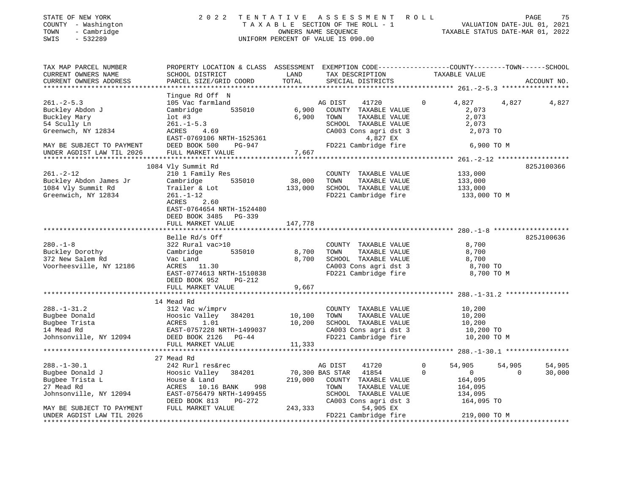| STATE OF NEW YORK<br>COUNTY - Washington<br>- Cambridge<br>TOWN<br>$-532289$<br>SWIS | 2022 TENTATIVE ASSESSMENT ROLL                                                                                    | UNIFORM PERCENT OF VALUE IS 090.00 |                        |                                                                                   | T A X A B L E SECTION OF THE ROLL - 1 WALUATION DATE-JUL 01, 2021<br>OWNERS NAME SEQUENCE TAXABLE STATUS DATE-MAR 01, 2022 |        | PAGE<br>75  |
|--------------------------------------------------------------------------------------|-------------------------------------------------------------------------------------------------------------------|------------------------------------|------------------------|-----------------------------------------------------------------------------------|----------------------------------------------------------------------------------------------------------------------------|--------|-------------|
| TAX MAP PARCEL NUMBER<br>CURRENT OWNERS NAME                                         | PROPERTY LOCATION & CLASS ASSESSMENT EXEMPTION CODE---------------COUNTY-------TOWN-----SCHOOL<br>SCHOOL DISTRICT | LAND                               |                        |                                                                                   | TAX DESCRIPTION TAXABLE VALUE                                                                                              |        |             |
| CURRENT OWNERS ADDRESS                                                               | PARCEL SIZE/GRID COORD                                                                                            | TOTAL                              |                        | SPECIAL DISTRICTS                                                                 |                                                                                                                            |        | ACCOUNT NO. |
|                                                                                      | Tingue Rd Off N                                                                                                   |                                    |                        |                                                                                   |                                                                                                                            |        |             |
| $261 - 2 - 5.3$<br>Buckley Abdon J<br>Buckley Mary                                   | 105 Vac farmland<br>Cambridge 535010<br>$1$ ot #3                                                                 | 6,900<br>6,900                     | AG DIST<br>TOWN        | 41720<br>COUNTY TAXABLE VALUE<br>TAXABLE VALUE                                    | $\overline{0}$<br>4,827<br>2,073<br>2,073                                                                                  | 4,827  | 4,827       |
| 54 Scully Ln<br>Greenwch, NY 12834                                                   | $261. -1 - 5.3$<br>$-4.69$<br>ACRES<br>EAST-0769106 NRTH-1525361                                                  |                                    |                        | SCHOOL TAXABLE VALUE<br>SCHOOL TAXABLE VALUE<br>CA003 Cons agri dst 3<br>4,827 EX | 2,073<br>2,073 TO                                                                                                          |        |             |
| MAY BE SUBJECT TO PAYMENT<br>UNDER AGDIST LAW TIL 2026                               | DEED BOOK 500 PG-947<br>FULL MARKET VALUE                                                                         | 7,667                              |                        | FD221 Cambridge fire                                                              | 6,900 TO M                                                                                                                 |        |             |
|                                                                                      |                                                                                                                   |                                    |                        |                                                                                   |                                                                                                                            |        |             |
|                                                                                      | 1084 Vly Summit Rd                                                                                                |                                    |                        |                                                                                   |                                                                                                                            |        | 825J100366  |
| $261. - 2 - 12$                                                                      | 210 1 Family Res                                                                                                  |                                    |                        | COUNTY TAXABLE VALUE                                                              | 133,000                                                                                                                    |        |             |
| Buckley Abdon James Jr                                                               | Cambridge<br>535010                                                                                               | 38,000                             | TOWN                   | TAXABLE VALUE                                                                     | 133,000                                                                                                                    |        |             |
| 1084 Vly Summit Rd                                                                   | Trailer & Lot                                                                                                     | 133,000                            |                        | SCHOOL TAXABLE VALUE                                                              | 133,000                                                                                                                    |        |             |
| Greenwich, NY 12834                                                                  | $261. - 1 - 12$<br>ACRES<br>2.60<br>EAST-0764654 NRTH-1524480<br>DEED BOOK 3485 PG-339<br>FULL MARKET VALUE       | 147,778                            |                        | FD221 Cambridge fire                                                              | 133,000 TO M                                                                                                               |        |             |
|                                                                                      |                                                                                                                   |                                    |                        |                                                                                   |                                                                                                                            |        |             |
|                                                                                      | Belle Rd/s Off                                                                                                    |                                    |                        |                                                                                   |                                                                                                                            |        | 825J100636  |
| $280. -1 - 8$                                                                        | 322 Rural vac>10                                                                                                  |                                    |                        | COUNTY TAXABLE VALUE                                                              | 8,700                                                                                                                      |        |             |
| Buckley Dorothy                                                                      | Cambridge<br>535010                                                                                               | 8,700                              | TOWN                   | TAXABLE VALUE                                                                     | 8,700                                                                                                                      |        |             |
| 372 New Salem Rd                                                                     | Vac Land                                                                                                          | 8,700                              |                        | SCHOOL TAXABLE VALUE                                                              |                                                                                                                            |        |             |
| Voorheesville, NY 12186                                                              | ACRES 11.30                                                                                                       |                                    |                        | CA003 Cons agri dst 3                                                             | $8,100$ TO<br>$8,700$ TO                                                                                                   |        |             |
|                                                                                      | EAST-0774613 NRTH-1510838<br>DEED BOOK 952 PG-212                                                                 |                                    |                        | FD221 Cambridge fire                                                              | 8,700 TO M                                                                                                                 |        |             |
|                                                                                      | FULL MARKET VALUE                                                                                                 | 9,667                              |                        |                                                                                   |                                                                                                                            |        |             |
|                                                                                      |                                                                                                                   |                                    |                        |                                                                                   |                                                                                                                            |        |             |
|                                                                                      | 14 Mead Rd                                                                                                        |                                    |                        |                                                                                   |                                                                                                                            |        |             |
| $288. - 1 - 31.2$                                                                    | 312 Vac w/imprv                                                                                                   |                                    |                        | COUNTY TAXABLE VALUE                                                              | 10,200                                                                                                                     |        |             |
| Bugbee Donald                                                                        | Hoosic Valley 384201                                                                                              | 10,100                             | TOWN                   | TAXABLE VALUE                                                                     | 10,200                                                                                                                     |        |             |
| Bugbee Trista                                                                        | ACRES<br>1.01                                                                                                     | 10,200                             |                        | SCHOOL TAXABLE VALUE                                                              | 10,200                                                                                                                     |        |             |
| 14 Mead Rd                                                                           | EAST-0757228 NRTH-1499037                                                                                         |                                    |                        | CA003 Cons agri dst 3                                                             | 10,200 TO<br>FD221 Cambridge fire 10,200 TO M                                                                              |        |             |
| Johnsonville, NY 12094 DEED BOOK 2126 PG-44                                          | FULL MARKET VALUE                                                                                                 | 11,333                             |                        |                                                                                   |                                                                                                                            |        |             |
|                                                                                      | ***************************                                                                                       |                                    |                        |                                                                                   |                                                                                                                            |        |             |
|                                                                                      | 27 Mead Rd                                                                                                        |                                    |                        |                                                                                   |                                                                                                                            |        |             |
| $288. - 1 - 30.1$                                                                    | 242 Rurl res&rec                                                                                                  |                                    | AG DIST                | 41720                                                                             | $\circ$<br>54,905                                                                                                          | 54,905 | 54,905      |
| Pugboo Donald T                                                                      | $H_{0.0010}$ $M_{0}$ <sup>1</sup> $M_{0}$ 201201                                                                  |                                    | 11954 פגידיס סגם 100 ח |                                                                                   | $\cap$<br>$\sim$ 0 20 000                                                                                                  |        |             |

|                           | 27 Mead Rd                |         |                 |                       |   |              |          |        |
|---------------------------|---------------------------|---------|-----------------|-----------------------|---|--------------|----------|--------|
| $288. - 1 - 30.1$         | 242 Rurl res&rec          |         | AG DIST         | 41720                 | 0 | 54,905       | 54,905   | 54,905 |
| Bugbee Donald J           | Hoosic Valley<br>384201   |         | 70,300 BAS STAR | 41854                 |   |              | $\Omega$ | 30,000 |
| Bugbee Trista L           | House & Land              | 219,000 | COUNTY          | TAXABLE VALUE         |   | 164,095      |          |        |
| 27 Mead Rd                | 998<br>ACRES 10.16 BANK   |         | TOWN            | TAXABLE VALUE         |   | 164,095      |          |        |
| Johnsonville, NY 12094    | EAST-0756479 NRTH-1499455 |         | SCHOOL          | TAXABLE VALUE         |   | 134,095      |          |        |
|                           | DEED BOOK 813<br>PG-272   |         |                 | CA003 Cons agri dst 3 |   | 164,095 TO   |          |        |
| MAY BE SUBJECT TO PAYMENT | FULL MARKET VALUE         | 243,333 |                 | 54,905 EX             |   |              |          |        |
| UNDER AGDIST LAW TIL 2026 |                           |         |                 | FD221 Cambridge fire  |   | 219,000 TO M |          |        |
|                           |                           |         |                 |                       |   |              |          |        |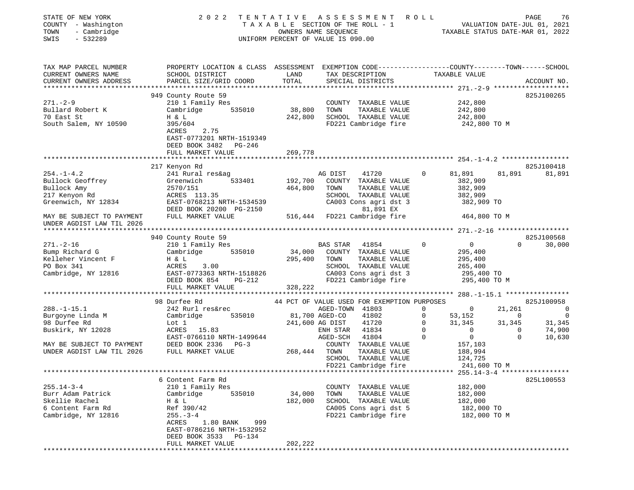| STATE OF NEW YORK<br>COUNTY - Washington                                                                              | 2022                                                                                                                      | TENTATIVE         | A S S E S S M E N T<br>TAXABLE SECTION OF THE ROLL - 1                                                                                      | R O L L     | VALUATION DATE-JUL 01, 2021<br>TAXABLE STATUS DATE-MAR 01, 2022               |                | PAGE<br>76      |
|-----------------------------------------------------------------------------------------------------------------------|---------------------------------------------------------------------------------------------------------------------------|-------------------|---------------------------------------------------------------------------------------------------------------------------------------------|-------------|-------------------------------------------------------------------------------|----------------|-----------------|
| TOWN<br>- Cambridge<br>$-532289$<br>SWIS                                                                              |                                                                                                                           |                   | OWNERS NAME SEQUENCE<br>UNIFORM PERCENT OF VALUE IS 090.00                                                                                  |             |                                                                               |                |                 |
| TAX MAP PARCEL NUMBER<br>CURRENT OWNERS NAME                                                                          | PROPERTY LOCATION & CLASS ASSESSMENT EXEMPTION CODE----------------COUNTY-------TOWN------SCHOOL<br>SCHOOL DISTRICT       | LAND              | TAX DESCRIPTION                                                                                                                             |             | TAXABLE VALUE                                                                 |                |                 |
| CURRENT OWNERS ADDRESS                                                                                                | PARCEL SIZE/GRID COORD                                                                                                    | TOTAL             | SPECIAL DISTRICTS                                                                                                                           |             |                                                                               |                | ACCOUNT NO.     |
|                                                                                                                       | 949 County Route 59                                                                                                       |                   |                                                                                                                                             |             |                                                                               |                | 825J100265      |
| 271.-2-9                                                                                                              | 210 1 Family Res                                                                                                          |                   | COUNTY TAXABLE VALUE                                                                                                                        |             | 242,800                                                                       |                |                 |
| Bullard Robert K                                                                                                      | Cambridge 535010                                                                                                          | 38,800            | TAXABLE VALUE<br>TOWN                                                                                                                       |             | 242,800                                                                       |                |                 |
| 70 East St<br>South Salem, NY 10590                                                                                   | H & L<br>395/604<br>ACRES<br>2.75<br>EAST-0773201 NRTH-1519349<br>DEED BOOK 3482 PG-246                                   |                   | 242,800 SCHOOL TAXABLE VALUE<br>FD221 Cambridge fire                                                                                        |             | 242,800<br>242,800 TO M                                                       |                |                 |
|                                                                                                                       | FULL MARKET VALUE                                                                                                         | 269,778           |                                                                                                                                             |             |                                                                               |                |                 |
|                                                                                                                       | 217 Kenyon Rd                                                                                                             |                   |                                                                                                                                             |             |                                                                               |                | 825J100418      |
| $254. - 1 - 4.2$<br>Bullock Geoffrey<br>Bullock Amy<br>217 Kenyon Rd<br>Greenwich, NY 12834 EAST-0768213 NRTH-1534539 | 241 Rural res&ag<br>Greenwich<br>533401<br>2570/151<br>ACRES 113.35<br>DEED BOOK 20200 PG-2150                            | 464,800           | 41720<br>AG DIST<br>192,700 COUNTY TAXABLE VALUE<br>TOWN<br>TAXABLE VALUE<br>SCHOOL TAXABLE VALUE<br>CA003 Cons agri dst 3<br>81,891 EX     | $\circ$     | 81,891<br>382,909<br>382,909<br>382,909<br>382,909 TO                         | 81,891         | 81,891          |
| MAY BE SUBJECT TO PAYMENT<br>UNDER AGDIST LAW TIL 2026                                                                | FULL MARKET VALUE                                                                                                         |                   | 516,444 FD221 Cambridge fire                                                                                                                |             | 464,800 TO M                                                                  |                |                 |
|                                                                                                                       | 940 County Route 59                                                                                                       |                   |                                                                                                                                             |             |                                                                               |                | 825J100568      |
| $271. - 2 - 16$<br>Bump Richard G<br>Kelleher Vincent F<br>PO Box 341<br>Cambridge, NY 12816                          | 210 1 Family Res<br>Cambridge<br>535010<br>H & L<br>ACRES<br>3.00<br>EAST-0773363 NRTH-1518826<br>DEED BOOK 854<br>PG-212 | 34,000<br>295,400 | BAS STAR<br>41854<br>COUNTY TAXABLE VALUE<br>TAXABLE VALUE<br>TOWN<br>SCHOOL TAXABLE VALUE<br>CA003 Cons agri dst 3<br>FD221 Cambridge fire | $\mathbf 0$ | $\overline{0}$<br>295,400<br>295,400<br>265,400<br>295,400 TO<br>295,400 TO M | $\Omega$       | 30,000          |
|                                                                                                                       | FULL MARKET VALUE                                                                                                         | 328,222           |                                                                                                                                             |             |                                                                               |                |                 |
|                                                                                                                       |                                                                                                                           |                   |                                                                                                                                             |             |                                                                               |                |                 |
| $288. - 1 - 15.1$                                                                                                     | 98 Durfee Rd<br>242 Rurl res&rec                                                                                          |                   | 44 PCT OF VALUE USED FOR EXEMPTION PURPOSES<br>AGED-TOWN 41803                                                                              | 0           | $\sim$ 0                                                                      | 21,261         | 825J100958<br>0 |
| Burgoyne Linda M                                                                                                      | 535010<br>Cambridge                                                                                                       |                   | 81,700 AGED-CO<br>41802                                                                                                                     | $\mathbf 0$ | 53,152                                                                        | $\overline{0}$ | $\overline{0}$  |
| 98 Durfee Rd                                                                                                          | Lot 1                                                                                                                     |                   | 41720<br>241,600 AG DIST                                                                                                                    | $\circ$     | 31,345                                                                        | 31,345         | 31,345          |
| Buskirk, NY 12028                                                                                                     | ACRES 15.83                                                                                                               |                   | 41834<br>ENH STAR                                                                                                                           | $\mathbf 0$ | $\Omega$                                                                      | $\Omega$       | 74,900          |
|                                                                                                                       | EAST-0766110 NRTH-1499644<br>DEED BOOK 2336 PG-3                                                                          |                   | AGED-SCH<br>41804                                                                                                                           | $\Omega$    | $\overline{0}$                                                                | $\Omega$       | 10,630          |
| MAY BE SUBJECT TO PAYMENT<br>UNDER AGDIST LAW TIL 2026                                                                | FULL MARKET VALUE                                                                                                         | 268,444 TOWN      | COUNTY TAXABLE VALUE<br>TAXABLE VALUE<br>SCHOOL TAXABLE VALUE                                                                               |             | 157,103<br>188,994<br>124,725                                                 |                |                 |
|                                                                                                                       |                                                                                                                           |                   | FD221 Cambridge fire                                                                                                                        |             | 241,600 TO M                                                                  |                |                 |
|                                                                                                                       | 6 Content Farm Rd                                                                                                         |                   |                                                                                                                                             |             |                                                                               |                | 825L100553      |
| $255.14 - 3 - 4$                                                                                                      | 210 1 Family Res                                                                                                          |                   | COUNTY<br>TAXABLE VALUE                                                                                                                     |             | 182,000                                                                       |                |                 |
| Burr Adam Patrick                                                                                                     | 535010<br>Cambridge                                                                                                       | 34,000            | TOWN<br>TAXABLE VALUE                                                                                                                       |             | 182,000                                                                       |                |                 |
| Skellie Rachel                                                                                                        | H & L                                                                                                                     | 182,000           | SCHOOL TAXABLE VALUE                                                                                                                        |             | 182,000                                                                       |                |                 |
| 6 Content Farm Rd<br>Cambridge, NY 12816                                                                              | Ref 390/42<br>$255. - 3 - 4$<br>ACRES<br>1.80 BANK<br>999<br>EAST-0786216 NRTH-1532952<br>DEED BOOK 3533<br>$PG-134$      |                   | CA005 Cons agri dst 5<br>FD221 Cambridge fire                                                                                               |             | 182,000 TO<br>182,000 TO M                                                    |                |                 |
|                                                                                                                       | FULL MARKET VALUE                                                                                                         | 202,222           |                                                                                                                                             |             |                                                                               |                |                 |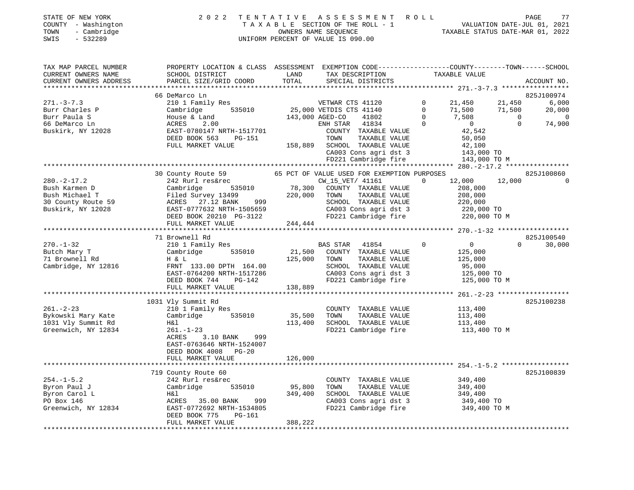| STATE OF NEW YORK   | 2022 TENTATIVE ASSESSMENT ROLL     | PAGE                             |
|---------------------|------------------------------------|----------------------------------|
| COUNTY - Washington | TAXABLE SECTION OF THE ROLL - 1    | VALUATION DATE-JUL 01, 2021      |
| - Cambridge<br>TOWN | OWNERS NAME SEOUENCE               | TAXABLE STATUS DATE-MAR 01, 2022 |
| SWIS<br>- 532289    | UNIFORM PERCENT OF VALUE IS 090.00 |                                  |

| TAX MAP PARCEL NUMBER                                                                                                                                                                                                                                  | PROPERTY LOCATION & CLASS ASSESSMENT EXEMPTION CODE---------------COUNTY-------TOWN-----SCHOOL                                                                                                                                       |         |                                                                                                                        |                                                |                    |
|--------------------------------------------------------------------------------------------------------------------------------------------------------------------------------------------------------------------------------------------------------|--------------------------------------------------------------------------------------------------------------------------------------------------------------------------------------------------------------------------------------|---------|------------------------------------------------------------------------------------------------------------------------|------------------------------------------------|--------------------|
| CURRENT OWNERS NAME                                                                                                                                                                                                                                    | SCHOOL DISTRICT                                                                                                                                                                                                                      | LAND    | TAX DESCRIPTION                                                                                                        | TAXABLE VALUE                                  |                    |
| CURRENT OWNERS ADDRESS                                                                                                                                                                                                                                 | PARCEL SIZE/GRID COORD                                                                                                                                                                                                               | TOTAL   | SPECIAL DISTRICTS                                                                                                      |                                                | ACCOUNT NO.        |
|                                                                                                                                                                                                                                                        | 66 DeMarco Ln                                                                                                                                                                                                                        |         |                                                                                                                        |                                                | 825J100974         |
| $271. - 3 - 7.3$                                                                                                                                                                                                                                       | 210 1 Family Res                                                                                                                                                                                                                     |         | 19 Res<br>535010 143,000 VETDIS CTS 41140 0 11,500 11,500<br>143,000 AGED-CO 41802 0 7,508 0<br>RNH STAR 41834 0 10 10 |                                                | 6,000              |
| Burr Charles P                                                                                                                                                                                                                                         | Cambridge                                                                                                                                                                                                                            |         |                                                                                                                        |                                                | 20,000             |
| Burr Paula S                                                                                                                                                                                                                                           | House & Land                                                                                                                                                                                                                         |         |                                                                                                                        |                                                | $\overline{0}$     |
| 66 DeMarco Ln                                                                                                                                                                                                                                          | ACRES<br>2.00                                                                                                                                                                                                                        |         |                                                                                                                        |                                                | 74,900             |
| Buskirk, NY 12028                                                                                                                                                                                                                                      | ACRES 2.00<br>EAST-0780147 NRTH-1517701                                                                                                                                                                                              |         | COUNTY TAXABLE VALUE                                                                                                   | $0$<br>42,542                                  |                    |
|                                                                                                                                                                                                                                                        | DEED BOOK 563<br>PG-151                                                                                                                                                                                                              |         |                                                                                                                        |                                                |                    |
|                                                                                                                                                                                                                                                        | FULL MARKET VALUE                                                                                                                                                                                                                    |         | 158,889 SCHOOL TAXABLE VALUE                                                                                           |                                                |                    |
|                                                                                                                                                                                                                                                        |                                                                                                                                                                                                                                      |         |                                                                                                                        | 143,000 TO                                     |                    |
|                                                                                                                                                                                                                                                        |                                                                                                                                                                                                                                      |         |                                                                                                                        | 143,000 TO M                                   |                    |
|                                                                                                                                                                                                                                                        |                                                                                                                                                                                                                                      |         |                                                                                                                        |                                                |                    |
|                                                                                                                                                                                                                                                        |                                                                                                                                                                                                                                      |         | 42,542<br>2000 TAXABLE VALUE<br>CA003 Cons agri dst 3<br>FD221 Cambridge fire<br>143,000<br>UE USED FOR THE MANUELY    |                                                | 825J100860         |
|                                                                                                                                                                                                                                                        | 30 County Route 59 65 PCT OF VALUE USED FOR EXEMPTION PURPOSES                                                                                                                                                                       |         |                                                                                                                        | $0 \t 12,000 \t 12,000$                        | $\Omega$           |
|                                                                                                                                                                                                                                                        |                                                                                                                                                                                                                                      |         |                                                                                                                        |                                                |                    |
| 380.-2-17.2<br>Bush Karmen D<br>Bush Michael T<br>30 County Route 59<br>Buskirk, NY 12028<br>Buskirk, NY 12028<br>Buskirk, NY 12028<br>CRES 27.12 BANK<br>Buskirk, NY 12028<br>CRES 27.12 BANK<br>CRES 27.12 BANK<br>CRES 27.12 BANK<br>CRES 27.12 BAN |                                                                                                                                                                                                                                      |         |                                                                                                                        |                                                |                    |
|                                                                                                                                                                                                                                                        |                                                                                                                                                                                                                                      |         |                                                                                                                        |                                                |                    |
|                                                                                                                                                                                                                                                        |                                                                                                                                                                                                                                      |         |                                                                                                                        |                                                |                    |
|                                                                                                                                                                                                                                                        |                                                                                                                                                                                                                                      |         |                                                                                                                        |                                                |                    |
|                                                                                                                                                                                                                                                        |                                                                                                                                                                                                                                      | 244,444 |                                                                                                                        |                                                |                    |
|                                                                                                                                                                                                                                                        | FULL MARKET VALUE                                                                                                                                                                                                                    |         |                                                                                                                        |                                                |                    |
|                                                                                                                                                                                                                                                        |                                                                                                                                                                                                                                      |         |                                                                                                                        |                                                |                    |
|                                                                                                                                                                                                                                                        | 71 Brownell Rd                                                                                                                                                                                                                       |         |                                                                                                                        |                                                | 825J100540         |
| $270. - 1 - 32$                                                                                                                                                                                                                                        | 210 1 Family Res                                                                                                                                                                                                                     |         | BAS STAR 41854 0 0                                                                                                     |                                                | $\Omega$<br>30,000 |
| Butch Mary T                                                                                                                                                                                                                                           | Cambridge 535010 21,500 COUNTY TAXABLE VALUE 125,000<br>FRNT 133.00 DPTH 164.00 125,000 COUNTY TAXABLE VALUE 125,000<br>FRNT 133.00 DPTH 164.00 SCHOOL TAXABLE VALUE 125,000<br>EAST-0764200 NRTH-1517286 CA003 Cons agri dst 3 125, |         |                                                                                                                        |                                                |                    |
| 71 Brownell Rd                                                                                                                                                                                                                                         |                                                                                                                                                                                                                                      |         |                                                                                                                        |                                                |                    |
| Cambridge, NY 12816                                                                                                                                                                                                                                    |                                                                                                                                                                                                                                      |         | SCHOOL TAXABLE VALUE 95,000<br>CA003 Cons agri dst 3 125,000 TO                                                        |                                                |                    |
|                                                                                                                                                                                                                                                        |                                                                                                                                                                                                                                      |         |                                                                                                                        |                                                |                    |
|                                                                                                                                                                                                                                                        |                                                                                                                                                                                                                                      |         |                                                                                                                        | 125,000 TO M                                   |                    |
|                                                                                                                                                                                                                                                        |                                                                                                                                                                                                                                      |         |                                                                                                                        |                                                |                    |
|                                                                                                                                                                                                                                                        |                                                                                                                                                                                                                                      |         |                                                                                                                        |                                                |                    |
|                                                                                                                                                                                                                                                        | 1031 Vly Summit Rd                                                                                                                                                                                                                   |         |                                                                                                                        |                                                | 825J100238         |
| $261. - 2 - 23$                                                                                                                                                                                                                                        | 210 1 Family Res                                                                                                                                                                                                                     |         | COUNTY TAXABLE VALUE                                                                                                   | 113,400                                        |                    |
| 261.-2-23<br>Bykowski Mary Kate<br>1031 Why Grandt Po                                                                                                                                                                                                  | Cambridge 535010                                                                                                                                                                                                                     | 35,500  | TOWN                                                                                                                   | TAXABLE VALUE 113,400<br>TAXABLE VALUE 113,400 |                    |
| 1031 Vly Summit Rd                                                                                                                                                                                                                                     | H&l                                                                                                                                                                                                                                  | 113,400 | SCHOOL TAXABLE VALUE                                                                                                   |                                                |                    |
| Greenwich, NY 12834                                                                                                                                                                                                                                    | $261. - 1 - 23$                                                                                                                                                                                                                      |         | FD221 Cambridge fire 113,400 TO M                                                                                      |                                                |                    |
|                                                                                                                                                                                                                                                        | 999<br>ACRES<br>$3.10$ BANK                                                                                                                                                                                                          |         |                                                                                                                        |                                                |                    |
|                                                                                                                                                                                                                                                        | EAST-0763646 NRTH-1524007                                                                                                                                                                                                            |         |                                                                                                                        |                                                |                    |
|                                                                                                                                                                                                                                                        | DEED BOOK 4008 PG-20                                                                                                                                                                                                                 |         |                                                                                                                        |                                                |                    |
|                                                                                                                                                                                                                                                        | FULL MARKET VALUE                                                                                                                                                                                                                    | 126,000 |                                                                                                                        |                                                |                    |
|                                                                                                                                                                                                                                                        |                                                                                                                                                                                                                                      |         |                                                                                                                        |                                                |                    |
|                                                                                                                                                                                                                                                        | 719 County Route 60                                                                                                                                                                                                                  |         |                                                                                                                        |                                                | 825J100839         |
| $254. - 1 - 5.2$                                                                                                                                                                                                                                       | 242 Rurl res&rec                                                                                                                                                                                                                     |         |                                                                                                                        |                                                |                    |
| Byron Paul J                                                                                                                                                                                                                                           | 242 Kuil Tesarec<br>Cambridge 535010 95,800                                                                                                                                                                                          |         | COUNTY TAXABLE VALUE 349,400<br>TOWN TAXABLE VALUE 349,400                                                             |                                                |                    |
| Byron Carol L                                                                                                                                                                                                                                          |                                                                                                                                                                                                                                      |         | SCHOOL TAXABLE VALUE 349,400<br>CA003 Cons agri dst 3 349,400 TO                                                       |                                                |                    |
| PO Box 146                                                                                                                                                                                                                                             |                                                                                                                                                                                                                                      |         |                                                                                                                        |                                                |                    |
| Greenwich, NY 12834                                                                                                                                                                                                                                    |                                                                                                                                                                                                                                      |         | FD221 Cambridge fire 349,400 TO M                                                                                      |                                                |                    |
|                                                                                                                                                                                                                                                        |                                                                                                                                                                                                                                      |         |                                                                                                                        |                                                |                    |
|                                                                                                                                                                                                                                                        | FULL MARKET VALUE                                                                                                                                                                                                                    | 388,222 |                                                                                                                        |                                                |                    |
|                                                                                                                                                                                                                                                        |                                                                                                                                                                                                                                      |         |                                                                                                                        |                                                |                    |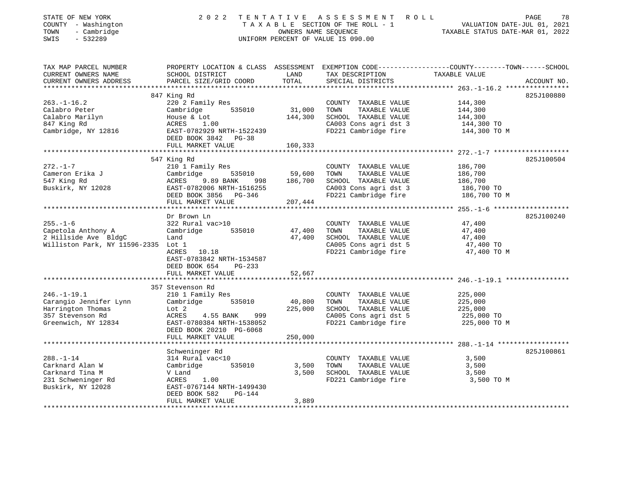| TAXABLE SECTION OF THE ROLL - 1<br>OWNERS NAME SEQUENCE TAXABLE STATUS DATE-JUL 01, 2021<br>OWNERS NAME SEQUENCE TAXABLE STATUS DATE-MAR 01, 2022<br>COUNTY - Washington<br>- Cambridge<br>TOWN<br>$-532289$<br>UNIFORM PERCENT OF VALUE IS 090.00<br>SWIS |                                                                                                                                                                                                                                  |                              |                                                                                                                        |                                                                                                                |  |  |
|------------------------------------------------------------------------------------------------------------------------------------------------------------------------------------------------------------------------------------------------------------|----------------------------------------------------------------------------------------------------------------------------------------------------------------------------------------------------------------------------------|------------------------------|------------------------------------------------------------------------------------------------------------------------|----------------------------------------------------------------------------------------------------------------|--|--|
| TAX MAP PARCEL NUMBER<br>CURRENT OWNERS NAME<br>CURRENT OWNERS ADDRESS                                                                                                                                                                                     | SCHOOL DISTRICT<br>PARCEL SIZE/GRID COORD                                                                                                                                                                                        | LAND<br>TOTAL                | TAX DESCRIPTION TAXABLE VALUE<br>SPECIAL DISTRICTS                                                                     | PROPERTY LOCATION & CLASS ASSESSMENT EXEMPTION CODE----------------COUNTY-------TOWN-----SCHOOL<br>ACCOUNT NO. |  |  |
| $263. - 1 - 16.2$<br>Calabro Peter<br>Calabro Marilyn<br>847 King Rd<br>Cambridge, NY 12816                                                                                                                                                                | 847 King Rd<br>220 2 Family Res<br>Cambridge 535010<br>House & Lot<br>ACRES 1.00<br>EAST-0782929 NRTH-1522439<br>DEED BOOK 3842 PG-38<br>FULL MARKET VALUE                                                                       | 31,000<br>144,300<br>160,333 | COUNTY TAXABLE VALUE<br>TOWN<br>TAXABLE VALUE<br>SCHOOL TAXABLE VALUE<br>CA003 Cons agri dst 3<br>FD221 Cambridge fire | 825J100880<br>144,300<br>144,300<br>144,300<br>144,300 TO<br>144,300 TO M                                      |  |  |
|                                                                                                                                                                                                                                                            |                                                                                                                                                                                                                                  |                              |                                                                                                                        |                                                                                                                |  |  |
| $272. - 1 - 7$<br>Cameron Erika J<br>547 King Rd<br>Buskirk, NY 12028                                                                                                                                                                                      | 547 King Rd<br>210 1 Family Res<br>$\frac{210 \text{ T T dmt11}}{535010}$ 59,600<br>ACRES 9.89 BANK 998 186,700<br>----- -<br>EAST-0782006 NRTH-1516255<br>DEED BOOK 3856 - DG-346<br>DEED BOOK 3856 PG-346<br>FULL MARKET VALUE | 207,444                      | COUNTY TAXABLE VALUE<br>TOWN<br>TAXABLE VALUE<br>SCHOOL TAXABLE VALUE<br>CA003 Cons agri dst 3<br>FD221 Cambridge fire | 825J100504<br>186,700<br>186,700<br>186,700<br>186,700 TO<br>186,700 TO M                                      |  |  |
|                                                                                                                                                                                                                                                            |                                                                                                                                                                                                                                  |                              |                                                                                                                        |                                                                                                                |  |  |
| $255. - 1 - 6$<br>Capetola Anthony A<br>2 Hillside Ave BldgC<br>Williston Park, NY 11596-2335 Lot 1                                                                                                                                                        | Dr Brown Ln<br>322 Rural vac>10<br>Cambridge 535010<br>Land<br>ACRES 10.18<br>EAST-0783842 NRTH-1534587<br>DEED BOOK 654<br>PG-233                                                                                               | 47,400<br>47,400             | COUNTY TAXABLE VALUE<br>TAXABLE VALUE<br>TOWN<br>SCHOOL TAXABLE VALUE<br>CA005 Cons agri dst 5<br>FD221 Cambridge fire | 825J100240<br>47,400<br>47,400<br>47,400<br>47,400 TO<br>47,400 TO M                                           |  |  |
|                                                                                                                                                                                                                                                            | FULL MARKET VALUE                                                                                                                                                                                                                | 52,667                       |                                                                                                                        |                                                                                                                |  |  |
| $246. - 1 - 19.1$<br>Carangio Jennifer Lynn<br>Harrington Thomas<br>357 Stevenson Rd<br>Greenwich, NY 12834                                                                                                                                                | 357 Stevenson Rd<br>210 1 Family Res<br>Cambridge<br>535010<br>Lot 2<br>ACRES<br>4.55 BANK 999<br>EAST-0780384 NRTH-1538052<br>DEED BOOK 20210 PG-6068<br>FULL MARKET VALUE                                                      | 40,800<br>225,000<br>250,000 | COUNTY TAXABLE VALUE<br>TOWN TAXABLE VALUE<br>SCHOOL TAXABLE VALUE<br>CA005 Cons agri dst 5                            | 225,000<br>225,000<br>225,000<br>225,000 TO<br>FD221 Cambridge fire 225,000 TO M                               |  |  |
|                                                                                                                                                                                                                                                            |                                                                                                                                                                                                                                  |                              |                                                                                                                        |                                                                                                                |  |  |
| $288. - 1 - 14$<br>Carknard Alan W<br>Carknard Tina M<br>231 Schweninger Rd<br>Buskirk, NY 12028                                                                                                                                                           | Schweninger Rd<br>314 Rural vac<10<br>Cambridge<br>535010<br>V Land<br>1.00<br>ACRES<br>EAST-0767144 NRTH-1499430<br>DEED BOOK 582<br>PG-144                                                                                     | 3,500<br>3,500               | COUNTY TAXABLE VALUE<br>TOWN<br>TAXABLE VALUE<br>SCHOOL TAXABLE VALUE                                                  | 825J100861<br>3,500<br>3,500<br>3,500<br>FD221 Cambridge fire 3,500 TO M                                       |  |  |
|                                                                                                                                                                                                                                                            | FULL MARKET VALUE                                                                                                                                                                                                                | 3,889                        |                                                                                                                        |                                                                                                                |  |  |

STATE OF NEW YORK 2 0 2 0 2 2 2 2 T E N T A T I V E A S S S S S S M E N T P O L I.

78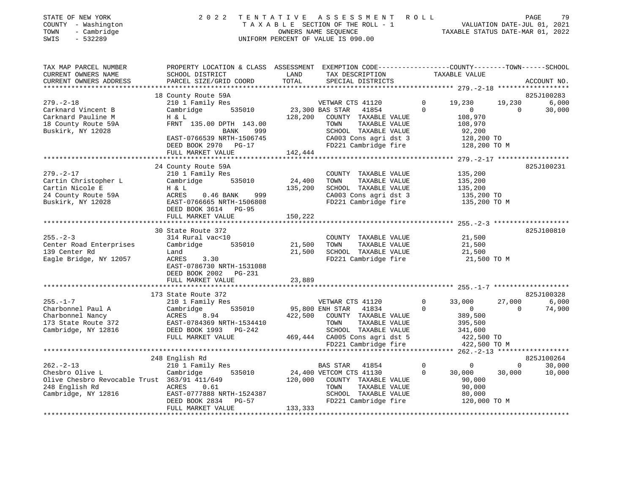|      | STATE OF NEW YORK   | 2022 TENTATIVE ASSESSMENT ROLL        |                                  | PAGE                        | 7 Q |
|------|---------------------|---------------------------------------|----------------------------------|-----------------------------|-----|
|      | COUNTY - Washington | T A X A B L E SECTION OF THE ROLL - 1 |                                  | VALUATION DATE-JUL 01, 2021 |     |
| TOWN | - Cambridge         | OWNERS NAME SEOUENCE                  | TAXABLE STATUS DATE-MAR 01, 2022 |                             |     |

SWIS - 532289 UNIFORM PERCENT OF VALUE IS 090.00

| CURRENT OWNERS NAME<br>LAND<br>TAXABLE VALUE<br>SCHOOL DISTRICT<br>TAX DESCRIPTION                                                                                                                                                                                                                                                                                                                                                                                                                                                                                                                        |                                            |
|-----------------------------------------------------------------------------------------------------------------------------------------------------------------------------------------------------------------------------------------------------------------------------------------------------------------------------------------------------------------------------------------------------------------------------------------------------------------------------------------------------------------------------------------------------------------------------------------------------------|--------------------------------------------|
| PARCEL SIZE/GRID COORD<br>TOTAL<br>CURRENT OWNERS ADDRESS<br>SPECIAL DISTRICTS                                                                                                                                                                                                                                                                                                                                                                                                                                                                                                                            | ACCOUNT NO.                                |
| 18 County Route 59A                                                                                                                                                                                                                                                                                                                                                                                                                                                                                                                                                                                       | 825J100283                                 |
| $279. - 2 - 18$<br>210 1 Family Res<br>$\Omega$<br>19,230<br>19,230<br>VETWAR CTS 41120<br>Carknard Vincent B<br>Cambridge<br>535010<br>23,300 BAS STAR<br>41854<br>$\Omega$<br>$\mathbf{0}$<br>Carknard Pauline M<br>H & L<br>128,200<br>108,970<br>COUNTY TAXABLE VALUE<br>18 County Route 59A<br>FRNT 135.00 DPTH 143.00<br>TAXABLE VALUE<br>TOWN<br>108,970<br>Buskirk, NY 12028<br>SCHOOL TAXABLE VALUE<br>92,200<br>BANK<br>999<br>EAST-0766539 NRTH-1506745<br>CA003 Cons agri dst 3<br>128,200 TO<br>FD221 Cambridge fire<br>DEED BOOK 2970 PG-17<br>128,200 TO M<br>142,444<br>FULL MARKET VALUE | 6,000<br>30,000<br>$\Omega$                |
|                                                                                                                                                                                                                                                                                                                                                                                                                                                                                                                                                                                                           |                                            |
| 24 County Route 59A<br>$279. - 2 - 17$<br>210 1 Family Res<br>135,200<br>COUNTY TAXABLE VALUE<br>535010<br>24,400<br>Cartin Christopher L<br>Cambridge<br>TOWN<br>TAXABLE VALUE<br>135,200<br>Cartin Nicole E<br>135,200<br>SCHOOL TAXABLE VALUE<br>135,200<br>H & L<br>24 County Route 59A<br>$0.46$ BANK<br>999<br>CA003 Cons agri dst 3<br>ACRES<br>135,200 TO<br>FD221 Cambridge fire<br>Buskirk, NY 12028<br>EAST-0766665 NRTH-1506808<br>135,200 TO M<br>DEED BOOK 3614 PG-95<br>150,222<br>FULL MARKET VALUE                                                                                       | 825J100231                                 |
| 30 State Route 372                                                                                                                                                                                                                                                                                                                                                                                                                                                                                                                                                                                        | 825J100810                                 |
| $255. - 2 - 3$<br>21,500<br>314 Rural vac<10<br>COUNTY TAXABLE VALUE<br>Center Road Enterprises<br>535010<br>21,500<br>TAXABLE VALUE<br>21,500<br>Cambridge<br>TOWN<br>139 Center Rd<br>21,500<br>SCHOOL TAXABLE VALUE<br>21,500<br>Land<br>Eagle Bridge, NY 12057<br>ACRES<br>3.30<br>FD221 Cambridge fire<br>21,500 TO M<br>EAST-0786730 NRTH-1531088<br>DEED BOOK 2002<br>PG-231<br>23,889<br>FULL MARKET VALUE                                                                                                                                                                                        |                                            |
|                                                                                                                                                                                                                                                                                                                                                                                                                                                                                                                                                                                                           |                                            |
| 173 State Route 372<br>$\overline{0}$<br>$255. - 1 - 7$<br>27,000<br>210 1 Family Res<br>VETWAR CTS 41120<br>33,000<br>Charbonnel Paul A<br>535010<br>95,800 ENH STAR<br>$\Omega$<br>Cambridge<br>41834<br>$\overline{0}$<br>Charbonnel Nancy<br>8.94<br>422,500<br>COUNTY TAXABLE VALUE<br>389,500<br>ACRES<br>173 State Route 372<br>EAST-0784369 NRTH-1534410<br>TOWN<br>TAXABLE VALUE<br>395,500<br>Cambridge, NY 12816<br>DEED BOOK 1993 PG-242<br>SCHOOL TAXABLE VALUE<br>341,600<br>469,444 CA005 Cons agri dst 5<br>FULL MARKET VALUE<br>422,500 TO<br>FD221 Cambridge fire<br>422,500 TO M       | 825J100328<br>6,000<br>74,900<br>$\Omega$  |
|                                                                                                                                                                                                                                                                                                                                                                                                                                                                                                                                                                                                           |                                            |
| 248 English Rd<br>$262 - 2 - 13$<br>210 1 Family Res<br><b>BAS STAR</b><br>0<br>$\mathbf 0$<br>41854<br>24,400 VETCOM CTS 41130<br>Chesbro Olive L<br>535010<br>30,000<br>Cambridge<br>$\mathbf{0}$<br>30,000<br>Olive Chesbro Revocable Trust 363/91 411/649<br>120,000<br>COUNTY TAXABLE VALUE<br>90,000<br>90,000<br>248 English Rd<br>ACRES<br>0.61<br>TOWN<br>TAXABLE VALUE                                                                                                                                                                                                                          | 825J100264<br>$\Omega$<br>30,000<br>10,000 |
| Cambridge, NY 12816<br>EAST-0777888 NRTH-1524387<br>SCHOOL TAXABLE VALUE<br>80,000<br>FD221 Cambridge fire<br>120,000 TO M<br>DEED BOOK 2834<br>PG-57<br>133,333<br>FULL MARKET VALUE                                                                                                                                                                                                                                                                                                                                                                                                                     |                                            |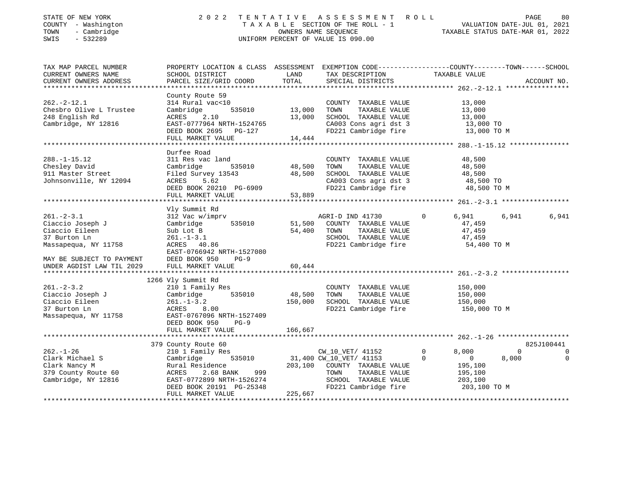| STATE OF NEW YORK                                        | 2 0 2 2                                                                                         |                      | TENTATIVE ASSESSMENT ROLL          |                     |                                  | PAGE<br>80  |
|----------------------------------------------------------|-------------------------------------------------------------------------------------------------|----------------------|------------------------------------|---------------------|----------------------------------|-------------|
| COUNTY - Washington                                      |                                                                                                 |                      | TAXABLE SECTION OF THE ROLL - 1    |                     | VALUATION DATE-JUL 01, 2021      |             |
| TOWN<br>- Cambridge                                      |                                                                                                 | OWNERS NAME SEQUENCE |                                    |                     | TAXABLE STATUS DATE-MAR 01, 2022 |             |
| $-532289$<br>SWIS                                        |                                                                                                 |                      | UNIFORM PERCENT OF VALUE IS 090.00 |                     |                                  |             |
|                                                          |                                                                                                 |                      |                                    |                     |                                  |             |
| TAX MAP PARCEL NUMBER                                    | PROPERTY LOCATION & CLASS ASSESSMENT EXEMPTION CODE---------------COUNTY-------TOWN------SCHOOL |                      |                                    |                     |                                  |             |
| CURRENT OWNERS NAME                                      | SCHOOL DISTRICT                                                                                 | LAND                 | TAX DESCRIPTION                    | TAXABLE VALUE       |                                  |             |
| CURRENT OWNERS ADDRESS<br>****************************** | PARCEL SIZE/GRID COORD                                                                          | TOTAL                | SPECIAL DISTRICTS                  |                     |                                  | ACCOUNT NO. |
|                                                          |                                                                                                 |                      |                                    |                     |                                  |             |
| $262 - 2 - 12.1$                                         | County Route 59                                                                                 |                      |                                    |                     |                                  |             |
|                                                          | 314 Rural vac<10                                                                                |                      | COUNTY TAXABLE VALUE               | 13,000              |                                  |             |
| Chesbro Olive L Trustee                                  | Cambridge<br>535010                                                                             | 13,000               | TOWN<br>TAXABLE VALUE              | 13,000              |                                  |             |
| 248 English Rd                                           | ACRES<br>2.10                                                                                   | 13,000               | SCHOOL TAXABLE VALUE               | 13,000              |                                  |             |
| Cambridge, NY 12816                                      | EAST-0777964 NRTH-1524765                                                                       |                      | CA003 Cons agri dst 3              |                     | 13,000 TO                        |             |
|                                                          | DEED BOOK 2695 PG-127                                                                           |                      | FD221 Cambridge fire               |                     | 13,000 TO M                      |             |
| ******************************                           | FULL MARKET VALUE                                                                               | 14,444               |                                    |                     |                                  |             |
|                                                          |                                                                                                 |                      |                                    |                     |                                  |             |
| $288. - 1 - 15.12$                                       | Durfee Road                                                                                     |                      |                                    |                     |                                  |             |
|                                                          | 311 Res vac land                                                                                |                      | COUNTY TAXABLE VALUE               | 48,500              |                                  |             |
| Chesley David                                            | 535010<br>Cambridge                                                                             | 48,500               | TOWN<br>TAXABLE VALUE              | 48,500              |                                  |             |
| 911 Master Street                                        | Filed Survey 13543                                                                              | 48,500               | SCHOOL TAXABLE VALUE               | 48,500              |                                  |             |
| Johnsonville, NY 12094                                   | ACRES<br>5.62                                                                                   |                      | CA003 Cons agri dst 3              |                     | 48,500 TO                        |             |
|                                                          | DEED BOOK 20210 PG-6909                                                                         |                      | FD221 Cambridge fire               |                     | 48,500 TO M                      |             |
|                                                          | FULL MARKET VALUE                                                                               | 53,889               |                                    |                     |                                  |             |
|                                                          |                                                                                                 |                      |                                    |                     |                                  |             |
|                                                          | Vly Summit Rd                                                                                   |                      |                                    |                     |                                  |             |
| $261 - 2 - 3.1$                                          | 312 Vac w/imprv                                                                                 |                      | AGRI-D IND 41730                   | $\Omega$<br>6,941   | 6,941                            | 6,941       |
| Ciaccio Joseph J                                         | Cambridge<br>535010                                                                             | 51,500               | COUNTY TAXABLE VALUE               | 47,459              |                                  |             |
| Ciaccio Eileen                                           | Sub Lot B                                                                                       | 54,400               | TOWN<br>TAXABLE VALUE              | 47,459              |                                  |             |
| 37 Burton Ln                                             | $261. - 1 - 3.1$                                                                                |                      | SCHOOL TAXABLE VALUE               | 47,459              |                                  |             |
| Massapequa, NY 11758                                     | ACRES 40.86                                                                                     |                      | FD221 Cambridge fire               |                     | 54,400 TO M                      |             |
|                                                          | EAST-0766942 NRTH-1527080                                                                       |                      |                                    |                     |                                  |             |
| MAY BE SUBJECT TO PAYMENT                                | DEED BOOK 950<br>$PG-9$                                                                         |                      |                                    |                     |                                  |             |
| UNDER AGDIST LAW TIL 2029                                | FULL MARKET VALUE                                                                               | 60,444               |                                    |                     |                                  |             |
|                                                          |                                                                                                 |                      |                                    |                     |                                  |             |
|                                                          | 1266 Vly Summit Rd                                                                              |                      |                                    |                     |                                  |             |
| $261 - 2 - 3.2$                                          | 210 1 Family Res                                                                                |                      | COUNTY TAXABLE VALUE               | 150,000             |                                  |             |
| Ciaccio Joseph J                                         | 535010<br>Cambridge                                                                             | 48,500               | TOWN<br>TAXABLE VALUE              | 150,000             |                                  |             |
| Ciaccio Eileen                                           | $261. - 1 - 3.2$                                                                                |                      | 150,000 SCHOOL TAXABLE VALUE       | 150,000             |                                  |             |
| 37 Burton Ln                                             | ACRES<br>8.00                                                                                   |                      | FD221 Cambridge fire               |                     | 150,000 TO M                     |             |
| Massapequa, NY 11758                                     | EAST-0767096 NRTH-1527409                                                                       |                      |                                    |                     |                                  |             |
|                                                          | DEED BOOK 950<br>$PG-9$                                                                         |                      |                                    |                     |                                  |             |
|                                                          | FULL MARKET VALUE<br>***********************                                                    | 166,667              |                                    |                     |                                  |             |
|                                                          |                                                                                                 |                      |                                    |                     |                                  |             |
|                                                          | 379 County Route 60                                                                             |                      |                                    |                     | $\Omega$                         | 825J100441  |
| $262. - 1 - 26$                                          | 210 1 Family Res                                                                                |                      | CW_10_VET/ 41152                   | 8,000<br>0          |                                  | 0           |
| Clark Michael S                                          | 535010<br>Cambridge                                                                             |                      | 31,400 CW_10_VET/ 41153            | 0<br>$\overline{0}$ | 8,000                            | 0           |
| Clark Nancy M                                            | Rural Residence                                                                                 |                      | 203,100 COUNTY TAXABLE VALUE       | 195,100             |                                  |             |
| 379 County Route 60                                      | 999<br>ACRES<br>2.68 BANK                                                                       |                      | TOWN<br>TAXABLE VALUE              | 195,100             |                                  |             |
| Cambridge, NY 12816                                      | EAST-0772899 NRTH-1526274                                                                       |                      | SCHOOL TAXABLE VALUE               | 203,100             |                                  |             |
|                                                          | DEED BOOK 20191 PG-25348                                                                        |                      | FD221 Cambridge fire               |                     | 203,100 TO M                     |             |
|                                                          | FULL MARKET VALUE                                                                               | 225,667              |                                    |                     |                                  |             |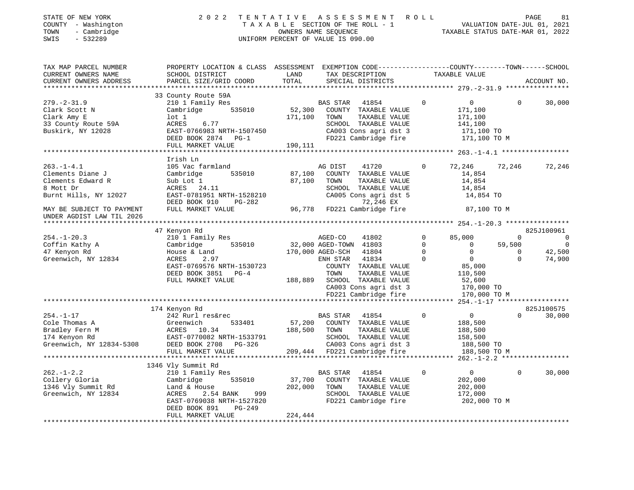| STATE OF NEW YORK<br>COUNTY - Washington<br>- Cambridge<br>TOWN<br>$-532289$<br>SWIS           | 2022 TENTATIVE ASSESSMENT ROLL                                                                                                        | UNIFORM PERCENT OF VALUE IS 090.00         |         | T A X A B L E SECTION OF THE ROLL - 1 VALUATION DATE-JUL 01, 2021<br>OWNERS NAME SEQUENCE TAXABLE STATUS DATE-MAR 01, 2022 |          |                                                          | PAGE     | 81         |
|------------------------------------------------------------------------------------------------|---------------------------------------------------------------------------------------------------------------------------------------|--------------------------------------------|---------|----------------------------------------------------------------------------------------------------------------------------|----------|----------------------------------------------------------|----------|------------|
| TAX MAP PARCEL NUMBER<br>CURRENT OWNERS NAME                                                   | PROPERTY LOCATION & CLASS ASSESSMENT EXEMPTION CODE----------------COUNTY-------TOWN------SCHOOL<br>SCHOOL DISTRICT                   | <b>EXAMPLE THE STATE OF STATE OF STATE</b> |         | TAX DESCRIPTION TAXABLE VALUE                                                                                              |          |                                                          |          |            |
| CURRENT OWNERS ADDRESS                                                                         |                                                                                                                                       |                                            |         |                                                                                                                            |          |                                                          |          |            |
|                                                                                                | 33 County Route 59A                                                                                                                   |                                            |         |                                                                                                                            |          |                                                          |          |            |
| $279. - 2 - 31.9$<br>Clark Scott N<br>Clark Amy E<br>33 County Route 59A<br>Buskirk, NY 12028  | $1$ ot $1$<br>ACRES 6.77<br>EAST-0766983 NRTH-1507450<br>DEED BOOK 2874 PG-1 FD221 Cambridge fire 171,100 TO M                        | 171,100 TOWN                               |         | $\overline{0}$<br>TAXABLE VALUE<br>SCHOOL TAXABLE VALUE<br>CA003 Cons agri dst 3 171,100 TO                                |          | $\Omega$<br>171,100<br>171,100<br>141,100                | $\Omega$ | 30,000     |
|                                                                                                | FULL MARKET VALUE                                                                                                                     | 190,111                                    |         |                                                                                                                            |          |                                                          |          |            |
|                                                                                                |                                                                                                                                       |                                            |         |                                                                                                                            |          |                                                          |          |            |
| $263. -1 - 4.1$<br>Clements Diane J<br>Clements Edward R<br>8 Mott Dr<br>Burnt Hills, NY 12027 | Irish Ln<br>105 Vac farmland<br>Cambridge 535010 87,100 COUNTY TAXABLE VALUE<br>Sub Lot 1<br>ACRES 24.11<br>EAST-0781951 NRTH-1528210 | AG DIST<br>87,100 TOWN                     |         | 41720 0<br>TAXABLE VALUE<br>SCHOOL TAXABLE VALUE<br>CA005 Cons agri dst 5                                                  |          | 72,246 72,246<br>14,854<br>14,854<br>14,854<br>14,854 TO |          | 72,246     |
| MAY BE SUBJECT TO PAYMENT<br>UNDER AGDIST LAW TIL 2026                                         | DEED BOOK 910<br>PG-282<br>FULL MARKET VALUE                                                                                          |                                            |         | 72,246 EX                                                                                                                  |          | 87,100 TO M                                              |          |            |
|                                                                                                | 47 Kenyon Rd                                                                                                                          |                                            |         |                                                                                                                            |          |                                                          |          | 825J100961 |
| $254. - 1 - 20.3$                                                                              | 210 1 Family Res                                                                                                                      |                                            | AGED-CO | 41802                                                                                                                      | $\Omega$ | 85,000                                                   | $\Omega$ | $\Omega$   |

|                          | 47 Kenyon Rd               |                                    |          |                                     |             | 825J100961 |
|--------------------------|----------------------------|------------------------------------|----------|-------------------------------------|-------------|------------|
| $254. - 1 - 20.3$        | 210 1 Family Res           | 41802<br>AGED-CO                   |          | 85,000                              | $\Omega$    |            |
| Coffin Kathy A           | 535010<br>Cambridge        | 41803<br>32,000 AGED-TOWN          |          | 0                                   | 59,500      |            |
| 47 Kenyon Rd             | House & Land               | 170,000 AGED-SCH<br>41804          |          |                                     | 0           | 42,500     |
| Greenwich, NY 12834      | 2.97<br>ACRES              | 41834<br>ENH STAR                  |          |                                     | $\Omega$    | 74,900     |
|                          | EAST-0769576 NRTH-1530723  | COUNTY<br>TAXABLE VALUE            |          | 85,000                              |             |            |
|                          | DEED BOOK 3851<br>$PG-4$   | TOWN<br>TAXABLE VALUE              |          | 110,500                             |             |            |
|                          | FULL MARKET VALUE          | 188,889<br>TAXABLE VALUE<br>SCHOOL |          | 52,600                              |             |            |
|                          |                            | CA003 Cons agri dst 3              |          | 170,000 TO                          |             |            |
|                          |                            | FD221 Cambridge fire               |          | 170,000 TO M                        |             |            |
|                          |                            |                                    |          | **** 254.-1-17 *******************  |             |            |
|                          | 174 Kenyon Rd              |                                    |          |                                     |             | 825J100575 |
| $254. - 1 - 17$          | 242 Rurl res&rec           | 41854<br><b>BAS STAR</b>           | $\Omega$ | $\mathbf 0$                         | $\mathbf 0$ | 30,000     |
| Cole Thomas A            | Greenwich<br>533401        | 57,200<br>COUNTY<br>TAXABLE VALUE  |          | 188,500                             |             |            |
| Bradley Fern M           | ACRES 10.34                | TOWN<br>TAXABLE VALUE<br>188,500   |          | 188,500                             |             |            |
| 174 Kenyon Rd            | EAST-0770082 NRTH-1533791  | TAXABLE VALUE<br>SCHOOL            |          | 158,500                             |             |            |
| Greenwich, NY 12834-5308 | DEED BOOK 2708<br>$PG-326$ | CA003 Cons agri dst 3              |          | 188,500 TO                          |             |            |
|                          | FULL MARKET VALUE          | 209,444<br>FD221 Cambridge fire    |          | 188,500 TO M                        |             |            |
|                          |                            |                                    |          | $262. - 1 - 2.2$ ****************** |             |            |
|                          | 1346 Vly Summit Rd         |                                    |          |                                     |             |            |
| $262. - 1 - 2.2$         | 210 1 Family Res           | 41854<br>BAS STAR                  |          | $\Omega$                            | $\mathbf 0$ | 30,000     |
| Collery Gloria           | Cambridge<br>535010        | 37,700<br>COUNTY<br>TAXABLE VALUE  |          | 202,000                             |             |            |
| 1346 Vly Summit Rd       | Land & House               | 202,000<br>TOWN<br>TAXABLE VALUE   |          | 202,000                             |             |            |
| Greenwich, NY 12834      | ACRES<br>2.54 BANK<br>999  | TAXABLE VALUE<br>SCHOOL            |          | 172,000                             |             |            |
|                          | EAST-0769038 NRTH-1527820  | FD221 Cambridge fire               |          | 202,000 TO M                        |             |            |
|                          | DEED BOOK 891<br>$PG-249$  |                                    |          |                                     |             |            |
|                          | FULL MARKET VALUE          | 224,444                            |          |                                     |             |            |
|                          |                            |                                    |          |                                     |             |            |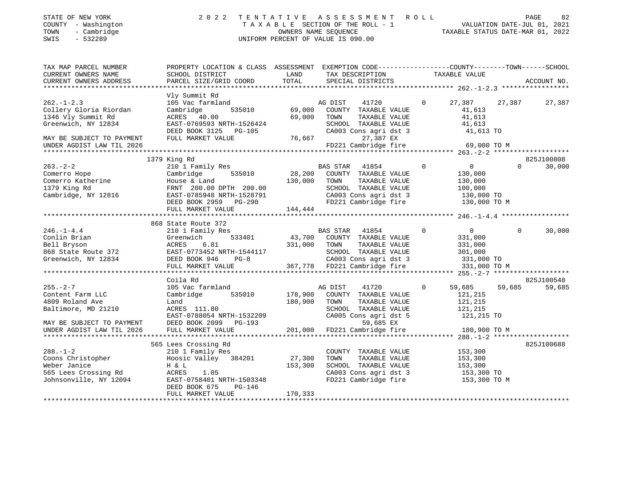| STATE OF NEW YORK<br>COUNTY - Washington<br>TOWN<br>- Cambridge<br>$-532289$<br>SWIS                                                                                                                                                            | 2 0 2 2                                                                                                                                                                                                                               | UNIFORM PERCENT OF VALUE IS 090.00 |               | TENTATIVE ASSESSMENT ROLL                     |                | TENTATIVE ASSESSMENT ROLL DAGE 82<br>TAXABLE SECTION OF THE ROLL - 1 VALUATION DATE-JUL 01, 2021<br>OWNERS NAME SEQUENCE TAXABLE STATUS DATE-MAR 01, 2022 |          |             |
|-------------------------------------------------------------------------------------------------------------------------------------------------------------------------------------------------------------------------------------------------|---------------------------------------------------------------------------------------------------------------------------------------------------------------------------------------------------------------------------------------|------------------------------------|---------------|-----------------------------------------------|----------------|-----------------------------------------------------------------------------------------------------------------------------------------------------------|----------|-------------|
| TAX MAP PARCEL NUMBER                                                                                                                                                                                                                           | PROPERTY LOCATION & CLASS ASSESSMENT EXEMPTION CODE----------------COUNTY-------TOWN-----SCHOOL                                                                                                                                       |                                    |               |                                               |                |                                                                                                                                                           |          |             |
| CURRENT OWNERS NAME                                                                                                                                                                                                                             | <b>LAND</b><br>SCHOOL DISTRICT                                                                                                                                                                                                        |                                    |               | TAX DESCRIPTION TAXABLE VALUE                 |                |                                                                                                                                                           |          |             |
| CURRENT OWNERS ADDRESS                                                                                                                                                                                                                          | PARCEL SIZE/GRID COORD TOTAL                                                                                                                                                                                                          |                                    |               | SPECIAL DISTRICTS                             |                |                                                                                                                                                           |          | ACCOUNT NO. |
|                                                                                                                                                                                                                                                 | Vly Summit Rd                                                                                                                                                                                                                         |                                    |               |                                               |                |                                                                                                                                                           |          |             |
| $262. - 1 - 2.3$                                                                                                                                                                                                                                | 105 Vac farmland                                                                                                                                                                                                                      |                                    | AG DIST 41720 |                                               | $\mathbf{0}$   | 27,387                                                                                                                                                    | 27,387   | 27,387      |
| Collery Gloria Riordan                                                                                                                                                                                                                          | 535010<br>Cambridge                                                                                                                                                                                                                   | 69,000                             |               | COUNTY TAXABLE VALUE                          |                | 41,613                                                                                                                                                    |          |             |
| 1346 Vly Summit Rd                                                                                                                                                                                                                              | ACRES 40.00                                                                                                                                                                                                                           | 69,000                             | TOWN          | TAXABLE VALUE                                 |                | 41,613                                                                                                                                                    |          |             |
| Greenwich, NY 12834                                                                                                                                                                                                                             | EAST-0769593 NRTH-1526424                                                                                                                                                                                                             |                                    |               |                                               |                |                                                                                                                                                           |          |             |
|                                                                                                                                                                                                                                                 | DEED BOOK 3125 PG-105                                                                                                                                                                                                                 |                                    |               | SCHOOL TAXABLE VALUE<br>CA003 Cons agri dst 3 |                | 41,613<br>41,613 TO                                                                                                                                       |          |             |
| MAY BE SUBJECT TO PAYMENT                                                                                                                                                                                                                       | FULL MARKET VALUE                                                                                                                                                                                                                     | 76,667                             |               | 27,387 EX                                     |                |                                                                                                                                                           |          |             |
| UNDER AGDIST LAW TIL 2026                                                                                                                                                                                                                       |                                                                                                                                                                                                                                       |                                    |               | FD221 Cambridge fire                          |                | 69,000 TO M                                                                                                                                               |          |             |
|                                                                                                                                                                                                                                                 |                                                                                                                                                                                                                                       |                                    |               |                                               |                |                                                                                                                                                           |          |             |
|                                                                                                                                                                                                                                                 | 1379 King Rd                                                                                                                                                                                                                          |                                    |               |                                               |                |                                                                                                                                                           |          | 825J100808  |
| $263 - 2 - 2$                                                                                                                                                                                                                                   | 210 1 Family Res                                                                                                                                                                                                                      |                                    |               | BAS STAR 41854                                | $\Omega$       | $\overline{0}$                                                                                                                                            | $\Omega$ | 30,000      |
| 263.-2-2<br>Comerro Hope                                                                                                                                                                                                                        | Cambridge 535010                                                                                                                                                                                                                      |                                    |               | 28,200 COUNTY TAXABLE VALUE                   |                | 130,000                                                                                                                                                   |          |             |
|                                                                                                                                                                                                                                                 |                                                                                                                                                                                                                                       |                                    |               |                                               |                |                                                                                                                                                           |          |             |
|                                                                                                                                                                                                                                                 |                                                                                                                                                                                                                                       |                                    |               | SCHOOL TAXABLE VALUE                          |                | 130,000<br>100,000                                                                                                                                        |          |             |
|                                                                                                                                                                                                                                                 |                                                                                                                                                                                                                                       |                                    |               | CA003 Cons agri dst 3                         |                | 130,000 TO                                                                                                                                                |          |             |
| Comerno Hope<br>Comerno Katherine<br>1379 King Rd<br>Cambridge, NY 12816<br>Cambridge, NY 12816<br>Cambridge Cannel Capper 200.00 DPTH 200.00<br>CA003 Cons agri dst 3<br>DEEED 2008 NRTH-1528791<br>DEEED 2008 NRTH-1528791<br>DEEED 2008 CONS |                                                                                                                                                                                                                                       |                                    |               |                                               |                | FD221 Cambridge fire 130,000 TO M                                                                                                                         |          |             |
|                                                                                                                                                                                                                                                 | FULL MARKET VALUE                                                                                                                                                                                                                     | 144,444                            |               |                                               |                |                                                                                                                                                           |          |             |
|                                                                                                                                                                                                                                                 | 868 State Route 372                                                                                                                                                                                                                   |                                    |               |                                               |                |                                                                                                                                                           |          |             |
| $246. - 1 - 4.4$                                                                                                                                                                                                                                | 210 1 Family Res                                                                                                                                                                                                                      |                                    |               | BAS STAR 41854                                | $\circ$        | $\overline{0}$                                                                                                                                            | $\Omega$ | 30,000      |
|                                                                                                                                                                                                                                                 |                                                                                                                                                                                                                                       |                                    |               |                                               |                |                                                                                                                                                           |          |             |
|                                                                                                                                                                                                                                                 |                                                                                                                                                                                                                                       |                                    |               |                                               |                |                                                                                                                                                           |          |             |
|                                                                                                                                                                                                                                                 |                                                                                                                                                                                                                                       |                                    |               |                                               |                |                                                                                                                                                           |          |             |
| Conlin Brian Creenwich 533401<br>Bell Bryson ACRES 6.81<br>868 State Route 372 EAST-0773452 NRTH-1544<br>Greenwich, NY 12834 DEED BOOK 946 PG-8                                                                                                 |                                                                                                                                                                                                                                       |                                    |               |                                               |                |                                                                                                                                                           |          |             |
|                                                                                                                                                                                                                                                 | Greenwich 533401 43,700 COUNTY TAXABLE VALUE 331,000<br>ACRES 6.81 331,000 TOWN TAXABLE VALUE 331,000<br>EAST-0773452 NRTH-1544117 SCHOOL TAXABLE VALUE 331,000<br>DEED BOOK 946 PG-8 2A003 Cons agri dst 3 331,000 TO<br>FULL MARKET |                                    |               |                                               |                | 331,000 TO M                                                                                                                                              |          |             |
|                                                                                                                                                                                                                                                 |                                                                                                                                                                                                                                       |                                    |               |                                               |                |                                                                                                                                                           |          |             |
|                                                                                                                                                                                                                                                 | Coila Rd                                                                                                                                                                                                                              |                                    |               |                                               |                |                                                                                                                                                           |          | 825J100548  |
| $255. - 2 - 7$                                                                                                                                                                                                                                  | 105 Vac farmland                                                                                                                                                                                                                      |                                    | AG DIST       | 41720                                         | $\overline{0}$ | 59,685                                                                                                                                                    | 59,685   | 59,685      |
| Content Farm LLC                                                                                                                                                                                                                                | Cambridge 535010                                                                                                                                                                                                                      | 178,900                            |               | COUNTY TAXABLE VALUE                          |                | 121,215                                                                                                                                                   |          |             |
| 4809 Roland Ave                                                                                                                                                                                                                                 | Land                                                                                                                                                                                                                                  | 180,900                            | TOWN          | TAXABLE VALUE                                 |                | 121,215                                                                                                                                                   |          |             |
| Baltimore, MD 21210                                                                                                                                                                                                                             | ACRES 111.80                                                                                                                                                                                                                          |                                    |               | SCHOOL TAXABLE VALUE                          |                | 121,215                                                                                                                                                   |          |             |
|                                                                                                                                                                                                                                                 | EAST-0788054 NRTH-1532209                                                                                                                                                                                                             |                                    |               |                                               |                | CA005 Cons agri dst 5 $121,215$ TO                                                                                                                        |          |             |
| MAY BE SUBJECT TO PAYMENT DEED BOOK 2099 PG-193                                                                                                                                                                                                 |                                                                                                                                                                                                                                       |                                    |               | 59,685 EX                                     |                |                                                                                                                                                           |          |             |
| UNDER AGDIST LAW TIL 2026<br>*********************                                                                                                                                                                                              | FULL MARKET VALUE                                                                                                                                                                                                                     | 201,000                            |               | FD221 Cambridge fire                          |                | 180,900 TO M                                                                                                                                              |          |             |
|                                                                                                                                                                                                                                                 |                                                                                                                                                                                                                                       |                                    |               |                                               |                |                                                                                                                                                           |          |             |
|                                                                                                                                                                                                                                                 | 565 Lees Crossing Rd                                                                                                                                                                                                                  |                                    |               |                                               |                |                                                                                                                                                           |          | 825J100688  |
| $288. - 1 - 2$<br>Coons Christopher                                                                                                                                                                                                             | 210 1 Family Res<br>Hoosic Valley 384201 27,300                                                                                                                                                                                       |                                    | TOWN          | COUNTY TAXABLE VALUE<br>TAXABLE VALUE         |                | 153,300<br>153,300                                                                                                                                        |          |             |
| Weber Janice                                                                                                                                                                                                                                    | H & L                                                                                                                                                                                                                                 | 153,300                            |               | SCHOOL TAXABLE VALUE                          |                | 153,300                                                                                                                                                   |          |             |
|                                                                                                                                                                                                                                                 | ACRES<br>1.05                                                                                                                                                                                                                         |                                    |               |                                               |                |                                                                                                                                                           |          |             |
| 565 Lees Crossing Rd<br>Johnsonville, NY 12094                                                                                                                                                                                                  | EAST-0758401 NRTH-1503348                                                                                                                                                                                                             |                                    |               | CA003 Cons agri dst 3<br>FD221 Cambridge fire |                | 153,300 TO<br>153,300 TO M                                                                                                                                |          |             |
|                                                                                                                                                                                                                                                 | DEED BOOK 675<br>PG-146                                                                                                                                                                                                               |                                    |               |                                               |                |                                                                                                                                                           |          |             |
|                                                                                                                                                                                                                                                 | FULL MARKET VALUE                                                                                                                                                                                                                     | 170, 333                           |               |                                               |                |                                                                                                                                                           |          |             |
|                                                                                                                                                                                                                                                 |                                                                                                                                                                                                                                       |                                    |               |                                               |                |                                                                                                                                                           |          |             |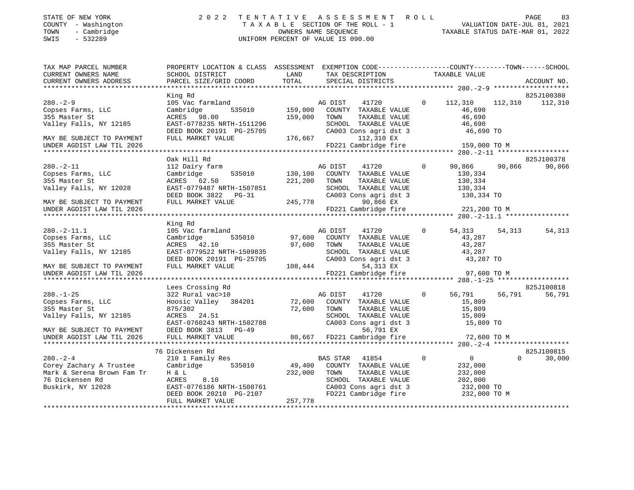| STATE OF NEW YORK   |             | 2022 TENTATIVE ASSESSMENT ROLL |                                    |                      |  |                                  | <b>PAGE</b> | 83 |
|---------------------|-------------|--------------------------------|------------------------------------|----------------------|--|----------------------------------|-------------|----|
| COUNTY - Washington |             |                                | TAXABLE SECTION OF THE ROLL - 1    |                      |  | VALUATION DATE-JUL 01, 2021      |             |    |
| TOWN                | - Cambridge |                                |                                    | OWNERS NAME SEOUENCE |  | TAXABLE STATUS DATE-MAR 01, 2022 |             |    |
| SWIS<br>- 532289    |             |                                | UNIFORM PERCENT OF VALUE IS 090.00 |                      |  |                                  |             |    |

| TAXABLE VALUE<br>CURRENT OWNERS NAME<br>SCHOOL DISTRICT<br>LAND<br>TAX DESCRIPTION<br>TOTAL<br>CURRENT OWNERS ADDRESS<br>PARCEL SIZE/GRID COORD<br>SPECIAL DISTRICTS<br>ACCOUNT NO.<br>825J100380<br>King Rd<br>0 112,310 112,310 112,310<br>$280. - 2 - 9$<br>105 Vac farmland<br>41720<br>AG DIST<br>535010<br>159,000 COUNTY TAXABLE VALUE<br>Copses Farms, LLC<br>Cambridge<br>46,690<br>355 Master St<br>ACRES 98.00<br>159,000 TOWN<br>46,690<br>TAXABLE VALUE<br>Valley Falls, NY 12185<br>EAST-0778235 NRTH-1511296<br>SCHOOL TAXABLE VALUE<br>46,690<br>DEED BOOK 20191 PG-25705<br>CA003 Cons agri dst 3<br>46,690 TO<br>176,667<br>FULL MARKET VALUE<br>112,310 EX<br>MAY BE SUBJECT TO PAYMENT<br>FD221 Cambridge fire<br>159,000 TO M<br>UNDER AGDIST LAW TIL 2026<br>825J100378<br>Oak Hill Rd<br>$\Omega$<br>90,866<br>$280. - 2 - 11$<br>90,866<br>90,866<br>112 Dairy farm<br>AG DIST<br>41720<br>535010 130,100 COUNTY TAXABLE VALUE<br>Copses Farms, LLC<br>Cambridge<br>130,334<br>355 Master St<br>ACRES 62.50<br>221,200 TOWN<br>TAXABLE VALUE<br>130,334<br>SCHOOL TAXABLE VALUE<br>Valley Falls, NY 12028<br>EAST-0779487 NRTH-1507851<br>130,334<br>DEED BOOK 3822 PG-31<br>CA003 Cons agri dst 3<br>130,334 TO<br>245,778<br>FULL MARKET VALUE<br>MAY BE SUBJECT TO PAYMENT<br>90,866 EX<br>221,200 TO M<br>FD221 Cambridge fire<br>UNDER AGDIST LAW TIL 2026 |
|-----------------------------------------------------------------------------------------------------------------------------------------------------------------------------------------------------------------------------------------------------------------------------------------------------------------------------------------------------------------------------------------------------------------------------------------------------------------------------------------------------------------------------------------------------------------------------------------------------------------------------------------------------------------------------------------------------------------------------------------------------------------------------------------------------------------------------------------------------------------------------------------------------------------------------------------------------------------------------------------------------------------------------------------------------------------------------------------------------------------------------------------------------------------------------------------------------------------------------------------------------------------------------------------------------------------------------------------------------------------------------------------|
|                                                                                                                                                                                                                                                                                                                                                                                                                                                                                                                                                                                                                                                                                                                                                                                                                                                                                                                                                                                                                                                                                                                                                                                                                                                                                                                                                                                         |
|                                                                                                                                                                                                                                                                                                                                                                                                                                                                                                                                                                                                                                                                                                                                                                                                                                                                                                                                                                                                                                                                                                                                                                                                                                                                                                                                                                                         |
|                                                                                                                                                                                                                                                                                                                                                                                                                                                                                                                                                                                                                                                                                                                                                                                                                                                                                                                                                                                                                                                                                                                                                                                                                                                                                                                                                                                         |
|                                                                                                                                                                                                                                                                                                                                                                                                                                                                                                                                                                                                                                                                                                                                                                                                                                                                                                                                                                                                                                                                                                                                                                                                                                                                                                                                                                                         |
|                                                                                                                                                                                                                                                                                                                                                                                                                                                                                                                                                                                                                                                                                                                                                                                                                                                                                                                                                                                                                                                                                                                                                                                                                                                                                                                                                                                         |
|                                                                                                                                                                                                                                                                                                                                                                                                                                                                                                                                                                                                                                                                                                                                                                                                                                                                                                                                                                                                                                                                                                                                                                                                                                                                                                                                                                                         |
|                                                                                                                                                                                                                                                                                                                                                                                                                                                                                                                                                                                                                                                                                                                                                                                                                                                                                                                                                                                                                                                                                                                                                                                                                                                                                                                                                                                         |
|                                                                                                                                                                                                                                                                                                                                                                                                                                                                                                                                                                                                                                                                                                                                                                                                                                                                                                                                                                                                                                                                                                                                                                                                                                                                                                                                                                                         |
|                                                                                                                                                                                                                                                                                                                                                                                                                                                                                                                                                                                                                                                                                                                                                                                                                                                                                                                                                                                                                                                                                                                                                                                                                                                                                                                                                                                         |
|                                                                                                                                                                                                                                                                                                                                                                                                                                                                                                                                                                                                                                                                                                                                                                                                                                                                                                                                                                                                                                                                                                                                                                                                                                                                                                                                                                                         |
|                                                                                                                                                                                                                                                                                                                                                                                                                                                                                                                                                                                                                                                                                                                                                                                                                                                                                                                                                                                                                                                                                                                                                                                                                                                                                                                                                                                         |
|                                                                                                                                                                                                                                                                                                                                                                                                                                                                                                                                                                                                                                                                                                                                                                                                                                                                                                                                                                                                                                                                                                                                                                                                                                                                                                                                                                                         |
|                                                                                                                                                                                                                                                                                                                                                                                                                                                                                                                                                                                                                                                                                                                                                                                                                                                                                                                                                                                                                                                                                                                                                                                                                                                                                                                                                                                         |
|                                                                                                                                                                                                                                                                                                                                                                                                                                                                                                                                                                                                                                                                                                                                                                                                                                                                                                                                                                                                                                                                                                                                                                                                                                                                                                                                                                                         |
|                                                                                                                                                                                                                                                                                                                                                                                                                                                                                                                                                                                                                                                                                                                                                                                                                                                                                                                                                                                                                                                                                                                                                                                                                                                                                                                                                                                         |
|                                                                                                                                                                                                                                                                                                                                                                                                                                                                                                                                                                                                                                                                                                                                                                                                                                                                                                                                                                                                                                                                                                                                                                                                                                                                                                                                                                                         |
|                                                                                                                                                                                                                                                                                                                                                                                                                                                                                                                                                                                                                                                                                                                                                                                                                                                                                                                                                                                                                                                                                                                                                                                                                                                                                                                                                                                         |
|                                                                                                                                                                                                                                                                                                                                                                                                                                                                                                                                                                                                                                                                                                                                                                                                                                                                                                                                                                                                                                                                                                                                                                                                                                                                                                                                                                                         |
|                                                                                                                                                                                                                                                                                                                                                                                                                                                                                                                                                                                                                                                                                                                                                                                                                                                                                                                                                                                                                                                                                                                                                                                                                                                                                                                                                                                         |
| King Rd                                                                                                                                                                                                                                                                                                                                                                                                                                                                                                                                                                                                                                                                                                                                                                                                                                                                                                                                                                                                                                                                                                                                                                                                                                                                                                                                                                                 |
| $280. -2 - 11.1$<br>105 Vac farmland<br>$\Omega$<br>54,313<br>54,313<br>54,313                                                                                                                                                                                                                                                                                                                                                                                                                                                                                                                                                                                                                                                                                                                                                                                                                                                                                                                                                                                                                                                                                                                                                                                                                                                                                                          |
| AG DIST 41720<br>97,600 COUNTY TAXABLE VALUE<br>535010<br>Copses Farms, LLC<br>Cambridge<br>43,287                                                                                                                                                                                                                                                                                                                                                                                                                                                                                                                                                                                                                                                                                                                                                                                                                                                                                                                                                                                                                                                                                                                                                                                                                                                                                      |
| 97,600 TOWN<br>43,287<br>355 Master St<br>ACRES 42.10<br>TAXABLE VALUE                                                                                                                                                                                                                                                                                                                                                                                                                                                                                                                                                                                                                                                                                                                                                                                                                                                                                                                                                                                                                                                                                                                                                                                                                                                                                                                  |
| EAST-0779522 NRTH-1509835<br>SCHOOL TAXABLE VALUE<br>Valley Falls, NY 12185<br>43,287                                                                                                                                                                                                                                                                                                                                                                                                                                                                                                                                                                                                                                                                                                                                                                                                                                                                                                                                                                                                                                                                                                                                                                                                                                                                                                   |
| SCHOOL TAXABLE VALUE<br>CA003 Cons agri dst 3<br>108,444 54,313 EX<br>43,287 TO<br>DEED BOOK 20191 PG-25705                                                                                                                                                                                                                                                                                                                                                                                                                                                                                                                                                                                                                                                                                                                                                                                                                                                                                                                                                                                                                                                                                                                                                                                                                                                                             |
| FULL MARKET VALUE<br>MAY BE SUBJECT TO PAYMENT                                                                                                                                                                                                                                                                                                                                                                                                                                                                                                                                                                                                                                                                                                                                                                                                                                                                                                                                                                                                                                                                                                                                                                                                                                                                                                                                          |
| FD221 Cambridge fire<br>UNDER AGDIST LAW TIL 2026<br>97,600 TO M                                                                                                                                                                                                                                                                                                                                                                                                                                                                                                                                                                                                                                                                                                                                                                                                                                                                                                                                                                                                                                                                                                                                                                                                                                                                                                                        |
|                                                                                                                                                                                                                                                                                                                                                                                                                                                                                                                                                                                                                                                                                                                                                                                                                                                                                                                                                                                                                                                                                                                                                                                                                                                                                                                                                                                         |
| Lees Crossing Rd<br>825J100818                                                                                                                                                                                                                                                                                                                                                                                                                                                                                                                                                                                                                                                                                                                                                                                                                                                                                                                                                                                                                                                                                                                                                                                                                                                                                                                                                          |
| $\Omega$<br>56,791<br>56,791<br>56,791<br>$288. - 1 - 25$<br>322 Rural vac>10<br>AG DIST 41720<br>72,600 COUNTY TAXABLE VALUE                                                                                                                                                                                                                                                                                                                                                                                                                                                                                                                                                                                                                                                                                                                                                                                                                                                                                                                                                                                                                                                                                                                                                                                                                                                           |
| Hoosic Valley 384201<br>Copses Farms, LLC<br>15,809                                                                                                                                                                                                                                                                                                                                                                                                                                                                                                                                                                                                                                                                                                                                                                                                                                                                                                                                                                                                                                                                                                                                                                                                                                                                                                                                     |
| 72,600 TOWN<br>355 Master St<br>TAXABLE VALUE<br>15,809<br>875/302                                                                                                                                                                                                                                                                                                                                                                                                                                                                                                                                                                                                                                                                                                                                                                                                                                                                                                                                                                                                                                                                                                                                                                                                                                                                                                                      |
| Valley Falls, NY 12185<br>SCHOOL TAXABLE VALUE<br>15,809<br>15,809 TO                                                                                                                                                                                                                                                                                                                                                                                                                                                                                                                                                                                                                                                                                                                                                                                                                                                                                                                                                                                                                                                                                                                                                                                                                                                                                                                   |
| ACRES 24.51<br>EAST-0760243 NRTH-1502788<br>CA003 Cons agri dst 3                                                                                                                                                                                                                                                                                                                                                                                                                                                                                                                                                                                                                                                                                                                                                                                                                                                                                                                                                                                                                                                                                                                                                                                                                                                                                                                       |
| MAY BE SUBJECT TO PAYMENT<br>DEED BOOK 3813 PG-49                                                                                                                                                                                                                                                                                                                                                                                                                                                                                                                                                                                                                                                                                                                                                                                                                                                                                                                                                                                                                                                                                                                                                                                                                                                                                                                                       |
| 49 56,791 EX<br>80,667 FD221 Cambridge fire<br>FULL MARKET VALUE<br>72,600 TO M<br>UNDER AGDIST LAW TIL 2026                                                                                                                                                                                                                                                                                                                                                                                                                                                                                                                                                                                                                                                                                                                                                                                                                                                                                                                                                                                                                                                                                                                                                                                                                                                                            |
|                                                                                                                                                                                                                                                                                                                                                                                                                                                                                                                                                                                                                                                                                                                                                                                                                                                                                                                                                                                                                                                                                                                                                                                                                                                                                                                                                                                         |
| 825J100815<br>76 Dickensen Rd                                                                                                                                                                                                                                                                                                                                                                                                                                                                                                                                                                                                                                                                                                                                                                                                                                                                                                                                                                                                                                                                                                                                                                                                                                                                                                                                                           |
| $\overline{0}$<br>$280 - 2 - 4$<br>$\overline{0}$<br>$\Omega$<br>30,000<br>210 1 Family Res<br>BAS STAR 41854                                                                                                                                                                                                                                                                                                                                                                                                                                                                                                                                                                                                                                                                                                                                                                                                                                                                                                                                                                                                                                                                                                                                                                                                                                                                           |
| 49,400<br>Cambridge 535010<br>Corey Zachary A Trustee<br>COUNTY TAXABLE VALUE<br>232,000                                                                                                                                                                                                                                                                                                                                                                                                                                                                                                                                                                                                                                                                                                                                                                                                                                                                                                                                                                                                                                                                                                                                                                                                                                                                                                |
| Mark & Serena Brown Fam Tr<br>H & L<br>232,000<br>TOWN<br>TAXABLE VALUE<br>232,000                                                                                                                                                                                                                                                                                                                                                                                                                                                                                                                                                                                                                                                                                                                                                                                                                                                                                                                                                                                                                                                                                                                                                                                                                                                                                                      |
| 202,000<br>76 Dickensen Rd<br>ACRES<br>8.10<br>SCHOOL TAXABLE VALUE                                                                                                                                                                                                                                                                                                                                                                                                                                                                                                                                                                                                                                                                                                                                                                                                                                                                                                                                                                                                                                                                                                                                                                                                                                                                                                                     |
| CA003 Cons agri dst 3<br>FD221 Cambridge fire<br>Buskirk, NY 12028<br>232,000 TO<br>232,000 TO M                                                                                                                                                                                                                                                                                                                                                                                                                                                                                                                                                                                                                                                                                                                                                                                                                                                                                                                                                                                                                                                                                                                                                                                                                                                                                        |
| EAST-0776186 NRTH-1508761<br>DEED BOOK 20210 PG-2107<br>FUIL MADEST VIII                                                                                                                                                                                                                                                                                                                                                                                                                                                                                                                                                                                                                                                                                                                                                                                                                                                                                                                                                                                                                                                                                                                                                                                                                                                                                                                |
| 257,778<br>FULL MARKET VALUE                                                                                                                                                                                                                                                                                                                                                                                                                                                                                                                                                                                                                                                                                                                                                                                                                                                                                                                                                                                                                                                                                                                                                                                                                                                                                                                                                            |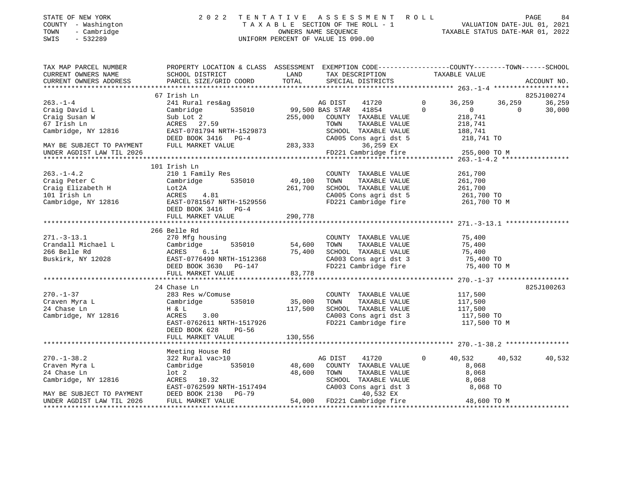|        |                          | STATE OF NEW YORK |
|--------|--------------------------|-------------------|
| COUNTY | $-$                      | Washington        |
| TOWN   | $\overline{\phantom{0}}$ | Cambridge         |

### STATE OF NEW YORK 2 0 2 2 T E N T A T I V E A S S E S S M E N T R O L L PAGE 84 COUNTY - Washington T A X A B L E SECTION OF THE ROLL - 1 VALUATION DATE-JUL 01, 2021 TOWN - Cambridge OWNERS NAME SEQUENCE TAXABLE STATUS DATE-MAR 01, 2022 SWIS - 532289 UNIFORM PERCENT OF VALUE IS 090.00

| TAX MAP PARCEL NUMBER<br>CURRENT OWNERS NAME<br>CURRENT OWNERS ADDRESS | PROPERTY LOCATION & CLASS ASSESSMENT EXEMPTION CODE---------------COUNTY-------TOWN-----SCHOOL                                                                                                                                                                                                             |         |                                                                                                                                                                                                     |                                                           | ACCOUNT NO. |
|------------------------------------------------------------------------|------------------------------------------------------------------------------------------------------------------------------------------------------------------------------------------------------------------------------------------------------------------------------------------------------------|---------|-----------------------------------------------------------------------------------------------------------------------------------------------------------------------------------------------------|-----------------------------------------------------------|-------------|
|                                                                        |                                                                                                                                                                                                                                                                                                            |         |                                                                                                                                                                                                     |                                                           |             |
|                                                                        | 67 Irish Ln                                                                                                                                                                                                                                                                                                |         |                                                                                                                                                                                                     |                                                           | 825J100274  |
| $263 - 1 - 4$                                                          | 241 Rural res&ag                                                                                                                                                                                                                                                                                           |         | AG DIST 41720 0 36,259 36,259                                                                                                                                                                       |                                                           | 36,259      |
| Craig David L                                                          | Cambridge                                                                                                                                                                                                                                                                                                  |         | 535010 99,500 BAS STAR 41854 0                                                                                                                                                                      | $\begin{array}{ccc} & & & 0 & \hline & & & 0 \end{array}$ | 30,000      |
| Craig Susan W                                                          | Sub Lot 2<br>ACRES 27.59                                                                                                                                                                                                                                                                                   |         | 255,000 COUNTY TAXABLE VALUE<br>TOWN       TAXABLE VALUE                                                                                                                                            | 218,741                                                   |             |
| 67 Irish Ln                                                            |                                                                                                                                                                                                                                                                                                            |         |                                                                                                                                                                                                     | 218,741                                                   |             |
| Cambridge, NY 12816                                                    | EAST-0781794 NRTH-1529873<br>DEED BOOK 3416 PG-4 CA005 Cons agri dst 5 218,741 TO<br>FULL MARKET VALUE 283,333 36,259 EX                                                                                                                                                                                   |         |                                                                                                                                                                                                     |                                                           |             |
|                                                                        |                                                                                                                                                                                                                                                                                                            |         |                                                                                                                                                                                                     |                                                           |             |
| MAY BE SUBJECT TO PAYMENT                                              |                                                                                                                                                                                                                                                                                                            |         | 36,259 EX<br>FD221 Cambridge fire 255,000 TO M                                                                                                                                                      |                                                           |             |
| UNDER AGDIST LAW TIL 2026                                              |                                                                                                                                                                                                                                                                                                            |         |                                                                                                                                                                                                     |                                                           |             |
|                                                                        |                                                                                                                                                                                                                                                                                                            |         |                                                                                                                                                                                                     |                                                           |             |
|                                                                        | 101 Irish Ln                                                                                                                                                                                                                                                                                               |         |                                                                                                                                                                                                     |                                                           |             |
| $263. -1 - 4.2$                                                        |                                                                                                                                                                                                                                                                                                            |         |                                                                                                                                                                                                     | 261,700<br>261,700                                        |             |
| Craig Peter C                                                          |                                                                                                                                                                                                                                                                                                            |         |                                                                                                                                                                                                     |                                                           |             |
|                                                                        | Craig Elizabeth H Lot 2A 261,700<br>101 Irish Ln 2816 20 2017081567 NRTH-1529556<br>Cambridge, NY 12816 2011 2021 2021 2021 2022 2023<br>Lot 2A 261,700 SCHOOL TAXABLE VALUE 261,700<br>ACRES 4.81 261,700 CA005 Cons agri dst 5 261,700 TO<br>EAST-0781567 NRTH-1529556 FD221 Cambridge fire 261,700 TO M |         |                                                                                                                                                                                                     |                                                           |             |
|                                                                        |                                                                                                                                                                                                                                                                                                            |         |                                                                                                                                                                                                     |                                                           |             |
|                                                                        |                                                                                                                                                                                                                                                                                                            |         |                                                                                                                                                                                                     |                                                           |             |
|                                                                        | DEED BOOK 3416 PG-4                                                                                                                                                                                                                                                                                        |         |                                                                                                                                                                                                     |                                                           |             |
|                                                                        | FULL MARKET VALUE                                                                                                                                                                                                                                                                                          | 290,778 |                                                                                                                                                                                                     |                                                           |             |
|                                                                        |                                                                                                                                                                                                                                                                                                            |         |                                                                                                                                                                                                     |                                                           |             |
|                                                                        | 266 Belle Rd                                                                                                                                                                                                                                                                                               |         |                                                                                                                                                                                                     |                                                           |             |
|                                                                        |                                                                                                                                                                                                                                                                                                            |         |                                                                                                                                                                                                     |                                                           |             |
|                                                                        |                                                                                                                                                                                                                                                                                                            |         | $\begin{tabular}{lllllllll} \multicolumn{2}{c}{\text{COUNTY}} & \text{TAXABLE VALUE} & & & \text{75,400} \\ \multicolumn{2}{c}{\text{TOWN}} & \text{TAXABLE VALUE} & & \text{75,400} \end{tabular}$ |                                                           |             |
|                                                                        |                                                                                                                                                                                                                                                                                                            |         |                                                                                                                                                                                                     |                                                           |             |
|                                                                        |                                                                                                                                                                                                                                                                                                            |         | SCHOOL TAXABLE VALUE 75,400<br>CA003 Cons agri dst 3 75,400 TO                                                                                                                                      |                                                           |             |
|                                                                        |                                                                                                                                                                                                                                                                                                            |         | FD221 Cambridge fire                                                                                                                                                                                | 75,400 TO M                                               |             |
|                                                                        | 271.-3-13.1 270 Mfg housing<br>Crandall Michael L Cambridge 535010 54,600<br>266 Belle Rd ACRES 6.14 75,400<br>Buskirk, NY 12028 EAST-0776490 NRTH-1512368<br>DEED BOOK 3630 PG-147<br>FULL MARKET VALUE 33,778                                                                                            |         |                                                                                                                                                                                                     |                                                           |             |
|                                                                        |                                                                                                                                                                                                                                                                                                            |         |                                                                                                                                                                                                     |                                                           |             |
|                                                                        | 24 Chase Ln                                                                                                                                                                                                                                                                                                |         |                                                                                                                                                                                                     |                                                           | 825J100263  |
| $270. - 1 - 37$                                                        |                                                                                                                                                                                                                                                                                                            |         |                                                                                                                                                                                                     |                                                           |             |
|                                                                        |                                                                                                                                                                                                                                                                                                            |         |                                                                                                                                                                                                     |                                                           |             |
| ---- - -<br>Craven Myra L<br>24 Chase Ln<br>24 Chase Ln                |                                                                                                                                                                                                                                                                                                            |         |                                                                                                                                                                                                     |                                                           |             |
| Cambridge, NY 12816                                                    | H & L<br>ACRES 3.00 117,500                                                                                                                                                                                                                                                                                |         | SCHOOL TAXABLE VALUE 117,500<br>CA003 Cons agri dst 3 117,500 TO                                                                                                                                    |                                                           |             |
|                                                                        |                                                                                                                                                                                                                                                                                                            |         | FD221 Cambridge fire 117,500 TO M                                                                                                                                                                   |                                                           |             |
|                                                                        | EAST-0762611 NRTH-1517926                                                                                                                                                                                                                                                                                  |         |                                                                                                                                                                                                     |                                                           |             |
|                                                                        | DEED BOOK 628 PG-56                                                                                                                                                                                                                                                                                        |         |                                                                                                                                                                                                     |                                                           |             |
|                                                                        | FULL MARKET VALUE                                                                                                                                                                                                                                                                                          | 130,556 |                                                                                                                                                                                                     |                                                           |             |
|                                                                        |                                                                                                                                                                                                                                                                                                            |         |                                                                                                                                                                                                     |                                                           |             |
|                                                                        | Meeting House Rd                                                                                                                                                                                                                                                                                           |         |                                                                                                                                                                                                     |                                                           |             |
| $270. - 1 - 38.2$<br>270.-1-38.2<br>Craven Myra L                      |                                                                                                                                                                                                                                                                                                            |         |                                                                                                                                                                                                     | 40,532 40,532                                             | 40,532      |
|                                                                        |                                                                                                                                                                                                                                                                                                            |         |                                                                                                                                                                                                     | 8,068                                                     |             |
|                                                                        |                                                                                                                                                                                                                                                                                                            |         |                                                                                                                                                                                                     |                                                           |             |
|                                                                        |                                                                                                                                                                                                                                                                                                            |         |                                                                                                                                                                                                     |                                                           |             |
|                                                                        |                                                                                                                                                                                                                                                                                                            |         |                                                                                                                                                                                                     |                                                           |             |
|                                                                        | 24 Chase Ln<br>Cambridge, NY 12816 10.32<br>MAY BE SUBJECT TO PAYMENT DEED BOOK 2130 PG-79<br>24 Chase Ln<br>EAST-0762599 NRTH-1517494 2003 Cons agri dst 3 8,068 TO<br>26 21 Canoting Example 10.532 EX<br>26,068 TO<br>21 Cambridge Fire 4                                                               |         |                                                                                                                                                                                                     |                                                           |             |
|                                                                        |                                                                                                                                                                                                                                                                                                            |         |                                                                                                                                                                                                     |                                                           |             |
|                                                                        |                                                                                                                                                                                                                                                                                                            |         |                                                                                                                                                                                                     |                                                           |             |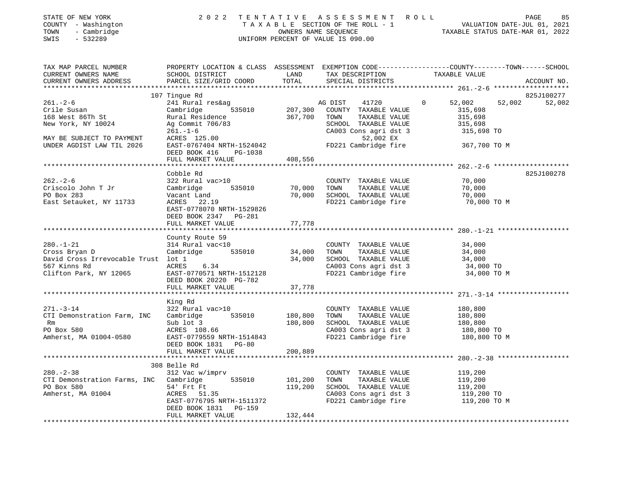| COUNTY - Washington<br>TOWN<br>- Cambridge<br>SWIS<br>$-532289$                                                                   |                                                                                                                                                                  |                            | T A X A B L E SECTION OF THE ROLL - 1<br>OWNERS NAME SEQUENCE<br>UNIFORM PERCENT OF VALUE IS 090.00                                                     | VALUATION DATE-JUL 01, 2021<br>TAXABLE STATUS DATE-MAR 01, 2022                                                                |  |  |  |
|-----------------------------------------------------------------------------------------------------------------------------------|------------------------------------------------------------------------------------------------------------------------------------------------------------------|----------------------------|---------------------------------------------------------------------------------------------------------------------------------------------------------|--------------------------------------------------------------------------------------------------------------------------------|--|--|--|
| TAX MAP PARCEL NUMBER<br>CURRENT OWNERS NAME<br>CURRENT OWNERS ADDRESS                                                            | SCHOOL DISTRICT<br>PARCEL SIZE/GRID COORD                                                                                                                        | LAND<br>TOTAL              | TAX DESCRIPTION<br>SPECIAL DISTRICTS                                                                                                                    | PROPERTY LOCATION & CLASS ASSESSMENT EXEMPTION CODE--------------COUNTY-------TOWN------SCHOOL<br>TAXABLE VALUE<br>ACCOUNT NO. |  |  |  |
|                                                                                                                                   | 107 Tingue Rd                                                                                                                                                    |                            |                                                                                                                                                         | 825J100277                                                                                                                     |  |  |  |
| $261. - 2 - 6$<br>Crile Susan<br>168 West 86Th St<br>New York, NY 10024<br>MAY BE SUBJECT TO PAYMENT<br>UNDER AGDIST LAW TIL 2026 | 241 Rural res&ag<br>Cambridge<br>535010<br>Rural Residence<br>Ag Commit 706/83<br>$261. - 1 - 6$<br>ACRES 125.00<br>EAST-0767404 NRTH-1524042                    | 207,300<br>367,700         | AG DIST<br>41720<br>COUNTY TAXABLE VALUE<br>TAXABLE VALUE<br>TOWN<br>SCHOOL TAXABLE VALUE<br>CA003 Cons agri dst 3<br>52,002 EX<br>FD221 Cambridge fire | 0<br>52,002<br>52,002<br>52,002<br>315,698<br>315,698<br>315,698<br>315,698 TO<br>367,700 TO M                                 |  |  |  |
|                                                                                                                                   | DEED BOOK 416<br>PG-1038                                                                                                                                         |                            |                                                                                                                                                         |                                                                                                                                |  |  |  |
|                                                                                                                                   | FULL MARKET VALUE<br>**********************                                                                                                                      | 408,556<br>*************   |                                                                                                                                                         | ******************** 262.-2-6 ********************                                                                             |  |  |  |
| $262 - 2 - 6$<br>Criscolo John T Jr<br>PO Box 283<br>East Setauket, NY 11733                                                      | Cobble Rd<br>322 Rural vac>10<br>Cambridge<br>535010<br>Vacant Land<br>ACRES<br>22.19<br>EAST-0778070 NRTH-1529826<br>DEED BOOK 2347 PG-281<br>FULL MARKET VALUE | 70,000<br>70,000<br>77,778 | COUNTY TAXABLE VALUE<br>TAXABLE VALUE<br>TOWN<br>SCHOOL TAXABLE VALUE<br>FD221 Cambridge fire                                                           | 825J100278<br>70,000<br>70,000<br>70,000<br>70,000 TO M                                                                        |  |  |  |
|                                                                                                                                   |                                                                                                                                                                  | *********                  |                                                                                                                                                         |                                                                                                                                |  |  |  |
| $280. - 1 - 21$<br>Cross Bryan D<br>David Cross Irrevocable Trust lot 1<br>567 Kinns Rd<br>Clifton Park, NY 12065                 | County Route 59<br>314 Rural vac<10<br>535010<br>Cambridge<br>ACRES<br>6.34<br>EAST-0770571 NRTH-1512128<br>DEED BOOK 20220 PG-782                               | 34,000<br>34,000           | COUNTY TAXABLE VALUE<br>TAXABLE VALUE<br>TOWN<br>SCHOOL TAXABLE VALUE<br>CA003 Cons agri dst 3<br>FD221 Cambridge fire                                  | 34,000<br>34,000<br>34,000<br>34,000 TO<br>34,000 TO M                                                                         |  |  |  |
|                                                                                                                                   | FULL MARKET VALUE                                                                                                                                                | 37,778                     |                                                                                                                                                         |                                                                                                                                |  |  |  |
| $271. - 3 - 14$<br>CTI Demonstration Farm, INC<br>Rm<br>PO Box 580<br>Amherst, MA 01004-0580                                      | King Rd<br>322 Rural vac>10<br>Cambridge<br>535010<br>Sub lot 3<br>ACRES 108.66<br>EAST-0779559 NRTH-1514843<br>DEED BOOK 1831 PG-80                             | 180,800<br>180,800         | COUNTY TAXABLE VALUE<br>TOWN<br>TAXABLE VALUE<br>SCHOOL TAXABLE VALUE<br>CA003 Cons agri dst 3<br>FD221 Cambridge fire                                  | 180,800<br>180,800<br>180,800<br>180,800 TO<br>180,800 TO M                                                                    |  |  |  |
|                                                                                                                                   | FULL MARKET VALUE                                                                                                                                                | 200,889                    |                                                                                                                                                         |                                                                                                                                |  |  |  |
|                                                                                                                                   | *****************************                                                                                                                                    |                            |                                                                                                                                                         | ************************ 280.-2-38 ******************                                                                          |  |  |  |
| $280. - 2 - 38$<br>CTI Demonstration Farms, INC Cambridge<br>PO Box 580<br>Amherst, MA 01004                                      | 308 Belle Rd<br>312 Vac w/imprv<br>535010<br>54' Frt Ft<br>ACRES 51.35<br>EAST-0776795 NRTH-1511372<br>DEED BOOK 1831 PG-159                                     | 101,200<br>119,200         | COUNTY TAXABLE VALUE<br>TAXABLE VALUE<br>TOWN<br>SCHOOL TAXABLE VALUE<br>CA003 Cons agri dst 3<br>FD221 Cambridge fire                                  | 119,200<br>119,200<br>119,200<br>119,200 TO<br>119,200 TO M                                                                    |  |  |  |
|                                                                                                                                   | FULL MARKET VALUE                                                                                                                                                | 132,444                    |                                                                                                                                                         |                                                                                                                                |  |  |  |

\*\*\*\*\*\*\*\*\*\*\*\*\*\*\*\*\*\*\*\*\*\*\*\*\*\*\*\*\*\*\*\*\*\*\*\*\*\*\*\*\*\*\*\*\*\*\*\*\*\*\*\*\*\*\*\*\*\*\*\*\*\*\*\*\*\*\*\*\*\*\*\*\*\*\*\*\*\*\*\*\*\*\*\*\*\*\*\*\*\*\*\*\*\*\*\*\*\*\*\*\*\*\*\*\*\*\*\*\*\*\*\*\*\*\*\*\*\*\*\*\*\*\*\*\*\*\*\*\*\*\*\*

## STATE OF NEW YORK 2022 TENTATIVE ASSESSMENT ROLL PAGE

85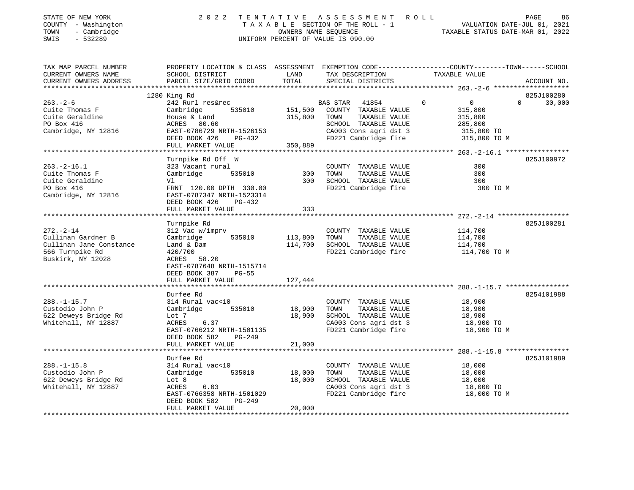| STATE OF NEW YORK<br>COUNTY - Washington<br>- Cambridge<br>TOWN<br>SWIS<br>- 532289 | 2022 TENTATIVE ASSESSMENT ROLL<br>TAXABLE SECTION OF THE ROLL - 1<br>OWNERS NAME SEOUENCE<br>UNIFORM PERCENT OF VALUE IS 090.00 | VALUATION DATE-JUL 01, 2021<br>TAXABLE STATUS DATE-MAR 01, 2022 | PAGE | 86 |
|-------------------------------------------------------------------------------------|---------------------------------------------------------------------------------------------------------------------------------|-----------------------------------------------------------------|------|----|
|                                                                                     |                                                                                                                                 |                                                                 |      |    |

| TAX MAP PARCEL NUMBER   | PROPERTY LOCATION & CLASS ASSESSMENT EXEMPTION CODE----------------COUNTY-------TOWN------SCHOOL |         |                                                                       |                            |                    |
|-------------------------|--------------------------------------------------------------------------------------------------|---------|-----------------------------------------------------------------------|----------------------------|--------------------|
| CURRENT OWNERS NAME     | SCHOOL DISTRICT                                                                                  | LAND    | TAX DESCRIPTION                                                       | TAXABLE VALUE              |                    |
| CURRENT OWNERS ADDRESS  | PARCEL SIZE/GRID COORD                                                                           | TOTAL   | SPECIAL DISTRICTS                                                     |                            | ACCOUNT NO.        |
|                         |                                                                                                  |         |                                                                       |                            |                    |
|                         | 1280 King Rd                                                                                     |         |                                                                       |                            | 825J100280         |
| $263. - 2 - 6$          | 242 Rurl res&rec                                                                                 |         | BAS STAR 41854                                                        | $\Omega$<br>$\overline{0}$ | $\Omega$<br>30,000 |
| Cuite Thomas F          | Cambridge<br>535010                                                                              | 151,500 | COUNTY TAXABLE VALUE                                                  | 315,800                    |                    |
| Cuite Geraldine         | House & Land                                                                                     | 315,800 | TAXABLE VALUE<br>TOWN                                                 | 315,800                    |                    |
| PO Box 416              | ACRES 80.60                                                                                      |         | SCHOOL TAXABLE VALUE                                                  | 285,800                    |                    |
| Cambridge, NY 12816     | EAST-0786729 NRTH-1526153                                                                        |         |                                                                       |                            |                    |
|                         | $PG-432$<br>DEED BOOK 426                                                                        |         | CA003 Cons agri dst 3 315,800 TO<br>FD221 Cambridge fire 315,800 TO M |                            |                    |
|                         | FULL MARKET VALUE                                                                                | 350,889 |                                                                       |                            |                    |
|                         |                                                                                                  |         |                                                                       |                            |                    |
|                         | Turnpike Rd Off W                                                                                |         |                                                                       |                            | 825J100972         |
| $263. -2 - 16.1$        | 323 Vacant rural                                                                                 |         | COUNTY TAXABLE VALUE                                                  | 300                        |                    |
| Cuite Thomas F          | Cambridge<br>535010                                                                              | 300     | TAXABLE VALUE<br>TOWN                                                 | 300                        |                    |
| Cuite Geraldine         | Vl                                                                                               | 300     | SCHOOL TAXABLE VALUE                                                  | 300                        |                    |
| PO Box 416              | FRNT 120.00 DPTH 330.00                                                                          |         | FD221 Cambridge fire                                                  | 300 TO M                   |                    |
| Cambridge, NY 12816     | EAST-0787347 NRTH-1523314                                                                        |         |                                                                       |                            |                    |
|                         | DEED BOOK 426<br>PG-432                                                                          |         |                                                                       |                            |                    |
|                         | FULL MARKET VALUE                                                                                | 333     |                                                                       |                            |                    |
|                         |                                                                                                  |         |                                                                       |                            |                    |
|                         | Turnpike Rd                                                                                      |         |                                                                       |                            | 825J100281         |
| $272. - 2 - 14$         | 312 Vac w/imprv                                                                                  |         | COUNTY TAXABLE VALUE                                                  | 114,700                    |                    |
| Cullinan Gardner B      | Cambridge<br>535010                                                                              | 113,800 | TOWN<br>TAXABLE VALUE                                                 | 114,700                    |                    |
| Cullinan Jane Constance | Land & Dam                                                                                       | 114,700 | SCHOOL TAXABLE VALUE                                                  | 114,700                    |                    |
| 566 Turnpike Rd         | 420/700                                                                                          |         | FD221 Cambridge fire                                                  | 114,700 TO M               |                    |
| Buskirk, NY 12028       | ACRES 58.20                                                                                      |         |                                                                       |                            |                    |
|                         | EAST-0787648 NRTH-1515714                                                                        |         |                                                                       |                            |                    |
|                         | DEED BOOK 387<br>$PG-55$                                                                         |         |                                                                       |                            |                    |
|                         | FULL MARKET VALUE                                                                                | 127,444 |                                                                       |                            |                    |
|                         |                                                                                                  |         |                                                                       |                            |                    |
|                         | Durfee Rd                                                                                        |         |                                                                       |                            | 8254101988         |
| $288. - 1 - 15.7$       | 314 Rural vac<10                                                                                 |         | COUNTY TAXABLE VALUE                                                  | 18,900                     |                    |
| Custodio John P         | Cambridge 535010                                                                                 | 18,900  | TAXABLE VALUE<br>TOWN                                                 | 18,900                     |                    |
| 622 Deweys Bridge Rd    | Lot 7                                                                                            | 18,900  | SCHOOL TAXABLE VALUE                                                  | 18,900                     |                    |
| Whitehall, NY 12887     | ACRES<br>6.37                                                                                    |         |                                                                       | 18,900 TO                  |                    |
|                         | EAST-0766212 NRTH-1501135                                                                        |         | CA003 Cons agri dst 3<br>FD221 Cambridge fire                         | 18,900 TO M                |                    |
|                         | DEED BOOK 582<br>PG-249                                                                          |         |                                                                       |                            |                    |
|                         | FULL MARKET VALUE                                                                                | 21,000  |                                                                       |                            |                    |
|                         |                                                                                                  |         |                                                                       |                            |                    |
|                         | Durfee Rd                                                                                        |         |                                                                       |                            | 825J101989         |
| $288. - 1 - 15.8$       | 314 Rural vac<10                                                                                 |         | COUNTY TAXABLE VALUE                                                  | 18,000                     |                    |
| Custodio John P         | 535010<br>Cambridge                                                                              | 18,000  | TAXABLE VALUE<br>TOWN                                                 | 18,000                     |                    |
| 622 Deweys Bridge Rd    | Lot 8                                                                                            | 18,000  | SCHOOL TAXABLE VALUE                                                  |                            |                    |
| Whitehall, NY 12887     | 6.03<br>ACRES                                                                                    |         | CA003 Cons agri dst 3                                                 | 18,000<br>18,000 TO        |                    |
|                         | EAST-0766358 NRTH-1501029                                                                        |         | FD221 Cambridge fire                                                  | 18,000 TO M                |                    |
|                         | DEED BOOK 582<br>PG-249                                                                          |         |                                                                       |                            |                    |
|                         | FULL MARKET VALUE                                                                                | 20,000  |                                                                       |                            |                    |
|                         |                                                                                                  |         |                                                                       |                            |                    |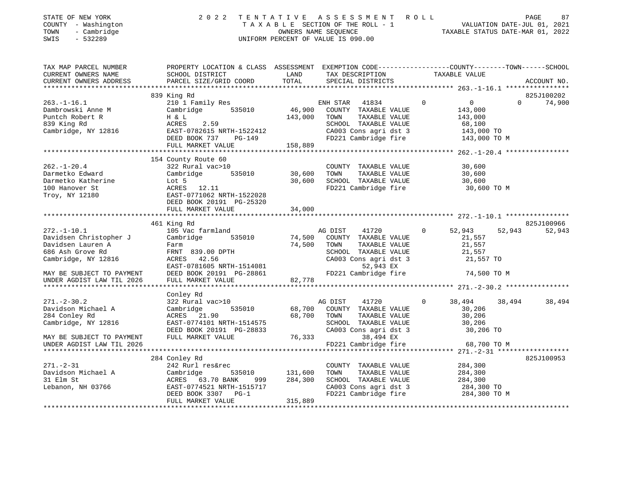| STATE OF NEW YORK |        |            |
|-------------------|--------|------------|
| COUNTY            | $\sim$ | Washington |
| TOWN              |        | Cambridge  |

### STATE OF NEW YORK 2 0 2 2 T E N T A T I V E A S S E S S M E N T R O L L PAGE 87 COUNTY - Washington T A X A B L E SECTION OF THE ROLL - 1 VALUATION DATE-JUL 01, 2021 TOWN - Cambridge OWNERS NAME SEQUENCE TAXABLE STATUS DATE-MAR 01, 2022 SWIS - 532289 UNIFORM PERCENT OF VALUE IS 090.00

| TAX MAP PARCEL NUMBER<br>CURRENT OWNERS NAME<br>CURRENT OWNERS ADDRESS | PROPERTY LOCATION & CLASS ASSESSMENT EXEMPTION CODE----------------COUNTY-------TOWN------SCHOOL<br>SCHOOL DISTRICT<br>PARCEL SIZE/GRID COORD | LAND<br>TOTAL | TAX DESCRIPTION<br>SPECIAL DISTRICTS          |              | TAXABLE VALUE    |          | ACCOUNT NO. |
|------------------------------------------------------------------------|-----------------------------------------------------------------------------------------------------------------------------------------------|---------------|-----------------------------------------------|--------------|------------------|----------|-------------|
|                                                                        |                                                                                                                                               |               |                                               |              |                  |          |             |
|                                                                        | 839 King Rd                                                                                                                                   |               |                                               |              |                  |          | 825J100202  |
| $263. - 1 - 16.1$                                                      | 210 1 Family Res                                                                                                                              |               | ENH STAR 41834                                | $\Omega$     | $\overline{0}$   | $\Omega$ | 74,900      |
| Dambrowski Anne M                                                      | Cambridge<br>535010                                                                                                                           | 46,900        | COUNTY TAXABLE VALUE                          |              | 143,000          |          |             |
| Puntch Robert R                                                        | H & L                                                                                                                                         | 143,000       | TAXABLE VALUE<br>TOWN                         |              | 143,000          |          |             |
| 839 King Rd                                                            | ACRES<br>2.59                                                                                                                                 |               | SCHOOL TAXABLE VALUE                          |              | 68,100           |          |             |
| Cambridge, NY 12816                                                    | EAST-0782615 NRTH-1522412                                                                                                                     |               | CA003 Cons agri dst 3                         |              | 143,000 TO       |          |             |
|                                                                        | DEED BOOK 737<br>PG-149                                                                                                                       |               | FD221 Cambridge fire                          |              | 143,000 TO M     |          |             |
|                                                                        | FULL MARKET VALUE                                                                                                                             | 158,889       |                                               |              |                  |          |             |
|                                                                        | 154 County Route 60                                                                                                                           |               |                                               |              |                  |          |             |
| $262. - 1 - 20.4$                                                      | 322 Rural vac>10                                                                                                                              |               | COUNTY TAXABLE VALUE                          |              | 30,600           |          |             |
| Darmetko Edward                                                        | 535010                                                                                                                                        | 30,600        |                                               |              |                  |          |             |
| Darmetko Katherine                                                     | Cambridge<br>Lot 5                                                                                                                            | 30,600        | TOWN<br>TAXABLE VALUE<br>SCHOOL TAXABLE VALUE |              | 30,600<br>30,600 |          |             |
| 100 Hanover St                                                         | ACRES 12.11                                                                                                                                   |               | FD221 Cambridge fire                          |              |                  |          |             |
|                                                                        | EAST-0771062 NRTH-1522028                                                                                                                     |               |                                               |              | 30,600 TO M      |          |             |
| Troy, NY 12180                                                         | DEED BOOK 20191 PG-25320                                                                                                                      |               |                                               |              |                  |          |             |
|                                                                        | FULL MARKET VALUE                                                                                                                             | 34,000        |                                               |              |                  |          |             |
|                                                                        |                                                                                                                                               |               |                                               |              |                  |          |             |
|                                                                        | 461 King Rd                                                                                                                                   |               |                                               |              |                  |          | 825J100966  |
| $272. - 1 - 10.1$                                                      | 105 Vac farmland                                                                                                                              |               | 41720<br>AG DIST                              | $\Omega$     | 52,943           | 52,943   | 52,943      |
| Davidsen Christopher J                                                 | Cambridge<br>535010                                                                                                                           | 74,500        | COUNTY TAXABLE VALUE                          |              | 21,557           |          |             |
| Davidsen Lauren A                                                      | Farm                                                                                                                                          | 74,500        | TAXABLE VALUE<br>TOWN                         |              | 21,557           |          |             |
| 686 Ash Grove Rd                                                       | FRNT 839.00 DPTH                                                                                                                              |               | SCHOOL TAXABLE VALUE                          |              | 21,557           |          |             |
| Cambridge, NY 12816                                                    | ACRES 42.56                                                                                                                                   |               | CA003 Cons agri dst 3                         |              | 21,557 TO        |          |             |
|                                                                        | EAST-0781605 NRTH-1514081                                                                                                                     |               | 52,943 EX                                     |              |                  |          |             |
| MAY BE SUBJECT TO PAYMENT                                              | DEED BOOK 20191 PG-28861                                                                                                                      |               | FD221 Cambridge fire                          |              | 74,500 TO M      |          |             |
| UNDER AGDIST LAW TIL 2026                                              | FULL MARKET VALUE                                                                                                                             | 82,778        |                                               |              |                  |          |             |
|                                                                        |                                                                                                                                               |               |                                               |              |                  |          |             |
|                                                                        | Conley Rd                                                                                                                                     |               |                                               |              |                  |          |             |
| $271. - 2 - 30.2$                                                      | 322 Rural vac>10                                                                                                                              |               | 41720<br>AG DIST                              | $\mathbf{0}$ | 38,494           | 38,494   | 38,494      |
| Davidson Michael A                                                     | Cambridge<br>535010                                                                                                                           | 68,700        | COUNTY TAXABLE VALUE                          |              | 30,206           |          |             |
| 284 Conley Rd                                                          | ACRES 21.90                                                                                                                                   | 68,700        | TOWN<br>TAXABLE VALUE                         |              | 30,206           |          |             |
| Cambridge, NY 12816                                                    | EAST-0774101 NRTH-1514575                                                                                                                     |               | SCHOOL TAXABLE VALUE                          |              | 30,206           |          |             |
|                                                                        | DEED BOOK 20191 PG-28833                                                                                                                      |               | CA003 Cons agri dst 3                         |              | 30,206 TO        |          |             |
| MAY BE SUBJECT TO PAYMENT                                              | FULL MARKET VALUE                                                                                                                             | 76,333        | 38,494 EX                                     |              |                  |          |             |
| UNDER AGDIST LAW TIL 2026                                              |                                                                                                                                               |               | FD221 Cambridge fire                          |              | 68,700 TO M      |          |             |
|                                                                        |                                                                                                                                               |               |                                               |              |                  |          |             |
|                                                                        | 284 Conley Rd                                                                                                                                 |               |                                               |              |                  |          | 825J100953  |
| $271. - 2 - 31$                                                        | 242 Rurl res&rec                                                                                                                              |               | COUNTY TAXABLE VALUE                          |              | 284,300          |          |             |
| Davidson Michael A                                                     | Cambridge<br>535010                                                                                                                           | 131,600       | TAXABLE VALUE<br>TOWN                         |              | 284,300          |          |             |
| 31 Elm St                                                              | ACRES 63.70 BANK<br>999                                                                                                                       | 284,300       | SCHOOL TAXABLE VALUE                          |              | 284,300          |          |             |
| Lebanon, NH 03766                                                      | EAST-0774521 NRTH-1515717                                                                                                                     |               | CA003 Cons agri dst 3                         |              | 284,300 TO       |          |             |
|                                                                        | DEED BOOK 3307 PG-1                                                                                                                           |               | FD221 Cambridge fire                          |              | 284,300 TO M     |          |             |
|                                                                        | FULL MARKET VALUE                                                                                                                             | 315,889       |                                               |              |                  |          |             |
|                                                                        |                                                                                                                                               |               |                                               |              |                  |          |             |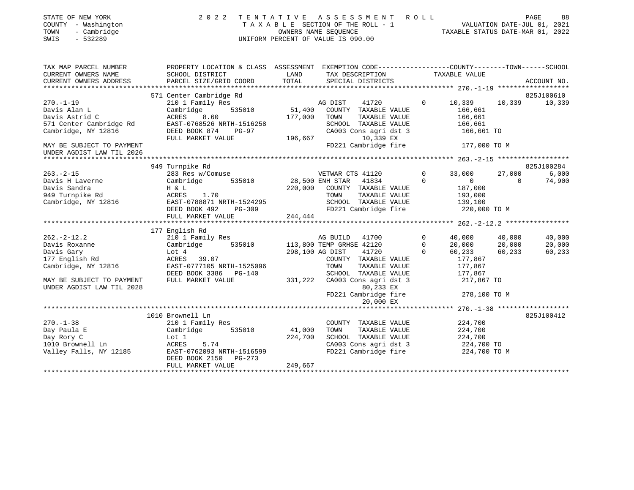| STATE OF NEW YORK<br>COUNTY - Washington<br>- Cambridge<br>TOWN<br>$-532289$<br>SWIS                                                                          | 2022                                                                                                                                             |                              | TENTATIVE ASSESSMENT ROLL<br>TAXABLE SECTION OF THE ROLL - 1<br>OWNERS NAME SEQUENCE<br>UNIFORM PERCENT OF VALUE IS 090.00                              |                                  | VALUATION DATE-JUL 01, 2021<br>TAXABLE STATUS DATE-MAR 01, 2022           | PAGE                       | 88                         |
|---------------------------------------------------------------------------------------------------------------------------------------------------------------|--------------------------------------------------------------------------------------------------------------------------------------------------|------------------------------|---------------------------------------------------------------------------------------------------------------------------------------------------------|----------------------------------|---------------------------------------------------------------------------|----------------------------|----------------------------|
| TAX MAP PARCEL NUMBER<br>CURRENT OWNERS NAME<br>CURRENT OWNERS ADDRESS                                                                                        | PROPERTY LOCATION & CLASS ASSESSMENT EXEMPTION CODE---------------COUNTY-------TOWN-----SCHOOL<br>SCHOOL DISTRICT<br>PARCEL SIZE/GRID COORD      | LAND<br>TOTAL                | TAX DESCRIPTION<br>SPECIAL DISTRICTS                                                                                                                    |                                  | TAXABLE VALUE                                                             |                            | ACCOUNT NO.                |
|                                                                                                                                                               | 571 Center Cambridge Rd                                                                                                                          |                              |                                                                                                                                                         |                                  |                                                                           |                            | 825J100610                 |
| $270. - 1 - 19$<br>Davis Alan L<br>Davis Astrid C<br>571 Center Cambridge Rd<br>Cambridge, NY 12816<br>MAY BE SUBJECT TO PAYMENT<br>UNDER AGDIST LAW TIL 2026 | 210 1 Family Res<br>Cambridge<br>535010<br>ACRES<br>8.60<br>EAST-0768526 NRTH-1516258<br>DEED BOOK 874<br>PG-97<br>FULL MARKET VALUE             | 51,400<br>177,000<br>196,667 | AG DIST<br>41720<br>COUNTY TAXABLE VALUE<br>TOWN<br>TAXABLE VALUE<br>SCHOOL TAXABLE VALUE<br>CA003 Cons agri dst 3<br>10,339 EX<br>FD221 Cambridge fire | $\Omega$                         | 10,339<br>166,661<br>166,661<br>166,661<br>166,661 TO<br>177,000 TO M     | 10,339                     | 10,339                     |
|                                                                                                                                                               |                                                                                                                                                  |                              |                                                                                                                                                         |                                  |                                                                           |                            |                            |
|                                                                                                                                                               | 949 Turnpike Rd                                                                                                                                  |                              |                                                                                                                                                         |                                  |                                                                           |                            | 825J100284                 |
| $263. -2 - 15$<br>Davis H Laverne<br>Davis Sandra<br>949 Turnpike Rd<br>Cambridge, NY 12816                                                                   | 283 Res w/Comuse<br>Cambridge<br>535010<br>H & L<br>ACRES<br>1.70<br>EAST-0788871 NRTH-1524295<br>DEED BOOK 492<br>$PG-309$<br>FULL MARKET VALUE | 220,000<br>244,444           | VETWAR CTS 41120<br>28,500 ENH STAR<br>41834<br>COUNTY TAXABLE VALUE<br>TOWN<br>TAXABLE VALUE<br>SCHOOL TAXABLE VALUE<br>FD221 Cambridge fire           | $\Omega$<br>$\Omega$             | 33,000<br>$\overline{0}$<br>187,000<br>193,000<br>139,100<br>220,000 TO M | 27,000<br>$\Omega$         | 6,000<br>74,900            |
|                                                                                                                                                               |                                                                                                                                                  |                              |                                                                                                                                                         |                                  |                                                                           |                            |                            |
|                                                                                                                                                               | 177 English Rd                                                                                                                                   |                              |                                                                                                                                                         |                                  |                                                                           |                            |                            |
| $262 - 2 - 12.2$<br>Davis Roxanne<br>Davis Gary<br>177 English Rd<br>Cambridge, NY 12816                                                                      | 210 1 Family Res<br>Cambridge<br>535010<br>Lot 4<br>ACRES 39.07<br>EAST-0777105 NRTH-1525096<br>DEED BOOK 3386 PG-140                            | 298,100 AG DIST              | AG BUILD<br>41700<br>113,800 TEMP GRHSE 42120<br>41720<br>COUNTY TAXABLE VALUE<br>TOWN<br>TAXABLE VALUE<br>SCHOOL TAXABLE VALUE                         | $\Omega$<br>$\Omega$<br>$\Omega$ | 40,000<br>20,000<br>60,233<br>177,867<br>177,867<br>177,867               | 40,000<br>20,000<br>60,233 | 40,000<br>20,000<br>60,233 |
| MAY BE SUBJECT TO PAYMENT<br>UNDER AGDIST LAW TIL 2028                                                                                                        | FULL MARKET VALUE                                                                                                                                | 331,222                      | CA003 Cons agri dst 3<br>80,233 EX<br>FD221 Cambridge fire                                                                                              |                                  | 217,867 TO<br>278,100 TO M                                                |                            |                            |
|                                                                                                                                                               |                                                                                                                                                  |                              | 20,000 EX                                                                                                                                               |                                  |                                                                           |                            |                            |
| $270. - 1 - 38$<br>Day Paula E                                                                                                                                | 1010 Brownell Ln<br>210 1 Family Res<br>Cambridge<br>535010                                                                                      | 41,000                       | COUNTY TAXABLE VALUE<br>TOWN<br>TAXABLE VALUE                                                                                                           |                                  | 224,700<br>224,700                                                        |                            | 825J100412                 |
| Day Rory C<br>1010 Brownell Ln<br>Valley Falls, NY 12185                                                                                                      | Lot 1<br>ACRES<br>5.74<br>EAST-0762093 NRTH-1516599<br>DEED BOOK 2150<br>PG-273                                                                  | 224,700                      | SCHOOL TAXABLE VALUE<br>CA003 Cons agri dst 3<br>FD221 Cambridge fire                                                                                   |                                  | 224,700<br>224,700 TO<br>224,700 TO M                                     |                            |                            |
|                                                                                                                                                               | FULL MARKET VALUE                                                                                                                                | 249,667                      |                                                                                                                                                         |                                  |                                                                           |                            |                            |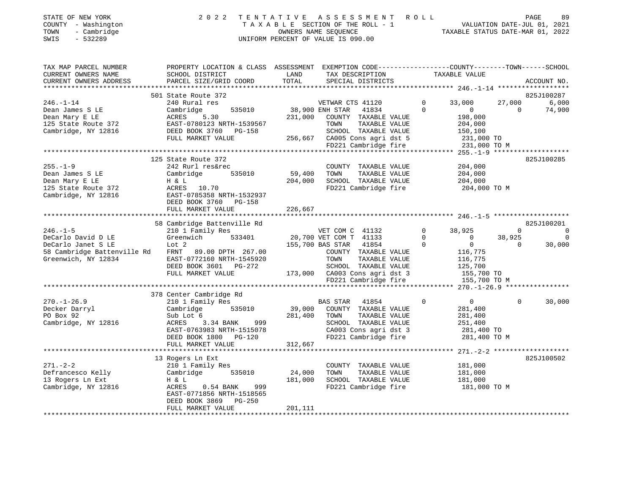| STATE OF NEW YORK<br>- Washington<br>COUNTY<br>- Cambridge<br>TOWN<br>- 532289<br>SWIS |                                              | 2022 TENTATIVE ASSESSMENT ROLL<br>TAXABLE SECTION OF THE ROLL - 1<br>UNIFORM PERCENT OF VALUE IS 090.00 | OWNERS NAME SEOUENCE |                   |         | TAXABLE STATUS DATE-MAR 01, 2022                                              |          | 89<br>PAGE<br>VALUATION DATE-JUL 01, 2021 |
|----------------------------------------------------------------------------------------|----------------------------------------------|---------------------------------------------------------------------------------------------------------|----------------------|-------------------|---------|-------------------------------------------------------------------------------|----------|-------------------------------------------|
| TAX MAP PARCEL NUMBER<br>CURRENT OWNERS NAME                                           | PROPERTY LOCATION & CLASS<br>SCHOOL DISTRICT | ASSESSMENT<br>LAND                                                                                      |                      | TAX DESCRIPTION   |         | EXEMPTION CODE-----------------COUNTY-------TOWN------SCHOOL<br>TAXABLE VALUE |          |                                           |
| CURRENT OWNERS ADDRESS                                                                 | PARCEL SIZE/GRID COORD                       | TOTAL                                                                                                   |                      | SPECIAL DISTRICTS |         |                                                                               |          | ACCOUNT NO.                               |
|                                                                                        |                                              |                                                                                                         |                      |                   |         |                                                                               |          |                                           |
|                                                                                        | 501 State Route 372                          |                                                                                                         |                      |                   |         |                                                                               |          | 825J100287                                |
| 246.-1-14                                                                              | 240 Rural res                                |                                                                                                         | VETWAR CTS 41120     |                   | $\circ$ | 33,000                                                                        | 27,000   | 6,000                                     |
| Doop Jomes C ID                                                                        |                                              |                                                                                                         |                      |                   |         |                                                                               | $\sim$ 0 | <b>74.000</b>                             |

| $246. - 1 - 14$             | 240 Rural res                              |         | VETWAR CTS 41120              |                       | $\Omega$    | 33,000         | 27,000   | 6,000          |
|-----------------------------|--------------------------------------------|---------|-------------------------------|-----------------------|-------------|----------------|----------|----------------|
| Dean James S LE             | Cambridge<br>535010                        |         | 38,900 ENH STAR               | 41834                 | $\Omega$    | $\overline{0}$ | $\Omega$ | 74,900         |
| Dean Mary E LE              | 5.30<br>ACRES                              | 231,000 |                               | COUNTY TAXABLE VALUE  |             | 198,000        |          |                |
| 125 State Route 372         | EAST-0780123 NRTH-1539567                  |         | TOWN                          | TAXABLE VALUE         |             | 204,000        |          |                |
| Cambridge, NY 12816         | DEED BOOK 3760 PG-158                      |         |                               | SCHOOL TAXABLE VALUE  |             | 150,100        |          |                |
|                             | FULL MARKET VALUE                          |         | 256,667 CA005 Cons agri dst 5 |                       |             | 231,000 TO     |          |                |
|                             |                                            |         |                               | FD221 Cambridge fire  |             | 231,000 TO M   |          |                |
|                             |                                            |         |                               |                       |             |                |          |                |
|                             | 125 State Route 372                        |         |                               |                       |             |                |          | 825J100285     |
| $255. - 1 - 9$              | 242 Rurl res&rec                           |         |                               | COUNTY TAXABLE VALUE  |             | 204,000        |          |                |
| Dean James S LE             | 535010<br>Cambridge                        | 59,400  | TOWN                          | TAXABLE VALUE         |             | 204,000        |          |                |
| Dean Mary E LE              | H & L                                      | 204,000 |                               | SCHOOL TAXABLE VALUE  |             | 204,000        |          |                |
| 125 State Route 372         | ACRES 10.70                                |         |                               | FD221 Cambridge fire  |             | 204,000 TO M   |          |                |
| Cambridge, NY 12816         | EAST-0785358 NRTH-1532937                  |         |                               |                       |             |                |          |                |
|                             | DEED BOOK 3760 PG-158                      |         |                               |                       |             |                |          |                |
|                             | FULL MARKET VALUE                          | 226,667 |                               |                       |             |                |          |                |
|                             |                                            |         |                               |                       |             |                |          |                |
|                             | 58 Cambridge Battenville Rd                |         |                               |                       |             |                |          | 825J100201     |
| $246. - 1 - 5$              | 210 1 Family Res                           |         | VET COM C 41132               |                       | $\Omega$    | 38,925         | $\Omega$ | $\overline{0}$ |
| DeCarlo David D LE          | 533401<br>Greenwich                        |         | 20,700 VET COM T 41133        |                       | $\mathbf 0$ | $\overline{0}$ | 38,925   | $\Omega$       |
| DeCarlo Janet S LE          | Lot 2                                      |         | 155,700 BAS STAR 41854        |                       | $\mathbf 0$ | $\overline{0}$ | $\Omega$ | 30,000         |
| 58 Cambridge Battenville Rd | FRNT 89.00 DPTH 267.00                     |         |                               | COUNTY TAXABLE VALUE  |             | 116,775        |          |                |
| Greenwich, NY 12834         | EAST-0772160 NRTH-1545920                  |         | TOWN                          | TAXABLE VALUE         |             | 116,775        |          |                |
|                             | DEED BOOK 3601 PG-272<br>FULL MARKET VALUE |         |                               | SCHOOL TAXABLE VALUE  |             | 125,700        |          |                |
|                             |                                            |         | 173,000 CA003 Cons agri dst 3 | FD221 Cambridge fire  |             | 155,700 TO     |          |                |
|                             |                                            |         |                               |                       |             | 155,700 TO M   |          |                |
|                             | 378 Center Cambridge Rd                    |         |                               |                       |             |                |          |                |
| $270. - 1 - 26.9$           | 210 1 Family Res                           |         | BAS STAR 41854                |                       | $\mathbf 0$ | $\overline{0}$ | $\Omega$ | 30,000         |
| Decker Darryl               | 535010<br>Cambridge                        | 39,000  |                               | COUNTY TAXABLE VALUE  |             | 281,400        |          |                |
| PO Box 92                   | Sub Lot 6                                  | 281,400 | TOWN                          | TAXABLE VALUE         |             | 281,400        |          |                |
| Cambridge, NY 12816         | 3.34 BANK<br>ACRES<br>999                  |         |                               | SCHOOL TAXABLE VALUE  |             | 251,400        |          |                |
|                             | EAST-0763983 NRTH-1515078                  |         |                               | CA003 Cons agri dst 3 |             | 281,400 TO     |          |                |
|                             | DEED BOOK 1800 PG-120                      |         |                               | FD221 Cambridge fire  |             | 281,400 TO M   |          |                |
|                             | FULL MARKET VALUE                          | 312,667 |                               |                       |             |                |          |                |
|                             |                                            |         |                               |                       |             |                |          |                |
|                             | 13 Rogers Ln Ext                           |         |                               |                       |             |                |          | 825J100502     |
| $271. - 2 - 2$              | 210 1 Family Res                           |         |                               | COUNTY TAXABLE VALUE  |             | 181,000        |          |                |
| Defrancesco Kelly           | Cambridge<br>535010                        | 24,000  | TOWN                          | TAXABLE VALUE         |             | 181,000        |          |                |
| 13 Rogers Ln Ext            | H & L                                      | 181,000 |                               | SCHOOL TAXABLE VALUE  |             | 181,000        |          |                |
| Cambridge, NY 12816         | ACRES<br>$0.54$ BANK<br>999                |         |                               | FD221 Cambridge fire  |             | 181,000 TO M   |          |                |
|                             | EAST-0771856 NRTH-1518565                  |         |                               |                       |             |                |          |                |
|                             | DEED BOOK 3869 PG-250                      |         |                               |                       |             |                |          |                |
|                             | FULL MARKET VALUE                          | 201,111 |                               |                       |             |                |          |                |
|                             |                                            |         |                               |                       |             |                |          |                |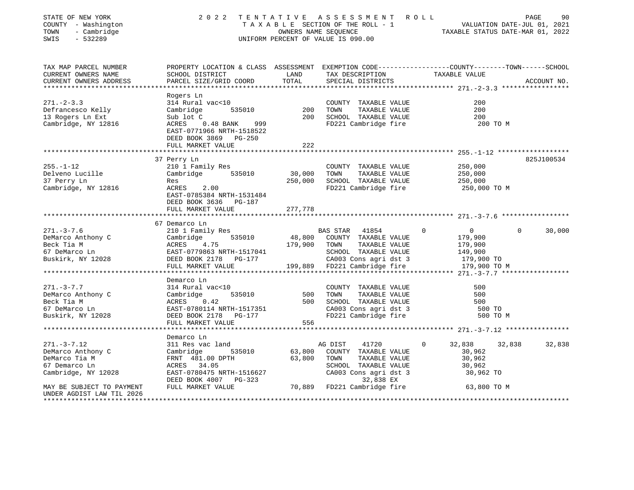| STATE OF NEW YORK<br>COUNTY - Washington<br>TOWN<br>- Cambridge<br>SWIS<br>$-532289$ | 2 0 2 2                                                                                                           | OWNERS NAME SEQUENCE | TENTATIVE ASSESSMENT ROLL<br>T A X A B L E SECTION OF THE ROLL - 1 VALUATION DATE-JUL 01, 2021<br>UNIFORM PERCENT OF VALUE IS 090.00 | TAXABLE STATUS DATE-MAR 01, 2022  | 90<br>PAGE         |
|--------------------------------------------------------------------------------------|-------------------------------------------------------------------------------------------------------------------|----------------------|--------------------------------------------------------------------------------------------------------------------------------------|-----------------------------------|--------------------|
| TAX MAP PARCEL NUMBER<br>CURRENT OWNERS NAME                                         | PROPERTY LOCATION & CLASS ASSESSMENT EXEMPTION CODE---------------COUNTY-------TOWN-----SCHOOL<br>SCHOOL DISTRICT | LAND                 | TAX DESCRIPTION                                                                                                                      | TAXABLE VALUE                     |                    |
| CURRENT OWNERS ADDRESS                                                               | PARCEL SIZE/GRID COORD                                                                                            | TOTAL                | SPECIAL DISTRICTS                                                                                                                    |                                   | ACCOUNT NO.        |
| *******************                                                                  |                                                                                                                   |                      |                                                                                                                                      |                                   |                    |
|                                                                                      | Rogers Ln                                                                                                         |                      |                                                                                                                                      |                                   |                    |
| $271 - 2 - 3.3$                                                                      | 314 Rural vac<10                                                                                                  |                      | COUNTY TAXABLE VALUE                                                                                                                 | 200                               |                    |
| Defrancesco Kelly                                                                    | 535010<br>Cambridge                                                                                               | 200                  | TAXABLE VALUE<br>TOWN                                                                                                                | 200                               |                    |
| 13 Rogers Ln Ext                                                                     | Sub lot C                                                                                                         | 200                  | SCHOOL TAXABLE VALUE                                                                                                                 | 200                               |                    |
| Cambridge, NY 12816                                                                  | ACRES<br>$0.48$ BANK<br>999                                                                                       |                      | FD221 Cambridge fire                                                                                                                 | 200 TO M                          |                    |
|                                                                                      | EAST-0771966 NRTH-1518522                                                                                         |                      |                                                                                                                                      |                                   |                    |
|                                                                                      | DEED BOOK 3869 PG-250                                                                                             |                      |                                                                                                                                      |                                   |                    |
|                                                                                      | FULL MARKET VALUE                                                                                                 | 222                  |                                                                                                                                      |                                   |                    |
|                                                                                      |                                                                                                                   |                      |                                                                                                                                      |                                   |                    |
|                                                                                      | 37 Perry Ln                                                                                                       |                      |                                                                                                                                      |                                   | 825J100534         |
| $255. - 1 - 12$                                                                      | 210 1 Family Res                                                                                                  |                      | COUNTY TAXABLE VALUE                                                                                                                 | 250,000                           |                    |
| Delveno Lucille                                                                      | Cambridge<br>535010                                                                                               | 30,000               | TOWN<br>TAXABLE VALUE                                                                                                                | 250,000                           |                    |
| 37 Perry Ln                                                                          | Res                                                                                                               | 250,000              | SCHOOL TAXABLE VALUE                                                                                                                 | 250,000                           |                    |
| Cambridge, NY 12816                                                                  | ACRES<br>2.00                                                                                                     |                      | FD221 Cambridge fire                                                                                                                 | 250,000 TO M                      |                    |
|                                                                                      | EAST-0785384 NRTH-1531484<br>DEED BOOK 3636 PG-187                                                                |                      |                                                                                                                                      |                                   |                    |
|                                                                                      | FULL MARKET VALUE                                                                                                 | 277,778<br>********* |                                                                                                                                      |                                   |                    |
|                                                                                      | 67 Demarco Ln                                                                                                     |                      |                                                                                                                                      |                                   |                    |
| $271. - 3 - 7.6$                                                                     | 210 1 Family Res                                                                                                  |                      | BAS STAR<br>41854                                                                                                                    | $\overline{0}$<br>$\Omega$        | 30,000<br>$\Omega$ |
| DeMarco Anthony C                                                                    | 535010<br>Cambridge                                                                                               | 48,800               | COUNTY TAXABLE VALUE                                                                                                                 | 179,900                           |                    |
| Beck Tia M                                                                           | ACRES<br>4.75                                                                                                     | 179,900              | TAXABLE VALUE<br>TOWN                                                                                                                | 179,900                           |                    |
| 67 DeMarco Ln                                                                        | EAST-0779863 NRTH-1517041                                                                                         |                      | SCHOOL TAXABLE VALUE                                                                                                                 | 149,900                           |                    |
| Buskirk, NY 12028                                                                    | DEED BOOK 2178 PG-177                                                                                             |                      | CA003 Cons agri dst 3                                                                                                                | 179,900 TO                        |                    |
|                                                                                      | FULL MARKET VALUE                                                                                                 | 199,889              | FD221 Cambridge fire                                                                                                                 | 179,900 TO M                      |                    |
|                                                                                      | ********************                                                                                              |                      |                                                                                                                                      |                                   |                    |
|                                                                                      | Demarco Ln                                                                                                        |                      |                                                                                                                                      |                                   |                    |
| $271. - 3 - 7.7$                                                                     | 314 Rural vac<10                                                                                                  |                      | COUNTY TAXABLE VALUE                                                                                                                 | 500                               |                    |
| DeMarco Anthony C                                                                    | 535010<br>Cambridge                                                                                               | 500                  | TOWN<br>TAXABLE VALUE                                                                                                                | 500                               |                    |
| Beck Tia M                                                                           | ACRES<br>0.42                                                                                                     | 500                  | SCHOOL TAXABLE VALUE                                                                                                                 | 500                               |                    |
| 67 DeMarco Ln                                                                        | EAST-0780114 NRTH-1517351                                                                                         |                      | CA003 Cons agri dst 3                                                                                                                | 500 TO                            |                    |
| Buskirk, NY 12028                                                                    | DEED BOOK 2178 PG-177                                                                                             |                      | FD221 Cambridge fire                                                                                                                 | 500 TO M                          |                    |
|                                                                                      | FULL MARKET VALUE                                                                                                 | 556                  |                                                                                                                                      |                                   |                    |
|                                                                                      |                                                                                                                   |                      |                                                                                                                                      |                                   |                    |
|                                                                                      | Demarco Ln                                                                                                        |                      |                                                                                                                                      |                                   |                    |
| $271. - 3 - 7.12$                                                                    | 311 Res vac land                                                                                                  |                      | AG DIST<br>41720                                                                                                                     | 32,838<br>$\Omega$                | 32,838<br>32,838   |
| DeMarco Anthony C                                                                    | Cambridge<br>535010                                                                                               | 63,800               | COUNTY TAXABLE VALUE                                                                                                                 | 30,962                            |                    |
| DeMarco Tia M                                                                        | FRNT 481.00 DPTH                                                                                                  | 63,800               | TOWN<br>TAXABLE VALUE                                                                                                                | 30,962                            |                    |
| 67 Demarco Ln                                                                        | ACRES 34.05                                                                                                       |                      | SCHOOL TAXABLE VALUE                                                                                                                 | 30,962                            |                    |
| Cambridge, NY 12028                                                                  | EAST-0780475 NRTH-1516627                                                                                         |                      | CA003 Cons agri dst 3                                                                                                                | 30,962 TO                         |                    |
|                                                                                      | DEED BOOK 4007 PG-323                                                                                             |                      | 32,838 EX                                                                                                                            |                                   |                    |
| MAY BE SUBJECT TO PAYMENT                                                            | FULL MARKET VALUE                                                                                                 |                      | 70,889 FD221 Cambridge fire                                                                                                          | 63,800 TO M                       |                    |
| UNDER AGDIST LAW TIL 2026                                                            |                                                                                                                   |                      |                                                                                                                                      |                                   |                    |
| **************************                                                           |                                                                                                                   |                      |                                                                                                                                      | ********************************* |                    |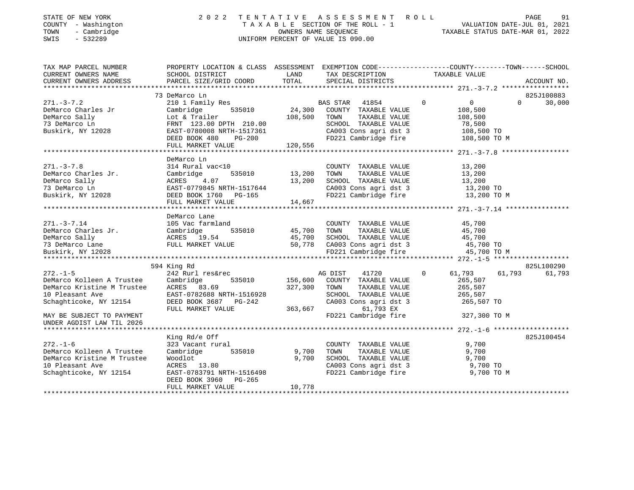| STATE OF NEW YORK |                          |            |
|-------------------|--------------------------|------------|
| <b>COUNTY</b>     | $\sim$                   | Washington |
| TOWN              | $\overline{\phantom{0}}$ | Cambridge  |

### STATE OF NEW YORK 2 0 2 2 T E N T A T I V E A S S E S S M E N T R O L L PAGE 91 COUNTY - Washington T A X A B L E SECTION OF THE ROLL - 1 VALUATION DATE-JUL 01, 2021 TOWN - Cambridge OWNERS NAME SEQUENCE TAXABLE STATUS DATE-MAR 01, 2022 SWIS - 532289 UNIFORM PERCENT OF VALUE IS 090.00

| TAX MAP PARCEL NUMBER<br>CURRENT OWNERS NAME                                                                                                                                                                                         | PROPERTY LOCATION & CLASS ASSESSMENT EXEMPTION CODE---------------COUNTY-------TOWN-----SCHOOL<br>SCHOOL DISTRICT |                   | LAND TAX DESCRIPTION                                                                                                                    | TAXABLE VALUE                                                   |                    |
|--------------------------------------------------------------------------------------------------------------------------------------------------------------------------------------------------------------------------------------|-------------------------------------------------------------------------------------------------------------------|-------------------|-----------------------------------------------------------------------------------------------------------------------------------------|-----------------------------------------------------------------|--------------------|
| CURRENT OWNERS ADDRESS                                                                                                                                                                                                               | PARCEL SIZE/GRID COORD TOTAL SPECIAL DISTRICTS                                                                    |                   |                                                                                                                                         |                                                                 | ACCOUNT NO.        |
|                                                                                                                                                                                                                                      |                                                                                                                   |                   |                                                                                                                                         |                                                                 |                    |
|                                                                                                                                                                                                                                      | 73 DeMarco Ln<br>DeMarco Ln<br>210 1 Family Res<br>24,300 COUNTY TAXABLE VALUE                                    |                   |                                                                                                                                         |                                                                 | 825J100883         |
| $271 - 3 - 7.2$                                                                                                                                                                                                                      |                                                                                                                   |                   |                                                                                                                                         | $\circ$<br>$\overline{0}$                                       | 30,000<br>$\Omega$ |
| DeMarco Charles Jr                                                                                                                                                                                                                   |                                                                                                                   |                   |                                                                                                                                         | 108,500                                                         |                    |
| DeMarco Sally                                                                                                                                                                                                                        | Lot & Trailer                                                                                                     | 108,500 TOWN      | TAXABLE VALUE                                                                                                                           | 108,500                                                         |                    |
| 73 DeMarco Ln                                                                                                                                                                                                                        | FRNT 123.00 DPTH 210.00                                                                                           |                   | SCHOOL TAXABLE VALUE                                                                                                                    | 78,500                                                          |                    |
| Buskirk, NY 12028                                                                                                                                                                                                                    | EAST-0780008 NRTH-1517361<br>DEED BOOK 480 DEED BOOK                                                              |                   |                                                                                                                                         | SCHOOL TAXABLE VALUE 78,500<br>CA003 Cons agri dst 3 108,500 TO |                    |
|                                                                                                                                                                                                                                      | DEED BOOK 480<br>PG-200                                                                                           |                   |                                                                                                                                         | FD221 Cambridge fire 108,500 TO M                               |                    |
|                                                                                                                                                                                                                                      | FULL MARKET VALUE                                                                                                 | PG-200<br>120,556 |                                                                                                                                         |                                                                 |                    |
|                                                                                                                                                                                                                                      |                                                                                                                   |                   |                                                                                                                                         |                                                                 |                    |
|                                                                                                                                                                                                                                      | DeMarco Ln                                                                                                        |                   |                                                                                                                                         |                                                                 |                    |
| $271. - 3 - 7.8$                                                                                                                                                                                                                     | 314 Rural vac<10                                                                                                  |                   | COUNTY TAXABLE VALUE                                                                                                                    | 13,200                                                          |                    |
|                                                                                                                                                                                                                                      | 535010 13,200                                                                                                     |                   | TAXABLE VALUE<br>TOWN                                                                                                                   | 13,200                                                          |                    |
|                                                                                                                                                                                                                                      |                                                                                                                   | 13,200            | SCHOOL TAXABLE VALUE                                                                                                                    | 13,200                                                          |                    |
|                                                                                                                                                                                                                                      |                                                                                                                   |                   |                                                                                                                                         | CA003 Cons agri dst 3 13,200 TO                                 |                    |
|                                                                                                                                                                                                                                      |                                                                                                                   |                   | FD221 Cambridge fire                                                                                                                    | 13,200 TO M                                                     |                    |
| DeMarco Charles Jr.<br>DeMarco Sally (2018) 2018<br>23 DeMarco Ln EAST-0779845 NRTH-1517644<br>Buskirk, NY 12028<br>Buskirk, NY 12028<br>PEED BOOK 1760 PG-165<br>FIJLI, MARKET VALUE 14 665                                         | FULL MARKET VALUE                                                                                                 | 14,667            |                                                                                                                                         |                                                                 |                    |
|                                                                                                                                                                                                                                      |                                                                                                                   |                   |                                                                                                                                         |                                                                 |                    |
|                                                                                                                                                                                                                                      | DeMarco Lane                                                                                                      |                   |                                                                                                                                         |                                                                 |                    |
| $271. - 3 - 7.14$                                                                                                                                                                                                                    | 105 Vac farmland                                                                                                  |                   |                                                                                                                                         |                                                                 |                    |
|                                                                                                                                                                                                                                      |                                                                                                                   |                   |                                                                                                                                         |                                                                 |                    |
| EMarco Charles Jr.<br>Cambridge 535010 535010 45,700 TOWN TAXABLE VALUE 45,700<br>26Marco Sally 25,700 ACRES 19.54 45,700 SCHOOL TAXABLE VALUE 45,700<br>273 DeMarco Lane FULL MARKET VALUE 50,778 CA003 Cons agri dst 3 45,700 TOWN |                                                                                                                   |                   | cmland<br>535010 45,700 TOWN TAXABLE VALUE 45,700<br>535010 45,700 SCHOOL TAXABLE VALUE 45,700<br>54 45,700 SCHOOL TAXABLE VALUE 45,700 |                                                                 |                    |
|                                                                                                                                                                                                                                      |                                                                                                                   |                   |                                                                                                                                         |                                                                 |                    |
|                                                                                                                                                                                                                                      |                                                                                                                   |                   |                                                                                                                                         |                                                                 |                    |
|                                                                                                                                                                                                                                      |                                                                                                                   |                   |                                                                                                                                         |                                                                 |                    |
|                                                                                                                                                                                                                                      |                                                                                                                   |                   |                                                                                                                                         |                                                                 |                    |
|                                                                                                                                                                                                                                      | 594 King Rd                                                                                                       |                   |                                                                                                                                         |                                                                 | 825L100290         |
| $272. - 1 - 5$                                                                                                                                                                                                                       | 242 Rurl res&rec                                                                                                  |                   | 41720<br>AG DIST                                                                                                                        | 61,793<br>$\overline{0}$                                        | 61,793<br>61,793   |
| DeMarco Kolleen A Trustee Cambridge<br>DeMarco Kristine M Trustee ACRES 83.69                                                                                                                                                        | 535010 156,600                                                                                                    |                   | COUNTY TAXABLE VALUE                                                                                                                    | 265,507                                                         |                    |
|                                                                                                                                                                                                                                      |                                                                                                                   | 327,300           | TOWN<br>TAXABLE VALUE                                                                                                                   | 265,507                                                         |                    |
|                                                                                                                                                                                                                                      |                                                                                                                   |                   | SCHOOL TAXABLE VALUE                                                                                                                    | 265,507                                                         |                    |
|                                                                                                                                                                                                                                      |                                                                                                                   |                   | CA003 Cons agri dst 3                                                                                                                   | 265,507 TO                                                      |                    |
|                                                                                                                                                                                                                                      | FULL MARKET VALUE                                                                                                 | 363,667           | 61,793 EX                                                                                                                               |                                                                 |                    |
| MAY BE SUBJECT TO PAYMENT                                                                                                                                                                                                            |                                                                                                                   |                   |                                                                                                                                         | FD221 Cambridge fire 327,300 TO M                               |                    |
| UNDER AGDIST LAW TIL 2026                                                                                                                                                                                                            |                                                                                                                   |                   |                                                                                                                                         |                                                                 |                    |
|                                                                                                                                                                                                                                      |                                                                                                                   |                   |                                                                                                                                         |                                                                 |                    |
|                                                                                                                                                                                                                                      | King Rd/e Off                                                                                                     |                   |                                                                                                                                         |                                                                 | 825J100454         |
| $272. - 1 - 6$                                                                                                                                                                                                                       | 323 Vacant rural                                                                                                  |                   | COUNTY TAXABLE VALUE                                                                                                                    | 9,700                                                           |                    |
| DeMarco Kolleen A Trustee                                                                                                                                                                                                            | Cambridge<br>535010                                                                                               | 9,700             | TAXABLE VALUE<br>TOWN                                                                                                                   | 9,700                                                           |                    |
| DeMarco Kristine M Trustee                                                                                                                                                                                                           | Woodlot                                                                                                           | 9,700             | SCHOOL TAXABLE VALUE                                                                                                                    | 9,700                                                           |                    |
| 10 Pleasant Ave                                                                                                                                                                                                                      | ACRES 13.80                                                                                                       |                   |                                                                                                                                         | CA003 Cons agri dst 3 9,700 TO                                  |                    |
| Schaghticoke, NY 12154                                                                                                                                                                                                               | EAST-0783791 NRTH-1516498                                                                                         |                   | FD221 Cambridge fire                                                                                                                    | 9,700 TO M                                                      |                    |
|                                                                                                                                                                                                                                      | DEED BOOK 3960 PG-265                                                                                             |                   |                                                                                                                                         |                                                                 |                    |
|                                                                                                                                                                                                                                      | FULL MARKET VALUE                                                                                                 | 10,778            |                                                                                                                                         |                                                                 |                    |
|                                                                                                                                                                                                                                      |                                                                                                                   |                   |                                                                                                                                         |                                                                 |                    |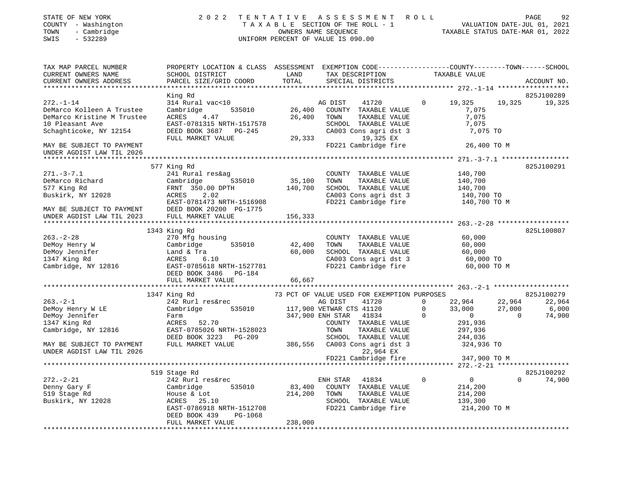| STATE OF NEW YORK<br>COUNTY - Washington<br>- Cambridge<br>TOWN<br>$-532289$<br>SWIS                                                                                                                                                                 | 2 0 2 2                                                                                                                                                                          |              | TENTATIVE ASSESSMENT ROLL<br>TAXABLE SECTION OF THE ROLL - 1<br>TAXABLE STATUS DATE-JUL 01, 2021<br>CONNERS NAME SECTION DATE TRANSPORTED AND TRANSPORTED AS A SECTION OF THE ROLL - 1<br>UNIFORM PERCENT OF VALUE IS 090.00 |              |                                                                                                                       |          | 92<br>PAGE                 |
|------------------------------------------------------------------------------------------------------------------------------------------------------------------------------------------------------------------------------------------------------|----------------------------------------------------------------------------------------------------------------------------------------------------------------------------------|--------------|------------------------------------------------------------------------------------------------------------------------------------------------------------------------------------------------------------------------------|--------------|-----------------------------------------------------------------------------------------------------------------------|----------|----------------------------|
| TAX MAP PARCEL NUMBER<br>CURRENT OWNERS NAME<br>CURRENT OWNERS ADDRESS                                                                                                                                                                               | PROPERTY LOCATION & CLASS ASSESSMENT EXEMPTION CODE----------------COUNTY-------TOWN-----SCHOOL                                                                                  |              | TAX DESCRIPTION TAXABL<br>SPECIAL DISTRICTS TAXABL                                                                                                                                                                           |              | TAXABLE VALUE                                                                                                         |          | ACCOUNT NO.                |
|                                                                                                                                                                                                                                                      |                                                                                                                                                                                  |              |                                                                                                                                                                                                                              |              |                                                                                                                       |          |                            |
|                                                                                                                                                                                                                                                      | King Rd                                                                                                                                                                          |              |                                                                                                                                                                                                                              |              |                                                                                                                       |          | 825J100289                 |
| $272. - 1 - 14$<br>L'A. I II<br>DeMarco Kolleen A Trustee                                                                                                                                                                                            | 314 Rural vac<10<br>Cambridge 535010<br>Cambridge 535010<br>Cambridge 535010<br>Cambridge 535010<br>Cambridge 535010<br>Cambridge 535010<br>Cambridge 535010<br>Cambridge 535010 |              |                                                                                                                                                                                                                              | $\Omega$     | 19,325                                                                                                                |          | 19,325 19,325              |
| DeMarco Kristine M Trustee                                                                                                                                                                                                                           | ACRES 4.47                                                                                                                                                                       |              | 26,400 TOWN<br>TAXABLE VALUE                                                                                                                                                                                                 |              | 7,075<br>7,075                                                                                                        |          |                            |
| 10 Pleasant Ave                                                                                                                                                                                                                                      | EAST-0781315 NRTH-1517578                                                                                                                                                        |              | SCHOOL TAXABLE VALUE                                                                                                                                                                                                         |              | 7,075                                                                                                                 |          |                            |
| Schaghticoke, NY 12154                                                                                                                                                                                                                               | DEED BOOK 3687 PG-245                                                                                                                                                            |              | CA003 Cons agri dst 3                                                                                                                                                                                                        |              | 7,075 TO                                                                                                              |          |                            |
|                                                                                                                                                                                                                                                      | FULL MARKET VALUE                                                                                                                                                                |              | 29,333 19,325 EX                                                                                                                                                                                                             |              |                                                                                                                       |          |                            |
| MAY BE SUBJECT TO PAYMENT                                                                                                                                                                                                                            |                                                                                                                                                                                  |              | FD221 Cambridge fire                                                                                                                                                                                                         |              | 26,400 TO M                                                                                                           |          |                            |
| UNDER AGDIST LAW TIL 2026                                                                                                                                                                                                                            |                                                                                                                                                                                  |              |                                                                                                                                                                                                                              |              |                                                                                                                       |          |                            |
|                                                                                                                                                                                                                                                      |                                                                                                                                                                                  |              |                                                                                                                                                                                                                              |              |                                                                                                                       |          |                            |
|                                                                                                                                                                                                                                                      | 577 King Rd                                                                                                                                                                      |              |                                                                                                                                                                                                                              |              |                                                                                                                       |          | 825J100291                 |
| $271. - 3 - 7.1$                                                                                                                                                                                                                                     | 241 Rural res&ag                                                                                                                                                                 |              | COUNTY TAXABLE VALUE                                                                                                                                                                                                         |              | 140,700                                                                                                               |          |                            |
| 271.-3-7.1<br>DeMarco Richard Cambridge 535010<br>577 King Rd FRNT 350.00 DPTH<br>Buskirk, NY 12028 ACRES 2.02<br>EAST-0781473 NRTH-1516908                                                                                                          |                                                                                                                                                                                  |              | 35,100 TOWN TAXABLE VALUE<br>140,700 SCHOOL TAXABLE VALUE                                                                                                                                                                    |              | 140,700<br>140,700                                                                                                    |          |                            |
|                                                                                                                                                                                                                                                      |                                                                                                                                                                                  |              |                                                                                                                                                                                                                              |              |                                                                                                                       |          |                            |
|                                                                                                                                                                                                                                                      |                                                                                                                                                                                  |              |                                                                                                                                                                                                                              |              |                                                                                                                       |          |                            |
|                                                                                                                                                                                                                                                      |                                                                                                                                                                                  |              | ca003 Cons agri ast 5<br>FD221 Cambridge fire 140,700 TO M                                                                                                                                                                   |              |                                                                                                                       |          |                            |
| MAY BE SUBJECT TO PAYMENT DEED BOOK 20200 PG-1775<br>UNDER AGDIST LAW TIL 2023 FULL MARKET VALUE                                                                                                                                                     |                                                                                                                                                                                  |              |                                                                                                                                                                                                                              |              |                                                                                                                       |          |                            |
|                                                                                                                                                                                                                                                      |                                                                                                                                                                                  | 156,333      |                                                                                                                                                                                                                              |              |                                                                                                                       |          |                            |
|                                                                                                                                                                                                                                                      | 1343 King Rd                                                                                                                                                                     |              |                                                                                                                                                                                                                              |              |                                                                                                                       |          | 825L100807                 |
| $263 - 2 - 28$                                                                                                                                                                                                                                       | 270 Mfg housing                                                                                                                                                                  |              | COUNTY TAXABLE VALUE                                                                                                                                                                                                         |              | 60,000                                                                                                                |          |                            |
|                                                                                                                                                                                                                                                      |                                                                                                                                                                                  | 42,400       | TOWN<br>TAXABLE VALUE                                                                                                                                                                                                        |              | 60,000                                                                                                                |          |                            |
|                                                                                                                                                                                                                                                      |                                                                                                                                                                                  |              | 60,000 SCHOOL TAXABLE VALUE                                                                                                                                                                                                  |              | 60,000                                                                                                                |          |                            |
|                                                                                                                                                                                                                                                      |                                                                                                                                                                                  |              |                                                                                                                                                                                                                              |              |                                                                                                                       |          |                            |
| DeMoy Henry W Cambridge 535010<br>DeMoy Jennifer Land & Tra<br>1347 King Rd ACRES 6.10<br>Cambridge, NY 12816 EAST-0785618 NRTH-1527781                                                                                                              |                                                                                                                                                                                  |              | CA003 Cons agri dst 3<br>FD221 Cambridge fire                                                                                                                                                                                |              | 60,000 TO<br>60,000 TO M                                                                                              |          |                            |
|                                                                                                                                                                                                                                                      | DEED BOOK 3486 PG-184                                                                                                                                                            |              |                                                                                                                                                                                                                              |              |                                                                                                                       |          |                            |
|                                                                                                                                                                                                                                                      | FULL MARKET VALUE                                                                                                                                                                | 66,667       |                                                                                                                                                                                                                              |              |                                                                                                                       |          |                            |
|                                                                                                                                                                                                                                                      | King Rd 242 Rurl res&rec 253.-2-1 MHz USED FOR EXEMPTION PURPOSES 242 Rurl res&rec 253.-2-1 MHz USED FOR EXEMPTION PURPOSES 25 Cambridge                                         |              |                                                                                                                                                                                                                              |              |                                                                                                                       |          |                            |
|                                                                                                                                                                                                                                                      | 1347 King Rd                                                                                                                                                                     |              |                                                                                                                                                                                                                              |              |                                                                                                                       |          | 825J100279                 |
| $263. -2 - 1$                                                                                                                                                                                                                                        |                                                                                                                                                                                  |              |                                                                                                                                                                                                                              |              | $\begin{array}{cccc} 41720 & & & 0 & & 22\, , 964 \\ 41120 & & & 0 & & 33\, , 000 \\ 41834 & & & 0 & & 0 \end{array}$ |          | 22,964 22,964              |
|                                                                                                                                                                                                                                                      |                                                                                                                                                                                  |              |                                                                                                                                                                                                                              |              |                                                                                                                       |          | $27,000$ 6,000<br>0 74,900 |
| 263.-2-1<br>DeMoy Henry W LE<br>DeMoy Jennifer<br>1347 King Rd<br>Cambridge, NY 12816<br>Cambridge, NY 12816<br>Cambridge, NY 12816<br>Cambridge, NY 12816<br>Cambridge, NY 12816<br>Cambridge, NY 12816<br>Cambridge, NY 12816<br>Cambridge, NY 128 | Cambridge 535010 117,900 VETWAR CTS 41120 0<br>Farm 347,900 ENH STAR 41834 0<br>ACRES 52.70 COUNTY TAXABLE VALUE                                                                 |              |                                                                                                                                                                                                                              |              |                                                                                                                       | $\sim$ 0 |                            |
|                                                                                                                                                                                                                                                      |                                                                                                                                                                                  |              |                                                                                                                                                                                                                              |              | 291,936                                                                                                               |          |                            |
|                                                                                                                                                                                                                                                      |                                                                                                                                                                                  |              | TOWN<br>TAXABLE VALUE                                                                                                                                                                                                        |              | 297,936                                                                                                               |          |                            |
|                                                                                                                                                                                                                                                      |                                                                                                                                                                                  |              | SCHOOL TAXABLE VALUE<br>386,556 CA003 Cons agri dst 3                                                                                                                                                                        |              | 244,036                                                                                                               |          |                            |
|                                                                                                                                                                                                                                                      |                                                                                                                                                                                  |              |                                                                                                                                                                                                                              |              | 324,936 TO                                                                                                            |          |                            |
| UNDER AGDIST LAW TIL 2026                                                                                                                                                                                                                            |                                                                                                                                                                                  |              | 22,964 EX                                                                                                                                                                                                                    |              |                                                                                                                       |          |                            |
|                                                                                                                                                                                                                                                      |                                                                                                                                                                                  |              | FD221 Cambridge fire                                                                                                                                                                                                         |              | 347,900 TO M                                                                                                          |          |                            |
|                                                                                                                                                                                                                                                      | 519 Stage Rd                                                                                                                                                                     |              |                                                                                                                                                                                                                              |              |                                                                                                                       |          | 825J100292                 |
| $272. - 2 - 21$                                                                                                                                                                                                                                      | 242 Rurl res&rec                                                                                                                                                                 |              | ENH STAR 41834                                                                                                                                                                                                               | $\mathbf{0}$ | $\overline{0}$                                                                                                        |          | $0 \t 74,900$              |
| Denny Gary F                                                                                                                                                                                                                                         |                                                                                                                                                                                  |              | 83,400 COUNTY TAXABLE VALUE                                                                                                                                                                                                  |              | 214,200                                                                                                               |          |                            |
| 519 Stage Rd                                                                                                                                                                                                                                         | Cambridge 535010<br>House & Lot<br>ACRES 25.10                                                                                                                                   | 214,200 TOWN | TAXABLE VALUE                                                                                                                                                                                                                |              | 214,200                                                                                                               |          |                            |
| Buskirk, NY 12028                                                                                                                                                                                                                                    |                                                                                                                                                                                  |              | SCHOOL TAXABLE VALUE                                                                                                                                                                                                         |              | 139,300                                                                                                               |          |                            |
|                                                                                                                                                                                                                                                      | EAST-0786918 NRTH-1512708                                                                                                                                                        |              | FD221 Cambridge fire                                                                                                                                                                                                         |              | 214,200 TO M                                                                                                          |          |                            |
|                                                                                                                                                                                                                                                      | PG-1068<br>DEED BOOK 439                                                                                                                                                         |              |                                                                                                                                                                                                                              |              |                                                                                                                       |          |                            |
|                                                                                                                                                                                                                                                      | FULL MARKET VALUE                                                                                                                                                                | 238,000      |                                                                                                                                                                                                                              |              |                                                                                                                       |          |                            |
|                                                                                                                                                                                                                                                      |                                                                                                                                                                                  |              |                                                                                                                                                                                                                              |              |                                                                                                                       |          |                            |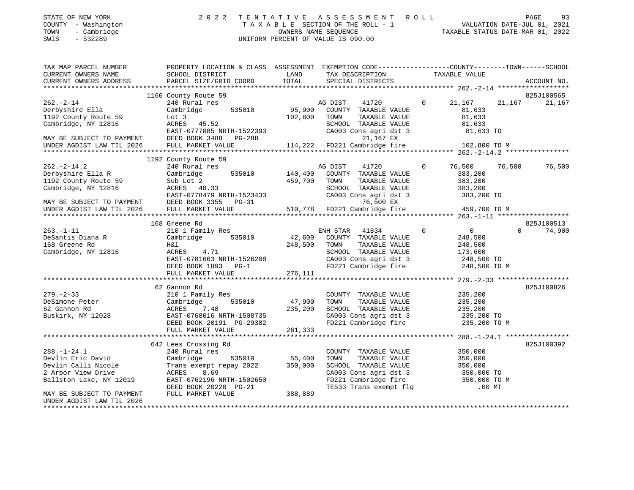| STATE OF NEW YORK   | 2022 TENTATIVE ASSESSMENT ROLL     | PAGE                             | 93 |
|---------------------|------------------------------------|----------------------------------|----|
| COUNTY - Washington | TAXABLE SECTION OF THE ROLL - 1    | VALUATION DATE-JUL 01, 2021      |    |
| - Cambridge<br>TOWN | OWNERS NAME SEOUENCE               | TAXABLE STATUS DATE-MAR 01, 2022 |    |
| SWIS<br>- 532289    | UNIFORM PERCENT OF VALUE IS 090.00 |                                  |    |

TAX MAP PARCEL NUMBER PROPERTY LOCATION & CLASS ASSESSMENT EXEMPTION CODE------------------COUNTY--------TOWN------SCHOOL CURRENT OWNERS NAME SCHOOL DISTRICT LAND TAX DESCRIPTION TAXABLE VALUETAX DESCRIPTION TAXABLE VALUE CURRENT OWNERS ADDRESS PARCEL SIZE/GRID COORD TOTAL SPECIAL DISTRICTS ACCOUNT NO. \*\*\*\*\*\*\*\*\*\*\*\*\*\*\*\*\*\*\*\*\*\*\*\*\*\*\*\*\*\*\*\*\*\*\*\*\*\*\*\*\*\*\*\*\*\*\*\*\*\*\*\*\*\*\*\*\*\*\*\*\*\*\*\*\*\*\*\*\*\*\*\*\*\*\*\*\*\*\*\*\*\*\*\*\*\*\*\*\*\*\*\*\*\*\*\*\*\*\*\*\*\*\* 262.-2-14 \*\*\*\*\*\*\*\*\*\*\*\*\*\*\*\*\*\* 1160 County Route 59 825J100565 262.-2-14 240 Rural res AG DIST 41720 0 21,167 21,167 21,167 Derbyshire Ella Cambridge 535010 95,900 COUNTY TAXABLE VALUE 81,633 1192 County Route 59 Lot 3 102,800 TOWN TAXABLE VALUE 81,633 Cambridge, NY 12816 ACRES 45.52 SCHOOL TAXABLE VALUE 81,633 EAST-0777885 NRTH-1522393 CA003 Cons agri dst 3 81,633 TO MAY BE SUBJECT TO PAYMENT DEED BOOK 3488 PG-288 21,167 EX UNDER AGDIST LAW TIL 2026 FULL MARKET VALUE 114,222 FD221 Cambridge fire 102,800 TO M \*\*\*\*\*\*\*\*\*\*\*\*\*\*\*\*\*\*\*\*\*\*\*\*\*\*\*\*\*\*\*\*\*\*\*\*\*\*\*\*\*\*\*\*\*\*\*\*\*\*\*\*\*\*\*\*\*\*\*\*\*\*\*\*\*\*\*\*\*\*\*\*\*\*\*\*\*\*\*\*\*\*\*\*\*\*\*\*\*\*\*\*\*\*\*\*\*\*\*\*\*\*\* 262.-2-14.2 \*\*\*\*\*\*\*\*\*\*\*\*\*\*\*\* 1192 County Route 59 262.-2-14.2 240 Rural res AG DIST 41720 0 76,500 76,500 76,500 Derbyshire Ella R Cambridge 535010 140,400 COUNTY TAXABLE VALUE 383,200 1192 County Route 59 Sub Lot 2 459,700 TOWN TAXABLE VALUE 383,200 Cambridge, NY 12816 ACRES 40.33 SCHOOL TAXABLE VALUE 383,200 EAST-0778479 NRTH-1523433 CA003 Cons agri dst 3 383,200 TO MAY BE SUBJECT TO PAYMENT DEED BOOK 3355 PG-31 76,500 EX UNDER AGDIST LAW TIL 2026 FULL MARKET VALUE 510,778 FD221 Cambridge fire 459,700 TO M \*\*\*\*\*\*\*\*\*\*\*\*\*\*\*\*\*\*\*\*\*\*\*\*\*\*\*\*\*\*\*\*\*\*\*\*\*\*\*\*\*\*\*\*\*\*\*\*\*\*\*\*\*\*\*\*\*\*\*\*\*\*\*\*\*\*\*\*\*\*\*\*\*\*\*\*\*\*\*\*\*\*\*\*\*\*\*\*\*\*\*\*\*\*\*\*\*\*\*\*\*\*\* 263.-1-11 \*\*\*\*\*\*\*\*\*\*\*\*\*\*\*\*\*\*825J100513 168 Greene Rd 825J100513263.-1-11 210 1 Family Res ENH STAR 41834 0 0 0 74,900 DeSantis Diana R Cambridge 535010 42,600 COUNTY TAXABLE VALUE 248,500 168 Greene Rd H&l 248,500 TOWN TAXABLE VALUE 248,500 Example and the cambridge, NY 12816 and ACRES 4.71 and the school of the SCHOOL TAXABLE VALUE 248,500<br>Cambridge, NY 12816 and ACRES 4.71 and SCHOOL TAXABLE VALUE 173,600 EAST-0781663 NRTH-1526208 CA003 Cons agri dst 3 248,500 TO DEED BOOK 1893 PG-1 FD221 Cambridge fire 248,500 TO M FULL MARKET VALUE 276,111 \*\*\*\*\*\*\*\*\*\*\*\*\*\*\*\*\*\*\*\*\*\*\*\*\*\*\*\*\*\*\*\*\*\*\*\*\*\*\*\*\*\*\*\*\*\*\*\*\*\*\*\*\*\*\*\*\*\*\*\*\*\*\*\*\*\*\*\*\*\*\*\*\*\*\*\*\*\*\*\*\*\*\*\*\*\*\*\*\*\*\*\*\*\*\*\*\*\*\*\*\*\*\* 279.-2-33 \*\*\*\*\*\*\*\*\*\*\*\*\*\*\*\*\*\* 62 Gannon Rd 825J100826279.-2-33 210 1 Family Res COUNTY TAXABLE VALUE 235,200 DeSimone Peter Cambridge 535010 47,900 TOWN TAXABLE VALUE 235,200 62 Gannon Rd ACRES 7.48 235,200 SCHOOL TAXABLE VALUE 235,200 Buskirk, NY 12028 EAST-0768016 NRTH-1508735 CA003 Cons agri dst 3 235,200 TO DEED BOOK 20191 PG-29382 FD221 Cambridge fire 235,200 TO M FULL MARKET VALUE 261,333 \*\*\*\*\*\*\*\*\*\*\*\*\*\*\*\*\*\*\*\*\*\*\*\*\*\*\*\*\*\*\*\*\*\*\*\*\*\*\*\*\*\*\*\*\*\*\*\*\*\*\*\*\*\*\*\*\*\*\*\*\*\*\*\*\*\*\*\*\*\*\*\*\*\*\*\*\*\*\*\*\*\*\*\*\*\*\*\*\*\*\*\*\*\*\*\*\*\*\*\*\*\*\* 288.-1-24.1 \*\*\*\*\*\*\*\*\*\*\*\*\*\*\*\* 642 Lees Crossing Rd 825J100392 288.-1-24.1 240 Rural res COUNTY TAXABLE VALUE 350,000 Devlin Eric David Cambridge 535010 55,400 TOWN TAXABLE VALUE 350,000 Devlin Calli Nicole Trans exempt repay 2022 350,000 SCHOOL TAXABLE VALUE 350,000 2 Arbor View Drive ACRES 8.69 CA003 Cons agri dst 3 350,000 TO Ballston Lake, NY 12019 EAST-0762196 NRTH-1502650 FD221 Cambridge fire 350,000 TO M DEED BOOK 20220 PG-21 TE533 Trans exempt flg .00 MT MAY BE SUBJECT TO PAYMENT FULL MARKET VALUE 388,889 UNDER AGDIST LAW TIL 2026\*\*\*\*\*\*\*\*\*\*\*\*\*\*\*\*\*\*\*\*\*\*\*\*\*\*\*\*\*\*\*\*\*\*\*\*\*\*\*\*\*\*\*\*\*\*\*\*\*\*\*\*\*\*\*\*\*\*\*\*\*\*\*\*\*\*\*\*\*\*\*\*\*\*\*\*\*\*\*\*\*\*\*\*\*\*\*\*\*\*\*\*\*\*\*\*\*\*\*\*\*\*\*\*\*\*\*\*\*\*\*\*\*\*\*\*\*\*\*\*\*\*\*\*\*\*\*\*\*\*\*\*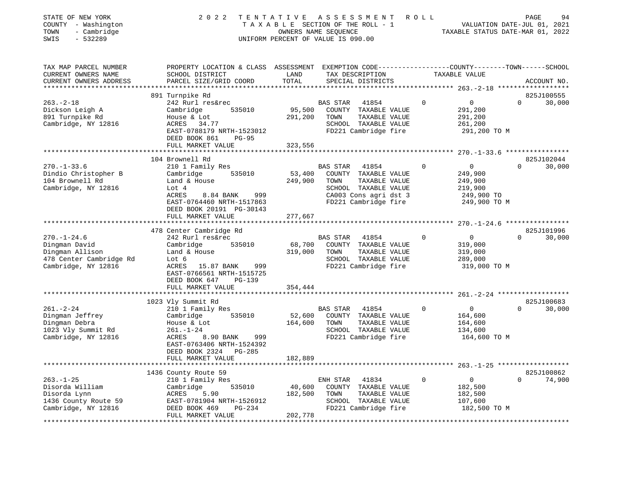| STATE OF NEW YORK<br>COUNTY - Washington<br>TOWN<br>- Cambridge<br>$-532289$<br>SWIS | 2 0 2 2                                                                           | TENTATIVE         | ASSESSMENT<br>TAXABLE SECTION OF THE ROLL - 1<br>OWNERS NAME SEQUENCE<br>UNIFORM PERCENT OF VALUE IS 090.00 | R O L L     | VALUATION DATE-JUL 01, 2021<br>TAXABLE STATUS DATE-MAR 01, 2022 | PAGE        | 94          |
|--------------------------------------------------------------------------------------|-----------------------------------------------------------------------------------|-------------------|-------------------------------------------------------------------------------------------------------------|-------------|-----------------------------------------------------------------|-------------|-------------|
| TAX MAP PARCEL NUMBER<br>CURRENT OWNERS NAME<br>CURRENT OWNERS ADDRESS               | PROPERTY LOCATION & CLASS ASSESSMENT<br>SCHOOL DISTRICT<br>PARCEL SIZE/GRID COORD | LAND<br>TOTAL     | EXEMPTION CODE-----------------COUNTY-------TOWN------SCHOOL<br>TAX DESCRIPTION<br>SPECIAL DISTRICTS        |             | TAXABLE VALUE                                                   |             | ACCOUNT NO. |
|                                                                                      | 891 Turnpike Rd                                                                   |                   |                                                                                                             |             |                                                                 |             | 825J100555  |
| $263. -2 - 18$                                                                       | 242 Rurl res&rec                                                                  |                   | <b>BAS STAR</b><br>41854                                                                                    | 0           | 0                                                               | $\Omega$    | 30,000      |
| Dickson Leigh A                                                                      | 535010<br>Cambridge                                                               | 95,500            | COUNTY TAXABLE VALUE                                                                                        |             | 291,200                                                         |             |             |
| 891 Turnpike Rd                                                                      | House & Lot                                                                       | 291,200           | TOWN<br>TAXABLE VALUE                                                                                       |             | 291,200                                                         |             |             |
| Cambridge, NY 12816                                                                  | ACRES<br>34.77                                                                    |                   | SCHOOL TAXABLE VALUE                                                                                        |             | 261,200                                                         |             |             |
|                                                                                      | EAST-0788179 NRTH-1523012                                                         |                   | FD221 Cambridge fire                                                                                        |             | 291,200 TO M                                                    |             |             |
|                                                                                      | DEED BOOK 861<br><b>PG-95</b>                                                     |                   |                                                                                                             |             |                                                                 |             |             |
|                                                                                      | FULL MARKET VALUE                                                                 | 323,556           |                                                                                                             |             |                                                                 |             |             |
|                                                                                      |                                                                                   | **********        |                                                                                                             |             | ******************** 270.-1-33.6 *****************              |             |             |
|                                                                                      | 104 Brownell Rd                                                                   |                   |                                                                                                             |             |                                                                 |             | 825J102044  |
| $270. - 1 - 33.6$                                                                    | 210 1 Family Res                                                                  |                   | BAS STAR<br>41854                                                                                           | $\Omega$    | 0                                                               | $\Omega$    | 30,000      |
| Dindio Christopher B<br>104 Brownell Rd                                              | 535010<br>Cambridge<br>Land & House                                               | 53,400<br>249,900 | COUNTY TAXABLE VALUE<br>TOWN<br>TAXABLE VALUE                                                               |             | 249,900<br>249,900                                              |             |             |
| Cambridge, NY 12816                                                                  | Lot 4                                                                             |                   | SCHOOL TAXABLE VALUE                                                                                        |             | 219,900                                                         |             |             |
|                                                                                      | ACRES<br>8.84 BANK<br>999                                                         |                   | CA003 Cons agri dst 3                                                                                       |             | 249,900 TO                                                      |             |             |
|                                                                                      | EAST-0764460 NRTH-1517863                                                         |                   | FD221 Cambridge fire                                                                                        |             | 249,900 TO M                                                    |             |             |
|                                                                                      | DEED BOOK 20191 PG-30143                                                          |                   |                                                                                                             |             |                                                                 |             |             |
|                                                                                      | FULL MARKET VALUE                                                                 | 277,667           |                                                                                                             |             |                                                                 |             |             |
|                                                                                      |                                                                                   |                   |                                                                                                             |             | ********** 270.-1-24.6 *****************                        |             |             |
|                                                                                      | 478 Center Cambridge Rd                                                           |                   |                                                                                                             |             |                                                                 |             | 825J101996  |
| $270. - 1 - 24.6$                                                                    | 242 Rurl res&rec                                                                  |                   | BAS STAR<br>41854                                                                                           | $\Omega$    | $\overline{0}$                                                  | $\Omega$    | 30,000      |
| Dingman David                                                                        | Cambridge<br>535010                                                               | 68,700            | COUNTY TAXABLE VALUE                                                                                        |             | 319,000                                                         |             |             |
| Dingman Allison                                                                      | Land & House                                                                      | 319,000           | TOWN<br>TAXABLE VALUE                                                                                       |             | 319,000                                                         |             |             |
| 478 Center Cambridge Rd                                                              | Lot 6                                                                             |                   | SCHOOL TAXABLE VALUE                                                                                        |             | 289,000                                                         |             |             |
| Cambridge, NY 12816                                                                  | ACRES<br>15.87 BANK<br>999                                                        |                   | FD221 Cambridge fire                                                                                        |             | 319,000 TO M                                                    |             |             |
|                                                                                      | EAST-0766561 NRTH-1515725                                                         |                   |                                                                                                             |             |                                                                 |             |             |
|                                                                                      | DEED BOOK 647<br><b>PG-139</b>                                                    |                   |                                                                                                             |             |                                                                 |             |             |
|                                                                                      | FULL MARKET VALUE                                                                 | 354,444           |                                                                                                             |             |                                                                 |             |             |
|                                                                                      |                                                                                   |                   |                                                                                                             |             | $261, -2 - 24$ *******************                              |             | 825J100683  |
| $261. - 2 - 24$                                                                      | 1023 Vly Summit Rd                                                                |                   | BAS STAR<br>41854                                                                                           | 0           | 0                                                               | $\mathbf 0$ |             |
| Dingman Jeffrey                                                                      | 210 1 Family Res<br>Cambridge<br>535010                                           | 52,600            | COUNTY TAXABLE VALUE                                                                                        |             | 164,600                                                         |             | 30,000      |
| Dingman Debra                                                                        | House & Lot                                                                       | 164,600           | TOWN<br>TAXABLE VALUE                                                                                       |             | 164,600                                                         |             |             |
| 1023 Vly Summit Rd                                                                   | $261. - 1 - 24$                                                                   |                   | SCHOOL TAXABLE VALUE                                                                                        |             | 134,600                                                         |             |             |
| Cambridge, NY 12816                                                                  | 8.90 BANK<br>999<br>ACRES                                                         |                   | FD221 Cambridge fire                                                                                        |             | 164,600 TO M                                                    |             |             |
|                                                                                      | EAST-0763406 NRTH-1524392                                                         |                   |                                                                                                             |             |                                                                 |             |             |
|                                                                                      | DEED BOOK 2324<br>PG-285                                                          |                   |                                                                                                             |             |                                                                 |             |             |
|                                                                                      | FULL MARKET VALUE                                                                 | 182,889           |                                                                                                             |             |                                                                 |             |             |
|                                                                                      |                                                                                   |                   |                                                                                                             |             | ************ 263.-1-25 *******************                      |             |             |
|                                                                                      | 1436 County Route 59                                                              |                   |                                                                                                             |             |                                                                 |             | 825J100862  |
| $263. - 1 - 25$                                                                      | 210 1 Family Res                                                                  |                   | ENH STAR<br>41834                                                                                           | $\mathbf 0$ | $\overline{0}$                                                  | $\Omega$    | 74,900      |
| Disorda William                                                                      | 535010<br>Cambridge                                                               | 40,600            | COUNTY TAXABLE VALUE                                                                                        |             | 182,500                                                         |             |             |
| Disorda Lynn                                                                         | ACRES<br>5.90                                                                     | 182,500           | TOWN<br>TAXABLE VALUE                                                                                       |             | 182,500                                                         |             |             |
| 1436 County Route 59                                                                 | EAST-0781904 NRTH-1526912                                                         |                   | SCHOOL TAXABLE VALUE                                                                                        |             | 107,600                                                         |             |             |
| Cambridge, NY 12816                                                                  | DEED BOOK 469<br>PG-234                                                           |                   | FD221 Cambridge fire                                                                                        |             | 182,500 TO M                                                    |             |             |
|                                                                                      | FULL MARKET VALUE                                                                 | 202,778           |                                                                                                             |             |                                                                 |             |             |
|                                                                                      | ********************                                                              |                   |                                                                                                             |             |                                                                 |             |             |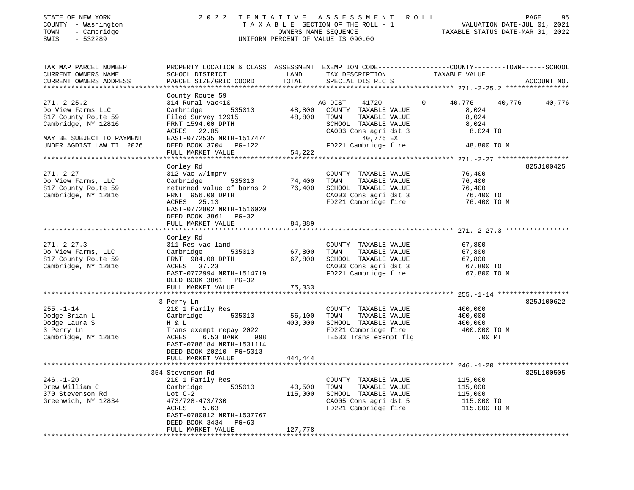| COUNTY - Washington<br>TOWN<br>- Cambridge<br>SWIS<br>$-532289$                                                   |                                                                                                                                                                                               |                                | TAXABLE SECTION OF THE ROLL - 1<br>OWNERS NAME SEQUENCE<br>UNIFORM PERCENT OF VALUE IS 090.00                                   | VALUATION DATE-JUL 01, 2021<br>TAXABLE STATUS DATE-MAR 01, 2022                                                   |             |  |  |
|-------------------------------------------------------------------------------------------------------------------|-----------------------------------------------------------------------------------------------------------------------------------------------------------------------------------------------|--------------------------------|---------------------------------------------------------------------------------------------------------------------------------|-------------------------------------------------------------------------------------------------------------------|-------------|--|--|
| TAX MAP PARCEL NUMBER<br>CURRENT OWNERS NAME<br>CURRENT OWNERS ADDRESS                                            | SCHOOL DISTRICT<br>PARCEL SIZE/GRID COORD                                                                                                                                                     | LAND<br>TOTAL                  | TAX DESCRIPTION<br>SPECIAL DISTRICTS                                                                                            | PROPERTY LOCATION & CLASS ASSESSMENT EXEMPTION CODE----------------COUNTY-------TOWN------SCHOOL<br>TAXABLE VALUE | ACCOUNT NO. |  |  |
|                                                                                                                   |                                                                                                                                                                                               | **********                     |                                                                                                                                 | ***************** 271.-2-25.2 *******                                                                             |             |  |  |
| $271. - 2 - 25.2$<br>Do View Farms LLC<br>817 County Route 59<br>Cambridge, NY 12816<br>MAY BE SUBJECT TO PAYMENT | County Route 59<br>314 Rural vac<10<br>Cambridge<br>535010<br>Filed Survey 12915<br>FRNT 1594.00 DPTH<br>ACRES 22.05<br>EAST-0772535 NRTH-1517474                                             | 48,800<br>48,800               | AG DIST<br>41720<br>COUNTY TAXABLE VALUE<br>TOWN<br>TAXABLE VALUE<br>SCHOOL TAXABLE VALUE<br>CA003 Cons agri dst 3<br>40,776 EX | 40,776<br>40,776<br>8,024<br>8,024<br>8,024<br>8,024 TO                                                           | 40,776      |  |  |
| UNDER AGDIST LAW TIL 2026                                                                                         | DEED BOOK 3704 PG-122                                                                                                                                                                         |                                | FD221 Cambridge fire                                                                                                            | 48,800 TO M                                                                                                       |             |  |  |
|                                                                                                                   | FULL MARKET VALUE                                                                                                                                                                             | 54,222                         |                                                                                                                                 |                                                                                                                   |             |  |  |
|                                                                                                                   | Conley Rd                                                                                                                                                                                     |                                |                                                                                                                                 |                                                                                                                   | 825J100425  |  |  |
| $271. - 2 - 27$<br>Do View Farms, LLC<br>817 County Route 59<br>Cambridge, NY 12816                               | 312 Vac w/imprv<br>535010<br>Cambridge<br>returned value of barns 2<br>FRNT 956.00 DPTH<br>ACRES 25.13<br>EAST-0772802 NRTH-1516020<br>DEED BOOK 3861 PG-32                                   | 74,400<br>76,400               | COUNTY TAXABLE VALUE<br>TOWN<br>TAXABLE VALUE<br>SCHOOL TAXABLE VALUE<br>CA003 Cons agri dst 3<br>FD221 Cambridge fire          | 76,400<br>76,400<br>76,400<br>76,400 TO<br>76,400 TO M                                                            |             |  |  |
|                                                                                                                   | FULL MARKET VALUE                                                                                                                                                                             | 84,889                         |                                                                                                                                 |                                                                                                                   |             |  |  |
|                                                                                                                   |                                                                                                                                                                                               |                                |                                                                                                                                 |                                                                                                                   |             |  |  |
| $271. - 2 - 27.3$<br>Do View Farms, LLC<br>817 County Route 59<br>Cambridge, NY 12816                             | Conley Rd<br>311 Res vac land<br>Cambridge<br>535010<br>FRNT 984.00 DPTH<br>ACRES 37.23<br>EAST-0772994 NRTH-1514719<br>DEED BOOK 3861 PG-32<br>FULL MARKET VALUE                             | 67,800<br>67,800<br>75,333     | COUNTY TAXABLE VALUE<br>TOWN<br>TAXABLE VALUE<br>SCHOOL TAXABLE VALUE<br>CA003 Cons agri dst 3<br>FD221 Cambridge fire          | 67,800<br>67,800<br>67,800<br>67,800 TO<br>67,800 TO M                                                            |             |  |  |
|                                                                                                                   |                                                                                                                                                                                               |                                |                                                                                                                                 |                                                                                                                   |             |  |  |
| $255. - 1 - 14$<br>Dodge Brian L<br>Dodge Laura S<br>3 Perry Ln<br>Cambridge, NY 12816                            | 3 Perry Ln<br>210 1 Family Res<br>535010<br>Cambridge<br>H & L<br>Trans exempt repay 2022<br>ACRES<br>6.53 BANK<br>998<br>EAST-0786184 NRTH-1531114                                           | 56,100<br>400,000              | COUNTY TAXABLE VALUE<br>TOWN<br>TAXABLE VALUE<br>SCHOOL TAXABLE VALUE<br>FD221 Cambridge fire<br>TE533 Trans exempt flg         | 400,000<br>400,000<br>400,000<br>400,000 TO M<br>$.00$ MT                                                         | 825J100622  |  |  |
|                                                                                                                   | DEED BOOK 20210 PG-5013<br>FULL MARKET VALUE                                                                                                                                                  | 444,444                        |                                                                                                                                 |                                                                                                                   |             |  |  |
|                                                                                                                   |                                                                                                                                                                                               |                                |                                                                                                                                 |                                                                                                                   |             |  |  |
| $246. - 1 - 20$<br>Drew William C<br>370 Stevenson Rd<br>Greenwich, NY 12834                                      | 354 Stevenson Rd<br>210 1 Family Res<br>Cambridge<br>535010<br>Lot $C-2$<br>473/728-473/730<br>5.63<br>ACRES<br>EAST-0780812 NRTH-1537767<br>DEED BOOK 3434<br>PG-60<br>DIIT I MADISDE ISAIID | 40,500<br>115,000<br>$107.770$ | COUNTY TAXABLE VALUE<br>TOWN<br>TAXABLE VALUE<br>SCHOOL TAXABLE VALUE<br>CA005 Cons agri dst 5<br>FD221 Cambridge fire          | 115,000<br>115,000<br>115,000<br>115,000 TO<br>115,000 TO M                                                       | 825L100505  |  |  |

FULL MARKET VALUE 127,778 \*\*\*\*\*\*\*\*\*\*\*\*\*\*\*\*\*\*\*\*\*\*\*\*\*\*\*\*\*\*\*\*\*\*\*\*\*\*\*\*\*\*\*\*\*\*\*\*\*\*\*\*\*\*\*\*\*\*\*\*\*\*\*\*\*\*\*\*\*\*\*\*\*\*\*\*\*\*\*\*\*\*\*\*\*\*\*\*\*\*\*\*\*\*\*\*\*\*\*\*\*\*\*\*\*\*\*\*\*\*\*\*\*\*\*\*\*\*\*\*\*\*\*\*\*\*\*\*\*\*\*\*

95

# STATE OF NEW YORK 2022 TENTATIVE ASSESSMENT ROLL PAGE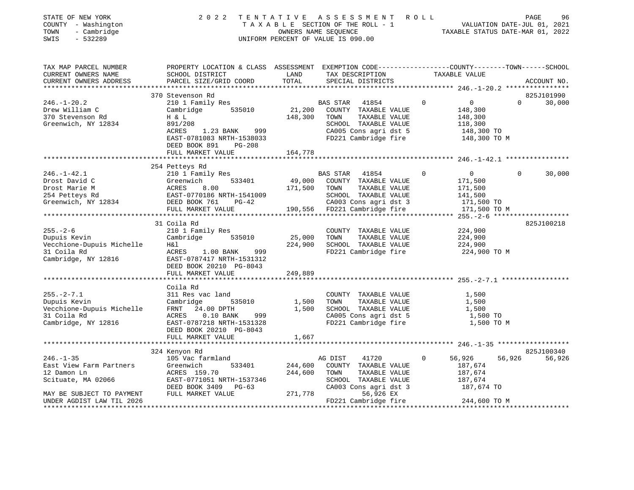| STATE OF NEW YORK<br>COUNTY - Washington<br>TOWN<br>- Cambridge<br>SWIS<br>$-532289$ | 2 0 2 2                                                                                                            |                | TENTATIVE ASSESSMENT<br>TAXABLE SECTION OF THE ROLL - 1<br>OWNERS NAME SEQUENCE<br>UNIFORM PERCENT OF VALUE IS 090.00 | R O L L  | VALUATION DATE-JUL 01, 2021<br>TAXABLE STATUS DATE-MAR 01, 2022 | PAGE     | 96          |
|--------------------------------------------------------------------------------------|--------------------------------------------------------------------------------------------------------------------|----------------|-----------------------------------------------------------------------------------------------------------------------|----------|-----------------------------------------------------------------|----------|-------------|
| TAX MAP PARCEL NUMBER<br>CURRENT OWNERS NAME                                         | PROPERTY LOCATION & CLASS ASSESSMENT EXEMPTION CODE---------------COUNTY-------TOWN------SCHOOL<br>SCHOOL DISTRICT | LAND           | TAX DESCRIPTION                                                                                                       |          | TAXABLE VALUE                                                   |          |             |
| CURRENT OWNERS ADDRESS                                                               | PARCEL SIZE/GRID COORD                                                                                             | TOTAL          | SPECIAL DISTRICTS                                                                                                     |          |                                                                 |          | ACCOUNT NO. |
|                                                                                      | 370 Stevenson Rd                                                                                                   |                |                                                                                                                       |          |                                                                 |          | 825J101990  |
| $246. - 1 - 20.2$                                                                    | 210 1 Family Res                                                                                                   |                | BAS STAR<br>41854                                                                                                     | $\Omega$ | $\overline{0}$                                                  | $\Omega$ | 30,000      |
| Drew William C                                                                       | 535010<br>Cambridge                                                                                                | 21,200         | COUNTY TAXABLE VALUE                                                                                                  |          | 148,300                                                         |          |             |
| 370 Stevenson Rd                                                                     | H & L                                                                                                              | 148,300        | TOWN<br>TAXABLE VALUE                                                                                                 |          | 148,300                                                         |          |             |
| Greenwich, NY 12834                                                                  | 891/208                                                                                                            |                | SCHOOL TAXABLE VALUE                                                                                                  |          | 118,300                                                         |          |             |
|                                                                                      | ACRES<br>1.23 BANK<br>999                                                                                          |                | CA005 Cons agri dst 5                                                                                                 |          | 148,300 TO                                                      |          |             |
|                                                                                      | EAST-0781083 NRTH-1538033                                                                                          |                | FD221 Cambridge fire                                                                                                  |          | 148,300 TO M                                                    |          |             |
|                                                                                      | DEED BOOK 891<br><b>PG-208</b>                                                                                     |                |                                                                                                                       |          |                                                                 |          |             |
|                                                                                      | FULL MARKET VALUE                                                                                                  | 164,778        |                                                                                                                       |          |                                                                 |          |             |
|                                                                                      |                                                                                                                    |                |                                                                                                                       |          |                                                                 |          |             |
| $246. - 1 - 42.1$                                                                    | 254 Petteys Rd<br>210 1 Family Res                                                                                 |                | BAS STAR<br>41854                                                                                                     | 0        | $\overline{0}$                                                  | 0        | 30,000      |
| Drost David C                                                                        | Greenwich<br>533401                                                                                                | 49,000         | COUNTY TAXABLE VALUE                                                                                                  |          | 171,500                                                         |          |             |
| Drost Marie M                                                                        | ACRES<br>8.00                                                                                                      | 171,500        | TAXABLE VALUE<br>TOWN                                                                                                 |          | 171,500                                                         |          |             |
| 254 Petteys Rd                                                                       |                                                                                                                    |                | SCHOOL TAXABLE VALUE                                                                                                  |          | 141,500                                                         |          |             |
| Greenwich, NY 12834                                                                  | EAST-0770186 NRTH-1541009<br>DEED BOOK 761 PG-42                                                                   |                | CA003 Cons agri dst 3                                                                                                 |          | 171,500 TO                                                      |          |             |
|                                                                                      | FULL MARKET VALUE                                                                                                  |                | 190,556 FD221 Cambridge fire                                                                                          |          | 171,500 TO M                                                    |          |             |
|                                                                                      |                                                                                                                    |                |                                                                                                                       |          |                                                                 |          |             |
|                                                                                      | 31 Coila Rd                                                                                                        |                |                                                                                                                       |          |                                                                 |          | 825J100218  |
| $255. - 2 - 6$<br>Dupuis Kevin                                                       | 210 1 Family Res<br>Cambridge<br>535010                                                                            | 25,000         | COUNTY TAXABLE VALUE<br>TOWN<br>TAXABLE VALUE                                                                         |          | 224,900<br>224,900                                              |          |             |
| Vecchione-Dupuis Michelle                                                            | H&l                                                                                                                | 224,900        | SCHOOL TAXABLE VALUE                                                                                                  |          | 224,900                                                         |          |             |
| 31 Coila Rd                                                                          | $1.00$ BANK<br>ACRES<br>999                                                                                        |                | FD221 Cambridge fire                                                                                                  |          | 224,900 TO M                                                    |          |             |
| Cambridge, NY 12816                                                                  | EAST-0787417 NRTH-1531312                                                                                          |                |                                                                                                                       |          |                                                                 |          |             |
|                                                                                      | DEED BOOK 20210 PG-8043                                                                                            |                |                                                                                                                       |          |                                                                 |          |             |
|                                                                                      | FULL MARKET VALUE                                                                                                  | 249,889        |                                                                                                                       |          |                                                                 |          |             |
|                                                                                      |                                                                                                                    |                |                                                                                                                       |          |                                                                 |          |             |
|                                                                                      | Coila Rd                                                                                                           |                |                                                                                                                       |          |                                                                 |          |             |
| $255. - 2 - 7.1$                                                                     | 311 Res vac land                                                                                                   |                | COUNTY TAXABLE VALUE                                                                                                  |          | 1,500                                                           |          |             |
| Dupuis Kevin<br>Vecchione-Dupuis Michelle                                            | Cambridge<br>535010<br>FRNT<br>24.00 DPTH                                                                          | 1,500<br>1,500 | TOWN<br>TAXABLE VALUE<br>SCHOOL TAXABLE VALUE                                                                         |          | 1,500<br>1,500                                                  |          |             |
| 31 Coila Rd                                                                          | ACRES<br>$0.10$ BANK<br>999                                                                                        |                | CA005 Cons agri dst 5                                                                                                 |          | 1,500 TO                                                        |          |             |
| Cambridge, NY 12816                                                                  | EAST-0787218 NRTH-1531328                                                                                          |                | FD221 Cambridge fire                                                                                                  |          | 1,500 TO M                                                      |          |             |
|                                                                                      | DEED BOOK 20210 PG-8043                                                                                            |                |                                                                                                                       |          |                                                                 |          |             |
|                                                                                      | FULL MARKET VALUE                                                                                                  | 1,667          |                                                                                                                       |          |                                                                 |          |             |
|                                                                                      |                                                                                                                    |                |                                                                                                                       |          |                                                                 |          |             |
|                                                                                      | 324 Kenyon Rd                                                                                                      |                |                                                                                                                       |          |                                                                 |          | 825J100340  |
| $246. - 1 - 35$                                                                      | 105 Vac farmland                                                                                                   |                | AG DIST<br>41720                                                                                                      | 0        | 56,926                                                          | 56,926   | 56,926      |
| East View Farm Partners                                                              | Greenwich<br>533401                                                                                                | 244,600        | COUNTY TAXABLE VALUE                                                                                                  |          | 187,674                                                         |          |             |
| 12 Damon Ln                                                                          | ACRES 159.70<br>EAST-0771051 NRTH-1537346                                                                          | 244,600        | TOWN<br>TAXABLE VALUE<br>SCHOOL TAXABLE VALUE                                                                         |          | 187,674<br>187,674                                              |          |             |
| Scituate, MA 02066                                                                   | DEED BOOK 3409 PG-63                                                                                               |                | CA003 Cons agri dst 3                                                                                                 |          | 187,674 TO                                                      |          |             |
| MAY BE SUBJECT TO PAYMENT                                                            | FULL MARKET VALUE                                                                                                  | 271,778        | 56,926 EX                                                                                                             |          |                                                                 |          |             |
| UNDER AGDIST LAW TIL 2026                                                            |                                                                                                                    |                | FD221 Cambridge fire                                                                                                  |          | 244,600 TO M                                                    |          |             |
|                                                                                      |                                                                                                                    |                |                                                                                                                       |          |                                                                 |          |             |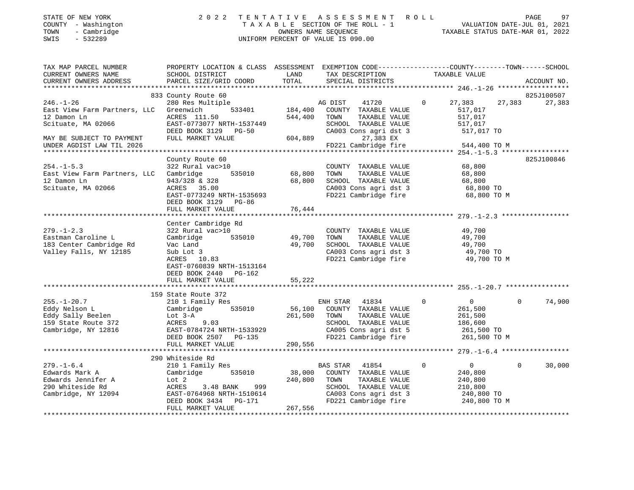|               | STATE OF NEW YORK   | 2022 TENTATIVE ASSESSMENT ROLL     |                      |  |                                  | PAGE | 97 |
|---------------|---------------------|------------------------------------|----------------------|--|----------------------------------|------|----|
|               | COUNTY - Washington | TAXABLE SECTION OF THE ROLL - 1    |                      |  | VALUATION DATE-JUL 01, 2021      |      |    |
|               | TOWN - Cambridge    |                                    | OWNERS NAME SEOUENCE |  | TAXABLE STATUS DATE-MAR 01, 2022 |      |    |
| SWIS - 532289 |                     | UNIFORM PERCENT OF VALUE IS 090.00 |                      |  |                                  |      |    |
|               |                     |                                    |                      |  |                                  |      |    |
|               |                     |                                    |                      |  |                                  |      |    |

| CURRENT OWNERS NAME<br>SCHOOL DISTRICT<br>LAND<br>TAX DESCRIPTION<br>TOTAL<br>PARCEL SIZE/GRID COORD<br>SPECIAL DISTRICTS<br>CURRENT OWNERS ADDRESS<br>ACCOUNT NO.<br>833 County Route 60<br>825J100507<br>$246. - 1 - 26$<br>280 Res Multiple<br>$\circ$<br>27,383<br>27,383<br>27,383<br>AG DIST 41720<br>533401 184,400<br>East View Farm Partners, LLC<br>Greenwich<br>COUNTY TAXABLE VALUE<br>517,017<br>12 Damon Ln<br>544,400<br>517,017<br>ACRES 111.50<br>TOWN<br>TAXABLE VALUE<br>517,017<br>Scituate, MA 02066<br>EAST-0773077 NRTH-1537449<br>SCHOOL TAXABLE VALUE<br>CA003 Cons agri dst 3<br>$27.383$ EX<br>DEED BOOK 3129 PG-50<br>517,017 TO<br>CA00<br>604,889<br>27,383 EX<br>FULL MARKET VALUE<br>MAY BE SUBJECT TO PAYMENT<br>FD221 Cambridge fire<br>UNDER AGDIST LAW TIL 2026<br>544,400 TO M<br>County Route 60<br>825J100846<br>$254. - 1 - 5.3$<br>322 Rural vac>10<br>68,800<br>COUNTY TAXABLE VALUE<br>535010 68,800<br>TAXABLE VALUE<br>East View Farm Partners, LLC Cambridge<br>TOWN<br>68,800<br>943/328 & 328<br>68,800<br>SCHOOL TAXABLE VALUE<br>68,800<br>12 Damon Ln<br>Scituate, MA 02066<br>CA003 Cons agri dst 3 68,800 TO<br>ACRES 35.00<br>EAST-0773249 NRTH-1535693<br>FD221 Cambridge fire<br>68,800 TO M<br>DEED BOOK 3129 PG-86<br>Center Cambridge Rd<br>$279. - 1 - 2.3$<br>322 Rural vac>10<br>49,700<br>COUNTY TAXABLE VALUE<br>Eastman Caroline L<br>535010<br>Cambridge<br>49,700<br>TOWN<br>TAXABLE VALUE<br>49,700<br>183 Center Cambridge Rd<br>49,700<br>Vac Land<br>SCHOOL TAXABLE VALUE<br>49,700<br>Valley Falls, NY 12185<br>Sub Lot 3<br>CA003 Cons agri dst 3<br>FD221 Cambridge fire<br>49,700 TO<br>ACRES 10.83<br>49,700 TO M<br>EAST-0760839 NRTH-1513164<br>DEED BOOK 2440 PG-162<br>FULL MARKET VALUE<br>55,222<br>* * * * * * * * * * * * * *<br>159 State Route 372<br>210 1 Family Res<br>$255. - 1 - 20.7$<br>ENH STAR<br>41834<br>$\overline{0}$<br>$\overline{0}$<br>$\Omega$<br>74,900<br>56,100 COUNTY TAXABLE VALUE<br>Cambridge 535010<br>261,500<br>Eddy Nelson L<br>Eddy Sally Beelen<br>159 State Route 372<br>261,500<br>TAXABLE VALUE<br>TOWN<br>261,500<br>$ACRES$ 9.03<br>SCHOOL TAXABLE VALUE<br>186,600<br>CA005 Cons agri dst 5 261,500 TO<br>EAST-0784724 NRTH-1533929<br>FD221 Cambridge fire<br>DEED BOOK 2507 PG-135<br>261,500 TO M<br>290,556<br>FULL MARKET VALUE<br>290 Whiteside Rd<br>$\overline{0}$<br>$279. - 1 - 6.4$<br>210 1 Family Res<br>$\circ$<br>$\Omega$<br>BAS STAR 41854<br>30,000<br>38,000<br>Edwards Mark A<br>Cambridge<br>535010<br>COUNTY TAXABLE VALUE<br>240,800<br>Edwards Jennifer A<br>240,800<br>Lot 2<br>TOWN<br>TAXABLE VALUE<br>240,800<br>210,800<br>290 Whiteside Rd<br>ACRES<br>3.48 BANK<br>999<br>SCHOOL TAXABLE VALUE<br>EAST-0764968 NRTH-1510614<br>DEED BOOK 3434 PG-171<br>FUILL MADWET XXX-XXX<br>Cambridge, NY 12094<br>CA003 Cons agri dst 3 240,800 TO<br>FD221 Cambridge fire 240,800 TO M<br>267,556<br>FULL MARKET VALUE | TAX MAP PARCEL NUMBER | PROPERTY LOCATION & CLASS ASSESSMENT EXEMPTION CODE---------------COUNTY-------TOWN------SCHOOL |  |               |  |
|------------------------------------------------------------------------------------------------------------------------------------------------------------------------------------------------------------------------------------------------------------------------------------------------------------------------------------------------------------------------------------------------------------------------------------------------------------------------------------------------------------------------------------------------------------------------------------------------------------------------------------------------------------------------------------------------------------------------------------------------------------------------------------------------------------------------------------------------------------------------------------------------------------------------------------------------------------------------------------------------------------------------------------------------------------------------------------------------------------------------------------------------------------------------------------------------------------------------------------------------------------------------------------------------------------------------------------------------------------------------------------------------------------------------------------------------------------------------------------------------------------------------------------------------------------------------------------------------------------------------------------------------------------------------------------------------------------------------------------------------------------------------------------------------------------------------------------------------------------------------------------------------------------------------------------------------------------------------------------------------------------------------------------------------------------------------------------------------------------------------------------------------------------------------------------------------------------------------------------------------------------------------------------------------------------------------------------------------------------------------------------------------------------------------------------------------------------------------------------------------------------------------------------------------------------------------------------------------------------------------------------------------------------------------------------------------------------------------------------------------------------------------------------------------------------------------------------------------------------------------------------------------------------------------------------------------------------------------|-----------------------|-------------------------------------------------------------------------------------------------|--|---------------|--|
|                                                                                                                                                                                                                                                                                                                                                                                                                                                                                                                                                                                                                                                                                                                                                                                                                                                                                                                                                                                                                                                                                                                                                                                                                                                                                                                                                                                                                                                                                                                                                                                                                                                                                                                                                                                                                                                                                                                                                                                                                                                                                                                                                                                                                                                                                                                                                                                                                                                                                                                                                                                                                                                                                                                                                                                                                                                                                                                                                                        |                       |                                                                                                 |  | TAXABLE VALUE |  |
|                                                                                                                                                                                                                                                                                                                                                                                                                                                                                                                                                                                                                                                                                                                                                                                                                                                                                                                                                                                                                                                                                                                                                                                                                                                                                                                                                                                                                                                                                                                                                                                                                                                                                                                                                                                                                                                                                                                                                                                                                                                                                                                                                                                                                                                                                                                                                                                                                                                                                                                                                                                                                                                                                                                                                                                                                                                                                                                                                                        |                       |                                                                                                 |  |               |  |
|                                                                                                                                                                                                                                                                                                                                                                                                                                                                                                                                                                                                                                                                                                                                                                                                                                                                                                                                                                                                                                                                                                                                                                                                                                                                                                                                                                                                                                                                                                                                                                                                                                                                                                                                                                                                                                                                                                                                                                                                                                                                                                                                                                                                                                                                                                                                                                                                                                                                                                                                                                                                                                                                                                                                                                                                                                                                                                                                                                        |                       |                                                                                                 |  |               |  |
|                                                                                                                                                                                                                                                                                                                                                                                                                                                                                                                                                                                                                                                                                                                                                                                                                                                                                                                                                                                                                                                                                                                                                                                                                                                                                                                                                                                                                                                                                                                                                                                                                                                                                                                                                                                                                                                                                                                                                                                                                                                                                                                                                                                                                                                                                                                                                                                                                                                                                                                                                                                                                                                                                                                                                                                                                                                                                                                                                                        |                       |                                                                                                 |  |               |  |
|                                                                                                                                                                                                                                                                                                                                                                                                                                                                                                                                                                                                                                                                                                                                                                                                                                                                                                                                                                                                                                                                                                                                                                                                                                                                                                                                                                                                                                                                                                                                                                                                                                                                                                                                                                                                                                                                                                                                                                                                                                                                                                                                                                                                                                                                                                                                                                                                                                                                                                                                                                                                                                                                                                                                                                                                                                                                                                                                                                        |                       |                                                                                                 |  |               |  |
|                                                                                                                                                                                                                                                                                                                                                                                                                                                                                                                                                                                                                                                                                                                                                                                                                                                                                                                                                                                                                                                                                                                                                                                                                                                                                                                                                                                                                                                                                                                                                                                                                                                                                                                                                                                                                                                                                                                                                                                                                                                                                                                                                                                                                                                                                                                                                                                                                                                                                                                                                                                                                                                                                                                                                                                                                                                                                                                                                                        |                       |                                                                                                 |  |               |  |
|                                                                                                                                                                                                                                                                                                                                                                                                                                                                                                                                                                                                                                                                                                                                                                                                                                                                                                                                                                                                                                                                                                                                                                                                                                                                                                                                                                                                                                                                                                                                                                                                                                                                                                                                                                                                                                                                                                                                                                                                                                                                                                                                                                                                                                                                                                                                                                                                                                                                                                                                                                                                                                                                                                                                                                                                                                                                                                                                                                        |                       |                                                                                                 |  |               |  |
|                                                                                                                                                                                                                                                                                                                                                                                                                                                                                                                                                                                                                                                                                                                                                                                                                                                                                                                                                                                                                                                                                                                                                                                                                                                                                                                                                                                                                                                                                                                                                                                                                                                                                                                                                                                                                                                                                                                                                                                                                                                                                                                                                                                                                                                                                                                                                                                                                                                                                                                                                                                                                                                                                                                                                                                                                                                                                                                                                                        |                       |                                                                                                 |  |               |  |
|                                                                                                                                                                                                                                                                                                                                                                                                                                                                                                                                                                                                                                                                                                                                                                                                                                                                                                                                                                                                                                                                                                                                                                                                                                                                                                                                                                                                                                                                                                                                                                                                                                                                                                                                                                                                                                                                                                                                                                                                                                                                                                                                                                                                                                                                                                                                                                                                                                                                                                                                                                                                                                                                                                                                                                                                                                                                                                                                                                        |                       |                                                                                                 |  |               |  |
|                                                                                                                                                                                                                                                                                                                                                                                                                                                                                                                                                                                                                                                                                                                                                                                                                                                                                                                                                                                                                                                                                                                                                                                                                                                                                                                                                                                                                                                                                                                                                                                                                                                                                                                                                                                                                                                                                                                                                                                                                                                                                                                                                                                                                                                                                                                                                                                                                                                                                                                                                                                                                                                                                                                                                                                                                                                                                                                                                                        |                       |                                                                                                 |  |               |  |
|                                                                                                                                                                                                                                                                                                                                                                                                                                                                                                                                                                                                                                                                                                                                                                                                                                                                                                                                                                                                                                                                                                                                                                                                                                                                                                                                                                                                                                                                                                                                                                                                                                                                                                                                                                                                                                                                                                                                                                                                                                                                                                                                                                                                                                                                                                                                                                                                                                                                                                                                                                                                                                                                                                                                                                                                                                                                                                                                                                        |                       |                                                                                                 |  |               |  |
|                                                                                                                                                                                                                                                                                                                                                                                                                                                                                                                                                                                                                                                                                                                                                                                                                                                                                                                                                                                                                                                                                                                                                                                                                                                                                                                                                                                                                                                                                                                                                                                                                                                                                                                                                                                                                                                                                                                                                                                                                                                                                                                                                                                                                                                                                                                                                                                                                                                                                                                                                                                                                                                                                                                                                                                                                                                                                                                                                                        |                       |                                                                                                 |  |               |  |
|                                                                                                                                                                                                                                                                                                                                                                                                                                                                                                                                                                                                                                                                                                                                                                                                                                                                                                                                                                                                                                                                                                                                                                                                                                                                                                                                                                                                                                                                                                                                                                                                                                                                                                                                                                                                                                                                                                                                                                                                                                                                                                                                                                                                                                                                                                                                                                                                                                                                                                                                                                                                                                                                                                                                                                                                                                                                                                                                                                        |                       |                                                                                                 |  |               |  |
|                                                                                                                                                                                                                                                                                                                                                                                                                                                                                                                                                                                                                                                                                                                                                                                                                                                                                                                                                                                                                                                                                                                                                                                                                                                                                                                                                                                                                                                                                                                                                                                                                                                                                                                                                                                                                                                                                                                                                                                                                                                                                                                                                                                                                                                                                                                                                                                                                                                                                                                                                                                                                                                                                                                                                                                                                                                                                                                                                                        |                       |                                                                                                 |  |               |  |
|                                                                                                                                                                                                                                                                                                                                                                                                                                                                                                                                                                                                                                                                                                                                                                                                                                                                                                                                                                                                                                                                                                                                                                                                                                                                                                                                                                                                                                                                                                                                                                                                                                                                                                                                                                                                                                                                                                                                                                                                                                                                                                                                                                                                                                                                                                                                                                                                                                                                                                                                                                                                                                                                                                                                                                                                                                                                                                                                                                        |                       |                                                                                                 |  |               |  |
|                                                                                                                                                                                                                                                                                                                                                                                                                                                                                                                                                                                                                                                                                                                                                                                                                                                                                                                                                                                                                                                                                                                                                                                                                                                                                                                                                                                                                                                                                                                                                                                                                                                                                                                                                                                                                                                                                                                                                                                                                                                                                                                                                                                                                                                                                                                                                                                                                                                                                                                                                                                                                                                                                                                                                                                                                                                                                                                                                                        |                       |                                                                                                 |  |               |  |
|                                                                                                                                                                                                                                                                                                                                                                                                                                                                                                                                                                                                                                                                                                                                                                                                                                                                                                                                                                                                                                                                                                                                                                                                                                                                                                                                                                                                                                                                                                                                                                                                                                                                                                                                                                                                                                                                                                                                                                                                                                                                                                                                                                                                                                                                                                                                                                                                                                                                                                                                                                                                                                                                                                                                                                                                                                                                                                                                                                        |                       |                                                                                                 |  |               |  |
|                                                                                                                                                                                                                                                                                                                                                                                                                                                                                                                                                                                                                                                                                                                                                                                                                                                                                                                                                                                                                                                                                                                                                                                                                                                                                                                                                                                                                                                                                                                                                                                                                                                                                                                                                                                                                                                                                                                                                                                                                                                                                                                                                                                                                                                                                                                                                                                                                                                                                                                                                                                                                                                                                                                                                                                                                                                                                                                                                                        |                       |                                                                                                 |  |               |  |
|                                                                                                                                                                                                                                                                                                                                                                                                                                                                                                                                                                                                                                                                                                                                                                                                                                                                                                                                                                                                                                                                                                                                                                                                                                                                                                                                                                                                                                                                                                                                                                                                                                                                                                                                                                                                                                                                                                                                                                                                                                                                                                                                                                                                                                                                                                                                                                                                                                                                                                                                                                                                                                                                                                                                                                                                                                                                                                                                                                        |                       |                                                                                                 |  |               |  |
|                                                                                                                                                                                                                                                                                                                                                                                                                                                                                                                                                                                                                                                                                                                                                                                                                                                                                                                                                                                                                                                                                                                                                                                                                                                                                                                                                                                                                                                                                                                                                                                                                                                                                                                                                                                                                                                                                                                                                                                                                                                                                                                                                                                                                                                                                                                                                                                                                                                                                                                                                                                                                                                                                                                                                                                                                                                                                                                                                                        |                       |                                                                                                 |  |               |  |
|                                                                                                                                                                                                                                                                                                                                                                                                                                                                                                                                                                                                                                                                                                                                                                                                                                                                                                                                                                                                                                                                                                                                                                                                                                                                                                                                                                                                                                                                                                                                                                                                                                                                                                                                                                                                                                                                                                                                                                                                                                                                                                                                                                                                                                                                                                                                                                                                                                                                                                                                                                                                                                                                                                                                                                                                                                                                                                                                                                        |                       |                                                                                                 |  |               |  |
|                                                                                                                                                                                                                                                                                                                                                                                                                                                                                                                                                                                                                                                                                                                                                                                                                                                                                                                                                                                                                                                                                                                                                                                                                                                                                                                                                                                                                                                                                                                                                                                                                                                                                                                                                                                                                                                                                                                                                                                                                                                                                                                                                                                                                                                                                                                                                                                                                                                                                                                                                                                                                                                                                                                                                                                                                                                                                                                                                                        |                       |                                                                                                 |  |               |  |
|                                                                                                                                                                                                                                                                                                                                                                                                                                                                                                                                                                                                                                                                                                                                                                                                                                                                                                                                                                                                                                                                                                                                                                                                                                                                                                                                                                                                                                                                                                                                                                                                                                                                                                                                                                                                                                                                                                                                                                                                                                                                                                                                                                                                                                                                                                                                                                                                                                                                                                                                                                                                                                                                                                                                                                                                                                                                                                                                                                        |                       |                                                                                                 |  |               |  |
|                                                                                                                                                                                                                                                                                                                                                                                                                                                                                                                                                                                                                                                                                                                                                                                                                                                                                                                                                                                                                                                                                                                                                                                                                                                                                                                                                                                                                                                                                                                                                                                                                                                                                                                                                                                                                                                                                                                                                                                                                                                                                                                                                                                                                                                                                                                                                                                                                                                                                                                                                                                                                                                                                                                                                                                                                                                                                                                                                                        |                       |                                                                                                 |  |               |  |
|                                                                                                                                                                                                                                                                                                                                                                                                                                                                                                                                                                                                                                                                                                                                                                                                                                                                                                                                                                                                                                                                                                                                                                                                                                                                                                                                                                                                                                                                                                                                                                                                                                                                                                                                                                                                                                                                                                                                                                                                                                                                                                                                                                                                                                                                                                                                                                                                                                                                                                                                                                                                                                                                                                                                                                                                                                                                                                                                                                        |                       |                                                                                                 |  |               |  |
|                                                                                                                                                                                                                                                                                                                                                                                                                                                                                                                                                                                                                                                                                                                                                                                                                                                                                                                                                                                                                                                                                                                                                                                                                                                                                                                                                                                                                                                                                                                                                                                                                                                                                                                                                                                                                                                                                                                                                                                                                                                                                                                                                                                                                                                                                                                                                                                                                                                                                                                                                                                                                                                                                                                                                                                                                                                                                                                                                                        |                       |                                                                                                 |  |               |  |
|                                                                                                                                                                                                                                                                                                                                                                                                                                                                                                                                                                                                                                                                                                                                                                                                                                                                                                                                                                                                                                                                                                                                                                                                                                                                                                                                                                                                                                                                                                                                                                                                                                                                                                                                                                                                                                                                                                                                                                                                                                                                                                                                                                                                                                                                                                                                                                                                                                                                                                                                                                                                                                                                                                                                                                                                                                                                                                                                                                        |                       |                                                                                                 |  |               |  |
|                                                                                                                                                                                                                                                                                                                                                                                                                                                                                                                                                                                                                                                                                                                                                                                                                                                                                                                                                                                                                                                                                                                                                                                                                                                                                                                                                                                                                                                                                                                                                                                                                                                                                                                                                                                                                                                                                                                                                                                                                                                                                                                                                                                                                                                                                                                                                                                                                                                                                                                                                                                                                                                                                                                                                                                                                                                                                                                                                                        |                       |                                                                                                 |  |               |  |
|                                                                                                                                                                                                                                                                                                                                                                                                                                                                                                                                                                                                                                                                                                                                                                                                                                                                                                                                                                                                                                                                                                                                                                                                                                                                                                                                                                                                                                                                                                                                                                                                                                                                                                                                                                                                                                                                                                                                                                                                                                                                                                                                                                                                                                                                                                                                                                                                                                                                                                                                                                                                                                                                                                                                                                                                                                                                                                                                                                        |                       |                                                                                                 |  |               |  |
|                                                                                                                                                                                                                                                                                                                                                                                                                                                                                                                                                                                                                                                                                                                                                                                                                                                                                                                                                                                                                                                                                                                                                                                                                                                                                                                                                                                                                                                                                                                                                                                                                                                                                                                                                                                                                                                                                                                                                                                                                                                                                                                                                                                                                                                                                                                                                                                                                                                                                                                                                                                                                                                                                                                                                                                                                                                                                                                                                                        |                       |                                                                                                 |  |               |  |
|                                                                                                                                                                                                                                                                                                                                                                                                                                                                                                                                                                                                                                                                                                                                                                                                                                                                                                                                                                                                                                                                                                                                                                                                                                                                                                                                                                                                                                                                                                                                                                                                                                                                                                                                                                                                                                                                                                                                                                                                                                                                                                                                                                                                                                                                                                                                                                                                                                                                                                                                                                                                                                                                                                                                                                                                                                                                                                                                                                        |                       |                                                                                                 |  |               |  |
|                                                                                                                                                                                                                                                                                                                                                                                                                                                                                                                                                                                                                                                                                                                                                                                                                                                                                                                                                                                                                                                                                                                                                                                                                                                                                                                                                                                                                                                                                                                                                                                                                                                                                                                                                                                                                                                                                                                                                                                                                                                                                                                                                                                                                                                                                                                                                                                                                                                                                                                                                                                                                                                                                                                                                                                                                                                                                                                                                                        |                       |                                                                                                 |  |               |  |
|                                                                                                                                                                                                                                                                                                                                                                                                                                                                                                                                                                                                                                                                                                                                                                                                                                                                                                                                                                                                                                                                                                                                                                                                                                                                                                                                                                                                                                                                                                                                                                                                                                                                                                                                                                                                                                                                                                                                                                                                                                                                                                                                                                                                                                                                                                                                                                                                                                                                                                                                                                                                                                                                                                                                                                                                                                                                                                                                                                        |                       |                                                                                                 |  |               |  |
|                                                                                                                                                                                                                                                                                                                                                                                                                                                                                                                                                                                                                                                                                                                                                                                                                                                                                                                                                                                                                                                                                                                                                                                                                                                                                                                                                                                                                                                                                                                                                                                                                                                                                                                                                                                                                                                                                                                                                                                                                                                                                                                                                                                                                                                                                                                                                                                                                                                                                                                                                                                                                                                                                                                                                                                                                                                                                                                                                                        |                       |                                                                                                 |  |               |  |
|                                                                                                                                                                                                                                                                                                                                                                                                                                                                                                                                                                                                                                                                                                                                                                                                                                                                                                                                                                                                                                                                                                                                                                                                                                                                                                                                                                                                                                                                                                                                                                                                                                                                                                                                                                                                                                                                                                                                                                                                                                                                                                                                                                                                                                                                                                                                                                                                                                                                                                                                                                                                                                                                                                                                                                                                                                                                                                                                                                        |                       |                                                                                                 |  |               |  |
|                                                                                                                                                                                                                                                                                                                                                                                                                                                                                                                                                                                                                                                                                                                                                                                                                                                                                                                                                                                                                                                                                                                                                                                                                                                                                                                                                                                                                                                                                                                                                                                                                                                                                                                                                                                                                                                                                                                                                                                                                                                                                                                                                                                                                                                                                                                                                                                                                                                                                                                                                                                                                                                                                                                                                                                                                                                                                                                                                                        |                       |                                                                                                 |  |               |  |
|                                                                                                                                                                                                                                                                                                                                                                                                                                                                                                                                                                                                                                                                                                                                                                                                                                                                                                                                                                                                                                                                                                                                                                                                                                                                                                                                                                                                                                                                                                                                                                                                                                                                                                                                                                                                                                                                                                                                                                                                                                                                                                                                                                                                                                                                                                                                                                                                                                                                                                                                                                                                                                                                                                                                                                                                                                                                                                                                                                        |                       |                                                                                                 |  |               |  |
|                                                                                                                                                                                                                                                                                                                                                                                                                                                                                                                                                                                                                                                                                                                                                                                                                                                                                                                                                                                                                                                                                                                                                                                                                                                                                                                                                                                                                                                                                                                                                                                                                                                                                                                                                                                                                                                                                                                                                                                                                                                                                                                                                                                                                                                                                                                                                                                                                                                                                                                                                                                                                                                                                                                                                                                                                                                                                                                                                                        |                       |                                                                                                 |  |               |  |
|                                                                                                                                                                                                                                                                                                                                                                                                                                                                                                                                                                                                                                                                                                                                                                                                                                                                                                                                                                                                                                                                                                                                                                                                                                                                                                                                                                                                                                                                                                                                                                                                                                                                                                                                                                                                                                                                                                                                                                                                                                                                                                                                                                                                                                                                                                                                                                                                                                                                                                                                                                                                                                                                                                                                                                                                                                                                                                                                                                        | Cambridge, NY 12816   |                                                                                                 |  |               |  |
|                                                                                                                                                                                                                                                                                                                                                                                                                                                                                                                                                                                                                                                                                                                                                                                                                                                                                                                                                                                                                                                                                                                                                                                                                                                                                                                                                                                                                                                                                                                                                                                                                                                                                                                                                                                                                                                                                                                                                                                                                                                                                                                                                                                                                                                                                                                                                                                                                                                                                                                                                                                                                                                                                                                                                                                                                                                                                                                                                                        |                       |                                                                                                 |  |               |  |
|                                                                                                                                                                                                                                                                                                                                                                                                                                                                                                                                                                                                                                                                                                                                                                                                                                                                                                                                                                                                                                                                                                                                                                                                                                                                                                                                                                                                                                                                                                                                                                                                                                                                                                                                                                                                                                                                                                                                                                                                                                                                                                                                                                                                                                                                                                                                                                                                                                                                                                                                                                                                                                                                                                                                                                                                                                                                                                                                                                        |                       |                                                                                                 |  |               |  |
|                                                                                                                                                                                                                                                                                                                                                                                                                                                                                                                                                                                                                                                                                                                                                                                                                                                                                                                                                                                                                                                                                                                                                                                                                                                                                                                                                                                                                                                                                                                                                                                                                                                                                                                                                                                                                                                                                                                                                                                                                                                                                                                                                                                                                                                                                                                                                                                                                                                                                                                                                                                                                                                                                                                                                                                                                                                                                                                                                                        |                       |                                                                                                 |  |               |  |
|                                                                                                                                                                                                                                                                                                                                                                                                                                                                                                                                                                                                                                                                                                                                                                                                                                                                                                                                                                                                                                                                                                                                                                                                                                                                                                                                                                                                                                                                                                                                                                                                                                                                                                                                                                                                                                                                                                                                                                                                                                                                                                                                                                                                                                                                                                                                                                                                                                                                                                                                                                                                                                                                                                                                                                                                                                                                                                                                                                        |                       |                                                                                                 |  |               |  |
|                                                                                                                                                                                                                                                                                                                                                                                                                                                                                                                                                                                                                                                                                                                                                                                                                                                                                                                                                                                                                                                                                                                                                                                                                                                                                                                                                                                                                                                                                                                                                                                                                                                                                                                                                                                                                                                                                                                                                                                                                                                                                                                                                                                                                                                                                                                                                                                                                                                                                                                                                                                                                                                                                                                                                                                                                                                                                                                                                                        |                       |                                                                                                 |  |               |  |
|                                                                                                                                                                                                                                                                                                                                                                                                                                                                                                                                                                                                                                                                                                                                                                                                                                                                                                                                                                                                                                                                                                                                                                                                                                                                                                                                                                                                                                                                                                                                                                                                                                                                                                                                                                                                                                                                                                                                                                                                                                                                                                                                                                                                                                                                                                                                                                                                                                                                                                                                                                                                                                                                                                                                                                                                                                                                                                                                                                        |                       |                                                                                                 |  |               |  |
|                                                                                                                                                                                                                                                                                                                                                                                                                                                                                                                                                                                                                                                                                                                                                                                                                                                                                                                                                                                                                                                                                                                                                                                                                                                                                                                                                                                                                                                                                                                                                                                                                                                                                                                                                                                                                                                                                                                                                                                                                                                                                                                                                                                                                                                                                                                                                                                                                                                                                                                                                                                                                                                                                                                                                                                                                                                                                                                                                                        |                       |                                                                                                 |  |               |  |
|                                                                                                                                                                                                                                                                                                                                                                                                                                                                                                                                                                                                                                                                                                                                                                                                                                                                                                                                                                                                                                                                                                                                                                                                                                                                                                                                                                                                                                                                                                                                                                                                                                                                                                                                                                                                                                                                                                                                                                                                                                                                                                                                                                                                                                                                                                                                                                                                                                                                                                                                                                                                                                                                                                                                                                                                                                                                                                                                                                        |                       |                                                                                                 |  |               |  |
|                                                                                                                                                                                                                                                                                                                                                                                                                                                                                                                                                                                                                                                                                                                                                                                                                                                                                                                                                                                                                                                                                                                                                                                                                                                                                                                                                                                                                                                                                                                                                                                                                                                                                                                                                                                                                                                                                                                                                                                                                                                                                                                                                                                                                                                                                                                                                                                                                                                                                                                                                                                                                                                                                                                                                                                                                                                                                                                                                                        |                       |                                                                                                 |  |               |  |
|                                                                                                                                                                                                                                                                                                                                                                                                                                                                                                                                                                                                                                                                                                                                                                                                                                                                                                                                                                                                                                                                                                                                                                                                                                                                                                                                                                                                                                                                                                                                                                                                                                                                                                                                                                                                                                                                                                                                                                                                                                                                                                                                                                                                                                                                                                                                                                                                                                                                                                                                                                                                                                                                                                                                                                                                                                                                                                                                                                        |                       |                                                                                                 |  |               |  |
|                                                                                                                                                                                                                                                                                                                                                                                                                                                                                                                                                                                                                                                                                                                                                                                                                                                                                                                                                                                                                                                                                                                                                                                                                                                                                                                                                                                                                                                                                                                                                                                                                                                                                                                                                                                                                                                                                                                                                                                                                                                                                                                                                                                                                                                                                                                                                                                                                                                                                                                                                                                                                                                                                                                                                                                                                                                                                                                                                                        |                       |                                                                                                 |  |               |  |
|                                                                                                                                                                                                                                                                                                                                                                                                                                                                                                                                                                                                                                                                                                                                                                                                                                                                                                                                                                                                                                                                                                                                                                                                                                                                                                                                                                                                                                                                                                                                                                                                                                                                                                                                                                                                                                                                                                                                                                                                                                                                                                                                                                                                                                                                                                                                                                                                                                                                                                                                                                                                                                                                                                                                                                                                                                                                                                                                                                        |                       |                                                                                                 |  |               |  |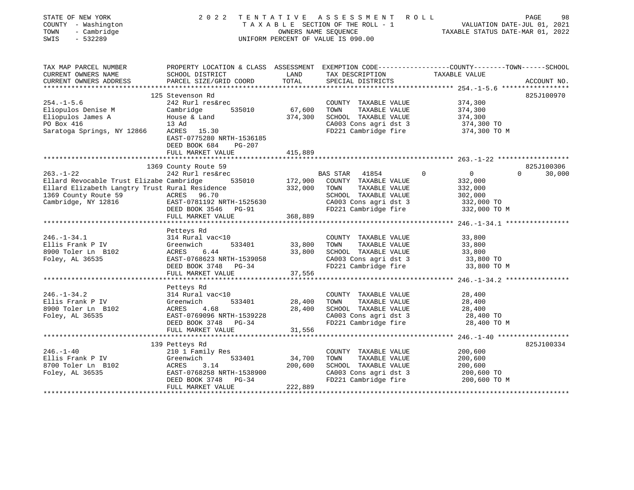| STATE OF NEW YORK<br>COUNTY - Washington<br>TOWN<br>- Cambridge<br>$-532289$<br>SWIS | 2022 TENTATIVE                                       | OWNERS NAME SEQUENCE | A S S E S S M E N T<br>R O L L<br>TAXABLE SECTION OF THE ROLL - 1<br>UNIFORM PERCENT OF VALUE IS 090.00 | PAGE<br>VALUATION DATE-JUL 01, 2021<br>TAXABLE STATUS DATE-MAR 01, 2022                         | 98     |
|--------------------------------------------------------------------------------------|------------------------------------------------------|----------------------|---------------------------------------------------------------------------------------------------------|-------------------------------------------------------------------------------------------------|--------|
| TAX MAP PARCEL NUMBER                                                                |                                                      |                      |                                                                                                         | PROPERTY LOCATION & CLASS ASSESSMENT EXEMPTION CODE---------------COUNTY-------TOWN------SCHOOL |        |
| CURRENT OWNERS NAME<br>CURRENT OWNERS ADDRESS                                        | SCHOOL DISTRICT<br>PARCEL SIZE/GRID COORD            | LAND<br>TOTAL        | TAX DESCRIPTION<br>SPECIAL DISTRICTS                                                                    | TAXABLE VALUE<br>ACCOUNT NO.                                                                    |        |
|                                                                                      | ************************                             |                      | ***************************                                                                             | ****************** 254.-1-5.6 ******************                                                |        |
|                                                                                      | 125 Stevenson Rd                                     |                      |                                                                                                         | 825J100970                                                                                      |        |
| $254. -1 - 5.6$                                                                      | 242 Rurl res&rec                                     |                      | COUNTY TAXABLE VALUE                                                                                    | 374,300                                                                                         |        |
| Eliopulos Denise M                                                                   | 535010<br>Cambridge                                  | 67,600               | TOWN<br>TAXABLE VALUE                                                                                   | 374,300                                                                                         |        |
| Eliopulos James A                                                                    | House & Land                                         | 374,300              | SCHOOL TAXABLE VALUE                                                                                    | 374,300                                                                                         |        |
| PO Box 416                                                                           | 13 Ad                                                |                      | CA003 Cons agri dst 3                                                                                   | 374,300 TO                                                                                      |        |
| Saratoga Springs, NY 12866                                                           | ACRES 15.30<br>EAST-0775280 NRTH-1536185             |                      | FD221 Cambridge fire                                                                                    | 374,300 TO M                                                                                    |        |
|                                                                                      | DEED BOOK 684<br>PG-207                              |                      |                                                                                                         |                                                                                                 |        |
|                                                                                      | FULL MARKET VALUE                                    | 415,889              |                                                                                                         |                                                                                                 |        |
|                                                                                      |                                                      |                      |                                                                                                         |                                                                                                 |        |
|                                                                                      | 1369 County Route 59                                 |                      |                                                                                                         | 825J100306                                                                                      |        |
| $263. - 1 - 22$                                                                      | 242 Rurl res&rec                                     |                      | $\Omega$<br>BAS STAR<br>41854                                                                           | $\overline{0}$<br>$\Omega$                                                                      | 30,000 |
| Ellard Revocable Trust Elizabe Cambridge                                             | 535010                                               | 172,900              | COUNTY TAXABLE VALUE                                                                                    | 332,000                                                                                         |        |
| Ellard Elizabeth Langtry Trust Rural Residence                                       |                                                      | 332,000              | TOWN<br>TAXABLE VALUE                                                                                   | 332,000                                                                                         |        |
| 1369 County Route 59                                                                 | ACRES 96.70                                          |                      | SCHOOL TAXABLE VALUE                                                                                    | 302,000                                                                                         |        |
| Cambridge, NY 12816                                                                  | EAST-0781192 NRTH-1525630                            |                      | CA003 Cons agri dst 3                                                                                   | 332,000 TO                                                                                      |        |
|                                                                                      | DEED BOOK 3546<br>PG-91                              | 368,889              | FD221 Cambridge fire                                                                                    | 332,000 TO M                                                                                    |        |
|                                                                                      | FULL MARKET VALUE                                    |                      |                                                                                                         |                                                                                                 |        |
|                                                                                      | Petteys Rd                                           |                      |                                                                                                         |                                                                                                 |        |
| $246. - 1 - 34.1$                                                                    | 314 Rural vac<10                                     |                      | COUNTY TAXABLE VALUE                                                                                    | 33,800                                                                                          |        |
| Ellis Frank P IV                                                                     | Greenwich<br>533401                                  | 33,800               | TAXABLE VALUE<br>TOWN                                                                                   | 33,800                                                                                          |        |
| 8900 Toler Ln B102                                                                   | ACRES<br>6.44                                        | 33,800               | SCHOOL TAXABLE VALUE                                                                                    | 33,800                                                                                          |        |
| Foley, AL 36535                                                                      | EAST-0768623 NRTH-1539058                            |                      | CA003 Cons agri dst 3                                                                                   | 33,800 TO                                                                                       |        |
|                                                                                      | DEED BOOK 3748 PG-34                                 |                      | FD221 Cambridge fire                                                                                    | 33,800 TO M                                                                                     |        |
|                                                                                      | FULL MARKET VALUE<br>*****************               | 37,556               |                                                                                                         |                                                                                                 |        |
|                                                                                      |                                                      |                      |                                                                                                         | ********************* 246.-1-34.2 *****************                                             |        |
| $246. - 1 - 34.2$                                                                    | Petteys Rd<br>314 Rural vac<10                       |                      | COUNTY TAXABLE VALUE                                                                                    | 28,400                                                                                          |        |
| Ellis Frank P IV                                                                     | 533401<br>Greenwich                                  | 28,400               | TAXABLE VALUE<br>TOWN                                                                                   | 28,400                                                                                          |        |
| 8900 Toler Ln B102                                                                   | ACRES<br>4.68                                        | 28,400               | SCHOOL TAXABLE VALUE                                                                                    | 28,400                                                                                          |        |
| Foley, AL 36535                                                                      | EAST-0769096 NRTH-1539228                            |                      | CA003 Cons agri dst 3                                                                                   | 28,400 TO                                                                                       |        |
|                                                                                      | DEED BOOK 3748 PG-34                                 |                      | FD221 Cambridge fire                                                                                    | 28,400 TO M                                                                                     |        |
|                                                                                      | FULL MARKET VALUE                                    | 31,556               |                                                                                                         |                                                                                                 |        |
|                                                                                      |                                                      |                      |                                                                                                         |                                                                                                 |        |
|                                                                                      | 139 Petteys Rd                                       |                      |                                                                                                         | 825J100334                                                                                      |        |
| $246. - 1 - 40$                                                                      | 210 1 Family Res                                     |                      | COUNTY TAXABLE VALUE                                                                                    | 200,600                                                                                         |        |
| Ellis Frank P IV                                                                     | 533401<br>Greenwich                                  | 34,700               | TOWN<br>TAXABLE VALUE                                                                                   | 200,600                                                                                         |        |
| 8700 Toler Ln B102                                                                   | 3.14<br>ACRES                                        | 200,600              | SCHOOL TAXABLE VALUE                                                                                    | 200,600                                                                                         |        |
| Foley, AL 36535                                                                      | EAST-0768258 NRTH-1538900<br>DEED BOOK 3748<br>PG-34 |                      | CA003 Cons agri dst 3<br>FD221 Cambridge fire                                                           | 200,600 TO<br>200,600 TO M                                                                      |        |
|                                                                                      | FULL MARKET VALUE                                    | 222,889              |                                                                                                         |                                                                                                 |        |
|                                                                                      |                                                      |                      |                                                                                                         | ******************                                                                              |        |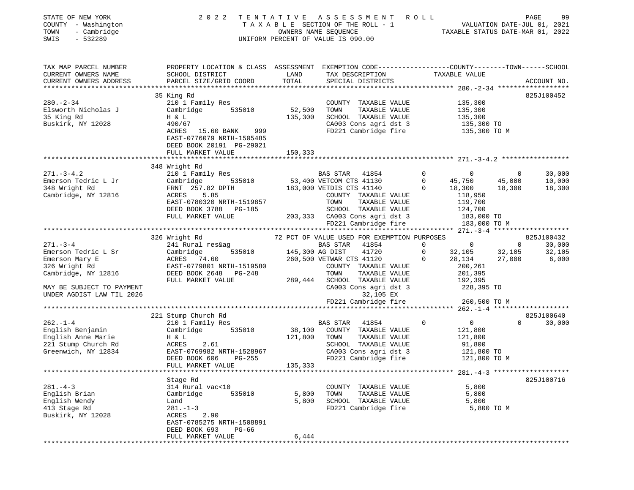| STATE OF NEW YORK<br>COUNTY - Washington<br>TOWN<br>- Cambridge<br>$-532289$<br>SWIS | 2022                                                                                           |                    | TENTATIVE ASSESSMENT ROLL<br>TAXABLE SECTION OF THE ROLL - 1<br>OWNERS NAME SEQUENCE<br>NALUATION DATE-JUL 01, 2021<br>TAXABLE STATUS DATE-MAR 01, 2022<br>UNIFORM PERCENT OF VALUE IS 090.00 |                |                                     |                | PAGE<br>99                          |
|--------------------------------------------------------------------------------------|------------------------------------------------------------------------------------------------|--------------------|-----------------------------------------------------------------------------------------------------------------------------------------------------------------------------------------------|----------------|-------------------------------------|----------------|-------------------------------------|
| TAX MAP PARCEL NUMBER                                                                | PROPERTY LOCATION & CLASS ASSESSMENT EXEMPTION CODE---------------COUNTY-------TOWN-----SCHOOL |                    |                                                                                                                                                                                               |                |                                     |                |                                     |
| CURRENT OWNERS NAME                                                                  | SCHOOL DISTRICT                                                                                | LAND               | TAX DESCRIPTION TAXABLE VALUE SPECIAL DISTRICTS                                                                                                                                               |                |                                     |                |                                     |
| CURRENT OWNERS ADDRESS                                                               | PARCEL SIZE/GRID COORD                                                                         | TOTAL              |                                                                                                                                                                                               |                |                                     |                | ACCOUNT NO.                         |
|                                                                                      |                                                                                                |                    |                                                                                                                                                                                               |                |                                     |                |                                     |
|                                                                                      | 35 King Rd                                                                                     |                    |                                                                                                                                                                                               |                |                                     |                | 825J100452                          |
| $280. - 2 - 34$<br>Elsworth Nicholas J                                               | 210 1 Family Res<br>Cambridge                                                                  | 535010 52,500 TOWN | COUNTY TAXABLE VALUE<br>TAXABLE VALUE                                                                                                                                                         |                | 135,300<br>135,300                  |                |                                     |
| 35 King Rd                                                                           | H & L                                                                                          | 135,300            | SCHOOL TAXABLE VALUE                                                                                                                                                                          |                | 135,300                             |                |                                     |
| Buskirk, NY 12028                                                                    | 490/67                                                                                         |                    | CA003 Cons agri dst 3                                                                                                                                                                         |                | 135,300 TO                          |                |                                     |
|                                                                                      | ACRES 15.60 BANK 999                                                                           |                    | FD221 Cambridge fire                                                                                                                                                                          |                | 135,300 TO M                        |                |                                     |
|                                                                                      | EAST-0776079 NRTH-1505485                                                                      |                    |                                                                                                                                                                                               |                |                                     |                |                                     |
|                                                                                      | DEED BOOK 20191 PG-29021                                                                       |                    |                                                                                                                                                                                               |                |                                     |                |                                     |
|                                                                                      | FULL MARKET VALUE                                                                              | 150,333            |                                                                                                                                                                                               |                |                                     |                |                                     |
|                                                                                      |                                                                                                |                    |                                                                                                                                                                                               |                |                                     |                |                                     |
| $271. - 3 - 4.2$                                                                     | 348 Wright Rd<br>210 1 Family Res                                                              |                    |                                                                                                                                                                                               |                |                                     | $\overline{0}$ | 30,000                              |
| Emerson Tedric L Jr                                                                  | Cambridge                                                                                      |                    |                                                                                                                                                                                               |                |                                     | 45,000         | 10,000                              |
| 348 Wright Rd                                                                        |                                                                                                |                    |                                                                                                                                                                                               |                |                                     | 18,300         | 18,300                              |
| Cambridge, NY 12816                                                                  | FRNT    257.82  DPTH<br>ACRES        5.85<br>ACRES                                             |                    | COUNTY TAXABLE VALUE                                                                                                                                                                          |                | 118,950                             |                |                                     |
|                                                                                      | EAST-0780320 NRTH-1519857                                                                      |                    | TOWN<br>TAXABLE VALUE                                                                                                                                                                         |                | 119,700                             |                |                                     |
|                                                                                      | DEED BOOK 3788 PG-185                                                                          |                    |                                                                                                                                                                                               |                |                                     |                |                                     |
|                                                                                      | FULL MARKET VALUE                                                                              |                    |                                                                                                                                                                                               |                |                                     |                |                                     |
|                                                                                      |                                                                                                |                    | 203,333 CA003 Cons agri dst 3 124,700<br>FD221 Cambridge fire 183,000 TO<br>FD221 Cambridge fire 183,000 TO                                                                                   |                | 183,000 TO M                        |                |                                     |
|                                                                                      | 326 Wright Rd                                                                                  |                    | 72 PCT OF VALUE USED FOR EXEMPTION PURPOSES                                                                                                                                                   |                |                                     |                | 825J100432                          |
| $271. - 3 - 4$                                                                       | 241 Rural res&ag                                                                               |                    | BAS STAR 41854                                                                                                                                                                                |                | $\begin{matrix} 0 & 0 \end{matrix}$ | $\overline{0}$ | 30,000                              |
| Emerson Tedric L Sr                                                                  | 535010<br>Cambridge<br>ACRES 74.60                                                             | 145,300 AG DIST    | 41720                                                                                                                                                                                         | $\overline{0}$ |                                     | 32,105         | 32,105                              |
| Emerson Mary E                                                                       |                                                                                                |                    | 260,500 VETWAR CTS 41120                                                                                                                                                                      | $\mathbf 0$    | 32,105<br>28,134                    | 27,000         | 6,000                               |
| 326 Wright Rd                                                                        | EAST-0779801 NRTH-1519580                                                                      |                    | COUNTY TAXABLE VALUE                                                                                                                                                                          |                | 200,261                             |                |                                     |
| Cambridge, NY 12816                                                                  | DEED BOOK 2648 PG-248                                                                          |                    | TAXABLE VALUE<br>TOWN                                                                                                                                                                         |                | 201,395                             |                |                                     |
|                                                                                      | FULL MARKET VALUE                                                                              |                    | 289,444 SCHOOL TAXABLE VALUE                                                                                                                                                                  |                | 192,395                             |                |                                     |
| MAY BE SUBJECT TO PAYMENT                                                            |                                                                                                |                    | CA003 Cons agri dst 3                                                                                                                                                                         |                | 228,395 TO                          |                |                                     |
|                                                                                      |                                                                                                |                    |                                                                                                                                                                                               |                |                                     |                |                                     |
|                                                                                      |                                                                                                |                    |                                                                                                                                                                                               |                |                                     |                |                                     |
|                                                                                      | 221 Stump Church Rd                                                                            |                    |                                                                                                                                                                                               |                |                                     |                | 825J100640                          |
| $262. - 1 - 4$                                                                       | 210 1 Family Res                                                                               |                    | BAS STAR 41854                                                                                                                                                                                | $\overline{0}$ | $\overline{0}$                      | $\Omega$       | 30,000                              |
| English Benjamin                                                                     | Cambridge                                                                                      |                    | 535010 38,100 COUNTY TAXABLE VALUE                                                                                                                                                            |                | 121,800                             |                |                                     |
| English Anne Marie                                                                   | H & L                                                                                          | 121,800 TOWN       | TAXABLE VALUE                                                                                                                                                                                 |                | 121,800                             |                |                                     |
| 221 Stump Church Rd                                                                  | ACRES<br>2.61                                                                                  |                    | SCHOOL TAXABLE VALUE                                                                                                                                                                          |                | 91,800                              |                |                                     |
| Greenwich, NY 12834                                                                  | EAST-0769982 NRTH-1528967<br>PG-255                                                            |                    | CA003 Cons agri dst 3<br>FD221 Cambridge fire                                                                                                                                                 |                | 121,800 TO<br>121,800 TO M          |                |                                     |
|                                                                                      | DEED BOOK 606<br>FULL MARKET VALUE                                                             | 135,333            |                                                                                                                                                                                               |                |                                     |                |                                     |
| ******************************                                                       |                                                                                                |                    |                                                                                                                                                                                               |                |                                     |                | $281. -4 - 3$ ********************* |
|                                                                                      | Stage Rd                                                                                       |                    |                                                                                                                                                                                               |                |                                     |                | 825J100716                          |
| $281. - 4 - 3$                                                                       | 314 Rural vac<10                                                                               |                    | COUNTY TAXABLE VALUE                                                                                                                                                                          |                | 5,800                               |                |                                     |
| English Brian                                                                        | 535010<br>Cambridge                                                                            | 5,800              | TAXABLE VALUE<br>TOWN                                                                                                                                                                         |                | 5,800                               |                |                                     |
| English Wendy                                                                        | Land                                                                                           | 5,800              | SCHOOL TAXABLE VALUE                                                                                                                                                                          |                | 5,800                               |                |                                     |
| 413 Stage Rd                                                                         | $281. - 1 - 3$                                                                                 |                    | FD221 Cambridge fire                                                                                                                                                                          |                | 5,800 TO M                          |                |                                     |
| Buskirk, NY 12028                                                                    | ACRES<br>2.90                                                                                  |                    |                                                                                                                                                                                               |                |                                     |                |                                     |
|                                                                                      | EAST-0785275 NRTH-1508891<br>DEED BOOK 693<br>PG-66                                            |                    |                                                                                                                                                                                               |                |                                     |                |                                     |
|                                                                                      | FULL MARKET VALUE                                                                              | 6,444              |                                                                                                                                                                                               |                |                                     |                |                                     |
|                                                                                      |                                                                                                |                    |                                                                                                                                                                                               |                |                                     |                |                                     |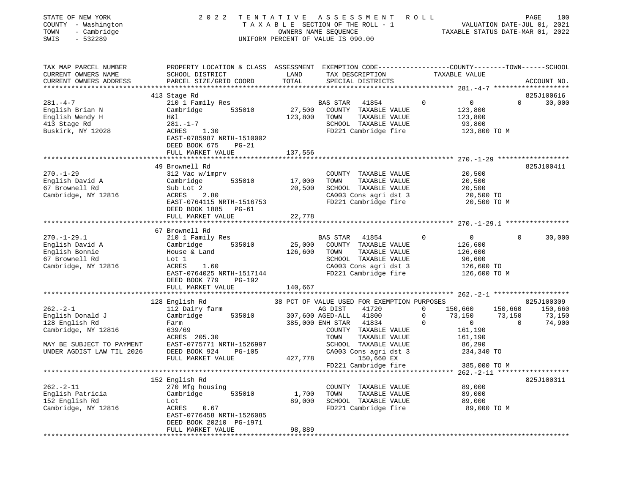| STATE OF NEW YORK<br>COUNTY - Washington<br>- Cambridge<br>TOWN<br>SWIS<br>$-532289$                                                 | 2 0 2 2                                                                                                                                                                                             | TENTATIVE                  | ASSESSMENT<br>TAXABLE SECTION OF THE ROLL - 1<br>OWNERS NAME SEQUENCE<br>UNIFORM PERCENT OF VALUE IS 090.00                                                                                                                                                       | ROLL                                                                                             | PAGE<br>100<br>VALUATION DATE-JUL 01, 2021<br>TAXABLE STATUS DATE-MAR 01, 2022             |
|--------------------------------------------------------------------------------------------------------------------------------------|-----------------------------------------------------------------------------------------------------------------------------------------------------------------------------------------------------|----------------------------|-------------------------------------------------------------------------------------------------------------------------------------------------------------------------------------------------------------------------------------------------------------------|--------------------------------------------------------------------------------------------------|--------------------------------------------------------------------------------------------|
| TAX MAP PARCEL NUMBER<br>CURRENT OWNERS NAME<br>CURRENT OWNERS ADDRESS                                                               | PROPERTY LOCATION & CLASS ASSESSMENT EXEMPTION CODE---------------COUNTY-------TOWN------SCHOOL<br>SCHOOL DISTRICT<br>PARCEL SIZE/GRID COORD                                                        | LAND<br>TOTAL              | TAX DESCRIPTION<br>SPECIAL DISTRICTS                                                                                                                                                                                                                              | TAXABLE VALUE                                                                                    | ACCOUNT NO.                                                                                |
|                                                                                                                                      |                                                                                                                                                                                                     |                            |                                                                                                                                                                                                                                                                   |                                                                                                  |                                                                                            |
| $281. -4 -7$<br>English Brian N<br>English Wendy H<br>413 Stage Rd<br>Buskirk, NY 12028                                              | 413 Stage Rd<br>210 1 Family Res<br>Cambridge<br>535010<br>Η&l<br>$281. - 1 - 7$<br>ACRES<br>1.30<br>EAST-0785987 NRTH-1510002<br>DEED BOOK 675<br>$PG-21$                                          | 27,500<br>123,800          | 41854<br><b>BAS STAR</b><br>COUNTY TAXABLE VALUE<br>TAXABLE VALUE<br>TOWN<br>SCHOOL TAXABLE VALUE<br>FD221 Cambridge fire                                                                                                                                         | $\mathbf 0$<br>$\overline{0}$<br>123,800<br>123,800<br>93,800                                    | 825J100616<br>$\Omega$<br>30,000<br>123,800 TO M                                           |
|                                                                                                                                      | FULL MARKET VALUE                                                                                                                                                                                   | 137,556                    |                                                                                                                                                                                                                                                                   |                                                                                                  |                                                                                            |
| $270. - 1 - 29$<br>English David A<br>67 Brownell Rd<br>Cambridge, NY 12816                                                          | 49 Brownell Rd<br>312 Vac w/imprv<br>535010<br>Cambridge<br>Sub Lot 2<br>ACRES<br>2.80<br>EAST-0764115 NRTH-1516753<br>DEED BOOK 1885<br>$PG-61$<br>FULL MARKET VALUE                               | 17,000<br>20,500<br>22,778 | COUNTY TAXABLE VALUE<br>TOWN<br>TAXABLE VALUE<br>SCHOOL TAXABLE VALUE<br>CA003 Cons agri dst 3<br>FD221 Cambridge fire                                                                                                                                            | 20,500<br>20,500<br>20,500                                                                       | 825J100411<br>20,500 TO<br>20,500 TO M                                                     |
|                                                                                                                                      | 67 Brownell Rd                                                                                                                                                                                      |                            |                                                                                                                                                                                                                                                                   |                                                                                                  |                                                                                            |
| $270. - 1 - 29.1$<br>English David A<br>English Bonnie<br>67 Brownell Rd<br>Cambridge, NY 12816                                      | 210 1 Family Res<br>535010<br>Cambridge<br>House & Land<br>Lot 1<br>1.60<br>ACRES<br>EAST-0764025 NRTH-1517144<br>DEED BOOK 779<br><b>PG-192</b>                                                    | 25,000<br>126,600          | <b>BAS STAR</b><br>41854<br>COUNTY TAXABLE VALUE<br>TOWN<br>TAXABLE VALUE<br>SCHOOL TAXABLE VALUE<br>CA003 Cons agri dst 3<br>FD221 Cambridge fire                                                                                                                | $\overline{0}$<br>0<br>126,600<br>126,600<br>96,600<br>126,600 TO                                | $\Omega$<br>30,000<br>126,600 TO M                                                         |
|                                                                                                                                      | FULL MARKET VALUE                                                                                                                                                                                   | 140,667                    |                                                                                                                                                                                                                                                                   |                                                                                                  |                                                                                            |
| $262 - 2 - 1$<br>English Donald J<br>128 English Rd<br>Cambridge, NY 12816<br>MAY BE SUBJECT TO PAYMENT<br>UNDER AGDIST LAW TIL 2026 | ***********************<br>128 English Rd<br>112 Dairy farm<br>Cambridge<br>535010<br>Farm<br>639/69<br>ACRES 205.30<br>EAST-0775771 NRTH-1526997<br>DEED BOOK 924<br>$PG-105$<br>FULL MARKET VALUE | 427,778                    | 38 PCT OF VALUE USED FOR EXEMPTION PURPOSES<br>41720<br>AG DIST<br>41800<br>307,600 AGED-ALL<br>385,000 ENH STAR<br>41834<br>COUNTY TAXABLE VALUE<br>TOWN<br>TAXABLE VALUE<br>SCHOOL TAXABLE VALUE<br>CA003 Cons agri dst 3<br>150,660 EX<br>FD221 Cambridge fire | 150,660<br>0<br>0<br>73,150<br>$\circ$<br>$\Omega$<br>161,190<br>161,190<br>86,290<br>234,340 TO | 825J100309<br>150,660<br>150,660<br>73,150<br>73,150<br>74,900<br>$\Omega$<br>385,000 TO M |
|                                                                                                                                      |                                                                                                                                                                                                     |                            |                                                                                                                                                                                                                                                                   |                                                                                                  |                                                                                            |
| $262. -2 - 11$<br>English Patricia<br>152 English Rd<br>Cambridge, NY 12816                                                          | 152 English Rd<br>270 Mfg housing<br>Cambridge<br>535010<br>Lot<br>ACRES<br>0.67<br>EAST-0776458 NRTH-1526085<br>DEED BOOK 20210 PG-1971<br>FULL MARKET VALUE                                       | 1,700<br>89,000<br>98,889  | TAXABLE VALUE<br>COUNTY<br>TOWN<br>TAXABLE VALUE<br>SCHOOL TAXABLE VALUE<br>FD221 Cambridge fire                                                                                                                                                                  | 89,000<br>89,000<br>89,000                                                                       | 825J100311<br>89,000 TO M                                                                  |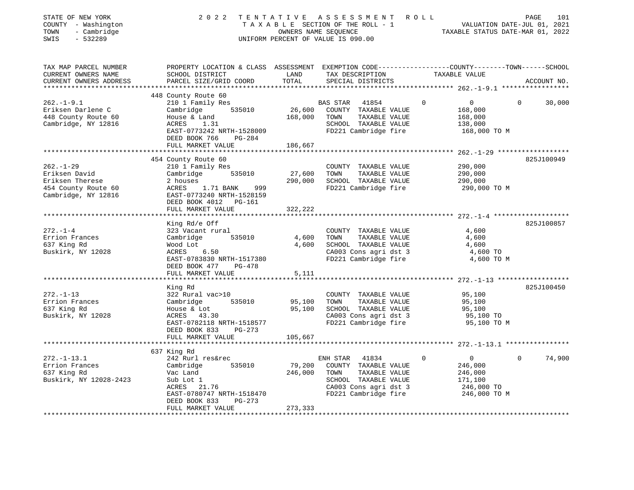| STATE OF NEW YORK<br>COUNTY - Washington<br>- Cambridge<br>TOWN<br>SWIS<br>$-532289$ |                                                                                                                                              |               | 2022 TENTATIVE ASSESSMENT ROLL<br>TAXABLE SECTION OF THE ROLL - 1<br>OWNERS NAME SEQUENCE<br>UNIFORM PERCENT OF VALUE IS 090.00 | 101<br>VALUATION DATE-JUL 01, 2021<br>TAXABLE STATUS DATE-MAR 01 2022 | 101<br>PAGE              |
|--------------------------------------------------------------------------------------|----------------------------------------------------------------------------------------------------------------------------------------------|---------------|---------------------------------------------------------------------------------------------------------------------------------|-----------------------------------------------------------------------|--------------------------|
| TAX MAP PARCEL NUMBER<br>CURRENT OWNERS NAME<br>CURRENT OWNERS ADDRESS               | PROPERTY LOCATION & CLASS ASSESSMENT EXEMPTION CODE----------------COUNTY-------TOWN-----SCHOOL<br>SCHOOL DISTRICT<br>PARCEL SIZE/GRID COORD | LAND<br>TOTAL | TAX DESCRIPTION TAXABLE VALUE<br>SPECIAL DISTRICTS                                                                              |                                                                       | ACCOUNT NO.              |
|                                                                                      | 448 County Route 60                                                                                                                          |               |                                                                                                                                 |                                                                       |                          |
| $262. - 1 - 9.1$                                                                     | 210 1 Family Res                                                                                                                             |               | BAS STAR<br>41854                                                                                                               | $\mathbf 0$<br>$\overline{0}$                                         | $\Omega$<br>30,000       |
| Eriksen Darlene C                                                                    | 535010<br>Cambridge                                                                                                                          |               | 26,600 COUNTY TAXABLE VALUE                                                                                                     | 168,000                                                               |                          |
| 448 County Route 60                                                                  |                                                                                                                                              | 168,000       | TAXABLE VALUE<br>TOWN                                                                                                           | 168,000                                                               |                          |
| Cambridge, NY 12816                                                                  | Ackse & Land<br>ACRES 1.31<br>EAST-07566                                                                                                     |               | SCHOOL TAXABLE VALUE                                                                                                            | 138,000                                                               |                          |
|                                                                                      | EAST-0773242 NRTH-1528009                                                                                                                    |               | FD221 Cambridge fire                                                                                                            | 168,000 TO M                                                          |                          |
|                                                                                      | DEED BOOK 766<br>PG-284                                                                                                                      |               |                                                                                                                                 |                                                                       |                          |
|                                                                                      | FULL MARKET VALUE                                                                                                                            | 186,667       |                                                                                                                                 |                                                                       |                          |
|                                                                                      | 454 County Route 60                                                                                                                          |               |                                                                                                                                 |                                                                       | 825J100949               |
| $262. - 1 - 29$                                                                      | 210 1 Family Res                                                                                                                             |               | COUNTY TAXABLE VALUE                                                                                                            | 290,000                                                               |                          |
| Eriksen David                                                                        | Cambridge 535010                                                                                                                             | 27,600        | TOWN<br>TAXABLE VALUE                                                                                                           | 290,000                                                               |                          |
| Eriksen Therese                                                                      |                                                                                                                                              | 290,000       | SCHOOL TAXABLE VALUE                                                                                                            | 290,000                                                               |                          |
| 454 County Route 60                                                                  | 2 houses<br>ACRES      1.71 BANK<br>999                                                                                                      |               | FD221 Cambridge fire                                                                                                            | 290,000 TO M                                                          |                          |
| Cambridge, NY 12816                                                                  | EAST-0773240 NRTH-1528159                                                                                                                    |               |                                                                                                                                 |                                                                       |                          |
|                                                                                      | DEED BOOK 4012 PG-161                                                                                                                        |               |                                                                                                                                 |                                                                       |                          |
|                                                                                      | FULL MARKET VALUE                                                                                                                            | 322,222       |                                                                                                                                 |                                                                       |                          |
|                                                                                      | ************************************                                                                                                         |               |                                                                                                                                 |                                                                       |                          |
|                                                                                      | King Rd/e Off                                                                                                                                |               |                                                                                                                                 |                                                                       | 825J100857               |
| $272. - 1 - 4$<br>Errion Frances                                                     | 323 Vacant rural<br>Cambridge<br>535010                                                                                                      | 4,600         | COUNTY TAXABLE VALUE<br>TOWN<br>TAXABLE VALUE                                                                                   | 4,600<br>4,600                                                        |                          |
| 637 King Rd                                                                          | Wood Lot                                                                                                                                     | 4,600         | SCHOOL TAXABLE VALUE                                                                                                            | 4,600                                                                 |                          |
| Buskirk, NY 12028                                                                    | ACRES 6.50                                                                                                                                   |               | CA003 Cons agri dst 3                                                                                                           | 4,600 TO                                                              |                          |
|                                                                                      | EAST-0783830 NRTH-1517380                                                                                                                    |               | FD221 Cambridge fire                                                                                                            | 4,600 TO M                                                            |                          |
|                                                                                      | DEED BOOK 477 PG-478                                                                                                                         |               |                                                                                                                                 |                                                                       |                          |
|                                                                                      | FULL MARKET VALUE                                                                                                                            | 5,111         |                                                                                                                                 |                                                                       |                          |
|                                                                                      |                                                                                                                                              |               |                                                                                                                                 |                                                                       |                          |
|                                                                                      | King Rd                                                                                                                                      |               |                                                                                                                                 |                                                                       | 825J100450               |
| $272. - 1 - 13$                                                                      | 322 Rural vac>10                                                                                                                             |               | COUNTY TAXABLE VALUE                                                                                                            | 95,100                                                                |                          |
| Errion Frances                                                                       | Cambridge<br>535010                                                                                                                          | 95,100        | TOWN<br>TAXABLE VALUE<br>SCHOOL TAXABLE VALUE                                                                                   | 95,100                                                                |                          |
| 637 King Rd<br>Buskirk, NY 12028                                                     | House & Lot<br>ACRES 43.30                                                                                                                   | 95,100        | CA003 Cons agri dst 3                                                                                                           | 95,100<br>95,100 TO                                                   |                          |
|                                                                                      | EAST-0782118 NRTH-1518577                                                                                                                    |               | FD221 Cambridge fire                                                                                                            | 95,100 TO M                                                           |                          |
|                                                                                      | DEED BOOK 833 PG-273                                                                                                                         |               |                                                                                                                                 |                                                                       |                          |
|                                                                                      | FULL MARKET VALUE                                                                                                                            | 105,667       |                                                                                                                                 |                                                                       |                          |
|                                                                                      |                                                                                                                                              |               |                                                                                                                                 |                                                                       |                          |
|                                                                                      | 637 King Rd                                                                                                                                  |               |                                                                                                                                 |                                                                       |                          |
| $272. - 1 - 13.1$                                                                    | 242 Rurl res&rec                                                                                                                             |               | ENH STAR<br>41834                                                                                                               | $0 \qquad \qquad$<br>$\circ$                                          | $\overline{0}$<br>74,900 |
| Errion Frances                                                                       | Cambridge<br>535010                                                                                                                          | 79,200        | COUNTY TAXABLE VALUE                                                                                                            | 246,000                                                               |                          |
| 637 King Rd                                                                          | Vac Land                                                                                                                                     | 246,000       | TAXABLE VALUE<br>TOWN                                                                                                           | 246,000                                                               |                          |
| Buskirk, NY 12028-2423                                                               | Sub Lot 1                                                                                                                                    |               | SCHOOL TAXABLE VALUE                                                                                                            | 171,100                                                               |                          |
|                                                                                      | ACRES 21.76                                                                                                                                  |               | CA003 Cons agri dst 3                                                                                                           | 246,000 TO                                                            |                          |
|                                                                                      | EAST-0780747 NRTH-1518470<br>DEED BOOK 833<br>PG-273                                                                                         |               | FD221 Cambridge fire                                                                                                            | 246,000 TO M                                                          |                          |
|                                                                                      | FULL MARKET VALUE                                                                                                                            | 273,333       |                                                                                                                                 |                                                                       |                          |
|                                                                                      |                                                                                                                                              |               |                                                                                                                                 |                                                                       |                          |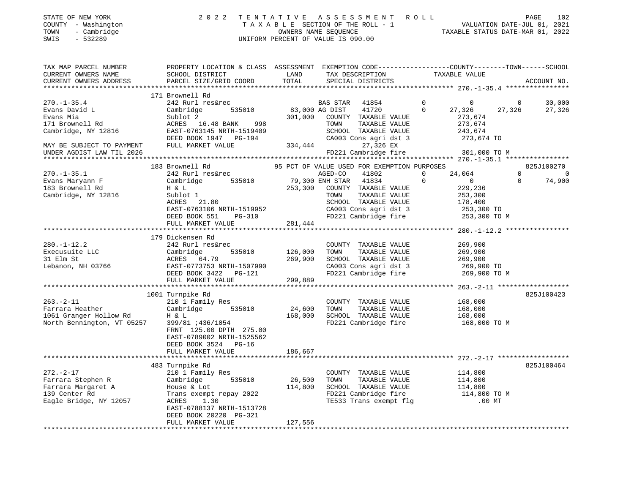|      | STATE OF NEW YORK   | 2022 TENTATIVE ASSESSMENT ROLL     | PAGE                             | 102 |
|------|---------------------|------------------------------------|----------------------------------|-----|
|      | COUNTY - Washington | TAXABLE SECTION OF THE ROLL - 1    | VALUATION DATE-JUL 01, 2021      |     |
| TOWN | - Cambridge         | OWNERS NAME SEOUENCE               | TAXABLE STATUS DATE-MAR 01, 2022 |     |
| SWIS | $-532289$           | UNIFORM PERCENT OF VALUE IS 090.00 |                                  |     |

STATE OF NEW YORK

| TAX MAP PARCEL NUMBER<br>CURRENT OWNERS NAME<br>CURRENT OWNERS ADDRESS                                | PROPERTY LOCATION & CLASS ASSESSMENT<br>SCHOOL DISTRICT<br>PARCEL SIZE/GRID COORD                                                                                            | LAND<br>TOTAL                 | TAX DESCRIPTION<br>SPECIAL DISTRICTS                                                                                                                                                          | EXEMPTION CODE-----------------COUNTY-------TOWN------SCHOOL<br>TAXABLE VALUE                          | ACCOUNT NO.                                                 |
|-------------------------------------------------------------------------------------------------------|------------------------------------------------------------------------------------------------------------------------------------------------------------------------------|-------------------------------|-----------------------------------------------------------------------------------------------------------------------------------------------------------------------------------------------|--------------------------------------------------------------------------------------------------------|-------------------------------------------------------------|
| *************************                                                                             |                                                                                                                                                                              |                               |                                                                                                                                                                                               |                                                                                                        |                                                             |
| $270. - 1 - 35.4$<br>Evans David L<br>Evans Mia<br>171 Brownell Rd<br>Cambridge, NY 12816             | 171 Brownell Rd<br>242 Rurl res&rec<br>535010<br>Cambridge<br>Sublot 2<br>ACRES 16.48 BANK<br>998<br>EAST-0763145 NRTH-1519409                                               | 301,000                       | BAS STAR<br>41854<br>83,000 AG DIST<br>41720<br>COUNTY TAXABLE VALUE<br>TOWN<br>TAXABLE VALUE<br>SCHOOL TAXABLE VALUE                                                                         | $\mathbf{0}$<br>$\mathbf 0$<br>27,326<br>0<br>27,326<br>273,674<br>273,674<br>243,674                  | 30,000<br>$\overline{0}$<br>27,326                          |
| MAY BE SUBJECT TO PAYMENT<br>UNDER AGDIST LAW TIL 2026                                                | DEED BOOK 1947 PG-194<br>FULL MARKET VALUE                                                                                                                                   | 334,444                       | CA003 Cons agri dst 3<br>27,326 EX<br>FD221 Cambridge fire                                                                                                                                    | 273,674 TO<br>301,000 TO M                                                                             |                                                             |
|                                                                                                       |                                                                                                                                                                              |                               |                                                                                                                                                                                               |                                                                                                        |                                                             |
| $270. - 1 - 35.1$<br>Evans Maryann F<br>183 Brownell Rd<br>Cambridge, NY 12816                        | 183 Brownell Rd<br>242 Rurl res&rec<br>535010<br>Cambridge<br>H & L<br>Sublot 1<br>21.80<br>ACRES<br>EAST-0763106 NRTH-1519952                                               | 253,300                       | 95 PCT OF VALUE USED FOR EXEMPTION PURPOSES<br>AGED-CO<br>41802<br>79,300 ENH STAR<br>41834<br>COUNTY TAXABLE VALUE<br>TAXABLE VALUE<br>TOWN<br>SCHOOL TAXABLE VALUE<br>CA003 Cons agri dst 3 | $\mathbf 0$<br>24,064<br>$\mathsf{O}$<br>$\overline{0}$<br>229,236<br>253,300<br>178,400<br>253,300 TO | 825J100270<br>$\Omega$<br>$\mathbf 0$<br>74,900<br>$\Omega$ |
|                                                                                                       | DEED BOOK 551<br>PG-310                                                                                                                                                      |                               | FD221 Cambridge fire                                                                                                                                                                          | 253,300 TO M                                                                                           |                                                             |
|                                                                                                       | FULL MARKET VALUE                                                                                                                                                            | 281,444                       |                                                                                                                                                                                               |                                                                                                        |                                                             |
|                                                                                                       |                                                                                                                                                                              |                               |                                                                                                                                                                                               |                                                                                                        |                                                             |
| $280. - 1 - 12.2$<br>Execusuite LLC<br>31 Elm St<br>Lebanon, NH 03766                                 | 179 Dickensen Rd<br>242 Rurl res&rec<br>535010<br>Cambridge<br>ACRES<br>64.79<br>EAST-0773753 NRTH-1507990<br>DEED BOOK 3422<br>PG-121<br>FULL MARKET VALUE                  | 126,000<br>269,900<br>299,889 | COUNTY TAXABLE VALUE<br>TAXABLE VALUE<br>TOWN<br>SCHOOL TAXABLE VALUE<br>CA003 Cons agri dst 3<br>FD221 Cambridge fire                                                                        | 269,900<br>269,900<br>269,900<br>269,900 TO<br>269,900 TO M                                            |                                                             |
|                                                                                                       |                                                                                                                                                                              |                               |                                                                                                                                                                                               |                                                                                                        |                                                             |
| $263. - 2 - 11$<br>Farrara Heather<br>1061 Granger Hollow Rd<br>North Bennington, VT 05257            | 1001 Turnpike Rd<br>210 1 Family Res<br>Cambridge<br>535010<br>H & L<br>399/81 :436/1054<br>FRNT 125.00 DPTH 275.00<br>EAST-0789002 NRTH-1525562<br>DEED BOOK 3524 PG-16     | 24,600<br>168,000             | COUNTY TAXABLE VALUE<br>TOWN<br>TAXABLE VALUE<br>SCHOOL TAXABLE VALUE<br>FD221 Cambridge fire                                                                                                 | 168,000<br>168,000<br>168,000<br>168,000 TO M                                                          | 825J100423                                                  |
|                                                                                                       | FULL MARKET VALUE                                                                                                                                                            | 186,667                       |                                                                                                                                                                                               |                                                                                                        |                                                             |
|                                                                                                       |                                                                                                                                                                              |                               |                                                                                                                                                                                               |                                                                                                        |                                                             |
| $272. - 2 - 17$<br>Farrara Stephen R<br>Farrara Margaret A<br>139 Center Rd<br>Eagle Bridge, NY 12057 | 483 Turnpike Rd<br>210 1 Family Res<br>Cambridge<br>535010<br>House & Lot<br>Trans exempt repay 2022<br>ACRES<br>1.30<br>EAST-0788137 NRTH-1513728<br>DEED BOOK 20220 PG-321 | 26,500<br>114,800             | COUNTY TAXABLE VALUE<br>TOWN<br>TAXABLE VALUE<br>SCHOOL TAXABLE VALUE<br>FD221 Cambridge fire<br>TE533 Trans exempt flg                                                                       | 114,800<br>114,800<br>114,800<br>114,800 TO M<br>$.00$ MT                                              | 825J100464                                                  |
|                                                                                                       | FULL MARKET VALUE                                                                                                                                                            | 127,556                       |                                                                                                                                                                                               |                                                                                                        |                                                             |
|                                                                                                       |                                                                                                                                                                              |                               |                                                                                                                                                                                               |                                                                                                        |                                                             |

102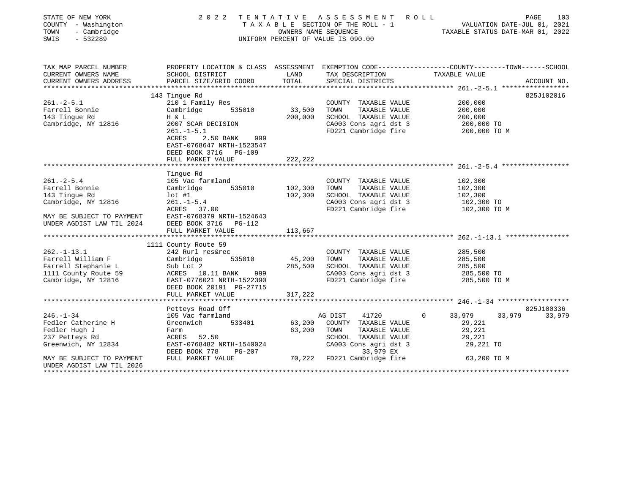| STATE OF NEW YORK<br>COUNTY - Washington<br>- Cambridge<br>TOWN<br>SWIS<br>$-532289$ | 2022                                                                                                               | TENTATIVE | ASSESSMENT ROLL<br>TAXABLE SECTION OF THE ROLL - 1<br>OWNERS NAME SEQUENCE<br>UNIFORM PERCENT OF VALUE IS 090.00 | PAGE 103<br>VALUATION DATE-JUL 01, 2021<br>TAXABLE STATUS DATE-MAP 01 0000 |             |
|--------------------------------------------------------------------------------------|--------------------------------------------------------------------------------------------------------------------|-----------|------------------------------------------------------------------------------------------------------------------|----------------------------------------------------------------------------|-------------|
|                                                                                      |                                                                                                                    |           |                                                                                                                  |                                                                            |             |
| TAX MAP PARCEL NUMBER<br>CURRENT OWNERS NAME                                         | PROPERTY LOCATION & CLASS ASSESSMENT EXEMPTION CODE---------------COUNTY-------TOWN------SCHOOL<br>SCHOOL DISTRICT | LAND      | TAX DESCRIPTION                                                                                                  | TAXABLE VALUE                                                              |             |
| CURRENT OWNERS ADDRESS                                                               | PARCEL SIZE/GRID COORD                                                                                             | TOTAL     | SPECIAL DISTRICTS                                                                                                |                                                                            | ACCOUNT NO. |
|                                                                                      |                                                                                                                    |           |                                                                                                                  |                                                                            |             |
|                                                                                      | 143 Tinque Rd                                                                                                      |           |                                                                                                                  |                                                                            | 825J102016  |
| $261 - 2 - 5.1$                                                                      | 210 1 Family Res                                                                                                   |           | COUNTY TAXABLE VALUE                                                                                             | 200,000                                                                    |             |
| Farrell Bonnie                                                                       | Cambridge<br>535010                                                                                                | 33,500    | TOWN<br>TAXABLE VALUE                                                                                            | 200,000                                                                    |             |
| 143 Tingue Rd                                                                        | H & L                                                                                                              | 200,000   | SCHOOL TAXABLE VALUE                                                                                             | 200,000                                                                    |             |
| Cambridge, NY 12816                                                                  | 2007 SCAR DECISION                                                                                                 |           | CA003 Cons agri dst 3                                                                                            | 200,000 TO                                                                 |             |
|                                                                                      | $261. -1 - 5.1$                                                                                                    |           | FD221 Cambridge fire                                                                                             | 200,000 TO M                                                               |             |
|                                                                                      | ACRES<br>2.50 BANK<br>999                                                                                          |           |                                                                                                                  |                                                                            |             |
|                                                                                      | EAST-0768647 NRTH-1523547                                                                                          |           |                                                                                                                  |                                                                            |             |
|                                                                                      | DEED BOOK 3716 PG-109                                                                                              |           |                                                                                                                  |                                                                            |             |
|                                                                                      | FULL MARKET VALUE                                                                                                  | 222,222   |                                                                                                                  |                                                                            |             |
|                                                                                      | Tinque Rd                                                                                                          |           |                                                                                                                  |                                                                            |             |
| $261. - 2 - 5.4$                                                                     | 105 Vac farmland                                                                                                   |           | COUNTY TAXABLE VALUE                                                                                             | 102,300                                                                    |             |
| Farrell Bonnie                                                                       | 535010<br>Cambridge                                                                                                | 102,300   | TOWN<br>TAXABLE VALUE                                                                                            | 102,300                                                                    |             |
| 143 Tingue Rd                                                                        | $lot$ #1                                                                                                           | 102,300   | SCHOOL TAXABLE VALUE                                                                                             | 102,300                                                                    |             |
| Cambridge, NY 12816                                                                  | $261. - 1 - 5.4$                                                                                                   |           | CA003 Cons agri dst 3                                                                                            | 102,300 TO                                                                 |             |
|                                                                                      | ACRES 37.00                                                                                                        |           | FD221 Cambridge fire                                                                                             | 102,300 TO M                                                               |             |
| MAY BE SUBJECT TO PAYMENT                                                            | EAST-0768379 NRTH-1524643                                                                                          |           |                                                                                                                  |                                                                            |             |
| UNDER AGDIST LAW TIL 2024                                                            | DEED BOOK 3716 PG-112                                                                                              |           |                                                                                                                  |                                                                            |             |
|                                                                                      | FULL MARKET VALUE                                                                                                  | 113,667   |                                                                                                                  |                                                                            |             |
|                                                                                      |                                                                                                                    |           |                                                                                                                  |                                                                            |             |
|                                                                                      | 1111 County Route 59                                                                                               |           |                                                                                                                  |                                                                            |             |
| $262. - 1 - 13.1$                                                                    | 242 Rurl res&rec                                                                                                   |           | COUNTY TAXABLE VALUE                                                                                             | 285,500                                                                    |             |
| Farrell William F                                                                    | 535010<br>Cambridge                                                                                                | 45,200    | TAXABLE VALUE<br>TOWN                                                                                            | 285,500                                                                    |             |
| Farrell Stephanie L                                                                  | Sub Lot 2                                                                                                          | 285,500   | SCHOOL TAXABLE VALUE                                                                                             | 285,500                                                                    |             |
| 1111 County Route 59                                                                 | ACRES 10.11 BANK<br>999                                                                                            |           | CA003 Cons agri dst 3                                                                                            | 285,500 TO                                                                 |             |
| Cambridge, NY 12816                                                                  | EAST-0776021 NRTH-1522390                                                                                          |           | FD221 Cambridge fire                                                                                             | 285,500 TO M                                                               |             |
|                                                                                      | DEED BOOK 20191 PG-27715<br>FULL MARKET VALUE                                                                      | 317,222   |                                                                                                                  |                                                                            |             |
|                                                                                      |                                                                                                                    |           |                                                                                                                  |                                                                            |             |
|                                                                                      | Petteys Road Off                                                                                                   |           |                                                                                                                  |                                                                            | 825J100336  |
| $246. - 1 - 34$                                                                      | 105 Vac farmland                                                                                                   |           | 41720<br>AG DIST                                                                                                 | $\mathbf{0}$<br>33,979<br>33,979                                           | 33,979      |
| Fedler Catherine H                                                                   | 533401<br>Greenwich                                                                                                | 63,200    | COUNTY TAXABLE VALUE                                                                                             | 29,221                                                                     |             |
| Fedler Hugh J                                                                        | Farm                                                                                                               | 63,200    | TOWN<br>TAXABLE VALUE                                                                                            | 29,221                                                                     |             |
| 237 Petteys Rd                                                                       | ACRES 52.50                                                                                                        |           | SCHOOL TAXABLE VALUE                                                                                             | 29,221                                                                     |             |
| Greenwich, NY 12834                                                                  | EAST-0768482 NRTH-1540024<br>PG-207<br>DEED BOOK 778                                                               |           | CA003 Cons agri dst 3<br>33,979 EX                                                                               | 29,221 TO                                                                  |             |
| MAY BE SUBJECT TO PAYMENT                                                            | FULL MARKET VALUE                                                                                                  |           | 70,222 FD221 Cambridge fire                                                                                      | 63,200 TO M                                                                |             |
| UNDER AGDIST LAW TIL 2026                                                            |                                                                                                                    |           |                                                                                                                  |                                                                            |             |
| **********************                                                               |                                                                                                                    |           |                                                                                                                  |                                                                            |             |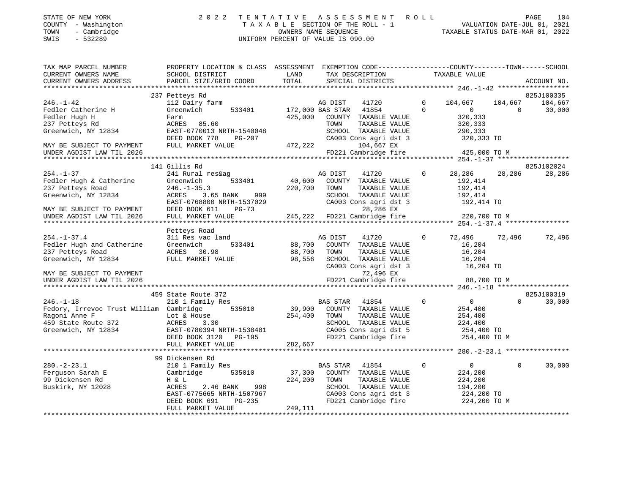| STATE OF NEW YORK |  |              |
|-------------------|--|--------------|
| <b>COUNTY</b>     |  | - Washington |
| TOWN              |  | Cambridge    |

### STATE OF NEW YORK 2 0 2 2 T E N T A T I V E A S S E S S M E N T R O L L PAGE 104 COUNTY - Washington T A X A B L E SECTION OF THE ROLL - 1 VALUATION DATE-JUL 01, 2021 TOWN - Cambridge OWNERS NAME SEQUENCE TAXABLE STATUS DATE-MAR 01, 2022 SWIS - 532289 UNIFORM PERCENT OF VALUE IS 090.00

| TAX MAP PARCEL NUMBER<br>CURRENT OWNERS NAME                                                                                                    | PROPERTY LOCATION & CLASS ASSESSMENT<br>SCHOOL DISTRICT                                                                                                                         | LAND                         | EXEMPTION CODE-----------------COUNTY-------TOWN------SCHOOL<br>TAX DESCRIPTION                                                                                              |                             | TAXABLE VALUE                                                                 |                     |                                 |
|-------------------------------------------------------------------------------------------------------------------------------------------------|---------------------------------------------------------------------------------------------------------------------------------------------------------------------------------|------------------------------|------------------------------------------------------------------------------------------------------------------------------------------------------------------------------|-----------------------------|-------------------------------------------------------------------------------|---------------------|---------------------------------|
| CURRENT OWNERS ADDRESS                                                                                                                          | PARCEL SIZE/GRID COORD                                                                                                                                                          | TOTAL                        | SPECIAL DISTRICTS                                                                                                                                                            |                             |                                                                               |                     | ACCOUNT NO.                     |
|                                                                                                                                                 |                                                                                                                                                                                 |                              |                                                                                                                                                                              |                             |                                                                               |                     |                                 |
| $246. - 1 - 42$<br>Fedler Catherine H<br>Fedler Hugh H<br>237 Petteys Rd<br>Greenwich, NY 12834<br>MAY BE SUBJECT TO PAYMENT                    | 237 Petteys Rd<br>112 Dairy farm<br>Greenwich<br>533401<br>Farm<br>85.60<br>ACRES<br>EAST-0770013 NRTH-1540048<br>DEED BOOK 778<br>PG-207<br>FULL MARKET VALUE                  | 425,000<br>472,222           | AG DIST<br>41720<br>172,000 BAS STAR<br>41854<br>COUNTY TAXABLE VALUE<br>TAXABLE VALUE<br>TOWN<br>SCHOOL TAXABLE VALUE<br>CA003 Cons agri dst 3<br>104,667 EX                | $\mathbf{0}$<br>$\mathbf 0$ | 104,667<br>$\circ$<br>320,333<br>320,333<br>290,333<br>320,333 TO             | 104,667<br>$\Omega$ | 825J100335<br>104,667<br>30,000 |
| UNDER AGDIST LAW TIL 2026                                                                                                                       |                                                                                                                                                                                 |                              | FD221 Cambridge fire                                                                                                                                                         |                             | 425,000 TO M                                                                  |                     |                                 |
|                                                                                                                                                 | 141 Gillis Rd                                                                                                                                                                   |                              |                                                                                                                                                                              |                             |                                                                               |                     | 825J102024                      |
| $254. - 1 - 37$<br>Fedler Hugh & Catherine<br>237 Petteys Road<br>Greenwich, NY 12834<br>MAY BE SUBJECT TO PAYMENT<br>UNDER AGDIST LAW TIL 2026 | 241 Rural res&ag<br>533401<br>Greenwich<br>$246. - 1 - 35.3$<br>ACRES<br>3.65 BANK<br>999<br>EAST-0768800 NRTH-1537029<br>DEED BOOK 611<br>$PG-73$<br>FULL MARKET VALUE         | 40,600<br>220,700            | AG DIST<br>41720<br>COUNTY TAXABLE VALUE<br>TOWN<br>TAXABLE VALUE<br>SCHOOL TAXABLE VALUE<br>CA003 Cons agri dst 3<br>28,286 EX<br>245,222 FD221 Cambridge fire 220,700 TO M | $\mathbf{0}$                | 28,286<br>192,414<br>192,414<br>192,414<br>192,414 TO                         | 28,286              | 28,286                          |
|                                                                                                                                                 | Petteys Road                                                                                                                                                                    |                              |                                                                                                                                                                              |                             |                                                                               |                     |                                 |
| $254. - 1 - 37.4$<br>Fedler Hugh and Catherine<br>237 Petteys Road<br>Greenwich, NY 12834                                                       | 311 Res vac land<br>533401<br>Greenwich<br>ACRES 30.98<br>FULL MARKET VALUE                                                                                                     | 88,700<br>88,700<br>98,556   | AG DIST<br>41720<br>COUNTY TAXABLE VALUE<br>TOWN<br>TAXABLE VALUE<br>SCHOOL TAXABLE VALUE<br>CA003 Cons agri dst 3                                                           | $\mathbf{0}$                | 72,496 72,496<br>16,204<br>16,204<br>16,204<br>16,204 TO                      |                     | 72,496                          |
| MAY BE SUBJECT TO PAYMENT<br>UNDER AGDIST LAW TIL 2026                                                                                          |                                                                                                                                                                                 |                              | 72,496 EX<br>FD221 Cambridge fire                                                                                                                                            |                             | 88,700 TO M                                                                   |                     |                                 |
|                                                                                                                                                 |                                                                                                                                                                                 |                              |                                                                                                                                                                              |                             |                                                                               |                     |                                 |
| $246. - 1 - 18$<br>Fedory, Irrevoc Trust William Cambridge 535010<br>Ragoni Anne F<br>459 State Route 372<br>Greenwich, NY 12834                | 459 State Route 372<br>210 1 Family Res<br>Lot & House<br>ACRES<br>3.30<br>EAST-0780394 NRTH-1538481<br>DEED BOOK 3120<br>PG-195                                                | 254,400                      | BAS STAR<br>41854<br>39,900 COUNTY TAXABLE VALUE<br>TOWN<br>TAXABLE VALUE<br>SCHOOL TAXABLE VALUE<br>CA005 Cons agri dst 5<br>FD221 Cambridge fire                           | $\mathbf 0$                 | $\overline{0}$<br>254,400<br>254,400<br>224,400<br>254,400 TO<br>254,400 TO M | $\Omega$            | 825J100319<br>30,000            |
|                                                                                                                                                 | FULL MARKET VALUE                                                                                                                                                               | 282,667                      |                                                                                                                                                                              |                             |                                                                               |                     |                                 |
|                                                                                                                                                 |                                                                                                                                                                                 |                              |                                                                                                                                                                              |                             |                                                                               |                     |                                 |
| $280. -2 - 23.1$<br>Ferguson Sarah E<br>99 Dickensen Rd<br>Buskirk, NY 12028                                                                    | 99 Dickensen Rd<br>210 1 Family Res<br>Cambridge<br>535010<br>H & L<br>ACRES<br>2.46 BANK<br>998<br>EAST-0775665 NRTH-1507967<br>DEED BOOK 691<br>$PG-235$<br>FULL MARKET VALUE | 37,300<br>224,200<br>249,111 | BAS STAR<br>41854<br>COUNTY TAXABLE VALUE<br>TAXABLE VALUE<br>TOWN<br>SCHOOL TAXABLE VALUE<br>CA003 Cons agri dst 3<br>FD221 Cambridge fire                                  | $\mathbf 0$                 | $\overline{0}$<br>224,200<br>224,200<br>194,200<br>224,200 TO<br>224,200 TO M | $\mathbf 0$         | 30,000                          |
|                                                                                                                                                 |                                                                                                                                                                                 |                              |                                                                                                                                                                              |                             |                                                                               |                     |                                 |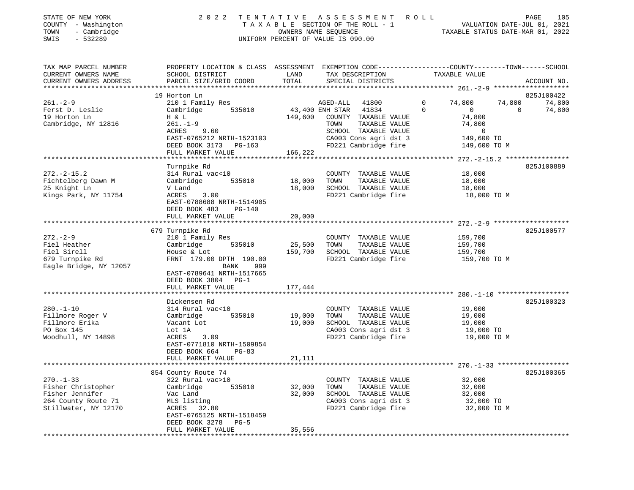| STATE OF NEW YORK   | 2022 TENTATIVE ASSESSMENT ROLL     | 105<br>PAGE                      |
|---------------------|------------------------------------|----------------------------------|
| COUNTY - Washington | TAXABLE SECTION OF THE ROLL - 1    | VALUATION DATE-JUL 01, 2021      |
| - Cambridge<br>TOWN | OWNERS NAME SEOUENCE               | TAXABLE STATUS DATE-MAR 01, 2022 |
| - 532289<br>SWIS    | UNIFORM PERCENT OF VALUE IS 090.00 |                                  |
|                     |                                    |                                  |

| TAX MAP PARCEL NUMBER      | PROPERTY LOCATION & CLASS ASSESSMENT EXEMPTION CODE---------------COUNTY-------TOWN-----SCHOOL |                       |             |                                               |          |                  |                |             |
|----------------------------|------------------------------------------------------------------------------------------------|-----------------------|-------------|-----------------------------------------------|----------|------------------|----------------|-------------|
| CURRENT OWNERS NAME        | SCHOOL DISTRICT                                                                                | LAND                  |             | TAX DESCRIPTION                               |          | TAXABLE VALUE    |                |             |
| CURRENT OWNERS ADDRESS     | PARCEL SIZE/GRID COORD                                                                         | TOTAL                 |             | SPECIAL DISTRICTS                             |          |                  |                | ACCOUNT NO. |
|                            |                                                                                                |                       |             |                                               |          |                  |                |             |
|                            | 19 Horton Ln                                                                                   |                       |             |                                               |          |                  |                | 825J100422  |
| $261 - 2 - 9$              | 210 1 Family Res                                                                               |                       | AGED-ALL    | 41800                                         | $\Omega$ | 74,800           | 74,800         | 74,800      |
| Ferst D. Leslie            | Cambridge 535010                                                                               | 43,400 ENH STAR 41834 |             |                                               | $\Omega$ | $\overline{0}$   | $\overline{0}$ | 74,800      |
| 19 Horton Ln               | H & L                                                                                          |                       |             | 149,600 COUNTY TAXABLE VALUE                  |          | 74,800           |                |             |
| Cambridge, NY 12816        | $261. - 1 - 9$                                                                                 |                       | TOWN        | TAXABLE VALUE                                 |          | 74,800           |                |             |
|                            | ACRES 9.60                                                                                     |                       |             | SCHOOL TAXABLE VALUE                          |          | $\sim$ 0         |                |             |
|                            | EAST-0765212 NRTH-1523103                                                                      |                       |             | CA003 Cons agri dst 3                         |          | 149,600 TO       |                |             |
|                            | DEED BOOK 3173 PG-163                                                                          |                       |             | FD221 Cambridge fire                          |          | 149,600 TO M     |                |             |
|                            |                                                                                                | 166,222               |             |                                               |          |                  |                |             |
|                            | FULL MARKET VALUE                                                                              |                       |             |                                               |          |                  |                |             |
|                            |                                                                                                |                       |             |                                               |          |                  |                |             |
|                            | Turnpike Rd                                                                                    |                       |             |                                               |          |                  |                | 825J100889  |
| $272. - 2 - 15.2$          | 314 Rural vac<10                                                                               |                       |             | COUNTY TAXABLE VALUE                          |          | 18,000           |                |             |
| Fichtelberg Dawn M         | 535010<br>Cambridge                                                                            | 18,000                | TOWN        | TAXABLE VALUE                                 |          | 18,000           |                |             |
| 25 Knight Ln               | V Land                                                                                         | 18,000                |             | SCHOOL TAXABLE VALUE                          |          | 18,000           |                |             |
| Kings Park, NY 11754       | 3.00<br>ACRES                                                                                  |                       |             | FD221 Cambridge fire                          |          | 18,000 TO M      |                |             |
|                            | EAST-0788688 NRTH-1514905                                                                      |                       |             |                                               |          |                  |                |             |
|                            | DEED BOOK 483 PG-140                                                                           |                       |             |                                               |          |                  |                |             |
|                            | FULL MARKET VALUE                                                                              | 20,000                |             |                                               |          |                  |                |             |
|                            |                                                                                                |                       |             |                                               |          |                  |                |             |
|                            | 679 Turnpike Rd                                                                                |                       |             |                                               |          |                  |                | 825J100577  |
| $272. - 2 - 9$             | 210 1 Family Res                                                                               |                       |             | COUNTY TAXABLE VALUE                          |          | 159,700          |                |             |
| Fiel Heather               | Cambridge 535010                                                                               |                       | 25,500 TOWN | TAXABLE VALUE                                 |          | 159,700          |                |             |
| Fiel Sirell                | House & Lot                                                                                    |                       |             | 159,700 SCHOOL TAXABLE VALUE                  |          | 159,700          |                |             |
| 679 Turnpike Rd<br>Fogli – | FRNT 179.00 DPTH 190.00                                                                        |                       |             | FD221 Cambridge fire                          |          | 159,700 TO M     |                |             |
| Eagle Bridge, NY 12057     | BANK<br>999                                                                                    |                       |             |                                               |          |                  |                |             |
|                            | EAST-0789641 NRTH-1517665                                                                      |                       |             |                                               |          |                  |                |             |
|                            | DEED BOOK 3804 PG-1                                                                            |                       |             |                                               |          |                  |                |             |
|                            | FULL MARKET VALUE                                                                              | 177,444               |             |                                               |          |                  |                |             |
|                            |                                                                                                |                       |             |                                               |          |                  |                |             |
|                            |                                                                                                |                       |             |                                               |          |                  |                |             |
|                            | Dickensen Rd                                                                                   |                       |             |                                               |          |                  |                | 825J100323  |
| $280. - 1 - 10$            | 314 Rural vac<10                                                                               |                       |             | COUNTY TAXABLE VALUE                          |          | 19,000           |                |             |
| Fillmore Roger V           | 535010<br>Cambridge                                                                            | 19,000                | TOWN        | TAXABLE VALUE                                 |          | 19,000<br>19,000 |                |             |
| Fillmore Erika             | Vacant Lot                                                                                     | 19,000                |             | SCHOOL TAXABLE VALUE                          |          |                  |                |             |
| PO Box 145                 | Lot 1A                                                                                         |                       |             | CA003 Cons agri dst 3<br>FD221 Cambridge fire |          | 19,000 TO        |                |             |
| Woodhull, NY 14898         | 3.09<br>ACRES                                                                                  |                       |             |                                               |          | 19,000 TO M      |                |             |
|                            | EAST-0771810 NRTH-1509854                                                                      |                       |             |                                               |          |                  |                |             |
|                            | DEED BOOK 664<br>$PG-83$                                                                       |                       |             |                                               |          |                  |                |             |
|                            | FULL MARKET VALUE                                                                              | 21,111                |             |                                               |          |                  |                |             |
|                            |                                                                                                |                       |             |                                               |          |                  |                |             |
|                            | 854 County Route 74                                                                            |                       |             |                                               |          |                  |                | 825J100365  |
| $270. - 1 - 33$            | 322 Rural vac>10                                                                               |                       |             | COUNTY TAXABLE VALUE                          |          | 32,000           |                |             |
| Fisher Christopher         | Cambridge                                                                                      | 535010 32,000         | TOWN        | TAXABLE VALUE                                 |          | 32,000           |                |             |
| Fisher Jennifer            | Vac Land                                                                                       | 32,000                |             | SCHOOL TAXABLE VALUE                          |          | 32,000           |                |             |
| 264 County Route 71        | MLS listing<br>ACRES 32.80                                                                     |                       |             | CA003 Cons agri dst 3                         |          | 32,000 TO        |                |             |
| Stillwater, NY 12170       |                                                                                                |                       |             | FD221 Cambridge fire                          |          | 32,000 TO M      |                |             |
|                            | EAST-0765125 NRTH-1518459                                                                      |                       |             |                                               |          |                  |                |             |
|                            | DEED BOOK 3278 PG-5                                                                            |                       |             |                                               |          |                  |                |             |
|                            | FULL MARKET VALUE                                                                              | 35,556                |             |                                               |          |                  |                |             |
|                            |                                                                                                |                       |             |                                               |          |                  |                |             |
|                            |                                                                                                |                       |             |                                               |          |                  |                |             |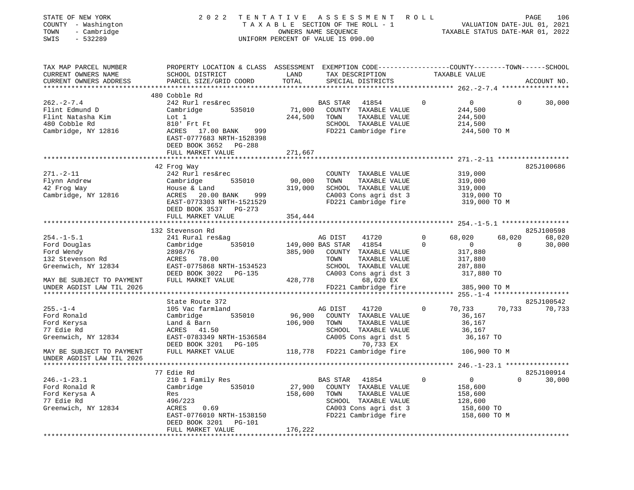| STATE OF NEW YORK<br>COUNTY - Washington<br>- Cambridge<br>TOWN<br>SWIS<br>$-532289$ | 2022                                                                                                                |         | TENTATIVE ASSESSMENT ROLL<br>TAXABLE SECTION OF THE ROLL - 1<br>TAXABLE SECTION OF THE ROLL - 1<br>OWNERS NAME SEQUENCE TAXABLE STATUS DATE-MAR 01, 2022<br>UNIFORM PERCENT OF VALUE IS 090.00 |                     |                           |                       | PAGE<br>106 |
|--------------------------------------------------------------------------------------|---------------------------------------------------------------------------------------------------------------------|---------|------------------------------------------------------------------------------------------------------------------------------------------------------------------------------------------------|---------------------|---------------------------|-----------------------|-------------|
| TAX MAP PARCEL NUMBER<br>CURRENT OWNERS NAME                                         | PROPERTY LOCATION & CLASS ASSESSMENT EXEMPTION CODE-----------------COUNTY-------TOWN-----SCHOOL<br>SCHOOL DISTRICT | LAND    | TAX DESCRIPTION TAXABLE VALUE                                                                                                                                                                  |                     |                           |                       |             |
| CURRENT OWNERS ADDRESS                                                               | PARCEL SIZE/GRID COORD                                                                                              | TOTAL   | SPECIAL DISTRICTS                                                                                                                                                                              |                     |                           |                       | ACCOUNT NO. |
|                                                                                      | 480 Cobble Rd                                                                                                       |         |                                                                                                                                                                                                |                     |                           |                       |             |
| $262 - 2 - 7.4$                                                                      | 242 Rurl res&rec                                                                                                    |         | BAS STAR 41854                                                                                                                                                                                 | $\overline{0}$      | $\overline{0}$            | $\overline{0}$        | 30,000      |
| Flint Edmund D                                                                       | 535010<br>Cambridge                                                                                                 |         | 71,000 COUNTY TAXABLE VALUE                                                                                                                                                                    |                     | 244,500                   |                       |             |
| Flint Natasha Kim                                                                    | Lot 1                                                                                                               | 244,500 | TOWN<br>TAXABLE VALUE                                                                                                                                                                          |                     | 244,500                   |                       |             |
| 480 Cobble Rd                                                                        | 810' Frt Ft                                                                                                         |         | SCHOOL TAXABLE VALUE                                                                                                                                                                           |                     | 214,500                   |                       |             |
| Cambridge, NY 12816                                                                  | ACRES 17.00 BANK 999<br>EAST-0777683 NRTH-1528398<br>DEED BOOK 3652 PG-288                                          |         | FD221 Cambridge fire                                                                                                                                                                           |                     | 244,500 TO M              |                       |             |
|                                                                                      | FULL MARKET VALUE                                                                                                   | 271,667 |                                                                                                                                                                                                |                     |                           |                       |             |
|                                                                                      |                                                                                                                     |         |                                                                                                                                                                                                |                     |                           |                       |             |
|                                                                                      | 42 Frog Way                                                                                                         |         |                                                                                                                                                                                                |                     |                           |                       | 825J100686  |
| $271. - 2 - 11$<br>Flynn Andrew                                                      | 242 Rurl res&rec<br>535010                                                                                          | 90,000  | COUNTY TAXABLE VALUE<br>TAXABLE VALUE<br>TOWN                                                                                                                                                  |                     | 319,000<br>319,000        |                       |             |
| 42 Frog Way                                                                          | Cambridge<br>House & Land                                                                                           |         | SCHOOL TAXABLE VALUE                                                                                                                                                                           |                     | 319,000                   |                       |             |
| Cambridge, NY 12816                                                                  |                                                                                                                     |         | CA003 Cons agri dst 3                                                                                                                                                                          |                     | 319,000 TO                |                       |             |
|                                                                                      | DEED BOOK 3537 PG-273                                                                                               |         | FD221 Cambridge fire 319,000 TO M                                                                                                                                                              |                     |                           |                       |             |
|                                                                                      | FULL MARKET VALUE                                                                                                   | 354,444 |                                                                                                                                                                                                |                     |                           |                       |             |
|                                                                                      |                                                                                                                     |         |                                                                                                                                                                                                |                     |                           |                       |             |
|                                                                                      | 132 Stevenson Rd                                                                                                    |         |                                                                                                                                                                                                |                     |                           |                       | 825J100598  |
| $254. - 1 - 5.1$                                                                     | 241 Rural res&ag                                                                                                    |         | 41720<br>AG DIST<br>535010 149,000 BAS STAR 41854                                                                                                                                              | $\circ$<br>$\Omega$ | 68,020                    | 68,020<br>$\mathbf 0$ | 68,020      |
| Ford Douglas                                                                         | Cambridge<br>2898/76                                                                                                |         | 385,900 COUNTY TAXABLE VALUE                                                                                                                                                                   |                     | $\overline{0}$<br>317,880 |                       | 30,000      |
| Ford Douglas<br>Ford Wendy<br>132 Stevenson Rd                                       | ACRES 78.00                                                                                                         |         | TAXABLE VALUE<br>TOWN                                                                                                                                                                          |                     | 317,880                   |                       |             |
| Greenwich, NY 12834                                                                  | EAST-0775868 NRTH-1534523                                                                                           |         | SCHOOL TAXABLE VALUE                                                                                                                                                                           |                     | 287,880                   |                       |             |
|                                                                                      | DEED BOOK 3022 PG-135                                                                                               |         | CA003 Cons agri dst 3                                                                                                                                                                          |                     | 317,880 TO                |                       |             |
| MAY BE SUBJECT TO PAYMENT                                                            | FULL MARKET VALUE                                                                                                   | 428,778 | 68,020 EX                                                                                                                                                                                      |                     |                           |                       |             |
| UNDER AGDIST LAW TIL 2026                                                            |                                                                                                                     |         | FD221 Cambridge fire                                                                                                                                                                           |                     | 385,900 TO M              |                       |             |
|                                                                                      |                                                                                                                     |         |                                                                                                                                                                                                |                     |                           |                       |             |
|                                                                                      | State Route 372                                                                                                     |         |                                                                                                                                                                                                |                     |                           |                       | 825J100542  |
| $255. - 1 - 4$                                                                       | 105 Vac farmland                                                                                                    |         | 41720<br>AG DIST                                                                                                                                                                               | $\mathbf{0}$        | 70,733                    | 70,733                | 70,733      |
| Ford Ronald                                                                          | 535010<br>Cambridge                                                                                                 | 96,900  | COUNTY TAXABLE VALUE                                                                                                                                                                           |                     | 36,167                    |                       |             |
| Ford Kerysa                                                                          | Land & Barn<br>ACRES 41.50                                                                                          | 106,900 | TOWN<br>TAXABLE VALUE                                                                                                                                                                          |                     | 36,167                    |                       |             |
| 77 Edie Rd<br>Greenwich, NY 12834                                                    | EAST-0783349 NRTH-1536584                                                                                           |         | SCHOOL TAXABLE VALUE<br>CA005 Cons agri dst 5                                                                                                                                                  |                     | 36,167<br>36,167 TO       |                       |             |
|                                                                                      | DEED BOOK 3201 PG-105                                                                                               |         | 70,733 EX                                                                                                                                                                                      |                     |                           |                       |             |
| MAY BE SUBJECT TO PAYMENT<br>UNDER AGDIST LAW TIL 2026                               | FULL MARKET VALUE                                                                                                   |         | 118,778 FD221 Cambridge fire                                                                                                                                                                   |                     | 106,900 ТО М              |                       |             |
|                                                                                      |                                                                                                                     |         |                                                                                                                                                                                                |                     |                           |                       |             |
|                                                                                      | 77 Edie Rd                                                                                                          |         |                                                                                                                                                                                                |                     |                           |                       | 825J100914  |
| $246. - 1 - 23.1$                                                                    | 210 1 Family Res                                                                                                    |         | <b>BAS STAR</b><br>41854                                                                                                                                                                       | $\mathbf 0$         | $\mathsf{O}$              | $\Omega$              | 30,000      |
| Ford Ronald R                                                                        | Cambridge<br>535010                                                                                                 | 27,900  | COUNTY TAXABLE VALUE                                                                                                                                                                           |                     | 158,600                   |                       |             |
| Ford Kerysa A                                                                        | Res                                                                                                                 | 158,600 | TAXABLE VALUE<br>TOWN                                                                                                                                                                          |                     | 158,600                   |                       |             |
| 77 Edie Rd                                                                           | 496/223                                                                                                             |         | SCHOOL TAXABLE VALUE                                                                                                                                                                           |                     | 128,600                   |                       |             |
| Greenwich, NY 12834                                                                  | ACRES<br>0.69                                                                                                       |         | CA003 Cons agri dst 3                                                                                                                                                                          |                     | 158,600 TO                |                       |             |
|                                                                                      | EAST-0776010 NRTH-1538150<br>DEED BOOK 3201<br>PG-101<br>FULL MARKET VALUE                                          | 176,222 | FD221 Cambridge fire                                                                                                                                                                           |                     | 158,600 TO M              |                       |             |
|                                                                                      |                                                                                                                     |         |                                                                                                                                                                                                |                     |                           |                       |             |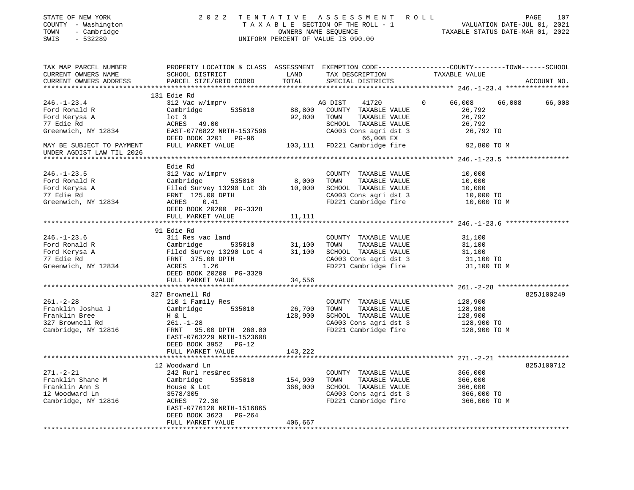| STATE OF NEW YORK<br>COUNTY - Washington<br>- Cambridge<br>TOWN<br>SWIS<br>$-532289$ |                                                                                                                 |         | 2022 TENTATIVE ASSESSMENT ROLL<br>T A X A B L E SECTION OF THE ROLL - 1<br>OWNERS NAME SEQUENCE THE ROLL - 1<br>OWNERS NAME SEQUENCE TAXABLE STATUS DATE-JUL 01, 2022<br>TAXABLE STATUS DATE-MAR 01, 2022<br>UNIFORM PERCENT OF VALUE IS 090.00 |          |                  | 107<br>PAGE |
|--------------------------------------------------------------------------------------|-----------------------------------------------------------------------------------------------------------------|---------|-------------------------------------------------------------------------------------------------------------------------------------------------------------------------------------------------------------------------------------------------|----------|------------------|-------------|
| TAX MAP PARCEL NUMBER                                                                | PROPERTY LOCATION & CLASS ASSESSMENT EXEMPTION CODE---------------COUNTY-------TOWN-----SCHOOL                  |         |                                                                                                                                                                                                                                                 |          |                  |             |
| CURRENT OWNERS NAME                                                                  | SCHOOL DISTRICT                                                                                                 | LAND    | TAX DESCRIPTION TAXABLE VALUE SPECIAL DISTRICTS                                                                                                                                                                                                 |          |                  |             |
| CURRENT OWNERS ADDRESS                                                               | PARCEL SIZE/GRID COORD                                                                                          | TOTAL   |                                                                                                                                                                                                                                                 |          |                  | ACCOUNT NO. |
|                                                                                      | 131 Edie Rd                                                                                                     |         |                                                                                                                                                                                                                                                 |          |                  |             |
| $246. - 1 - 23.4$                                                                    | 312 Vac w/imprv                                                                                                 |         | AG DIST<br>41720                                                                                                                                                                                                                                | $\Omega$ | 66,008<br>66,008 | 66,008      |
| Ford Ronald R                                                                        | 535010<br>Cambridge                                                                                             |         |                                                                                                                                                                                                                                                 |          | 26,792           |             |
| Ford Kerysa A                                                                        |                                                                                                                 |         | 88,800 COUNTY TAXABLE VALUE<br>92,800 TOWN TAXABLE VALUE                                                                                                                                                                                        |          | 26,792           |             |
| 77 Edie Rd                                                                           | lot 3<br>ACRES 49.00                                                                                            |         | SCHOOL TAXABLE VALUE                                                                                                                                                                                                                            |          | 26,792           |             |
| Greenwich, NY 12834                                                                  | EAST-0776822 NRTH-1537596<br>DEED BOOK 3201 PG-96                                                               |         | CA003 Cons agri dst 3                                                                                                                                                                                                                           |          | 26,792 TO        |             |
|                                                                                      |                                                                                                                 |         | 66,008 EX                                                                                                                                                                                                                                       |          |                  |             |
| MAY BE SUBJECT TO PAYMENT                                                            | FULL MARKET VALUE                                                                                               |         | 103,111 FD221 Cambridge fire                                                                                                                                                                                                                    |          | 92,800 TO M      |             |
| UNDER AGDIST LAW TIL 2026                                                            |                                                                                                                 |         |                                                                                                                                                                                                                                                 |          |                  |             |
|                                                                                      |                                                                                                                 |         |                                                                                                                                                                                                                                                 |          |                  |             |
|                                                                                      | Edie Rd                                                                                                         |         |                                                                                                                                                                                                                                                 |          |                  |             |
| $246. - 1 - 23.5$                                                                    | 312 Vac w/imprv                                                                                                 |         | COUNTY TAXABLE VALUE                                                                                                                                                                                                                            |          | 10,000           |             |
| Ford Ronald R                                                                        | 312 Vac w/imprv<br>Cambridge 535010 8,000<br>Filed Survey 13290 Lot 3b 10,000<br>FRNT 125.00 DPTH<br>ACRES 0.41 |         | TOWN<br>TAXABLE VALUE                                                                                                                                                                                                                           |          | 10,000           |             |
| Ford Kerysa A                                                                        |                                                                                                                 |         | SCHOOL TAXABLE VALUE                                                                                                                                                                                                                            |          | 10,000           |             |
| 77 Edie Rd                                                                           |                                                                                                                 |         | CA003 Cons agri dst 3                                                                                                                                                                                                                           |          | 10,000 TO        |             |
| Greenwich, NY 12834                                                                  | DEED BOOK 20200 PG-3328                                                                                         |         | FD221 Cambridge fire                                                                                                                                                                                                                            |          | 10,000 TO M      |             |
|                                                                                      | FULL MARKET VALUE                                                                                               | 11,111  |                                                                                                                                                                                                                                                 |          |                  |             |
|                                                                                      |                                                                                                                 |         |                                                                                                                                                                                                                                                 |          |                  |             |
|                                                                                      | 91 Edie Rd                                                                                                      |         |                                                                                                                                                                                                                                                 |          |                  |             |
| $246. - 1 - 23.6$                                                                    | 311 Res vac land                                                                                                |         | COUNTY TAXABLE VALUE                                                                                                                                                                                                                            |          | 31,100           |             |
| Ford Ronald R                                                                        |                                                                                                                 |         | TOWN<br>TAXABLE VALUE                                                                                                                                                                                                                           |          | 31,100           |             |
| Ford Kerysa A                                                                        | e 12112<br>535010 31,100<br>ey 13290 Lot 4 31,100                                                               |         | SCHOOL TAXABLE VALUE                                                                                                                                                                                                                            |          | 31,100           |             |
| 77 Edie Rd                                                                           |                                                                                                                 |         |                                                                                                                                                                                                                                                 |          |                  |             |
| Greenwich, NY 12834                                                                  | Cambridge 535010<br>Filed Survey 13290 Lot 4<br>FRNT 375.00 DPTH<br>ACRES 1.26                                  |         | CA003 Cons agri dst 3 31,100 TO<br>FD221 Cambridge fire 31,100 TO M                                                                                                                                                                             |          |                  |             |
|                                                                                      | DEED BOOK 20200 PG-3329                                                                                         |         |                                                                                                                                                                                                                                                 |          |                  |             |
|                                                                                      | FULL MARKET VALUE                                                                                               | 34,556  |                                                                                                                                                                                                                                                 |          |                  |             |
|                                                                                      |                                                                                                                 |         |                                                                                                                                                                                                                                                 |          |                  |             |
| $261. - 2 - 28$                                                                      | 327 Brownell Rd<br>210 1 Family Res                                                                             |         |                                                                                                                                                                                                                                                 |          | 128,900          | 825J100249  |
| Franklin Joshua J                                                                    | Cambridge 535010                                                                                                | 26,700  | COUNTY TAXABLE VALUE<br>TOWN<br>TAXABLE VALUE                                                                                                                                                                                                   |          | 128,900          |             |
| Franklin Bree                                                                        | H & L                                                                                                           | 128,900 | SCHOOL TAXABLE VALUE                                                                                                                                                                                                                            |          | 128,900          |             |
| 327 Brownell Rd                                                                      | $261. - 1 - 28$                                                                                                 |         | CA003 Cons agri dst 3                                                                                                                                                                                                                           |          | 128,900 TO       |             |
| Cambridge, NY 12816                                                                  | FRNT 95.00 DPTH 260.00                                                                                          |         | FD221 Cambridge fire                                                                                                                                                                                                                            |          | 128,900 TO M     |             |
|                                                                                      | EAST-0763229 NRTH-1523608                                                                                       |         |                                                                                                                                                                                                                                                 |          |                  |             |
|                                                                                      | DEED BOOK 3952 PG-12                                                                                            |         |                                                                                                                                                                                                                                                 |          |                  |             |
|                                                                                      | FULL MARKET VALUE                                                                                               | 143,222 |                                                                                                                                                                                                                                                 |          |                  |             |
|                                                                                      | **********************                                                                                          |         |                                                                                                                                                                                                                                                 |          |                  |             |
|                                                                                      | 12 Woodward Ln                                                                                                  |         |                                                                                                                                                                                                                                                 |          |                  | 825J100712  |
| $271. - 2 - 21$                                                                      | 242 Rurl res&rec                                                                                                |         | COUNTY TAXABLE VALUE                                                                                                                                                                                                                            |          | 366,000          |             |
| Franklin Shane M                                                                     | Cambridge 535010                                                                                                | 154,900 | TOWN<br>TAXABLE VALUE                                                                                                                                                                                                                           |          | 366,000          |             |
| Franklin Ann S                                                                       | House & Lot<br>3578/305                                                                                         | 366,000 | SCHOOL TAXABLE VALUE                                                                                                                                                                                                                            |          | 366,000          |             |
| 12 Woodward Ln                                                                       | 3578/305                                                                                                        |         | CA003 Cons agri dst 3                                                                                                                                                                                                                           |          | 366,000 TO       |             |
| Cambridge, NY 12816                                                                  | ACRES 72.30                                                                                                     |         | FD221 Cambridge fire 366,000 TO M                                                                                                                                                                                                               |          |                  |             |
|                                                                                      | EAST-0776120 NRTH-1516865                                                                                       |         |                                                                                                                                                                                                                                                 |          |                  |             |
|                                                                                      | DEED BOOK 3623<br>PG-264<br>FULL MARKET VALUE                                                                   | 406,667 |                                                                                                                                                                                                                                                 |          |                  |             |
|                                                                                      |                                                                                                                 |         |                                                                                                                                                                                                                                                 |          |                  |             |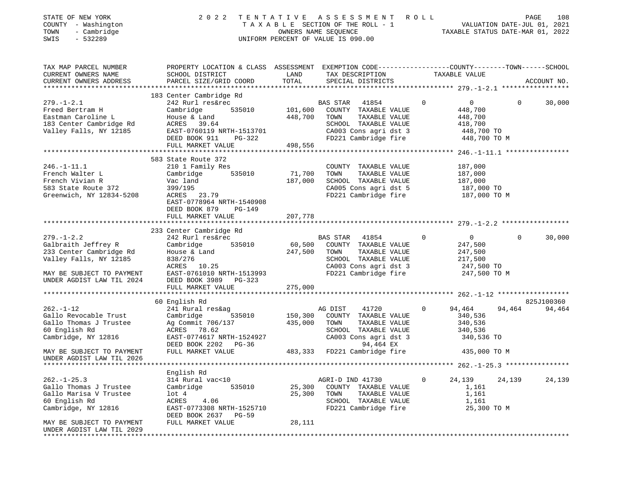| 2 0 2 2                                                                                                                                                       |                                                                         |                                                                                                |                                                                                                                                                                                                               |                                                                                                                                                                                                                                                                                                 | PAGE<br>108                                                                                                                                                            |
|---------------------------------------------------------------------------------------------------------------------------------------------------------------|-------------------------------------------------------------------------|------------------------------------------------------------------------------------------------|---------------------------------------------------------------------------------------------------------------------------------------------------------------------------------------------------------------|-------------------------------------------------------------------------------------------------------------------------------------------------------------------------------------------------------------------------------------------------------------------------------------------------|------------------------------------------------------------------------------------------------------------------------------------------------------------------------|
| SCHOOL DISTRICT<br>PARCEL SIZE/GRID COORD                                                                                                                     | LAND<br>TOTAL                                                           | SPECIAL DISTRICTS                                                                              |                                                                                                                                                                                                               |                                                                                                                                                                                                                                                                                                 | ACCOUNT NO.                                                                                                                                                            |
| 183 Center Cambridge Rd<br>242 Rurl res&rec<br>Cambridge<br>House & Land<br>ACRES 39.64<br>EAST-0760119 N<br>DEED BOOK 911<br>PG-322<br>FULL MARKET VALUE     | 448,700<br>498,556                                                      | 41854<br>COUNTY TAXABLE VALUE<br>TOWN<br>TAXABLE VALUE                                         | $\circ$                                                                                                                                                                                                       | $\overline{0}$<br>448,700<br>448,700<br>418,700<br>448,700 TO<br>448,700 TO M                                                                                                                                                                                                                   | 30,000<br>$\mathbf{0}$                                                                                                                                                 |
|                                                                                                                                                               |                                                                         |                                                                                                |                                                                                                                                                                                                               |                                                                                                                                                                                                                                                                                                 |                                                                                                                                                                        |
| 210 1 Family Res<br>535010<br>Cambridge<br>Vac land<br>399/195<br>23.79<br>ACRES<br>EAST-0778964 NRTH-1540908<br>DEED BOOK 879<br>PG-149<br>FULL MARKET VALUE | 71,700<br>187,000<br>207,778                                            | COUNTY TAXABLE VALUE<br>TOWN<br>TAXABLE VALUE<br>SCHOOL TAXABLE VALUE                          |                                                                                                                                                                                                               | 187,000<br>187,000<br>187,000<br>187,000 TO<br>187,000 TO M                                                                                                                                                                                                                                     |                                                                                                                                                                        |
|                                                                                                                                                               |                                                                         |                                                                                                |                                                                                                                                                                                                               |                                                                                                                                                                                                                                                                                                 |                                                                                                                                                                        |
| 233 Center Cambridge Rd<br>242 Rurl res&rec<br>535010<br>Cambridge<br>House & Land<br>838/276<br>ACRES 10.25<br>DEED BOOK 3989<br>PG-323                      |                                                                         | 41854<br>COUNTY TAXABLE VALUE<br>TOWN<br>TAXABLE VALUE                                         | 0                                                                                                                                                                                                             | $0 \qquad \qquad$<br>247,500<br>247,500<br>217,500<br>247,500 TO<br>247,500 TO M                                                                                                                                                                                                                | $\Omega$<br>30,000                                                                                                                                                     |
|                                                                                                                                                               |                                                                         |                                                                                                |                                                                                                                                                                                                               |                                                                                                                                                                                                                                                                                                 |                                                                                                                                                                        |
|                                                                                                                                                               |                                                                         |                                                                                                |                                                                                                                                                                                                               |                                                                                                                                                                                                                                                                                                 | 825J100360                                                                                                                                                             |
| 241 Rural res&ag<br>535010<br>Cambridge<br>Ag Commit 706/137<br>ACRES 78.62<br>DEED BOOK 2202 PG-36<br>FULL MARKET VALUE                                      | 150,300<br>435,000                                                      | 41720<br>TOWN<br>TAXABLE VALUE<br>CA003 Cons agri dst 3<br>94,464 EX                           | 0                                                                                                                                                                                                             | 94,464<br>340,536<br>340,536<br>340,536<br>340,536 TO<br>435,000 TO M                                                                                                                                                                                                                           | 94,464                                                                                                                                                                 |
|                                                                                                                                                               |                                                                         |                                                                                                |                                                                                                                                                                                                               |                                                                                                                                                                                                                                                                                                 |                                                                                                                                                                        |
|                                                                                                                                                               |                                                                         |                                                                                                |                                                                                                                                                                                                               |                                                                                                                                                                                                                                                                                                 |                                                                                                                                                                        |
| 314 Rural vac<10<br>Cambridge<br>535010<br>$1$ ot $4$<br>ACRES<br>4.06<br>EAST-0773308 NRTH-1525710<br>DEED BOOK 2637<br>PG-59<br>FULL MARKET VALUE           | 25,300<br>25,300<br>28,111                                              | COUNTY TAXABLE VALUE<br>TOWN<br>TAXABLE VALUE<br>SCHOOL TAXABLE VALUE<br>FD221 Cambridge fire  | 0                                                                                                                                                                                                             | 24,139<br>1,161<br>1,161<br>1,161<br>25,300 TO M                                                                                                                                                                                                                                                | 24,139                                                                                                                                                                 |
|                                                                                                                                                               | 583 State Route 372<br>FULL MARKET VALUE<br>60 English Rd<br>English Rd | EAST-0760119 NRTH-1513701<br>EAST-0761010 NRTH-1513993<br>275,000<br>EAST-0774617 NRTH-1524927 | UNIFORM PERCENT OF VALUE IS 090.00<br>$\begin{array}{ccc} 2 & 3 \\ 535010 & 101,600 \end{array}$<br>BAS STAR<br>BAS STAR<br>60, 500<br>247,500<br>AG DIST<br>483,333 FD221 Cambridge fire<br>AGRI-D IND 41730 | TENTATIVE ASSESSMENT ROLL<br>TAX DESCRIPTION<br>SCHOOL TAXABLE VALUE<br>CA003 Cons agri dst 3<br>FD221 Cambridge fire<br>CA005 Cons agri dst 5<br>FD221 Cambridge fire<br>SCHOOL TAXABLE VALUE<br>CA003 Cons agri dst 3<br>FD221 Cambridge fire<br>COUNTY TAXABLE VALUE<br>SCHOOL TAXABLE VALUE | TAXABLE STATUS DATE-MAR 01, 2022<br>PROPERTY LOCATION & CLASS ASSESSMENT EXEMPTION CODE--------------COUNTY-------TOWN-----SCHOOL<br>TAXABLE VALUE<br>94,464<br>24,139 |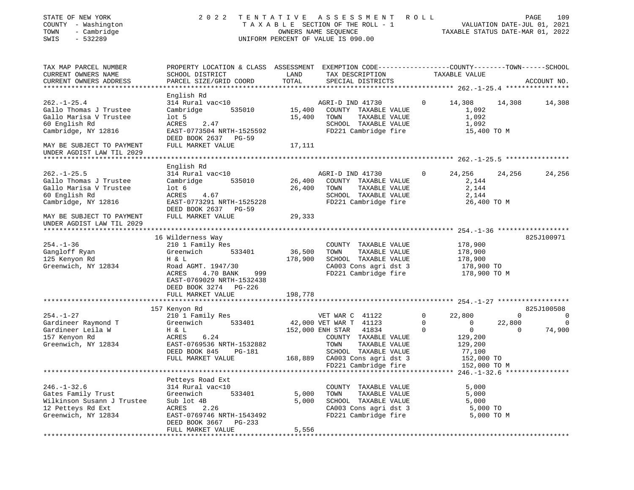| STATE OF NEW YORK<br>COUNTY - Washington<br>- Cambridge<br>TOWN<br>SWIS<br>$-532289$                              | 2022                                                                                                                                                                           |                   | TENTATIVE ASSESSMENT<br>TAXABLE SECTION OF THE ROLL - 1<br>OWNERS NAME SEQUENCE<br>UNIFORM PERCENT OF VALUE IS 090.00                                                                                 | R O L L                            | PAGE 109<br>VALUATION DATE-JUL 01, 2021<br>TAXABLE STATIIS DATE 1155                                     |                                          |                  |
|-------------------------------------------------------------------------------------------------------------------|--------------------------------------------------------------------------------------------------------------------------------------------------------------------------------|-------------------|-------------------------------------------------------------------------------------------------------------------------------------------------------------------------------------------------------|------------------------------------|----------------------------------------------------------------------------------------------------------|------------------------------------------|------------------|
| TAX MAP PARCEL NUMBER<br>CURRENT OWNERS NAME                                                                      | PROPERTY LOCATION & CLASS ASSESSMENT EXEMPTION CODE---------------COUNTY-------TOWN------SCHOOL<br>SCHOOL DISTRICT                                                             | LAND              | TAX DESCRIPTION                                                                                                                                                                                       |                                    | TAXABLE VALUE                                                                                            |                                          |                  |
| CURRENT OWNERS ADDRESS                                                                                            | PARCEL SIZE/GRID COORD                                                                                                                                                         | TOTAL             | SPECIAL DISTRICTS                                                                                                                                                                                     |                                    |                                                                                                          |                                          | ACCOUNT NO.      |
|                                                                                                                   | English Rd                                                                                                                                                                     |                   |                                                                                                                                                                                                       |                                    |                                                                                                          |                                          |                  |
| $262. - 1 - 25.4$<br>Gallo Thomas J Trustee<br>Gallo Marisa V Trustee                                             | 314 Rural vac<10<br>Cambridge<br>535010<br>lot 5                                                                                                                               | 15,400            | AGRI-D IND 41730<br>15,400 COUNTY TAXABLE VALUE<br>TOWN<br>TAXABLE VALUE                                                                                                                              | $\mathbf{0}$                       | 14,308<br>1,092<br>1,092                                                                                 | 14,308                                   | 14,308           |
| 60 English Rd<br>Cambridge, NY 12816                                                                              | ACRES<br>2.47<br>EAST-0773504 NRTH-1525592<br>DEED BOOK 2637 PG-59                                                                                                             |                   | SCHOOL TAXABLE VALUE<br>FD221 Cambridge fire                                                                                                                                                          |                                    | 1,092<br>15,400 TO M                                                                                     |                                          |                  |
| MAY BE SUBJECT TO PAYMENT<br>UNDER AGDIST LAW TIL 2029<br>******************************                          | FULL MARKET VALUE                                                                                                                                                              | 17,111            |                                                                                                                                                                                                       |                                    |                                                                                                          |                                          |                  |
|                                                                                                                   | English Rd                                                                                                                                                                     |                   |                                                                                                                                                                                                       |                                    |                                                                                                          |                                          |                  |
| $262. - 1 - 25.5$<br>Gallo Thomas J Trustee<br>Gallo Marisa V Trustee<br>60 English Rd<br>Cambridge, NY 12816     | 314 Rural vac<10<br>Cambridge<br>535010<br>lot 6<br>ACRES 4.67<br>EAST-0773291 NRTH-1525228                                                                                    | 26,400<br>26,400  | AGRI-D IND 41730<br>COUNTY TAXABLE VALUE<br>TOWN<br>TAXABLE VALUE<br>SCHOOL TAXABLE VALUE<br>FD221 Cambridge fire                                                                                     | $\overline{0}$                     | 24,256<br>2,144<br>2,144<br>2,144<br>26,400 TO M                                                         | 24,256                                   | 24,256           |
| MAY BE SUBJECT TO PAYMENT<br>UNDER AGDIST LAW TIL 2029                                                            | DEED BOOK 2637 PG-59<br>FULL MARKET VALUE                                                                                                                                      | 29,333            |                                                                                                                                                                                                       |                                    |                                                                                                          |                                          |                  |
|                                                                                                                   |                                                                                                                                                                                |                   |                                                                                                                                                                                                       |                                    |                                                                                                          |                                          |                  |
| $254. - 1 - 36$<br>Gangloff Ryan<br>125 Kenyon Rd<br>Greenwich, NY 12834                                          | 16 Wilderness Way<br>210 1 Family Res<br>Greenwich<br>533401<br>H & L<br>Road AGMT. 1947/30<br>ACRES<br>4.70 BANK<br>999<br>EAST-0769029 NRTH-1532438<br>DEED BOOK 3274 PG-226 | 36,500<br>178,900 | COUNTY TAXABLE VALUE<br>TAXABLE VALUE<br>TOWN<br>SCHOOL TAXABLE VALUE<br>CA003 Cons agri dst 3<br>FD221 Cambridge fire                                                                                |                                    | 178,900<br>178,900<br>178,900<br>178,900 TO<br>178,900 TO M                                              |                                          | 825J100971       |
|                                                                                                                   | FULL MARKET VALUE                                                                                                                                                              | 198,778           |                                                                                                                                                                                                       |                                    |                                                                                                          |                                          |                  |
|                                                                                                                   | 157 Kenyon Rd                                                                                                                                                                  |                   |                                                                                                                                                                                                       |                                    |                                                                                                          |                                          | 825J100508       |
| $254. - 1 - 27$<br>Gardineer Raymond T<br>Gardineer Leila W<br>157 Kenyon Rd<br>Greenwich, NY 12834               | 210 1 Family Res<br>533401<br>Greenwich<br>H & L<br>ACRES<br>6.24<br>EAST-0769536 NRTH-1532882<br>DEED BOOK 845<br>PG-181<br>FULL MARKET VALUE                                 |                   | VET WAR C 41122<br>42,000 VET WAR T 41123<br>152,000 ENH STAR 41834<br>COUNTY TAXABLE VALUE<br>TAXABLE VALUE<br>TOWN<br>SCHOOL TAXABLE VALUE<br>168,889 CA003 Cons agri dst 3<br>FD221 Cambridge fire | $\overline{0}$<br>$\mathbf 0$<br>0 | 22,800<br>$\overline{0}$<br>$\overline{0}$<br>129,200<br>129,200<br>77,100<br>152,000 TO<br>152,000 TO M | $\overline{0}$<br>22,800<br>$\mathbf{0}$ | 0<br>0<br>74,900 |
|                                                                                                                   |                                                                                                                                                                                |                   |                                                                                                                                                                                                       |                                    |                                                                                                          |                                          |                  |
| $246. - 1 - 32.6$<br>Gates Family Trust<br>Wilkinson Susann J Trustee<br>12 Petteys Rd Ext<br>Greenwich, NY 12834 | Petteys Road Ext<br>314 Rural vac<10<br>Greenwich<br>533401<br>Sub lot 4B<br>2.26<br>ACRES<br>EAST-0769746 NRTH-1543492<br>DEED BOOK 3667<br>PG-233                            | 5,000<br>5,000    | COUNTY TAXABLE VALUE<br>TOWN<br>TAXABLE VALUE<br>SCHOOL TAXABLE VALUE<br>CA003 Cons agri dst 3<br>FD221 Cambridge fire                                                                                |                                    | 5,000<br>5,000<br>5,000<br>5,000 TO<br>5,000 TO M                                                        |                                          |                  |
|                                                                                                                   | FULL MARKET VALUE                                                                                                                                                              | 5,556             |                                                                                                                                                                                                       |                                    |                                                                                                          |                                          |                  |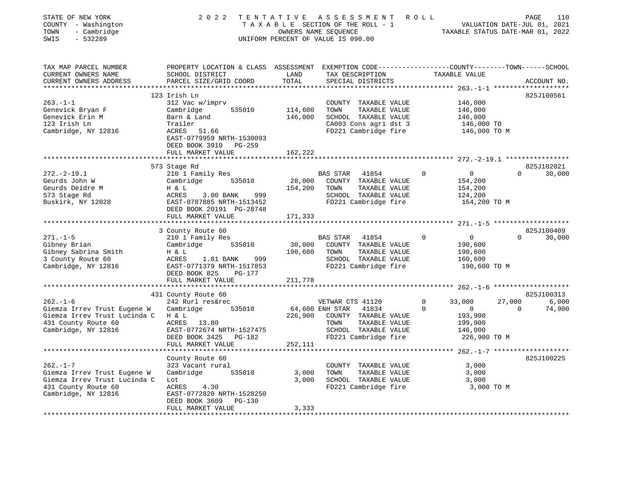| STATE OF NEW YORK<br>COUNTY - Washington<br>- Cambridge<br>TOWN<br>SWIS<br>$-532289$ | 2 0 2 2                                                                                         | TENTATIVE       | ASSESSMENT ROLL<br>TAXABLE SECTION OF THE ROLL - 1<br>OWNERS NAME SEQUENCE<br>UNIFORM PERCENT OF VALUE IS 090.00 |              | VALUATION DATE-JUL 01, 2021<br>TAXABLE STATUS DATE-MAR 01, 2022 | PAGE        | 110         |
|--------------------------------------------------------------------------------------|-------------------------------------------------------------------------------------------------|-----------------|------------------------------------------------------------------------------------------------------------------|--------------|-----------------------------------------------------------------|-------------|-------------|
| TAX MAP PARCEL NUMBER                                                                | PROPERTY LOCATION & CLASS ASSESSMENT EXEMPTION CODE----------------COUNTY-------TOWN-----SCHOOL |                 |                                                                                                                  |              |                                                                 |             |             |
| CURRENT OWNERS NAME<br>CURRENT OWNERS ADDRESS<br>**********************              | SCHOOL DISTRICT<br>PARCEL SIZE/GRID COORD                                                       | LAND<br>TOTAL   | TAX DESCRIPTION<br>SPECIAL DISTRICTS                                                                             |              | TAXABLE VALUE                                                   |             | ACCOUNT NO. |
|                                                                                      | 123 Irish Ln                                                                                    |                 |                                                                                                                  |              |                                                                 |             | 825J100561  |
| $263. - 1 - 1$                                                                       | 312 Vac w/imprv                                                                                 |                 | COUNTY TAXABLE VALUE                                                                                             |              | 146,000                                                         |             |             |
| Genevick Bryan F                                                                     | Cambridge<br>535010                                                                             | 114,600         | TOWN<br>TAXABLE VALUE                                                                                            |              | 146,000                                                         |             |             |
| Genevick Erin M                                                                      | Barn & Land                                                                                     | 146,000         | SCHOOL TAXABLE VALUE                                                                                             |              | 146,000                                                         |             |             |
| 123 Irish Ln                                                                         | Trailer                                                                                         |                 | CA003 Cons agri dst 3                                                                                            |              | 146,000 TO                                                      |             |             |
| Cambridge, NY 12816                                                                  | ACRES 51.66                                                                                     |                 | FD221 Cambridge fire                                                                                             |              | 146,000 TO M                                                    |             |             |
|                                                                                      | EAST-0779959 NRTH-1530093                                                                       |                 |                                                                                                                  |              |                                                                 |             |             |
|                                                                                      | DEED BOOK 3910 PG-259                                                                           |                 |                                                                                                                  |              |                                                                 |             |             |
|                                                                                      | FULL MARKET VALUE                                                                               | 162,222         |                                                                                                                  |              |                                                                 |             |             |
|                                                                                      |                                                                                                 |                 |                                                                                                                  |              |                                                                 |             |             |
|                                                                                      | 573 Stage Rd                                                                                    |                 |                                                                                                                  |              |                                                                 |             | 825J102021  |
| $272. - 2 - 19.1$                                                                    | 210 1 Family Res                                                                                |                 | BAS STAR<br>41854                                                                                                | $\Omega$     | $\overline{0}$                                                  | $\Omega$    | 30,000      |
| Geurds John W                                                                        | 535010<br>Cambridge                                                                             | 28,000          | COUNTY TAXABLE VALUE                                                                                             |              | 154,200                                                         |             |             |
| Geurds Deidre M                                                                      | H & L                                                                                           | 154,200         | TOWN<br>TAXABLE VALUE                                                                                            |              | 154,200                                                         |             |             |
| 573 Stage Rd                                                                         | ACRES<br>3.00 BANK<br>999                                                                       |                 | SCHOOL TAXABLE VALUE                                                                                             |              | 124,200                                                         |             |             |
| Buskirk, NY 12028                                                                    | EAST-0787885 NRTH-1513452                                                                       |                 | FD221 Cambridge fire                                                                                             |              | 154,200 TO M                                                    |             |             |
|                                                                                      | DEED BOOK 20191 PG-28748                                                                        |                 |                                                                                                                  |              |                                                                 |             |             |
|                                                                                      | FULL MARKET VALUE                                                                               | 171,333         |                                                                                                                  |              |                                                                 |             |             |
|                                                                                      |                                                                                                 |                 |                                                                                                                  |              |                                                                 |             |             |
|                                                                                      | 3 County Route 60                                                                               |                 |                                                                                                                  |              |                                                                 |             | 825J100409  |
| $271. - 1 - 5$                                                                       | 210 1 Family Res                                                                                |                 | BAS STAR<br>41854                                                                                                |              | $\overline{0}$                                                  | $\Omega$    | 30,000      |
| Gibney Brian                                                                         | Cambridge<br>535010                                                                             | 30,000          | COUNTY TAXABLE VALUE                                                                                             |              | 190,600                                                         |             |             |
| Gibney Sabrina Smith                                                                 | H & L                                                                                           | 190,600         | TOWN<br>TAXABLE VALUE                                                                                            |              | 190,600                                                         |             |             |
| 3 County Route 60                                                                    | 999<br>ACRES 1.81 BANK                                                                          |                 | SCHOOL TAXABLE VALUE                                                                                             |              | 160,600                                                         |             |             |
| Cambridge, NY 12816                                                                  | EAST-0771379 NRTH-1517853                                                                       |                 | FD221 Cambridge fire                                                                                             |              | 190,600 ТО М                                                    |             |             |
|                                                                                      | DEED BOOK 825<br>PG-177                                                                         |                 |                                                                                                                  |              |                                                                 |             |             |
|                                                                                      | FULL MARKET VALUE                                                                               | 211,778         |                                                                                                                  |              |                                                                 |             |             |
|                                                                                      |                                                                                                 |                 |                                                                                                                  |              |                                                                 |             |             |
|                                                                                      | 431 County Route 60                                                                             |                 |                                                                                                                  |              |                                                                 |             | 825J100313  |
| $262. - 1 - 6$                                                                       | 242 Rurl res&rec                                                                                |                 | VETWAR CTS 41120                                                                                                 | $\mathbf{0}$ | 33,000                                                          | 27,000      | 6,000       |
| Giemza Irrev Trust Eugene W                                                          | 535010<br>Cambridge                                                                             | 64,600 ENH STAR | 41834                                                                                                            | $\mathbf 0$  | $\overline{0}$                                                  | $\mathbf 0$ | 74,900      |
| Giemza Irrev Trust Lucinda C                                                         | H & L                                                                                           | 226,900         | COUNTY TAXABLE VALUE                                                                                             |              | 193,900                                                         |             |             |
| 431 County Route 60                                                                  | ACRES 13.80                                                                                     |                 | TOWN<br>TAXABLE VALUE                                                                                            |              | 199,900                                                         |             |             |
| Cambridge, NY 12816                                                                  | EAST-0772674 NRTH-1527475                                                                       |                 | SCHOOL TAXABLE VALUE                                                                                             |              | 146,000                                                         |             |             |
|                                                                                      | DEED BOOK 3425 PG-182                                                                           |                 | FD221 Cambridge fire                                                                                             |              | 226,900 TO M                                                    |             |             |
|                                                                                      | FULL MARKET VALUE                                                                               | 252,111         |                                                                                                                  |              |                                                                 |             |             |
|                                                                                      |                                                                                                 |                 |                                                                                                                  |              |                                                                 |             |             |
|                                                                                      | County Route 60                                                                                 |                 |                                                                                                                  |              |                                                                 |             | 825J100225  |
| $262. -1 - 7$                                                                        | 323 Vacant rural                                                                                |                 | COUNTY TAXABLE VALUE                                                                                             |              | 3,000                                                           |             |             |
| Giemza Irrev Trust Eugene W                                                          | Cambridge<br>535010                                                                             | 3,000           | TAXABLE VALUE<br>TOWN                                                                                            |              | 3,000                                                           |             |             |
| Giemza Irrev Trust Lucinda C                                                         | Lot                                                                                             | 3,000           | SCHOOL TAXABLE VALUE                                                                                             |              | 3,000                                                           |             |             |
| 431 County Route 60                                                                  | 4.30<br>ACRES                                                                                   |                 | FD221 Cambridge fire                                                                                             |              | 3,000 TO M                                                      |             |             |
| Cambridge, NY 12816                                                                  | EAST-0772820 NRTH-1528250                                                                       |                 |                                                                                                                  |              |                                                                 |             |             |
|                                                                                      | DEED BOOK 3609<br>PG-130                                                                        |                 |                                                                                                                  |              |                                                                 |             |             |
|                                                                                      | FULL MARKET VALUE                                                                               | 3,333           |                                                                                                                  |              |                                                                 |             |             |
|                                                                                      |                                                                                                 |                 |                                                                                                                  |              |                                                                 |             |             |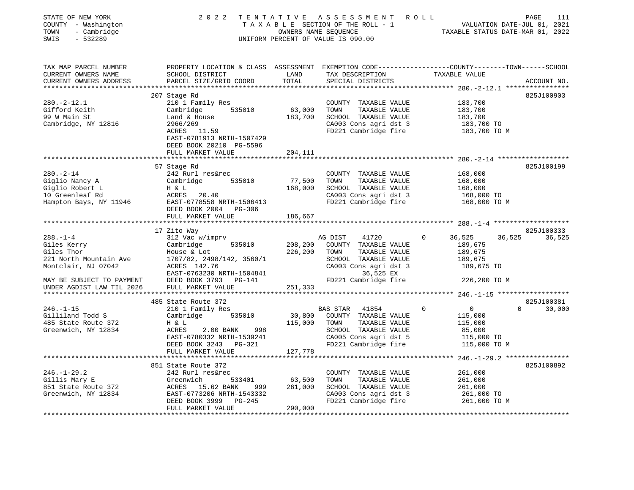| SWIS<br>$-532289$<br>UNIFORM PERCENT OF VALUE IS 090.00                                                                                                                                                                                                                                      | PAGE<br>111<br>T A X A B L E SECTION OF THE ROLL - 1 WE TAXABLE STATUS DATE-JUL 01, 2021 |
|----------------------------------------------------------------------------------------------------------------------------------------------------------------------------------------------------------------------------------------------------------------------------------------------|------------------------------------------------------------------------------------------|
| PROPERTY LOCATION & CLASS ASSESSMENT EXEMPTION CODE---------------COUNTY-------TOWN-----SCHOOL<br>TAX MAP PARCEL NUMBER<br>TAX DESCRIPTION TAXABLE VALUE<br>CURRENT OWNERS NAME<br>SCHOOL DISTRICT<br>LAND<br>TOTAL<br>CURRENT OWNERS ADDRESS<br>PARCEL SIZE/GRID COORD<br>SPECIAL DISTRICTS | ACCOUNT NO.                                                                              |
| ************************                                                                                                                                                                                                                                                                     |                                                                                          |
| 207 Stage Rd                                                                                                                                                                                                                                                                                 | 825J100903                                                                               |
| $280. -2 - 12.1$<br>210 1 Family Res<br>COUNTY TAXABLE VALUE<br>183,700                                                                                                                                                                                                                      |                                                                                          |
| 63,000<br>TOWN<br>TAXABLE VALUE<br>Gifford Keith<br>Cambridge 535010<br>183,700                                                                                                                                                                                                              |                                                                                          |
| 99 W Main St<br>183,700 SCHOOL TAXABLE VALUE<br>Land & House<br>183,700                                                                                                                                                                                                                      |                                                                                          |
| $183,700$ TO<br>Cambridge, NY 12816<br>CA003 Cons agri dst 3<br>2966/269<br>ACRES<br>11.59<br>FD221 Cambridge fire<br>183,700 TO M<br>EAST-0781913 NRTH-1507429<br>DEED BOOK 20210 PG-5596                                                                                                   |                                                                                          |
| FULL MARKET VALUE<br>204,111                                                                                                                                                                                                                                                                 |                                                                                          |
| 57 Stage Rd                                                                                                                                                                                                                                                                                  | 825J100199                                                                               |
| $280. - 2 - 14$<br>242 Rurl res&rec<br>168,000<br>COUNTY TAXABLE VALUE                                                                                                                                                                                                                       |                                                                                          |
| Cambridge 535010<br>77,500<br>Giglio Nancy A<br>TOWN<br>TAXABLE VALUE<br>168,000                                                                                                                                                                                                             |                                                                                          |
| 168,000<br>SCHOOL TAXABLE VALUE<br>Giglio Robert L<br>$H \& L$<br>168,000                                                                                                                                                                                                                    |                                                                                          |
| 10 Greenleaf Rd<br>ACRES 20.40<br>168,000 TO                                                                                                                                                                                                                                                 |                                                                                          |
| CA003 Cons agri dst 3<br>FD221 Cambridge fire<br>Hampton Bays, NY 11946 EAST-0778558 NRTH-1506413<br>168,000 TO M<br>DEED BOOK 2004 PG-306                                                                                                                                                   |                                                                                          |
| FULL MARKET VALUE<br>186,667                                                                                                                                                                                                                                                                 |                                                                                          |
| 17 Zito Way                                                                                                                                                                                                                                                                                  | 825J100333                                                                               |
| $288. - 1 - 4$<br>312 Vac w/imprv<br>36,525<br>36,525<br>AG DIST<br>41720<br>$\Omega$                                                                                                                                                                                                        | 36,525                                                                                   |
| Cambridge 535010<br>208,200 COUNTY TAXABLE VALUE<br>Giles Kerry<br>189,675                                                                                                                                                                                                                   |                                                                                          |
| 226,200<br>Giles Thor<br>TOWN<br>TAXABLE VALUE<br>House & Lot<br>189,675                                                                                                                                                                                                                     |                                                                                          |
| 221 North Mountain Ave<br>1707/82, 2498/142, 3560/1<br>SCHOOL TAXABLE VALUE<br>189,675                                                                                                                                                                                                       |                                                                                          |
| Montclair, NJ 07042<br>ACRES 142.76<br>CA003 Cons agri dst 3<br>189,675 TO                                                                                                                                                                                                                   |                                                                                          |
| EAST-0763230 NRTH-1504841<br>36,525 EX                                                                                                                                                                                                                                                       |                                                                                          |
| DEED BOOK 3793 PG-141<br>FD221 Cambridge fire<br>226,200 TO M<br>MAY BE SUBJECT TO PAYMENT                                                                                                                                                                                                   |                                                                                          |
| FULL MARKET VALUE<br>251,333<br>UNDER AGDIST LAW TIL 2026                                                                                                                                                                                                                                    |                                                                                          |
|                                                                                                                                                                                                                                                                                              |                                                                                          |
| 485 State Route 372                                                                                                                                                                                                                                                                          | 825J100381                                                                               |
| $\overline{0}$<br>$246. - 1 - 15$<br>BAS STAR<br>$\Omega$<br>$\Omega$<br>210 1 Family Res<br>41854                                                                                                                                                                                           | 30,000                                                                                   |
| Gilliland Todd S<br>Cambridge<br>535010<br>30,800<br>COUNTY TAXABLE VALUE<br>115,000<br>485 State Route 372<br>115,000<br>TOWN<br>TAXABLE VALUE<br>115,000                                                                                                                                   |                                                                                          |
| H & L<br>Greenwich, NY 12834<br>2.00 BANK 998<br>SCHOOL TAXABLE VALUE<br>85,000<br>ACRES                                                                                                                                                                                                     |                                                                                          |
| EAST-0780332 NRTH-1539241<br>CA005 Cons agri dst 5<br>115,000 TO                                                                                                                                                                                                                             |                                                                                          |
| DEED BOOK 3243 PG-321<br>FD221 Cambridge fire<br>115,000 TO M                                                                                                                                                                                                                                |                                                                                          |
| 127,778<br>FULL MARKET VALUE                                                                                                                                                                                                                                                                 |                                                                                          |
|                                                                                                                                                                                                                                                                                              |                                                                                          |
| ************************<br>$246. -1 - 29.2$ *****************                                                                                                                                                                                                                               | 825J100892                                                                               |
| 851 State Route 372                                                                                                                                                                                                                                                                          |                                                                                          |
| $246. - 1 - 29.2$<br>242 Rurl res&rec<br>COUNTY TAXABLE VALUE<br>261,000                                                                                                                                                                                                                     |                                                                                          |
| Gillis Mary E<br>63,500<br>TOWN<br>TAXABLE VALUE<br>Greenwich<br>533401<br>261,000                                                                                                                                                                                                           |                                                                                          |
| 851 State Route 372<br>261,000<br>SCHOOL TAXABLE VALUE<br>ACRES 15.62 BANK<br>999<br>261,000                                                                                                                                                                                                 |                                                                                          |
| CA003 Cons agri dst 3<br>Greenwich, NY 12834<br>EAST-0773206 NRTH-1543332<br>261,000 TO                                                                                                                                                                                                      |                                                                                          |
| FD221 Cambridge fire<br>DEED BOOK 3999 PG-245<br>261,000 TO M<br>290,000<br>FULL MARKET VALUE                                                                                                                                                                                                |                                                                                          |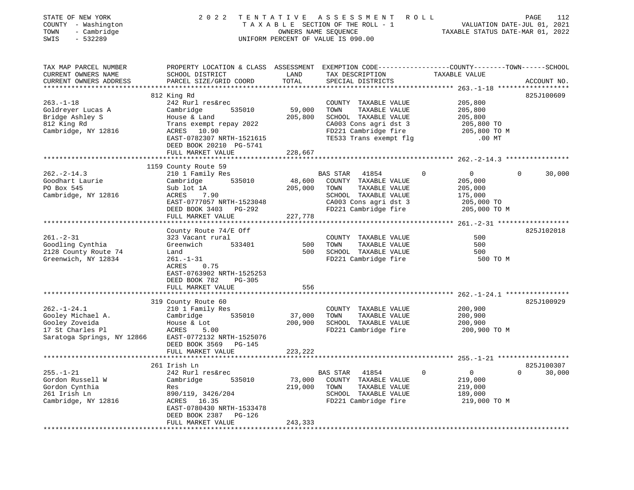| STATE OF NEW YORK<br>COUNTY - Washington<br>- Cambridge<br>TOWN<br>$-532289$<br>SWIS                       | 2 0 2 2                                                                                                                                                                                                                  | OWNERS NAME SEQUENCE         | TENTATIVE ASSESSMENT<br>R O L L<br>TAXABLE SECTION OF THE ROLL - 1<br>UNIFORM PERCENT OF VALUE IS 090.00                                         | TAXABLE STATUS DATE-MAR 01, 2022                                                              | PAGE<br>112<br>VALUATION DATE-JUL 01, 2021 |
|------------------------------------------------------------------------------------------------------------|--------------------------------------------------------------------------------------------------------------------------------------------------------------------------------------------------------------------------|------------------------------|--------------------------------------------------------------------------------------------------------------------------------------------------|-----------------------------------------------------------------------------------------------|--------------------------------------------|
| TAX MAP PARCEL NUMBER<br>CURRENT OWNERS NAME<br>CURRENT OWNERS ADDRESS                                     | PROPERTY LOCATION & CLASS ASSESSMENT EXEMPTION CODE---------------COUNTY-------TOWN------SCHOOL<br>SCHOOL DISTRICT<br>PARCEL SIZE/GRID COORD                                                                             | LAND<br>TOTAL                | TAX DESCRIPTION<br>SPECIAL DISTRICTS                                                                                                             | TAXABLE VALUE                                                                                 | ACCOUNT NO.                                |
| $263. -1 - 18$<br>Goldreyer Lucas A<br>Bridge Ashley S<br>812 King Rd<br>Cambridge, NY 12816               | 812 King Rd<br>242 Rurl res&rec<br>Cambridge<br>535010<br>House & Land<br>Trans exempt repay 2022<br>ACRES 10.90<br>EAST-0782307 NRTH-1521615<br>DEED BOOK 20210 PG-5741<br>FULL MARKET VALUE<br>*********************** | 59,000<br>205,800<br>228,667 | COUNTY TAXABLE VALUE<br>TAXABLE VALUE<br>TOWN<br>SCHOOL TAXABLE VALUE<br>CA003 Cons agri dst 3<br>FD221 Cambridge fire<br>TE533 Trans exempt flg | 205,800<br>205,800<br>205,800<br>205,800 TO<br>205,800 TO M<br>$.00$ MT                       | 825J100609                                 |
| $262 - 2 - 14.3$<br>Goodhart Laurie<br>PO Box 545<br>Cambridge, NY 12816                                   | 1159 County Route 59<br>210 1 Family Res<br>Cambridge<br>535010<br>Sub lot 1A<br>ACRES<br>7.90<br>EAST-0777057 NRTH-1523048<br>PG-292<br>DEED BOOK 3403<br>FULL MARKET VALUE                                             | 48,600<br>205,000<br>227,778 | BAS STAR 41854<br>COUNTY TAXABLE VALUE<br>TOWN<br>TAXABLE VALUE<br>SCHOOL TAXABLE VALUE<br>CA003 Cons agri dst 3<br>FD221 Cambridge fire         | $\mathbf{0}$<br>$\overline{0}$<br>205,000<br>205,000<br>175,000<br>205,000 TO<br>205,000 TO M | $\mathbf{0}$<br>30,000                     |
| $261. - 2 - 31$<br>Goodling Cynthia<br>2128 County Route 74<br>Greenwich, NY 12834                         | County Route $74/E$ Off<br>323 Vacant rural<br>Greenwich<br>533401<br>Land<br>$261. - 1 - 31$<br>ACRES<br>0.75<br>EAST-0763902 NRTH-1525253<br>DEED BOOK 782<br>$PG-305$<br>FULL MARKET VALUE                            | 500<br>500<br>556            | COUNTY TAXABLE VALUE<br>TAXABLE VALUE<br>TOWN<br>SCHOOL TAXABLE VALUE<br>FD221 Cambridge fire                                                    | 500<br>500<br>500<br>500 TO M                                                                 | 825J102018                                 |
| $262. - 1 - 24.1$<br>Gooley Michael A.<br>Gooley Zoveida<br>17 St Charles Pl<br>Saratoga Springs, NY 12866 | 319 County Route 60<br>210 1 Family Res<br>Cambridge<br>535010<br>House & Lot<br>ACRES<br>5.00<br>EAST-0772132 NRTH-1525076<br>DEED BOOK 3569<br>PG-145<br>FULL MARKET VALUE                                             | 37,000<br>200,900<br>223,222 | COUNTY TAXABLE VALUE<br>TOWN<br>TAXABLE VALUE<br>SCHOOL TAXABLE VALUE<br>FD221 Cambridge fire                                                    | 200,900<br>200,900<br>200,900<br>200,900 TO M                                                 | 825J100929                                 |
| $255. - 1 - 21$<br>Gordon Russell W<br>Gordon Cynthia<br>261 Irish Ln<br>Cambridge, NY 12816               | ***********************<br>261 Irish Ln<br>242 Rurl res&rec<br>Cambridge<br>535010<br>Res<br>890/119, 3426/204<br>ACRES 16.35<br>EAST-0780430 NRTH-1533478<br>DEED BOOK 2387<br><b>PG-126</b><br>FULL MARKET VALUE       | 73,000<br>219,000<br>243,333 | BAS STAR<br>41854<br>COUNTY TAXABLE VALUE<br>TOWN<br>TAXABLE VALUE<br>SCHOOL TAXABLE VALUE<br>FD221 Cambridge fire                               | 0<br>$\overline{0}$<br>219,000<br>219,000<br>189,000<br>219,000 TO M                          | 825J100307<br>0<br>30,000                  |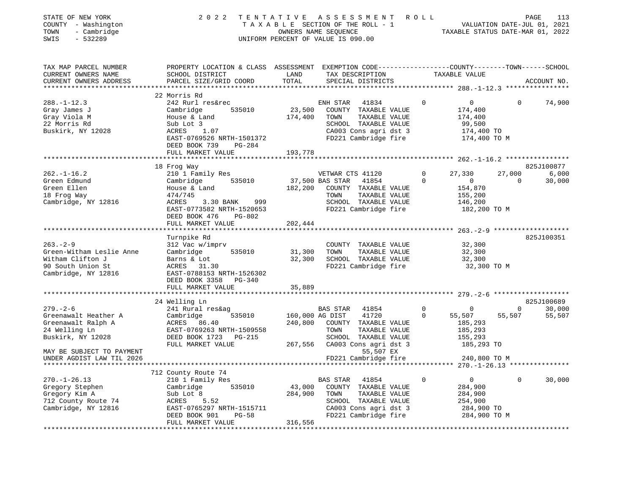| STATE OF NEW YORK<br>COUNTY - Washington<br>TOWN<br>- Cambridge<br>$-532289$<br>SWIS                       | 2 0 2 2                                                                                                                                             | TENTATIVE ASSESSMENT ROLL<br>TAXABLE SECTION OF THE ROLL - 1<br>OWNERS NAME SEQUENCE<br>UNIFORM PERCENT OF VALUE IS 090.00                                                     |                             | $-$ 1 $$\tt VALUATION\ DATE-JUL\ 01,\ 2021$$ TAXABLE STATUS DATE–MAR 01, 2022   |                          | PAGE<br>113                   |
|------------------------------------------------------------------------------------------------------------|-----------------------------------------------------------------------------------------------------------------------------------------------------|--------------------------------------------------------------------------------------------------------------------------------------------------------------------------------|-----------------------------|---------------------------------------------------------------------------------|--------------------------|-------------------------------|
| TAX MAP PARCEL NUMBER<br>CURRENT OWNERS NAME<br>CURRENT OWNERS ADDRESS<br>**********************           | SCHOOL DISTRICT<br>PARCEL SIZE/GRID COORD                                                                                                           | PROPERTY LOCATION & CLASS ASSESSMENT EXEMPTION CODE---------------COUNTY-------TOWN------SCHOOL<br>TAX DESCRIPTION TAXABLE VALUE<br>LAND<br>TOTAL<br>SPECIAL DISTRICTS         |                             |                                                                                 |                          | ACCOUNT NO.                   |
|                                                                                                            | 22 Morris Rd                                                                                                                                        |                                                                                                                                                                                |                             |                                                                                 |                          |                               |
| $288. - 1 - 12.3$<br>Gray James J<br>Gray Viola M<br>22 Morris Rd<br>Buskirk, NY 12028                     | 242 Rurl res&rec<br>535010<br>Cambridge<br>House & Land<br>Sub Lot 3<br>ACRES<br>1.07<br>EAST-0769526 NRTH-1501372<br>DEED BOOK 739<br>PG-284       | ENH STAR<br>41834<br>23,500<br>COUNTY TAXABLE VALUE<br>174,400<br>TOWN<br>TAXABLE VALUE<br>SCHOOL TAXABLE VALUE<br>CA003 Cons agri dst 3<br>FD221 Cambridge fire               | $\Omega$                    | $0 \qquad \qquad$<br>174,400<br>174,400<br>99,500<br>174,400 TO<br>174,400 TO M | $\Omega$                 | 74,900                        |
|                                                                                                            | FULL MARKET VALUE                                                                                                                                   | 193,778                                                                                                                                                                        |                             |                                                                                 |                          |                               |
|                                                                                                            |                                                                                                                                                     |                                                                                                                                                                                |                             |                                                                                 |                          |                               |
| $262. - 1 - 16.2$<br>Green Edmund                                                                          | 18 Frog Way<br>210 1 Family Res<br>535010<br>Cambridge                                                                                              | VETWAR CTS 41120<br>37,500 BAS STAR<br>41854                                                                                                                                   | $\circ$<br>$\Omega$         | 27,330<br>$\overline{0}$                                                        | 27,000<br>$\overline{0}$ | 825J100877<br>6,000<br>30,000 |
| Green Ellen<br>18 Frog Way<br>Cambridge, NY 12816                                                          | House & Land<br>474/745<br>3.30 BANK 999<br>ACRES<br>EAST-0773582 NRTH-1520653<br>DEED BOOK 476<br>PG-802<br>FULL MARKET VALUE                      | 182,200<br>COUNTY TAXABLE VALUE<br>TOWN<br>TAXABLE VALUE<br>SCHOOL TAXABLE VALUE<br>FD221 Cambridge fire<br>202,444                                                            |                             | 154,870<br>155,200<br>146,200<br>182,200 TO M                                   |                          |                               |
|                                                                                                            |                                                                                                                                                     |                                                                                                                                                                                |                             |                                                                                 |                          |                               |
|                                                                                                            | Turnpike Rd                                                                                                                                         |                                                                                                                                                                                |                             |                                                                                 |                          | 825J100351                    |
| $263. - 2 - 9$<br>Green-Witham Leslie Anne<br>Witham Clifton J<br>90 South Union St<br>Cambridge, NY 12816 | 312 Vac w/imprv<br>535010<br>Cambridge<br>Barns & Lot<br>ACRES 31.30<br>EAST-0788153 NRTH-1526302<br>DEED BOOK 3358                                 | COUNTY TAXABLE VALUE<br>31,300<br>TOWN<br>TAXABLE VALUE<br>32,300<br>SCHOOL TAXABLE VALUE<br>FD221 Cambridge fire                                                              |                             | 32,300<br>32,300<br>32,300<br>32,300 TO M                                       |                          |                               |
|                                                                                                            | PG-340<br>FULL MARKET VALUE                                                                                                                         | 35,889                                                                                                                                                                         |                             |                                                                                 |                          |                               |
|                                                                                                            | ******************************                                                                                                                      |                                                                                                                                                                                |                             |                                                                                 |                          |                               |
|                                                                                                            | 24 Welling Ln                                                                                                                                       |                                                                                                                                                                                |                             |                                                                                 |                          | 825J100689                    |
| $279. - 2 - 6$<br>Greenawalt Heather A<br>Buskirk, NY 12028                                                | 241 Rural res&ag<br>535010<br>Cambridge<br>DEED BOOK 1723 PG-215<br>FULL MARKET VALUE                                                               | BAS STAR<br>41854<br>160,000 AG DIST<br>41720<br>240,800<br>COUNTY TAXABLE VALUE<br>TOWN<br>TAXABLE VALUE<br>SCHOOL TAXABLE VALUE<br>267,556<br>CA003 Cons agri dst 3          | $\mathbf 0$<br>$\mathbf{0}$ | 0<br>55,507<br>185,293<br>185,293<br>155,293<br>185,293 TO                      | $\overline{0}$<br>55,507 | 30,000<br>55,507              |
| MAY BE SUBJECT TO PAYMENT<br>UNDER AGDIST LAW TIL 2026                                                     |                                                                                                                                                     | 55,507 EX<br>FD221 Cambridge fire                                                                                                                                              |                             | 240,800 TO M                                                                    |                          |                               |
|                                                                                                            | 712 County Route 74                                                                                                                                 |                                                                                                                                                                                |                             |                                                                                 |                          |                               |
| $270. - 1 - 26.13$<br>Gregory Stephen<br>Gregory Kim A<br>712 County Route 74<br>Cambridge, NY 12816       | 210 1 Family Res<br>Cambridge<br>535010<br>Sub Lot 8<br>5.52<br>ACRES<br>EAST-0765297 NRTH-1515711<br>DEED BOOK 901<br>$PG-58$<br>FULL MARKET VALUE | 41854<br>BAS STAR<br>43,000<br>COUNTY<br>TAXABLE VALUE<br>284,900<br>TOWN<br>TAXABLE VALUE<br>SCHOOL TAXABLE VALUE<br>CA003 Cons agri dst 3<br>FD221 Cambridge fire<br>316,556 | 0                           | 0<br>284,900<br>284,900<br>254,900<br>284,900 TO<br>284,900 TO M                | 0                        | 30,000                        |
|                                                                                                            |                                                                                                                                                     |                                                                                                                                                                                |                             |                                                                                 |                          |                               |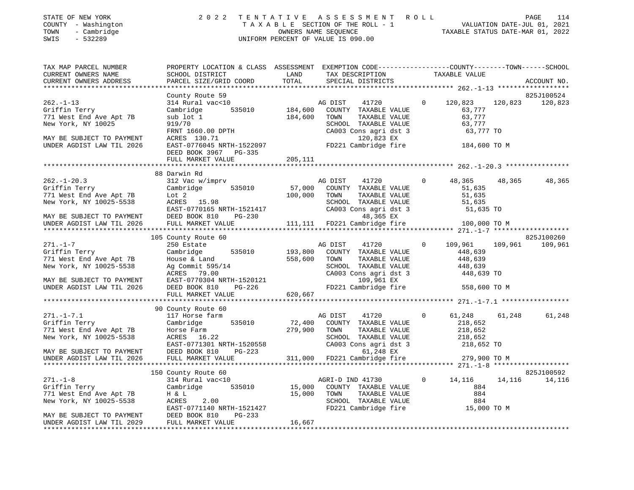| COUNTY - Washington<br>TOWN<br>- Cambridge<br>SWIS<br>$-532289$                                                                                                               |                                                                                                                                                                                                           |                               | TAXABLE SECTION OF THE ROLL - 1<br>OWNERS NAME SEQUENCE<br>UNIFORM PERCENT OF VALUE IS 090.00                                                                   |                                                                                   | VALUATION DATE-JUL 01, 2021<br>TAXABLE STATUS DATE-MAR 01, 2022 |
|-------------------------------------------------------------------------------------------------------------------------------------------------------------------------------|-----------------------------------------------------------------------------------------------------------------------------------------------------------------------------------------------------------|-------------------------------|-----------------------------------------------------------------------------------------------------------------------------------------------------------------|-----------------------------------------------------------------------------------|-----------------------------------------------------------------|
| TAX MAP PARCEL NUMBER<br>CURRENT OWNERS NAME<br>CURRENT OWNERS ADDRESS                                                                                                        | PROPERTY LOCATION & CLASS ASSESSMENT EXEMPTION CODE---------------COUNTY-------TOWN-----SCHOOL<br>SCHOOL DISTRICT<br>PARCEL SIZE/GRID COORD                                                               | LAND<br>TOTAL                 | TAX DESCRIPTION<br>SPECIAL DISTRICTS                                                                                                                            | TAXABLE VALUE                                                                     | ACCOUNT NO.                                                     |
| $262. -1 - 13$<br>Griffin Terry<br>771 West End Ave Apt 7B<br>New York, NY 10025<br>MAY BE SUBJECT TO PAYMENT<br>UNDER AGDIST LAW TIL 2026                                    | County Route 59<br>314 Rural vac<10<br>535010 184,600<br>Cambridge<br>sub lot 1<br>919/70<br>FRNT 1660.00 DPTH<br>ACRES 120 71<br>ACRES 130.71<br>EAST-0776045 NRTH-1522097                               | 184,600                       | AG DIST<br>41720<br>COUNTY TAXABLE VALUE<br>TOWN<br>TAXABLE VALUE<br>SCHOOL TAXABLE VALUE<br>CA003 Cons agri dst 3<br>120,823 EX<br>FD221 Cambridge fire        | 120,823<br>$\circ$<br>63,777<br>63,777<br>63,777<br>63,777 TO<br>184,600 TO M     | 825J100524<br>120,823 120,823                                   |
|                                                                                                                                                                               | DEED BOOK 3967 PG-335<br>FULL MARKET VALUE                                                                                                                                                                | 205,111                       |                                                                                                                                                                 |                                                                                   |                                                                 |
| $262. - 1 - 20.3$<br>---: - --:-<br>Griffin Terry<br>771 West End Ave Apt 7B<br>New York, NY 10025-5538<br>MAY BE SUBJECT TO PAYMENT<br>UNDER AGDIST LAW TIL 2026             | 88 Darwin Rd<br>312 Vac w/imprv<br>Cambridge 535010<br>Lot 2<br>ACRES 15.98<br>EAST-0770165 NRTH-1521417<br>DEED BOOK 810 PG-230<br>DEED BOOK 810 PG-230<br>FULL MARKET VALUE                             | 57,000<br>100,000             | AG DIST<br>41720<br>COUNTY TAXABLE VALUE<br>TOWN<br>TAXABLE VALUE<br>SCHOOL TAXABLE VALUE<br>CA003 Cons agri dst 3<br>48,365 EX<br>111,111 FD221 Cambridge fire | $\Omega$<br>48,365<br>51,635<br>51,635<br>51,635<br>51,635 TO<br>100,000 TO M     | 48,365<br>48,365                                                |
| $271. - 1 - 7$<br>Griffin Terry<br>771 West End Ave Apt 7B<br>New York, NY 10025-5538<br>MAY BE SUBJECT TO PAYMENT<br>UNDER AGDIST LAW TIL 2026                               | 105 County Route 60<br>250 Estate<br>Cambridge<br>535010<br>House & Land<br>Ag Commit 595/14<br>Ag Commit 595/14<br>ACRES 79.00<br>EAST-0770304 NRTH-1520121<br>DEED ROOK 810 PG-226<br>FULL MARKET VALUE | 193,800<br>558,600<br>620,667 | AG DIST<br>41720<br>COUNTY TAXABLE VALUE<br>TOWN<br>TAXABLE VALUE<br>SCHOOL TAXABLE VALUE<br>CA003 Cons agri dst 3<br>109,961 EX<br>FD221 Cambridge fire        | 109,961<br>$\circ$<br>448,639<br>448,639<br>448,639<br>448,639 TO<br>558,600 TO M | 825J100260<br>109,961 109,961                                   |
|                                                                                                                                                                               |                                                                                                                                                                                                           |                               |                                                                                                                                                                 |                                                                                   |                                                                 |
| $271. - 1 - 7.1$<br>Griffin Terry<br>771 West End Ave Apt 7B<br>New York, NY 10025-5538                                                                                       | 90 County Route 60<br>117 Horse farm<br>535010<br>Cambridge<br>Horse Farm<br>ACRES 16.22<br>EAST-0771301 NRTH-1520558                                                                                     | 72,400<br>279,900             | AG DIST<br>41720<br>COUNTY TAXABLE VALUE<br>TOWN<br>TAXABLE VALUE<br>SCHOOL TAXABLE VALUE<br>CA003 Cons agri dst 3                                              | $\circ$<br>61,248<br>218,652<br>218,652<br>218,652<br>218,652 TO                  | 61,248<br>61,248                                                |
| MAY BE SUBJECT TO PAYMENT<br>UNDER AGDIST LAW TIL 2026                                                                                                                        | DEED BOOK 810<br>PG-223<br>FULL MARKET VALUE                                                                                                                                                              |                               | 61,248 EX<br>311,000 FD221 Cambridge fire                                                                                                                       | 279,900 TO M                                                                      |                                                                 |
| $271. - 1 - 8$<br>Griffin Terry<br>771 West End Ave Apt 7B<br>New York, NY 10025-5538<br>MAY BE SUBJECT TO PAYMENT<br>UNDER AGDIST LAW TIL 2029<br>************************** | 150 County Route 60<br>314 Rural vac<10<br>Cambridge 535010<br>H & L<br>2.00<br>ACRES<br>EAST-0771140 NRTH-1521427<br>DEED BOOK 810<br>$PG-233$<br>FULL MARKET VALUE                                      | 15,000<br>15,000<br>16,667    | AGRI-D IND 41730<br>COUNTY TAXABLE VALUE<br>TOWN<br>TAXABLE VALUE<br>SCHOOL TAXABLE VALUE<br>FD221 Cambridge fire 15,000 TO M                                   | $\overline{0}$<br>14,116<br>884<br>884<br>884                                     | 825J100592<br>14, 116 14, 116                                   |

STATE OF NEW YORK 2022 TENTATIVE ASSESSMENT ROLL PAGE 114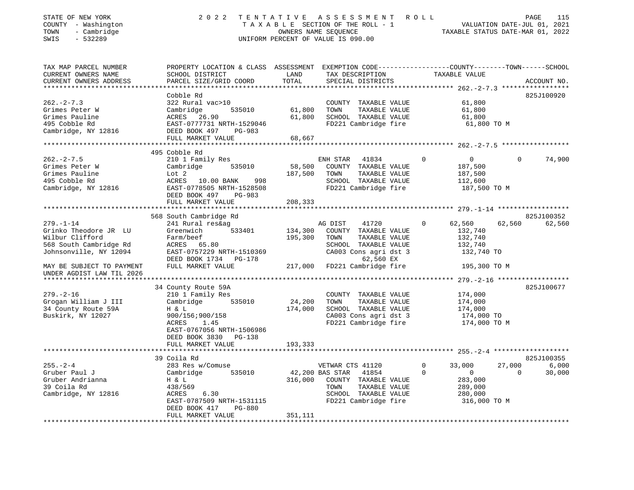| STATE OF NEW YORK<br>COUNTY - Washington<br>TOWN<br>- Cambridge<br>SWIS<br>$-532289$                                                                                      | 2 0 2 2                                                                                                                                                                   | TENTATIVE                    | ASSESSMENT ROLL<br>TAXABLE SECTION OF THE ROLL - 1<br>OWNERS NAME SEQUENCE<br>UNIFORM PERCENT OF VALUE IS 090.00                                                |                                                                                            | PAGE<br>115<br>VALUATION DATE-JUL 01, 2021<br>TAXABLE STATUS DATE-MAR 01, 2022 |
|---------------------------------------------------------------------------------------------------------------------------------------------------------------------------|---------------------------------------------------------------------------------------------------------------------------------------------------------------------------|------------------------------|-----------------------------------------------------------------------------------------------------------------------------------------------------------------|--------------------------------------------------------------------------------------------|--------------------------------------------------------------------------------|
| TAX MAP PARCEL NUMBER<br>CURRENT OWNERS NAME<br>CURRENT OWNERS ADDRESS                                                                                                    | PROPERTY LOCATION & CLASS ASSESSMENT EXEMPTION CODE---------------COUNTY-------TOWN------SCHOOL<br>SCHOOL DISTRICT<br>PARCEL SIZE/GRID COORD                              | LAND<br>TOTAL                | TAX DESCRIPTION<br>SPECIAL DISTRICTS                                                                                                                            | TAXABLE VALUE                                                                              | ACCOUNT NO.                                                                    |
| $262 - 2 - 7.3$<br>Grimes Peter W<br>Grimes Pauline<br>495 Cobble Rd<br>Cambridge, NY 12816                                                                               | Cobble Rd<br>322 Rural vac>10<br>535010<br>Cambridge<br>ACRES 26.90<br>EAST-0777731 NRTH-1529046<br>DEED BOOK 497<br>PG-983<br>FULL MARKET VALUE                          | 61,800<br>61,800<br>68,667   | COUNTY TAXABLE VALUE<br>TOWN<br>TAXABLE VALUE<br>SCHOOL TAXABLE VALUE<br>FD221 Cambridge fire                                                                   | 61,800<br>61,800<br>61,800<br>61,800 TO M                                                  | 825J100920                                                                     |
|                                                                                                                                                                           |                                                                                                                                                                           |                              |                                                                                                                                                                 |                                                                                            |                                                                                |
| $262 - 2 - 7.5$<br>Grimes Peter W<br>Grimes Pauline<br>495 Cobble Rd<br>Cambridge, NY 12816                                                                               | 495 Cobble Rd<br>210 1 Family Res<br>535010<br>Cambridge<br>Lot 2<br>ACRES 10.00 BANK<br>998<br>EAST-0778505 NRTH-1528508<br>DEED BOOK 497<br>PG-983<br>FULL MARKET VALUE | 58,500<br>187,500<br>208,333 | ENH STAR 41834<br>COUNTY TAXABLE VALUE<br>TOWN<br>TAXABLE VALUE<br>SCHOOL TAXABLE VALUE<br>FD221 Cambridge fire                                                 | $\overline{0}$<br>$\mathbf 0$<br>187,500<br>187,500<br>112,600<br>187,500 TO M             | $\Omega$<br>74,900                                                             |
|                                                                                                                                                                           |                                                                                                                                                                           |                              |                                                                                                                                                                 |                                                                                            |                                                                                |
|                                                                                                                                                                           | 568 South Cambridge Rd                                                                                                                                                    |                              |                                                                                                                                                                 |                                                                                            | 825J100352                                                                     |
| $279. - 1 - 14$<br>Grinko Theodore JR LU<br>Wilbur Clifford<br>568 South Cambridge Rd<br>Johnsonville, NY 12094<br>MAY BE SUBJECT TO PAYMENT<br>UNDER AGDIST LAW TIL 2026 | 241 Rural res&ag<br>Greenwich<br>533401<br>Farm/beef<br>ACRES 65.80<br>EAST-0757229 NRTH-1510369<br>DEED BOOK 1734 PG-178<br>FULL MARKET VALUE                            | 134,300<br>195,300           | AG DIST<br>41720<br>COUNTY TAXABLE VALUE<br>TAXABLE VALUE<br>TOWN<br>SCHOOL TAXABLE VALUE<br>CA003 Cons agri dst 3<br>62,560 EX<br>217,000 FD221 Cambridge fire | $\mathbf{0}$<br>62,560<br>132,740<br>132,740<br>132,740<br>132,740 TO<br>195,300 TO M      | 62,560<br>62,560                                                               |
| *********************                                                                                                                                                     |                                                                                                                                                                           |                              |                                                                                                                                                                 |                                                                                            |                                                                                |
| $279. - 2 - 16$<br>Grogan William J III<br>34 County Route 59A<br>Buskirk, NY 12027                                                                                       | 34 County Route 59A<br>210 1 Family Res<br>Cambridge<br>535010<br>H & L<br>900/156;900/158<br>ACRES<br>1.45<br>EAST-0767056 NRTH-1506986<br>DEED BOOK 3830 PG-138         | 24,200<br>174,000            | COUNTY TAXABLE VALUE<br>TOWN<br>TAXABLE VALUE<br>SCHOOL TAXABLE VALUE<br>CA003 Cons agri dst 3<br>FD221 Cambridge fire                                          | 174,000<br>174,000<br>174,000<br>174,000 TO<br>174,000 TO M                                | 825J100677                                                                     |
|                                                                                                                                                                           | FULL MARKET VALUE                                                                                                                                                         | 193,333                      |                                                                                                                                                                 |                                                                                            |                                                                                |
|                                                                                                                                                                           |                                                                                                                                                                           |                              |                                                                                                                                                                 |                                                                                            |                                                                                |
| $255. - 2 - 4$<br>Gruber Paul J<br>Gruber Andrianna<br>39 Coila Rd<br>Cambridge, NY 12816                                                                                 | 39 Coila Rd<br>283 Res w/Comuse<br>Cambridge<br>535010<br>H & L<br>438/569<br>ACRES<br>6.30<br>EAST-0787509 NRTH-1531115<br>DEED BOOK 417<br>PG-880<br>FULL MARKET VALUE  | 316,000<br>351,111           | VETWAR CTS 41120<br>42,200 BAS STAR<br>41854<br>COUNTY TAXABLE VALUE<br>TAXABLE VALUE<br>TOWN<br>SCHOOL TAXABLE VALUE<br>FD221 Cambridge fire                   | $\Omega$<br>33,000<br>$\Omega$<br>$\circ$<br>283,000<br>289,000<br>280,000<br>316,000 TO M | 825J100355<br>27,000<br>6,000<br>30,000<br>$\Omega$                            |
|                                                                                                                                                                           |                                                                                                                                                                           |                              |                                                                                                                                                                 |                                                                                            |                                                                                |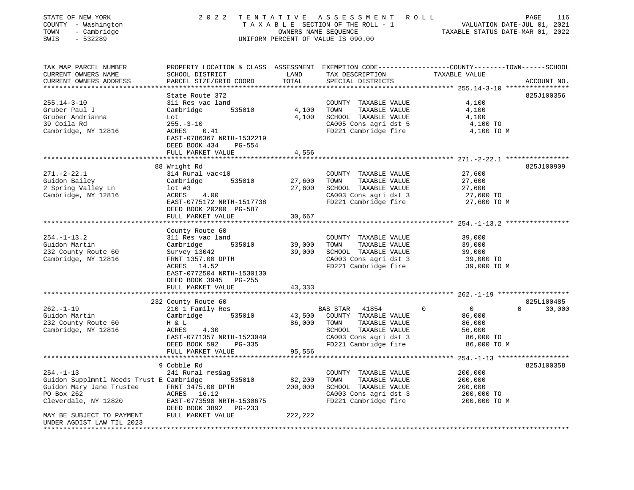| STATE OF NEW YORK<br>COUNTY - Washington<br>- Cambridge<br>TOWN<br>SWIS<br>$-532289$                                         | 2 0 2 2                                                                                                                                                                                      | OWNERS NAME SEQUENCE       | TENTATIVE ASSESSMENT<br>TAXABLE SECTION OF THE ROLL - 1<br>UNIFORM PERCENT OF VALUE IS 090.00                                               | R O L L<br>PAGE<br>VALUATION DATE-JUL 01, 2021<br>TAXABLE STATUS DATE-MAR 01, 2022                                | 116                  |
|------------------------------------------------------------------------------------------------------------------------------|----------------------------------------------------------------------------------------------------------------------------------------------------------------------------------------------|----------------------------|---------------------------------------------------------------------------------------------------------------------------------------------|-------------------------------------------------------------------------------------------------------------------|----------------------|
| TAX MAP PARCEL NUMBER<br>CURRENT OWNERS NAME<br>CURRENT OWNERS ADDRESS                                                       | SCHOOL DISTRICT<br>PARCEL SIZE/GRID COORD                                                                                                                                                    | LAND<br>TOTAL              | TAX DESCRIPTION<br>SPECIAL DISTRICTS                                                                                                        | PROPERTY LOCATION & CLASS ASSESSMENT EXEMPTION CODE----------------COUNTY-------TOWN------SCHOOL<br>TAXABLE VALUE | ACCOUNT NO.          |
| $255.14 - 3 - 10$<br>Gruber Paul J<br>Gruber Andrianna<br>39 Coila Rd<br>Cambridge, NY 12816                                 | State Route 372<br>311 Res vac land<br>535010<br>Cambridge<br>Lot<br>$255. - 3 - 10$<br>0.41<br>ACRES<br>EAST-0786367 NRTH-1532219<br>DEED BOOK 434<br>PG-554<br>FULL MARKET VALUE           | 4,100<br>4,100<br>4,556    | COUNTY TAXABLE VALUE<br>TOWN<br>TAXABLE VALUE<br>SCHOOL TAXABLE VALUE<br>CA005 Cons agri dst 5<br>FD221 Cambridge fire                      | 4,100<br>4,100<br>4,100<br>4,100 TO<br>4,100 TO M                                                                 | 825J100356           |
|                                                                                                                              |                                                                                                                                                                                              |                            |                                                                                                                                             | ******************************* 271.-2-22.1 ****************                                                      |                      |
| $271. - 2 - 22.1$<br>Guidon Bailey<br>2 Spring Valley Ln<br>Cambridge, NY 12816                                              | 88 Wright Rd<br>314 Rural vac<10<br>Cambridge<br>535010<br>$1$ ot #3<br>ACRES<br>4.00<br>EAST-0775172 NRTH-1517738<br>DEED BOOK 20200 PG-587                                                 | 27,600<br>27,600           | COUNTY TAXABLE VALUE<br>TOWN<br>TAXABLE VALUE<br>SCHOOL TAXABLE VALUE<br>CA003 Cons agri dst 3<br>FD221 Cambridge fire                      | 27,600<br>27,600<br>27,600<br>27,600 TO<br>27,600 TO M                                                            | 825J100909           |
|                                                                                                                              | FULL MARKET VALUE                                                                                                                                                                            | 30,667                     |                                                                                                                                             |                                                                                                                   |                      |
| $254. - 1 - 13.2$<br>Guidon Martin<br>232 County Route 60<br>Cambridge, NY 12816                                             | County Route 60<br>311 Res vac land<br>Cambridge<br>535010<br>Survey 13042<br>FRNT 1357.00 DPTH<br>ACRES 14.52<br>EAST-0772504 NRTH-1530130<br>DEED BOOK 3945<br>PG-255<br>FULL MARKET VALUE | 39,000<br>39,000<br>43,333 | COUNTY TAXABLE VALUE<br>TOWN<br>TAXABLE VALUE<br>SCHOOL TAXABLE VALUE<br>CA003 Cons agri dst 3<br>FD221 Cambridge fire                      | 39,000<br>39,000<br>39,000<br>39,000 TO<br>39,000 TO M                                                            |                      |
|                                                                                                                              |                                                                                                                                                                                              |                            |                                                                                                                                             |                                                                                                                   |                      |
| $262. -1 - 19$<br>Guidon Martin<br>232 County Route 60<br>Cambridge, NY 12816                                                | 232 County Route 60<br>210 1 Family Res<br>535010<br>Cambridge<br>H & L<br>ACRES<br>4.30<br>EAST-0771357 NRTH-1523049<br>DEED BOOK 592<br>PG-335<br>FULL MARKET VALUE                        | 43,500<br>86,000<br>95,556 | 41854<br>BAS STAR<br>COUNTY TAXABLE VALUE<br>TOWN<br>TAXABLE VALUE<br>SCHOOL TAXABLE VALUE<br>CA003 Cons agri dst 3<br>FD221 Cambridge fire | $\Omega$<br>$\overline{0}$<br>$\Omega$<br>86,000<br>86,000<br>56,000<br>86,000 TO<br>86,000 TO M                  | 825L100485<br>30,000 |
|                                                                                                                              |                                                                                                                                                                                              |                            |                                                                                                                                             |                                                                                                                   |                      |
| $254. -1 - 13$<br>Guidon Supplmntl Needs Trust E Cambridge<br>Guidon Mary Jane Trustee<br>PO Box 262<br>Cleverdale, NY 12820 | 9 Cobble Rd<br>241 Rural res&ag<br>535010<br>FRNT 3475.00 DPTH<br>ACRES 16.12<br>EAST-0773598 NRTH-1530675<br>DEED BOOK 3892<br>PG-233                                                       | 82,200<br>200,000          | COUNTY TAXABLE VALUE<br>TAXABLE VALUE<br>TOWN<br>SCHOOL TAXABLE VALUE<br>CA003 Cons agri dst 3<br>FD221 Cambridge fire                      | 200,000<br>200,000<br>200,000<br>200,000 TO<br>200,000 TO M                                                       | 825J100358           |
| MAY BE SUBJECT TO PAYMENT<br>UNDER AGDIST LAW TIL 2023                                                                       | FULL MARKET VALUE                                                                                                                                                                            | 222,222                    |                                                                                                                                             |                                                                                                                   |                      |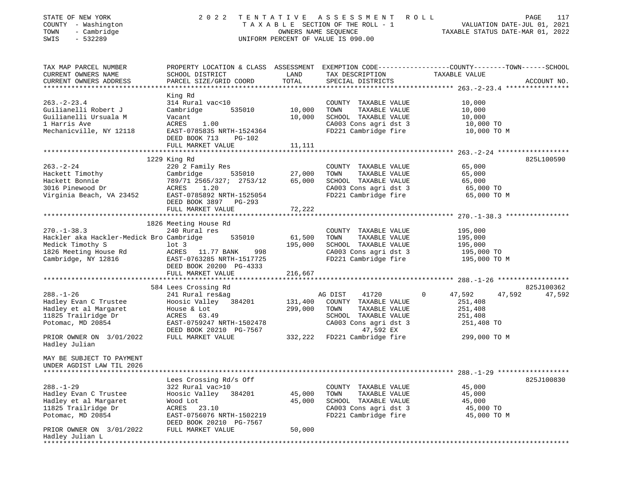| STATE OF NEW YORK<br>COUNTY - Washington<br>TOWN<br>- Cambridge<br>$-532289$<br>SWIS                                                                       | 2 0 2 2                                                                                                                                                                          | TENTATIVE                    | A S S E S S M E N T<br>TAXABLE SECTION OF THE ROLL - 1<br>OWNERS NAME SEOUENCE<br>UNIFORM PERCENT OF VALUE IS 090.00                                            | R O L L<br>VALUATION DATE-JUL 01, 2021<br>TAXABLE STATUS DATE-MAR 01, 2022                                      | 117<br>PAGE |
|------------------------------------------------------------------------------------------------------------------------------------------------------------|----------------------------------------------------------------------------------------------------------------------------------------------------------------------------------|------------------------------|-----------------------------------------------------------------------------------------------------------------------------------------------------------------|-----------------------------------------------------------------------------------------------------------------|-------------|
| TAX MAP PARCEL NUMBER<br>CURRENT OWNERS NAME<br>CURRENT OWNERS ADDRESS                                                                                     | SCHOOL DISTRICT<br>PARCEL SIZE/GRID COORD                                                                                                                                        | LAND<br>TOTAL                | TAX DESCRIPTION<br>SPECIAL DISTRICTS                                                                                                                            | PROPERTY LOCATION & CLASS ASSESSMENT EXEMPTION CODE---------------COUNTY-------TOWN-----SCHOOL<br>TAXABLE VALUE | ACCOUNT NO. |
| $263. - 2 - 23.4$<br>Guilianelli Robert J<br>Guilianelli Ursuala M<br>1 Harris Ave<br>Mechanicville, NY 12118                                              | King Rd<br>314 Rural vac<10<br>Cambridge<br>535010<br>Vacant<br>ACRES<br>1.00<br>EAST-0785835 NRTH-1524364<br>DEED BOOK 713 PG-102<br>FULL MARKET VALUE                          | 10,000<br>10,000<br>11,111   | COUNTY TAXABLE VALUE<br>TOWN<br>TAXABLE VALUE<br>SCHOOL TAXABLE VALUE<br>CA003 Cons agri dst 3<br>FD221 Cambridge fire                                          | 10,000<br>10,000<br>10,000<br>10,000 TO<br>10,000 TO M                                                          |             |
|                                                                                                                                                            | 1229 King Rd                                                                                                                                                                     |                              |                                                                                                                                                                 |                                                                                                                 | 825L100590  |
| $263. - 2 - 24$<br>Hackett Timothy<br>Hackett Bonnie<br>3016 Pinewood Dr<br>Virginia Beach, VA 23452                                                       | 220 2 Family Res<br>Cambridge<br>535010<br>789/71 2565/327; 2753/12<br>ACRES<br>1.20<br>EAST-0785892 NRTH-1525054<br>DEED BOOK 3897 PG-293                                       | 27,000<br>65,000             | COUNTY TAXABLE VALUE<br>TAXABLE VALUE<br>TOWN<br>SCHOOL TAXABLE VALUE<br>CA003 Cons agri dst 3<br>FD221 Cambridge fire                                          | 65,000<br>65,000<br>65,000<br>65,000 TO<br>65,000 TO M                                                          |             |
|                                                                                                                                                            | FULL MARKET VALUE                                                                                                                                                                | 72,222                       |                                                                                                                                                                 |                                                                                                                 |             |
| $270. - 1 - 38.3$<br>Hackler aka Hackler-Medick Bro Cambridge<br>Medick Timothy S<br>1826 Meeting House Rd<br>Cambridge, NY 12816                          | 1826 Meeting House Rd<br>240 Rural res<br>535010<br>$1$ ot 3<br>ACRES 11.77 BANK<br>998<br>EAST-0763285 NRTH-1517725<br>DEED BOOK 20200 PG-4333<br>FULL MARKET VALUE             | 61,500<br>195,000<br>216,667 | COUNTY TAXABLE VALUE<br>TOWN<br>TAXABLE VALUE<br>SCHOOL TAXABLE VALUE<br>CA003 Cons agri dst 3<br>FD221 Cambridge fire                                          | 195,000<br>195,000<br>195,000<br>195,000 TO<br>195,000 TO M                                                     |             |
|                                                                                                                                                            | 584 Lees Crossing Rd                                                                                                                                                             |                              |                                                                                                                                                                 |                                                                                                                 | 825J100362  |
| $288. - 1 - 26$<br>Hadley Evan C Trustee<br>Hadley et al Margaret<br>11825 Trailridge Dr<br>Potomac, MD 20854<br>PRIOR OWNER ON 3/01/2022<br>Hadley Julian | 241 Rural res&ag<br>Hoosic Valley 384201<br>House & Lot<br>ACRES 63.49<br>EAST-0759247 NRTH-1502478<br>DEED BOOK 20210 PG-7567<br>FULL MARKET VALUE                              | 131,400<br>299,000           | AG DIST<br>41720<br>COUNTY TAXABLE VALUE<br>TOWN<br>TAXABLE VALUE<br>SCHOOL TAXABLE VALUE<br>CA003 Cons agri dst 3<br>47,592 EX<br>332,222 FD221 Cambridge fire | 47,592<br>47,592<br>$\mathbf{0}$<br>251,408<br>251,408<br>251,408<br>251,408 TO<br>299,000 TO M                 | 47,592      |
| MAY BE SUBJECT TO PAYMENT<br>UNDER AGDIST LAW TIL 2026<br>**************************                                                                       |                                                                                                                                                                                  |                              |                                                                                                                                                                 |                                                                                                                 |             |
| $288. - 1 - 29$<br>Hadley Evan C Trustee<br>Hadley et al Margaret<br>11825 Trailridge Dr<br>Potomac, MD 20854<br>PRIOR OWNER ON 3/01/2022                  | Lees Crossing Rd/s Off<br>322 Rural vac>10<br>Hoosic Valley<br>384201<br>Wood Lot<br>ACRES<br>23.10<br>EAST-0756076 NRTH-1502219<br>DEED BOOK 20210 PG-7567<br>FULL MARKET VALUE | 45,000<br>45,000<br>50,000   | TAXABLE VALUE<br>COUNTY<br>TOWN<br>TAXABLE VALUE<br>SCHOOL TAXABLE VALUE<br>CA003 Cons agri dst 3<br>FD221 Cambridge fire                                       | 45,000<br>45,000<br>45,000<br>45,000 TO<br>45,000 TO M                                                          | 825J100830  |
| Hadley Julian L                                                                                                                                            |                                                                                                                                                                                  |                              |                                                                                                                                                                 |                                                                                                                 |             |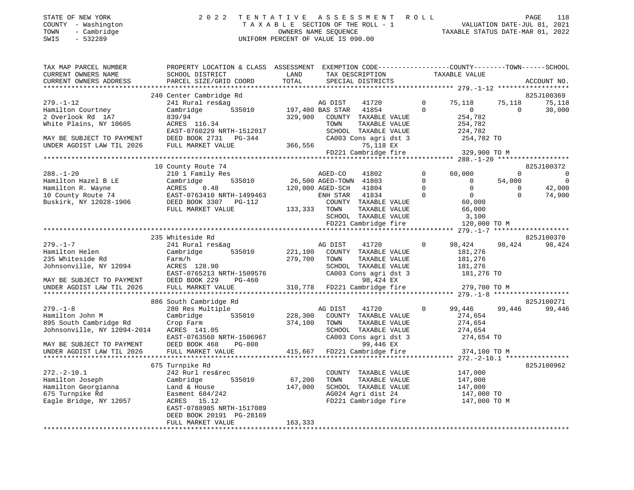| STATE OF NEW YORK   | 2022 TENTATIVE ASSESSMENT ROLL     | PAGE                             | 118 |
|---------------------|------------------------------------|----------------------------------|-----|
| COUNTY - Washington | TAXABLE SECTION OF THE ROLL - 1    | VALUATION DATE-JUL 01, 2021      |     |
| - Cambridge<br>TOWN | OWNERS NAME SEOUENCE               | TAXABLE STATUS DATE-MAR 01, 2022 |     |
| - 532289<br>SWIS    | UNIFORM PERCENT OF VALUE IS 090.00 |                                  |     |

| TAX MAP PARCEL NUMBER<br>CURRENT OWNERS NAME<br>CURRENT OWNERS ADDRESS                                                                        | PROPERTY LOCATION & CLASS ASSESSMENT EXEMPTION CODE----------------COUNTY-------TOWN------SCHOOL<br>SCHOOL DISTRICT<br>PARCEL SIZE/GRID COORD                           | LAND<br>TOTAL                          | TAX DESCRIPTION<br>SPECIAL DISTRICTS                                                                                                                                                  |                                                     | TAXABLE VALUE                                                                                       |                                               | ACCOUNT NO.                                           |
|-----------------------------------------------------------------------------------------------------------------------------------------------|-------------------------------------------------------------------------------------------------------------------------------------------------------------------------|----------------------------------------|---------------------------------------------------------------------------------------------------------------------------------------------------------------------------------------|-----------------------------------------------------|-----------------------------------------------------------------------------------------------------|-----------------------------------------------|-------------------------------------------------------|
| ************************                                                                                                                      |                                                                                                                                                                         |                                        |                                                                                                                                                                                       |                                                     |                                                                                                     |                                               |                                                       |
| $279. - 1 - 12$<br>Hamilton Courtney<br>2 Overlook Rd 1A7<br>White Plains, NY 10605<br>MAY BE SUBJECT TO PAYMENT<br>UNDER AGDIST LAW TIL 2026 | 240 Center Cambridge Rd<br>241 Rural res&ag<br>Cambridge<br>535010<br>839/94<br>ACRES 116.34<br>EAST-0760229 NRTH-1512017<br>DEED BOOK 2731 PG-344<br>FULL MARKET VALUE | 197,400 BAS STAR<br>329,900<br>366,556 | 41720<br>AG DIST<br>41854<br>COUNTY TAXABLE VALUE<br>TOWN<br>TAXABLE VALUE<br>SCHOOL TAXABLE VALUE<br>CA003 Cons agri dst 3<br>75,118 EX<br>FD221 Cambridge fire                      | $\Omega$<br>$\Omega$                                | 75,118<br>$\mathbf{0}$<br>254,782<br>254,782<br>224,782<br>254,782 TO<br>329,900 TO M               | 75,118<br>$\Omega$                            | 825J100369<br>75,118<br>30,000                        |
|                                                                                                                                               |                                                                                                                                                                         |                                        |                                                                                                                                                                                       |                                                     |                                                                                                     |                                               |                                                       |
| $288. - 1 - 20$<br>Hamilton Hazel B LE<br>Hamilton R. Wayne<br>10 County Route 74<br>Buskirk, NY 12028-1906                                   | 10 County Route 74<br>210 1 Family Res<br>535010<br>Cambridge<br>ACRES<br>0.48<br>EAST-0763410 NRTH-1499463<br>DEED BOOK 3307 PG-112<br>FULL MARKET VALUE               | 133,333 TOWN                           | AGED-CO<br>41802<br>26,500 AGED-TOWN 41803<br>120,000 AGED-SCH<br>41804<br>ENH STAR<br>41834<br>COUNTY TAXABLE VALUE<br>TAXABLE VALUE<br>SCHOOL TAXABLE VALUE<br>FD221 Cambridge fire | $\mathbf{0}$<br>$\mathbf 0$<br>$\Omega$<br>$\Omega$ | 60,000<br>$\overline{0}$<br>$\Omega$<br>$\overline{0}$<br>60,000<br>66,000<br>3,100<br>120,000 TO M | $\mathbf 0$<br>54,000<br>$\Omega$<br>$\Omega$ | 825J100372<br>0<br>$\overline{0}$<br>42,000<br>74,900 |
|                                                                                                                                               |                                                                                                                                                                         |                                        |                                                                                                                                                                                       |                                                     |                                                                                                     |                                               |                                                       |
| $279. - 1 - 7$<br>Hamilton Helen<br>235 Whiteside Rd<br>Johnsonville, NY 12094<br>MAY BE SUBJECT TO PAYMENT                                   | 235 Whiteside Rd<br>241 Rural res&ag<br>Cambridge<br>535010<br>Farm/h<br>ACRES 128.90<br>EAST-0765213 NRTH-1509576<br>DEED BOOK 229<br>PG-460                           | 221,100<br>279,700                     | AG DIST<br>41720<br>COUNTY TAXABLE VALUE<br>TOWN<br>TAXABLE VALUE<br>SCHOOL TAXABLE VALUE<br>CA003 Cons agri dst 3<br>98,424 EX                                                       | $\Omega$                                            | 98,424<br>181,276<br>181,276<br>181,276<br>181,276 TO                                               | 98,424                                        | 825J100370<br>98,424                                  |
| UNDER AGDIST LAW TIL 2026                                                                                                                     | FULL MARKET VALUE                                                                                                                                                       | 310,778                                | FD221 Cambridge fire                                                                                                                                                                  |                                                     | 279,700 TO M                                                                                        |                                               |                                                       |
| $279. - 1 - 8$<br>Hamilton John M<br>895 South Cambridge Rd<br>Johnsonville, NY 12094-2014<br>MAY BE SUBJECT TO PAYMENT                       | 886 South Cambridge Rd<br>280 Res Multiple<br>Cambridge<br>535010<br>Crop Farm<br>ACRES 141.05<br>EAST-0763560 NRTH-1506967<br>DEED BOOK 468<br>PG-808                  | 228,300<br>374,100                     | AG DIST<br>41720<br>COUNTY TAXABLE VALUE<br>TOWN<br>TAXABLE VALUE<br>SCHOOL TAXABLE VALUE<br>CA003 Cons agri dst 3<br>99,446 EX                                                       | $\Omega$                                            | 99,446<br>274,654<br>274,654<br>274,654<br>274,654 TO                                               | 99,446                                        | 825J100271<br>99,446                                  |
| UNDER AGDIST LAW TIL 2026                                                                                                                     | FULL MARKET VALUE                                                                                                                                                       | 415,667                                | FD221 Cambridge fire                                                                                                                                                                  |                                                     | 374,100 TO M                                                                                        |                                               |                                                       |
|                                                                                                                                               | 675 Turnpike Rd                                                                                                                                                         |                                        |                                                                                                                                                                                       |                                                     |                                                                                                     |                                               | 825J100962                                            |
| $272. - 2 - 10.1$<br>Hamilton Joseph<br>Hamilton Georgianna<br>675 Turnpike Rd<br>Eagle Bridge, NY 12057                                      | 242 Rurl res&rec<br>Cambridge<br>535010<br>Land & House<br>Easment 684/242<br>ACRES 15.12<br>EAST-0788985 NRTH-1517089<br>DEED BOOK 20191 PG-28169<br>FULL MARKET VALUE | 67,200<br>147,000<br>163,333           | COUNTY TAXABLE VALUE<br>TOWN<br>TAXABLE VALUE<br>SCHOOL TAXABLE VALUE<br>AG024 Agri dist 24<br>FD221 Cambridge fire                                                                   |                                                     | 147,000<br>147,000<br>147,000<br>147,000 TO<br>147,000 TO M                                         |                                               |                                                       |
|                                                                                                                                               |                                                                                                                                                                         |                                        |                                                                                                                                                                                       |                                                     |                                                                                                     |                                               |                                                       |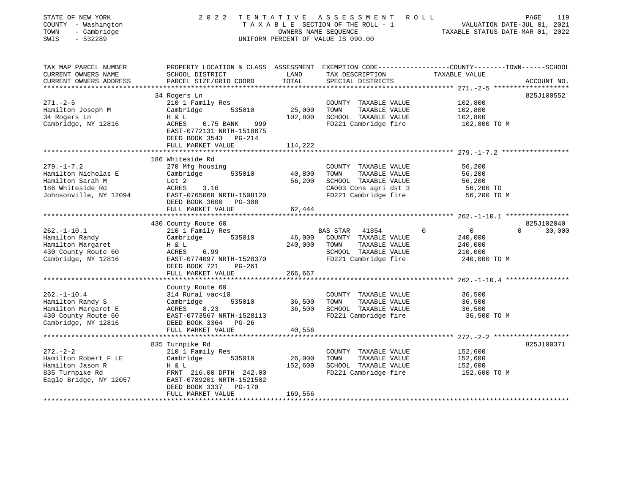| STATE OF NEW YORK<br>COUNTY - Washington<br>TOWN<br>- Cambridge<br>SWIS<br>$-532289$                       | 2 0 2 2                                                                                                                          | OWNERS NAME SEOUENCE          | TENTATIVE ASSESSMENT<br>TAXABLE SECTION OF THE ROLL - 1<br>UNIFORM PERCENT OF VALUE IS 090.00                             | PAGE<br>119<br>R O L L<br>VALUATION DATE-JUL 01, 2021<br>TAXABLE STATUS DATE-MAR 01, 2022                       |
|------------------------------------------------------------------------------------------------------------|----------------------------------------------------------------------------------------------------------------------------------|-------------------------------|---------------------------------------------------------------------------------------------------------------------------|-----------------------------------------------------------------------------------------------------------------|
| TAX MAP PARCEL NUMBER<br>CURRENT OWNERS NAME                                                               | SCHOOL DISTRICT                                                                                                                  | LAND                          | TAX DESCRIPTION                                                                                                           | PROPERTY LOCATION & CLASS ASSESSMENT EXEMPTION CODE---------------COUNTY-------TOWN-----SCHOOL<br>TAXABLE VALUE |
| CURRENT OWNERS ADDRESS                                                                                     | PARCEL SIZE/GRID COORD                                                                                                           | TOTAL                         | SPECIAL DISTRICTS                                                                                                         | ACCOUNT NO.                                                                                                     |
|                                                                                                            | 34 Rogers Ln                                                                                                                     |                               |                                                                                                                           | 825J100552                                                                                                      |
| $271. - 2 - 5$<br>Hamilton Joseph M<br>34 Rogers Ln                                                        | 210 1 Family Res<br>Cambridge<br>535010<br>H & L                                                                                 | 25,000<br>102,800             | COUNTY TAXABLE VALUE<br>TOWN<br>TAXABLE VALUE<br>SCHOOL TAXABLE VALUE                                                     | 102,800<br>102,800<br>102,800                                                                                   |
| Cambridge, NY 12816                                                                                        | 0.75 BANK<br>999<br>ACRES<br>EAST-0772131 NRTH-1518875<br>DEED BOOK 3543 PG-214                                                  |                               | FD221 Cambridge fire                                                                                                      | 102,800 TO M                                                                                                    |
|                                                                                                            | FULL MARKET VALUE                                                                                                                | 114,222                       |                                                                                                                           |                                                                                                                 |
|                                                                                                            | 186 Whiteside Rd                                                                                                                 |                               |                                                                                                                           |                                                                                                                 |
| $279. - 1 - 7.2$<br>Hamilton Nicholas E<br>Hamilton Sarah M<br>186 Whiteside Rd<br>Johnsonville, NY 12094  | 270 Mfg housing<br>535010<br>Cambridge<br>Lot 2<br>ACRES<br>3.16<br>EAST-0765068 NRTH-1508120                                    | 40,800<br>56,200              | COUNTY TAXABLE VALUE<br>TAXABLE VALUE<br>TOWN<br>SCHOOL TAXABLE VALUE<br>CA003 Cons agri dst 3<br>FD221 Cambridge fire    | 56,200<br>56,200<br>56,200<br>56,200 TO<br>56,200 TO M                                                          |
|                                                                                                            | DEED BOOK 3600<br>PG-308<br>FULL MARKET VALUE                                                                                    | 62,444                        |                                                                                                                           |                                                                                                                 |
|                                                                                                            |                                                                                                                                  | * * * * * * * * * * * *       |                                                                                                                           |                                                                                                                 |
|                                                                                                            | 430 County Route 60                                                                                                              |                               |                                                                                                                           | 825J102040                                                                                                      |
| $262. - 1 - 10.1$<br>Hamilton Randy<br>Hamilton Margaret<br>430 County Route 60<br>Cambridge, NY 12816     | 210 1 Family Res<br>Cambridge<br>535010<br>H & L<br>ACRES<br>6.99<br>EAST-0774097 NRTH-1528370<br>DEED BOOK 721<br>PG-261        | 46,000<br>240,000             | <b>BAS STAR</b><br>41854<br>COUNTY TAXABLE VALUE<br>TOWN<br>TAXABLE VALUE<br>SCHOOL TAXABLE VALUE<br>FD221 Cambridge fire | $\mathbf 0$<br>30,000<br>$\mathbf{0}$<br>$\Omega$<br>240,000<br>240,000<br>210,000<br>240,000 TO M              |
|                                                                                                            | FULL MARKET VALUE                                                                                                                | 266,667                       |                                                                                                                           |                                                                                                                 |
|                                                                                                            |                                                                                                                                  |                               |                                                                                                                           |                                                                                                                 |
| $262. - 1 - 10.4$<br>Hamilton Randy S<br>Hamilton Margaret E<br>430 County Route 60<br>Cambridge, NY 12816 | County Route 60<br>314 Rural vac<10<br>535010<br>Cambridge<br>8.23<br>ACRES<br>EAST-0773567 NRTH-1528113<br>DEED BOOK 3364 PG-26 | 36,500<br>36,500              | COUNTY TAXABLE VALUE<br>TOWN<br>TAXABLE VALUE<br>SCHOOL TAXABLE VALUE<br>FD221 Cambridge fire                             | 36,500<br>36,500<br>36,500<br>36,500 TO M                                                                       |
|                                                                                                            | FULL MARKET VALUE                                                                                                                | 40,556                        |                                                                                                                           |                                                                                                                 |
|                                                                                                            | ***********************                                                                                                          |                               |                                                                                                                           |                                                                                                                 |
| $272 - 2 - 2$<br>Hamilton Robert F LE<br>Hamilton Jason R<br>835 Turnpike Rd<br>Eagle Bridge, NY 12057     | 835 Turnpike Rd<br>210 1 Family Res<br>Cambridge<br>535010<br>H & L<br>FRNT 216.00 DPTH 242.00<br>EAST-0789201 NRTH-1521502      | 26,000<br>152,600             | COUNTY TAXABLE VALUE<br>TOWN<br>TAXABLE VALUE<br>SCHOOL TAXABLE VALUE<br>FD221 Cambridge fire                             | 825J100371<br>152,600<br>152,600<br>152,600<br>152,600 TO M                                                     |
| ************************                                                                                   | DEED BOOK 3337<br>PG-170<br>FULL MARKET VALUE<br>****************************                                                    | 169,556<br>****************** |                                                                                                                           |                                                                                                                 |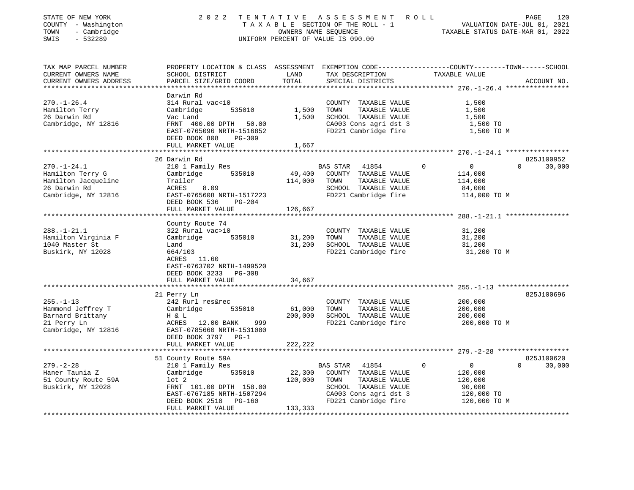| STATE OF NEW YORK<br>COUNTY - Washington<br>TOWN<br>- Cambridge<br>SWIS<br>$-532289$ | 2 0 2 2                                                                                                            |                  | TENTATIVE ASSESSMENT<br>TAXABLE SECTION OF THE ROLL - 1<br>OWNERS NAME SEQUENCE<br>UNIFORM PERCENT OF VALUE IS 090.00 | R O L L<br>TAXABLE STATUS DATE-MAR 01, 2022 | 120<br>PAGE<br>VALUATION DATE-JUL 01, 2021 |
|--------------------------------------------------------------------------------------|--------------------------------------------------------------------------------------------------------------------|------------------|-----------------------------------------------------------------------------------------------------------------------|---------------------------------------------|--------------------------------------------|
| TAX MAP PARCEL NUMBER<br>CURRENT OWNERS NAME                                         | PROPERTY LOCATION & CLASS ASSESSMENT EXEMPTION CODE---------------COUNTY-------TOWN------SCHOOL<br>SCHOOL DISTRICT | LAND             | TAX DESCRIPTION                                                                                                       | TAXABLE VALUE                               |                                            |
| CURRENT OWNERS ADDRESS                                                               | PARCEL SIZE/GRID COORD                                                                                             | TOTAL            | SPECIAL DISTRICTS                                                                                                     |                                             | ACCOUNT NO.                                |
|                                                                                      | Darwin Rd                                                                                                          |                  |                                                                                                                       |                                             |                                            |
| $270. - 1 - 26.4$                                                                    | 314 Rural vac<10                                                                                                   |                  | COUNTY TAXABLE VALUE                                                                                                  | 1,500                                       |                                            |
| Hamilton Terry                                                                       | Cambridge<br>535010                                                                                                | 1,500            | TOWN<br>TAXABLE VALUE                                                                                                 | 1,500                                       |                                            |
| 26 Darwin Rd                                                                         | Vac Land                                                                                                           | 1,500            | SCHOOL TAXABLE VALUE                                                                                                  | 1,500                                       |                                            |
| Cambridge, NY 12816                                                                  | FRNT 400.00 DPTH 50.00                                                                                             |                  | CA003 Cons agri dst 3                                                                                                 | 1,500 TO                                    |                                            |
|                                                                                      | EAST-0765096 NRTH-1516852                                                                                          |                  | FD221 Cambridge fire                                                                                                  | 1,500 TO M                                  |                                            |
|                                                                                      | DEED BOOK 808<br>PG-309                                                                                            |                  |                                                                                                                       |                                             |                                            |
|                                                                                      | FULL MARKET VALUE<br>***************************                                                                   | 1,667            |                                                                                                                       |                                             |                                            |
|                                                                                      | 26 Darwin Rd                                                                                                       |                  |                                                                                                                       |                                             | 825J100952                                 |
| $270. - 1 - 24.1$                                                                    | 210 1 Family Res                                                                                                   |                  | BAS STAR<br>41854                                                                                                     | $\Omega$<br>$\overline{0}$                  | $\Omega$<br>30,000                         |
| Hamilton Terry G                                                                     | Cambridge<br>535010                                                                                                | 49,400           | COUNTY TAXABLE VALUE                                                                                                  | 114,000                                     |                                            |
| Hamilton Jacqueline                                                                  | Trailer                                                                                                            | 114,000          | TOWN<br>TAXABLE VALUE                                                                                                 | 114,000                                     |                                            |
| 26 Darwin Rd                                                                         | ACRES<br>8.09                                                                                                      |                  | SCHOOL TAXABLE VALUE                                                                                                  | 84,000                                      |                                            |
| Cambridge, NY 12816                                                                  | EAST-0765608 NRTH-1517223                                                                                          |                  | FD221 Cambridge fire                                                                                                  | 114,000 TO M                                |                                            |
|                                                                                      | DEED BOOK 536<br>PG-204                                                                                            |                  |                                                                                                                       |                                             |                                            |
|                                                                                      | FULL MARKET VALUE                                                                                                  | 126,667          |                                                                                                                       |                                             |                                            |
|                                                                                      |                                                                                                                    |                  |                                                                                                                       |                                             |                                            |
|                                                                                      | County Route 74                                                                                                    |                  |                                                                                                                       |                                             |                                            |
| $288. - 1 - 21.1$                                                                    | 322 Rural vac>10                                                                                                   |                  | COUNTY TAXABLE VALUE                                                                                                  | 31,200                                      |                                            |
| Hamilton Virginia F<br>1040 Master St                                                | Cambridge<br>535010<br>Land                                                                                        | 31,200<br>31,200 | TOWN<br>TAXABLE VALUE<br>SCHOOL TAXABLE VALUE                                                                         | 31,200<br>31,200                            |                                            |
| Buskirk, NY 12028                                                                    | 664/103                                                                                                            |                  | FD221 Cambridge fire                                                                                                  | 31,200 TO M                                 |                                            |
|                                                                                      | ACRES 11.60                                                                                                        |                  |                                                                                                                       |                                             |                                            |
|                                                                                      | EAST-0763702 NRTH-1499520                                                                                          |                  |                                                                                                                       |                                             |                                            |
|                                                                                      | DEED BOOK 3233 PG-308                                                                                              |                  |                                                                                                                       |                                             |                                            |
|                                                                                      | FULL MARKET VALUE                                                                                                  | 34,667           |                                                                                                                       |                                             |                                            |
|                                                                                      |                                                                                                                    |                  |                                                                                                                       |                                             |                                            |
|                                                                                      | 21 Perry Ln                                                                                                        |                  |                                                                                                                       |                                             | 825J100696                                 |
| $255. - 1 - 13$                                                                      | 242 Rurl res&rec                                                                                                   |                  | COUNTY TAXABLE VALUE                                                                                                  | 200,000                                     |                                            |
| Hammond Jeffrey T                                                                    | Cambridge<br>535010                                                                                                | 61,000           | TOWN<br>TAXABLE VALUE                                                                                                 | 200,000                                     |                                            |
| Barnard Brittany                                                                     | H & L                                                                                                              | 200,000          | SCHOOL TAXABLE VALUE                                                                                                  | 200,000                                     |                                            |
| 21 Perry Ln                                                                          | ACRES 12.00 BANK<br>999                                                                                            |                  | FD221 Cambridge fire                                                                                                  | 200,000 TO M                                |                                            |
| Cambridge, NY 12816                                                                  | EAST-0785660 NRTH-1531080                                                                                          |                  |                                                                                                                       |                                             |                                            |
|                                                                                      | DEED BOOK 3797 PG-1                                                                                                |                  |                                                                                                                       |                                             |                                            |
|                                                                                      | FULL MARKET VALUE                                                                                                  | 222,222          |                                                                                                                       |                                             |                                            |
|                                                                                      |                                                                                                                    |                  |                                                                                                                       |                                             | 825J100620                                 |
| $279. - 2 - 28$                                                                      | 51 County Route 59A<br>210 1 Family Res                                                                            |                  | BAS STAR<br>41854                                                                                                     | $\overline{0}$<br>$\Omega$                  | $\Omega$<br>30,000                         |
| Haner Taunia Z                                                                       | Cambridge<br>535010                                                                                                | 22,300           | COUNTY TAXABLE VALUE                                                                                                  | 120,000                                     |                                            |
| 51 County Route 59A                                                                  | lot 2                                                                                                              | 120,000          | TOWN<br>TAXABLE VALUE                                                                                                 | 120,000                                     |                                            |
| Buskirk, NY 12028                                                                    | FRNT 101.00 DPTH 158.00                                                                                            |                  | SCHOOL TAXABLE VALUE                                                                                                  | 90,000                                      |                                            |
|                                                                                      | EAST-0767185 NRTH-1507294                                                                                          |                  | CA003 Cons agri dst 3                                                                                                 | 120,000 TO                                  |                                            |
|                                                                                      | DEED BOOK 2518 PG-160                                                                                              |                  | FD221 Cambridge fire                                                                                                  | 120,000 TO M                                |                                            |
|                                                                                      | FULL MARKET VALUE                                                                                                  | 133,333          |                                                                                                                       |                                             |                                            |
|                                                                                      |                                                                                                                    |                  |                                                                                                                       |                                             |                                            |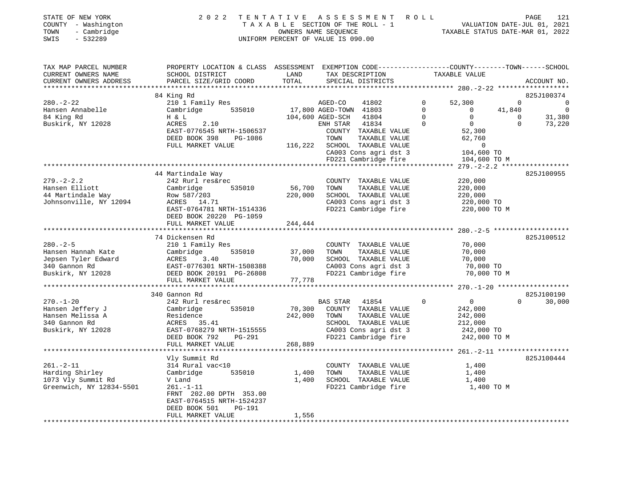| STATE OF NEW YORK                  |              |
|------------------------------------|--------------|
| COUNTY<br>$\overline{\phantom{0}}$ | Washington   |
| <b>THOLIDIT</b>                    | $Oomb$ $dco$ |

## STATE OF NEW YORK 2 0 2 2 T E N T A T I V E A S S E S S M E N T R O L L PAGE 121 COUNTY - Washington T A X A B L E SECTION OF THE ROLL - 1 VALUATION DATE-JUL 01, 2021 TOWN - Cambridge OWNERS NAME SEQUENCE TAXABLE STATUS DATE-MAR 01, 2022 SWIS - 532289 UNIFORM PERCENT OF VALUE IS 090.00

| TAX MAP PARCEL NUMBER<br>CURRENT OWNERS NAME | PROPERTY LOCATION & CLASS ASSESSMENT EXEMPTION CODE---------------COUNTY-------TOWN-----SCHOOL<br>SCHOOL DISTRICT | LAND              | TAX DESCRIPTION                               | TAXABLE VALUE              |          |                                     |
|----------------------------------------------|-------------------------------------------------------------------------------------------------------------------|-------------------|-----------------------------------------------|----------------------------|----------|-------------------------------------|
| CURRENT OWNERS ADDRESS                       | PARCEL SIZE/GRID COORD                                                                                            | TOTAL             | SPECIAL DISTRICTS                             |                            |          | ACCOUNT NO.                         |
|                                              | 84 King Rd                                                                                                        |                   |                                               |                            |          | 825J100374                          |
| $280. - 2 - 22$                              | 210 1 Family Res                                                                                                  |                   | 41802<br>AGED-CO                              | $\mathbf 0$<br>52,300      | $\Omega$ | $\overline{0}$                      |
| Hansen Annabelle                             | Cambridge<br>535010                                                                                               |                   | 17,800 AGED-TOWN 41803                        | $\Omega$<br>$\Omega$       | 41,840   | $\overline{0}$                      |
| 84 King Rd                                   | H & L                                                                                                             |                   | 104,600 AGED-SCH<br>41804                     | $\Omega$<br>$\Omega$       | $\Omega$ | 31,380                              |
| Buskirk, NY 12028                            | 2.10<br>ACRES                                                                                                     |                   | ENH STAR 41834                                | $\Omega$<br>$\overline{0}$ | $\Omega$ | 73,220                              |
|                                              | EAST-0776545 NRTH-1506537                                                                                         |                   | COUNTY TAXABLE VALUE                          | 52,300                     |          |                                     |
|                                              | DEED BOOK 398<br>PG-1086                                                                                          |                   | TOWN<br>TAXABLE VALUE                         | 62,760                     |          |                                     |
|                                              | FULL MARKET VALUE                                                                                                 |                   | 116,222 SCHOOL TAXABLE VALUE                  | $\overline{0}$             |          |                                     |
|                                              |                                                                                                                   |                   | CA003 Cons agri dst 3                         | 104,600 TO                 |          |                                     |
|                                              |                                                                                                                   |                   | FD221 Cambridge fire                          | 104,600 TO M               |          |                                     |
|                                              |                                                                                                                   |                   | **************************************        |                            |          | $279. - 2 - 2.2$ ****************** |
|                                              | 44 Martindale Way                                                                                                 |                   |                                               |                            |          | 825J100955                          |
| $279. - 2 - 2.2$<br>Hansen Elliott           | 242 Rurl res&rec<br>Cambridge<br>535010                                                                           | 56,700            | COUNTY TAXABLE VALUE<br>TOWN<br>TAXABLE VALUE | 220,000<br>220,000         |          |                                     |
| 44 Martindale Way                            | Row 587/203                                                                                                       | 220,000           | SCHOOL TAXABLE VALUE                          | 220,000                    |          |                                     |
| Johnsonville, NY 12094                       | ACRES 14.71                                                                                                       |                   | CA003 Cons agri dst 3                         | 220,000 TO                 |          |                                     |
|                                              | EAST-0764781 NRTH-1514336                                                                                         |                   | FD221 Cambridge fire                          | 220,000 TO M               |          |                                     |
|                                              | DEED BOOK 20220 PG-1059                                                                                           |                   |                                               |                            |          |                                     |
|                                              | FULL MARKET VALUE                                                                                                 | 244,444           |                                               |                            |          |                                     |
|                                              |                                                                                                                   |                   |                                               |                            |          |                                     |
|                                              | 74 Dickensen Rd                                                                                                   |                   |                                               |                            |          | 825J100512                          |
| $280. - 2 - 5$                               | 210 1 Family Res                                                                                                  |                   | COUNTY TAXABLE VALUE                          | 70,000                     |          |                                     |
| Hansen Hannah Kate                           | 535010<br>Cambridge                                                                                               | 37,000            | TAXABLE VALUE<br>TOWN                         | 70,000                     |          |                                     |
| Jepsen Tyler Edward                          | ACRES<br>3.40                                                                                                     | 70,000            | SCHOOL TAXABLE VALUE                          | 70,000                     |          |                                     |
| 340 Gannon Rd                                | EAST-0776301 NRTH-1508388                                                                                         |                   | CA003 Cons agri dst 3                         | 70,000 TO                  |          |                                     |
| Buskirk, NY 12028                            | DEED BOOK 20191 PG-26808                                                                                          |                   | FD221 Cambridge fire                          | 70,000 TO M                |          |                                     |
|                                              | FULL MARKET VALUE                                                                                                 | 77,778            |                                               |                            |          |                                     |
|                                              | **************************************                                                                            |                   |                                               |                            |          |                                     |
|                                              | 340 Gannon Rd                                                                                                     |                   |                                               |                            | $\Omega$ | 825J100190                          |
| $270. - 1 - 20$                              | 242 Rurl res&rec                                                                                                  |                   | BAS STAR 41854                                | $\Omega$<br>$\overline{0}$ |          | 30,000                              |
| Hansen Jeffery J<br>Hansen Melissa A         | 535010<br>Cambridge<br>Residence                                                                                  | 70,300<br>242,000 | COUNTY TAXABLE VALUE<br>TOWN<br>TAXABLE VALUE | 242,000<br>242,000         |          |                                     |
| 340 Gannon Rd                                | ACRES 35.41                                                                                                       |                   | SCHOOL TAXABLE VALUE                          | 212,000                    |          |                                     |
| Buskirk, NY 12028                            | EAST-0768279 NRTH-1515555                                                                                         |                   | CA003 Cons agri dst 3                         | 242,000 TO                 |          |                                     |
|                                              | DEED BOOK 792<br>PG-291                                                                                           |                   | FD221 Cambridge fire                          | 242,000 TO M               |          |                                     |
|                                              | FULL MARKET VALUE                                                                                                 | 268,889           |                                               |                            |          |                                     |
|                                              |                                                                                                                   |                   |                                               |                            |          |                                     |
|                                              | Vly Summit Rd                                                                                                     |                   |                                               |                            |          | 825J100444                          |
| $261. - 2 - 11$                              | 314 Rural vac<10                                                                                                  |                   | COUNTY TAXABLE VALUE                          | 1,400                      |          |                                     |
| Harding Shirley                              | Cambridge<br>535010                                                                                               | 1,400             | TOWN<br>TAXABLE VALUE                         | 1,400                      |          |                                     |
| 1073 Vly Summit Rd                           | V Land                                                                                                            | 1,400             | SCHOOL TAXABLE VALUE                          | 1,400                      |          |                                     |
| Greenwich, NY 12834-5501                     | $261. - 1 - 11$                                                                                                   |                   | FD221 Cambridge fire                          | 1,400 TO M                 |          |                                     |
|                                              | FRNT 202.00 DPTH 353.00                                                                                           |                   |                                               |                            |          |                                     |
|                                              | EAST-0764515 NRTH-1524237                                                                                         |                   |                                               |                            |          |                                     |
|                                              | DEED BOOK 501<br><b>PG-191</b>                                                                                    |                   |                                               |                            |          |                                     |
|                                              | FULL MARKET VALUE                                                                                                 | 1,556             |                                               |                            |          |                                     |
|                                              |                                                                                                                   |                   |                                               |                            |          |                                     |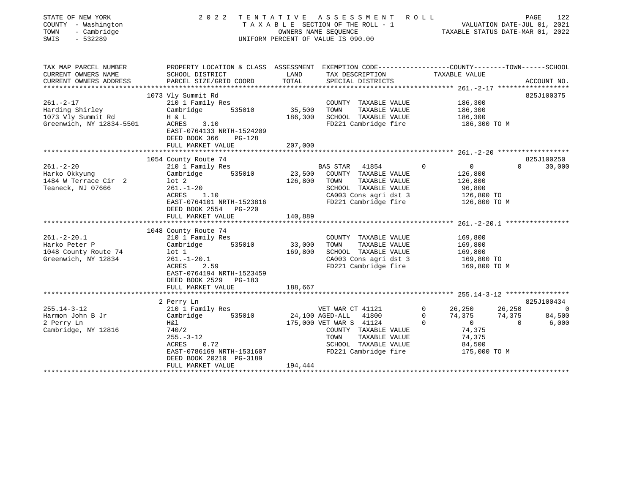| STATE OF NEW YORK<br>COUNTY - Washington<br>TOWN<br>- Cambridge<br>SWIS<br>$-532289$ | 2022                                                                                             |                 | TENTATIVE ASSESSMENT ROLL<br>TAXABLE SECTION OF THE ROLL - 1 VALUATION DATE-JUL 01, 2021<br>OWNERS NAME SEQUENCE TAXABLE STATUS DATE-MAR 01, 2022<br>UNIFORM PERCENT OF VALUE IS 090.00 |             |                   | PAGE     | 122            |
|--------------------------------------------------------------------------------------|--------------------------------------------------------------------------------------------------|-----------------|-----------------------------------------------------------------------------------------------------------------------------------------------------------------------------------------|-------------|-------------------|----------|----------------|
| TAX MAP PARCEL NUMBER                                                                | PROPERTY LOCATION & CLASS ASSESSMENT EXEMPTION CODE----------------COUNTY-------TOWN------SCHOOL |                 |                                                                                                                                                                                         |             |                   |          |                |
| CURRENT OWNERS NAME                                                                  | SCHOOL DISTRICT                                                                                  | LAND            | TAX DESCRIPTION                                                                                                                                                                         |             | TAXABLE VALUE     |          |                |
| CURRENT OWNERS ADDRESS                                                               | PARCEL SIZE/GRID COORD                                                                           | TOTAL           | SPECIAL DISTRICTS                                                                                                                                                                       |             |                   |          | ACCOUNT NO.    |
|                                                                                      | 1073 Vly Summit Rd                                                                               |                 |                                                                                                                                                                                         |             |                   |          | 825J100375     |
| $261 - 2 - 17$                                                                       | 210 1 Family Res                                                                                 |                 | COUNTY TAXABLE VALUE                                                                                                                                                                    |             | 186,300           |          |                |
| Harding Shirley                                                                      | 535010<br>Cambridge                                                                              | 35,500          | TOWN<br>TAXABLE VALUE                                                                                                                                                                   |             | 186,300           |          |                |
| 1073 Vly Summit Rd                                                                   | H & L                                                                                            |                 | 186,300 SCHOOL TAXABLE VALUE                                                                                                                                                            |             | 186,300           |          |                |
| Greenwich, NY 12834-5501                                                             | ACRES 3.10<br>EAST-0764133 NRTH-1524209<br>DEED BOOK 366<br>$PG-128$                             |                 | FD221 Cambridge fire                                                                                                                                                                    |             | 186,300 TO M      |          |                |
|                                                                                      | FULL MARKET VALUE                                                                                | 207,000         |                                                                                                                                                                                         |             |                   |          |                |
|                                                                                      |                                                                                                  |                 |                                                                                                                                                                                         |             |                   |          |                |
|                                                                                      | 1054 County Route 74                                                                             |                 |                                                                                                                                                                                         |             |                   |          | 825J100250     |
| $261. - 2 - 20$                                                                      | 210 1 Family Res                                                                                 |                 | BAS STAR 41854                                                                                                                                                                          | $\mathbf 0$ | $\overline{0}$    | $\Omega$ | 30,000         |
| Harko Okkyung                                                                        | Cambridge<br>535010                                                                              | 23,500          | COUNTY TAXABLE VALUE                                                                                                                                                                    |             | 126,800           |          |                |
| 1484 W Terrace Cir 2<br>Teaneck, NJ 07666                                            | lot 2<br>$261. - 1 - 20$                                                                         | 126,800         | TAXABLE VALUE<br>TOWN<br>SCHOOL TAXABLE VALUE                                                                                                                                           |             | 126,800<br>96,800 |          |                |
|                                                                                      | ACRES<br>1.10                                                                                    |                 | CA003 Cons agri dst 3                                                                                                                                                                   |             | 126,800 TO        |          |                |
|                                                                                      | EAST-0764101 NRTH-1523816                                                                        |                 | FD221 Cambridge fire                                                                                                                                                                    |             | 126,800 TO M      |          |                |
|                                                                                      | DEED BOOK 2554 PG-220                                                                            |                 |                                                                                                                                                                                         |             |                   |          |                |
|                                                                                      | FULL MARKET VALUE                                                                                | 140,889         |                                                                                                                                                                                         |             |                   |          |                |
|                                                                                      |                                                                                                  |                 |                                                                                                                                                                                         |             |                   |          |                |
|                                                                                      | 1048 County Route 74                                                                             |                 |                                                                                                                                                                                         |             |                   |          |                |
| $261. - 2 - 20.1$                                                                    | 210 1 Family Res                                                                                 |                 | COUNTY TAXABLE VALUE                                                                                                                                                                    |             | 169,800           |          |                |
| Harko Peter P                                                                        | 535010<br>Cambridge                                                                              | 33,000 TOWN     | TAXABLE VALUE                                                                                                                                                                           |             | 169,800           |          |                |
| 1048 County Route 74                                                                 | lot 1                                                                                            |                 | 169,800 SCHOOL TAXABLE VALUE                                                                                                                                                            |             | 169,800           |          |                |
| Greenwich, NY 12834                                                                  | $261. - 1 - 20.1$                                                                                |                 | CA003 Cons agri dst 3                                                                                                                                                                   |             | 169,800 TO        |          |                |
|                                                                                      | 2.59<br>ACRES                                                                                    |                 | FD221 Cambridge fire                                                                                                                                                                    |             | 169,800 TO M      |          |                |
|                                                                                      | EAST-0764194 NRTH-1523459                                                                        |                 |                                                                                                                                                                                         |             |                   |          |                |
|                                                                                      | DEED BOOK 2529 PG-183                                                                            |                 |                                                                                                                                                                                         |             |                   |          |                |
|                                                                                      | FULL MARKET VALUE                                                                                | 188,667         |                                                                                                                                                                                         |             |                   |          |                |
|                                                                                      | 2 Perry Ln                                                                                       |                 |                                                                                                                                                                                         |             |                   |          | 825J100434     |
| $255.14 - 3 - 12$                                                                    | 210 1 Family Res                                                                                 |                 | VET WAR CT 41121                                                                                                                                                                        | $\Omega$    | 26,250            | 26,250   | $\overline{0}$ |
| Harmon John B Jr                                                                     | 535010<br>Cambridge                                                                              | 24,100 AGED-ALL | 41800                                                                                                                                                                                   | $\Omega$    | 74,375            | 74,375   | 84,500         |
| 2 Perry Ln                                                                           | H&l                                                                                              |                 | 175,000 VET WAR S 41124                                                                                                                                                                 | $\Omega$    | $\overline{0}$    | $\Omega$ | 6,000          |
| Cambridge, NY 12816                                                                  | 740/2                                                                                            |                 | COUNTY TAXABLE VALUE                                                                                                                                                                    |             | 74,375            |          |                |
|                                                                                      | $255. - 3 - 12$                                                                                  |                 | TOWN<br>TAXABLE VALUE                                                                                                                                                                   |             | 74,375            |          |                |
|                                                                                      | ACRES<br>0.72                                                                                    |                 | SCHOOL TAXABLE VALUE                                                                                                                                                                    |             | 84,500            |          |                |
|                                                                                      | EAST-0786169 NRTH-1531607                                                                        |                 | FD221 Cambridge fire                                                                                                                                                                    |             | 175,000 TO M      |          |                |
|                                                                                      | DEED BOOK 20210 PG-3189                                                                          |                 |                                                                                                                                                                                         |             |                   |          |                |
|                                                                                      | FULL MARKET VALUE                                                                                | 194,444         |                                                                                                                                                                                         |             |                   |          |                |
|                                                                                      |                                                                                                  |                 |                                                                                                                                                                                         |             |                   |          |                |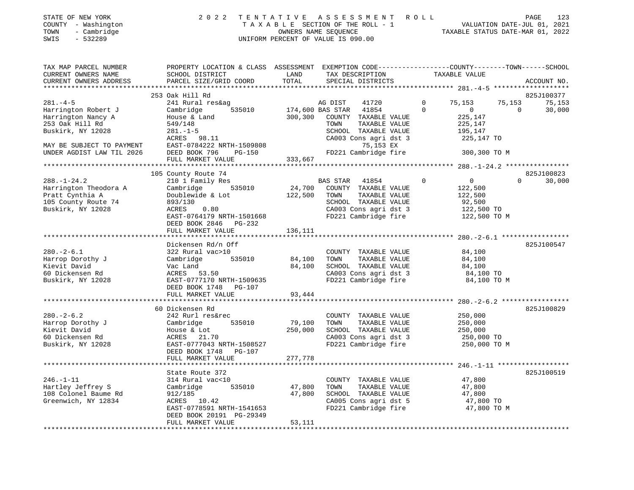|      | STATE OF NEW YORK   | 2022 TENTATIVE ASSESSMENT ROLL  |                                  | PAGE                        | 123 |
|------|---------------------|---------------------------------|----------------------------------|-----------------------------|-----|
|      | COUNTY - Washington | TAXABLE SECTION OF THE ROLL - 1 |                                  | VALUATION DATE-JUL 01, 2021 |     |
| TOWN | - Cambridge         | OWNERS NAME SEOUENCE            | TAXABLE STATUS DATE-MAR 01, 2022 |                             |     |

| ACCOUNT NO.<br>253 Oak Hill Rd<br>825J100377<br>$281 - 4 - 5$<br>241 Rural res&ag<br>$\mathbf 0$<br>75,153<br>75,153<br>75,153<br>AG DIST<br>41720<br>$\frac{3}{535010}$ 174,600 BAS STAR 41854<br>$\Omega$<br>$\overline{0}$<br>30,000<br>Harrington Robert J<br>Cambridge<br>$\Omega$<br>Harrington Nancy A<br>House & Land<br>300,300<br>COUNTY TAXABLE VALUE<br>225,147<br>253 Oak Hill Rd<br>549/148<br>TOWN<br>TAXABLE VALUE<br>225,147<br>Buskirk, NY 12028<br>SCHOOL TAXABLE VALUE<br>$281. - 1 - 5$<br>195,147<br>CA003 Cons agri dst 3<br>ACRES 98.11<br>225,147 TO<br>EAST-0784222 NRTH-1509808<br>75,153 EX<br>MAY BE SUBJECT TO PAYMENT<br>FD221 Cambridge fire 300,300 TO M<br>UNDER AGDIST LAW TIL 2026<br>DEED BOOK 796<br>PG-150<br>333,667<br>FULL MARKET VALUE<br>825J100823<br>105 County Route 74<br>$\overline{0}$<br>30,000<br>$288. - 1 - 24.2$<br>210 1 Family Res<br><b>BAS STAR</b><br>41854<br>$\Omega$<br>$\Omega$<br>$24,700$ COUNTY TAXABLE VALUE<br>Harrington Theodora A<br>535010<br>Cambridge<br>122,500<br>Pratt Cynthia A<br>Doublewide & Lot<br>122,500<br>TOWN<br>TAXABLE VALUE<br>122,500<br>SCHOOL TAXABLE VALUE<br>105 County Route 74<br>893/130<br>92,500<br>Buskirk, NY 12028<br>ACRES<br>0.80<br>CA003 Cons agri dst 3<br>FD221 Cambridge fire<br>122,500 TO<br>EAST-0764179 NRTH-1501668<br>122,500 TO M<br>DEED BOOK 2846 PG-232<br>136,111<br>FULL MARKET VALUE<br>Dickensen Rd/n Off<br>825J100547<br>$280. - 2 - 6.1$<br>322 Rural vac>10<br>COUNTY TAXABLE VALUE<br>84,100<br>Cambridge 535010<br>84,100<br>Harrop Dorothy J<br>TOWN<br>TAXABLE VALUE<br>84,100<br>Kievit David<br>84,100<br>SCHOOL TAXABLE VALUE<br>Vac Land<br>84,100<br>CA003 Cons agri dst 3<br>60 Dickensen Rd<br>ACRES 53.50<br>84,100 TO<br>FD221 Cambridge fire<br>Buskirk, NY 12028<br>EAST-0777170 NRTH-1509635<br>84,100 TO M<br>DEED BOOK 1748 PG-107<br>FULL MARKET VALUE<br>93,444<br>825J100829<br>60 Dickensen Rd<br>$280 - 2 - 6.2$<br>COUNTY TAXABLE VALUE<br>250,000<br>242 Rurl res&rec<br>535010<br>79,100<br>TAXABLE VALUE<br>Harrop Dorothy J<br>Cambridge<br>TOWN<br>250,000<br>Kievit David<br>250,000<br>SCHOOL TAXABLE VALUE<br>250,000<br>House & Lot<br>CA003 Cons agri dst 3<br>60 Dickensen Rd<br>250,000 TO<br>ACRES 21.70<br>Buskirk, NY 12028<br>EAST-0777043 NRTH-1508527<br>FD221 Cambridge fire<br>250,000 TO M<br>DEED BOOK 1748 PG-107<br>FULL MARKET VALUE<br>277,778<br>825J100519<br>State Route 372<br>$246. - 1 - 11$<br>47,800<br>314 Rural vac<10<br>COUNTY TAXABLE VALUE<br>Hartley Jeffrey S<br>535010<br>47,800<br>TOWN<br>TAXABLE VALUE<br>47,800<br>Cambridge<br>108 Colonel Baume Rd<br>912/185<br>47,800<br>SCHOOL TAXABLE VALUE<br>47,800<br>CA005 Cons agri dst 5<br>Greenwich, NY 12834<br>ACRES 10.42<br>47,800 TO | TAX MAP PARCEL NUMBER<br>CURRENT OWNERS NAME | PROPERTY LOCATION & CLASS ASSESSMENT EXEMPTION CODE---------------COUNTY-------TOWN------SCHOOL<br>SCHOOL DISTRICT | LAND  | TAX DESCRIPTION      | TAXABLE VALUE |  |
|-------------------------------------------------------------------------------------------------------------------------------------------------------------------------------------------------------------------------------------------------------------------------------------------------------------------------------------------------------------------------------------------------------------------------------------------------------------------------------------------------------------------------------------------------------------------------------------------------------------------------------------------------------------------------------------------------------------------------------------------------------------------------------------------------------------------------------------------------------------------------------------------------------------------------------------------------------------------------------------------------------------------------------------------------------------------------------------------------------------------------------------------------------------------------------------------------------------------------------------------------------------------------------------------------------------------------------------------------------------------------------------------------------------------------------------------------------------------------------------------------------------------------------------------------------------------------------------------------------------------------------------------------------------------------------------------------------------------------------------------------------------------------------------------------------------------------------------------------------------------------------------------------------------------------------------------------------------------------------------------------------------------------------------------------------------------------------------------------------------------------------------------------------------------------------------------------------------------------------------------------------------------------------------------------------------------------------------------------------------------------------------------------------------------------------------------------------------------------------------------------------------------------------------------------------------------------------------------------------------------------------------------------------------------------------------------------------------------------------------------------------------------------------------------------|----------------------------------------------|--------------------------------------------------------------------------------------------------------------------|-------|----------------------|---------------|--|
|                                                                                                                                                                                                                                                                                                                                                                                                                                                                                                                                                                                                                                                                                                                                                                                                                                                                                                                                                                                                                                                                                                                                                                                                                                                                                                                                                                                                                                                                                                                                                                                                                                                                                                                                                                                                                                                                                                                                                                                                                                                                                                                                                                                                                                                                                                                                                                                                                                                                                                                                                                                                                                                                                                                                                                                                 | CURRENT OWNERS ADDRESS                       | PARCEL SIZE/GRID COORD                                                                                             | TOTAL | SPECIAL DISTRICTS    |               |  |
|                                                                                                                                                                                                                                                                                                                                                                                                                                                                                                                                                                                                                                                                                                                                                                                                                                                                                                                                                                                                                                                                                                                                                                                                                                                                                                                                                                                                                                                                                                                                                                                                                                                                                                                                                                                                                                                                                                                                                                                                                                                                                                                                                                                                                                                                                                                                                                                                                                                                                                                                                                                                                                                                                                                                                                                                 |                                              |                                                                                                                    |       |                      |               |  |
|                                                                                                                                                                                                                                                                                                                                                                                                                                                                                                                                                                                                                                                                                                                                                                                                                                                                                                                                                                                                                                                                                                                                                                                                                                                                                                                                                                                                                                                                                                                                                                                                                                                                                                                                                                                                                                                                                                                                                                                                                                                                                                                                                                                                                                                                                                                                                                                                                                                                                                                                                                                                                                                                                                                                                                                                 |                                              |                                                                                                                    |       |                      |               |  |
|                                                                                                                                                                                                                                                                                                                                                                                                                                                                                                                                                                                                                                                                                                                                                                                                                                                                                                                                                                                                                                                                                                                                                                                                                                                                                                                                                                                                                                                                                                                                                                                                                                                                                                                                                                                                                                                                                                                                                                                                                                                                                                                                                                                                                                                                                                                                                                                                                                                                                                                                                                                                                                                                                                                                                                                                 |                                              |                                                                                                                    |       |                      |               |  |
|                                                                                                                                                                                                                                                                                                                                                                                                                                                                                                                                                                                                                                                                                                                                                                                                                                                                                                                                                                                                                                                                                                                                                                                                                                                                                                                                                                                                                                                                                                                                                                                                                                                                                                                                                                                                                                                                                                                                                                                                                                                                                                                                                                                                                                                                                                                                                                                                                                                                                                                                                                                                                                                                                                                                                                                                 |                                              |                                                                                                                    |       |                      |               |  |
|                                                                                                                                                                                                                                                                                                                                                                                                                                                                                                                                                                                                                                                                                                                                                                                                                                                                                                                                                                                                                                                                                                                                                                                                                                                                                                                                                                                                                                                                                                                                                                                                                                                                                                                                                                                                                                                                                                                                                                                                                                                                                                                                                                                                                                                                                                                                                                                                                                                                                                                                                                                                                                                                                                                                                                                                 |                                              |                                                                                                                    |       |                      |               |  |
|                                                                                                                                                                                                                                                                                                                                                                                                                                                                                                                                                                                                                                                                                                                                                                                                                                                                                                                                                                                                                                                                                                                                                                                                                                                                                                                                                                                                                                                                                                                                                                                                                                                                                                                                                                                                                                                                                                                                                                                                                                                                                                                                                                                                                                                                                                                                                                                                                                                                                                                                                                                                                                                                                                                                                                                                 |                                              |                                                                                                                    |       |                      |               |  |
|                                                                                                                                                                                                                                                                                                                                                                                                                                                                                                                                                                                                                                                                                                                                                                                                                                                                                                                                                                                                                                                                                                                                                                                                                                                                                                                                                                                                                                                                                                                                                                                                                                                                                                                                                                                                                                                                                                                                                                                                                                                                                                                                                                                                                                                                                                                                                                                                                                                                                                                                                                                                                                                                                                                                                                                                 |                                              |                                                                                                                    |       |                      |               |  |
|                                                                                                                                                                                                                                                                                                                                                                                                                                                                                                                                                                                                                                                                                                                                                                                                                                                                                                                                                                                                                                                                                                                                                                                                                                                                                                                                                                                                                                                                                                                                                                                                                                                                                                                                                                                                                                                                                                                                                                                                                                                                                                                                                                                                                                                                                                                                                                                                                                                                                                                                                                                                                                                                                                                                                                                                 |                                              |                                                                                                                    |       |                      |               |  |
|                                                                                                                                                                                                                                                                                                                                                                                                                                                                                                                                                                                                                                                                                                                                                                                                                                                                                                                                                                                                                                                                                                                                                                                                                                                                                                                                                                                                                                                                                                                                                                                                                                                                                                                                                                                                                                                                                                                                                                                                                                                                                                                                                                                                                                                                                                                                                                                                                                                                                                                                                                                                                                                                                                                                                                                                 |                                              |                                                                                                                    |       |                      |               |  |
|                                                                                                                                                                                                                                                                                                                                                                                                                                                                                                                                                                                                                                                                                                                                                                                                                                                                                                                                                                                                                                                                                                                                                                                                                                                                                                                                                                                                                                                                                                                                                                                                                                                                                                                                                                                                                                                                                                                                                                                                                                                                                                                                                                                                                                                                                                                                                                                                                                                                                                                                                                                                                                                                                                                                                                                                 |                                              |                                                                                                                    |       |                      |               |  |
|                                                                                                                                                                                                                                                                                                                                                                                                                                                                                                                                                                                                                                                                                                                                                                                                                                                                                                                                                                                                                                                                                                                                                                                                                                                                                                                                                                                                                                                                                                                                                                                                                                                                                                                                                                                                                                                                                                                                                                                                                                                                                                                                                                                                                                                                                                                                                                                                                                                                                                                                                                                                                                                                                                                                                                                                 |                                              |                                                                                                                    |       |                      |               |  |
|                                                                                                                                                                                                                                                                                                                                                                                                                                                                                                                                                                                                                                                                                                                                                                                                                                                                                                                                                                                                                                                                                                                                                                                                                                                                                                                                                                                                                                                                                                                                                                                                                                                                                                                                                                                                                                                                                                                                                                                                                                                                                                                                                                                                                                                                                                                                                                                                                                                                                                                                                                                                                                                                                                                                                                                                 |                                              |                                                                                                                    |       |                      |               |  |
|                                                                                                                                                                                                                                                                                                                                                                                                                                                                                                                                                                                                                                                                                                                                                                                                                                                                                                                                                                                                                                                                                                                                                                                                                                                                                                                                                                                                                                                                                                                                                                                                                                                                                                                                                                                                                                                                                                                                                                                                                                                                                                                                                                                                                                                                                                                                                                                                                                                                                                                                                                                                                                                                                                                                                                                                 |                                              |                                                                                                                    |       |                      |               |  |
|                                                                                                                                                                                                                                                                                                                                                                                                                                                                                                                                                                                                                                                                                                                                                                                                                                                                                                                                                                                                                                                                                                                                                                                                                                                                                                                                                                                                                                                                                                                                                                                                                                                                                                                                                                                                                                                                                                                                                                                                                                                                                                                                                                                                                                                                                                                                                                                                                                                                                                                                                                                                                                                                                                                                                                                                 |                                              |                                                                                                                    |       |                      |               |  |
|                                                                                                                                                                                                                                                                                                                                                                                                                                                                                                                                                                                                                                                                                                                                                                                                                                                                                                                                                                                                                                                                                                                                                                                                                                                                                                                                                                                                                                                                                                                                                                                                                                                                                                                                                                                                                                                                                                                                                                                                                                                                                                                                                                                                                                                                                                                                                                                                                                                                                                                                                                                                                                                                                                                                                                                                 |                                              |                                                                                                                    |       |                      |               |  |
|                                                                                                                                                                                                                                                                                                                                                                                                                                                                                                                                                                                                                                                                                                                                                                                                                                                                                                                                                                                                                                                                                                                                                                                                                                                                                                                                                                                                                                                                                                                                                                                                                                                                                                                                                                                                                                                                                                                                                                                                                                                                                                                                                                                                                                                                                                                                                                                                                                                                                                                                                                                                                                                                                                                                                                                                 |                                              |                                                                                                                    |       |                      |               |  |
|                                                                                                                                                                                                                                                                                                                                                                                                                                                                                                                                                                                                                                                                                                                                                                                                                                                                                                                                                                                                                                                                                                                                                                                                                                                                                                                                                                                                                                                                                                                                                                                                                                                                                                                                                                                                                                                                                                                                                                                                                                                                                                                                                                                                                                                                                                                                                                                                                                                                                                                                                                                                                                                                                                                                                                                                 |                                              |                                                                                                                    |       |                      |               |  |
|                                                                                                                                                                                                                                                                                                                                                                                                                                                                                                                                                                                                                                                                                                                                                                                                                                                                                                                                                                                                                                                                                                                                                                                                                                                                                                                                                                                                                                                                                                                                                                                                                                                                                                                                                                                                                                                                                                                                                                                                                                                                                                                                                                                                                                                                                                                                                                                                                                                                                                                                                                                                                                                                                                                                                                                                 |                                              |                                                                                                                    |       |                      |               |  |
|                                                                                                                                                                                                                                                                                                                                                                                                                                                                                                                                                                                                                                                                                                                                                                                                                                                                                                                                                                                                                                                                                                                                                                                                                                                                                                                                                                                                                                                                                                                                                                                                                                                                                                                                                                                                                                                                                                                                                                                                                                                                                                                                                                                                                                                                                                                                                                                                                                                                                                                                                                                                                                                                                                                                                                                                 |                                              |                                                                                                                    |       |                      |               |  |
|                                                                                                                                                                                                                                                                                                                                                                                                                                                                                                                                                                                                                                                                                                                                                                                                                                                                                                                                                                                                                                                                                                                                                                                                                                                                                                                                                                                                                                                                                                                                                                                                                                                                                                                                                                                                                                                                                                                                                                                                                                                                                                                                                                                                                                                                                                                                                                                                                                                                                                                                                                                                                                                                                                                                                                                                 |                                              |                                                                                                                    |       |                      |               |  |
|                                                                                                                                                                                                                                                                                                                                                                                                                                                                                                                                                                                                                                                                                                                                                                                                                                                                                                                                                                                                                                                                                                                                                                                                                                                                                                                                                                                                                                                                                                                                                                                                                                                                                                                                                                                                                                                                                                                                                                                                                                                                                                                                                                                                                                                                                                                                                                                                                                                                                                                                                                                                                                                                                                                                                                                                 |                                              |                                                                                                                    |       |                      |               |  |
|                                                                                                                                                                                                                                                                                                                                                                                                                                                                                                                                                                                                                                                                                                                                                                                                                                                                                                                                                                                                                                                                                                                                                                                                                                                                                                                                                                                                                                                                                                                                                                                                                                                                                                                                                                                                                                                                                                                                                                                                                                                                                                                                                                                                                                                                                                                                                                                                                                                                                                                                                                                                                                                                                                                                                                                                 |                                              |                                                                                                                    |       |                      |               |  |
|                                                                                                                                                                                                                                                                                                                                                                                                                                                                                                                                                                                                                                                                                                                                                                                                                                                                                                                                                                                                                                                                                                                                                                                                                                                                                                                                                                                                                                                                                                                                                                                                                                                                                                                                                                                                                                                                                                                                                                                                                                                                                                                                                                                                                                                                                                                                                                                                                                                                                                                                                                                                                                                                                                                                                                                                 |                                              |                                                                                                                    |       |                      |               |  |
|                                                                                                                                                                                                                                                                                                                                                                                                                                                                                                                                                                                                                                                                                                                                                                                                                                                                                                                                                                                                                                                                                                                                                                                                                                                                                                                                                                                                                                                                                                                                                                                                                                                                                                                                                                                                                                                                                                                                                                                                                                                                                                                                                                                                                                                                                                                                                                                                                                                                                                                                                                                                                                                                                                                                                                                                 |                                              |                                                                                                                    |       |                      |               |  |
|                                                                                                                                                                                                                                                                                                                                                                                                                                                                                                                                                                                                                                                                                                                                                                                                                                                                                                                                                                                                                                                                                                                                                                                                                                                                                                                                                                                                                                                                                                                                                                                                                                                                                                                                                                                                                                                                                                                                                                                                                                                                                                                                                                                                                                                                                                                                                                                                                                                                                                                                                                                                                                                                                                                                                                                                 |                                              |                                                                                                                    |       |                      |               |  |
|                                                                                                                                                                                                                                                                                                                                                                                                                                                                                                                                                                                                                                                                                                                                                                                                                                                                                                                                                                                                                                                                                                                                                                                                                                                                                                                                                                                                                                                                                                                                                                                                                                                                                                                                                                                                                                                                                                                                                                                                                                                                                                                                                                                                                                                                                                                                                                                                                                                                                                                                                                                                                                                                                                                                                                                                 |                                              |                                                                                                                    |       |                      |               |  |
|                                                                                                                                                                                                                                                                                                                                                                                                                                                                                                                                                                                                                                                                                                                                                                                                                                                                                                                                                                                                                                                                                                                                                                                                                                                                                                                                                                                                                                                                                                                                                                                                                                                                                                                                                                                                                                                                                                                                                                                                                                                                                                                                                                                                                                                                                                                                                                                                                                                                                                                                                                                                                                                                                                                                                                                                 |                                              |                                                                                                                    |       |                      |               |  |
|                                                                                                                                                                                                                                                                                                                                                                                                                                                                                                                                                                                                                                                                                                                                                                                                                                                                                                                                                                                                                                                                                                                                                                                                                                                                                                                                                                                                                                                                                                                                                                                                                                                                                                                                                                                                                                                                                                                                                                                                                                                                                                                                                                                                                                                                                                                                                                                                                                                                                                                                                                                                                                                                                                                                                                                                 |                                              |                                                                                                                    |       |                      |               |  |
|                                                                                                                                                                                                                                                                                                                                                                                                                                                                                                                                                                                                                                                                                                                                                                                                                                                                                                                                                                                                                                                                                                                                                                                                                                                                                                                                                                                                                                                                                                                                                                                                                                                                                                                                                                                                                                                                                                                                                                                                                                                                                                                                                                                                                                                                                                                                                                                                                                                                                                                                                                                                                                                                                                                                                                                                 |                                              |                                                                                                                    |       |                      |               |  |
|                                                                                                                                                                                                                                                                                                                                                                                                                                                                                                                                                                                                                                                                                                                                                                                                                                                                                                                                                                                                                                                                                                                                                                                                                                                                                                                                                                                                                                                                                                                                                                                                                                                                                                                                                                                                                                                                                                                                                                                                                                                                                                                                                                                                                                                                                                                                                                                                                                                                                                                                                                                                                                                                                                                                                                                                 |                                              |                                                                                                                    |       |                      |               |  |
|                                                                                                                                                                                                                                                                                                                                                                                                                                                                                                                                                                                                                                                                                                                                                                                                                                                                                                                                                                                                                                                                                                                                                                                                                                                                                                                                                                                                                                                                                                                                                                                                                                                                                                                                                                                                                                                                                                                                                                                                                                                                                                                                                                                                                                                                                                                                                                                                                                                                                                                                                                                                                                                                                                                                                                                                 |                                              |                                                                                                                    |       |                      |               |  |
|                                                                                                                                                                                                                                                                                                                                                                                                                                                                                                                                                                                                                                                                                                                                                                                                                                                                                                                                                                                                                                                                                                                                                                                                                                                                                                                                                                                                                                                                                                                                                                                                                                                                                                                                                                                                                                                                                                                                                                                                                                                                                                                                                                                                                                                                                                                                                                                                                                                                                                                                                                                                                                                                                                                                                                                                 |                                              |                                                                                                                    |       |                      |               |  |
|                                                                                                                                                                                                                                                                                                                                                                                                                                                                                                                                                                                                                                                                                                                                                                                                                                                                                                                                                                                                                                                                                                                                                                                                                                                                                                                                                                                                                                                                                                                                                                                                                                                                                                                                                                                                                                                                                                                                                                                                                                                                                                                                                                                                                                                                                                                                                                                                                                                                                                                                                                                                                                                                                                                                                                                                 |                                              |                                                                                                                    |       |                      |               |  |
|                                                                                                                                                                                                                                                                                                                                                                                                                                                                                                                                                                                                                                                                                                                                                                                                                                                                                                                                                                                                                                                                                                                                                                                                                                                                                                                                                                                                                                                                                                                                                                                                                                                                                                                                                                                                                                                                                                                                                                                                                                                                                                                                                                                                                                                                                                                                                                                                                                                                                                                                                                                                                                                                                                                                                                                                 |                                              |                                                                                                                    |       |                      |               |  |
|                                                                                                                                                                                                                                                                                                                                                                                                                                                                                                                                                                                                                                                                                                                                                                                                                                                                                                                                                                                                                                                                                                                                                                                                                                                                                                                                                                                                                                                                                                                                                                                                                                                                                                                                                                                                                                                                                                                                                                                                                                                                                                                                                                                                                                                                                                                                                                                                                                                                                                                                                                                                                                                                                                                                                                                                 |                                              |                                                                                                                    |       |                      |               |  |
|                                                                                                                                                                                                                                                                                                                                                                                                                                                                                                                                                                                                                                                                                                                                                                                                                                                                                                                                                                                                                                                                                                                                                                                                                                                                                                                                                                                                                                                                                                                                                                                                                                                                                                                                                                                                                                                                                                                                                                                                                                                                                                                                                                                                                                                                                                                                                                                                                                                                                                                                                                                                                                                                                                                                                                                                 |                                              |                                                                                                                    |       |                      |               |  |
|                                                                                                                                                                                                                                                                                                                                                                                                                                                                                                                                                                                                                                                                                                                                                                                                                                                                                                                                                                                                                                                                                                                                                                                                                                                                                                                                                                                                                                                                                                                                                                                                                                                                                                                                                                                                                                                                                                                                                                                                                                                                                                                                                                                                                                                                                                                                                                                                                                                                                                                                                                                                                                                                                                                                                                                                 |                                              |                                                                                                                    |       |                      |               |  |
|                                                                                                                                                                                                                                                                                                                                                                                                                                                                                                                                                                                                                                                                                                                                                                                                                                                                                                                                                                                                                                                                                                                                                                                                                                                                                                                                                                                                                                                                                                                                                                                                                                                                                                                                                                                                                                                                                                                                                                                                                                                                                                                                                                                                                                                                                                                                                                                                                                                                                                                                                                                                                                                                                                                                                                                                 |                                              |                                                                                                                    |       |                      |               |  |
|                                                                                                                                                                                                                                                                                                                                                                                                                                                                                                                                                                                                                                                                                                                                                                                                                                                                                                                                                                                                                                                                                                                                                                                                                                                                                                                                                                                                                                                                                                                                                                                                                                                                                                                                                                                                                                                                                                                                                                                                                                                                                                                                                                                                                                                                                                                                                                                                                                                                                                                                                                                                                                                                                                                                                                                                 |                                              |                                                                                                                    |       |                      |               |  |
|                                                                                                                                                                                                                                                                                                                                                                                                                                                                                                                                                                                                                                                                                                                                                                                                                                                                                                                                                                                                                                                                                                                                                                                                                                                                                                                                                                                                                                                                                                                                                                                                                                                                                                                                                                                                                                                                                                                                                                                                                                                                                                                                                                                                                                                                                                                                                                                                                                                                                                                                                                                                                                                                                                                                                                                                 |                                              |                                                                                                                    |       |                      |               |  |
|                                                                                                                                                                                                                                                                                                                                                                                                                                                                                                                                                                                                                                                                                                                                                                                                                                                                                                                                                                                                                                                                                                                                                                                                                                                                                                                                                                                                                                                                                                                                                                                                                                                                                                                                                                                                                                                                                                                                                                                                                                                                                                                                                                                                                                                                                                                                                                                                                                                                                                                                                                                                                                                                                                                                                                                                 |                                              |                                                                                                                    |       |                      |               |  |
|                                                                                                                                                                                                                                                                                                                                                                                                                                                                                                                                                                                                                                                                                                                                                                                                                                                                                                                                                                                                                                                                                                                                                                                                                                                                                                                                                                                                                                                                                                                                                                                                                                                                                                                                                                                                                                                                                                                                                                                                                                                                                                                                                                                                                                                                                                                                                                                                                                                                                                                                                                                                                                                                                                                                                                                                 |                                              |                                                                                                                    |       |                      |               |  |
|                                                                                                                                                                                                                                                                                                                                                                                                                                                                                                                                                                                                                                                                                                                                                                                                                                                                                                                                                                                                                                                                                                                                                                                                                                                                                                                                                                                                                                                                                                                                                                                                                                                                                                                                                                                                                                                                                                                                                                                                                                                                                                                                                                                                                                                                                                                                                                                                                                                                                                                                                                                                                                                                                                                                                                                                 |                                              |                                                                                                                    |       |                      |               |  |
|                                                                                                                                                                                                                                                                                                                                                                                                                                                                                                                                                                                                                                                                                                                                                                                                                                                                                                                                                                                                                                                                                                                                                                                                                                                                                                                                                                                                                                                                                                                                                                                                                                                                                                                                                                                                                                                                                                                                                                                                                                                                                                                                                                                                                                                                                                                                                                                                                                                                                                                                                                                                                                                                                                                                                                                                 |                                              |                                                                                                                    |       |                      |               |  |
|                                                                                                                                                                                                                                                                                                                                                                                                                                                                                                                                                                                                                                                                                                                                                                                                                                                                                                                                                                                                                                                                                                                                                                                                                                                                                                                                                                                                                                                                                                                                                                                                                                                                                                                                                                                                                                                                                                                                                                                                                                                                                                                                                                                                                                                                                                                                                                                                                                                                                                                                                                                                                                                                                                                                                                                                 |                                              |                                                                                                                    |       |                      |               |  |
| 47,800 TO M                                                                                                                                                                                                                                                                                                                                                                                                                                                                                                                                                                                                                                                                                                                                                                                                                                                                                                                                                                                                                                                                                                                                                                                                                                                                                                                                                                                                                                                                                                                                                                                                                                                                                                                                                                                                                                                                                                                                                                                                                                                                                                                                                                                                                                                                                                                                                                                                                                                                                                                                                                                                                                                                                                                                                                                     |                                              | EAST-0778591 NRTH-1541653                                                                                          |       | FD221 Cambridge fire |               |  |
| DEED BOOK 20191 PG-29349                                                                                                                                                                                                                                                                                                                                                                                                                                                                                                                                                                                                                                                                                                                                                                                                                                                                                                                                                                                                                                                                                                                                                                                                                                                                                                                                                                                                                                                                                                                                                                                                                                                                                                                                                                                                                                                                                                                                                                                                                                                                                                                                                                                                                                                                                                                                                                                                                                                                                                                                                                                                                                                                                                                                                                        |                                              |                                                                                                                    |       |                      |               |  |
| FULL MARKET VALUE<br>53,111                                                                                                                                                                                                                                                                                                                                                                                                                                                                                                                                                                                                                                                                                                                                                                                                                                                                                                                                                                                                                                                                                                                                                                                                                                                                                                                                                                                                                                                                                                                                                                                                                                                                                                                                                                                                                                                                                                                                                                                                                                                                                                                                                                                                                                                                                                                                                                                                                                                                                                                                                                                                                                                                                                                                                                     |                                              |                                                                                                                    |       |                      |               |  |

STATE OF NEW YORK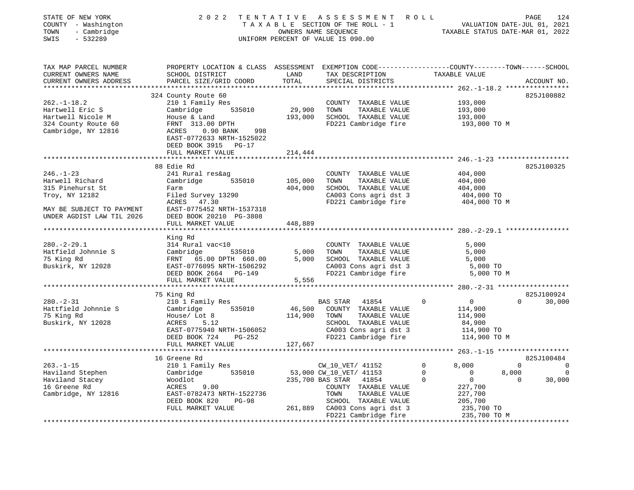| STATE OF NEW YORK<br>COUNTY - Washington<br>TOWN<br>- Cambridge<br>SWIS<br>$-532289$                          |                                                                                                                                              |                                              | 2022 TENTATIVE ASSESSMENT ROLL<br>TAXABLE SECTION OF THE ROLL - 1 VALUATION DATE-JUL 01, 2021<br>OWNERS NAME SEQUENCE TAXABLE STATUS DATE-MAR 01, 2022<br>UNIFORM PERCENT OF VALUE IS 090.00 |                         | PAGE           | 124                      |
|---------------------------------------------------------------------------------------------------------------|----------------------------------------------------------------------------------------------------------------------------------------------|----------------------------------------------|----------------------------------------------------------------------------------------------------------------------------------------------------------------------------------------------|-------------------------|----------------|--------------------------|
| TAX MAP PARCEL NUMBER<br>CURRENT OWNERS NAME<br>CURRENT OWNERS ADDRESS                                        | PROPERTY LOCATION & CLASS ASSESSMENT EXEMPTION CODE---------------COUNTY-------TOWN------SCHOOL<br>SCHOOL DISTRICT<br>PARCEL SIZE/GRID COORD | LAND<br>TOTAL                                | TAX DESCRIPTION TAXABLE VALUE<br>SPECIAL DISTRICTS                                                                                                                                           |                         |                | ACCOUNT NO.              |
|                                                                                                               |                                                                                                                                              |                                              |                                                                                                                                                                                              |                         |                |                          |
|                                                                                                               | 324 County Route 60                                                                                                                          |                                              |                                                                                                                                                                                              |                         | 825J100882     |                          |
| $262. - 1 - 18.2$                                                                                             | 210 1 Family Res                                                                                                                             |                                              | COUNTY TAXABLE VALUE                                                                                                                                                                         | 193,000                 |                |                          |
| Hartwell Eric S                                                                                               | Cambridge 535010                                                                                                                             | 29,900                                       | TOWN<br>TAXABLE VALUE                                                                                                                                                                        | 193,000                 |                |                          |
|                                                                                                               |                                                                                                                                              |                                              | 193,000 SCHOOL TAXABLE VALUE<br>FD221 Cambridge fire                                                                                                                                         | 193,000                 |                |                          |
| Hartwell Nicole M<br>324 County Route 60<br>Cambridge, NY 12816<br>Cambridge, NY 12816<br>ACRES 0.90 BANK 998 | 998<br>EAST-0772633 NRTH-1525022                                                                                                             |                                              |                                                                                                                                                                                              | 193,000 TO M            |                |                          |
|                                                                                                               | DEED BOOK 3915 PG-17                                                                                                                         |                                              |                                                                                                                                                                                              |                         |                |                          |
|                                                                                                               | FULL MARKET VALUE<br>********************                                                                                                    | 214,444                                      |                                                                                                                                                                                              |                         |                |                          |
|                                                                                                               | 88 Edie Rd                                                                                                                                   |                                              |                                                                                                                                                                                              |                         | 825J100325     |                          |
| $246. - 1 - 23$                                                                                               | 241 Rural res&ag                                                                                                                             |                                              | COUNTY TAXABLE VALUE                                                                                                                                                                         | 404,000                 |                |                          |
| Harwell Richard                                                                                               | Cambridge 535010 105,000                                                                                                                     |                                              | TAXABLE VALUE<br>TOWN                                                                                                                                                                        | 404,000                 |                |                          |
| 315 Pinehurst St                                                                                              | Farm                                                                                                                                         | 404,000                                      | SCHOOL TAXABLE VALUE                                                                                                                                                                         | 404,000                 |                |                          |
|                                                                                                               | Farm<br>Filed Survey 13290<br>* OPEC 47.30                                                                                                   |                                              | CA003 Cons agri dst 3                                                                                                                                                                        | 404,000 TO              |                |                          |
|                                                                                                               |                                                                                                                                              |                                              | FD221 Cambridge fire                                                                                                                                                                         | 404,000 TO M            |                |                          |
| Troy, NY 12182 Filed Survey 13290<br>ACRES 47.30<br>MAY BE SUBJECT TO PAYMENT EAST-0775452 NRTH-1537318       |                                                                                                                                              |                                              |                                                                                                                                                                                              |                         |                |                          |
| UNDER AGDIST LAW TIL 2026                                                                                     | DEED BOOK 20210 PG-3808                                                                                                                      |                                              |                                                                                                                                                                                              |                         |                |                          |
|                                                                                                               | FULL MARKET VALUE                                                                                                                            | 448,889                                      |                                                                                                                                                                                              |                         |                |                          |
|                                                                                                               | King Rd                                                                                                                                      |                                              |                                                                                                                                                                                              |                         |                |                          |
| $280. - 2 - 29.1$                                                                                             |                                                                                                                                              |                                              | COUNTY TAXABLE VALUE                                                                                                                                                                         | 5,000                   |                |                          |
| Hatfield Johnnie S                                                                                            |                                                                                                                                              |                                              | TAXABLE VALUE<br>TOWN                                                                                                                                                                        | 5,000                   |                |                          |
| 75 King Rd                                                                                                    |                                                                                                                                              |                                              | 5,000 SCHOOL TAXABLE VALUE                                                                                                                                                                   | 5,000                   |                |                          |
| Buskirk, NY 12028                                                                                             |                                                                                                                                              |                                              |                                                                                                                                                                                              | 5,000 TO                |                |                          |
|                                                                                                               | 314 Rural vac<10<br>Cambridge 535010 5,000<br>FRNT 65.00 DPTH 660.00 5,000<br>EAST-0776095 NRTH-1506292<br>DERN ROOK 2664 PG-149             |                                              | CA003 Cons agri dst 3<br>FD221 Cambridge fire                                                                                                                                                |                         | 5,000 TO M     |                          |
|                                                                                                               | FULL MARKET VALUE                                                                                                                            | 5,556                                        |                                                                                                                                                                                              |                         |                |                          |
|                                                                                                               |                                                                                                                                              |                                              |                                                                                                                                                                                              |                         |                |                          |
|                                                                                                               | 75 King Rd                                                                                                                                   |                                              |                                                                                                                                                                                              |                         | 825J100924     |                          |
| $280. -2 - 31$                                                                                                | 210 1 Family Res                                                                                                                             |                                              | BAS STAR 41854 0                                                                                                                                                                             | $\overline{0}$          | $\Omega$       | 30,000                   |
| Hattfield Johnnie S                                                                                           |                                                                                                                                              |                                              | 46,500 COUNTY TAXABLE VALUE                                                                                                                                                                  | 114,900                 |                |                          |
| 75 King Rd                                                                                                    | Let 8<br>5.12<br>House/ Lot 8                                                                                                                | 114,900 TOWN<br>SCHOOL<br>CA003 C<br>FD221 C | TAXABLE VALUE<br>SCHOOL TAXABLE VALUE                                                                                                                                                        | 114,900                 |                |                          |
| Buskirk, NY 12028                                                                                             | ACRES<br>EAST-0775940 NRTH-1506052                                                                                                           |                                              | CA003 Cons agri dst 3                                                                                                                                                                        | 84,900<br>114,900 TO    |                |                          |
|                                                                                                               | DEED BOOK 724 PG-252                                                                                                                         |                                              | FD221 Cambridge fire                                                                                                                                                                         |                         | 114,900 TO M   |                          |
|                                                                                                               | FULL MARKET VALUE                                                                                                                            | 127,667                                      |                                                                                                                                                                                              |                         |                |                          |
|                                                                                                               |                                                                                                                                              |                                              |                                                                                                                                                                                              |                         |                |                          |
|                                                                                                               | 16 Greene Rd                                                                                                                                 |                                              |                                                                                                                                                                                              |                         | 825J100484     |                          |
| $263. - 1 - 15$                                                                                               | 210 1 Family Res                                                                                                                             |                                              | CW_10_VET/ 41152                                                                                                                                                                             | $\overline{0}$<br>8,000 | $\Omega$       | $\overline{0}$           |
| Haviland Stephen                                                                                              |                                                                                                                                              |                                              | 53,000 CW_10_VET/ 41153 0<br>235,700 BAS STAR 41854 0                                                                                                                                        | $8,000$<br>0            | 8,000          | $\overline{\phantom{0}}$ |
| Haviland Stacey                                                                                               | Cambridge 535010<br>Woodlot<br>ACRES 9.00<br>9.00                                                                                            |                                              |                                                                                                                                                                                              | $\overline{0}$          | $\overline{0}$ | 30,000                   |
| 16 Greene Rd                                                                                                  |                                                                                                                                              |                                              | COUNTY TAXABLE VALUE                                                                                                                                                                         | 227,700                 |                |                          |
| Cambridge, NY 12816                                                                                           | EAST-0782473 NRTH-1522736                                                                                                                    |                                              | TOWN<br>TAXABLE VALUE                                                                                                                                                                        | 227,700                 |                |                          |
|                                                                                                               | DEED BOOK 820 PG-98                                                                                                                          |                                              | SCHOOL TAXABLE VALUE                                                                                                                                                                         | 205,700                 |                |                          |
|                                                                                                               | FULL MARKET VALUE                                                                                                                            |                                              | 261,889 CA003 Cons agri dst 3<br>FD221 Cambridge fire                                                                                                                                        | 235,700 TO              | 235,700 TO M   |                          |
|                                                                                                               |                                                                                                                                              |                                              |                                                                                                                                                                                              |                         |                |                          |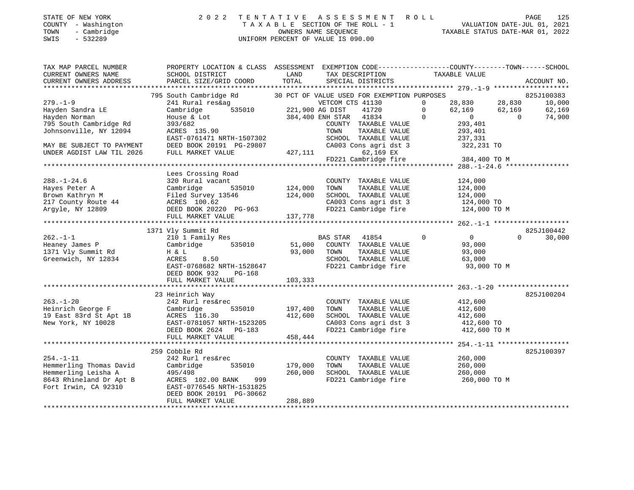| STATE OF NEW YORK |              |
|-------------------|--------------|
| <b>COUNTY</b>     | - Washington |
| TOWN              | - Cambridge  |
|                   |              |

## STATE OF NEW YORK 2 0 2 2 T E N T A T I V E A S S E S S M E N T R O L L PAGE 125 COUNTY - Washington T A X A B L E SECTION OF THE ROLL - 1 VALUATION DATE-JUL 01, 2021 TOWN - Cambridge OWNERS NAME SEQUENCE TAXABLE STATUS DATE-MAR 01, 2022 SWIS - 532289 UNIFORM PERCENT OF VALUE IS 090.00

| TAX MAP PARCEL NUMBER<br>CURRENT OWNERS NAME<br>CURRENT OWNERS ADDRESS                                                                                            | PROPERTY LOCATION & CLASS ASSESSMENT EXEMPTION CODE---------------COUNTY-------TOWN-----SCHOOL<br>SCHOOL DISTRICT<br>PARCEL SIZE/GRID COORD                                               | LAND<br>TOTAL                 | TAX DESCRIPTION TAXABLE VALUE<br>SPECIAL DISTRICTS                                                                                                                                                                |                                                                                                                              | ACCOUNT NO.                                                    |
|-------------------------------------------------------------------------------------------------------------------------------------------------------------------|-------------------------------------------------------------------------------------------------------------------------------------------------------------------------------------------|-------------------------------|-------------------------------------------------------------------------------------------------------------------------------------------------------------------------------------------------------------------|------------------------------------------------------------------------------------------------------------------------------|----------------------------------------------------------------|
| $279. - 1 - 9$<br>Hayden Sandra LE<br>Hayden Norman<br>795 South Cambridge Rd<br>Johnsonville, NY 12094<br>MAY BE SUBJECT TO PAYMENT<br>UNDER AGDIST LAW TIL 2026 | 795 South Cambridge Rd<br>241 Rural res&ag<br>535010<br>Cambridge<br>House & Lot<br>393/682<br>ACRES 135.90<br>EAST-0761471 NRTH-1507302<br>DEED BOOK 20191 PG-29807<br>FULL MARKET VALUE | 221,900 AG DIST<br>427,111    | 30 PCT OF VALUE USED FOR EXEMPTION PURPOSES<br>VETCOM CTS 41130<br>41720<br>384,400 ENH STAR 41834<br>COUNTY TAXABLE VALUE<br>TAXABLE VALUE<br>TOWN<br>SCHOOL TAXABLE VALUE<br>CA003 Cons agri dst 3<br>62,169 EX | 28,830 28,830<br>$\Omega$<br>$\Omega$<br>62,169<br>$\Omega$<br>$\overline{0}$<br>293,401<br>293,401<br>237,331<br>322,231 TO | 825J100383<br>10,000<br>62,169<br>62,169<br>$\Omega$<br>74,900 |
|                                                                                                                                                                   |                                                                                                                                                                                           |                               | FD221 Cambridge fire                                                                                                                                                                                              | 384,400 TO M                                                                                                                 |                                                                |
| $288. - 1 - 24.6$<br>Hayes Peter A<br>Brown Kathryn M<br>217 County Route 44<br>Argyle, NY 12809                                                                  | Lees Crossing Road<br>320 Rural vacant<br>Cambridge<br>535010<br>Filed Survey 13546<br>ACRES 100.62<br>DEED BOOK 20220 PG-963<br>FULL MARKET VALUE                                        | 124,000<br>124,000<br>137,778 | COUNTY TAXABLE VALUE<br>TAXABLE VALUE<br>TOWN<br>SCHOOL TAXABLE VALUE<br>CA003 Cons agri dst 3<br>FD221 Cambridge fire                                                                                            | 124,000<br>124,000<br>124,000<br>124,000 TO<br>124,000 TO M                                                                  |                                                                |
|                                                                                                                                                                   |                                                                                                                                                                                           |                               |                                                                                                                                                                                                                   |                                                                                                                              | 825J100442                                                     |
| $262 - 1 - 1$<br>Heaney James P<br>1371 Vly Summit Rd<br>Greenwich, NY 12834                                                                                      | 1371 Vly Summit Rd<br>210 1 Family Res<br>535010<br>Cambridge<br>H & L<br>8.50<br>ACRES<br>EAST-0768682 NRTH-1528647<br>DEED BOOK 932<br>PG-168<br>FULL MARKET VALUE                      | 51,000<br>93,000<br>103,333   | <b>BAS STAR</b><br>41854<br>COUNTY TAXABLE VALUE<br>TAXABLE VALUE<br>TOWN<br>SCHOOL TAXABLE VALUE<br>FD221 Cambridge fire                                                                                         | $\overline{0}$<br>$\mathbf 0$<br>93,000<br>93,000<br>63,000<br>93,000 TO M                                                   | 30,000<br>$\Omega$                                             |
|                                                                                                                                                                   |                                                                                                                                                                                           |                               |                                                                                                                                                                                                                   |                                                                                                                              | 825J100204                                                     |
| $263. - 1 - 20$<br>Heinrich George F<br>19 East 83rd St Apt 1B<br>New York, NY 10028                                                                              | 23 Heinrich Way<br>242 Rurl res&rec<br>Cambridge<br>535010<br>ACRES 116.30<br>EAST-0781057 NRTH-1523205<br>DEED BOOK 2624 PG-183                                                          | 197,400<br>412,600            | COUNTY TAXABLE VALUE<br>TAXABLE VALUE<br>TOWN<br>SCHOOL TAXABLE VALUE<br>CA003 Cons agri dst 3<br>FD221 Cambridge fire                                                                                            | 412,600<br>412,600<br>412,600<br>412,600 TO<br>412,600 TO M                                                                  |                                                                |
|                                                                                                                                                                   | FULL MARKET VALUE                                                                                                                                                                         | 458,444                       |                                                                                                                                                                                                                   |                                                                                                                              |                                                                |
| $254. - 1 - 11$<br>Hemmerling Thomas David<br>Hemmerling Leisha A<br>8643 Rhineland Dr Apt B<br>Fort Irwin, CA 92310                                              | 259 Cobble Rd<br>242 Rurl res&rec<br>Cambridge<br>535010<br>495/498<br>999<br>ACRES 102.00 BANK<br>EAST-0776545 NRTH-1531825                                                              | 179,000<br>260,000            | COUNTY TAXABLE VALUE<br>TOWN<br>TAXABLE VALUE<br>SCHOOL TAXABLE VALUE<br>FD221 Cambridge fire                                                                                                                     | 260,000<br>260,000<br>260,000<br>260,000 ТО М                                                                                | 825J100397                                                     |
|                                                                                                                                                                   | DEED BOOK 20191 PG-30662<br>FULL MARKET VALUE                                                                                                                                             | 288,889                       |                                                                                                                                                                                                                   |                                                                                                                              |                                                                |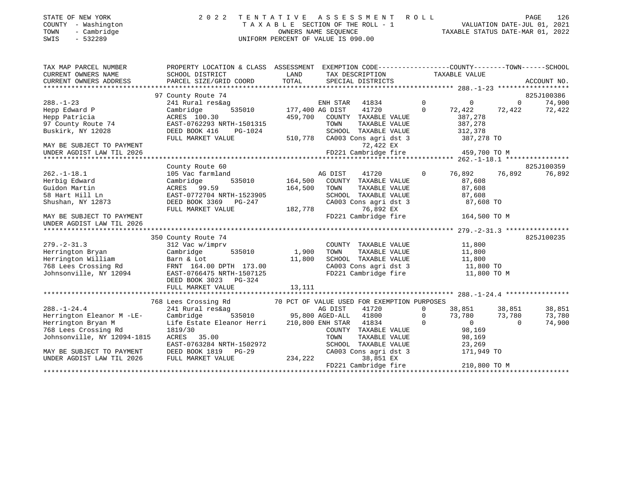| STATE OF NEW YORK<br>COUNTY - Washington | 2022 TENTATIVE ASSESSMENT ROLL<br>TAXABLE SECTION OF THE ROLL - 1 | PAGE<br>VALUATION DATE-JUL 01, 2021 | 126 |
|------------------------------------------|-------------------------------------------------------------------|-------------------------------------|-----|
| - Cambridge<br>TOWN<br>- 532289<br>SWIS  | OWNERS NAME SEOUENCE<br>UNIFORM PERCENT OF VALUE IS 090.00        | TAXABLE STATUS DATE-MAR 01, 2022    |     |

| TAX MAP PARCEL NUMBER                        | PROPERTY LOCATION & CLASS ASSESSMENT EXEMPTION CODE---------------COUNTY-------TOWN-----SCHOOL       |                                                                                                                        |                              |                       |                |                |                                                                                             |                |                          |
|----------------------------------------------|------------------------------------------------------------------------------------------------------|------------------------------------------------------------------------------------------------------------------------|------------------------------|-----------------------|----------------|----------------|---------------------------------------------------------------------------------------------|----------------|--------------------------|
| CURRENT OWNERS NAME                          | SCHOOL DISTRICT                                                                                      | <b>EXAMPLE SERVICE SERVICE SERVICE SERVICE SERVICE SERVICE SERVICE SERVICE SERVICE SERVICE SERVICE SERVICE SERVICE</b> |                              |                       |                |                | TAX DESCRIPTION TAXABLE VALUE                                                               |                |                          |
| CURRENT OWNERS ADDRESS                       |                                                                                                      |                                                                                                                        |                              |                       |                |                |                                                                                             |                |                          |
|                                              |                                                                                                      |                                                                                                                        |                              |                       |                |                |                                                                                             |                |                          |
|                                              | 97 County Route 74                                                                                   |                                                                                                                        |                              |                       |                |                |                                                                                             |                | 825J100386               |
| $288. - 1 - 23$                              | 241 Rural res&ag                                                                                     |                                                                                                                        | ENH STAR                     | 41834                 | $\overline{0}$ |                | $\overline{0}$                                                                              |                | 74,900<br>$\overline{0}$ |
| Hepp Edward P                                | 535010 177,400 AG DIST<br>Cambridge                                                                  |                                                                                                                        |                              | 41720                 |                | $\overline{0}$ |                                                                                             |                | 72,422 72,422 72,422     |
| Hepp Patricia                                | ACRES 100.30                                                                                         |                                                                                                                        | 459,700 COUNTY TAXABLE VALUE |                       |                |                | 387,278                                                                                     |                |                          |
| 97 County Route 74                           | EAST-0762293 NRTH-1501315                                                                            |                                                                                                                        | TOWN                         | TAXABLE VALUE         |                |                | 387,278                                                                                     |                |                          |
| Buskirk, NY 12028                            | DEED BOOK 416<br>PG-1024                                                                             |                                                                                                                        |                              | SCHOOL TAXABLE VALUE  |                |                | 312,378                                                                                     |                |                          |
|                                              | FULL MARKET VALUE                                                                                    | 510,778 CA003 Cons agri dst 3                                                                                          |                              |                       |                |                | 387,278 TO                                                                                  |                |                          |
| MAY BE SUBJECT TO PAYMENT                    |                                                                                                      |                                                                                                                        |                              | 72,422 EX             |                |                |                                                                                             |                |                          |
| UNDER AGDIST LAW TIL 2026                    |                                                                                                      |                                                                                                                        |                              |                       |                |                | FD221 Cambridge fire 459,700 TO M                                                           |                |                          |
|                                              |                                                                                                      |                                                                                                                        |                              |                       |                |                |                                                                                             |                |                          |
|                                              | County Route 60                                                                                      |                                                                                                                        |                              |                       |                |                |                                                                                             |                | 825J100359               |
| $262. -1 - 18.1$                             | 105 Vac farmland                                                                                     |                                                                                                                        | AG DIST                      | 41720                 |                |                | 0 76,892 76,892                                                                             |                | 76,892                   |
| Herbig Edward                                | Cambridge                                                                                            | 535010 164,500 COUNTY TAXABLE VALUE                                                                                    |                              |                       |                |                | 87,608                                                                                      |                |                          |
| Guidon Martin                                | ACRES 99.59                                                                                          |                                                                                                                        | 164,500 TOWN                 |                       |                |                | TOWN TAXABLE VALUE 87,608<br>SCHOOL TAXABLE VALUE 87,608<br>CA003 Cons agri dst 3 87,608 TO |                |                          |
| 58 Hart Hill Ln                              |                                                                                                      |                                                                                                                        |                              |                       |                |                |                                                                                             |                |                          |
| Shushan, NY 12873                            |                                                                                                      |                                                                                                                        |                              |                       |                |                |                                                                                             |                |                          |
|                                              |                                                                                                      |                                                                                                                        |                              | 76,892 EX             |                |                |                                                                                             |                |                          |
| MAY BE SUBJECT TO PAYMENT                    |                                                                                                      |                                                                                                                        |                              | FD221 Cambridge fire  |                |                | 164,500 TO M                                                                                |                |                          |
| UNDER AGDIST LAW TIL 2026                    |                                                                                                      |                                                                                                                        |                              |                       |                |                |                                                                                             |                |                          |
|                                              |                                                                                                      |                                                                                                                        |                              |                       |                |                |                                                                                             |                |                          |
|                                              | 350 County Route 74                                                                                  |                                                                                                                        |                              |                       |                |                |                                                                                             |                | 825J100235               |
| $279. - 2 - 31.3$                            | 312 Vac w/imprv                                                                                      |                                                                                                                        |                              |                       |                |                | COUNTY TAXABLE VALUE 11,800                                                                 |                |                          |
| Herrington Bryan<br>Herrington William       | 535010 1,900<br>Cambridge                                                                            |                                                                                                                        | TOWN                         |                       |                |                | TAXABLE VALUE 11,800<br>TAXABLE VALUE 11,800                                                |                |                          |
|                                              | Barn & Lot                                                                                           | 11,800                                                                                                                 |                              |                       |                |                |                                                                                             |                |                          |
| 768 Lees Crossing Rd FRNT 164.00 DPTH 173.00 |                                                                                                      |                                                                                                                        |                              |                       |                |                | SCHOOL TAXABLE VALUE 11,800<br>CA003 Cons agri dst 3 11,800 TO                              |                |                          |
| Johnsonville, NY 12094                       | EAST-0766475 NRTH-1507125                                                                            |                                                                                                                        |                              |                       |                |                | FD221 Cambridge fire 11,800 TO M                                                            |                |                          |
|                                              | DEED BOOK 3023 PG-324                                                                                |                                                                                                                        |                              |                       |                |                |                                                                                             |                |                          |
|                                              | FULL MARKET VALUE                                                                                    | 13,111                                                                                                                 |                              |                       |                |                |                                                                                             |                |                          |
|                                              |                                                                                                      |                                                                                                                        |                              |                       |                |                |                                                                                             |                |                          |
|                                              |                                                                                                      |                                                                                                                        |                              |                       |                |                |                                                                                             |                |                          |
| $288. - 1 - 24.4$                            | 768 Lees Crossing Rd 70 PCT OF VALUE USED FOR EXEMPTION PURPOSES 241 Rural res&ag ag AG DIST 41720 0 |                                                                                                                        |                              |                       |                |                | $0 \t 38,851 \t 38,851$                                                                     |                | 38,851                   |
| Herrington Eleanor M -LE-                    | Cambridge 535010 95,800 AGED-ALL 41800                                                               |                                                                                                                        |                              |                       |                | $\overline{0}$ | 73,780 73,780                                                                               |                | 73,780                   |
| Herrington Bryan M                           | Life Estate Eleanor Herri 210,800 ENH STAR 41834                                                     |                                                                                                                        |                              |                       |                | $\Omega$       | $\begin{matrix} 0 \\ 0 \\ 0 \end{matrix}$                                                   | $\overline{0}$ | 74,900                   |
| 768 Lees Crossing Rd                         | 1819/30                                                                                              |                                                                                                                        |                              | COUNTY TAXABLE VALUE  |                |                | 98,169                                                                                      |                |                          |
| Johnsonville, NY 12094-1815                  | ACRES 35.00                                                                                          |                                                                                                                        | TOWN                         |                       |                |                | TAXABLE VALUE 98,169                                                                        |                |                          |
|                                              | EAST-0763284 NRTH-1502972                                                                            |                                                                                                                        |                              | SCHOOL TAXABLE VALUE  |                |                |                                                                                             |                |                          |
| MAY BE SUBJECT TO PAYMENT                    | DEED BOOK 1819 PG-29                                                                                 |                                                                                                                        |                              | CA003 Cons agri dst 3 |                |                | 23,269<br>171,949<br>171,949 TO                                                             |                |                          |
| UNDER AGDIST LAW TIL 2026                    | FULL MARKET VALUE                                                                                    | 234,222                                                                                                                |                              | 38,851 EX             |                |                |                                                                                             |                |                          |
|                                              |                                                                                                      |                                                                                                                        |                              | FD221 Cambridge fire  |                |                | 210,800 TO M                                                                                |                |                          |
|                                              |                                                                                                      |                                                                                                                        |                              |                       |                |                |                                                                                             |                |                          |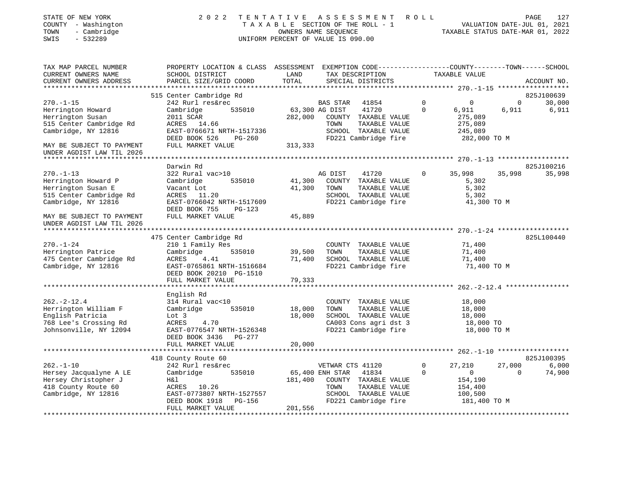| STATE OF NEW YORK<br>COUNTY - Washington<br>- Cambridge<br>TOWN<br>SWIS<br>$-532289$ | 2 0 2 2                                                                                                                                       | TENTATIVE                 | A S S E S S M E N T<br>TAXABLE SECTION OF THE ROLL - 1<br>OWNERS NAME SEQUENCE<br>UNIFORM PERCENT OF VALUE IS 090.00 | R O L L                  | TAXABLE STATUS DATE-MAR 01, 2022 |                | PAGE<br>127<br>VALUATION DATE-JUL 01, 2021 |
|--------------------------------------------------------------------------------------|-----------------------------------------------------------------------------------------------------------------------------------------------|---------------------------|----------------------------------------------------------------------------------------------------------------------|--------------------------|----------------------------------|----------------|--------------------------------------------|
| TAX MAP PARCEL NUMBER<br>CURRENT OWNERS NAME<br>CURRENT OWNERS ADDRESS               | PROPERTY LOCATION & CLASS ASSESSMENT EXEMPTION CODE----------------COUNTY-------TOWN------SCHOOL<br>SCHOOL DISTRICT<br>PARCEL SIZE/GRID COORD | LAND<br>TOTAL             | TAX DESCRIPTION<br>SPECIAL DISTRICTS                                                                                 |                          | TAXABLE VALUE                    |                | ACCOUNT NO.                                |
|                                                                                      |                                                                                                                                               |                           |                                                                                                                      |                          |                                  |                |                                            |
|                                                                                      | 515 Center Cambridge Rd                                                                                                                       |                           |                                                                                                                      |                          |                                  |                | 825J100639                                 |
| $270. - 1 - 15$                                                                      | 242 Rurl res&rec                                                                                                                              |                           | BAS STAR<br>41854                                                                                                    | $\mathsf{O}$<br>$\Omega$ | $\mathbf 0$                      | $\overline{0}$ | 30,000                                     |
| Herrington Howard<br>Herrington Susan                                                | 535010<br>Cambridge<br>2011 SCAR                                                                                                              | 63,300 AG DIST<br>282,000 | 41720<br>COUNTY TAXABLE VALUE                                                                                        |                          | 6,911<br>275,089                 | 6,911          | 6,911                                      |
| 515 Center Cambridge Rd                                                              | ACRES 14.66                                                                                                                                   |                           | TAXABLE VALUE<br>TOWN                                                                                                |                          | 275,089                          |                |                                            |
| Cambridge, NY 12816                                                                  | EAST-0766671 NRTH-1517336                                                                                                                     |                           | SCHOOL TAXABLE VALUE                                                                                                 |                          | 245,089                          |                |                                            |
|                                                                                      | DEED BOOK 526<br>PG-260                                                                                                                       |                           | FD221 Cambridge fire                                                                                                 |                          | 282,000 TO M                     |                |                                            |
| MAY BE SUBJECT TO PAYMENT                                                            | FULL MARKET VALUE                                                                                                                             | 313,333                   |                                                                                                                      |                          |                                  |                |                                            |
| UNDER AGDIST LAW TIL 2026                                                            |                                                                                                                                               |                           |                                                                                                                      |                          |                                  |                |                                            |
|                                                                                      |                                                                                                                                               |                           |                                                                                                                      |                          |                                  |                |                                            |
|                                                                                      | Darwin Rd                                                                                                                                     |                           |                                                                                                                      |                          |                                  |                | 825J100216                                 |
| $270. - 1 - 13$                                                                      | 322 Rural vac>10                                                                                                                              |                           | AG DIST<br>41720                                                                                                     | $\Omega$                 | 35,998                           | 35,998         | 35,998                                     |
| Herrington Howard P                                                                  | Cambridge<br>535010                                                                                                                           | 41,300                    | COUNTY TAXABLE VALUE                                                                                                 |                          | 5,302                            |                |                                            |
| Herrington Susan E                                                                   | Vacant Lot                                                                                                                                    | 41,300                    | TOWN<br>TAXABLE VALUE                                                                                                |                          | 5,302                            |                |                                            |
| 515 Center Cambridge Rd                                                              | ACRES 11.20                                                                                                                                   |                           | SCHOOL TAXABLE VALUE                                                                                                 |                          | 5,302                            |                |                                            |
| Cambridge, NY 12816                                                                  | EAST-0766042 NRTH-1517609<br>DEED BOOK 755<br><b>PG-123</b>                                                                                   |                           | FD221 Cambridge fire                                                                                                 |                          | 41,300 TO M                      |                |                                            |
| MAY BE SUBJECT TO PAYMENT<br>UNDER AGDIST LAW TIL 2026                               | FULL MARKET VALUE                                                                                                                             | 45,889                    |                                                                                                                      |                          |                                  |                |                                            |
|                                                                                      |                                                                                                                                               |                           |                                                                                                                      |                          |                                  |                |                                            |
|                                                                                      | 475 Center Cambridge Rd                                                                                                                       |                           |                                                                                                                      |                          |                                  |                | 825L100440                                 |
| $270. - 1 - 24$<br>Herrington Patrice                                                | 210 1 Family Res<br>Cambridge<br>535010                                                                                                       | 39,500                    | COUNTY TAXABLE VALUE<br>TAXABLE VALUE<br>TOWN                                                                        |                          | 71,400<br>71,400                 |                |                                            |
| 475 Center Cambridge Rd                                                              | ACRES<br>4.41                                                                                                                                 | 71,400                    | SCHOOL TAXABLE VALUE                                                                                                 |                          | 71,400                           |                |                                            |
| Cambridge, NY 12816                                                                  | EAST-0765861 NRTH-1516684                                                                                                                     |                           | FD221 Cambridge fire                                                                                                 |                          | 71,400 TO M                      |                |                                            |
|                                                                                      | DEED BOOK 20210 PG-1510<br>FULL MARKET VALUE                                                                                                  | 79,333                    |                                                                                                                      |                          |                                  |                |                                            |
|                                                                                      |                                                                                                                                               |                           |                                                                                                                      |                          |                                  |                |                                            |
|                                                                                      | English Rd                                                                                                                                    |                           |                                                                                                                      |                          |                                  |                |                                            |
| $262. -2 - 12.4$                                                                     | 314 Rural vac<10                                                                                                                              |                           | COUNTY TAXABLE VALUE                                                                                                 |                          | 18,000                           |                |                                            |
| Herrington William F                                                                 | Cambridge<br>535010                                                                                                                           | 18,000                    | TAXABLE VALUE<br>TOWN                                                                                                |                          | 18,000                           |                |                                            |
| English Patricia                                                                     | Lot 3                                                                                                                                         | 18,000                    | SCHOOL TAXABLE VALUE                                                                                                 |                          | 18,000                           |                |                                            |
| 768 Lee's Crossing Rd                                                                | ACRES<br>4.70                                                                                                                                 |                           | CA003 Cons agri dst 3                                                                                                |                          | 18,000 TO                        |                |                                            |
| Johnsonville, NY 12094                                                               | EAST-0776547 NRTH-1526348                                                                                                                     |                           | FD221 Cambridge fire                                                                                                 |                          | 18,000 TO M                      |                |                                            |
|                                                                                      | DEED BOOK 3436 PG-277                                                                                                                         |                           |                                                                                                                      |                          |                                  |                |                                            |
|                                                                                      | FULL MARKET VALUE                                                                                                                             | 20,000                    |                                                                                                                      |                          |                                  |                |                                            |
|                                                                                      |                                                                                                                                               |                           |                                                                                                                      |                          |                                  |                |                                            |
|                                                                                      | 418 County Route 60                                                                                                                           |                           |                                                                                                                      |                          |                                  |                | 825J100395                                 |
| $262. - 1 - 10$                                                                      | 242 Rurl res&rec                                                                                                                              |                           | VETWAR CTS 41120                                                                                                     | $\mathbf 0$              | 27,210                           | 27,000         | 6,000                                      |
| Hersey Jacqualyne A LE                                                               | Cambridge<br>535010<br>H&l                                                                                                                    | 181,400                   | 65,400 ENH STAR 41834<br>COUNTY TAXABLE VALUE                                                                        | $\Omega$                 | 0<br>154,190                     | $\Omega$       | 74,900                                     |
| Hersey Christopher J<br>418 County Route 60                                          | ACRES 10.26                                                                                                                                   |                           | TOWN<br>TAXABLE VALUE                                                                                                |                          | 154,400                          |                |                                            |
| Cambridge, NY 12816                                                                  | EAST-0773807 NRTH-1527557                                                                                                                     |                           | SCHOOL TAXABLE VALUE                                                                                                 |                          | 100,500                          |                |                                            |
|                                                                                      | <b>PG-156</b><br>DEED BOOK 1918                                                                                                               |                           | FD221 Cambridge fire                                                                                                 |                          | 181,400 TO M                     |                |                                            |
|                                                                                      | FULL MARKET VALUE                                                                                                                             | 201,556                   |                                                                                                                      |                          |                                  |                |                                            |
|                                                                                      |                                                                                                                                               |                           |                                                                                                                      |                          |                                  |                |                                            |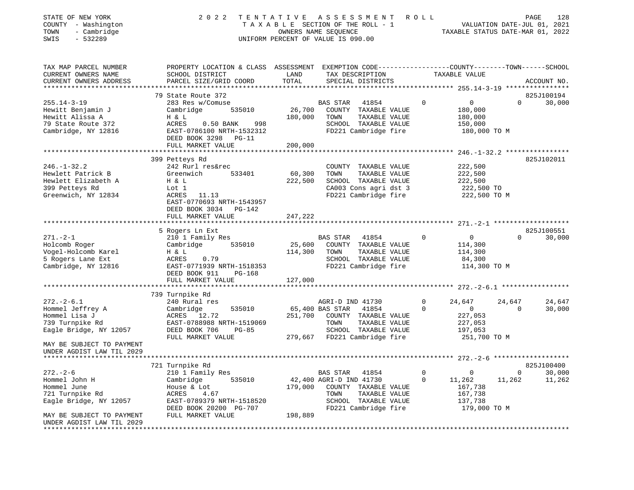| STATE OF NEW YORK<br>COUNTY - Washington<br>- Cambridge<br>TOWN<br>$-532289$<br>SWIS                   | 2 0 2 2                                                                                                                                             | TENTATIVE         | A S S E S S M E N T<br>TAXABLE SECTION OF THE ROLL - 1<br>OWNERS NAME SEQUENCE<br>UNIFORM PERCENT OF VALUE IS 090.00   | ROLL        | VALUATION DATE-JUL 01, 2021<br>TAXABLE STATUS DATE-MAR 01, 2022 |              | 128<br>PAGE |
|--------------------------------------------------------------------------------------------------------|-----------------------------------------------------------------------------------------------------------------------------------------------------|-------------------|------------------------------------------------------------------------------------------------------------------------|-------------|-----------------------------------------------------------------|--------------|-------------|
| TAX MAP PARCEL NUMBER<br>CURRENT OWNERS NAME<br>CURRENT OWNERS ADDRESS                                 | PROPERTY LOCATION & CLASS ASSESSMENT EXEMPTION CODE----------------COUNTY-------TOWN-----SCHOOL<br>SCHOOL DISTRICT<br>PARCEL SIZE/GRID COORD        | LAND<br>TOTAL     | TAX DESCRIPTION<br>SPECIAL DISTRICTS                                                                                   |             | TAXABLE VALUE                                                   |              | ACCOUNT NO. |
|                                                                                                        | 79 State Route 372                                                                                                                                  |                   |                                                                                                                        |             |                                                                 |              | 825J100194  |
| $255.14 - 3 - 19$<br>Hewitt Benjamin J<br>Hewitt Alissa A<br>79 State Route 372<br>Cambridge, NY 12816 | 283 Res w/Comuse<br>Cambridge<br>535010<br>H & L<br>ACRES<br>$0.50$ BANK<br>998<br>EAST-0786100 NRTH-1532312<br>DEED BOOK 3298<br>$PG-11$           | 26,700<br>180,000 | BAS STAR<br>41854<br>COUNTY TAXABLE VALUE<br>TOWN<br>TAXABLE VALUE<br>SCHOOL TAXABLE VALUE<br>FD221 Cambridge fire     | 0           | $\mathbf{0}$<br>180,000<br>180,000<br>150,000<br>180,000 TO M   | $\Omega$     | 30,000      |
|                                                                                                        | FULL MARKET VALUE                                                                                                                                   | 200,000           |                                                                                                                        |             |                                                                 |              |             |
|                                                                                                        |                                                                                                                                                     |                   |                                                                                                                        |             |                                                                 |              | 825J102011  |
| $246. - 1 - 32.2$<br>Hewlett Patrick B<br>Hewlett Elizabeth A<br>399 Petteys Rd<br>Greenwich, NY 12834 | 399 Petteys Rd<br>242 Rurl res&rec<br>Greenwich<br>533401<br>H & L<br>Lot 1<br>ACRES<br>11.13<br>EAST-0770693 NRTH-1543957<br>DEED BOOK 3034 PG-142 | 60,300<br>222,500 | COUNTY TAXABLE VALUE<br>TAXABLE VALUE<br>TOWN<br>SCHOOL TAXABLE VALUE<br>CA003 Cons agri dst 3<br>FD221 Cambridge fire |             | 222,500<br>222,500<br>222,500<br>222,500 TO<br>222,500 TO M     |              |             |
|                                                                                                        | FULL MARKET VALUE                                                                                                                                   | 247,222           |                                                                                                                        |             |                                                                 |              |             |
|                                                                                                        | **************************                                                                                                                          |                   |                                                                                                                        |             |                                                                 |              |             |
|                                                                                                        | 5 Rogers Ln Ext                                                                                                                                     |                   |                                                                                                                        |             |                                                                 |              | 825J100551  |
| $271. - 2 - 1$                                                                                         | 210 1 Family Res                                                                                                                                    |                   | <b>BAS STAR</b><br>41854                                                                                               | $\Omega$    | $\Omega$                                                        | $\Omega$     | 30,000      |
| Holcomb Roger<br>Vogel-Holcomb Karel                                                                   | Cambridge<br>535010<br>H & L                                                                                                                        | 25,600<br>114,300 | COUNTY TAXABLE VALUE<br>TOWN<br>TAXABLE VALUE                                                                          |             | 114,300<br>114,300                                              |              |             |
| 5 Rogers Lane Ext<br>Cambridge, NY 12816                                                               | ACRES<br>0.79<br>EAST-0771939 NRTH-1518353<br>DEED BOOK 911<br>PG-168                                                                               |                   | SCHOOL TAXABLE VALUE<br>FD221 Cambridge fire                                                                           |             | 84,300<br>114,300 TO M                                          |              |             |
|                                                                                                        | FULL MARKET VALUE                                                                                                                                   | 127,000           |                                                                                                                        |             |                                                                 |              |             |
|                                                                                                        |                                                                                                                                                     |                   |                                                                                                                        |             | *********** 272.-2-6.1 ***************                          |              |             |
|                                                                                                        | 739 Turnpike Rd                                                                                                                                     |                   |                                                                                                                        |             |                                                                 |              |             |
| $272. - 2 - 6.1$                                                                                       | 240 Rural res                                                                                                                                       |                   | AGRI-D IND 41730                                                                                                       | $\Omega$    | 24,647                                                          | 24,647       | 24,647      |
| Hommel Jeffrey A<br>Hommel Lisa J                                                                      | Cambridge<br>535010<br>ACRES<br>12.72                                                                                                               | 251,700           | 65,400 BAS STAR<br>41854<br>COUNTY TAXABLE VALUE                                                                       | $\Omega$    | $\Omega$<br>227,053                                             | $\Omega$     | 30,000      |
| 739 Turnpike Rd                                                                                        | EAST-0788988 NRTH-1519069                                                                                                                           |                   | TOWN<br>TAXABLE VALUE                                                                                                  |             | 227,053                                                         |              |             |
| Eagle Bridge, NY 12057                                                                                 | DEED BOOK 706<br>$PG-85$<br>FULL MARKET VALUE                                                                                                       | 279,667           | SCHOOL TAXABLE VALUE<br>FD221 Cambridge fire                                                                           |             | 197,053<br>251,700 TO M                                         |              |             |
| MAY BE SUBJECT TO PAYMENT<br>UNDER AGDIST LAW TIL 2029<br>***************************                  |                                                                                                                                                     |                   |                                                                                                                        |             |                                                                 |              |             |
|                                                                                                        | 721 Turnpike Rd                                                                                                                                     |                   |                                                                                                                        |             |                                                                 |              | 825J100400  |
| $272. - 2 - 6$                                                                                         | 210 1 Family Res                                                                                                                                    |                   | BAS STAR<br>41854                                                                                                      | $\mathbf 0$ | 0                                                               | $\mathbf{0}$ | 30,000      |
| Hommel John H                                                                                          | 535010<br>Cambridge                                                                                                                                 |                   | 42,400 AGRI-D IND 41730                                                                                                | 0           | 11,262                                                          | 11,262       | 11,262      |
| Hommel June                                                                                            | House & Lot                                                                                                                                         | 179,000           | COUNTY TAXABLE VALUE                                                                                                   |             | 167,738                                                         |              |             |
| 721 Turnpike Rd                                                                                        | ACRES<br>4.67                                                                                                                                       |                   | TOWN<br>TAXABLE VALUE                                                                                                  |             | 167,738                                                         |              |             |
| Eagle Bridge, NY 12057                                                                                 | EAST-0789379 NRTH-1518520<br>DEED BOOK 20200 PG-707                                                                                                 |                   | SCHOOL TAXABLE VALUE<br>FD221 Cambridge fire                                                                           |             | 137,738<br>179,000 TO M                                         |              |             |
| MAY BE SUBJECT TO PAYMENT<br>UNDER AGDIST LAW TIL 2029<br>**************************                   | FULL MARKET VALUE                                                                                                                                   | 198,889           |                                                                                                                        |             |                                                                 |              |             |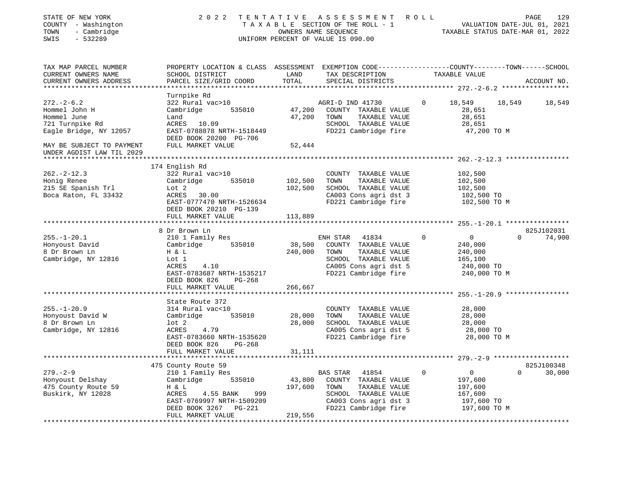| STATE OF NEW YORK<br>COUNTY - Washington<br>- Cambridge<br>TOWN<br>SWIS<br>$-532289$                    | 2 0 2 2                                                                                                                                                                         | OWNERS NAME SEQUENCE         | TENTATIVE ASSESSMENT ROLL<br>TAXABLE SECTION OF THE ROLL - 1<br>UNIFORM PERCENT OF VALUE IS 090.00                                          |          | TAXABLE STATUS DATE-MAR 01, 2022                                              | PAGE<br>129<br>VALUATION DATE-JUL 01, 2021 |
|---------------------------------------------------------------------------------------------------------|---------------------------------------------------------------------------------------------------------------------------------------------------------------------------------|------------------------------|---------------------------------------------------------------------------------------------------------------------------------------------|----------|-------------------------------------------------------------------------------|--------------------------------------------|
| TAX MAP PARCEL NUMBER<br>CURRENT OWNERS NAME<br>CURRENT OWNERS ADDRESS<br>***************************** | PROPERTY LOCATION & CLASS ASSESSMENT EXEMPTION CODE----------------COUNTY-------TOWN-----SCHOOL<br>SCHOOL DISTRICT<br>PARCEL SIZE/GRID COORD                                    | LAND<br>TOTAL                | TAX DESCRIPTION<br>SPECIAL DISTRICTS                                                                                                        |          | TAXABLE VALUE                                                                 | ACCOUNT NO.                                |
| $272. - 2 - 6.2$<br>Hommel John H<br>Hommel June<br>721 Turnpike Rd<br>Eagle Bridge, NY 12057           | Turnpike Rd<br>322 Rural vac>10<br>Cambridge<br>535010<br>Land<br>ACRES 10.09<br>EAST-0788878 NRTH-1518449<br>DEED BOOK 20200 PG-706                                            | 47,200<br>47,200             | AGRI-D IND 41730<br>COUNTY TAXABLE VALUE<br>TOWN<br>TAXABLE VALUE<br>SCHOOL TAXABLE VALUE<br>FD221 Cambridge fire                           | $\circ$  | 18,549<br>18,549<br>28,651<br>28,651<br>28,651<br>47,200 TO M                 | 18,549                                     |
| MAY BE SUBJECT TO PAYMENT<br>UNDER AGDIST LAW TIL 2029                                                  | FULL MARKET VALUE                                                                                                                                                               | 52,444                       |                                                                                                                                             |          |                                                                               |                                            |
|                                                                                                         |                                                                                                                                                                                 |                              |                                                                                                                                             |          |                                                                               |                                            |
| $262 - 2 - 12.3$<br>Honig Renee<br>215 SE Spanish Trl<br>Boca Raton, FL 33432                           | 174 English Rd<br>322 Rural vac>10<br>535010<br>Cambridge<br>Lot 2<br>ACRES<br>30.00<br>EAST-0777470 NRTH-1526634                                                               | 102,500<br>102,500           | COUNTY TAXABLE VALUE<br>TAXABLE VALUE<br>TOWN<br>SCHOOL TAXABLE VALUE<br>CA003 Cons agri dst 3<br>FD221 Cambridge fire                      |          | 102,500<br>102,500<br>102,500<br>102,500 TO<br>102,500 TO M                   |                                            |
|                                                                                                         | DEED BOOK 20210 PG-139<br>FULL MARKET VALUE                                                                                                                                     | 113,889                      |                                                                                                                                             |          |                                                                               |                                            |
|                                                                                                         |                                                                                                                                                                                 |                              |                                                                                                                                             |          |                                                                               |                                            |
| $255. - 1 - 20.1$<br>Honyoust David<br>8 Dr Brown Ln<br>Cambridge, NY 12816                             | 8 Dr Brown Ln<br>210 1 Family Res<br>535010<br>Cambridge<br>H & L<br>Lot 1<br>ACRES<br>4.10<br>EAST-0783687 NRTH-1535217<br>PG-268                                              | 38,500<br>240,000            | ENH STAR<br>41834<br>COUNTY TAXABLE VALUE<br>TOWN<br>TAXABLE VALUE<br>SCHOOL TAXABLE VALUE<br>CA005 Cons agri dst 5<br>FD221 Cambridge fire | $\Omega$ | $\overline{0}$<br>240,000<br>240,000<br>165,100<br>240,000 TO<br>240,000 TO M | 825J102031<br>74,900<br>$\Omega$           |
|                                                                                                         | DEED BOOK 826<br>FULL MARKET VALUE                                                                                                                                              | 266,667                      |                                                                                                                                             |          |                                                                               |                                            |
| $255. - 1 - 20.9$<br>Honyoust David W<br>8 Dr Brown Ln<br>Cambridge, NY 12816                           | ************************<br>State Route 372<br>314 Rural vac<10<br>Cambridge<br>535010<br>$1$ ot $2$<br>ACRES<br>4.79<br>EAST-0783660 NRTH-1535620<br>DEED BOOK 826<br>$PG-268$ | 28,000<br>28,000             | COUNTY TAXABLE VALUE<br>TOWN<br>TAXABLE VALUE<br>SCHOOL TAXABLE VALUE<br>CA005 Cons agri dst 5<br>FD221 Cambridge fire                      |          | 28,000<br>28,000<br>28,000<br>28,000 TO<br>28,000 TO M                        |                                            |
|                                                                                                         | FULL MARKET VALUE                                                                                                                                                               | 31,111                       |                                                                                                                                             |          |                                                                               |                                            |
|                                                                                                         | 475 County Route 59                                                                                                                                                             |                              |                                                                                                                                             |          |                                                                               | 825J100348                                 |
| $279. - 2 - 9$<br>Honyoust Delshay<br>475 County Route 59<br>Buskirk, NY 12028                          | 210 1 Family Res<br>535010<br>Cambridge<br>H & L<br>ACRES<br>4.55 BANK<br>999<br>EAST-0769997 NRTH-1509209<br>DEED BOOK 3267 PG-221<br>FULL MARKET VALUE                        | 43,800<br>197,600<br>219,556 | BAS STAR<br>41854<br>COUNTY TAXABLE VALUE<br>TOWN<br>TAXABLE VALUE<br>SCHOOL TAXABLE VALUE<br>CA003 Cons agri dst 3<br>FD221 Cambridge fire | 0        | $\overline{0}$<br>197,600<br>197,600<br>167,600<br>197,600 TO<br>197,600 TO M | 30,000<br>$\Omega$                         |
|                                                                                                         |                                                                                                                                                                                 |                              |                                                                                                                                             |          |                                                                               |                                            |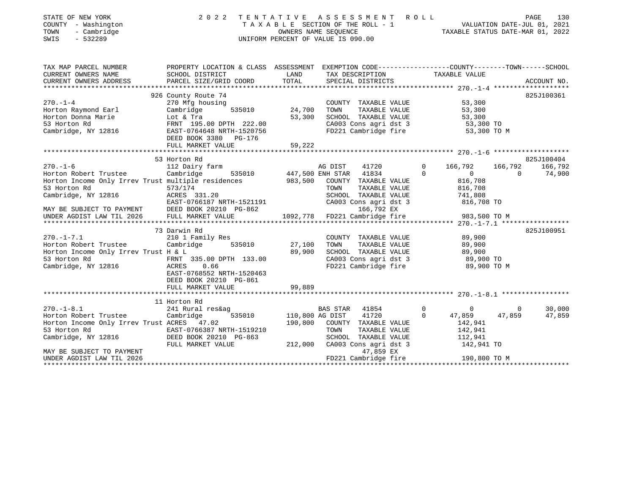| STATE OF NEW YORK<br>COUNTY - Washington<br>TOWN<br>- Cambridge<br>SWIS<br>$-532289$       | TENTATIVE ASSESSMENT<br>2 0 2 2<br>TAXABLE SECTION OF THE ROLL - 1<br>UNIFORM PERCENT OF VALUE IS 090.00 | R O L L                | 130<br>PAGE<br>1<br>7021 VALUATION DATE-JUL 01, 2021<br>712 TAXABLE STATUS DATE-MAR 01, 2022 |                |                           |                |             |
|--------------------------------------------------------------------------------------------|----------------------------------------------------------------------------------------------------------|------------------------|----------------------------------------------------------------------------------------------|----------------|---------------------------|----------------|-------------|
| TAX MAP PARCEL NUMBER                                                                      | PROPERTY LOCATION & CLASS ASSESSMENT EXEMPTION CODE---------------COUNTY-------TOWN-----SCHOOL           |                        |                                                                                              |                |                           |                |             |
| CURRENT OWNERS NAME<br>CURRENT OWNERS ADDRESS                                              | SCHOOL DISTRICT<br>PARCEL SIZE/GRID COORD                                                                | LAND<br>TOTAL          | TAX DESCRIPTION TAXABLE VALUE<br>SPECIAL DISTRICTS                                           |                |                           |                | ACCOUNT NO. |
|                                                                                            |                                                                                                          |                        |                                                                                              |                |                           |                |             |
|                                                                                            | 926 County Route 74                                                                                      |                        |                                                                                              |                |                           |                | 825J100361  |
| $270. - 1 - 4$                                                                             | 270 Mfg housing<br>535010                                                                                |                        | COUNTY TAXABLE VALUE                                                                         |                | 53,300                    |                |             |
| Horton Raymond Earl<br>Horton Donna Marie                                                  | Cambridge<br>Lot & Tra                                                                                   | 24,700 TOWN<br>53,300  | TAXABLE VALUE<br>SCHOOL TAXABLE VALUE                                                        |                | 53,300<br>53,300          |                |             |
| 53 Horton Rd                                                                               |                                                                                                          |                        |                                                                                              |                |                           |                |             |
| Cambridge, NY 12816                                                                        | FRNT 195.00 DPTH 222.00<br>EAST-0764648 NRTH-1520756<br>DEED BOOK 3380 PG-176                            |                        | CA003 Cons agri dst 3 53,300 TO<br>FD221 Cambridge fire 53,300 TO M                          |                |                           |                |             |
|                                                                                            | FULL MARKET VALUE                                                                                        | 59,222                 |                                                                                              |                |                           |                |             |
|                                                                                            |                                                                                                          |                        |                                                                                              |                |                           |                |             |
|                                                                                            | 53 Horton Rd                                                                                             |                        |                                                                                              |                |                           |                | 825J100404  |
| $270. - 1 - 6$                                                                             | 112 Dairy farm                                                                                           |                        | AG DIST<br>41720                                                                             | $\overline{0}$ | 166,792                   | 166,792        | 166,792     |
| Horton Robert Trustee<br>Horton Income Only Irrev Trust multiple residences                | Cambridge                                                                                                |                        | 535010<br>355010 447,500 ENH STAR 41834<br>3983,500 COUNTY TAXABLE<br>COUNTY TAXABLE VALUE   | $\Omega$       | $\overline{0}$<br>816,708 | $\overline{0}$ | 74,900      |
| 53 Horton Rd                                                                               | 573/174                                                                                                  |                        | TAXABLE VALUE<br>TOWN                                                                        |                |                           |                |             |
| Cambridge, NY 12816                                                                        | ACRES 331.20                                                                                             |                        |                                                                                              |                | $816,100$<br>$741,808$    |                |             |
|                                                                                            |                                                                                                          |                        | SCHOOL TAXABLE VALUE 741,808<br>CA003 Cons agri dst 3 816,708 TO                             |                |                           |                |             |
|                                                                                            | ACRES 331.20<br>EAST-0766187 NRTH-1521191<br>- Fast 20010 DC-962<br>DEED BOOK 20210 PG-862               |                        | 166,792 EX                                                                                   |                |                           |                |             |
| MAY BE SUBJECT TO PAYMENT DEED BOOK 20210 I<br>UNDER AGDIST LAW TIL 2026 FULL MARKET VALUE |                                                                                                          |                        | 1092,778 FD221 Cambridge fire                                                                |                | 983,500 TO M              |                |             |
|                                                                                            |                                                                                                          |                        |                                                                                              |                |                           |                |             |
|                                                                                            | 73 Darwin Rd                                                                                             |                        |                                                                                              |                |                           |                | 825J100951  |
| $270. - 1 - 7.1$                                                                           | 210 1 Family Res                                                                                         |                        | COUNTY TAXABLE VALUE                                                                         |                | 89,900                    |                |             |
| Horton Robert Trustee Cambridge                                                            | 535010                                                                                                   | 27,100 TOWN            | TAXABLE VALUE                                                                                |                | 89,900                    |                |             |
| Horton Income Only Irrev Trust H & L                                                       |                                                                                                          | 89,900                 | SCHOOL TAXABLE VALUE                                                                         |                | 89,900                    |                |             |
| 53 Horton Rd<br>Cambridge, NY 12816                                                        | FRNT 335.00 DPTH 133.00                                                                                  |                        | CA003 Cons agri dst 3 89,900 TO<br>FD221 Cambridge fire 89,900 TO M                          |                |                           |                |             |
|                                                                                            | 0.66<br>ACRES<br>EAST-0768552 NRTH-1520463<br>DEED BOOK 20210 PG-861                                     |                        |                                                                                              |                |                           |                |             |
|                                                                                            | FULL MARKET VALUE                                                                                        | 99,889                 |                                                                                              |                |                           |                |             |
|                                                                                            |                                                                                                          |                        |                                                                                              |                |                           |                |             |
|                                                                                            | 11 Horton Rd                                                                                             |                        |                                                                                              |                |                           |                |             |
| $270. - 1 - 8.1$                                                                           | 241 Rural res&ag                                                                                         |                        | BAS STAR<br>41854                                                                            | $\overline{0}$ | $\overline{0}$            | $\mathbf{0}$   | 30,000      |
| Horton Robert Trustee                                                                      | Cambridge                                                                                                | 535010 110,800 AG DIST | 41720<br>190,800 COUNTY TAXABLE VALUE                                                        | $\Omega$       | 47,859                    | 47,859         | 47,859      |
| Horton Income Only Irrev Trust ACRES 47.02                                                 | EAST-0766387 NRTH-1519210                                                                                |                        | TOWN<br>TAXABLE VALUE                                                                        |                | 142,941<br>142,941        |                |             |
| 53 Horton Rd<br>Cambridge, NY 12816                                                        | DEED BOOK 20210 PG-863                                                                                   |                        | SCHOOL TAXABLE VALUE                                                                         |                | 112,941                   |                |             |
|                                                                                            | FULL MARKET VALUE                                                                                        |                        | 212,000 CA003 Cons agri dst 3                                                                |                | 142,941 TO                |                |             |
| MAY BE SUBJECT TO PAYMENT                                                                  |                                                                                                          |                        | 47,859 EX                                                                                    |                |                           |                |             |

MAY BE SUBJECT TO PAYMENTUNDER AGDIST LAW TIL 2026 FD221 Cambridge fire 190,800 TO M \*\*\*\*\*\*\*\*\*\*\*\*\*\*\*\*\*\*\*\*\*\*\*\*\*\*\*\*\*\*\*\*\*\*\*\*\*\*\*\*\*\*\*\*\*\*\*\*\*\*\*\*\*\*\*\*\*\*\*\*\*\*\*\*\*\*\*\*\*\*\*\*\*\*\*\*\*\*\*\*\*\*\*\*\*\*\*\*\*\*\*\*\*\*\*\*\*\*\*\*\*\*\*\*\*\*\*\*\*\*\*\*\*\*\*\*\*\*\*\*\*\*\*\*\*\*\*\*\*\*\*\*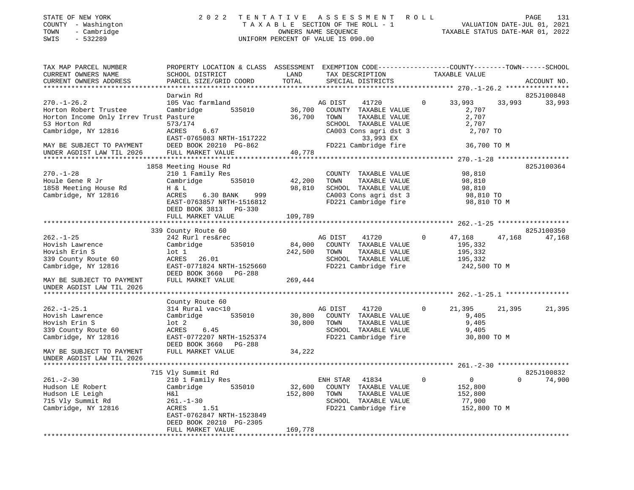| STATE OF NEW YORK<br>COUNTY - Washington<br>- Cambridge<br>TOWN<br>$-532289$<br>SWIS | 2 0 2 2                                                                                         | TENTATIVE ASSESSMENT<br>TAXABLE SECTION OF THE ROLL - 1<br>OWNERS NAME SEQUENCE<br>UNIFORM PERCENT OF VALUE IS 090.00 |              |                                                | R O L L        | - 1 VALUATION DATE-JUL 01, 2021<br>TAXABLE STATUS DATE-MAR 01, 2022 |        | PAGE        | 131    |
|--------------------------------------------------------------------------------------|-------------------------------------------------------------------------------------------------|-----------------------------------------------------------------------------------------------------------------------|--------------|------------------------------------------------|----------------|---------------------------------------------------------------------|--------|-------------|--------|
| TAX MAP PARCEL NUMBER                                                                | PROPERTY LOCATION & CLASS ASSESSMENT EXEMPTION CODE---------------COUNTY-------TOWN------SCHOOL |                                                                                                                       |              |                                                |                |                                                                     |        |             |        |
| CURRENT OWNERS NAME                                                                  | SCHOOL DISTRICT                                                                                 | LAND                                                                                                                  |              | TAX DESCRIPTION                                |                | TAXABLE VALUE                                                       |        |             |        |
| CURRENT OWNERS ADDRESS                                                               | PARCEL SIZE/GRID COORD                                                                          | TOTAL                                                                                                                 |              | SPECIAL DISTRICTS                              |                |                                                                     |        | ACCOUNT NO. |        |
|                                                                                      |                                                                                                 |                                                                                                                       |              |                                                |                |                                                                     |        |             |        |
|                                                                                      | Darwin Rd                                                                                       |                                                                                                                       |              |                                                |                |                                                                     |        | 825J100848  |        |
| $270. - 1 - 26.2$                                                                    | 105 Vac farmland                                                                                |                                                                                                                       | AG DIST      | 41720<br>$\sim$ 0                              |                | 33,993                                                              | 33,993 |             | 33,993 |
| Horton Robert Trustee                                                                | Cambridge<br>535010                                                                             | 36,700                                                                                                                |              | COUNTY TAXABLE VALUE                           |                | 2,707                                                               |        |             |        |
| Horton Income Only Irrev Trust Pasture                                               |                                                                                                 | 36,700 TOWN                                                                                                           |              | TAXABLE VALUE                                  |                | 2,707                                                               |        |             |        |
| 53 Horton Rd                                                                         | 573/174<br>ACRES 6.67                                                                           |                                                                                                                       |              | SCHOOL TAXABLE VALUE<br>CA003 Cons agri dst 3  |                | 2,707<br>2,707 TO                                                   |        |             |        |
| Cambridge, NY 12816                                                                  | EAST-0765083 NRTH-1517222                                                                       |                                                                                                                       |              | 33,993 EX                                      |                |                                                                     |        |             |        |
| MAY BE SUBJECT TO PAYMENT                                                            | DEED BOOK 20210 PG-862                                                                          |                                                                                                                       |              | FD221 Cambridge fire                           |                | 36,700 TO M                                                         |        |             |        |
| UNDER AGDIST LAW TIL 2026                                                            | FULL MARKET VALUE                                                                               | 40,778                                                                                                                |              |                                                |                |                                                                     |        |             |        |
|                                                                                      |                                                                                                 |                                                                                                                       |              |                                                |                |                                                                     |        |             |        |
|                                                                                      | 1858 Meeting House Rd                                                                           |                                                                                                                       |              |                                                |                |                                                                     |        | 825J100364  |        |
| $270. - 1 - 28$                                                                      | 210 1 Family Res                                                                                |                                                                                                                       |              | COUNTY TAXABLE VALUE                           |                | 98,810                                                              |        |             |        |
| Houle Gene R Jr                                                                      | 535010<br>Cambridge                                                                             | 42,200                                                                                                                | TOWN         | TAXABLE VALUE                                  |                | 98,810                                                              |        |             |        |
| 1858 Meeting House Rd                                                                | H & L                                                                                           | 98,810                                                                                                                |              | SCHOOL TAXABLE VALUE                           |                | 98,810                                                              |        |             |        |
| Cambridge, NY 12816                                                                  | ACRES<br>6.30 BANK<br>999                                                                       |                                                                                                                       |              | CAOOS CONSTANTE VALUE<br>CAOOS Constagri dst 3 |                | 98,810 TO                                                           |        |             |        |
|                                                                                      | EAST-0763857 NRTH-1516812                                                                       |                                                                                                                       |              | FD221 Cambridge fire                           |                | 98,810 TO M                                                         |        |             |        |
|                                                                                      | DEED BOOK 3813 PG-330                                                                           |                                                                                                                       |              |                                                |                |                                                                     |        |             |        |
|                                                                                      | FULL MARKET VALUE                                                                               | 109,789                                                                                                               |              |                                                |                |                                                                     |        |             |        |
|                                                                                      |                                                                                                 |                                                                                                                       |              |                                                |                |                                                                     |        |             |        |
|                                                                                      | 339 County Route 60                                                                             |                                                                                                                       |              |                                                |                |                                                                     |        | 825J100350  |        |
| $262. - 1 - 25$                                                                      | 242 Rurl res&rec                                                                                |                                                                                                                       | AG DIST      | 41720                                          | $\overline{0}$ | 47,168                                                              | 47,168 |             | 47,168 |
| Hovish Lawrence                                                                      | 535010<br>Cambridge                                                                             |                                                                                                                       |              | 84,000 COUNTY TAXABLE VALUE                    |                | 195,332                                                             |        |             |        |
| Hovish Erin S                                                                        | $1$ ot $1$                                                                                      |                                                                                                                       | 242,500 TOWN | TAXABLE VALUE                                  |                | 195,332                                                             |        |             |        |
| 339 County Route 60                                                                  | ACRES 26.01                                                                                     |                                                                                                                       |              | SCHOOL TAXABLE VALUE                           |                | 195,332                                                             |        |             |        |
| Cambridge, NY 12816                                                                  | EAST-0771824 NRTH-1525660                                                                       |                                                                                                                       |              | FD221 Cambridge fire                           |                | 242,500 TO M                                                        |        |             |        |
|                                                                                      | DEED BOOK 3660 PG-288                                                                           |                                                                                                                       |              |                                                |                |                                                                     |        |             |        |
| MAY BE SUBJECT TO PAYMENT<br>UNDER AGDIST LAW TIL 2026                               | FULL MARKET VALUE                                                                               | 269,444                                                                                                               |              |                                                |                |                                                                     |        |             |        |
|                                                                                      |                                                                                                 |                                                                                                                       |              |                                                |                |                                                                     |        |             |        |
|                                                                                      | County Route 60                                                                                 |                                                                                                                       |              |                                                |                |                                                                     |        |             |        |
| $262. - 1 - 25.1$                                                                    | 314 Rural vac<10                                                                                |                                                                                                                       | AG DIST      | 41720                                          | $\Omega$       | 21,395                                                              | 21,395 |             | 21,395 |
| Hovish Lawrence                                                                      | Cambridge<br>535010                                                                             | 30,800                                                                                                                |              | COUNTY TAXABLE VALUE                           |                | 9,405                                                               |        |             |        |
| Hovish Erin S                                                                        | $1$ ot $2$                                                                                      | 30,800                                                                                                                | TOWN         | TAXABLE VALUE                                  |                | 9,405                                                               |        |             |        |
| 339 County Route 60                                                                  | ACRES<br>6.45                                                                                   |                                                                                                                       |              | SCHOOL TAXABLE VALUE                           |                | 9,405                                                               |        |             |        |

Cambridge, NY 12816 EAST-0772207 NRTH-1525374 FD221 Cambridge fire 30,800 TO M DEED BOOK 3660 PG-288MAY BE SUBJECT TO PAYMENT FULL MARKET VALUE 34,222 UNDER AGDIST LAW TIL 2026 \*\*\*\*\*\*\*\*\*\*\*\*\*\*\*\*\*\*\*\*\*\*\*\*\*\*\*\*\*\*\*\*\*\*\*\*\*\*\*\*\*\*\*\*\*\*\*\*\*\*\*\*\*\*\*\*\*\*\*\*\*\*\*\*\*\*\*\*\*\*\*\*\*\*\*\*\*\*\*\*\*\*\*\*\*\*\*\*\*\*\*\*\*\*\*\*\*\*\*\*\*\*\* 261.-2-30 \*\*\*\*\*\*\*\*\*\*\*\*\*\*\*\*\*\*825J100832 715 Vly Summit Rd 261.-2-30 210 1 Family Res ENH STAR 41834 0 0 0 74,900 Hudson LE Robert Cambridge 535010 32,600 COUNTY TAXABLE VALUE 152,800 Hudson LE Leigh H&l 152,800 TOWN TAXABLE VALUE 152,800 SCHOOL TAXABLE VALUE Cambridge, NY 12816 ACRES 1.51 FD221 Cambridge fire 152,800 TO M EAST-0762847 NRTH-1523849 DEED BOOK 20210 PG-2305 FULL MARKET VALUE 169,778 \*\*\*\*\*\*\*\*\*\*\*\*\*\*\*\*\*\*\*\*\*\*\*\*\*\*\*\*\*\*\*\*\*\*\*\*\*\*\*\*\*\*\*\*\*\*\*\*\*\*\*\*\*\*\*\*\*\*\*\*\*\*\*\*\*\*\*\*\*\*\*\*\*\*\*\*\*\*\*\*\*\*\*\*\*\*\*\*\*\*\*\*\*\*\*\*\*\*\*\*\*\*\*\*\*\*\*\*\*\*\*\*\*\*\*\*\*\*\*\*\*\*\*\*\*\*\*\*\*\*\*\*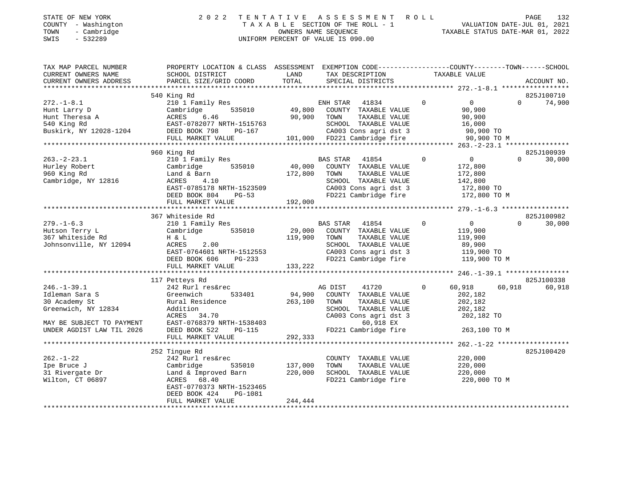| STATE OF NEW YORK   | 2022 TENTATIVE ASSESSMENT ROLL     | PAGE                             | 132 |
|---------------------|------------------------------------|----------------------------------|-----|
| COUNTY - Washington | TAXABLE SECTION OF THE ROLL - 1    | VALUATION DATE-JUL 01, 2021      |     |
| - Cambridge<br>TOWN | OWNERS NAME SEOUENCE               | TAXABLE STATUS DATE-MAR 01, 2022 |     |
| SWIS<br>- 532289    | UNIFORM PERCENT OF VALUE IS 090.00 |                                  |     |

| TAX MAP PARCEL NUMBER<br>CURRENT OWNERS NAME<br>CURRENT OWNERS ADDRESS                                                                | PROPERTY LOCATION & CLASS ASSESSMENT EXEMPTION CODE---------------COUNTY-------TOWN-----SCHOOL<br>SCHOOL DISTRICT<br>PARCEL SIZE/GRID COORD                                      | LAND<br>TOTAL                 | TAX DESCRIPTION<br>SPECIAL DISTRICTS                                                                                                                                     | TAXABLE VALUE                                                                                   |          | ACCOUNT NO. |
|---------------------------------------------------------------------------------------------------------------------------------------|----------------------------------------------------------------------------------------------------------------------------------------------------------------------------------|-------------------------------|--------------------------------------------------------------------------------------------------------------------------------------------------------------------------|-------------------------------------------------------------------------------------------------|----------|-------------|
|                                                                                                                                       |                                                                                                                                                                                  |                               |                                                                                                                                                                          |                                                                                                 |          |             |
|                                                                                                                                       | 540 King Rd                                                                                                                                                                      |                               |                                                                                                                                                                          |                                                                                                 |          | 825J100710  |
| $272. - 1 - 8.1$<br>Hunt Larry D<br>Hunt Theresa A<br>540 King Rd<br>Buskirk, NY 12028-1204                                           | 210 1 Family Res<br>535010<br>Cambridge<br>6.46<br>ACRES<br>EAST-0782077 NRTH-1515763<br>DEED BOOK 798<br>PG-167<br>FULL MARKET VALUE                                            | 90,900 TOWN                   | ENH STAR 41834<br>49,800 COUNTY TAXABLE VALUE<br>TAXABLE VALUE<br>SCHOOL TAXABLE VALUE<br>67 CA003 Cons agri dst 3 90,900 TO<br>101,000 FD221 Cambridge fire 90,900 TO M | $\overline{0}$<br>$\overline{0}$<br>90,900<br>90,900<br>16,000<br>90,900 TO<br>2000 TO          | $\Omega$ | 74,900      |
|                                                                                                                                       | 960 King Rd                                                                                                                                                                      |                               |                                                                                                                                                                          |                                                                                                 |          | 825J100939  |
| $263. - 2 - 23.1$<br>Hurley Robert<br>960 King Rd<br>Cambridge, NY 12816                                                              | 210 1 Family Res<br>535010<br>Cambridge<br>Land & Barn<br>ACRES<br>4.10<br>EAST-0785178 NRTH-1523509<br>DEED BOOK 804<br>$PG-53$<br>FULL MARKET VALUE                            | 40,000<br>172,800<br>192,000  | BAS STAR 41854<br>COUNTY TAXABLE VALUE<br>TOWN<br>TAXABLE VALUE<br>SCHOOL TAXABLE VALUE<br>CA003 Cons agri dst 3<br>CAUU3 CONS agri dst 3<br>FD221 Cambridge fire        | $\overline{0}$<br>$\overline{0}$<br>172,800<br>172,800<br>142,800<br>172,800 TO<br>172,800 TO M | $\Omega$ | 30,000      |
|                                                                                                                                       | 367 Whiteside Rd                                                                                                                                                                 |                               |                                                                                                                                                                          |                                                                                                 |          | 825J100982  |
| $279. - 1 - 6.3$<br>Hutson Terry L<br>367 Whiteside Rd<br>Johnsonville, NY 12094                                                      | 210 1 Family Res<br>Cambridge<br>535010<br>H & L<br>ACRES<br>2.00<br>EAST-0764601 NRTH-1512553<br>PG-233<br>DEED BOOK 606<br>FULL MARKET VALUE                                   | 29,000<br>119,900<br>133,222  | BAS STAR 41854<br>COUNTY TAXABLE VALUE<br>TOWN<br>TAXABLE VALUE<br>SCHOOL TAXABLE VALUE<br>CA003 Cons agri dst 3<br>FD221 Cambridge fire                                 | $\circ$<br>$\overline{0}$<br>119,900<br>119,900<br>89,900<br>119,900 TO<br>119,900 TO M         | $\Omega$ | 30,000      |
|                                                                                                                                       | 117 Petteys Rd                                                                                                                                                                   |                               |                                                                                                                                                                          |                                                                                                 |          | 825J100338  |
| $246. - 1 - 39.1$<br>Idleman Sara S<br>30 Academy St<br>Greenwich, NY 12834<br>MAY BE SUBJECT TO PAYMENT<br>UNDER AGDIST LAW TIL 2026 | 242 Rurl res&rec<br>Greenwich<br>533401<br>Rural Residence<br>Addition<br>ACRES 34.70<br>EAST-0768379 NRTH-1538403<br>$PG-115$<br>DEED BOOK 522                                  | 263,100                       | AG DIST<br>41720<br>94,900 COUNTY TAXABLE VALUE<br>TOWN<br>TAXABLE VALUE<br>SCHOOL TAXABLE VALUE<br>CA003 Cons agri dst 3<br>60,918 EX<br>FD221 Cambridge fire           | $\Omega$<br>60,918<br>202,182<br>202,182<br>202,182<br>202,182 TO<br>263,100 TO M               | 60,918   | 60,918      |
|                                                                                                                                       | FULL MARKET VALUE                                                                                                                                                                | 292,333                       |                                                                                                                                                                          |                                                                                                 |          |             |
|                                                                                                                                       |                                                                                                                                                                                  |                               |                                                                                                                                                                          |                                                                                                 |          |             |
| $262. - 1 - 22$<br>Ipe Bruce J<br>31 Rivergate Dr<br>Wilton, CT 06897                                                                 | 252 Tingue Rd<br>242 Rurl res&rec<br>Cambridge<br>535010<br>Land & Improved Barn<br>ACRES<br>68.40<br>EAST-0770373 NRTH-1523465<br>DEED BOOK 424<br>PG-1081<br>FULL MARKET VALUE | 137,000<br>220,000<br>244,444 | COUNTY TAXABLE VALUE<br>TAXABLE VALUE<br>TOWN<br>SCHOOL TAXABLE VALUE<br>FD221 Cambridge fire                                                                            | 220,000<br>220,000<br>220,000<br>220,000 TO M                                                   |          | 825J100420  |
|                                                                                                                                       |                                                                                                                                                                                  |                               |                                                                                                                                                                          |                                                                                                 |          |             |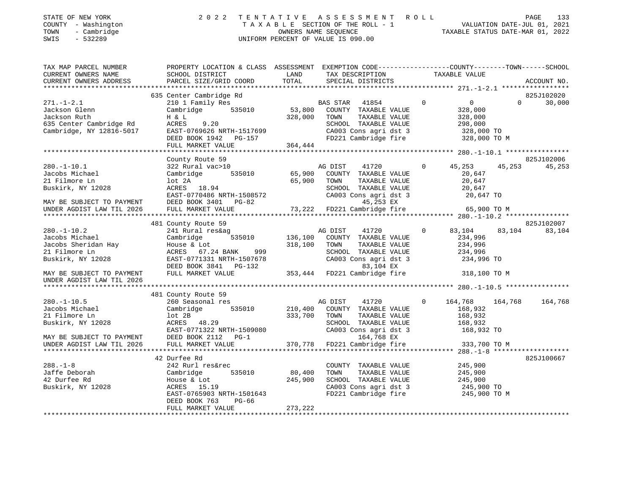| STATE OF NEW YORK   | 2022 TENTATIVE ASSESSMENT ROLL                           |                             | PAGE 133 |
|---------------------|----------------------------------------------------------|-----------------------------|----------|
| COUNTY - Washington | TAXABLE SECTION OF THE ROLL - 1                          | VALUATION DATE-JUL 01, 2021 |          |
| - Cambridge<br>TOWN | TAXABLE STATUS DATE-MAR 01, 2022<br>OWNERS NAME SEOUENCE |                             |          |

| TAX MAP PARCEL NUMBER                                                                                                                                                                                                                | PROPERTY LOCATION & CLASS ASSESSMENT EXEMPTION CODE---------------COUNTY-------TOWN-----SCHOOL                                                                                       |              |         |                                                                                                                                                                                                                                                                                                                     |                |                       |          |            |
|--------------------------------------------------------------------------------------------------------------------------------------------------------------------------------------------------------------------------------------|--------------------------------------------------------------------------------------------------------------------------------------------------------------------------------------|--------------|---------|---------------------------------------------------------------------------------------------------------------------------------------------------------------------------------------------------------------------------------------------------------------------------------------------------------------------|----------------|-----------------------|----------|------------|
|                                                                                                                                                                                                                                      |                                                                                                                                                                                      |              |         |                                                                                                                                                                                                                                                                                                                     |                |                       |          |            |
|                                                                                                                                                                                                                                      |                                                                                                                                                                                      |              |         |                                                                                                                                                                                                                                                                                                                     |                |                       |          |            |
|                                                                                                                                                                                                                                      |                                                                                                                                                                                      |              |         |                                                                                                                                                                                                                                                                                                                     |                |                       |          |            |
|                                                                                                                                                                                                                                      | 635 Center Cambridge Rd                                                                                                                                                              |              |         |                                                                                                                                                                                                                                                                                                                     |                |                       |          | 825J102020 |
| $271. - 1 - 2.1$                                                                                                                                                                                                                     | 210 1 Family Res 635010 BAS STAR 41854<br>Cambridge 635010 53,800 COUNTY TAXABLE VALUE                                                                                               |              |         |                                                                                                                                                                                                                                                                                                                     | $\overline{0}$ | $\overline{0}$        | $\Omega$ | 30,000     |
| Jackson Glenn                                                                                                                                                                                                                        |                                                                                                                                                                                      |              |         |                                                                                                                                                                                                                                                                                                                     |                | 328,000               |          |            |
|                                                                                                                                                                                                                                      |                                                                                                                                                                                      | 328,000 TOWN |         | TAXABLE VALUE                                                                                                                                                                                                                                                                                                       |                | 328,000               |          |            |
|                                                                                                                                                                                                                                      |                                                                                                                                                                                      |              |         | SCHOOL TAXABLE VALUE                                                                                                                                                                                                                                                                                                |                | 298,000               |          |            |
|                                                                                                                                                                                                                                      |                                                                                                                                                                                      |              |         | $\frac{1}{2}$ $\frac{1}{2}$ $\frac{1}{2}$ $\frac{1}{2}$ $\frac{1}{2}$ $\frac{1}{2}$ $\frac{1}{2}$ $\frac{1}{2}$ $\frac{1}{2}$ $\frac{1}{2}$ $\frac{1}{2}$ $\frac{1}{2}$ $\frac{1}{2}$ $\frac{1}{2}$ $\frac{1}{2}$ $\frac{1}{2}$ $\frac{1}{2}$ $\frac{1}{2}$ $\frac{1}{2}$ $\frac{1}{2}$ $\frac{1}{2}$ $\frac{1}{2}$ |                |                       |          |            |
|                                                                                                                                                                                                                                      |                                                                                                                                                                                      |              |         | FD221 Cambridge fire                                                                                                                                                                                                                                                                                                |                | 328,000 TO M          |          |            |
| Jackson Glenn<br>Jackson Ruth H & L<br>635 Center Cambridge Rd<br>Cambridge, NY 12816-5017<br>DEED BOOK 1942 PG-157<br>DEED BOOK 1942 PG-157<br>264,444<br>264,444                                                                   |                                                                                                                                                                                      | 364,444      |         |                                                                                                                                                                                                                                                                                                                     |                |                       |          |            |
|                                                                                                                                                                                                                                      |                                                                                                                                                                                      |              |         |                                                                                                                                                                                                                                                                                                                     |                |                       |          |            |
|                                                                                                                                                                                                                                      | County Route 59                                                                                                                                                                      |              |         |                                                                                                                                                                                                                                                                                                                     |                |                       |          | 825J102006 |
| $280. - 1 - 10.1$                                                                                                                                                                                                                    | 322 Rural vac>10                                                                                                                                                                     |              | AG DIST | 41720                                                                                                                                                                                                                                                                                                               | $\overline{0}$ | 45,253                | 45,253   | 45,253     |
| Jacobs Michael                                                                                                                                                                                                                       | Cambridge                                                                                                                                                                            |              |         | 535010 65,900 COUNTY TAXABLE VALUE                                                                                                                                                                                                                                                                                  |                | 20,647                |          |            |
| 21 Filmore Ln                                                                                                                                                                                                                        | lot 2A                                                                                                                                                                               | 65,900 TOWN  |         | TAXABLE VALUE                                                                                                                                                                                                                                                                                                       |                | 20,647                |          |            |
| Buskirk, NY 12028                                                                                                                                                                                                                    | LOT ZA<br>ACRES 18.94                                                                                                                                                                |              |         | SCHOOL TAXABLE VALUE 20,647                                                                                                                                                                                                                                                                                         |                |                       |          |            |
|                                                                                                                                                                                                                                      |                                                                                                                                                                                      |              |         |                                                                                                                                                                                                                                                                                                                     |                |                       |          |            |
|                                                                                                                                                                                                                                      |                                                                                                                                                                                      |              |         |                                                                                                                                                                                                                                                                                                                     |                |                       |          |            |
|                                                                                                                                                                                                                                      |                                                                                                                                                                                      |              |         |                                                                                                                                                                                                                                                                                                                     |                |                       |          |            |
| Buskirk, NY 12028 ACRES 18.94<br>EAST-0770486 NRTH-1508572 CA003 Cons agri dst 3 20,647 TO<br>MAY BE SUBJECT TO PAYMENT DEED BOOK 3401 PG-82 45,253 EX<br>UNDER AGDIST LAN TIL 2026 FULL MARKET VALUE 73,222 FD221 Cambridge fire 65 |                                                                                                                                                                                      |              |         |                                                                                                                                                                                                                                                                                                                     |                |                       |          |            |
|                                                                                                                                                                                                                                      |                                                                                                                                                                                      |              |         |                                                                                                                                                                                                                                                                                                                     |                |                       |          |            |
|                                                                                                                                                                                                                                      | 481 County Route 59                                                                                                                                                                  |              |         |                                                                                                                                                                                                                                                                                                                     |                |                       |          | 825J102007 |
| $280. - 1 - 10.2$                                                                                                                                                                                                                    | 241 Rural res&ag                                                                                                                                                                     |              | AG DIST | 41720                                                                                                                                                                                                                                                                                                               | $\overline{0}$ | 83,104                | 83,104   | 83,104     |
| Jacobs Michael                                                                                                                                                                                                                       | 535010 136,100<br>Cambridge                                                                                                                                                          |              |         | COUNTY TAXABLE VALUE                                                                                                                                                                                                                                                                                                |                | 234,996               |          |            |
| Jacobs Sheridan Hay                                                                                                                                                                                                                  | House & Lot                                                                                                                                                                          | 318,100 TOWN |         | TAXABLE VALUE                                                                                                                                                                                                                                                                                                       |                | 234,996               |          |            |
| 21 Filmore Ln                                                                                                                                                                                                                        |                                                                                                                                                                                      |              |         |                                                                                                                                                                                                                                                                                                                     |                |                       |          |            |
| Buskirk, NY 12028                                                                                                                                                                                                                    |                                                                                                                                                                                      |              |         |                                                                                                                                                                                                                                                                                                                     |                |                       |          |            |
|                                                                                                                                                                                                                                      |                                                                                                                                                                                      |              |         |                                                                                                                                                                                                                                                                                                                     |                |                       |          |            |
| MAY BE SUBJECT TO PAYMENT                                                                                                                                                                                                            | ACRES 67.24 BANK 999<br>EAST-0771331 NRTH-1507678 CA003 Cons agri dst 3 234,996 TO<br>DEED BOOK 3841 PG-132 83,104 EX<br>FULL MARKET VALUE 353,444 FD221 Cambridge fire 318,100 TO M |              |         |                                                                                                                                                                                                                                                                                                                     |                |                       |          |            |
| UNDER AGDIST LAW TIL 2026                                                                                                                                                                                                            |                                                                                                                                                                                      |              |         |                                                                                                                                                                                                                                                                                                                     |                |                       |          |            |
|                                                                                                                                                                                                                                      |                                                                                                                                                                                      |              |         |                                                                                                                                                                                                                                                                                                                     |                |                       |          |            |
|                                                                                                                                                                                                                                      | 481 County Route 59                                                                                                                                                                  |              |         |                                                                                                                                                                                                                                                                                                                     |                |                       |          |            |
| $280. - 1 - 10.5$                                                                                                                                                                                                                    | 260 Seasonal res                                                                                                                                                                     |              | AG DIST | 41720                                                                                                                                                                                                                                                                                                               | $\Omega$       | 164,768 164,768       |          | 164,768    |
| Jacobs Michael                                                                                                                                                                                                                       |                                                                                                                                                                                      |              |         |                                                                                                                                                                                                                                                                                                                     |                | 168,932               |          |            |
| 21 Filmore Ln                                                                                                                                                                                                                        | Cambridge 535010 210,400 COUNTY TAXABLE VALUE<br>lot 2B                                                                                                                              | 333,700 TOWN |         | TAXABLE VALUE                                                                                                                                                                                                                                                                                                       |                | 168,932               |          |            |
|                                                                                                                                                                                                                                      | ACRES 48.29                                                                                                                                                                          |              |         | SCHOOL TAXABLE VALUE                                                                                                                                                                                                                                                                                                |                |                       |          |            |
| Buskirk, NY 12028                                                                                                                                                                                                                    |                                                                                                                                                                                      |              |         | SCHOOL TAXABLE VALUE<br>CA003 Cons agri dst 3<br>154 759 FY                                                                                                                                                                                                                                                         |                | 168,932<br>168,932 TO |          |            |
|                                                                                                                                                                                                                                      |                                                                                                                                                                                      |              |         |                                                                                                                                                                                                                                                                                                                     |                |                       |          |            |
|                                                                                                                                                                                                                                      |                                                                                                                                                                                      |              |         | 164,768 EX<br>370,778 FD221 Cambridge fire 333,700 TO M                                                                                                                                                                                                                                                             |                |                       |          |            |
|                                                                                                                                                                                                                                      |                                                                                                                                                                                      |              |         |                                                                                                                                                                                                                                                                                                                     |                |                       |          |            |
|                                                                                                                                                                                                                                      |                                                                                                                                                                                      |              |         |                                                                                                                                                                                                                                                                                                                     |                |                       |          |            |
|                                                                                                                                                                                                                                      | 42 Durfee Rd                                                                                                                                                                         |              |         |                                                                                                                                                                                                                                                                                                                     |                |                       |          | 825J100667 |
| 288.-1-8<br>Jaffe Deborah<br>Dinfee Rd                                                                                                                                                                                               | 242 Rurl res&rec                                                                                                                                                                     | 80,400       |         | COUNTY TAXABLE VALUE                                                                                                                                                                                                                                                                                                |                | 245,900               |          |            |
|                                                                                                                                                                                                                                      | Cambridge<br>House & Lot<br>ACRES    15.19<br>535010                                                                                                                                 |              |         |                                                                                                                                                                                                                                                                                                                     |                |                       |          |            |
|                                                                                                                                                                                                                                      |                                                                                                                                                                                      |              |         |                                                                                                                                                                                                                                                                                                                     |                |                       |          |            |
| Buskirk, NY 12028                                                                                                                                                                                                                    | House $\&$ Lot $245,900$<br>ACRES 15.19                                                                                                                                              |              |         |                                                                                                                                                                                                                                                                                                                     |                |                       |          |            |
|                                                                                                                                                                                                                                      | EAST-0765903 NRTH-1501643                                                                                                                                                            |              |         | TOWN TAXABLE VALUE 245,900<br>SCHOOL TAXABLE VALUE 245,900<br>CA003 Cons agri dst 3 245,900 TO<br>FD221 Cambridge fire 245,900 TO M                                                                                                                                                                                 |                |                       |          |            |
|                                                                                                                                                                                                                                      | $PG-66$<br>DEED BOOK 763                                                                                                                                                             |              |         |                                                                                                                                                                                                                                                                                                                     |                |                       |          |            |
|                                                                                                                                                                                                                                      | FULL MARKET VALUE                                                                                                                                                                    | 273,222      |         |                                                                                                                                                                                                                                                                                                                     |                |                       |          |            |
|                                                                                                                                                                                                                                      |                                                                                                                                                                                      |              |         |                                                                                                                                                                                                                                                                                                                     |                |                       |          |            |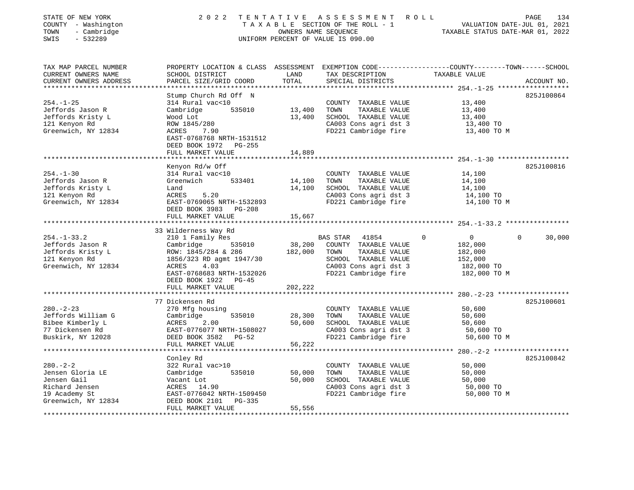| STATE OF NEW YORK<br>COUNTY - Washington<br>TOWN<br>- Cambridge<br>SWIS<br>$-532289$ | 2 0 2 2                                         |               | TENTATIVE ASSESSMENT ROLL<br>UNIFORM PERCENT OF VALUE IS 090.00 | PAGE<br>TAXABLE SECTION OF THE ROLL - 1<br>OWNERS NAME SEQUENCE<br>TAXABLE STATUS DATE-MAR 01, 2022<br>TAXABLE STATUS DATE-MAR 01, 2022 | 134 |
|--------------------------------------------------------------------------------------|-------------------------------------------------|---------------|-----------------------------------------------------------------|-----------------------------------------------------------------------------------------------------------------------------------------|-----|
| TAX MAP PARCEL NUMBER                                                                |                                                 |               |                                                                 | PROPERTY LOCATION & CLASS ASSESSMENT EXEMPTION CODE---------------COUNTY-------TOWN-----SCHOOL                                          |     |
| CURRENT OWNERS NAME<br>CURRENT OWNERS ADDRESS                                        | SCHOOL DISTRICT<br>PARCEL SIZE/GRID COORD       | LAND<br>TOTAL | TAX DESCRIPTION TAXABLE VALUE<br>SPECIAL DISTRICTS              | ACCOUNT NO.                                                                                                                             |     |
|                                                                                      |                                                 |               |                                                                 |                                                                                                                                         |     |
|                                                                                      | Stump Church Rd Off N                           |               |                                                                 | 825J100864                                                                                                                              |     |
| $254. - 1 - 25$                                                                      | 314 Rural vac<10                                |               | COUNTY TAXABLE VALUE                                            | 13,400                                                                                                                                  |     |
| Jeffords Jason R                                                                     | Cambridge 535010                                | 13,400        | TOWN<br>TAXABLE VALUE                                           | 13,400                                                                                                                                  |     |
| Jeffords Kristy L                                                                    | Wood Lot                                        | 13,400        | SCHOOL TAXABLE VALUE                                            | 13,400                                                                                                                                  |     |
| 121 Kenyon Rd                                                                        | ROW 1845/280                                    |               | CA003 Cons agri dst 3                                           | 13,400 TO                                                                                                                               |     |
| Greenwich, NY 12834                                                                  | ACRES 7.90                                      |               | FD221 Cambridge fire                                            | 13,400 TO M                                                                                                                             |     |
|                                                                                      | EAST-0768768 NRTH-1531512                       |               |                                                                 |                                                                                                                                         |     |
|                                                                                      | DEED BOOK 1972 PG-255                           |               |                                                                 |                                                                                                                                         |     |
|                                                                                      | FULL MARKET VALUE                               | 14,889        |                                                                 |                                                                                                                                         |     |
|                                                                                      |                                                 |               |                                                                 |                                                                                                                                         |     |
|                                                                                      | Kenyon Rd/w Off                                 |               |                                                                 | 825J100816                                                                                                                              |     |
| $254. - 1 - 30$                                                                      | 314 Rural vac<10                                |               | COUNTY TAXABLE VALUE                                            | 14,100                                                                                                                                  |     |
| Jeffords Jason R                                                                     | 533401<br>Greenwich                             | 14,100        | TOWN<br>TAXABLE VALUE                                           | 14,100                                                                                                                                  |     |
| Jeffords Kristy L                                                                    | Land                                            | 14,100        | SCHOOL TAXABLE VALUE                                            | 14,100                                                                                                                                  |     |
| 121 Kenyon Rd                                                                        | ACRES<br>5.20                                   |               |                                                                 | CA003 Cons agri dst 3 14,100 TO<br>FD221 Cambridge fire 14,100 TO M                                                                     |     |
| Greenwich, NY 12834                                                                  | EAST-0769065 NRTH-1532893                       |               |                                                                 |                                                                                                                                         |     |
|                                                                                      | DEED BOOK 3983 PG-208                           |               |                                                                 |                                                                                                                                         |     |
|                                                                                      | FULL MARKET VALUE                               | 15,667        |                                                                 |                                                                                                                                         |     |
|                                                                                      |                                                 |               |                                                                 |                                                                                                                                         |     |
|                                                                                      | 33 Wilderness Way Rd                            |               |                                                                 |                                                                                                                                         |     |
| $254. - 1 - 33.2$<br>Jeffords Jason R                                                | 210 1 Family Res<br>535010<br>Cambridge         |               | BAS STAR 41854<br>38,200 COUNTY TAXABLE VALUE                   | $\mathbf 0$<br>$\overline{0}$<br>$\mathbf 0$<br>30,000<br>182,000                                                                       |     |
|                                                                                      |                                                 | 182,000       | TOWN<br>TAXABLE VALUE                                           | 182,000                                                                                                                                 |     |
| Jeffords Kristy L<br>121 Kenyon Rd                                                   | ROW: 1845/284 & 286<br>1856/323 RD agmt 1947/30 |               | SCHOOL TAXABLE VALUE                                            | 152,000                                                                                                                                 |     |
| Greenwich, NY 12834                                                                  | ACRES<br>4.03                                   |               | CA003 Cons agri dst 3                                           | 182,000 TO                                                                                                                              |     |
|                                                                                      | EAST-0768683 NRTH-1532026                       |               | FD221 Cambridge fire                                            | 182,000 TO M                                                                                                                            |     |
|                                                                                      | DEED BOOK 1922 PG-45                            |               |                                                                 |                                                                                                                                         |     |
|                                                                                      | FULL MARKET VALUE                               | 202,222       |                                                                 |                                                                                                                                         |     |
|                                                                                      | **************************                      |               |                                                                 |                                                                                                                                         |     |
|                                                                                      | 77 Dickensen Rd                                 |               |                                                                 | 825J100601                                                                                                                              |     |
| $280. - 2 - 23$                                                                      | 270 Mfg housing                                 |               | COUNTY TAXABLE VALUE                                            | 50,600                                                                                                                                  |     |
|                                                                                      | Cambridge<br>535010                             | 28,300        | TOWN<br>TAXABLE VALUE                                           | 50,600                                                                                                                                  |     |
| Jeffords William G<br>Bibee Kimberly L<br>77 Dickensen Rd<br>Buskirk, NY 12028       | 2.00<br>ACRES                                   | 50,600        | SCHOOL TAXABLE VALUE                                            | 50,600                                                                                                                                  |     |
|                                                                                      | EAST-0776077 NRTH-1508027                       |               | CA003 Cons agri dst 3                                           | 50,600 TO                                                                                                                               |     |
|                                                                                      | DEED BOOK 3582 PG-52                            |               | FD221 Cambridge fire                                            | 50,600 TO M                                                                                                                             |     |
|                                                                                      | FULL MARKET VALUE                               | 56,222        |                                                                 |                                                                                                                                         |     |
|                                                                                      |                                                 |               |                                                                 |                                                                                                                                         |     |
|                                                                                      | Conley Rd                                       |               |                                                                 | 825J100842                                                                                                                              |     |
| $280 - 2 - 2$                                                                        | 322 Rural vac>10                                |               | COUNTY TAXABLE VALUE                                            | 50,000                                                                                                                                  |     |
| Jensen Gloria LE                                                                     | 535010<br>Cambridge                             | 50,000        | TOWN<br>TAXABLE VALUE                                           | 50,000                                                                                                                                  |     |
| Jensen Gail                                                                          | Vacant Lot                                      | 50,000        | SCHOOL TAXABLE VALUE                                            | 50,000                                                                                                                                  |     |
| Richard Jensen                                                                       | ACRES 14.90                                     |               | CA003 Cons agri dst 3                                           | 50,000 TO                                                                                                                               |     |
| 19 Academy St                                                                        | EAST-0776042 NRTH-1509450                       |               | FD221 Cambridge fire                                            | 50,000 TO M                                                                                                                             |     |
| Greenwich, NY 12834                                                                  | PG-335<br>DEED BOOK 2101                        |               |                                                                 |                                                                                                                                         |     |
|                                                                                      | FULL MARKET VALUE                               | 55,556        |                                                                 |                                                                                                                                         |     |
|                                                                                      |                                                 |               |                                                                 |                                                                                                                                         |     |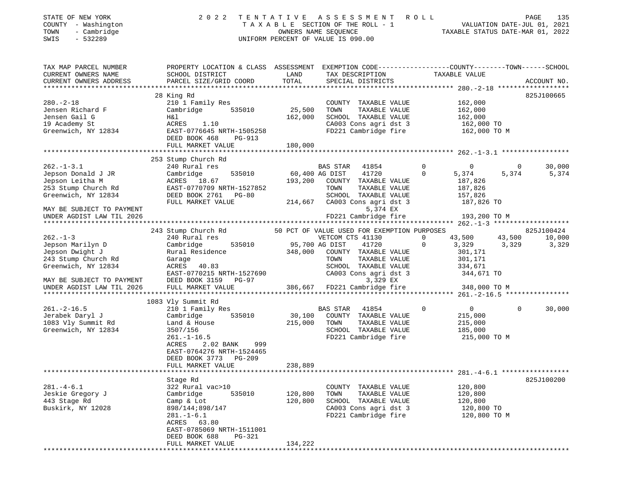| STATE OF NEW YORK<br>COUNTY - Washington<br>- Cambridge<br>TOWN<br>$-532289$<br>SWIS                            |                                                                                                                                                                                                                                                                                                                                |         | 2022 TENTATIVE ASSESSMENT ROLL PAGE 135<br>TAXABLE SECTION OF THE ROLL - 1 VALUATION DATE-JUL 01, 2021<br>OWNERS NAME SEQUENCE TAXABLE STATUS DATE-MAR 01, 2022<br>UNIFORM PERCENT OF VALUE IS 090.00 |                                               |            |
|-----------------------------------------------------------------------------------------------------------------|--------------------------------------------------------------------------------------------------------------------------------------------------------------------------------------------------------------------------------------------------------------------------------------------------------------------------------|---------|-------------------------------------------------------------------------------------------------------------------------------------------------------------------------------------------------------|-----------------------------------------------|------------|
| TAX MAP PARCEL NUMBER                                                                                           | PROPERTY LOCATION & CLASS ASSESSMENT EXEMPTION CODE----------------COUNTY-------TOWN------SCHOOL                                                                                                                                                                                                                               |         |                                                                                                                                                                                                       |                                               |            |
| CURRENT OWNERS NAME                                                                                             | SCHOOL DISTRICT                                                                                                                                                                                                                                                                                                                |         | LAND TAX DESCRIPTION TAXABLE VALUE                                                                                                                                                                    |                                               |            |
|                                                                                                                 |                                                                                                                                                                                                                                                                                                                                |         |                                                                                                                                                                                                       |                                               |            |
|                                                                                                                 | 28 King Rd                                                                                                                                                                                                                                                                                                                     |         |                                                                                                                                                                                                       |                                               | 825J100665 |
| $280. -2 - 18$                                                                                                  | 210 1 Family Res                                                                                                                                                                                                                                                                                                               |         | COUNTY TAXABLE VALUE 162,000                                                                                                                                                                          |                                               |            |
|                                                                                                                 | Jensen Richard F Cambridge 535010 25,500                                                                                                                                                                                                                                                                                       |         |                                                                                                                                                                                                       |                                               |            |
| Jensen Gail G                                                                                                   |                                                                                                                                                                                                                                                                                                                                | 162,000 |                                                                                                                                                                                                       |                                               |            |
| 19 Academy St                                                                                                   | H&1 162,000<br>ACRES 1.10 162,000                                                                                                                                                                                                                                                                                              |         | CA003 Cons agri dst 3 162,000 TO                                                                                                                                                                      |                                               |            |
| Greenwich, NY 12834                                                                                             | EAST-0776645 NRTH-1505258                                                                                                                                                                                                                                                                                                      |         | FD221 Cambridge fire 162,000 TO M                                                                                                                                                                     |                                               |            |
|                                                                                                                 | DEED BOOK 468<br>$PG-913$                                                                                                                                                                                                                                                                                                      |         |                                                                                                                                                                                                       |                                               |            |
|                                                                                                                 | FULL MARKET VALUE                                                                                                                                                                                                                                                                                                              | 180,000 |                                                                                                                                                                                                       |                                               |            |
|                                                                                                                 |                                                                                                                                                                                                                                                                                                                                |         |                                                                                                                                                                                                       |                                               |            |
|                                                                                                                 | 253 Stump Church Rd                                                                                                                                                                                                                                                                                                            |         |                                                                                                                                                                                                       |                                               |            |
|                                                                                                                 | 262.-1-3.1          240 Rural res              BAS STAR  41854      0            0<br>Jepson Donald J JR       Cambridge    535010     60,400 AG DIST   41720      0    5,374    5,374                                                                                                                                         |         |                                                                                                                                                                                                       |                                               | 30,000     |
|                                                                                                                 |                                                                                                                                                                                                                                                                                                                                |         |                                                                                                                                                                                                       | 5,374                                         | 5,374      |
|                                                                                                                 | 36,7826 Jepson Leitha M<br>253 Stump Church Rd EAST-0770709 NRTH-1527852 70WN TAXABLE VALUE 187,826                                                                                                                                                                                                                            |         |                                                                                                                                                                                                       |                                               |            |
|                                                                                                                 |                                                                                                                                                                                                                                                                                                                                |         |                                                                                                                                                                                                       |                                               |            |
| Greenwich, NY 12834                                                                                             | DEED BOOK 2761 PG-80                                                                                                                                                                                                                                                                                                           |         | TAXABLE VALUE 157,826<br>SCHOOL                                                                                                                                                                       |                                               |            |
| MAY BE SUBJECT TO PAYMENT                                                                                       | FULL MARKET VALUE                                                                                                                                                                                                                                                                                                              |         | 214,667 CA003 Cons agri dst 3 187,826 TO<br>5,374 EX                                                                                                                                                  |                                               |            |
| UNDER AGDIST LAW TIL 2026                                                                                       |                                                                                                                                                                                                                                                                                                                                |         |                                                                                                                                                                                                       |                                               |            |
|                                                                                                                 |                                                                                                                                                                                                                                                                                                                                |         |                                                                                                                                                                                                       |                                               |            |
|                                                                                                                 |                                                                                                                                                                                                                                                                                                                                |         |                                                                                                                                                                                                       |                                               |            |
| $262 - 1 - 3$                                                                                                   | 243 Stump Church Rd 50 PCT OF VALUE USED FOR EXEMPTION PURPOSES 825J100424<br>240 Rural res 6255100424 VETCOM CTS 41130 0 43,500 43,500 10,000<br>240 Rural res                                                                                                                                                                |         |                                                                                                                                                                                                       | $0 \qquad 43,500 \qquad 43,500 \qquad 10,000$ |            |
| the contract of the contract of the contract of the contract of the contract of the contract of the contract of | $\alpha$ ) $\beta$ = $\beta$ = $\beta$ = $\beta$ = $\beta$ = $\beta$ = $\beta$ = $\beta$ = $\beta$ = $\beta$ = $\beta$ = $\beta$ = $\beta$ = $\beta$ = $\beta$ = $\beta$ = $\beta$ = $\beta$ = $\beta$ = $\beta$ = $\beta$ = $\beta$ = $\beta$ = $\beta$ = $\beta$ = $\beta$ = $\beta$ = $\beta$ = $\beta$ = $\beta$ = $\beta$ |         |                                                                                                                                                                                                       |                                               |            |

| DEED BOOK 3159<br>$PG-97$<br>FULL MARKET VALUE                                                                                                                                        |                                                                                                       | TOWN<br>TAXABLE VALUE<br>SCHOOL TAXABLE VALUE<br>CA003 Cons agri dst 3<br>3,329 EX                           |                                                 | 301,171<br>301,171<br>334,671<br>344,671 TO<br>348,000 TO M     |                    |
|---------------------------------------------------------------------------------------------------------------------------------------------------------------------------------------|-------------------------------------------------------------------------------------------------------|--------------------------------------------------------------------------------------------------------------|-------------------------------------------------|-----------------------------------------------------------------|--------------------|
|                                                                                                                                                                                       |                                                                                                       |                                                                                                              |                                                 |                                                                 |                    |
| 210 1 Family Res<br>Cambridge<br>535010<br>Land & House<br>3507/156<br>$261. - 1 - 16.5$<br>2.02 BANK<br>ACRES<br>999<br>EAST-0764276 NRTH-1524465<br>DEED BOOK 3773<br><b>PG-209</b> | 30,100<br>215,000                                                                                     | 41854<br>COUNTY<br>TAXABLE VALUE<br>TOWN<br>TAXABLE VALUE<br>SCHOOL<br>TAXABLE VALUE<br>FD221 Cambridge fire | $\Omega$                                        | $\overline{0}$<br>215,000<br>215,000<br>185,000<br>215,000 TO M | 30,000<br>$\Omega$ |
|                                                                                                                                                                                       |                                                                                                       |                                                                                                              |                                                 |                                                                 |                    |
|                                                                                                                                                                                       |                                                                                                       |                                                                                                              |                                                 |                                                                 |                    |
| 322 Rural vac>10<br>Cambridge<br>535010<br>Camp & Lot<br>898/144;898/147<br>$281. - 1 - 6.1$<br>ACRES 63.80<br>EAST-0785069 NRTH-1511001<br>DEED BOOK 688<br>PG-321                   | 120,800<br>120,800                                                                                    | COUNTY TAXABLE VALUE<br>TAXABLE VALUE<br>TOWN<br>SCHOOL<br>TAXABLE VALUE<br>CA003 Cons agri dst 3            |                                                 | 120,800<br>120,800<br>120,800<br>120,800 TO<br>120,800 TO M     | 825J100200         |
|                                                                                                                                                                                       | EAST-0770215 NRTH-1527690<br>1083 Vly Summit Rd<br>FULL MARKET VALUE<br>Stage Rd<br>FULL MARKET VALUE | Garage<br>ACRES 40.83<br>238,889<br>134,222                                                                  | 386,667 FD221 Cambridge fire<br><b>BAS STAR</b> | FD221 Cambridge fire                                            |                    |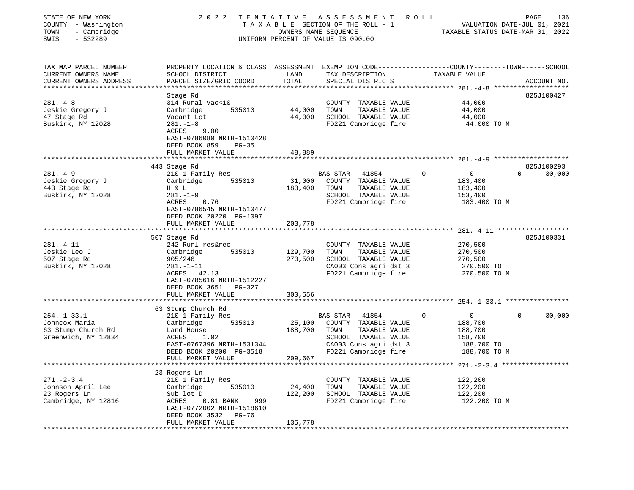| STATE OF NEW YORK<br>COUNTY - Washington<br>- Cambridge<br>TOWN<br>$-532289$<br>SWIS                  | 2 0 2 2                                                                                                                                                       |                              | TENTATIVE ASSESSMENT<br>R O L L<br>TAXABLE SECTION OF THE ROLL - 1<br>OWNERS NAME SEQUENCE<br>UNIFORM PERCENT OF VALUE IS 090.00                   | VALUATION DATE-JUL 01, 2021<br>TAXABLE STATUS DATE-MAR 01, 2022                           | PAGE                   | 136    |
|-------------------------------------------------------------------------------------------------------|---------------------------------------------------------------------------------------------------------------------------------------------------------------|------------------------------|----------------------------------------------------------------------------------------------------------------------------------------------------|-------------------------------------------------------------------------------------------|------------------------|--------|
| TAX MAP PARCEL NUMBER<br>CURRENT OWNERS NAME<br>CURRENT OWNERS ADDRESS<br>*************************** | PROPERTY LOCATION & CLASS ASSESSMENT EXEMPTION CODE---------------COUNTY-------TOWN------SCHOOL<br>SCHOOL DISTRICT<br>PARCEL SIZE/GRID COORD                  | LAND<br>TOTAL                | TAX DESCRIPTION<br>SPECIAL DISTRICTS                                                                                                               | TAXABLE VALUE                                                                             | ACCOUNT NO.            |        |
| $281. - 4 - 8$<br>Jeskie Gregory J<br>47 Stage Rd<br>Buskirk, NY 12028                                | Stage Rd<br>314 Rural vac<10<br>535010<br>Cambridge<br>Vacant Lot<br>$281. - 1 - 8$<br>ACRES<br>9.00<br>EAST-0786080 NRTH-1510428<br>DEED BOOK 859<br>$PG-35$ | 44,000<br>44,000             | COUNTY TAXABLE VALUE<br>TAXABLE VALUE<br>TOWN<br>SCHOOL TAXABLE VALUE<br>FD221 Cambridge fire                                                      | 44,000<br>44,000<br>44,000<br>44,000 TO M                                                 | 825J100427             |        |
|                                                                                                       | FULL MARKET VALUE                                                                                                                                             | 48,889                       |                                                                                                                                                    |                                                                                           |                        |        |
| $281. -4 - 9$                                                                                         | 443 Stage Rd<br>210 1 Family Res                                                                                                                              |                              | BAS STAR 41854                                                                                                                                     | $\circ$<br>$\overline{0}$                                                                 | 825J100293<br>$\Omega$ | 30,000 |
| Jeskie Gregory J<br>443 Stage Rd<br>Buskirk, NY 12028                                                 | Cambridge<br>535010<br>H & L<br>$281. - 1 - 9$<br>ACRES<br>0.76<br>EAST-0786545 NRTH-1510477<br>DEED BOOK 20220 PG-1097<br>FULL MARKET VALUE                  | 31,000<br>183,400<br>203,778 | COUNTY TAXABLE VALUE<br>TOWN<br>TAXABLE VALUE<br>SCHOOL TAXABLE VALUE<br>FD221 Cambridge fire                                                      | 183,400<br>183,400<br>153,400<br>183,400 TO M                                             |                        |        |
|                                                                                                       |                                                                                                                                                               |                              |                                                                                                                                                    |                                                                                           |                        |        |
|                                                                                                       | 507 Stage Rd                                                                                                                                                  |                              |                                                                                                                                                    |                                                                                           | 825J100331             |        |
| $281. - 4 - 11$<br>Jeskie Leo J<br>507 Stage Rd<br>Buskirk, NY 12028                                  | 242 Rurl res&rec<br>535010<br>Cambridge<br>905/246<br>$281. - 1 - 11$<br>ACRES 42.13<br>EAST-0785616 NRTH-1512227<br>DEED BOOK 3651 PG-327                    | 129,700<br>270,500           | COUNTY TAXABLE VALUE<br>TAXABLE VALUE<br>TOWN<br>SCHOOL TAXABLE VALUE<br>CA003 Cons agri dst 3<br>FD221 Cambridge fire                             | 270,500<br>270,500<br>270,500<br>270,500 TO<br>270,500 TO M                               |                        |        |
|                                                                                                       | FULL MARKET VALUE                                                                                                                                             | 300,556                      |                                                                                                                                                    |                                                                                           |                        |        |
|                                                                                                       |                                                                                                                                                               |                              |                                                                                                                                                    |                                                                                           |                        |        |
| $254. - 1 - 33.1$<br>Johncox Maria<br>63 Stump Church Rd<br>Greenwich, NY 12834                       | 63 Stump Church Rd<br>210 1 Family Res<br>535010<br>Cambridge<br>Land House<br>ACRES<br>1.02<br>EAST-0767396 NRTH-1531344<br>DEED BOOK 20200 PG-3518          | 25,100<br>188,700            | <b>BAS STAR</b><br>41854<br>COUNTY TAXABLE VALUE<br>TOWN<br>TAXABLE VALUE<br>SCHOOL TAXABLE VALUE<br>CA003 Cons agri dst 3<br>FD221 Cambridge fire | $\overline{0}$<br>$\Omega$<br>188,700<br>188,700<br>158,700<br>188,700 TO<br>188,700 TO M | 0                      | 30,000 |
|                                                                                                       | FULL MARKET VALUE                                                                                                                                             | 209,667                      |                                                                                                                                                    |                                                                                           |                        |        |
|                                                                                                       |                                                                                                                                                               |                              |                                                                                                                                                    | **************************** 271.-2-3.4 *****************                                 |                        |        |
| $271. - 2 - 3.4$<br>Johnson April Lee<br>23 Rogers Ln<br>Cambridge, NY 12816                          | 23 Rogers Ln<br>210 1 Family Res<br>Cambridge<br>535010<br>Sub lot D<br>$0.81$ BANK<br>ACRES<br>999<br>EAST-0772002 NRTH-1518610<br>DEED BOOK 3532<br>PG-76   | 24,400<br>122,200            | COUNTY TAXABLE VALUE<br>TOWN<br>TAXABLE VALUE<br>SCHOOL TAXABLE VALUE<br>FD221 Cambridge fire                                                      | 122,200<br>122,200<br>122,200<br>122,200 TO M                                             |                        |        |
|                                                                                                       | FULL MARKET VALUE<br>******************                                                                                                                       | 135,778<br>***********       |                                                                                                                                                    |                                                                                           |                        |        |
|                                                                                                       |                                                                                                                                                               |                              |                                                                                                                                                    |                                                                                           |                        |        |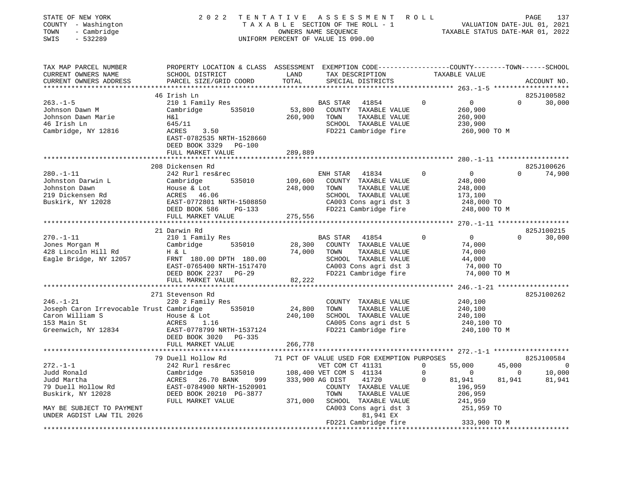| COUNTY - Washington<br>TOWN<br>- Cambridge<br>SWIS<br>$-532289$ |                                                                                                                    |               | TAXABLE SECTION OF THE ROLL - 1<br>OWNERS NAME SEQUENCE<br>UNIFORM PERCENT OF VALUE IS 090.00 |                                                  | VALUATION DATE-JUL 01, 2021<br>TAXABLE STATUS DATE-MAR 01, 2022 |
|-----------------------------------------------------------------|--------------------------------------------------------------------------------------------------------------------|---------------|-----------------------------------------------------------------------------------------------|--------------------------------------------------|-----------------------------------------------------------------|
| TAX MAP PARCEL NUMBER<br>CURRENT OWNERS NAME                    | PROPERTY LOCATION & CLASS ASSESSMENT EXEMPTION CODE---------------COUNTY-------TOWN------SCHOOL<br>SCHOOL DISTRICT | LAND          | TAX DESCRIPTION                                                                               | TAXABLE VALUE                                    |                                                                 |
| CURRENT OWNERS ADDRESS                                          | PARCEL SIZE/GRID COORD                                                                                             | TOTAL         | SPECIAL DISTRICTS                                                                             |                                                  | ACCOUNT NO.                                                     |
|                                                                 | *****************************                                                                                      |               | **************************                                                                    | ****************** 263.-1-5 ******************** |                                                                 |
|                                                                 | 46 Irish Ln                                                                                                        |               |                                                                                               | $\Omega$                                         | 825J100582<br>$\Omega$                                          |
| $263. - 1 - 5$<br>Johnson Dawn M                                | 210 1 Family Res<br>Cambridge<br>535010                                                                            | 53,800        | BAS STAR<br>41854<br>COUNTY TAXABLE VALUE                                                     | $\overline{0}$<br>260,900                        | 30,000                                                          |
| Johnson Dawn Marie                                              | Η&l                                                                                                                | 260,900       | TOWN<br>TAXABLE VALUE                                                                         | 260,900                                          |                                                                 |
| 46 Irish Ln                                                     | 645/11                                                                                                             |               | SCHOOL TAXABLE VALUE                                                                          | 230,900                                          |                                                                 |
| Cambridge, NY 12816                                             | ACRES<br>3.50                                                                                                      |               | FD221 Cambridge fire                                                                          | 260,900 ТО М                                     |                                                                 |
|                                                                 | EAST-0782535 NRTH-1528660                                                                                          |               |                                                                                               |                                                  |                                                                 |
|                                                                 | DEED BOOK 3329 PG-100                                                                                              |               |                                                                                               |                                                  |                                                                 |
|                                                                 | FULL MARKET VALUE                                                                                                  | 289,889       |                                                                                               |                                                  |                                                                 |
|                                                                 |                                                                                                                    | ************* |                                                                                               |                                                  |                                                                 |
|                                                                 | 208 Dickensen Rd                                                                                                   |               |                                                                                               |                                                  | 825J100626                                                      |
| $280. - 1 - 11$                                                 | 242 Rurl res&rec                                                                                                   |               | ENH STAR<br>41834                                                                             | $\overline{0}$<br>$\mathbf{0}$                   | $\Omega$<br>74,900                                              |
| Johnston Darwin L                                               | Cambridge<br>535010                                                                                                | 109,600       | COUNTY TAXABLE VALUE                                                                          | 248,000                                          |                                                                 |
| Johnston Dawn<br>219 Dickensen Rd                               | House & Lot<br>ACRES 46.06                                                                                         | 248,000       | TOWN<br>TAXABLE VALUE<br>SCHOOL TAXABLE VALUE                                                 | 248,000<br>173,100                               |                                                                 |
| Buskirk, NY 12028                                               | EAST-0772801 NRTH-1508850                                                                                          |               | CA003 Cons agri dst 3                                                                         | 248,000 TO                                       |                                                                 |
|                                                                 | DEED BOOK 586<br>PG-133                                                                                            |               | FD221 Cambridge fire                                                                          | 248,000 TO M                                     |                                                                 |
|                                                                 | FULL MARKET VALUE                                                                                                  | 275,556       |                                                                                               |                                                  |                                                                 |
|                                                                 |                                                                                                                    |               |                                                                                               |                                                  |                                                                 |
|                                                                 | 21 Darwin Rd                                                                                                       |               |                                                                                               |                                                  | 825J100215                                                      |
| $270. - 1 - 11$                                                 | 210 1 Family Res                                                                                                   |               | BAS STAR<br>41854                                                                             | $\Omega$<br>$\overline{0}$                       | 30,000<br>$\Omega$                                              |
| Jones Morgan M                                                  | 535010<br>Cambridge                                                                                                | 28,300        | COUNTY TAXABLE VALUE                                                                          | 74,000                                           |                                                                 |
| 428 Lincoln Hill Rd                                             | H & L                                                                                                              | 74,000        | TOWN<br>TAXABLE VALUE                                                                         | 74,000                                           |                                                                 |
| Eagle Bridge, NY 12057                                          | FRNT 180.00 DPTH 180.00                                                                                            |               | SCHOOL TAXABLE VALUE                                                                          | 44,000                                           |                                                                 |
|                                                                 | EAST-0765400 NRTH-1517470                                                                                          |               | CA003 Cons agri dst 3                                                                         | 74,000 TO                                        |                                                                 |
|                                                                 | DEED BOOK 2237 PG-29<br>FULL MARKET VALUE                                                                          | 82,222        | FD221 Cambridge fire                                                                          | 74,000 TO M                                      |                                                                 |
|                                                                 | *********************                                                                                              |               |                                                                                               | ************ 246.-1-21 *******************       |                                                                 |
|                                                                 | 271 Stevenson Rd                                                                                                   |               |                                                                                               |                                                  | 825J100262                                                      |
| $246. - 1 - 21$                                                 | 220 2 Family Res                                                                                                   |               | COUNTY TAXABLE VALUE                                                                          | 240,100                                          |                                                                 |
| Joseph Caron Irrevocable Trust Cambridge                        | 535010                                                                                                             | 24,800        | TOWN<br>TAXABLE VALUE                                                                         | 240,100                                          |                                                                 |
| Caron William S                                                 | House & Lot                                                                                                        | 240,100       | SCHOOL TAXABLE VALUE                                                                          | 240,100                                          |                                                                 |
| 153 Main St                                                     | ACRES<br>1.16                                                                                                      |               | CA005 Cons agri dst 5                                                                         | 240,100 TO                                       |                                                                 |
| Greenwich, NY 12834                                             | EAST-0778799 NRTH-1537124                                                                                          |               | FD221 Cambridge fire                                                                          | 240,100 TO M                                     |                                                                 |
|                                                                 | DEED BOOK 3020 PG-335                                                                                              |               |                                                                                               |                                                  |                                                                 |
|                                                                 | FULL MARKET VALUE                                                                                                  | 266,778       |                                                                                               |                                                  |                                                                 |
|                                                                 | 79 Duell Hollow Rd                                                                                                 |               | 71 PCT OF VALUE USED FOR EXEMPTION PURPOSES                                                   |                                                  | 825J100584                                                      |
| $272. - 1 - 1$                                                  | 242 Rurl res&rec                                                                                                   |               | VET COM CT 41131                                                                              | 55,000<br>$\mathbf{0}$                           | 45,000<br>$\overline{\phantom{0}}$                              |
| Judd Ronald                                                     | 535010<br>Cambridge                                                                                                |               | 108,400 VET COM S 41134                                                                       | $\Omega$<br>$\overline{0}$                       | $\sim$ 0<br>10,000                                              |
| Judd Martha                                                     | ACRES 26.70 BANK<br>999                                                                                            |               | 333,900 AG DIST<br>41720                                                                      | 81,941<br>$\mathbf{0}$                           | 81,941<br>81,941                                                |
| 79 Duell Hollow Rd                                              | EAST-0784900 NRTH-1520901                                                                                          |               | COUNTY TAXABLE VALUE                                                                          | 196,959                                          |                                                                 |
| Buskirk, NY 12028                                               | DEED BOOK 20210 PG-3877                                                                                            |               | TOWN<br>TAXABLE VALUE                                                                         | 206,959                                          |                                                                 |
|                                                                 | FULL MARKET VALUE                                                                                                  | 371,000       | SCHOOL TAXABLE VALUE                                                                          | 241,959                                          |                                                                 |
| MAY BE SUBJECT TO PAYMENT                                       |                                                                                                                    |               | CA003 Cons agri dst 3                                                                         | 251,959 TO                                       |                                                                 |
| UNDER AGDIST LAW TIL 2026                                       |                                                                                                                    |               | 81,941 EX                                                                                     |                                                  |                                                                 |
|                                                                 |                                                                                                                    |               | FD221 Cambridge fire                                                                          | 333,900 TO M                                     |                                                                 |

STATE OF NEW YORK 2022 TENTATIVE ASSESSMENT ROLL PAGE 137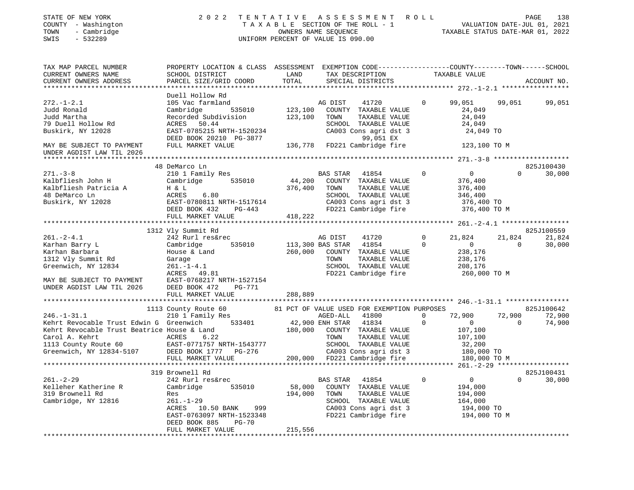| STATE OF NEW YORK<br>COUNTY - Washington<br>- Cambridge<br>TOWN<br>SWIS<br>$-532289$                                                                                                                | 2 0 2 2                                                                                                                                                                                               |                              | TENTATIVE ASSESSMENT ROLL<br>T A X A B L E SECTION OF THE ROLL - 1 WE THAN WALUATION DATE-JUL 01, 2021<br>UNIFORM PERCENT OF VALUE IS 090.00                                                                  |               |                         |                                                                                        |                    | PAGE<br>138                    |
|-----------------------------------------------------------------------------------------------------------------------------------------------------------------------------------------------------|-------------------------------------------------------------------------------------------------------------------------------------------------------------------------------------------------------|------------------------------|---------------------------------------------------------------------------------------------------------------------------------------------------------------------------------------------------------------|---------------|-------------------------|----------------------------------------------------------------------------------------|--------------------|--------------------------------|
| TAX MAP PARCEL NUMBER<br>CURRENT OWNERS NAME<br>CURRENT OWNERS ADDRESS                                                                                                                              | PROPERTY LOCATION & CLASS ASSESSMENT EXEMPTION CODE----------------COUNTY-------TOWN-----SCHOOL<br>SCHOOL DISTRICT<br>PARCEL SIZE/GRID COORD                                                          | LAND<br>TOTAL                | TAX DESCRIPTION<br>SPECIAL DISTRICTS                                                                                                                                                                          |               |                         | TAXABLE VALUE                                                                          |                    | ACCOUNT NO.                    |
|                                                                                                                                                                                                     | Duell Hollow Rd                                                                                                                                                                                       |                              |                                                                                                                                                                                                               |               |                         |                                                                                        |                    |                                |
| $272. - 1 - 2.1$<br>Judd Ronald<br>Judd Martha<br>79 Duell Hollow Rd<br>Buskirk, NY 12028                                                                                                           | 105 Vac farmland<br>Cambridge<br>535010<br>Recorded Subdivision<br>ACRES<br>50.44<br>EAST-0785215 NRTH-1520234<br>DEED BOOK 20210 PG-3877 99,051 EX<br>FULL MARKET VALUE 136,778 FD221 Cambridge fire | 123,100<br>123,100           | 41720<br>AG DIST<br>COUNTY TAXABLE VALUE<br>TOWN<br>SCHOOL TAXABLE VALUE<br>CA003 Cons agri dst 3                                                                                                             | TAXABLE VALUE | $\circ$                 | 99,051<br>24,049<br>24,049<br>24,049<br>24,049 TO                                      | 99,051             | 99,051                         |
| MAY BE SUBJECT TO PAYMENT<br>UNDER AGDIST LAW TIL 2026                                                                                                                                              |                                                                                                                                                                                                       |                              |                                                                                                                                                                                                               |               |                         | 123,100 TO M                                                                           |                    |                                |
|                                                                                                                                                                                                     |                                                                                                                                                                                                       |                              |                                                                                                                                                                                                               |               |                         |                                                                                        |                    |                                |
| $271. - 3 - 8$<br>Kalbfliesh John H<br>Kalbfliesh Patricia A<br>48 DeMarco Ln<br>Buskirk, NY 12028                                                                                                  | 48 DeMarco Ln<br>210 1 Family Res<br>535010<br>Cambridge<br>H & L<br>ACRES<br>6.80<br>EAST-0780811 NRTH-1517614<br>DEED BOOK 432<br>PG-443                                                            | 44,200<br>376,400            | BAS STAR<br>41854<br>COUNTY TAXABLE VALUE<br>TOWN<br>SCHOOL TAXABLE VALUE<br>CA003 Cons agri dst 3<br>FD221 Cambridge fire                                                                                    | TAXABLE VALUE | $\Omega$                | $\overline{0}$<br>376,400<br>376,400<br>346,400<br>376,400 TO<br>376,400 TO M          | $\Omega$           | 825J100430<br>30,000           |
|                                                                                                                                                                                                     | FULL MARKET VALUE                                                                                                                                                                                     | 418,222                      |                                                                                                                                                                                                               |               |                         |                                                                                        |                    |                                |
|                                                                                                                                                                                                     |                                                                                                                                                                                                       |                              |                                                                                                                                                                                                               |               |                         |                                                                                        |                    |                                |
| $261. - 2 - 4.1$                                                                                                                                                                                    | 1312 Vly Summit Rd<br>242 Rurl res&rec<br>535010                                                                                                                                                      |                              | AG DIST<br>41720<br>41854<br>113,300 BAS STAR                                                                                                                                                                 |               | $\mathbf 0$<br>$\Omega$ | 21,824<br>$0 \qquad \qquad$                                                            | 21,824<br>$\Omega$ | 825J100559<br>21,824<br>30,000 |
| Karhan Barry L<br>Karhan Barbara<br>1312 Vly Summit Rd<br>Greenwich, NY 12834<br>MAY BE SUBJECT TO PAYMENT<br>UNDER AGDIST LAW TIL 2026                                                             | Cambridge<br>House & Land<br>Garage<br>$261. - 1 - 4.1$<br>ACRES 49.81<br>EAST-0768217 NRTH-1527154<br>DEED BOOK 472<br><b>PG-771</b>                                                                 | 260,000                      | COUNTY TAXABLE VALUE<br>TOWN<br>SCHOOL TAXABLE VALUE<br>FD221 Cambridge fire                                                                                                                                  | TAXABLE VALUE |                         | 238,176<br>238,176<br>208,176<br>260,000 ТО М                                          |                    |                                |
|                                                                                                                                                                                                     | FULL MARKET VALUE                                                                                                                                                                                     | 288,889                      |                                                                                                                                                                                                               |               |                         |                                                                                        |                    |                                |
|                                                                                                                                                                                                     | ***********************                                                                                                                                                                               |                              |                                                                                                                                                                                                               |               |                         |                                                                                        |                    |                                |
| $246. - 1 - 31.1$<br>Kehrt Revocable Trust Edwin G Greenwich<br>Kehrt Revocable Trust Beatrice House & Land<br>Carol A. Kehrt<br>1113 County Route 60<br>*** 10934-5107<br>Greenwich, NY 12834-5107 | 1113 County Route 60<br>210 1 Family Res<br>533401<br>ACRES<br>6.22<br>EAST-0771757 NRTH-1543777<br>DEED BOOK 1777<br>PG-276<br>FULL MARKET VALUE                                                     | 180,000                      | 81 PCT OF VALUE USED FOR EXEMPTION PURPOSES<br>AGED-ALL<br>41800<br>42,900 ENH STAR<br>41834<br>COUNTY TAXABLE VALUE<br>TOWN<br>SCHOOL TAXABLE VALUE<br>CA003 Cons agri dst 3<br>200,000 FD221 Cambridge fire | TAXABLE VALUE | 0<br>$\mathbf 0$        | 72,900<br>$\overline{0}$<br>107,100<br>107,100<br>32,200<br>180,000 TO<br>180,000 TO M | 72,900<br>$\Omega$ | 825J100642<br>72,900<br>74,900 |
|                                                                                                                                                                                                     |                                                                                                                                                                                                       |                              |                                                                                                                                                                                                               |               |                         |                                                                                        |                    |                                |
| $261. - 2 - 29$<br>Kelleher Katherine R<br>319 Brownell Rd<br>Cambridge, NY 12816                                                                                                                   | 319 Brownell Rd<br>242 Rurl res&rec<br>Cambridge<br>535010<br>Res<br>$261. - 1 - 29$<br>ACRES<br>10.50 BANK<br>999<br>EAST-0763097 NRTH-1523348<br>DEED BOOK 885<br>$PG-70$<br>FULL MARKET VALUE      | 58,000<br>194,000<br>215,556 | BAS STAR<br>41854<br>COUNTY TAXABLE VALUE<br>TOWN<br>SCHOOL TAXABLE VALUE<br>CA003 Cons agri dst 3<br>FD221 Cambridge fire                                                                                    | TAXABLE VALUE | $\mathbf 0$             | $\mathsf{O}$<br>194,000<br>194,000<br>164,000<br>194,000 TO<br>194,000 TO M            | $\mathbf 0$        | 825J100431<br>30,000           |
|                                                                                                                                                                                                     |                                                                                                                                                                                                       |                              |                                                                                                                                                                                                               |               |                         |                                                                                        |                    |                                |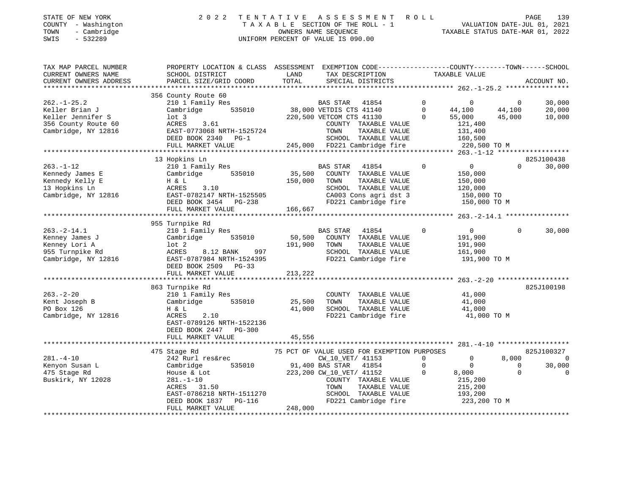| STATE OF NEW YORK   | 2022 TENTATIVE ASSESSMENT ROLL        |                                  | PAGE                        | 139 |
|---------------------|---------------------------------------|----------------------------------|-----------------------------|-----|
| COUNTY - Washington | T A X A B L E SECTION OF THE ROLL - 1 |                                  | VALUATION DATE-JUL 01, 2021 |     |
| - Cambridge<br>TOWN | OWNERS NAME SEOUENCE                  | TAXABLE STATUS DATE-MAR 01, 2022 |                             |     |

| CURRENT OWNERS NAME<br>LAND<br>TAX DESCRIPTION<br>TAXABLE VALUE<br>SCHOOL DISTRICT<br>TOTAL<br>CURRENT OWNERS ADDRESS<br>PARCEL SIZE/GRID COORD<br>SPECIAL DISTRICTS<br>ACCOUNT NO.<br>356 County Route 60<br>$262. - 1 - 25.2$<br>210 1 Family Res<br>$\Omega$<br>30,000<br>BAS STAR<br>41854<br>0<br>$\overline{0}$<br>535010<br>38,000 VETDIS CTS 41140<br>$\Omega$<br>44,100<br>20,000<br>Keller Brian J<br>Cambridge<br>44,100<br>Keller Jennifer S<br>$1$ ot $3$<br>220,500 VETCOM CTS 41130<br>55,000<br>45,000<br>10,000<br>356 County Route 60<br>ACRES<br>3.61<br>COUNTY TAXABLE VALUE<br>121,400<br>Cambridge, NY 12816<br>EAST-0773068 NRTH-1525724<br>TOWN<br>131,400<br>TAXABLE VALUE<br>DEED BOOK 2340 PG-1<br>SCHOOL TAXABLE VALUE<br>160,500<br>FULL MARKET VALUE<br>245,000 FD221 Cambridge fire<br>220,500 TO M<br>825J100438<br>13 Hopkins Ln<br>$263. - 1 - 12$<br>210 1 Family Res<br>$\mathbf 0$<br>$\overline{0}$<br>$\Omega$<br>30,000<br>BAS STAR<br>41854<br>35,500<br>Kennedy James E<br>Cambridge<br>535010<br>COUNTY TAXABLE VALUE<br>150,000<br>Kennedy Kelly E<br>150,000<br>TAXABLE VALUE<br>150,000<br>H & L<br>TOWN<br>13 Hopkins Ln<br>3.10<br>SCHOOL TAXABLE VALUE<br>ACRES<br>120,000<br>Cambridge, NY 12816<br>CA003 Cons agri dst 3<br>EAST-0782147 NRTH-1525505<br>150,000 TO<br>DEED BOOK 3454 PG-238<br>FD221 Cambridge fire<br>150,000 TO M<br>166,667<br>FULL MARKET VALUE<br>955 Turnpike Rd<br>$263. -2 - 14.1$<br>210 1 Family Res<br>41854<br>$\Omega$<br>$\mathbf{0}$<br>$\Omega$<br>30,000<br><b>BAS STAR</b><br>50,500<br>Kenney James J<br>Cambridge<br>535010<br>COUNTY TAXABLE VALUE<br>191,900<br>191,900<br>Kenney Lori A<br>lot 2<br>TOWN<br>TAXABLE VALUE<br>191,900<br>SCHOOL TAXABLE VALUE<br>955 Turnpike Rd<br>ACRES<br>8.12 BANK<br>997<br>161,900<br>Cambridge, NY 12816<br>EAST-0787984 NRTH-1524395<br>FD221 Cambridge fire<br>191,900 TO M<br>DEED BOOK 2509 PG-33<br>213,222<br>FULL MARKET VALUE<br>863 Turnpike Rd<br>825J100198<br>$263. - 2 - 20$<br>210 1 Family Res<br>COUNTY TAXABLE VALUE<br>41,000<br>Kent Joseph B<br>Cambridge<br>535010<br>25,500<br>TOWN<br>TAXABLE VALUE<br>41,000<br>PO Box 126<br>41,000<br>SCHOOL TAXABLE VALUE<br>H & L<br>41,000<br>Cambridge, NY 12816<br>2.10<br>FD221 Cambridge fire<br>ACRES<br>41,000 TO M<br>EAST-0789126 NRTH-1522136<br>DEED BOOK 2447 PG-300 |
|-------------------------------------------------------------------------------------------------------------------------------------------------------------------------------------------------------------------------------------------------------------------------------------------------------------------------------------------------------------------------------------------------------------------------------------------------------------------------------------------------------------------------------------------------------------------------------------------------------------------------------------------------------------------------------------------------------------------------------------------------------------------------------------------------------------------------------------------------------------------------------------------------------------------------------------------------------------------------------------------------------------------------------------------------------------------------------------------------------------------------------------------------------------------------------------------------------------------------------------------------------------------------------------------------------------------------------------------------------------------------------------------------------------------------------------------------------------------------------------------------------------------------------------------------------------------------------------------------------------------------------------------------------------------------------------------------------------------------------------------------------------------------------------------------------------------------------------------------------------------------------------------------------------------------------------------------------------------------------------------------------------------------------------------------------------------------------------------------------------------------------------------------------------------------------------------------------------------------------------------------------------------------------------------------------------------------------------------------------------------------------|
|                                                                                                                                                                                                                                                                                                                                                                                                                                                                                                                                                                                                                                                                                                                                                                                                                                                                                                                                                                                                                                                                                                                                                                                                                                                                                                                                                                                                                                                                                                                                                                                                                                                                                                                                                                                                                                                                                                                                                                                                                                                                                                                                                                                                                                                                                                                                                                               |
|                                                                                                                                                                                                                                                                                                                                                                                                                                                                                                                                                                                                                                                                                                                                                                                                                                                                                                                                                                                                                                                                                                                                                                                                                                                                                                                                                                                                                                                                                                                                                                                                                                                                                                                                                                                                                                                                                                                                                                                                                                                                                                                                                                                                                                                                                                                                                                               |
|                                                                                                                                                                                                                                                                                                                                                                                                                                                                                                                                                                                                                                                                                                                                                                                                                                                                                                                                                                                                                                                                                                                                                                                                                                                                                                                                                                                                                                                                                                                                                                                                                                                                                                                                                                                                                                                                                                                                                                                                                                                                                                                                                                                                                                                                                                                                                                               |
|                                                                                                                                                                                                                                                                                                                                                                                                                                                                                                                                                                                                                                                                                                                                                                                                                                                                                                                                                                                                                                                                                                                                                                                                                                                                                                                                                                                                                                                                                                                                                                                                                                                                                                                                                                                                                                                                                                                                                                                                                                                                                                                                                                                                                                                                                                                                                                               |
|                                                                                                                                                                                                                                                                                                                                                                                                                                                                                                                                                                                                                                                                                                                                                                                                                                                                                                                                                                                                                                                                                                                                                                                                                                                                                                                                                                                                                                                                                                                                                                                                                                                                                                                                                                                                                                                                                                                                                                                                                                                                                                                                                                                                                                                                                                                                                                               |
|                                                                                                                                                                                                                                                                                                                                                                                                                                                                                                                                                                                                                                                                                                                                                                                                                                                                                                                                                                                                                                                                                                                                                                                                                                                                                                                                                                                                                                                                                                                                                                                                                                                                                                                                                                                                                                                                                                                                                                                                                                                                                                                                                                                                                                                                                                                                                                               |
|                                                                                                                                                                                                                                                                                                                                                                                                                                                                                                                                                                                                                                                                                                                                                                                                                                                                                                                                                                                                                                                                                                                                                                                                                                                                                                                                                                                                                                                                                                                                                                                                                                                                                                                                                                                                                                                                                                                                                                                                                                                                                                                                                                                                                                                                                                                                                                               |
|                                                                                                                                                                                                                                                                                                                                                                                                                                                                                                                                                                                                                                                                                                                                                                                                                                                                                                                                                                                                                                                                                                                                                                                                                                                                                                                                                                                                                                                                                                                                                                                                                                                                                                                                                                                                                                                                                                                                                                                                                                                                                                                                                                                                                                                                                                                                                                               |
|                                                                                                                                                                                                                                                                                                                                                                                                                                                                                                                                                                                                                                                                                                                                                                                                                                                                                                                                                                                                                                                                                                                                                                                                                                                                                                                                                                                                                                                                                                                                                                                                                                                                                                                                                                                                                                                                                                                                                                                                                                                                                                                                                                                                                                                                                                                                                                               |
|                                                                                                                                                                                                                                                                                                                                                                                                                                                                                                                                                                                                                                                                                                                                                                                                                                                                                                                                                                                                                                                                                                                                                                                                                                                                                                                                                                                                                                                                                                                                                                                                                                                                                                                                                                                                                                                                                                                                                                                                                                                                                                                                                                                                                                                                                                                                                                               |
|                                                                                                                                                                                                                                                                                                                                                                                                                                                                                                                                                                                                                                                                                                                                                                                                                                                                                                                                                                                                                                                                                                                                                                                                                                                                                                                                                                                                                                                                                                                                                                                                                                                                                                                                                                                                                                                                                                                                                                                                                                                                                                                                                                                                                                                                                                                                                                               |
|                                                                                                                                                                                                                                                                                                                                                                                                                                                                                                                                                                                                                                                                                                                                                                                                                                                                                                                                                                                                                                                                                                                                                                                                                                                                                                                                                                                                                                                                                                                                                                                                                                                                                                                                                                                                                                                                                                                                                                                                                                                                                                                                                                                                                                                                                                                                                                               |
|                                                                                                                                                                                                                                                                                                                                                                                                                                                                                                                                                                                                                                                                                                                                                                                                                                                                                                                                                                                                                                                                                                                                                                                                                                                                                                                                                                                                                                                                                                                                                                                                                                                                                                                                                                                                                                                                                                                                                                                                                                                                                                                                                                                                                                                                                                                                                                               |
|                                                                                                                                                                                                                                                                                                                                                                                                                                                                                                                                                                                                                                                                                                                                                                                                                                                                                                                                                                                                                                                                                                                                                                                                                                                                                                                                                                                                                                                                                                                                                                                                                                                                                                                                                                                                                                                                                                                                                                                                                                                                                                                                                                                                                                                                                                                                                                               |
|                                                                                                                                                                                                                                                                                                                                                                                                                                                                                                                                                                                                                                                                                                                                                                                                                                                                                                                                                                                                                                                                                                                                                                                                                                                                                                                                                                                                                                                                                                                                                                                                                                                                                                                                                                                                                                                                                                                                                                                                                                                                                                                                                                                                                                                                                                                                                                               |
|                                                                                                                                                                                                                                                                                                                                                                                                                                                                                                                                                                                                                                                                                                                                                                                                                                                                                                                                                                                                                                                                                                                                                                                                                                                                                                                                                                                                                                                                                                                                                                                                                                                                                                                                                                                                                                                                                                                                                                                                                                                                                                                                                                                                                                                                                                                                                                               |
|                                                                                                                                                                                                                                                                                                                                                                                                                                                                                                                                                                                                                                                                                                                                                                                                                                                                                                                                                                                                                                                                                                                                                                                                                                                                                                                                                                                                                                                                                                                                                                                                                                                                                                                                                                                                                                                                                                                                                                                                                                                                                                                                                                                                                                                                                                                                                                               |
|                                                                                                                                                                                                                                                                                                                                                                                                                                                                                                                                                                                                                                                                                                                                                                                                                                                                                                                                                                                                                                                                                                                                                                                                                                                                                                                                                                                                                                                                                                                                                                                                                                                                                                                                                                                                                                                                                                                                                                                                                                                                                                                                                                                                                                                                                                                                                                               |
|                                                                                                                                                                                                                                                                                                                                                                                                                                                                                                                                                                                                                                                                                                                                                                                                                                                                                                                                                                                                                                                                                                                                                                                                                                                                                                                                                                                                                                                                                                                                                                                                                                                                                                                                                                                                                                                                                                                                                                                                                                                                                                                                                                                                                                                                                                                                                                               |
|                                                                                                                                                                                                                                                                                                                                                                                                                                                                                                                                                                                                                                                                                                                                                                                                                                                                                                                                                                                                                                                                                                                                                                                                                                                                                                                                                                                                                                                                                                                                                                                                                                                                                                                                                                                                                                                                                                                                                                                                                                                                                                                                                                                                                                                                                                                                                                               |
|                                                                                                                                                                                                                                                                                                                                                                                                                                                                                                                                                                                                                                                                                                                                                                                                                                                                                                                                                                                                                                                                                                                                                                                                                                                                                                                                                                                                                                                                                                                                                                                                                                                                                                                                                                                                                                                                                                                                                                                                                                                                                                                                                                                                                                                                                                                                                                               |
|                                                                                                                                                                                                                                                                                                                                                                                                                                                                                                                                                                                                                                                                                                                                                                                                                                                                                                                                                                                                                                                                                                                                                                                                                                                                                                                                                                                                                                                                                                                                                                                                                                                                                                                                                                                                                                                                                                                                                                                                                                                                                                                                                                                                                                                                                                                                                                               |
|                                                                                                                                                                                                                                                                                                                                                                                                                                                                                                                                                                                                                                                                                                                                                                                                                                                                                                                                                                                                                                                                                                                                                                                                                                                                                                                                                                                                                                                                                                                                                                                                                                                                                                                                                                                                                                                                                                                                                                                                                                                                                                                                                                                                                                                                                                                                                                               |
|                                                                                                                                                                                                                                                                                                                                                                                                                                                                                                                                                                                                                                                                                                                                                                                                                                                                                                                                                                                                                                                                                                                                                                                                                                                                                                                                                                                                                                                                                                                                                                                                                                                                                                                                                                                                                                                                                                                                                                                                                                                                                                                                                                                                                                                                                                                                                                               |
|                                                                                                                                                                                                                                                                                                                                                                                                                                                                                                                                                                                                                                                                                                                                                                                                                                                                                                                                                                                                                                                                                                                                                                                                                                                                                                                                                                                                                                                                                                                                                                                                                                                                                                                                                                                                                                                                                                                                                                                                                                                                                                                                                                                                                                                                                                                                                                               |
|                                                                                                                                                                                                                                                                                                                                                                                                                                                                                                                                                                                                                                                                                                                                                                                                                                                                                                                                                                                                                                                                                                                                                                                                                                                                                                                                                                                                                                                                                                                                                                                                                                                                                                                                                                                                                                                                                                                                                                                                                                                                                                                                                                                                                                                                                                                                                                               |
|                                                                                                                                                                                                                                                                                                                                                                                                                                                                                                                                                                                                                                                                                                                                                                                                                                                                                                                                                                                                                                                                                                                                                                                                                                                                                                                                                                                                                                                                                                                                                                                                                                                                                                                                                                                                                                                                                                                                                                                                                                                                                                                                                                                                                                                                                                                                                                               |
|                                                                                                                                                                                                                                                                                                                                                                                                                                                                                                                                                                                                                                                                                                                                                                                                                                                                                                                                                                                                                                                                                                                                                                                                                                                                                                                                                                                                                                                                                                                                                                                                                                                                                                                                                                                                                                                                                                                                                                                                                                                                                                                                                                                                                                                                                                                                                                               |
|                                                                                                                                                                                                                                                                                                                                                                                                                                                                                                                                                                                                                                                                                                                                                                                                                                                                                                                                                                                                                                                                                                                                                                                                                                                                                                                                                                                                                                                                                                                                                                                                                                                                                                                                                                                                                                                                                                                                                                                                                                                                                                                                                                                                                                                                                                                                                                               |
|                                                                                                                                                                                                                                                                                                                                                                                                                                                                                                                                                                                                                                                                                                                                                                                                                                                                                                                                                                                                                                                                                                                                                                                                                                                                                                                                                                                                                                                                                                                                                                                                                                                                                                                                                                                                                                                                                                                                                                                                                                                                                                                                                                                                                                                                                                                                                                               |
|                                                                                                                                                                                                                                                                                                                                                                                                                                                                                                                                                                                                                                                                                                                                                                                                                                                                                                                                                                                                                                                                                                                                                                                                                                                                                                                                                                                                                                                                                                                                                                                                                                                                                                                                                                                                                                                                                                                                                                                                                                                                                                                                                                                                                                                                                                                                                                               |
|                                                                                                                                                                                                                                                                                                                                                                                                                                                                                                                                                                                                                                                                                                                                                                                                                                                                                                                                                                                                                                                                                                                                                                                                                                                                                                                                                                                                                                                                                                                                                                                                                                                                                                                                                                                                                                                                                                                                                                                                                                                                                                                                                                                                                                                                                                                                                                               |
|                                                                                                                                                                                                                                                                                                                                                                                                                                                                                                                                                                                                                                                                                                                                                                                                                                                                                                                                                                                                                                                                                                                                                                                                                                                                                                                                                                                                                                                                                                                                                                                                                                                                                                                                                                                                                                                                                                                                                                                                                                                                                                                                                                                                                                                                                                                                                                               |
|                                                                                                                                                                                                                                                                                                                                                                                                                                                                                                                                                                                                                                                                                                                                                                                                                                                                                                                                                                                                                                                                                                                                                                                                                                                                                                                                                                                                                                                                                                                                                                                                                                                                                                                                                                                                                                                                                                                                                                                                                                                                                                                                                                                                                                                                                                                                                                               |
|                                                                                                                                                                                                                                                                                                                                                                                                                                                                                                                                                                                                                                                                                                                                                                                                                                                                                                                                                                                                                                                                                                                                                                                                                                                                                                                                                                                                                                                                                                                                                                                                                                                                                                                                                                                                                                                                                                                                                                                                                                                                                                                                                                                                                                                                                                                                                                               |
| 45,556<br>FULL MARKET VALUE                                                                                                                                                                                                                                                                                                                                                                                                                                                                                                                                                                                                                                                                                                                                                                                                                                                                                                                                                                                                                                                                                                                                                                                                                                                                                                                                                                                                                                                                                                                                                                                                                                                                                                                                                                                                                                                                                                                                                                                                                                                                                                                                                                                                                                                                                                                                                   |
| ****************************                                                                                                                                                                                                                                                                                                                                                                                                                                                                                                                                                                                                                                                                                                                                                                                                                                                                                                                                                                                                                                                                                                                                                                                                                                                                                                                                                                                                                                                                                                                                                                                                                                                                                                                                                                                                                                                                                                                                                                                                                                                                                                                                                                                                                                                                                                                                                  |
| 475 Stage Rd<br>75 PCT OF VALUE USED FOR EXEMPTION PURPOSES<br>825J100327                                                                                                                                                                                                                                                                                                                                                                                                                                                                                                                                                                                                                                                                                                                                                                                                                                                                                                                                                                                                                                                                                                                                                                                                                                                                                                                                                                                                                                                                                                                                                                                                                                                                                                                                                                                                                                                                                                                                                                                                                                                                                                                                                                                                                                                                                                     |
| 8,000<br>$281. - 4 - 10$<br>242 Rurl res&rec<br>CW_10_VET/ 41153<br>$\Omega$<br>$\mathbf{0}$<br>$\Omega$                                                                                                                                                                                                                                                                                                                                                                                                                                                                                                                                                                                                                                                                                                                                                                                                                                                                                                                                                                                                                                                                                                                                                                                                                                                                                                                                                                                                                                                                                                                                                                                                                                                                                                                                                                                                                                                                                                                                                                                                                                                                                                                                                                                                                                                                      |
| Kenyon Susan L<br>535010<br>91,400 BAS STAR<br>$\mathbf 0$<br>$\circ$<br>30,000<br>Cambridge<br>41854<br>0                                                                                                                                                                                                                                                                                                                                                                                                                                                                                                                                                                                                                                                                                                                                                                                                                                                                                                                                                                                                                                                                                                                                                                                                                                                                                                                                                                                                                                                                                                                                                                                                                                                                                                                                                                                                                                                                                                                                                                                                                                                                                                                                                                                                                                                                    |
| 475 Stage Rd<br>223,200 CW_10_VET/ 41152<br>8,000<br>$\Omega$<br>$\mathbf 0$<br>House & Lot                                                                                                                                                                                                                                                                                                                                                                                                                                                                                                                                                                                                                                                                                                                                                                                                                                                                                                                                                                                                                                                                                                                                                                                                                                                                                                                                                                                                                                                                                                                                                                                                                                                                                                                                                                                                                                                                                                                                                                                                                                                                                                                                                                                                                                                                                   |
| Buskirk, NY 12028<br>COUNTY TAXABLE VALUE<br>215,200<br>$281. - 1 - 10$                                                                                                                                                                                                                                                                                                                                                                                                                                                                                                                                                                                                                                                                                                                                                                                                                                                                                                                                                                                                                                                                                                                                                                                                                                                                                                                                                                                                                                                                                                                                                                                                                                                                                                                                                                                                                                                                                                                                                                                                                                                                                                                                                                                                                                                                                                       |
| 31.50<br>TAXABLE VALUE<br>ACRES<br>TOWN<br>215,200                                                                                                                                                                                                                                                                                                                                                                                                                                                                                                                                                                                                                                                                                                                                                                                                                                                                                                                                                                                                                                                                                                                                                                                                                                                                                                                                                                                                                                                                                                                                                                                                                                                                                                                                                                                                                                                                                                                                                                                                                                                                                                                                                                                                                                                                                                                            |
| SCHOOL TAXABLE VALUE<br>EAST-0786218 NRTH-1511270<br>193,200                                                                                                                                                                                                                                                                                                                                                                                                                                                                                                                                                                                                                                                                                                                                                                                                                                                                                                                                                                                                                                                                                                                                                                                                                                                                                                                                                                                                                                                                                                                                                                                                                                                                                                                                                                                                                                                                                                                                                                                                                                                                                                                                                                                                                                                                                                                  |
| FD221 Cambridge fire<br>223,200 TO M<br>DEED BOOK 1837<br>PG-116                                                                                                                                                                                                                                                                                                                                                                                                                                                                                                                                                                                                                                                                                                                                                                                                                                                                                                                                                                                                                                                                                                                                                                                                                                                                                                                                                                                                                                                                                                                                                                                                                                                                                                                                                                                                                                                                                                                                                                                                                                                                                                                                                                                                                                                                                                              |
| FULL MARKET VALUE<br>248,000                                                                                                                                                                                                                                                                                                                                                                                                                                                                                                                                                                                                                                                                                                                                                                                                                                                                                                                                                                                                                                                                                                                                                                                                                                                                                                                                                                                                                                                                                                                                                                                                                                                                                                                                                                                                                                                                                                                                                                                                                                                                                                                                                                                                                                                                                                                                                  |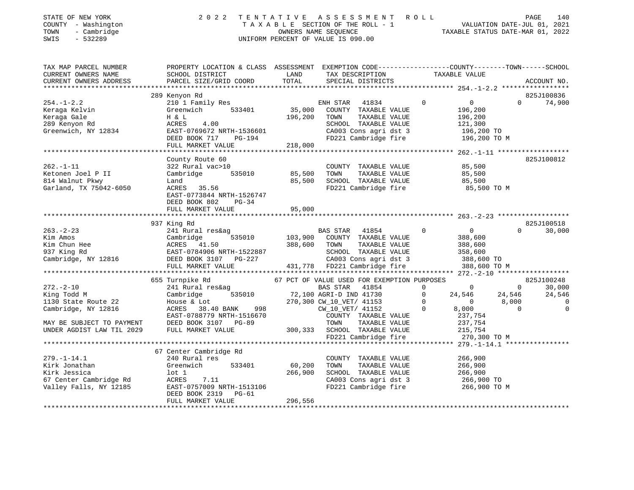| STATE OF NEW YORK   | 2022 TENTATIVE ASSESSMENT ROLL     | 140<br>PAGE                      |
|---------------------|------------------------------------|----------------------------------|
| COUNTY - Washington | TAXABLE SECTION OF THE ROLL - 1    | VALUATION DATE-JUL 01, 2021      |
| - Cambridge<br>TOWN | OWNERS NAME SEOUENCE               | TAXABLE STATUS DATE-MAR 01, 2022 |
| SWIS<br>- 532289    | UNIFORM PERCENT OF VALUE IS 090.00 |                                  |

| TAX MAP PARCEL NUMBER                                                                                       | PROPERTY LOCATION & CLASS ASSESSMENT EXEMPTION CODE---------------COUNTY-------TOWN-----SCHOOL                                                                                                                                                                                                                                                                                                                                                                         |               |                                                                  |                       |                                                                                                                    |          |                          |
|-------------------------------------------------------------------------------------------------------------|------------------------------------------------------------------------------------------------------------------------------------------------------------------------------------------------------------------------------------------------------------------------------------------------------------------------------------------------------------------------------------------------------------------------------------------------------------------------|---------------|------------------------------------------------------------------|-----------------------|--------------------------------------------------------------------------------------------------------------------|----------|--------------------------|
|                                                                                                             |                                                                                                                                                                                                                                                                                                                                                                                                                                                                        |               |                                                                  |                       |                                                                                                                    |          |                          |
|                                                                                                             |                                                                                                                                                                                                                                                                                                                                                                                                                                                                        |               |                                                                  |                       |                                                                                                                    |          |                          |
|                                                                                                             |                                                                                                                                                                                                                                                                                                                                                                                                                                                                        |               |                                                                  |                       |                                                                                                                    |          |                          |
|                                                                                                             | 289 Kenyon Rd                                                                                                                                                                                                                                                                                                                                                                                                                                                          |               |                                                                  |                       |                                                                                                                    |          | 825J100836               |
|                                                                                                             |                                                                                                                                                                                                                                                                                                                                                                                                                                                                        |               |                                                                  |                       | $\overline{0}$                                                                                                     |          | $\Omega$<br>74,900       |
|                                                                                                             |                                                                                                                                                                                                                                                                                                                                                                                                                                                                        |               |                                                                  |                       | 196,200                                                                                                            |          |                          |
| 254.-1-4.4<br>Keraga Kelvin<br>Cale                                                                         |                                                                                                                                                                                                                                                                                                                                                                                                                                                                        | 196,200 TOWN  |                                                                  | TAXABLE VALUE         | 196,200                                                                                                            |          |                          |
| 289 Kenyon Rd                                                                                               |                                                                                                                                                                                                                                                                                                                                                                                                                                                                        |               |                                                                  |                       |                                                                                                                    |          |                          |
| Greenwich, NY 12834                                                                                         | H & L 196,200<br>ACRES 4.00<br>EAST-0769672 NRTH-1536601                                                                                                                                                                                                                                                                                                                                                                                                               |               | SCHOOL TAXABLE VALUE 121,300<br>CA003 Cons agri dst 3 196,200 TO |                       |                                                                                                                    |          |                          |
|                                                                                                             | DEED BOOK 717 PG-194                                                                                                                                                                                                                                                                                                                                                                                                                                                   |               | FD221 Cambridge fire 196,200 TO M                                |                       |                                                                                                                    |          |                          |
|                                                                                                             | FULL MARKET VALUE                                                                                                                                                                                                                                                                                                                                                                                                                                                      | $194$ 218,000 |                                                                  |                       |                                                                                                                    |          |                          |
|                                                                                                             |                                                                                                                                                                                                                                                                                                                                                                                                                                                                        |               |                                                                  |                       |                                                                                                                    |          |                          |
|                                                                                                             | County Route 60                                                                                                                                                                                                                                                                                                                                                                                                                                                        |               |                                                                  |                       |                                                                                                                    |          | 825J100812               |
| $262. -1 - 11$                                                                                              | 322 Rural vac>10                                                                                                                                                                                                                                                                                                                                                                                                                                                       |               |                                                                  |                       |                                                                                                                    |          |                          |
| Ketonen Joel P II                                                                                           | Cambridge 535010 85,500 TOWN                                                                                                                                                                                                                                                                                                                                                                                                                                           |               | COUNTY TAXABLE VALUE 85,500                                      | TAXABLE VALUE         | 85,500                                                                                                             |          |                          |
|                                                                                                             |                                                                                                                                                                                                                                                                                                                                                                                                                                                                        |               | $85,500$ SCHOOL TAXABLE VALUE $85,500$                           |                       |                                                                                                                    |          |                          |
| 814 Walnut Pkwy                                                                                             |                                                                                                                                                                                                                                                                                                                                                                                                                                                                        |               |                                                                  |                       |                                                                                                                    |          |                          |
| Garland, TX 75042-6050                                                                                      | $ACRES$ 35.56                                                                                                                                                                                                                                                                                                                                                                                                                                                          |               | FD221 Cambridge fire                                             |                       | 85,500 TO M                                                                                                        |          |                          |
|                                                                                                             | EAST-0773844 NRTH-1526747                                                                                                                                                                                                                                                                                                                                                                                                                                              |               |                                                                  |                       |                                                                                                                    |          |                          |
|                                                                                                             | DEED BOOK 802 PG-34                                                                                                                                                                                                                                                                                                                                                                                                                                                    |               |                                                                  |                       |                                                                                                                    |          |                          |
|                                                                                                             | FULL MARKET VALUE                                                                                                                                                                                                                                                                                                                                                                                                                                                      | 95,000        |                                                                  |                       |                                                                                                                    |          |                          |
|                                                                                                             |                                                                                                                                                                                                                                                                                                                                                                                                                                                                        |               |                                                                  |                       |                                                                                                                    |          |                          |
|                                                                                                             | 937 King Rd                                                                                                                                                                                                                                                                                                                                                                                                                                                            |               |                                                                  |                       |                                                                                                                    |          | 825J100518               |
| $263 - 2 - 23$                                                                                              | 241 Rural res&ag                                                                                                                                                                                                                                                                                                                                                                                                                                                       |               |                                                                  |                       | $\overline{0}$                                                                                                     | $\Omega$ | 30,000                   |
|                                                                                                             | $\begin{tabular}{lcccccc} 263.-2-23 & & & & & & 241~{\scriptsize \texttt{A}}{} & & & & & & & & & \\ \text{Kim Amos} & & & & & & & & & & & & & \\ \text{Kim Chun Hee} & & & & & & & & & & & & & \\ \text{Kim Chun Hee} & & & & & & & & & & & & & \\ \text{Kim Chun Hee} & & & & & & & & & & & & & \\ \text{737 King Rd} & & & & & & & & & & & & & \\ \text{Cambridge, NY 12816} & & & & & & & & & & & \\ \text{Cambridge, NY 12816} & & & & & & & & & & & \\ \text{DEE$ |               |                                                                  |                       | 388,600                                                                                                            |          |                          |
|                                                                                                             |                                                                                                                                                                                                                                                                                                                                                                                                                                                                        |               |                                                                  |                       | 388,600<br>358,600                                                                                                 |          |                          |
|                                                                                                             |                                                                                                                                                                                                                                                                                                                                                                                                                                                                        |               |                                                                  |                       |                                                                                                                    |          |                          |
|                                                                                                             |                                                                                                                                                                                                                                                                                                                                                                                                                                                                        |               | CA003 Cons agri dst 3<br>CA003 Cons agri dst 3 388,600 TO        |                       |                                                                                                                    |          |                          |
|                                                                                                             |                                                                                                                                                                                                                                                                                                                                                                                                                                                                        |               |                                                                  |                       | 388,600 TO M                                                                                                       |          |                          |
|                                                                                                             |                                                                                                                                                                                                                                                                                                                                                                                                                                                                        |               |                                                                  |                       |                                                                                                                    |          |                          |
|                                                                                                             | 655 Turnpike Rd                                                                                                                                                                                                                                                                                                                                                                                                                                                        |               | 67 PCT OF VALUE USED FOR EXEMPTION PURPOSES                      |                       |                                                                                                                    |          | 825J100248               |
| $272 - 2 - 10$                                                                                              | Turnpike Rd<br>241 Rural res&ag<br>Cambridge 535010 72,100 AGRI-D IND 41730<br>House & Lot<br>270,300 CW_10_VET/ 41153<br>ACRES 38.40 BANK 998 CW_10_VET/ 41152<br>RAST-0788779 NRTH-1516670 COUNTY TAXABLE VALUE                                                                                                                                                                                                                                                      |               | BAS STAR 41854 0 0 0 0                                           |                       |                                                                                                                    |          | 30,000                   |
| King Todd M                                                                                                 |                                                                                                                                                                                                                                                                                                                                                                                                                                                                        |               |                                                                  |                       |                                                                                                                    |          | 24,546                   |
| 1130 State Route 22                                                                                         |                                                                                                                                                                                                                                                                                                                                                                                                                                                                        |               |                                                                  |                       |                                                                                                                    |          | $\overline{\phantom{0}}$ |
| Cambridge, NY 12816                                                                                         |                                                                                                                                                                                                                                                                                                                                                                                                                                                                        |               |                                                                  | $\overline{0}$        |                                                                                                                    |          | $\overline{0}$           |
|                                                                                                             |                                                                                                                                                                                                                                                                                                                                                                                                                                                                        |               |                                                                  |                       | $\begin{array}{cccc} 0 & 24\,,546 & 24\,,546 \\ 0 & 0 & 8\,,000 \\ 0 & 8\,,000 & 0 \\ 237\,,754 & & & \end{array}$ |          |                          |
|                                                                                                             |                                                                                                                                                                                                                                                                                                                                                                                                                                                                        |               |                                                                  |                       |                                                                                                                    |          |                          |
|                                                                                                             | MAY BE SUBJECT TO PAYMENT DEED BOOK 3107 PG-89<br>UNDER AGDIST LAW TIL 2029 FULL MARKET VALUE                                                                                                                                                                                                                                                                                                                                                                          |               |                                                                  |                       | 237,754<br>215,754                                                                                                 |          |                          |
|                                                                                                             | ACRES 38.40 DANA 1.15<br>EAST-0788779 NRTH-1516670 COUNTY TAXABLE VALUE<br>DEED BOOK 3107 PG-89 TOWN TAXABLE VALUE<br>FIILI. MARKET VALUE 300,333 SCHOOL TAXABLE VALUE<br>FIILI. MARKET VALUE 300,333 SCHOOL TAXABLE VALUE                                                                                                                                                                                                                                             |               | FD221 Cambridge fire 270,300 TO M                                |                       |                                                                                                                    |          |                          |
|                                                                                                             |                                                                                                                                                                                                                                                                                                                                                                                                                                                                        |               |                                                                  |                       |                                                                                                                    |          |                          |
|                                                                                                             | 67 Center Cambridge Rd                                                                                                                                                                                                                                                                                                                                                                                                                                                 |               |                                                                  |                       |                                                                                                                    |          |                          |
| $279. - 1 - 14.1$                                                                                           | 240 Rural res                                                                                                                                                                                                                                                                                                                                                                                                                                                          |               | COUNTY TAXABLE VALUE                                             |                       | 266,900                                                                                                            |          |                          |
| Kirk Jonathan                                                                                               | Greenwich                                                                                                                                                                                                                                                                                                                                                                                                                                                              | 533401 60,200 | TOWN                                                             | TAXABLE VALUE 266,900 |                                                                                                                    |          |                          |
|                                                                                                             |                                                                                                                                                                                                                                                                                                                                                                                                                                                                        |               |                                                                  |                       |                                                                                                                    |          |                          |
| Kirk Jonathan<br>Kirk Jessica Luck<br>67 Center Cambridge Rd ACRES<br>11 - Palls, NY 12185 EAST-0<br>DEED F | 266,900                                                                                                                                                                                                                                                                                                                                                                                                                                                                |               | SCHOOL TAXABLE VALUE 266,900<br>CA003 Cons agri dst 3 266,900 TO |                       |                                                                                                                    |          |                          |
|                                                                                                             |                                                                                                                                                                                                                                                                                                                                                                                                                                                                        |               |                                                                  |                       |                                                                                                                    |          |                          |
|                                                                                                             | $\begin{array}{ccc}\n & . & . & . & . & . & . & . & \n\text{EAST-0757009} & \text{NRTH-1513106} \\ \text{DEED BOOK 2319} & & \text{DCT-51} & . & \n\end{array}$                                                                                                                                                                                                                                                                                                        |               | FD221 Cambridge fire 266,900 TO M                                |                       |                                                                                                                    |          |                          |
|                                                                                                             |                                                                                                                                                                                                                                                                                                                                                                                                                                                                        |               |                                                                  |                       |                                                                                                                    |          |                          |
|                                                                                                             | FULL MARKET VALUE                                                                                                                                                                                                                                                                                                                                                                                                                                                      | 296,556       |                                                                  |                       |                                                                                                                    |          |                          |
|                                                                                                             |                                                                                                                                                                                                                                                                                                                                                                                                                                                                        |               |                                                                  |                       |                                                                                                                    |          |                          |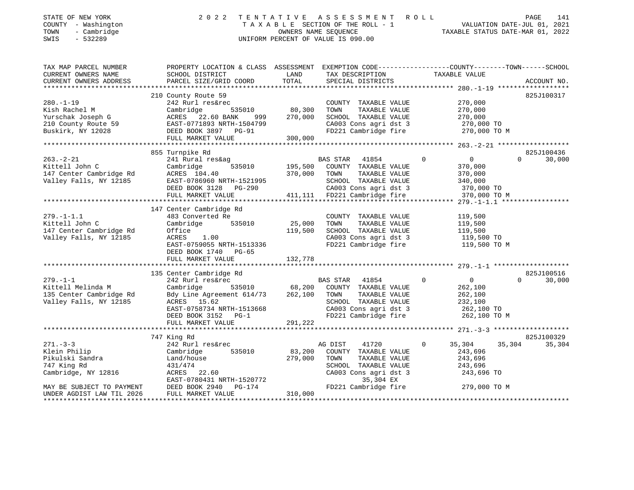| STATE OF NEW YORK<br>COUNTY - Washington<br>TOWN<br>- Cambridge<br>$-532289$<br>SWIS | 2 0 2 2                                                                                        |                   | TENTATIVE ASSESSMENT ROLL<br>TAXABLE SECTION OF THE ROLL - 1<br>OWNERS NAME SEQUENCE<br>UNIFORM PERCENT OF VALUE IS 090.00 |                            | PAGE<br>141<br>raye 141<br>VALUATION DATE-JUL 01, 2021<br>TAXABLE STATUS DATE-MAP 01 0000 |
|--------------------------------------------------------------------------------------|------------------------------------------------------------------------------------------------|-------------------|----------------------------------------------------------------------------------------------------------------------------|----------------------------|-------------------------------------------------------------------------------------------|
| TAX MAP PARCEL NUMBER<br>CURRENT OWNERS NAME                                         | PROPERTY LOCATION & CLASS ASSESSMENT EXEMPTION CODE---------------COUNTY-------TOWN-----SCHOOL | LAND              | TAX DESCRIPTION                                                                                                            | TAXABLE VALUE              |                                                                                           |
| CURRENT OWNERS ADDRESS                                                               | SCHOOL DISTRICT<br>PARCEL SIZE/GRID COORD                                                      | TOTAL             | SPECIAL DISTRICTS                                                                                                          |                            | ACCOUNT NO.                                                                               |
|                                                                                      |                                                                                                |                   |                                                                                                                            |                            |                                                                                           |
| $280. - 1 - 19$                                                                      | 210 County Route 59<br>242 Rurl res&rec                                                        |                   | COUNTY TAXABLE VALUE                                                                                                       | 270,000                    | 825J100317                                                                                |
| Kish Rachel M                                                                        | Cambridge<br>535010                                                                            | 80,300            | TOWN<br>TAXABLE VALUE                                                                                                      | 270,000                    |                                                                                           |
|                                                                                      | ACRES 22.60 BANK<br>999                                                                        | 270,000           | SCHOOL TAXABLE VALUE                                                                                                       | 270,000                    |                                                                                           |
|                                                                                      | EAST-0771893 NRTH-1504799                                                                      |                   | CA003 Cons agri dst 3                                                                                                      | 270,000 TO                 |                                                                                           |
| Buskirk, NY 12028                                                                    | DEED BOOK 3897 PG-91                                                                           |                   | FD221 Cambridge fire                                                                                                       | 270,000 TO M               |                                                                                           |
|                                                                                      | FULL MARKET VALUE                                                                              | 300,000           |                                                                                                                            |                            |                                                                                           |
|                                                                                      |                                                                                                |                   |                                                                                                                            |                            |                                                                                           |
|                                                                                      | 855 Turnpike Rd                                                                                |                   |                                                                                                                            |                            | 825J100436                                                                                |
| $263. - 2 - 21$                                                                      | 241 Rural res&ag                                                                               |                   | BAS STAR<br>41854                                                                                                          | $\overline{0}$<br>0        | 30,000<br>$\Omega$                                                                        |
| Kittell John C                                                                       | 535010<br>Cambridge                                                                            | 195,500           | COUNTY TAXABLE VALUE                                                                                                       | 370,000                    |                                                                                           |
| 147 Center Cambridge Rd                                                              | ACRES 104.40                                                                                   | 370,000           | TAXABLE VALUE<br>TOWN                                                                                                      | 370,000                    |                                                                                           |
| Valley Falls, NY 12185                                                               | EAST-0786960 NRTH-1521995                                                                      |                   | SCHOOL TAXABLE VALUE                                                                                                       | 340,000                    |                                                                                           |
|                                                                                      | DEED BOOK 3128 PG-290                                                                          |                   | CA003 Cons agri dst 3                                                                                                      | 370,000 TO                 |                                                                                           |
|                                                                                      | FULL MARKET VALUE                                                                              |                   | 411,111 FD221 Cambridge fire                                                                                               | 370,000 TO M               |                                                                                           |
|                                                                                      |                                                                                                |                   |                                                                                                                            |                            |                                                                                           |
|                                                                                      | 147 Center Cambridge Rd                                                                        |                   |                                                                                                                            |                            |                                                                                           |
| $279. - 1 - 1.1$                                                                     | 483 Converted Re                                                                               |                   | COUNTY TAXABLE VALUE                                                                                                       | 119,500                    |                                                                                           |
| Kittell John C                                                                       | 535010<br>Cambridge                                                                            | 25,000            | TAXABLE VALUE<br>TOWN                                                                                                      | 119,500                    |                                                                                           |
| 147 Center Cambridge Rd                                                              | Office                                                                                         | 119,500           | SCHOOL TAXABLE VALUE                                                                                                       | 119,500                    |                                                                                           |
| Valley Falls, NY 12185                                                               | ACRES<br>1.00                                                                                  |                   | CA003 Cons agri dst 3                                                                                                      | 119,500 TO                 |                                                                                           |
|                                                                                      | EAST-0759055 NRTH-1513336<br>DEED BOOK 1740<br>$PG-65$                                         |                   | FD221 Cambridge fire                                                                                                       | 119,500 TO M               |                                                                                           |
|                                                                                      | FULL MARKET VALUE                                                                              | 132,778           |                                                                                                                            |                            |                                                                                           |
|                                                                                      |                                                                                                |                   |                                                                                                                            |                            |                                                                                           |
|                                                                                      | 135 Center Cambridge Rd                                                                        |                   |                                                                                                                            |                            | 825J100516                                                                                |
| $279. - 1 - 1$                                                                       | 242 Rurl res&rec                                                                               |                   | BAS STAR 41854                                                                                                             | $\Omega$<br>$\overline{0}$ | 30,000<br>$\Omega$                                                                        |
| Kittell Melinda M                                                                    | Cambridge<br>535010                                                                            | 68,200            | COUNTY TAXABLE VALUE                                                                                                       | 262,100                    |                                                                                           |
| 135 Center Cambridge Rd                                                              | Bdy Line Agreement 614/73                                                                      | 262,100           | TOWN<br>TAXABLE VALUE                                                                                                      | 262,100                    |                                                                                           |
| Valley Falls, NY 12185                                                               | ACRES 15.62                                                                                    |                   | SCHOOL TAXABLE VALUE                                                                                                       | 232,100                    |                                                                                           |
|                                                                                      | EAST-0758734 NRTH-1513668                                                                      |                   | CA003 Cons agri dst 3                                                                                                      | 262,100 TO                 |                                                                                           |
|                                                                                      | DEED BOOK 3152 PG-1                                                                            |                   | FD221 Cambridge fire                                                                                                       | 262,100 TO M               |                                                                                           |
|                                                                                      | FULL MARKET VALUE                                                                              | 291,222           |                                                                                                                            |                            |                                                                                           |
|                                                                                      |                                                                                                |                   |                                                                                                                            |                            | 825J100329                                                                                |
|                                                                                      | 747 King Rd                                                                                    |                   |                                                                                                                            | 0                          |                                                                                           |
| $271 - 3 - 3$                                                                        | 242 Rurl res&rec                                                                               |                   | AG DIST<br>41720                                                                                                           | 35,304                     | 35,304<br>35,304                                                                          |
| Klein Philip<br>Pikulski Sandra                                                      | Cambridge<br>535010                                                                            | 83,200<br>279,000 | COUNTY TAXABLE VALUE<br>TOWN<br>TAXABLE VALUE                                                                              | 243,696<br>243,696         |                                                                                           |
| 747 King Rd                                                                          | Land/house<br>431/474                                                                          |                   | SCHOOL TAXABLE VALUE                                                                                                       | 243,696                    |                                                                                           |
|                                                                                      | ACRES 22.60                                                                                    |                   | CA003 Cons agri dst 3                                                                                                      |                            |                                                                                           |
| Cambridge, NY 12816                                                                  | EAST-0780431 NRTH-1520772                                                                      |                   | 35,304 EX                                                                                                                  | 243,696 TO                 |                                                                                           |
| MAY BE SUBJECT TO PAYMENT                                                            | $PG-174$<br>DEED BOOK 2940                                                                     |                   | FD221 Cambridge fire                                                                                                       | 279,000 TO M               |                                                                                           |
| UNDER AGDIST LAW TIL 2026                                                            | FULL MARKET VALUE                                                                              | 310,000           |                                                                                                                            |                            |                                                                                           |
|                                                                                      |                                                                                                |                   |                                                                                                                            |                            |                                                                                           |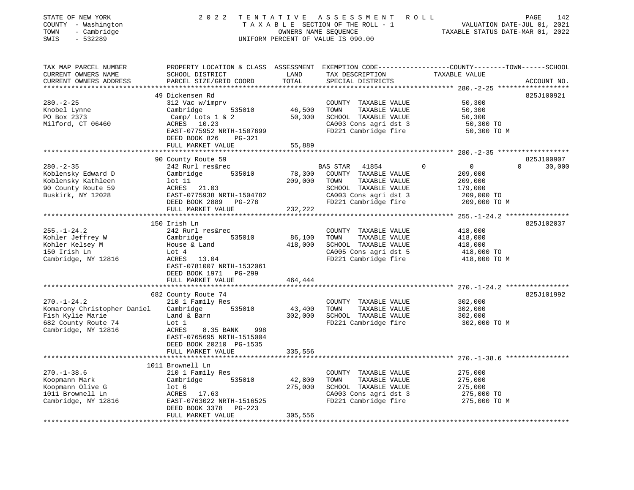| STATE OF NEW YORK<br>COUNTY - Washington<br>- Cambridge<br>TOWN<br>SWIS<br>$-532289$ | 2 0 2 2                                                           | TENTATIVE           | A S S E S S M E N T<br>TAXABLE SECTION OF THE ROLL - 1<br>OWNERS NAME SEQUENCE<br>UNIFORM PERCENT OF VALUE IS 090.00 | ROLL<br>142<br>PAGE<br>VALUATION DATE-JUL 01, 2021<br>TAXABLE STATUS DATE-MAR 01, 2022                                          |
|--------------------------------------------------------------------------------------|-------------------------------------------------------------------|---------------------|----------------------------------------------------------------------------------------------------------------------|---------------------------------------------------------------------------------------------------------------------------------|
| TAX MAP PARCEL NUMBER<br>CURRENT OWNERS NAME<br>CURRENT OWNERS ADDRESS               | SCHOOL DISTRICT<br>PARCEL SIZE/GRID COORD                         | LAND<br>TOTAL       | TAX DESCRIPTION<br>SPECIAL DISTRICTS                                                                                 | PROPERTY LOCATION & CLASS ASSESSMENT EXEMPTION CODE---------------COUNTY-------TOWN------SCHOOL<br>TAXABLE VALUE<br>ACCOUNT NO. |
|                                                                                      | 49 Dickensen Rd                                                   |                     |                                                                                                                      | 825J100921                                                                                                                      |
| $280. - 2 - 25$                                                                      | 312 Vac w/imprv                                                   |                     | COUNTY TAXABLE VALUE                                                                                                 | 50,300                                                                                                                          |
| Knobel Lynne                                                                         | Cambridge<br>535010                                               | 46,500              | TOWN<br>TAXABLE VALUE                                                                                                | 50,300                                                                                                                          |
| PO Box 2373                                                                          | Camp/ Lots $1 \& 2$                                               | 50,300              | SCHOOL TAXABLE VALUE                                                                                                 | 50,300                                                                                                                          |
| Milford, CT 06460                                                                    | ACRES<br>10.23                                                    |                     | CA003 Cons agri dst 3                                                                                                | 50,300 TO                                                                                                                       |
|                                                                                      | EAST-0775952 NRTH-1507699                                         |                     | FD221 Cambridge fire                                                                                                 | 50,300 TO M                                                                                                                     |
|                                                                                      | DEED BOOK 826<br>PG-321                                           |                     |                                                                                                                      |                                                                                                                                 |
|                                                                                      | FULL MARKET VALUE                                                 | 55,889              |                                                                                                                      |                                                                                                                                 |
|                                                                                      |                                                                   | * * * * * * * * * * |                                                                                                                      | ****************** 280. -2-35 *******************                                                                               |
|                                                                                      | 90 County Route 59                                                |                     |                                                                                                                      | 825J100907                                                                                                                      |
| $280. - 2 - 35$                                                                      | 242 Rurl res&rec                                                  |                     | BAS STAR<br>41854                                                                                                    | $\mathsf{O}$<br>$\Omega$<br>$\Omega$<br>30,000                                                                                  |
| Koblensky Edward D                                                                   | Cambridge<br>535010                                               | 78,300              | COUNTY TAXABLE VALUE<br>TOWN<br>TAXABLE VALUE                                                                        | 209,000                                                                                                                         |
| Koblensky Kathleen<br>90 County Route 59                                             | lot 11<br>ACRES 21.03                                             | 209,000             | SCHOOL TAXABLE VALUE                                                                                                 | 209,000<br>179,000                                                                                                              |
| Buskirk, NY 12028                                                                    | EAST-0775938 NRTH-1504782                                         |                     | CA003 Cons agri dst 3                                                                                                | 209,000 TO                                                                                                                      |
|                                                                                      | DEED BOOK 2889 PG-278                                             |                     | FD221 Cambridge fire                                                                                                 | 209,000 TO M                                                                                                                    |
|                                                                                      | FULL MARKET VALUE                                                 | 232,222             |                                                                                                                      |                                                                                                                                 |
|                                                                                      | ***********************                                           |                     | * * * * * * * * * * * * * * * * * * * *                                                                              | ********* 255.-1-24.2 ****************                                                                                          |
|                                                                                      | 150 Irish Ln                                                      |                     |                                                                                                                      | 825J102037                                                                                                                      |
| $255. - 1 - 24.2$                                                                    | 242 Rurl res&rec                                                  |                     | COUNTY TAXABLE VALUE                                                                                                 | 418,000                                                                                                                         |
| Kohler Jeffrey W                                                                     | Cambridge<br>535010                                               | 86,100              | TOWN<br>TAXABLE VALUE                                                                                                | 418,000                                                                                                                         |
| Kohler Kelsey M                                                                      | House & Land                                                      | 418,000             | SCHOOL TAXABLE VALUE                                                                                                 | 418,000                                                                                                                         |
| 150 Irish Ln                                                                         | Lot 4                                                             |                     | CA005 Cons agri dst 5                                                                                                | 418,000 TO                                                                                                                      |
| Cambridge, NY 12816                                                                  | ACRES 13.04<br>EAST-0781007 NRTH-1532061<br>DEED BOOK 1971 PG-299 |                     | FD221 Cambridge fire                                                                                                 | 418,000 TO M                                                                                                                    |
|                                                                                      | FULL MARKET VALUE                                                 | 464,444             |                                                                                                                      |                                                                                                                                 |
|                                                                                      |                                                                   |                     |                                                                                                                      |                                                                                                                                 |
|                                                                                      | 682 County Route 74                                               |                     |                                                                                                                      | 825J101992                                                                                                                      |
| $270. - 1 - 24.2$                                                                    | 210 1 Family Res                                                  |                     | COUNTY TAXABLE VALUE                                                                                                 | 302,000                                                                                                                         |
| Komarony Christopher Daniel                                                          | Cambridge<br>535010                                               | 43,400              | TOWN<br>TAXABLE VALUE                                                                                                | 302,000                                                                                                                         |
| Fish Kylie Marie                                                                     | Land & Barn                                                       | 302,000             | SCHOOL TAXABLE VALUE                                                                                                 | 302,000                                                                                                                         |
| 682 County Route 74                                                                  | Lot 1<br>ACRES<br>998                                             |                     | FD221 Cambridge fire                                                                                                 | 302,000 TO M                                                                                                                    |
| Cambridge, NY 12816                                                                  | 8.35 BANK<br>EAST-0765695 NRTH-1515004                            |                     |                                                                                                                      |                                                                                                                                 |
|                                                                                      | DEED BOOK 20210 PG-1535                                           |                     |                                                                                                                      |                                                                                                                                 |
|                                                                                      | FULL MARKET VALUE                                                 | 335,556             |                                                                                                                      |                                                                                                                                 |
|                                                                                      | *************************                                         |                     |                                                                                                                      |                                                                                                                                 |
|                                                                                      | 1011 Brownell Ln                                                  |                     |                                                                                                                      |                                                                                                                                 |
| $270. - 1 - 38.6$                                                                    | 210 1 Family Res                                                  |                     | COUNTY TAXABLE VALUE                                                                                                 | 275,000                                                                                                                         |
| Koopmann Mark                                                                        | 535010<br>Cambridge                                               | 42,800              | TAXABLE VALUE<br>TOWN                                                                                                | 275,000                                                                                                                         |
| Koopmann Olive G                                                                     | lot <sub>6</sub>                                                  | 275,000             | SCHOOL TAXABLE VALUE                                                                                                 | 275,000                                                                                                                         |
| 1011 Brownell Ln                                                                     | ACRES 17.63                                                       |                     | CA003 Cons agri dst 3                                                                                                | 275,000 TO                                                                                                                      |
| Cambridge, NY 12816                                                                  | EAST-0763022 NRTH-1516525                                         |                     | FD221 Cambridge fire                                                                                                 | 275,000 TO M                                                                                                                    |
|                                                                                      | DEED BOOK 3378<br>PG-223                                          |                     |                                                                                                                      |                                                                                                                                 |
|                                                                                      | FULL MARKET VALUE                                                 | 305,556             |                                                                                                                      |                                                                                                                                 |
|                                                                                      |                                                                   |                     |                                                                                                                      |                                                                                                                                 |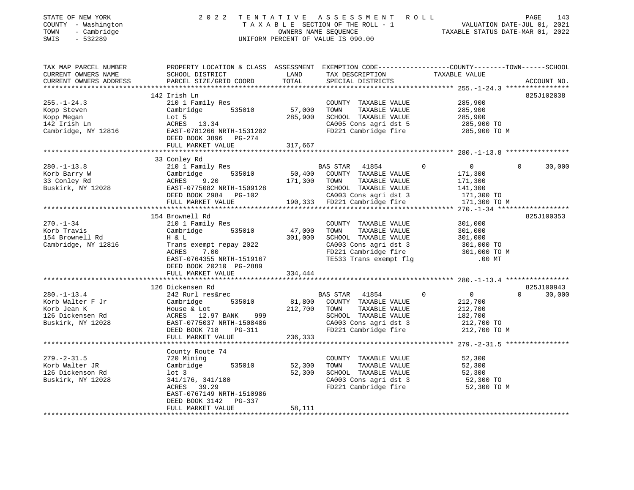| TAX MAP PARCEL NUMBER<br>SCHOOL DISTRICT                                                                                                                 |                                                                                             |                                                                                                                    |                                                                                                                                                                                                                                                                                                                                                                                                                                                                                                  | ACCOUNT NO.                                                                                                                                                                                                                                                                                                                                                                                                                                                                                                                                                                                                                                                                                                                                                                                                                                                                                                                                                                                                                                                                    |
|----------------------------------------------------------------------------------------------------------------------------------------------------------|---------------------------------------------------------------------------------------------|--------------------------------------------------------------------------------------------------------------------|--------------------------------------------------------------------------------------------------------------------------------------------------------------------------------------------------------------------------------------------------------------------------------------------------------------------------------------------------------------------------------------------------------------------------------------------------------------------------------------------------|--------------------------------------------------------------------------------------------------------------------------------------------------------------------------------------------------------------------------------------------------------------------------------------------------------------------------------------------------------------------------------------------------------------------------------------------------------------------------------------------------------------------------------------------------------------------------------------------------------------------------------------------------------------------------------------------------------------------------------------------------------------------------------------------------------------------------------------------------------------------------------------------------------------------------------------------------------------------------------------------------------------------------------------------------------------------------------|
|                                                                                                                                                          |                                                                                             |                                                                                                                    |                                                                                                                                                                                                                                                                                                                                                                                                                                                                                                  | 825J102038                                                                                                                                                                                                                                                                                                                                                                                                                                                                                                                                                                                                                                                                                                                                                                                                                                                                                                                                                                                                                                                                     |
| 210 1 Family Res                                                                                                                                         |                                                                                             |                                                                                                                    | 285,900                                                                                                                                                                                                                                                                                                                                                                                                                                                                                          |                                                                                                                                                                                                                                                                                                                                                                                                                                                                                                                                                                                                                                                                                                                                                                                                                                                                                                                                                                                                                                                                                |
|                                                                                                                                                          |                                                                                             |                                                                                                                    |                                                                                                                                                                                                                                                                                                                                                                                                                                                                                                  |                                                                                                                                                                                                                                                                                                                                                                                                                                                                                                                                                                                                                                                                                                                                                                                                                                                                                                                                                                                                                                                                                |
|                                                                                                                                                          |                                                                                             |                                                                                                                    |                                                                                                                                                                                                                                                                                                                                                                                                                                                                                                  |                                                                                                                                                                                                                                                                                                                                                                                                                                                                                                                                                                                                                                                                                                                                                                                                                                                                                                                                                                                                                                                                                |
|                                                                                                                                                          |                                                                                             |                                                                                                                    |                                                                                                                                                                                                                                                                                                                                                                                                                                                                                                  | $0 \t 30,000$                                                                                                                                                                                                                                                                                                                                                                                                                                                                                                                                                                                                                                                                                                                                                                                                                                                                                                                                                                                                                                                                  |
|                                                                                                                                                          |                                                                                             |                                                                                                                    |                                                                                                                                                                                                                                                                                                                                                                                                                                                                                                  |                                                                                                                                                                                                                                                                                                                                                                                                                                                                                                                                                                                                                                                                                                                                                                                                                                                                                                                                                                                                                                                                                |
| 154 Brownell Rd<br>210 1 Family Res<br>Cambridge 535010<br>H & L<br>ACRES<br>7.00                                                                        |                                                                                             | TAXABLE VALUE<br>TOWN                                                                                              | 301,000                                                                                                                                                                                                                                                                                                                                                                                                                                                                                          | 825J100353                                                                                                                                                                                                                                                                                                                                                                                                                                                                                                                                                                                                                                                                                                                                                                                                                                                                                                                                                                                                                                                                     |
|                                                                                                                                                          |                                                                                             |                                                                                                                    |                                                                                                                                                                                                                                                                                                                                                                                                                                                                                                  |                                                                                                                                                                                                                                                                                                                                                                                                                                                                                                                                                                                                                                                                                                                                                                                                                                                                                                                                                                                                                                                                                |
| 126 Dickensen Rd<br>242 Rurl res&rec                                                                                                                     |                                                                                             | TAXABLE VALUE                                                                                                      | $\overline{0}$<br>212,700<br>212,700<br>182,700                                                                                                                                                                                                                                                                                                                                                                                                                                                  | 825J100943<br>$\Omega$<br>30,000                                                                                                                                                                                                                                                                                                                                                                                                                                                                                                                                                                                                                                                                                                                                                                                                                                                                                                                                                                                                                                               |
|                                                                                                                                                          |                                                                                             |                                                                                                                    |                                                                                                                                                                                                                                                                                                                                                                                                                                                                                                  |                                                                                                                                                                                                                                                                                                                                                                                                                                                                                                                                                                                                                                                                                                                                                                                                                                                                                                                                                                                                                                                                                |
| County Route 74<br>720 Mining<br>lot 3<br>$341/176$ , $341/180$<br>$0.0988$ $39.29$<br>ACRES 39.29<br>EAST-0767149 NRTH-1510986<br>DEED BOOK 3142 PG-337 |                                                                                             | TOWN                                                                                                               | 52,300                                                                                                                                                                                                                                                                                                                                                                                                                                                                                           |                                                                                                                                                                                                                                                                                                                                                                                                                                                                                                                                                                                                                                                                                                                                                                                                                                                                                                                                                                                                                                                                                |
|                                                                                                                                                          | 142 Irish Ln<br>FULL MARKET VALUE<br>33 Conley Rd<br>FULL MARKET VALUE<br>FULL MARKET VALUE | DEED BOOK 3896 PG-274<br>Trans exempt repay 2022<br>EAST-0764355 NRTH-1519167<br>DEED BOOK 20210 PG-2889<br>58,111 | UNIFORM PERCENT OF VALUE IS 090.00<br>LAND<br>PARCEL SIZE/GRID COORD TOTAL<br>210 1 ramily Rep.<br>Cambridge 535010 57,000<br>Lot 5 285,900<br>Expp Steven<br>Exp Megan and Cambridge 535010 57,000<br>Ropp Megan 142 Irish Ln<br>Cambridge, NY 12816 8.8T-0781266 NRTH-1531282<br>RAST-0781266 NRTH-1531282<br>REER POOK 3896 BC-274<br>317,667<br>47,000<br>301,000<br>334,444<br>Cambridge 535010 81,800 COUNTY TAXABLE VALUE<br>212,700 TOWN<br>236,333<br>Cambridge 535010 52,300<br>52,300 | T E N T A T I V E A S S E S S M E N T R O L L<br>T A X A B L E SECTION OF THE ROLL - 1 VALUATION DATE-JUL 01, 2021<br>OWNERS NAME SEQUENCE<br>INIFORM PEPCENT OF VALUE TO 000 00<br>2022 TENTATIVE ASSESSMENT ROLL<br>PROPERTY LOCATION & CLASS ASSESSMENT EXEMPTION CODE---------------COUNTY-------TOWN------SCHOOL<br>-------<br>TAX DESCRIPTION TAXABLE VALUE<br>SPECIAL DISTRICTS<br>COUNTY TAXABLE VALUE<br>TOWN TAXABLE VALUE 285,900<br>SCHOOL TAXABLE VALUE 285,900<br>CA005 Cons agri dst 5 285,900 TO<br>CA005 Cons agri dst 5 285,900 TO<br>FD221 Cambridge fire 285,900 TO M<br>COUNTY TAXABLE VALUE 301,000<br>SCHOOL TAXABLE VALUE 301,000<br>CA003 Cons agri dst 3 301,000 TO<br>FD221 Cambridge fire 301,000 TO M<br>TE533 Trans exempt flg .00 MT<br>BAS STAR 41854 0<br>SCHOOL TAXABLE VALUE<br>CA003 Cons agri dst 3<br>FD221 Cambridge fire 212,700 TO M<br>COUNTY TAXABLE VALUE<br>TAXABLE VALUE 52,300<br>TAXABLE VALUE 52,300<br>ONS agri dst. 3 52.300<br>SCHOOL TAXABLE VALUE<br>CA003 Cons agri dst 3 52,300 TO<br>FD221 Cambridge fire 52,300 TO M |

\*\*\*\*\*\*\*\*\*\*\*\*\*\*\*\*\*\*\*\*\*\*\*\*\*\*\*\*\*\*\*\*\*\*\*\*\*\*\*\*\*\*\*\*\*\*\*\*\*\*\*\*\*\*\*\*\*\*\*\*\*\*\*\*\*\*\*\*\*\*\*\*\*\*\*\*\*\*\*\*\*\*\*\*\*\*\*\*\*\*\*\*\*\*\*\*\*\*\*\*\*\*\*\*\*\*\*\*\*\*\*\*\*\*\*\*\*\*\*\*\*\*\*\*\*\*\*\*\*\*\*\*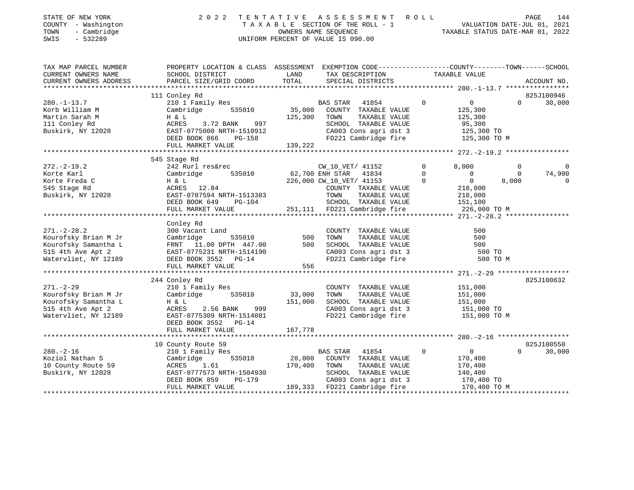| STATE OF NEW YORK   | 2022 TENTATIVE ASSESSMENT ROLL     | 144<br>PAGE                      |
|---------------------|------------------------------------|----------------------------------|
| COUNTY - Washington | TAXABLE SECTION OF THE ROLL - 1    | VALUATION DATE-JUL 01, 2021      |
| TOWN - Cambridge    | OWNERS NAME SEOUENCE               | TAXABLE STATUS DATE-MAR 01, 2022 |
| SWIS - 532289       | UNIFORM PERCENT OF VALUE IS 090.00 |                                  |
|                     |                                    |                                  |
|                     |                                    |                                  |

| CURRENT OWNERS NAME<br>SCHOOL DISTRICT<br>LAND<br>TAXABLE VALUE<br>TAX DESCRIPTION<br>TOTAL<br>CURRENT OWNERS ADDRESS<br>PARCEL SIZE/GRID COORD<br>SPECIAL DISTRICTS<br>ACCOUNT NO.<br>825J100946<br>111 Conley Rd<br>$280. - 1 - 13.7$<br>210 1 Family Res<br>$\Omega$<br>0<br>$\Omega$<br>BAS STAR<br>41854<br>35,000<br>535010<br>Korb William M<br>Cambridge<br>COUNTY TAXABLE VALUE<br>125,300<br>Martin Sarah M<br>125,300<br>TOWN<br>TAXABLE VALUE<br>125,300<br>H & L<br>111 Conley Rd<br>3.72 BANK<br>997<br>SCHOOL TAXABLE VALUE<br>95,300<br>ACRES | 30,000   |
|---------------------------------------------------------------------------------------------------------------------------------------------------------------------------------------------------------------------------------------------------------------------------------------------------------------------------------------------------------------------------------------------------------------------------------------------------------------------------------------------------------------------------------------------------------------|----------|
|                                                                                                                                                                                                                                                                                                                                                                                                                                                                                                                                                               |          |
|                                                                                                                                                                                                                                                                                                                                                                                                                                                                                                                                                               |          |
|                                                                                                                                                                                                                                                                                                                                                                                                                                                                                                                                                               |          |
|                                                                                                                                                                                                                                                                                                                                                                                                                                                                                                                                                               |          |
|                                                                                                                                                                                                                                                                                                                                                                                                                                                                                                                                                               |          |
|                                                                                                                                                                                                                                                                                                                                                                                                                                                                                                                                                               |          |
|                                                                                                                                                                                                                                                                                                                                                                                                                                                                                                                                                               |          |
| Buskirk, NY 12028<br>EAST-0775000 NRTH-1510912<br>CA003 Cons agri dst 3<br>125,300 TO                                                                                                                                                                                                                                                                                                                                                                                                                                                                         |          |
| FD221 Cambridge fire<br>125,300 TO M<br>DEED BOOK 866<br><b>PG-158</b>                                                                                                                                                                                                                                                                                                                                                                                                                                                                                        |          |
| 139,222<br>FULL MARKET VALUE                                                                                                                                                                                                                                                                                                                                                                                                                                                                                                                                  |          |
|                                                                                                                                                                                                                                                                                                                                                                                                                                                                                                                                                               |          |
| 545 Stage Rd<br>$\mathbf 0$<br>$272. - 2 - 19.2$<br>242 Rurl res&rec<br>CW_10_VET/ 41152<br>8,000<br>$\Omega$                                                                                                                                                                                                                                                                                                                                                                                                                                                 | $\Omega$ |
| 535010<br>62,700 ENH STAR<br>41834<br>$\Omega$<br>Korte Karl<br>$\Omega$<br>$\Omega$<br>Cambridge                                                                                                                                                                                                                                                                                                                                                                                                                                                             | 74,900   |
| $\Omega$<br>226,000 CW_10_VET/ 41153<br>$\overline{0}$<br>8,000<br>Korte Freda C<br>H & L                                                                                                                                                                                                                                                                                                                                                                                                                                                                     | 0        |
| ACRES 12.84<br>218,000<br>545 Stage Rd<br>COUNTY TAXABLE VALUE                                                                                                                                                                                                                                                                                                                                                                                                                                                                                                |          |
| Buskirk, NY 12028<br>EAST-0787594 NRTH-1513383<br>218,000<br>TOWN<br>TAXABLE VALUE                                                                                                                                                                                                                                                                                                                                                                                                                                                                            |          |
| DEED BOOK 649<br>SCHOOL TAXABLE VALUE<br>PG-104<br>151,100                                                                                                                                                                                                                                                                                                                                                                                                                                                                                                    |          |
| 251,111 FD221 Cambridge fire<br>226,000 TO M<br>FULL MARKET VALUE                                                                                                                                                                                                                                                                                                                                                                                                                                                                                             |          |
|                                                                                                                                                                                                                                                                                                                                                                                                                                                                                                                                                               |          |
| Conley Rd                                                                                                                                                                                                                                                                                                                                                                                                                                                                                                                                                     |          |
| $271. - 2 - 28.2$<br>300 Vacant Land<br>COUNTY TAXABLE VALUE<br>500                                                                                                                                                                                                                                                                                                                                                                                                                                                                                           |          |
| Kourofsky Brian M Jr<br>500<br>500<br>Cambridge<br>535010<br>TOWN<br>TAXABLE VALUE                                                                                                                                                                                                                                                                                                                                                                                                                                                                            |          |
| Kourofsky Samantha L<br>FRNT 11.00 DPTH 447.00<br>500<br>SCHOOL TAXABLE VALUE<br>500                                                                                                                                                                                                                                                                                                                                                                                                                                                                          |          |
| 515 4th Ave Apt 2<br>EAST-0775231 NRTH-1514190<br>CA003 Cons agri dst 3<br>500 TO                                                                                                                                                                                                                                                                                                                                                                                                                                                                             |          |
| Watervliet, NY 12189<br>DEED BOOK 3552 PG-14<br>FD221 Cambridge fire<br>500 TO M                                                                                                                                                                                                                                                                                                                                                                                                                                                                              |          |
| 556<br>FULL MARKET VALUE                                                                                                                                                                                                                                                                                                                                                                                                                                                                                                                                      |          |
|                                                                                                                                                                                                                                                                                                                                                                                                                                                                                                                                                               |          |
| 825J100632<br>244 Conley Rd<br>$271. - 2 - 29$<br>210 1 Family Res<br>COUNTY TAXABLE VALUE<br>151,000                                                                                                                                                                                                                                                                                                                                                                                                                                                         |          |
| Kourofsky Brian M Jr<br>535010<br>33,000<br>Cambridge<br>TOWN<br>TAXABLE VALUE<br>151,000                                                                                                                                                                                                                                                                                                                                                                                                                                                                     |          |
| Kourofsky Samantha L<br>151,000<br>SCHOOL TAXABLE VALUE<br>151,000<br>H & L                                                                                                                                                                                                                                                                                                                                                                                                                                                                                   |          |
| 515 4th Ave Apt 2<br>CA003 Cons agri dst 3<br>ACRES<br>2.56 BANK<br>999<br>151,000 TO                                                                                                                                                                                                                                                                                                                                                                                                                                                                         |          |
| Watervliet, NY 12189<br>EAST-0775309 NRTH-1514081<br>FD221 Cambridge fire<br>151,000 TO M                                                                                                                                                                                                                                                                                                                                                                                                                                                                     |          |
| DEED BOOK 3552 PG-14                                                                                                                                                                                                                                                                                                                                                                                                                                                                                                                                          |          |
| 167,778<br>FULL MARKET VALUE                                                                                                                                                                                                                                                                                                                                                                                                                                                                                                                                  |          |
|                                                                                                                                                                                                                                                                                                                                                                                                                                                                                                                                                               |          |
| 825J100550<br>10 County Route 59                                                                                                                                                                                                                                                                                                                                                                                                                                                                                                                              |          |
| $280. - 2 - 16$<br>210 1 Family Res<br><b>BAS STAR</b><br>41854<br>$\Omega$<br>$\Omega$<br>$\Omega$                                                                                                                                                                                                                                                                                                                                                                                                                                                           | 30,000   |
| Koziol Nathan S<br>535010<br>28,000<br>COUNTY TAXABLE VALUE<br>170,400<br>Cambridge                                                                                                                                                                                                                                                                                                                                                                                                                                                                           |          |
| 10 County Route 59<br>1.61<br>170,400<br>TOWN<br>TAXABLE VALUE<br>170,400<br>ACRES                                                                                                                                                                                                                                                                                                                                                                                                                                                                            |          |
| SCHOOL TAXABLE VALUE<br>Buskirk, NY 12028<br>EAST-0777573 NRTH-1504930<br>140,400                                                                                                                                                                                                                                                                                                                                                                                                                                                                             |          |
| CA003 Cons agri dst 3<br>DEED BOOK 859<br>PG-179<br>170,400 TO                                                                                                                                                                                                                                                                                                                                                                                                                                                                                                |          |
| 189,333 FD221 Cambridge fire<br>FULL MARKET VALUE<br>170,400 TO M                                                                                                                                                                                                                                                                                                                                                                                                                                                                                             |          |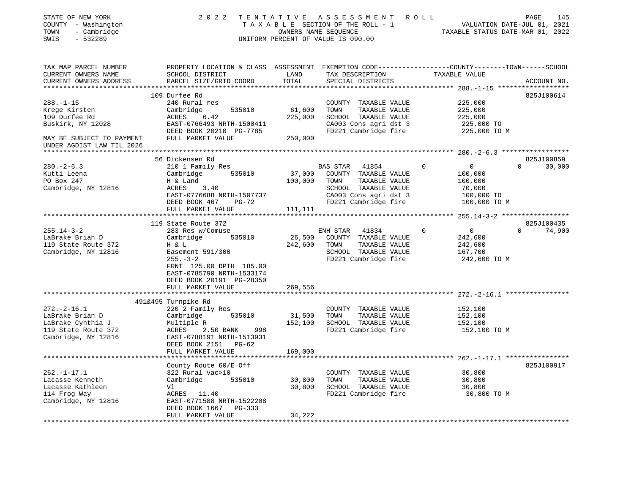| STATE OF NEW YORK<br>COUNTY - Washington<br>- Cambridge<br>TOWN<br>SWIS<br>$-532289$ | 2 0 2 2                                                                                        |                   | TENTATIVE ASSESSMENT<br>TAXABLE SECTION OF THE ROLL - 1<br>OWNERS NAME SEQUENCE<br>UNIFORM PERCENT OF VALUE IS 090.00 | ROLL<br>VALUATION DATE-JUL 01, 2021<br>TAXABLE STATUS DATE-MAR 01, 2022 | 145<br>PAGE        |
|--------------------------------------------------------------------------------------|------------------------------------------------------------------------------------------------|-------------------|-----------------------------------------------------------------------------------------------------------------------|-------------------------------------------------------------------------|--------------------|
|                                                                                      |                                                                                                |                   |                                                                                                                       |                                                                         |                    |
| TAX MAP PARCEL NUMBER                                                                | PROPERTY LOCATION & CLASS ASSESSMENT EXEMPTION CODE---------------COUNTY-------TOWN-----SCHOOL |                   |                                                                                                                       |                                                                         |                    |
| CURRENT OWNERS NAME<br>CURRENT OWNERS ADDRESS                                        | SCHOOL DISTRICT<br>PARCEL SIZE/GRID COORD                                                      | LAND<br>TOTAL     | TAX DESCRIPTION<br>SPECIAL DISTRICTS                                                                                  | TAXABLE VALUE                                                           | ACCOUNT NO.        |
| ************************                                                             |                                                                                                |                   |                                                                                                                       |                                                                         |                    |
|                                                                                      | 109 Durfee Rd                                                                                  |                   |                                                                                                                       |                                                                         | 825J100614         |
| $288. - 1 - 15$                                                                      | 240 Rural res                                                                                  |                   | COUNTY TAXABLE VALUE                                                                                                  | 225,000                                                                 |                    |
| Krege Kirsten                                                                        | Cambridge<br>535010                                                                            | 61,600            | TOWN<br>TAXABLE VALUE                                                                                                 | 225,000                                                                 |                    |
| 109 Durfee Rd                                                                        | ACRES<br>6.42                                                                                  | 225,000           | SCHOOL TAXABLE VALUE                                                                                                  | 225,000                                                                 |                    |
| Buskirk, NY 12028                                                                    | EAST-0766493 NRTH-1500411                                                                      |                   | CA003 Cons agri dst 3                                                                                                 | 225,000 TO                                                              |                    |
| MAY BE SUBJECT TO PAYMENT                                                            | DEED BOOK 20210 PG-7785<br>FULL MARKET VALUE                                                   | 250,000           | FD221 Cambridge fire                                                                                                  | 225,000 TO M                                                            |                    |
| UNDER AGDIST LAW TIL 2026                                                            |                                                                                                |                   |                                                                                                                       |                                                                         |                    |
| ********************                                                                 |                                                                                                | *************     |                                                                                                                       | ******** 280. - 2 - 6.3 ******************                              |                    |
|                                                                                      | 56 Dickensen Rd                                                                                |                   |                                                                                                                       |                                                                         | 825J100859         |
| $280 - 2 - 6.3$                                                                      | 210 1 Family Res                                                                               |                   | BAS STAR<br>41854                                                                                                     | $\mathbf 0$<br>0                                                        | $\Omega$<br>30,000 |
| Kutti Leena<br>PO Box 247                                                            | Cambridge<br>535010<br>H & Land                                                                | 37,000<br>100,000 | COUNTY TAXABLE VALUE<br>TOWN<br>TAXABLE VALUE                                                                         | 100,000<br>100,000                                                      |                    |
| Cambridge, NY 12816                                                                  | ACRES<br>3.40                                                                                  |                   | SCHOOL TAXABLE VALUE                                                                                                  | 70,000                                                                  |                    |
|                                                                                      | EAST-0776688 NRTH-1507737                                                                      |                   | CA003 Cons agri dst 3                                                                                                 | 100,000 TO                                                              |                    |
|                                                                                      | DEED BOOK 467<br>$PG-72$                                                                       |                   | FD221 Cambridge fire                                                                                                  | 100,000 TO M                                                            |                    |
|                                                                                      | FULL MARKET VALUE                                                                              | 111,111           |                                                                                                                       |                                                                         |                    |
|                                                                                      |                                                                                                |                   |                                                                                                                       |                                                                         |                    |
|                                                                                      | 119 State Route 372                                                                            |                   |                                                                                                                       |                                                                         | 825J100435         |
| $255.14 - 3 - 2$                                                                     | 283 Res w/Comuse                                                                               |                   | ENH STAR<br>41834                                                                                                     | $\mathbf 0$<br>$\mathbf 0$                                              | $\Omega$<br>74,900 |
| LaBrake Brian D                                                                      | 535010<br>Cambridge                                                                            | 26,500            | COUNTY TAXABLE VALUE                                                                                                  | 242,600                                                                 |                    |
| 119 State Route 372                                                                  | H & L                                                                                          | 242,600           | TOWN<br>TAXABLE VALUE<br>SCHOOL TAXABLE VALUE                                                                         | 242,600                                                                 |                    |
| Cambridge, NY 12816                                                                  | Easement 591/300<br>$255. - 3 - 2$                                                             |                   | FD221 Cambridge fire                                                                                                  | 167,700<br>242,600 TO M                                                 |                    |
|                                                                                      | FRNT 125.00 DPTH 185.00                                                                        |                   |                                                                                                                       |                                                                         |                    |
|                                                                                      | EAST-0785790 NRTH-1533174                                                                      |                   |                                                                                                                       |                                                                         |                    |
|                                                                                      | DEED BOOK 20191 PG-28350                                                                       |                   |                                                                                                                       |                                                                         |                    |
|                                                                                      | FULL MARKET VALUE                                                                              | 269,556           |                                                                                                                       |                                                                         |                    |
|                                                                                      | ***********************                                                                        | *************     |                                                                                                                       |                                                                         |                    |
|                                                                                      | 491&495 Turnpike Rd                                                                            |                   |                                                                                                                       |                                                                         |                    |
| $272. - 2 - 16.1$                                                                    | 220 2 Family Res                                                                               |                   | COUNTY TAXABLE VALUE                                                                                                  | 152,100                                                                 |                    |
| LaBrake Brian D                                                                      | 535010<br>Cambridge                                                                            | 31,500            | TOWN<br>TAXABLE VALUE                                                                                                 | 152,100                                                                 |                    |
| LaBrake Cynthia J<br>119 State Route 372                                             | Multiple R<br>ACRES<br>2.50 BANK<br>998                                                        | 152,100           | SCHOOL TAXABLE VALUE<br>FD221 Cambridge fire                                                                          | 152,100<br>152,100 TO M                                                 |                    |
| Cambridge, NY 12816                                                                  | EAST-0788191 NRTH-1513931                                                                      |                   |                                                                                                                       |                                                                         |                    |
|                                                                                      | DEED BOOK 2151 PG-62                                                                           |                   |                                                                                                                       |                                                                         |                    |
|                                                                                      | FULL MARKET VALUE                                                                              | 169,000           |                                                                                                                       |                                                                         |                    |
|                                                                                      |                                                                                                |                   |                                                                                                                       |                                                                         |                    |
|                                                                                      | County Route 60/E Off                                                                          |                   |                                                                                                                       |                                                                         | 825J100917         |
| $262. -1 - 17.1$                                                                     | 322 Rural vac>10                                                                               |                   | COUNTY TAXABLE VALUE                                                                                                  | 30,800                                                                  |                    |
| Lacasse Kenneth                                                                      | 535010<br>Cambridge                                                                            | 30,800            | TOWN<br>TAXABLE VALUE                                                                                                 | 30,800                                                                  |                    |
| Lacasse Kathleen                                                                     | Vl.                                                                                            | 30,800            | SCHOOL TAXABLE VALUE                                                                                                  | 30,800                                                                  |                    |
| 114 Frog Way                                                                         | ACRES 11.40                                                                                    |                   | FD221 Cambridge fire                                                                                                  | 30,800 TO M                                                             |                    |
| Cambridge, NY 12816                                                                  | EAST-0771588 NRTH-1522208<br>DEED BOOK 1667<br>PG-333                                          |                   |                                                                                                                       |                                                                         |                    |
|                                                                                      | FULL MARKET VALUE                                                                              | 34,222            |                                                                                                                       |                                                                         |                    |
|                                                                                      | ***************************                                                                    |                   |                                                                                                                       |                                                                         |                    |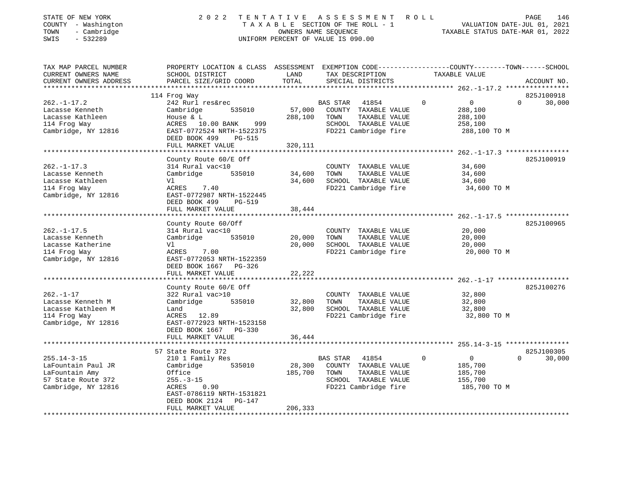| STATE OF NEW YORK<br>- Washington<br>COUNTY<br>- Cambridge<br>TOWN<br>$-532289$<br>SWIS         | 2 0 2 2                                                                                                                                                             | TENTATIVE                    | A S S E S S M E N T<br>TAXABLE SECTION OF THE ROLL - 1<br>OWNERS NAME SEOUENCE<br>UNIFORM PERCENT OF VALUE IS 090.00  | ROLL     | VALUATION DATE-JUL 01, 2021<br>TAXABLE STATUS DATE-MAR 01, 2022 |          | 146<br>PAGE |
|-------------------------------------------------------------------------------------------------|---------------------------------------------------------------------------------------------------------------------------------------------------------------------|------------------------------|-----------------------------------------------------------------------------------------------------------------------|----------|-----------------------------------------------------------------|----------|-------------|
| TAX MAP PARCEL NUMBER<br>CURRENT OWNERS NAME                                                    | PROPERTY LOCATION & CLASS ASSESSMENT<br>SCHOOL DISTRICT                                                                                                             | LAND                         | EXEMPTION CODE-----------------COUNTY-------TOWN------SCHOOL<br>TAX DESCRIPTION                                       |          | TAXABLE VALUE                                                   |          |             |
| CURRENT OWNERS ADDRESS                                                                          | PARCEL SIZE/GRID COORD TOTAL                                                                                                                                        |                              | SPECIAL DISTRICTS                                                                                                     |          |                                                                 |          | ACCOUNT NO. |
|                                                                                                 | 114 Frog Way                                                                                                                                                        |                              |                                                                                                                       |          |                                                                 |          | 825J100918  |
| $262. - 1 - 17.2$<br>Lacasse Kenneth<br>Lacasse Kathleen<br>114 Froq Way<br>Cambridge, NY 12816 | 242 Rurl res&rec<br>535010<br>Cambridge<br>House & L<br>999<br>ACRES 10.00 BANK<br>EAST-0772524 NRTH-1522375<br>DEED BOOK 499<br><b>PG-515</b><br>FULL MARKET VALUE | 57,000<br>288,100<br>320,111 | 41854<br>BAS STAR<br>COUNTY<br>TAXABLE VALUE<br>TOWN<br>TAXABLE VALUE<br>SCHOOL TAXABLE VALUE<br>FD221 Cambridge fire | $\Omega$ | $\overline{0}$<br>288,100<br>288,100<br>258,100<br>288,100 TO M | $\Omega$ | 30,000      |
|                                                                                                 |                                                                                                                                                                     |                              |                                                                                                                       |          |                                                                 |          |             |
|                                                                                                 | County Route 60/E Off                                                                                                                                               |                              |                                                                                                                       |          |                                                                 |          | 825J100919  |
| $262. - 1 - 17.3$                                                                               | 314 Rural vac<10                                                                                                                                                    |                              | COUNTY<br>TAXABLE VALUE                                                                                               |          | 34,600                                                          |          |             |
| Lacasse Kenneth                                                                                 | Cambridge<br>535010                                                                                                                                                 | 34,600                       | TOWN<br>TAXABLE VALUE                                                                                                 |          | 34,600                                                          |          |             |

\*\*\*\*\*\*\*\*\*\*\*\*\*\*\*\*\*\*\*\*\*\*\*\*\*\*\*\*\*\*\*\*\*\*\*\*\*\*\*\*\*\*\*\*\*\*\*\*\*\*\*\*\*\*\*\*\*\*\*\*\*\*\*\*\*\*\*\*\*\*\*\*\*\*\*\*\*\*\*\*\*\*\*\*\*\*\*\*\*\*\*\*\*\*\*\*\*\*\*\*\*\*\* 262.-1-17.5 \*\*\*\*\*\*\*\*\*\*\*\*\*\*\*\*

\*\*\*\*\*\*\*\*\*\*\*\*\*\*\*\*\*\*\*\*\*\*\*\*\*\*\*\*\*\*\*\*\*\*\*\*\*\*\*\*\*\*\*\*\*\*\*\*\*\*\*\*\*\*\*\*\*\*\*\*\*\*\*\*\*\*\*\*\*\*\*\*\*\*\*\*\*\*\*\*\*\*\*\*\*\*\*\*\*\*\*\*\*\*\*\*\*\*\*\*\*\*\* 262.-1-17 \*\*\*\*\*\*\*\*\*\*\*\*\*\*\*\*\*\*

\*\*\*\*\*\*\*\*\*\*\*\*\*\*\*\*\*\*\*\*\*\*\*\*\*\*\*\*\*\*\*\*\*\*\*\*\*\*\*\*\*\*\*\*\*\*\*\*\*\*\*\*\*\*\*\*\*\*\*\*\*\*\*\*\*\*\*\*\*\*\*\*\*\*\*\*\*\*\*\*\*\*\*\*\*\*\*\*\*\*\*\*\*\*\*\*\*\*\*\*\*\*\* 255.14-3-15 \*\*\*\*\*\*\*\*\*\*\*\*\*\*\*\*

\*\*\*\*\*\*\*\*\*\*\*\*\*\*\*\*\*\*\*\*\*\*\*\*\*\*\*\*\*\*\*\*\*\*\*\*\*\*\*\*\*\*\*\*\*\*\*\*\*\*\*\*\*\*\*\*\*\*\*\*\*\*\*\*\*\*\*\*\*\*\*\*\*\*\*\*\*\*\*\*\*\*\*\*\*\*\*\*\*\*\*\*\*\*\*\*\*\*\*\*\*\*\*\*\*\*\*\*\*\*\*\*\*\*\*\*\*\*\*\*\*\*\*\*\*\*\*\*\*\*\*\*

Land 32,800 SCHOOL TAXABLE VALUE 32,800

County Route 60/Off 825J100965

County Route 60/E Off 825J100276

57 State Route 372 825J100305

 $0 \t30.000$ 

Lacasse Kathleen  $V1$   $V1$   $V2$   $V34,600$  SCHOOL TAXABLE VALUE  $34,600$ 114 Frog Way **ACRES** 7.40 **FD221 Cambridge fire** 34,600 TO M

262.-1-17.5 314 Rural vac<10 COUNTY TAXABLE VALUE 20,000 Lacasse Kenneth Cambridge 535010 20,000 TOWN TAXABLE VALUE 20,000 Lacasse Katherine Vl 20,000 SCHOOL TAXABLE VALUE 20,000 114 Frog Way **ACRES** 7.00 **FD221 Cambridge fire** 20,000 TO M

262.-1-17 322 Rural vac>10 COUNTY TAXABLE VALUE 32,800 Lacasse Kenneth M Cambridge 535010 32,800 TOWN TAXABLE VALUE 32,800

255.14-3-15 210 1 Family Res BAS STAR 41854 0 0 0 LaFountain Paul JR Cambridge 535010 28,300 COUNTY TAXABLE VALUE 185,700 LaFountain Amy 60ffice 185,700 TOWN TAXABLE VALUE 185,700 TOWN TAXABLE VALUE 57 State Route 372 255.-3-15 255.-3-15 SCHOOL TAXABLE VALUE 155,700 Cambridge, NY 12816 ACRES 0.90 FD221 Cambridge fire 185,700 TO M

114 Frog Way ACRES 12.89 FD221 Cambridge fire 32,800 TO M

DEED BOOK 499 PG-519

DEED BOOK 1667 PG-326

 DEED BOOK 1667 PG-330FULL MARKET VALUE 36,444

> EAST-0786119 NRTH-1531821DEED BOOK 2124 PG-147

FULL MARKET VALUE 206,333

FULL MARKET VALUE 38,444

FULL MARKET VALUE 22,222

Cambridge, NY 12816 EAST-0772987 NRTH-1522445

Cambridge, NY 12816 EAST-0772053 NRTH-1522359

Cambridge, NY 12816 EAST-0772923 NRTH-1523158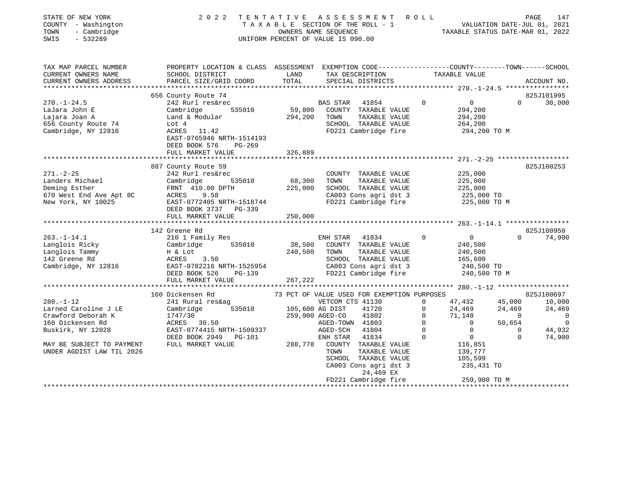| STATE OF NEW YORK<br>COUNTY - Washington<br>TOWN<br>- Cambridge<br>SWIS<br>$-532289$ | 2 0 2 2                                                                                          | TENTATIVE      | A S S E S S M E N T<br>TAXABLE SECTION OF THE ROLL - 1<br>OWNERS NAME SEQUENCE<br>UNIFORM PERCENT OF VALUE IS 090.00 | R O L L                 | VALUATION DATE-JUL 01, 2021<br>TAXABLE STATUS DATE-MAR 01, 2022 |                          | PAGE<br>147        |
|--------------------------------------------------------------------------------------|--------------------------------------------------------------------------------------------------|----------------|----------------------------------------------------------------------------------------------------------------------|-------------------------|-----------------------------------------------------------------|--------------------------|--------------------|
| TAX MAP PARCEL NUMBER                                                                | PROPERTY LOCATION & CLASS ASSESSMENT EXEMPTION CODE----------------COUNTY-------TOWN------SCHOOL |                |                                                                                                                      |                         |                                                                 |                          |                    |
| CURRENT OWNERS NAME                                                                  | SCHOOL DISTRICT                                                                                  | LAND           | TAX DESCRIPTION                                                                                                      |                         | TAXABLE VALUE                                                   |                          |                    |
| CURRENT OWNERS ADDRESS                                                               | PARCEL SIZE/GRID COORD                                                                           | TOTAL          | SPECIAL DISTRICTS                                                                                                    |                         |                                                                 |                          | ACCOUNT NO.        |
|                                                                                      | 656 County Route 74                                                                              |                |                                                                                                                      |                         |                                                                 |                          | 825J101995         |
| $270. - 1 - 24.5$                                                                    | 242 Rurl res&rec                                                                                 |                | BAS STAR<br>41854                                                                                                    | $\Omega$                | $\overline{0}$                                                  | $\Omega$                 | 30,000             |
| LaJara John E                                                                        | Cambridge<br>535010                                                                              | 59,800         | COUNTY TAXABLE VALUE                                                                                                 |                         | 294,200                                                         |                          |                    |
| Lajara Joan A                                                                        | Land & Modular                                                                                   | 294,200        | TOWN<br>TAXABLE VALUE                                                                                                |                         | 294,200                                                         |                          |                    |
| 656 County Route 74                                                                  | Lot 4                                                                                            |                | SCHOOL TAXABLE VALUE                                                                                                 |                         | 264,200                                                         |                          |                    |
| Cambridge, NY 12816                                                                  | ACRES 11.42                                                                                      |                | FD221 Cambridge fire                                                                                                 |                         | 294,200 TO M                                                    |                          |                    |
|                                                                                      | EAST-0765946 NRTH-1514193                                                                        |                |                                                                                                                      |                         |                                                                 |                          |                    |
|                                                                                      | DEED BOOK 576<br>PG-269                                                                          |                |                                                                                                                      |                         |                                                                 |                          |                    |
|                                                                                      | FULL MARKET VALUE                                                                                | 326,889        |                                                                                                                      |                         |                                                                 |                          |                    |
|                                                                                      | ****************************                                                                     | ************** | ********************************* 271.-2-25 ******************                                                       |                         |                                                                 |                          |                    |
|                                                                                      | 887 County Route 59                                                                              |                |                                                                                                                      |                         |                                                                 |                          | 825J100253         |
| $271. - 2 - 25$                                                                      | 242 Rurl res&rec                                                                                 |                | COUNTY TAXABLE VALUE                                                                                                 |                         | 225,000                                                         |                          |                    |
| Landers Michael                                                                      | Cambridge<br>535010                                                                              | 68,300         | TAXABLE VALUE<br>TOWN                                                                                                |                         | 225,000                                                         |                          |                    |
| Deming Esther<br>670 West End Ave Apt 8C                                             | FRNT 410.00 DPTH<br>ACRES<br>9.58                                                                | 225,000        | SCHOOL TAXABLE VALUE<br>CA003 Cons agri dst 3                                                                        |                         | 225,000                                                         |                          |                    |
| New York, NY 10025                                                                   | EAST-0772405 NRTH-1518744                                                                        |                | FD221 Cambridge fire                                                                                                 |                         | 225,000 TO<br>225,000 TO M                                      |                          |                    |
|                                                                                      | DEED BOOK 3737 PG-339                                                                            |                |                                                                                                                      |                         |                                                                 |                          |                    |
|                                                                                      | FULL MARKET VALUE                                                                                | 250,000        |                                                                                                                      |                         |                                                                 |                          |                    |
|                                                                                      |                                                                                                  |                |                                                                                                                      |                         |                                                                 |                          |                    |
|                                                                                      | 142 Greene Rd                                                                                    |                |                                                                                                                      |                         |                                                                 |                          | 825J100950         |
| $263. -1 - 14.1$                                                                     | 210 1 Family Res                                                                                 |                | ENH STAR<br>41834                                                                                                    | $\Omega$                | $\overline{0}$                                                  | $\Omega$                 | 74,900             |
| Langlois Ricky                                                                       | 535010<br>Cambridge                                                                              | 38,500         | COUNTY TAXABLE VALUE                                                                                                 |                         | 240,500                                                         |                          |                    |
| Langlois Tammy                                                                       | H & Lot                                                                                          | 240,500        | TAXABLE VALUE<br>TOWN                                                                                                |                         | 240,500                                                         |                          |                    |
| 142 Greene Rd                                                                        | ACRES 3.50                                                                                       |                | SCHOOL TAXABLE VALUE                                                                                                 |                         | 165,600                                                         |                          |                    |
| Cambridge, NY 12816                                                                  | EAST-0782216 NRTH-1525954                                                                        |                | CA003 Cons agri dst 3                                                                                                |                         | 240,500 TO                                                      |                          |                    |
|                                                                                      | DEED BOOK 526<br>PG-139                                                                          |                | FD221 Cambridge fire                                                                                                 |                         | 240,500 TO M                                                    |                          |                    |
|                                                                                      | FULL MARKET VALUE                                                                                | 267,222        |                                                                                                                      |                         |                                                                 |                          |                    |
|                                                                                      |                                                                                                  |                |                                                                                                                      |                         |                                                                 |                          |                    |
|                                                                                      | 160 Dickensen Rd                                                                                 |                | 73 PCT OF VALUE USED FOR EXEMPTION PURPOSES                                                                          |                         |                                                                 |                          | 825J100697         |
| $280. - 1 - 12$                                                                      | 241 Rural res&ag                                                                                 |                | VETCOM CTS 41130                                                                                                     | $\Omega$                | 47,432                                                          | 45,000                   | 10,000             |
| Larned Caroline J LE<br>Crawford Deborah K                                           | 535010<br>Cambridge<br>1747/30                                                                   |                | 105,600 AG DIST<br>41720<br>259,900 AGED-CO<br>41802                                                                 | $\mathbf 0$<br>$\Omega$ | 24,469<br>71,148                                                | 24,469<br>$\overline{0}$ | 24,469<br>$\Omega$ |
| 160 Dickensen Rd                                                                     | ACRES 30.50                                                                                      |                | AGED-TOWN 41803                                                                                                      | $\Omega$                | $\Omega$                                                        | 50,654                   | $\overline{0}$     |
| Buskirk, NY 12028                                                                    | EAST-0774415 NRTH-1509337                                                                        |                | 41804<br>AGED-SCH                                                                                                    | $\circ$                 | $\mathbf 0$                                                     | $\Omega$                 | 44,932             |
|                                                                                      | DEED BOOK 2949 PG-101                                                                            |                | ENH STAR<br>41834                                                                                                    | $\Omega$                | $\overline{0}$                                                  | $\Omega$                 | 74,900             |
| MAY BE SUBJECT TO PAYMENT                                                            | FULL MARKET VALUE                                                                                |                | 288,778 COUNTY TAXABLE VALUE                                                                                         |                         | 116,851                                                         |                          |                    |
| UNDER AGDIST LAW TIL 2026                                                            |                                                                                                  |                | TOWN<br>TAXABLE VALUE                                                                                                |                         | 139,777                                                         |                          |                    |
|                                                                                      |                                                                                                  |                | SCHOOL TAXABLE VALUE                                                                                                 |                         | 105,599                                                         |                          |                    |
|                                                                                      |                                                                                                  |                | CA003 Cons agri dst 3                                                                                                |                         | 235,431 TO                                                      |                          |                    |
|                                                                                      |                                                                                                  |                | 24,469 EX                                                                                                            |                         |                                                                 |                          |                    |
|                                                                                      |                                                                                                  |                | FD221 Cambridge fire                                                                                                 |                         | 259,900 TO M                                                    |                          |                    |
|                                                                                      |                                                                                                  |                | **********************                                                                                               |                         | ********************                                            |                          | ****************   |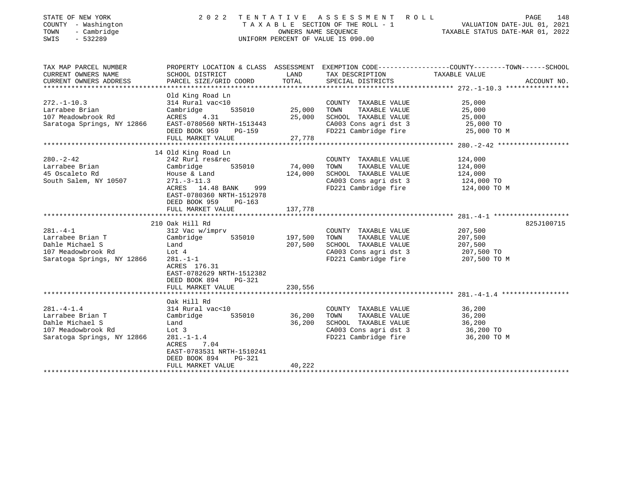| STATE OF NEW YORK<br>COUNTY - Washington<br>- Cambridge<br>TOWN<br>$-532289$<br>SWIS                       | 2 0 2 2<br>TENTATIVE<br>A S S E S S M E N T<br>ROLL<br>TAXABLE SECTION OF THE ROLL - 1<br>VALUATION DATE-JUL 01, 2021<br>OWNERS NAME SEQUENCE<br>TAXABLE STATUS DATE-MAR 01, 2022<br>UNIFORM PERCENT OF VALUE IS 090.00 |                               |                                                                                                                        |                                                             |             |
|------------------------------------------------------------------------------------------------------------|-------------------------------------------------------------------------------------------------------------------------------------------------------------------------------------------------------------------------|-------------------------------|------------------------------------------------------------------------------------------------------------------------|-------------------------------------------------------------|-------------|
| TAX MAP PARCEL NUMBER<br>CURRENT OWNERS NAME<br>CURRENT OWNERS ADDRESS<br>******************************   | PROPERTY LOCATION & CLASS ASSESSMENT EXEMPTION CODE---------------COUNTY-------TOWN-----SCHOOL<br>SCHOOL DISTRICT<br>PARCEL SIZE/GRID COORD                                                                             | LAND<br>TOTAL                 | TAX DESCRIPTION<br>SPECIAL DISTRICTS                                                                                   | TAXABLE VALUE                                               | ACCOUNT NO. |
| $272. - 1 - 10.3$<br>Larrabee Brian<br>107 Meadowbrook Rd<br>Saratoga Springs, NY 12866                    | Old King Road Ln<br>314 Rural vac<10<br>Cambridge<br>535010<br>4.31<br>ACRES<br>EAST-0780560 NRTH-1513443<br>DEED BOOK 959<br>PG-159<br>FULL MARKET VALUE                                                               | 25,000<br>25,000<br>27,778    | COUNTY TAXABLE VALUE<br>TAXABLE VALUE<br>TOWN<br>SCHOOL TAXABLE VALUE<br>CA003 Cons agri dst 3<br>FD221 Cambridge fire | 25,000<br>25,000<br>25,000<br>25,000 TO<br>25,000 TO M      |             |
|                                                                                                            |                                                                                                                                                                                                                         |                               |                                                                                                                        |                                                             |             |
| $280. - 2 - 42$<br>Larrabee Brian<br>45 Oscaleto Rd<br>South Salem, NY 10507                               | 14 Old King Road Ln<br>242 Rurl res&rec<br>Cambridge<br>535010<br>House & Land<br>$271. - 3 - 11.3$<br>ACRES 14.48 BANK<br>999<br>EAST-0780360 NRTH-1512978<br>DEED BOOK 959<br>PG-163                                  | 74,000<br>124,000             | COUNTY TAXABLE VALUE<br>TAXABLE VALUE<br>TOWN<br>SCHOOL TAXABLE VALUE<br>CA003 Cons agri dst 3<br>FD221 Cambridge fire | 124,000<br>124,000<br>124,000<br>124,000 TO<br>124,000 TO M |             |
|                                                                                                            | FULL MARKET VALUE                                                                                                                                                                                                       | 137,778                       |                                                                                                                        |                                                             |             |
|                                                                                                            | *****************************<br>210 Oak Hill Rd                                                                                                                                                                        |                               |                                                                                                                        |                                                             | 825J100715  |
| $281. -4 - 1$<br>Larrabee Brian T<br>Dahle Michael S<br>107 Meadowbrook Rd<br>Saratoga Springs, NY 12866   | 312 Vac w/imprv<br>Cambridge<br>535010<br>Land<br>Lot $4$<br>$281 - 1 - 1$<br>ACRES 176.31<br>EAST-0782629 NRTH-1512382<br>DEED BOOK 894<br>$PG-321$<br>FULL MARKET VALUE                                               | 197,500<br>207,500<br>230,556 | COUNTY TAXABLE VALUE<br>TOWN<br>TAXABLE VALUE<br>SCHOOL TAXABLE VALUE<br>CA003 Cons agri dst 3<br>FD221 Cambridge fire | 207,500<br>207,500<br>207,500<br>207,500 TO<br>207,500 TO M |             |
|                                                                                                            |                                                                                                                                                                                                                         |                               |                                                                                                                        |                                                             |             |
| $281. -4 - 1.4$<br>Larrabee Brian T<br>Dahle Michael S<br>107 Meadowbrook Rd<br>Saratoga Springs, NY 12866 | Oak Hill Rd<br>314 Rural vac<10<br>535010<br>Cambridge<br>Land<br>Lot 3<br>$281. - 1 - 1.4$<br><b>ACRES</b><br>7.04<br>EAST-0783531 NRTH-1510241<br>DEED BOOK 894<br><b>PG-321</b>                                      | 36,200<br>36,200              | COUNTY TAXABLE VALUE<br>TAXABLE VALUE<br>TOWN<br>SCHOOL TAXABLE VALUE<br>CA003 Cons agri dst 3<br>FD221 Cambridge fire | 36,200<br>36,200<br>36,200<br>36,200 TO<br>36,200 TO M      |             |
|                                                                                                            | FULL MARKET VALUE                                                                                                                                                                                                       | 40,222                        |                                                                                                                        |                                                             |             |
|                                                                                                            |                                                                                                                                                                                                                         |                               |                                                                                                                        |                                                             |             |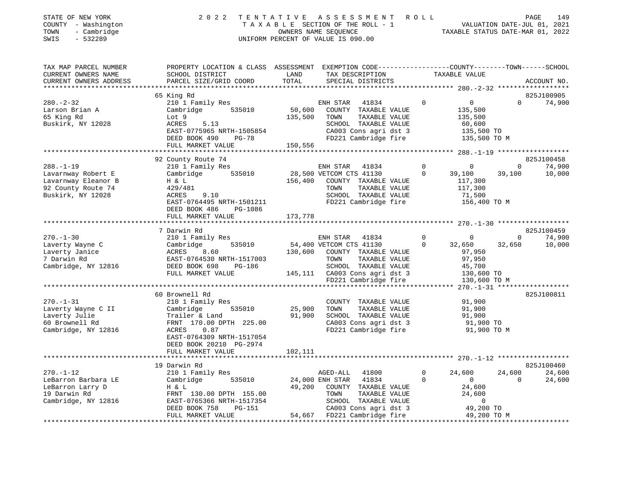|      | STATE OF NEW YORK   | 2022 TENTATIVE ASSESSMENT ROLL     | PAGE                             | 149 |
|------|---------------------|------------------------------------|----------------------------------|-----|
|      | COUNTY - Washington | TAXABLE SECTION OF THE ROLL - 1    | VALUATION DATE-JUL 01, 2021      |     |
| TOWN | - Cambridge         | OWNERS NAME SEOUENCE               | TAXABLE STATUS DATE-MAR 01, 2022 |     |
| SWIS | $-532289$           | UNIFORM PERCENT OF VALUE IS 090.00 |                                  |     |

| TAX MAP PARCEL NUMBER  | PROPERTY LOCATION & CLASS ASSESSMENT EXEMPTION CODE----------------COUNTY-------TOWN-----SCHOOL |         |                               |          |                |          |             |
|------------------------|-------------------------------------------------------------------------------------------------|---------|-------------------------------|----------|----------------|----------|-------------|
| CURRENT OWNERS NAME    | SCHOOL DISTRICT                                                                                 | LAND    | TAX DESCRIPTION               |          | TAXABLE VALUE  |          |             |
| CURRENT OWNERS ADDRESS | PARCEL SIZE/GRID COORD                                                                          | TOTAL   | SPECIAL DISTRICTS             |          |                |          | ACCOUNT NO. |
|                        |                                                                                                 |         |                               |          |                |          |             |
|                        | 65 King Rd                                                                                      |         |                               |          |                |          | 825J100905  |
| $280. - 2 - 32$        | 210 1 Family Res                                                                                |         | ENH STAR<br>41834             | $\Omega$ | 0              | $\Omega$ | 74,900      |
| Larson Brian A         | 535010<br>Cambridge                                                                             | 50,600  | COUNTY TAXABLE VALUE          |          | 135,500        |          |             |
| 65 King Rd             | Lot 9                                                                                           | 135,500 | TAXABLE VALUE<br>TOWN         |          | 135,500        |          |             |
| Buskirk, NY 12028      | 5.13<br>ACRES                                                                                   |         | SCHOOL TAXABLE VALUE          |          | 60,600         |          |             |
|                        | EAST-0775965 NRTH-1505854                                                                       |         | CA003 Cons agri dst 3         |          | 135,500 TO     |          |             |
|                        | DEED BOOK 490<br>PG-78                                                                          |         | FD221 Cambridge fire          |          | 135,500 TO M   |          |             |
|                        | FULL MARKET VALUE                                                                               | 150,556 |                               |          |                |          |             |
|                        |                                                                                                 |         |                               |          |                |          |             |
|                        | 92 County Route 74                                                                              |         |                               |          |                |          | 825J100458  |
| $288. - 1 - 19$        | 210 1 Family Res                                                                                |         | ENH STAR<br>41834             | $\Omega$ | $\Omega$       | $\Omega$ | 74,900      |
| Lavarnway Robert E     | 535010<br>Cambridge                                                                             |         | 28,500 VETCOM CTS 41130       | $\Omega$ | 39,100         | 39,100   | 10,000      |
| Lavarnway Eleanor B    | H & L                                                                                           | 156,400 | COUNTY TAXABLE VALUE          |          | 117,300        |          |             |
| 92 County Route 74     | 429/481                                                                                         |         | TOWN<br>TAXABLE VALUE         |          | 117,300        |          |             |
| Buskirk, NY 12028      | ACRES<br>9.10                                                                                   |         | SCHOOL TAXABLE VALUE          |          | 71,500         |          |             |
|                        | EAST-0764495 NRTH-1501211                                                                       |         | FD221 Cambridge fire          |          | 156,400 TO M   |          |             |
|                        | DEED BOOK 486<br>PG-1086                                                                        |         |                               |          |                |          |             |
|                        | FULL MARKET VALUE                                                                               | 173,778 |                               |          |                |          |             |
|                        |                                                                                                 |         |                               |          |                |          |             |
|                        | 7 Darwin Rd                                                                                     |         |                               |          |                |          | 825J100459  |
| $270. - 1 - 30$        | 210 1 Family Res                                                                                |         | ENH STAR<br>41834             | 0        | 0              | 0        | 74,900      |
| Laverty Wayne C        | 535010<br>Cambridge                                                                             |         | 54,400 VETCOM CTS 41130       | $\Omega$ | 32,650         | 32,650   | 10,000      |
| Laverty Janice         | ACRES<br>8.60                                                                                   | 130,600 | COUNTY TAXABLE VALUE          |          | 97,950         |          |             |
| 7 Darwin Rd            | EAST-0764530 NRTH-1517003                                                                       |         | TOWN<br>TAXABLE VALUE         |          | 97,950         |          |             |
| Cambridge, NY 12816    | DEED BOOK 698<br>PG-186                                                                         |         | SCHOOL TAXABLE VALUE          |          | 45,700         |          |             |
|                        | FULL MARKET VALUE                                                                               |         | 145,111 CA003 Cons agri dst 3 |          | 130,600 TO     |          |             |
|                        |                                                                                                 |         | FD221 Cambridge fire          |          | 130,600 TO M   |          |             |
|                        |                                                                                                 |         |                               |          |                |          |             |
|                        | 60 Brownell Rd                                                                                  |         |                               |          |                |          | 825J100811  |
| $270. - 1 - 31$        | 210 1 Family Res                                                                                |         | COUNTY TAXABLE VALUE          |          | 91,900         |          |             |
| Laverty Wayne C II     | Cambridge<br>535010                                                                             | 25,900  | TOWN<br>TAXABLE VALUE         |          | 91,900         |          |             |
| Laverty Julie          | Trailer & Land                                                                                  | 91,900  | SCHOOL TAXABLE VALUE          |          | 91,900         |          |             |
| 60 Brownell Rd         | FRNT 170.00 DPTH 225.00                                                                         |         | CA003 Cons agri dst 3         |          | 91,900 TO      |          |             |
| Cambridge, NY 12816    | 0.87<br>ACRES                                                                                   |         | FD221 Cambridge fire          |          | 91,900 TO M    |          |             |
|                        | EAST-0764309 NRTH-1517054                                                                       |         |                               |          |                |          |             |
|                        | DEED BOOK 20210 PG-2974                                                                         |         |                               |          |                |          |             |
|                        | FULL MARKET VALUE                                                                               | 102,111 |                               |          |                |          |             |
|                        |                                                                                                 |         |                               |          |                |          |             |
|                        | 19 Darwin Rd                                                                                    |         |                               |          |                |          | 825J100460  |
| $270. - 1 - 12$        | 210 1 Family Res                                                                                |         | AGED-ALL<br>41800             | $\Omega$ | 24,600         | 24,600   | 24,600      |
| LeBarron Barbara LE    | 535010<br>Cambridge                                                                             |         | 24,000 ENH STAR<br>41834      | $\Omega$ | $\Omega$       | $\Omega$ | 24,600      |
| LeBarron Larry D       | H & L                                                                                           | 49,200  | COUNTY TAXABLE VALUE          |          | 24,600         |          |             |
| 19 Darwin Rd           | FRNT 130.00 DPTH 155.00                                                                         |         | TAXABLE VALUE<br>TOWN         |          | 24,600         |          |             |
| Cambridge, NY 12816    | EAST-0765366 NRTH-1517354                                                                       |         | SCHOOL TAXABLE VALUE          |          | $\overline{0}$ |          |             |
|                        | DEED BOOK 758<br>PG-151                                                                         |         | CA003 Cons agri dst 3         |          | 49,200 TO      |          |             |
|                        | FULL MARKET VALUE                                                                               |         | 54,667 FD221 Cambridge fire   |          | 49,200 TO M    |          |             |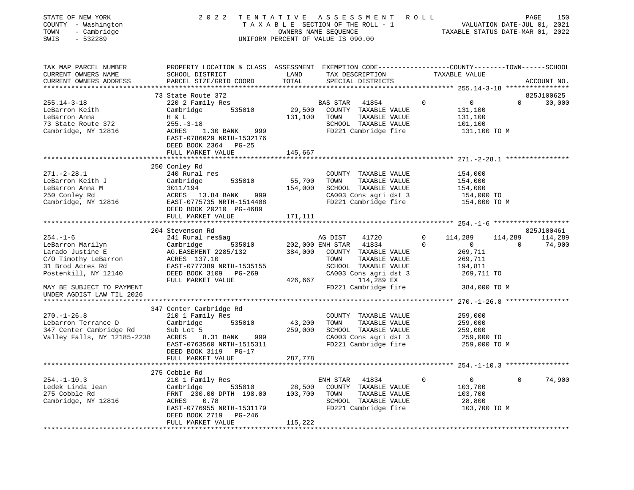| STATE OF NEW YORK<br>COUNTY - Washington<br>TOWN<br>- Cambridge                                                            | 2 0 2 2                                                                                                                                                                                    | TENTATIVE                    | A S S E S S M E N T A O L L<br>TAXABLE SECTION OF THE ROLL - 1<br>OWNERS NAME SEQUENCE                                                                        |                                                                                                     | 150<br>PAGE<br>VALUATION DATE-JUL 01, 2021<br>TAXABLE STATUS DATE-MAR 01, 2022 |
|----------------------------------------------------------------------------------------------------------------------------|--------------------------------------------------------------------------------------------------------------------------------------------------------------------------------------------|------------------------------|---------------------------------------------------------------------------------------------------------------------------------------------------------------|-----------------------------------------------------------------------------------------------------|--------------------------------------------------------------------------------|
| $-532289$<br>SWIS                                                                                                          |                                                                                                                                                                                            |                              | UNIFORM PERCENT OF VALUE IS 090.00                                                                                                                            |                                                                                                     |                                                                                |
| TAX MAP PARCEL NUMBER<br>CURRENT OWNERS NAME<br>CURRENT OWNERS ADDRESS                                                     | PROPERTY LOCATION & CLASS ASSESSMENT EXEMPTION CODE---------------COUNTY-------TOWN------SCHOOL<br>SCHOOL DISTRICT<br>PARCEL SIZE/GRID COORD                                               | LAND<br>TOTAL                | TAX DESCRIPTION<br>SPECIAL DISTRICTS                                                                                                                          | TAXABLE VALUE                                                                                       | ACCOUNT NO.                                                                    |
| $255.14 - 3 - 18$<br>LeBarron Keith<br>LeBarron Anna<br>73 State Route 372<br>Cambridge, NY 12816                          | 73 State Route 372<br>220 2 Family Res<br>535010<br>Cambridge<br>H & L<br>$255. - 3 - 18$<br>ACRES 1.30 BANK 999<br>EAST-0786029 NRTH-1532176<br>DEED BOOK 2364 PG-25<br>FULL MARKET VALUE | 29,500<br>131,100<br>145,667 | BAS STAR<br>41854<br>COUNTY TAXABLE VALUE<br>TOWN<br>TAXABLE VALUE<br>SCHOOL TAXABLE VALUE<br>FD221 Cambridge fire                                            | $\Omega$<br>$\overline{0}$<br>131,100<br>131,100<br>101,100<br>131,100 TO M                         | 825J100625<br>30,000<br>$\Omega$                                               |
|                                                                                                                            |                                                                                                                                                                                            |                              |                                                                                                                                                               |                                                                                                     |                                                                                |
| $271. - 2 - 28.1$<br>LeBarron Keith J<br>LeBarron Anna M<br>250 Conley Rd<br>Cambridge, NY 12816                           | 250 Conley Rd<br>240 Rural res<br>Cambridge<br>535010<br>3011/194<br>ACRES 13.84 BANK<br>999<br>EAST-0775735 NRTH-1514408<br>DEED BOOK 20210 PG-4689                                       | 55,700<br>154,000            | COUNTY TAXABLE VALUE<br>TOWN<br>TAXABLE VALUE<br>SCHOOL TAXABLE VALUE<br>CA003 Cons agri dst 3<br>FD221 Cambridge fire                                        | 154,000<br>154,000<br>154,000<br>154,000 TO<br>154,000 TO M                                         |                                                                                |
|                                                                                                                            | FULL MARKET VALUE                                                                                                                                                                          | 171,111                      |                                                                                                                                                               |                                                                                                     |                                                                                |
| $254. - 1 - 6$<br>LeBarron Marilyn<br>Larado Justine E<br>C/O Timothy LeBarron<br>31 Brod Acres Rd<br>Postenkill, NY 12140 | 204 Stevenson Rd<br>241 Rural res&ag<br>Cambridge<br>535010<br>AG. EASEMENT 2285/132<br>ACRES 137.10<br>EAST-0777389 NRTH-1535155<br>DEED BOOK 3109<br>$PG-269$<br>FULL MARKET VALUE       | 384,000<br>426,667           | AG DIST<br>41720<br>202,000 ENH STAR<br>41834<br>COUNTY TAXABLE VALUE<br>TOWN<br>TAXABLE VALUE<br>SCHOOL TAXABLE VALUE<br>CA003 Cons agri dst 3<br>114,289 EX | $\mathbf 0$<br>114,289<br>$\mathbf 0$<br>$\mathbf 0$<br>269,711<br>269,711<br>194,811<br>269,711 TO | 825J100461<br>114,289<br>114,289<br>74,900<br>$\mathbf{0}$                     |
| MAY BE SUBJECT TO PAYMENT<br>UNDER AGDIST LAW TIL 2026                                                                     |                                                                                                                                                                                            |                              | FD221 Cambridge fire                                                                                                                                          | 384,000 TO M                                                                                        |                                                                                |
| $270. - 1 - 26.8$<br>Lebarron Terrance D<br>347 Center Cambridge Rd<br>Valley Falls, NY 12185-2238                         | 347 Center Cambridge Rd<br>210 1 Family Res<br>Cambridge<br>535010<br>Sub Lot 5<br>ACRES<br>8.31 BANK<br>999<br>EAST-0763560 NRTH-1515311<br>DEED BOOK 3119 PG-17<br>FULL MARKET VALUE     | 43,200<br>259,000<br>287,778 | COUNTY TAXABLE VALUE<br>TOWN<br>TAXABLE VALUE<br>SCHOOL TAXABLE VALUE<br>CA003 Cons agri dst 3<br>FD221 Cambridge fire                                        | 259,000<br>259,000<br>259,000<br>259,000 TO<br>259,000 TO M                                         |                                                                                |
|                                                                                                                            |                                                                                                                                                                                            |                              |                                                                                                                                                               |                                                                                                     |                                                                                |
| $254. - 1 - 10.3$<br>Ledek Linda Jean<br>275 Cobble Rd<br>Cambridge, NY 12816                                              | 275 Cobble Rd<br>210 1 Family Res<br>535010<br>Cambridge<br>FRNT 230.00 DPTH 198.00<br>0.78<br>ACRES<br>EAST-0776955 NRTH-1531179<br>DEED BOOK 2719<br>PG-246<br>FULL MARKET VALUE         | 28,500<br>103,700<br>115,222 | ENH STAR<br>41834<br>COUNTY TAXABLE VALUE<br>TOWN<br>TAXABLE VALUE<br>SCHOOL TAXABLE VALUE<br>FD221 Cambridge fire                                            | 0<br>$\overline{0}$<br>103,700<br>103,700<br>28,800<br>103,700 TO M                                 | 74,900<br>$\mathbf{0}$                                                         |
|                                                                                                                            |                                                                                                                                                                                            |                              |                                                                                                                                                               |                                                                                                     |                                                                                |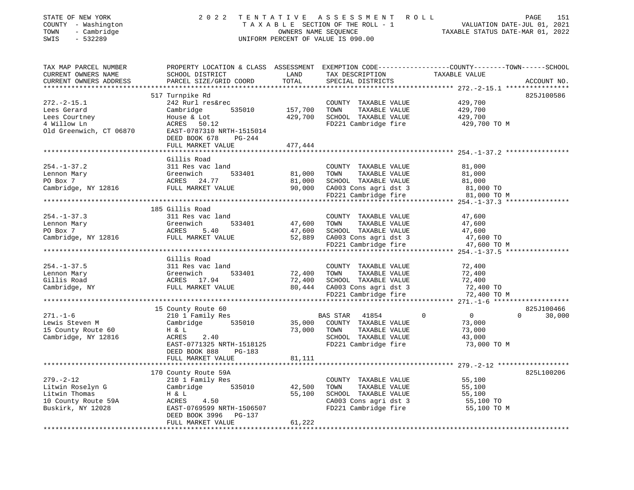| STATE OF NEW YORK<br>COUNTY - Washington<br>TOWN<br>- Cambridge<br>$-532289$<br>SWIS | 2 0 2 2                                                                   |                       | TENTATIVE ASSESSMENT ROLL<br>UNIFORM PERCENT OF VALUE IS 090.00 | PAGE<br>151                                                                                                                    |
|--------------------------------------------------------------------------------------|---------------------------------------------------------------------------|-----------------------|-----------------------------------------------------------------|--------------------------------------------------------------------------------------------------------------------------------|
| TAX MAP PARCEL NUMBER<br>CURRENT OWNERS NAME<br>CURRENT OWNERS ADDRESS               | SCHOOL DISTRICT<br>PARCEL SIZE/GRID COORD                                 | LAND<br>TOTAL         | TAX DESCRIPTION<br>SPECIAL DISTRICTS                            | PROPERTY LOCATION & CLASS ASSESSMENT EXEMPTION CODE---------------COUNTY-------TOWN-----SCHOOL<br>TAXABLE VALUE<br>ACCOUNT NO. |
|                                                                                      |                                                                           |                       |                                                                 |                                                                                                                                |
|                                                                                      | 517 Turnpike Rd                                                           |                       |                                                                 | 825J100586                                                                                                                     |
| $272. - 2 - 15.1$<br>Lees Gerard                                                     | 242 Rurl res&rec<br>Cambridge<br>535010                                   | 157,700               | COUNTY TAXABLE VALUE<br>TOWN<br>TAXABLE VALUE                   | 429,700<br>429,700                                                                                                             |
| Lees Courtney                                                                        | House & Lot                                                               | 429,700               | SCHOOL TAXABLE VALUE                                            | 429,700                                                                                                                        |
| 4 Willow Ln                                                                          | ACRES 50.12                                                               |                       | FD221 Cambridge fire                                            | 429,700 TO M                                                                                                                   |
| Old Greenwich, CT 06870                                                              | EAST-0787310 NRTH-1515014<br>DEED BOOK 678<br>PG-244<br>FULL MARKET VALUE |                       |                                                                 |                                                                                                                                |
|                                                                                      |                                                                           | 477,444               |                                                                 |                                                                                                                                |
|                                                                                      | Gillis Road                                                               |                       |                                                                 |                                                                                                                                |
| $254. - 1 - 37.2$                                                                    | 311 Res vac land                                                          |                       | COUNTY TAXABLE VALUE                                            | 81,000                                                                                                                         |
| Lennon Mary                                                                          | 533401<br>Greenwich                                                       | 81,000                | TOWN<br>TAXABLE VALUE                                           | 81,000                                                                                                                         |
| PO Box 7                                                                             | ACRES 24.77                                                               | 81,000                | SCHOOL TAXABLE VALUE                                            | 81,000                                                                                                                         |
| Cambridge, NY 12816 FULL MARKET VALUE                                                |                                                                           | 90,000                | CA003 Cons agri dst 3                                           | 81,000 TO                                                                                                                      |
|                                                                                      |                                                                           |                       | FD221 Cambridge fire                                            | 81,000 TO M                                                                                                                    |
|                                                                                      |                                                                           |                       |                                                                 |                                                                                                                                |
|                                                                                      | 185 Gillis Road                                                           |                       |                                                                 |                                                                                                                                |
| $254. - 1 - 37.3$                                                                    | 311 Res vac land<br>Greenwich<br>533401                                   | 47,600                | COUNTY TAXABLE VALUE<br>TOWN<br>TAXABLE VALUE                   | 47,600<br>47,600                                                                                                               |
| Lennon Mary<br>PO Box 7                                                              | ACRES<br>5.40                                                             | 47,600                | SCHOOL TAXABLE VALUE                                            | 47,600                                                                                                                         |
| Cambridge, NY 12816                                                                  | FULL MARKET VALUE                                                         | 52,889                | CA003 Cons agri dst 3                                           | 47,600 TO                                                                                                                      |
|                                                                                      |                                                                           |                       | FD221 Cambridge fire                                            | 47,600 TO M                                                                                                                    |
|                                                                                      |                                                                           |                       |                                                                 |                                                                                                                                |
|                                                                                      | Gillis Road                                                               |                       |                                                                 |                                                                                                                                |
| $254. - 1 - 37.5$                                                                    | 311 Res vac land                                                          |                       | COUNTY TAXABLE VALUE                                            | 72,400                                                                                                                         |
| Lennon Mary                                                                          | Greenwich<br>533401                                                       | 72,400                | TOWN<br>TAXABLE VALUE                                           | 72,400                                                                                                                         |
| Gillis Road                                                                          | ACRES 17.94                                                               | 72,400                | SCHOOL TAXABLE VALUE                                            | 72,400                                                                                                                         |
| Cambridge, NY                                                                        | FULL MARKET VALUE                                                         | 80,444                | CA003 Cons agri dst 3                                           | 72,400 TO                                                                                                                      |
|                                                                                      |                                                                           |                       | FD221 Cambridge fire                                            | 72,400 TO M                                                                                                                    |
|                                                                                      | 15 County Route 60                                                        |                       |                                                                 | 825J100466                                                                                                                     |
| $271. - 1 - 6$                                                                       | 210 1 Family Res                                                          |                       | BAS STAR<br>41854                                               | $\overline{0}$<br>$\overline{0}$<br>30,000<br>$\Omega$                                                                         |
| Lewis Steven M                                                                       | Cambridge<br>535010                                                       | 35,000                | COUNTY TAXABLE VALUE                                            | 73,000                                                                                                                         |
| 15 County Route 60                                                                   | H & L                                                                     | 73,000                | TAXABLE VALUE<br>TOWN                                           | 73,000                                                                                                                         |
| Cambridge, NY 12816                                                                  | ACRES<br>2.40                                                             |                       | SCHOOL TAXABLE VALUE                                            | 43,000                                                                                                                         |
|                                                                                      | EAST-0771325 NRTH-1518125                                                 |                       | FD221 Cambridge fire                                            | 73,000 TO M                                                                                                                    |
|                                                                                      | DEED BOOK 888<br>PG-183                                                   |                       |                                                                 |                                                                                                                                |
|                                                                                      | FULL MARKET VALUE                                                         | 81,111                |                                                                 |                                                                                                                                |
|                                                                                      |                                                                           | * * * * * * * * * * * |                                                                 |                                                                                                                                |
|                                                                                      | 170 County Route 59A                                                      |                       |                                                                 | 825L100206                                                                                                                     |
| $279. - 2 - 12$                                                                      | 210 1 Family Res                                                          |                       | COUNTY TAXABLE VALUE                                            | 55,100                                                                                                                         |
| Litwin Roselyn G<br>Litwin Thomas                                                    | Cambridge<br>535010                                                       | 42,500<br>55,100      | TOWN<br>TAXABLE VALUE<br>SCHOOL TAXABLE VALUE                   | 55,100<br>55,100                                                                                                               |
| 10 County Route 59A                                                                  | H & L<br>4.50<br>ACRES                                                    |                       | CA003 Cons agri dst 3                                           | 55,100 TO                                                                                                                      |
| Buskirk, NY 12028                                                                    | EAST-0769599 NRTH-1506507                                                 |                       | FD221 Cambridge fire                                            | 55,100 TO M                                                                                                                    |
|                                                                                      | DEED BOOK 3996<br>PG-137<br>FULL MARKET VALUE                             | 61,222                |                                                                 |                                                                                                                                |
|                                                                                      |                                                                           |                       |                                                                 |                                                                                                                                |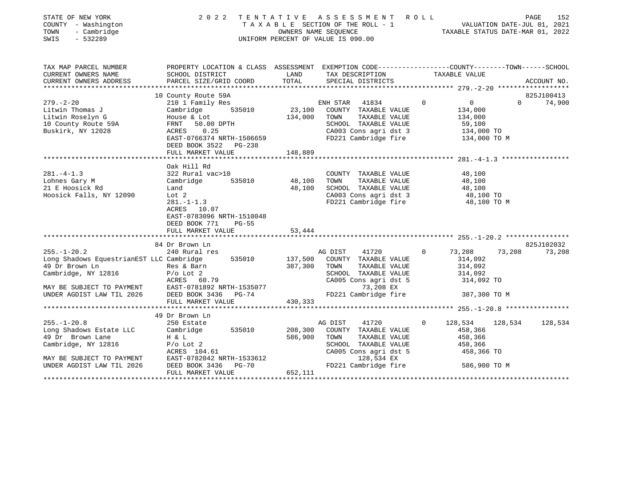| STATE OF NEW YORK<br>COUNTY - Washington<br>TOWN<br>- Cambridge<br>$-532289$<br>SWIS                                                                                                     | 2 0 2 2                                                                                                                                                                                                                                                                                 |                                                       | TENTATIVE ASSESSMENT<br>T A X A B L E SECTION OF THE ROLL - 1<br>OWNERS NAME SEQUENCE<br>UNIFORM PERCENT OF VALUE IS 090.00                                                                                                          | R O L L  | VALUATION DATE-JUL 01, 2021<br>TAXABLE STATUS DATE-MAR 01, 2022                                                           | PAGE<br>152          |
|------------------------------------------------------------------------------------------------------------------------------------------------------------------------------------------|-----------------------------------------------------------------------------------------------------------------------------------------------------------------------------------------------------------------------------------------------------------------------------------------|-------------------------------------------------------|--------------------------------------------------------------------------------------------------------------------------------------------------------------------------------------------------------------------------------------|----------|---------------------------------------------------------------------------------------------------------------------------|----------------------|
| TAX MAP PARCEL NUMBER<br>CURRENT OWNERS NAME                                                                                                                                             | PROPERTY LOCATION & CLASS ASSESSMENT EXEMPTION CODE---------------COUNTY-------TOWN------SCHOOL<br>SCHOOL DISTRICT                                                                                                                                                                      | LAND                                                  | TAX DESCRIPTION                                                                                                                                                                                                                      |          | TAXABLE VALUE                                                                                                             |                      |
| CURRENT OWNERS ADDRESS<br>***********************                                                                                                                                        | PARCEL SIZE/GRID COORD                                                                                                                                                                                                                                                                  | TOTAL                                                 | SPECIAL DISTRICTS                                                                                                                                                                                                                    |          |                                                                                                                           | ACCOUNT NO.          |
|                                                                                                                                                                                          | 10 County Route 59A                                                                                                                                                                                                                                                                     |                                                       |                                                                                                                                                                                                                                      |          |                                                                                                                           | 825J100413           |
| $279. - 2 - 20$<br>Litwin Thomas J<br>Litwin Roselyn G<br>10 County Route 59A<br>Buskirk, NY 12028                                                                                       | 210 1 Family Res<br>535010<br>Cambridge<br>House & Lot<br>FRNT<br>50.00 DPTH<br>ACRES<br>0.25<br>EAST-0766374 NRTH-1506659<br>DEED BOOK 3522 PG-238                                                                                                                                     | 23,100<br>134,000                                     | 41834<br>ENH STAR<br>COUNTY TAXABLE VALUE<br>TOWN<br>TAXABLE VALUE<br>SCHOOL TAXABLE VALUE<br>CA003 Cons agri dst 3<br>FD221 Cambridge fire                                                                                          | $\Omega$ | $\mathbf 0$<br>$\Omega$<br>134,000<br>134,000<br>59,100<br>134,000 TO<br>134,000 TO M                                     | 74,900               |
|                                                                                                                                                                                          | FULL MARKET VALUE                                                                                                                                                                                                                                                                       | 148,889                                               |                                                                                                                                                                                                                                      |          |                                                                                                                           |                      |
| $281. -4 - 1.3$<br>Lohnes Gary M<br>21 E Hoosick Rd<br>Hoosick Falls, NY 12090<br>$255. - 1 - 20.2$<br>Long Shadows EquestrianEST LLC Cambridge<br>49 Dr Brown Ln<br>Cambridge, NY 12816 | Oak Hill Rd<br>322 Rural vac>10<br>Cambridge<br>535010<br>Land<br>Lot 2<br>$281. - 1 - 1.3$<br>ACRES<br>10.07<br>EAST-0783096 NRTH-1510048<br>DEED BOOK 771<br>$PG-55$<br>FULL MARKET VALUE<br>84 Dr Brown Ln<br>240 Rural res<br>535010<br>Res & Barn<br>$P/O$ Lot 2<br>ACRES<br>60.79 | 48,100 TOWN<br>48,100<br>53,444<br>137,500<br>387,300 | COUNTY TAXABLE VALUE<br>TAXABLE VALUE<br>SCHOOL TAXABLE VALUE<br>CA003 Cons agri dst 3<br>FD221 Cambridge fire<br>AG DIST<br>41720<br>COUNTY TAXABLE VALUE<br>TAXABLE VALUE<br>TOWN<br>SCHOOL TAXABLE VALUE<br>CA005 Cons agri dst 5 | $\Omega$ | 48,100<br>48,100<br>48,100<br>48,100 TO<br>48,100 TO M<br>73,208<br>73,208<br>314,092<br>314,092<br>314,092<br>314,092 TO | 825J102032<br>73,208 |
| MAY BE SUBJECT TO PAYMENT<br>UNDER AGDIST LAW TIL 2026                                                                                                                                   | EAST-0781892 NRTH-1535077<br>DEED BOOK 3436<br>$PG-74$<br>FULL MARKET VALUE                                                                                                                                                                                                             | 430,333                                               | 73,208 EX<br>FD221 Cambridge fire                                                                                                                                                                                                    |          | 387,300 TO M                                                                                                              |                      |
|                                                                                                                                                                                          | 49 Dr Brown Ln                                                                                                                                                                                                                                                                          |                                                       |                                                                                                                                                                                                                                      |          |                                                                                                                           |                      |
| $255. - 1 - 20.8$<br>Long Shadows Estate LLC<br>49 Dr Brown Lane<br>Cambridge, NY 12816<br>MAY BE SUBJECT TO PAYMENT<br>UNDER AGDIST LAW TIL 2026                                        | 250 Estate<br>Cambridge<br>535010<br>H & L<br>$P/O$ Lot 2<br>ACRES 104.61<br>EAST-0782042 NRTH-1533612<br>DEED BOOK 3436<br><b>PG-70</b>                                                                                                                                                | 208,300<br>586,900                                    | 41720<br>AG DIST<br>COUNTY TAXABLE VALUE<br>TOWN<br>TAXABLE VALUE<br>SCHOOL TAXABLE VALUE<br>CA005 Cons agri dst 5<br>128,534 EX<br>FD221 Cambridge fire                                                                             | $\Omega$ | 128,534<br>128,534<br>458,366<br>458,366<br>458,366<br>458,366 TO<br>586,900 TO M                                         | 128,534              |
|                                                                                                                                                                                          | FULL MARKET VALUE                                                                                                                                                                                                                                                                       | 652,111                                               |                                                                                                                                                                                                                                      |          |                                                                                                                           |                      |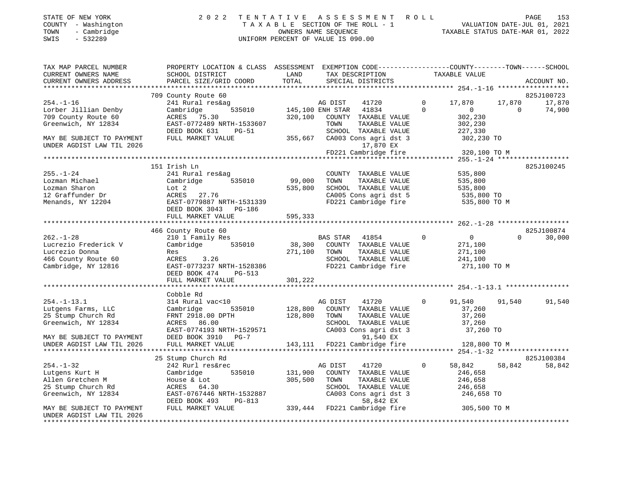| STATE OF NEW YORK                    | 2022 TENTATIVE ASSESSMENT ROLL                             |                                  | 153<br>PAGE |
|--------------------------------------|------------------------------------------------------------|----------------------------------|-------------|
| COUNTY - Washington                  | TAXABLE SECTION OF THE ROLL - 1                            | VALUATION DATE-JUL 01, 2021      |             |
| TOWN - Cambridge<br>SWIS<br>- 532289 | OWNERS NAME SEOUENCE<br>UNIFORM PERCENT OF VALUE IS 090.00 | TAXABLE STATUS DATE-MAR 01, 2022 |             |
|                                      |                                                            |                                  |             |
|                                      |                                                            |                                  |             |

| TAX MAP PARCEL NUMBER     | PROPERTY LOCATION & CLASS ASSESSMENT EXEMPTION CODE---------------COUNTY-------TOWN------SCHOOL                  |              |                                                            |                |                    |                |             |
|---------------------------|------------------------------------------------------------------------------------------------------------------|--------------|------------------------------------------------------------|----------------|--------------------|----------------|-------------|
| CURRENT OWNERS NAME       | SCHOOL DISTRICT                                                                                                  | LAND         | TAX DESCRIPTION                                            |                | TAXABLE VALUE      |                |             |
| CURRENT OWNERS ADDRESS    | PARCEL SIZE/GRID COORD                                                                                           | TOTAL        | SPECIAL DISTRICTS                                          |                |                    |                | ACCOUNT NO. |
|                           |                                                                                                                  |              |                                                            |                |                    |                |             |
|                           | 709 County Route 60                                                                                              |              |                                                            |                |                    |                | 825J100723  |
| $254. - 1 - 16$           | 241 Rural res&ag                                                                                                 |              | AG DIST<br>41720                                           | $\mathbf{0}$   | 17,870             | 17,870         | 17,870      |
| Lorber Jillian Denby      | Cambridge                                                                                                        |              | 535010 145,100 ENH STAR 41834                              | $\Omega$       | $300$<br>0<br>300  | $\overline{0}$ | 74,900      |
|                           |                                                                                                                  |              |                                                            |                |                    |                |             |
| 709 County Route 60       | ACRES 75.30                                                                                                      |              | 320,100 COUNTY TAXABLE VALUE                               |                | 302,230            |                |             |
| Greenwich, NY 12834       | EAST-0772489 NRTH-1533607                                                                                        |              | TOWN<br>TAXABLE VALUE                                      |                | 302,230<br>227,330 |                |             |
|                           | DEED BOOK 631<br>PG-51                                                                                           |              | SCHOOL TAXABLE VALUE                                       |                |                    |                |             |
| MAY BE SUBJECT TO PAYMENT | FULL MARKET VALUE                                                                                                |              | 355,667 CA003 Cons agri dst 3                              |                | 302,230 TO         |                |             |
| UNDER AGDIST LAW TIL 2026 |                                                                                                                  |              | 17,870 EX                                                  |                |                    |                |             |
|                           |                                                                                                                  |              | FD221 Cambridge fire                                       |                | 320,100 TO M       |                |             |
|                           |                                                                                                                  |              |                                                            |                |                    |                |             |
|                           | 151 Irish Ln                                                                                                     |              |                                                            |                |                    |                | 825J100245  |
| $255. - 1 - 24$           | 241 Rural res&ag                                                                                                 |              | COUNTY TAXABLE VALUE                                       |                | 535,800            |                |             |
| Lozman Michael            | Cambridge 535010                                                                                                 | 99,000       | TOWN<br>TAXABLE VALUE                                      |                | 535,800            |                |             |
|                           |                                                                                                                  |              | SCHOOL TAXABLE VALUE 535,800                               |                |                    |                |             |
|                           |                                                                                                                  | 535,800      |                                                            |                |                    |                |             |
|                           |                                                                                                                  |              | CA005 Cons agri dst 5<br>FD221 Cambridge fire 535,800 TO M |                |                    |                |             |
|                           |                                                                                                                  |              |                                                            |                |                    |                |             |
|                           | DEED BOOK 3043 PG-186                                                                                            |              |                                                            |                |                    |                |             |
|                           | FULL MARKET VALUE                                                                                                | 595,333      |                                                            |                |                    |                |             |
|                           |                                                                                                                  |              |                                                            |                |                    |                |             |
|                           | 466 County Route 60                                                                                              |              |                                                            |                |                    |                | 825J100874  |
| $262. - 1 - 28$           | 210 1 Family Res<br>Cambridge 535010 38,300 COUNTY TAXABLE VALUE                                                 |              |                                                            | $\overline{0}$ | $\overline{0}$     | $\Omega$       | 30,000      |
| Lucrezio Frederick V      |                                                                                                                  |              |                                                            |                | 271,100            |                |             |
| Lucrezio Donna            | Res                                                                                                              |              | 271,100 TOWN<br>TAXABLE VALUE                              |                | 271,100            |                |             |
|                           |                                                                                                                  |              |                                                            |                |                    |                |             |
| 466 County Route 60       | ACRES 3.26                                                                                                       |              | SCHOOL TAXABLE VALUE                                       |                | 241,100            |                |             |
| Cambridge, NY 12816       |                                                                                                                  |              |                                                            |                | 271,100 TO M       |                |             |
|                           | DEED BOOK 474<br>PG-513                                                                                          |              |                                                            |                |                    |                |             |
|                           | FULL MARKET VALUE                                                                                                | 301,222      |                                                            |                |                    |                |             |
|                           |                                                                                                                  |              |                                                            |                |                    |                |             |
|                           | Cobble Rd                                                                                                        |              |                                                            |                |                    |                |             |
| $254. - 1 - 13.1$         | 314 Rural vac<10                                                                                                 |              | AG DIST<br>41720                                           | $\Omega$       | 91,540             | 91,540         | 91,540      |
| Lutgens Farms, LLC        | 535010<br>Cambridge                                                                                              |              | 128,800 COUNTY TAXABLE VALUE                               |                | 37,260             |                |             |
| 25 Stump Church Rd        |                                                                                                                  | 128,800 TOWN | TAXABLE VOLLE<br>TAXABLE VALUE<br>TIT VALUE                |                |                    |                |             |
| Greenwich, NY 12834       | FRNT 2918.00 DPTH<br>ACRES 86.00                                                                                 |              | SCHOOL TAXABLE VALUE                                       |                | 37,260<br>37,260   |                |             |
|                           |                                                                                                                  |              |                                                            |                |                    |                |             |
|                           | $\texttt{EAST}-0774193 \texttt{NRTH}-1529571$ CA003 Consagridst 3<br>DEED BOOK 3910 PG-7 91 540 EY               |              |                                                            |                | 37,260 TO          |                |             |
| MAY BE SUBJECT TO PAYMENT | DEED BOOK 3910 PG-7                                                                                              |              | 91,540 EX                                                  |                |                    |                |             |
| UNDER AGDIST LAW TIL 2026 | FULL MARKET VALUE                                                                                                |              | 143,111 FD221 Cambridge fire                               |                | 128,800 TO M       |                |             |
|                           |                                                                                                                  |              |                                                            |                |                    |                |             |
|                           | 25 Stump Church Rd                                                                                               |              |                                                            |                |                    |                | 825J100384  |
| $254. - 1 - 32$           | 242 Rurl res&rec                                                                                                 |              | AG DIST<br>41720                                           | $\Omega$       | 58,842             | 58,842         | 58,842      |
| Lutgens Kurt H            | Cambridge 535010                                                                                                 |              | 131,900 COUNTY TAXABLE VALUE                               |                | 246,658            |                |             |
| Allen Gretchen M          | House & Lot                                                                                                      | 305,500 TOWN | TAXABLE VALUE                                              |                | 246,658            |                |             |
| 25 Stump Church Rd        | ACRES 64.30                                                                                                      |              | SCHOOL TAXABLE VALUE                                       |                | 246,658            |                |             |
|                           |                                                                                                                  |              |                                                            |                |                    |                |             |
| Greenwich, NY 12834       |                                                                                                                  |              |                                                            |                |                    |                |             |
|                           | EAST-0767446 NRTH-1532887<br>DEED BOOK 493 PG-813<br>FULL MARKET VALUE 339,444 FD221 Cambridge fire 305,500 TO M |              |                                                            |                |                    |                |             |
| MAY BE SUBJECT TO PAYMENT |                                                                                                                  |              |                                                            |                |                    |                |             |
| UNDER AGDIST LAW TIL 2026 |                                                                                                                  |              |                                                            |                |                    |                |             |
|                           |                                                                                                                  |              |                                                            |                |                    |                |             |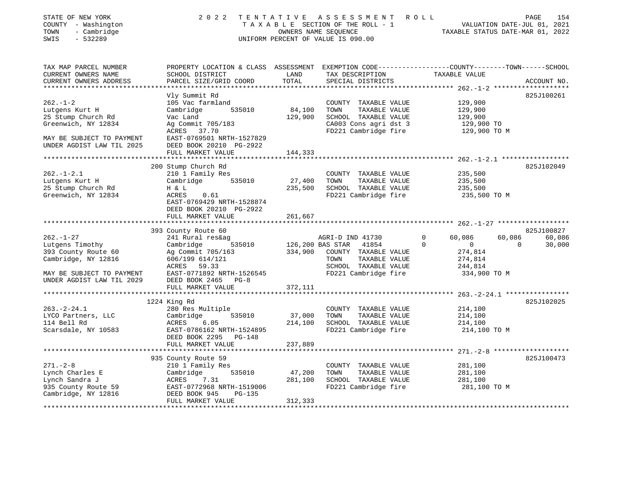| STATE OF NEW YORK<br>COUNTY - Washington<br>TOWN<br>- Cambridge<br>SWIS<br>$-532289$ | 2 0 2 2                                                                                                            | TENTATIVE | A S S E S S M E N T<br>T A X A B L E SECTION OF THE ROLL - 1<br>OWNERS NAME SEQUENCE<br>UNIFORM PERCENT OF VALUE IS 090.00 | R O L L<br>VALUATION DATE-JUL 01, 2021<br>TAXABLE STATUS DATE-MAR 01, 2022 | 154<br>PAGE        |
|--------------------------------------------------------------------------------------|--------------------------------------------------------------------------------------------------------------------|-----------|----------------------------------------------------------------------------------------------------------------------------|----------------------------------------------------------------------------|--------------------|
| TAX MAP PARCEL NUMBER<br>CURRENT OWNERS NAME                                         | PROPERTY LOCATION & CLASS ASSESSMENT EXEMPTION CODE---------------COUNTY-------TOWN------SCHOOL<br>SCHOOL DISTRICT | LAND      | TAX DESCRIPTION                                                                                                            | TAXABLE VALUE                                                              |                    |
| CURRENT OWNERS ADDRESS                                                               | PARCEL SIZE/GRID COORD                                                                                             | TOTAL     | SPECIAL DISTRICTS                                                                                                          |                                                                            | ACCOUNT NO.        |
|                                                                                      |                                                                                                                    |           |                                                                                                                            |                                                                            |                    |
|                                                                                      | Vly Summit Rd                                                                                                      |           |                                                                                                                            |                                                                            | 825J100261         |
| $262. - 1 - 2$<br>Lutgens Kurt H                                                     | 105 Vac farmland<br>Cambridge<br>535010                                                                            | 84,100    | COUNTY TAXABLE VALUE<br>TOWN<br>TAXABLE VALUE                                                                              | 129,900<br>129,900                                                         |                    |
| 25 Stump Church Rd                                                                   | Vac Land                                                                                                           | 129,900   | SCHOOL TAXABLE VALUE                                                                                                       | 129,900                                                                    |                    |
| Greenwich, NY 12834                                                                  | Ag Commit 705/183                                                                                                  |           | CA003 Cons agri dst 3                                                                                                      | 129,900 TO                                                                 |                    |
|                                                                                      | ACRES 37.70                                                                                                        |           | FD221 Cambridge fire                                                                                                       | 129,900 TO M                                                               |                    |
| MAY BE SUBJECT TO PAYMENT                                                            | EAST-0769501 NRTH-1527829                                                                                          |           |                                                                                                                            |                                                                            |                    |
| UNDER AGDIST LAW TIL 2025                                                            | DEED BOOK 20210 PG-2922                                                                                            |           |                                                                                                                            |                                                                            |                    |
|                                                                                      | FULL MARKET VALUE                                                                                                  | 144,333   |                                                                                                                            |                                                                            |                    |
|                                                                                      | 200 Stump Church Rd                                                                                                |           |                                                                                                                            |                                                                            | 825J102049         |
| $262. - 1 - 2.1$                                                                     | 210 1 Family Res                                                                                                   |           | COUNTY TAXABLE VALUE                                                                                                       | 235,500                                                                    |                    |
| Lutgens Kurt H                                                                       | Cambridge<br>535010                                                                                                | 27,400    | TOWN<br>TAXABLE VALUE                                                                                                      | 235,500                                                                    |                    |
| 25 Stump Church Rd                                                                   | H & L                                                                                                              | 235,500   | SCHOOL TAXABLE VALUE                                                                                                       | 235,500                                                                    |                    |
| Greenwich, NY 12834                                                                  | ACRES<br>0.61                                                                                                      |           | FD221 Cambridge fire                                                                                                       | 235,500 TO M                                                               |                    |
|                                                                                      | EAST-0769429 NRTH-1528874                                                                                          |           |                                                                                                                            |                                                                            |                    |
|                                                                                      | DEED BOOK 20210 PG-2922                                                                                            |           |                                                                                                                            |                                                                            |                    |
|                                                                                      | FULL MARKET VALUE                                                                                                  | 261,667   |                                                                                                                            |                                                                            |                    |
|                                                                                      | 393 County Route 60                                                                                                |           |                                                                                                                            |                                                                            | 825J100827         |
| $262. - 1 - 27$                                                                      | 241 Rural res&ag                                                                                                   |           | AGRI-D IND 41730                                                                                                           | $\mathbf 0$<br>60,086<br>60,086                                            | 60,086             |
| Lutgens Timothy                                                                      | 535010<br>Cambridge                                                                                                |           | 126,200 BAS STAR<br>41854                                                                                                  | $\Omega$<br>$\overline{0}$                                                 | $\Omega$<br>30,000 |
| 393 County Route 60                                                                  | Ag Commit 705/163                                                                                                  | 334,900   | COUNTY TAXABLE VALUE                                                                                                       | 274,814                                                                    |                    |
| Cambridge, NY 12816                                                                  | 606/199 614/121                                                                                                    |           | TAXABLE VALUE<br>TOWN                                                                                                      | 274,814                                                                    |                    |
|                                                                                      | ACRES 59.33                                                                                                        |           | SCHOOL TAXABLE VALUE                                                                                                       | 244,814                                                                    |                    |
| MAY BE SUBJECT TO PAYMENT<br>UNDER AGDIST LAW TIL 2029                               | EAST-0771892 NRTH-1526545                                                                                          |           | FD221 Cambridge fire                                                                                                       | 334,900 TO M                                                               |                    |
|                                                                                      | DEED BOOK 2465<br>$PG-8$<br>FULL MARKET VALUE                                                                      | 372,111   |                                                                                                                            |                                                                            |                    |
|                                                                                      |                                                                                                                    |           |                                                                                                                            |                                                                            |                    |
|                                                                                      | 1224 King Rd                                                                                                       |           |                                                                                                                            |                                                                            | 825J102025         |
| $263. - 2 - 24.1$                                                                    | 280 Res Multiple                                                                                                   |           | COUNTY TAXABLE VALUE                                                                                                       | 214,100                                                                    |                    |
| LYCO Partners, LLC                                                                   | 535010<br>Cambridge                                                                                                | 37,000    | TAXABLE VALUE<br>TOWN                                                                                                      | 214,100                                                                    |                    |
| 114 Bell Rd                                                                          | ACRES<br>6.05                                                                                                      | 214,100   | SCHOOL TAXABLE VALUE                                                                                                       | 214,100                                                                    |                    |
| Scarsdale, NY 10583                                                                  | EAST-0786162 NRTH-1524895                                                                                          |           | FD221 Cambridge fire                                                                                                       | 214,100 TO M                                                               |                    |
|                                                                                      | DEED BOOK 2295<br>PG-148<br>FULL MARKET VALUE                                                                      | 237,889   |                                                                                                                            |                                                                            |                    |
|                                                                                      |                                                                                                                    |           |                                                                                                                            |                                                                            |                    |
|                                                                                      | 935 County Route 59                                                                                                |           |                                                                                                                            |                                                                            | 825J100473         |
| $271. - 2 - 8$                                                                       | 210 1 Family Res                                                                                                   |           | COUNTY TAXABLE VALUE                                                                                                       | 281,100                                                                    |                    |
| Lynch Charles E                                                                      | 535010<br>Cambridge                                                                                                | 47,200    | TOWN<br>TAXABLE VALUE                                                                                                      | 281,100                                                                    |                    |
| Lynch Sandra J                                                                       | 7.31<br>ACRES                                                                                                      | 281,100   | SCHOOL TAXABLE VALUE                                                                                                       | 281,100                                                                    |                    |
| 935 County Route 59                                                                  | EAST-0772968 NRTH-1519006                                                                                          |           | FD221 Cambridge fire                                                                                                       | 281,100 TO M                                                               |                    |
| Cambridge, NY 12816                                                                  | DEED BOOK 945<br><b>PG-135</b><br>FULL MARKET VALUE                                                                | 312,333   |                                                                                                                            |                                                                            |                    |
|                                                                                      |                                                                                                                    |           |                                                                                                                            |                                                                            |                    |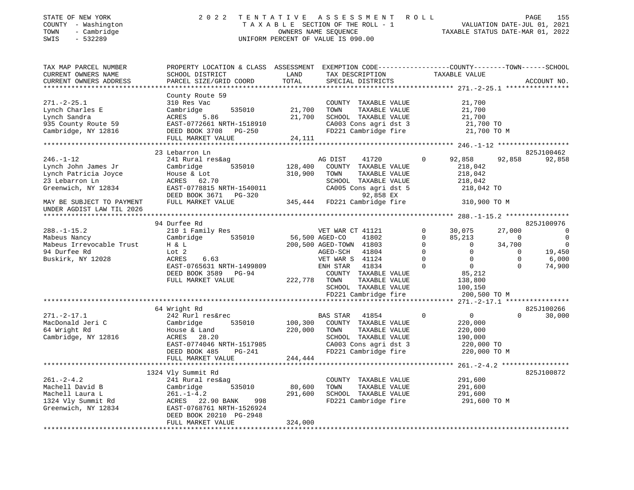| STATE OF NEW YORK<br>COUNTY - Washington<br>- Cambridge<br>TOWN<br>$-532289$<br>SWIS | 2 0 2 2                                                                                                                                      |               | TENTATIVE ASSESSMENT ROLL<br>TAXABLE SECTION OF THE ROLL - 1<br>OWNERS NAME SEQUENCE<br>UNIFORM PERCENT OF VALUE IS 090.00 |             |                                         |                | 155<br>PAGE<br>VALUATION DATE-JUL 01, 2021<br>TAXABLE STATUS DATE-MAR 01, 2022 |
|--------------------------------------------------------------------------------------|----------------------------------------------------------------------------------------------------------------------------------------------|---------------|----------------------------------------------------------------------------------------------------------------------------|-------------|-----------------------------------------|----------------|--------------------------------------------------------------------------------|
| TAX MAP PARCEL NUMBER<br>CURRENT OWNERS NAME<br>CURRENT OWNERS ADDRESS               | PROPERTY LOCATION & CLASS ASSESSMENT EXEMPTION CODE---------------COUNTY-------TOWN------SCHOOL<br>SCHOOL DISTRICT<br>PARCEL SIZE/GRID COORD | LAND<br>TOTAL | TAX DESCRIPTION<br>SPECIAL DISTRICTS                                                                                       |             | TAXABLE VALUE                           |                | ACCOUNT NO.                                                                    |
|                                                                                      | County Route 59                                                                                                                              |               |                                                                                                                            |             |                                         |                |                                                                                |
| $271. - 2 - 25.1$                                                                    | 310 Res Vac                                                                                                                                  |               | COUNTY TAXABLE VALUE                                                                                                       |             | 21,700                                  |                |                                                                                |
| Lynch Charles E                                                                      | Cambridge<br>535010                                                                                                                          | 21,700        | TOWN<br>TAXABLE VALUE                                                                                                      |             | 21,700                                  |                |                                                                                |
| Lynch Sandra                                                                         | ACRES<br>5.86                                                                                                                                | 21,700        | SCHOOL TAXABLE VALUE                                                                                                       |             | 21,700                                  |                |                                                                                |
| 935 County Route 59                                                                  | EAST-0772661 NRTH-1518910                                                                                                                    |               | CA003 Cons agri dst 3                                                                                                      |             | 21,700 TO                               |                |                                                                                |
| Cambridge, NY 12816                                                                  | DEED BOOK 3708 PG-250                                                                                                                        |               | FD221 Cambridge fire                                                                                                       |             | 21,700 TO M                             |                |                                                                                |
|                                                                                      | FULL MARKET VALUE                                                                                                                            | 24,111        |                                                                                                                            |             |                                         |                |                                                                                |
|                                                                                      | *************************                                                                                                                    |               |                                                                                                                            |             |                                         |                |                                                                                |
|                                                                                      | 23 Lebarron Ln                                                                                                                               |               |                                                                                                                            |             |                                         |                | 825J100462                                                                     |
| $246. - 1 - 12$                                                                      | 241 Rural res&ag                                                                                                                             |               | AG DIST<br>41720                                                                                                           | 0           | 92,858                                  | 92,858         | 92,858                                                                         |
| Lynch John James Jr                                                                  | 535010<br>Cambridge                                                                                                                          | 128,400       | COUNTY TAXABLE VALUE                                                                                                       |             | 218,042                                 |                |                                                                                |
| Lynch Patricia Joyce                                                                 | House & Lot                                                                                                                                  | 310,900       | TAXABLE VALUE<br>TOWN                                                                                                      |             | 218,042                                 |                |                                                                                |
| 23 Lebarron Ln                                                                       | ACRES<br>62.70                                                                                                                               |               | SCHOOL TAXABLE VALUE                                                                                                       |             | 218,042                                 |                |                                                                                |
| Greenwich, NY 12834                                                                  | EAST-0778815 NRTH-1540011                                                                                                                    |               | CA005 Cons agri dst 5                                                                                                      |             | 218,042 TO                              |                |                                                                                |
|                                                                                      | DEED BOOK 3671 PG-320                                                                                                                        |               | 92,858 EX                                                                                                                  |             |                                         |                |                                                                                |
| MAY BE SUBJECT TO PAYMENT                                                            | FULL MARKET VALUE                                                                                                                            |               | 345,444 FD221 Cambridge fire                                                                                               |             | 310,900 TO M                            |                |                                                                                |
| UNDER AGDIST LAW TIL 2026                                                            |                                                                                                                                              |               |                                                                                                                            |             |                                         |                |                                                                                |
|                                                                                      |                                                                                                                                              |               |                                                                                                                            |             |                                         |                |                                                                                |
| $288. - 1 - 15.2$                                                                    | 94 Durfee Rd<br>210 1 Family Res                                                                                                             |               | VET WAR CT 41121                                                                                                           | 0           | 30,075                                  | 27,000         | 825J100976<br>$\overline{0}$                                                   |
| Mabeus Nancy                                                                         | Cambridge<br>535010                                                                                                                          |               | 56,500 AGED-CO<br>41802                                                                                                    | $\Omega$    | 85,213                                  | $\overline{0}$ | $\overline{0}$                                                                 |
| Mabeus Irrevocable Trust                                                             | H & L                                                                                                                                        |               | 200,500 AGED-TOWN 41803                                                                                                    | $\Omega$    | $\overline{0}$                          | 34,700         | $\overline{0}$                                                                 |
| 94 Durfee Rd                                                                         | Lot 2                                                                                                                                        |               | AGED-SCH<br>41804                                                                                                          | $\circ$     | $\overline{0}$                          | $\mathbf 0$    | 19,450                                                                         |
| Buskirk, NY 12028                                                                    | ACRES<br>6.63                                                                                                                                |               | VET WAR S 41124                                                                                                            | $\Omega$    | $\mathbf 0$                             | $\mathbf 0$    | 6,000                                                                          |
|                                                                                      | EAST-0765631 NRTH-1499809                                                                                                                    |               | ENH STAR<br>41834                                                                                                          | $\Omega$    | $\overline{0}$                          | $\Omega$       | 74,900                                                                         |
|                                                                                      | DEED BOOK 3589 PG-94                                                                                                                         |               | COUNTY TAXABLE VALUE                                                                                                       |             | 85,212                                  |                |                                                                                |
|                                                                                      | FULL MARKET VALUE                                                                                                                            | 222,778       | TOWN<br>TAXABLE VALUE                                                                                                      |             | 138,800                                 |                |                                                                                |
|                                                                                      |                                                                                                                                              |               | SCHOOL TAXABLE VALUE                                                                                                       |             | 100,150                                 |                |                                                                                |
|                                                                                      |                                                                                                                                              |               | FD221 Cambridge fire                                                                                                       |             | 200,500 TO M                            |                |                                                                                |
|                                                                                      | ***************************                                                                                                                  |               |                                                                                                                            |             |                                         |                | ****** 271.-2-17.1 *****************                                           |
|                                                                                      | 64 Wright Rd                                                                                                                                 |               |                                                                                                                            |             |                                         |                | 825J100266                                                                     |
| $271. - 2 - 17.1$                                                                    | 242 Rurl res&rec                                                                                                                             |               | BAS STAR<br>41854                                                                                                          | $\mathbf 0$ | $\mathsf{O}$                            | $\mathbf 0$    | 30,000                                                                         |
| MacDonald Jeri C                                                                     | Cambridge<br>535010                                                                                                                          | 100,300       | COUNTY TAXABLE VALUE                                                                                                       |             | 220,000                                 |                |                                                                                |
| 64 Wright Rd                                                                         | House & Land                                                                                                                                 | 220,000       | TAXABLE VALUE<br>TOWN                                                                                                      |             | 220,000                                 |                |                                                                                |
| Cambridge, NY 12816                                                                  | ACRES<br>28.20                                                                                                                               |               | SCHOOL TAXABLE VALUE                                                                                                       |             | 190,000                                 |                |                                                                                |
|                                                                                      | EAST-0774046 NRTH-1517985                                                                                                                    |               | CA003 Cons agri dst 3                                                                                                      |             | 220,000 TO                              |                |                                                                                |
|                                                                                      | DEED BOOK 485<br>PG-241                                                                                                                      |               | FD221 Cambridge fire                                                                                                       |             | 220,000 TO M                            |                |                                                                                |
|                                                                                      | FULL MARKET VALUE                                                                                                                            | 244,444       |                                                                                                                            |             |                                         |                |                                                                                |
|                                                                                      |                                                                                                                                              |               |                                                                                                                            |             | ********** 261. -2-4.2 **************** |                |                                                                                |
|                                                                                      | 1324 Vly Summit Rd                                                                                                                           |               |                                                                                                                            |             |                                         |                | 825J100872                                                                     |
| $261. - 2 - 4.2$<br>Machell David B                                                  | 241 Rural res&ag<br>535010<br>Cambridge                                                                                                      | 80,600        | COUNTY TAXABLE VALUE<br>TOWN<br>TAXABLE VALUE                                                                              |             | 291,600<br>291,600                      |                |                                                                                |
| Machell Laura L                                                                      | $261. - 1 - 4.2$                                                                                                                             | 291,600       | SCHOOL TAXABLE VALUE                                                                                                       |             | 291,600                                 |                |                                                                                |
| 1324 Vly Summit Rd                                                                   | ACRES 22.90 BANK<br>998                                                                                                                      |               | FD221 Cambridge fire                                                                                                       |             | 291,600 TO M                            |                |                                                                                |
| Greenwich, NY 12834                                                                  | EAST-0768761 NRTH-1526924                                                                                                                    |               |                                                                                                                            |             |                                         |                |                                                                                |
|                                                                                      | DEED BOOK 20210 PG-2948                                                                                                                      |               |                                                                                                                            |             |                                         |                |                                                                                |
|                                                                                      | FULL MARKET VALUE                                                                                                                            | 324,000       |                                                                                                                            |             |                                         |                |                                                                                |
|                                                                                      |                                                                                                                                              |               |                                                                                                                            |             |                                         |                |                                                                                |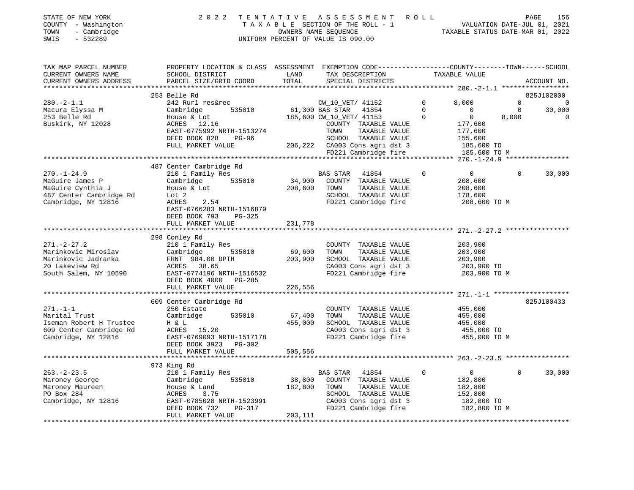| PROPERTY LOCATION & CLASS ASSESSMENT EXEMPTION CODE---------------COUNTY-------TOWN-----SCHOOL<br>TAX MAP PARCEL NUMBER<br>TAXABLE VALUE<br>CURRENT OWNERS NAME<br>SCHOOL DISTRICT<br>LAND<br>TAX DESCRIPTION<br>TOTAL<br>CURRENT OWNERS ADDRESS<br>PARCEL SIZE/GRID COORD<br>SPECIAL DISTRICTS<br>ACCOUNT NO.<br>253 Belle Rd<br>825J102000<br>$280. -2 - 1.1$<br>242 Rurl res&rec<br>CW_10_VET/ 41152<br>8,000<br>$\Omega$<br>$\mathbf{0}$<br>$\Omega$<br>61,300 BAS STAR 41854<br>535010<br>$\overline{0}$<br>$\overline{0}$<br>Macura Elyssa M<br>Cambridge<br>$\mathbf 0$<br>30,000<br>253 Belle Rd<br>185,600 CW_10_VET/ 41153<br>$\Omega$<br>8,000<br>House & Lot<br>$\overline{0}$<br>$\Omega$<br>Buskirk, NY 12028<br>ACRES 12.16<br>COUNTY TAXABLE VALUE<br>177,600<br>EAST-0775992 NRTH-1513274<br>TOWN<br>TAXABLE VALUE<br>177,600<br>DEED BOOK 828 PG-96<br>SCHOOL TAXABLE VALUE<br>155,600<br>206,222 CA003 Cons agri dst 3<br>FULL MARKET VALUE<br>185,600 TO<br>185,600 TO M<br>$FD221$ Cambridge fire<br>487 Center Cambridge Rd<br>$270. - 1 - 24.9$<br>210 1 Family Res<br>BAS STAR<br>41854<br>$\Omega$<br>$\Omega$<br>30,000<br>$\overline{0}$<br>34,900 COUNTY TAXABLE VALUE<br>Cambridge 535010<br>MaGuire James P<br>208,600<br>MaGuire Cynthia J<br>House & Lot<br>208,600 TOWN<br>TAXABLE VALUE<br>208,600<br>487 Center Cambridge Rd<br>SCHOOL TAXABLE VALUE<br>Lot <sub>2</sub><br>178,600<br>Cambridge, NY 12816<br>ACRES<br>2.54<br>FD221 Cambridge fire<br>208,600 TO M<br>EAST-0766283 NRTH-1516879<br>DEED BOOK 793<br>PG-325<br>231,778<br>FULL MARKET VALUE<br>298 Conley Rd<br>$271. - 2 - 27.2$<br>210 1 Family Res<br>203,900<br>COUNTY TAXABLE VALUE<br>Marinkovic Miroslav<br>535010<br>69,600<br>Cambridge<br>TOWN<br>TAXABLE VALUE<br>203,900<br>203,900<br>Marinkovic Jadranka<br>FRNT 984.00 DPTH<br>SCHOOL TAXABLE VALUE<br>203,900<br>CA003 Cons agri dst 3<br>20 Lakeview Rd<br>ACRES 38.65<br>203,900 TO<br>FD221 Cambridge fire<br>South Salem, NY 10590<br>EAST-0774196 NRTH-1516532<br>203,900 TO M<br>DEED BOOK 4000 PG-285<br>FULL MARKET VALUE<br>226,556<br>609 Center Cambridge Rd<br>825J100433<br>$271. - 1 - 1$<br>250 Estate<br>COUNTY TAXABLE VALUE<br>455,000<br>Marital Trust<br>535010<br>67,400<br>TOWN<br>TAXABLE VALUE<br>455,000<br>Cambridge<br>Iseman Robert H Trustee<br>455,000<br>SCHOOL TAXABLE VALUE<br>455,000<br>H & L<br>CA003 Cons agri dst 3<br>609 Center Cambridge Rd<br>ACRES 15.20<br>455,000 TO<br>FD221 Cambridge fire<br>Cambridge, NY 12816<br>EAST-0769093 NRTH-1517178<br>455,000 TO M<br>DEED BOOK 3923 PG-302<br>FULL MARKET VALUE<br>505,556<br>973 King Rd<br>$263. - 2 - 23.5$<br>210 1 Family Res<br>$\mathbf 0$<br>$\mathbf 0$<br>30,000<br>BAS STAR 41854<br>$\overline{0}$<br>Cambridge 535010<br>38,800<br>COUNTY TAXABLE VALUE<br>Maroney George<br>182,800<br>Maroney Maureen<br>182,800<br>TOWN<br>TAXABLE VALUE<br>182,800<br>House & Land<br>PO Box 284<br>SCHOOL TAXABLE VALUE<br>ACRES<br>3.75<br>152,800<br>Cambridge, NY 12816<br>EAST-0785028 NRTH-1523991<br>CA003 Cons agri dst 3<br>182,800 TO<br>FD221 Cambridge fire<br>182,800 TO M<br>DEED BOOK 732<br>PG-317<br>FULL MARKET VALUE<br>203,111 | COUNTY - Washington<br>- Cambridge<br>TOWN<br>SWIS<br>$-532289$ |  | TAXABLE SECTION OF THE ROLL - 1<br>OWNERS NAME SEOUENCE<br>UNIFORM PERCENT OF VALUE IS 090.00 | VALUATION DATE-JUL 01, 2021<br>TAXABLE STATUS DATE-MAR 01, 2022 |  |
|--------------------------------------------------------------------------------------------------------------------------------------------------------------------------------------------------------------------------------------------------------------------------------------------------------------------------------------------------------------------------------------------------------------------------------------------------------------------------------------------------------------------------------------------------------------------------------------------------------------------------------------------------------------------------------------------------------------------------------------------------------------------------------------------------------------------------------------------------------------------------------------------------------------------------------------------------------------------------------------------------------------------------------------------------------------------------------------------------------------------------------------------------------------------------------------------------------------------------------------------------------------------------------------------------------------------------------------------------------------------------------------------------------------------------------------------------------------------------------------------------------------------------------------------------------------------------------------------------------------------------------------------------------------------------------------------------------------------------------------------------------------------------------------------------------------------------------------------------------------------------------------------------------------------------------------------------------------------------------------------------------------------------------------------------------------------------------------------------------------------------------------------------------------------------------------------------------------------------------------------------------------------------------------------------------------------------------------------------------------------------------------------------------------------------------------------------------------------------------------------------------------------------------------------------------------------------------------------------------------------------------------------------------------------------------------------------------------------------------------------------------------------------------------------------------------------------------------------------------------------------------------------------------------------------------------------------------------------------------------------------------------------------------------------------------------------------------------------------------------------------------------------------------------------------------------------------------------------|-----------------------------------------------------------------|--|-----------------------------------------------------------------------------------------------|-----------------------------------------------------------------|--|
|                                                                                                                                                                                                                                                                                                                                                                                                                                                                                                                                                                                                                                                                                                                                                                                                                                                                                                                                                                                                                                                                                                                                                                                                                                                                                                                                                                                                                                                                                                                                                                                                                                                                                                                                                                                                                                                                                                                                                                                                                                                                                                                                                                                                                                                                                                                                                                                                                                                                                                                                                                                                                                                                                                                                                                                                                                                                                                                                                                                                                                                                                                                                                                                                                    |                                                                 |  |                                                                                               |                                                                 |  |
|                                                                                                                                                                                                                                                                                                                                                                                                                                                                                                                                                                                                                                                                                                                                                                                                                                                                                                                                                                                                                                                                                                                                                                                                                                                                                                                                                                                                                                                                                                                                                                                                                                                                                                                                                                                                                                                                                                                                                                                                                                                                                                                                                                                                                                                                                                                                                                                                                                                                                                                                                                                                                                                                                                                                                                                                                                                                                                                                                                                                                                                                                                                                                                                                                    |                                                                 |  |                                                                                               |                                                                 |  |
|                                                                                                                                                                                                                                                                                                                                                                                                                                                                                                                                                                                                                                                                                                                                                                                                                                                                                                                                                                                                                                                                                                                                                                                                                                                                                                                                                                                                                                                                                                                                                                                                                                                                                                                                                                                                                                                                                                                                                                                                                                                                                                                                                                                                                                                                                                                                                                                                                                                                                                                                                                                                                                                                                                                                                                                                                                                                                                                                                                                                                                                                                                                                                                                                                    |                                                                 |  |                                                                                               |                                                                 |  |
|                                                                                                                                                                                                                                                                                                                                                                                                                                                                                                                                                                                                                                                                                                                                                                                                                                                                                                                                                                                                                                                                                                                                                                                                                                                                                                                                                                                                                                                                                                                                                                                                                                                                                                                                                                                                                                                                                                                                                                                                                                                                                                                                                                                                                                                                                                                                                                                                                                                                                                                                                                                                                                                                                                                                                                                                                                                                                                                                                                                                                                                                                                                                                                                                                    |                                                                 |  |                                                                                               |                                                                 |  |
|                                                                                                                                                                                                                                                                                                                                                                                                                                                                                                                                                                                                                                                                                                                                                                                                                                                                                                                                                                                                                                                                                                                                                                                                                                                                                                                                                                                                                                                                                                                                                                                                                                                                                                                                                                                                                                                                                                                                                                                                                                                                                                                                                                                                                                                                                                                                                                                                                                                                                                                                                                                                                                                                                                                                                                                                                                                                                                                                                                                                                                                                                                                                                                                                                    |                                                                 |  |                                                                                               |                                                                 |  |
|                                                                                                                                                                                                                                                                                                                                                                                                                                                                                                                                                                                                                                                                                                                                                                                                                                                                                                                                                                                                                                                                                                                                                                                                                                                                                                                                                                                                                                                                                                                                                                                                                                                                                                                                                                                                                                                                                                                                                                                                                                                                                                                                                                                                                                                                                                                                                                                                                                                                                                                                                                                                                                                                                                                                                                                                                                                                                                                                                                                                                                                                                                                                                                                                                    |                                                                 |  |                                                                                               |                                                                 |  |
|                                                                                                                                                                                                                                                                                                                                                                                                                                                                                                                                                                                                                                                                                                                                                                                                                                                                                                                                                                                                                                                                                                                                                                                                                                                                                                                                                                                                                                                                                                                                                                                                                                                                                                                                                                                                                                                                                                                                                                                                                                                                                                                                                                                                                                                                                                                                                                                                                                                                                                                                                                                                                                                                                                                                                                                                                                                                                                                                                                                                                                                                                                                                                                                                                    |                                                                 |  |                                                                                               |                                                                 |  |
|                                                                                                                                                                                                                                                                                                                                                                                                                                                                                                                                                                                                                                                                                                                                                                                                                                                                                                                                                                                                                                                                                                                                                                                                                                                                                                                                                                                                                                                                                                                                                                                                                                                                                                                                                                                                                                                                                                                                                                                                                                                                                                                                                                                                                                                                                                                                                                                                                                                                                                                                                                                                                                                                                                                                                                                                                                                                                                                                                                                                                                                                                                                                                                                                                    |                                                                 |  |                                                                                               |                                                                 |  |
|                                                                                                                                                                                                                                                                                                                                                                                                                                                                                                                                                                                                                                                                                                                                                                                                                                                                                                                                                                                                                                                                                                                                                                                                                                                                                                                                                                                                                                                                                                                                                                                                                                                                                                                                                                                                                                                                                                                                                                                                                                                                                                                                                                                                                                                                                                                                                                                                                                                                                                                                                                                                                                                                                                                                                                                                                                                                                                                                                                                                                                                                                                                                                                                                                    |                                                                 |  |                                                                                               |                                                                 |  |
|                                                                                                                                                                                                                                                                                                                                                                                                                                                                                                                                                                                                                                                                                                                                                                                                                                                                                                                                                                                                                                                                                                                                                                                                                                                                                                                                                                                                                                                                                                                                                                                                                                                                                                                                                                                                                                                                                                                                                                                                                                                                                                                                                                                                                                                                                                                                                                                                                                                                                                                                                                                                                                                                                                                                                                                                                                                                                                                                                                                                                                                                                                                                                                                                                    |                                                                 |  |                                                                                               |                                                                 |  |
|                                                                                                                                                                                                                                                                                                                                                                                                                                                                                                                                                                                                                                                                                                                                                                                                                                                                                                                                                                                                                                                                                                                                                                                                                                                                                                                                                                                                                                                                                                                                                                                                                                                                                                                                                                                                                                                                                                                                                                                                                                                                                                                                                                                                                                                                                                                                                                                                                                                                                                                                                                                                                                                                                                                                                                                                                                                                                                                                                                                                                                                                                                                                                                                                                    |                                                                 |  |                                                                                               |                                                                 |  |
|                                                                                                                                                                                                                                                                                                                                                                                                                                                                                                                                                                                                                                                                                                                                                                                                                                                                                                                                                                                                                                                                                                                                                                                                                                                                                                                                                                                                                                                                                                                                                                                                                                                                                                                                                                                                                                                                                                                                                                                                                                                                                                                                                                                                                                                                                                                                                                                                                                                                                                                                                                                                                                                                                                                                                                                                                                                                                                                                                                                                                                                                                                                                                                                                                    |                                                                 |  |                                                                                               |                                                                 |  |
|                                                                                                                                                                                                                                                                                                                                                                                                                                                                                                                                                                                                                                                                                                                                                                                                                                                                                                                                                                                                                                                                                                                                                                                                                                                                                                                                                                                                                                                                                                                                                                                                                                                                                                                                                                                                                                                                                                                                                                                                                                                                                                                                                                                                                                                                                                                                                                                                                                                                                                                                                                                                                                                                                                                                                                                                                                                                                                                                                                                                                                                                                                                                                                                                                    |                                                                 |  |                                                                                               |                                                                 |  |
|                                                                                                                                                                                                                                                                                                                                                                                                                                                                                                                                                                                                                                                                                                                                                                                                                                                                                                                                                                                                                                                                                                                                                                                                                                                                                                                                                                                                                                                                                                                                                                                                                                                                                                                                                                                                                                                                                                                                                                                                                                                                                                                                                                                                                                                                                                                                                                                                                                                                                                                                                                                                                                                                                                                                                                                                                                                                                                                                                                                                                                                                                                                                                                                                                    |                                                                 |  |                                                                                               |                                                                 |  |
|                                                                                                                                                                                                                                                                                                                                                                                                                                                                                                                                                                                                                                                                                                                                                                                                                                                                                                                                                                                                                                                                                                                                                                                                                                                                                                                                                                                                                                                                                                                                                                                                                                                                                                                                                                                                                                                                                                                                                                                                                                                                                                                                                                                                                                                                                                                                                                                                                                                                                                                                                                                                                                                                                                                                                                                                                                                                                                                                                                                                                                                                                                                                                                                                                    |                                                                 |  |                                                                                               |                                                                 |  |
|                                                                                                                                                                                                                                                                                                                                                                                                                                                                                                                                                                                                                                                                                                                                                                                                                                                                                                                                                                                                                                                                                                                                                                                                                                                                                                                                                                                                                                                                                                                                                                                                                                                                                                                                                                                                                                                                                                                                                                                                                                                                                                                                                                                                                                                                                                                                                                                                                                                                                                                                                                                                                                                                                                                                                                                                                                                                                                                                                                                                                                                                                                                                                                                                                    |                                                                 |  |                                                                                               |                                                                 |  |
|                                                                                                                                                                                                                                                                                                                                                                                                                                                                                                                                                                                                                                                                                                                                                                                                                                                                                                                                                                                                                                                                                                                                                                                                                                                                                                                                                                                                                                                                                                                                                                                                                                                                                                                                                                                                                                                                                                                                                                                                                                                                                                                                                                                                                                                                                                                                                                                                                                                                                                                                                                                                                                                                                                                                                                                                                                                                                                                                                                                                                                                                                                                                                                                                                    |                                                                 |  |                                                                                               |                                                                 |  |
|                                                                                                                                                                                                                                                                                                                                                                                                                                                                                                                                                                                                                                                                                                                                                                                                                                                                                                                                                                                                                                                                                                                                                                                                                                                                                                                                                                                                                                                                                                                                                                                                                                                                                                                                                                                                                                                                                                                                                                                                                                                                                                                                                                                                                                                                                                                                                                                                                                                                                                                                                                                                                                                                                                                                                                                                                                                                                                                                                                                                                                                                                                                                                                                                                    |                                                                 |  |                                                                                               |                                                                 |  |
|                                                                                                                                                                                                                                                                                                                                                                                                                                                                                                                                                                                                                                                                                                                                                                                                                                                                                                                                                                                                                                                                                                                                                                                                                                                                                                                                                                                                                                                                                                                                                                                                                                                                                                                                                                                                                                                                                                                                                                                                                                                                                                                                                                                                                                                                                                                                                                                                                                                                                                                                                                                                                                                                                                                                                                                                                                                                                                                                                                                                                                                                                                                                                                                                                    |                                                                 |  |                                                                                               |                                                                 |  |
|                                                                                                                                                                                                                                                                                                                                                                                                                                                                                                                                                                                                                                                                                                                                                                                                                                                                                                                                                                                                                                                                                                                                                                                                                                                                                                                                                                                                                                                                                                                                                                                                                                                                                                                                                                                                                                                                                                                                                                                                                                                                                                                                                                                                                                                                                                                                                                                                                                                                                                                                                                                                                                                                                                                                                                                                                                                                                                                                                                                                                                                                                                                                                                                                                    |                                                                 |  |                                                                                               |                                                                 |  |
|                                                                                                                                                                                                                                                                                                                                                                                                                                                                                                                                                                                                                                                                                                                                                                                                                                                                                                                                                                                                                                                                                                                                                                                                                                                                                                                                                                                                                                                                                                                                                                                                                                                                                                                                                                                                                                                                                                                                                                                                                                                                                                                                                                                                                                                                                                                                                                                                                                                                                                                                                                                                                                                                                                                                                                                                                                                                                                                                                                                                                                                                                                                                                                                                                    |                                                                 |  |                                                                                               |                                                                 |  |
|                                                                                                                                                                                                                                                                                                                                                                                                                                                                                                                                                                                                                                                                                                                                                                                                                                                                                                                                                                                                                                                                                                                                                                                                                                                                                                                                                                                                                                                                                                                                                                                                                                                                                                                                                                                                                                                                                                                                                                                                                                                                                                                                                                                                                                                                                                                                                                                                                                                                                                                                                                                                                                                                                                                                                                                                                                                                                                                                                                                                                                                                                                                                                                                                                    |                                                                 |  |                                                                                               |                                                                 |  |
|                                                                                                                                                                                                                                                                                                                                                                                                                                                                                                                                                                                                                                                                                                                                                                                                                                                                                                                                                                                                                                                                                                                                                                                                                                                                                                                                                                                                                                                                                                                                                                                                                                                                                                                                                                                                                                                                                                                                                                                                                                                                                                                                                                                                                                                                                                                                                                                                                                                                                                                                                                                                                                                                                                                                                                                                                                                                                                                                                                                                                                                                                                                                                                                                                    |                                                                 |  |                                                                                               |                                                                 |  |
|                                                                                                                                                                                                                                                                                                                                                                                                                                                                                                                                                                                                                                                                                                                                                                                                                                                                                                                                                                                                                                                                                                                                                                                                                                                                                                                                                                                                                                                                                                                                                                                                                                                                                                                                                                                                                                                                                                                                                                                                                                                                                                                                                                                                                                                                                                                                                                                                                                                                                                                                                                                                                                                                                                                                                                                                                                                                                                                                                                                                                                                                                                                                                                                                                    |                                                                 |  |                                                                                               |                                                                 |  |
|                                                                                                                                                                                                                                                                                                                                                                                                                                                                                                                                                                                                                                                                                                                                                                                                                                                                                                                                                                                                                                                                                                                                                                                                                                                                                                                                                                                                                                                                                                                                                                                                                                                                                                                                                                                                                                                                                                                                                                                                                                                                                                                                                                                                                                                                                                                                                                                                                                                                                                                                                                                                                                                                                                                                                                                                                                                                                                                                                                                                                                                                                                                                                                                                                    |                                                                 |  |                                                                                               |                                                                 |  |
|                                                                                                                                                                                                                                                                                                                                                                                                                                                                                                                                                                                                                                                                                                                                                                                                                                                                                                                                                                                                                                                                                                                                                                                                                                                                                                                                                                                                                                                                                                                                                                                                                                                                                                                                                                                                                                                                                                                                                                                                                                                                                                                                                                                                                                                                                                                                                                                                                                                                                                                                                                                                                                                                                                                                                                                                                                                                                                                                                                                                                                                                                                                                                                                                                    |                                                                 |  |                                                                                               |                                                                 |  |
|                                                                                                                                                                                                                                                                                                                                                                                                                                                                                                                                                                                                                                                                                                                                                                                                                                                                                                                                                                                                                                                                                                                                                                                                                                                                                                                                                                                                                                                                                                                                                                                                                                                                                                                                                                                                                                                                                                                                                                                                                                                                                                                                                                                                                                                                                                                                                                                                                                                                                                                                                                                                                                                                                                                                                                                                                                                                                                                                                                                                                                                                                                                                                                                                                    |                                                                 |  |                                                                                               |                                                                 |  |
|                                                                                                                                                                                                                                                                                                                                                                                                                                                                                                                                                                                                                                                                                                                                                                                                                                                                                                                                                                                                                                                                                                                                                                                                                                                                                                                                                                                                                                                                                                                                                                                                                                                                                                                                                                                                                                                                                                                                                                                                                                                                                                                                                                                                                                                                                                                                                                                                                                                                                                                                                                                                                                                                                                                                                                                                                                                                                                                                                                                                                                                                                                                                                                                                                    |                                                                 |  |                                                                                               |                                                                 |  |
|                                                                                                                                                                                                                                                                                                                                                                                                                                                                                                                                                                                                                                                                                                                                                                                                                                                                                                                                                                                                                                                                                                                                                                                                                                                                                                                                                                                                                                                                                                                                                                                                                                                                                                                                                                                                                                                                                                                                                                                                                                                                                                                                                                                                                                                                                                                                                                                                                                                                                                                                                                                                                                                                                                                                                                                                                                                                                                                                                                                                                                                                                                                                                                                                                    |                                                                 |  |                                                                                               |                                                                 |  |
|                                                                                                                                                                                                                                                                                                                                                                                                                                                                                                                                                                                                                                                                                                                                                                                                                                                                                                                                                                                                                                                                                                                                                                                                                                                                                                                                                                                                                                                                                                                                                                                                                                                                                                                                                                                                                                                                                                                                                                                                                                                                                                                                                                                                                                                                                                                                                                                                                                                                                                                                                                                                                                                                                                                                                                                                                                                                                                                                                                                                                                                                                                                                                                                                                    |                                                                 |  |                                                                                               |                                                                 |  |
|                                                                                                                                                                                                                                                                                                                                                                                                                                                                                                                                                                                                                                                                                                                                                                                                                                                                                                                                                                                                                                                                                                                                                                                                                                                                                                                                                                                                                                                                                                                                                                                                                                                                                                                                                                                                                                                                                                                                                                                                                                                                                                                                                                                                                                                                                                                                                                                                                                                                                                                                                                                                                                                                                                                                                                                                                                                                                                                                                                                                                                                                                                                                                                                                                    |                                                                 |  |                                                                                               |                                                                 |  |
|                                                                                                                                                                                                                                                                                                                                                                                                                                                                                                                                                                                                                                                                                                                                                                                                                                                                                                                                                                                                                                                                                                                                                                                                                                                                                                                                                                                                                                                                                                                                                                                                                                                                                                                                                                                                                                                                                                                                                                                                                                                                                                                                                                                                                                                                                                                                                                                                                                                                                                                                                                                                                                                                                                                                                                                                                                                                                                                                                                                                                                                                                                                                                                                                                    |                                                                 |  |                                                                                               |                                                                 |  |
|                                                                                                                                                                                                                                                                                                                                                                                                                                                                                                                                                                                                                                                                                                                                                                                                                                                                                                                                                                                                                                                                                                                                                                                                                                                                                                                                                                                                                                                                                                                                                                                                                                                                                                                                                                                                                                                                                                                                                                                                                                                                                                                                                                                                                                                                                                                                                                                                                                                                                                                                                                                                                                                                                                                                                                                                                                                                                                                                                                                                                                                                                                                                                                                                                    |                                                                 |  |                                                                                               |                                                                 |  |
|                                                                                                                                                                                                                                                                                                                                                                                                                                                                                                                                                                                                                                                                                                                                                                                                                                                                                                                                                                                                                                                                                                                                                                                                                                                                                                                                                                                                                                                                                                                                                                                                                                                                                                                                                                                                                                                                                                                                                                                                                                                                                                                                                                                                                                                                                                                                                                                                                                                                                                                                                                                                                                                                                                                                                                                                                                                                                                                                                                                                                                                                                                                                                                                                                    |                                                                 |  |                                                                                               |                                                                 |  |
|                                                                                                                                                                                                                                                                                                                                                                                                                                                                                                                                                                                                                                                                                                                                                                                                                                                                                                                                                                                                                                                                                                                                                                                                                                                                                                                                                                                                                                                                                                                                                                                                                                                                                                                                                                                                                                                                                                                                                                                                                                                                                                                                                                                                                                                                                                                                                                                                                                                                                                                                                                                                                                                                                                                                                                                                                                                                                                                                                                                                                                                                                                                                                                                                                    |                                                                 |  |                                                                                               |                                                                 |  |
|                                                                                                                                                                                                                                                                                                                                                                                                                                                                                                                                                                                                                                                                                                                                                                                                                                                                                                                                                                                                                                                                                                                                                                                                                                                                                                                                                                                                                                                                                                                                                                                                                                                                                                                                                                                                                                                                                                                                                                                                                                                                                                                                                                                                                                                                                                                                                                                                                                                                                                                                                                                                                                                                                                                                                                                                                                                                                                                                                                                                                                                                                                                                                                                                                    |                                                                 |  |                                                                                               |                                                                 |  |
|                                                                                                                                                                                                                                                                                                                                                                                                                                                                                                                                                                                                                                                                                                                                                                                                                                                                                                                                                                                                                                                                                                                                                                                                                                                                                                                                                                                                                                                                                                                                                                                                                                                                                                                                                                                                                                                                                                                                                                                                                                                                                                                                                                                                                                                                                                                                                                                                                                                                                                                                                                                                                                                                                                                                                                                                                                                                                                                                                                                                                                                                                                                                                                                                                    |                                                                 |  |                                                                                               |                                                                 |  |
|                                                                                                                                                                                                                                                                                                                                                                                                                                                                                                                                                                                                                                                                                                                                                                                                                                                                                                                                                                                                                                                                                                                                                                                                                                                                                                                                                                                                                                                                                                                                                                                                                                                                                                                                                                                                                                                                                                                                                                                                                                                                                                                                                                                                                                                                                                                                                                                                                                                                                                                                                                                                                                                                                                                                                                                                                                                                                                                                                                                                                                                                                                                                                                                                                    |                                                                 |  |                                                                                               |                                                                 |  |
|                                                                                                                                                                                                                                                                                                                                                                                                                                                                                                                                                                                                                                                                                                                                                                                                                                                                                                                                                                                                                                                                                                                                                                                                                                                                                                                                                                                                                                                                                                                                                                                                                                                                                                                                                                                                                                                                                                                                                                                                                                                                                                                                                                                                                                                                                                                                                                                                                                                                                                                                                                                                                                                                                                                                                                                                                                                                                                                                                                                                                                                                                                                                                                                                                    |                                                                 |  |                                                                                               |                                                                 |  |
|                                                                                                                                                                                                                                                                                                                                                                                                                                                                                                                                                                                                                                                                                                                                                                                                                                                                                                                                                                                                                                                                                                                                                                                                                                                                                                                                                                                                                                                                                                                                                                                                                                                                                                                                                                                                                                                                                                                                                                                                                                                                                                                                                                                                                                                                                                                                                                                                                                                                                                                                                                                                                                                                                                                                                                                                                                                                                                                                                                                                                                                                                                                                                                                                                    |                                                                 |  |                                                                                               |                                                                 |  |
|                                                                                                                                                                                                                                                                                                                                                                                                                                                                                                                                                                                                                                                                                                                                                                                                                                                                                                                                                                                                                                                                                                                                                                                                                                                                                                                                                                                                                                                                                                                                                                                                                                                                                                                                                                                                                                                                                                                                                                                                                                                                                                                                                                                                                                                                                                                                                                                                                                                                                                                                                                                                                                                                                                                                                                                                                                                                                                                                                                                                                                                                                                                                                                                                                    |                                                                 |  |                                                                                               |                                                                 |  |

STATE OF NEW YORK 2022 TENTATIVE ASSESSMENT ROLL PAGE 156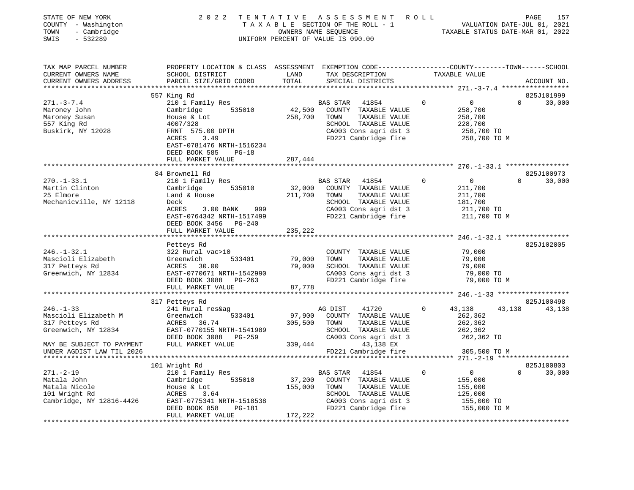| STATE OF NEW YORK<br>COUNTY - Washington<br>- Cambridge<br>TOWN<br>SWIS<br>$-532289$ |                                                                                                                                             |               | TENTATIVE ASSESSMENT ROLL<br>TAXABLE SECTION OF THE ROLL - 1 VALUATION DATE-JUL 01, 2021<br>OWNERS NAME SEQUENCE TAXABLE STATUS DATE-MAR 01, 2022<br>2022 TENTATIVE ASSESSMENT ROLL<br>UNIFORM PERCENT OF VALUE IS 090.00 |                |                                                             |          |                    |
|--------------------------------------------------------------------------------------|---------------------------------------------------------------------------------------------------------------------------------------------|---------------|---------------------------------------------------------------------------------------------------------------------------------------------------------------------------------------------------------------------------|----------------|-------------------------------------------------------------|----------|--------------------|
| TAX MAP PARCEL NUMBER<br>CURRENT OWNERS NAME<br>CURRENT OWNERS ADDRESS               | PROPERTY LOCATION & CLASS ASSESSMENT EXEMPTION CODE---------------COUNTY-------TOWN-----SCHOOL<br>SCHOOL DISTRICT<br>PARCEL SIZE/GRID COORD | LAND<br>TOTAL | TAX DESCRIPTION<br>SPECIAL DISTRICTS                                                                                                                                                                                      |                | TAXABLE VALUE                                               |          | ACCOUNT NO.        |
|                                                                                      | 557 King Rd                                                                                                                                 |               |                                                                                                                                                                                                                           |                |                                                             |          | 825J101999         |
| $271. - 3 - 7.4$                                                                     | 210 1 Family Res                                                                                                                            |               | BAS STAR 41854                                                                                                                                                                                                            | $\overline{0}$ | $\overline{0}$                                              | $\Omega$ | 30,000             |
| Maroney John<br>Maroney Susan<br>557 King Rd<br>Buskirk, NY 12028                    | 535010<br>Cambridge<br>House & Lot<br>4007/328<br>FRNT 575.00 DPTH<br>ACRES 3.49<br>ACRES 3.49                                              | 258,700       | 42,500 COUNTY TAXABLE VALUE<br>TOWN<br>TAXABLE VALUE<br>SCHOOL TAXABLE VALUE<br>CA003 Cons agri dst 3<br>FD221 Cambridge fire                                                                                             |                | 258,700<br>258,700<br>228,700<br>258,700 TO<br>258,700 ТО М |          |                    |
|                                                                                      | EAST-0781476 NRTH-1516234<br>DEED BOOK 585<br>$PG-18$                                                                                       |               |                                                                                                                                                                                                                           |                |                                                             |          |                    |
|                                                                                      | FULL MARKET VALUE                                                                                                                           | 287,444       |                                                                                                                                                                                                                           |                |                                                             |          |                    |
|                                                                                      |                                                                                                                                             |               |                                                                                                                                                                                                                           |                |                                                             |          |                    |
|                                                                                      | 84 Brownell Rd                                                                                                                              |               |                                                                                                                                                                                                                           |                |                                                             |          | 825J100973         |
| $270. - 1 - 33.1$                                                                    | 210 1 Family Res                                                                                                                            |               | BAS STAR 41854                                                                                                                                                                                                            | $\overline{0}$ | $\overline{0}$                                              | $\Omega$ | 30,000             |
| Martin Clinton                                                                       | Cambridge 535010                                                                                                                            |               | 32,000 COUNTY TAXABLE VALUE                                                                                                                                                                                               |                | 211,700                                                     |          |                    |
| 25 Elmore<br>Mechanicville, NY 12118                                                 | Land & House<br>Deck                                                                                                                        | 211,700       | TAXABLE VALUE<br>TOWN<br>SCHOOL TAXABLE VALUE                                                                                                                                                                             |                | 211,700<br>181,700                                          |          |                    |
|                                                                                      | ACRES<br>3.00 BANK 999                                                                                                                      |               |                                                                                                                                                                                                                           |                |                                                             |          |                    |
|                                                                                      | EAST-0764342 NRTH-1517499<br>DEED BOOK 3456 PG-240                                                                                          |               | CA003 Cons agri dst 3 211,700 TO<br>FD221 Cambridge fire 211,700 TO M                                                                                                                                                     |                |                                                             |          |                    |
|                                                                                      | FULL MARKET VALUE                                                                                                                           | 235,222       |                                                                                                                                                                                                                           |                |                                                             |          |                    |
|                                                                                      | Petteys Rd                                                                                                                                  |               |                                                                                                                                                                                                                           |                |                                                             |          | 825J102005         |
| $246. - 1 - 32.1$                                                                    | 322 Rural vac>10                                                                                                                            |               | COUNTY TAXABLE VALUE                                                                                                                                                                                                      |                | 79,000                                                      |          |                    |
| Mascioli Elizabeth                                                                   |                                                                                                                                             | 79,000        | TOWN<br>TAXABLE VALUE                                                                                                                                                                                                     |                | 79,000                                                      |          |                    |
| 317 Petteys Rd                                                                       | Greenwich 533401<br>ACRES 30.00<br>EAST-0770671 NRTH-1542990                                                                                | 79,000        | SCHOOL TAXABLE VALUE                                                                                                                                                                                                      |                | 79,000                                                      |          |                    |
| Greenwich, NY 12834                                                                  |                                                                                                                                             |               | CA003 Cons agri dst 3                                                                                                                                                                                                     |                | 79,000 TO                                                   |          |                    |
|                                                                                      | DEED BOOK 3088 PG-263                                                                                                                       | 87,778        | FD221 Cambridge fire                                                                                                                                                                                                      |                | 79,000 TO M                                                 |          |                    |
|                                                                                      | FULL MARKET VALUE                                                                                                                           |               |                                                                                                                                                                                                                           |                |                                                             |          |                    |
|                                                                                      | 317 Petteys Rd                                                                                                                              |               |                                                                                                                                                                                                                           |                |                                                             |          | 825J100498         |
| $246. - 1 - 33$                                                                      | 241 Rural res&ag                                                                                                                            |               | AG DIST<br>41720                                                                                                                                                                                                          | $\Omega$       | 43,138                                                      | 43,138   | 43,138             |
| Mascioli Elizabeth M                                                                 | 533401<br>Greenwich                                                                                                                         | 97,900        | COUNTY TAXABLE VALUE                                                                                                                                                                                                      |                | 262,362                                                     |          |                    |
| 317 Petteys Rd                                                                       | ACRES 36.74                                                                                                                                 | 305,500       | TAXABLE VALUE<br>TOWN                                                                                                                                                                                                     |                | 262,362                                                     |          |                    |
| Greenwich, NY 12834                                                                  | EAST-0770155 NRTH-1541989<br>DEED BOOK 3088 PG-259<br>DEED BOOK 3088 PG-259                                                                 |               | SCHOOL TAXABLE VALUE                                                                                                                                                                                                      |                | 262,362                                                     |          |                    |
| MAY BE SUBJECT TO PAYMENT                                                            | FULL MARKET VALUE                                                                                                                           |               | CA003 Cons agri dst 3<br>339,444<br>43,138 EX                                                                                                                                                                             |                | 262,362 TO                                                  |          |                    |
| UNDER AGDIST LAW TIL 2026                                                            |                                                                                                                                             |               | FD221 Cambridge fire                                                                                                                                                                                                      |                | 305,500 TO M                                                |          |                    |
|                                                                                      |                                                                                                                                             |               |                                                                                                                                                                                                                           |                |                                                             |          |                    |
|                                                                                      | 101 Wright Rd                                                                                                                               |               |                                                                                                                                                                                                                           |                |                                                             |          | 825J100803         |
| 271.-2-19                                                                            | 210 1 Family Res                                                                                                                            |               | BAS STAR 41854                                                                                                                                                                                                            | $\Omega$       | $\overline{0}$                                              |          | 30,000<br>$\Omega$ |
| Matala John                                                                          | Cambridge 535010                                                                                                                            |               | 37,200 COUNTY TAXABLE VALUE                                                                                                                                                                                               |                | 155,000                                                     |          |                    |
| Matala Nicole                                                                        | House & Lot                                                                                                                                 | 155,000       | TOWN<br>TAXABLE VALUE                                                                                                                                                                                                     |                | 155,000                                                     |          |                    |
| 101 Wright Rd<br>Cambridge, NY 12816-4426                                            | ACRES<br>3.64<br>EAST-0775341 NRTH-1518538                                                                                                  |               | SCHOOL TAXABLE VALUE<br>CA003 Cons agri dst 3                                                                                                                                                                             |                | 125,000<br>155,000 TO                                       |          |                    |
|                                                                                      | PG-181<br>DEED BOOK 858                                                                                                                     |               | FD221 Cambridge fire                                                                                                                                                                                                      |                | 155,000 TO M                                                |          |                    |
|                                                                                      | FULL MARKET VALUE                                                                                                                           | 172,222       |                                                                                                                                                                                                                           |                |                                                             |          |                    |
|                                                                                      |                                                                                                                                             |               |                                                                                                                                                                                                                           |                |                                                             |          |                    |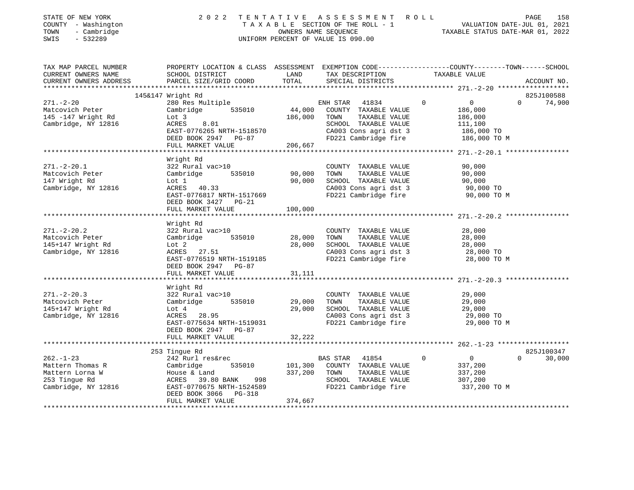| STATE OF NEW YORK<br>COUNTY - Washington<br>- Cambridge<br>TOWN<br>SWIS<br>$-532289$           | 2 0 2 2                                                                                                                                                       |                              | TENTATIVE ASSESSMENT ROLL<br>UNIFORM PERCENT OF VALUE IS 090.00                                                                       | TAXABLE SECTION OF THE ROLL - 1<br>OWNERS NAME SEQUENCE<br>OWNERS NAME SEQUENCE<br>TAXABLE STATUS DATE-MAR 01, 2022<br>TAXABLE STATUS DATE-MAR 01, 2022 | PAGE<br>158                 |
|------------------------------------------------------------------------------------------------|---------------------------------------------------------------------------------------------------------------------------------------------------------------|------------------------------|---------------------------------------------------------------------------------------------------------------------------------------|---------------------------------------------------------------------------------------------------------------------------------------------------------|-----------------------------|
| TAX MAP PARCEL NUMBER<br>CURRENT OWNERS NAME<br>CURRENT OWNERS ADDRESS                         | SCHOOL DISTRICT<br>PARCEL SIZE/GRID COORD                                                                                                                     | LAND<br>TOTAL                | TAX DESCRIPTION<br>SPECIAL DISTRICTS                                                                                                  | PROPERTY LOCATION & CLASS ASSESSMENT EXEMPTION CODE----------------COUNTY-------TOWN------SCHOOL<br>TAXABLE VALUE                                       | ACCOUNT NO.                 |
| $271. - 2 - 20$<br>Matcovich Peter<br>145 -147 Wright Rd<br>Cambridge, NY 12816                | 145&147 Wright Rd<br>280 Res Multiple<br>Cambridge 535010<br>Lot 3<br>ACRES<br>8.01<br>EAST-0776265 NRTH-1518570<br>DEED BOOK 2947 PG-87<br>FULL MARKET VALUE | 44,000<br>186,000<br>206,667 | ENH STAR 41834<br>COUNTY TAXABLE VALUE<br>TOWN TAXABLE VALUE<br>SCHOOL TAXABLE VALUE<br>CA003 Cons agri dst 3<br>FD221 Cambridge fire | $\mathbf 0$<br>$\overline{0}$<br>186,000<br>186,000<br>111,100<br>186,000 TO<br>186,000 TO M                                                            | 825J100588<br>$0 \t 74,900$ |
|                                                                                                | ************************                                                                                                                                      | ********************         |                                                                                                                                       |                                                                                                                                                         |                             |
| $271. - 2 - 20.1$<br>Matcovich Peter<br>147 Wright Rd<br>Cambridge, NY 12816                   | Wright Rd<br>322 Rural vac>10<br>Cambridge<br>535010<br>Lot 1<br>ACRES 40.33<br>EAST-0776817 NRTH-1517669                                                     | 90,000<br>90,000             | COUNTY TAXABLE VALUE<br>TAXABLE VALUE<br>TOWN<br>SCHOOL TAXABLE VALUE<br>CA003 Cons agri dst 3<br>FD221 Cambridge fire                | 90,000<br>90,000<br>90,000<br>90,000 TO<br>90,000 TO M                                                                                                  |                             |
|                                                                                                | DEED BOOK 3427 PG-21<br>FULL MARKET VALUE                                                                                                                     | 100,000                      |                                                                                                                                       |                                                                                                                                                         |                             |
|                                                                                                |                                                                                                                                                               |                              |                                                                                                                                       |                                                                                                                                                         |                             |
| $271. - 2 - 20.2$<br>Matcovich Peter<br>145+147 Wright Rd<br>Cambridge, NY 12816               | Wright Rd<br>322 Rural vac>10<br>Cambridge<br>535010<br>Lot 2<br>ACRES 27.51<br>EAST-0776519 NRTH-1519185<br>DEED BOOK 2947 PG-87                             | 28,000<br>28,000             | COUNTY TAXABLE VALUE<br>TAXABLE VALUE<br>TOWN<br>SCHOOL TAXABLE VALUE<br>CA003 Cons agri dst 3<br>FD221 Cambridge fire                | 28,000<br>28,000<br>28,000<br>28,000 TO<br>28,000 TO M                                                                                                  |                             |
|                                                                                                | FULL MARKET VALUE                                                                                                                                             | 31,111                       |                                                                                                                                       |                                                                                                                                                         |                             |
| $271 - 2 - 20.3$<br>Matcovich Peter<br>145+147 Wright Rd<br>Cambridge, NY 12816                | Wright Rd<br>322 Rural vac>10<br>Cambridge<br>535010<br>Lot 4<br>ACRES 28.95<br>EAST-0775634 NRTH-1519031<br>DEED BOOK 2947 PG-87                             | 29,000<br>29,000             | COUNTY TAXABLE VALUE<br>TAXABLE VALUE<br>TOWN<br>SCHOOL TAXABLE VALUE<br>CA003 Cons agri dst 3<br>FD221 Cambridge fire                | 29,000<br>29,000<br>29,000<br>29,000 TO<br>29,000 TO M                                                                                                  |                             |
|                                                                                                | FULL MARKET VALUE                                                                                                                                             | 32,222                       |                                                                                                                                       |                                                                                                                                                         |                             |
|                                                                                                | 253 Tingue Rd                                                                                                                                                 |                              |                                                                                                                                       |                                                                                                                                                         | 825J100347                  |
| $262. - 1 - 23$<br>Mattern Thomas R<br>Mattern Lorna W<br>253 Tingue Rd<br>Cambridge, NY 12816 | 242 Rurl res&rec<br>535010<br>Cambridge<br>House & Land<br>ACRES 39.80 BANK 998<br>EAST-0770675 NRTH-1524589<br>DEED BOOK 3066 PG-318<br>FULL MARKET VALUE    | 101,300<br>374,667           | BAS STAR 41854<br>COUNTY TAXABLE VALUE<br>337,200 TOWN<br>TAXABLE VALUE<br>SCHOOL TAXABLE VALUE<br>FD221 Cambridge fire               | 0<br>$\mathbf 0$<br>337,200<br>337,200<br>307,200<br>337,200 TO M                                                                                       | $0 \qquad \qquad$<br>30,000 |
|                                                                                                |                                                                                                                                                               |                              |                                                                                                                                       |                                                                                                                                                         |                             |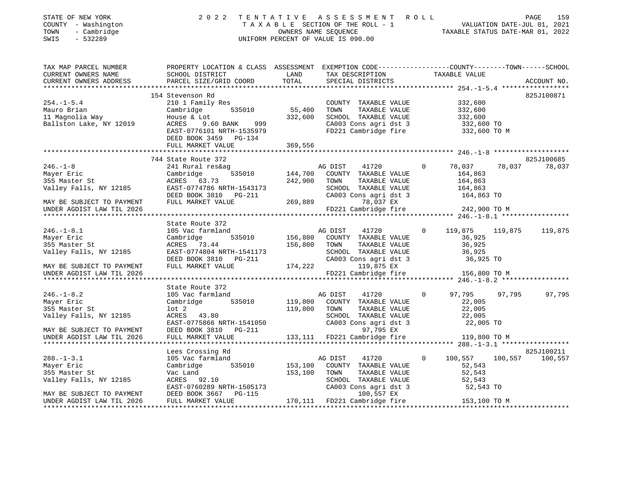| STATE OF NEW YORK<br>COUNTY - Washington<br>- Cambridge<br>TOWN<br>SWIS<br>$-532289$ | 2 0 2 2                                                                                                                                     |                                | TENTATIVE ASSESSMENT ROLL<br>T A X A B L E SECTION OF THE ROLL - 1<br>OWNERS NAME SEQUENCE CONNERS ARE CONNERS NAME CONNERS NAME CONNERS ARE TO DETAIL OF THE ROLL - 1<br>UNIFORM PERCENT OF VALUE IS 090.00 |                |                                             |         | PAGE<br>159     |
|--------------------------------------------------------------------------------------|---------------------------------------------------------------------------------------------------------------------------------------------|--------------------------------|--------------------------------------------------------------------------------------------------------------------------------------------------------------------------------------------------------------|----------------|---------------------------------------------|---------|-----------------|
| TAX MAP PARCEL NUMBER<br>CURRENT OWNERS NAME<br>CURRENT OWNERS ADDRESS               | PROPERTY LOCATION & CLASS ASSESSMENT EXEMPTION CODE---------------COUNTY-------TOWN-----SCHOOL<br>SCHOOL DISTRICT<br>PARCEL SIZE/GRID COORD | LAND<br>TOTAL                  | TAX DESCRIPTION TAXABLE VALUE<br>SPECIAL DISTRICTS                                                                                                                                                           |                |                                             |         | ACCOUNT NO.     |
|                                                                                      | 154 Stevenson Rd                                                                                                                            |                                |                                                                                                                                                                                                              |                |                                             |         | 825J100871      |
| $254. - 1 - 5.4$<br>Mauro Brian<br>11 Magnolia Way<br>Ballston Lake, NY 12019        | 210 1 Family Res<br>Cambridge<br>House & Lot<br>9.60 BANK 999<br>ACRES<br>EAST-0776101 NRTH-1535979                                         | $535010$ $55,400$<br>$332,600$ | COUNTY TAXABLE VALUE<br>TOWN TAXABLE VALUE<br>SCHOOL TAXABLE VALUE<br>CA003 Cons agri dst 3<br>FD221 Cambridge fire 332,600 TO M                                                                             |                | 332,600<br>332,600<br>332,600<br>332,600 TO |         |                 |
|                                                                                      | DEED BOOK 3459 PG-134                                                                                                                       |                                |                                                                                                                                                                                                              |                |                                             |         |                 |
|                                                                                      | FULL MARKET VALUE                                                                                                                           | 369,556                        |                                                                                                                                                                                                              |                |                                             |         |                 |
|                                                                                      |                                                                                                                                             |                                |                                                                                                                                                                                                              |                |                                             |         |                 |
|                                                                                      | 744 State Route 372                                                                                                                         |                                |                                                                                                                                                                                                              |                |                                             |         | 825J100685      |
| $246. - 1 - 8$                                                                       | 241 Rural res&ag                                                                                                                            |                                | AG DIST<br>41720                                                                                                                                                                                             | $\overline{0}$ | 78,037                                      |         | 78,037 78,037   |
| Mayer Eric                                                                           | Cambridge                                                                                                                                   | ,<br>535010 144,700            | COUNTY TAXABLE VALUE                                                                                                                                                                                         |                | 164,863                                     |         |                 |
| 355 Master St<br>Valley Falls, NY 12185                                              | ACRES 63.73                                                                                                                                 | 242,900                        | TOWN<br>TAXABLE VALUE                                                                                                                                                                                        |                | 164,863                                     |         |                 |
|                                                                                      | EAST-0774786 NRTH-1543173                                                                                                                   |                                | SCHOOL TAXABLE VALUE 164,863<br>CA003 Cons agri dst 3 164,863 TO                                                                                                                                             |                |                                             |         |                 |
| MAY BE SUBJECT TO PAYMENT                                                            | DEED BOOK 3810 PG-211<br>FULL MARKET VALUE                                                                                                  |                                | 269,889<br>78,037 EX                                                                                                                                                                                         |                |                                             |         |                 |
| UNDER AGDIST LAW TIL 2026                                                            |                                                                                                                                             |                                | FD221 Cambridge fire 242,900 TO M                                                                                                                                                                            |                |                                             |         |                 |
|                                                                                      |                                                                                                                                             |                                |                                                                                                                                                                                                              |                |                                             |         |                 |
|                                                                                      | State Route 372                                                                                                                             |                                |                                                                                                                                                                                                              |                |                                             |         |                 |
| $246. - 1 - 8.1$                                                                     | 105 Vac farmland                                                                                                                            |                                | AG DIST 41720                                                                                                                                                                                                | $\overline{0}$ | 119,875                                     | 119,875 | 119,875         |
| Mayer Eric                                                                           | Cambridge                                                                                                                                   |                                | 535010 156,800 COUNTY TAXABLE VALUE                                                                                                                                                                          |                | 36,925                                      |         |                 |
| 355 Master St                                                                        | ACRES 73.44                                                                                                                                 | 156,800 TOWN                   | TAXABLE VALUE                                                                                                                                                                                                |                | 36,925                                      |         |                 |
| Valley Falls, NY 12185                                                               | EAST-0774804 NRTH-1541173<br>DEED BOOK 3810 PG-211                                                                                          |                                | SCHOOL TAXABLE VALUE 36,925<br>CA003 Cons agri dst 3 36,925 TO                                                                                                                                               |                |                                             |         |                 |
| MAY BE SUBJECT TO PAYMENT                                                            | FULL MARKET VALUE                                                                                                                           |                                | 174,222 119,875 EX                                                                                                                                                                                           |                |                                             |         |                 |
| UNDER AGDIST LAW TIL 2026                                                            |                                                                                                                                             |                                | FD221 Cambridge fire 156,800 TO M                                                                                                                                                                            |                |                                             |         |                 |
|                                                                                      |                                                                                                                                             |                                |                                                                                                                                                                                                              |                |                                             |         |                 |
|                                                                                      | State Route 372                                                                                                                             |                                |                                                                                                                                                                                                              |                |                                             |         |                 |
| $246. - 1 - 8.2$                                                                     | 105 Vac farmland                                                                                                                            |                                | AG DIST<br>41720                                                                                                                                                                                             | $\overline{0}$ | 97,795                                      | 97,795  | 97,795          |
| Mayer Eric                                                                           | Cambridge 535010                                                                                                                            |                                | 119,800 COUNTY TAXABLE VALUE                                                                                                                                                                                 |                | 22,005                                      |         |                 |
| 355 Master St                                                                        | $1$ ot $2$                                                                                                                                  | 119,800 TOWN                   | TOWN TAXABLE VALUE<br>SCHOOL TAXABLE VALUE 22,005 TO<br>22,005 TO<br>22,005 TO                                                                                                                               |                |                                             |         |                 |
| Valley Falls, NY 12185                                                               | ACRES 43.80                                                                                                                                 |                                |                                                                                                                                                                                                              |                |                                             |         |                 |
|                                                                                      | EAST-0775866 NRTH-1541050<br>DEED BOOK 3810 PG-211<br>DEED BOOK 3810 PG-211                                                                 |                                | CA003 Cons agri dst 3                                                                                                                                                                                        |                |                                             |         |                 |
| MAY BE SUBJECT TO PAYMENT<br>UNDER AGDIST LAW TIL 2026                               | FULL MARKET VALUE                                                                                                                           |                                | 97,795 EX<br>-211<br>133,111 FD221 Cambridge fire                                                                                                                                                            |                | 119,800 TO M                                |         |                 |
|                                                                                      |                                                                                                                                             |                                |                                                                                                                                                                                                              |                |                                             |         |                 |
|                                                                                      | Lees Crossing Rd                                                                                                                            |                                |                                                                                                                                                                                                              |                |                                             |         | 825J100211      |
| $288. - 1 - 3.1$                                                                     | 105 Vac farmland                                                                                                                            |                                | 41720<br>AG DIST                                                                                                                                                                                             | $\Omega$       | 100,557                                     |         | 100,557 100,557 |
| Mayer Eric                                                                           | Cambridge 535010                                                                                                                            |                                | 153,100 COUNTY TAXABLE VALUE                                                                                                                                                                                 |                | 52,543                                      |         |                 |
| 355 Master St                                                                        | Vac Land                                                                                                                                    | 153,100 TOWN                   | TOWN      TAXABLE VALUE<br>SCHOOL   TAXABLE VALUE                                                                                                                                                            |                | 52,543                                      |         |                 |
| Valley Falls, NY 12185                                                               | ACRES 92.10                                                                                                                                 |                                |                                                                                                                                                                                                              |                | $52,543$<br>$52,543$                        |         |                 |
|                                                                                      | EAST-0760289 NRTH-1505173                                                                                                                   |                                | CA003 Cons agri dst 3                                                                                                                                                                                        |                | 52,543 TO                                   |         |                 |
| MAY BE SUBJECT TO PAYMENT                                                            | DEED BOOK 3667 PG-115                                                                                                                       |                                | 100,557 EX<br>170,111 FD221 Cambridge fire 153,100 TO M                                                                                                                                                      |                |                                             |         |                 |
| UNDER AGDIST LAW TIL 2026                                                            | FULL MARKET VALUE                                                                                                                           |                                |                                                                                                                                                                                                              |                |                                             |         |                 |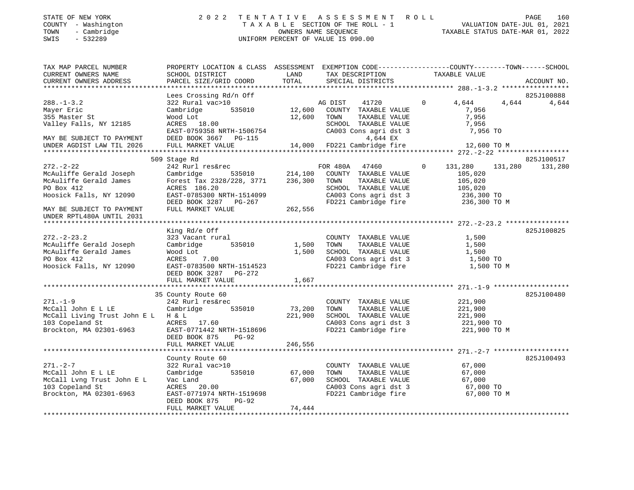| STATE OF NEW YORK   | 2022 TENTATIVE ASSESSMENT ROLL     | PAGE                             | 160 |
|---------------------|------------------------------------|----------------------------------|-----|
| COUNTY - Washington | TAXABLE SECTION OF THE ROLL - 1    | VALUATION DATE-JUL 01, 2021      |     |
| TOWN<br>- Cambridge | OWNERS NAME SEOUENCE               | TAXABLE STATUS DATE-MAR 01, 2022 |     |
| SWIS<br>- 532289    | UNIFORM PERCENT OF VALUE IS 090.00 |                                  |     |
|                     |                                    |                                  |     |

| TAX MAP PARCEL NUMBER                                                                                                                                                                                                 | PROPERTY LOCATION & CLASS ASSESSMENT EXEMPTION CODE---------------COUNTY-------TOWN------SCHOOL                       |             |                                                                                                                                                                |                     |                 |
|-----------------------------------------------------------------------------------------------------------------------------------------------------------------------------------------------------------------------|-----------------------------------------------------------------------------------------------------------------------|-------------|----------------------------------------------------------------------------------------------------------------------------------------------------------------|---------------------|-----------------|
| CURRENT OWNERS NAME                                                                                                                                                                                                   | SCHOOL DISTRICT                                                                                                       | LAND        | TAX DESCRIPTION                                                                                                                                                | TAXABLE VALUE       |                 |
| CURRENT OWNERS ADDRESS                                                                                                                                                                                                | PARCEL SIZE/GRID COORD                                                                                                | TOTAL       | SPECIAL DISTRICTS                                                                                                                                              |                     | ACCOUNT NO.     |
|                                                                                                                                                                                                                       |                                                                                                                       |             |                                                                                                                                                                |                     |                 |
|                                                                                                                                                                                                                       | Lees Crossing Rd/n Off                                                                                                |             |                                                                                                                                                                |                     | 825J100888      |
| $288. - 1 - 3.2$                                                                                                                                                                                                      | 322 Rural vac>10<br>Cambridge 535010 12,600 COUNTY TAXABLE VALUE 7,956                                                |             |                                                                                                                                                                |                     | 4,644 4,644     |
| Mayer Eric                                                                                                                                                                                                            |                                                                                                                       |             |                                                                                                                                                                |                     |                 |
| 355 Master St                                                                                                                                                                                                         | Wood Lot                                                                                                              | 12,600 TOWN | TOWN TAXABLE VALUE 7,956<br>SCHOOL TAXABLE VALUE 7,956<br>CA003 Cons agri dst 3 7,956<br>4,644 EX 7,956                                                        |                     |                 |
| Valley Falls, NY 12185                                                                                                                                                                                                | Wood Lot<br>ACRES    18.00                                                                                            |             |                                                                                                                                                                |                     |                 |
|                                                                                                                                                                                                                       |                                                                                                                       |             |                                                                                                                                                                |                     |                 |
|                                                                                                                                                                                                                       |                                                                                                                       |             |                                                                                                                                                                |                     |                 |
| Valley Falls, NY 12185 ACRES 18.00 SCHOOL TAXABLE VALUE 7,956 7956 EAST-0759358 NRTH-1506754 CA003 Cons agri dst 3 7,956 70<br>MAY BE SUBJECT TO PAYMENT DEED BOOK 3667 PG-115 4,000 FD221 Cambridge fire 12,600 TO M |                                                                                                                       |             |                                                                                                                                                                |                     |                 |
|                                                                                                                                                                                                                       |                                                                                                                       |             |                                                                                                                                                                |                     |                 |
|                                                                                                                                                                                                                       |                                                                                                                       |             |                                                                                                                                                                |                     |                 |
|                                                                                                                                                                                                                       | 509 Stage Rd                                                                                                          |             |                                                                                                                                                                |                     | 825J100517      |
| $272. - 2 - 22$                                                                                                                                                                                                       | 242 Rurl res&rec                                                                                                      |             | FOR 480A 47460 0 131,280                                                                                                                                       |                     | 131,280 131,280 |
| McAuliffe Gerald Joseph                                                                                                                                                                                               | Cambridge 535010 214,100 COUNTY TAXABLE VALUE 105,020<br>Forest Tax 2328/228, 3771 236,300 TOWN TAXABLE VALUE 105,020 |             |                                                                                                                                                                |                     |                 |
| McAuliffe Gerald James                                                                                                                                                                                                |                                                                                                                       |             |                                                                                                                                                                |                     |                 |
| PO Box 412                                                                                                                                                                                                            |                                                                                                                       |             | SCHOOL TAXABLE VALUE $105,020$<br>CA003 Cons agri dst 3 $236,300$ TO<br>FD221 Cambridge fire 236,300 TO M                                                      |                     |                 |
| Hoosick Falls, NY 12090                                                                                                                                                                                               |                                                                                                                       |             |                                                                                                                                                                |                     |                 |
|                                                                                                                                                                                                                       |                                                                                                                       |             |                                                                                                                                                                |                     |                 |
| MAY BE SUBJECT TO PAYMENT                                                                                                                                                                                             | ACRES 186.20<br>EAST-0785300 NRTH-1514099<br>DEED BOOK 3287 PG-267<br>FULL MARKET VALUE 262,556                       |             |                                                                                                                                                                |                     |                 |
| UNDER RPTL480A UNTIL 2031                                                                                                                                                                                             |                                                                                                                       |             |                                                                                                                                                                |                     |                 |
|                                                                                                                                                                                                                       |                                                                                                                       |             |                                                                                                                                                                |                     |                 |
|                                                                                                                                                                                                                       | King Rd/e Off                                                                                                         |             |                                                                                                                                                                |                     | 825J100825      |
| $272 - 2 - 23.2$                                                                                                                                                                                                      | 323 Vacant rural                                                                                                      |             | COUNTY TAXABLE VALUE 1,500                                                                                                                                     |                     |                 |
| McAuliffe Gerald Joseph                                                                                                                                                                                               | Cambridge 535010 1,500 TOWN                                                                                           |             |                                                                                                                                                                | TAXABLE VALUE 1,500 |                 |
| McAuliffe Gerald James                                                                                                                                                                                                |                                                                                                                       |             |                                                                                                                                                                |                     |                 |
| PO Box 412                                                                                                                                                                                                            | Wood Lot<br>ACRES 7.00 1,500 SCHOOL TAXABLE VALUE 1,500<br>EAST-0783500 NRTH-1514523 FD221 Cambridge fire 1,500 TO    |             |                                                                                                                                                                |                     |                 |
|                                                                                                                                                                                                                       |                                                                                                                       |             |                                                                                                                                                                | 1,500 TO M          |                 |
| Hoosick Falls, NY 12090                                                                                                                                                                                               | DEED BOOK 3287 PG-272                                                                                                 |             |                                                                                                                                                                |                     |                 |
|                                                                                                                                                                                                                       |                                                                                                                       |             |                                                                                                                                                                |                     |                 |
|                                                                                                                                                                                                                       | FULL MARKET VALUE                                                                                                     | 1,667       |                                                                                                                                                                |                     |                 |
|                                                                                                                                                                                                                       |                                                                                                                       |             |                                                                                                                                                                |                     |                 |
|                                                                                                                                                                                                                       | 35 County Route 60<br>242 Rurl res&rec                                                                                |             |                                                                                                                                                                |                     | 825J100480      |
| $271. - 1 - 9$                                                                                                                                                                                                        |                                                                                                                       |             | COUNTY TAXABLE VALUE 221,900                                                                                                                                   |                     |                 |
| McCall John E L LE                                                                                                                                                                                                    | Cambridge 535010                                                                                                      |             |                                                                                                                                                                |                     |                 |
| McCall Living Trust John E L H & L                                                                                                                                                                                    |                                                                                                                       |             | 73, 200 TOWN TAXABLE VALUE 221, 900<br>221, 900 SCHOOL TAXABLE VALUE 221, 900<br>221, 900 SCHOOL TAXABLE VALUE 221, 900                                        |                     |                 |
| 103 Copeland St                           ACRES       17.60<br>Brockton, MA 02301-6963                 EAST-0771442 NRTH-1518696                                                                                      | H & L<br>ACRES 17.60                                                                                                  |             | CA003 Cons agri dst 3 221,900 TO<br>FD221 Cambridge fire 221,900 TO M                                                                                          |                     |                 |
|                                                                                                                                                                                                                       |                                                                                                                       |             |                                                                                                                                                                |                     |                 |
|                                                                                                                                                                                                                       | DEED BOOK 875 PG-92                                                                                                   |             |                                                                                                                                                                |                     |                 |
|                                                                                                                                                                                                                       | FULL MARKET VALUE                                                                                                     | 246,556     |                                                                                                                                                                |                     |                 |
|                                                                                                                                                                                                                       |                                                                                                                       |             |                                                                                                                                                                |                     |                 |
|                                                                                                                                                                                                                       | County Route 60                                                                                                       |             |                                                                                                                                                                |                     | 825J100493      |
| $271. - 2 - 7$                                                                                                                                                                                                        | 322 Rural vac>10 COUNTY<br>Cambridge 535010 67,000 TOWN                                                               |             |                                                                                                                                                                |                     |                 |
| McCall John E L LE                                                                                                                                                                                                    |                                                                                                                       |             |                                                                                                                                                                |                     |                 |
|                                                                                                                                                                                                                       |                                                                                                                       |             |                                                                                                                                                                |                     |                 |
| McCall Lvng Trust John E L Vac Land<br>103 Copeland St ACRES 2                                                                                                                                                        | Vac Land<br>ACRES 20.00 67,000                                                                                        |             | COUNTY TAXABLE VALUE 67,000<br>TOWN TAXABLE VALUE 67,000<br>SCHOOL TAXABLE VALUE 67,000<br>CA003 Cons agri dst 3 67,000 TO<br>FD221 Cambridge fire 67,000 TO M |                     |                 |
| Brockton, MA 02301-6963                                                                                                                                                                                               | EAST-0771974 NRTH-1519698                                                                                             |             |                                                                                                                                                                |                     |                 |
|                                                                                                                                                                                                                       | DEED BOOK 875 PG-92                                                                                                   |             |                                                                                                                                                                |                     |                 |
|                                                                                                                                                                                                                       | FULL MARKET VALUE                                                                                                     | 74,444      |                                                                                                                                                                |                     |                 |
|                                                                                                                                                                                                                       |                                                                                                                       |             |                                                                                                                                                                |                     |                 |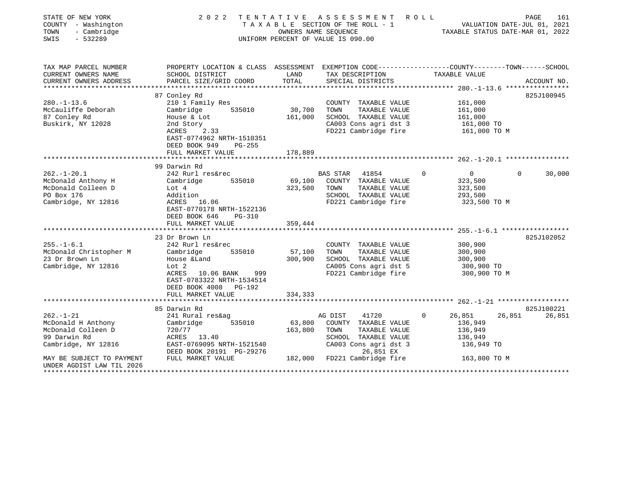| STATE OF NEW YORK<br>COUNTY - Washington<br>- Cambridge<br>TOWN<br>SWIS<br>$-532289$                                                                         | 2022                                                                                                                                                                                       | TENTATIVE                    | A S S E S S M E N T<br>T A X A B L E SECTION OF THE ROLL - 1<br>OWNERS NAME SEQUENCE<br>UNIFORM PERCENT OF VALUE IS 090.00                                      | R O L L<br>PAGE 161<br>VALUATION DATE-JUL 01, 2021<br>TAXABLE STATUE DATE 11-1    |                                |
|--------------------------------------------------------------------------------------------------------------------------------------------------------------|--------------------------------------------------------------------------------------------------------------------------------------------------------------------------------------------|------------------------------|-----------------------------------------------------------------------------------------------------------------------------------------------------------------|-----------------------------------------------------------------------------------|--------------------------------|
| TAX MAP PARCEL NUMBER<br>CURRENT OWNERS NAME<br>CURRENT OWNERS ADDRESS<br>************************                                                           | PROPERTY LOCATION & CLASS ASSESSMENT EXEMPTION CODE---------------COUNTY-------TOWN-----SCHOOL<br>SCHOOL DISTRICT<br>PARCEL SIZE/GRID COORD                                                | LAND<br>TOTAL                | TAX DESCRIPTION<br>SPECIAL DISTRICTS                                                                                                                            | TAXABLE VALUE                                                                     | ACCOUNT NO.                    |
|                                                                                                                                                              |                                                                                                                                                                                            |                              |                                                                                                                                                                 |                                                                                   |                                |
| $280. - 1 - 13.6$<br>McCauliffe Deborah<br>87 Conley Rd<br>Buskirk, NY 12028                                                                                 | 87 Conley Rd<br>210 1 Family Res<br>535010<br>Cambridge<br>House & Lot<br>2nd Story<br>ACRES<br>2.33<br>EAST-0774962 NRTH-1510351<br>DEED BOOK 949<br>PG-255<br>FULL MARKET VALUE          | 30,700<br>161,000<br>178,889 | COUNTY TAXABLE VALUE<br>TOWN<br>TAXABLE VALUE<br>SCHOOL TAXABLE VALUE<br>CA003 Cons agri dst 3<br>FD221 Cambridge fire                                          | 161,000<br>161,000<br>161,000<br>161,000 TO<br>161,000 TO M                       | 825J100945                     |
|                                                                                                                                                              |                                                                                                                                                                                            |                              |                                                                                                                                                                 |                                                                                   |                                |
| $262. - 1 - 20.1$<br>McDonald Anthony H<br>McDonald Colleen D<br>PO Box 176<br>Cambridge, NY 12816                                                           | 99 Darwin Rd<br>242 Rurl res&rec<br>Cambridge<br>535010<br>Lot $4$<br>Addition<br>ACRES 16.06<br>EAST-0770178 NRTH-1522136<br>DEED BOOK 646<br>$PG-310$<br>FULL MARKET VALUE               | 69,100<br>323,500<br>359,444 | 41854<br><b>BAS STAR</b><br>COUNTY TAXABLE VALUE<br>TOWN<br>TAXABLE VALUE<br>SCHOOL TAXABLE VALUE<br>FD221 Cambridge fire                                       | $\overline{0}$<br>0<br>323,500<br>323,500<br>293,500<br>323,500 TO M              | $\Omega$<br>30,000             |
|                                                                                                                                                              |                                                                                                                                                                                            |                              |                                                                                                                                                                 |                                                                                   |                                |
| $255. - 1 - 6.1$<br>McDonald Christopher M<br>23 Dr Brown Ln<br>Cambridge, NY 12816                                                                          | 23 Dr Brown Ln<br>242 Rurl res&rec<br>Cambridge<br>535010<br>House &Land<br>Lot 2<br>ACRES<br>10.06 BANK<br>999<br>EAST-0783322 NRTH-1534514<br>DEED BOOK 4008 PG-192<br>FULL MARKET VALUE | 57,100<br>300,900<br>334,333 | COUNTY TAXABLE VALUE<br>TOWN<br>TAXABLE VALUE<br>SCHOOL TAXABLE VALUE<br>CA005 Cons agri dst 5<br>FD221 Cambridge fire                                          | 300,900<br>300,900<br>300,900<br>300,900 TO<br>300,900 TO M                       | 825J102052                     |
|                                                                                                                                                              | **************************                                                                                                                                                                 |                              |                                                                                                                                                                 |                                                                                   |                                |
| $262. - 1 - 21$<br>McDonald H Anthony<br>McDonald Colleen D<br>99 Darwin Rd<br>Cambridge, NY 12816<br>MAY BE SUBJECT TO PAYMENT<br>UNDER AGDIST LAW TIL 2026 | 85 Darwin Rd<br>241 Rural res&ag<br>Cambridge<br>535010<br>720/77<br>ACRES 13.40<br>EAST-0769095 NRTH-1521540<br>DEED BOOK 20191 PG-29276<br>FULL MARKET VALUE                             | 63,800<br>163,800            | AG DIST<br>41720<br>COUNTY TAXABLE VALUE<br>TOWN<br>TAXABLE VALUE<br>SCHOOL TAXABLE VALUE<br>CA003 Cons agri dst 3<br>26,851 EX<br>182,000 FD221 Cambridge fire | 26,851<br>$\Omega$<br>136,949<br>136,949<br>136,949<br>136,949 TO<br>163,800 TO M | 825J100221<br>26,851<br>26,851 |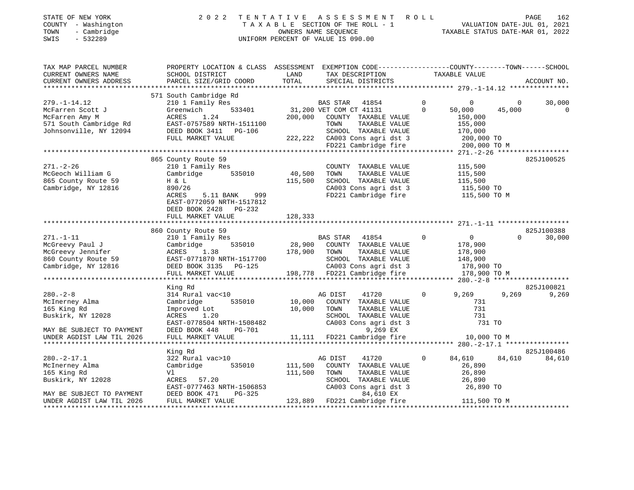| STATE OF NEW YORK<br>COUNTY - Washington<br>- Cambridge<br>TOWN<br>$-532289$<br>SWIS                                               | 2 0 2 2                                                                                                                                                                     |               | TENTATIVE ASSESSMENT ROLL<br>TAXABLE SECTION OF THE ROLL - 1<br>OWNERS NAME SECTION OF THE ROLL - 1<br>OWNERS NAME SECTION CONTRE-JUL 01, 2021<br>TAXABLE STATUS DATE-MAR 01, 2022<br>UNIFORM PERCENT OF VALUE IS 090.00 |                |                                             |                | PAGE<br>162 |
|------------------------------------------------------------------------------------------------------------------------------------|-----------------------------------------------------------------------------------------------------------------------------------------------------------------------------|---------------|--------------------------------------------------------------------------------------------------------------------------------------------------------------------------------------------------------------------------|----------------|---------------------------------------------|----------------|-------------|
| TAX MAP PARCEL NUMBER                                                                                                              | PROPERTY LOCATION & CLASS ASSESSMENT EXEMPTION CODE----------------COUNTY-------TOWN-----SCHOOL                                                                             |               |                                                                                                                                                                                                                          |                |                                             |                |             |
| CURRENT OWNERS NAME<br>CURRENT OWNERS ADDRESS                                                                                      | SCHOOL DISTRICT<br>PARCEL SIZE/GRID COORD                                                                                                                                   | LAND<br>TOTAL | TAX DESCRIPTION TAXABLE VALUE<br>SPECIAL DISTRICTS                                                                                                                                                                       |                |                                             |                | ACCOUNT NO. |
|                                                                                                                                    |                                                                                                                                                                             |               |                                                                                                                                                                                                                          |                |                                             |                |             |
| $279. - 1 - 14.12$                                                                                                                 | 571 South Cambridge Rd<br>210 1 Family Res                                                                                                                                  |               |                                                                                                                                                                                                                          | $\circ$        | $\overline{0}$                              | $\overline{0}$ | 30,000      |
| Experiment Scott J<br>McFarren Amy M<br>S71 South Cambridge Rd<br>Johnsonville, NY 12094<br>TILL MARKET VALUE<br>RILL MARKET VALUE |                                                                                                                                                                             |               | -----<br>533401 31,200 VET COM CT 41131<br>200,000 COUNTY TAXABLE VALUE                                                                                                                                                  | $\Omega$       | 50,000                                      | 45,000         | $\mathbf 0$ |
|                                                                                                                                    |                                                                                                                                                                             |               |                                                                                                                                                                                                                          |                | 150,000                                     |                |             |
|                                                                                                                                    | EAST-0757589 NRTH-1511100                                                                                                                                                   |               | TOWN<br>TAXABLE VALUE                                                                                                                                                                                                    |                | 155,000                                     |                |             |
|                                                                                                                                    |                                                                                                                                                                             |               |                                                                                                                                                                                                                          |                | 170,000<br>200,000 TO                       |                |             |
|                                                                                                                                    | FULL MARKET VALUE                                                                                                                                                           |               |                                                                                                                                                                                                                          |                |                                             |                |             |
|                                                                                                                                    |                                                                                                                                                                             |               | SCHOOL TAXABLE VALUE<br>222,222 CA003 Cons agri dst 3<br>FD221 Cambridge fire                                                                                                                                            |                | 200,000 TO M                                |                |             |
|                                                                                                                                    |                                                                                                                                                                             |               |                                                                                                                                                                                                                          |                |                                             |                |             |
|                                                                                                                                    | 865 County Route 59                                                                                                                                                         |               |                                                                                                                                                                                                                          |                |                                             |                | 825J100525  |
| $271. - 2 - 26$                                                                                                                    | 210 1 Family Res                                                                                                                                                            |               | COUNTY TAXABLE VALUE                                                                                                                                                                                                     |                | 115,500                                     |                |             |
| McGeoch William G                                                                                                                  | Cambridge 535010                                                                                                                                                            | 40,500        | TOWN<br>TAXABLE VALUE                                                                                                                                                                                                    |                | 115,500<br>115,500                          |                |             |
| 865 County Route 59                                                                                                                | H & L                                                                                                                                                                       | 115,500       | SCHOOL TAXABLE VALUE                                                                                                                                                                                                     |                |                                             |                |             |
| Cambridge, NY 12816                                                                                                                | 890/26                                                                                                                                                                      |               | CA003 Cons agri dst 3<br>FD221 Cambridge fire 115,500 TO M                                                                                                                                                               |                | 115,500 TO                                  |                |             |
|                                                                                                                                    | ACRES<br>5.11 BANK 999<br>EAST-0772059 NRTH-1517812                                                                                                                         |               |                                                                                                                                                                                                                          |                |                                             |                |             |
|                                                                                                                                    | DEED BOOK 2428 PG-232                                                                                                                                                       |               |                                                                                                                                                                                                                          |                |                                             |                |             |
|                                                                                                                                    | FULL MARKET VALUE                                                                                                                                                           | 128,333       |                                                                                                                                                                                                                          |                |                                             |                |             |
|                                                                                                                                    |                                                                                                                                                                             |               |                                                                                                                                                                                                                          |                |                                             |                |             |
|                                                                                                                                    | 860 County Route 59                                                                                                                                                         |               |                                                                                                                                                                                                                          |                |                                             |                | 825J100388  |
| $271. - 1 - 11$                                                                                                                    | 210 1 Family Res<br>28,900 COUNTY TAXABLE VALUE<br>28,900 COUNTY TAXABLE VALUE<br>28,900 COUNTY TAXABLE VALUE<br>28,900 COUNTY TAXABLE VALUE<br>27.000 COUNTY TAXABLE VALUE |               |                                                                                                                                                                                                                          | $\circ$        | $\overline{0}$                              | $\Omega$       | 30,000      |
| McGreevy Paul J                                                                                                                    |                                                                                                                                                                             |               |                                                                                                                                                                                                                          |                |                                             |                |             |
|                                                                                                                                    |                                                                                                                                                                             |               |                                                                                                                                                                                                                          |                |                                             |                |             |
| McGreevy Paul J<br>McGreevy Jennifer<br>860 County Route 59<br>Cambridge, NY 12816                                                 |                                                                                                                                                                             |               |                                                                                                                                                                                                                          |                | 178,900<br>178,900<br>148,900<br>178,900 TO |                |             |
| Cambridge, NY 12816                                                                                                                |                                                                                                                                                                             |               |                                                                                                                                                                                                                          |                |                                             |                |             |
|                                                                                                                                    | EAST-0771870 NRTH-1517700<br>DEED BOOK 3135 PG-125<br>FULL MARKET VALUE 198,778 FD221 Cambridge fire                                                                        |               |                                                                                                                                                                                                                          |                | 178,900 TO M                                |                |             |
|                                                                                                                                    |                                                                                                                                                                             |               |                                                                                                                                                                                                                          |                |                                             |                |             |
|                                                                                                                                    | King Rd                                                                                                                                                                     |               |                                                                                                                                                                                                                          | $\overline{0}$ |                                             |                | 825J100821  |
| $280 - 2 - 8$                                                                                                                      | 314 Rural vac<10                                                                                                                                                            | 535010 10,000 | AG DIST<br>41720<br>COUNTY TAXABLE VALUE                                                                                                                                                                                 |                | 9,269<br>731                                |                | 9,269 9,269 |
| McInerney Alma<br>165 King Rd                                                                                                      | Cambridge<br>Improved Lot                                                                                                                                                   | 10,000        | TOWN<br>TAXABLE VALUE                                                                                                                                                                                                    |                | 731                                         |                |             |
| Buskirk, NY 12028                                                                                                                  | 1.20                                                                                                                                                                        |               |                                                                                                                                                                                                                          |                |                                             |                |             |
|                                                                                                                                    |                                                                                                                                                                             |               | SCHOOL TAXABLE VALUE 731<br>CA003 Cons agri dst 3 731 70                                                                                                                                                                 |                |                                             |                |             |
| MAY BE SUBJECT TO PAYMENT                                                                                                          | ACRES 1.20<br>EAST-0778504 NRTH-1508482<br>DEED ROOK 448 PG-701                                                                                                             |               | 9,269 EX                                                                                                                                                                                                                 |                |                                             |                |             |
| UNDER AGDIST LAW TIL 2026                                                                                                          | FULL MARKET VALUE                                                                                                                                                           |               | 11,111 FD221 Cambridge fire                                                                                                                                                                                              |                | 10,000 TO M                                 |                |             |
|                                                                                                                                    |                                                                                                                                                                             |               |                                                                                                                                                                                                                          |                |                                             |                |             |
|                                                                                                                                    | King Rd                                                                                                                                                                     |               |                                                                                                                                                                                                                          |                |                                             |                | 825J100486  |
| $280. -2 - 17.1$                                                                                                                   | 322 Rural vac>10                                                                                                                                                            |               | AG DIST<br>41720                                                                                                                                                                                                         | $\mathbf{0}$   | 84,610                                      | 84,610         | 84,610      |
| McInerney Alma                                                                                                                     | Cambridge<br>535010                                                                                                                                                         | 111,500       | COUNTY TAXABLE VALUE                                                                                                                                                                                                     |                | 26,890                                      |                |             |
| 165 King Rd                                                                                                                        | Vl                                                                                                                                                                          | 111,500       | TOWN<br>TAXABLE VALUE                                                                                                                                                                                                    |                | 26,890                                      |                |             |
| Buskirk, NY 12028                                                                                                                  | ACRES 57.20                                                                                                                                                                 |               | SCHOOL TAXABLE VALUE 26,890<br>CA003 Cons agri dst 3 26,890 TO                                                                                                                                                           |                |                                             |                |             |
|                                                                                                                                    | EAST-0777463 NRTH-1506853                                                                                                                                                   |               |                                                                                                                                                                                                                          |                |                                             |                |             |
| MAY BE SUBJECT TO PAYMENT<br>UNDER AGDIST LAW TIL 2026                                                                             | DEED BOOK 471<br>PG-325<br>FULL MARKET VALUE                                                                                                                                |               | 84,610 EX<br>123,889 FD221 Cambridge fire 111,500 TO M                                                                                                                                                                   |                |                                             |                |             |
|                                                                                                                                    |                                                                                                                                                                             |               |                                                                                                                                                                                                                          |                |                                             |                |             |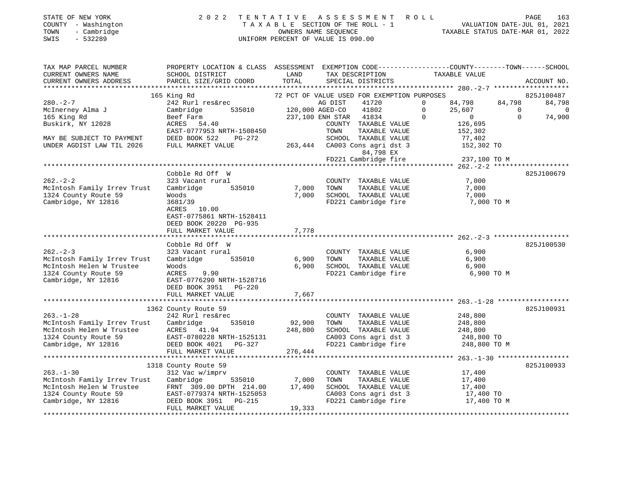| STATE OF NEW YORK   | 2022 TENTATIVE ASSESSMENT ROLL     | 163<br>PAGE                      |
|---------------------|------------------------------------|----------------------------------|
| COUNTY - Washington | TAXABLE SECTION OF THE ROLL - 1    | VALUATION DATE-JUL 01, 2021      |
| - Cambridge<br>TOWN | OWNERS NAME SEOUENCE               | TAXABLE STATUS DATE-MAR 01, 2022 |
| - 532289<br>SWIS    | UNIFORM PERCENT OF VALUE IS 090.00 |                                  |

| TAX MAP PARCEL NUMBER                            | PROPERTY LOCATION & CLASS ASSESSMENT EXEMPTION CODE----------------COUNTY--------TOWN------SCHOOL |                   |                                               |                                                      |                            |                       |
|--------------------------------------------------|---------------------------------------------------------------------------------------------------|-------------------|-----------------------------------------------|------------------------------------------------------|----------------------------|-----------------------|
| CURRENT OWNERS NAME                              | SCHOOL DISTRICT                                                                                   | LAND              | TAX DESCRIPTION                               | TAXABLE VALUE                                        |                            |                       |
| CURRENT OWNERS ADDRESS                           | PARCEL SIZE/GRID COORD                                                                            | TOTAL             | SPECIAL DISTRICTS                             |                                                      |                            | ACCOUNT NO.           |
|                                                  |                                                                                                   |                   |                                               |                                                      |                            |                       |
|                                                  | 165 King Rd                                                                                       |                   | 72 PCT OF VALUE USED FOR EXEMPTION PURPOSES   |                                                      |                            | 825J100487            |
| $280. - 2 - 7$                                   | 242 Rurl res&rec                                                                                  | $120,000$ AGED-CO | 41720<br>AG DIST                              | 84,798<br>$\Omega$                                   | 84,798                     | 84,798                |
| McInerney Alma J<br>165 King Rd                  | Cambridge<br>535010                                                                               |                   | 41802                                         | 25,607<br>$\mathbf{0}$<br>$\overline{0}$<br>$\Omega$ | $\overline{0}$<br>$\Omega$ | $\mathbf 0$<br>74,900 |
| Buskirk, NY 12028                                | Beef Farm<br>ACRES 54.40                                                                          |                   | 237,100 ENH STAR 41834                        |                                                      |                            |                       |
|                                                  | EAST-0777953 NRTH-1508450                                                                         |                   | COUNTY TAXABLE VALUE<br>TOWN<br>TAXABLE VALUE | 126,695<br>152,302                                   |                            |                       |
| MAY BE SUBJECT TO PAYMENT                        | DEED BOOK 522<br>PG-272                                                                           |                   | SCHOOL TAXABLE VALUE                          | 77,402                                               |                            |                       |
| UNDER AGDIST LAW TIL 2026                        | FULL MARKET VALUE                                                                                 |                   | 263,444 CA003 Cons agri dst 3                 |                                                      |                            |                       |
|                                                  |                                                                                                   |                   | 84,798 EX                                     | $152,302$ TO                                         |                            |                       |
|                                                  |                                                                                                   |                   | FD221 Cambridge fire                          | 237,100 TO M                                         |                            |                       |
|                                                  |                                                                                                   |                   |                                               |                                                      |                            |                       |
|                                                  | Cobble Rd Off W                                                                                   |                   |                                               |                                                      |                            | 825J100679            |
| $262 - 2 - 2$                                    | 323 Vacant rural                                                                                  |                   | COUNTY TAXABLE VALUE                          | 7,000                                                |                            |                       |
| McIntosh Family Irrev Trust                      | Cambridge<br>535010                                                                               | 7,000             | TOWN<br>TAXABLE VALUE                         | 7,000                                                |                            |                       |
| 1324 County Route 59                             | Woods                                                                                             | 7,000             |                                               | 7,000                                                |                            |                       |
| Cambridge, NY 12816                              | 3681/39                                                                                           |                   | SCHOOL TAXABLE VALUE<br>FD221 Cambridge fire  | 7,000 TO M                                           |                            |                       |
|                                                  | ACRES 10.00                                                                                       |                   |                                               |                                                      |                            |                       |
|                                                  | EAST-0775861 NRTH-1528411                                                                         |                   |                                               |                                                      |                            |                       |
|                                                  | DEED BOOK 20220 PG-935                                                                            |                   |                                               |                                                      |                            |                       |
|                                                  | FULL MARKET VALUE                                                                                 | 7,778             |                                               |                                                      |                            |                       |
|                                                  |                                                                                                   |                   |                                               |                                                      |                            |                       |
|                                                  | Cobble Rd Off W                                                                                   |                   |                                               |                                                      |                            | 825J100530            |
| $262 - 2 - 3$                                    | 323 Vacant rural                                                                                  |                   | COUNTY TAXABLE VALUE                          | 6,900                                                |                            |                       |
| McIntosh Family Irrev Trust                      | Cambridge<br>535010                                                                               | 6,900             | TOWN<br>TAXABLE VALUE                         | 6,900                                                |                            |                       |
| McIntosh Helen W Trustee                         | Woods                                                                                             | 6.900             | SCHOOL TAXABLE VALUE                          | 6,900                                                |                            |                       |
| 1324 County Route 59                             | ACRES<br>9.90                                                                                     |                   | FD221 Cambridge fire                          | 6,900 TO M                                           |                            |                       |
| Cambridge, NY 12816                              | EAST-0776290 NRTH-1528716                                                                         |                   |                                               |                                                      |                            |                       |
|                                                  | DEED BOOK 3951 PG-220                                                                             |                   |                                               |                                                      |                            |                       |
|                                                  | FULL MARKET VALUE                                                                                 | 7,667             |                                               |                                                      |                            |                       |
|                                                  |                                                                                                   |                   |                                               |                                                      |                            |                       |
|                                                  | 1362 County Route 59                                                                              |                   |                                               |                                                      |                            | 825J100931            |
| $263. - 1 - 28$                                  | 242 Rurl res&rec                                                                                  |                   | COUNTY TAXABLE VALUE                          | 248,800                                              |                            |                       |
| McIntosh Family Irrev Trust                      | 535010<br>Cambridge<br>ACRES 41.94                                                                | 92,900<br>248,800 | TAXABLE VALUE<br>TOWN<br>SCHOOL TAXABLE VALUE | 248,800                                              |                            |                       |
| McIntosh Helen W Trustee<br>1324 County Route 59 | EAST-0780228 NRTH-1525131                                                                         |                   | CA003 Cons agri dst 3                         | 248,800                                              |                            |                       |
| Cambridge, NY 12816                              | DEED BOOK 4021 PG-327                                                                             |                   | FD221 Cambridge fire                          | 248,800 TO<br>248,800 TO M                           |                            |                       |
|                                                  | FULL MARKET VALUE                                                                                 | 276,444           |                                               |                                                      |                            |                       |
|                                                  |                                                                                                   |                   |                                               |                                                      |                            |                       |
|                                                  | 1318 County Route 59                                                                              |                   |                                               |                                                      |                            | 825J100933            |
| $263. - 1 - 30$                                  | 312 Vac w/imprv                                                                                   |                   | COUNTY TAXABLE VALUE                          | 17,400                                               |                            |                       |
| McIntosh Family Irrev Trust                      | 535010<br>Cambridge                                                                               |                   | TOWN<br>TAXABLE VALUE                         | 17,400                                               |                            |                       |
| McIntosh Helen W Trustee                         | FRNT 309.00 DPTH 214.00                                                                           | 7,000<br>17,400   | SCHOOL TAXABLE VALUE                          | 17,400                                               |                            |                       |
| 1324 County Route 59                             | EAST-0779374 NRTH-1525053                                                                         |                   | CA003 Cons agri dst 3                         | 17,400 TO                                            |                            |                       |
| Cambridge, NY 12816                              | DEED BOOK 3951 PG-215                                                                             |                   | FD221 Cambridge fire                          | 17,400 TO M                                          |                            |                       |
|                                                  | FULL MARKET VALUE                                                                                 | 19,333            |                                               |                                                      |                            |                       |
|                                                  |                                                                                                   |                   |                                               |                                                      |                            |                       |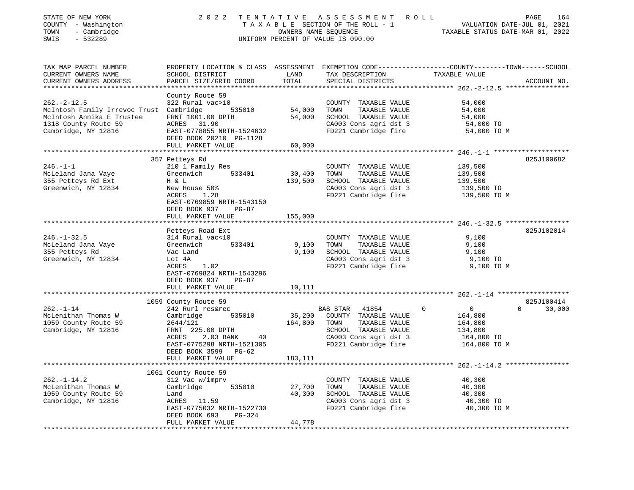| STATE OF NEW YORK<br>COUNTY - Washington<br>TOWN<br>- Cambridge<br>$-532289$<br>SWIS                                                    | 2 0 2 2                                                                                                                                                                       | OWNERS NAME SEQUENCE         | TENTATIVE ASSESSMENT ROLL<br>TAXABLE SECTION OF THE ROLL - 1<br>UNIFORM PERCENT OF VALUE IS 090.00                                          | TAXABLE STATUS DATE-MAR 01, 2022                                                           | 164<br>PAGE<br>VALUATION DATE-JUL 01, 2021 |
|-----------------------------------------------------------------------------------------------------------------------------------------|-------------------------------------------------------------------------------------------------------------------------------------------------------------------------------|------------------------------|---------------------------------------------------------------------------------------------------------------------------------------------|--------------------------------------------------------------------------------------------|--------------------------------------------|
| TAX MAP PARCEL NUMBER<br>CURRENT OWNERS NAME<br>CURRENT OWNERS ADDRESS<br>****************************                                  | PROPERTY LOCATION & CLASS ASSESSMENT EXEMPTION CODE---------------COUNTY-------TOWN------SCHOOL<br>SCHOOL DISTRICT<br>PARCEL SIZE/GRID COORD                                  | LAND<br>TOTAL                | TAX DESCRIPTION<br>SPECIAL DISTRICTS                                                                                                        | TAXABLE VALUE                                                                              | ACCOUNT NO.                                |
| $262 - 2 - 12.5$<br>McIntosh Family Irrevoc Trust Cambridge<br>McIntosh Annika E Trustee<br>1318 County Route 59<br>Cambridge, NY 12816 | County Route 59<br>322 Rural vac>10<br>535010<br>FRNT 1001.00 DPTH<br>ACRES 31.90<br>EAST-0778855 NRTH-1524632<br>DEED BOOK 20210 PG-1128<br>FULL MARKET VALUE                | 54,000<br>54,000<br>60,000   | COUNTY TAXABLE VALUE<br>TOWN<br>TAXABLE VALUE<br>SCHOOL TAXABLE VALUE<br>CA003 Cons agri dst 3<br>FD221 Cambridge fire                      | 54,000<br>54,000<br>54,000<br>54,000 TO<br>54,000 TO M                                     |                                            |
|                                                                                                                                         |                                                                                                                                                                               |                              |                                                                                                                                             |                                                                                            |                                            |
| $246. - 1 - 1$<br>McLeland Jana Vaye<br>355 Petteys Rd Ext                                                                              | 357 Petteys Rd<br>210 1 Family Res<br>Greenwich<br>533401<br>H & L                                                                                                            | 30,400<br>139,500            | COUNTY TAXABLE VALUE<br>TAXABLE VALUE<br>TOWN<br>SCHOOL TAXABLE VALUE                                                                       | 139,500<br>139,500<br>139,500                                                              | 825J100682                                 |
| Greenwich, NY 12834                                                                                                                     | New House 50%<br>ACRES<br>1.28<br>EAST-0769859 NRTH-1543150<br>DEED BOOK 937<br>PG-87                                                                                         |                              | CA003 Cons agri dst 3<br>FD221 Cambridge fire                                                                                               | 139,500 TO<br>139,500 TO M                                                                 |                                            |
|                                                                                                                                         | FULL MARKET VALUE                                                                                                                                                             | 155,000                      |                                                                                                                                             |                                                                                            |                                            |
| $246. - 1 - 32.5$                                                                                                                       | Petteys Road Ext<br>314 Rural vac<10                                                                                                                                          |                              | COUNTY TAXABLE VALUE                                                                                                                        | 9,100                                                                                      | 825J102014                                 |
| McLeland Jana Vaye<br>355 Petteys Rd<br>Greenwich, NY 12834                                                                             | 533401<br>Greenwich<br>Vac Land<br>Lot 4A<br>ACRES<br>1.02<br>EAST-0769824 NRTH-1543296                                                                                       | 9,100<br>9,100               | TAXABLE VALUE<br>TOWN<br>SCHOOL TAXABLE VALUE<br>CA003 Cons agri dst 3<br>FD221 Cambridge fire                                              | 9,100<br>9,100<br>9,100 TO<br>9,100 TO M                                                   |                                            |
|                                                                                                                                         | DEED BOOK 937<br>$PG-87$<br>FULL MARKET VALUE                                                                                                                                 | 10,111                       |                                                                                                                                             |                                                                                            |                                            |
|                                                                                                                                         | 1059 County Route 59                                                                                                                                                          |                              |                                                                                                                                             |                                                                                            | 825J100414                                 |
| $262. - 1 - 14$<br>McLenithan Thomas W<br>1059 County Route 59<br>Cambridge, NY 12816                                                   | 242 Rurl res&rec<br>535010<br>Cambridge<br>2644/121<br>FRNT 225.00 DPTH<br>ACRES<br>2.03 BANK<br>40<br>EAST-0775298 NRTH-1521305<br>DEED BOOK 3599 PG-62<br>FULL MARKET VALUE | 35,200<br>164,800<br>183,111 | BAS STAR<br>41854<br>COUNTY TAXABLE VALUE<br>TAXABLE VALUE<br>TOWN<br>SCHOOL TAXABLE VALUE<br>CA003 Cons agri dst 3<br>FD221 Cambridge fire | $\mathbf 0$<br>$\mathbf{0}$<br>164,800<br>164,800<br>134,800<br>164,800 TO<br>164,800 TO M | $\Omega$<br>30,000                         |
|                                                                                                                                         |                                                                                                                                                                               |                              |                                                                                                                                             |                                                                                            |                                            |
| $262. - 1 - 14.2$<br>McLenithan Thomas W<br>1059 County Route 59<br>Cambridge, NY 12816                                                 | 1061 County Route 59<br>312 Vac w/imprv<br>Cambridge<br>535010<br>Land<br>ACRES 11.59<br>EAST-0775032 NRTH-1522730<br>DEED BOOK 693<br>PG-324                                 | 27,700<br>40,300             | COUNTY TAXABLE VALUE<br>TOWN<br>TAXABLE VALUE<br>SCHOOL TAXABLE VALUE<br>CA003 Cons agri dst 3<br>FD221 Cambridge fire                      | 40,300<br>40,300<br>40,300<br>40,300 TO<br>40,300 TO M                                     |                                            |
|                                                                                                                                         | FULL MARKET VALUE                                                                                                                                                             | 44,778                       |                                                                                                                                             |                                                                                            |                                            |
|                                                                                                                                         |                                                                                                                                                                               |                              |                                                                                                                                             |                                                                                            |                                            |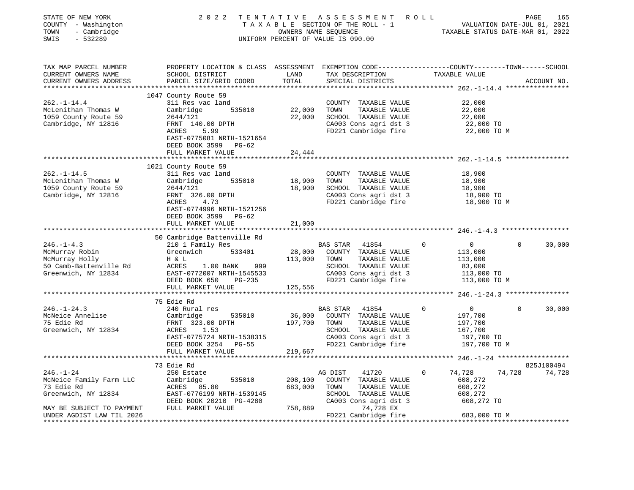| STATE OF NEW YORK<br>COUNTY - Washington<br>- Cambridge<br>TOWN<br>SWIS<br>$-532289$                         | 2 0 2 2                                                                                                                                                                                     | OWNERS NAME SEQUENCE          | TENTATIVE ASSESSMENT ROLL<br>TAXABLE SECTION OF THE ROLL - 1<br>UNIFORM PERCENT OF VALUE IS 090.00                                          | TAXABLE STATUS DATE-MAR 01, 2022                                                   | PAGE<br>VALUATION DATE-JUL 01, 2021 | 165                  |
|--------------------------------------------------------------------------------------------------------------|---------------------------------------------------------------------------------------------------------------------------------------------------------------------------------------------|-------------------------------|---------------------------------------------------------------------------------------------------------------------------------------------|------------------------------------------------------------------------------------|-------------------------------------|----------------------|
| TAX MAP PARCEL NUMBER<br>CURRENT OWNERS NAME<br>CURRENT OWNERS ADDRESS                                       | PROPERTY LOCATION & CLASS ASSESSMENT EXEMPTION CODE---------------COUNTY-------TOWN------SCHOOL<br>SCHOOL DISTRICT<br>PARCEL SIZE/GRID COORD                                                | LAND<br>TOTAL                 | TAX DESCRIPTION<br>SPECIAL DISTRICTS                                                                                                        | TAXABLE VALUE                                                                      |                                     | ACCOUNT NO.          |
| $262. - 1 - 14.4$<br>McLenithan Thomas W<br>1059 County Route 59<br>Cambridge, NY 12816                      | 1047 County Route 59<br>311 Res vac land<br>535010<br>Cambridge<br>2644/121<br>FRNT 140.00 DPTH<br>ACRES<br>5.99<br>EAST-0775081 NRTH-1521654<br>DEED BOOK 3599 PG-62<br>FULL MARKET VALUE  | 22,000<br>22,000<br>24,444    | COUNTY TAXABLE VALUE<br>TOWN<br>TAXABLE VALUE<br>SCHOOL TAXABLE VALUE<br>CA003 Cons agri dst 3<br>FD221 Cambridge fire                      | 22,000<br>22,000<br>22,000<br>22,000 TO<br>22,000 TO M                             |                                     |                      |
|                                                                                                              |                                                                                                                                                                                             |                               |                                                                                                                                             |                                                                                    |                                     |                      |
| $262. - 1 - 14.5$<br>McLenithan Thomas W<br>1059 County Route 59<br>Cambridge, NY 12816                      | 1021 County Route 59<br>311 Res vac land<br>Cambridge<br>535010<br>2644/121<br>FRNT 326.00 DPTH<br>4.73<br>ACRES<br>EAST-0774996 NRTH-1521256<br>DEED BOOK 3599 PG-62<br>FULL MARKET VALUE  | 18,900<br>18,900<br>21,000    | COUNTY TAXABLE VALUE<br>TOWN<br>TAXABLE VALUE<br>SCHOOL TAXABLE VALUE<br>CA003 Cons agri dst 3<br>FD221 Cambridge fire                      | 18,900<br>18,900<br>18,900<br>18,900 TO<br>18,900 TO M                             |                                     |                      |
|                                                                                                              |                                                                                                                                                                                             |                               |                                                                                                                                             |                                                                                    |                                     |                      |
| $246. - 1 - 4.3$<br>McMurray Robin<br>McMurray Holly<br>50 Camb-Battenville Rd<br>Greenwich, NY 12834        | 50 Cambridge Battenville Rd<br>210 1 Family Res<br>Greenwich<br>533401<br>H & L<br>ACRES<br>$1.00$ BANK<br>999<br>EAST-0772007 NRTH-1545533<br>DEED BOOK 650<br>PG-235<br>FULL MARKET VALUE | 28,000<br>113,000<br>125,556  | BAS STAR<br>41854<br>COUNTY TAXABLE VALUE<br>TOWN<br>TAXABLE VALUE<br>SCHOOL TAXABLE VALUE<br>CA003 Cons agri dst 3<br>FD221 Cambridge fire | 0<br>$\overline{0}$<br>113,000<br>113,000<br>83,000<br>113,000 TO<br>113,000 TO M  | $\Omega$                            | 30,000               |
|                                                                                                              |                                                                                                                                                                                             |                               |                                                                                                                                             |                                                                                    |                                     |                      |
| $246. - 1 - 24.3$<br>McNeice Annelise<br>75 Edie Rd<br>Greenwich, NY 12834                                   | 75 Edie Rd<br>240 Rural res<br>535010<br>Cambridge<br>FRNT 323.00 DPTH<br>1.53<br>ACRES<br>EAST-0775724 NRTH-1538315<br>DEED BOOK 3254 PG-55<br>FULL MARKET VALUE                           | 36,000<br>197,700<br>219,667  | BAS STAR<br>41854<br>COUNTY TAXABLE VALUE<br>TAXABLE VALUE<br>TOWN<br>SCHOOL TAXABLE VALUE<br>CA003 Cons agri dst 3<br>FD221 Cambridge fire | $\overline{0}$<br>0<br>197,700<br>197,700<br>167,700<br>197,700 TO<br>197,700 TO M | $\Omega$                            | 30,000               |
|                                                                                                              |                                                                                                                                                                                             |                               |                                                                                                                                             |                                                                                    |                                     |                      |
| $246. - 1 - 24$<br>McNeice Family Farm LLC<br>73 Edie Rd<br>Greenwich, NY 12834<br>MAY BE SUBJECT TO PAYMENT | 73 Edie Rd<br>250 Estate<br>535010<br>Cambridge<br>ACRES 85.80<br>EAST-0776199 NRTH-1539145<br>DEED BOOK 20210 PG-4280<br>FULL MARKET VALUE                                                 | 208,100<br>683,000<br>758,889 | AG DIST<br>41720<br>COUNTY TAXABLE VALUE<br>TOWN<br>TAXABLE VALUE<br>SCHOOL TAXABLE VALUE<br>CA003 Cons agri dst 3<br>74,728 EX             | 74,728<br>0<br>608,272<br>608,272<br>608,272<br>608,272 TO                         | 74,728                              | 825J100494<br>74,728 |
| UNDER AGDIST LAW TIL 2026                                                                                    |                                                                                                                                                                                             |                               | FD221 Cambridge fire                                                                                                                        | 683,000 TO M                                                                       |                                     |                      |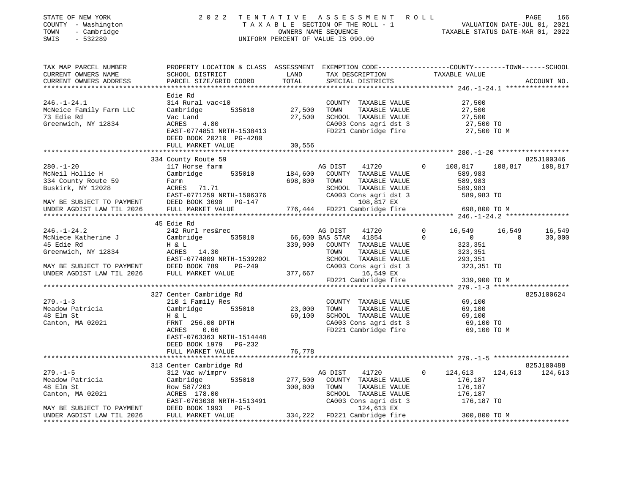| STATE OF NEW YORK                                                                   | 2022                                                                                            | TENTATIVE       | A S S E S S M E N T A O L L              |                            | PAGE<br>166                      |
|-------------------------------------------------------------------------------------|-------------------------------------------------------------------------------------------------|-----------------|------------------------------------------|----------------------------|----------------------------------|
| COUNTY - Washington                                                                 |                                                                                                 |                 | TAXABLE SECTION OF THE ROLL - 1          |                            | VALUATION DATE-JUL 01, 2021      |
| - Cambridge<br>TOWN                                                                 |                                                                                                 |                 | OWNERS NAME SEQUENCE                     |                            | TAXABLE STATUS DATE-MAR 01, 2022 |
| SWIS<br>$-532289$                                                                   |                                                                                                 |                 | UNIFORM PERCENT OF VALUE IS 090.00       |                            |                                  |
| TAX MAP PARCEL NUMBER                                                               | PROPERTY LOCATION & CLASS ASSESSMENT EXEMPTION CODE---------------COUNTY-------TOWN------SCHOOL |                 |                                          |                            |                                  |
| CURRENT OWNERS NAME                                                                 | SCHOOL DISTRICT                                                                                 | LAND            | TAX DESCRIPTION                          | TAXABLE VALUE              |                                  |
| CURRENT OWNERS ADDRESS                                                              | PARCEL SIZE/GRID COORD                                                                          | TOTAL           | SPECIAL DISTRICTS                        |                            | ACCOUNT NO.                      |
|                                                                                     |                                                                                                 |                 |                                          |                            |                                  |
|                                                                                     | Edie Rd                                                                                         |                 |                                          |                            |                                  |
| $246. - 1 - 24.1$                                                                   | 314 Rural vac<10                                                                                |                 | COUNTY TAXABLE VALUE                     | 27,500                     |                                  |
| McNeice Family Farm LLC                                                             | 535010<br>Cambridge                                                                             | 27,500          | TOWN<br>TAXABLE VALUE                    | 27,500                     |                                  |
| 73 Edie Rd                                                                          | Vac Land                                                                                        | 27,500          | SCHOOL TAXABLE VALUE                     | 27,500                     |                                  |
| Greenwich, NY 12834                                                                 | ACRES<br>4.80                                                                                   |                 | CA003 Cons agri dst 3                    | 27,500 TO                  |                                  |
|                                                                                     | EAST-0774851 NRTH-1538413                                                                       |                 | FD221 Cambridge fire                     | 27,500 TO M                |                                  |
|                                                                                     | DEED BOOK 20210 PG-4280                                                                         |                 |                                          |                            |                                  |
|                                                                                     | FULL MARKET VALUE                                                                               | 30,556          |                                          |                            |                                  |
|                                                                                     |                                                                                                 |                 |                                          |                            |                                  |
|                                                                                     | 334 County Route 59                                                                             |                 |                                          |                            | 825J100346                       |
| $280. - 1 - 20$<br>McNeil Hollie H                                                  | 117 Horse farm<br>535010<br>Cambridge                                                           | 184,600         | AG DIST<br>41720<br>COUNTY TAXABLE VALUE | 108,817<br>$\Omega$        | 108,817 108,817                  |
| 334 County Route 59                                                                 | Farm                                                                                            | 698,800         | TOWN<br>TAXABLE VALUE                    | 589,983<br>589,983         |                                  |
| Buskirk, NY 12028                                                                   | ACRES 71.71                                                                                     |                 | SCHOOL TAXABLE VALUE                     | 589,983                    |                                  |
|                                                                                     | EAST-0771259 NRTH-1506376                                                                       |                 | CA003 Cons agri dst 3                    | 589,983 TO                 |                                  |
|                                                                                     | DEED BOOK 3690 PG-147                                                                           |                 | 108,817 EX                               |                            |                                  |
| MAY BE SUBJECT TO PAYMENT<br>UNDER AGDIST LAW TIL 2026<br>UNDER AGDIST LAW TIL 2026 | FULL MARKET VALUE                                                                               |                 | 776,444 FD221 Cambridge fire             | 698,800 TO M               |                                  |
|                                                                                     |                                                                                                 |                 |                                          |                            |                                  |
|                                                                                     | 45 Edie Rd                                                                                      |                 |                                          |                            |                                  |
| $246. - 1 - 24.2$                                                                   | 242 Rurl res&rec                                                                                |                 | AG DIST<br>41720                         | 16,549<br>$\mathbf{0}$     | 16,549<br>16,549                 |
| McNiece Katherine J                                                                 | 535010<br>Cambridge                                                                             | 66,600 BAS STAR | 41854                                    | $\Omega$<br>$\overline{0}$ | 30,000<br>$\Omega$               |
| 45 Edie Rd                                                                          | H & L                                                                                           |                 | 339,900 COUNTY TAXABLE VALUE             | 323,351                    |                                  |
| Greenwich, NY 12834                                                                 | ACRES 14.30                                                                                     |                 | TOWN<br>TAXABLE VALUE                    | 323,351                    |                                  |
|                                                                                     | EAST-0774809 NRTH-1539202                                                                       |                 | SCHOOL TAXABLE VALUE                     | 293,351                    |                                  |
| MAY BE SUBJECT TO PAYMENT                                                           | DEED BOOK 789 PG-249                                                                            |                 | CA003 Cons agri dst 3                    | 323,351 TO                 |                                  |
| UNDER AGDIST LAW TIL 2026                                                           | FULL MARKET VALUE                                                                               | 377,667         | 16,549 EX                                |                            |                                  |
|                                                                                     |                                                                                                 |                 | FD221 Cambridge fire                     | 339,900 TO M               |                                  |
|                                                                                     |                                                                                                 |                 |                                          |                            |                                  |
|                                                                                     | 327 Center Cambridge Rd                                                                         |                 |                                          |                            | 825J100624                       |
| $279. - 1 - 3$                                                                      | 210 1 Family Res                                                                                |                 | COUNTY TAXABLE VALUE                     | 69,100                     |                                  |
| Meadow Patricia                                                                     | Cambridge<br>535010                                                                             | 23,000          | TOWN<br>TAXABLE VALUE                    | 69,100                     |                                  |
| 48 Elm St                                                                           | H & L                                                                                           | 69,100          | SCHOOL TAXABLE VALUE                     | 69,100                     |                                  |
| Canton, MA 02021                                                                    | FRNT 256.00 DPTH                                                                                |                 | CA003 Cons agri dst 3                    | 69,100 TO                  |                                  |
|                                                                                     | ACRES<br>0.66                                                                                   |                 | FD221 Cambridge fire                     | 69,100 TO M                |                                  |
|                                                                                     | EAST-0763363 NRTH-1514448                                                                       |                 |                                          |                            |                                  |
|                                                                                     | DEED BOOK 1979 PG-232                                                                           |                 |                                          |                            |                                  |
|                                                                                     | FULL MARKET VALUE                                                                               | 76,778          |                                          |                            |                                  |
|                                                                                     |                                                                                                 |                 |                                          |                            |                                  |
|                                                                                     | 313 Center Cambridge Rd                                                                         |                 |                                          |                            | 825J100488                       |
| $279. - 1 - 5$                                                                      | 312 Vac w/imprv                                                                                 |                 | AG DIST<br>41720                         | 124,613<br>$\mathbf{0}$    | 124,613 124,613                  |
| Meadow Patricia                                                                     | 535010<br>Cambridge                                                                             | 277,500         | COUNTY TAXABLE VALUE                     | 176,187                    |                                  |
| 48 Elm St                                                                           | Row 587/203                                                                                     | 300,800         | TOWN<br>TAXABLE VALUE                    | 176,187                    |                                  |
| Canton, MA 02021                                                                    | ACRES 178.00                                                                                    |                 | SCHOOL TAXABLE VALUE                     | 176,187                    |                                  |
|                                                                                     | EAST-0763038 NRTH-1513491<br>DEED BOOK 1993 PG-5                                                |                 | CA003 Cons agri dst 3<br>124,613 EX      | 176,187 TO                 |                                  |
|                                                                                     |                                                                                                 |                 |                                          |                            |                                  |
| MAY BE SUBJECT TO PAYMENT<br>UNDER AGDIST LAW TIL 2026                              | FULL MARKET VALUE                                                                               |                 | 334,222 FD221 Cambridge fire             | 300,800 TO M               |                                  |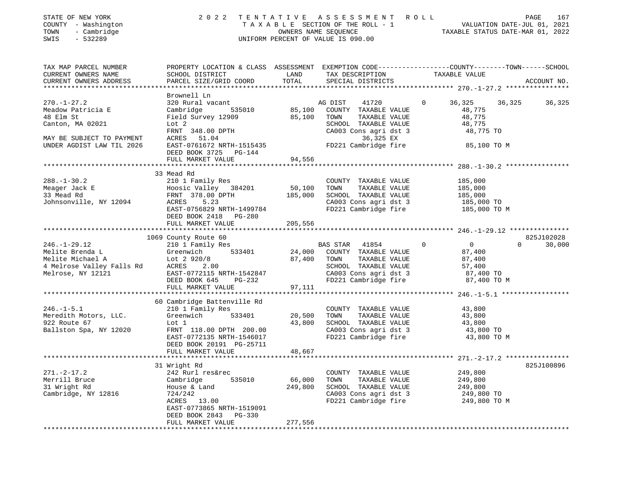| STATE OF NEW YORK<br>COUNTY - Washington<br>TOWN<br>- Cambridge<br>$-532289$<br>SWIS                                              | 2 0 2 2                                                                                                                                                                         |                              | TENTATIVE ASSESSMENT ROLL<br>TAXABLE SECTION OF THE ROLL - 1 VALUATION DATE-JUL 01, 2021<br>OWNERS NAME SEQUENCE TAXABLE STATUS DATE-MAR 01, 2022<br>UNIFORM PERCENT OF VALUE IS 090.00 |                                                                       | PAGE<br>167                                     |
|-----------------------------------------------------------------------------------------------------------------------------------|---------------------------------------------------------------------------------------------------------------------------------------------------------------------------------|------------------------------|-----------------------------------------------------------------------------------------------------------------------------------------------------------------------------------------|-----------------------------------------------------------------------|-------------------------------------------------|
| TAX MAP PARCEL NUMBER<br>CURRENT OWNERS NAME<br>CURRENT OWNERS ADDRESS<br>************************                                | PROPERTY LOCATION & CLASS ASSESSMENT EXEMPTION CODE---------------COUNTY-------TOWN------SCHOOL<br>SCHOOL DISTRICT<br>PARCEL SIZE/GRID COORD                                    | LAND<br>TOTAL                | TAX DESCRIPTION<br>SPECIAL DISTRICTS                                                                                                                                                    | TAXABLE VALUE                                                         | ACCOUNT NO.                                     |
| $270. - 1 - 27.2$<br>Meadow Patricia E<br>48 Elm St<br>Canton, MA 02021<br>MAY BE SUBJECT TO PAYMENT<br>UNDER AGDIST LAW TIL 2026 | Brownell Ln<br>320 Rural vacant<br>Cambridge<br>535010<br>Field Survey 12909<br>Lot 2<br>FRNT 348.00 DPTH<br>ACRES 51.04<br>EAST-0761672 NRTH-1515435<br>DEED BOOK 3725 PG-144  | 85,100<br>85,100             | AG DIST<br>41720<br>COUNTY TAXABLE VALUE<br>TOWN<br>TAXABLE VALUE<br>SCHOOL TAXABLE VALUE<br>CA003 Cons agri dst 3<br>36,325 EX<br>FD221 Cambridge fire                                 | $\mathbf{0}$<br>36,325<br>48,775<br>48,775<br>48,775<br>48,775 TO     | 36,325<br>36,325<br>85,100 TO M                 |
|                                                                                                                                   | FULL MARKET VALUE                                                                                                                                                               | 94,556                       |                                                                                                                                                                                         |                                                                       |                                                 |
| $288. - 1 - 30.2$<br>Meager Jack E<br>33 Mead Rd<br>Johnsonville, NY 12094                                                        | 33 Mead Rd<br>210 1 Family Res<br>Hoosic Valley 384201<br>FRNT 378.00 DPTH<br>ACRES 523<br>EAST-0756829 NRTH-1499784<br>DEED BOOK 2418 PG-280<br>FULL MARKET VALUE              | 50,100<br>185,000<br>205,556 | COUNTY TAXABLE VALUE<br>TOWN<br>TAXABLE VALUE<br>SCHOOL TAXABLE VALUE<br>CA003 Cons agri dst 3<br>FD221 Cambridge fire                                                                  | 185,000<br>185,000<br>185,000<br>185,000 TO                           | 185,000 TO M                                    |
|                                                                                                                                   |                                                                                                                                                                                 |                              |                                                                                                                                                                                         |                                                                       |                                                 |
| $246. - 1 - 29.12$                                                                                                                | 1069 County Route 60<br>210 1 Family Res<br>Greenwich 533401<br>EAST-0772115 NRTH-1542847<br>DEED BOOK 645<br>PG-232<br>FULL MARKET VALUE                                       | 24,000<br>87,400<br>97,111   | BAS STAR 41854<br>COUNTY TAXABLE VALUE<br>TAXABLE VALUE<br>TOWN<br>SCHOOL TAXABLE VALUE<br>CA003 Cons agri dst 3<br>FD221 Cambridge fire                                                | $\overline{0}$<br>$\Omega$<br>87,400<br>87,400<br>57,400<br>87,400 TO | 825J102028<br>$\Omega$<br>30,000<br>87,400 TO M |
|                                                                                                                                   | 60 Cambridge Battenville Rd                                                                                                                                                     |                              |                                                                                                                                                                                         |                                                                       |                                                 |
| 246.-1-5.1<br>Meredith Motors, LLC.<br>922 Route 67<br>Ballston Spa, NY 12020                                                     | 210 1 Family Res<br>533401<br>Greenwich<br>Lot 1<br>FRNT 118.00 DPTH 200.00<br>EAST-0772135 NRTH-1546017<br>DEED BOOK 20191 PG-25711                                            | 20,500<br>43,800             | COUNTY TAXABLE VALUE<br>TOWN<br>TAXABLE VALUE<br>SCHOOL TAXABLE VALUE<br>CA003 Cons agri dst 3<br>FD221 Cambridge fire                                                                  | 43,800<br>43,800<br>43,800<br>43,800 TO                               | 43,800 TO M                                     |
|                                                                                                                                   | FULL MARKET VALUE                                                                                                                                                               | 48,667                       |                                                                                                                                                                                         |                                                                       |                                                 |
| $271. - 2 - 17.2$<br>Merrill Bruce<br>31 Wright Rd<br>Cambridge, NY 12816                                                         | 31 Wright Rd<br>242 Rurl res&rec<br>535010<br>Cambridge<br>House & Land<br>724/242<br>ACRES 13.00<br>EAST-0773865 NRTH-1519091<br>DEED BOOK 2843<br>PG-330<br>FULL MARKET VALUE | 66,000<br>249,800<br>277,556 | COUNTY TAXABLE VALUE<br>TOWN<br>TAXABLE VALUE<br>SCHOOL TAXABLE VALUE<br>CA003 Cons agri dst 3<br>FD221 Cambridge fire                                                                  | 249,800<br>249,800<br>249,800<br>249,800 TO<br>249,800 TO M           | 825J100896                                      |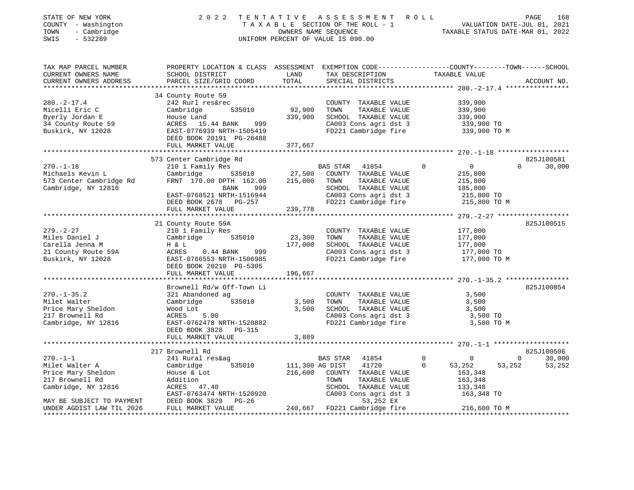| STATE OF NEW YORK<br>COUNTY - Washington<br>TOWN<br>- Cambridge<br>SWIS<br>$-532289$                        | 2 0 2 2                                                                                                                                                                                 |                                  | TENTATIVE ASSESSMENT ROLL<br>UNIFORM PERCENT OF VALUE IS 090.00                                                                                    | T A X A B L E SECTION OF THE ROLL - 1<br>T A X A B L E SECTION OF THE ROLL - 1<br>OWNERS NAME SEQUENCE CALL TAXABLE STATUS DATE-MAR 01, 2022 | PAGE<br>168                                      |
|-------------------------------------------------------------------------------------------------------------|-----------------------------------------------------------------------------------------------------------------------------------------------------------------------------------------|----------------------------------|----------------------------------------------------------------------------------------------------------------------------------------------------|----------------------------------------------------------------------------------------------------------------------------------------------|--------------------------------------------------|
| TAX MAP PARCEL NUMBER<br>CURRENT OWNERS NAME<br>CURRENT OWNERS ADDRESS                                      | PROPERTY LOCATION & CLASS ASSESSMENT EXEMPTION CODE----------------COUNTY-------TOWN------SCHOOL<br>SCHOOL DISTRICT<br>PARCEL SIZE/GRID COORD                                           | LAND<br>TOTAL                    | TAX DESCRIPTION TAXABLE VALUE<br>SPECIAL DISTRICTS                                                                                                 |                                                                                                                                              | ACCOUNT NO.                                      |
| $280. -2 - 17.4$<br>Micelli Eric C<br>Byerly Jordan E<br>34 County Route 59<br>Buskirk, NY 12028            | 34 County Route 59<br>242 Rurl res&rec<br>535010<br>Cambridge<br>House Land<br>ACRES 15.44 BANK<br>EAST-0776939 NRTH-1505419<br>DEED BOOK 20191 PG-26488                                | 92,900<br>339,900<br>999<br>5419 | COUNTY TAXABLE VALUE<br>TOWN<br>TAXABLE VALUE<br>SCHOOL TAXABLE VALUE<br>CA003 Cons agri dst 3<br>FD221 Cambridge fire                             | 339,900<br>339,900<br>339,900<br>339,900 TO<br>339,900 TO M                                                                                  |                                                  |
|                                                                                                             | FULL MARKET VALUE                                                                                                                                                                       | 377,667                          |                                                                                                                                                    |                                                                                                                                              |                                                  |
| $270. - 1 - 18$<br>Michaels Kevin L<br>573 Center Cambridge Rd<br>Cambridge, NY 12816                       | 573 Center Cambridge Rd<br>210 1 Family Res<br>535010<br>Cambridge<br>FRNT 170.00 DPTH 162.00<br>BANK<br>999<br>EAST-0768521 NRTH-1516944<br>DEED BOOK 2678 PG-257<br>FULL MARKET VALUE | 215,800<br>239,778               | 41854<br>BAS STAR<br>27,500 COUNTY TAXABLE VALUE<br>TAXABLE VALUE<br>TOWN<br>SCHOOL TAXABLE VALUE<br>CA003 Cons agri dst 3<br>FD221 Cambridge fire | $\overline{0}$<br>$\overline{0}$<br>215,800<br>215,800<br>185,800<br>215,800 TO<br>215,800 TO M                                              | 825J100581<br>$\Omega$<br>30,000                 |
| $279. - 2 - 27$<br>Miles Daniel J<br>Carella Jenna M<br>21 County Route 59A<br>Buskirk, NY 12028            | 21 County Route 59A<br>210 1 Family Res<br>Cambridge 535010<br>H & L<br>ACRES 0.44 BANK<br>EAST-0766553 NRTH-1506985<br>DEED BOOK 20210 PG-5305                                         | 23,300<br>177,000<br>999         | COUNTY TAXABLE VALUE<br>TOWN<br>TAXABLE VALUE<br>SCHOOL TAXABLE VALUE<br>CA003 Cons agri dst 3<br>FD221 Cambridge fire                             | 177,000<br>177,000<br>177,000<br>177,000 TO<br>177,000 TO M                                                                                  | 825J100515                                       |
|                                                                                                             | FULL MARKET VALUE                                                                                                                                                                       | 196,667                          |                                                                                                                                                    |                                                                                                                                              |                                                  |
| $270. - 1 - 35.2$<br>Milet Walter<br>Price Mary Sheldon<br>217 Brownell Rd<br>Cambridge, NY 12816           | Brownell Rd/w Off-Town Li<br>321 Abandoned ag<br>535010<br>Cambridge<br>Wood Lot<br>ACRES<br>5.00<br>EAST-0762478 NRTH-1520882<br>DEED BOOK 3828 PG-315<br>FULL MARKET VALUE            | 3,500<br>3,500<br>3,889          | COUNTY TAXABLE VALUE<br>TAXABLE VALUE<br>TOWN<br>SCHOOL TAXABLE VALUE<br>CA003 Cons agri dst 3<br>FD221 Cambridge fire                             | 3,500<br>3,500<br>3,500<br>3,500 TO<br>3,500 TO M                                                                                            | 825J100854                                       |
| $270. - 1 - 1$<br>Milet Walter A<br>Price Mary Sheldon<br>217 Brownell Rd                                   | 217 Brownell Rd<br>241 Rural res&ag<br>535010<br>Cambridge<br>House & Lot<br>Addition                                                                                                   | 111,300 AG DIST<br>216,600       | BAS STAR<br>41854<br>41720<br>COUNTY TAXABLE VALUE<br>TOWN<br>TAXABLE VALUE                                                                        | $\overline{0}$<br>$\mathbf{0}$<br>$\mathbf 0$<br>53,252<br>53,252<br>163,348<br>163,348                                                      | 825J100506<br>$\overline{0}$<br>30,000<br>53,252 |
| Cambridge, NY 12816<br>MAY BE SUBJECT TO PAYMENT<br>UNDER AGDIST LAW TIL 2026<br>************************** | ACRES 47.40<br>EAST-0763474 NRTH-1520920<br>DEED BOOK 3829 PG-26<br>FULL MARKET VALUE                                                                                                   |                                  | SCHOOL TAXABLE VALUE<br>CA003 Cons agri dst 3<br>53,252 EX<br>240,667 FD221 Cambridge fire                                                         | 133,348<br>163,348 TO<br>216,600 TO M                                                                                                        |                                                  |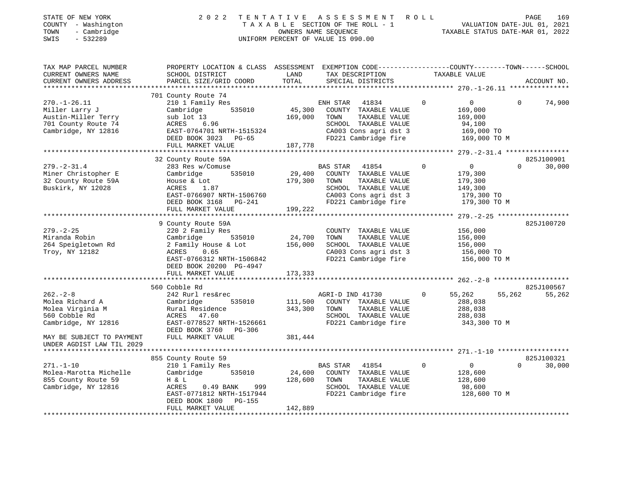| STATE OF NEW YORK<br>- Washington<br>COUNTY<br>- Cambridge<br>TOWN<br>SWIS<br>$-532289$                   |                                                                                                                                                                       |                         | 2022 TENTATIVE ASSESSMENT<br>TAXABLE SECTION OF THE ROLL - 1<br>OWNERS NAME SEOUENCE<br>UNIFORM PERCENT OF VALUE IS 090.00                        | R O L L<br>VALUATION DATE-JUL 01, 2021<br>TAXABLE STATUS DATE-MAR 01, 2022 |                          | 169<br>PAGE |
|-----------------------------------------------------------------------------------------------------------|-----------------------------------------------------------------------------------------------------------------------------------------------------------------------|-------------------------|---------------------------------------------------------------------------------------------------------------------------------------------------|----------------------------------------------------------------------------|--------------------------|-------------|
| TAX MAP PARCEL NUMBER<br>CURRENT OWNERS NAME<br>CURRENT OWNERS ADDRESS                                    | PROPERTY LOCATION & CLASS ASSESSMENT EXEMPTION CODE---------------COUNTY-------TOWN------SCHOOL<br>SCHOOL DISTRICT<br>PARCEL SIZE/GRID COORD                          | LAND                    | TAX DESCRIPTION<br>TOTAL SPECIAL DISTRICTS                                                                                                        | TAXABLE VALUE                                                              |                          | ACCOUNT NO. |
|                                                                                                           |                                                                                                                                                                       |                         |                                                                                                                                                   |                                                                            |                          |             |
| $270. - 1 - 26.11$<br>Miller Larry J<br>Austin-Miller Terry<br>701 County Route 74<br>Cambridge, NY 12816 | 701 County Route 74<br>210 1 Family Res<br>Cambridge<br>sub lot 13<br>ACRES 6.96<br>EAST-0764701 NRTH-1515324<br>DEED BOOK 3023 PG-65<br>FULL MARKET VALUE            | 169,000 TOWN<br>187,778 | ENH STAR<br>41834<br>535010 45,300 COUNTY TAXABLE VALUE<br>TAXABLE VALUE<br>SCHOOL TAXABLE VALUE<br>CA003 Cons agri dst 3<br>FD221 Cambridge fire | $\circ$<br>$\Omega$<br>169,000<br>169,000<br>94,100<br>169,000 TO          | $\Omega$<br>169,000 TO M | 74,900      |
|                                                                                                           |                                                                                                                                                                       |                         |                                                                                                                                                   |                                                                            |                          |             |
|                                                                                                           | 32 County Route 59A                                                                                                                                                   |                         |                                                                                                                                                   |                                                                            |                          | 825J100901  |
| $279. - 2 - 31.4$<br>Miner Christopher E<br>32 County Route 59A<br>Buskirk, NY 12028                      | 283 Res w/Comuse<br>535010<br>Cambridge<br>House & Lot<br>1.87<br>ACRES<br>EAST-0766907 NRTH-1506760<br>DEED BOOK 3168 PG-241<br>FULL MARKET VALUE                    | 179,300 TOWN<br>199,222 | <b>BAS STAR</b><br>41854<br>29,400 COUNTY TAXABLE VALUE<br>TAXABLE VALUE<br>SCHOOL TAXABLE VALUE<br>CA003 Cons agri dst 3<br>FD221 Cambridge fire | $\Omega$<br>$\Omega$<br>179,300<br>179,300<br>149,300<br>179,300 TO        | $\Omega$<br>179,300 TO M | 30,000      |
|                                                                                                           |                                                                                                                                                                       |                         |                                                                                                                                                   |                                                                            |                          |             |
| $279. - 2 - 25$<br>Miranda Robin<br>264 Speigletown Rd<br>Troy, NY 12182                                  | 9 County Route 59A<br>220 2 Family Res<br>535010<br>Cambridge<br>2 Family House & Lot<br><b>ACRES</b><br>0.65<br>EAST-0766312 NRTH-1506842<br>DEED BOOK 20200 PG-4947 | 24,700<br>156,000       | COUNTY TAXABLE VALUE<br>TAXABLE VALUE<br>TOWN<br>SCHOOL TAXABLE VALUE<br>CA003 Cons agri dst 3<br>FD221 Cambridge fire                            | 156,000<br>156,000<br>156,000<br>156,000 TO                                | 156,000 TO M             | 825J100720  |
|                                                                                                           | FULL MARKET VALUE                                                                                                                                                     | 173,333                 |                                                                                                                                                   |                                                                            |                          |             |

|                           | 560 Cobble Rd               |         |                  |                      |              |              |        | 825J100567 |
|---------------------------|-----------------------------|---------|------------------|----------------------|--------------|--------------|--------|------------|
| $262 - 2 - 8$             | 242 Rurl res&rec            |         | AGRI-D IND 41730 |                      | $\mathbf{0}$ | 55,262       | 55,262 | 55,262     |
| Molea Richard A           | Cambridge<br>535010         | 111,500 | COUNTY           | TAXABLE VALUE        |              | 288,038      |        |            |
| Molea Virginia M          | Rural Residence             | 343,300 | TOWN             | TAXABLE VALUE        |              | 288,038      |        |            |
| 560 Cobble Rd             | ACRES 47.60                 |         | SCHOOL           | TAXABLE VALUE        |              | 288,038      |        |            |
| Cambridge, NY 12816       | EAST-0778527 NRTH-1526661   |         |                  | FD221 Cambridge fire |              | 343,300 TO M |        |            |
|                           | DEED BOOK 3760<br>PG-306    |         |                  |                      |              |              |        |            |
| MAY BE SUBJECT TO PAYMENT | FULL MARKET VALUE           | 381,444 |                  |                      |              |              |        |            |
| UNDER AGDIST LAW TIL 2029 |                             |         |                  |                      |              |              |        |            |
|                           |                             |         |                  |                      |              |              |        |            |
|                           | 855 County Route 59         |         |                  |                      |              |              |        | 825J100321 |
| 271.-1-10                 | 210 1 Family Res            |         | BAS STAR         | 41854                | 0            |              | 0      | 30,000     |
| Molea-Marotta Michelle    | Cambridge<br>535010         | 24,600  | COUNTY           | TAXABLE VALUE        |              | 128,600      |        |            |
| 855 County Route 59       | H & L                       | 128,600 | TOWN             | TAXABLE VALUE        |              | 128,600      |        |            |
| Cambridge, NY 12816       | 999<br>$0.49$ BANK<br>ACRES |         | SCHOOL           | TAXABLE VALUE        |              | 98,600       |        |            |
|                           | EAST-0771812 NRTH-1517944   |         |                  | FD221 Cambridge fire |              | 128,600 TO M |        |            |
|                           | DEED BOOK 1800<br>PG-155    |         |                  |                      |              |              |        |            |
|                           | FULL MARKET VALUE           | 142,889 |                  |                      |              |              |        |            |
|                           |                             |         |                  |                      |              |              |        |            |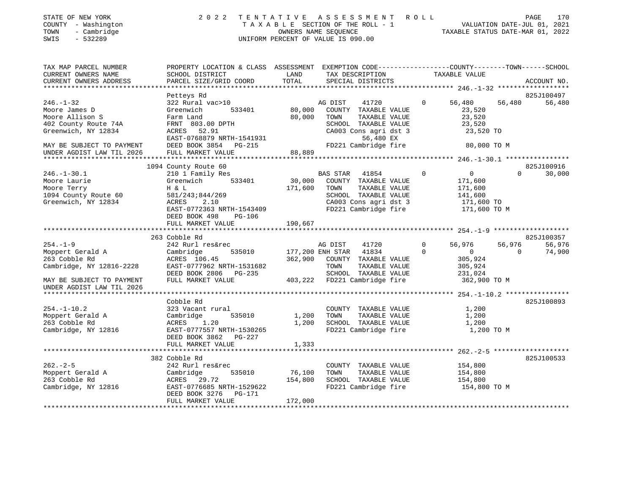| STATE OF NEW YORK<br>COUNTY - Washington<br>- Cambridge<br>TOWN<br>$-532289$<br>SWIS | 2 0 2 2                                                                                                            |         | TENTATIVE ASSESSMENT ROLL<br>UNIFORM PERCENT OF VALUE IS 090.00 |               |                                   | PAGE<br>170<br>T A X A B L E SECTION OF THE ROLL - 1<br>OWNERS NAME SEQUENCE<br>TAXABLE STATUS DATE-JUL 01, 2021<br>TAXABLE STATUS DATE-MAR 01, 2022 |
|--------------------------------------------------------------------------------------|--------------------------------------------------------------------------------------------------------------------|---------|-----------------------------------------------------------------|---------------|-----------------------------------|------------------------------------------------------------------------------------------------------------------------------------------------------|
| TAX MAP PARCEL NUMBER<br>CURRENT OWNERS NAME                                         | PROPERTY LOCATION & CLASS ASSESSMENT EXEMPTION CODE----------------COUNTY-------TOWN-----SCHOOL<br>SCHOOL DISTRICT | LAND    | TAX DESCRIPTION                                                 |               | TAXABLE VALUE                     |                                                                                                                                                      |
| CURRENT OWNERS ADDRESS                                                               | PARCEL SIZE/GRID COORD                                                                                             | TOTAL   | SPECIAL DISTRICTS                                               |               |                                   | ACCOUNT NO.                                                                                                                                          |
|                                                                                      | Petteys Rd                                                                                                         |         |                                                                 |               |                                   | 825J100497                                                                                                                                           |
| $246. - 1 - 32$                                                                      | 322 Rural vac>10                                                                                                   |         | AG DIST<br>41720                                                | $\Omega$      | 56,480                            | 56,480<br>56,480                                                                                                                                     |
| Moore James D                                                                        | 533401<br>Greenwich                                                                                                | 80,000  | COUNTY TAXABLE VALUE                                            |               | 23,520                            |                                                                                                                                                      |
| Moore Allison S                                                                      | Farm Land                                                                                                          | 80,000  | TOWN                                                            | TAXABLE VALUE | 23,520                            |                                                                                                                                                      |
| 402 County Route 74A                                                                 | FRNT 803.00 DPTH                                                                                                   |         | SCHOOL TAXABLE VALUE                                            |               | 23,520                            |                                                                                                                                                      |
| Greenwich, NY 12834                                                                  | ACRES 52.91                                                                                                        |         | CA003 Cons agri dst 3                                           |               | 23,520 TO                         |                                                                                                                                                      |
|                                                                                      | EAST-0768879 NRTH-1541931                                                                                          |         | 56,480 EX                                                       |               |                                   |                                                                                                                                                      |
| MAY BE SUBJECT TO PAYMENT                                                            | DEED BOOK 3854 PG-215                                                                                              |         | FD221 Cambridge fire                                            |               | 80,000 TO M                       |                                                                                                                                                      |
| UNDER AGDIST LAW TIL 2026                                                            | FULL MARKET VALUE                                                                                                  | 88,889  |                                                                 |               |                                   |                                                                                                                                                      |
|                                                                                      |                                                                                                                    |         |                                                                 |               |                                   |                                                                                                                                                      |
|                                                                                      | 1094 County Route 60                                                                                               |         |                                                                 |               |                                   | 825J100916                                                                                                                                           |
| $246. - 1 - 30.1$                                                                    | 210 1 Family Res                                                                                                   |         | BAS STAR 41854                                                  | $\Omega$      | $\overline{0}$                    | $\Omega$<br>30,000                                                                                                                                   |
| Moore Laurie                                                                         | Greenwich 533401                                                                                                   | 30,000  | COUNTY TAXABLE VALUE                                            |               | 171,600                           |                                                                                                                                                      |
| Moore Terry                                                                          | H & L                                                                                                              | 171,600 | TOWN                                                            | TAXABLE VALUE | 171,600                           |                                                                                                                                                      |
| 1094 County Route 60                                                                 | 581/243;844/269                                                                                                    |         | SCHOOL TAXABLE VALUE                                            |               | 141,600                           |                                                                                                                                                      |
| Greenwich, NY 12834                                                                  | ACRES<br>2.10                                                                                                      |         | CA003 Cons agri dst 3                                           |               | 171,600 TO                        |                                                                                                                                                      |
|                                                                                      | EAST-0772363 NRTH-1543409                                                                                          |         |                                                                 |               | FD221 Cambridge fire 171,600 TO M |                                                                                                                                                      |
|                                                                                      | DEED BOOK 498<br>PG-106                                                                                            |         |                                                                 |               |                                   |                                                                                                                                                      |
|                                                                                      | FULL MARKET VALUE                                                                                                  | 190,667 |                                                                 |               |                                   |                                                                                                                                                      |
|                                                                                      |                                                                                                                    |         |                                                                 |               |                                   |                                                                                                                                                      |
|                                                                                      | 263 Cobble Rd                                                                                                      |         |                                                                 |               |                                   | 825J100357                                                                                                                                           |
| $254. - 1 - 9$                                                                       | 242 Rurl res&rec                                                                                                   |         | AG DIST<br>41720                                                | $\Omega$      | 56,976                            | 56,976<br>56,976                                                                                                                                     |
| Moppert Gerald A                                                                     | Cambridge<br>535010                                                                                                |         | 177,200 ENH STAR 41834                                          | $\Omega$      | $\overline{0}$                    | $\Omega$<br>74,900                                                                                                                                   |
| 263 Cobble Rd                                                                        | ACRES 106.45                                                                                                       | 362,900 | COUNTY TAXABLE VALUE                                            |               | 305,924                           |                                                                                                                                                      |
| Cambridge, NY 12816-2228                                                             | EAST-0777962 NRTH-1531682                                                                                          |         | TOWN                                                            | TAXABLE VALUE | 305,924                           |                                                                                                                                                      |
|                                                                                      | DEED BOOK 2806 PG-235                                                                                              |         | SCHOOL TAXABLE VALUE                                            |               | 231,024                           |                                                                                                                                                      |
| MAY BE SUBJECT TO PAYMENT                                                            | FULL MARKET VALUE                                                                                                  |         | 403,222 FD221 Cambridge fire                                    |               | 362,900 TO M                      |                                                                                                                                                      |
| UNDER AGDIST LAW TIL 2026<br>**************************                              |                                                                                                                    |         |                                                                 |               |                                   |                                                                                                                                                      |
|                                                                                      |                                                                                                                    |         |                                                                 |               |                                   |                                                                                                                                                      |
|                                                                                      | Cobble Rd                                                                                                          |         |                                                                 |               |                                   | 825J100893                                                                                                                                           |
| $254. - 1 - 10.2$                                                                    | 323 Vacant rural                                                                                                   |         | COUNTY TAXABLE VALUE                                            |               | 1,200                             |                                                                                                                                                      |
| Moppert Gerald A                                                                     | 535010<br>Cambridge                                                                                                | 1,200   | TOWN                                                            | TAXABLE VALUE | 1,200                             |                                                                                                                                                      |
| 263 Cobble Rd                                                                        | ACRES<br>1.20                                                                                                      | 1,200   | SCHOOL TAXABLE VALUE                                            |               | 1,200                             |                                                                                                                                                      |
| Cambridge, NY 12816                                                                  | EAST-0777557 NRTH-1530265<br>DEED BOOK 3862 PG-227                                                                 |         | FD221 Cambridge fire                                            |               | 1,200 TO M                        |                                                                                                                                                      |
|                                                                                      | FULL MARKET VALUE                                                                                                  | 1,333   |                                                                 |               |                                   |                                                                                                                                                      |
|                                                                                      |                                                                                                                    |         |                                                                 |               |                                   |                                                                                                                                                      |
|                                                                                      | 382 Cobble Rd                                                                                                      |         |                                                                 |               |                                   | 825J100533                                                                                                                                           |
| $262 - 2 - 5$                                                                        | 242 Rurl res&rec                                                                                                   |         | COUNTY TAXABLE VALUE                                            |               | 154,800                           |                                                                                                                                                      |
| Moppert Gerald A                                                                     | 535010<br>Cambridge                                                                                                | 76,100  | TOWN                                                            | TAXABLE VALUE | 154,800                           |                                                                                                                                                      |
| 263 Cobble Rd                                                                        | ACRES<br>29.72                                                                                                     | 154,800 | SCHOOL TAXABLE VALUE                                            |               | 154,800                           |                                                                                                                                                      |
| Cambridge, NY 12816                                                                  | EAST-0776685 NRTH-1529622<br>DEED BOOK 3276<br>PG-171                                                              |         | FD221 Cambridge fire                                            |               | 154,800 TO M                      |                                                                                                                                                      |
|                                                                                      | FULL MARKET VALUE                                                                                                  | 172,000 |                                                                 |               |                                   |                                                                                                                                                      |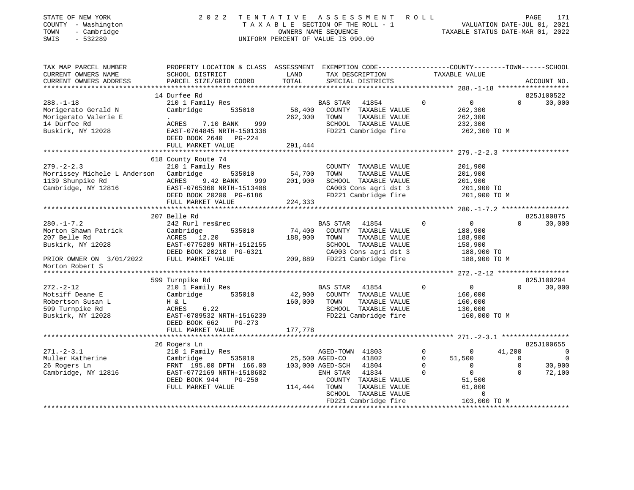| STATE OF NEW YORK |                          |              |
|-------------------|--------------------------|--------------|
| <b>COUNTY</b>     |                          | - Washington |
| TOWN              | $\overline{\phantom{0}}$ | Cambridge    |

## STATE OF NEW YORK 2 0 2 2 T E N T A T I V E A S S E S S M E N T R O L L PAGE 171 COUNTY - Washington T A X A B L E SECTION OF THE ROLL - 1 VALUATION DATE-JUL 01, 2021 TOWN - Cambridge OWNERS NAME SEQUENCE TAXABLE STATUS DATE-MAR 01, 2022 SWIS - 532289 UNIFORM PERCENT OF VALUE IS 090.00

| TAX MAP PARCEL NUMBER<br>CURRENT OWNERS NAME<br>CURRENT OWNERS ADDRESS                                                      | PROPERTY LOCATION & CLASS ASSESSMENT EXEMPTION CODE----------------COUNTY-------TOWN-----SCHOOL<br>SCHOOL DISTRICT<br>PARCEL SIZE/GRID COORD                                                    | LAND<br>TOTAL                | TAX DESCRIPTION<br>SPECIAL DISTRICTS                                                                                                                                                       | TAXABLE VALUE                                                                                                                                             | ACCOUNT NO.                                                                                                  |
|-----------------------------------------------------------------------------------------------------------------------------|-------------------------------------------------------------------------------------------------------------------------------------------------------------------------------------------------|------------------------------|--------------------------------------------------------------------------------------------------------------------------------------------------------------------------------------------|-----------------------------------------------------------------------------------------------------------------------------------------------------------|--------------------------------------------------------------------------------------------------------------|
| $288. - 1 - 18$<br>Morigerato Gerald N<br>Morigerato Valerie E<br>14 Durfee Rd<br>Buskirk, NY 12028                         | 14 Durfee Rd<br>210 1 Family Res<br>Cambridge<br>535010<br>$\bullet$ .<br>999<br>ACRES<br>7.10 BANK<br>EAST-0764845 NRTH-1501338<br>DEED BOOK 2640 PG-224<br>FULL MARKET VALUE                  | 58,400<br>262,300<br>291,444 | <b>BAS STAR</b><br>41854<br>COUNTY TAXABLE VALUE<br>TOWN<br>TAXABLE VALUE<br>SCHOOL TAXABLE VALUE<br>FD221 Cambridge fire                                                                  | $\mathbf 0$<br>$0 \qquad \qquad$<br>262,300<br>262,300<br>232,300<br>262,300 TO M                                                                         | 825J100522<br>30,000<br>$\Omega$                                                                             |
| $279. - 2 - 2.3$<br>Morrissey Michele L Anderson Cambridge<br>1139 Shunpike Rd<br>Cambridge, NY 12816                       | 618 County Route 74<br>210 1 Family Res<br>535010<br>ACRES<br>9.42 BANK<br>999<br>EAST-0765360 NRTH-1513408<br>DEED BOOK 20200 PG-6186<br>FULL MARKET VALUE                                     | 54,700<br>201,900<br>224,333 | COUNTY TAXABLE VALUE<br>TOWN<br>TAXABLE VALUE<br>SCHOOL TAXABLE VALUE<br>CA003 Cons agri dst 3<br>FD221 Cambridge fire                                                                     | 201,900<br>201,900<br>201,900<br>201,900 TO<br>201,900 TO M                                                                                               |                                                                                                              |
| $280. -1 - 7.2$<br>Morton Shawn Patrick<br>207 Belle Rd<br>Buskirk, NY 12028<br>PRIOR OWNER ON 3/01/2022<br>Morton Robert S | 207 Belle Rd<br>242 Rurl res&rec<br>Cambridge<br>535010<br>ACRES 12.20<br>EAST-0775289 NRTH-1512155<br>DEED BOOK 20210 PG-6321<br>FULL MARKET VALUE                                             | 74,400<br>188,900            | BAS STAR 41854<br>COUNTY TAXABLE VALUE<br>TOWN<br>TAXABLE VALUE<br>SCHOOL TAXABLE VALUE<br>CA003 Cons agri dst 3<br>209,889 FD221 Cambridge fire                                           | $\mathbf 0$<br>$\overline{0}$<br>188,900<br>188,900<br>158,900<br>188,900 TO<br>188,900 TO M                                                              | 825J100875<br>30,000<br>$\Omega$                                                                             |
| $272. - 2 - 12$<br>Motsiff Deane E<br>Robertson Susan L<br>599 Turnpike Rd<br>Buskirk, NY 12028                             | 599 Turnpike Rd<br>210 1 Family Res<br>535010<br>Cambridge<br>H & L<br>6.22<br>ACRES<br>EAST-0789532 NRTH-1516239<br>DEED BOOK 662<br>PG-273<br>FULL MARKET VALUE                               | 160,000<br>177,778           | <b>BAS STAR</b><br>41854<br>42,900 COUNTY TAXABLE VALUE<br>TOWN<br>TAXABLE VALUE<br>SCHOOL TAXABLE VALUE<br>FD221 Cambridge fire                                                           | $\overline{0}$<br>$\Omega$<br>160,000<br>160,000<br>130,000<br>160,000 TO M                                                                               | 825J100294<br>$\Omega$<br>30,000                                                                             |
| $271. - 2 - 3.1$<br>Muller Katherine<br>26 Rogers Ln<br>Cambridge, NY 12816                                                 | ****************************<br>26 Rogers Ln<br>210 1 Family Res<br>535010<br>Cambridge<br>FRNT 195.00 DPTH 166.00<br>EAST-0772169 NRTH-1518682<br>PG-250<br>DEED BOOK 944<br>FULL MARKET VALUE | 114,444                      | AGED-TOWN 41803<br>25,500 AGED-CO<br>41802<br>103,000 AGED-SCH 41804<br>41834<br>ENH STAR<br>COUNTY TAXABLE VALUE<br>TOWN<br>TAXABLE VALUE<br>SCHOOL TAXABLE VALUE<br>FD221 Cambridge fire | $\mathbf 0$<br>$\Omega$<br>$\mathbf 0$<br>51,500<br>$\Omega$<br>$\overline{0}$<br>$\Omega$<br>$\Omega$<br>51,500<br>61,800<br>$\mathbf 0$<br>103,000 TO M | 825J100655<br>41,200<br>$\overline{0}$<br>$\mathbf 0$<br>0<br>30,900<br>$\overline{0}$<br>$\Omega$<br>72,100 |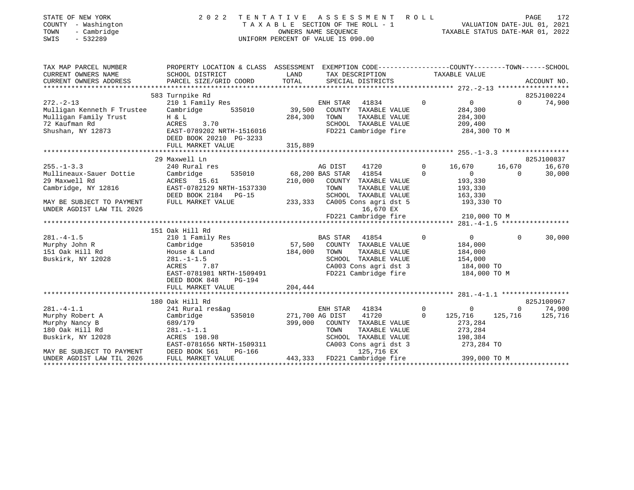| STATE OF NEW YORK<br>COUNTY - Washington<br>- Cambridge<br>TOWN<br>$-532289$<br>SWIS                                                          | 2 0 2 2                                                                                                                                                                   |                              | TENTATIVE ASSESSMENT ROLL<br>UNIFORM PERCENT OF VALUE IS 090.00                                                                                                                                  |                            |                                                                                         |                           | PAGE<br>172                     |
|-----------------------------------------------------------------------------------------------------------------------------------------------|---------------------------------------------------------------------------------------------------------------------------------------------------------------------------|------------------------------|--------------------------------------------------------------------------------------------------------------------------------------------------------------------------------------------------|----------------------------|-----------------------------------------------------------------------------------------|---------------------------|---------------------------------|
| TAX MAP PARCEL NUMBER<br>CURRENT OWNERS NAME<br>CURRENT OWNERS ADDRESS                                                                        | PROPERTY LOCATION & CLASS ASSESSMENT EXEMPTION CODE---------------COUNTY-------TOWN-----SCHOOL<br>SCHOOL DISTRICT<br>PARCEL SIZE/GRID COORD                               | LAND<br>TOTAL                | TAX DESCRIPTION<br>SPECIAL DISTRICTS                                                                                                                                                             |                            | TAXABLE VALUE                                                                           |                           | ACCOUNT NO.                     |
| $272. - 2 - 13$<br>Mulligan Kenneth F Trustee<br>Mulligan Family Trust<br>72 Kaufman Rd<br>Shushan, NY 12873                                  | 583 Turnpike Rd<br>210 1 Family Res<br>Cambridge<br>535010<br>$H$ & $L$<br>ACRES<br>3.70<br>EAST-0789202 NRTH-1516016<br>DEED BOOK 20210 PG-3233<br>FULL MARKET VALUE     | 39,500<br>284,300<br>315,889 | ENH STAR 41834<br>COUNTY TAXABLE VALUE<br>TOWN<br>TAXABLE VALUE<br>SCHOOL TAXABLE VALUE<br>FD221 Cambridge fire                                                                                  | $\Omega$                   | $\overline{0}$<br>284,300<br>284,300<br>209,400<br>284,300 TO M                         | $\Omega$                  | 825J100224<br>74,900            |
|                                                                                                                                               |                                                                                                                                                                           |                              |                                                                                                                                                                                                  |                            |                                                                                         |                           |                                 |
| $255. - 1 - 3.3$<br>Mullineaux-Sauer Dottie<br>29 Maxwell Rd<br>Cambridge, NY 12816<br>MAY BE SUBJECT TO PAYMENT<br>UNDER AGDIST LAW TIL 2026 | 29 Maxwell Ln<br>240 Rural res<br>Cambridge<br>535010<br>ACRES 15.61<br>EAST-0782129 NRTH-1537330<br>DEED BOOK 2184 PG-15<br>FULL MARKET VALUE                            |                              | AG DIST<br>41720<br>68,200 BAS STAR 41854<br>210,000 COUNTY TAXABLE VALUE<br>TOWN<br>TAXABLE VALUE<br>SCHOOL TAXABLE VALUE<br>233,333 CA005 Cons agri dst 5<br>16,670 EX<br>FD221 Cambridge fire | $\mathbf 0$<br>$\Omega$    | 16,670<br>$\overline{0}$<br>193,330<br>193,330<br>163,330<br>193,330 TO<br>210,000 TO M | 16,670<br>$\Omega$        | 825J100837<br>16,670<br>30,000  |
|                                                                                                                                               | 151 Oak Hill Rd                                                                                                                                                           |                              |                                                                                                                                                                                                  |                            |                                                                                         |                           |                                 |
| $281. - 4 - 1.5$<br>Murphy John R<br>151 Oak Hill Rd<br>Buskirk, NY 12028                                                                     | 210 1 Family Res<br>Cambridge<br>535010<br>House & Land<br>$281. - 1 - 1.5$<br>ACRES<br>7.87<br>EAST-0781981 NRTH-1509491<br>DEED BOOK 848<br>PG-194<br>FULL MARKET VALUE | 184,000<br>204,444           | <b>BAS STAR</b><br>41854<br>57,500 COUNTY TAXABLE VALUE<br>TOWN<br>TAXABLE VALUE<br>SCHOOL TAXABLE VALUE<br>CA003 Cons agri dst 3<br>FD221 Cambridge fire                                        | $\Omega$                   | $\overline{0}$<br>184,000<br>184,000<br>154,000<br>184,000 TO<br>184,000 TO M           | $\Omega$                  | 30,000                          |
|                                                                                                                                               |                                                                                                                                                                           |                              |                                                                                                                                                                                                  |                            |                                                                                         |                           |                                 |
| $281 - 4 - 1.1$<br>Murphy Robert A<br>Murphy Nancy B<br>180 Oak Hill Rd<br>Buskirk, NY 12028<br>MAY BE SUBJECT TO PAYMENT                     | 180 Oak Hill Rd<br>241 Rural res&ag<br>Cambridge<br>535010<br>689/179<br>$281. -1 - 1.1$<br>ACRES 198.98<br>EAST-0781656 NRTH-1509311<br>DEED BOOK 561<br>PG-166          | 271,700 AG DIST<br>399,000   | ENH STAR<br>41834<br>41720<br>COUNTY TAXABLE VALUE<br>TOWN<br>TAXABLE VALUE<br>SCHOOL TAXABLE VALUE<br>CA003 Cons agri dst 3<br>125,716 EX                                                       | $\overline{0}$<br>$\Omega$ | $\overline{0}$<br>125,716<br>273,284<br>273,284<br>198,384<br>273,284 TO                | $\overline{0}$<br>125,716 | 825J100967<br>74,900<br>125,716 |

UNDER AGDIST LAW TIL 2026 FULL MARKET VALUE 443,333 FD221 Cambridge fire 399,000 TO M

\*\*\*\*\*\*\*\*\*\*\*\*\*\*\*\*\*\*\*\*\*\*\*\*\*\*\*\*\*\*\*\*\*\*\*\*\*\*\*\*\*\*\*\*\*\*\*\*\*\*\*\*\*\*\*\*\*\*\*\*\*\*\*\*\*\*\*\*\*\*\*\*\*\*\*\*\*\*\*\*\*\*\*\*\*\*\*\*\*\*\*\*\*\*\*\*\*\*\*\*\*\*\*\*\*\*\*\*\*\*\*\*\*\*\*\*\*\*\*\*\*\*\*\*\*\*\*\*\*\*\*\*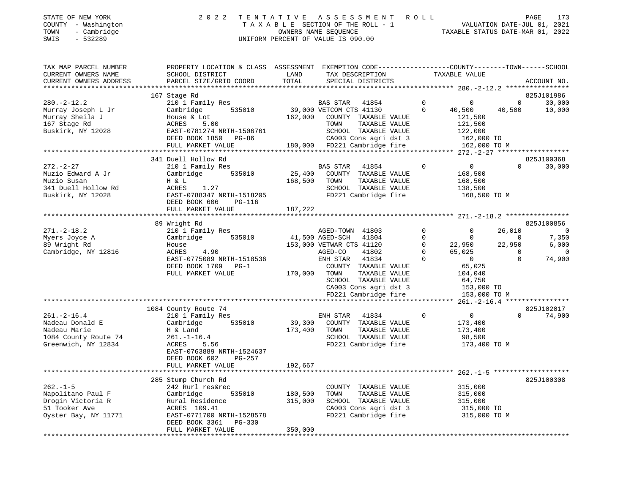## STATE OF NEW YORK 2 0 2 2 T E N T A T I V E A S S E S S M E N T R O L L PAGE 173 COUNTY - Washington T A X A B L E SECTION OF THE ROLL - 1 VALUATION DATE-JUL 01, 2021 TOWN - Cambridge OWNERS NAME SEQUENCE TAXABLE STATUS DATE-MAR 01, 2022 SWIS - 532289 UNIFORM PERCENT OF VALUE IS 090.00

| TAX MAP PARCEL NUMBER<br>CURRENT OWNERS NAME                                                        | PROPERTY LOCATION & CLASS ASSESSMENT EXEMPTION CODE---------------COUNTY-------TOWN-----SCHOOL<br>SCHOOL DISTRICT                                                      | LAND                    | TAX DESCRIPTION                                                                                                                                           | TAXABLE VALUE                                                                           |                    |                         |
|-----------------------------------------------------------------------------------------------------|------------------------------------------------------------------------------------------------------------------------------------------------------------------------|-------------------------|-----------------------------------------------------------------------------------------------------------------------------------------------------------|-----------------------------------------------------------------------------------------|--------------------|-------------------------|
| CURRENT OWNERS ADDRESS<br>***********************                                                   | PARCEL SIZE/GRID COORD<br>*********************************                                                                                                            | TOTAL                   | SPECIAL DISTRICTS                                                                                                                                         |                                                                                         |                    | ACCOUNT NO.             |
| $280. -2 - 12.2$                                                                                    | 167 Stage Rd<br>210 1 Family Res                                                                                                                                       |                         | BAS STAR<br>41854                                                                                                                                         | $\overline{0}$<br>$\overline{0}$                                                        | $\circ$            | 825J101986<br>30,000    |
| Murray Joseph L Jr<br>Murray Sheila J<br>167 Stage Rd<br>Buskirk, NY 12028                          | Cambridge<br>535010<br>House & Lot<br>ACRES<br>5.00<br>EAST-0781274 NRTH-1506761<br>DEED BOOK 1850 PG-86<br>FULL MARKET VALUE                                          | 162,000                 | 39,000 VETCOM CTS 41130<br>COUNTY TAXABLE VALUE<br>TAXABLE VALUE<br>TOWN<br>SCHOOL TAXABLE VALUE<br>CA003 Cons agri dst 3<br>180,000 FD221 Cambridge fire | $\Omega$<br>40,500<br>121,500<br>121,500<br>122,000<br>162,000 TO<br>162,000 TO M       | 40,500             | 10,000                  |
|                                                                                                     |                                                                                                                                                                        |                         |                                                                                                                                                           |                                                                                         |                    |                         |
|                                                                                                     | 341 Duell Hollow Rd                                                                                                                                                    |                         |                                                                                                                                                           |                                                                                         |                    | 825J100368              |
| $272. - 2 - 27$<br>Muzio Edward A Jr<br>Muzio Susan<br>341 Duell Hollow Rd<br>Buskirk, NY 12028     | 210 1 Family Res<br>Cambridge<br>535010<br>H & L<br>ACRES<br>1.27<br>EAST-0788347 NRTH-1518205<br>DEED BOOK 606<br>PG-116                                              | 25,400<br>168,500       | BAS STAR 41854<br>COUNTY TAXABLE VALUE<br>TOWN<br>TAXABLE VALUE<br>SCHOOL TAXABLE VALUE<br>FD221 Cambridge fire                                           | $\overline{0}$<br>$\overline{0}$<br>168,500<br>168,500<br>138,500<br>168,500 TO M       | $\Omega$           | 30,000                  |
|                                                                                                     | FULL MARKET VALUE                                                                                                                                                      | 187,222                 |                                                                                                                                                           |                                                                                         |                    |                         |
|                                                                                                     | 89 Wright Rd                                                                                                                                                           |                         |                                                                                                                                                           |                                                                                         |                    | 825J100856              |
| $271. - 2 - 18.2$                                                                                   | 210 1 Family Res                                                                                                                                                       |                         | AGED-TOWN 41803                                                                                                                                           | $\mathbf{0}$<br>$\Omega$                                                                | 26,010             | $\overline{0}$          |
| Myers Joyce A                                                                                       | 535010<br>Cambridge                                                                                                                                                    | 41,500 AGED-SCH         | 41804                                                                                                                                                     | $\circ$<br>$\mathbf{0}$                                                                 | $\Omega$           | 7,350                   |
| 89 Wright Rd<br>Cambridge, NY 12816                                                                 | House<br>ACRES<br>4.90                                                                                                                                                 |                         | 153,000 VETWAR CTS 41120<br>AGED-CO<br>41802                                                                                                              | $\overline{0}$<br>22,950<br>$\Omega$<br>65,025                                          | 22,950<br>$\Omega$ | 6,000<br>$\overline{0}$ |
|                                                                                                     | EAST-0775089 NRTH-1518536<br>DEED BOOK 1709 PG-1<br>FULL MARKET VALUE                                                                                                  | 170,000 TOWN            | ENH STAR<br>41834<br>COUNTY TAXABLE VALUE<br>TAXABLE VALUE<br>SCHOOL TAXABLE VALUE<br>CA003 Cons agri dst 3<br>FD221 Cambridge fire                       | $\Omega$<br>$\overline{0}$<br>65,025<br>104,040<br>64,750<br>153,000 TO<br>153,000 TO M | $\Omega$           | 74,900                  |
|                                                                                                     |                                                                                                                                                                        |                         |                                                                                                                                                           |                                                                                         |                    |                         |
|                                                                                                     | 1084 County Route 74                                                                                                                                                   |                         |                                                                                                                                                           |                                                                                         |                    | 825J102017              |
| $261. - 2 - 16.4$<br>Nadeau Donald E<br>Nadeau Marie<br>1084 County Route 74<br>Greenwich, NY 12834 | 210 1 Family Res<br>535010<br>Cambridge<br>H & Land<br>$261. - 1 - 16.4$<br>ACRES<br>5.56<br>EAST-0763889 NRTH-1524637<br>DEED BOOK 602<br>PG-257<br>FULL MARKET VALUE | 173,400 TOWN<br>192,667 | ENH STAR<br>41834<br>39,300 COUNTY TAXABLE VALUE<br>TAXABLE VALUE<br>SCHOOL TAXABLE VALUE<br>FD221 Cambridge fire                                         | $\overline{0}$<br>$\overline{0}$<br>173,400<br>173,400<br>98,500<br>173,400 TO M        | $\Omega$           | 74,900                  |
|                                                                                                     |                                                                                                                                                                        |                         |                                                                                                                                                           |                                                                                         |                    |                         |
|                                                                                                     | 285 Stump Church Rd                                                                                                                                                    |                         |                                                                                                                                                           |                                                                                         |                    | 825J100308              |
| $262. - 1 - 5$                                                                                      | 242 Rurl res&rec                                                                                                                                                       |                         | COUNTY TAXABLE VALUE                                                                                                                                      | 315,000                                                                                 |                    |                         |
| Napolitano Paul F<br>Drogin Victoria R                                                              | 535010<br>Cambridge<br>Rural Residence                                                                                                                                 | 180,500<br>315,000      | TAXABLE VALUE<br>TOWN<br>SCHOOL TAXABLE VALUE                                                                                                             | 315,000<br>315,000                                                                      |                    |                         |
| 51 Tooker Ave                                                                                       | ACRES 109.41                                                                                                                                                           |                         | CA003 Cons agri dst 3                                                                                                                                     | 315,000 TO                                                                              |                    |                         |
| Oyster Bay, NY 11771                                                                                | EAST-0771700 NRTH-1528578<br>DEED BOOK 3361 PG-330<br>FULL MARKET VALUE                                                                                                | 350,000                 | FD221 Cambridge fire                                                                                                                                      | 315,000 TO M                                                                            |                    |                         |
|                                                                                                     |                                                                                                                                                                        |                         |                                                                                                                                                           |                                                                                         |                    |                         |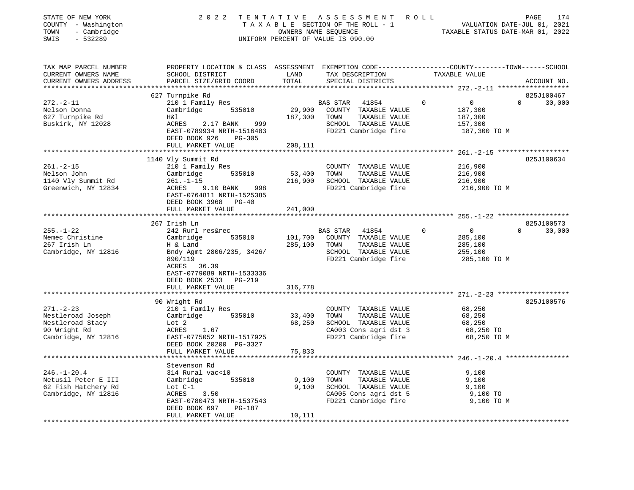| STATE OF NEW YORK<br>COUNTY - Washington<br>TOWN<br>- Cambridge<br>SWIS<br>$-532289$ |                                                                                                                                              | OWNERS NAME SEQUENCE | 2022 TENTATIVE ASSESSMENT ROLL<br>TAXABLE SECTION OF THE ROLL - 1<br>UNIFORM PERCENT OF VALUE IS 090.00 |             | VALUATION DATE-JUL 01, 2021<br>TAXABLE STATUS DATE-MAR 01, 2022 | PAGE<br>174 |
|--------------------------------------------------------------------------------------|----------------------------------------------------------------------------------------------------------------------------------------------|----------------------|---------------------------------------------------------------------------------------------------------|-------------|-----------------------------------------------------------------|-------------|
| TAX MAP PARCEL NUMBER<br>CURRENT OWNERS NAME<br>CURRENT OWNERS ADDRESS               | PROPERTY LOCATION & CLASS ASSESSMENT EXEMPTION CODE---------------COUNTY-------TOWN------SCHOOL<br>SCHOOL DISTRICT<br>PARCEL SIZE/GRID COORD | LAND<br>TOTAL        | TAX DESCRIPTION<br>SPECIAL DISTRICTS                                                                    |             | TAXABLE VALUE                                                   | ACCOUNT NO. |
|                                                                                      | 627 Turnpike Rd                                                                                                                              |                      |                                                                                                         |             |                                                                 | 825J100467  |
| $272. - 2 - 11$                                                                      | 210 1 Family Res                                                                                                                             |                      | BAS STAR<br>41854                                                                                       | $\mathbf 0$ | $\overline{0}$<br>$\Omega$                                      | 30,000      |
| Nelson Donna                                                                         | Cambridge<br>535010                                                                                                                          | 29,900               | COUNTY TAXABLE VALUE                                                                                    |             | 187,300                                                         |             |
| 627 Turnpike Rd                                                                      | Η&l                                                                                                                                          | 187,300              | TOWN<br>TAXABLE VALUE                                                                                   |             | 187,300                                                         |             |
| Buskirk, NY 12028                                                                    | ACRES<br>2.17 BANK<br>999                                                                                                                    |                      | SCHOOL TAXABLE VALUE                                                                                    |             | 157,300                                                         |             |
|                                                                                      | EAST-0789934 NRTH-1516483                                                                                                                    |                      | FD221 Cambridge fire                                                                                    |             | 187,300 TO M                                                    |             |
|                                                                                      | DEED BOOK 926<br>PG-305                                                                                                                      |                      |                                                                                                         |             |                                                                 |             |
|                                                                                      | FULL MARKET VALUE                                                                                                                            | 208,111              |                                                                                                         |             |                                                                 |             |
|                                                                                      |                                                                                                                                              |                      |                                                                                                         |             |                                                                 |             |
|                                                                                      | 1140 Vly Summit Rd                                                                                                                           |                      |                                                                                                         |             |                                                                 | 825J100634  |
| $261. - 2 - 15$<br>Nelson John                                                       | 210 1 Family Res<br>Cambridge<br>535010                                                                                                      | 53,400               | COUNTY TAXABLE VALUE<br>TOWN<br>TAXABLE VALUE                                                           |             | 216,900<br>216,900                                              |             |
| 1140 Vly Summit Rd                                                                   | $261. - 1 - 15$                                                                                                                              | 216,900              | SCHOOL TAXABLE VALUE                                                                                    |             | 216,900                                                         |             |
| Greenwich, NY 12834                                                                  | ACRES<br>9.10 BANK 998                                                                                                                       |                      | FD221 Cambridge fire                                                                                    |             | 216,900 TO M                                                    |             |
|                                                                                      | EAST-0764811 NRTH-1525385<br>DEED BOOK 3968 PG-40                                                                                            |                      |                                                                                                         |             |                                                                 |             |
|                                                                                      | FULL MARKET VALUE                                                                                                                            | 241,000              |                                                                                                         |             |                                                                 |             |
|                                                                                      |                                                                                                                                              |                      |                                                                                                         |             |                                                                 |             |
|                                                                                      | 267 Irish Ln                                                                                                                                 |                      |                                                                                                         |             |                                                                 | 825J100573  |
| $255. - 1 - 22$                                                                      | 242 Rurl res&rec                                                                                                                             |                      | BAS STAR<br>41854                                                                                       | $\Omega$    | $\overline{0}$<br>$\Omega$                                      | 30,000      |
| Nemec Christine<br>267 Irish Ln                                                      | Cambridge<br>535010<br>H & Land                                                                                                              | 101,700<br>285,100   | COUNTY TAXABLE VALUE<br>TOWN<br>TAXABLE VALUE                                                           |             | 285,100<br>285,100                                              |             |
| Cambridge, NY 12816                                                                  | Bndy Agmt 2806/235, 3426/                                                                                                                    |                      | SCHOOL TAXABLE VALUE                                                                                    |             | 255,100                                                         |             |
|                                                                                      | 890/119                                                                                                                                      |                      | FD221 Cambridge fire                                                                                    |             | 285,100 TO M                                                    |             |
|                                                                                      | ACRES 36.39                                                                                                                                  |                      |                                                                                                         |             |                                                                 |             |
|                                                                                      | EAST-0779089 NRTH-1533336                                                                                                                    |                      |                                                                                                         |             |                                                                 |             |
|                                                                                      | DEED BOOK 2533 PG-219                                                                                                                        |                      |                                                                                                         |             |                                                                 |             |
|                                                                                      | FULL MARKET VALUE                                                                                                                            | 316,778              |                                                                                                         |             |                                                                 |             |
|                                                                                      |                                                                                                                                              |                      |                                                                                                         |             |                                                                 |             |
|                                                                                      | 90 Wright Rd                                                                                                                                 |                      |                                                                                                         |             |                                                                 | 825J100576  |
| $271. - 2 - 23$                                                                      | 210 1 Family Res                                                                                                                             |                      | COUNTY TAXABLE VALUE                                                                                    |             | 68,250                                                          |             |
| Nestleroad Joseph                                                                    | 535010<br>Cambridge                                                                                                                          | 33,400               | TOWN<br>TAXABLE VALUE                                                                                   |             | 68,250                                                          |             |
| Nestleroad Stacy<br>90 Wright Rd                                                     | Lot 2                                                                                                                                        | 68,250               | SCHOOL TAXABLE VALUE                                                                                    |             | 68,250                                                          |             |
| Cambridge, NY 12816                                                                  | 1.67<br>ACRES<br>EAST-0775052 NRTH-1517925                                                                                                   |                      | CA003 Cons agri dst 3<br>FD221 Cambridge fire                                                           |             | 68,250 TO<br>68,250 TO M                                        |             |
|                                                                                      | DEED BOOK 20200 PG-3327                                                                                                                      |                      |                                                                                                         |             |                                                                 |             |
|                                                                                      | FULL MARKET VALUE                                                                                                                            | 75,833               |                                                                                                         |             |                                                                 |             |
|                                                                                      |                                                                                                                                              |                      |                                                                                                         |             |                                                                 |             |
|                                                                                      | Stevenson Rd                                                                                                                                 |                      |                                                                                                         |             |                                                                 |             |
| $246. - 1 - 20.4$                                                                    | 314 Rural vac<10                                                                                                                             |                      | COUNTY TAXABLE VALUE                                                                                    |             | 9,100                                                           |             |
| Netusil Peter E III                                                                  | 535010<br>Cambridge                                                                                                                          | 9,100                | TOWN<br>TAXABLE VALUE                                                                                   |             | 9,100                                                           |             |
| 62 Fish Hatchery Rd                                                                  | Lot $C-1$                                                                                                                                    | 9,100                | SCHOOL TAXABLE VALUE                                                                                    |             | 9,100                                                           |             |
| Cambridge, NY 12816                                                                  | ACRES 3.50                                                                                                                                   |                      | CA005 Cons agri dst 5                                                                                   |             | 9,100 TO                                                        |             |
|                                                                                      | EAST-0780473 NRTH-1537543                                                                                                                    |                      | FD221 Cambridge fire                                                                                    |             | 9,100 TO M                                                      |             |
|                                                                                      | DEED BOOK 697<br>PG-187                                                                                                                      |                      |                                                                                                         |             |                                                                 |             |
|                                                                                      | FULL MARKET VALUE                                                                                                                            | 10,111               |                                                                                                         |             |                                                                 |             |
|                                                                                      |                                                                                                                                              |                      |                                                                                                         |             |                                                                 |             |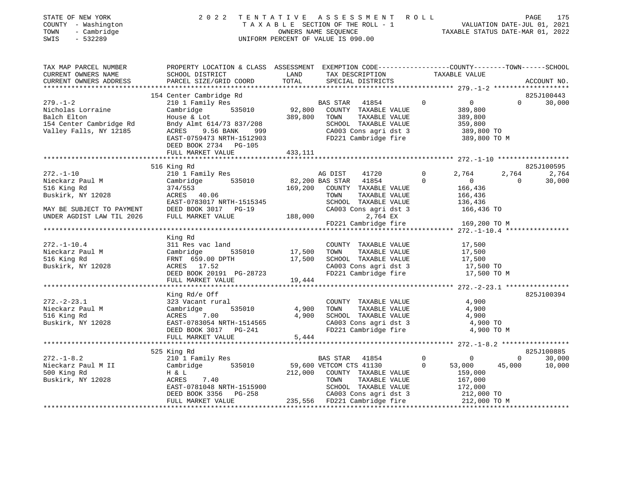| STATE OF NEW YORK<br>COUNTY - Washington<br>TOWN<br>- Cambridge<br>$-532289$<br>SWIS                                                                                                                                                                                                                                                                                                                                                                                              |                                                                                                                                                                                                                                            |          | $\begin{tabular}{lllllllllllllllll} \hline 2&0&2&2&\text{T} & \text{E} & \text{N} & \text{T} & \text{A} & \text{T} & \text{A} & \text{T} & \text{A} & \text{T} & \text{A} & \text{T} & \text{A} & \text{T} & \text{A} & \text{T} & \text{A} & \text{B} & \text{B} & \text{E} & \text{E} & \text{S} & \text{E} & \text{T} & \text{B} & \text{A} & \text{B} & \text{E} & \text{S} & \text{E} & \text{C} & \text{T} & \text{B} & \text{A$ |              |                |                                       |
|-----------------------------------------------------------------------------------------------------------------------------------------------------------------------------------------------------------------------------------------------------------------------------------------------------------------------------------------------------------------------------------------------------------------------------------------------------------------------------------|--------------------------------------------------------------------------------------------------------------------------------------------------------------------------------------------------------------------------------------------|----------|----------------------------------------------------------------------------------------------------------------------------------------------------------------------------------------------------------------------------------------------------------------------------------------------------------------------------------------------------------------------------------------------------------------------------------------|--------------|----------------|---------------------------------------|
| $\begin{tabular}{lllllllllllllllllllll} \textsc{rank} & & & & & & \textsc{propERTY LOCATION & \textsc{CLASS} & & \textsc{SSESSMENT} & & \textsc{EXEMPTION} & \textsc{CDEF-------------COUNTY------TOWN------SCHOOL} \\ \textsc{curkENT} & & & & & & \textsc{SCHOOL} & \textsc{DISTRICT} & & & & \textsc{LAND} & & \textsc{TAX} & \textsc{DESCRIPTION} & & \textsc{TAXABLE VALUE} & & \textsc{ACCOUNT NO} & & \textsc{CUCRRENT} & & \textsc{ACCOUNT NO} & & \textsc{CUCRRENT} & &$ |                                                                                                                                                                                                                                            |          |                                                                                                                                                                                                                                                                                                                                                                                                                                        |              |                |                                       |
|                                                                                                                                                                                                                                                                                                                                                                                                                                                                                   |                                                                                                                                                                                                                                            |          |                                                                                                                                                                                                                                                                                                                                                                                                                                        |              |                |                                       |
|                                                                                                                                                                                                                                                                                                                                                                                                                                                                                   | 154 Center Cambridge Rd                                                                                                                                                                                                                    |          |                                                                                                                                                                                                                                                                                                                                                                                                                                        |              |                | 825J100443                            |
| 154 Center Cambridge Rd<br>Nicholas Lorraine Cambridge Sand Country TAXABLE VALUE<br>Balch Elton House & Lot<br>154 Center Cambridge Rd<br>154 Center Cambridge Rd<br>154 Center Cambridge Rd<br>154 Center Cambridge 535010 92,800 COUNTY                                                                                                                                                                                                                                        |                                                                                                                                                                                                                                            |          |                                                                                                                                                                                                                                                                                                                                                                                                                                        |              |                | $0 \t 30,000$                         |
|                                                                                                                                                                                                                                                                                                                                                                                                                                                                                   |                                                                                                                                                                                                                                            |          |                                                                                                                                                                                                                                                                                                                                                                                                                                        |              |                |                                       |
|                                                                                                                                                                                                                                                                                                                                                                                                                                                                                   |                                                                                                                                                                                                                                            |          |                                                                                                                                                                                                                                                                                                                                                                                                                                        |              |                |                                       |
|                                                                                                                                                                                                                                                                                                                                                                                                                                                                                   |                                                                                                                                                                                                                                            |          |                                                                                                                                                                                                                                                                                                                                                                                                                                        |              |                |                                       |
|                                                                                                                                                                                                                                                                                                                                                                                                                                                                                   |                                                                                                                                                                                                                                            |          |                                                                                                                                                                                                                                                                                                                                                                                                                                        |              |                |                                       |
|                                                                                                                                                                                                                                                                                                                                                                                                                                                                                   |                                                                                                                                                                                                                                            |          |                                                                                                                                                                                                                                                                                                                                                                                                                                        |              |                |                                       |
|                                                                                                                                                                                                                                                                                                                                                                                                                                                                                   | DEED BOOK 2734 PG-105                                                                                                                                                                                                                      |          |                                                                                                                                                                                                                                                                                                                                                                                                                                        |              |                |                                       |
|                                                                                                                                                                                                                                                                                                                                                                                                                                                                                   | FULL MARKET VALUE                                                                                                                                                                                                                          | 433, 111 |                                                                                                                                                                                                                                                                                                                                                                                                                                        |              |                |                                       |
|                                                                                                                                                                                                                                                                                                                                                                                                                                                                                   |                                                                                                                                                                                                                                            |          |                                                                                                                                                                                                                                                                                                                                                                                                                                        |              |                | 825J100595                            |
| 272.-1-10 516 King Kd<br>210 1 Family Res<br>Nieckarz Paul M Cambridge 535010 82,200 BAS STAR 41854 0<br>516 King Rd 374/553<br>Buskirk, NY 12028 ACRES 40.06 TOWN TAXABLE VALUE 166,436<br>MAY BE SUBJECT TO PAYMENT DEED BOOK 3017 PG                                                                                                                                                                                                                                           | 516 King Rd                                                                                                                                                                                                                                |          |                                                                                                                                                                                                                                                                                                                                                                                                                                        |              |                |                                       |
|                                                                                                                                                                                                                                                                                                                                                                                                                                                                                   |                                                                                                                                                                                                                                            |          |                                                                                                                                                                                                                                                                                                                                                                                                                                        | 2,764        | $\overline{0}$ | $2,764$ $2,764$<br>$30,000$<br>30,000 |
|                                                                                                                                                                                                                                                                                                                                                                                                                                                                                   |                                                                                                                                                                                                                                            |          |                                                                                                                                                                                                                                                                                                                                                                                                                                        |              |                |                                       |
|                                                                                                                                                                                                                                                                                                                                                                                                                                                                                   |                                                                                                                                                                                                                                            |          |                                                                                                                                                                                                                                                                                                                                                                                                                                        |              |                |                                       |
|                                                                                                                                                                                                                                                                                                                                                                                                                                                                                   |                                                                                                                                                                                                                                            |          |                                                                                                                                                                                                                                                                                                                                                                                                                                        |              |                |                                       |
|                                                                                                                                                                                                                                                                                                                                                                                                                                                                                   |                                                                                                                                                                                                                                            |          | CA003 Cons agri dst 3 166,436 TO                                                                                                                                                                                                                                                                                                                                                                                                       |              |                |                                       |
|                                                                                                                                                                                                                                                                                                                                                                                                                                                                                   |                                                                                                                                                                                                                                            |          | 2,764 EX<br>FD221 Cambridge fire                                                                                                                                                                                                                                                                                                                                                                                                       |              |                |                                       |
|                                                                                                                                                                                                                                                                                                                                                                                                                                                                                   |                                                                                                                                                                                                                                            |          |                                                                                                                                                                                                                                                                                                                                                                                                                                        | 169,200 TO M |                |                                       |
|                                                                                                                                                                                                                                                                                                                                                                                                                                                                                   |                                                                                                                                                                                                                                            |          |                                                                                                                                                                                                                                                                                                                                                                                                                                        |              |                |                                       |
| $272. - 1 - 10.4$                                                                                                                                                                                                                                                                                                                                                                                                                                                                 | King Rd<br>311 Res vac land                                                                                                                                                                                                                |          |                                                                                                                                                                                                                                                                                                                                                                                                                                        | 17,500       |                |                                       |
|                                                                                                                                                                                                                                                                                                                                                                                                                                                                                   |                                                                                                                                                                                                                                            |          | COUNTY TAXABLE VALUE                                                                                                                                                                                                                                                                                                                                                                                                                   |              |                |                                       |
| Nieckarz Paul M<br>516 King Rd<br>Buskirk, NY 12028                                                                                                                                                                                                                                                                                                                                                                                                                               | 311 Res vac 1 and<br>Cambridge 535010 17,500<br>FRNT 659.00 DPTH 17,500<br>ACRES 17.52                                                                                                                                                     |          |                                                                                                                                                                                                                                                                                                                                                                                                                                        |              |                |                                       |
|                                                                                                                                                                                                                                                                                                                                                                                                                                                                                   |                                                                                                                                                                                                                                            |          |                                                                                                                                                                                                                                                                                                                                                                                                                                        |              |                |                                       |
|                                                                                                                                                                                                                                                                                                                                                                                                                                                                                   | ACRES 17.52<br>DEED BOOK 20191 PG-28723                                                                                                                                                                                                    |          | TOWN TAXABLE VALUE<br>SCHOOL TAXABLE VALUE<br>CA003 Cons agri dst 3 17,500<br>FD221 Cambridge fire 17,500 TO M                                                                                                                                                                                                                                                                                                                         |              |                |                                       |
|                                                                                                                                                                                                                                                                                                                                                                                                                                                                                   | FULL MARKET VALUE                                                                                                                                                                                                                          | 19,444   |                                                                                                                                                                                                                                                                                                                                                                                                                                        |              |                |                                       |
|                                                                                                                                                                                                                                                                                                                                                                                                                                                                                   |                                                                                                                                                                                                                                            |          |                                                                                                                                                                                                                                                                                                                                                                                                                                        |              |                |                                       |
|                                                                                                                                                                                                                                                                                                                                                                                                                                                                                   | King Rd/e Off                                                                                                                                                                                                                              |          |                                                                                                                                                                                                                                                                                                                                                                                                                                        |              |                | 825J100394                            |
|                                                                                                                                                                                                                                                                                                                                                                                                                                                                                   |                                                                                                                                                                                                                                            |          |                                                                                                                                                                                                                                                                                                                                                                                                                                        |              |                |                                       |
|                                                                                                                                                                                                                                                                                                                                                                                                                                                                                   |                                                                                                                                                                                                                                            |          |                                                                                                                                                                                                                                                                                                                                                                                                                                        |              |                |                                       |
| 272.-2-23.1<br>Nieckarz Paul M 323 Vacant rural<br>S16 King Rd ACRES 7.00<br>Buskirk, NY 12028 EAST-0783054 NRTH-1514565<br>DEED BOOK 3017 PG-241 190221 Cambridge fire 4,900 TO                                                                                                                                                                                                                                                                                                  |                                                                                                                                                                                                                                            |          |                                                                                                                                                                                                                                                                                                                                                                                                                                        |              |                |                                       |
|                                                                                                                                                                                                                                                                                                                                                                                                                                                                                   |                                                                                                                                                                                                                                            |          |                                                                                                                                                                                                                                                                                                                                                                                                                                        | 4,900 TO M   |                |                                       |
|                                                                                                                                                                                                                                                                                                                                                                                                                                                                                   | FULL MARKET VALUE 5,444                                                                                                                                                                                                                    |          |                                                                                                                                                                                                                                                                                                                                                                                                                                        |              |                |                                       |
|                                                                                                                                                                                                                                                                                                                                                                                                                                                                                   |                                                                                                                                                                                                                                            |          |                                                                                                                                                                                                                                                                                                                                                                                                                                        |              |                |                                       |
|                                                                                                                                                                                                                                                                                                                                                                                                                                                                                   |                                                                                                                                                                                                                                            |          |                                                                                                                                                                                                                                                                                                                                                                                                                                        |              |                | 825J100885                            |
|                                                                                                                                                                                                                                                                                                                                                                                                                                                                                   |                                                                                                                                                                                                                                            |          |                                                                                                                                                                                                                                                                                                                                                                                                                                        |              |                | 30,000                                |
|                                                                                                                                                                                                                                                                                                                                                                                                                                                                                   |                                                                                                                                                                                                                                            |          |                                                                                                                                                                                                                                                                                                                                                                                                                                        |              |                | 10,000                                |
|                                                                                                                                                                                                                                                                                                                                                                                                                                                                                   |                                                                                                                                                                                                                                            |          |                                                                                                                                                                                                                                                                                                                                                                                                                                        |              |                |                                       |
|                                                                                                                                                                                                                                                                                                                                                                                                                                                                                   |                                                                                                                                                                                                                                            |          |                                                                                                                                                                                                                                                                                                                                                                                                                                        |              |                |                                       |
|                                                                                                                                                                                                                                                                                                                                                                                                                                                                                   |                                                                                                                                                                                                                                            |          |                                                                                                                                                                                                                                                                                                                                                                                                                                        |              |                |                                       |
|                                                                                                                                                                                                                                                                                                                                                                                                                                                                                   | COUNTY TAXABLE VALUE<br>H & L<br>ACRES 7.40<br>EAST-0781048 NRTH-1515900<br>DEED BOOK 3356 PG-258 235,556 PD221 Cambridge fire 212,000 TO M<br>FULL MARKET VALUE 235,556 PD221 Cambridge fire 212,000 TO M<br>FULL MARKET VALUE 235,556 PD |          |                                                                                                                                                                                                                                                                                                                                                                                                                                        |              |                |                                       |
|                                                                                                                                                                                                                                                                                                                                                                                                                                                                                   |                                                                                                                                                                                                                                            |          |                                                                                                                                                                                                                                                                                                                                                                                                                                        |              |                |                                       |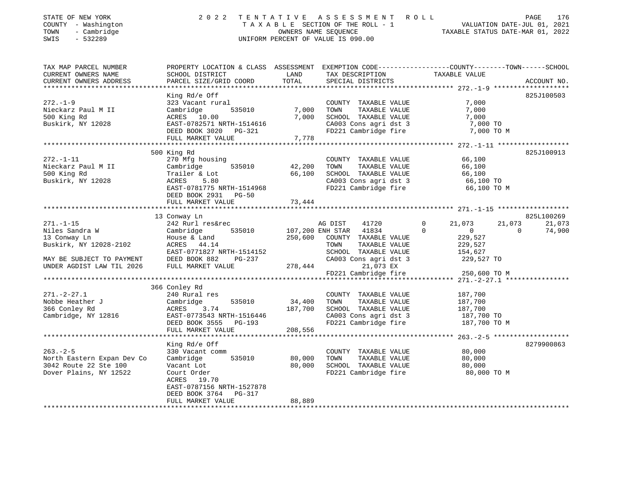| STATE OF NEW YORK           | 2022                                                                                           | TENTATIVE    | A S S E S S M E N T                | R O L L                                       | 176<br>PAGE                         |
|-----------------------------|------------------------------------------------------------------------------------------------|--------------|------------------------------------|-----------------------------------------------|-------------------------------------|
| COUNTY - Washington         |                                                                                                |              | TAXABLE SECTION OF THE ROLL - 1    |                                               | VALUATION DATE-JUL 01, 2021         |
| TOWN<br>- Cambridge         |                                                                                                |              | OWNERS NAME SEQUENCE               |                                               | TAXABLE STATUS DATE-MAR 01, 2022    |
| SWIS<br>$-532289$           |                                                                                                |              | UNIFORM PERCENT OF VALUE IS 090.00 |                                               |                                     |
|                             |                                                                                                |              |                                    |                                               |                                     |
| TAX MAP PARCEL NUMBER       | PROPERTY LOCATION & CLASS ASSESSMENT EXEMPTION CODE---------------COUNTY-------TOWN-----SCHOOL |              |                                    |                                               |                                     |
| CURRENT OWNERS NAME         | SCHOOL DISTRICT                                                                                | LAND         | TAX DESCRIPTION                    | TAXABLE VALUE                                 |                                     |
| CURRENT OWNERS ADDRESS      | PARCEL SIZE/GRID COORD                                                                         | TOTAL        | SPECIAL DISTRICTS                  |                                               | ACCOUNT NO.                         |
|                             |                                                                                                |              |                                    |                                               |                                     |
|                             | King Rd/e Off                                                                                  |              |                                    |                                               | 825J100503                          |
| $272. - 1 - 9$              | 323 Vacant rural                                                                               |              | COUNTY TAXABLE VALUE               | 7,000                                         |                                     |
| Nieckarz Paul M II          | Cambridge<br>535010                                                                            | 7,000        | TOWN<br>TAXABLE VALUE              | 7,000                                         |                                     |
| 500 King Rd                 | ACRES 10.00                                                                                    | 7,000        | SCHOOL TAXABLE VALUE               | 7,000                                         |                                     |
| Buskirk, NY 12028           | EAST-0782571 NRTH-1514616                                                                      |              | CA003 Cons agri dst 3              | 7,000 TO                                      |                                     |
|                             | DEED BOOK 3020 PG-321                                                                          |              | FD221 Cambridge fire               | 7,000 TO M                                    |                                     |
|                             | FULL MARKET VALUE                                                                              | 7,778        |                                    |                                               |                                     |
|                             | ***********************************                                                            |              |                                    |                                               |                                     |
|                             | 500 King Rd                                                                                    |              |                                    |                                               | 825J100913                          |
| $272. - 1 - 11$             | 270 Mfg housing                                                                                |              | COUNTY TAXABLE VALUE               | 66,100                                        |                                     |
| Nieckarz Paul M II          | 535010<br>Cambridge                                                                            | 42,200       | TOWN<br>TAXABLE VALUE              | 66,100                                        |                                     |
| 500 King Rd                 | Trailer & Lot                                                                                  | 66,100       | SCHOOL TAXABLE VALUE               | 66,100                                        |                                     |
| Buskirk, NY 12028           | 5.80<br>ACRES                                                                                  |              | CA003 Cons agri dst 3              | 66,100 TO                                     |                                     |
|                             | EAST-0781775 NRTH-1514968                                                                      |              | FD221 Cambridge fire               | 66,100 TO M                                   |                                     |
|                             | DEED BOOK 2931<br><b>PG-50</b>                                                                 |              |                                    |                                               |                                     |
|                             | FULL MARKET VALUE                                                                              | 73,444       |                                    |                                               |                                     |
|                             |                                                                                                |              |                                    |                                               |                                     |
|                             | 13 Conway Ln                                                                                   |              |                                    |                                               | 825L100269                          |
| $271. - 1 - 15$             | 242 Rurl res&rec                                                                               |              | AG DIST<br>41720                   | 21,073<br>$\Omega$                            | 21,073<br>21,073                    |
| Niles Sandra W              | 535010<br>Cambridge                                                                            |              | 107,200 ENH STAR<br>41834          | $\Omega$<br>$\mathbf 0$                       | 74,900<br>$\Omega$                  |
| 13 Conway Ln                | House & Land                                                                                   | 250,600      | COUNTY TAXABLE VALUE               | 229,527                                       |                                     |
| Buskirk, NY 12028-2102      | ACRES 44.14                                                                                    |              | TOWN<br>TAXABLE VALUE              | 229,527                                       |                                     |
|                             | EAST-0771827 NRTH-1514152                                                                      |              | SCHOOL TAXABLE VALUE               | 154,627                                       |                                     |
| MAY BE SUBJECT TO PAYMENT   | DEED BOOK 882<br>$PG-237$                                                                      |              | CA003 Cons agri dst 3              | 229,527 TO                                    |                                     |
| UNDER AGDIST LAW TIL 2026   | FULL MARKET VALUE                                                                              | 278,444      | 21,073 EX                          |                                               |                                     |
|                             |                                                                                                |              | FD221 Cambridge fire               | 250,600 TO M                                  |                                     |
|                             | **********************                                                                         |              |                                    | *************** 271.-2-27.1 ***************** |                                     |
|                             | 366 Conley Rd                                                                                  |              |                                    |                                               |                                     |
| $271. - 2 - 27.1$           | 240 Rural res                                                                                  |              | COUNTY TAXABLE VALUE               | 187,700                                       |                                     |
| Nobbe Heather J             | 535010<br>Cambridge                                                                            | 34,400       | TAXABLE VALUE<br>TOWN              | 187,700                                       |                                     |
| 366 Conley Rd               | ACRES<br>3.74                                                                                  | 187,700      | SCHOOL TAXABLE VALUE               | 187,700                                       |                                     |
| Cambridge, NY 12816         | EAST-0773543 NRTH-1516446                                                                      |              | CA003 Cons agri dst 3              | 187,700 TO                                    |                                     |
|                             | DEED BOOK 3555<br>PG-193                                                                       |              | FD221 Cambridge fire               | 187,700 TO M                                  |                                     |
|                             | FULL MARKET VALUE                                                                              | 208,556      |                                    |                                               |                                     |
|                             |                                                                                                |              |                                    |                                               | $263. - 2 - 5$ ******************** |
|                             | King Rd/e Off                                                                                  |              |                                    |                                               | 8279900863                          |
| $263. - 2 - 5$              | 330 Vacant comm                                                                                |              | COUNTY TAXABLE VALUE               | 80,000                                        |                                     |
| North Eastern Expan Dev Co  | Cambridge<br>535010                                                                            | 80,000       | TOWN<br>TAXABLE VALUE              | 80,000                                        |                                     |
| 3042 Route 22 Ste 100       | Vacant Lot                                                                                     | 80,000       | SCHOOL TAXABLE VALUE               | 80,000                                        |                                     |
| Dover Plains, NY 12522      | Court Order                                                                                    |              | FD221 Cambridge fire               | 80,000 TO M                                   |                                     |
|                             | ACRES 19.70                                                                                    |              |                                    |                                               |                                     |
|                             | EAST-0787156 NRTH-1527878                                                                      |              |                                    |                                               |                                     |
|                             |                                                                                                |              |                                    |                                               |                                     |
|                             | DEED BOOK 3764<br>PG-317                                                                       | 88,889       |                                    |                                               |                                     |
| *************************** | FULL MARKET VALUE<br>**********************                                                    | ************ |                                    |                                               |                                     |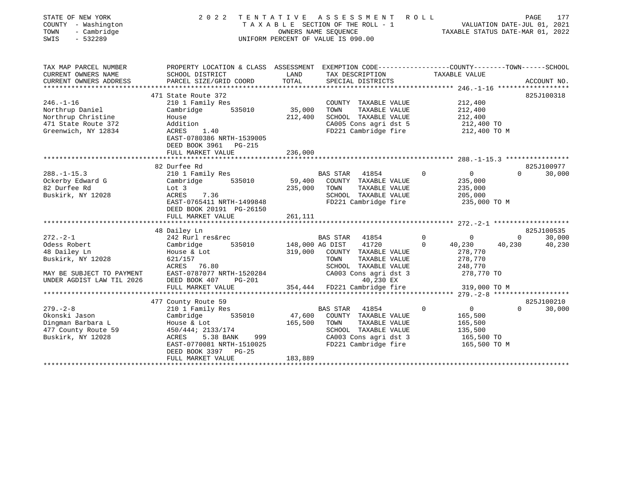| STATE OF NEW YORK<br>COUNTY - Washington<br>- Cambridge<br>TOWN<br>SWIS<br>$-532289$ | 2 0 2 2                                                                                         |                 | TENTATIVE ASSESSMENT ROLL<br>TAXABLE SECTION OF THE ROLL - 1<br>OWNERS NAME SEQUENCE<br>UNIFORM PERCENT OF VALUE IS 090.00 | $\mathbf{T}^I$ | VALUATION DATE-JUL 01, 2021<br>TAXABLE STATUS DATE-MAR 01, 2022 | PAGE         | 177         |
|--------------------------------------------------------------------------------------|-------------------------------------------------------------------------------------------------|-----------------|----------------------------------------------------------------------------------------------------------------------------|----------------|-----------------------------------------------------------------|--------------|-------------|
| TAX MAP PARCEL NUMBER                                                                | PROPERTY LOCATION & CLASS ASSESSMENT EXEMPTION CODE---------------COUNTY-------TOWN------SCHOOL |                 |                                                                                                                            |                |                                                                 |              |             |
| CURRENT OWNERS NAME                                                                  | SCHOOL DISTRICT                                                                                 | LAND            | TAX DESCRIPTION                                                                                                            |                | TAXABLE VALUE                                                   |              |             |
| CURRENT OWNERS ADDRESS                                                               | PARCEL SIZE/GRID COORD                                                                          | TOTAL           | SPECIAL DISTRICTS                                                                                                          |                |                                                                 |              | ACCOUNT NO. |
|                                                                                      |                                                                                                 |                 |                                                                                                                            |                |                                                                 |              |             |
|                                                                                      | 471 State Route 372                                                                             |                 |                                                                                                                            |                |                                                                 |              | 825J100318  |
| $246. - 1 - 16$                                                                      | 210 1 Family Res                                                                                |                 | COUNTY TAXABLE VALUE                                                                                                       |                | 212,400                                                         |              |             |
| Northrup Daniel                                                                      | Cambridge<br>535010                                                                             | 35,000          | TAXABLE VALUE<br>TOWN                                                                                                      |                | 212,400                                                         |              |             |
| Northrup Christine                                                                   | House                                                                                           | 212,400         | SCHOOL TAXABLE VALUE                                                                                                       |                | 212,400                                                         |              |             |
| 471 State Route 372<br>Greenwich, NY 12834                                           | Addition<br>ACRES 1.40                                                                          |                 | CA005 Cons agri dst 5<br>FD221 Cambridge fire                                                                              |                | 212,400 TO<br>212,400 TO M                                      |              |             |
|                                                                                      | EAST-0780386 NRTH-1539005<br>DEED BOOK 3961 PG-215                                              |                 |                                                                                                                            |                |                                                                 |              |             |
|                                                                                      | FULL MARKET VALUE                                                                               | 236,000         |                                                                                                                            |                |                                                                 |              |             |
|                                                                                      |                                                                                                 |                 |                                                                                                                            |                |                                                                 |              |             |
|                                                                                      | 82 Durfee Rd                                                                                    |                 |                                                                                                                            |                |                                                                 |              | 825J100977  |
| $288. - 1 - 15.3$                                                                    | 210 1 Family Res                                                                                |                 | BAS STAR<br>41854                                                                                                          | $\mathbf 0$    | $\overline{0}$                                                  | $\Omega$     | 30,000      |
| Ockerby Edward G                                                                     | 535010<br>Cambridge                                                                             | 59,400          | COUNTY TAXABLE VALUE                                                                                                       |                | 235,000                                                         |              |             |
| 82 Durfee Rd                                                                         | Lot 3                                                                                           | 235,000         | TOWN<br>TAXABLE VALUE                                                                                                      |                | 235,000                                                         |              |             |
| Buskirk, NY 12028                                                                    | ACRES<br>7.36                                                                                   |                 | SCHOOL TAXABLE VALUE                                                                                                       |                | 205,000                                                         |              |             |
|                                                                                      | EAST-0765411 NRTH-1499848                                                                       |                 | FD221 Cambridge fire                                                                                                       |                | 235,000 TO M                                                    |              |             |
|                                                                                      | DEED BOOK 20191 PG-26150<br>FULL MARKET VALUE                                                   |                 |                                                                                                                            |                |                                                                 |              |             |
|                                                                                      | ********************                                                                            | 261,111         |                                                                                                                            |                |                                                                 |              |             |
|                                                                                      | 48 Dailey Ln                                                                                    |                 |                                                                                                                            |                |                                                                 |              | 825J100535  |
| $272. - 2 - 1$                                                                       | 242 Rurl res&rec                                                                                |                 | BAS STAR<br>41854                                                                                                          | $\mathbf 0$    | $\mathbf 0$                                                     | $\mathbf{0}$ | 30,000      |
| Odess Robert                                                                         | Cambridge<br>535010                                                                             | 148,000 AG DIST | 41720                                                                                                                      | $\mathbf{0}$   | 40,230                                                          | 40,230       | 40,230      |
| 48 Dailey Ln                                                                         | House & Lot                                                                                     | 319,000         | COUNTY TAXABLE VALUE                                                                                                       |                | 278,770                                                         |              |             |
| Buskirk, NY 12028                                                                    | 621/157                                                                                         |                 | TOWN<br>TAXABLE VALUE                                                                                                      |                | 278,770                                                         |              |             |
|                                                                                      | ACRES 76.80                                                                                     |                 | SCHOOL TAXABLE VALUE                                                                                                       |                | 248,770                                                         |              |             |
| MAY BE SUBJECT TO PAYMENT                                                            | EAST-0787077 NRTH-1520284                                                                       |                 | CA003 Cons agri dst 3                                                                                                      |                | 278,770 TO                                                      |              |             |
| UNDER AGDIST LAW TIL 2026                                                            | DEED BOOK 407<br><b>PG-201</b>                                                                  |                 | 40,230 EX                                                                                                                  |                |                                                                 |              |             |
|                                                                                      | FULL MARKET VALUE                                                                               |                 | 354,444 FD221 Cambridge fire                                                                                               |                | 319,000 TO M                                                    |              |             |
|                                                                                      |                                                                                                 |                 |                                                                                                                            |                |                                                                 |              |             |
|                                                                                      | 477 County Route 59                                                                             |                 |                                                                                                                            |                |                                                                 |              | 825J100210  |
| $279. - 2 - 8$                                                                       | 210 1 Family Res                                                                                |                 | BAS STAR<br>41854                                                                                                          | 0              | $\overline{0}$                                                  | $\Omega$     | 30,000      |
| Okonski Jason                                                                        | 535010<br>Cambridge                                                                             | 47,600          | COUNTY TAXABLE VALUE                                                                                                       |                | 165,500                                                         |              |             |
| Dingman Barbara L<br>477 County Route 59                                             | House & Lot<br>450/444; 2133/174                                                                | 165,500         | TOWN<br>TAXABLE VALUE<br>SCHOOL TAXABLE VALUE                                                                              |                | 165,500<br>135,500                                              |              |             |
| Buskirk, NY 12028                                                                    | ACRES<br>5.38 BANK<br>999                                                                       |                 | CA003 Cons agri dst 3                                                                                                      |                | 165,500 TO                                                      |              |             |
|                                                                                      | EAST-0770081 NRTH-1510025                                                                       |                 | FD221 Cambridge fire                                                                                                       |                | 165,500 TO M                                                    |              |             |
|                                                                                      | $PG-25$<br>DEED BOOK 3397                                                                       |                 |                                                                                                                            |                |                                                                 |              |             |
|                                                                                      | FULL MARKET VALUE                                                                               | 183,889         |                                                                                                                            |                |                                                                 |              |             |
|                                                                                      |                                                                                                 |                 |                                                                                                                            |                |                                                                 |              |             |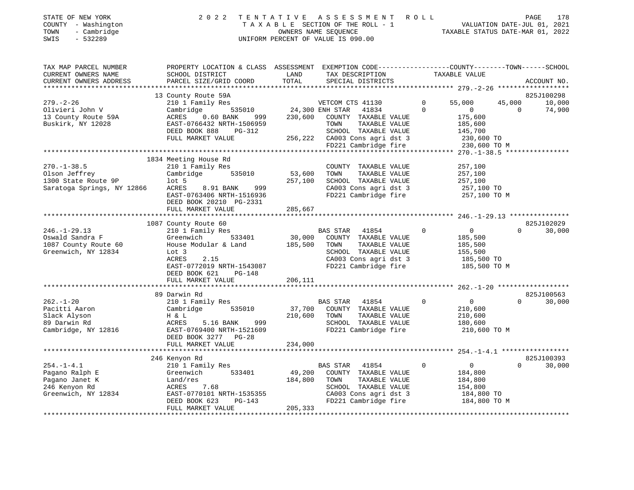| STATE OF NEW YORK          | 2022                                                                                             |         | TENTATIVE ASSESSMENT                                  | R O L L      |                                  |                             | PAGE<br>178 |
|----------------------------|--------------------------------------------------------------------------------------------------|---------|-------------------------------------------------------|--------------|----------------------------------|-----------------------------|-------------|
| COUNTY - Washington        |                                                                                                  |         | TAXABLE SECTION OF THE ROLL - 1                       |              |                                  | VALUATION DATE-JUL 01, 2021 |             |
| TOWN<br>- Cambridge        |                                                                                                  |         | OWNERS NAME SEQUENCE                                  |              | TAXABLE STATUS DATE-MAR 01, 2022 |                             |             |
| SWIS<br>$-532289$          |                                                                                                  |         | UNIFORM PERCENT OF VALUE IS 090.00                    |              |                                  |                             |             |
|                            |                                                                                                  |         |                                                       |              |                                  |                             |             |
| TAX MAP PARCEL NUMBER      | PROPERTY LOCATION & CLASS ASSESSMENT EXEMPTION CODE----------------COUNTY-------TOWN------SCHOOL |         |                                                       |              |                                  |                             |             |
| CURRENT OWNERS NAME        | SCHOOL DISTRICT                                                                                  | LAND    | TAX DESCRIPTION                                       |              | TAXABLE VALUE                    |                             |             |
| CURRENT OWNERS ADDRESS     | PARCEL SIZE/GRID COORD                                                                           | TOTAL   | SPECIAL DISTRICTS                                     |              |                                  |                             | ACCOUNT NO. |
|                            |                                                                                                  |         |                                                       |              |                                  |                             |             |
|                            | 13 County Route 59A                                                                              |         |                                                       |              |                                  |                             | 825J100298  |
| $279. - 2 - 26$            | 210 1 Family Res                                                                                 |         | VETCOM CTS 41130                                      | $\mathbf{0}$ | 55,000                           | 45,000                      | 10,000      |
| Olivieri John V            | 535010<br>Cambridge                                                                              |         | 24,300 ENH STAR<br>41834                              | $\Omega$     | $\overline{0}$                   | $\Omega$                    | 74,900      |
| 13 County Route 59A        | ACRES<br>0.60 BANK 999                                                                           | 230,600 | COUNTY TAXABLE VALUE                                  |              | 175,600                          |                             |             |
| Buskirk, NY 12028          | EAST-0766432 NRTH-1506959                                                                        |         | TOWN<br>TAXABLE VALUE                                 |              | 185,600                          |                             |             |
|                            | DEED BOOK 888<br>PG-312<br>FULL MARKET VALUE                                                     |         | SCHOOL TAXABLE VALUE                                  |              | 145,700                          |                             |             |
|                            |                                                                                                  |         | 256,222 CA003 Cons agri dst 3<br>FD221 Cambridge fire |              | 230,600 TO<br>230,600 TO M       |                             |             |
|                            |                                                                                                  |         |                                                       |              |                                  |                             |             |
|                            | 1834 Meeting House Rd                                                                            |         |                                                       |              |                                  |                             |             |
| $270. - 1 - 38.5$          | 210 1 Family Res                                                                                 |         | COUNTY TAXABLE VALUE                                  |              | 257,100                          |                             |             |
| Olson Jeffrey              | 535010<br>Cambridge                                                                              | 53,600  | TOWN<br>TAXABLE VALUE                                 |              | 257,100                          |                             |             |
| 1300 State Route 9P        | $1$ ot 5                                                                                         | 257,100 | SCHOOL TAXABLE VALUE                                  |              | 257,100                          |                             |             |
| Saratoga Springs, NY 12866 | ACRES<br>8.91 BANK<br>999                                                                        |         | CA003 Cons agri dst 3                                 |              | 257,100 TO                       |                             |             |
|                            | EAST-0763406 NRTH-1516936                                                                        |         | FD221 Cambridge fire                                  |              | 257,100 TO M                     |                             |             |
|                            | DEED BOOK 20210 PG-2331                                                                          |         |                                                       |              |                                  |                             |             |
|                            | FULL MARKET VALUE                                                                                | 285,667 |                                                       |              |                                  |                             |             |
|                            |                                                                                                  |         |                                                       |              |                                  |                             |             |
|                            | 1087 County Route 60                                                                             |         |                                                       |              |                                  |                             | 825J102029  |
| $246. - 1 - 29.13$         | 210 1 Family Res                                                                                 |         | <b>BAS STAR</b><br>41854                              | $\Omega$     | $\overline{0}$                   | $\Omega$                    | 30,000      |
| Oswald Sandra F            | 533401<br>Greenwich                                                                              | 30,000  | COUNTY TAXABLE VALUE                                  |              | 185,500                          |                             |             |
| 1087 County Route 60       | House Modular & Land                                                                             | 185,500 | TOWN<br>TAXABLE VALUE                                 |              | 185,500                          |                             |             |
| Greenwich, NY 12834        | Lot 3                                                                                            |         | SCHOOL TAXABLE VALUE                                  |              | 155,500                          |                             |             |
|                            | 2.15<br>ACRES                                                                                    |         | CA003 Cons agri dst 3                                 |              | 185,500 TO                       |                             |             |
|                            | EAST-0772019 NRTH-1543087                                                                        |         | FD221 Cambridge fire                                  |              | 185,500 TO M                     |                             |             |
|                            | DEED BOOK 621<br>PG-148<br>FULL MARKET VALUE                                                     | 206,111 |                                                       |              |                                  |                             |             |
|                            |                                                                                                  |         |                                                       |              |                                  |                             |             |
|                            | 89 Darwin Rd                                                                                     |         |                                                       |              |                                  |                             | 825J100563  |
| $262. - 1 - 20$            | 210 1 Family Res                                                                                 |         | <b>BAS STAR</b><br>41854                              | $\Omega$     | $\overline{0}$                   | $\Omega$                    | 30,000      |
| Pacitti Aaron              | 535010<br>Cambridge                                                                              | 37,700  | COUNTY TAXABLE VALUE                                  |              | 210,600                          |                             |             |
| Slack Alyson               | H & L                                                                                            | 210,600 | TOWN<br>TAXABLE VALUE                                 |              | 210,600                          |                             |             |
| 89 Darwin Rd               | 999<br>ACRES<br>5.16 BANK                                                                        |         | SCHOOL TAXABLE VALUE                                  |              | 180,600                          |                             |             |
| Cambridge, NY 12816        | EAST-0769400 NRTH-1521609                                                                        |         | FD221 Cambridge fire                                  |              | 210,600 TO M                     |                             |             |
|                            | DEED BOOK 3277 PG-28                                                                             |         |                                                       |              |                                  |                             |             |
|                            | FULL MARKET VALUE                                                                                | 234,000 |                                                       |              |                                  |                             |             |
|                            |                                                                                                  |         |                                                       |              |                                  |                             |             |
|                            | 246 Kenyon Rd                                                                                    |         |                                                       |              |                                  |                             | 825J100393  |
| $254. -1 - 4.1$            | 210 1 Family Res                                                                                 |         | 41854<br>BAS STAR                                     | $\Omega$     | $\overline{0}$                   | $\Omega$                    | 30,000      |
| Pagano Ralph E             | 533401<br>Greenwich                                                                              | 49,200  | COUNTY TAXABLE VALUE                                  |              | 184,800                          |                             |             |
| Pagano Janet K             | Land/res                                                                                         | 184,800 | TOWN<br>TAXABLE VALUE                                 |              | 184,800                          |                             |             |
| 246 Kenyon Rd              | 7.68<br>ACRES                                                                                    |         | SCHOOL TAXABLE VALUE                                  |              | 154,800                          |                             |             |
| Greenwich, NY 12834        | EAST-0770101 NRTH-1535355                                                                        |         | CA003 Cons agri dst 3                                 |              | 184,800 TO                       |                             |             |
|                            | DEED BOOK 623<br>PG-143                                                                          |         | FD221 Cambridge fire                                  |              | 184,800 TO M                     |                             |             |
|                            | FULL MARKET VALUE                                                                                | 205,333 |                                                       |              |                                  |                             |             |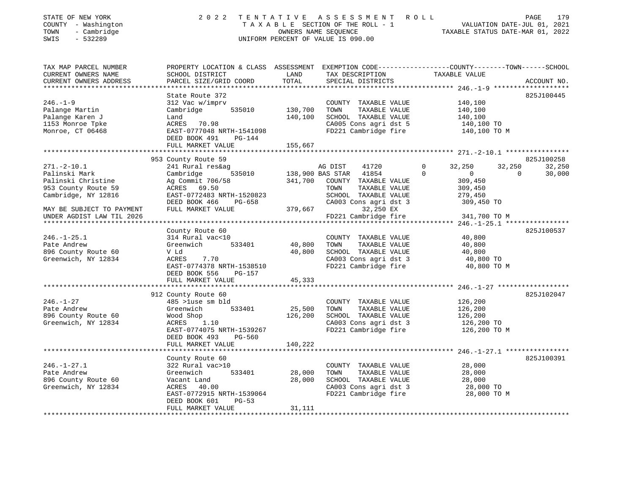| STATE OF NEW YORK<br>- Washington<br>COUNTY<br>- Cambridge<br>TOWN<br>$-532289$<br>SWIS | 2 0 2 2                                                                                                       | TENTATIVE<br>OWNERS NAME SEQUENCE<br>UNIFORM PERCENT OF VALUE IS 090.00 |         | ASSESSMENT ROLL         |          | T A X A B L E SECTION OF THE ROLL - 1 VALUATION DATE-JUL 01, 2021<br>TAXABLE STATUS DATE-MAR 01, 2022 |          | 179<br>PAGE |
|-----------------------------------------------------------------------------------------|---------------------------------------------------------------------------------------------------------------|-------------------------------------------------------------------------|---------|-------------------------|----------|-------------------------------------------------------------------------------------------------------|----------|-------------|
| TAX MAP PARCEL NUMBER<br>CURRENT OWNERS NAME                                            | PROPERTY LOCATION & CLASS ASSESSMENT<br>SCHOOL DISTRICT                                                       | LAND                                                                    |         | TAX DESCRIPTION         |          | EXEMPTION CODE-----------------COUNTY-------TOWN------SCHOOL<br>TAXABLE VALUE                         |          |             |
| CURRENT OWNERS ADDRESS                                                                  | PARCEL SIZE/GRID COORD                                                                                        |                                                                         |         | TOTAL SPECIAL DISTRICTS |          |                                                                                                       |          | ACCOUNT NO. |
|                                                                                         | State Route 372                                                                                               |                                                                         |         |                         |          |                                                                                                       |          | 825J100445  |
| $246. - 1 - 9$                                                                          | 312 Vac w/imprv                                                                                               |                                                                         | COUNTY  | TAXABLE VALUE           |          | 140,100                                                                                               |          |             |
| Palange Martin                                                                          | Cambridge 535010 130,700                                                                                      |                                                                         | TOWN    | TAXABLE VALUE           |          | 140,100                                                                                               |          |             |
| Palange Karen J                                                                         | Land in the season of the season of the season of the season of the season of the season of the season of the | 140,100                                                                 | SCHOOL  | TAXABLE VALUE           |          | 140,100                                                                                               |          |             |
| 1153 Monroe Tpke                                                                        | ACRES 70.98                                                                                                   |                                                                         |         |                         |          | CA005 Cons agri dst 5 140,100 TO                                                                      |          |             |
| Monroe, CT 06468                                                                        | EAST-0777048 NRTH-1541098                                                                                     |                                                                         |         | FD221 Cambridge fire    |          | 140,100 TO M                                                                                          |          |             |
|                                                                                         | DEED BOOK 491<br>$PG-144$                                                                                     |                                                                         |         |                         |          |                                                                                                       |          |             |
|                                                                                         | FULL MARKET VALUE                                                                                             | 155,667                                                                 |         |                         |          |                                                                                                       |          |             |
|                                                                                         |                                                                                                               |                                                                         |         |                         |          |                                                                                                       |          |             |
|                                                                                         | 953 County Route 59                                                                                           |                                                                         |         |                         |          |                                                                                                       |          | 825J100258  |
| $271. - 2 - 10.1$                                                                       | 241 Rural res&ag                                                                                              |                                                                         | AG DIST | 41720                   | $\circ$  | 32,250 32,250                                                                                         |          | 32,250      |
| Palinski Mark                                                                           | Cambridge                                                                                                     | 535010 138,900 BAS STAR                                                 |         | 41854                   | $\Omega$ | $\overline{0}$                                                                                        | $\sim$ 0 | 30,000      |
| Palinski Christine                                                                      | Ag Commit 706/58                                                                                              | 341,700                                                                 | COUNTY  | TAXABLE VALUE           |          | 309,450                                                                                               |          |             |
| 953 County Route 59                                                                     | ACRES 69.50                                                                                                   |                                                                         | TOWN    | TAXABLE VALUE           |          | 309,450                                                                                               |          |             |
| Cambridge, NY 12816                                                                     | EAST-0772483 NRTH-1520823                                                                                     |                                                                         | SCHOOL  | TAXABLE VALUE           |          | 279,450                                                                                               |          |             |

\*\*\*\*\*\*\*\*\*\*\*\*\*\*\*\*\*\*\*\*\*\*\*\*\*\*\*\*\*\*\*\*\*\*\*\*\*\*\*\*\*\*\*\*\*\*\*\*\*\*\*\*\*\*\*\*\*\*\*\*\*\*\*\*\*\*\*\*\*\*\*\*\*\*\*\*\*\*\*\*\*\*\*\*\*\*\*\*\*\*\*\*\*\*\*\*\*\*\*\*\*\*\* 246.-1-25.1 \*\*\*\*\*\*\*\*\*\*\*\*\*\*\*\*

\*\*\*\*\*\*\*\*\*\*\*\*\*\*\*\*\*\*\*\*\*\*\*\*\*\*\*\*\*\*\*\*\*\*\*\*\*\*\*\*\*\*\*\*\*\*\*\*\*\*\*\*\*\*\*\*\*\*\*\*\*\*\*\*\*\*\*\*\*\*\*\*\*\*\*\*\*\*\*\*\*\*\*\*\*\*\*\*\*\*\*\*\*\*\*\*\*\*\*\*\*\*\* 246.-1-27 \*\*\*\*\*\*\*\*\*\*\*\*\*\*\*\*\*\*

\*\*\*\*\*\*\*\*\*\*\*\*\*\*\*\*\*\*\*\*\*\*\*\*\*\*\*\*\*\*\*\*\*\*\*\*\*\*\*\*\*\*\*\*\*\*\*\*\*\*\*\*\*\*\*\*\*\*\*\*\*\*\*\*\*\*\*\*\*\*\*\*\*\*\*\*\*\*\*\*\*\*\*\*\*\*\*\*\*\*\*\*\*\*\*\*\*\*\*\*\*\*\* 246.-1-27.1 \*\*\*\*\*\*\*\*\*\*\*\*\*\*\*\*

\*\*\*\*\*\*\*\*\*\*\*\*\*\*\*\*\*\*\*\*\*\*\*\*\*\*\*\*\*\*\*\*\*\*\*\*\*\*\*\*\*\*\*\*\*\*\*\*\*\*\*\*\*\*\*\*\*\*\*\*\*\*\*\*\*\*\*\*\*\*\*\*\*\*\*\*\*\*\*\*\*\*\*\*\*\*\*\*\*\*\*\*\*\*\*\*\*\*\*\*\*\*\*\*\*\*\*\*\*\*\*\*\*\*\*\*\*\*\*\*\*\*\*\*\*\*\*\*\*\*\*\*

UNDER AGDIST LAW TIL 2026 FD221 Cambridge fire 341,700 TO M

246.-1-25.1 314 Rural vac<10 COUNTY TAXABLE VALUE 40,800 Pate Andrew Greenwich 533401 40,800 TOWN TAXABLE VALUE 40,800 896 County Route 60  $V$  Ld  $G$  and  $V$  and  $G$  and  $G$  and  $G$  and  $G$  and  $G$  and  $G$  and  $G$  and  $G$  and  $G$  and  $G$  and  $G$  and  $G$  and  $G$  and  $G$  and  $G$  and  $G$  and  $G$  and  $G$  and  $G$  and  $G$  and  $G$  and  $G$  and  $G$ 

246.-1-27 485 >1use sm bld COUNTY TAXABLE VALUE 126,200 Pate Andrew Greenwich 533401 25,500 TOWN TAXABLE VALUE 126,200 896 County Route 60 Wood Shop 126,200 SCHOOL TAXABLE VALUE 126,200 896 County Route 60  $\frac{126,200}{26}$  SCHOOL TAXABLE VALUE  $\frac{126,200}{26}$  126,200 TO

246.-1-27.1 322 Rural vac>10 COUNTY TAXABLE VALUE 28,000 Pate Andrew Greenwich 533401 28,000 TOWN TAXABLE VALUE 28,000 896 County Route 60 Vacant Land 28,000 SCHOOL TAXABLE VALUE 28,000

MAY BE SUBJECT TO PAYMENT FULL MARKET VALUE 379,667 32,250 EX

FULL MARKET VALUE 45,333

FULL MARKET VALUE 140,222

DEED BOOK 556 PG-157

DEED BOOK 493 PG-560

County Route 60

 DEED BOOK 601 PG-53FULL MARKET VALUE 31,111

DEED BOOK 466 PG-658 CA003 Cons agri dst 3 309,450 TO

ACRES 7.70 CA003 Cons agri dst 3 40,800 TO EAST-0774378 NRTH-1538510 FD221 Cambridge fire 40,800 TO M

EAST-0774075 NRTH-1539267 FD221 Cambridge fire 126,200 TO M

ACRES 40.00 CA003 Cons agri dst 3 28,000 TO EAST-0772915 NRTH-1539064 FD221 Cambridge fire 28,000 TO M

County Route 60 825J100537<br>314 Rural vac<10 625J100537 825J100537

912 County Route 60 825J102047

825J100391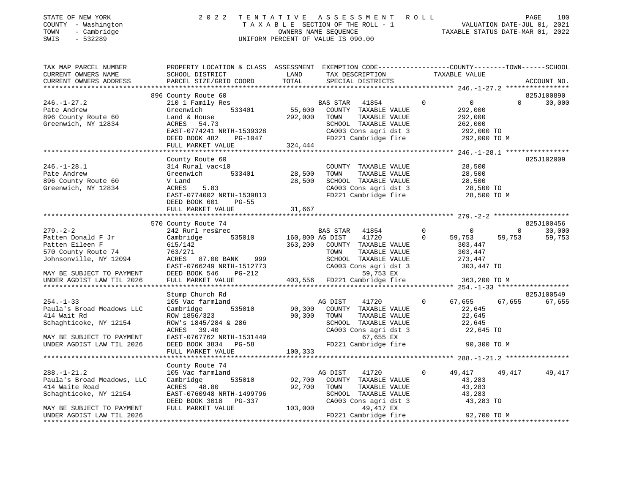| SWIS | STATE OF NEW YORK<br>COUNTY - Washington<br>TOWN - Cambridge<br>$-532289$ |                                                                                                                    |      | 2022 TENTATIVE ASSESSMENT ROLL<br>TAXABLE SECTION OF THE ROLL - 1<br>OWNERS NAME SEOUENCE<br>UNIFORM PERCENT OF VALUE IS 090.00 | TAXABLE STATUS DATE-MAR 01, 2022 | PAGE<br>VALUATION DATE-JUL 01, 2021 | 180 |
|------|---------------------------------------------------------------------------|--------------------------------------------------------------------------------------------------------------------|------|---------------------------------------------------------------------------------------------------------------------------------|----------------------------------|-------------------------------------|-----|
|      | TAX MAP PARCEL NUMBER<br>CURRENT OWNERS NAME                              | PROPERTY LOCATION & CLASS ASSESSMENT EXEMPTION CODE---------------COUNTY-------TOWN------SCHOOL<br>SCHOOL DISTRICT | LAND | TAX DESCRIPTION                                                                                                                 | TAXABLE VALUE                    |                                     |     |

| CURRENT OWNERS NAME        | SCHOOT DISTRICT               | LAND            | TAX DESCRIPTION          |              | TAXABLE VALUE     |                |             |
|----------------------------|-------------------------------|-----------------|--------------------------|--------------|-------------------|----------------|-------------|
| CURRENT OWNERS ADDRESS     | PARCEL SIZE/GRID COORD        | TOTAL           | SPECIAL DISTRICTS        |              |                   |                | ACCOUNT NO. |
|                            |                               |                 |                          |              |                   |                |             |
|                            | 896 County Route 60           |                 |                          |              |                   |                | 825J100890  |
| $246. - 1 - 27.2$          | 210 1 Family Res              |                 | BAS STAR<br>41854        | $\mathbf 0$  | $0 \qquad \qquad$ | $\Omega$       | 30,000      |
| Pate Andrew                | 533401<br>Greenwich           | 55,600          | COUNTY TAXABLE VALUE     |              | 292,000           |                |             |
| 896 County Route 60        | Land & House                  | 292,000         | TAXABLE VALUE<br>TOWN    |              | 292,000           |                |             |
| Greenwich, NY 12834        | ACRES 54.73                   |                 | SCHOOL TAXABLE VALUE     |              | 262,000           |                |             |
|                            | EAST-0774241 NRTH-1539328     |                 | CA003 Cons agri dst 3    |              | 292,000 TO        |                |             |
|                            | DEED BOOK 482<br>PG-1047      |                 | FD221 Cambridge fire     |              | 292,000 TO M      |                |             |
|                            | FULL MARKET VALUE             | 324,444         |                          |              |                   |                |             |
|                            |                               |                 |                          |              |                   |                |             |
|                            | County Route 60               |                 |                          |              |                   |                | 825J102009  |
| $246. - 1 - 28.1$          | 314 Rural vac<10              |                 | COUNTY TAXABLE VALUE     |              | 28,500            |                |             |
| Pate Andrew                | 533401<br>Greenwich           | 28,500          | TOWN<br>TAXABLE VALUE    |              | 28,500            |                |             |
| 896 County Route 60        | V Land                        | 28,500          | SCHOOL TAXABLE VALUE     |              | 28,500            |                |             |
| Greenwich, NY 12834        | ACRES<br>5.83                 |                 | CA003 Cons agri dst 3    |              | 28,500 TO         |                |             |
|                            | EAST-0774002 NRTH-1539813     |                 | FD221 Cambridge fire     |              | 28,500 TO M       |                |             |
|                            | DEED BOOK 601<br><b>PG-55</b> |                 |                          |              |                   |                |             |
|                            |                               |                 |                          |              |                   |                |             |
|                            |                               |                 |                          |              |                   |                |             |
|                            |                               |                 |                          |              |                   |                |             |
|                            | 570 County Route 74           |                 |                          | $\Omega$     |                   |                | 825J100456  |
| $279. - 2 - 2$             | 242 Rurl res&rec              |                 | <b>BAS STAR</b><br>41854 |              | $\mathbf 0$       | $\overline{0}$ | 30,000      |
| Patten Donald F Jr         | 535010<br>Cambridge           | 160,800 AG DIST | 41720                    | $\Omega$     | 59,753            | 59,753         | 59,753      |
| Patten Eileen F            | 615/142                       | 363,200         | COUNTY TAXABLE VALUE     |              | 303,447           |                |             |
| 570 County Route 74        | 763/271                       |                 | TOWN<br>TAXABLE VALUE    |              | 303,447           |                |             |
| Johnsonville, NY 12094     | ACRES 87.00 BANK<br>999       |                 | SCHOOL TAXABLE VALUE     |              | 273,447           |                |             |
|                            | EAST-0766249 NRTH-1512773     |                 | CA003 Cons agri dst 3    |              | 303,447 TO        |                |             |
| MAY BE SUBJECT TO PAYMENT  | DEED BOOK 546<br>$PG-212$     |                 | 59,753 EX                |              |                   |                |             |
| UNDER AGDIST LAW TIL 2026  | FULL MARKET VALUE             | 403,556         | FD221 Cambridge fire     |              | 363,200 TO M      |                |             |
|                            |                               |                 |                          |              |                   |                |             |
|                            | Stump Church Rd               |                 |                          |              |                   |                | 825J100549  |
| $254. - 1 - 33$            | 105 Vac farmland              |                 | 41720<br>AG DIST         | $\circ$      | 67,655            | 67,655         | 67,655      |
| Paula's Broad Meadows LLC  | 535010<br>Cambridge           | 90,300          | COUNTY TAXABLE VALUE     |              | 22,645            |                |             |
| 414 Wait Rd                | ROW 1856/323                  | 90,300          | TOWN<br>TAXABLE VALUE    |              | 22,645            |                |             |
| Schaghticoke, NY 12154     | ROW's 1845/284 & 286          |                 | SCHOOL TAXABLE VALUE     |              | 22,645            |                |             |
|                            | ACRES 39.40                   |                 | CA003 Cons agri dst 3    |              | 22,645 TO         |                |             |
| MAY BE SUBJECT TO PAYMENT  | EAST-0767762 NRTH-1531449     |                 | 67,655 EX                |              |                   |                |             |
| UNDER AGDIST LAW TIL 2026  | DEED BOOK 3834 PG-58          |                 | FD221 Cambridge fire     |              | 90,300 TO M       |                |             |
|                            | FULL MARKET VALUE             | 100,333         |                          |              |                   |                |             |
|                            |                               |                 |                          |              |                   |                |             |
|                            | County Route 74               |                 |                          |              |                   |                |             |
| $288. - 1 - 21.2$          | 105 Vac farmland              |                 | 41720<br>AG DIST         | $\mathbf{0}$ | 49,417            | 49,417         | 49,417      |
| Paula's Broad Meadows, LLC | 535010<br>Cambridge           | 92,700          | COUNTY TAXABLE VALUE     |              | 43,283            |                |             |
| 414 Waite Road             | ACRES 48.80                   | 92,700          | TOWN<br>TAXABLE VALUE    |              | 43,283            |                |             |
| Schaghticoke, NY 12154     | EAST-0760948 NRTH-1499796     |                 | SCHOOL TAXABLE VALUE     |              | 43,283            |                |             |
|                            | DEED BOOK 3018 PG-337         |                 | CA003 Cons agri dst 3    |              | 43,283 TO         |                |             |
| MAY BE SUBJECT TO PAYMENT  | FULL MARKET VALUE             | 103,000         | 49,417 EX                |              |                   |                |             |
| UNDER AGDIST LAW TIL 2026  |                               |                 | FD221 Cambridge fire     |              | 92,700 TO M       |                |             |
|                            |                               |                 |                          |              |                   |                |             |
|                            |                               |                 |                          |              |                   |                |             |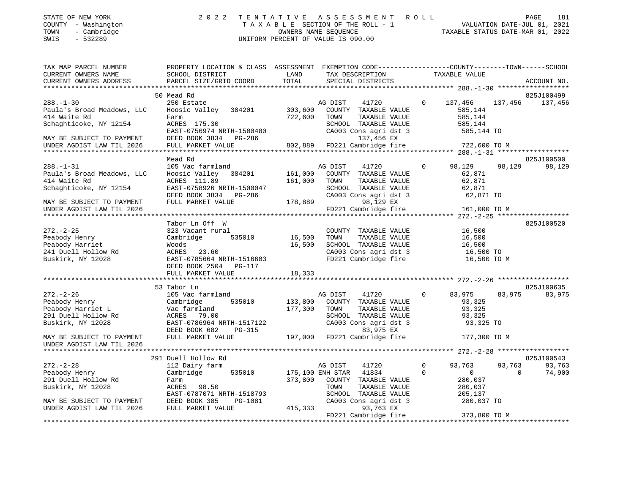| STATE OF NEW YORK |                          |            |
|-------------------|--------------------------|------------|
| COUNTY            | $\overline{\phantom{0}}$ | Washington |
| <b>TOMATAT</b>    |                          | CombriAac  |

## STATE OF NEW YORK 2 0 2 2 T E N T A T I V E A S S E S S M E N T R O L L PAGE 181 COUNTY - Washington T A X A B L E SECTION OF THE ROLL - 1 VALUATION DATE-JUL 01, 2021 TOWN - Cambridge OWNERS NAME SEQUENCE TAXABLE STATUS DATE-MAR 01, 2022 SWIS - 532289 UNIFORM PERCENT OF VALUE IS 090.00

| TAX MAP PARCEL NUMBER<br>CURRENT OWNERS NAME<br>CURRENT OWNERS ADDRESS                                               | PROPERTY LOCATION & CLASS ASSESSMENT EXEMPTION CODE---------------COUNTY-------TOWN-----SCHOOL<br>SCHOOL DISTRICT<br>PARCEL SIZE/GRID COORD | LAND<br>TOTAL              | TAX DESCRIPTION<br>SPECIAL DISTRICTS                                                                                                     |              | TAXABLE VALUE                                                   |          | ACCOUNT NO. |
|----------------------------------------------------------------------------------------------------------------------|---------------------------------------------------------------------------------------------------------------------------------------------|----------------------------|------------------------------------------------------------------------------------------------------------------------------------------|--------------|-----------------------------------------------------------------|----------|-------------|
|                                                                                                                      |                                                                                                                                             |                            |                                                                                                                                          |              |                                                                 |          |             |
|                                                                                                                      | 50 Mead Rd                                                                                                                                  |                            |                                                                                                                                          |              |                                                                 |          | 825J100499  |
| $288. - 1 - 30$<br>Paula's Broad Meadows, LLC<br>414 Waite Rd<br>Schaghticoke, NY 12154<br>MAY BE SUBJECT TO PAYMENT | 250 Estate<br>Hoosic Valley 384201<br>Farm<br>ACRES 175.30<br>EAST-0756974 NRTH-1500480<br>DEED BOOK 3834 PG-286                            | 722,600                    | AG DIST<br>41720<br>303,600 COUNTY TAXABLE VALUE<br>TOWN<br>TAXABLE VALUE<br>SCHOOL TAXABLE VALUE<br>CA003 Cons agri dst 3<br>137,456 EX | $\circ$      | 137,456<br>585,144<br>585,144<br>585,144<br>585,144 TO          | 137,456  | 137,456     |
| UNDER AGDIST LAW TIL 2026                                                                                            | FULL MARKET VALUE                                                                                                                           |                            | 802,889 FD221 Cambridge fire 722,600 TO M                                                                                                |              |                                                                 |          |             |
|                                                                                                                      |                                                                                                                                             |                            |                                                                                                                                          |              |                                                                 |          |             |
|                                                                                                                      | Mead Rd                                                                                                                                     |                            |                                                                                                                                          |              |                                                                 |          | 825J100500  |
| $288. - 1 - 31$<br>Paula's Broad Meadows, LLC<br>414 Waite Rd<br>Schaghticoke, NY 12154                              | 105 Vac farmland<br>Hoosic Valley 384201 161,000<br>ACRES 111.89<br>EAST-0758926 NRTH-1500047<br>DEED BOOK 3834 PG-286                      | 161,000                    | AG DIST<br>41720<br>COUNTY TAXABLE VALUE<br>TOWN<br>TAXABLE VALUE<br>SCHOOL TAXABLE VALUE<br>CA003 Cons agri dst 3                       | $\Omega$     | 98,129<br>62,871<br>62,871<br>62,871<br>62,871 TO               | 98,129   | 98,129      |
| MAY BE SUBJECT TO PAYMENT                                                                                            | FULL MARKET VALUE                                                                                                                           | 178,889                    | 98,129 EX<br>FD221 Cambridge fire 161,000 TO M                                                                                           |              |                                                                 |          |             |
| UNDER AGDIST LAW TIL 2026                                                                                            |                                                                                                                                             |                            |                                                                                                                                          |              |                                                                 |          |             |
|                                                                                                                      | Tabor Ln Off W                                                                                                                              |                            |                                                                                                                                          |              |                                                                 |          | 825J100520  |
| $272. - 2 - 25$<br>Peabody Henry<br>Peabody Harriet<br>241 Duell Hollow Rd<br>Buskirk, NY 12028                      | 323 Vacant rural<br>Cambridge<br>535010<br>Woods<br>ACRES 23.60<br>EAST-0785664 NRTH-1516603<br>DEED BOOK 2504 PG-117<br>FULL MARKET VALUE  | 16,500<br>16,500<br>18,333 | COUNTY TAXABLE VALUE<br>TAXABLE VALUE<br>TOWN<br>SCHOOL TAXABLE VALUE<br>CA003 Cons agri dst 3<br>FD221 Cambridge fire                   |              | 16,500<br>16,500<br>16,500<br>16,500 TO<br>16,500 TO M          |          |             |
|                                                                                                                      |                                                                                                                                             |                            |                                                                                                                                          |              |                                                                 |          |             |
|                                                                                                                      | 53 Tabor Ln                                                                                                                                 |                            |                                                                                                                                          |              |                                                                 |          | 825J100635  |
| $272. - 2 - 26$<br>Peabody Henry<br>Peabody Harriet L<br>291 Duell Hollow Rd<br>Buskirk, NY 12028                    | 105 Vac farmland<br>535010<br>Cambridge<br>Vac farmland<br>ACRES 79.00<br>EAST-0786964 NRTH-1517122<br>$PG-315$<br>DEED BOOK 682            | 133,800<br>177,300         | AG DIST<br>41720<br>COUNTY TAXABLE VALUE<br>TAXABLE VALUE<br>TOWN<br>SCHOOL TAXABLE VALUE<br>CA003 Cons agri dst 3<br>83,975 EX          | $\Omega$     | 83,975<br>93,325<br>93,325<br>93,325<br>93,325 TO               | 83,975   | 83,975      |
| MAY BE SUBJECT TO PAYMENT<br>UNDER AGDIST LAW TIL 2026                                                               | FULL MARKET VALUE                                                                                                                           |                            | 197,000 FD221 Cambridge fire                                                                                                             |              | 177,300 TO M                                                    |          |             |
|                                                                                                                      | 291 Duell Hollow Rd                                                                                                                         |                            |                                                                                                                                          |              |                                                                 |          | 825J100543  |
| $272. - 2 - 28$                                                                                                      | 112 Dairy farm                                                                                                                              |                            | AG DIST<br>41720                                                                                                                         | $\mathbf{0}$ | 93,763                                                          | 93,763   | 93,763      |
| Peabody Henry<br>291 Duell Hollow Rd<br>Buskirk, NY 12028<br>MAY BE SUBJECT TO PAYMENT DEED BOOK 385                 | Cambridge<br>535010<br>Farm<br>ACRES 98.50<br>EAST-0787071 NRTH-1518793<br>PG-1081                                                          |                            | 175,100 ENH STAR 41834<br>373,800 COUNTY TAXABLE VALUE<br>TOWN<br>TAXABLE VALUE<br>SCHOOL TAXABLE VALUE<br>CA003 Cons agri dst 3         | $\Omega$     | $\overline{0}$<br>280,037<br>280,037<br>205,137<br>$280,037$ TO | $\Omega$ | 74,900      |
| UNDER AGDIST LAW TIL 2026                                                                                            | FULL MARKET VALUE                                                                                                                           | 415,333                    | 93,763 EX<br>FD221 Cambridge fire                                                                                                        |              | 373,800 TO M                                                    |          |             |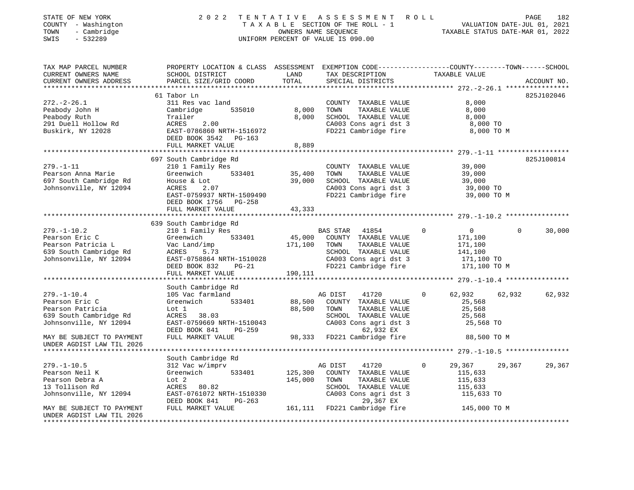| STATE OF NEW YORK<br>COUNTY - Washington<br>- Cambridge<br>TOWN<br>$-532289$<br>SWIS | 2 0 2 2                                                                                                                                      | TENTATIVE     | A S S E S S M E N T A O L L<br>TAXABLE SECTION OF THE ROLL - 1<br>OWNERS NAME SEQUENCE<br>TAXABLE STATUS DATE-MAR 01, 2022<br>UNIFORM PERCENT OF VALUE IS 090.00 |                                            | 182<br>PAGE        |
|--------------------------------------------------------------------------------------|----------------------------------------------------------------------------------------------------------------------------------------------|---------------|------------------------------------------------------------------------------------------------------------------------------------------------------------------|--------------------------------------------|--------------------|
| TAX MAP PARCEL NUMBER<br>CURRENT OWNERS NAME<br>CURRENT OWNERS ADDRESS               | PROPERTY LOCATION & CLASS ASSESSMENT EXEMPTION CODE---------------COUNTY-------TOWN------SCHOOL<br>SCHOOL DISTRICT<br>PARCEL SIZE/GRID COORD | LAND<br>TOTAL | TAX DESCRIPTION<br>SPECIAL DISTRICTS                                                                                                                             | TAXABLE VALUE                              | ACCOUNT NO.        |
|                                                                                      |                                                                                                                                              |               |                                                                                                                                                                  |                                            |                    |
|                                                                                      | 61 Tabor Ln                                                                                                                                  |               |                                                                                                                                                                  |                                            | 825J102046         |
| $272. - 2 - 26.1$<br>Peabody John H                                                  | 311 Res vac land<br>Cambridge<br>535010                                                                                                      | 8,000         | COUNTY TAXABLE VALUE<br>TOWN<br>TAXABLE VALUE                                                                                                                    | 8,000<br>8,000                             |                    |
| Peabody Ruth                                                                         | Trailer                                                                                                                                      | 8,000         | SCHOOL TAXABLE VALUE                                                                                                                                             | 8,000                                      |                    |
| 291 Duell Hollow Rd                                                                  | ACRES<br>2.00                                                                                                                                |               | CA003 Cons agri dst 3                                                                                                                                            | 8,000 TO                                   |                    |
| Buskirk, NY 12028                                                                    | EAST-0786860 NRTH-1516972                                                                                                                    |               | FD221 Cambridge fire                                                                                                                                             | 8,000 TO M                                 |                    |
|                                                                                      | DEED BOOK 3542 PG-163                                                                                                                        |               |                                                                                                                                                                  |                                            |                    |
|                                                                                      | FULL MARKET VALUE                                                                                                                            | 8,889         |                                                                                                                                                                  |                                            |                    |
|                                                                                      | ***********************                                                                                                                      |               |                                                                                                                                                                  | ************ 279.-1-11 ******************* |                    |
|                                                                                      | 697 South Cambridge Rd                                                                                                                       |               |                                                                                                                                                                  |                                            | 825J100814         |
| $279. - 1 - 11$                                                                      | 210 1 Family Res                                                                                                                             |               | COUNTY TAXABLE VALUE                                                                                                                                             | 39,000                                     |                    |
| Pearson Anna Marie                                                                   | 533401<br>Greenwich                                                                                                                          | 35,400        | TOWN<br>TAXABLE VALUE                                                                                                                                            | 39,000                                     |                    |
| 697 South Cambridge Rd                                                               | House & Lot                                                                                                                                  | 39,000        | SCHOOL TAXABLE VALUE                                                                                                                                             | 39,000                                     |                    |
| Johnsonville, NY 12094                                                               | ACRES<br>2.07                                                                                                                                |               | CA003 Cons agri dst 3                                                                                                                                            | 39,000 TO                                  |                    |
|                                                                                      | EAST-0759937 NRTH-1509490                                                                                                                    |               | FD221 Cambridge fire                                                                                                                                             | 39,000 TO M                                |                    |
|                                                                                      | DEED BOOK 1756 PG-258                                                                                                                        |               |                                                                                                                                                                  |                                            |                    |
|                                                                                      | FULL MARKET VALUE                                                                                                                            | 43,333        |                                                                                                                                                                  |                                            |                    |
|                                                                                      |                                                                                                                                              |               |                                                                                                                                                                  |                                            |                    |
|                                                                                      | 639 South Cambridge Rd                                                                                                                       |               |                                                                                                                                                                  |                                            |                    |
| $279. - 1 - 10.2$                                                                    | 210 1 Family Res                                                                                                                             |               | BAS STAR 41854                                                                                                                                                   | $\mathbf{0}$<br>$\mathbf{0}$               | $\Omega$<br>30,000 |
| Pearson Eric C                                                                       | Greenwich<br>533401                                                                                                                          | 45,000        | COUNTY TAXABLE VALUE                                                                                                                                             | 171,100                                    |                    |
| Pearson Patricia L<br>639 South Cambridge Rd                                         | Vac Land/imp<br>ACRES<br>5.73                                                                                                                | 171,100       | TOWN<br>TAXABLE VALUE<br>SCHOOL TAXABLE VALUE                                                                                                                    | 171,100<br>141,100                         |                    |
| Johnsonville, NY 12094                                                               | EAST-0758864 NRTH-1510028                                                                                                                    |               | CA003 Cons agri dst 3                                                                                                                                            | 171,100 TO                                 |                    |
|                                                                                      | DEED BOOK 832 PG-21                                                                                                                          |               | FD221 Cambridge fire                                                                                                                                             | 171,100 TO M                               |                    |
|                                                                                      | FULL MARKET VALUE                                                                                                                            | 190,111       |                                                                                                                                                                  |                                            |                    |
|                                                                                      |                                                                                                                                              |               |                                                                                                                                                                  |                                            |                    |
|                                                                                      | South Cambridge Rd                                                                                                                           |               |                                                                                                                                                                  |                                            |                    |
| $279. - 1 - 10.4$                                                                    | 105 Vac farmland                                                                                                                             |               | AG DIST<br>41720                                                                                                                                                 | 62,932<br>$\Omega$                         | 62,932<br>62,932   |
| Pearson Eric C                                                                       | 533401<br>Greenwich                                                                                                                          | 88,500        | COUNTY TAXABLE VALUE                                                                                                                                             | 25,568                                     |                    |
| Pearson Patricia                                                                     | Lot 1                                                                                                                                        | 88,500        | TAXABLE VALUE<br>TOWN                                                                                                                                            | 25,568                                     |                    |
| 639 South Cambridge Rd                                                               | 38.03<br>ACRES                                                                                                                               |               | SCHOOL TAXABLE VALUE                                                                                                                                             | 25,568                                     |                    |
| Johnsonville, NY 12094                                                               | EAST-0759669 NRTH-1510043                                                                                                                    |               | CA003 Cons agri dst 3                                                                                                                                            | 25,568 TO                                  |                    |
|                                                                                      | DEED BOOK 841<br>PG-259                                                                                                                      |               | 62,932 EX                                                                                                                                                        |                                            |                    |
| MAY BE SUBJECT TO PAYMENT                                                            | FULL MARKET VALUE                                                                                                                            |               | 98,333 FD221 Cambridge fire                                                                                                                                      | 88,500 TO M                                |                    |
| UNDER AGDIST LAW TIL 2026                                                            |                                                                                                                                              |               |                                                                                                                                                                  |                                            |                    |
|                                                                                      |                                                                                                                                              |               |                                                                                                                                                                  |                                            |                    |
|                                                                                      | South Cambridge Rd                                                                                                                           |               |                                                                                                                                                                  |                                            |                    |
| $279. - 1 - 10.5$                                                                    | 312 Vac w/imprv                                                                                                                              |               | AG DIST<br>41720                                                                                                                                                 | $\Omega$<br>29,367                         | 29,367<br>29,367   |
| Pearson Neil K                                                                       | Greenwich<br>533401                                                                                                                          | 125,300       | COUNTY TAXABLE VALUE                                                                                                                                             | 115,633                                    |                    |
| Pearson Debra A                                                                      | Lot 2                                                                                                                                        | 145,000       | TOWN<br>TAXABLE VALUE                                                                                                                                            | 115,633                                    |                    |
| 13 Tollison Rd                                                                       | ACRES 80.82                                                                                                                                  |               | SCHOOL TAXABLE VALUE                                                                                                                                             | 115,633                                    |                    |
| Johnsonville, NY 12094                                                               | EAST-0761072 NRTH-1510330                                                                                                                    |               | CA003 Cons agri dst 3<br>29,367 EX                                                                                                                               | 115,633 TO                                 |                    |
| MAY BE SUBJECT TO PAYMENT                                                            | DEED BOOK 841<br>PG-263<br>FULL MARKET VALUE                                                                                                 |               | 161,111 FD221 Cambridge fire                                                                                                                                     | 145,000 TO M                               |                    |
| UNDER AGDIST LAW TIL 2026                                                            |                                                                                                                                              |               |                                                                                                                                                                  |                                            |                    |
|                                                                                      |                                                                                                                                              |               |                                                                                                                                                                  |                                            |                    |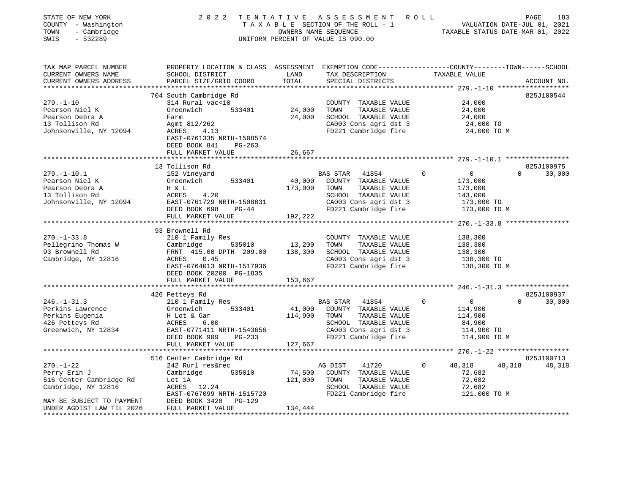| STATE OF NEW YORK<br>COUNTY - Washington<br>TOWN<br>- Cambridge<br>SWIS<br>$-532289$ |                                                                                                                    |              | 2022 TENTATIVE ASSESSMENT ROLL<br>T A X A B L E SECTION OF THE ROLL - 1<br>OWNERS NAME SEQUENCE TAXABLE STATUS DATE-MAR 01. 2022<br>UNIFORM PERCENT OF VALUE IS 090.00 |             |                    | PAGE     | 183         |
|--------------------------------------------------------------------------------------|--------------------------------------------------------------------------------------------------------------------|--------------|------------------------------------------------------------------------------------------------------------------------------------------------------------------------|-------------|--------------------|----------|-------------|
| TAX MAP PARCEL NUMBER<br>CURRENT OWNERS NAME                                         | PROPERTY LOCATION & CLASS ASSESSMENT EXEMPTION CODE---------------COUNTY-------TOWN------SCHOOL<br>SCHOOL DISTRICT | LAND         | TAX DESCRIPTION TAXABLE VALUE                                                                                                                                          |             |                    |          |             |
| CURRENT OWNERS ADDRESS                                                               | PARCEL SIZE/GRID COORD                                                                                             | TOTAL        | SPECIAL DISTRICTS                                                                                                                                                      |             |                    |          | ACCOUNT NO. |
|                                                                                      | 704 South Cambridge Rd                                                                                             |              |                                                                                                                                                                        |             |                    |          | 825J100544  |
| $279. - 1 - 10$                                                                      | 314 Rural vac<10                                                                                                   |              | COUNTY TAXABLE VALUE                                                                                                                                                   |             | 24,000             |          |             |
| Pearson Niel K                                                                       | 533401<br>Greenwich                                                                                                | 24,000       | TOWN<br>TAXABLE VALUE                                                                                                                                                  |             | 24,000             |          |             |
| Pearson Debra A                                                                      | Farm                                                                                                               | 24,000       | SCHOOL TAXABLE VALUE                                                                                                                                                   |             | 24,000             |          |             |
| 13 Tollison Rd                                                                       | Agmt 812/262                                                                                                       |              | CA003 Cons agri dst 3                                                                                                                                                  |             | 24,000 TO          |          |             |
| Johnsonville, NY 12094                                                               | ACRES 4.13                                                                                                         |              | FD221 Cambridge fire                                                                                                                                                   |             | 24,000 TO M        |          |             |
|                                                                                      | EAST-0761335 NRTH-1508574                                                                                          |              |                                                                                                                                                                        |             |                    |          |             |
|                                                                                      | DEED BOOK 841<br>PG-263                                                                                            |              |                                                                                                                                                                        |             |                    |          |             |
|                                                                                      | FULL MARKET VALUE                                                                                                  | 26,667       |                                                                                                                                                                        |             |                    |          |             |
|                                                                                      |                                                                                                                    |              |                                                                                                                                                                        |             |                    |          |             |
|                                                                                      | 13 Tollison Rd                                                                                                     |              |                                                                                                                                                                        |             |                    |          | 825J100975  |
| $279. - 1 - 10.1$<br>Pearson Niel K                                                  | 152 Vineyard<br>533401<br>Greenwich                                                                                |              | BAS STAR 41854                                                                                                                                                         | $\Omega$    | $\overline{0}$     | $\Omega$ | 30,000      |
| Pearson Debra A                                                                      | H & L                                                                                                              | 173,000 TOWN | 40,000 COUNTY TAXABLE VALUE<br>TAXABLE VALUE                                                                                                                           |             | 173,000<br>173,000 |          |             |
| 13 Tollison Rd                                                                       | ACRES<br>4.20                                                                                                      |              | SCHOOL TAXABLE VALUE                                                                                                                                                   |             | 143,000            |          |             |
| Johnsonville, NY 12094                                                               | EAST-0761729 NRTH-1508831                                                                                          |              | CA003 Cons agri dst 3                                                                                                                                                  |             | 173,000 TO         |          |             |
|                                                                                      | DEED BOOK 698<br>$PG-44$                                                                                           |              | FD221 Cambridge fire                                                                                                                                                   |             | 173,000 TO M       |          |             |
|                                                                                      | FULL MARKET VALUE                                                                                                  | 192,222      |                                                                                                                                                                        |             |                    |          |             |
|                                                                                      |                                                                                                                    |              |                                                                                                                                                                        |             |                    |          |             |
|                                                                                      | 93 Brownell Rd                                                                                                     |              |                                                                                                                                                                        |             |                    |          |             |
| $270. - 1 - 33.8$                                                                    | 210 1 Family Res                                                                                                   |              | COUNTY TAXABLE VALUE                                                                                                                                                   |             | 138,300            |          |             |
| Pellegrino Thomas W                                                                  | Cambridge 535010                                                                                                   | 13,200       | TAXABLE VALUE<br>TOWN                                                                                                                                                  |             | 138,300            |          |             |
| 93 Brownell Rd                                                                       | FRNT 415.00 DPTH 209.00                                                                                            | 138,300      | SCHOOL TAXABLE VALUE                                                                                                                                                   |             | 138,300            |          |             |
| Cambridge, NY 12816                                                                  | 0.45<br>ACRES                                                                                                      |              | CA003 Cons agri dst 3                                                                                                                                                  |             | 138,300 TO         |          |             |
|                                                                                      | EAST-0764013 NRTH-1517936                                                                                          |              | FD221 Cambridge fire                                                                                                                                                   |             | 138,300 TO M       |          |             |
|                                                                                      | DEED BOOK 20200 PG-1835                                                                                            |              |                                                                                                                                                                        |             |                    |          |             |
|                                                                                      | FULL MARKET VALUE<br>************************                                                                      | 153,667      |                                                                                                                                                                        |             |                    |          |             |
|                                                                                      | 426 Petteys Rd                                                                                                     |              |                                                                                                                                                                        |             |                    |          | 825J100937  |
| $246. - 1 - 31.3$                                                                    | 210 1 Family Res                                                                                                   |              | BAS STAR 41854                                                                                                                                                         | $\mathbf 0$ | $\overline{0}$     | $\Omega$ | 30,000      |
| Perkins Lawrence                                                                     | Greenwich 533401                                                                                                   | 41,000       | COUNTY TAXABLE VALUE                                                                                                                                                   |             | 114,900            |          |             |
| Perkins Eugenia                                                                      | H Lot & Gar                                                                                                        | 114,900 TOWN | TAXABLE VALUE                                                                                                                                                          |             | 114,900            |          |             |
| 426 Petteys Rd                                                                       | ACRES<br>6.00                                                                                                      |              | SCHOOL TAXABLE VALUE                                                                                                                                                   |             | 84,900             |          |             |
| Greenwich, NY 12834                                                                  | EAST-0771411 NRTH-1543656                                                                                          |              | CA003 Cons agri dst 3                                                                                                                                                  |             | 114,900 TO         |          |             |
|                                                                                      | DEED BOOK 909 PG-233                                                                                               |              | FD221 Cambridge fire                                                                                                                                                   |             | 114,900 TO M       |          |             |
|                                                                                      | FULL MARKET VALUE                                                                                                  | 127,667      |                                                                                                                                                                        |             |                    |          |             |
|                                                                                      |                                                                                                                    |              |                                                                                                                                                                        |             |                    |          |             |
|                                                                                      | 516 Center Cambridge Rd                                                                                            |              |                                                                                                                                                                        |             |                    |          | 825J100713  |
| $270. - 1 - 22$                                                                      | 242 Rurl res&rec                                                                                                   |              | AG DIST<br>41720                                                                                                                                                       | 0           | 48,318             | 48,318   | 48,318      |
| Perry Erin J                                                                         | Cambridge<br>535010                                                                                                | 74,500       | COUNTY TAXABLE VALUE                                                                                                                                                   |             | 72,682             |          |             |
| 516 Center Cambridge Rd                                                              | Lot 1A                                                                                                             | 121,000      | TOWN<br>TAXABLE VALUE                                                                                                                                                  |             | 72,682             |          |             |
| Cambridge, NY 12816                                                                  | ACRES 12.24                                                                                                        |              | SCHOOL TAXABLE VALUE                                                                                                                                                   |             | 72,682             |          |             |
| MAY BE SUBJECT TO PAYMENT                                                            | EAST-0767099 NRTH-1515720<br>DEED BOOK 3420<br>PG-129                                                              |              | FD221 Cambridge fire                                                                                                                                                   |             | 121,000 TO M       |          |             |
| UNDER AGDIST LAW TIL 2026                                                            | FULL MARKET VALUE                                                                                                  | 134,444      |                                                                                                                                                                        |             |                    |          |             |
|                                                                                      |                                                                                                                    |              |                                                                                                                                                                        |             |                    |          |             |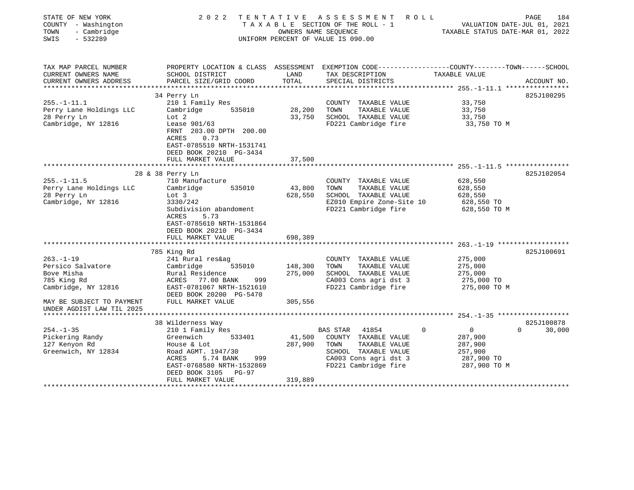| STATE OF NEW YORK<br>COUNTY - Washington<br>- Cambridge<br>TOWN<br>$-532289$<br>SWIS                                                                                       | 2 0 2 2                                                                                                                                                                                                                          | OWNERS NAME SEQUENCE          | TENTATIVE ASSESSMENT<br>R O L L<br>TAXABLE SECTION OF THE ROLL - 1<br>UNIFORM PERCENT OF VALUE IS 090.00                                           | VALUATION DATE-JUL 01, 2021<br>TAXABLE STATUS DATE-MAR 01, 2022                              | PAGE<br>184                      |
|----------------------------------------------------------------------------------------------------------------------------------------------------------------------------|----------------------------------------------------------------------------------------------------------------------------------------------------------------------------------------------------------------------------------|-------------------------------|----------------------------------------------------------------------------------------------------------------------------------------------------|----------------------------------------------------------------------------------------------|----------------------------------|
| TAX MAP PARCEL NUMBER<br>CURRENT OWNERS NAME<br>CURRENT OWNERS ADDRESS<br>*********************                                                                            | PROPERTY LOCATION & CLASS ASSESSMENT EXEMPTION CODE---------------COUNTY-------TOWN------SCHOOL<br>SCHOOL DISTRICT<br>PARCEL SIZE/GRID COORD                                                                                     | LAND<br>TOTAL                 | TAX DESCRIPTION<br>SPECIAL DISTRICTS                                                                                                               | TAXABLE VALUE                                                                                | ACCOUNT NO.                      |
| $255. - 1 - 11.1$<br>Perry Lane Holdings LLC<br>28 Perry Ln<br>Cambridge, NY 12816                                                                                         | 34 Perry Ln<br>210 1 Family Res<br>Cambridge<br>535010<br>Lot 2<br>Lease 901/63<br>FRNT 203.00 DPTH 200.00<br>ACRES<br>0.73<br>EAST-0785510 NRTH-1531741<br>DEED BOOK 20210 PG-3434                                              | 28,200<br>33,750              | COUNTY TAXABLE VALUE<br>TOWN<br>TAXABLE VALUE<br>SCHOOL TAXABLE VALUE<br>FD221 Cambridge fire                                                      | 33,750<br>33,750<br>33,750<br>33,750 TO M                                                    | 825J100295                       |
|                                                                                                                                                                            | FULL MARKET VALUE<br>*************************                                                                                                                                                                                   | 37,500                        |                                                                                                                                                    |                                                                                              |                                  |
| $255. - 1 - 11.5$<br>Perry Lane Holdings LLC<br>28 Perry Ln<br>Cambridge, NY 12816                                                                                         | 28 & 38 Perry Ln<br>710 Manufacture<br>Cambridge<br>535010<br>Lot 3<br>3330/242<br>Subdivision abandoment<br>5.73<br>ACRES<br>EAST-0785610 NRTH-1531864<br>DEED BOOK 20210 PG-3434<br>FULL MARKET VALUE<br>********************* | 43,800<br>628,550<br>698,389  | COUNTY TAXABLE VALUE<br>TAXABLE VALUE<br>TOWN<br>SCHOOL TAXABLE VALUE<br>EZ010 Empire Zone-Site 10<br>FD221 Cambridge fire                         | 628,550<br>628,550<br>628,550<br>628,550 TO<br>628,550 TO M                                  | 825J102054                       |
| $263. -1 - 19$<br>Persico Salvatore<br>Bove Misha<br>785 King Rd<br>Cambridge, NY 12816<br>MAY BE SUBJECT TO PAYMENT<br>UNDER AGDIST LAW TIL 2025<br>********************* | 785 King Rd<br>241 Rural res&ag<br>Cambridge<br>535010<br>Rural Residence<br>ACRES<br>77.00 BANK<br>999<br>EAST-0781067 NRTH-1521610<br>DEED BOOK 20200 PG-5470<br>FULL MARKET VALUE                                             | 148,300<br>275,000<br>305,556 | COUNTY TAXABLE VALUE<br>TOWN<br>TAXABLE VALUE<br>SCHOOL TAXABLE VALUE<br>CA003 Cons agri dst 3<br>FD221 Cambridge fire                             | 275,000<br>275,000<br>275,000<br>275,000 TO<br>275,000 TO M                                  | 825J100691                       |
| $254. - 1 - 35$<br>Pickering Randy<br>127 Kenyon Rd<br>Greenwich, NY 12834                                                                                                 | 38 Wilderness Way<br>210 1 Family Res<br>Greenwich<br>533401<br>House & Lot<br>Road AGMT. 1947/30<br>ACRES<br>5.74 BANK<br>999<br>EAST-0768580 NRTH-1532869<br>DEED BOOK 3105<br>$PG-97$<br>FULL MARKET VALUE                    | 41,500<br>287,900<br>319,889  | <b>BAS STAR</b><br>41854<br>COUNTY TAXABLE VALUE<br>TOWN<br>TAXABLE VALUE<br>SCHOOL TAXABLE VALUE<br>CA003 Cons agri dst 3<br>FD221 Cambridge fire | $\overline{0}$<br>$\mathbf 0$<br>287,900<br>287,900<br>257,900<br>287,900 TO<br>287,900 TO M | 825J100878<br>$\Omega$<br>30,000 |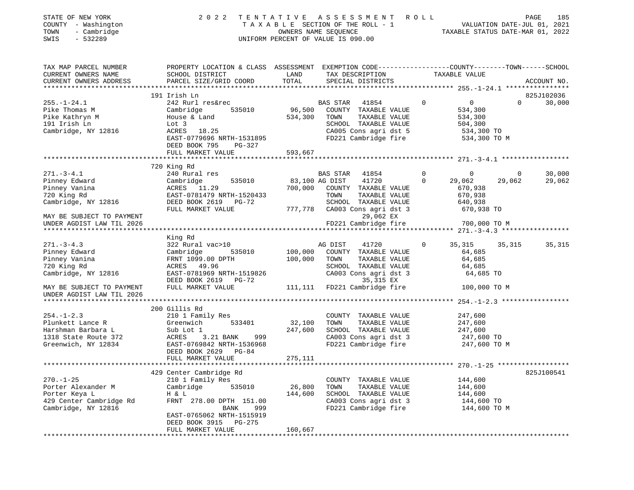| STATE OF NEW YORK         | 2022                                                                                             |                      | TENTATIVE ASSESSMENT               | R O L L                                                         |              | 185<br>PAGE |
|---------------------------|--------------------------------------------------------------------------------------------------|----------------------|------------------------------------|-----------------------------------------------------------------|--------------|-------------|
| COUNTY - Washington       |                                                                                                  |                      | TAXABLE SECTION OF THE ROLL - 1    | VALUATION DATE-JUL 01, 2021<br>TAXABLE STATUS DATE-MAR 01, 2022 |              |             |
| - Cambridge<br>TOWN       |                                                                                                  | OWNERS NAME SEQUENCE |                                    |                                                                 |              |             |
| SWIS<br>$-532289$         |                                                                                                  |                      | UNIFORM PERCENT OF VALUE IS 090.00 |                                                                 |              |             |
|                           |                                                                                                  |                      |                                    |                                                                 |              |             |
| TAX MAP PARCEL NUMBER     | PROPERTY LOCATION & CLASS ASSESSMENT EXEMPTION CODE----------------COUNTY-------TOWN------SCHOOL |                      |                                    |                                                                 |              |             |
| CURRENT OWNERS NAME       | SCHOOL DISTRICT                                                                                  | LAND                 | TAX DESCRIPTION                    | TAXABLE VALUE                                                   |              |             |
| CURRENT OWNERS ADDRESS    | PARCEL SIZE/GRID COORD                                                                           | TOTAL                | SPECIAL DISTRICTS                  |                                                                 |              | ACCOUNT NO. |
|                           | 191 Irish Ln                                                                                     |                      |                                    |                                                                 |              | 825J102036  |
| $255. - 1 - 24.1$         | 242 Rurl res&rec                                                                                 |                      | BAS STAR<br>41854                  | $\mathbf 0$<br>$\overline{0}$                                   | $\Omega$     | 30,000      |
| Pike Thomas M             | 535010<br>Cambridge                                                                              |                      | 96,500 COUNTY TAXABLE VALUE        | 534,300                                                         |              |             |
| Pike Kathryn M            | House & Land                                                                                     | 534,300              | TOWN<br>TAXABLE VALUE              | 534,300                                                         |              |             |
| 191 Irish Ln              | Lot 3                                                                                            |                      | SCHOOL TAXABLE VALUE               |                                                                 |              |             |
|                           |                                                                                                  |                      | CA005 Cons agri dst 5              | 504,300                                                         |              |             |
| Cambridge, NY 12816       | ACRES 18.25                                                                                      |                      |                                    | 534,300 TO                                                      |              |             |
|                           | EAST-0779696 NRTH-1531895                                                                        |                      | FD221 Cambridge fire               | 534,300 TO M                                                    |              |             |
|                           | DEED BOOK 795<br>PG-327                                                                          |                      |                                    |                                                                 |              |             |
|                           | FULL MARKET VALUE                                                                                | 593,667              |                                    |                                                                 |              |             |
|                           | 720 King Rd                                                                                      |                      |                                    |                                                                 |              |             |
| $271. - 3 - 4.1$          | 240 Rural res                                                                                    |                      | <b>BAS STAR</b><br>41854           | $\mathbf 0$<br>$\mathbf 0$                                      | $\mathbf{0}$ | 30,000      |
| Pinney Edward             | 535010<br>Cambridge                                                                              | 83,100 AG DIST       | 41720                              | $\mathbf 0$<br>29,062                                           | 29,062       | 29,062      |
| Pinney Vanina             | ACRES 11.29                                                                                      |                      | 700,000 COUNTY TAXABLE VALUE       | 670,938                                                         |              |             |
|                           |                                                                                                  |                      | TAXABLE VALUE                      |                                                                 |              |             |
| 720 King Rd               | EAST-0781479 NRTH-1520433                                                                        |                      | TOWN                               | 670,938                                                         |              |             |
| Cambridge, NY 12816       | DEED BOOK 2619 PG-72                                                                             |                      | SCHOOL TAXABLE VALUE               | 640,938                                                         |              |             |
|                           | FULL MARKET VALUE                                                                                |                      | 777,778 CA003 Cons agri dst 3      | 670,938 TO                                                      |              |             |
| MAY BE SUBJECT TO PAYMENT |                                                                                                  |                      | 29,062 EX                          |                                                                 |              |             |
| UNDER AGDIST LAW TIL 2026 |                                                                                                  |                      | FD221 Cambridge fire               | 700,000 TO M                                                    |              |             |
|                           | King Rd                                                                                          |                      |                                    |                                                                 |              |             |
| $271. - 3 - 4.3$          | 322 Rural vac>10                                                                                 |                      | AG DIST<br>41720                   | $\mathbf 0$<br>35,315                                           | 35,315       | 35,315      |
| Pinney Edward             | Cambridge<br>535010                                                                              | 100,000              | COUNTY TAXABLE VALUE               | 64,685                                                          |              |             |
|                           |                                                                                                  |                      |                                    |                                                                 |              |             |
| Pinney Vanina             | FRNT 1099.00 DPTH                                                                                | 100,000              | TOWN<br>TAXABLE VALUE              | 64,685                                                          |              |             |
| 720 King Rd               | ACRES 49.96                                                                                      |                      | SCHOOL TAXABLE VALUE               | 64,685                                                          |              |             |
| Cambridge, NY 12816       | EAST-0781969 NRTH-1519826                                                                        |                      | CA003 Cons agri dst 3              | 64,685 TO                                                       |              |             |
|                           | DEED BOOK 2619 PG-72                                                                             |                      | 35,315 EX                          |                                                                 |              |             |
| MAY BE SUBJECT TO PAYMENT | FULL MARKET VALUE                                                                                |                      | 111,111 FD221 Cambridge fire       | 100,000 TO M                                                    |              |             |
| UNDER AGDIST LAW TIL 2026 |                                                                                                  |                      |                                    |                                                                 |              |             |
|                           | 200 Gillis Rd                                                                                    |                      |                                    |                                                                 |              |             |
| $254. - 1 - 2.3$          | 210 1 Family Res                                                                                 |                      | COUNTY TAXABLE VALUE               | 247,600                                                         |              |             |
| Plunkett Lance R          | Greenwich<br>533401                                                                              | 32,100               | TOWN<br>TAXABLE VALUE              | 247,600                                                         |              |             |
| Harshman Barbara L        | Sub Lot 1                                                                                        | 247,600              | SCHOOL TAXABLE VALUE               | 247,600                                                         |              |             |
| 1318 State Route 372      |                                                                                                  |                      |                                    |                                                                 |              |             |
|                           | ACRES 3.21 DEN.<br>EAST-0769842 NRTH-1536968                                                     |                      | CA003 Cons agri dst 3              | 247,600 TO                                                      |              |             |
| Greenwich, NY 12834       |                                                                                                  |                      | FD221 Cambridge fire               | 247,600 TO M                                                    |              |             |
|                           | DEED BOOK 2629 PG-84                                                                             |                      |                                    |                                                                 |              |             |
|                           | FULL MARKET VALUE                                                                                | 275,111              |                                    |                                                                 |              |             |
|                           | 429 Center Cambridge Rd                                                                          |                      |                                    |                                                                 |              | 825J100541  |
| $270. - 1 - 25$           | 210 1 Family Res                                                                                 |                      | COUNTY TAXABLE VALUE               | 144,600                                                         |              |             |
|                           |                                                                                                  |                      |                                    |                                                                 |              |             |
| Porter Alexander M        | Cambridge<br>535010                                                                              | 26,800               | TOWN<br>TAXABLE VALUE              | 144,600                                                         |              |             |
| Porter Keya L             | H & L                                                                                            | 144,600              | SCHOOL TAXABLE VALUE               | 144,600                                                         |              |             |
| 429 Center Cambridge Rd   | FRNT 278.00 DPTH 151.00                                                                          |                      | CA003 Cons agri dst 3              | 144,600 TO                                                      |              |             |
| Cambridge, NY 12816       | 999<br>BANK                                                                                      |                      | FD221 Cambridge fire               | 144,600 TO M                                                    |              |             |
|                           | EAST-0765062 NRTH-1515919                                                                        |                      |                                    |                                                                 |              |             |
|                           | DEED BOOK 3915<br>PG-275                                                                         |                      |                                    |                                                                 |              |             |
|                           | FULL MARKET VALUE                                                                                | 160,667              |                                    |                                                                 |              |             |
|                           |                                                                                                  |                      |                                    |                                                                 |              |             |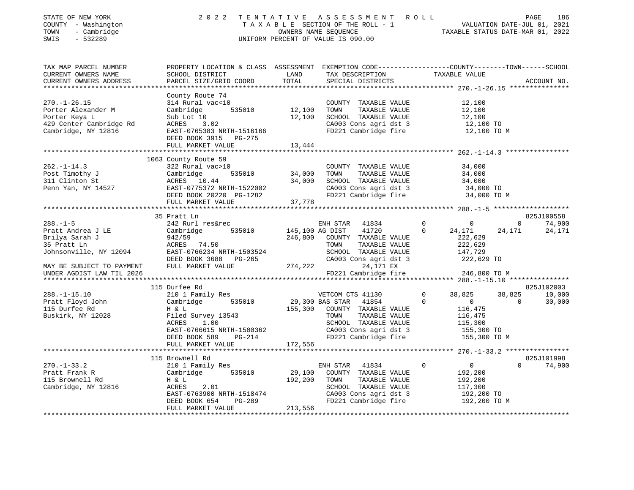| STATE OF NEW YORK<br>COUNTY - Washington<br>TOWN - Cambridge<br>SWIS - 532289                                                                                                                                                                                                                                                                                                                                                                |                                                                                                |                             | 2022 TENTATIVE ASSESSMENT ROLL PAGE 186<br>TAXABLE SECTION OF THE ROLL - 1 VALUATION DATE-JUL 01, 2021<br>OWNERS NAME SEQUENCE TAXABLE STATUS DATE-MAR 01, 2022<br>UNIFORM PERCENT OF VALUE IS 090.00 |                                             |                 |                             |
|----------------------------------------------------------------------------------------------------------------------------------------------------------------------------------------------------------------------------------------------------------------------------------------------------------------------------------------------------------------------------------------------------------------------------------------------|------------------------------------------------------------------------------------------------|-----------------------------|-------------------------------------------------------------------------------------------------------------------------------------------------------------------------------------------------------|---------------------------------------------|-----------------|-----------------------------|
| TAX MAP PARCEL NUMBER<br>CURRENT OWNERS NAME<br>CURRENT OWNERS ADDRESS                                                                                                                                                                                                                                                                                                                                                                       | PROPERTY LOCATION & CLASS ASSESSMENT EXEMPTION CODE---------------COUNTY-------TOWN-----SCHOOL |                             |                                                                                                                                                                                                       |                                             |                 | ACCOUNT NO.                 |
|                                                                                                                                                                                                                                                                                                                                                                                                                                              |                                                                                                |                             |                                                                                                                                                                                                       |                                             |                 |                             |
| 270.-1-26.15<br>Porter Alexander M<br>Porter Alexander M<br>Porter Keya L<br>29 Center Cambridge Rd<br>29 Center Cambridge Rd<br>29 Center Cambridge Rd<br>29 Center Cambridge Rd<br>270.-1-26.15<br>270.-1-26.15<br>270.-1-26.15<br>270.-1-26.15<br>2                                                                                                                                                                                       |                                                                                                |                             |                                                                                                                                                                                                       |                                             |                 |                             |
|                                                                                                                                                                                                                                                                                                                                                                                                                                              | FULL MARKET VALUE 13,444                                                                       |                             |                                                                                                                                                                                                       |                                             |                 |                             |
|                                                                                                                                                                                                                                                                                                                                                                                                                                              | 1063 County Route 59                                                                           |                             |                                                                                                                                                                                                       |                                             |                 |                             |
| 1063 County Route 59<br>262.-1-14.3<br>22 Rural vac>10<br>231 Clinton St<br>231 Clinton St<br>24,000<br>24,000<br>24,000<br>262 Rural vac>10<br>232 Rural vac>10<br>24,000<br>24,000<br>24,000<br>24,000<br>24,000<br>24,000<br>2535010<br>24,000<br>24,000<br>26857                                                                                                                                                                         |                                                                                                |                             | COUNTY TAXABLE VALUE 34,000<br>TOWN TAXABLE VALUE 34,000<br>SCHOOL TAXABLE VALUE 34,000<br>CA003 Cons agri dst 3 34,000 TO<br>FD221 Cambridge fire 34,000 TO M                                        |                                             |                 |                             |
|                                                                                                                                                                                                                                                                                                                                                                                                                                              |                                                                                                |                             |                                                                                                                                                                                                       |                                             |                 |                             |
|                                                                                                                                                                                                                                                                                                                                                                                                                                              | 35 Pratt Ln                                                                                    |                             |                                                                                                                                                                                                       |                                             |                 | 825J100558                  |
|                                                                                                                                                                                                                                                                                                                                                                                                                                              |                                                                                                |                             |                                                                                                                                                                                                       |                                             | $0 \t 74,900$   |                             |
|                                                                                                                                                                                                                                                                                                                                                                                                                                              |                                                                                                |                             |                                                                                                                                                                                                       | 24,171                                      | 24, 171 24, 171 |                             |
|                                                                                                                                                                                                                                                                                                                                                                                                                                              |                                                                                                |                             |                                                                                                                                                                                                       |                                             |                 |                             |
|                                                                                                                                                                                                                                                                                                                                                                                                                                              |                                                                                                |                             |                                                                                                                                                                                                       |                                             |                 |                             |
|                                                                                                                                                                                                                                                                                                                                                                                                                                              |                                                                                                |                             |                                                                                                                                                                                                       |                                             |                 |                             |
|                                                                                                                                                                                                                                                                                                                                                                                                                                              |                                                                                                |                             |                                                                                                                                                                                                       | 222,629<br>222,629<br>147,729<br>222,629 TO |                 |                             |
|                                                                                                                                                                                                                                                                                                                                                                                                                                              |                                                                                                |                             |                                                                                                                                                                                                       |                                             |                 |                             |
|                                                                                                                                                                                                                                                                                                                                                                                                                                              |                                                                                                |                             | FD221 Cambridge fire 246,800 TO M                                                                                                                                                                     |                                             |                 |                             |
|                                                                                                                                                                                                                                                                                                                                                                                                                                              |                                                                                                |                             |                                                                                                                                                                                                       |                                             |                 |                             |
|                                                                                                                                                                                                                                                                                                                                                                                                                                              | 115 Durfee Rd                                                                                  |                             |                                                                                                                                                                                                       |                                             |                 | 825J102003                  |
|                                                                                                                                                                                                                                                                                                                                                                                                                                              |                                                                                                |                             |                                                                                                                                                                                                       |                                             |                 |                             |
|                                                                                                                                                                                                                                                                                                                                                                                                                                              |                                                                                                |                             |                                                                                                                                                                                                       |                                             |                 |                             |
|                                                                                                                                                                                                                                                                                                                                                                                                                                              |                                                                                                |                             |                                                                                                                                                                                                       |                                             |                 |                             |
|                                                                                                                                                                                                                                                                                                                                                                                                                                              |                                                                                                |                             |                                                                                                                                                                                                       |                                             |                 |                             |
|                                                                                                                                                                                                                                                                                                                                                                                                                                              |                                                                                                |                             |                                                                                                                                                                                                       |                                             |                 |                             |
|                                                                                                                                                                                                                                                                                                                                                                                                                                              |                                                                                                |                             |                                                                                                                                                                                                       |                                             |                 |                             |
|                                                                                                                                                                                                                                                                                                                                                                                                                                              | FULL MARKET VALUE 172,556                                                                      |                             |                                                                                                                                                                                                       |                                             |                 |                             |
|                                                                                                                                                                                                                                                                                                                                                                                                                                              |                                                                                                |                             |                                                                                                                                                                                                       |                                             |                 |                             |
|                                                                                                                                                                                                                                                                                                                                                                                                                                              |                                                                                                |                             |                                                                                                                                                                                                       |                                             |                 |                             |
| $\begin{tabular}{lllllllllllll} \multicolumn{3}{c l}{} & \multicolumn{3}{c l}{} & \multicolumn{3}{c l}{} & \multicolumn{3}{c l}{} & \multicolumn{3}{c l}{} & \multicolumn{3}{c l}{} & \multicolumn{3}{c l}{} & \multicolumn{3}{c l}{} & \multicolumn{3}{c l}{} & \multicolumn{3}{c l}{} & \multicolumn{3}{c l}{} & \multicolumn{3}{c l}{} & \multicolumn{3}{c l}{} & \multicolumn{3}{c l}{} & \multicolumn{3}{c l}{} & \multicolumn{3}{c l}$ |                                                                                                |                             |                                                                                                                                                                                                       | $\Omega$                                    |                 | 825J101998<br>$0 \t 74,900$ |
|                                                                                                                                                                                                                                                                                                                                                                                                                                              |                                                                                                |                             |                                                                                                                                                                                                       | $\begin{array}{c} 0 \\ 192,200 \end{array}$ |                 |                             |
|                                                                                                                                                                                                                                                                                                                                                                                                                                              |                                                                                                |                             |                                                                                                                                                                                                       |                                             |                 |                             |
|                                                                                                                                                                                                                                                                                                                                                                                                                                              |                                                                                                |                             |                                                                                                                                                                                                       |                                             |                 |                             |
|                                                                                                                                                                                                                                                                                                                                                                                                                                              |                                                                                                |                             |                                                                                                                                                                                                       |                                             |                 |                             |
|                                                                                                                                                                                                                                                                                                                                                                                                                                              |                                                                                                |                             | TOWN TAXABLE VALUE 192,200<br>SCHOOL TAXABLE VALUE 117,300<br>CA003 Cons agri dst 3 192,200 TO<br>FD221 Cambridge fire 192,200 TO M                                                                   |                                             |                 |                             |
|                                                                                                                                                                                                                                                                                                                                                                                                                                              | FULL MARKET VALUE                                                                              | $G-zo$ <sub>2</sub> 213,556 |                                                                                                                                                                                                       |                                             |                 |                             |
|                                                                                                                                                                                                                                                                                                                                                                                                                                              |                                                                                                |                             |                                                                                                                                                                                                       |                                             |                 |                             |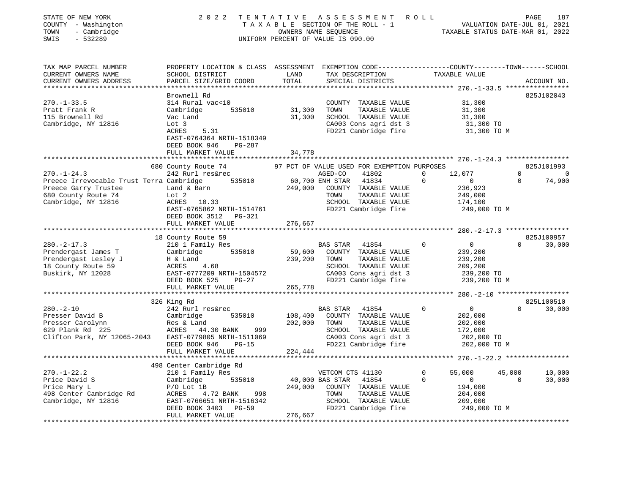| STATE OF NEW YORK<br>COUNTY - Washington<br>- Cambridge<br>TOWN<br>SWIS<br>$-532289$ | 2 0 2 2                                                                                                                                      | OWNERS NAME SEQUENCE | TENTATIVE ASSESSMENT<br>TAXABLE SECTION OF THE ROLL - 1<br>UNIFORM PERCENT OF VALUE IS 090.00  | R O L L     | 781 - 2021<br>VALUATION DATE-JUL 01, 2021<br>TRAVANT CONCILIE<br>TAXABLE STATUS DATE-MAR 01, 2022 | PAGE           | 187         |
|--------------------------------------------------------------------------------------|----------------------------------------------------------------------------------------------------------------------------------------------|----------------------|------------------------------------------------------------------------------------------------|-------------|---------------------------------------------------------------------------------------------------|----------------|-------------|
| TAX MAP PARCEL NUMBER<br>CURRENT OWNERS NAME<br>CURRENT OWNERS ADDRESS               | PROPERTY LOCATION & CLASS ASSESSMENT EXEMPTION CODE----------------COUNTY-------TOWN-----SCHOOL<br>SCHOOL DISTRICT<br>PARCEL SIZE/GRID COORD | LAND<br>TOTAL        | TAX DESCRIPTION TAXABLE VALUE<br>SPECIAL DISTRICTS                                             |             |                                                                                                   |                | ACCOUNT NO. |
| ***********************                                                              |                                                                                                                                              |                      |                                                                                                |             |                                                                                                   |                |             |
|                                                                                      | Brownell Rd                                                                                                                                  |                      |                                                                                                |             |                                                                                                   |                | 825J102043  |
| $270. - 1 - 33.5$<br>Pratt Frank R<br>115 Brownell Rd<br>Cambridge, NY 12816         | 314 Rural vac<10<br>Cambridge<br>535010<br>Vac Land<br>Lot 3                                                                                 | 31,300<br>31,300     | COUNTY TAXABLE VALUE<br>TOWN<br>TAXABLE VALUE<br>SCHOOL TAXABLE VALUE<br>CA003 Cons agri dst 3 |             | 31,300<br>31,300<br>31,300<br>31,300 TO                                                           |                |             |
|                                                                                      | ACRES<br>5.31<br>EAST-0764364 NRTH-1518349<br>DEED BOOK 946<br>PG-287<br>FULL MARKET VALUE                                                   |                      | FD221 Cambridge fire                                                                           |             | 31,300 TO M                                                                                       |                |             |
|                                                                                      | *******************                                                                                                                          | 34,778               |                                                                                                |             |                                                                                                   |                |             |
|                                                                                      | 680 County Route 74                                                                                                                          |                      | 97 PCT OF VALUE USED FOR EXEMPTION PURPOSES                                                    |             |                                                                                                   |                | 825J101993  |
| $270. - 1 - 24.3$                                                                    | 242 Rurl res&rec                                                                                                                             |                      | 41802<br>AGED-CO                                                                               | $\mathbf 0$ | 12,077                                                                                            | $\overline{0}$ | $\sim$ 0    |
| Preece Irrevocable Trust Terra Cambridge                                             | 535010                                                                                                                                       | 60,700 ENH STAR      | 41834                                                                                          | $\mathbf 0$ | $\overline{0}$                                                                                    | $\overline{0}$ | 74,900      |
| Preece Garry Trustee                                                                 | Land & Barn                                                                                                                                  |                      | 249,000 COUNTY TAXABLE VALUE                                                                   |             | 236,923                                                                                           |                |             |
| 680 County Route 74                                                                  | Lot 2                                                                                                                                        |                      | TOWN<br>TAXABLE VALUE                                                                          |             | 249,000                                                                                           |                |             |
| Cambridge, NY 12816                                                                  | ACRES 10.33                                                                                                                                  |                      | SCHOOL TAXABLE VALUE                                                                           |             | 174,100                                                                                           |                |             |
|                                                                                      | EAST-0765862 NRTH-1514761                                                                                                                    |                      | FD221 Cambridge fire                                                                           |             | 249,000 TO M                                                                                      |                |             |
|                                                                                      | DEED BOOK 3512 PG-321                                                                                                                        |                      |                                                                                                |             |                                                                                                   |                |             |
|                                                                                      | FULL MARKET VALUE                                                                                                                            | 276,667              |                                                                                                |             |                                                                                                   |                |             |
|                                                                                      | 18 County Route 59                                                                                                                           |                      |                                                                                                |             |                                                                                                   |                | 825J100957  |
| $280. -2 - 17.3$                                                                     | 210 1 Family Res                                                                                                                             |                      | BAS STAR<br>41854                                                                              | $\circ$     | $\overline{0}$                                                                                    | $\Omega$       | 30,000      |
| Prendergast James T                                                                  | Cambridge 535010                                                                                                                             | 59,600               | COUNTY TAXABLE VALUE                                                                           |             | 239,200                                                                                           |                |             |
| Prendergast Lesley J                                                                 | H & Land                                                                                                                                     | 239,200              | TOWN<br>TAXABLE VALUE                                                                          |             | 239,200                                                                                           |                |             |
| 18 County Route 59                                                                   | H & Land<br>ACRES 4.68                                                                                                                       |                      | SCHOOL TAXABLE VALUE                                                                           |             | 209,200                                                                                           |                |             |
| Buskirk, NY 12028                                                                    | EAST-0777209 NRTH-1504572                                                                                                                    |                      | CA003 Cons agri dst 3                                                                          |             | 239,200 TO                                                                                        |                |             |
|                                                                                      | $PG-27$<br>DEED BOOK 525                                                                                                                     |                      | FD221 Cambridge fire                                                                           |             | 239,200 TO M                                                                                      |                |             |
|                                                                                      | FULL MARKET VALUE                                                                                                                            | 265,778              |                                                                                                |             |                                                                                                   |                |             |
|                                                                                      |                                                                                                                                              |                      |                                                                                                |             |                                                                                                   |                |             |
|                                                                                      | 326 King Rd                                                                                                                                  |                      |                                                                                                |             |                                                                                                   |                | 825L100510  |
| $280. - 2 - 10$<br>Presser David B                                                   | 242 Rurl res&rec<br>Cambridge<br>535010                                                                                                      |                      | <b>BAS STAR</b><br>41854<br>108,400 COUNTY TAXABLE VALUE                                       | $\Omega$    | $\overline{0}$<br>202,000                                                                         | $\Omega$       | 30,000      |
| Presser Carolynn                                                                     |                                                                                                                                              | 202,000              | TAXABLE VALUE<br>TOWN                                                                          |             | 202,000                                                                                           |                |             |
| 629 Plank Rd 225                                                                     | Res & Land<br>ACRES    44.30 BANK<br>999                                                                                                     |                      | SCHOOL TAXABLE VALUE                                                                           |             | 172,000                                                                                           |                |             |
| Clifton Park, NY 12065-2043 EAST-0779805 NRTH-1511069                                |                                                                                                                                              |                      | CA003 Cons agri dst 3                                                                          |             | 202,000 TO                                                                                        |                |             |
|                                                                                      | DEED BOOK 946<br>PG-15                                                                                                                       |                      | FD221 Cambridge fire                                                                           |             | 202,000 TO M                                                                                      |                |             |
|                                                                                      | FULL MARKET VALUE                                                                                                                            | 224,444              |                                                                                                |             |                                                                                                   |                |             |
|                                                                                      |                                                                                                                                              |                      |                                                                                                |             |                                                                                                   |                |             |
|                                                                                      | 498 Center Cambridge Rd                                                                                                                      |                      |                                                                                                |             |                                                                                                   |                |             |
| $270. - 1 - 22.2$                                                                    | 210 1 Family Res                                                                                                                             |                      | VETCOM CTS 41130                                                                               | $\mathbf 0$ | 55,000                                                                                            | 45,000         | 10,000      |
| Price David S                                                                        | 535010<br>Cambridge                                                                                                                          | 40,000 BAS STAR      | 41854                                                                                          | $\Omega$    | $\overline{0}$                                                                                    | $\Omega$       | 30,000      |
| Price Mary L                                                                         | $P/O$ Lot 1B                                                                                                                                 |                      | 249,000 COUNTY TAXABLE VALUE                                                                   |             | 194,000                                                                                           |                |             |
| 498 Center Cambridge Rd<br>Cambridge, NY 12816                                       | ACRES<br>4.72 BANK 998<br>EAST-0766651 NRTH-1516342                                                                                          |                      | TOWN<br>TAXABLE VALUE<br>SCHOOL TAXABLE VALUE                                                  |             | 204,000<br>209,000                                                                                |                |             |
|                                                                                      | DEED BOOK 3403 PG-59                                                                                                                         |                      | FD221 Cambridge fire                                                                           |             | 249,000 TO M                                                                                      |                |             |
|                                                                                      | FULL MARKET VALUE                                                                                                                            | 276,667              |                                                                                                |             |                                                                                                   |                |             |
|                                                                                      |                                                                                                                                              |                      |                                                                                                |             |                                                                                                   |                |             |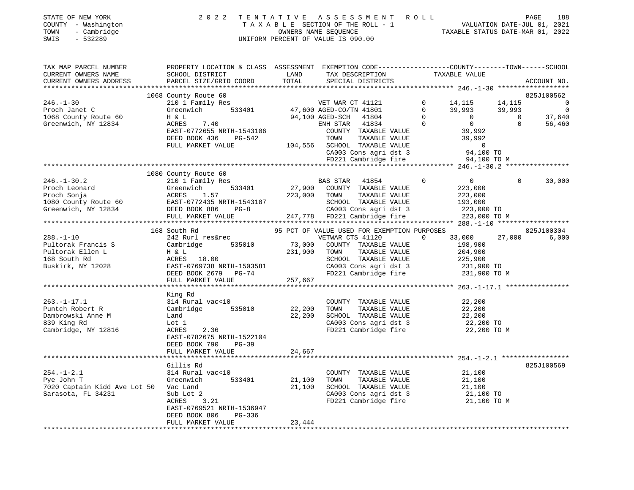| STATE OF NEW YORK             | 2022 TENTATIVE ASSESSMENT ROLL  | PAGE 188                                  |  |
|-------------------------------|---------------------------------|-------------------------------------------|--|
| COUNTY - Washington           | TAXABLE SECTION OF THE ROLL - 1 | VALUATION DATE-JUL 01, 2021               |  |
| $TOMN = Combri d\alpha\alpha$ | OWNEDC NAME CEOUENOE            | 2020 - 01 סגוע בקדינת סוזידינדים קוסגצגיד |  |

TAXABLE VALUE

|      | COUNTY - Washington | TAXABLE SECTION OF THE ROLL - 1    | VALUATION DATE-JUL 01, 2021      |  |  |
|------|---------------------|------------------------------------|----------------------------------|--|--|
|      | TOWN - Cambridge    | OWNERS NAME SEOUENCE               | TAXABLE STATUS DATE-MAR 01, 2022 |  |  |
| SWIS | $-532289$           | UNIFORM PERCENT OF VALUE IS 090.00 |                                  |  |  |

CURRENT OWNERS NAME SCHOOL DISTRICT SCHOOL DISTRICT LAND TAX DESCRIPTION

|                              | 1068 County Route 60      |         |                                               |                               |                | 825J100562     |
|------------------------------|---------------------------|---------|-----------------------------------------------|-------------------------------|----------------|----------------|
| $246. - 1 - 30$              | 210 1 Family Res          |         | VET WAR CT 41121                              | $\overline{0}$<br>14,115      | 14,115         | $\bigcirc$     |
| Proch Janet C                | Greenwich                 |         | 533401 47,600 AGED-CO/TN 41801                | $\mathbf 0$<br>39,993         | 39,993         | $\overline{0}$ |
|                              | H & L                     |         | 94,100 AGED-SCH 41804                         | $\Omega$<br>$\overline{0}$    | $\overline{0}$ |                |
| 1068 County Route 60         |                           |         |                                               |                               |                | 37,640         |
| Greenwich, NY 12834          | ACRES<br>7.40             |         | ENH STAR 41834                                | $\mathbf 0$<br>$\overline{0}$ | $\Omega$       | 56,460         |
|                              | EAST-0772655 NRTH-1543106 |         | COUNTY TAXABLE VALUE                          | 39,992                        |                |                |
|                              | DEED BOOK 436<br>PG-542   |         | TOWN<br>TAXABLE VALUE                         | 39,992                        |                |                |
|                              | FULL MARKET VALUE         |         | 104,556 SCHOOL TAXABLE VALUE                  | $\sim$ 0                      |                |                |
|                              |                           |         | CA003 Cons agri dst 3                         | 94,100 TO                     |                |                |
|                              |                           |         | FD221 Cambridge fire                          | 94,100 TO M                   |                |                |
|                              |                           |         |                                               |                               |                |                |
|                              | 1080 County Route 60      |         |                                               |                               |                |                |
| $246. - 1 - 30.2$            | 210 1 Family Res          |         | BAS STAR 41854                                | $\overline{0}$<br>$\Omega$    | $\Omega$       | 30,000         |
| Proch Leonard                | Greenwich<br>533401       | 27,900  | COUNTY TAXABLE VALUE                          | 223,000                       |                |                |
| Proch Sonja                  | ACRES<br>1.57             | 223,000 | TOWN<br>TAXABLE VALUE                         | 223,000                       |                |                |
|                              |                           |         |                                               |                               |                |                |
| 1080 County Route 60         | EAST-0772435 NRTH-1543187 |         | SCHOOL TAXABLE VALUE                          | 193,000                       |                |                |
| Greenwich, NY 12834          | DEED BOOK 886<br>$PG-8$   |         | CA003 Cons agri dst 3                         | 223,000 TO                    |                |                |
|                              |                           |         |                                               |                               |                |                |
|                              |                           |         |                                               |                               |                |                |
|                              | 168 South Rd              |         | 95 PCT OF VALUE USED FOR EXEMPTION PURPOSES   |                               |                | 825J100304     |
| $288. - 1 - 10$              | 242 Rurl res&rec          |         | VETWAR CTS 41120                              | 33,000<br>$\Omega$            | 27,000         | 6,000          |
| Pultorak Francis S           | 535010<br>Cambridge       | 73,000  | COUNTY TAXABLE VALUE                          | 198,900                       |                |                |
| Pultorak Ellen L             | H & L                     | 231,900 | TAXABLE VALUE<br>TOWN                         | 204,900                       |                |                |
| 168 South Rd                 | ACRES 18.00               |         | SCHOOL TAXABLE VALUE                          | 225,900                       |                |                |
| Buskirk, NY 12028            | EAST-0769738 NRTH-1503581 |         | CA003 Cons agri dst 3                         | 231,900 TO                    |                |                |
|                              | DEED BOOK 2679 PG-74      |         | FD221 Cambridge fire                          | 231,900 TO M                  |                |                |
|                              |                           |         |                                               |                               |                |                |
|                              | FULL MARKET VALUE         | 257,667 |                                               |                               |                |                |
|                              |                           |         |                                               |                               |                |                |
|                              | King Rd                   |         |                                               |                               |                |                |
| $263. - 1 - 17.1$            | 314 Rural vac<10          |         | COUNTY TAXABLE VALUE                          | 22,200                        |                |                |
| Puntch Robert R              | 535010<br>Cambridge       | 22,200  | TAXABLE VALUE<br>TOWN                         | 22,200                        |                |                |
| Dambrowski Anne M            | Land                      | 22,200  | SCHOOL TAXABLE VALUE                          | 22,200                        |                |                |
| 839 King Rd                  | Lot 1                     |         | CA003 Cons agri dst 3                         | 22,200 TO                     |                |                |
| Cambridge, NY 12816          | ACRES<br>2.36             |         | FD221 Cambridge fire                          | 22,200 TO M                   |                |                |
|                              | EAST-0782675 NRTH-1522104 |         |                                               |                               |                |                |
|                              | DEED BOOK 790<br>PG-39    |         |                                               |                               |                |                |
|                              | FULL MARKET VALUE         | 24,667  |                                               |                               |                |                |
|                              |                           |         |                                               |                               |                |                |
|                              | Gillis Rd                 |         |                                               |                               |                | 825J100569     |
|                              |                           |         |                                               |                               |                |                |
| $254. - 1 - 2.1$             | 314 Rural vac<10          |         | COUNTY TAXABLE VALUE                          | 21,100                        |                |                |
| Pye John T                   | 533401<br>Greenwich       | 21,100  | TAXABLE VALUE<br>TOWN                         | 21,100                        |                |                |
| 7020 Captain Kidd Ave Lot 50 | Vac Land                  | 21,100  | SCHOOL TAXABLE VALUE                          | 21,100                        |                |                |
| Sarasota, FL 34231           | Sub Lot 2                 |         | CA003 Cons agri dst 3<br>FD221 Cambridge fire | 21,100 TO<br>21,100 TO M      |                |                |
|                              | ACRES<br>3.21             |         |                                               |                               |                |                |
|                              | EAST-0769521 NRTH-1536947 |         |                                               |                               |                |                |
|                              | DEED BOOK 806<br>PG-336   |         |                                               |                               |                |                |
|                              | FULL MARKET VALUE         | 23,444  |                                               |                               |                |                |
|                              |                           |         |                                               |                               |                |                |
|                              |                           |         |                                               |                               |                |                |
|                              |                           |         |                                               |                               |                |                |
|                              |                           |         |                                               |                               |                |                |

TAX MAP PARCEL NUMBER PROPERTY LOCATION & CLASS ASSESSMENT EXEMPTION CODE------------------COUNTY--------TOWN------SCHOOL

CURRENT OWNERS ADDRESS PARCEL SIZE/GRID COORD TOTAL SPECIAL DISTRICTS ACCOUNT NO.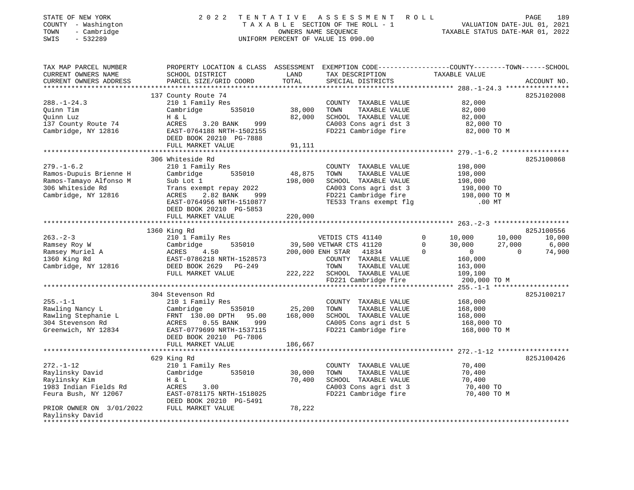| STATE OF NEW YORK<br>COUNTY - Washington<br>- Cambridge<br>TOWN<br>SWIS<br>$-532289$                                             | 2 0 2 2                                                                                                                                                                                              |                              | TENTATIVE ASSESSMENT<br>TAXABLE SECTION OF THE ROLL - 1<br>OWNERS NAME SEQUENCE<br>UNIFORM PERCENT OF VALUE IS 090.00                            | R O L L                                                                                           | 189<br>PAGE<br>VALUATION DATE-JUL 01, 2021<br>TAXABLE STATUS DATE-MAR 01, 2022 |
|----------------------------------------------------------------------------------------------------------------------------------|------------------------------------------------------------------------------------------------------------------------------------------------------------------------------------------------------|------------------------------|--------------------------------------------------------------------------------------------------------------------------------------------------|---------------------------------------------------------------------------------------------------|--------------------------------------------------------------------------------|
| TAX MAP PARCEL NUMBER<br>CURRENT OWNERS NAME<br>CURRENT OWNERS ADDRESS                                                           | PROPERTY LOCATION & CLASS ASSESSMENT EXEMPTION CODE---------------COUNTY-------TOWN------SCHOOL<br>SCHOOL DISTRICT<br>PARCEL SIZE/GRID COORD                                                         | LAND<br>TOTAL                | TAX DESCRIPTION<br>SPECIAL DISTRICTS                                                                                                             | TAXABLE VALUE                                                                                     | ACCOUNT NO.                                                                    |
|                                                                                                                                  | 137 County Route 74                                                                                                                                                                                  |                              |                                                                                                                                                  |                                                                                                   | 825J102008                                                                     |
| $288. - 1 - 24.3$<br>Quinn Tim<br>Quinn Luz<br>137 County Route 74<br>Cambridge, NY 12816                                        | 210 1 Family Res<br>Cambridge<br>535010<br>H & L<br>ACRES<br>3.20 BANK<br>999<br>EAST-0764188 NRTH-1502155                                                                                           | 38,000<br>82,000             | COUNTY TAXABLE VALUE<br>TOWN<br>TAXABLE VALUE<br>SCHOOL TAXABLE VALUE<br>CA003 Cons agri dst 3<br>FD221 Cambridge fire                           | 82,000<br>82,000<br>82,000<br>82,000 TO<br>82,000 TO M                                            |                                                                                |
|                                                                                                                                  | DEED BOOK 20210 PG-7888                                                                                                                                                                              |                              |                                                                                                                                                  |                                                                                                   |                                                                                |
|                                                                                                                                  | FULL MARKET VALUE                                                                                                                                                                                    | 91,111                       |                                                                                                                                                  |                                                                                                   |                                                                                |
| $279. - 1 - 6.2$<br>Ramos-Dupuis Brienne H<br>Ramos-Tamayo Alfonso M<br>306 Whiteside Rd<br>Cambridge, NY 12816                  | 306 Whiteside Rd<br>210 1 Family Res<br>Cambridge<br>535010<br>Sub Lot 1<br>Trans exempt repay 2022<br>ACRES<br>2.82 BANK<br>999<br>EAST-0764956 NRTH-1510877<br>DEED BOOK 20210 PG-5853             | 48,875<br>198,000            | COUNTY TAXABLE VALUE<br>TOWN<br>TAXABLE VALUE<br>SCHOOL TAXABLE VALUE<br>CA003 Cons agri dst 3<br>FD221 Cambridge fire<br>TE533 Trans exempt flg | 198,000<br>198,000<br>198,000<br>198,000 TO<br>198,000 TO M<br>$.00$ MT                           | 825J100868                                                                     |
|                                                                                                                                  | FULL MARKET VALUE                                                                                                                                                                                    | 220,000                      |                                                                                                                                                  |                                                                                                   |                                                                                |
|                                                                                                                                  |                                                                                                                                                                                                      |                              |                                                                                                                                                  |                                                                                                   |                                                                                |
|                                                                                                                                  | 1360 King Rd                                                                                                                                                                                         |                              |                                                                                                                                                  |                                                                                                   | 825J100556                                                                     |
| $263 - 2 - 3$<br>Ramsey Roy W<br>Ramsey Muriel A<br>1360 King Rd<br>Cambridge, NY 12816                                          | 210 1 Family Res<br>Cambridge<br>535010<br>ACRES<br>4.50<br>EAST-0786218 NRTH-1528573<br>DEED BOOK 2629 PG-249<br>FULL MARKET VALUE                                                                  | 222,222                      | VETDIS CTS 41140<br>39,500 VETWAR CTS 41120<br>200,000 ENH STAR 41834<br>COUNTY TAXABLE VALUE<br>TAXABLE VALUE<br>TOWN<br>SCHOOL TAXABLE VALUE   | 0<br>10,000<br>$\mathbf 0$<br>30,000<br>$\Omega$<br>$\mathsf{O}$<br>160,000<br>163,000<br>109,100 | 10,000<br>10,000<br>27,000<br>6,000<br>74,900<br>$\mathbf{0}$                  |
|                                                                                                                                  |                                                                                                                                                                                                      |                              | FD221 Cambridge fire                                                                                                                             | 200,000 TO M                                                                                      |                                                                                |
| $255. - 1 - 1$<br>Rawling Nancy L<br>Rawling Stephanie L<br>304 Stevenson Rd<br>Greenwich, NY 12834                              | 304 Stevenson Rd<br>210 1 Family Res<br>Cambridge<br>535010<br>FRNT 130.00 DPTH<br>95.00<br>ACRES<br>$0.55$ BANK<br>999<br>EAST-0779699 NRTH-1537115<br>DEED BOOK 20210 PG-7806<br>FULL MARKET VALUE | 25,200<br>168,000<br>186,667 | COUNTY TAXABLE VALUE<br>TOWN<br>TAXABLE VALUE<br>SCHOOL TAXABLE VALUE<br>CA005 Cons agri dst 5<br>FD221 Cambridge fire                           | 168,000<br>168,000<br>168,000<br>168,000 TO<br>168,000 TO M                                       | 825J100217                                                                     |
|                                                                                                                                  |                                                                                                                                                                                                      |                              |                                                                                                                                                  |                                                                                                   |                                                                                |
| $272. - 1 - 12$<br>Raylinsky David<br>Raylinsky Kim<br>1983 Indian Fields Rd<br>Feura Bush, NY 12067<br>PRIOR OWNER ON 3/01/2022 | 629 King Rd<br>210 1 Family Res<br>Cambridge<br>535010<br>H & L<br>ACRES<br>3.00<br>EAST-0781175 NRTH-1518025<br>DEED BOOK 20210 PG-5491<br>FULL MARKET VALUE                                        | 30,000<br>70,400<br>78,222   | COUNTY TAXABLE VALUE<br>TOWN<br>TAXABLE VALUE<br>SCHOOL TAXABLE VALUE<br>CA003 Cons agri dst 3<br>FD221 Cambridge fire                           | 70,400<br>70,400<br>70,400<br>70,400 TO<br>70,400 TO M                                            | 825J100426                                                                     |
| Raylinsky David<br>****************                                                                                              |                                                                                                                                                                                                      |                              |                                                                                                                                                  |                                                                                                   |                                                                                |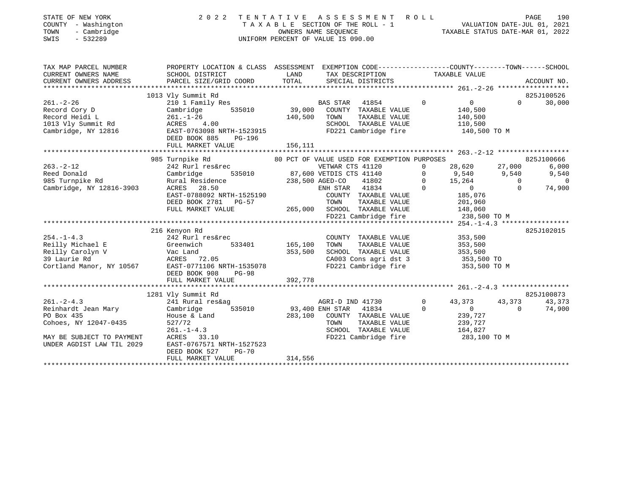| STATE OF NEW YORK<br>COUNTY - Washington<br>- Cambridge<br>TOWN<br>$-532289$<br>SWIS                                                    | 2 0 2 2                                                                                                                                                                                                                                                               |                        | TENTATIVE ASSESSMENT ROLL<br>TAXABLE SECTION OF THE ROLL - 1 VALUATION DATE-JUL 01, 2021<br>OWNERS NAME SEQUENCE TAXABLE STATUS DATE-MAR 01, 2022<br>UNIFORM PERCENT OF VALUE IS 090.00 |                            |                                                                                   | PAGE               | 190                         |
|-----------------------------------------------------------------------------------------------------------------------------------------|-----------------------------------------------------------------------------------------------------------------------------------------------------------------------------------------------------------------------------------------------------------------------|------------------------|-----------------------------------------------------------------------------------------------------------------------------------------------------------------------------------------|----------------------------|-----------------------------------------------------------------------------------|--------------------|-----------------------------|
| TAX MAP PARCEL NUMBER<br>CURRENT OWNERS NAME                                                                                            | PROPERTY LOCATION & CLASS ASSESSMENT EXEMPTION CODE----------------COUNTY--------TOWN------SCHOOL<br>SCHOOL DISTRICT                                                                                                                                                  | LAND                   | TAX DESCRIPTION                                                                                                                                                                         |                            | TAXABLE VALUE                                                                     |                    |                             |
| CURRENT OWNERS ADDRESS                                                                                                                  | PARCEL SIZE/GRID COORD                                                                                                                                                                                                                                                | TOTAL                  | SPECIAL DISTRICTS                                                                                                                                                                       |                            |                                                                                   |                    | ACCOUNT NO.                 |
|                                                                                                                                         |                                                                                                                                                                                                                                                                       |                        |                                                                                                                                                                                         |                            |                                                                                   |                    |                             |
| $261. -2 - 26$                                                                                                                          | 1013 Vly Summit Rd<br>Vly Summit Rd<br>210 1 Family Res<br>Cambridge 535010 39,000 COUNTY TAXABLE VALUE<br>Record Cory D<br>Record Heidi L<br>1013 Vly Summit Rd<br>261.-1-26 100<br>261.-1-26 140,500<br>261.-1-26 140,500<br>261.-1-26 140,500<br>261.-1-26 140,500 |                        | BAS STAR 41854 0 0<br>--------- Taxable VALUE 140,500<br>140,500<br>140,500<br>TOWN TAXABLE VALUE<br>SCHOOL TAXABLE VALUE<br>FD221 Cambridge fire                                       |                            | 140,500<br>110, 300<br>140, 500 TO M                                              |                    | 825J100526<br>$0 \t 30,000$ |
|                                                                                                                                         | DEED BOOK 885<br>PG-196<br>FULL MARKET VALUE                                                                                                                                                                                                                          | 156,111                |                                                                                                                                                                                         |                            |                                                                                   |                    |                             |
|                                                                                                                                         |                                                                                                                                                                                                                                                                       |                        |                                                                                                                                                                                         |                            |                                                                                   |                    |                             |
|                                                                                                                                         | 985 Turnpike Rd                                                                                                                                                                                                                                                       |                        | 80 PCT OF VALUE USED FOR EXEMPTION PURPOSES                                                                                                                                             |                            |                                                                                   |                    | 825J100666                  |
| $263. -2 - 12$                                                                                                                          |                                                                                                                                                                                                                                                                       |                        |                                                                                                                                                                                         |                            | 28,620 27,000                                                                     |                    | 6,000                       |
| Reed Donald<br>985 Turnpike Rd<br>Cambridge, NY 12816-3903                                                                              |                                                                                                                                                                                                                                                                       |                        |                                                                                                                                                                                         |                            | $9,540$<br>$15,264$<br>0<br>0<br>0<br>0                                           |                    | 9,540                       |
|                                                                                                                                         |                                                                                                                                                                                                                                                                       |                        |                                                                                                                                                                                         |                            |                                                                                   |                    | $\overline{0}$<br>74,900    |
|                                                                                                                                         | Cambridge 535010 67,000 VELLE 21802 0 15,264<br>Rural Residence 238,500 AGED-CO 41802 0 15,264<br>ENH STAR 41834 0 0<br>EAST-0788092 NRTH-1525190 COUNTY TAXABLE VALUE 185,076<br>DEED BOOK 2781 PG-57 TOWN TAXABLE VALUE 201,960<br>FUL                              |                        | FD221 Cambridge fire                                                                                                                                                                    |                            | 238,500 TO M                                                                      |                    |                             |
|                                                                                                                                         |                                                                                                                                                                                                                                                                       |                        |                                                                                                                                                                                         |                            |                                                                                   |                    |                             |
|                                                                                                                                         | 216 Kenyon Rd<br>254.-1-4.3<br>Reilly Michael E 333401<br>Reilly Carolyn V Vac Land<br>39 Laurie Rd ACRES 72.05<br>Cortland Manor, NY 10567<br>Reserved BACRES 72.05<br>Cortland Manor, NY 10567<br>RESERT-0771106 NRTH-1535078<br>DEED BOOK 908<br><b>PG-98</b>      | 353,500                | COUNTY TAXABLE VALUE<br>TOWN TAXABLE VALUE<br>SCHOOL TAXABLE VALUE<br>CA003 Cons agri dst 3 353,500 TO<br>FD221 Cambridge fire 353,500 TO M                                             |                            | 353,500<br>353,500<br>353,500                                                     |                    | 825J102015                  |
|                                                                                                                                         | FULL MARKET VALUE                                                                                                                                                                                                                                                     | 392,778                |                                                                                                                                                                                         |                            |                                                                                   |                    |                             |
|                                                                                                                                         |                                                                                                                                                                                                                                                                       |                        |                                                                                                                                                                                         |                            |                                                                                   |                    |                             |
|                                                                                                                                         | 1281 Vly Summit Rd                                                                                                                                                                                                                                                    |                        |                                                                                                                                                                                         |                            |                                                                                   |                    | 825J100873                  |
| $261 - 2 - 4.3$<br>Reinhardt Jean Mary<br>PO Box 435<br>Cohoes, NY 12047-0435<br>MAY BE SUBJECT TO PAYMENT<br>UNDER AGDIST LAW TIL 2029 | viy Summit Rd<br>241 Rural res&ag<br>Combui<br>Cambridge<br>House & Land<br>527/72<br>261.-1-4.3<br>ACRES 33.10<br>EAST-0767571 NRTH-1527523<br>DEED BOOK 527<br>$PG-70$                                                                                              | 535010 93,400 ENH STAR | AGRI-D IND 41730<br>41834<br>283,100 COUNTY TAXABLE VALUE<br>TOWN<br>TAXABLE VALUE<br>SCHOOL TAXABLE VALUE<br>FD221 Cambridge fire                                                      | $\overline{0}$<br>$\Omega$ | 43,3<br>43,373<br>$\overline{0}$<br>239,727<br>239,727<br>164,827<br>283,100 TO M | 43,373<br>$\Omega$ | 43,373<br>74,900            |
|                                                                                                                                         | FULL MARKET VALUE                                                                                                                                                                                                                                                     | 314,556                |                                                                                                                                                                                         |                            |                                                                                   |                    |                             |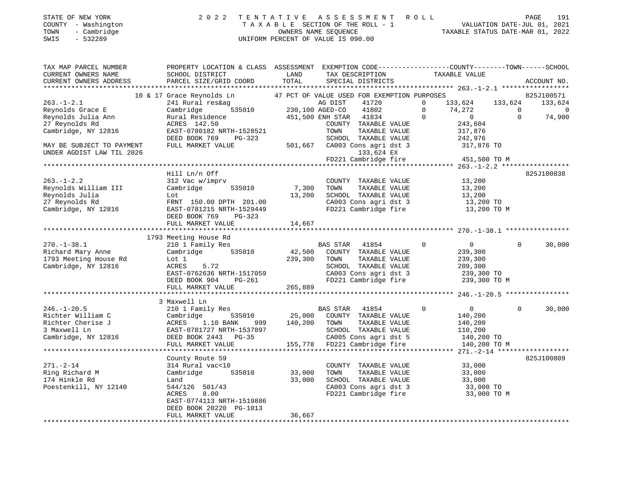|      | STATE OF NEW YORK   | 2022 TENTATIVE ASSESSMENT ROLL     | PAGE                             | 191 |
|------|---------------------|------------------------------------|----------------------------------|-----|
|      | COUNTY - Washington | TAXABLE SECTION OF THE ROLL - 1    | VALUATION DATE-JUL 01, 2021      |     |
| TOWN | - Cambridge         | OWNERS NAME SEOUENCE               | TAXABLE STATUS DATE-MAR 01, 2022 |     |
| SWIS | $-532289$           | UNIFORM PERCENT OF VALUE IS 090.00 |                                  |     |

| TAX MAP PARCEL NUMBER<br>CURRENT OWNERS NAME                                                                                                                                                                                                     | PROPERTY LOCATION & CLASS ASSESSMENT EXEMPTION CODE---------------COUNTY-------TOWN-----SCHOOL<br>SCHOOL DISTRICT                                                    | LAND           | TAX DESCRIPTION                                                                                                                 | TAXABLE VALUE |                                |          |                    |
|--------------------------------------------------------------------------------------------------------------------------------------------------------------------------------------------------------------------------------------------------|----------------------------------------------------------------------------------------------------------------------------------------------------------------------|----------------|---------------------------------------------------------------------------------------------------------------------------------|---------------|--------------------------------|----------|--------------------|
|                                                                                                                                                                                                                                                  |                                                                                                                                                                      |                |                                                                                                                                 |               |                                |          |                    |
|                                                                                                                                                                                                                                                  |                                                                                                                                                                      |                |                                                                                                                                 |               |                                |          |                    |
|                                                                                                                                                                                                                                                  | 10 & 17 Grace Reynolds Ln 47 PCT OF VALUE USED FOR EXEMPTION PURPOSES                                                                                                |                |                                                                                                                                 |               |                                |          | 825J100571         |
| $263. - 1 - 2.1$                                                                                                                                                                                                                                 | 241 Rural res&ag                                                                                                                                                     |                | 41720                                                                                                                           | $\mathbf 0$   | 133,624 133,624                |          | 133,624            |
| Reynolds Grace E                                                                                                                                                                                                                                 | Cambridge                                                                                                                                                            |                | 41802                                                                                                                           | $\circ$       |                                |          |                    |
|                                                                                                                                                                                                                                                  |                                                                                                                                                                      |                |                                                                                                                                 |               |                                |          | 0<br>74,900        |
|                                                                                                                                                                                                                                                  |                                                                                                                                                                      |                | COUNTY TAXABLE VALUE                                                                                                            |               | $74, 272$<br>0<br>243,604<br>0 |          |                    |
| Cambridge, NY 12816                                                                                                                                                                                                                              | EAST-0780182 NRTH-1528521<br>DEED BOOK 750 -                                                                                                                         |                |                                                                                                                                 |               |                                |          |                    |
|                                                                                                                                                                                                                                                  | DEED BOOK 769 PG-323                                                                                                                                                 |                | TOWN TAXABLE VALUE 317,876<br>SCHOOL TAXABLE VALUE 242,976                                                                      |               |                                |          |                    |
| MAY BE SUBJECT TO PAYMENT                                                                                                                                                                                                                        | FULL MARKET VALUE                                                                                                                                                    |                | 501,667 CA003 Cons agri dst 3 317,876 TO                                                                                        |               |                                |          |                    |
| UNDER AGDIST LAW TIL 2026                                                                                                                                                                                                                        |                                                                                                                                                                      |                | 133,624 EX                                                                                                                      |               |                                |          |                    |
|                                                                                                                                                                                                                                                  |                                                                                                                                                                      |                | FD221 Cambridge fire                                                                                                            |               | 451,500 TO M                   |          |                    |
|                                                                                                                                                                                                                                                  |                                                                                                                                                                      |                |                                                                                                                                 |               |                                |          |                    |
|                                                                                                                                                                                                                                                  | Hill Ln/n Off                                                                                                                                                        |                |                                                                                                                                 |               |                                |          | 825J100838         |
| $263. - 1 - 2.2$                                                                                                                                                                                                                                 | 312 Vac w/imprv                                                                                                                                                      |                | COUNTY TAXABLE VALUE 13,200                                                                                                     |               |                                |          |                    |
| Reynolds William III                                                                                                                                                                                                                             | Cambridge                                                                                                                                                            | $535010$ 7,300 |                                                                                                                                 |               |                                |          |                    |
| Reynolds Julia                                                                                                                                                                                                                                   | Lot                                                                                                                                                                  |                | 7,300 TOWN TAXABLE VALUE -- .<br>13,200 SCHOOL TAXABLE VALUE 13,200 TO -- .<br>2000 Canola Consagri dst 3 13,200 TO             |               |                                |          |                    |
| 27 Reynolds Rd                                                                                                                                                                                                                                   | FRNT 150.00 DPTH 201.00                                                                                                                                              |                |                                                                                                                                 |               |                                |          |                    |
| Cambridge, NY 12816                                                                                                                                                                                                                              | EAST-0781215 NRTH-1529449                                                                                                                                            |                | CA003 Cons agri dst 3 13,200 TO<br>FD221 Cambridge fire 13,200 TO M                                                             |               |                                |          |                    |
|                                                                                                                                                                                                                                                  | DEED BOOK 769 PG-323                                                                                                                                                 |                |                                                                                                                                 |               |                                |          |                    |
|                                                                                                                                                                                                                                                  | FULL MARKET VALUE                                                                                                                                                    | 14,667         |                                                                                                                                 |               |                                |          |                    |
|                                                                                                                                                                                                                                                  |                                                                                                                                                                      |                |                                                                                                                                 |               |                                |          |                    |
|                                                                                                                                                                                                                                                  | 1793 Meeting House Rd                                                                                                                                                |                |                                                                                                                                 |               |                                |          |                    |
| $270. - 1 - 38.1$                                                                                                                                                                                                                                | 210 1 Family Res                                                                                                                                                     |                | BAS STAR 41854                                                                                                                  | $\circ$       | $\overline{0}$                 | $\Omega$ | 30,000             |
| Richard Mary Anne                                                                                                                                                                                                                                | Cambridge 535010 $\begin{array}{cccc} 42,500 & \text{COUNTY} & \text{TAXABLE VALUE} \\ 1 \text{ of } 1 & 220,300 & \text{TOM} & \text{TAYAPI E VAN IUP} \end{array}$ |                |                                                                                                                                 |               | 239,300                        |          |                    |
| 1793 Meeting House Rd                                                                                                                                                                                                                            | Lot 1                                                                                                                                                                | 239,300        | TOWN<br>TAXABLE VALUE                                                                                                           |               | 239,300                        |          |                    |
| Cambridge, NY 12816                                                                                                                                                                                                                              | ACRES<br>5.72                                                                                                                                                        |                |                                                                                                                                 |               |                                |          |                    |
|                                                                                                                                                                                                                                                  |                                                                                                                                                                      |                | SCHOOL TAXABLE VALUE 209,300<br>CA003 Cons agri dst 3 239,300 TO                                                                |               |                                |          |                    |
|                                                                                                                                                                                                                                                  | ACRES 5.72<br>EAST-0762636 NRTH-1517059<br>DEED BOOK 904 PG-261<br>DEED BOOK 904 PG-261                                                                              |                | FD221 Cambridge fire 239,300 TO M                                                                                               |               |                                |          |                    |
|                                                                                                                                                                                                                                                  | FULL MARKET VALUE 265,889                                                                                                                                            |                |                                                                                                                                 |               |                                |          |                    |
|                                                                                                                                                                                                                                                  |                                                                                                                                                                      |                |                                                                                                                                 |               |                                |          |                    |
|                                                                                                                                                                                                                                                  | 3 Maxwell Ln                                                                                                                                                         |                |                                                                                                                                 |               |                                |          |                    |
| $246. - 1 - 20.5$                                                                                                                                                                                                                                | 210 1 Family Res                                                                                                                                                     |                | BAS STAR 41854                                                                                                                  | $\Omega$      | $\overline{0}$                 |          | $\Omega$<br>30,000 |
|                                                                                                                                                                                                                                                  |                                                                                                                                                                      |                |                                                                                                                                 |               | 140,200                        |          |                    |
|                                                                                                                                                                                                                                                  |                                                                                                                                                                      |                |                                                                                                                                 |               | 140,200                        |          |                    |
| Richter William C<br>Richter William C<br>Richter Cherise J<br>3 Maxwell Ln<br>25,000 COUNTY TAXABLE VALUE<br>3 Maxwell Ln<br>25,000 COUNTY TAXABLE VALUE<br>25,000 COUNTY TAXABLE VALUE<br>25,000 COUNTY TAXABLE VALUE<br>25,000 COUNTY TAXABLE |                                                                                                                                                                      |                |                                                                                                                                 |               |                                |          |                    |
|                                                                                                                                                                                                                                                  |                                                                                                                                                                      |                |                                                                                                                                 |               | 110,200<br>140,200 TO          |          |                    |
|                                                                                                                                                                                                                                                  | FULL MARKET VALUE                                                                                                                                                    |                | -35 CA005 Cons agri dst 5<br>155,778 FD221 Cambridge fire                                                                       |               | 140,200 TO M                   |          |                    |
|                                                                                                                                                                                                                                                  |                                                                                                                                                                      |                |                                                                                                                                 |               |                                |          |                    |
|                                                                                                                                                                                                                                                  | County Route 59                                                                                                                                                      |                |                                                                                                                                 |               |                                |          | 825J100809         |
| $271. - 2 - 14$                                                                                                                                                                                                                                  | 314 Rural vac<10                                                                                                                                                     |                | COUNTY TAXABLE VALUE                                                                                                            |               | 33,000                         |          |                    |
| Ring Richard M                                                                                                                                                                                                                                   | 535010<br>Cambridge                                                                                                                                                  | 33,000         | TOWN TAXABLE VALUE 33,000<br>SCHOOL TAXABLE VALUE 33,000<br>CA003 Cons agri dst 3 33,000 TO<br>FD221 Cambridge fire 33,000 TO M |               |                                |          |                    |
| 174 Hinkle Rd                                                                                                                                                                                                                                    | Land                                                                                                                                                                 | 33,000         |                                                                                                                                 |               |                                |          |                    |
| Poestenkill, NY 12140                                                                                                                                                                                                                            | $\frac{544}{126}$ $\frac{501}{43}$                                                                                                                                   |                |                                                                                                                                 |               |                                |          |                    |
|                                                                                                                                                                                                                                                  | 8.00<br>ACRES                                                                                                                                                        |                |                                                                                                                                 |               |                                |          |                    |
|                                                                                                                                                                                                                                                  | EAST-0774113 NRTH-1519886                                                                                                                                            |                |                                                                                                                                 |               |                                |          |                    |
|                                                                                                                                                                                                                                                  | DEED BOOK 20220 PG-1013                                                                                                                                              |                |                                                                                                                                 |               |                                |          |                    |
|                                                                                                                                                                                                                                                  | FULL MARKET VALUE                                                                                                                                                    | 36,667         |                                                                                                                                 |               |                                |          |                    |
|                                                                                                                                                                                                                                                  |                                                                                                                                                                      |                |                                                                                                                                 |               |                                |          |                    |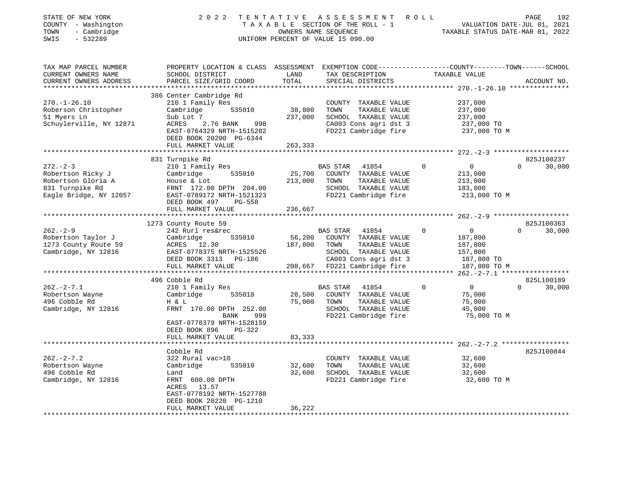| STATE OF NEW YORK<br>COUNTY - Washington<br>- Cambridge<br>TOWN<br>SWIS<br>$-532289$               | 2 0 2 2<br>TENTATIVE                                                                                                                         | OWNERS NAME SEOUENCE | ASSESSMENT ROLL<br>TAXABLE SECTION OF THE ROLL - 1<br>UNIFORM PERCENT OF VALUE IS 090.00 |                            | 192<br>PAGE<br>VALUATION DATE-JUL 01, 2021<br>TAXABLE STATUS DATE-MAR 01, 2022 |
|----------------------------------------------------------------------------------------------------|----------------------------------------------------------------------------------------------------------------------------------------------|----------------------|------------------------------------------------------------------------------------------|----------------------------|--------------------------------------------------------------------------------|
| TAX MAP PARCEL NUMBER<br>CURRENT OWNERS NAME<br>CURRENT OWNERS ADDRESS<br>************************ | PROPERTY LOCATION & CLASS ASSESSMENT EXEMPTION CODE---------------COUNTY-------TOWN------SCHOOL<br>SCHOOL DISTRICT<br>PARCEL SIZE/GRID COORD | LAND<br>TOTAL        | TAX DESCRIPTION<br>SPECIAL DISTRICTS                                                     | TAXABLE VALUE              | ACCOUNT NO.                                                                    |
|                                                                                                    | 386 Center Cambridge Rd                                                                                                                      |                      |                                                                                          |                            |                                                                                |
| $270. - 1 - 26.10$                                                                                 | 210 1 Family Res                                                                                                                             |                      | COUNTY TAXABLE VALUE                                                                     | 237,000                    |                                                                                |
| Roberson Christopher                                                                               | Cambridge<br>535010                                                                                                                          | 38,800               | TOWN<br>TAXABLE VALUE                                                                    | 237,000                    |                                                                                |
| 51 Myers Ln                                                                                        | Sub Lot 7                                                                                                                                    | 237,000              | SCHOOL TAXABLE VALUE                                                                     | 237,000                    |                                                                                |
| Schuylerville, NY 12871                                                                            | 2.76 BANK<br>998<br>ACRES<br>EAST-0764329 NRTH-1515202<br>DEED BOOK 20200 PG-6344                                                            |                      | CA003 Cons agri dst 3<br>FD221 Cambridge fire                                            | 237,000 TO<br>237,000 TO M |                                                                                |
|                                                                                                    | FULL MARKET VALUE                                                                                                                            | 263,333              |                                                                                          |                            |                                                                                |
|                                                                                                    |                                                                                                                                              |                      |                                                                                          |                            |                                                                                |
|                                                                                                    | 831 Turnpike Rd                                                                                                                              |                      |                                                                                          |                            | 825J100237                                                                     |
| $272 - 2 - 3$                                                                                      | 210 1 Family Res                                                                                                                             |                      | BAS STAR<br>41854                                                                        | $\Omega$<br>$\overline{0}$ | $\Omega$<br>30,000                                                             |
| Robertson Ricky J<br>Robertson Gloria A                                                            | Cambridge<br>535010<br>House & Lot                                                                                                           | 25,700<br>213,000    | COUNTY TAXABLE VALUE<br>TOWN<br>TAXABLE VALUE                                            | 213,000                    |                                                                                |
| 831 Turnpike Rd                                                                                    | FRNT 172.00 DPTH 204.00                                                                                                                      |                      | SCHOOL TAXABLE VALUE                                                                     | 213,000<br>183,000         |                                                                                |
| Eagle Bridge, NY 12057                                                                             | EAST-0789172 NRTH-1521323<br>DEED BOOK 497<br>PG-558                                                                                         |                      | FD221 Cambridge fire                                                                     | 213,000 TO M               |                                                                                |
|                                                                                                    | FULL MARKET VALUE                                                                                                                            | 236,667              |                                                                                          |                            |                                                                                |
|                                                                                                    |                                                                                                                                              |                      |                                                                                          |                            |                                                                                |
|                                                                                                    | 1273 County Route 59                                                                                                                         |                      |                                                                                          |                            | 825J100363                                                                     |
| $262 - 2 - 9$                                                                                      | 242 Rurl res&rec                                                                                                                             |                      | <b>BAS STAR</b><br>41854                                                                 | $\overline{0}$<br>$\Omega$ | 30,000<br>$\Omega$                                                             |
| Robertson Taylor J                                                                                 | 535010<br>Cambridge                                                                                                                          | 56,200               | COUNTY TAXABLE VALUE                                                                     | 187,800                    |                                                                                |
| 1273 County Route 59<br>Cambridge, NY 12816                                                        | ACRES 12.30<br>EAST-0778375 NRTH-1525526                                                                                                     | 187,800              | TAXABLE VALUE<br>TOWN<br>SCHOOL TAXABLE VALUE                                            | 187,800<br>157,800         |                                                                                |
|                                                                                                    | DEED BOOK 3313 PG-186                                                                                                                        |                      | CA003 Cons agri dst 3                                                                    | 187,800 TO                 |                                                                                |
|                                                                                                    | FULL MARKET VALUE                                                                                                                            |                      | 208,667 FD221 Cambridge fire                                                             | 187,800 TO M               |                                                                                |
|                                                                                                    |                                                                                                                                              |                      |                                                                                          |                            |                                                                                |
|                                                                                                    | 496 Cobble Rd                                                                                                                                |                      |                                                                                          |                            | 825L100189                                                                     |
| $262 - 2 - 7.1$                                                                                    | 210 1 Family Res                                                                                                                             |                      | BAS STAR<br>41854                                                                        | $\Omega$<br>$\overline{0}$ | $\Omega$<br>30,000                                                             |
| Robertson Wayne                                                                                    | 535010<br>Cambridge                                                                                                                          | 28,500               | COUNTY TAXABLE VALUE                                                                     | 75,000                     |                                                                                |
| 496 Cobble Rd                                                                                      | H & L                                                                                                                                        | 75,000               | TAXABLE VALUE<br>TOWN                                                                    | 75,000                     |                                                                                |
| Cambridge, NY 12816                                                                                | FRNT 170.00 DPTH 252.00<br>BANK<br>999                                                                                                       |                      | SCHOOL TAXABLE VALUE<br>FD221 Cambridge fire                                             | 45,000<br>75,000 TO M      |                                                                                |
|                                                                                                    | EAST-0778379 NRTH-1528159<br>DEED BOOK 896<br>$PG-322$<br>FULL MARKET VALUE                                                                  | 83,333               |                                                                                          |                            |                                                                                |
|                                                                                                    | *******************                                                                                                                          |                      |                                                                                          |                            |                                                                                |
|                                                                                                    | Cobble Rd                                                                                                                                    |                      |                                                                                          |                            | 825J100844                                                                     |
| $262 - 2 - 7.2$                                                                                    | 322 Rural vac>10                                                                                                                             |                      | COUNTY TAXABLE VALUE                                                                     | 32,600                     |                                                                                |
| Robertson Wayne                                                                                    | Cambridge<br>535010                                                                                                                          | 32,600               | TOWN<br>TAXABLE VALUE                                                                    | 32,600                     |                                                                                |
| 496 Cobble Rd                                                                                      | Land                                                                                                                                         | 32,600               | SCHOOL TAXABLE VALUE                                                                     | 32,600                     |                                                                                |
| Cambridge, NY 12816                                                                                | FRNT 600.00 DPTH<br>ACRES 13.57                                                                                                              |                      | FD221 Cambridge fire                                                                     | 32,600 TO M                |                                                                                |
|                                                                                                    | EAST-0778192 NRTH-1527788<br>DEED BOOK 20220 PG-1210                                                                                         |                      |                                                                                          |                            |                                                                                |
|                                                                                                    | FULL MARKET VALUE                                                                                                                            | 36,222               |                                                                                          |                            |                                                                                |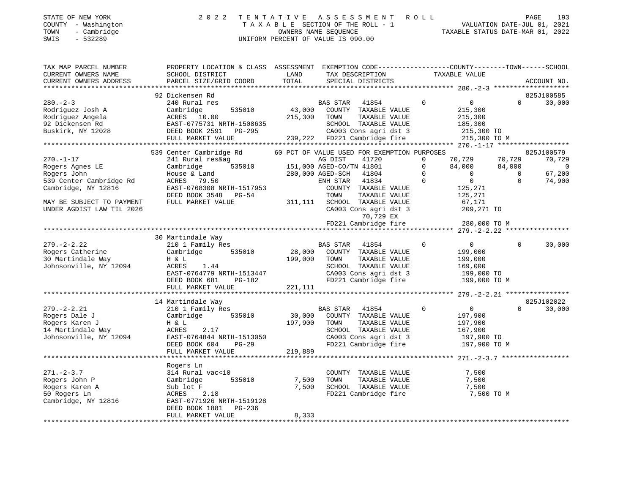### STATE OF NEW YORK 2 0 2 2 T E N T A T I V E A S S E S S M E N T R O L L PAGE 193 COUNTY - Washington T A X A B L E SECTION OF THE ROLL - 1 VALUATION DATE-JUL 01, 2021 TOWN - Cambridge COWNERS NAME SEQUENCE COWNERS NAME SEQUENCE TAXABLE STATUS DATE-MAR 01, 2022<br>TRIS - 532289 UNIFORM PERCENT OF VALUE IS 090.00

TAX MAP PARCEL NUMBER PROPERTY LOCATION & CLASS ASSESSMENT EXEMPTION CODE------------------COUNTY--------TOWN------SCHOOL CURRENT OWNERS NAME SCHOOL DISTRICT LAND TAX DESCRIPTION TAXABLE VALUETAXABLE VALUE CURRENT OWNERS ADDRESS PARCEL SIZE/GRID COORD TOTAL SPECIAL DISTRICTS ACCOUNT NO. \*\*\*\*\*\*\*\*\*\*\*\*\*\*\*\*\*\*\*\*\*\*\*\*\*\*\*\*\*\*\*\*\*\*\*\*\*\*\*\*\*\*\*\*\*\*\*\*\*\*\*\*\*\*\*\*\*\*\*\*\*\*\*\*\*\*\*\*\*\*\*\*\*\*\*\*\*\*\*\*\*\*\*\*\*\*\*\*\*\*\*\*\*\*\*\*\*\*\*\*\*\*\* 280.-2-3 \*\*\*\*\*\*\*\*\*\*\*\*\*\*\*\*\*\*\* 92 Dickensen Rd 825J100585825J100585<br>0 30,000 280.-2-3 240 Rural res BAS STAR 41854 0 0 0 30,000 Rodriguez Josh A Cambridge 535010 43,000 COUNTY TAXABLE VALUE 215,300

| Rodriguez Angela          | ACRES 10.00               | 215,300 | TAXABLE VALUE<br>TOWN                       | 215,300                       |          |                |
|---------------------------|---------------------------|---------|---------------------------------------------|-------------------------------|----------|----------------|
| 92 Dickensen Rd           | EAST-0775731 NRTH-1508635 |         | SCHOOL TAXABLE VALUE                        | 185,300                       |          |                |
| Buskirk, NY 12028         | DEED BOOK 2591 PG-295     |         | CA003 Cons agri dst 3                       | 215,300 TO                    |          |                |
|                           | FULL MARKET VALUE         |         | 239,222 FD221 Cambridge fire                | 215,300 TO M                  |          |                |
|                           |                           |         |                                             |                               |          |                |
|                           | 539 Center Cambridge Rd   |         | 60 PCT OF VALUE USED FOR EXEMPTION PURPOSES |                               |          | 825J100579     |
| $270. - 1 - 17$           | 241 Rural res&ag          |         | AG DIST<br>41720                            | 70,729<br>0                   | 70,729   | 70,729         |
| Rogers Agnes LE           | 535010<br>Cambridge       |         | 151,000 AGED-CO/TN 41801                    | 84,000<br>0                   | 84,000   | $\overline{0}$ |
| Rogers John               | House & Land              |         | 280,000 AGED-SCH 41804                      | $\mathbf 0$<br>$\overline{0}$ | $\Omega$ | 67,200         |
| 539 Center Cambridge Rd   | ACRES 79.50               |         | ENH STAR<br>41834                           | $\Omega$<br>$\overline{0}$    | $\Omega$ | 74,900         |
| Cambridge, NY 12816       | EAST-0768308 NRTH-1517953 |         | COUNTY TAXABLE VALUE                        | 125,271                       |          |                |
|                           | DEED BOOK 3548 PG-54      |         | TOWN<br>TAXABLE VALUE                       | 125,271                       |          |                |
| MAY BE SUBJECT TO PAYMENT | FULL MARKET VALUE         | 311,111 | SCHOOL TAXABLE VALUE                        | 67,171                        |          |                |
| UNDER AGDIST LAW TIL 2026 |                           |         | CA003 Cons agri dst 3                       | 209,271 TO                    |          |                |
|                           |                           |         | 70,729 EX                                   |                               |          |                |
|                           |                           |         | FD221 Cambridge fire                        | 280,000 TO M                  |          |                |
|                           |                           |         |                                             |                               |          |                |
|                           | 30 Martindale Way         |         |                                             |                               |          |                |
| $279. - 2 - 2.22$         | 210 1 Family Res          |         | BAS STAR 41854                              | $\Omega$<br>$\overline{0}$    | $\Omega$ | 30,000         |
| Rogers Catherine          | 535010<br>Cambridge       | 28,000  | COUNTY TAXABLE VALUE                        | 199,000                       |          |                |
| 30 Martindale Way         | H & L                     | 199,000 | TOWN<br>TAXABLE VALUE                       | 199,000                       |          |                |
| Johnsonville, NY 12094    | ACRES<br>1.44             |         | SCHOOL TAXABLE VALUE                        | 169,000                       |          |                |
|                           | EAST-0764779 NRTH-1513447 |         | CA003 Cons agri dst 3                       | 199,000 TO                    |          |                |
|                           | DEED BOOK 681<br>PG-182   |         | FD221 Cambridge fire                        | 199,000 TO M                  |          |                |
|                           | FULL MARKET VALUE         | 221,111 |                                             |                               |          |                |
|                           |                           |         |                                             |                               |          |                |
|                           | 14 Martindale Way         |         |                                             |                               |          | 825J102022     |
| $279. - 2 - 2.21$         | 210 1 Family Res          |         | BAS STAR 41854                              | $\mathbf 0$<br>$\overline{0}$ | $\Omega$ | 30,000         |
| Rogers Dale J             | Cambridge<br>535010       | 30,000  | COUNTY TAXABLE VALUE                        | 197,900                       |          |                |
| Rogers Karen J            | H & L                     | 197,900 | TOWN<br>TAXABLE VALUE                       | 197,900                       |          |                |
| 14 Martindale Way         | ACRES<br>2.17             |         | SCHOOL TAXABLE VALUE                        | 167,900                       |          |                |
| Johnsonville, NY 12094    | EAST-0764844 NRTH-1513050 |         | CA003 Cons agri dst 3                       | 197,900 TO                    |          |                |
|                           | $PG-29$<br>DEED BOOK 604  |         | FD221 Cambridge fire                        | 197,900 TO M                  |          |                |
|                           | FULL MARKET VALUE         | 219,889 |                                             |                               |          |                |
|                           |                           |         |                                             |                               |          |                |
|                           | Rogers Ln                 |         |                                             |                               |          |                |
| $271. - 2 - 3.7$          | 314 Rural vac<10          |         | COUNTY TAXABLE VALUE                        | 7,500                         |          |                |
| Rogers John P             | Cambridge<br>535010       | 7,500   | TOWN<br>TAXABLE VALUE                       | 7,500                         |          |                |
| Rogers Karen A            | Sub lot F                 | 7,500   | SCHOOL TAXABLE VALUE                        | 7,500                         |          |                |
| 50 Rogers Ln              | 2.18<br>ACRES             |         | FD221 Cambridge fire                        | 7,500 TO M                    |          |                |
| Cambridge, NY 12816       | EAST-0771926 NRTH-1519128 |         |                                             |                               |          |                |
|                           | DEED BOOK 1881 PG-236     |         |                                             |                               |          |                |
|                           | FULL MARKET VALUE         | 8,333   |                                             |                               |          |                |
|                           |                           |         |                                             |                               |          |                |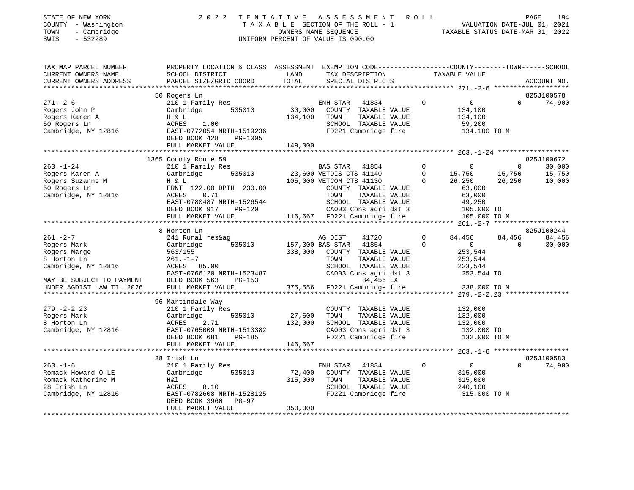| TOWN<br>SWIS | STATE OF NEW YORK<br>COUNTY - Washington<br>- Cambridge<br>- 532289 |                                              |                    | 2022 TENTATIVE ASSESSMENT ROLL<br>TAXABLE SECTION OF THE ROLL - 1<br>OWNERS NAME SEOUENCE<br>UNIFORM PERCENT OF VALUE IS 090.00 | TAXABLE STATUS DATE-MAR 01, 2022 | PAGE<br>VALUATION DATE-JUL 01, 2021 | 194     |
|--------------|---------------------------------------------------------------------|----------------------------------------------|--------------------|---------------------------------------------------------------------------------------------------------------------------------|----------------------------------|-------------------------------------|---------|
|              | TAX MAP PARCEL NUMBER<br>CURRENT OWNERS NAME                        | PROPERTY LOCATION & CLASS<br>SCHOOL DISTRICT | ASSESSMENT<br>LAND | EXEMPTION CODE-----------------COUNTY-------TOWN-----<br>TAX DESCRIPTION                                                        | TAXABLE VALUE                    |                                     | -SCHOOL |

| 50 Rogers Ln<br>825J100578<br>$271. - 2 - 6$<br>210 1 Family Res<br>ENH STAR<br>41834<br>$\Omega$<br>$\overline{0}$<br>$\Omega$<br>30,000<br>Rogers John P<br>535010<br>Cambridge<br>COUNTY TAXABLE VALUE<br>134,100<br>134,100<br>TAXABLE VALUE<br>Rogers Karen A<br>H & L<br>TOWN<br>134,100<br>50 Rogers Ln<br>1.00<br>SCHOOL TAXABLE VALUE<br>59,200<br>ACRES<br>FD221 Cambridge fire<br>Cambridge, NY 12816<br>EAST-0772054 NRTH-1519236<br>134,100 TO M<br>DEED BOOK 428<br>PG-1005<br>149,000<br>FULL MARKET VALUE<br>1365 County Route 59<br>$\overline{0}$<br>$263. - 1 - 24$<br>210 1 Family Res<br>BAS STAR<br>41854<br>$\overline{0}$<br>$\overline{0}$<br>Rogers Karen A<br>535010 23,600 VETDIS CTS 41140<br>Cambridge<br>$\Omega$<br>15,750<br>15,750<br>Rogers Suzanne M<br>H & L<br>105,000 VETCOM CTS 41130<br>$\Omega$<br>26,250<br>26,250<br>50 Rogers Ln<br>FRNT 122.00 DPTH 230.00<br>COUNTY TAXABLE VALUE<br>63,000<br>Cambridge, NY 12816<br>0.71<br>63,000<br>ACRES<br>TOWN<br>TAXABLE VALUE<br>EAST-0780487 NRTH-1526544<br>SCHOOL TAXABLE VALUE<br>49,250<br>CA003 Cons agri dst 3<br>DEED BOOK 917<br>105,000 TO<br>PG-120<br>105,000 TO M<br>FULL MARKET VALUE | ACCOUNT NO.                |
|---------------------------------------------------------------------------------------------------------------------------------------------------------------------------------------------------------------------------------------------------------------------------------------------------------------------------------------------------------------------------------------------------------------------------------------------------------------------------------------------------------------------------------------------------------------------------------------------------------------------------------------------------------------------------------------------------------------------------------------------------------------------------------------------------------------------------------------------------------------------------------------------------------------------------------------------------------------------------------------------------------------------------------------------------------------------------------------------------------------------------------------------------------------------------------------------|----------------------------|
|                                                                                                                                                                                                                                                                                                                                                                                                                                                                                                                                                                                                                                                                                                                                                                                                                                                                                                                                                                                                                                                                                                                                                                                             |                            |
|                                                                                                                                                                                                                                                                                                                                                                                                                                                                                                                                                                                                                                                                                                                                                                                                                                                                                                                                                                                                                                                                                                                                                                                             | 74,900                     |
|                                                                                                                                                                                                                                                                                                                                                                                                                                                                                                                                                                                                                                                                                                                                                                                                                                                                                                                                                                                                                                                                                                                                                                                             | 825J100672                 |
|                                                                                                                                                                                                                                                                                                                                                                                                                                                                                                                                                                                                                                                                                                                                                                                                                                                                                                                                                                                                                                                                                                                                                                                             | 30,000<br>15,750<br>10,000 |
| 8 Horton Ln                                                                                                                                                                                                                                                                                                                                                                                                                                                                                                                                                                                                                                                                                                                                                                                                                                                                                                                                                                                                                                                                                                                                                                                 | 825J100244                 |
| $261. - 2 - 7$<br>AG DIST<br>41720<br>241 Rural res&ag<br>$\Omega$<br>84,456<br>84,456<br>535010<br>157,300 BAS STAR<br>41854<br>$\Omega$<br>$\overline{0}$<br>Rogers Mark<br>Cambridge<br>$\Omega$<br>338,000<br>Rogers Marge<br>563/155<br>COUNTY TAXABLE VALUE<br>253,544<br>8 Horton Ln<br>$261. - 1 - 7$<br>TAXABLE VALUE<br>TOWN<br>253,544<br>223,544<br>Cambridge, NY 12816<br>ACRES 85.00<br>SCHOOL TAXABLE VALUE<br>CA003 Cons agri dst 3<br>EAST-0766120 NRTH-1523487<br>253,544 TO<br>84,456 EX<br>DEED BOOK 563<br>MAY BE SUBJECT TO PAYMENT<br>$PG-153$<br>375,556 FD221 Cambridge fire<br>338,000 TO M<br>UNDER AGDIST LAW TIL 2026<br>FULL MARKET VALUE                                                                                                                                                                                                                                                                                                                                                                                                                                                                                                                     | 84,456<br>30,000           |
| 96 Martindale Way                                                                                                                                                                                                                                                                                                                                                                                                                                                                                                                                                                                                                                                                                                                                                                                                                                                                                                                                                                                                                                                                                                                                                                           |                            |
| 210 1 Family Res<br>COUNTY TAXABLE VALUE<br>$279. - 2 - 2.23$<br>132,000<br>27,600<br>Rogers Mark<br>Cambridge<br>535010<br>TOWN<br>TAXABLE VALUE<br>132,000<br>132,000<br>SCHOOL TAXABLE VALUE<br>8 Horton Ln<br>ACRES<br>2.71<br>132,000<br>CA003 Cons agri dst 3<br>Cambridge, NY 12816<br>EAST-0765009 NRTH-1513382<br>132,000 TO<br>DEED BOOK 681<br>FD221 Cambridge fire<br>PG-185<br>132,000 TO M<br>FULL MARKET VALUE<br>146,667<br>**********************                                                                                                                                                                                                                                                                                                                                                                                                                                                                                                                                                                                                                                                                                                                          |                            |
| 28 Irish Ln                                                                                                                                                                                                                                                                                                                                                                                                                                                                                                                                                                                                                                                                                                                                                                                                                                                                                                                                                                                                                                                                                                                                                                                 | 825J100583                 |
| $263. - 1 - 6$<br>41834<br>$\Omega$<br>$\overline{0}$<br>$\Omega$<br>210 1 Family Res<br>ENH STAR<br>Romack Howard O LE<br>Cambridge<br>535010<br>72,400<br>COUNTY TAXABLE VALUE<br>315,000<br>Romack Katherine M<br>315,000<br>H&l<br>TOWN<br>TAXABLE VALUE<br>315,000<br>28 Irish Ln<br>SCHOOL TAXABLE VALUE<br>ACRES<br>8.10<br>240,100<br>EAST-0782608 NRTH-1528125<br>FD221 Cambridge fire<br>Cambridge, NY 12816<br>315,000 TO M<br>DEED BOOK 3960<br>PG-97<br>350,000<br>FULL MARKET VALUE                                                                                                                                                                                                                                                                                                                                                                                                                                                                                                                                                                                                                                                                                           | 74,900                     |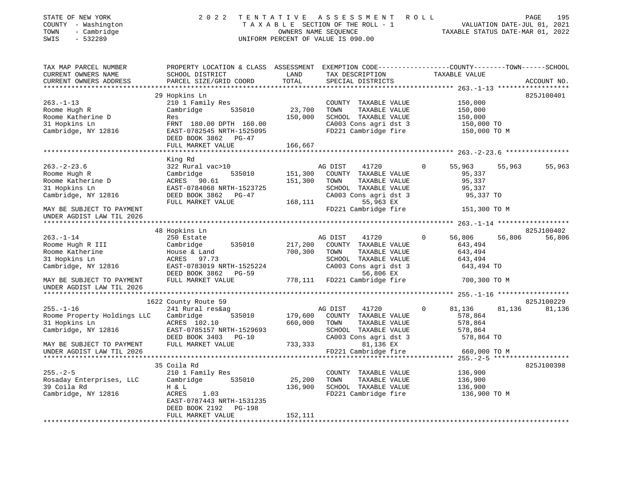| EXEMPTION CODE-----------------COUNTY-------TOWN------SCHOOL<br>TAX MAP PARCEL NUMBER<br>PROPERTY LOCATION & CLASS ASSESSMENT<br>CURRENT OWNERS NAME<br>SCHOOL DISTRICT<br>LAND<br>TAX DESCRIPTION<br>TAXABLE VALUE<br>TOTAL<br>CURRENT OWNERS ADDRESS<br>PARCEL SIZE/GRID COORD<br>SPECIAL DISTRICTS<br>ACCOUNT NO.<br>29 Hopkins Ln<br>825J100401<br>$263. -1 - 13$<br>210 1 Family Res<br>COUNTY TAXABLE VALUE<br>150,000<br>23,700<br>Roome Hugh R<br>Cambridge<br>535010<br>TOWN<br>TAXABLE VALUE<br>150,000<br>150,000<br>SCHOOL TAXABLE VALUE<br>Roome Katherine D<br>150,000<br>Res<br>31 Hopkins Ln<br>CA003 Cons agri dst 3<br>FRNT 180.00 DPTH 160.00<br>150,000 TO<br>FD221 Cambridge fire<br>Cambridge, NY 12816<br>EAST-0782545 NRTH-1525095<br>150,000 TO M<br>DEED BOOK 3862 PG-47<br>FULL MARKET VALUE<br>166,667<br>************<br>**********************<br>King Rd<br>$263. - 2 - 23.6$<br>322 Rural vac>10<br>0<br>55,963<br>55,963<br>55,963<br>AG DIST<br>41720<br>151,300<br>COUNTY TAXABLE VALUE<br>Roome Hugh R<br>Cambridge<br>95,337<br>535010<br>Roome Katherine D<br>151,300<br>TAXABLE VALUE<br>95,337<br>ACRES 90.61<br>TOWN<br>31 Hopkins Ln<br>EAST-0784068 NRTH-1523725<br>SCHOOL TAXABLE VALUE<br>95,337<br>CA003 Cons agri dst 3<br>Cambridge, NY 12816<br>DEED BOOK 3862 PG-47<br>95,337 TO<br>168,111<br>55,963 EX<br>FULL MARKET VALUE<br>FD221 Cambridge fire<br>MAY BE SUBJECT TO PAYMENT<br>151,300 TO M<br>UNDER AGDIST LAW TIL 2026<br>48 Hopkins Ln<br>825J100402<br>56,806<br>56,806<br>$263. - 1 - 14$<br>250 Estate<br>AG DIST<br>41720<br>$\Omega$<br>56,806<br>Roome Hugh R III<br>Cambridge<br>535010<br>217,200<br>COUNTY TAXABLE VALUE<br>643,494<br>Roome Katherine<br>700,300<br>TAXABLE VALUE<br>643,494<br>House & Land<br>TOWN<br>31 Hopkins Ln<br>ACRES 97.73<br>SCHOOL TAXABLE VALUE<br>643,494<br>Cambridge, NY 12816<br>EAST-0783019 NRTH-1525224<br>CA003 Cons agri dst 3<br>643,494 TO<br>DEED BOOK 3862<br>56,806 EX<br>$PG-59$<br>FULL MARKET VALUE<br>778,111 FD221 Cambridge fire<br>MAY BE SUBJECT TO PAYMENT<br>700,300 TO M<br>UNDER AGDIST LAW TIL 2026<br>825J100229<br>1622 County Route 59<br>$255. - 1 - 16$<br>241 Rural res&ag<br>$\mathbf 0$<br>81,136<br>81,136<br>81,136<br>AG DIST<br>41720<br>179,600<br>COUNTY TAXABLE VALUE<br>Roome Property Holdings LLC<br>Cambridge<br>535010<br>578,864<br>660,000<br>31 Hopkins Ln<br>ACRES 102.10<br>TOWN<br>TAXABLE VALUE<br>578,864<br>Cambridge, NY 12816<br>EAST-0785157 NRTH-1529693<br>SCHOOL TAXABLE VALUE<br>578,864<br>DEED BOOK 3403 PG-10<br>CA003 Cons agri dst 3<br>578,864 TO<br>FULL MARKET VALUE<br>733,333<br>81,136 EX<br>MAY BE SUBJECT TO PAYMENT<br>UNDER AGDIST LAW TIL 2026<br>FD221 Cambridge fire<br>660,000 TO M<br>35 Coila Rd<br>825J100398<br>$255. - 2 - 5$<br>210 1 Family Res<br>136,900<br>COUNTY TAXABLE VALUE<br>25,200<br>Rosaday Enterprises, LLC<br>Cambridge<br>535010<br>TOWN<br>TAXABLE VALUE<br>136,900<br>39 Coila Rd<br>136,900<br>136,900<br>H & L<br>SCHOOL TAXABLE VALUE<br>Cambridge, NY 12816<br>ACRES<br>1.03<br>FD221 Cambridge fire<br>136,900 TO M<br>EAST-0787443 NRTH-1531235<br>DEED BOOK 2192<br>PG-198<br>FULL MARKET VALUE<br>152,111<br>******************** | STATE OF NEW YORK<br>COUNTY - Washington<br>TOWN<br>- Cambridge<br>$-532289$<br>SWIS | 2022 | TENTATIVE | A S S E S S M E N T<br>TAXABLE SECTION OF THE ROLL - 1<br>OWNERS NAME SEQUENCE<br>UNIFORM PERCENT OF VALUE IS 090.00 | ROLL | TAXABLE STATUS DATE-MAR 01, 2022 | PAGE<br>195<br>VALUATION DATE-JUL 01, 2021 |
|--------------------------------------------------------------------------------------------------------------------------------------------------------------------------------------------------------------------------------------------------------------------------------------------------------------------------------------------------------------------------------------------------------------------------------------------------------------------------------------------------------------------------------------------------------------------------------------------------------------------------------------------------------------------------------------------------------------------------------------------------------------------------------------------------------------------------------------------------------------------------------------------------------------------------------------------------------------------------------------------------------------------------------------------------------------------------------------------------------------------------------------------------------------------------------------------------------------------------------------------------------------------------------------------------------------------------------------------------------------------------------------------------------------------------------------------------------------------------------------------------------------------------------------------------------------------------------------------------------------------------------------------------------------------------------------------------------------------------------------------------------------------------------------------------------------------------------------------------------------------------------------------------------------------------------------------------------------------------------------------------------------------------------------------------------------------------------------------------------------------------------------------------------------------------------------------------------------------------------------------------------------------------------------------------------------------------------------------------------------------------------------------------------------------------------------------------------------------------------------------------------------------------------------------------------------------------------------------------------------------------------------------------------------------------------------------------------------------------------------------------------------------------------------------------------------------------------------------------------------------------------------------------------------------------------------------------------------------------------------------------------------------------------------------------------------------------------------------------------------------------------------------------------------------------------------------------------------------------------------------------------|--------------------------------------------------------------------------------------|------|-----------|----------------------------------------------------------------------------------------------------------------------|------|----------------------------------|--------------------------------------------|
|                                                                                                                                                                                                                                                                                                                                                                                                                                                                                                                                                                                                                                                                                                                                                                                                                                                                                                                                                                                                                                                                                                                                                                                                                                                                                                                                                                                                                                                                                                                                                                                                                                                                                                                                                                                                                                                                                                                                                                                                                                                                                                                                                                                                                                                                                                                                                                                                                                                                                                                                                                                                                                                                                                                                                                                                                                                                                                                                                                                                                                                                                                                                                                                                                                                        |                                                                                      |      |           |                                                                                                                      |      |                                  |                                            |
|                                                                                                                                                                                                                                                                                                                                                                                                                                                                                                                                                                                                                                                                                                                                                                                                                                                                                                                                                                                                                                                                                                                                                                                                                                                                                                                                                                                                                                                                                                                                                                                                                                                                                                                                                                                                                                                                                                                                                                                                                                                                                                                                                                                                                                                                                                                                                                                                                                                                                                                                                                                                                                                                                                                                                                                                                                                                                                                                                                                                                                                                                                                                                                                                                                                        |                                                                                      |      |           |                                                                                                                      |      |                                  |                                            |
|                                                                                                                                                                                                                                                                                                                                                                                                                                                                                                                                                                                                                                                                                                                                                                                                                                                                                                                                                                                                                                                                                                                                                                                                                                                                                                                                                                                                                                                                                                                                                                                                                                                                                                                                                                                                                                                                                                                                                                                                                                                                                                                                                                                                                                                                                                                                                                                                                                                                                                                                                                                                                                                                                                                                                                                                                                                                                                                                                                                                                                                                                                                                                                                                                                                        |                                                                                      |      |           |                                                                                                                      |      |                                  |                                            |
|                                                                                                                                                                                                                                                                                                                                                                                                                                                                                                                                                                                                                                                                                                                                                                                                                                                                                                                                                                                                                                                                                                                                                                                                                                                                                                                                                                                                                                                                                                                                                                                                                                                                                                                                                                                                                                                                                                                                                                                                                                                                                                                                                                                                                                                                                                                                                                                                                                                                                                                                                                                                                                                                                                                                                                                                                                                                                                                                                                                                                                                                                                                                                                                                                                                        |                                                                                      |      |           |                                                                                                                      |      |                                  |                                            |
|                                                                                                                                                                                                                                                                                                                                                                                                                                                                                                                                                                                                                                                                                                                                                                                                                                                                                                                                                                                                                                                                                                                                                                                                                                                                                                                                                                                                                                                                                                                                                                                                                                                                                                                                                                                                                                                                                                                                                                                                                                                                                                                                                                                                                                                                                                                                                                                                                                                                                                                                                                                                                                                                                                                                                                                                                                                                                                                                                                                                                                                                                                                                                                                                                                                        |                                                                                      |      |           |                                                                                                                      |      |                                  |                                            |
|                                                                                                                                                                                                                                                                                                                                                                                                                                                                                                                                                                                                                                                                                                                                                                                                                                                                                                                                                                                                                                                                                                                                                                                                                                                                                                                                                                                                                                                                                                                                                                                                                                                                                                                                                                                                                                                                                                                                                                                                                                                                                                                                                                                                                                                                                                                                                                                                                                                                                                                                                                                                                                                                                                                                                                                                                                                                                                                                                                                                                                                                                                                                                                                                                                                        |                                                                                      |      |           |                                                                                                                      |      |                                  |                                            |
|                                                                                                                                                                                                                                                                                                                                                                                                                                                                                                                                                                                                                                                                                                                                                                                                                                                                                                                                                                                                                                                                                                                                                                                                                                                                                                                                                                                                                                                                                                                                                                                                                                                                                                                                                                                                                                                                                                                                                                                                                                                                                                                                                                                                                                                                                                                                                                                                                                                                                                                                                                                                                                                                                                                                                                                                                                                                                                                                                                                                                                                                                                                                                                                                                                                        |                                                                                      |      |           |                                                                                                                      |      |                                  |                                            |
|                                                                                                                                                                                                                                                                                                                                                                                                                                                                                                                                                                                                                                                                                                                                                                                                                                                                                                                                                                                                                                                                                                                                                                                                                                                                                                                                                                                                                                                                                                                                                                                                                                                                                                                                                                                                                                                                                                                                                                                                                                                                                                                                                                                                                                                                                                                                                                                                                                                                                                                                                                                                                                                                                                                                                                                                                                                                                                                                                                                                                                                                                                                                                                                                                                                        |                                                                                      |      |           |                                                                                                                      |      |                                  |                                            |
|                                                                                                                                                                                                                                                                                                                                                                                                                                                                                                                                                                                                                                                                                                                                                                                                                                                                                                                                                                                                                                                                                                                                                                                                                                                                                                                                                                                                                                                                                                                                                                                                                                                                                                                                                                                                                                                                                                                                                                                                                                                                                                                                                                                                                                                                                                                                                                                                                                                                                                                                                                                                                                                                                                                                                                                                                                                                                                                                                                                                                                                                                                                                                                                                                                                        |                                                                                      |      |           |                                                                                                                      |      |                                  |                                            |
|                                                                                                                                                                                                                                                                                                                                                                                                                                                                                                                                                                                                                                                                                                                                                                                                                                                                                                                                                                                                                                                                                                                                                                                                                                                                                                                                                                                                                                                                                                                                                                                                                                                                                                                                                                                                                                                                                                                                                                                                                                                                                                                                                                                                                                                                                                                                                                                                                                                                                                                                                                                                                                                                                                                                                                                                                                                                                                                                                                                                                                                                                                                                                                                                                                                        |                                                                                      |      |           |                                                                                                                      |      |                                  |                                            |
|                                                                                                                                                                                                                                                                                                                                                                                                                                                                                                                                                                                                                                                                                                                                                                                                                                                                                                                                                                                                                                                                                                                                                                                                                                                                                                                                                                                                                                                                                                                                                                                                                                                                                                                                                                                                                                                                                                                                                                                                                                                                                                                                                                                                                                                                                                                                                                                                                                                                                                                                                                                                                                                                                                                                                                                                                                                                                                                                                                                                                                                                                                                                                                                                                                                        |                                                                                      |      |           |                                                                                                                      |      |                                  |                                            |
|                                                                                                                                                                                                                                                                                                                                                                                                                                                                                                                                                                                                                                                                                                                                                                                                                                                                                                                                                                                                                                                                                                                                                                                                                                                                                                                                                                                                                                                                                                                                                                                                                                                                                                                                                                                                                                                                                                                                                                                                                                                                                                                                                                                                                                                                                                                                                                                                                                                                                                                                                                                                                                                                                                                                                                                                                                                                                                                                                                                                                                                                                                                                                                                                                                                        |                                                                                      |      |           |                                                                                                                      |      |                                  |                                            |
|                                                                                                                                                                                                                                                                                                                                                                                                                                                                                                                                                                                                                                                                                                                                                                                                                                                                                                                                                                                                                                                                                                                                                                                                                                                                                                                                                                                                                                                                                                                                                                                                                                                                                                                                                                                                                                                                                                                                                                                                                                                                                                                                                                                                                                                                                                                                                                                                                                                                                                                                                                                                                                                                                                                                                                                                                                                                                                                                                                                                                                                                                                                                                                                                                                                        |                                                                                      |      |           |                                                                                                                      |      |                                  |                                            |
|                                                                                                                                                                                                                                                                                                                                                                                                                                                                                                                                                                                                                                                                                                                                                                                                                                                                                                                                                                                                                                                                                                                                                                                                                                                                                                                                                                                                                                                                                                                                                                                                                                                                                                                                                                                                                                                                                                                                                                                                                                                                                                                                                                                                                                                                                                                                                                                                                                                                                                                                                                                                                                                                                                                                                                                                                                                                                                                                                                                                                                                                                                                                                                                                                                                        |                                                                                      |      |           |                                                                                                                      |      |                                  |                                            |
|                                                                                                                                                                                                                                                                                                                                                                                                                                                                                                                                                                                                                                                                                                                                                                                                                                                                                                                                                                                                                                                                                                                                                                                                                                                                                                                                                                                                                                                                                                                                                                                                                                                                                                                                                                                                                                                                                                                                                                                                                                                                                                                                                                                                                                                                                                                                                                                                                                                                                                                                                                                                                                                                                                                                                                                                                                                                                                                                                                                                                                                                                                                                                                                                                                                        |                                                                                      |      |           |                                                                                                                      |      |                                  |                                            |
|                                                                                                                                                                                                                                                                                                                                                                                                                                                                                                                                                                                                                                                                                                                                                                                                                                                                                                                                                                                                                                                                                                                                                                                                                                                                                                                                                                                                                                                                                                                                                                                                                                                                                                                                                                                                                                                                                                                                                                                                                                                                                                                                                                                                                                                                                                                                                                                                                                                                                                                                                                                                                                                                                                                                                                                                                                                                                                                                                                                                                                                                                                                                                                                                                                                        |                                                                                      |      |           |                                                                                                                      |      |                                  |                                            |
|                                                                                                                                                                                                                                                                                                                                                                                                                                                                                                                                                                                                                                                                                                                                                                                                                                                                                                                                                                                                                                                                                                                                                                                                                                                                                                                                                                                                                                                                                                                                                                                                                                                                                                                                                                                                                                                                                                                                                                                                                                                                                                                                                                                                                                                                                                                                                                                                                                                                                                                                                                                                                                                                                                                                                                                                                                                                                                                                                                                                                                                                                                                                                                                                                                                        |                                                                                      |      |           |                                                                                                                      |      |                                  |                                            |
|                                                                                                                                                                                                                                                                                                                                                                                                                                                                                                                                                                                                                                                                                                                                                                                                                                                                                                                                                                                                                                                                                                                                                                                                                                                                                                                                                                                                                                                                                                                                                                                                                                                                                                                                                                                                                                                                                                                                                                                                                                                                                                                                                                                                                                                                                                                                                                                                                                                                                                                                                                                                                                                                                                                                                                                                                                                                                                                                                                                                                                                                                                                                                                                                                                                        |                                                                                      |      |           |                                                                                                                      |      |                                  |                                            |
|                                                                                                                                                                                                                                                                                                                                                                                                                                                                                                                                                                                                                                                                                                                                                                                                                                                                                                                                                                                                                                                                                                                                                                                                                                                                                                                                                                                                                                                                                                                                                                                                                                                                                                                                                                                                                                                                                                                                                                                                                                                                                                                                                                                                                                                                                                                                                                                                                                                                                                                                                                                                                                                                                                                                                                                                                                                                                                                                                                                                                                                                                                                                                                                                                                                        |                                                                                      |      |           |                                                                                                                      |      |                                  |                                            |
|                                                                                                                                                                                                                                                                                                                                                                                                                                                                                                                                                                                                                                                                                                                                                                                                                                                                                                                                                                                                                                                                                                                                                                                                                                                                                                                                                                                                                                                                                                                                                                                                                                                                                                                                                                                                                                                                                                                                                                                                                                                                                                                                                                                                                                                                                                                                                                                                                                                                                                                                                                                                                                                                                                                                                                                                                                                                                                                                                                                                                                                                                                                                                                                                                                                        |                                                                                      |      |           |                                                                                                                      |      |                                  |                                            |
|                                                                                                                                                                                                                                                                                                                                                                                                                                                                                                                                                                                                                                                                                                                                                                                                                                                                                                                                                                                                                                                                                                                                                                                                                                                                                                                                                                                                                                                                                                                                                                                                                                                                                                                                                                                                                                                                                                                                                                                                                                                                                                                                                                                                                                                                                                                                                                                                                                                                                                                                                                                                                                                                                                                                                                                                                                                                                                                                                                                                                                                                                                                                                                                                                                                        |                                                                                      |      |           |                                                                                                                      |      |                                  |                                            |
|                                                                                                                                                                                                                                                                                                                                                                                                                                                                                                                                                                                                                                                                                                                                                                                                                                                                                                                                                                                                                                                                                                                                                                                                                                                                                                                                                                                                                                                                                                                                                                                                                                                                                                                                                                                                                                                                                                                                                                                                                                                                                                                                                                                                                                                                                                                                                                                                                                                                                                                                                                                                                                                                                                                                                                                                                                                                                                                                                                                                                                                                                                                                                                                                                                                        |                                                                                      |      |           |                                                                                                                      |      |                                  |                                            |
|                                                                                                                                                                                                                                                                                                                                                                                                                                                                                                                                                                                                                                                                                                                                                                                                                                                                                                                                                                                                                                                                                                                                                                                                                                                                                                                                                                                                                                                                                                                                                                                                                                                                                                                                                                                                                                                                                                                                                                                                                                                                                                                                                                                                                                                                                                                                                                                                                                                                                                                                                                                                                                                                                                                                                                                                                                                                                                                                                                                                                                                                                                                                                                                                                                                        |                                                                                      |      |           |                                                                                                                      |      |                                  |                                            |
|                                                                                                                                                                                                                                                                                                                                                                                                                                                                                                                                                                                                                                                                                                                                                                                                                                                                                                                                                                                                                                                                                                                                                                                                                                                                                                                                                                                                                                                                                                                                                                                                                                                                                                                                                                                                                                                                                                                                                                                                                                                                                                                                                                                                                                                                                                                                                                                                                                                                                                                                                                                                                                                                                                                                                                                                                                                                                                                                                                                                                                                                                                                                                                                                                                                        |                                                                                      |      |           |                                                                                                                      |      |                                  |                                            |
|                                                                                                                                                                                                                                                                                                                                                                                                                                                                                                                                                                                                                                                                                                                                                                                                                                                                                                                                                                                                                                                                                                                                                                                                                                                                                                                                                                                                                                                                                                                                                                                                                                                                                                                                                                                                                                                                                                                                                                                                                                                                                                                                                                                                                                                                                                                                                                                                                                                                                                                                                                                                                                                                                                                                                                                                                                                                                                                                                                                                                                                                                                                                                                                                                                                        |                                                                                      |      |           |                                                                                                                      |      |                                  |                                            |
|                                                                                                                                                                                                                                                                                                                                                                                                                                                                                                                                                                                                                                                                                                                                                                                                                                                                                                                                                                                                                                                                                                                                                                                                                                                                                                                                                                                                                                                                                                                                                                                                                                                                                                                                                                                                                                                                                                                                                                                                                                                                                                                                                                                                                                                                                                                                                                                                                                                                                                                                                                                                                                                                                                                                                                                                                                                                                                                                                                                                                                                                                                                                                                                                                                                        |                                                                                      |      |           |                                                                                                                      |      |                                  |                                            |
|                                                                                                                                                                                                                                                                                                                                                                                                                                                                                                                                                                                                                                                                                                                                                                                                                                                                                                                                                                                                                                                                                                                                                                                                                                                                                                                                                                                                                                                                                                                                                                                                                                                                                                                                                                                                                                                                                                                                                                                                                                                                                                                                                                                                                                                                                                                                                                                                                                                                                                                                                                                                                                                                                                                                                                                                                                                                                                                                                                                                                                                                                                                                                                                                                                                        |                                                                                      |      |           |                                                                                                                      |      |                                  |                                            |
|                                                                                                                                                                                                                                                                                                                                                                                                                                                                                                                                                                                                                                                                                                                                                                                                                                                                                                                                                                                                                                                                                                                                                                                                                                                                                                                                                                                                                                                                                                                                                                                                                                                                                                                                                                                                                                                                                                                                                                                                                                                                                                                                                                                                                                                                                                                                                                                                                                                                                                                                                                                                                                                                                                                                                                                                                                                                                                                                                                                                                                                                                                                                                                                                                                                        |                                                                                      |      |           |                                                                                                                      |      |                                  |                                            |
|                                                                                                                                                                                                                                                                                                                                                                                                                                                                                                                                                                                                                                                                                                                                                                                                                                                                                                                                                                                                                                                                                                                                                                                                                                                                                                                                                                                                                                                                                                                                                                                                                                                                                                                                                                                                                                                                                                                                                                                                                                                                                                                                                                                                                                                                                                                                                                                                                                                                                                                                                                                                                                                                                                                                                                                                                                                                                                                                                                                                                                                                                                                                                                                                                                                        |                                                                                      |      |           |                                                                                                                      |      |                                  |                                            |
|                                                                                                                                                                                                                                                                                                                                                                                                                                                                                                                                                                                                                                                                                                                                                                                                                                                                                                                                                                                                                                                                                                                                                                                                                                                                                                                                                                                                                                                                                                                                                                                                                                                                                                                                                                                                                                                                                                                                                                                                                                                                                                                                                                                                                                                                                                                                                                                                                                                                                                                                                                                                                                                                                                                                                                                                                                                                                                                                                                                                                                                                                                                                                                                                                                                        |                                                                                      |      |           |                                                                                                                      |      |                                  |                                            |
|                                                                                                                                                                                                                                                                                                                                                                                                                                                                                                                                                                                                                                                                                                                                                                                                                                                                                                                                                                                                                                                                                                                                                                                                                                                                                                                                                                                                                                                                                                                                                                                                                                                                                                                                                                                                                                                                                                                                                                                                                                                                                                                                                                                                                                                                                                                                                                                                                                                                                                                                                                                                                                                                                                                                                                                                                                                                                                                                                                                                                                                                                                                                                                                                                                                        |                                                                                      |      |           |                                                                                                                      |      |                                  |                                            |
|                                                                                                                                                                                                                                                                                                                                                                                                                                                                                                                                                                                                                                                                                                                                                                                                                                                                                                                                                                                                                                                                                                                                                                                                                                                                                                                                                                                                                                                                                                                                                                                                                                                                                                                                                                                                                                                                                                                                                                                                                                                                                                                                                                                                                                                                                                                                                                                                                                                                                                                                                                                                                                                                                                                                                                                                                                                                                                                                                                                                                                                                                                                                                                                                                                                        |                                                                                      |      |           |                                                                                                                      |      |                                  |                                            |
|                                                                                                                                                                                                                                                                                                                                                                                                                                                                                                                                                                                                                                                                                                                                                                                                                                                                                                                                                                                                                                                                                                                                                                                                                                                                                                                                                                                                                                                                                                                                                                                                                                                                                                                                                                                                                                                                                                                                                                                                                                                                                                                                                                                                                                                                                                                                                                                                                                                                                                                                                                                                                                                                                                                                                                                                                                                                                                                                                                                                                                                                                                                                                                                                                                                        |                                                                                      |      |           |                                                                                                                      |      |                                  |                                            |
|                                                                                                                                                                                                                                                                                                                                                                                                                                                                                                                                                                                                                                                                                                                                                                                                                                                                                                                                                                                                                                                                                                                                                                                                                                                                                                                                                                                                                                                                                                                                                                                                                                                                                                                                                                                                                                                                                                                                                                                                                                                                                                                                                                                                                                                                                                                                                                                                                                                                                                                                                                                                                                                                                                                                                                                                                                                                                                                                                                                                                                                                                                                                                                                                                                                        |                                                                                      |      |           |                                                                                                                      |      |                                  |                                            |
|                                                                                                                                                                                                                                                                                                                                                                                                                                                                                                                                                                                                                                                                                                                                                                                                                                                                                                                                                                                                                                                                                                                                                                                                                                                                                                                                                                                                                                                                                                                                                                                                                                                                                                                                                                                                                                                                                                                                                                                                                                                                                                                                                                                                                                                                                                                                                                                                                                                                                                                                                                                                                                                                                                                                                                                                                                                                                                                                                                                                                                                                                                                                                                                                                                                        |                                                                                      |      |           |                                                                                                                      |      |                                  |                                            |
|                                                                                                                                                                                                                                                                                                                                                                                                                                                                                                                                                                                                                                                                                                                                                                                                                                                                                                                                                                                                                                                                                                                                                                                                                                                                                                                                                                                                                                                                                                                                                                                                                                                                                                                                                                                                                                                                                                                                                                                                                                                                                                                                                                                                                                                                                                                                                                                                                                                                                                                                                                                                                                                                                                                                                                                                                                                                                                                                                                                                                                                                                                                                                                                                                                                        |                                                                                      |      |           |                                                                                                                      |      |                                  |                                            |
|                                                                                                                                                                                                                                                                                                                                                                                                                                                                                                                                                                                                                                                                                                                                                                                                                                                                                                                                                                                                                                                                                                                                                                                                                                                                                                                                                                                                                                                                                                                                                                                                                                                                                                                                                                                                                                                                                                                                                                                                                                                                                                                                                                                                                                                                                                                                                                                                                                                                                                                                                                                                                                                                                                                                                                                                                                                                                                                                                                                                                                                                                                                                                                                                                                                        |                                                                                      |      |           |                                                                                                                      |      |                                  |                                            |
|                                                                                                                                                                                                                                                                                                                                                                                                                                                                                                                                                                                                                                                                                                                                                                                                                                                                                                                                                                                                                                                                                                                                                                                                                                                                                                                                                                                                                                                                                                                                                                                                                                                                                                                                                                                                                                                                                                                                                                                                                                                                                                                                                                                                                                                                                                                                                                                                                                                                                                                                                                                                                                                                                                                                                                                                                                                                                                                                                                                                                                                                                                                                                                                                                                                        |                                                                                      |      |           |                                                                                                                      |      |                                  |                                            |
|                                                                                                                                                                                                                                                                                                                                                                                                                                                                                                                                                                                                                                                                                                                                                                                                                                                                                                                                                                                                                                                                                                                                                                                                                                                                                                                                                                                                                                                                                                                                                                                                                                                                                                                                                                                                                                                                                                                                                                                                                                                                                                                                                                                                                                                                                                                                                                                                                                                                                                                                                                                                                                                                                                                                                                                                                                                                                                                                                                                                                                                                                                                                                                                                                                                        |                                                                                      |      |           |                                                                                                                      |      |                                  |                                            |
|                                                                                                                                                                                                                                                                                                                                                                                                                                                                                                                                                                                                                                                                                                                                                                                                                                                                                                                                                                                                                                                                                                                                                                                                                                                                                                                                                                                                                                                                                                                                                                                                                                                                                                                                                                                                                                                                                                                                                                                                                                                                                                                                                                                                                                                                                                                                                                                                                                                                                                                                                                                                                                                                                                                                                                                                                                                                                                                                                                                                                                                                                                                                                                                                                                                        |                                                                                      |      |           |                                                                                                                      |      |                                  |                                            |
|                                                                                                                                                                                                                                                                                                                                                                                                                                                                                                                                                                                                                                                                                                                                                                                                                                                                                                                                                                                                                                                                                                                                                                                                                                                                                                                                                                                                                                                                                                                                                                                                                                                                                                                                                                                                                                                                                                                                                                                                                                                                                                                                                                                                                                                                                                                                                                                                                                                                                                                                                                                                                                                                                                                                                                                                                                                                                                                                                                                                                                                                                                                                                                                                                                                        |                                                                                      |      |           |                                                                                                                      |      |                                  |                                            |
|                                                                                                                                                                                                                                                                                                                                                                                                                                                                                                                                                                                                                                                                                                                                                                                                                                                                                                                                                                                                                                                                                                                                                                                                                                                                                                                                                                                                                                                                                                                                                                                                                                                                                                                                                                                                                                                                                                                                                                                                                                                                                                                                                                                                                                                                                                                                                                                                                                                                                                                                                                                                                                                                                                                                                                                                                                                                                                                                                                                                                                                                                                                                                                                                                                                        |                                                                                      |      |           |                                                                                                                      |      |                                  |                                            |
|                                                                                                                                                                                                                                                                                                                                                                                                                                                                                                                                                                                                                                                                                                                                                                                                                                                                                                                                                                                                                                                                                                                                                                                                                                                                                                                                                                                                                                                                                                                                                                                                                                                                                                                                                                                                                                                                                                                                                                                                                                                                                                                                                                                                                                                                                                                                                                                                                                                                                                                                                                                                                                                                                                                                                                                                                                                                                                                                                                                                                                                                                                                                                                                                                                                        |                                                                                      |      |           |                                                                                                                      |      |                                  |                                            |
|                                                                                                                                                                                                                                                                                                                                                                                                                                                                                                                                                                                                                                                                                                                                                                                                                                                                                                                                                                                                                                                                                                                                                                                                                                                                                                                                                                                                                                                                                                                                                                                                                                                                                                                                                                                                                                                                                                                                                                                                                                                                                                                                                                                                                                                                                                                                                                                                                                                                                                                                                                                                                                                                                                                                                                                                                                                                                                                                                                                                                                                                                                                                                                                                                                                        |                                                                                      |      |           |                                                                                                                      |      |                                  |                                            |
|                                                                                                                                                                                                                                                                                                                                                                                                                                                                                                                                                                                                                                                                                                                                                                                                                                                                                                                                                                                                                                                                                                                                                                                                                                                                                                                                                                                                                                                                                                                                                                                                                                                                                                                                                                                                                                                                                                                                                                                                                                                                                                                                                                                                                                                                                                                                                                                                                                                                                                                                                                                                                                                                                                                                                                                                                                                                                                                                                                                                                                                                                                                                                                                                                                                        |                                                                                      |      |           |                                                                                                                      |      |                                  |                                            |
|                                                                                                                                                                                                                                                                                                                                                                                                                                                                                                                                                                                                                                                                                                                                                                                                                                                                                                                                                                                                                                                                                                                                                                                                                                                                                                                                                                                                                                                                                                                                                                                                                                                                                                                                                                                                                                                                                                                                                                                                                                                                                                                                                                                                                                                                                                                                                                                                                                                                                                                                                                                                                                                                                                                                                                                                                                                                                                                                                                                                                                                                                                                                                                                                                                                        |                                                                                      |      |           |                                                                                                                      |      |                                  |                                            |
|                                                                                                                                                                                                                                                                                                                                                                                                                                                                                                                                                                                                                                                                                                                                                                                                                                                                                                                                                                                                                                                                                                                                                                                                                                                                                                                                                                                                                                                                                                                                                                                                                                                                                                                                                                                                                                                                                                                                                                                                                                                                                                                                                                                                                                                                                                                                                                                                                                                                                                                                                                                                                                                                                                                                                                                                                                                                                                                                                                                                                                                                                                                                                                                                                                                        |                                                                                      |      |           |                                                                                                                      |      |                                  |                                            |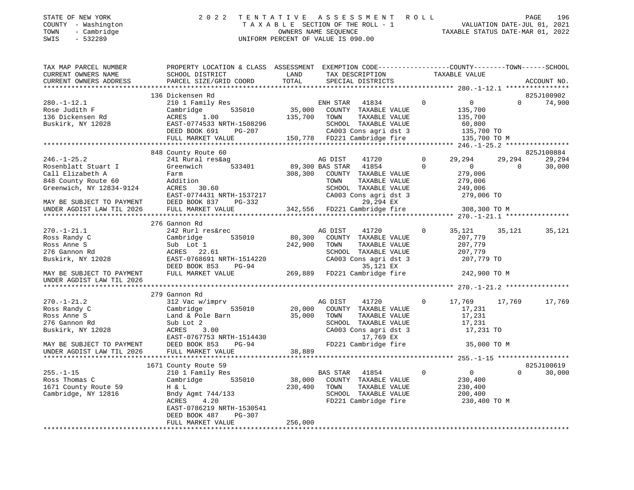| STATE OF NEW YORK   | 2022 TENTATIVE ASSESSMENT ROLL  |                                  | PAGE | 196 |
|---------------------|---------------------------------|----------------------------------|------|-----|
| COUNTY - Washington | TAXABLE SECTION OF THE ROLL - 1 | VALUATION DATE-JUL 01, 2021      |      |     |
| TOWN<br>- Cambridge | OWNERS NAME SEOUENCE            | TAXABLE STATUS DATE-MAR 01, 2022 |      |     |

STATE OF NEW YORK

SWIS - 532289 UNIFORM PERCENT OF VALUE IS 090.00

| TAX MAP PARCEL NUMBER                                                               | PROPERTY LOCATION & CLASS ASSESSMENT EXEMPTION CODE----------------COUNTY-------TOWN------SCHOOL |                 |                |                                              |                |                         |          |             |
|-------------------------------------------------------------------------------------|--------------------------------------------------------------------------------------------------|-----------------|----------------|----------------------------------------------|----------------|-------------------------|----------|-------------|
| CURRENT OWNERS NAME                                                                 | SCHOOL DISTRICT                                                                                  | LAND            |                | TAX DESCRIPTION                              |                | TAXABLE VALUE           |          |             |
| CURRENT OWNERS ADDRESS                                                              | PARCEL SIZE/GRID COORD                                                                           | TOTAL           |                | SPECIAL DISTRICTS                            |                |                         |          | ACCOUNT NO. |
|                                                                                     |                                                                                                  |                 |                |                                              |                |                         |          |             |
|                                                                                     | 136 Dickensen Rd                                                                                 |                 |                |                                              |                |                         |          | 825J100902  |
| $280. - 1 - 12.1$                                                                   | 210 1 Family Res                                                                                 |                 | ENH STAR       | 41834                                        | $\overline{0}$ | $\overline{0}$          | $\Omega$ | 74,900      |
| Rose Judith F                                                                       | Cambridge                                                                                        |                 |                | 535010 35,000 COUNTY TAXABLE VALUE           |                | 135,700                 |          |             |
| 136 Dickensen Rd                                                                    | ACRES 1.00                                                                                       | 135,700         | TOWN           | TAXABLE VALUE                                |                | 135,700                 |          |             |
| Buskirk, NY 12028                                                                   | EAST-0774533 NRTH-1508296                                                                        |                 |                | SCHOOL TAXABLE VALUE                         |                | 60,800                  |          |             |
|                                                                                     | DEED BOOK 691<br>PG-207                                                                          |                 |                | CA003 Cons agri dst 3                        |                | 135,700 TO              |          |             |
|                                                                                     | FULL MARKET VALUE                                                                                |                 |                | 150,778 FD221 Cambridge fire                 |                | 135,700 TO M            |          |             |
|                                                                                     |                                                                                                  |                 |                |                                              |                |                         |          |             |
|                                                                                     | 848 County Route 60                                                                              |                 |                |                                              |                |                         |          | 825J100884  |
| $246. - 1 - 25.2$                                                                   | 241 Rural res&ag                                                                                 |                 | AG DIST        | 41720                                        | $\overline{0}$ | 29,294                  | 29,294   | 29,294      |
| Rosenblatt Stuart I                                                                 | 533401<br>Greenwich                                                                              | 89,300 BAS STAR |                | 41854                                        | $\Omega$       | $\overline{0}$          | $\Omega$ | 30,000      |
| Call Elizabeth A                                                                    | Farm                                                                                             | 308,300         |                | COUNTY TAXABLE VALUE                         |                | 279,006                 |          |             |
|                                                                                     | Addition                                                                                         |                 | TOWN           | TAXABLE VALUE                                |                | 279,006                 |          |             |
| 848 County Route 60<br>Greenwich, NY 12834-9124                                     | ACRES 30.60                                                                                      |                 |                | SCHOOL TAXABLE VALUE                         |                |                         |          |             |
|                                                                                     |                                                                                                  |                 |                |                                              |                | 249,006                 |          |             |
|                                                                                     | EAST-0774431 NRTH-1537217                                                                        |                 |                | CA003 Cons agri dst 3                        |                | 279,006 TO              |          |             |
| MAY BE SUBJECT TO PAYMENT DEED BOOK 837<br>UNDER AGDIST LAW TIL 2026 FULL MARKET VA | PG-332                                                                                           |                 |                | 29,294 EX                                    |                |                         |          |             |
|                                                                                     | FULL MARKET VALUE                                                                                |                 |                | 342,556 FD221 Cambridge fire                 |                | 308,300 TO M            |          |             |
|                                                                                     |                                                                                                  |                 |                |                                              |                |                         |          |             |
|                                                                                     | 276 Gannon Rd                                                                                    |                 |                |                                              |                |                         |          |             |
| $270. - 1 - 21.1$                                                                   | 242 Rurl res&rec                                                                                 |                 | AG DIST        | 41720                                        | $\circ$        | 35,121                  | 35,121   | 35,121      |
| Ross Randy C                                                                        | Cambridge<br>535010                                                                              | 80,300          |                | COUNTY TAXABLE VALUE                         |                | 207,779                 |          |             |
| Ross Anne S                                                                         | Sub Lot 1                                                                                        | 242,900         | TOWN           | TAXABLE VALUE                                |                | 207,779                 |          |             |
| 276 Gannon Rd                                                                       | ACRES 22.61                                                                                      |                 |                | SCHOOL TAXABLE VALUE                         |                | 207,779                 |          |             |
| Buskirk, NY 12028                                                                   | EAST-0768691 NRTH-1514220                                                                        |                 |                | CA003 Cons agri dst 3                        |                | 207,779 TO              |          |             |
|                                                                                     | DEED BOOK 853<br>PG-94                                                                           |                 |                | 35,121 EX                                    |                |                         |          |             |
| MAY BE SUBJECT TO PAYMENT                                                           | FULL MARKET VALUE                                                                                |                 |                | 269,889 FD221 Cambridge fire                 |                | 242,900 TO M            |          |             |
| UNDER AGDIST LAW TIL 2026                                                           |                                                                                                  |                 |                |                                              |                |                         |          |             |
|                                                                                     |                                                                                                  |                 |                |                                              |                |                         |          |             |
|                                                                                     | 279 Gannon Rd                                                                                    |                 |                |                                              |                |                         |          |             |
| $270. - 1 - 21.2$                                                                   | 312 Vac w/imprv                                                                                  |                 | AG DIST        | 41720                                        | $\mathbf{0}$   | 17,769 17,769           |          | 17,769      |
| Ross Randy C                                                                        | 535010<br>Cambridge                                                                              |                 |                | 20,000 COUNTY TAXABLE VALUE                  |                | 17,231                  |          |             |
| Ross Anne S                                                                         | Land & Pole Barn                                                                                 | 35,000          | TOWN           | TAXABLE VALUE                                |                | 17,231                  |          |             |
| 276 Gannon Rd                                                                       | Sub Lot 2                                                                                        |                 |                | SCHOOL TAXABLE VALUE                         |                | 17,231                  |          |             |
| Buskirk, NY 12028                                                                   | 3.00<br>ACRES                                                                                    |                 |                | CA003 Cons agri dst 3                        |                | 17,231 TO               |          |             |
|                                                                                     | EAST-0767753 NRTH-1514430                                                                        |                 |                | 17,769 EX                                    |                |                         |          |             |
| MAY BE SUBJECT TO PAYMENT                                                           | DEED BOOK 853<br>$PG-94$                                                                         |                 |                | FD221 Cambridge fire                         |                | 35,000 TO M             |          |             |
| UNDER AGDIST LAW TIL 2026                                                           | FULL MARKET VALUE                                                                                | 38,889          |                |                                              |                |                         |          |             |
|                                                                                     |                                                                                                  |                 |                |                                              |                |                         |          |             |
|                                                                                     | 1671 County Route 59                                                                             |                 |                |                                              |                |                         |          | 825J100619  |
| $255. - 1 - 15$                                                                     | 210 1 Family Res                                                                                 |                 | BAS STAR 41854 |                                              | $\mathbf 0$    | $\overline{0}$          | $\Omega$ | 30,000      |
| Ross Thomas C                                                                       | Cambridge<br>535010                                                                              | 38,000          |                | COUNTY TAXABLE VALUE                         |                | 230,400                 |          |             |
| 1671 County Route 59                                                                | H & L                                                                                            | 230,400         | TOWN           | TAXABLE VALUE                                |                | 230,400                 |          |             |
|                                                                                     |                                                                                                  |                 |                |                                              |                |                         |          |             |
| Cambridge, NY 12816                                                                 | Bndy Agmt 744/133<br>4.20<br>ACRES                                                               |                 |                | SCHOOL TAXABLE VALUE<br>FD221 Cambridge fire |                | 200,400<br>230,400 TO M |          |             |
|                                                                                     |                                                                                                  |                 |                |                                              |                |                         |          |             |
|                                                                                     | EAST-0786219 NRTH-1530541                                                                        |                 |                |                                              |                |                         |          |             |
|                                                                                     | DEED BOOK 487<br>PG-307                                                                          |                 |                |                                              |                |                         |          |             |
|                                                                                     | FULL MARKET VALUE                                                                                | 256,000         |                |                                              |                |                         |          |             |
|                                                                                     |                                                                                                  |                 |                |                                              |                |                         |          |             |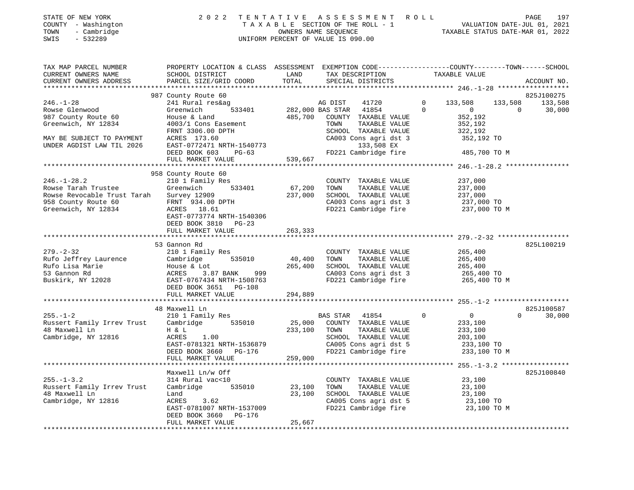| COUNTY - Washington<br>TOWN<br>- Cambridge<br>SWIS<br>$-532289$                                                                                                                                                                                      |                                                                                                                    |                   | T A X A B L E SECTION OF THE ROLL - 1<br>OWNERS NAME SEQUENCE<br>UNIFORM PERCENT OF VALUE IS 090.00 | TAXABLE STATUS DATE-MAR 01, 2022                                      | VALUATION DATE-JUL 01, 2021 |
|------------------------------------------------------------------------------------------------------------------------------------------------------------------------------------------------------------------------------------------------------|--------------------------------------------------------------------------------------------------------------------|-------------------|-----------------------------------------------------------------------------------------------------|-----------------------------------------------------------------------|-----------------------------|
| TAX MAP PARCEL NUMBER<br>CURRENT OWNERS NAME                                                                                                                                                                                                         | PROPERTY LOCATION & CLASS ASSESSMENT EXEMPTION CODE----------------COUNTY-------TOWN-----SCHOOL<br>SCHOOL DISTRICT | LAND              | TAX DESCRIPTION                                                                                     | TAXABLE VALUE                                                         |                             |
| CURRENT OWNERS ADDRESS                                                                                                                                                                                                                               | PARCEL SIZE/GRID COORD                                                                                             | TOTAL             | SPECIAL DISTRICTS                                                                                   |                                                                       | ACCOUNT NO.                 |
|                                                                                                                                                                                                                                                      | 987 County Route 60                                                                                                |                   |                                                                                                     |                                                                       | 825J100275                  |
| $246. - 1 - 28$                                                                                                                                                                                                                                      | 241 Rural res&ag                                                                                                   |                   | AG DIST<br>41720                                                                                    | $\mathbf{0}$<br>133,508                                               | 133,508<br>133,508          |
| Rowse Glenwood                                                                                                                                                                                                                                       | Greenwich                                                                                                          |                   | 533401 282,000 BAS STAR 41854                                                                       | $\sim$ 0<br>$\Omega$                                                  | $\Omega$<br>30,000          |
| 987 County Route 60                                                                                                                                                                                                                                  | House & Land                                                                                                       |                   | 485,700 COUNTY TAXABLE VALUE                                                                        | 352,192                                                               |                             |
| Greenwich, NY 12834                                                                                                                                                                                                                                  | 4003/1 Cons Easement                                                                                               |                   | TOWN<br>TAXABLE VALUE                                                                               | 352,192                                                               |                             |
|                                                                                                                                                                                                                                                      | FRNT 3306.00 DPTH                                                                                                  |                   | SCHOOL TAXABLE VALUE                                                                                | 322,192                                                               |                             |
| MAY BE SUBJECT TO PAYMENT                                                                                                                                                                                                                            | ACRES 173.60                                                                                                       |                   | CA003 Cons agri dst 3                                                                               | 352,192 TO                                                            |                             |
| UNDER AGDIST LAW TIL 2026                                                                                                                                                                                                                            | EAST-0772471 NRTH-1540773                                                                                          |                   | 133,508 EX                                                                                          |                                                                       |                             |
|                                                                                                                                                                                                                                                      | DEED BOOK 603<br>PG-63                                                                                             |                   | FD221 Cambridge fire                                                                                | 485,700 TO M                                                          |                             |
|                                                                                                                                                                                                                                                      | FULL MARKET VALUE                                                                                                  | 539,667           |                                                                                                     |                                                                       |                             |
|                                                                                                                                                                                                                                                      | 958 County Route 60                                                                                                |                   |                                                                                                     |                                                                       |                             |
| $246. - 1 - 28.2$                                                                                                                                                                                                                                    | 210 1 Family Res                                                                                                   |                   | COUNTY TAXABLE VALUE                                                                                | 237,000                                                               |                             |
| Rowse Tarah Trustee                                                                                                                                                                                                                                  | Greenwich<br>533401                                                                                                | 67,200            | TAXABLE VALUE<br>TOWN                                                                               | 237,000                                                               |                             |
| Rowse Revocable Trust Tarah                                                                                                                                                                                                                          | Survey 12909                                                                                                       | 237,000           | SCHOOL TAXABLE VALUE                                                                                | 237,000                                                               |                             |
| 958 County Route 60                                                                                                                                                                                                                                  | FRNT 934.00 DPTH                                                                                                   |                   | CA003 Cons agri dst 3                                                                               | 237,000 TO                                                            |                             |
| Greenwich, NY 12834                                                                                                                                                                                                                                  | ACRES 18.61                                                                                                        |                   |                                                                                                     | FD221 Cambridge fire 237,000 TO M                                     |                             |
|                                                                                                                                                                                                                                                      | EAST-0773774 NRTH-1540306                                                                                          |                   |                                                                                                     |                                                                       |                             |
|                                                                                                                                                                                                                                                      | DEED BOOK 3810 PG-23                                                                                               |                   |                                                                                                     |                                                                       |                             |
|                                                                                                                                                                                                                                                      | FULL MARKET VALUE                                                                                                  | 263,333           |                                                                                                     |                                                                       |                             |
|                                                                                                                                                                                                                                                      |                                                                                                                    |                   |                                                                                                     |                                                                       |                             |
|                                                                                                                                                                                                                                                      | 53 Gannon Rd                                                                                                       |                   |                                                                                                     |                                                                       | 825L100219                  |
| $279. - 2 - 32$                                                                                                                                                                                                                                      | 210 1 Family Res                                                                                                   |                   | COUNTY TAXABLE VALUE                                                                                | 265,400                                                               |                             |
|                                                                                                                                                                                                                                                      |                                                                                                                    | 40,400<br>265,400 | TOWN<br>TAXABLE VALUE<br>SCHOOL TAXABLE VALUE                                                       | 265,400<br>265,400                                                    |                             |
|                                                                                                                                                                                                                                                      |                                                                                                                    |                   | CA003 Cons agri dst 3                                                                               |                                                                       |                             |
| X10 1 Family Res<br>Rufo Jeffrey Laurence<br>Rufo Lisa Marie<br>53 Gannon Rd<br>Buskirk, NY 12028<br>Buskirk, NY 12028<br>Buskirk, NY 12028<br>Buskirk, NY 12028<br>Buskirk, NY 12028<br>Buskirk, NY 12028<br>Buskirk, NY 12028<br>Buskirk, NY 12028 |                                                                                                                    |                   | FD221 Cambridge fire                                                                                | 265,400 TO<br>265,400 TO M                                            |                             |
|                                                                                                                                                                                                                                                      | DEED BOOK 3651 PG-108                                                                                              |                   |                                                                                                     |                                                                       |                             |
|                                                                                                                                                                                                                                                      | FULL MARKET VALUE                                                                                                  | 294,889           |                                                                                                     |                                                                       |                             |
|                                                                                                                                                                                                                                                      |                                                                                                                    |                   |                                                                                                     |                                                                       |                             |
|                                                                                                                                                                                                                                                      | 48 Maxwell Ln                                                                                                      |                   |                                                                                                     |                                                                       | 825J100587                  |
| $255. - 1 - 2$                                                                                                                                                                                                                                       | 210 1 Family Res                                                                                                   |                   | BAS STAR 41854                                                                                      | $\Omega$<br>$\overline{0}$                                            | $\Omega$<br>30,000          |
| Russert Family Irrev Trust                                                                                                                                                                                                                           | Cambridge 535010                                                                                                   | 25,000            | COUNTY TAXABLE VALUE                                                                                | 233,100                                                               |                             |
| 48 Maxwell Ln                                                                                                                                                                                                                                        | H & L                                                                                                              |                   | 233,100 TOWN<br>TAXABLE VALUE                                                                       | 233,100                                                               |                             |
| Cambridge, NY 12816                                                                                                                                                                                                                                  | ACRES<br>1.00                                                                                                      |                   | SCHOOL TAXABLE VALUE                                                                                | 203,100                                                               |                             |
|                                                                                                                                                                                                                                                      | EAST-0781321 NRTH-1536879                                                                                          |                   |                                                                                                     | CA005 Cons agri dst 5 233,100 TO<br>FD221 Cambridge fire 233,100 TO M |                             |
|                                                                                                                                                                                                                                                      | DEED BOOK 3660 PG-176<br>FULL MARKET VALUE                                                                         | 259,000           |                                                                                                     |                                                                       |                             |
|                                                                                                                                                                                                                                                      |                                                                                                                    |                   |                                                                                                     |                                                                       |                             |
|                                                                                                                                                                                                                                                      | Maxwell Ln/w Off                                                                                                   |                   |                                                                                                     |                                                                       | 825J100840                  |
| $255. - 1 - 3.2$                                                                                                                                                                                                                                     | 314 Rural vac<10                                                                                                   |                   | COUNTY TAXABLE VALUE                                                                                | 23,100                                                                |                             |
| Russert Family Irrev Trust                                                                                                                                                                                                                           | Cambridge 535010                                                                                                   | 23,100            | TOWN<br>TAXABLE VALUE                                                                               | 23,100                                                                |                             |
| 48 Maxwell Ln                                                                                                                                                                                                                                        | Land                                                                                                               | 23,100            | SCHOOL TAXABLE VALUE                                                                                | 23,100                                                                |                             |
| Cambridge, NY 12816                                                                                                                                                                                                                                  | ACRES<br>3.62                                                                                                      |                   | CA005 Cons agri dst 5                                                                               | 23,100 TO                                                             |                             |
|                                                                                                                                                                                                                                                      | EAST-0781007 NRTH-1537009<br>DEED BOOK 3660<br>PG-176                                                              |                   | FD221 Cambridge fire                                                                                | 23,100 TO M                                                           |                             |

\*\*\*\*\*\*\*\*\*\*\*\*\*\*\*\*\*\*\*\*\*\*\*\*\*\*\*\*\*\*\*\*\*\*\*\*\*\*\*\*\*\*\*\*\*\*\*\*\*\*\*\*\*\*\*\*\*\*\*\*\*\*\*\*\*\*\*\*\*\*\*\*\*\*\*\*\*\*\*\*\*\*\*\*\*\*\*\*\*\*\*\*\*\*\*\*\*\*\*\*\*\*\*\*\*\*\*\*\*\*\*\*\*\*\*\*\*\*\*\*\*\*\*\*\*\*\*\*\*\*\*\*

FULL MARKET VALUE 25,667

STATE OF NEW YORK 2022 TENTATIVE ASSESSMENT ROLL PAGE

197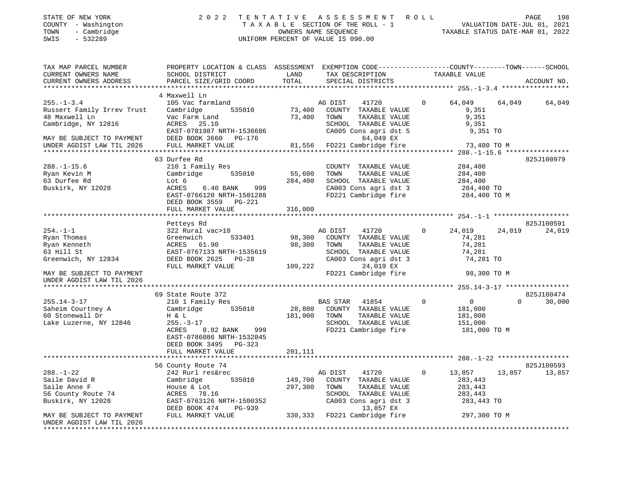| STATE OF NEW YORK<br>COUNTY - Washington<br>- Cambridge<br>TOWN<br>$-532289$<br>SWIS                                                                                                                                                                                                                                                                                                                                                                                                                                   | 2022 TENTATIVE ASSESSMENT ROLL                                                                                                    |                    |         | T A X A B L E SECTION OF THE ROLL - 1<br>OWNERS NAME SEQUENCE TAXABLE STATUS DATE-JUL 01, 2022<br>UNIFORM PERCENT OF VALUE IS 090.00           |                   |                    | 198<br>PAGE          |
|------------------------------------------------------------------------------------------------------------------------------------------------------------------------------------------------------------------------------------------------------------------------------------------------------------------------------------------------------------------------------------------------------------------------------------------------------------------------------------------------------------------------|-----------------------------------------------------------------------------------------------------------------------------------|--------------------|---------|------------------------------------------------------------------------------------------------------------------------------------------------|-------------------|--------------------|----------------------|
| TAX MAP PARCEL NUMBER TROPERTY LOCATION & CLASS ASSESSMENT<br>CURRENT OWNERS NAME                                                                                                                                                                                                                                                                                                                                                                                                                                      | SCHOOL DISTRICT                                                                                                                   |                    |         | EXEMPTION CODE-----------------COUNTY-------TOWN------SCHOOL<br>LAND TAX DESCRIPTION TAXABLE VALUE                                             |                   |                    |                      |
| $\begin{minipage}{.45\textwidth} \begin{minipage}{.45\textwidth} \begin{minipage}{.45\textwidth} \begin{minipage}{.45\textwidth} \begin{minipage}{.45\textwidth} \begin{minipage}{.45\textwidth} \begin{minipage}{.45\textwidth} \begin{minipage}{.45\textwidth} \begin{minipage}{.45\textwidth} \begin{minipage}{.45\textwidth} \begin{minipage}{.45\textwidth} \begin{minipage}{.45\textwidth} \begin{minipage}{.45\textwidth} \begin{minipage}{.45\textwidth} \begin{minipage}{.45\textwidth} \begin{minipage}{.45$ |                                                                                                                                   |                    |         |                                                                                                                                                |                   |                    |                      |
| 255.-1-3.4 105 Vac farmland<br>255.-1-3.4<br>Russert Family Irrev Trust Cambridge 535010 73,400 COUNTY TAXABLE VALUE 9,351<br>10 Martin 1 Trev Trust Vac Farm Land 73,400 TOWN TAXABLE VALUE 9,351<br>Cambridge, NY 12816                                                                                                                                                                                                                                                                                              | 4 Maxwell Ln                                                                                                                      |                    |         | AG DIST 41720 0                                                                                                                                |                   | 64,049 64,049      | 64,049               |
|                                                                                                                                                                                                                                                                                                                                                                                                                                                                                                                        |                                                                                                                                   |                    |         |                                                                                                                                                |                   |                    |                      |
|                                                                                                                                                                                                                                                                                                                                                                                                                                                                                                                        | 63 Durfee Rd                                                                                                                      |                    |         |                                                                                                                                                |                   |                    | 825J100979           |
| $288. - 1 - 15.6$<br>63 Durfee Rd<br>Buskirk, NY 12028                                                                                                                                                                                                                                                                                                                                                                                                                                                                 | 210 1 Family Res<br>Lot 6<br>6.40 BANK 999<br>ACRES<br>EAST-0766120 NRTH-1501288<br>DEED BOOK 3559<br>PG-221<br>FULL MARKET VALUE | 284,400<br>316,000 | TOWN    | COUNTY TAXABLE VALUE<br>TAXABLE VALUE<br>SCHOOL TAXABLE VALUE 284,400<br>CA003 Cons agri dst 3 284,400 TO<br>FD221 Cambridge fire 284,400 TO M |                   | 284,400<br>284,400 |                      |
|                                                                                                                                                                                                                                                                                                                                                                                                                                                                                                                        |                                                                                                                                   |                    |         |                                                                                                                                                |                   |                    |                      |
| $254. -1 -1$                                                                                                                                                                                                                                                                                                                                                                                                                                                                                                           | Petteys Rd<br>322 Rural vac>10                                                                                                    |                    | AG DIST | 41720                                                                                                                                          | $0 \qquad \qquad$ | 24,019 24,019      | 825J100591<br>24,019 |

| $254. - 1 - 1$                                         | 322 Rural vac>10            |         | AG DIST         | 41720                 | $\Omega$     | 24,019       | 24,019   | 24,019     |
|--------------------------------------------------------|-----------------------------|---------|-----------------|-----------------------|--------------|--------------|----------|------------|
| Ryan Thomas                                            | Greenwich<br>533401         | 98,300  | COUNTY          | TAXABLE VALUE         |              | 74,281       |          |            |
| Ryan Kenneth                                           | ACRES 61.90                 | 98,300  | TOWN            | TAXABLE VALUE         |              | 74,281       |          |            |
| 63 Hill St                                             | EAST-0767133 NRTH-1535619   |         | SCHOOL          | TAXABLE VALUE         |              | 74,281       |          |            |
| Greenwich, NY 12834                                    | DEED BOOK 2625 PG-28        |         |                 | CA003 Cons agri dst 3 |              | 74,281 TO    |          |            |
|                                                        | FULL MARKET VALUE           | 109,222 |                 | 24,019 EX             |              |              |          |            |
| MAY BE SUBJECT TO PAYMENT                              |                             |         |                 | FD221 Cambridge fire  |              | 98,300 TO M  |          |            |
| UNDER AGDIST LAW TIL 2026                              |                             |         |                 |                       |              |              |          |            |
|                                                        |                             |         |                 |                       |              |              |          |            |
|                                                        | 69 State Route 372          |         |                 |                       |              |              |          | 825J100474 |
| 255.14-3-17                                            | 210 1 Family Res            |         | <b>BAS STAR</b> | 41854                 | 0            | 0            | $\Omega$ | 30,000     |
| Saheim Courtney A                                      | Cambridge<br>535010         | 28,800  | COUNTY          | TAXABLE VALUE         |              | 181,000      |          |            |
| 60 Stonewall Dr                                        | H & L                       | 181,000 | TOWN            | TAXABLE VALUE         |              | 181,000      |          |            |
| Lake Luzerne, NY 12846                                 | $255. - 3 - 17$             |         | SCHOOL          | TAXABLE VALUE         |              | 151,000      |          |            |
|                                                        | $0.82$ BANK<br>ACRES<br>999 |         |                 | FD221 Cambridge fire  |              | 181,000 TO M |          |            |
|                                                        | EAST-0786086 NRTH-1532045   |         |                 |                       |              |              |          |            |
|                                                        | DEED BOOK 3495 PG-323       |         |                 |                       |              |              |          |            |
|                                                        | FULL MARKET VALUE           | 201,111 |                 |                       |              |              |          |            |
|                                                        |                             |         |                 |                       |              |              |          |            |
|                                                        | 56 County Route 74          |         |                 |                       |              |              |          | 825J100593 |
| $288. - 1 - 22$                                        | 242 Rurl res&rec            |         | AG DIST         | 41720                 | $\mathbf{0}$ | 13,857       | 13,857   | 13,857     |
| Saile David R                                          | Cambridge<br>535010         | 149,700 | COUNTY          | TAXABLE VALUE         |              | 283,443      |          |            |
| Saile Anne F                                           | House & Lot                 | 297,300 | TOWN            | TAXABLE VALUE         |              | 283,443      |          |            |
| 56 County Route 74                                     | ACRES 78.16                 |         | <b>SCHOOL</b>   | TAXABLE VALUE         |              | 283,443      |          |            |
| Buskirk, NY 12028                                      | EAST-0763126 NRTH-1500352   |         |                 | CA003 Cons agri dst 3 |              | 283,443 TO   |          |            |
|                                                        | DEED BOOK 474<br>PG-939     |         |                 | 13,857 EX             |              |              |          |            |
| MAY BE SUBJECT TO PAYMENT<br>UNDER AGDIST LAW TIL 2026 | FULL MARKET VALUE           | 330,333 |                 | FD221 Cambridge fire  |              | 297,300 TO M |          |            |

\*\*\*\*\*\*\*\*\*\*\*\*\*\*\*\*\*\*\*\*\*\*\*\*\*\*\*\*\*\*\*\*\*\*\*\*\*\*\*\*\*\*\*\*\*\*\*\*\*\*\*\*\*\*\*\*\*\*\*\*\*\*\*\*\*\*\*\*\*\*\*\*\*\*\*\*\*\*\*\*\*\*\*\*\*\*\*\*\*\*\*\*\*\*\*\*\*\*\*\*\*\*\*\*\*\*\*\*\*\*\*\*\*\*\*\*\*\*\*\*\*\*\*\*\*\*\*\*\*\*\*\*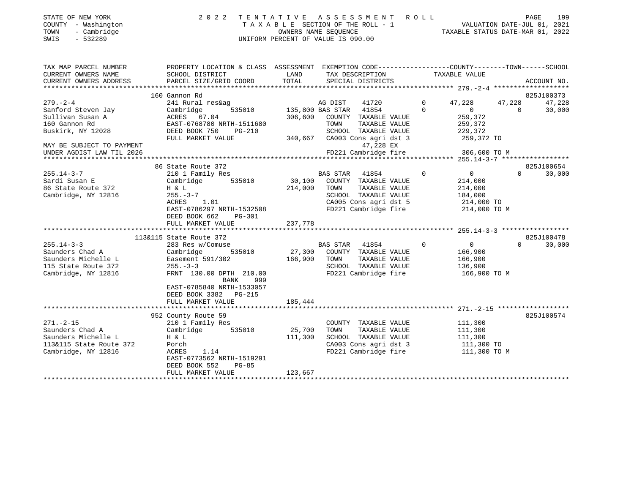| STATE OF NEW YORK<br>COUNTY - Washington<br>- Cambridge<br>TOWN<br>$-532289$<br>SWIS | 2 0 2 2                                                                                                           |         | TENTATIVE ASSESSMENT<br>TAXABLE SECTION OF THE ROLL - 1<br>OWNERS NAME SEQUENCE<br>UNIFORM PERCENT OF VALUE IS 090.00 | ROLL        | TAXABLE STATUS DATE-MAR 01, 2022 |          | PAGE<br>199<br>VALUATION DATE-JUL 01, 2021 |
|--------------------------------------------------------------------------------------|-------------------------------------------------------------------------------------------------------------------|---------|-----------------------------------------------------------------------------------------------------------------------|-------------|----------------------------------|----------|--------------------------------------------|
| TAX MAP PARCEL NUMBER<br>CURRENT OWNERS NAME                                         | PROPERTY LOCATION & CLASS ASSESSMENT EXEMPTION CODE---------------COUNTY-------TOWN-----SCHOOL<br>SCHOOL DISTRICT | LAND    | TAX DESCRIPTION                                                                                                       |             | TAXABLE VALUE                    |          |                                            |
| CURRENT OWNERS ADDRESS                                                               | PARCEL SIZE/GRID COORD                                                                                            | TOTAL   | SPECIAL DISTRICTS                                                                                                     |             |                                  |          | ACCOUNT NO.                                |
|                                                                                      |                                                                                                                   |         |                                                                                                                       |             |                                  |          |                                            |
| $279. - 2 - 4$                                                                       | 160 Gannon Rd<br>241 Rural res&ag                                                                                 |         |                                                                                                                       | $\mathbf 0$ | 47,228                           | 47,228   | 825J100373<br>47,228                       |
| Sanford Steven Jay                                                                   | Cambridge<br>535010                                                                                               |         | AG DIST<br>41720<br>135,800 BAS STAR 41854                                                                            | $\Omega$    | $\overline{0}$                   | $\Omega$ | 30,000                                     |
| Sullivan Susan A                                                                     | ACRES 67.04                                                                                                       | 306,600 | COUNTY TAXABLE VALUE                                                                                                  |             | 259,372                          |          |                                            |
| 160 Gannon Rd                                                                        | EAST-0768780 NRTH-1511680                                                                                         |         | TAXABLE VALUE<br>TOWN                                                                                                 |             | 259,372                          |          |                                            |
| Buskirk, NY 12028                                                                    | DEED BOOK 750<br>PG-210                                                                                           |         | SCHOOL TAXABLE VALUE                                                                                                  |             | 229,372                          |          |                                            |
|                                                                                      | FULL MARKET VALUE                                                                                                 |         | 340,667 CA003 Cons agri dst 3                                                                                         |             | 259,372 TO                       |          |                                            |
| MAY BE SUBJECT TO PAYMENT                                                            |                                                                                                                   |         | 47,228 EX                                                                                                             |             |                                  |          |                                            |
| UNDER AGDIST LAW TIL 2026                                                            |                                                                                                                   |         | FD221 Cambridge fire                                                                                                  |             | 306,600 TO M                     |          |                                            |
| *********************                                                                |                                                                                                                   |         |                                                                                                                       |             |                                  |          |                                            |
|                                                                                      | 86 State Route 372                                                                                                |         |                                                                                                                       |             |                                  |          | 825J100654                                 |
| $255.14 - 3 - 7$                                                                     | 210 1 Family Res                                                                                                  |         | BAS STAR<br>41854                                                                                                     | $\mathbf 0$ | 0                                | $\Omega$ | 30,000                                     |
| Sardi Susan E                                                                        | 535010<br>Cambridge                                                                                               | 30,100  | COUNTY TAXABLE VALUE                                                                                                  |             | 214,000                          |          |                                            |
| 86 State Route 372                                                                   | H & L                                                                                                             | 214,000 | TOWN<br>TAXABLE VALUE                                                                                                 |             | 214,000                          |          |                                            |
| Cambridge, NY 12816                                                                  | $255. - 3 - 7$<br>ACRES<br>1.01                                                                                   |         | SCHOOL TAXABLE VALUE<br>CA005 Cons agri dst 5                                                                         |             | 184,000<br>214,000 TO            |          |                                            |
|                                                                                      | EAST-0786297 NRTH-1532508                                                                                         |         | FD221 Cambridge fire                                                                                                  |             | 214,000 TO M                     |          |                                            |
|                                                                                      | DEED BOOK 662<br>PG-301                                                                                           |         |                                                                                                                       |             |                                  |          |                                            |
|                                                                                      | FULL MARKET VALUE                                                                                                 | 237,778 |                                                                                                                       |             |                                  |          |                                            |
|                                                                                      |                                                                                                                   |         |                                                                                                                       |             |                                  |          |                                            |
|                                                                                      | 113&115 State Route 372                                                                                           |         |                                                                                                                       |             |                                  |          | 825J100478                                 |
| $255.14 - 3 - 3$                                                                     | 283 Res w/Comuse                                                                                                  |         | <b>BAS STAR</b><br>41854                                                                                              | $\Omega$    | $0 \qquad \qquad$                | $\Omega$ | 30,000                                     |
| Saunders Chad A                                                                      | Cambridge<br>535010                                                                                               |         | 27,300 COUNTY TAXABLE VALUE                                                                                           |             | 166,900                          |          |                                            |
| Saunders Michelle L                                                                  | Easement 591/302                                                                                                  | 166,900 | TOWN<br>TAXABLE VALUE                                                                                                 |             | 166,900                          |          |                                            |
| 115 State Route 372                                                                  | $255. - 3 - 3$                                                                                                    |         | SCHOOL TAXABLE VALUE                                                                                                  |             | 136,900                          |          |                                            |
| Cambridge, NY 12816                                                                  | FRNT 130.00 DPTH 210.00                                                                                           |         | FD221 Cambridge fire                                                                                                  |             | 166,900 TO M                     |          |                                            |
|                                                                                      | <b>BANK</b><br>999<br>EAST-0785840 NRTH-1533057                                                                   |         |                                                                                                                       |             |                                  |          |                                            |
|                                                                                      | DEED BOOK 3382 PG-215                                                                                             |         |                                                                                                                       |             |                                  |          |                                            |
|                                                                                      | FULL MARKET VALUE                                                                                                 | 185,444 |                                                                                                                       |             |                                  |          |                                            |
|                                                                                      |                                                                                                                   |         |                                                                                                                       |             |                                  |          |                                            |
|                                                                                      | 952 County Route 59                                                                                               |         |                                                                                                                       |             |                                  |          | 825J100574                                 |
| $271. - 2 - 15$                                                                      | 210 1 Family Res                                                                                                  |         | COUNTY TAXABLE VALUE                                                                                                  |             | 111,300                          |          |                                            |
| Saunders Chad A                                                                      | Cambridge<br>535010                                                                                               | 25,700  | TAXABLE VALUE<br>TOWN                                                                                                 |             | 111,300                          |          |                                            |
| Saunders Michelle L                                                                  | H & L                                                                                                             | 111,300 | SCHOOL TAXABLE VALUE                                                                                                  |             | 111,300                          |          |                                            |
| 113&115 State Route 372                                                              | Porch                                                                                                             |         | CA003 Cons agri dst 3                                                                                                 |             | 111,300 TO                       |          |                                            |

Cambridge, NY 12816 ACRES 1.14 FD221 Cambridge fire 111,300 TO M EAST-0773562 NRTH-1519291DEED BOOK 552 PG-85

FULL MARKET VALUE 123,667 \*\*\*\*\*\*\*\*\*\*\*\*\*\*\*\*\*\*\*\*\*\*\*\*\*\*\*\*\*\*\*\*\*\*\*\*\*\*\*\*\*\*\*\*\*\*\*\*\*\*\*\*\*\*\*\*\*\*\*\*\*\*\*\*\*\*\*\*\*\*\*\*\*\*\*\*\*\*\*\*\*\*\*\*\*\*\*\*\*\*\*\*\*\*\*\*\*\*\*\*\*\*\*\*\*\*\*\*\*\*\*\*\*\*\*\*\*\*\*\*\*\*\*\*\*\*\*\*\*\*\*\*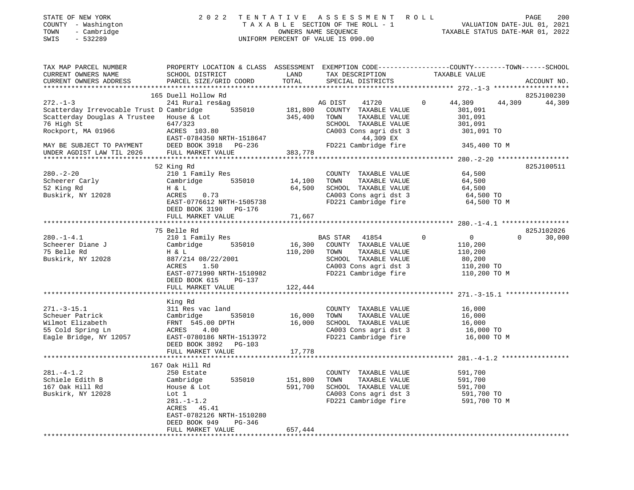| STATE OF NEW YORK   | 2022 TENTATIVE ASSESSMENT ROLL     | 200<br>PAGE                      |
|---------------------|------------------------------------|----------------------------------|
| COUNTY - Washington | TAXABLE SECTION OF THE ROLL - 1    | VALUATION DATE-JUL 01, 2021      |
| TOWN - Cambridge    | OWNERS NAME SEOUENCE               | TAXABLE STATUS DATE-MAR 01, 2022 |
| SWIS<br>- 532289    | UNIFORM PERCENT OF VALUE IS 090.00 |                                  |
|                     |                                    |                                  |
|                     |                                    |                                  |

| TAX MAP PARCEL NUMBER                                   | PROPERTY LOCATION & CLASS ASSESSMENT EXEMPTION CODE---------------COUNTY-------TOWN-----SCHOOL |                  |                                                                                             |               |                    |                    |
|---------------------------------------------------------|------------------------------------------------------------------------------------------------|------------------|---------------------------------------------------------------------------------------------|---------------|--------------------|--------------------|
| CURRENT OWNERS NAME                                     | SCHOOL DISTRICT                                                                                | LAND             | TAX DESCRIPTION                                                                             | TAXABLE VALUE |                    |                    |
| CURRENT OWNERS ADDRESS                                  | PARCEL SIZE/GRID COORD TOTAL                                                                   |                  | SPECIAL DISTRICTS                                                                           |               |                    | ACCOUNT NO.        |
|                                                         |                                                                                                |                  |                                                                                             |               |                    |                    |
|                                                         | 165 Duell Hollow Rd                                                                            |                  |                                                                                             |               |                    | 825J100230         |
| $272. - 1 - 3$                                          | 241 Rural res&ag                                                                               |                  | AG DIST<br>41720                                                                            | $\Omega$      | 44,309             | 44,309<br>44,309   |
| Scatterday Irrevocable Trust D Cambridge 535010 181,800 |                                                                                                |                  | COUNTY TAXABLE VALUE                                                                        |               | 301,091            |                    |
|                                                         |                                                                                                | 345,400 TOWN     | TAXABLE VALUE                                                                               |               |                    |                    |
| Scatterday Douglas A Trustee House & Lot<br>76 High St  | 647/323                                                                                        |                  |                                                                                             |               | 301,091<br>301,091 |                    |
|                                                         | ACRES 103.80                                                                                   |                  |                                                                                             |               |                    |                    |
| Rockport, MA 01966                                      |                                                                                                |                  |                                                                                             |               |                    |                    |
|                                                         | ACRES 103.00<br>EAST-0784350 NRTH-1518647                                                      |                  | 44,309 EX                                                                                   |               |                    |                    |
| MAY BE SUBJECT TO PAYMENT<br>UNDER AGDIST LAW TIL 2026  |                                                                                                |                  | FD221 Cambridge fire                                                                        |               | 345,400 TO M       |                    |
| UNDER AGDIST LAW TIL 2026                               | FULL MARKET VALUE                                                                              | 383,778          |                                                                                             |               |                    |                    |
|                                                         |                                                                                                |                  |                                                                                             |               |                    |                    |
|                                                         |                                                                                                |                  |                                                                                             |               |                    | 825J100511         |
| $280. - 2 - 20$                                         |                                                                                                |                  | COUNTY TAXABLE VALUE 64,500                                                                 |               |                    |                    |
|                                                         |                                                                                                | 14,100           | TOWN                                                                                        |               | 64,500             |                    |
| Scheerer Carly<br>52 King Rd<br>52 King Rd              |                                                                                                | 64,500           | TOWN       TAXABLE  VALUE<br>SCHOOL    TAXABLE  VALUE                                       |               | 64,500             |                    |
| Buskirk, NY 12028                                       | 0.73                                                                                           |                  |                                                                                             |               |                    |                    |
|                                                         | EAST-0776612 NRTH-1505738                                                                      |                  | CA003 Cons agri dst 3 64,500 TO<br>FD221 Cambridge fire 64,500 TO M                         |               |                    |                    |
|                                                         | DEED BOOK 3190 PG-176                                                                          |                  |                                                                                             |               |                    |                    |
|                                                         |                                                                                                |                  |                                                                                             |               |                    |                    |
|                                                         | FULL MARKET VALUE                                                                              | 71,667           |                                                                                             |               |                    |                    |
|                                                         |                                                                                                |                  |                                                                                             |               |                    |                    |
|                                                         | 75 Belle Rd                                                                                    |                  |                                                                                             |               |                    | 825J102026         |
| $280. -1 - 4.1$                                         | 210 1 Family Res<br>Cambridge 535010 16,300 COUNTY TAXABLE VALUE                               |                  | BAS STAR 41854 0 0                                                                          |               |                    | $\Omega$<br>30,000 |
| Scheerer Diane J<br>Translated                          |                                                                                                |                  |                                                                                             |               | 110,200            |                    |
| 75 Belle Rd                                             | H & L                                                                                          | 110,200 TOWN     | TAXABLE VALUE 110,200                                                                       |               |                    |                    |
| Buskirk, NY 12028                                       | 887/214 08/22/2001                                                                             |                  | SCHOOL TAXABLE VALUE                                                                        |               | 80,200             |                    |
|                                                         | ACRES<br>1.50                                                                                  |                  |                                                                                             |               |                    |                    |
|                                                         | EAST-0771990 NRTH-1510982                                                                      |                  |                                                                                             |               |                    |                    |
|                                                         | DEED BOOK 615 PG-137                                                                           |                  |                                                                                             |               |                    |                    |
|                                                         | FULL MARKET VALUE                                                                              | 122,444          |                                                                                             |               |                    |                    |
|                                                         |                                                                                                |                  |                                                                                             |               |                    |                    |
|                                                         |                                                                                                |                  |                                                                                             |               |                    |                    |
|                                                         | King Rd                                                                                        |                  |                                                                                             |               |                    |                    |
| $271. - 3 - 15.1$                                       | 311 Res vac land                                                                               |                  | COUNTY TAXABLE VALUE                                                                        |               | 16,000             |                    |
| Scheuer Patrick                                         |                                                                                                | 16,000<br>16,000 | TOWN TAXABLE VALUE 16,000<br>SCHOOL TAXABLE VALUE 16,000<br>CA003 Cons agri dst 3 16,000 TO |               |                    |                    |
| Wilmot Elizabeth                                        |                                                                                                |                  |                                                                                             |               |                    |                    |
| 55 Cold Spring Ln                                       |                                                                                                |                  |                                                                                             |               |                    |                    |
| Eagle Bridge, NY 12057 EAST-0780186 NRTH-1513972        | Cambridge<br>FRNT 545.00 DPTH<br>ACRES 4.00<br>ACRES 4.00                                      |                  | CA003 Cons agri dst 3 16,000 TO<br>FD221 Cambridge fire 16,000 TO M                         |               |                    |                    |
|                                                         | DEED BOOK 3892 PG-103                                                                          |                  |                                                                                             |               |                    |                    |
|                                                         | FULL MARKET VALUE                                                                              | 17,778           |                                                                                             |               |                    |                    |
|                                                         |                                                                                                |                  |                                                                                             |               |                    |                    |
|                                                         | 167 Oak Hill Rd                                                                                |                  |                                                                                             |               |                    |                    |
| $281. - 4 - 1.2$                                        | 250 Estate                                                                                     |                  | COUNTY TAXABLE VALUE                                                                        |               | 591,700            |                    |
| Schiele Edith B                                         |                                                                                                | 151,800          | TAXABLE VALUE<br>TOWN                                                                       |               | 591,700            |                    |
|                                                         |                                                                                                |                  |                                                                                             |               |                    |                    |
| 167 Oak Hill Rd                                         |                                                                                                | 591,700          | SCHOOL TAXABLE VALUE 591,700                                                                |               |                    |                    |
| Buskirk, NY 12028                                       | Cambridge 535010<br>House & Lot<br>Lot 1<br>281.-1-1.2<br>ACRES 45.41                          |                  | CA003 Cons agri dst 3 591,700 TO<br>FD221 Cambridge fire 591,700 TO M                       |               |                    |                    |
|                                                         |                                                                                                |                  |                                                                                             |               |                    |                    |
|                                                         | ACRES 45.41                                                                                    |                  |                                                                                             |               |                    |                    |
|                                                         | EAST-0782126 NRTH-1510280                                                                      |                  |                                                                                             |               |                    |                    |
|                                                         | DEED BOOK 949<br>PG-346                                                                        |                  |                                                                                             |               |                    |                    |
|                                                         | FULL MARKET VALUE                                                                              | 657,444          |                                                                                             |               |                    |                    |
|                                                         |                                                                                                |                  |                                                                                             |               |                    |                    |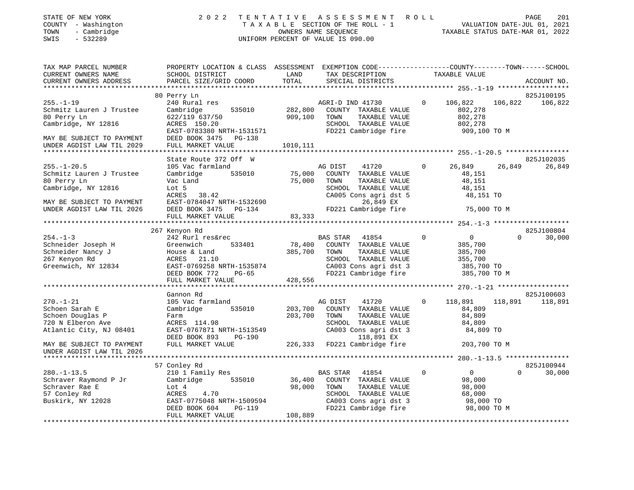| 2022 TENTATIVE ASSESSMENT ROLL<br>STATE OF NEW YORK                                   | PAGE | 201 |
|---------------------------------------------------------------------------------------|------|-----|
| VALUATION DATE-JUL 01, 2021<br>COUNTY - Washington<br>TAXABLE SECTION OF THE ROLL - 1 |      |     |
| - Cambridge<br>TAXABLE STATUS DATE-MAR 01, 2022<br>TOWN<br>OWNERS NAME SEOUENCE       |      |     |
| SWIS<br>UNIFORM PERCENT OF VALUE IS 090.00<br>- 532289                                |      |     |

| TAX MAP PARCEL NUMBER     | PROPERTY LOCATION & CLASS ASSESSMENT EXEMPTION CODE----------------COUNTY-------TOWN-----SCHOOL |          |                                                                       |              |                    |                    |
|---------------------------|-------------------------------------------------------------------------------------------------|----------|-----------------------------------------------------------------------|--------------|--------------------|--------------------|
| CURRENT OWNERS NAME       | SCHOOL DISTRICT                                                                                 | LAND     | TAX DESCRIPTION                                                       |              | TAXABLE VALUE      |                    |
| CURRENT OWNERS ADDRESS    | PARCEL SIZE/GRID COORD                                                                          | TOTAL    | SPECIAL DISTRICTS                                                     |              |                    | ACCOUNT NO.        |
|                           |                                                                                                 |          |                                                                       |              |                    |                    |
|                           | 80 Perry Ln                                                                                     |          |                                                                       |              |                    | 825J100195         |
| $255. - 1 - 19$           | 240 Rural res                                                                                   |          | AGRI-D IND 41730                                                      | $\mathbf{0}$ | 106,822<br>106,822 | 106,822            |
| Schmitz Lauren J Trustee  | 535010<br>Cambridge                                                                             | 282,800  | COUNTY TAXABLE VALUE                                                  |              | 802,278            |                    |
| 80 Perry Ln               | 622/119 637/50                                                                                  | 909,100  | TOWN<br>TAXABLE VALUE                                                 |              | 802,278            |                    |
| Cambridge, NY 12816       | ACRES 150.20                                                                                    |          | SCHOOL TAXABLE VALUE                                                  |              | 802,278            |                    |
|                           | EAST-0783380 NRTH-1531571                                                                       |          | FD221 Cambridge fire                                                  |              | 909,100 ТО М       |                    |
| MAY BE SUBJECT TO PAYMENT | DEED BOOK 3475 PG-138                                                                           |          |                                                                       |              |                    |                    |
| UNDER AGDIST LAW TIL 2029 | FULL MARKET VALUE                                                                               | 1010,111 |                                                                       |              |                    |                    |
|                           |                                                                                                 |          |                                                                       |              |                    |                    |
|                           | State Route 372 Off W                                                                           |          |                                                                       |              |                    | 825J102035         |
| $255. - 1 - 20.5$         | 105 Vac farmland                                                                                |          | AG DIST<br>41720                                                      | $\mathbf{0}$ | 26,849<br>26,849   | 26,849             |
| Schmitz Lauren J Trustee  | 535010<br>Cambridge                                                                             | 75,000   | COUNTY TAXABLE VALUE                                                  |              | 48,151             |                    |
| 80 Perry Ln               | Vac Land                                                                                        | 75,000   | TOWN<br>TAXABLE VALUE                                                 |              | 48,151             |                    |
| Cambridge, NY 12816       | Lot 5                                                                                           |          | SCHOOL TAXABLE VALUE                                                  |              | 48,151             |                    |
|                           | ACRES 38.42                                                                                     |          | CA005 Cons agri dst 5                                                 |              | 48,151 TO          |                    |
| MAY BE SUBJECT TO PAYMENT | EAST-0784047 NRTH-1532690                                                                       |          | 26,849 EX                                                             |              |                    |                    |
| UNDER AGDIST LAW TIL 2026 | DEED BOOK 3475 PG-134                                                                           |          | FD221 Cambridge fire                                                  |              | 75,000 TO M        |                    |
|                           | FULL MARKET VALUE                                                                               | 83,333   |                                                                       |              |                    |                    |
|                           |                                                                                                 |          |                                                                       |              |                    |                    |
|                           | 267 Kenyon Rd                                                                                   |          |                                                                       |              |                    | 825J100804         |
| $254. - 1 - 3$            | 242 Rurl res&rec                                                                                |          | BAS STAR 41854                                                        | $\mathbf 0$  | $\overline{0}$     | 30,000<br>$\Omega$ |
| Schneider Joseph H        | Greenwich<br>533401                                                                             | 78,400   | COUNTY TAXABLE VALUE                                                  |              | 385,700            |                    |
| Schneider Nancy J         | House & Land                                                                                    | 385,700  | TAXABLE VALUE<br>TOWN                                                 |              | 385,700            |                    |
| 267 Kenyon Rd             | ACRES<br>21.10                                                                                  |          | SCHOOL TAXABLE VALUE                                                  |              | 355,700            |                    |
| Greenwich, NY 12834       | $\texttt{EAST-0769258}$ NRTH-1535874                                                            |          |                                                                       |              |                    |                    |
|                           | DEED BOOK 772<br>$PG-65$                                                                        |          | CA003 Cons agri dst 3 385,700 TO<br>FD221 Cambridge fire 385,700 TO M |              |                    |                    |
|                           | FULL MARKET VALUE                                                                               | 428,556  |                                                                       |              |                    |                    |
|                           |                                                                                                 |          |                                                                       |              |                    |                    |
|                           | Gannon Rd                                                                                       |          |                                                                       |              |                    | 825J100603         |
| $270. - 1 - 21$           | 105 Vac farmland                                                                                |          | AG DIST<br>41720                                                      | $\Omega$     | 118,891<br>118,891 | 118,891            |
| Schoen Sarah E            | Cambridge<br>535010                                                                             | 203,700  | COUNTY TAXABLE VALUE                                                  |              | 84,809             |                    |
| Schoen Douglas P          | Farm                                                                                            | 203,700  | TOWN<br>TAXABLE VALUE                                                 |              | 84,809             |                    |
| 720 N Elberon Ave         | ACRES 114.98                                                                                    |          | SCHOOL TAXABLE VALUE                                                  |              | 84,809             |                    |
| Atlantic City, NJ 08401   | EAST-0767871 NRTH-1513549                                                                       |          | SCHOOL TAXABLE VALUE<br>CA003 Cons agri dst 3                         |              | 84,809 TO          |                    |
|                           | DEED BOOK 893<br>PG-190                                                                         |          | 118,891 EX                                                            |              |                    |                    |
| MAY BE SUBJECT TO PAYMENT | FULL MARKET VALUE                                                                               |          | 226,333 FD221 Cambridge fire                                          |              | 203,700 TO M       |                    |
| UNDER AGDIST LAW TIL 2026 |                                                                                                 |          |                                                                       |              |                    |                    |
|                           |                                                                                                 |          |                                                                       |              |                    |                    |
|                           | 57 Conley Rd                                                                                    |          |                                                                       |              |                    | 825J100944         |
| $280. - 1 - 13.5$         | 210 1 Family Res                                                                                |          | BAS STAR<br>41854                                                     | 0            | $\overline{0}$     | $\Omega$<br>30,000 |
| Schraver Raymond P Jr     | Cambridge 535010                                                                                | 36,400   | COUNTY TAXABLE VALUE                                                  |              | 98,000             |                    |
|                           |                                                                                                 |          | TAXABLE VALUE                                                         |              |                    |                    |
| Schraver Rae E            | Lot 4<br>ACRES<br>4.70                                                                          | 98,000   | TOWN<br>SCHOOL TAXABLE VALUE                                          |              | 98,000             |                    |
| 57 Conley Rd              | EAST-0775048 NRTH-1509594                                                                       |          |                                                                       |              | 68,000             |                    |
| Buskirk, NY 12028         |                                                                                                 |          | CA003 Cons agri dst 3<br>FD221 Cambridge fire                         |              | 98,000 TO          |                    |
|                           | DEED BOOK 604<br>PG-119<br>FULL MARKET VALUE                                                    |          |                                                                       |              | 98,000 TO M        |                    |
|                           |                                                                                                 | 108,889  |                                                                       |              |                    |                    |
|                           |                                                                                                 |          |                                                                       |              |                    |                    |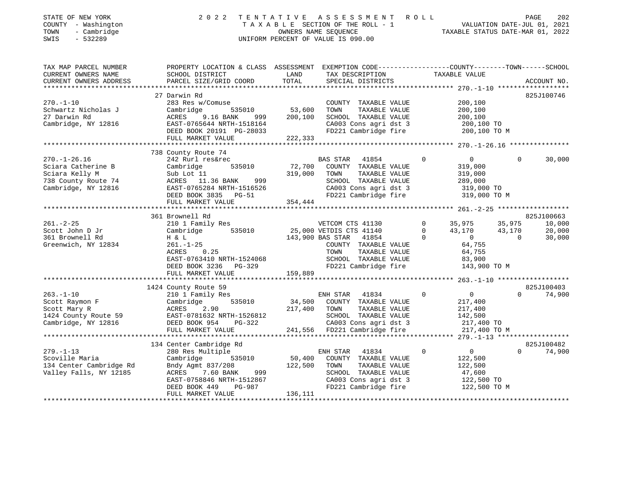| STATE OF NEW YORK<br>COUNTY - Washington<br>- Cambridge<br>TOWN<br>SWIS<br>$-532289$ | 2 0 2 2                                                                                                            | TENTATIVE<br>TAXABLE SECTION OF THE ROLL - 1<br>OWNERS NAME SEQUENCE<br>UNIFORM PERCENT OF VALUE IS 090.00 |                         | ASSESSMENT ROLL              |             | TAXABLE STATUS DATE-MAR 01, 2022 | VALUATION DATE-JUL 01, 2021 | PAGE<br>202          |
|--------------------------------------------------------------------------------------|--------------------------------------------------------------------------------------------------------------------|------------------------------------------------------------------------------------------------------------|-------------------------|------------------------------|-------------|----------------------------------|-----------------------------|----------------------|
| TAX MAP PARCEL NUMBER<br>CURRENT OWNERS NAME                                         | PROPERTY LOCATION & CLASS ASSESSMENT EXEMPTION CODE---------------COUNTY-------TOWN------SCHOOL<br>SCHOOL DISTRICT | LAND                                                                                                       |                         | TAX DESCRIPTION              |             | TAXABLE VALUE                    |                             |                      |
| CURRENT OWNERS ADDRESS                                                               | PARCEL SIZE/GRID COORD                                                                                             | TOTAL                                                                                                      |                         | SPECIAL DISTRICTS            |             |                                  |                             | ACCOUNT NO.          |
|                                                                                      |                                                                                                                    |                                                                                                            |                         |                              |             |                                  |                             |                      |
| $270. - 1 - 10$                                                                      | 27 Darwin Rd<br>283 Res w/Comuse                                                                                   |                                                                                                            |                         | COUNTY TAXABLE VALUE         |             | 200,100                          |                             | 825J100746           |
| Schwartz Nicholas J                                                                  | 535010<br>Cambridge                                                                                                | 53,600                                                                                                     | TOWN                    | TAXABLE VALUE                |             | 200,100                          |                             |                      |
| 27 Darwin Rd                                                                         | 9.16 BANK<br>ACRES<br>999                                                                                          | 200,100                                                                                                    |                         | SCHOOL TAXABLE VALUE         |             | 200,100                          |                             |                      |
| Cambridge, NY 12816                                                                  | EAST-0765644 NRTH-1518164                                                                                          |                                                                                                            |                         | CA003 Cons agri dst 3        |             | 200,100 TO                       |                             |                      |
|                                                                                      | DEED BOOK 20191 PG-28033                                                                                           |                                                                                                            |                         | FD221 Cambridge fire         |             | 200,100 TO M                     |                             |                      |
|                                                                                      | FULL MARKET VALUE                                                                                                  | 222,333                                                                                                    |                         |                              |             |                                  |                             |                      |
|                                                                                      | *****************************                                                                                      |                                                                                                            |                         |                              |             |                                  |                             |                      |
| $270. - 1 - 26.16$                                                                   | 738 County Route 74<br>242 Rurl res&rec                                                                            |                                                                                                            | <b>BAS STAR</b>         | 41854                        | 0           | $\overline{0}$                   | $\Omega$                    | 30,000               |
| Sciara Catherine B                                                                   | 535010<br>Cambridge                                                                                                | 72,700                                                                                                     |                         | COUNTY TAXABLE VALUE         |             | 319,000                          |                             |                      |
| Sciara Kelly M                                                                       | Sub Lot 11                                                                                                         | 319,000                                                                                                    | TOWN                    | TAXABLE VALUE                |             | 319,000                          |                             |                      |
| 738 County Route 74                                                                  | ACRES 11.36 BANK<br>999                                                                                            |                                                                                                            |                         | SCHOOL TAXABLE VALUE         |             | 289,000                          |                             |                      |
| Cambridge, NY 12816                                                                  | EAST-0765284 NRTH-1516526                                                                                          |                                                                                                            |                         | CA003 Cons agri dst 3        |             | 319,000 TO                       |                             |                      |
|                                                                                      | DEED BOOK 3835 PG-51                                                                                               |                                                                                                            |                         | FD221 Cambridge fire         |             | 319,000 TO M                     |                             |                      |
|                                                                                      | FULL MARKET VALUE                                                                                                  | 354,444                                                                                                    |                         |                              |             |                                  |                             |                      |
|                                                                                      |                                                                                                                    |                                                                                                            |                         |                              |             |                                  |                             | 825J100663           |
| $261. - 2 - 25$                                                                      | 361 Brownell Rd<br>210 1 Family Res                                                                                |                                                                                                            | VETCOM CTS 41130        |                              | $\mathbf 0$ | 35,975                           | 35,975                      | 10,000               |
| Scott John D Jr                                                                      | 535010<br>Cambridge                                                                                                |                                                                                                            | 25,000 VETDIS CTS 41140 |                              | 0           | 43,170                           | 43,170                      | 20,000               |
| 361 Brownell Rd                                                                      | H & L                                                                                                              |                                                                                                            | 143,900 BAS STAR        | 41854                        | $\Omega$    | $\overline{0}$                   | $\Omega$                    | 30,000               |
| Greenwich, NY 12834                                                                  | $261. - 1 - 25$                                                                                                    |                                                                                                            |                         | COUNTY TAXABLE VALUE         |             | 64,755                           |                             |                      |
|                                                                                      | 0.25<br>ACRES                                                                                                      |                                                                                                            | TOWN                    | TAXABLE VALUE                |             | 64,755                           |                             |                      |
|                                                                                      | EAST-0763410 NRTH-1524068                                                                                          |                                                                                                            |                         | SCHOOL TAXABLE VALUE         |             | 83,900                           |                             |                      |
|                                                                                      | DEED BOOK 3236 PG-329                                                                                              |                                                                                                            |                         | FD221 Cambridge fire         |             | 143,900 TO M                     |                             |                      |
|                                                                                      | FULL MARKET VALUE                                                                                                  | 159,889                                                                                                    |                         |                              |             |                                  |                             |                      |
|                                                                                      | 1424 County Route 59                                                                                               |                                                                                                            |                         |                              |             |                                  |                             | 825J100403           |
| $263. - 1 - 10$                                                                      | 210 1 Family Res                                                                                                   |                                                                                                            | ENH STAR                | 41834                        | $\circ$     | $\overline{0}$                   | $\Omega$                    | 74,900               |
| Scott Raymon F                                                                       | Cambridge<br>535010                                                                                                | 34,500                                                                                                     |                         | COUNTY TAXABLE VALUE         |             | 217,400                          |                             |                      |
| Scott Mary R                                                                         | ACRES<br>2.90                                                                                                      | 217,400                                                                                                    | TOWN                    | TAXABLE VALUE                |             | 217,400                          |                             |                      |
| 1424 County Route 59                                                                 | EAST-0781632 NRTH-1526812                                                                                          |                                                                                                            |                         | SCHOOL TAXABLE VALUE         |             | 142,500                          |                             |                      |
| Cambridge, NY 12816                                                                  | DEED BOOK 954<br>PG-322                                                                                            |                                                                                                            |                         | CA003 Cons agri dst 3        |             | 217,400 TO                       |                             |                      |
|                                                                                      | FULL MARKET VALUE                                                                                                  |                                                                                                            |                         | 241,556 FD221 Cambridge fire |             | 217,400 TO M                     |                             |                      |
|                                                                                      |                                                                                                                    |                                                                                                            |                         |                              |             |                                  |                             |                      |
| $279. - 1 - 13$                                                                      | 134 Center Cambridge Rd<br>280 Res Multiple                                                                        |                                                                                                            | ENH STAR                | 41834                        | 0           | $\overline{0}$                   | $\Omega$                    | 825J100482<br>74,900 |
| Scoville Maria                                                                       | 535010<br>Cambridge                                                                                                | 50,400                                                                                                     |                         | COUNTY TAXABLE VALUE         |             | 122,500                          |                             |                      |
| 134 Center Cambridge Rd                                                              | Bndy Agmt 837/208                                                                                                  | 122,500                                                                                                    | TOWN                    | TAXABLE VALUE                |             | 122,500                          |                             |                      |
| Valley Falls, NY 12185                                                               | 7.60 BANK<br>ACRES<br>999                                                                                          |                                                                                                            |                         | SCHOOL TAXABLE VALUE         |             | 47,600                           |                             |                      |
|                                                                                      | EAST-0758846 NRTH-1512867                                                                                          |                                                                                                            |                         | CA003 Cons agri dst 3        |             | 122,500 TO                       |                             |                      |
|                                                                                      | PG-987<br>DEED BOOK 449                                                                                            |                                                                                                            |                         | FD221 Cambridge fire         |             | 122,500 TO M                     |                             |                      |
| ***********************                                                              | FULL MARKET VALUE                                                                                                  | 136,111<br>***********************************                                                             |                         |                              |             |                                  |                             |                      |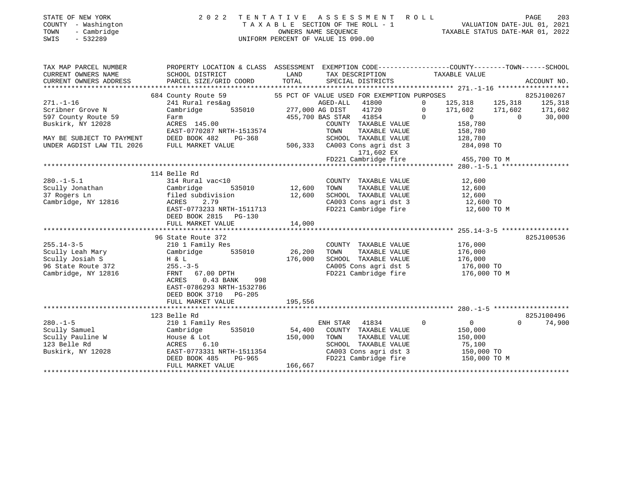|      | STATE OF NEW YORK   | 2022 TENTATIVE ASSESSMENT ROLL     | 203<br>PAGE                      |
|------|---------------------|------------------------------------|----------------------------------|
|      | COUNTY - Washington | TAXABLE SECTION OF THE ROLL - 1    | VALUATION DATE-JUL 01, 2021      |
| TOWN | - Cambridge         | OWNERS NAME SEOUENCE               | TAXABLE STATUS DATE-MAR 01, 2022 |
| SWIS | - 532289            | UNIFORM PERCENT OF VALUE IS 090.00 |                                  |

| TAX MAP PARCEL NUMBER           | PROPERTY LOCATION & CLASS ASSESSMENT EXEMPTION CODE---------------COUNTY-------TOWN-----SCHOOL                                                                                                                                       |         |                                                                                                       |                                   |                    |
|---------------------------------|--------------------------------------------------------------------------------------------------------------------------------------------------------------------------------------------------------------------------------------|---------|-------------------------------------------------------------------------------------------------------|-----------------------------------|--------------------|
| CURRENT OWNERS NAME             | SCHOOL DISTRICT                                                                                                                                                                                                                      | LAND    | TAX DESCRIPTION TAXABLE VALUE                                                                         |                                   |                    |
| CURRENT OWNERS ADDRESS          |                                                                                                                                                                                                                                      |         |                                                                                                       |                                   |                    |
|                                 |                                                                                                                                                                                                                                      |         |                                                                                                       |                                   |                    |
| $271. - 1 - 16$                 | 684 County Route 59 55 PCT OF VALUE USED FOR EXEMPTION PURPOSES                                                                                                                                                                      |         |                                                                                                       |                                   | 825J100267         |
| Scribner Grove N                |                                                                                                                                                                                                                                      |         |                                                                                                       |                                   |                    |
| 597 County Route 59             |                                                                                                                                                                                                                                      |         |                                                                                                       |                                   |                    |
| Buskirk, NY 12028               | 241 Rural reskag and the state of the MCBD-ALL 41800 and 125,318 125,318 125,318 125,318 125,318 125,318 125,318 125,318 125,318 125,318 125,318 125,318 125,318 125,318 125,318 125,318 125,318 125,318 125,318 125,318 125,3       |         |                                                                                                       |                                   |                    |
|                                 |                                                                                                                                                                                                                                      |         |                                                                                                       |                                   |                    |
| MAY BE SUBJECT TO PAYMENT       | EAST-0770287 NRTH-1513574<br>DEED BOOK 482 PG-368 SCHOOL TAXABLE VALUE 128,780<br>FULL MARKET VALUE 506,333 CA003 Cons agri dst 3 284,098 TO                                                                                         |         |                                                                                                       |                                   |                    |
| UNDER AGDIST LAW TIL 2026       |                                                                                                                                                                                                                                      |         |                                                                                                       |                                   |                    |
|                                 |                                                                                                                                                                                                                                      |         | 171,602 EX                                                                                            |                                   |                    |
|                                 |                                                                                                                                                                                                                                      |         | FD221 Cambridge fire                                                                                  | 455,700 TO M                      |                    |
|                                 |                                                                                                                                                                                                                                      |         |                                                                                                       |                                   |                    |
|                                 | 114 Belle Rd                                                                                                                                                                                                                         |         |                                                                                                       |                                   |                    |
| $280. -1 - 5.1$                 |                                                                                                                                                                                                                                      |         |                                                                                                       |                                   |                    |
|                                 |                                                                                                                                                                                                                                      |         |                                                                                                       |                                   |                    |
| Scully Jonathan<br>27 Bogers Ln | 314 Rural vac<10 COUNTY<br>Cambridge 535010 12,600 TOWN<br>filed subdivision 12,600 SCHOOL                                                                                                                                           |         | COUNTY TAXABLE VALUE 12,600<br>12,600 TOWN TAXABLE VALUE 12,600<br>12,600 SCHOOL TAXABLE VALUE 12,600 |                                   |                    |
| Cambridge, NY 12816             | ACRES<br>2.79                                                                                                                                                                                                                        |         | CA003 Cons agri dst 3 12,600 TO                                                                       |                                   |                    |
|                                 | EAST-0773233 NRTH-1511713                                                                                                                                                                                                            |         | FD221 Cambridge fire                                                                                  | 12,600 TO M                       |                    |
|                                 | DEED BOOK 2815 PG-130                                                                                                                                                                                                                |         |                                                                                                       |                                   |                    |
|                                 | FULL MARKET VALUE                                                                                                                                                                                                                    | 14,000  |                                                                                                       |                                   |                    |
|                                 |                                                                                                                                                                                                                                      |         |                                                                                                       |                                   |                    |
|                                 | 96 State Route 372                                                                                                                                                                                                                   |         |                                                                                                       |                                   | 825J100536         |
| $255.14 - 3 - 5$                | 210 1 Family Res                                                                                                                                                                                                                     |         | COUNTY TAXABLE VALUE 176,000                                                                          |                                   |                    |
|                                 | Scully Leah Mary Cambridge 535010 26,200<br>Scully Josiah S H & L<br>96 State Route 372 255.-3-5                                                                                                                                     |         | TOWN                                                                                                  | TAXABLE VALUE 176,000             |                    |
|                                 |                                                                                                                                                                                                                                      |         | SCHOOL TAXABLE VALUE 176,000<br>CA005 Cons agri dst 5 176,000 TO                                      |                                   |                    |
|                                 |                                                                                                                                                                                                                                      |         |                                                                                                       |                                   |                    |
| Cambridge, NY 12816             | FRNT 67.00 DPTH                                                                                                                                                                                                                      |         |                                                                                                       | FD221 Cambridge fire 176,000 TO M |                    |
|                                 | ACRES<br>0.43 BANK 998                                                                                                                                                                                                               |         |                                                                                                       |                                   |                    |
|                                 | EAST-0786293 NRTH-1532786                                                                                                                                                                                                            |         |                                                                                                       |                                   |                    |
|                                 | DEED BOOK 3710 PG-205                                                                                                                                                                                                                |         |                                                                                                       |                                   |                    |
|                                 | FULL MARKET VALUE                                                                                                                                                                                                                    | 195,556 |                                                                                                       |                                   |                    |
|                                 |                                                                                                                                                                                                                                      |         |                                                                                                       |                                   |                    |
|                                 | 123 Belle Rd                                                                                                                                                                                                                         |         |                                                                                                       |                                   | 825J100496         |
| $280. -1 - 5$                   | 210 1 Family Res                                                                                                                                                                                                                     |         | ENH STAR 41834                                                                                        |                                   | $\Omega$<br>74,900 |
|                                 |                                                                                                                                                                                                                                      |         |                                                                                                       |                                   |                    |
|                                 |                                                                                                                                                                                                                                      |         |                                                                                                       |                                   |                    |
|                                 |                                                                                                                                                                                                                                      |         |                                                                                                       |                                   |                    |
|                                 | Scully Samuel Cambridge 535010 54,400 COUNTY TAXABLE VALUE 150,000<br>Scully Pauline W House & Lot 150,000 TOWN TAXABLE VALUE 150,000<br>123 Belle Rd ACRES 6.10 SCHOOL TAXABLE VALUE 75,100<br>Buskirk, NY 12028 EAST-0773331_NRTH- |         |                                                                                                       |                                   |                    |
|                                 | EAST-0773331 NRTH-1511354<br>DEED BOOK 485 PG-965<br>FULL MARKET VALUE 166,667                                                                                                                                                       |         |                                                                                                       | FD221 Cambridge fire 150,000 TO M |                    |
|                                 |                                                                                                                                                                                                                                      |         |                                                                                                       |                                   |                    |
|                                 |                                                                                                                                                                                                                                      |         |                                                                                                       |                                   |                    |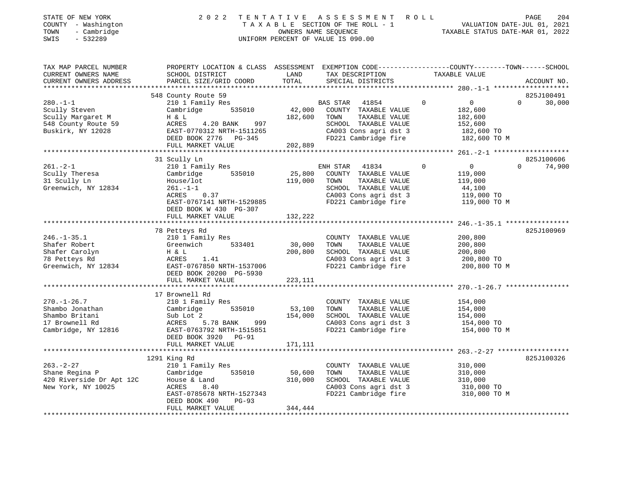| STATE OF NEW YORK   | 2022 TENTATIVE ASSESSMENT ROLL     |                                  | PAGE | 204 |
|---------------------|------------------------------------|----------------------------------|------|-----|
| COUNTY - Washington | TAXABLE SECTION OF THE ROLL - 1    | VALUATION DATE-JUL 01, 2021      |      |     |
| - Cambridge<br>TOWN | OWNERS NAME SEOUENCE               | TAXABLE STATUS DATE-MAR 01, 2022 |      |     |
| SWIS<br>- 532289    | UNIFORM PERCENT OF VALUE IS 090.00 |                                  |      |     |
|                     |                                    |                                  |      |     |

| TAX MAP PARCEL NUMBER    | PROPERTY LOCATION & CLASS ASSESSMENT EXEMPTION CODE---------------COUNTY-------TOWN------SCHOOL |         |                                               |               |                              |          |             |
|--------------------------|-------------------------------------------------------------------------------------------------|---------|-----------------------------------------------|---------------|------------------------------|----------|-------------|
| CURRENT OWNERS NAME      | SCHOOL DISTRICT                                                                                 | LAND    | TAX DESCRIPTION                               | TAXABLE VALUE |                              |          |             |
| CURRENT OWNERS ADDRESS   | PARCEL SIZE/GRID COORD                                                                          | TOTAL   | SPECIAL DISTRICTS                             |               |                              |          | ACCOUNT NO. |
|                          |                                                                                                 |         |                                               |               |                              |          |             |
|                          | 548 County Route 59                                                                             |         |                                               |               |                              |          | 825J100491  |
| $280. -1 - 1$            | 210 1 Family Res                                                                                |         | BAS STAR 41854                                | $\Omega$      | $0 \qquad \qquad$            | $\Omega$ | 30,000      |
| Scully Steven            | Cambridge<br>535010                                                                             | 42,000  | COUNTY TAXABLE VALUE                          |               | 182,600                      |          |             |
| Scully Margaret M        | H & L                                                                                           | 182,600 | TAXABLE VALUE<br>TOWN                         |               | 182,600                      |          |             |
| 548 County Route 59      | ACRES<br>4.20 BANK<br>997                                                                       |         | SCHOOL TAXABLE VALUE                          |               | 152,600                      |          |             |
| Buskirk, NY 12028        | EAST-0770312 NRTH-1511265                                                                       |         | CA003 Cons agri dst 3                         |               | 182,600 TO                   |          |             |
|                          | DEED BOOK 2776 PG-345                                                                           |         | FD221 Cambridge fire                          |               | 182,600 TO M                 |          |             |
|                          | FULL MARKET VALUE                                                                               | 202,889 |                                               |               |                              |          |             |
|                          |                                                                                                 |         |                                               |               |                              |          |             |
|                          | 31 Scully Ln                                                                                    |         |                                               |               |                              |          | 825J100606  |
| $261 - 2 - 1$            | 210 1 Family Res                                                                                |         | ENH STAR 41834                                | $\Omega$      | $\overline{0}$               | $\Omega$ | 74,900      |
| Scully Theresa           | 535010<br>Cambridge                                                                             | 25,800  | COUNTY TAXABLE VALUE                          |               | 119,000                      |          |             |
| 31 Scully Ln             | House/lot                                                                                       | 119,000 | TAXABLE VALUE<br>TOWN                         |               | 119,000                      |          |             |
| Greenwich, NY 12834      | $261. - 1 - 1$                                                                                  |         | SCHOOL TAXABLE VALUE                          |               | 44,100                       |          |             |
|                          | 0.37<br>ACRES                                                                                   |         | CA003 Cons agri dst 3                         |               | 119,000 TO                   |          |             |
|                          | EAST-0767141 NRTH-1529885                                                                       |         | FD221 Cambridge fire                          |               | 119,000 TO M                 |          |             |
|                          |                                                                                                 |         |                                               |               |                              |          |             |
|                          | DEED BOOK W 430 PG-307                                                                          |         |                                               |               |                              |          |             |
|                          | FULL MARKET VALUE                                                                               | 132,222 |                                               |               |                              |          |             |
|                          |                                                                                                 |         |                                               |               |                              |          |             |
|                          | 78 Petteys Rd                                                                                   |         |                                               |               |                              |          | 825J100969  |
| $246. - 1 - 35.1$        | 210 1 Family Res                                                                                |         | COUNTY TAXABLE VALUE                          |               | 200,800                      |          |             |
| Shafer Robert            | 533401<br>Greenwich                                                                             | 30,000  | TOWN<br>TAXABLE VALUE                         |               | 200,800                      |          |             |
| Shafer Carolyn           | H & L                                                                                           | 200,800 | SCHOOL TAXABLE VALUE                          |               | 200,800                      |          |             |
| 78 Petteys Rd            | ACRES<br>1.41                                                                                   |         | CA003 Cons agri dst 3                         |               | 200,800 TO                   |          |             |
| Greenwich, NY 12834      | EAST-0767850 NRTH-1537006                                                                       |         | FD221 Cambridge fire                          |               | 200,800 TO M                 |          |             |
|                          | DEED BOOK 20200 PG-5930                                                                         |         |                                               |               |                              |          |             |
|                          | FULL MARKET VALUE                                                                               | 223,111 |                                               |               |                              |          |             |
|                          |                                                                                                 |         |                                               |               |                              |          |             |
|                          | 17 Brownell Rd                                                                                  |         |                                               |               |                              |          |             |
| $270. - 1 - 26.7$        | 210 1 Family Res                                                                                |         | COUNTY TAXABLE VALUE                          |               | 154,000                      |          |             |
| Shambo Jonathan          | Cambridge<br>535010                                                                             | 53,100  | TOWN<br>TAXABLE VALUE                         |               | 154,000                      |          |             |
| Shambo Britani           | Sub Lot 2                                                                                       | 154,000 | SCHOOL TAXABLE VALUE                          |               | 154,000                      |          |             |
| 17 Brownell Rd           | ACRES<br>5.78 BANK 999                                                                          |         |                                               |               | 154,000 TO                   |          |             |
| Cambridge, NY 12816      | EAST-0763792 NRTH-1515851                                                                       |         | CA003 Cons agri dst 3<br>FD221 Cambridge fire |               | 154,000 TO M                 |          |             |
|                          | DEED BOOK 3920 PG-91                                                                            |         |                                               |               |                              |          |             |
|                          | FULL MARKET VALUE                                                                               | 171,111 |                                               |               |                              |          |             |
|                          |                                                                                                 |         |                                               |               |                              |          |             |
|                          | 1291 King Rd                                                                                    |         |                                               |               |                              |          | 825J100326  |
| $263. - 2 - 27$          | 210 1 Family Res                                                                                |         | COUNTY TAXABLE VALUE                          |               | 310,000                      |          |             |
|                          |                                                                                                 | 50,600  |                                               |               |                              |          |             |
| Shane Regina P           | 535010<br>Cambridge                                                                             |         | TOWN<br>TAXABLE VALUE                         |               | 310,000                      |          |             |
| 420 Riverside Dr Apt 12C | House & Land                                                                                    | 310,000 | SCHOOL TAXABLE VALUE                          |               | $310,000$ TO<br>$310,000$ TO |          |             |
| New York, NY 10025       | ACRES<br>8.40                                                                                   |         | CA003 Cons agri dst 3                         |               |                              |          |             |
|                          | EAST-0785678 NRTH-1527343                                                                       |         | FD221 Cambridge fire                          |               | 310,000 TO M                 |          |             |
|                          | DEED BOOK 490<br>PG-93                                                                          |         |                                               |               |                              |          |             |
|                          | FULL MARKET VALUE                                                                               | 344,444 |                                               |               |                              |          |             |
|                          |                                                                                                 |         |                                               |               |                              |          |             |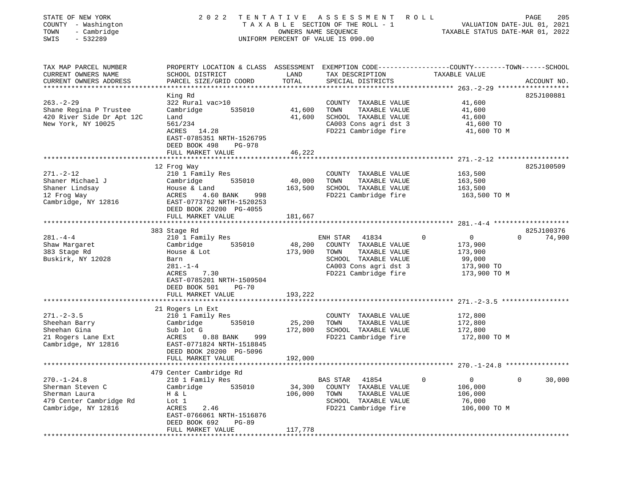| STATE OF NEW YORK<br>COUNTY - Washington<br>- Cambridge<br>TOWN<br>SWIS<br>$-532289$                     | 2 0 2 2                                                                                                                                                                              | TENTATIVE                    | ASSESSMENT<br>TAXABLE SECTION OF THE ROLL - 1<br>OWNERS NAME SEQUENCE<br>UNIFORM PERCENT OF VALUE IS 090.00                                 | <b>ROLL</b>                                                                                 | PAGE<br>205<br>VALUATION DATE-JUL 01, 2021<br>TAXABLE STATUS DATE-MAR 01, 2022 |
|----------------------------------------------------------------------------------------------------------|--------------------------------------------------------------------------------------------------------------------------------------------------------------------------------------|------------------------------|---------------------------------------------------------------------------------------------------------------------------------------------|---------------------------------------------------------------------------------------------|--------------------------------------------------------------------------------|
| TAX MAP PARCEL NUMBER<br>CURRENT OWNERS NAME<br>CURRENT OWNERS ADDRESS                                   | PROPERTY LOCATION & CLASS ASSESSMENT EXEMPTION CODE----------------COUNTY-------TOWN------SCHOOL<br>SCHOOL DISTRICT<br>PARCEL SIZE/GRID COORD                                        | LAND<br>TOTAL                | TAX DESCRIPTION<br>SPECIAL DISTRICTS                                                                                                        | TAXABLE VALUE                                                                               | ACCOUNT NO.                                                                    |
| $263. - 2 - 29$<br>Shane Regina P Trustee<br>420 River Side Dr Apt 12C<br>New York, NY 10025             | King Rd<br>322 Rural vac>10<br>Cambridge<br>535010<br>Land<br>561/234<br>ACRES<br>14.28<br>EAST-0785351 NRTH-1526795<br>DEED BOOK 498<br>PG-978                                      | 41,600<br>41,600             | COUNTY TAXABLE VALUE<br>TOWN<br>TAXABLE VALUE<br>SCHOOL TAXABLE VALUE<br>CA003 Cons agri dst 3<br>FD221 Cambridge fire                      | 41,600<br>41,600<br>41,600<br>41,600 TO<br>41,600 TO M                                      | 825J100881                                                                     |
|                                                                                                          | FULL MARKET VALUE<br>12 Frog Way                                                                                                                                                     | 46,222                       |                                                                                                                                             |                                                                                             | 825J100509                                                                     |
| $271. - 2 - 12$<br>Shaner Michael J<br>Shaner Lindsay<br>12 Frog Way<br>Cambridge, NY 12816              | 210 1 Family Res<br>Cambridge<br>535010<br>House & Land<br>ACRES<br>4.60 BANK<br>998<br>EAST-0773762 NRTH-1520253<br>DEED BOOK 20200 PG-4055<br>FULL MARKET VALUE                    | 40,000<br>163,500<br>181,667 | COUNTY TAXABLE VALUE<br>TOWN<br>TAXABLE VALUE<br>SCHOOL TAXABLE VALUE<br>FD221 Cambridge fire                                               | 163,500<br>163,500<br>163,500<br>163,500 TO M                                               |                                                                                |
|                                                                                                          |                                                                                                                                                                                      |                              |                                                                                                                                             |                                                                                             |                                                                                |
| $281 - 4 - 4$<br>Shaw Margaret<br>383 Stage Rd<br>Buskirk, NY 12028                                      | 383 Stage Rd<br>210 1 Family Res<br>535010<br>Cambridge<br>House & Lot<br>Barn<br>$281. - 1 - 4$<br>ACRES<br>7.30<br>EAST-0785201 NRTH-1509504<br>DEED BOOK 501<br>$PG-70$           | 48,200<br>173,900            | ENH STAR<br>41834<br>COUNTY TAXABLE VALUE<br>TOWN<br>TAXABLE VALUE<br>SCHOOL TAXABLE VALUE<br>CA003 Cons agri dst 3<br>FD221 Cambridge fire | $\mathbf 0$<br>$\overline{0}$<br>173,900<br>173,900<br>99,000<br>173,900 TO<br>173,900 TO M | 825J100376<br>74,900<br>$\Omega$                                               |
|                                                                                                          | FULL MARKET VALUE                                                                                                                                                                    | 193,222                      |                                                                                                                                             |                                                                                             |                                                                                |
| $271. - 2 - 3.5$<br>Sheehan Barry<br>Sheehan Gina<br>21 Rogers Lane Ext<br>Cambridge, NY 12816           | 21 Rogers Ln Ext<br>210 1 Family Res<br>Cambridge<br>535010<br>Sub lot G<br>ACRES<br>$0.88$ BANK<br>999<br>EAST-0771824 NRTH-1518845<br>DEED BOOK 20200 PG-5096<br>FULL MARKET VALUE | 25,200<br>172,800<br>192,000 | COUNTY TAXABLE VALUE<br>TOWN<br>TAXABLE VALUE<br>SCHOOL TAXABLE VALUE<br>FD221 Cambridge fire                                               | 172,800<br>172,800<br>172,800<br>172,800 TO M                                               |                                                                                |
|                                                                                                          |                                                                                                                                                                                      |                              |                                                                                                                                             |                                                                                             |                                                                                |
| $270. - 1 - 24.8$<br>Sherman Steven C<br>Sherman Laura<br>479 Center Cambridge Rd<br>Cambridge, NY 12816 | 479 Center Cambridge Rd<br>210 1 Family Res<br>Cambridge<br>535010<br>H & L<br>Lot 1<br>ACRES<br>2.46<br>EAST-0766061 NRTH-1516876<br>DEED BOOK 692<br>PG-89<br>FULL MARKET VALUE    | 34,300<br>106,000<br>117,778 | BAS STAR<br>41854<br>COUNTY<br>TAXABLE VALUE<br>TOWN<br>TAXABLE VALUE<br>SCHOOL TAXABLE VALUE<br>FD221 Cambridge fire                       | 0<br>$\mathbf 0$<br>106,000<br>106,000<br>76,000<br>106,000 TO M                            | 0<br>30,000                                                                    |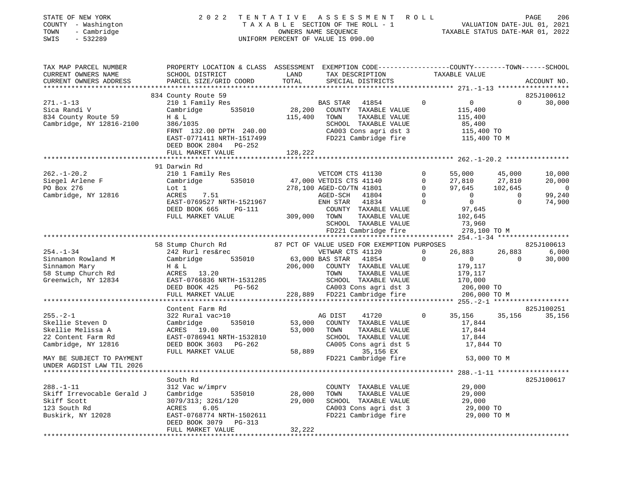| 2 0 2 2                                                                                                                                                     |                                                                                                                                                                                                   |                                                                                                                                                    |                                                                                                   |                                                                                                                                                                                                                                                                                                                                                                                                                                                                                                                         |                                                                                                                                                                                                                                                                                     |                                       | PAGE<br>206                                                                                                                                                                                                                                                                                                                                                                                                                                                                                                       |
|-------------------------------------------------------------------------------------------------------------------------------------------------------------|---------------------------------------------------------------------------------------------------------------------------------------------------------------------------------------------------|----------------------------------------------------------------------------------------------------------------------------------------------------|---------------------------------------------------------------------------------------------------|-------------------------------------------------------------------------------------------------------------------------------------------------------------------------------------------------------------------------------------------------------------------------------------------------------------------------------------------------------------------------------------------------------------------------------------------------------------------------------------------------------------------------|-------------------------------------------------------------------------------------------------------------------------------------------------------------------------------------------------------------------------------------------------------------------------------------|---------------------------------------|-------------------------------------------------------------------------------------------------------------------------------------------------------------------------------------------------------------------------------------------------------------------------------------------------------------------------------------------------------------------------------------------------------------------------------------------------------------------------------------------------------------------|
| SCHOOL DISTRICT                                                                                                                                             | LAND                                                                                                                                                                                              |                                                                                                                                                    |                                                                                                   |                                                                                                                                                                                                                                                                                                                                                                                                                                                                                                                         |                                                                                                                                                                                                                                                                                     |                                       | ACCOUNT NO.                                                                                                                                                                                                                                                                                                                                                                                                                                                                                                       |
|                                                                                                                                                             |                                                                                                                                                                                                   |                                                                                                                                                    |                                                                                                   |                                                                                                                                                                                                                                                                                                                                                                                                                                                                                                                         |                                                                                                                                                                                                                                                                                     |                                       |                                                                                                                                                                                                                                                                                                                                                                                                                                                                                                                   |
|                                                                                                                                                             |                                                                                                                                                                                                   |                                                                                                                                                    |                                                                                                   |                                                                                                                                                                                                                                                                                                                                                                                                                                                                                                                         |                                                                                                                                                                                                                                                                                     |                                       | 825J100612                                                                                                                                                                                                                                                                                                                                                                                                                                                                                                        |
| Cambridge 535010<br>H & L<br>386/1035<br>DEED BOOK 2804 PG-252                                                                                              |                                                                                                                                                                                                   |                                                                                                                                                    |                                                                                                   | $\overline{0}$                                                                                                                                                                                                                                                                                                                                                                                                                                                                                                          | $\overline{0}$<br>115,400<br>115,400<br>85,400                                                                                                                                                                                                                                      | $\Omega$                              | 30,000                                                                                                                                                                                                                                                                                                                                                                                                                                                                                                            |
|                                                                                                                                                             |                                                                                                                                                                                                   |                                                                                                                                                    |                                                                                                   |                                                                                                                                                                                                                                                                                                                                                                                                                                                                                                                         |                                                                                                                                                                                                                                                                                     |                                       |                                                                                                                                                                                                                                                                                                                                                                                                                                                                                                                   |
| 210 1 Family Res<br>Lot 1<br>ACRES 7.51<br>EAST-0769527 NRTH-1521967<br>DEED BOOK 665<br>PG-111<br>FULL MARKET VALUE                                        |                                                                                                                                                                                                   |                                                                                                                                                    |                                                                                                   | $\mathbf{0}$<br>$\mathbf 0$<br>$\circ$<br>$\overline{0}$<br>$\Omega$                                                                                                                                                                                                                                                                                                                                                                                                                                                    | 55,000<br>27,810<br>97,645<br>$\overline{0}$<br>$\overline{0}$<br>97,645<br>102,645<br>73,960                                                                                                                                                                                       | $\overline{0}$<br>$\overline{0}$      | 10,000<br>20,000<br>$\overline{0}$<br>99,240<br>74,900                                                                                                                                                                                                                                                                                                                                                                                                                                                            |
|                                                                                                                                                             |                                                                                                                                                                                                   |                                                                                                                                                    |                                                                                                   |                                                                                                                                                                                                                                                                                                                                                                                                                                                                                                                         |                                                                                                                                                                                                                                                                                     |                                       |                                                                                                                                                                                                                                                                                                                                                                                                                                                                                                                   |
|                                                                                                                                                             |                                                                                                                                                                                                   |                                                                                                                                                    |                                                                                                   |                                                                                                                                                                                                                                                                                                                                                                                                                                                                                                                         |                                                                                                                                                                                                                                                                                     |                                       | 825J100613                                                                                                                                                                                                                                                                                                                                                                                                                                                                                                        |
| 242 Rurl res&rec<br>ACRES 13.20<br>PG-562<br>DEED BOOK 425<br>FULL MARKET VALUE                                                                             |                                                                                                                                                                                                   | TOWN                                                                                                                                               |                                                                                                   | $\mathbf{0}$<br>$\mathbf 0$                                                                                                                                                                                                                                                                                                                                                                                                                                                                                             | $\overline{0}$<br>179,117<br>179,117<br>170,000                                                                                                                                                                                                                                     | 26,883<br>$\overline{0}$              | 6,000<br>30,000                                                                                                                                                                                                                                                                                                                                                                                                                                                                                                   |
|                                                                                                                                                             |                                                                                                                                                                                                   |                                                                                                                                                    |                                                                                                   |                                                                                                                                                                                                                                                                                                                                                                                                                                                                                                                         |                                                                                                                                                                                                                                                                                     |                                       |                                                                                                                                                                                                                                                                                                                                                                                                                                                                                                                   |
| Content Farm Rd<br>322 Rural vac>10<br>Cambridge<br>ACRES 19.00<br>DEED BOOK 3603 PG-262<br>FULL MARKET VALUE                                               |                                                                                                                                                                                                   | TOWN                                                                                                                                               |                                                                                                   | $\overline{0}$                                                                                                                                                                                                                                                                                                                                                                                                                                                                                                          | 17,844<br>17,844<br>17,844                                                                                                                                                                                                                                                          | 35,156                                | 825J100251<br>35,156                                                                                                                                                                                                                                                                                                                                                                                                                                                                                              |
|                                                                                                                                                             |                                                                                                                                                                                                   |                                                                                                                                                    |                                                                                                   |                                                                                                                                                                                                                                                                                                                                                                                                                                                                                                                         |                                                                                                                                                                                                                                                                                     |                                       | 825J100617                                                                                                                                                                                                                                                                                                                                                                                                                                                                                                        |
| 312 Vac w/imprv<br>Cambridge<br>535010<br>3079/313; 3261/120<br>ACRES<br>6.05<br>EAST-0768774 NRTH-1502611<br>DEED BOOK 3079<br>PG-313<br>FULL MARKET VALUE | 28,000<br>29,000<br>32,222                                                                                                                                                                        | TOWN                                                                                                                                               |                                                                                                   |                                                                                                                                                                                                                                                                                                                                                                                                                                                                                                                         | 29,000<br>29,000<br>29,000                                                                                                                                                                                                                                                          |                                       |                                                                                                                                                                                                                                                                                                                                                                                                                                                                                                                   |
|                                                                                                                                                             | PARCEL SIZE/GRID COORD<br>834 County Route 59<br>210 1 Family Res<br>Cambridge, NY 12816-2100<br>FULL MARKET VALUE<br>91 Darwin Rd<br>Cambridge<br>H & L<br>EAST-0786941 NRTH-1532810<br>South Rd | TENTATIVE<br>TOTAL<br>FRNT 132.00 DPTH 240.00<br>EAST-0771411 NRTH-1517499<br>128,222<br>58 Stump Church Rd<br>EAST-0766836 NRTH-1531285<br>535010 | UNIFORM PERCENT OF VALUE IS 090.00<br>115,400 TOWN<br>309,000 TOWN<br>AG DIST<br>53,000<br>58,889 | TAX DESCRIPTION<br>SPECIAL DISTRICTS<br>TAXABLE VALUE<br>SCHOOL TAXABLE VALUE<br>VETCOM CTS 41130<br>278,100 AGED-CO/TN 41801<br>AGED-SCH 41804<br>ENH STAR 41834<br>TAXABLE VALUE<br>SCHOOL TAXABLE VALUE<br>FD221 Cambridge fire<br>VETWAR CTS 41120<br>535010 63,000 BAS STAR 41854<br>TAXABLE VALUE<br>SCHOOL TAXABLE VALUE<br>41720<br>53,000 COUNTY TAXABLE VALUE<br>TAXABLE VALUE<br>35,156 EX<br>COUNTY TAXABLE VALUE<br>TAXABLE VALUE<br>SCHOOL TAXABLE VALUE<br>CA003 Cons agri dst 3<br>FD221 Cambridge fire | ASSESSMENT ROLL<br>BAS STAR 41854<br>28,200 COUNTY TAXABLE VALUE<br>CA003 Cons agri dst 3<br>FD221 Cambridge fire<br>COUNTY TAXABLE VALUE<br>206,000 COUNTY TAXABLE VALUE<br>CA003 Cons agri dst 3<br>228,889 FD221 Cambridge fire<br>SCHOOL TAXABLE VALUE<br>CA005 Cons agri dst 5 | TAXABLE VALUE<br>FD221 Cambridge fire | TAXABLE SECTION OF THE ROLL - 1<br>OWNERS NAME SEQUENCE<br>TAXABLE STATUS DATE-JUL 01, 2021<br>TAXABLE STATUS DATE-MAR 01, 2022<br>PROPERTY LOCATION & CLASS ASSESSMENT EXEMPTION CODE----------------COUNTY-------TOWN-----SCHOOL<br>115,400 TO<br>115,400 TO M<br>45,000<br>27,810<br>102,645<br>278,100 TO M<br>87 PCT OF VALUE USED FOR EXEMPTION PURPOSES<br>26,883<br>206,000 TO<br>206,000 TO M<br>35,156<br>17,844 TO<br>53,000 TO M<br>******* 288.-1-11 *******************<br>29,000 TO<br>29,000 TO M |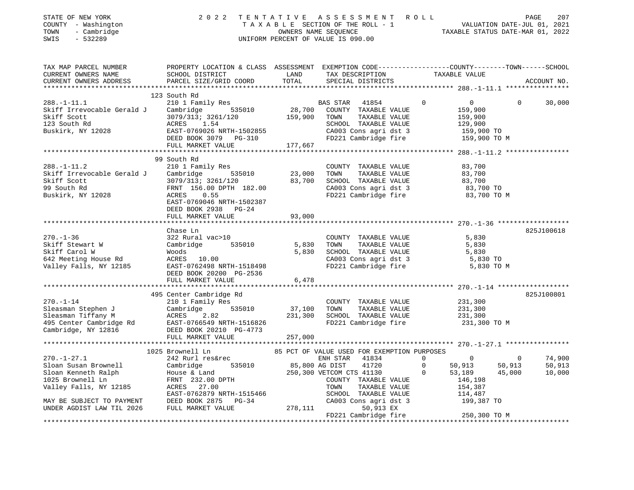| STATE OF NEW YORK<br>COUNTY - Washington<br>- Cambridge<br>TOWN<br>$-532289$<br>SWIS | 2 0 2 2                                                                                                           |                  | TENTATIVE ASSESSMENT ROLL<br>TAXABLE SECTION OF THE ROLL - 1<br>OWNERS NAME SEQUENCE<br>UNIFORM PERCENT OF VALUE IS 090.00 |                              | VALUATION DATE-JUL 01, 2021<br>TAXABLE STATUS DATE-MAR 01, 2022 | PAGE             | 207              |
|--------------------------------------------------------------------------------------|-------------------------------------------------------------------------------------------------------------------|------------------|----------------------------------------------------------------------------------------------------------------------------|------------------------------|-----------------------------------------------------------------|------------------|------------------|
| TAX MAP PARCEL NUMBER<br>CURRENT OWNERS NAME                                         | PROPERTY LOCATION & CLASS ASSESSMENT EXEMPTION CODE---------------COUNTY-------TOWN-----SCHOOL<br>SCHOOL DISTRICT | LAND             | TAX DESCRIPTION                                                                                                            |                              | TAXABLE VALUE                                                   |                  |                  |
| CURRENT OWNERS ADDRESS                                                               | PARCEL SIZE/GRID COORD                                                                                            | TOTAL            | SPECIAL DISTRICTS                                                                                                          |                              |                                                                 |                  | ACCOUNT NO.      |
|                                                                                      |                                                                                                                   |                  |                                                                                                                            |                              |                                                                 |                  |                  |
|                                                                                      | 123 South Rd                                                                                                      |                  |                                                                                                                            |                              |                                                                 |                  |                  |
| $288. - 1 - 11.1$                                                                    | 210 1 Family Res                                                                                                  |                  | BAS STAR<br>41854                                                                                                          | $\Omega$                     | $\overline{0}$                                                  | $\Omega$         | 30,000           |
| Skiff Irrevocable Gerald J                                                           | Cambridge<br>535010                                                                                               | 28,700           | COUNTY TAXABLE VALUE                                                                                                       |                              | 159,900                                                         |                  |                  |
| Skiff Scott                                                                          | 3079/313; 3261/120                                                                                                | 159,900          | TOWN<br>TAXABLE VALUE                                                                                                      |                              | 159,900                                                         |                  |                  |
| 123 South Rd                                                                         | 1.54<br>ACRES                                                                                                     |                  | SCHOOL TAXABLE VALUE                                                                                                       |                              | 129,900                                                         |                  |                  |
| Buskirk, NY 12028                                                                    | EAST-0769026 NRTH-1502855                                                                                         |                  | CA003 Cons agri dst 3                                                                                                      |                              | 159,900 TO                                                      |                  |                  |
|                                                                                      | DEED BOOK 3079 PG-310                                                                                             |                  | FD221 Cambridge fire                                                                                                       |                              | 159,900 TO M                                                    |                  |                  |
|                                                                                      | FULL MARKET VALUE                                                                                                 | 177,667          |                                                                                                                            |                              |                                                                 |                  |                  |
|                                                                                      |                                                                                                                   |                  |                                                                                                                            |                              |                                                                 |                  |                  |
|                                                                                      | 99 South Rd                                                                                                       |                  |                                                                                                                            |                              |                                                                 |                  |                  |
| $288. - 1 - 11.2$                                                                    | 210 1 Family Res                                                                                                  |                  | COUNTY TAXABLE VALUE                                                                                                       |                              | 83,700                                                          |                  |                  |
| Skiff Irrevocable Gerald J<br>Skiff Scott                                            | Cambridge<br>535010<br>3079/313; 3261/120                                                                         | 23,000<br>83,700 | TOWN<br>TAXABLE VALUE<br>SCHOOL TAXABLE VALUE                                                                              |                              | 83,700                                                          |                  |                  |
| 99 South Rd                                                                          | FRNT 156.00 DPTH 182.00                                                                                           |                  |                                                                                                                            |                              | 83,700<br>83,700 TO                                             |                  |                  |
| Buskirk, NY 12028                                                                    | 0.55<br>ACRES                                                                                                     |                  | CA003 Cons agri dst 3<br>FD221 Cambridge fire                                                                              |                              | 83,700 TO M                                                     |                  |                  |
|                                                                                      | EAST-0769046 NRTH-1502387<br>DEED BOOK 2938 PG-24                                                                 |                  |                                                                                                                            |                              |                                                                 |                  |                  |
|                                                                                      | FULL MARKET VALUE                                                                                                 | 93,000           |                                                                                                                            |                              |                                                                 |                  |                  |
|                                                                                      |                                                                                                                   |                  |                                                                                                                            |                              |                                                                 |                  |                  |
|                                                                                      | Chase Ln                                                                                                          |                  |                                                                                                                            |                              |                                                                 |                  | 825J100618       |
| $270. - 1 - 36$                                                                      | 322 Rural vac>10                                                                                                  |                  | COUNTY TAXABLE VALUE                                                                                                       |                              | 5,830                                                           |                  |                  |
| Skiff Stewart W                                                                      | 535010<br>Cambridge                                                                                               | 5,830            | TAXABLE VALUE<br>TOWN                                                                                                      |                              | 5,830                                                           |                  |                  |
| Skiff Carol W                                                                        | Woods                                                                                                             | 5,830            | SCHOOL TAXABLE VALUE                                                                                                       |                              | 5,830                                                           |                  |                  |
| 642 Meeting House Rd                                                                 | ACRES 10.00                                                                                                       |                  | CA003 Cons agri dst 3                                                                                                      |                              | 5,830 TO                                                        |                  |                  |
| Valley Falls, NY 12185                                                               | EAST-0762498 NRTH-1518498                                                                                         |                  | FD221 Cambridge fire                                                                                                       |                              | 5,830 TO M                                                      |                  |                  |
|                                                                                      | DEED BOOK 20200 PG-2536                                                                                           |                  |                                                                                                                            |                              |                                                                 |                  |                  |
|                                                                                      | FULL MARKET VALUE                                                                                                 | 6,478            |                                                                                                                            |                              |                                                                 |                  |                  |
|                                                                                      |                                                                                                                   |                  |                                                                                                                            |                              |                                                                 |                  |                  |
|                                                                                      | 495 Center Cambridge Rd                                                                                           |                  |                                                                                                                            |                              |                                                                 |                  | 825J100801       |
| $270. - 1 - 14$                                                                      | 210 1 Family Res                                                                                                  |                  | COUNTY TAXABLE VALUE                                                                                                       |                              | 231,300                                                         |                  |                  |
| Sleasman Stephen J                                                                   | Cambridge<br>535010                                                                                               | 37,100           | TOWN<br>TAXABLE VALUE                                                                                                      |                              | 231,300                                                         |                  |                  |
| Sleasman Tiffany M                                                                   | ACRES<br>2.82                                                                                                     | 231,300          | SCHOOL TAXABLE VALUE                                                                                                       |                              | 231,300                                                         |                  |                  |
| 495 Center Cambridge Rd                                                              | EAST-0766549 NRTH-1516826                                                                                         |                  | FD221 Cambridge fire                                                                                                       |                              | 231,300 TO M                                                    |                  |                  |
| Cambridge, NY 12816                                                                  | DEED BOOK 20210 PG-4773                                                                                           |                  |                                                                                                                            |                              |                                                                 |                  |                  |
|                                                                                      | FULL MARKET VALUE                                                                                                 | 257,000          |                                                                                                                            |                              |                                                                 |                  |                  |
|                                                                                      |                                                                                                                   |                  |                                                                                                                            |                              |                                                                 |                  |                  |
| $270. - 1 - 27.1$                                                                    | 1025 Brownell Ln                                                                                                  |                  | 85 PCT OF VALUE USED FOR EXEMPTION PURPOSES                                                                                |                              |                                                                 |                  |                  |
| Sloan Susan Brownell                                                                 | 242 Rurl res&rec<br>Cambridge                                                                                     |                  | ENH STAR<br>41834<br>85,800 AG DIST                                                                                        | $\mathbf{0}$<br>$\mathbf{0}$ | 0                                                               | $\overline{0}$   | 74,900<br>50,913 |
| Sloan Kenneth Ralph                                                                  | 535010                                                                                                            |                  | 41720                                                                                                                      | $\mathbf{0}$                 | 50,913<br>53,189                                                | 50,913<br>45,000 | 10,000           |
| 1025 Brownell Ln                                                                     | House & Land<br>FRNT 232.00 DPTH                                                                                  |                  | 250,300 VETCOM CTS 41130<br>COUNTY TAXABLE VALUE                                                                           |                              | 146,198                                                         |                  |                  |
| Valley Falls, NY 12185                                                               | ACRES 27.00                                                                                                       |                  | TOWN<br>TAXABLE VALUE                                                                                                      |                              | 154,387                                                         |                  |                  |
|                                                                                      | EAST-0762879 NRTH-1515466                                                                                         |                  | SCHOOL TAXABLE VALUE                                                                                                       |                              | 114,487                                                         |                  |                  |

UNDER AGDIST LAW TIL 2026 FULL MARKET VALUE 278,111 50,913 EX FD221 Cambridge fire 250,300 TO M \*\*\*\*\*\*\*\*\*\*\*\*\*\*\*\*\*\*\*\*\*\*\*\*\*\*\*\*\*\*\*\*\*\*\*\*\*\*\*\*\*\*\*\*\*\*\*\*\*\*\*\*\*\*\*\*\*\*\*\*\*\*\*\*\*\*\*\*\*\*\*\*\*\*\*\*\*\*\*\*\*\*\*\*\*\*\*\*\*\*\*\*\*\*\*\*\*\*\*\*\*\*\*\*\*\*\*\*\*\*\*\*\*\*\*\*\*\*\*\*\*\*\*\*\*\*\*\*\*\*\*\*

MAY BE SUBJECT TO PAYMENT DEED BOOK 2875 PG-34 CA003 Cons agri dst 3 199,387 TO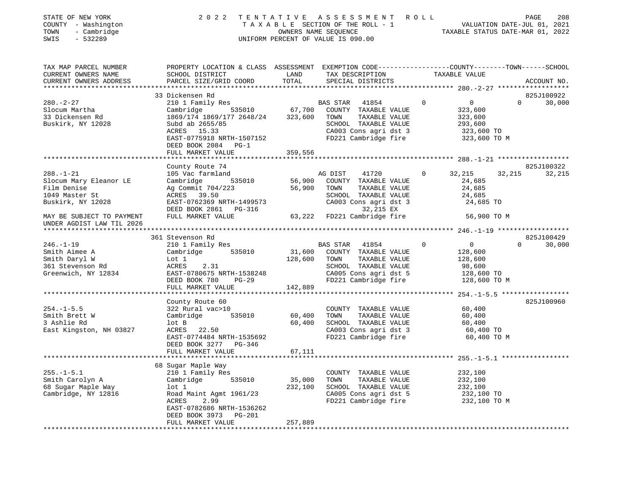| STATE OF NEW YORK<br>COUNTY - Washington<br>- Cambridge<br>TOWN<br>SWIS<br>$-532289$             | 2 0 2 2                                                                                                                                                                                               | TENTATIVE                    | A S S E S S M E N T R O L L<br>T A X A B L E SECTION OF THE ROLL - 1<br>OWNERS NAME SEQUENCE<br>UNIFORM PERCENT OF VALUE IS 090.00          |          | VALUATION DATE-JUL 01, 2021<br>TAXABLE STATUS DATE-MAR 01, 2022               | PAGE     | 208                  |
|--------------------------------------------------------------------------------------------------|-------------------------------------------------------------------------------------------------------------------------------------------------------------------------------------------------------|------------------------------|---------------------------------------------------------------------------------------------------------------------------------------------|----------|-------------------------------------------------------------------------------|----------|----------------------|
| TAX MAP PARCEL NUMBER<br>CURRENT OWNERS NAME<br>CURRENT OWNERS ADDRESS<br>********************** | PROPERTY LOCATION & CLASS ASSESSMENT EXEMPTION CODE----------------COUNTY-------TOWN-----SCHOOL<br>SCHOOL DISTRICT<br>PARCEL SIZE/GRID COORD                                                          | LAND<br>TOTAL                | TAX DESCRIPTION<br>SPECIAL DISTRICTS                                                                                                        |          | TAXABLE VALUE                                                                 |          | ACCOUNT NO.          |
|                                                                                                  | 33 Dickensen Rd                                                                                                                                                                                       |                              |                                                                                                                                             |          |                                                                               |          | 825J100922           |
| $280. - 2 - 27$<br>Slocum Martha<br>33 Dickensen Rd<br>Buskirk, NY 12028                         | 210 1 Family Res<br>535010<br>Cambridge<br>1869/174 1869/177 2648/24<br>Subd ab 2655/85<br>ACRES 15.33<br>EAST-0775918 NRTH-1507152<br>DEED BOOK 2084 PG-1                                            | 67,700<br>323,600            | BAS STAR<br>41854<br>COUNTY TAXABLE VALUE<br>TOWN<br>TAXABLE VALUE<br>SCHOOL TAXABLE VALUE<br>CA003 Cons agri dst 3<br>FD221 Cambridge fire | 0        | $\overline{0}$<br>323,600<br>323,600<br>293,600<br>323,600 TO<br>323,600 TO M | 0        | 30,000               |
|                                                                                                  | FULL MARKET VALUE                                                                                                                                                                                     | 359,556                      |                                                                                                                                             |          | ************** 288.-1-21 *******************                                  |          |                      |
| $288. - 1 - 21$<br>Slocum Mary Eleanor LE<br>Film Denise<br>1049 Master St<br>Buskirk, NY 12028  | County Route 74<br>105 Vac farmland<br>535010<br>Cambridge<br>Ag Commit 704/223<br>ACRES<br>39.50<br>EAST-0762369 NRTH-1499573                                                                        | 56,900<br>56,900             | AG DIST<br>41720<br>COUNTY TAXABLE VALUE<br>TOWN<br>TAXABLE VALUE<br>SCHOOL TAXABLE VALUE<br>CA003 Cons agri dst 3                          | 0        | 32,215<br>24,685<br>24,685<br>24,685<br>24,685 TO                             | 32,215   | 825J100322<br>32,215 |
| MAY BE SUBJECT TO PAYMENT<br>UNDER AGDIST LAW TIL 2026                                           | DEED BOOK 2861 PG-316<br>FULL MARKET VALUE                                                                                                                                                            | 63,222                       | 32,215 EX<br>FD221 Cambridge fire                                                                                                           |          | 56,900 TO M                                                                   |          |                      |
|                                                                                                  |                                                                                                                                                                                                       |                              |                                                                                                                                             |          | *********** 246.-1-19 *******************                                     |          |                      |
| $246. - 1 - 19$<br>Smith Aimee A<br>Smith Daryl W<br>361 Stevenson Rd<br>Greenwich, NY 12834     | 361 Stevenson Rd<br>210 1 Family Res<br>535010<br>Cambridge<br>Lot 1<br>ACRES<br>2.31<br>EAST-0780675 NRTH-1538248                                                                                    | 31,600<br>128,600            | BAS STAR<br>41854<br>COUNTY TAXABLE VALUE<br>TOWN<br>TAXABLE VALUE<br>SCHOOL TAXABLE VALUE<br>CA005 Cons agri dst 5                         | $\Omega$ | $\overline{0}$<br>128,600<br>128,600<br>98,600<br>128,600 TO                  | $\Omega$ | 825J100429<br>30,000 |
|                                                                                                  | DEED BOOK 780<br>PG-29<br>FULL MARKET VALUE                                                                                                                                                           | 142,889                      | FD221 Cambridge fire                                                                                                                        |          | 128,600 TO M                                                                  |          |                      |
|                                                                                                  | County Route 60                                                                                                                                                                                       |                              |                                                                                                                                             |          | ********** 254.-1-5.5 ******************                                      |          | 825J100960           |
| $254. -1 - 5.5$<br>Smith Brett W<br>3 Ashlie Rd<br>East Kingston, NH 03827                       | 322 Rural vac>10<br>535010<br>Cambridge<br>lot B<br>ACRES 22.50<br>EAST-0774484 NRTH-1535692<br>DEED BOOK 3277 PG-346                                                                                 | 60,400<br>60,400             | COUNTY TAXABLE VALUE<br>TOWN<br>TAXABLE VALUE<br>SCHOOL TAXABLE VALUE<br>CA003 Cons agri dst 3<br>FD221 Cambridge fire                      |          | 60,400<br>60,400<br>60,400<br>60,400 TO<br>60,400 TO M                        |          |                      |
|                                                                                                  | FULL MARKET VALUE<br>*****************                                                                                                                                                                | 67,111                       |                                                                                                                                             |          | ********************* 255.-1-5.1 ************                                 |          |                      |
| $255. - 1 - 5.1$<br>Smith Carolyn A<br>68 Sugar Maple Way<br>Cambridge, NY 12816                 | 68 Sugar Maple Way<br>210 1 Family Res<br>535010<br>Cambridge<br>$1$ ot $1$<br>Road Maint Agmt 1961/23<br>ACRES<br>2.99<br>EAST-0782686 NRTH-1536262<br>DEED BOOK 3973<br>PG-201<br>FULL MARKET VALUE | 35,000<br>232,100<br>257,889 | COUNTY TAXABLE VALUE<br>TOWN<br>TAXABLE VALUE<br>SCHOOL TAXABLE VALUE<br>CA005 Cons agri dst 5<br>FD221 Cambridge fire                      |          | 232,100<br>232,100<br>232,100<br>232,100 TO<br>232,100 TO M                   |          |                      |
| ************************                                                                         | ********************                                                                                                                                                                                  | ***********                  |                                                                                                                                             |          |                                                                               |          |                      |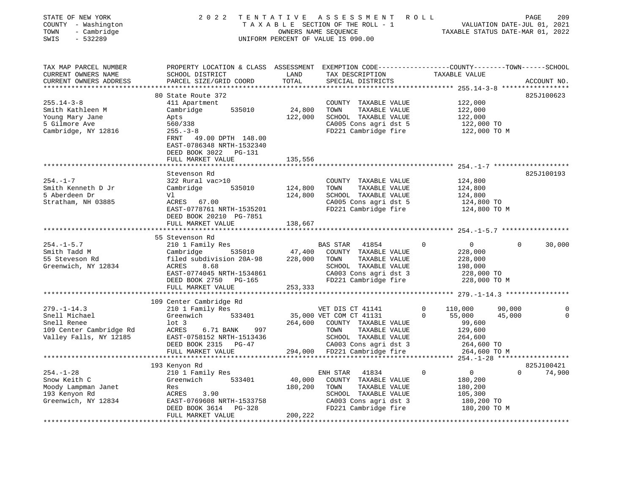| STATE OF NEW YORK<br>COUNTY - Washington<br>TOWN<br>- Cambridge<br>$-532289$<br>SWIS | 2 0 2 2                                                                                                                                       | TENTATIVE     | A S S E S S M E N T R O L L<br>UNIFORM PERCENT OF VALUE IS 090.00 |                               | PAGE<br>209<br>VALUATION DATE-JUL 01, 2021<br>TAXABLE STATUS DATE-MAR 01, 2022 |
|--------------------------------------------------------------------------------------|-----------------------------------------------------------------------------------------------------------------------------------------------|---------------|-------------------------------------------------------------------|-------------------------------|--------------------------------------------------------------------------------|
| TAX MAP PARCEL NUMBER<br>CURRENT OWNERS NAME<br>CURRENT OWNERS ADDRESS               | PROPERTY LOCATION & CLASS ASSESSMENT EXEMPTION CODE----------------COUNTY-------TOWN------SCHOOL<br>SCHOOL DISTRICT<br>PARCEL SIZE/GRID COORD | LAND<br>TOTAL | TAX DESCRIPTION<br>SPECIAL DISTRICTS                              | TAXABLE VALUE                 | ACCOUNT NO.                                                                    |
|                                                                                      | 80 State Route 372                                                                                                                            |               |                                                                   |                               | 825J100623                                                                     |
| $255.14 - 3 - 8$                                                                     | 411 Apartment                                                                                                                                 |               | COUNTY TAXABLE VALUE                                              | 122,000                       |                                                                                |
| Smith Kathleen M                                                                     | Cambridge<br>535010                                                                                                                           | 24,800        | TOWN<br>TAXABLE VALUE                                             | 122,000                       |                                                                                |
| Young Mary Jane                                                                      | Apts                                                                                                                                          | 122,000       | SCHOOL TAXABLE VALUE                                              | 122,000                       |                                                                                |
| 5 Gilmore Ave                                                                        | 560/338                                                                                                                                       |               | CA005 Cons agri dst 5                                             | 122,000 TO                    |                                                                                |
| Cambridge, NY 12816                                                                  | $255. - 3 - 8$                                                                                                                                |               | FD221 Cambridge fire                                              | 122,000 TO M                  |                                                                                |
|                                                                                      | FRNT 49.00 DPTH 148.00<br>EAST-0786348 NRTH-1532340<br>DEED BOOK 3022 PG-131                                                                  |               |                                                                   |                               |                                                                                |
|                                                                                      | FULL MARKET VALUE                                                                                                                             | 135,556       |                                                                   |                               |                                                                                |
|                                                                                      |                                                                                                                                               |               |                                                                   |                               |                                                                                |
|                                                                                      | Stevenson Rd                                                                                                                                  |               |                                                                   |                               | 825J100193                                                                     |
| $254. - 1 - 7$                                                                       | 322 Rural vac>10                                                                                                                              |               | COUNTY TAXABLE VALUE                                              | 124,800                       |                                                                                |
| Smith Kenneth D Jr                                                                   | Cambridge<br>535010                                                                                                                           | 124,800       | TOWN<br>TAXABLE VALUE                                             | 124,800                       |                                                                                |
| 5 Aberdeen Dr                                                                        | Vl                                                                                                                                            | 124,800       | SCHOOL TAXABLE VALUE                                              | 124,800                       |                                                                                |
| Stratham, NH 03885                                                                   | ACRES 67.00<br>EAST-0778761 NRTH-1535201                                                                                                      |               | CA005 Cons agri dst 5<br>FD221 Cambridge fire                     | 124,800 TO<br>124,800 TO M    |                                                                                |
|                                                                                      | DEED BOOK 20210 PG-7851                                                                                                                       |               |                                                                   |                               |                                                                                |
|                                                                                      | FULL MARKET VALUE                                                                                                                             | 138,667       |                                                                   |                               |                                                                                |
|                                                                                      | *********************                                                                                                                         |               |                                                                   |                               |                                                                                |
|                                                                                      | 55 Stevenson Rd                                                                                                                               |               |                                                                   |                               |                                                                                |
| $254. - 1 - 5.7$                                                                     | 210 1 Family Res                                                                                                                              |               | BAS STAR 41854                                                    | $\mathsf{O}$<br>0             | $\Omega$<br>30,000                                                             |
| Smith Tadd M                                                                         | 535010<br>Cambridge                                                                                                                           | 47,400        | COUNTY TAXABLE VALUE                                              | 228,000                       |                                                                                |
| 55 Steveson Rd                                                                       | filed subdivision 20A-98                                                                                                                      | 228,000       | TAXABLE VALUE<br>TOWN                                             | 228,000                       |                                                                                |
| Greenwich, NY 12834                                                                  | ACRES<br>8.68                                                                                                                                 |               | SCHOOL TAXABLE VALUE                                              | 198,000                       |                                                                                |
|                                                                                      | EAST-0774045 NRTH-1534861                                                                                                                     |               | CA003 Cons agri dst 3                                             | 228,000 TO                    |                                                                                |
|                                                                                      | DEED BOOK 2750 PG-165                                                                                                                         |               | FD221 Cambridge fire                                              | 228,000 TO M                  |                                                                                |
|                                                                                      | FULL MARKET VALUE                                                                                                                             | 253,333       |                                                                   |                               |                                                                                |
|                                                                                      |                                                                                                                                               |               |                                                                   |                               |                                                                                |
|                                                                                      | 109 Center Cambridge Rd                                                                                                                       |               |                                                                   |                               |                                                                                |
| $279. - 1 - 14.3$<br>Snell Michael                                                   | 210 1 Family Res                                                                                                                              |               | VET DIS CT 41141                                                  | $\mathbf 0$<br>110,000<br>0   | 90,000<br>0<br>$\mathbf 0$                                                     |
| Snell Renee                                                                          | Greenwich<br>533401<br>$1$ ot 3                                                                                                               | 264,600       | 35,000 VET COM CT 41131                                           | 55,000                        | 45,000                                                                         |
| 109 Center Cambridge Rd                                                              | ACRES<br>6.71 BANK<br>997                                                                                                                     |               | COUNTY TAXABLE VALUE<br>TOWN<br>TAXABLE VALUE                     | 99,600<br>129,600             |                                                                                |
| Valley Falls, NY 12185                                                               | EAST-0758152 NRTH-1513436                                                                                                                     |               | SCHOOL TAXABLE VALUE                                              | 264,600                       |                                                                                |
|                                                                                      | DEED BOOK 2315 PG-47                                                                                                                          |               | CA003 Cons agri dst 3                                             | 264,600 TO                    |                                                                                |
|                                                                                      | FULL MARKET VALUE                                                                                                                             |               | 294,000 FD221 Cambridge fire                                      | 264,600 TO M                  |                                                                                |
|                                                                                      |                                                                                                                                               |               |                                                                   |                               |                                                                                |
|                                                                                      | 193 Kenyon Rd                                                                                                                                 |               |                                                                   |                               | 825J100421                                                                     |
| $254. - 1 - 28$                                                                      | 210 1 Family Res                                                                                                                              |               | ENH STAR<br>41834                                                 | $\mathbf 0$<br>$\overline{0}$ | $\Omega$<br>74,900                                                             |
| Snow Keith C                                                                         | 533401<br>Greenwich                                                                                                                           | 40,000        | COUNTY TAXABLE VALUE                                              | 180,200                       |                                                                                |
| Moody Lampman Janet                                                                  | Res                                                                                                                                           | 180,200       | TAXABLE VALUE<br>TOWN                                             | 180,200                       |                                                                                |
| 193 Kenyon Rd                                                                        | ACRES<br>3.90                                                                                                                                 |               | SCHOOL TAXABLE VALUE                                              | 105,300                       |                                                                                |
| Greenwich, NY 12834                                                                  | EAST-0769608 NRTH-1533758                                                                                                                     |               | CA003 Cons agri dst 3                                             | 180,200 TO                    |                                                                                |
|                                                                                      | DEED BOOK 3614<br>PG-328                                                                                                                      |               | FD221 Cambridge fire                                              | 180,200 TO M                  |                                                                                |
|                                                                                      | FULL MARKET VALUE                                                                                                                             | 200,222       |                                                                   |                               |                                                                                |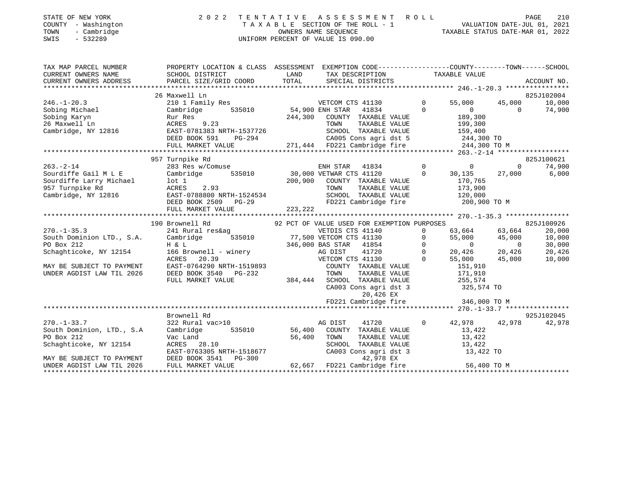# STATE OF NEW YORK 2 0 2 2 T E N T A T I V E A S S E S S M E N T R O L L PAGE 210 COUNTY - Washington T A X A B L E SECTION OF THE ROLL - 1 VALUATION DATE-JUL 01, 2021 TATE OF NEW YORK COUNTY - Washington<br>
COUNTY - Washington<br>
TAXABLE SECTION OF THE ROLL - 1 VALUATION DATE-JUL 01, 2021<br>
OWNERS NAME SEQUENCE TAXABLE STATUS DATE-MAR 01, 2022<br>
SWIS - 532289 SWIS - 532289 UNIFORM PERCENT OF VALUE IS 090.00

| TAX MAP PARCEL NUMBER                |                                                                                                                                                                                                                                                                                                                                                                                                       | PROPERTY LOCATION & CLASS ASSESSMENT EXEMPTION CODE---------------COUNTY-------TOWN-----SCHOOL                                                                                                                                           |                                                                                                |                                          |            |
|--------------------------------------|-------------------------------------------------------------------------------------------------------------------------------------------------------------------------------------------------------------------------------------------------------------------------------------------------------------------------------------------------------------------------------------------------------|------------------------------------------------------------------------------------------------------------------------------------------------------------------------------------------------------------------------------------------|------------------------------------------------------------------------------------------------|------------------------------------------|------------|
|                                      | 26 Maxwell Ln                                                                                                                                                                                                                                                                                                                                                                                         |                                                                                                                                                                                                                                          |                                                                                                |                                          | 825J102004 |
|                                      |                                                                                                                                                                                                                                                                                                                                                                                                       |                                                                                                                                                                                                                                          |                                                                                                |                                          |            |
|                                      | $\begin{tabular}{lllllllllllll} 246.-1-20.3 & 210\ 1\ Family\,\,Res \\ \text{Sobing Michigan} & \text{Cambridge} & 535010 \\ \text{Sobing Karyn} & \text{Rur Res} & 535010 \\ \text{Z6 Maxwell\,\,In} & \text{ACRES} & 9.23 \\ \text{Cambridge, NY 12816} & \text{EAST-0781383 NETH-1537726} \\ \text{DEED BOK 591} & \text{PG-294} \\ \text{NUT MDRFT VALUE} & \text{NUT MDRFT VALUE} \end{tabular}$ |                                                                                                                                                                                                                                          |                                                                                                | $55,000$ $45,000$ $10,000$<br>0 $74,900$ |            |
|                                      |                                                                                                                                                                                                                                                                                                                                                                                                       | Rur Res<br>244,300 COUNTY TAXABLE VALUE 189,300<br>RCRES 9.23 TOWN TAXABLE VALUE 199,300<br>EAST-0781383 NRTH-1537726 SCHOOL TAXABLE VALUE 199,300<br>DEED BOOK 591 PG-294 271,444 FD221 Cambridge fire 244,300 TO M<br>FULL MARKET VALU |                                                                                                |                                          |            |
|                                      |                                                                                                                                                                                                                                                                                                                                                                                                       |                                                                                                                                                                                                                                          |                                                                                                |                                          |            |
|                                      |                                                                                                                                                                                                                                                                                                                                                                                                       |                                                                                                                                                                                                                                          |                                                                                                |                                          |            |
|                                      |                                                                                                                                                                                                                                                                                                                                                                                                       |                                                                                                                                                                                                                                          |                                                                                                |                                          |            |
|                                      |                                                                                                                                                                                                                                                                                                                                                                                                       |                                                                                                                                                                                                                                          |                                                                                                |                                          |            |
|                                      |                                                                                                                                                                                                                                                                                                                                                                                                       |                                                                                                                                                                                                                                          |                                                                                                |                                          |            |
|                                      | 957 Turnpike Rd                                                                                                                                                                                                                                                                                                                                                                                       |                                                                                                                                                                                                                                          |                                                                                                |                                          | 825J100621 |
|                                      |                                                                                                                                                                                                                                                                                                                                                                                                       |                                                                                                                                                                                                                                          |                                                                                                |                                          |            |
|                                      |                                                                                                                                                                                                                                                                                                                                                                                                       |                                                                                                                                                                                                                                          |                                                                                                |                                          |            |
|                                      |                                                                                                                                                                                                                                                                                                                                                                                                       |                                                                                                                                                                                                                                          |                                                                                                |                                          |            |
|                                      |                                                                                                                                                                                                                                                                                                                                                                                                       |                                                                                                                                                                                                                                          |                                                                                                |                                          |            |
|                                      |                                                                                                                                                                                                                                                                                                                                                                                                       |                                                                                                                                                                                                                                          |                                                                                                |                                          |            |
|                                      | FULL MARKET VALUE                                                                                                                                                                                                                                                                                                                                                                                     | 223,222                                                                                                                                                                                                                                  |                                                                                                |                                          |            |
|                                      |                                                                                                                                                                                                                                                                                                                                                                                                       |                                                                                                                                                                                                                                          |                                                                                                |                                          |            |
|                                      | 190 Brownell Rd                                                                                                                                                                                                                                                                                                                                                                                       | 92 PCT OF VALUE USED FOR EXEMPTION PURPOSES 825J100926                                                                                                                                                                                   |                                                                                                |                                          |            |
| $270. - 1 - 35.3$                    | 241 Rural res&ag                                                                                                                                                                                                                                                                                                                                                                                      | VETDIS CTS 41140                                                                                                                                                                                                                         | 0 63,664 63,664                                                                                |                                          | 20,000     |
|                                      |                                                                                                                                                                                                                                                                                                                                                                                                       |                                                                                                                                                                                                                                          |                                                                                                |                                          | 10,000     |
|                                      |                                                                                                                                                                                                                                                                                                                                                                                                       |                                                                                                                                                                                                                                          |                                                                                                |                                          | 30,000     |
|                                      |                                                                                                                                                                                                                                                                                                                                                                                                       |                                                                                                                                                                                                                                          |                                                                                                |                                          | 20,426     |
|                                      |                                                                                                                                                                                                                                                                                                                                                                                                       | 270.-1-53.3<br>Soluth Dominion LTD., S.A. Cambridge 535010 77,500 VETCOM CTS 41130 0 55,000<br>PO Box 212 H & L<br>Schaghticoke, NY 12154 166 Brownell – winery AG DIST 41720 0 20,426<br>MAY BE SUBJECT TO PAYMENT EAST-0764290 NRT     | $\begin{bmatrix} 55,000 & 45,000 \\ 0 & 0 \\ 20,426 & 20,426 \\ 55,000 & 45,000 \end{bmatrix}$ |                                          | 10,000     |
|                                      |                                                                                                                                                                                                                                                                                                                                                                                                       |                                                                                                                                                                                                                                          |                                                                                                |                                          |            |
|                                      |                                                                                                                                                                                                                                                                                                                                                                                                       |                                                                                                                                                                                                                                          |                                                                                                |                                          |            |
|                                      | FULL MARKET VALUE                                                                                                                                                                                                                                                                                                                                                                                     | 384,444 SCHOOL TAXABLE VALUE 255,574                                                                                                                                                                                                     |                                                                                                |                                          |            |
|                                      |                                                                                                                                                                                                                                                                                                                                                                                                       | CA003 Cons agri dst 3 325,574 TO                                                                                                                                                                                                         |                                                                                                |                                          |            |
|                                      |                                                                                                                                                                                                                                                                                                                                                                                                       | 20,426 EX                                                                                                                                                                                                                                |                                                                                                |                                          |            |
|                                      |                                                                                                                                                                                                                                                                                                                                                                                                       | FD221 Cambridge fire 346,000 TO M                                                                                                                                                                                                        |                                                                                                |                                          |            |
|                                      |                                                                                                                                                                                                                                                                                                                                                                                                       |                                                                                                                                                                                                                                          |                                                                                                |                                          |            |
|                                      | Brownell Rd                                                                                                                                                                                                                                                                                                                                                                                           |                                                                                                                                                                                                                                          |                                                                                                |                                          | 925J102045 |
| $270. - 1 - 33.7$                    | 322 Rural vac>10                                                                                                                                                                                                                                                                                                                                                                                      | AG DIST<br>41720                                                                                                                                                                                                                         | $0 \t 42,978 \t 42,978$                                                                        |                                          | 42,978     |
| South Dominion, LTD., S.A            | Cambridge                                                                                                                                                                                                                                                                                                                                                                                             | 535010 56,400 COUNTY TAXABLE VALUE 13,422                                                                                                                                                                                                |                                                                                                |                                          |            |
| PO Box 212<br>Schaghticoke, NY 12154 | $\begin{tabular}{lllllll} \texttt{Vac Land} & & & & 56,400 & \texttt{TOWN} \\ \texttt{ACRES} & 28.10 & & & & & \texttt{SCHOOL} \end{tabular}$                                                                                                                                                                                                                                                         |                                                                                                                                                                                                                                          |                                                                                                |                                          |            |
|                                      |                                                                                                                                                                                                                                                                                                                                                                                                       | TOWN TAXABLE VALUE 13,422<br>SCHOOL TAXABLE VALUE 13,422<br>CA003 Cons agri dst 3 13,422 TO                                                                                                                                              |                                                                                                |                                          |            |
|                                      |                                                                                                                                                                                                                                                                                                                                                                                                       |                                                                                                                                                                                                                                          |                                                                                                |                                          |            |
|                                      |                                                                                                                                                                                                                                                                                                                                                                                                       |                                                                                                                                                                                                                                          |                                                                                                |                                          |            |
|                                      |                                                                                                                                                                                                                                                                                                                                                                                                       |                                                                                                                                                                                                                                          |                                                                                                |                                          |            |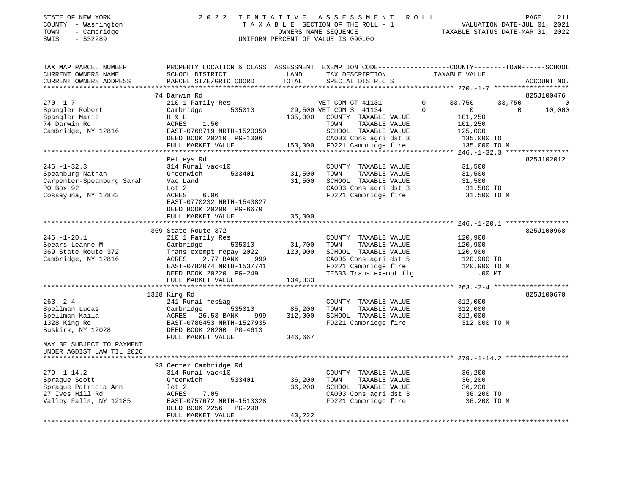# STATE OF NEW YORK 2 0 2 2 T E N T A T I V E A S S E S S M E N T R O L L PAGE 211 COUNTY - Washington T A X A B L E SECTION OF THE ROLL - 1 VALUATION DATE-JUL 01, 2021 TOWN - Cambridge OWNERS NAME SEQUENCE TAXABLE STATUS DATE-MAR 01, 2022 TOWN - Cambridge - 2000 CONNERS NAME SEQUENCE<br>
SWIS - 532289 - 2000 UNIFORM PERCENT OF VALUE IS 090.00

| TAX MAP PARCEL NUMBER     | PROPERTY LOCATION & CLASS ASSESSMENT |         | EXEMPTION CODE-----------------COUNTY-------TOWN------SCHOOL |                            |                    |
|---------------------------|--------------------------------------|---------|--------------------------------------------------------------|----------------------------|--------------------|
| CURRENT OWNERS NAME       | SCHOOL DISTRICT                      | LAND    | TAX DESCRIPTION                                              | TAXABLE VALUE              |                    |
| CURRENT OWNERS ADDRESS    | PARCEL SIZE/GRID COORD               | TOTAL   | SPECIAL DISTRICTS                                            |                            | ACCOUNT NO.        |
|                           |                                      |         |                                                              |                            |                    |
|                           | 74 Darwin Rd                         |         |                                                              |                            | 825J100476         |
| $270. - 1 - 7$            | 210 1 Family Res                     |         | VET COM CT 41131                                             | 33,750<br>$\Omega$         | 33,750<br>$\Omega$ |
| Spangler Robert           | Cambridge 535010                     |         | 29,500 VET COM S 41134                                       | $\Omega$<br>$\overline{0}$ | $\Omega$<br>10,000 |
| Spangler Marie            | H & L                                | 135,000 | COUNTY TAXABLE VALUE                                         | 101,250                    |                    |
| 74 Darwin Rd              | ACRES<br>1.50                        |         | TAXABLE VALUE<br>TOWN                                        | 101,250                    |                    |
| Cambridge, NY 12816       | EAST-0768719 NRTH-1520350            |         | SCHOOL TAXABLE VALUE                                         | 125,000                    |                    |
|                           | DEED BOOK 20210 PG-1006              |         | CA003 Cons agri dst 3                                        | 135,000 TO                 |                    |
|                           | FULL MARKET VALUE                    |         | 150,000 FD221 Cambridge fire                                 | 135,000 TO M               |                    |
|                           |                                      |         |                                                              |                            |                    |
|                           | Petteys Rd                           |         |                                                              |                            | 825J102012         |
| $246. - 1 - 32.3$         | 314 Rural vac<10                     |         | COUNTY TAXABLE VALUE                                         | 31,500                     |                    |
| Speanburg Nathan          | Greenwich<br>533401                  | 31,500  | TOWN<br>TAXABLE VALUE                                        | 31,500                     |                    |
| Carpenter-Speanburg Sarah | Vac Land                             | 31,500  | SCHOOL TAXABLE VALUE                                         | 31,500                     |                    |
| PO Box 92                 | Lot 2                                |         | CA003 Cons agri dst 3                                        | 31,500 TO                  |                    |
| Cossayuna, NY 12823       | 6.06<br>ACRES                        |         | FD221 Cambridge fire                                         | 31,500 TO M                |                    |
|                           | EAST-0770232 NRTH-1543827            |         |                                                              |                            |                    |
|                           | DEED BOOK 20200 PG-6670              |         |                                                              |                            |                    |
|                           | FULL MARKET VALUE                    | 35,000  |                                                              |                            |                    |
|                           |                                      |         |                                                              |                            |                    |
|                           | 369 State Route 372                  |         |                                                              |                            | 825J100968         |
| $246. - 1 - 20.1$         | 210 1 Family Res                     |         | COUNTY TAXABLE VALUE                                         | 120,900                    |                    |
| Spears Leanne M           | Cambridge<br>535010                  | 31,700  | TOWN<br>TAXABLE VALUE                                        | 120,900                    |                    |
| 369 State Route 372       | Trans exempt repay 2022              | 120,900 | SCHOOL TAXABLE VALUE                                         | 120,900                    |                    |
| Cambridge, NY 12816       | 2.77 BANK<br>ACRES                   |         | CA005 Cons agri dst 5                                        | 120,900 TO                 |                    |
|                           | EAST-0782074 NRTH-1537741            | 999     | FD221 Cambridge fire                                         | 120,900 TO M               |                    |
|                           | DEED BOOK 20220 PG-249               |         | TE533 Trans exempt flg                                       | $.00$ MT                   |                    |
|                           |                                      | 134,333 |                                                              |                            |                    |
|                           | FULL MARKET VALUE                    |         |                                                              |                            |                    |
|                           | 1328 King Rd                         |         |                                                              |                            | 825J100670         |
| $263 - 2 - 4$             | 241 Rural res&ag                     |         | COUNTY TAXABLE VALUE                                         | 312,000                    |                    |
|                           |                                      |         |                                                              |                            |                    |
| Spellman Lucas            | Cambridge<br>535010                  | 85,200  | TAXABLE VALUE<br>TOWN                                        | 312,000                    |                    |
| Spellman Kaila            | ACRES 26.53 BANK<br>999 —            | 312,000 | SCHOOL TAXABLE VALUE                                         | 312,000                    |                    |
| 1328 King Rd              | EAST-0786453 NRTH-1527935            |         | FD221 Cambridge fire                                         | 312,000 TO M               |                    |
| Buskirk, NY 12028         | DEED BOOK 20200 PG-4613              |         |                                                              |                            |                    |
|                           | FULL MARKET VALUE                    | 346,667 |                                                              |                            |                    |
| MAY BE SUBJECT TO PAYMENT |                                      |         |                                                              |                            |                    |
| UNDER AGDIST LAW TIL 2026 |                                      |         |                                                              |                            |                    |
|                           |                                      |         |                                                              |                            |                    |
|                           | 93 Center Cambridge Rd               |         |                                                              |                            |                    |
| $279. - 1 - 14.2$         | 314 Rural vac<10                     |         | COUNTY TAXABLE VALUE                                         | 36,200                     |                    |
| Spraque Scott             | 533401<br>Greenwich                  | 36,200  | TOWN<br>TAXABLE VALUE                                        | 36,200                     |                    |
| Sprague Patricia Ann      | $1$ ot $2$                           | 36,200  | SCHOOL TAXABLE VALUE                                         | 36,200                     |                    |
| 27 Ives Hill Rd           | ACRES<br>7.05                        |         | CA003 Cons agri dst 3                                        | 36,200 TO                  |                    |
| Valley Falls, NY 12185    | EAST-0757672 NRTH-1513328            |         | FD221 Cambridge fire                                         | 36,200 TO M                |                    |
|                           | DEED BOOK 2256 PG-290                |         |                                                              |                            |                    |
|                           | FULL MARKET VALUE                    | 40,222  |                                                              |                            |                    |
|                           |                                      |         |                                                              |                            |                    |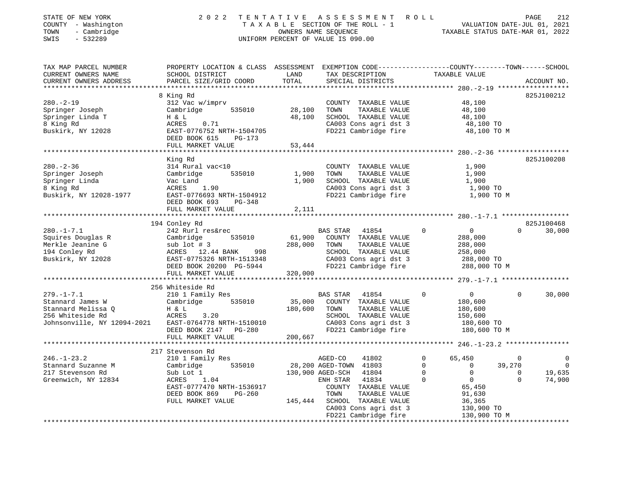| STATE OF NEW YORK<br>COUNTY - Washington<br>- Cambridge<br>TOWN<br>SWIS<br>$-532289$ |                                           |               | 2022 TENTATIVE ASSESSMENT ROLL<br>TAXABLE SECTION OF THE ROLL - 1<br>OWNERS NAME SEOUENCE<br>UNIFORM PERCENT OF VALUE IS 090.00 | VALUATION DATE-JUL 01, 2021<br>TAXABLE STATUS DATE-MAR 01, 2022 | PAGE | 212         |
|--------------------------------------------------------------------------------------|-------------------------------------------|---------------|---------------------------------------------------------------------------------------------------------------------------------|-----------------------------------------------------------------|------|-------------|
| TAX MAP PARCEL NUMBER                                                                | PROPERTY LOCATION & CLASS                 | ASSESSMENT    | EXEMPTION CODE-----------------COUNTY-------TOWN------SCHOOL                                                                    |                                                                 |      |             |
| CURRENT OWNERS NAME<br>CURRENT OWNERS ADDRESS                                        | SCHOOL DISTRICT<br>PARCEL SIZE/GRID COORD | LAND<br>TOTAL | TAX DESCRIPTION<br>SPECIAL DISTRICTS                                                                                            | TAXABLE VALUE                                                   |      | ACCOUNT NO. |

| $280. - 2 - 19$<br>Springer Joseph<br>Springer Linda T<br>8 King Rd<br>8 King Rd<br>Buskirk, NY 12028                                                                           | 8 King Rd<br>312 Vac w/imprv<br>Cambridge 535010 28,100<br>H & L<br>0.71<br>ACRES<br>EAST-0776752 NRTH-1504705<br>DEED BOOK 615<br>PG-173<br>FULL MARKET VALUE                                                                                              | 53,444                   | COUNTY TAXABLE VALUE<br>TOWN<br>TAXABLE VALUE<br>48,100 SCHOOL TAXABLE VALUE<br>SCHOOL TAXABLE VALUE $48,100$<br>CA003 Cons agri dst 3 $48,100$ TO<br>FD221 Cambridge fire $48,100$ TO M        |                                                      | 48,100<br>48,100                                                                                    |                                            | 825J100212                                           |
|---------------------------------------------------------------------------------------------------------------------------------------------------------------------------------|-------------------------------------------------------------------------------------------------------------------------------------------------------------------------------------------------------------------------------------------------------------|--------------------------|-------------------------------------------------------------------------------------------------------------------------------------------------------------------------------------------------|------------------------------------------------------|-----------------------------------------------------------------------------------------------------|--------------------------------------------|------------------------------------------------------|
| $280. - 2 - 36$<br>Springer Joseph<br>Springer Linda<br>8 King Rd<br>Buskirk, NY 12028-1977                                                                                     | King Rd<br>314 Rural vac<10<br>Cambridge 535010<br>Vac Land<br>ACRES 1.90<br>EAST-0776693 NRTH-1504912<br>DEED BOOK 693 PG-348<br>FULL MARKET VALUE                                                                                                         | 2,111                    | COUNTY<br>1,900 TOWN<br>COUNTY TAXABLE VALUE<br>TAXABLE VALUE<br>1,900 SCHOOL TAXABLE VALUE 1,900<br>CA003 Cons agri dst 3<br>FD221 Cambridge fire                                              |                                                      | 1,900<br>1,900<br>1,900 TO<br>1,900 TO M                                                            |                                            | 825J100208                                           |
| $280. -1 - 7.1$<br>Squires Douglas R<br>Merkle Jeanine G<br>194 Conley Rd<br>Buskirk, NY 12028                                                                                  | 194 Conley Rd<br>Cambridge 5350110<br>sub lot # 3<br>ACRES 12.44 BANK 998<br>RAST-0775326 NRTH-1513348<br>---- POOK 2020 PG-5944<br>sub lot # 3<br>ACRES 12.44 BANK 998 388,000 TOWN<br>EASI-077528 1111-1<br>DEED BOOK 20200 PG-5944<br>***** MAPKET VALUE |                          | BAS STAR 41854 0<br>TAXABLE VALUE<br>SCHOOL TAXABLE VALUE 258,000<br>CA003 Cons agri dst 3 288,000 TO<br>FD221 Cambridge fire 388,000 TO M                                                      |                                                      | $\overline{\phantom{a}}$<br>288,000<br>288,000                                                      | $\Omega$                                   | 825J100468<br>30,000                                 |
| $279. - 1 - 7.1$<br>Stannard James W<br>Stannard James W<br>Stannard Melissa Q<br>1966 Whiteside Rd (ACRES 3.20 (1910)<br>Johnsonville, NY 12094-2021 EAST-0764778 NRTH-1510010 | 256 Whiteside Rd<br>210 1 Family Res<br>Cambridge 535010<br>DEED BOOK 2147 PG-280<br>FULL MARKET VALUE                                                                                                                                                      | 180,600 TOWN<br>200, 667 | BAS STAR 41854 0<br>35,000 COUNTY TAXABLE VALUE<br>TAXABLE VALUE<br>SCHOOL TAXABLE VALUE 150,600<br>CA003 Cons agri dst 3 180,600 TO<br>FD221 Cambridge fire 180,600 TO M                       | $\overline{0}$                                       | $\overline{0}$<br>180,600<br>180,600                                                                | $\Omega$                                   | 30,000                                               |
| $246. - 1 - 23.2$<br>Stannard Suzanne M<br>217 Stevenson Rd<br>Greenwich, NY 12834                                                                                              | 217 Stevenson Rd<br>210 1 Family Res<br>Cambridge 535010 28,200 AGED-TOWN 41803<br>Cambridge 535010<br>Sub Lot <sup>1</sup><br>ACRES 1.04<br>EAST-0777470 NRTH-1536917<br>DEED BOOK 869<br>PG-260<br>FULL MARKET VALUE                                      |                          | 130,900 AGED-SCH 41804<br>ENH STAR 41834<br>COUNTY TAXABLE VALUE<br>TOWN TAXABLE VALUE<br>145,444 SCHOOL TAXABLE VALUE<br>CA003 Cons agri dst 3 130,900 TO<br>FD221 Cambridge fire 130,900 TO M | $\circ$<br>$\mathbf 0$<br>$\Omega$<br>$\overline{0}$ | 65,450<br>$\overline{0}$<br>$\begin{array}{c}0\\0\\65,450\end{array}$<br>91,630<br>36.365<br>36,365 | $\sim$ 0<br>39,270<br>$\Omega$<br>$\Omega$ | $\overline{0}$<br>$\overline{0}$<br>19,635<br>74,900 |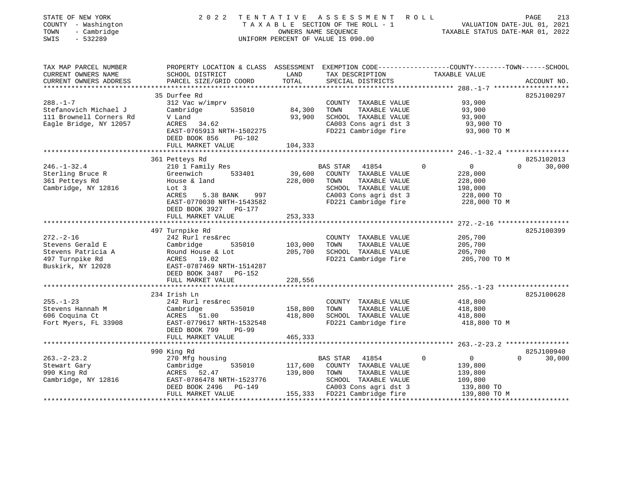| STATE OF NEW YORK<br>2 0 2 2<br>COUNTY - Washington<br>TOWN<br>- Cambridge<br>SWIS<br>$-532289$ | UNIFORM PERCENT OF VALUE IS 090.00 | TENTATIVE ASSESSMENT                          | R O L L<br>T A X A B L E SECTION OF THE ROLL - 1<br>OWNERS NAME SEQUENCE THE ROLL - 1<br>OWNERS NAME SEQUENCE TAXABLE STATUS DATE-MAR 01, 2022 | PAGE<br>213        |
|-------------------------------------------------------------------------------------------------|------------------------------------|-----------------------------------------------|------------------------------------------------------------------------------------------------------------------------------------------------|--------------------|
| TAX MAP PARCEL NUMBER                                                                           |                                    |                                               | PROPERTY LOCATION & CLASS ASSESSMENT EXEMPTION CODE---------------COUNTY-------TOWN------SCHOOL                                                |                    |
| CURRENT OWNERS NAME<br>SCHOOL DISTRICT<br>CURRENT OWNERS ADDRESS<br>PARCEL SIZE/GRID COORD      | LAND<br>TOTAL                      | TAX DESCRIPTION<br>SPECIAL DISTRICTS          | TAXABLE VALUE                                                                                                                                  | ACCOUNT NO.        |
|                                                                                                 |                                    |                                               |                                                                                                                                                |                    |
| 35 Durfee Rd                                                                                    |                                    |                                               |                                                                                                                                                | 825J100297         |
| $288. - 1 - 7$<br>312 Vac w/imprv                                                               |                                    | COUNTY TAXABLE VALUE                          | 93,900                                                                                                                                         |                    |
| Stefanovich Michael J<br>Cambridge                                                              | 535010<br>84,300                   | TAXABLE VALUE<br>TOWN                         | 93,900                                                                                                                                         |                    |
| 111 Brownell Corners Rd<br>V Land                                                               | 93,900                             | SCHOOL TAXABLE VALUE                          | 93,900                                                                                                                                         |                    |
| Eagle Bridge, NY 12057<br>ACRES 34.62<br>EAST-0765913 NRTH-1502275                              |                                    | CA003 Cons agri dst 3<br>FD221 Cambridge fire | 93,900 TO<br>93,900 TO M                                                                                                                       |                    |
| DEED BOOK 856                                                                                   | PG-102                             |                                               |                                                                                                                                                |                    |
| FULL MARKET VALUE                                                                               | 104,333                            |                                               |                                                                                                                                                |                    |
|                                                                                                 |                                    |                                               |                                                                                                                                                |                    |
| 361 Petteys Rd                                                                                  |                                    |                                               |                                                                                                                                                | 825J102013         |
| $246. - 1 - 32.4$<br>210 1 Family Res                                                           |                                    | BAS STAR 41854                                | $\overline{0}$                                                                                                                                 | $\Omega$<br>30,000 |
| Sterling Bruce R<br>Greenwich 533401                                                            | 39,600                             | COUNTY TAXABLE VALUE                          | 228,000                                                                                                                                        |                    |
| 361 Petteys Rd<br>House & land                                                                  | 228,000                            | TOWN<br>TAXABLE VALUE                         | 228,000                                                                                                                                        |                    |
| Cambridge, NY 12816<br>Lot 3                                                                    |                                    | SCHOOL TAXABLE VALUE                          | 198,000                                                                                                                                        |                    |
| ACRES                                                                                           | 5.38 BANK 997                      | CA003 Cons agri dst 3                         | 228,000 TO                                                                                                                                     |                    |
| EAST-0770030 NRTH-1543582                                                                       |                                    | FD221 Cambridge fire                          | 228,000 TO M                                                                                                                                   |                    |
| DEED BOOK 3927 PG-177                                                                           |                                    |                                               |                                                                                                                                                |                    |
| FULL MARKET VALUE                                                                               | 253,333                            |                                               |                                                                                                                                                |                    |
|                                                                                                 |                                    |                                               |                                                                                                                                                |                    |
| 497 Turnpike Rd                                                                                 |                                    |                                               |                                                                                                                                                | 825J100399         |
| $272. - 2 - 16$<br>242 Rurl res&rec                                                             |                                    | COUNTY TAXABLE VALUE                          | 205,700                                                                                                                                        |                    |
| Stevens Gerald E<br>Cambridge                                                                   | 535010<br>103,000                  | TAXABLE VALUE<br>TOWN                         | 205,700                                                                                                                                        |                    |
| Stevens Patricia A<br>Round House & Lot                                                         | 205,700                            | SCHOOL TAXABLE VALUE                          | 205,700                                                                                                                                        |                    |
| 497 Turnpike Rd<br>ACRES 19.02                                                                  |                                    | FD221 Cambridge fire                          | 205,700 TO M                                                                                                                                   |                    |
| Buskirk, NY 12028<br>EAST-0787469 NRTH-1514287                                                  |                                    |                                               |                                                                                                                                                |                    |
| DEED BOOK 3487 PG-152<br>FULL MARKET VALUE                                                      | 228,556                            |                                               |                                                                                                                                                |                    |
|                                                                                                 |                                    |                                               |                                                                                                                                                |                    |
| 234 Irish Ln                                                                                    |                                    |                                               |                                                                                                                                                | 825J100628         |
| $255. - 1 - 23$<br>242 Rurl res&rec                                                             |                                    | COUNTY TAXABLE VALUE                          | 418,800                                                                                                                                        |                    |
| Stevens Hannah M<br>Cambridge                                                                   | 158,800<br>535010                  | TAXABLE VALUE<br>TOWN                         | 418,800                                                                                                                                        |                    |
| 606 Coquina Ct<br>ACRES 51.00                                                                   | 418,800                            | SCHOOL TAXABLE VALUE                          | 418,800                                                                                                                                        |                    |
| Fort Myers, FL 33908<br>EAST-0779617 NRTH-1532548                                               |                                    | FD221 Cambridge fire                          | 418,800 TO M                                                                                                                                   |                    |
| DEED BOOK 799                                                                                   | $PG-99$                            |                                               |                                                                                                                                                |                    |
| FULL MARKET VALUE                                                                               | 465,333                            |                                               |                                                                                                                                                |                    |
|                                                                                                 |                                    |                                               |                                                                                                                                                |                    |
| 990 King Rd                                                                                     |                                    |                                               |                                                                                                                                                | 825J100940         |
| $263. -2 - 23.2$<br>270 Mfg housing                                                             |                                    | BAS STAR 41854                                | $\Omega$<br>$\overline{0}$                                                                                                                     | $\Omega$<br>30,000 |
| Stewart Gary<br>Cambridge                                                                       | 535010                             | 117,600 COUNTY TAXABLE VALUE                  | 139,800                                                                                                                                        |                    |
| 990 King Rd<br>ACRES 52.47                                                                      |                                    | 139,800 TOWN<br>TAXABLE VALUE                 | 139,800                                                                                                                                        |                    |
| ACRES 34.1.<br>EAST-0786478 NRTH-1523776<br>Cambridge, NY 12816                                 |                                    | SCHOOL TAXABLE VALUE                          | 109,800                                                                                                                                        |                    |
| DEED BOOK 2496                                                                                  | PG-149                             | CA003 Cons agri dst 3                         | 139,800 TO                                                                                                                                     |                    |
| FULL MARKET VALUE                                                                               |                                    | 155,333 FD221 Cambridge fire                  | 139,800 TO M                                                                                                                                   |                    |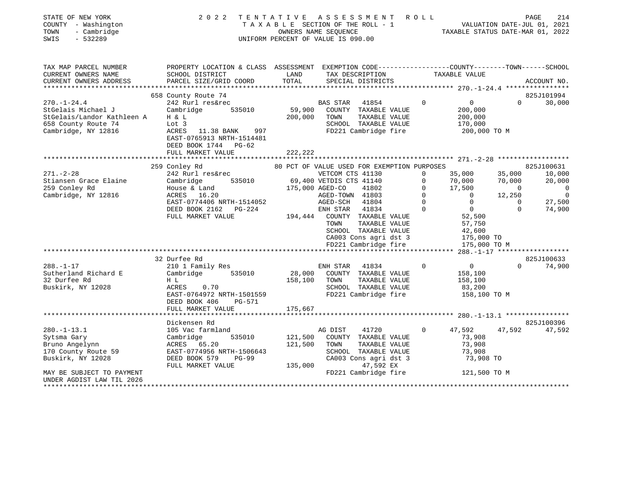| STATE OF NEW YORK<br>COUNTY - Washington<br>- Cambridge<br>TOWN<br>$-532289$<br>SWIS                                                                             | 2 0 2 2                                                                                                                                                                                                                                                                            | TENTATIVE ASSESSMENT ROLL<br>TAXABLE SECTION OF THE ROLL - 1<br>OWNERS NAME SEOUENCE<br>UNIFORM PERCENT OF VALUE IS 090.00                                                                                                                                                                                                                                                                                                                              | PAGE<br>214<br>VALUATION DATE-JUL 01, 2021<br>للمام , VALUATION DATE-UUL U1, 2022<br>TAXABLE STATUS DATE-MAR 01, 2022                                                                                                                                                                                                                                                                                                                                                                                                            |
|------------------------------------------------------------------------------------------------------------------------------------------------------------------|------------------------------------------------------------------------------------------------------------------------------------------------------------------------------------------------------------------------------------------------------------------------------------|---------------------------------------------------------------------------------------------------------------------------------------------------------------------------------------------------------------------------------------------------------------------------------------------------------------------------------------------------------------------------------------------------------------------------------------------------------|----------------------------------------------------------------------------------------------------------------------------------------------------------------------------------------------------------------------------------------------------------------------------------------------------------------------------------------------------------------------------------------------------------------------------------------------------------------------------------------------------------------------------------|
| TAX MAP PARCEL NUMBER<br>CURRENT OWNERS NAME<br>CURRENT OWNERS ADDRESS                                                                                           | SCHOOL DISTRICT<br>PARCEL SIZE/GRID COORD                                                                                                                                                                                                                                          | LAND<br>TAX DESCRIPTION<br>TOTAL<br>SPECIAL DISTRICTS                                                                                                                                                                                                                                                                                                                                                                                                   | PROPERTY LOCATION & CLASS ASSESSMENT EXEMPTION CODE---------------COUNTY-------TOWN-----SCHOOL<br>TAXABLE VALUE<br>ACCOUNT NO.                                                                                                                                                                                                                                                                                                                                                                                                   |
|                                                                                                                                                                  |                                                                                                                                                                                                                                                                                    |                                                                                                                                                                                                                                                                                                                                                                                                                                                         |                                                                                                                                                                                                                                                                                                                                                                                                                                                                                                                                  |
|                                                                                                                                                                  | 658 County Route 74                                                                                                                                                                                                                                                                |                                                                                                                                                                                                                                                                                                                                                                                                                                                         | 825J101994                                                                                                                                                                                                                                                                                                                                                                                                                                                                                                                       |
| $270. - 1 - 24.4$<br>StGelais Michael J<br>StGelais/Landor Kathleen A<br>658 County Route 74<br>Cambridge, NY 12816                                              | 242 Rurl res&rec<br>Cambridge<br>535010<br>H & L<br>Lot 3<br>ACRES<br>11.38 BANK<br>997<br>EAST-0765913 NRTH-1514481<br>DEED BOOK 1744 PG-62                                                                                                                                       | BAS STAR<br>41854<br>59,900<br>COUNTY TAXABLE VALUE<br>200,000<br>TAXABLE VALUE<br>TOWN<br>SCHOOL TAXABLE VALUE<br>FD221 Cambridge fire                                                                                                                                                                                                                                                                                                                 | $\mathsf{O}$<br>30,000<br>$\Omega$<br>$\Omega$<br>200,000<br>200,000<br>170,000<br>200,000 TO M                                                                                                                                                                                                                                                                                                                                                                                                                                  |
|                                                                                                                                                                  | FULL MARKET VALUE                                                                                                                                                                                                                                                                  | 222,222                                                                                                                                                                                                                                                                                                                                                                                                                                                 |                                                                                                                                                                                                                                                                                                                                                                                                                                                                                                                                  |
|                                                                                                                                                                  |                                                                                                                                                                                                                                                                                    |                                                                                                                                                                                                                                                                                                                                                                                                                                                         |                                                                                                                                                                                                                                                                                                                                                                                                                                                                                                                                  |
| $271. - 2 - 28$<br>Stiansen Grace Elaine<br>259 Conley Rd<br>Cambridge, NY 12816<br>$288. - 1 - 17$<br>Sutherland Richard E<br>32 Durfee Rd<br>Buskirk, NY 12028 | 259 Conley Rd<br>242 Rurl res&rec<br>Cambridge<br>535010<br>House & Land<br>ACRES 16.20<br>EAST-0774406 NRTH-1514052<br>DEED BOOK 2162 PG-224<br>FULL MARKET VALUE<br>32 Durfee Rd<br>210 1 Family Res<br>535010<br>Cambridge<br>H L<br>0.70<br>ACRES<br>EAST-0764972 NRTH-1501559 | 80 PCT OF VALUE USED FOR EXEMPTION PURPOSES<br>VETCOM CTS 41130<br>69,400 VETDIS CTS 41140<br>175,000 AGED-CO<br>41802<br>AGED-TOWN 41803<br>AGED-SCH 41804<br>ENH STAR<br>41834<br>194,444 COUNTY TAXABLE VALUE<br>TOWN<br>TAXABLE VALUE<br>SCHOOL TAXABLE VALUE<br>CA003 Cons agri dst 3<br>FD221 Cambridge fire<br>ENH STAR<br>41834<br>28,000 COUNTY TAXABLE VALUE<br>TAXABLE VALUE<br>158,100 TOWN<br>SCHOOL TAXABLE VALUE<br>FD221 Cambridge fire | 825J100631<br>35,000<br>35,000<br>10,000<br>$\Omega$<br>20,000<br>$\mathbf 0$<br>70,000<br>70,000<br>17,500<br>$\overline{0}$<br>$\mathbf 0$<br>$\Omega$<br>$\mathbf 0$<br>12,250<br>$\overline{0}$<br>$\overline{0}$<br>$\Omega$<br>$\Omega$<br>27,500<br>$\overline{0}$<br>$\Omega$<br>74,900<br>$\Omega$<br>52,500<br>57,750<br>42,600<br>175,000 TO<br>175,000 TO M<br>****** 288.-1-17 ******************<br>825J100633<br>74,900<br>$\Omega$<br>$\overline{0}$<br>$\Omega$<br>158,100<br>158,100<br>83,200<br>158,100 TO M |
|                                                                                                                                                                  | DEED BOOK 406<br>PG-571<br>FULL MARKET VALUE                                                                                                                                                                                                                                       | 175,667                                                                                                                                                                                                                                                                                                                                                                                                                                                 |                                                                                                                                                                                                                                                                                                                                                                                                                                                                                                                                  |
|                                                                                                                                                                  | Dickensen Rd                                                                                                                                                                                                                                                                       |                                                                                                                                                                                                                                                                                                                                                                                                                                                         | 825J100396                                                                                                                                                                                                                                                                                                                                                                                                                                                                                                                       |
| $280. -1 - 13.1$<br>Sytsma Gary<br>Bruno Angelynn<br>170 County Route 59<br>Buskirk, NY 12028                                                                    | 105 Vac farmland<br>Cambridge<br>535010<br>ACRES 65.20<br>EAST-0774956 NRTH-1506643<br>DEED BOOK 579<br>$PG-99$<br>FULL MARKET VALUE                                                                                                                                               | AG DIST<br>41720<br>121,500<br>COUNTY TAXABLE VALUE<br>121,500<br>TOWN<br>TAXABLE VALUE<br>SCHOOL TAXABLE VALUE<br>CA003 Cons agri dst 3<br>135,000<br>47,592 EX                                                                                                                                                                                                                                                                                        | 47,592<br>47,592<br>47,592<br>$\Omega$<br>73,908<br>73,908<br>73,908<br>73,908 TO                                                                                                                                                                                                                                                                                                                                                                                                                                                |
| MAY BE SUBJECT TO PAYMENT<br>UNDER AGDIST LAW TIL 2026                                                                                                           |                                                                                                                                                                                                                                                                                    | FD221 Cambridge fire                                                                                                                                                                                                                                                                                                                                                                                                                                    | 121,500 TO M                                                                                                                                                                                                                                                                                                                                                                                                                                                                                                                     |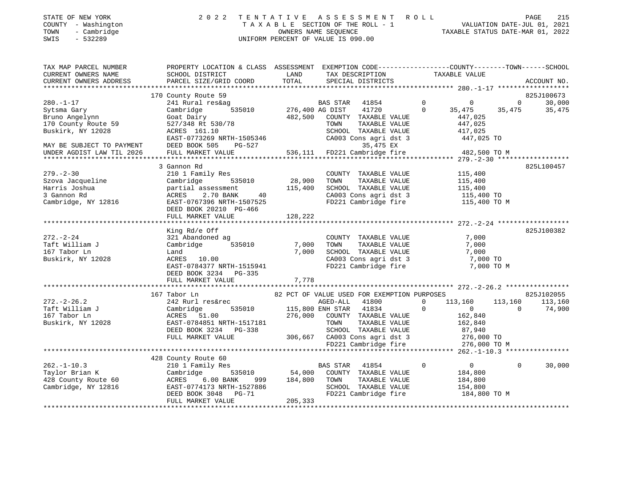| STATE OF NEW YORK   | 2022 TENTATIVE ASSESSMENT ROLL  | PAGE 215                         |  |
|---------------------|---------------------------------|----------------------------------|--|
| COUNTY - Washington | TAXABLE SECTION OF THE ROLL - 1 | VALUATION DATE-JUL 01, 2021      |  |
| TOWN<br>- Cambridge | OWNERS NAME SEOUENCE            | TAXABLE STATUS DATE-MAR 01, 2022 |  |

| TAX MAP PARCEL NUMBER<br>CURRENT OWNERS NAME<br>CURRENT OWNERS ADDRESS | PROPERTY LOCATION & CLASS ASSESSMENT EXEMPTION CODE---------------COUNTY-------TOWN------SCHOOL<br>SCHOOL DISTRICT<br>PARCEL SIZE/GRID COORD | LAND<br>TOTAL          | TAX DESCRIPTION<br>SPECIAL DISTRICTS                                                                                  |          | TAXABLE VALUE         |          | ACCOUNT NO. |
|------------------------------------------------------------------------|----------------------------------------------------------------------------------------------------------------------------------------------|------------------------|-----------------------------------------------------------------------------------------------------------------------|----------|-----------------------|----------|-------------|
|                                                                        |                                                                                                                                              |                        |                                                                                                                       |          |                       |          |             |
|                                                                        | 170 County Route 59                                                                                                                          |                        |                                                                                                                       |          |                       |          | 825J100673  |
| $280. - 1 - 17$                                                        | 241 Rural res&ag                                                                                                                             |                        | BAS STAR<br>41854                                                                                                     | $\Omega$ | $\Omega$              | $\Omega$ | 30,000      |
| Sytsma Gary                                                            | Cambridge                                                                                                                                    | 535010 276,400 AG DIST | 41720                                                                                                                 | $\Omega$ | 35,475                | 35,475   | 35,475      |
| Bruno Angelynn                                                         | Goat Dairy                                                                                                                                   | 482,500                | COUNTY TAXABLE VALUE                                                                                                  |          | 447,025               |          |             |
| 170 County Route 59                                                    | 527/348 Rt 530/78                                                                                                                            |                        | TAXABLE VALUE<br>TOWN                                                                                                 |          | 447,025               |          |             |
| Buskirk, NY 12028                                                      | ACRES 161.10                                                                                                                                 |                        | SCHOOL TAXABLE VALUE                                                                                                  |          | 417,025               |          |             |
|                                                                        | EAST-0773269 NRTH-1505346                                                                                                                    |                        | CA003 Cons agri dst 3                                                                                                 |          | 447,025 TO            |          |             |
| MAY BE SUBJECT TO PAYMENT                                              | DEED BOOK 505<br>PG-527                                                                                                                      |                        | 35,475 EX                                                                                                             |          |                       |          |             |
| UNDER AGDIST LAW TIL 2026                                              | FULL MARKET VALUE                                                                                                                            |                        | 536,111 FD221 Cambridge fire                                                                                          |          | 482,500 TO M          |          |             |
|                                                                        |                                                                                                                                              |                        |                                                                                                                       |          |                       |          |             |
|                                                                        | 3 Gannon Rd                                                                                                                                  |                        |                                                                                                                       |          |                       |          | 825L100457  |
| $279. - 2 - 30$                                                        | 210 1 Family Res                                                                                                                             | 28,900                 | COUNTY TAXABLE VALUE                                                                                                  |          | 115,400               |          |             |
| Szova Jacqueline                                                       | Cambridge 535010                                                                                                                             |                        | TOWN<br>TAXABLE VALUE                                                                                                 |          | 115,400               |          |             |
| Harris Joshua                                                          | partial assessment                                                                                                                           | 115,400                | SCHOOL TAXABLE VALUE                                                                                                  |          | 115,400<br>115,400 TO |          |             |
| 3 Gannon Rd                                                            | ACRES 2.70 BANK<br>40                                                                                                                        |                        | CA003 Cons agri dst 3                                                                                                 |          |                       |          |             |
| Cambridge, NY 12816                                                    | EAST-0767396 NRTH-1507525                                                                                                                    |                        | FD221 Cambridge fire 115,400 TO M                                                                                     |          |                       |          |             |
|                                                                        | DEED BOOK 20210 PG-466                                                                                                                       |                        |                                                                                                                       |          |                       |          |             |
|                                                                        | FULL MARKET VALUE                                                                                                                            | 128,222                |                                                                                                                       |          |                       |          |             |
|                                                                        |                                                                                                                                              |                        |                                                                                                                       |          |                       |          |             |
|                                                                        | King Rd/e Off                                                                                                                                |                        |                                                                                                                       |          |                       |          | 825J100382  |
| $272. - 2 - 24$                                                        | 321 Abandoned ag                                                                                                                             |                        | COUNTY TAXABLE VALUE                                                                                                  |          | 7,000                 |          |             |
| Taft William J                                                         | Cambridge<br>535010                                                                                                                          | 7,000                  | TOWN<br>TAXABLE VALUE                                                                                                 |          | 7,000                 |          |             |
| 167 Tabor Ln                                                           | Land                                                                                                                                         | 7,000                  | SCHOOL TAXABLE VALUE<br>SCHOOL TAXABLE VALUE 7,000<br>CA003 Cons agri dst 3 7,000 TO<br>FD221 Cambridge fire 7,000 TO |          | 7,000                 |          |             |
| Buskirk, NY 12028                                                      | ACRES 10.00                                                                                                                                  |                        |                                                                                                                       |          |                       |          |             |
|                                                                        | EAST-0784377 NRTH-1515941                                                                                                                    |                        |                                                                                                                       |          | 7,000 TO M            |          |             |
|                                                                        | DEED BOOK 3234 PG-335                                                                                                                        |                        |                                                                                                                       |          |                       |          |             |
|                                                                        | FULL MARKET VALUE                                                                                                                            | 7,778                  |                                                                                                                       |          |                       |          |             |
|                                                                        |                                                                                                                                              |                        |                                                                                                                       |          |                       |          |             |
|                                                                        | 167 Tabor Ln                                                                                                                                 |                        | 82 PCT OF VALUE USED FOR EXEMPTION PURPOSES                                                                           |          |                       |          | 825J102055  |
| $272. - 2 - 26.2$                                                      | 242 Rurl res&rec                                                                                                                             |                        | AGED-ALL 41800                                                                                                        | $\Omega$ | 113,160               | 113,160  | 113,160     |
| Taft William J                                                         | Cambridge<br>535010                                                                                                                          |                        | 115,800 ENH STAR 41834                                                                                                | $\Omega$ | $\overline{0}$        | $\Omega$ | 74,900      |
| 167 Tabor Ln                                                           | ACRES 51.00                                                                                                                                  | 276,000                | COUNTY TAXABLE VALUE                                                                                                  |          | 162,840               |          |             |
| Buskirk, NY 12028                                                      | EAST-0784851 NRTH-1517181                                                                                                                    |                        | TOWN<br>TAXABLE VALUE                                                                                                 |          | 162,840               |          |             |
|                                                                        | DEED BOOK 3234 PG-338                                                                                                                        |                        | SCHOOL TAXABLE VALUE                                                                                                  |          | 87,940                |          |             |
|                                                                        | FULL MARKET VALUE                                                                                                                            |                        | 306,667 CA003 Cons agri dst 3 276,000 TO                                                                              |          |                       |          |             |
|                                                                        |                                                                                                                                              |                        | FD221 Cambridge fire                                                                                                  |          | 276,000 TO M          |          |             |
|                                                                        |                                                                                                                                              |                        |                                                                                                                       |          |                       |          |             |
|                                                                        | 428 County Route 60                                                                                                                          |                        |                                                                                                                       |          |                       |          |             |
| $262. -1 - 10.3$                                                       | 210 1 Family Res                                                                                                                             |                        | BAS STAR<br>41854                                                                                                     | $\Omega$ | $\overline{0}$        | $\Omega$ | 30,000      |
| Taylor Brian K                                                         | Cambridge                                                                                                                                    | 535010 54,000          | COUNTY TAXABLE VALUE                                                                                                  |          | 184,800               |          |             |
| 428 County Route 60                                                    | ACRES<br>6.00 BANK<br>999                                                                                                                    | 184,800                | TOWN<br>TAXABLE VALUE                                                                                                 |          | 184,800               |          |             |
| Cambridge, NY 12816                                                    | EAST-0774173 NRTH-1527886                                                                                                                    |                        | SCHOOL TAXABLE VALUE                                                                                                  |          | 154,800               |          |             |
|                                                                        | DEED BOOK 3048<br><b>PG-71</b>                                                                                                               |                        | FD221 Cambridge fire                                                                                                  |          | 184,800 TO M          |          |             |
|                                                                        | FULL MARKET VALUE                                                                                                                            | 205,333                |                                                                                                                       |          |                       |          |             |

SWIS - 532289 UNIFORM PERCENT OF VALUE IS 090.00

STATE OF NEW YORK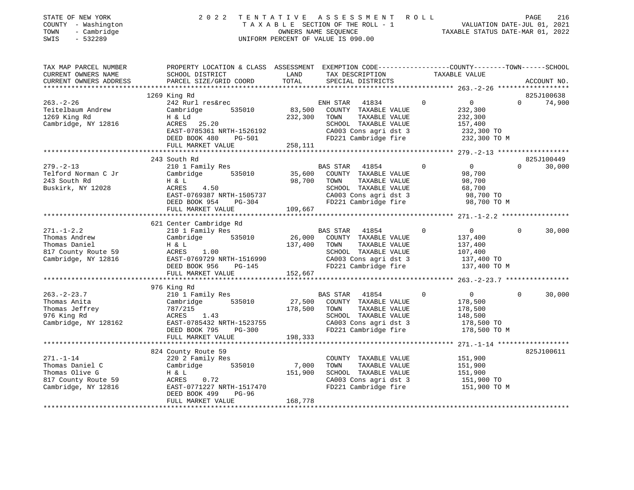| STATE OF NEW YORK<br>COUNTY - Washington<br>TOWN<br>- Cambridge<br>SWIS<br>- 532289 | 2 0 2 2                                                                                                                                                                                                                                    |              | TENTATIVE ASSESSMENT ROLL PAGE 216<br>TAXABLE SECTION OF THE ROLL - 1 WALUATION DATE-JUL 01, 2021<br>OWNERS NAME SEQUENCE TAXABLE STATUS DATE-MAR 01, 2022<br>UNIFORM PERCENT OF VALUE IS 090.00 |                                                                                                                                                                                             |                    |
|-------------------------------------------------------------------------------------|--------------------------------------------------------------------------------------------------------------------------------------------------------------------------------------------------------------------------------------------|--------------|--------------------------------------------------------------------------------------------------------------------------------------------------------------------------------------------------|---------------------------------------------------------------------------------------------------------------------------------------------------------------------------------------------|--------------------|
|                                                                                     |                                                                                                                                                                                                                                            |              |                                                                                                                                                                                                  | TAX MAP PARCEL NUMBER<br>CURRENT OWNERS NAME SCHOOL DISTRICT LAND TAX DESCRIPTION TO TAXABLE VALUE<br>CURRENT OWNERS ADDRESS PARCEL SIZE/GRID COORD TOTAL SERVITA TO THE TOWN TAXABLE VALUE |                    |
|                                                                                     |                                                                                                                                                                                                                                            |              |                                                                                                                                                                                                  |                                                                                                                                                                                             |                    |
|                                                                                     | 1269 King Rd                                                                                                                                                                                                                               |              |                                                                                                                                                                                                  |                                                                                                                                                                                             | 825J100638         |
| $263. - 2 - 26$                                                                     | 242 Rurl res&rec                                                                                                                                                                                                                           |              | $\overline{0}$<br>ENH STAR 41834                                                                                                                                                                 | $\overline{0}$                                                                                                                                                                              | $0 \t 74,900$      |
|                                                                                     | Teitelbaum Andrew Cambridge 535010                                                                                                                                                                                                         |              | 83,500 COUNTY TAXABLE VALUE                                                                                                                                                                      | 232,300                                                                                                                                                                                     |                    |
| 1269 King Rd                                                                        | H & Ld                                                                                                                                                                                                                                     | 232,300 TOWN | TAXABLE VALUE                                                                                                                                                                                    | 232,300                                                                                                                                                                                     |                    |
| Cambridge, NY 12816                                                                 | $ACRES$ 25.20<br>$ACRES$ 25.20                                                                                                                                                                                                             |              |                                                                                                                                                                                                  |                                                                                                                                                                                             |                    |
|                                                                                     |                                                                                                                                                                                                                                            |              | SCHOOL TAXABLE VALUE 157,400<br>CA003 Cons agri dst 3 232,300 TO<br>FD221 Cambridge fire 232,300 TO M                                                                                            |                                                                                                                                                                                             |                    |
|                                                                                     |                                                                                                                                                                                                                                            |              |                                                                                                                                                                                                  |                                                                                                                                                                                             |                    |
|                                                                                     |                                                                                                                                                                                                                                            |              |                                                                                                                                                                                                  |                                                                                                                                                                                             |                    |
|                                                                                     |                                                                                                                                                                                                                                            |              |                                                                                                                                                                                                  |                                                                                                                                                                                             |                    |
|                                                                                     | 243 South Rd                                                                                                                                                                                                                               |              |                                                                                                                                                                                                  |                                                                                                                                                                                             | 825J100449         |
| $279. - 2 - 13$                                                                     | 210 1 Family Res                                                                                                                                                                                                                           |              | BAS STAR 41854 0                                                                                                                                                                                 | $\overline{0}$                                                                                                                                                                              | $\Omega$<br>30,000 |
|                                                                                     | Telford Norman C Jr (Cambridge 535010 55,600 COUNTY TAXABLE VALUE                                                                                                                                                                          |              |                                                                                                                                                                                                  | 98,700                                                                                                                                                                                      |                    |
| 243 South Rd<br>Buskirk, NY 12028                                                   | H & L<br>$ACRES$ 4.50                                                                                                                                                                                                                      |              | 98,700 TOWN TAXABLE VALUE                                                                                                                                                                        | 98,700                                                                                                                                                                                      |                    |
|                                                                                     |                                                                                                                                                                                                                                            |              |                                                                                                                                                                                                  |                                                                                                                                                                                             |                    |
|                                                                                     |                                                                                                                                                                                                                                            |              | SCHOOL TAXABLE VALUE 68,700<br>CA003 Cons agri dst 3 98,700 TO<br>FD221 Cambridge fire 98,700 TO M                                                                                               |                                                                                                                                                                                             |                    |
|                                                                                     | ACRES 4.50<br>EAST-0769387 NRTH-1505737 (<br>DEED BOOK 954 PG-304 109,667                                                                                                                                                                  |              |                                                                                                                                                                                                  |                                                                                                                                                                                             |                    |
|                                                                                     |                                                                                                                                                                                                                                            |              |                                                                                                                                                                                                  |                                                                                                                                                                                             |                    |
|                                                                                     | 621 Center Cambridge Rd                                                                                                                                                                                                                    |              |                                                                                                                                                                                                  |                                                                                                                                                                                             |                    |
| $271. - 1 - 2.2$                                                                    | 210 1 Family Res                                                                                                                                                                                                                           |              | BAS STAR 41854 0                                                                                                                                                                                 | $\overline{0}$                                                                                                                                                                              | $\Omega$<br>30,000 |
| Thomas Andrew                                                                       | Cambridge 535010                                                                                                                                                                                                                           |              | 26,000 COUNTY TAXABLE VALUE                                                                                                                                                                      | 137,400                                                                                                                                                                                     |                    |
| Thomas Daniel                                                                       | H & L                                                                                                                                                                                                                                      | 137,400      | TOWN TAXABLE VALUE                                                                                                                                                                               | 137,400                                                                                                                                                                                     |                    |
|                                                                                     |                                                                                                                                                                                                                                            |              | SCHOOL TAXABLE VALUE 107,400<br>CA003 Cons agri dst 3 137,400 TO<br>FD221 Cambridge fire 137,400 TO M                                                                                            |                                                                                                                                                                                             |                    |
|                                                                                     |                                                                                                                                                                                                                                            |              |                                                                                                                                                                                                  |                                                                                                                                                                                             |                    |
|                                                                                     | DEED BOOK 956 PG-145<br>FULL MARKET VALUE 152,667                                                                                                                                                                                          |              |                                                                                                                                                                                                  |                                                                                                                                                                                             |                    |
|                                                                                     |                                                                                                                                                                                                                                            |              |                                                                                                                                                                                                  |                                                                                                                                                                                             |                    |
|                                                                                     | 976 King Rd                                                                                                                                                                                                                                |              |                                                                                                                                                                                                  |                                                                                                                                                                                             |                    |
|                                                                                     |                                                                                                                                                                                                                                            |              |                                                                                                                                                                                                  | $\overline{0}$                                                                                                                                                                              | $\Omega$<br>30,000 |
|                                                                                     |                                                                                                                                                                                                                                            |              |                                                                                                                                                                                                  | 178,500                                                                                                                                                                                     |                    |
|                                                                                     |                                                                                                                                                                                                                                            |              |                                                                                                                                                                                                  |                                                                                                                                                                                             |                    |
|                                                                                     |                                                                                                                                                                                                                                            |              |                                                                                                                                                                                                  | 178,500<br>148,500<br>178,500 TO                                                                                                                                                            |                    |
|                                                                                     |                                                                                                                                                                                                                                            |              |                                                                                                                                                                                                  |                                                                                                                                                                                             |                    |
|                                                                                     |                                                                                                                                                                                                                                            |              |                                                                                                                                                                                                  | 178,500 TO M                                                                                                                                                                                |                    |
|                                                                                     | 263.-2-23.7<br>Thomas Anita Cambridge 535010 27,500 COUNTY TAXABLE VALUE<br>Thomas Jeffrey 787/215<br>276 King Rd ACRES 1.43<br>Cambridge, NY 128162 EAST-0785432 NRTH-1523755 CA003 Cons agri dst 3<br>DEED BOOK 795 PG-300 198,333<br>17 |              |                                                                                                                                                                                                  |                                                                                                                                                                                             |                    |
|                                                                                     |                                                                                                                                                                                                                                            |              |                                                                                                                                                                                                  |                                                                                                                                                                                             |                    |
|                                                                                     | 824 County Route 59                                                                                                                                                                                                                        |              |                                                                                                                                                                                                  |                                                                                                                                                                                             | 825J100611         |
| $271. - 1 - 14$                                                                     | 220 2 Family Res<br>Cambridge 535010                                                                                                                                                                                                       |              | COUNTY TAXABLE VALUE 151,900<br>TOWN TAXABLE VALUE 151,900                                                                                                                                       |                                                                                                                                                                                             |                    |
| Thomas Daniel C<br>Thomas Daniel C<br>Thomas Olive G<br>Thomas Olive G              |                                                                                                                                                                                                                                            | 7,000        | SCHOOL TAXABLE VALUE                                                                                                                                                                             |                                                                                                                                                                                             |                    |
|                                                                                     |                                                                                                                                                                                                                                            | 151,900      | CA003 Cons agri dst 3                                                                                                                                                                            |                                                                                                                                                                                             |                    |
|                                                                                     |                                                                                                                                                                                                                                            |              | FD221 Cambridge fire                                                                                                                                                                             | 151,900<br>151,900 TO<br>151,900 TO M                                                                                                                                                       |                    |
|                                                                                     | Thomas Olive G<br>817 County Route 59<br>Cambridge, NY 12816<br>DEED BOOK 499 PG-96<br>DEED BOOK 499 PG-96                                                                                                                                 |              |                                                                                                                                                                                                  |                                                                                                                                                                                             |                    |
|                                                                                     | FULL MARKET VALUE                                                                                                                                                                                                                          | 168,778      |                                                                                                                                                                                                  |                                                                                                                                                                                             |                    |
|                                                                                     |                                                                                                                                                                                                                                            |              |                                                                                                                                                                                                  |                                                                                                                                                                                             |                    |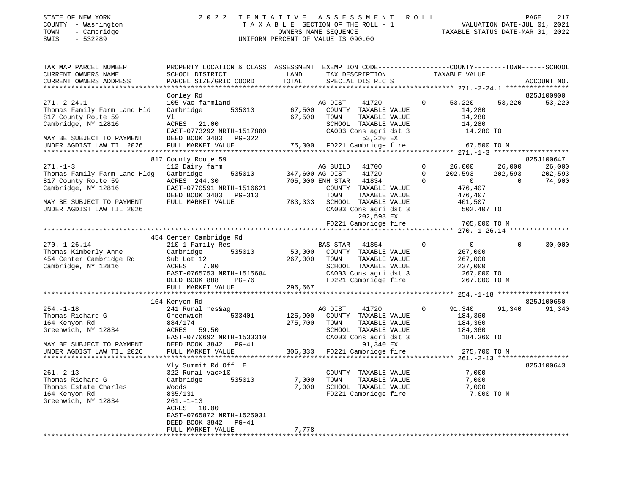| STATE OF NEW YORK   | 2022 TENTATIVE ASSESSMENT ROLL     | 217<br><b>PAGE</b>               |
|---------------------|------------------------------------|----------------------------------|
| COUNTY - Washington | TAXABLE SECTION OF THE ROLL - 1    | VALUATION DATE-JUL 01, 2021      |
| - Cambridge<br>TOWN | OWNERS NAME SEOUENCE               | TAXABLE STATUS DATE-MAR 01, 2022 |
| SWIS<br>- 532289    | UNIFORM PERCENT OF VALUE IS 090.00 |                                  |

TAX MAP PARCEL NUMBER PROPERTY LOCATION & CLASS ASSESSMENT EXEMPTION CODE---------------COUNTY-------TOWN-----SCHOOL CURRENT OWNERS NAME SCHOOL DISTRICT LAND TAX DESCRIPTION TAXABLE VALUE CURRENT OWNERS ADDRESS PARCEL SIZE/GRID COORD TOTAL SPECIAL DISTRICTS ACCOUNT NO. \*\*\*\*\*\*\*\*\*\*\*\*\*\*\*\*\*\*\*\*\*\*\*\*\*\*\*\*\*\*\*\*\*\*\*\*\*\*\*\*\*\*\*\*\*\*\*\*\*\*\*\*\*\*\*\*\*\*\*\*\*\*\*\*\*\*\*\*\*\*\*\*\*\*\*\*\*\*\*\*\*\*\*\*\*\*\*\*\*\*\*\*\*\*\*\*\*\*\*\*\*\*\* 271.-2-24.1 \*\*\*\*\*\*\*\*\*\*\*\*\*\*\*\*825J100900 Conley Rd 825J100900 271.-2-24.1 105 Vac farmland AG DIST 41720 0 53,220 53,220 53,220 Thomas Family Farm Land Hld Cambridge 535010 67,500 COUNTY TAXABLE VALUE 14,280 817 County Route 59 Vl 67,500 TOWN TAXABLE VALUE 14,280 Cambridge, NY 12816 ACRES 21.00 SCHOOL TAXABLE VALUE 14,280 EAST-0773292 NRTH-1517880 CA003 Cons agri dst 3 14,280 TO MAY BE SUBJECT TO PAYMENT DEED BOOK 3483 PG-322 53,220 EX UNDER AGDIST LAW TIL 2026 FULL MARKET VALUE 75,000 FD221 Cambridge fire 67,500 TO M \*\*\*\*\*\*\*\*\*\*\*\*\*\*\*\*\*\*\*\*\*\*\*\*\*\*\*\*\*\*\*\*\*\*\*\*\*\*\*\*\*\*\*\*\*\*\*\*\*\*\*\*\*\*\*\*\*\*\*\*\*\*\*\*\*\*\*\*\*\*\*\*\*\*\*\*\*\*\*\*\*\*\*\*\*\*\*\*\*\*\*\*\*\*\*\*\*\*\*\*\*\*\* 271.-1-3 \*\*\*\*\*\*\*\*\*\*\*\*\*\*\*\*\*\*\*825J100647 817 County Route 59 825J100647 (1990) 825J100647 (1991) 825J100647 (1991) 825J100647 271.-1-3 112 Dairy farm AG BUILD 41700 0 26,000 26,000 26,000 Thomas Family Farm Land Hldg Cambridge 535010 347,600 AG DIST 41720 0 202,593 202,593 202,593 817 County Route 59 ACRES 244.30 705,000 ENH STAR 41834 0 0 0 74,900 Cambridge, NY 12816 EAST-0770591 NRTH-1516621 COUNTY TAXABLE VALUE 476,407 DEED BOOK 3483 PG-313 TOWN TAXABLE VALUE 476,407 MAY BE SUBJECT TO PAYMENT FULL MARKET VALUE 783,333 SCHOOL TAXABLE VALUE 401,507 UNDER AGDIST LAW TIL 2026 CA003 Cons agri dst 3 502,407 TO 202,593 EX FD221 Cambridge fire 705,000 TO M \*\*\*\*\*\*\*\*\*\*\*\*\*\*\*\*\*\*\*\*\*\*\*\*\*\*\*\*\*\*\*\*\*\*\*\*\*\*\*\*\*\*\*\*\*\*\*\*\*\*\*\*\*\*\*\*\*\*\*\*\*\*\*\*\*\*\*\*\*\*\*\*\*\*\*\*\*\*\*\*\*\*\*\*\*\*\*\*\*\*\*\*\*\*\*\*\*\*\*\*\*\*\* 270.-1-26.14 \*\*\*\*\*\*\*\*\*\*\*\*\*\*\* 454 Center Cambridge Rd 270.-1-26.14 210 1 Family Res BAS STAR 41854 0 0 30,000 Thomas Kimberly Anne Cambridge 535010 50,000 COUNTY TAXABLE VALUE 267,000 454 Center Cambridge Rd Sub Lot 12 267,000 TOWN TAXABLE VALUE 267,000 Cambridge, NY 12816 ACRES 7.00 SCHOOL TAXABLE VALUE 237,000 EAST-0765753 NRTH-1515684 CA003 Cons agri dst 3 267,000 TO DEED BOOK 888 PG-76 FD221 Cambridge fire 267,000 TO M FULL MARKET VALUE 296,667 \*\*\*\*\*\*\*\*\*\*\*\*\*\*\*\*\*\*\*\*\*\*\*\*\*\*\*\*\*\*\*\*\*\*\*\*\*\*\*\*\*\*\*\*\*\*\*\*\*\*\*\*\*\*\*\*\*\*\*\*\*\*\*\*\*\*\*\*\*\*\*\*\*\*\*\*\*\*\*\*\*\*\*\*\*\*\*\*\*\*\*\*\*\*\*\*\*\*\*\*\*\*\* 254.-1-18 \*\*\*\*\*\*\*\*\*\*\*\*\*\*\*\*\*\* 164 Kenyon Rd 825J100650 254.-1-18 241 Rural res&ag AG DIST 41720 0 91,340 91,340 91,340 Thomas Richard G Greenwich 533401 125,900 COUNTY TAXABLE VALUE 184,360 164 Kenyon Rd 884/174 275,700 TOWN TAXABLE VALUE 184,360 Greenwich, NY 12834 ACRES 59.50 SCHOOL TAXABLE VALUE 184,360 EAST-0770692 NRTH-1533310 CA003 Cons agri dst 3 184,360 TO MAY BE SUBJECT TO PAYMENT DEED BOOK 3842 PG-41 91,340 EX UNDER AGDIST LAW TIL 2026 FULL MARKET VALUE 306,333 FD221 Cambridge fire 275,700 TO M \*\*\*\*\*\*\*\*\*\*\*\*\*\*\*\*\*\*\*\*\*\*\*\*\*\*\*\*\*\*\*\*\*\*\*\*\*\*\*\*\*\*\*\*\*\*\*\*\*\*\*\*\*\*\*\*\*\*\*\*\*\*\*\*\*\*\*\*\*\*\*\*\*\*\*\*\*\*\*\*\*\*\*\*\*\*\*\*\*\*\*\*\*\*\*\*\*\*\*\*\*\*\* 261.-2-13 \*\*\*\*\*\*\*\*\*\*\*\*\*\*\*\*\*\*Vly Summit Rd Off E 825J100643 261.-2-13 322 Rural vac>10 COUNTY TAXABLE VALUE 7,000 Thomas Richard G Cambridge 535010 7,000 TOWN TAXABLE VALUE 7,000 Thomas Estate Charles Woods 7,000 SCHOOL TAXABLE VALUE 7,000 164 Kenyon Rd 835/131 FD221 Cambridge fire 7,000 TO M Greenwich, NY 12834 261.-1-13 ACRES 10.00 EAST-0765872 NRTH-1525031 DEED BOOK 3842 PG-41FULL MARKET VALUE 7,778 \*\*\*\*\*\*\*\*\*\*\*\*\*\*\*\*\*\*\*\*\*\*\*\*\*\*\*\*\*\*\*\*\*\*\*\*\*\*\*\*\*\*\*\*\*\*\*\*\*\*\*\*\*\*\*\*\*\*\*\*\*\*\*\*\*\*\*\*\*\*\*\*\*\*\*\*\*\*\*\*\*\*\*\*\*\*\*\*\*\*\*\*\*\*\*\*\*\*\*\*\*\*\*\*\*\*\*\*\*\*\*\*\*\*\*\*\*\*\*\*\*\*\*\*\*\*\*\*\*\*\*\*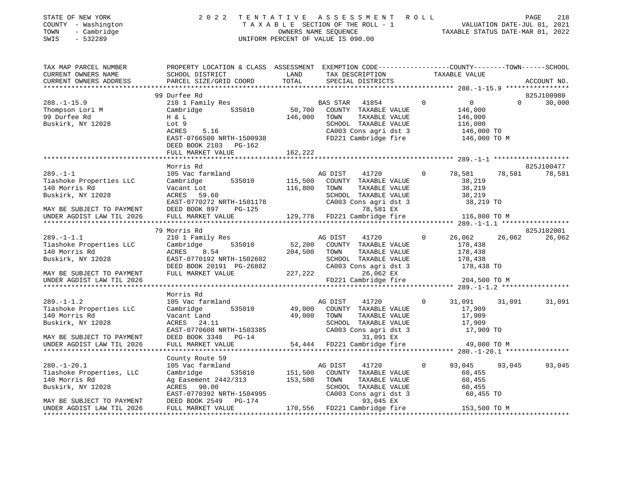| STATE OF NEW YORK   | 2022 TENTATIVE ASSESSMENT ROLL     |                                  | PAGE | 218 |
|---------------------|------------------------------------|----------------------------------|------|-----|
| COUNTY - Washington | TAXABLE SECTION OF THE ROLL - 1    | VALUATION DATE-JUL 01, 2021      |      |     |
| TOWN<br>- Cambridge | OWNERS NAME SEOUENCE               | TAXABLE STATUS DATE-MAR 01, 2022 |      |     |
| SWIS<br>- 532289    | UNIFORM PERCENT OF VALUE IS 090.00 |                                  |      |     |
|                     |                                    |                                  |      |     |

| TAX DESCRIPTION<br>TAXABLE VALUE<br>TOTAL<br>PARCEL SIZE/GRID COORD<br>SPECIAL DISTRICTS<br>CURRENT OWNERS ADDRESS<br>ACCOUNT NO.<br>825J100980<br>99 Durfee Rd<br>$\Omega$<br>$\Omega$<br>210 1 Family Res<br>$\Omega$<br>30,000<br>BAS STAR 41854<br>$535010$ 50,700<br>Thompson Lori M<br>COUNTY TAXABLE VALUE<br>Cambridge<br>146,000<br>99 Durfee Rd<br>146,000<br>H & L<br>TOWN<br>TAXABLE VALUE<br>146,000<br>116,000<br>Buskirk, NY 12028<br>SCHOOL TAXABLE VALUE<br>Lot 9<br>CA003 Cons agri dst 3<br>FD221 Cambridge fire<br>146,000 TO<br>ACRES<br>5.16<br>146,000 TO M<br>EAST-0766500 NRTH-1500938<br>DEED BOOK 2103 PG-162<br>162,222<br>FULL MARKET VALUE<br>Morris Rd<br>825J100477<br>78,581<br>78,581<br>78,581<br>$289. - 1 - 1$<br>105 Vac farmland<br>AG DIST<br>41720<br>$\circ$<br>115,500<br>535010<br>COUNTY TAXABLE VALUE<br>38,219<br>Tiashoke Properties LLC<br>Cambridge<br>140 Morris Rd<br>116,800<br>Vacant Lot<br>TOWN<br>TOWN TAXABLE VALUE 38,219<br>SCHOOL TAXABLE VALUE 38,219<br>CA003 Cons agri dst 3 38,219 TO<br>Buskirk, NY 12028<br>ACRES<br>59.60<br>EAST-0770272 NRTH-1501178<br>DEED BOOK 897 PG-125<br>78,581 EX<br>MAY BE SUBJECT TO PAYMENT<br>129,778 FD221 Cambridge fire 116,800 TO M<br>UNDER AGDIST LAW TIL 2026<br>FULL MARKET VALUE<br>79 Morris Rd<br>825J102001<br>$289. -1 - 1.1$<br>41720<br>$0 \t 26,062 \t 26,062$<br>26,062<br>210 1 Family Res<br>AG DIST<br>535010<br>52,200 COUNTY TAXABLE VALUE<br>Tiashoke Properties LLC<br>178,438<br>Cambridge<br>140 Morris Rd<br>ACRES<br>8.54<br>204,500 TOWN<br>TAXABLE VALUE<br>178,438<br>Buskirk, NY 12028<br>EAST-0770192 NRTH-1502602<br>DEED BOOK 20191 PG-26882<br>SCHOOL TAXABLE VALUE<br>178,438<br>CA003 Cons agri dst 3<br>178,438 TO<br>FULL MARKET VALUE 227, 222<br>26,062 EX<br>MAY BE SUBJECT TO PAYMENT<br>FD221 Cambridge fire<br>204,500 TO M<br>UNDER AGDIST LAW TIL 2026<br>Morris Rd<br>$289. -1 - 1.2$<br>105 Vac farmland<br>41720<br>$\Omega$<br>31,091<br>AG DIST<br>31,091 31,091<br>Tiashoke Properties LLC<br>Cambridge 535010<br>49,000 COUNTY TAXABLE VALUE<br>17,909<br>140 Morris Rd<br>49,000 TOWN<br>17,909<br>Vacant Land<br>TAXABLE VALUE<br>Buskirk, NY 12028<br>ACRES 24.11<br>SCHOOL TAXABLE VALUE<br>17,909<br>EAST-0770608 NRTH-1503385<br>DEED BOOK 3348 PG-14<br>FULL MARKET VALUE 54,444<br>CA003 Cons agri dst 3<br>17,909 TO<br>31,091 EX<br>MAY BE SUBJECT TO PAYMENT<br>54,444 FD221 Cambridge fire 49,000 TO M<br>UNDER AGDIST LAW TIL 2026<br>County Route 59<br>$35010$ $151,500$ $7$<br>$280. - 1 - 20.1$<br>105 Vac farmland<br>AG DIST<br>41720<br>$\circ$<br>93,045<br>93,045<br>93,045<br>535010<br>Tiashoke Properties, LLC<br>Cambridge<br>COUNTY TAXABLE VALUE<br>60,455<br>140 Morris Rd<br>Ag Easement 2442/313 153,500<br>TOWN<br>TAXABLE VALUE<br>60,455<br>Buskirk, NY 12028<br>ACRES 90.00<br>SCHOOL TAXABLE VALUE<br>60,455<br>60,455 TO<br>EAST-0770392 NRTH-1504995<br>CA003 Cons agri dst 3<br>DEED BOOK 2549 PG-174<br>93,045 EX<br>MAY BE SUBJECT TO PAYMENT<br>170,556 FD221 Cambridge fire 153,500 TO M<br>UNDER AGDIST LAW TIL 2026<br>FULL MARKET VALUE | TAX MAP PARCEL NUMBER | PROPERTY LOCATION & CLASS ASSESSMENT EXEMPTION CODE----------------COUNTY-------TOWN------SCHOOL |      |  |  |  |
|------------------------------------------------------------------------------------------------------------------------------------------------------------------------------------------------------------------------------------------------------------------------------------------------------------------------------------------------------------------------------------------------------------------------------------------------------------------------------------------------------------------------------------------------------------------------------------------------------------------------------------------------------------------------------------------------------------------------------------------------------------------------------------------------------------------------------------------------------------------------------------------------------------------------------------------------------------------------------------------------------------------------------------------------------------------------------------------------------------------------------------------------------------------------------------------------------------------------------------------------------------------------------------------------------------------------------------------------------------------------------------------------------------------------------------------------------------------------------------------------------------------------------------------------------------------------------------------------------------------------------------------------------------------------------------------------------------------------------------------------------------------------------------------------------------------------------------------------------------------------------------------------------------------------------------------------------------------------------------------------------------------------------------------------------------------------------------------------------------------------------------------------------------------------------------------------------------------------------------------------------------------------------------------------------------------------------------------------------------------------------------------------------------------------------------------------------------------------------------------------------------------------------------------------------------------------------------------------------------------------------------------------------------------------------------------------------------------------------------------------------------------------------------------------------------------------------------------------------------------------------------------------------------------------------------------------------------------------------------------------------------------------------------------------------------------------------------------------------------------------------------------------|-----------------------|--------------------------------------------------------------------------------------------------|------|--|--|--|
|                                                                                                                                                                                                                                                                                                                                                                                                                                                                                                                                                                                                                                                                                                                                                                                                                                                                                                                                                                                                                                                                                                                                                                                                                                                                                                                                                                                                                                                                                                                                                                                                                                                                                                                                                                                                                                                                                                                                                                                                                                                                                                                                                                                                                                                                                                                                                                                                                                                                                                                                                                                                                                                                                                                                                                                                                                                                                                                                                                                                                                                                                                                                                | CURRENT OWNERS NAME   | SCHOOL DISTRICT                                                                                  | LAND |  |  |  |
|                                                                                                                                                                                                                                                                                                                                                                                                                                                                                                                                                                                                                                                                                                                                                                                                                                                                                                                                                                                                                                                                                                                                                                                                                                                                                                                                                                                                                                                                                                                                                                                                                                                                                                                                                                                                                                                                                                                                                                                                                                                                                                                                                                                                                                                                                                                                                                                                                                                                                                                                                                                                                                                                                                                                                                                                                                                                                                                                                                                                                                                                                                                                                |                       |                                                                                                  |      |  |  |  |
|                                                                                                                                                                                                                                                                                                                                                                                                                                                                                                                                                                                                                                                                                                                                                                                                                                                                                                                                                                                                                                                                                                                                                                                                                                                                                                                                                                                                                                                                                                                                                                                                                                                                                                                                                                                                                                                                                                                                                                                                                                                                                                                                                                                                                                                                                                                                                                                                                                                                                                                                                                                                                                                                                                                                                                                                                                                                                                                                                                                                                                                                                                                                                |                       |                                                                                                  |      |  |  |  |
|                                                                                                                                                                                                                                                                                                                                                                                                                                                                                                                                                                                                                                                                                                                                                                                                                                                                                                                                                                                                                                                                                                                                                                                                                                                                                                                                                                                                                                                                                                                                                                                                                                                                                                                                                                                                                                                                                                                                                                                                                                                                                                                                                                                                                                                                                                                                                                                                                                                                                                                                                                                                                                                                                                                                                                                                                                                                                                                                                                                                                                                                                                                                                |                       |                                                                                                  |      |  |  |  |
|                                                                                                                                                                                                                                                                                                                                                                                                                                                                                                                                                                                                                                                                                                                                                                                                                                                                                                                                                                                                                                                                                                                                                                                                                                                                                                                                                                                                                                                                                                                                                                                                                                                                                                                                                                                                                                                                                                                                                                                                                                                                                                                                                                                                                                                                                                                                                                                                                                                                                                                                                                                                                                                                                                                                                                                                                                                                                                                                                                                                                                                                                                                                                | $288. - 1 - 15.9$     |                                                                                                  |      |  |  |  |
|                                                                                                                                                                                                                                                                                                                                                                                                                                                                                                                                                                                                                                                                                                                                                                                                                                                                                                                                                                                                                                                                                                                                                                                                                                                                                                                                                                                                                                                                                                                                                                                                                                                                                                                                                                                                                                                                                                                                                                                                                                                                                                                                                                                                                                                                                                                                                                                                                                                                                                                                                                                                                                                                                                                                                                                                                                                                                                                                                                                                                                                                                                                                                |                       |                                                                                                  |      |  |  |  |
|                                                                                                                                                                                                                                                                                                                                                                                                                                                                                                                                                                                                                                                                                                                                                                                                                                                                                                                                                                                                                                                                                                                                                                                                                                                                                                                                                                                                                                                                                                                                                                                                                                                                                                                                                                                                                                                                                                                                                                                                                                                                                                                                                                                                                                                                                                                                                                                                                                                                                                                                                                                                                                                                                                                                                                                                                                                                                                                                                                                                                                                                                                                                                |                       |                                                                                                  |      |  |  |  |
|                                                                                                                                                                                                                                                                                                                                                                                                                                                                                                                                                                                                                                                                                                                                                                                                                                                                                                                                                                                                                                                                                                                                                                                                                                                                                                                                                                                                                                                                                                                                                                                                                                                                                                                                                                                                                                                                                                                                                                                                                                                                                                                                                                                                                                                                                                                                                                                                                                                                                                                                                                                                                                                                                                                                                                                                                                                                                                                                                                                                                                                                                                                                                |                       |                                                                                                  |      |  |  |  |
|                                                                                                                                                                                                                                                                                                                                                                                                                                                                                                                                                                                                                                                                                                                                                                                                                                                                                                                                                                                                                                                                                                                                                                                                                                                                                                                                                                                                                                                                                                                                                                                                                                                                                                                                                                                                                                                                                                                                                                                                                                                                                                                                                                                                                                                                                                                                                                                                                                                                                                                                                                                                                                                                                                                                                                                                                                                                                                                                                                                                                                                                                                                                                |                       |                                                                                                  |      |  |  |  |
|                                                                                                                                                                                                                                                                                                                                                                                                                                                                                                                                                                                                                                                                                                                                                                                                                                                                                                                                                                                                                                                                                                                                                                                                                                                                                                                                                                                                                                                                                                                                                                                                                                                                                                                                                                                                                                                                                                                                                                                                                                                                                                                                                                                                                                                                                                                                                                                                                                                                                                                                                                                                                                                                                                                                                                                                                                                                                                                                                                                                                                                                                                                                                |                       |                                                                                                  |      |  |  |  |
|                                                                                                                                                                                                                                                                                                                                                                                                                                                                                                                                                                                                                                                                                                                                                                                                                                                                                                                                                                                                                                                                                                                                                                                                                                                                                                                                                                                                                                                                                                                                                                                                                                                                                                                                                                                                                                                                                                                                                                                                                                                                                                                                                                                                                                                                                                                                                                                                                                                                                                                                                                                                                                                                                                                                                                                                                                                                                                                                                                                                                                                                                                                                                |                       |                                                                                                  |      |  |  |  |
|                                                                                                                                                                                                                                                                                                                                                                                                                                                                                                                                                                                                                                                                                                                                                                                                                                                                                                                                                                                                                                                                                                                                                                                                                                                                                                                                                                                                                                                                                                                                                                                                                                                                                                                                                                                                                                                                                                                                                                                                                                                                                                                                                                                                                                                                                                                                                                                                                                                                                                                                                                                                                                                                                                                                                                                                                                                                                                                                                                                                                                                                                                                                                |                       |                                                                                                  |      |  |  |  |
|                                                                                                                                                                                                                                                                                                                                                                                                                                                                                                                                                                                                                                                                                                                                                                                                                                                                                                                                                                                                                                                                                                                                                                                                                                                                                                                                                                                                                                                                                                                                                                                                                                                                                                                                                                                                                                                                                                                                                                                                                                                                                                                                                                                                                                                                                                                                                                                                                                                                                                                                                                                                                                                                                                                                                                                                                                                                                                                                                                                                                                                                                                                                                |                       |                                                                                                  |      |  |  |  |
|                                                                                                                                                                                                                                                                                                                                                                                                                                                                                                                                                                                                                                                                                                                                                                                                                                                                                                                                                                                                                                                                                                                                                                                                                                                                                                                                                                                                                                                                                                                                                                                                                                                                                                                                                                                                                                                                                                                                                                                                                                                                                                                                                                                                                                                                                                                                                                                                                                                                                                                                                                                                                                                                                                                                                                                                                                                                                                                                                                                                                                                                                                                                                |                       |                                                                                                  |      |  |  |  |
|                                                                                                                                                                                                                                                                                                                                                                                                                                                                                                                                                                                                                                                                                                                                                                                                                                                                                                                                                                                                                                                                                                                                                                                                                                                                                                                                                                                                                                                                                                                                                                                                                                                                                                                                                                                                                                                                                                                                                                                                                                                                                                                                                                                                                                                                                                                                                                                                                                                                                                                                                                                                                                                                                                                                                                                                                                                                                                                                                                                                                                                                                                                                                |                       |                                                                                                  |      |  |  |  |
|                                                                                                                                                                                                                                                                                                                                                                                                                                                                                                                                                                                                                                                                                                                                                                                                                                                                                                                                                                                                                                                                                                                                                                                                                                                                                                                                                                                                                                                                                                                                                                                                                                                                                                                                                                                                                                                                                                                                                                                                                                                                                                                                                                                                                                                                                                                                                                                                                                                                                                                                                                                                                                                                                                                                                                                                                                                                                                                                                                                                                                                                                                                                                |                       |                                                                                                  |      |  |  |  |
|                                                                                                                                                                                                                                                                                                                                                                                                                                                                                                                                                                                                                                                                                                                                                                                                                                                                                                                                                                                                                                                                                                                                                                                                                                                                                                                                                                                                                                                                                                                                                                                                                                                                                                                                                                                                                                                                                                                                                                                                                                                                                                                                                                                                                                                                                                                                                                                                                                                                                                                                                                                                                                                                                                                                                                                                                                                                                                                                                                                                                                                                                                                                                |                       |                                                                                                  |      |  |  |  |
|                                                                                                                                                                                                                                                                                                                                                                                                                                                                                                                                                                                                                                                                                                                                                                                                                                                                                                                                                                                                                                                                                                                                                                                                                                                                                                                                                                                                                                                                                                                                                                                                                                                                                                                                                                                                                                                                                                                                                                                                                                                                                                                                                                                                                                                                                                                                                                                                                                                                                                                                                                                                                                                                                                                                                                                                                                                                                                                                                                                                                                                                                                                                                |                       |                                                                                                  |      |  |  |  |
|                                                                                                                                                                                                                                                                                                                                                                                                                                                                                                                                                                                                                                                                                                                                                                                                                                                                                                                                                                                                                                                                                                                                                                                                                                                                                                                                                                                                                                                                                                                                                                                                                                                                                                                                                                                                                                                                                                                                                                                                                                                                                                                                                                                                                                                                                                                                                                                                                                                                                                                                                                                                                                                                                                                                                                                                                                                                                                                                                                                                                                                                                                                                                |                       |                                                                                                  |      |  |  |  |
|                                                                                                                                                                                                                                                                                                                                                                                                                                                                                                                                                                                                                                                                                                                                                                                                                                                                                                                                                                                                                                                                                                                                                                                                                                                                                                                                                                                                                                                                                                                                                                                                                                                                                                                                                                                                                                                                                                                                                                                                                                                                                                                                                                                                                                                                                                                                                                                                                                                                                                                                                                                                                                                                                                                                                                                                                                                                                                                                                                                                                                                                                                                                                |                       |                                                                                                  |      |  |  |  |
|                                                                                                                                                                                                                                                                                                                                                                                                                                                                                                                                                                                                                                                                                                                                                                                                                                                                                                                                                                                                                                                                                                                                                                                                                                                                                                                                                                                                                                                                                                                                                                                                                                                                                                                                                                                                                                                                                                                                                                                                                                                                                                                                                                                                                                                                                                                                                                                                                                                                                                                                                                                                                                                                                                                                                                                                                                                                                                                                                                                                                                                                                                                                                |                       |                                                                                                  |      |  |  |  |
|                                                                                                                                                                                                                                                                                                                                                                                                                                                                                                                                                                                                                                                                                                                                                                                                                                                                                                                                                                                                                                                                                                                                                                                                                                                                                                                                                                                                                                                                                                                                                                                                                                                                                                                                                                                                                                                                                                                                                                                                                                                                                                                                                                                                                                                                                                                                                                                                                                                                                                                                                                                                                                                                                                                                                                                                                                                                                                                                                                                                                                                                                                                                                |                       |                                                                                                  |      |  |  |  |
|                                                                                                                                                                                                                                                                                                                                                                                                                                                                                                                                                                                                                                                                                                                                                                                                                                                                                                                                                                                                                                                                                                                                                                                                                                                                                                                                                                                                                                                                                                                                                                                                                                                                                                                                                                                                                                                                                                                                                                                                                                                                                                                                                                                                                                                                                                                                                                                                                                                                                                                                                                                                                                                                                                                                                                                                                                                                                                                                                                                                                                                                                                                                                |                       |                                                                                                  |      |  |  |  |
|                                                                                                                                                                                                                                                                                                                                                                                                                                                                                                                                                                                                                                                                                                                                                                                                                                                                                                                                                                                                                                                                                                                                                                                                                                                                                                                                                                                                                                                                                                                                                                                                                                                                                                                                                                                                                                                                                                                                                                                                                                                                                                                                                                                                                                                                                                                                                                                                                                                                                                                                                                                                                                                                                                                                                                                                                                                                                                                                                                                                                                                                                                                                                |                       |                                                                                                  |      |  |  |  |
|                                                                                                                                                                                                                                                                                                                                                                                                                                                                                                                                                                                                                                                                                                                                                                                                                                                                                                                                                                                                                                                                                                                                                                                                                                                                                                                                                                                                                                                                                                                                                                                                                                                                                                                                                                                                                                                                                                                                                                                                                                                                                                                                                                                                                                                                                                                                                                                                                                                                                                                                                                                                                                                                                                                                                                                                                                                                                                                                                                                                                                                                                                                                                |                       |                                                                                                  |      |  |  |  |
|                                                                                                                                                                                                                                                                                                                                                                                                                                                                                                                                                                                                                                                                                                                                                                                                                                                                                                                                                                                                                                                                                                                                                                                                                                                                                                                                                                                                                                                                                                                                                                                                                                                                                                                                                                                                                                                                                                                                                                                                                                                                                                                                                                                                                                                                                                                                                                                                                                                                                                                                                                                                                                                                                                                                                                                                                                                                                                                                                                                                                                                                                                                                                |                       |                                                                                                  |      |  |  |  |
|                                                                                                                                                                                                                                                                                                                                                                                                                                                                                                                                                                                                                                                                                                                                                                                                                                                                                                                                                                                                                                                                                                                                                                                                                                                                                                                                                                                                                                                                                                                                                                                                                                                                                                                                                                                                                                                                                                                                                                                                                                                                                                                                                                                                                                                                                                                                                                                                                                                                                                                                                                                                                                                                                                                                                                                                                                                                                                                                                                                                                                                                                                                                                |                       |                                                                                                  |      |  |  |  |
|                                                                                                                                                                                                                                                                                                                                                                                                                                                                                                                                                                                                                                                                                                                                                                                                                                                                                                                                                                                                                                                                                                                                                                                                                                                                                                                                                                                                                                                                                                                                                                                                                                                                                                                                                                                                                                                                                                                                                                                                                                                                                                                                                                                                                                                                                                                                                                                                                                                                                                                                                                                                                                                                                                                                                                                                                                                                                                                                                                                                                                                                                                                                                |                       |                                                                                                  |      |  |  |  |
|                                                                                                                                                                                                                                                                                                                                                                                                                                                                                                                                                                                                                                                                                                                                                                                                                                                                                                                                                                                                                                                                                                                                                                                                                                                                                                                                                                                                                                                                                                                                                                                                                                                                                                                                                                                                                                                                                                                                                                                                                                                                                                                                                                                                                                                                                                                                                                                                                                                                                                                                                                                                                                                                                                                                                                                                                                                                                                                                                                                                                                                                                                                                                |                       |                                                                                                  |      |  |  |  |
|                                                                                                                                                                                                                                                                                                                                                                                                                                                                                                                                                                                                                                                                                                                                                                                                                                                                                                                                                                                                                                                                                                                                                                                                                                                                                                                                                                                                                                                                                                                                                                                                                                                                                                                                                                                                                                                                                                                                                                                                                                                                                                                                                                                                                                                                                                                                                                                                                                                                                                                                                                                                                                                                                                                                                                                                                                                                                                                                                                                                                                                                                                                                                |                       |                                                                                                  |      |  |  |  |
|                                                                                                                                                                                                                                                                                                                                                                                                                                                                                                                                                                                                                                                                                                                                                                                                                                                                                                                                                                                                                                                                                                                                                                                                                                                                                                                                                                                                                                                                                                                                                                                                                                                                                                                                                                                                                                                                                                                                                                                                                                                                                                                                                                                                                                                                                                                                                                                                                                                                                                                                                                                                                                                                                                                                                                                                                                                                                                                                                                                                                                                                                                                                                |                       |                                                                                                  |      |  |  |  |
|                                                                                                                                                                                                                                                                                                                                                                                                                                                                                                                                                                                                                                                                                                                                                                                                                                                                                                                                                                                                                                                                                                                                                                                                                                                                                                                                                                                                                                                                                                                                                                                                                                                                                                                                                                                                                                                                                                                                                                                                                                                                                                                                                                                                                                                                                                                                                                                                                                                                                                                                                                                                                                                                                                                                                                                                                                                                                                                                                                                                                                                                                                                                                |                       |                                                                                                  |      |  |  |  |
|                                                                                                                                                                                                                                                                                                                                                                                                                                                                                                                                                                                                                                                                                                                                                                                                                                                                                                                                                                                                                                                                                                                                                                                                                                                                                                                                                                                                                                                                                                                                                                                                                                                                                                                                                                                                                                                                                                                                                                                                                                                                                                                                                                                                                                                                                                                                                                                                                                                                                                                                                                                                                                                                                                                                                                                                                                                                                                                                                                                                                                                                                                                                                |                       |                                                                                                  |      |  |  |  |
|                                                                                                                                                                                                                                                                                                                                                                                                                                                                                                                                                                                                                                                                                                                                                                                                                                                                                                                                                                                                                                                                                                                                                                                                                                                                                                                                                                                                                                                                                                                                                                                                                                                                                                                                                                                                                                                                                                                                                                                                                                                                                                                                                                                                                                                                                                                                                                                                                                                                                                                                                                                                                                                                                                                                                                                                                                                                                                                                                                                                                                                                                                                                                |                       |                                                                                                  |      |  |  |  |
|                                                                                                                                                                                                                                                                                                                                                                                                                                                                                                                                                                                                                                                                                                                                                                                                                                                                                                                                                                                                                                                                                                                                                                                                                                                                                                                                                                                                                                                                                                                                                                                                                                                                                                                                                                                                                                                                                                                                                                                                                                                                                                                                                                                                                                                                                                                                                                                                                                                                                                                                                                                                                                                                                                                                                                                                                                                                                                                                                                                                                                                                                                                                                |                       |                                                                                                  |      |  |  |  |
|                                                                                                                                                                                                                                                                                                                                                                                                                                                                                                                                                                                                                                                                                                                                                                                                                                                                                                                                                                                                                                                                                                                                                                                                                                                                                                                                                                                                                                                                                                                                                                                                                                                                                                                                                                                                                                                                                                                                                                                                                                                                                                                                                                                                                                                                                                                                                                                                                                                                                                                                                                                                                                                                                                                                                                                                                                                                                                                                                                                                                                                                                                                                                |                       |                                                                                                  |      |  |  |  |
|                                                                                                                                                                                                                                                                                                                                                                                                                                                                                                                                                                                                                                                                                                                                                                                                                                                                                                                                                                                                                                                                                                                                                                                                                                                                                                                                                                                                                                                                                                                                                                                                                                                                                                                                                                                                                                                                                                                                                                                                                                                                                                                                                                                                                                                                                                                                                                                                                                                                                                                                                                                                                                                                                                                                                                                                                                                                                                                                                                                                                                                                                                                                                |                       |                                                                                                  |      |  |  |  |
|                                                                                                                                                                                                                                                                                                                                                                                                                                                                                                                                                                                                                                                                                                                                                                                                                                                                                                                                                                                                                                                                                                                                                                                                                                                                                                                                                                                                                                                                                                                                                                                                                                                                                                                                                                                                                                                                                                                                                                                                                                                                                                                                                                                                                                                                                                                                                                                                                                                                                                                                                                                                                                                                                                                                                                                                                                                                                                                                                                                                                                                                                                                                                |                       |                                                                                                  |      |  |  |  |
|                                                                                                                                                                                                                                                                                                                                                                                                                                                                                                                                                                                                                                                                                                                                                                                                                                                                                                                                                                                                                                                                                                                                                                                                                                                                                                                                                                                                                                                                                                                                                                                                                                                                                                                                                                                                                                                                                                                                                                                                                                                                                                                                                                                                                                                                                                                                                                                                                                                                                                                                                                                                                                                                                                                                                                                                                                                                                                                                                                                                                                                                                                                                                |                       |                                                                                                  |      |  |  |  |
|                                                                                                                                                                                                                                                                                                                                                                                                                                                                                                                                                                                                                                                                                                                                                                                                                                                                                                                                                                                                                                                                                                                                                                                                                                                                                                                                                                                                                                                                                                                                                                                                                                                                                                                                                                                                                                                                                                                                                                                                                                                                                                                                                                                                                                                                                                                                                                                                                                                                                                                                                                                                                                                                                                                                                                                                                                                                                                                                                                                                                                                                                                                                                |                       |                                                                                                  |      |  |  |  |
|                                                                                                                                                                                                                                                                                                                                                                                                                                                                                                                                                                                                                                                                                                                                                                                                                                                                                                                                                                                                                                                                                                                                                                                                                                                                                                                                                                                                                                                                                                                                                                                                                                                                                                                                                                                                                                                                                                                                                                                                                                                                                                                                                                                                                                                                                                                                                                                                                                                                                                                                                                                                                                                                                                                                                                                                                                                                                                                                                                                                                                                                                                                                                |                       |                                                                                                  |      |  |  |  |
|                                                                                                                                                                                                                                                                                                                                                                                                                                                                                                                                                                                                                                                                                                                                                                                                                                                                                                                                                                                                                                                                                                                                                                                                                                                                                                                                                                                                                                                                                                                                                                                                                                                                                                                                                                                                                                                                                                                                                                                                                                                                                                                                                                                                                                                                                                                                                                                                                                                                                                                                                                                                                                                                                                                                                                                                                                                                                                                                                                                                                                                                                                                                                |                       |                                                                                                  |      |  |  |  |
|                                                                                                                                                                                                                                                                                                                                                                                                                                                                                                                                                                                                                                                                                                                                                                                                                                                                                                                                                                                                                                                                                                                                                                                                                                                                                                                                                                                                                                                                                                                                                                                                                                                                                                                                                                                                                                                                                                                                                                                                                                                                                                                                                                                                                                                                                                                                                                                                                                                                                                                                                                                                                                                                                                                                                                                                                                                                                                                                                                                                                                                                                                                                                |                       |                                                                                                  |      |  |  |  |
|                                                                                                                                                                                                                                                                                                                                                                                                                                                                                                                                                                                                                                                                                                                                                                                                                                                                                                                                                                                                                                                                                                                                                                                                                                                                                                                                                                                                                                                                                                                                                                                                                                                                                                                                                                                                                                                                                                                                                                                                                                                                                                                                                                                                                                                                                                                                                                                                                                                                                                                                                                                                                                                                                                                                                                                                                                                                                                                                                                                                                                                                                                                                                |                       |                                                                                                  |      |  |  |  |
|                                                                                                                                                                                                                                                                                                                                                                                                                                                                                                                                                                                                                                                                                                                                                                                                                                                                                                                                                                                                                                                                                                                                                                                                                                                                                                                                                                                                                                                                                                                                                                                                                                                                                                                                                                                                                                                                                                                                                                                                                                                                                                                                                                                                                                                                                                                                                                                                                                                                                                                                                                                                                                                                                                                                                                                                                                                                                                                                                                                                                                                                                                                                                |                       |                                                                                                  |      |  |  |  |
|                                                                                                                                                                                                                                                                                                                                                                                                                                                                                                                                                                                                                                                                                                                                                                                                                                                                                                                                                                                                                                                                                                                                                                                                                                                                                                                                                                                                                                                                                                                                                                                                                                                                                                                                                                                                                                                                                                                                                                                                                                                                                                                                                                                                                                                                                                                                                                                                                                                                                                                                                                                                                                                                                                                                                                                                                                                                                                                                                                                                                                                                                                                                                |                       |                                                                                                  |      |  |  |  |
|                                                                                                                                                                                                                                                                                                                                                                                                                                                                                                                                                                                                                                                                                                                                                                                                                                                                                                                                                                                                                                                                                                                                                                                                                                                                                                                                                                                                                                                                                                                                                                                                                                                                                                                                                                                                                                                                                                                                                                                                                                                                                                                                                                                                                                                                                                                                                                                                                                                                                                                                                                                                                                                                                                                                                                                                                                                                                                                                                                                                                                                                                                                                                |                       |                                                                                                  |      |  |  |  |
|                                                                                                                                                                                                                                                                                                                                                                                                                                                                                                                                                                                                                                                                                                                                                                                                                                                                                                                                                                                                                                                                                                                                                                                                                                                                                                                                                                                                                                                                                                                                                                                                                                                                                                                                                                                                                                                                                                                                                                                                                                                                                                                                                                                                                                                                                                                                                                                                                                                                                                                                                                                                                                                                                                                                                                                                                                                                                                                                                                                                                                                                                                                                                |                       |                                                                                                  |      |  |  |  |
|                                                                                                                                                                                                                                                                                                                                                                                                                                                                                                                                                                                                                                                                                                                                                                                                                                                                                                                                                                                                                                                                                                                                                                                                                                                                                                                                                                                                                                                                                                                                                                                                                                                                                                                                                                                                                                                                                                                                                                                                                                                                                                                                                                                                                                                                                                                                                                                                                                                                                                                                                                                                                                                                                                                                                                                                                                                                                                                                                                                                                                                                                                                                                |                       |                                                                                                  |      |  |  |  |
|                                                                                                                                                                                                                                                                                                                                                                                                                                                                                                                                                                                                                                                                                                                                                                                                                                                                                                                                                                                                                                                                                                                                                                                                                                                                                                                                                                                                                                                                                                                                                                                                                                                                                                                                                                                                                                                                                                                                                                                                                                                                                                                                                                                                                                                                                                                                                                                                                                                                                                                                                                                                                                                                                                                                                                                                                                                                                                                                                                                                                                                                                                                                                |                       |                                                                                                  |      |  |  |  |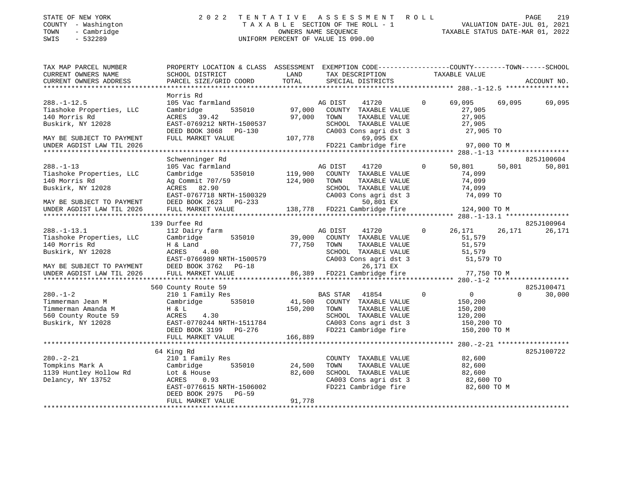| STATE OF NEW YORK |                          |            |
|-------------------|--------------------------|------------|
| <b>COUNTY</b>     | $\sim$                   | Washington |
| TOWN              | $\overline{\phantom{0}}$ | Cambridge  |

### STATE OF NEW YORK 2 0 2 2 T E N T A T I V E A S S E S S M E N T R O L L PAGE 219 COUNTY - Washington T A X A B L E SECTION OF THE ROLL - 1 VALUATION DATE-JUL 01, 2021 TOWN - Cambridge OWNERS NAME SEQUENCE TAXABLE STATUS DATE-MAR 01, 2022 SWIS - 532289 UNIFORM PERCENT OF VALUE IS 090.00

| TAX MAP PARCEL NUMBER<br>CURRENT OWNERS NAME<br>CURRENT OWNERS ADDRESS                                                                        | PROPERTY LOCATION & CLASS ASSESSMENT<br>SCHOOL DISTRICT<br>PARCEL SIZE/GRID COORD                                                                                           | LAND<br>TOTAL                 | EXEMPTION CODE-----------------COUNTY-------TOWN------SCHOOL<br>TAX DESCRIPTION<br>SPECIAL DISTRICTS                                                    | TAXABLE VALUE                                                                                | ACCOUNT NO.                      |
|-----------------------------------------------------------------------------------------------------------------------------------------------|-----------------------------------------------------------------------------------------------------------------------------------------------------------------------------|-------------------------------|---------------------------------------------------------------------------------------------------------------------------------------------------------|----------------------------------------------------------------------------------------------|----------------------------------|
|                                                                                                                                               |                                                                                                                                                                             |                               |                                                                                                                                                         |                                                                                              |                                  |
| $288. - 1 - 12.5$<br>Tiashoke Properties, LLC<br>140 Morris Rd<br>Buskirk, NY 12028<br>MAY BE SUBJECT TO PAYMENT<br>UNDER AGDIST LAW TIL 2026 | Morris Rd<br>105 Vac farmland<br>535010<br>Cambridge<br>ACRES 39.42<br>EAST-0769212 NRTH-1500537<br>DEED BOOK 3068<br>PG-130<br>FULL MARKET VALUE                           | 97,000<br>97,000<br>107,778   | AG DIST<br>41720<br>COUNTY TAXABLE VALUE<br>TOWN<br>TAXABLE VALUE<br>SCHOOL TAXABLE VALUE<br>CA003 Cons agri dst 3<br>69,095 EX<br>FD221 Cambridge fire | $\overline{0}$<br>69,095<br>27,905<br>27,905<br>27,905<br>27,905 TO<br>97,000 TO M           | 69,095<br>69,095                 |
|                                                                                                                                               |                                                                                                                                                                             |                               |                                                                                                                                                         |                                                                                              |                                  |
| $288. - 1 - 13$<br>Tiashoke Properties, LLC<br>140 Morris Rd<br>Buskirk, NY 12028<br>MAY BE SUBJECT TO PAYMENT<br>UNDER AGDIST LAW TIL 2026   | Schwenninger Rd<br>105 Vac farmland<br>535010<br>Cambridge<br>Ag Commit 707/59<br>ACRES 82.90<br>EAST-0767718 NRTH-1500329<br>DEED BOOK 2623<br>PG-233<br>FULL MARKET VALUE | 119,900<br>124,900<br>138,778 | AG DIST<br>41720<br>COUNTY TAXABLE VALUE<br>TOWN<br>TAXABLE VALUE<br>SCHOOL TAXABLE VALUE<br>CA003 Cons agri dst 3<br>50,801 EX<br>FD221 Cambridge fire | $\overline{0}$<br>50,801<br>74,099<br>74,099<br>74,099<br>74,099 TO<br>124,900 TO M          | 825J100604<br>50,801<br>50,801   |
| *********************                                                                                                                         | ***************************                                                                                                                                                 |                               |                                                                                                                                                         |                                                                                              |                                  |
| $288. - 1 - 13.1$<br>Tiashoke Properties, LLC<br>140 Morris Rd<br>Buskirk, NY 12028<br>MAY BE SUBJECT TO PAYMENT                              | 139 Durfee Rd<br>112 Dairy farm<br>535010<br>Cambridge<br>H & Land<br>4.00<br>ACRES<br>EAST-0766989 NRTH-1500579<br>DEED BOOK 3762 PG-18                                    | 39,000<br>77,750              | AG DIST<br>41720<br>COUNTY TAXABLE VALUE<br>TAXABLE VALUE<br>TOWN<br>SCHOOL TAXABLE VALUE<br>CA003 Cons agri dst 3<br>26,171 EX                         | 26,171<br>$\mathbf 0$<br>51,579<br>51,579<br>51,579<br>51,579 TO                             | 825J100964<br>26,171<br>26,171   |
| UNDER AGDIST LAW TIL 2026                                                                                                                     | FULL MARKET VALUE                                                                                                                                                           | 86,389                        | FD221 Cambridge fire                                                                                                                                    | 77,750 TO M                                                                                  |                                  |
|                                                                                                                                               |                                                                                                                                                                             |                               |                                                                                                                                                         |                                                                                              |                                  |
| $280. -1 - 2$<br>Timmerman Jean M<br>Timmerman Amanda M<br>560 County Route 59<br>Buskirk, NY 12028                                           | 560 County Route 59<br>210 1 Family Res<br>535010<br>Cambridge<br>H & L<br>4.30<br>ACRES<br>EAST-0770244 NRTH-1511784<br>DEED BOOK 3199 PG-276                              | 41,500<br>150,200             | <b>BAS STAR</b><br>41854<br>COUNTY TAXABLE VALUE<br>TAXABLE VALUE<br>TOWN<br>SCHOOL TAXABLE VALUE<br>CA003 Cons agri dst 3<br>FD221 Cambridge fire      | $\mathbf 0$<br>$\overline{0}$<br>150,200<br>150,200<br>120,200<br>150,200 TO<br>150,200 TO M | 825J100471<br>$\Omega$<br>30,000 |
|                                                                                                                                               | FULL MARKET VALUE                                                                                                                                                           | 166,889                       |                                                                                                                                                         |                                                                                              |                                  |
| $280. - 2 - 21$<br>Tompkins Mark A<br>1139 Huntley Hollow Rd<br>Delancy, NY 13752                                                             | 64 King Rd<br>210 1 Family Res<br>Cambridge<br>535010<br>Lot & House<br>ACRES<br>0.93<br>EAST-0776615 NRTH-1506002<br>DEED BOOK 2975<br>$PG-59$<br>FULL MARKET VALUE        | 24,500<br>82,600<br>91,778    | COUNTY TAXABLE VALUE<br>TAXABLE VALUE<br>TOWN<br>SCHOOL TAXABLE VALUE<br>CA003 Cons agri dst 3<br>FD221 Cambridge fire                                  | 82,600<br>82,600<br>82,600<br>82,600 TO<br>82,600 TO M                                       | 825J100722                       |
|                                                                                                                                               |                                                                                                                                                                             |                               |                                                                                                                                                         |                                                                                              |                                  |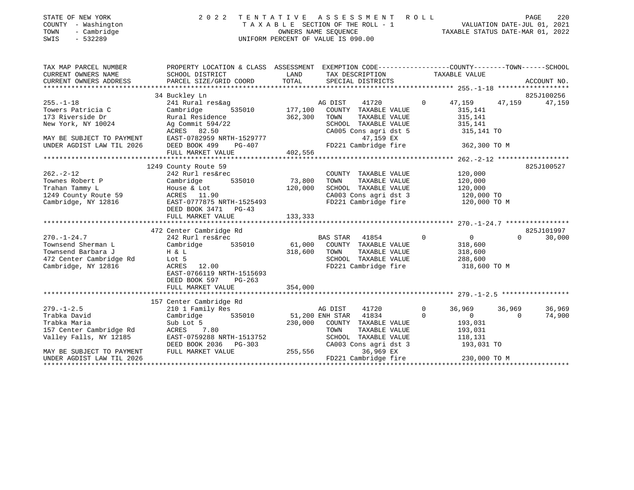| STATE OF NEW YORK   | 2022 TENTATIVE ASSESSMENT ROLL     | PAGE                             | 220 |
|---------------------|------------------------------------|----------------------------------|-----|
| COUNTY - Washington | TAXABLE SECTION OF THE ROLL - 1    | VALUATION DATE-JUL 01, 2021      |     |
| TOWN<br>- Cambridge | OWNERS NAME SEOUENCE               | TAXABLE STATUS DATE-MAR 01, 2022 |     |
| - 532289<br>SWIS    | UNIFORM PERCENT OF VALUE IS 090.00 |                                  |     |

| TAX MAP PARCEL NUMBER     | PROPERTY LOCATION & CLASS ASSESSMENT EXEMPTION CODE---------------COUNTY-------TOWN-----SCHOOL                                                                                                                                                                                                                                                                                                                                              |         |                                                                                                                                                                                                                                                     |                |                                  |                    |
|---------------------------|---------------------------------------------------------------------------------------------------------------------------------------------------------------------------------------------------------------------------------------------------------------------------------------------------------------------------------------------------------------------------------------------------------------------------------------------|---------|-----------------------------------------------------------------------------------------------------------------------------------------------------------------------------------------------------------------------------------------------------|----------------|----------------------------------|--------------------|
| CURRENT OWNERS NAME       | SCHOOL DISTRICT                                                                                                                                                                                                                                                                                                                                                                                                                             |         | LAND TAX DESCRIPTION TAXABLE VALUE                                                                                                                                                                                                                  |                |                                  |                    |
| CURRENT OWNERS ADDRESS    |                                                                                                                                                                                                                                                                                                                                                                                                                                             |         |                                                                                                                                                                                                                                                     |                |                                  |                    |
|                           |                                                                                                                                                                                                                                                                                                                                                                                                                                             |         |                                                                                                                                                                                                                                                     |                |                                  |                    |
|                           | 34 Buckley Ln                                                                                                                                                                                                                                                                                                                                                                                                                               |         |                                                                                                                                                                                                                                                     |                |                                  | 825J100256         |
| $255. -1 - 18$            | 241 Rural res&ag<br>241 Rural res&ag<br>241 Rural res&ag<br>2535010 177,100 COUNTY TAXABLE VALUE                                                                                                                                                                                                                                                                                                                                            |         |                                                                                                                                                                                                                                                     |                | 0 $47,159$ $47,159$              | 47,159             |
| Towers Patricia C         |                                                                                                                                                                                                                                                                                                                                                                                                                                             |         |                                                                                                                                                                                                                                                     |                | 315,141                          |                    |
|                           | 173 Riverside Dr Rural Residence 362,300 TOWN                                                                                                                                                                                                                                                                                                                                                                                               |         | TAXABLE VALUE 315,141                                                                                                                                                                                                                               |                |                                  |                    |
| New York, NY 10024        | Ag Commit 594/22                                                                                                                                                                                                                                                                                                                                                                                                                            |         | SCHOOL TAXABLE VALUE 315,141<br>CA005 Cons agri dst 5 315,141 TO                                                                                                                                                                                    |                |                                  |                    |
|                           |                                                                                                                                                                                                                                                                                                                                                                                                                                             |         |                                                                                                                                                                                                                                                     |                |                                  |                    |
| MAY BE SUBJECT TO PAYMENT |                                                                                                                                                                                                                                                                                                                                                                                                                                             |         |                                                                                                                                                                                                                                                     |                |                                  |                    |
| UNDER AGDIST LAW TIL 2026 |                                                                                                                                                                                                                                                                                                                                                                                                                                             |         |                                                                                                                                                                                                                                                     |                |                                  |                    |
|                           |                                                                                                                                                                                                                                                                                                                                                                                                                                             |         |                                                                                                                                                                                                                                                     |                |                                  |                    |
|                           |                                                                                                                                                                                                                                                                                                                                                                                                                                             |         |                                                                                                                                                                                                                                                     |                |                                  |                    |
|                           | $\begin{tabular}{lllllllllllll} & & & & 1249 \text{ County Route 59} & & & & & \text{COUNT} \\ \text{Townes Robert P} & & & 242 \text{ Rurl res\&rec} & & & \text{COUNT} \\ \text{Trahan Tammy L} & & & \text{House & Lott} & 535010 & 73,800 & \text{TOWN} \\ 1249 \text{ County Route 59} & & & \text{House & Lott} & 120,000 & \text{SCHOO:} \\ \text{Cambridge, NY 12816} & & & \text{EAST-0777875 NRTH-1525493} & & & \text{FD221} \\$ |         |                                                                                                                                                                                                                                                     |                |                                  | 825J100527         |
|                           |                                                                                                                                                                                                                                                                                                                                                                                                                                             |         | $\begin{tabular}{lllllllll} \multicolumn{4}{c}{\text{COUNTY}} & \text{TAXABLE VALUE} & & & & 120,000 \\ \multicolumn{4}{c}{\text{TAXABLE VALUE}} & & & 120,000 \\ \multicolumn{4}{c}{\text{TAXABLE} & \text{VALUE}} & & & 120,000 \\ \end{tabular}$ |                |                                  |                    |
|                           |                                                                                                                                                                                                                                                                                                                                                                                                                                             |         |                                                                                                                                                                                                                                                     |                |                                  |                    |
|                           |                                                                                                                                                                                                                                                                                                                                                                                                                                             |         | SCHOOL TAXABLE VALUE 120,000                                                                                                                                                                                                                        |                |                                  |                    |
|                           |                                                                                                                                                                                                                                                                                                                                                                                                                                             |         | CA003 Cons agri dst 3 120,000 TO                                                                                                                                                                                                                    |                |                                  |                    |
|                           |                                                                                                                                                                                                                                                                                                                                                                                                                                             |         | FD221 Cambridge fire 120,000 TO M                                                                                                                                                                                                                   |                |                                  |                    |
|                           | DEED BOOK 3471 PG-43                                                                                                                                                                                                                                                                                                                                                                                                                        |         |                                                                                                                                                                                                                                                     |                |                                  |                    |
|                           |                                                                                                                                                                                                                                                                                                                                                                                                                                             |         |                                                                                                                                                                                                                                                     |                |                                  |                    |
|                           |                                                                                                                                                                                                                                                                                                                                                                                                                                             |         |                                                                                                                                                                                                                                                     |                |                                  | 825J101997         |
|                           | 472 Center Cambridge Rd                                                                                                                                                                                                                                                                                                                                                                                                                     |         |                                                                                                                                                                                                                                                     |                |                                  | $\Omega$<br>30,000 |
|                           |                                                                                                                                                                                                                                                                                                                                                                                                                                             |         |                                                                                                                                                                                                                                                     |                |                                  |                    |
|                           |                                                                                                                                                                                                                                                                                                                                                                                                                                             |         | TAXABLE VALUE 318,600                                                                                                                                                                                                                               |                |                                  |                    |
|                           | Townsend Barbara J $\begin{array}{ccc} H & \& L \\ 472 & \text{Center Cambridge Rd} \\ \text{Cambridge, NY } 12816 \end{array}$ H $\begin{array}{ccc} H & \& L \\ \text{Lot} & 5 \\ \text{ACRES} & 12.00 \end{array}$ $\begin{array}{ccc} 318,600 & \text{TOWN} \\ \text{SCHOOL} \\ \text{FD221 C} \end{array}$                                                                                                                             |         |                                                                                                                                                                                                                                                     |                | 288,600                          |                    |
|                           |                                                                                                                                                                                                                                                                                                                                                                                                                                             |         | SCHOOL TAXABLE VALUE<br>FD221 Cambridge fire                                                                                                                                                                                                        |                | 318,600 TO M                     |                    |
|                           | EAST-0766119 NRTH-1515693                                                                                                                                                                                                                                                                                                                                                                                                                   |         |                                                                                                                                                                                                                                                     |                |                                  |                    |
|                           | DEED BOOK 597 PG-263                                                                                                                                                                                                                                                                                                                                                                                                                        |         |                                                                                                                                                                                                                                                     |                |                                  |                    |
|                           | FULL MARKET VALUE 354,000                                                                                                                                                                                                                                                                                                                                                                                                                   |         |                                                                                                                                                                                                                                                     |                |                                  |                    |
|                           |                                                                                                                                                                                                                                                                                                                                                                                                                                             |         |                                                                                                                                                                                                                                                     |                |                                  |                    |
|                           | 157 Center Cambridge Rd                                                                                                                                                                                                                                                                                                                                                                                                                     |         |                                                                                                                                                                                                                                                     |                |                                  |                    |
| $279. - 1 - 2.5$          |                                                                                                                                                                                                                                                                                                                                                                                                                                             |         | 41720 0                                                                                                                                                                                                                                             |                | 36,969 36,969                    | 36,969             |
| Trabka David              | 210 1 Family Res<br>Cambridge 535010 51,200 ENH STAR 41834<br>Sub Lot 5 535010 536000 COUNTY TAXABLE VALUE<br>ACRES 7.80 TOWN TAXABLE VALUE                                                                                                                                                                                                                                                                                                 |         |                                                                                                                                                                                                                                                     | $\overline{0}$ | $\overline{0}$<br>$\overline{0}$ | 74,900             |
| Trabka Maria              |                                                                                                                                                                                                                                                                                                                                                                                                                                             |         | 230,000 COUNTY TAXABLE VALUE 193,031                                                                                                                                                                                                                |                |                                  |                    |
| 157 Center Cambridge Rd   |                                                                                                                                                                                                                                                                                                                                                                                                                                             |         | TAXABLE VALUE 193,031                                                                                                                                                                                                                               |                |                                  |                    |
| Valley Falls, NY 12185    |                                                                                                                                                                                                                                                                                                                                                                                                                                             |         |                                                                                                                                                                                                                                                     |                |                                  |                    |
|                           | EAST-0759288 NRTH-1513752<br>DEED BOOK 2036 PG-303                                                                                                                                                                                                                                                                                                                                                                                          |         | SCHOOL TAXABLE VALUE 118,131<br>CA003 Cons agri dst 3 193,031                                                                                                                                                                                       |                | 193,031 TO                       |                    |
| MAY BE SUBJECT TO PAYMENT | FULL MARKET VALUE                                                                                                                                                                                                                                                                                                                                                                                                                           | 255,556 | 36,969 EX                                                                                                                                                                                                                                           |                |                                  |                    |
| UNDER AGDIST LAW TIL 2026 |                                                                                                                                                                                                                                                                                                                                                                                                                                             |         | FD221 Cambridge fire 230,000 TO M                                                                                                                                                                                                                   |                |                                  |                    |
|                           |                                                                                                                                                                                                                                                                                                                                                                                                                                             |         |                                                                                                                                                                                                                                                     |                |                                  |                    |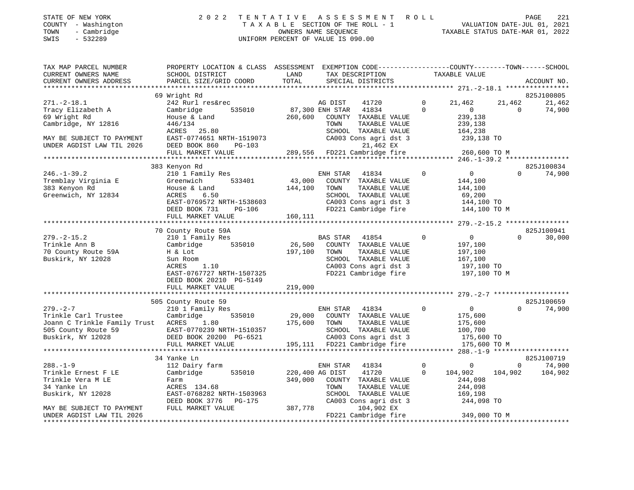| STATE OF NEW YORK |                          |              |
|-------------------|--------------------------|--------------|
| <b>COUNTY</b>     |                          | - Washington |
| TOWN              | $\overline{\phantom{0}}$ | Cambridge    |

### STATE OF NEW YORK 2 0 2 2 T E N T A T I V E A S S E S S M E N T R O L L PAGE 221 COUNTY - Washington T A X A B L E SECTION OF THE ROLL - 1 VALUATION DATE-JUL 01, 2021 TOWN - Cambridge OWNERS NAME SEQUENCE TAXABLE STATUS DATE-MAR 01, 2022 SWIS - 532289 UNIFORM PERCENT OF VALUE IS 090.00

| TAX MAP PARCEL NUMBER<br>CURRENT OWNERS NAME                                                                                            | PROPERTY LOCATION & CLASS ASSESSMENT EXEMPTION CODE----------------COUNTY-------TOWN-----SCHOOL<br>SCHOOL DISTRICT                                        | LAND                              | TAX DESCRIPTION                                                                                                                                          |                            | TAXABLE VALUE                                                                 |                           |                                 |
|-----------------------------------------------------------------------------------------------------------------------------------------|-----------------------------------------------------------------------------------------------------------------------------------------------------------|-----------------------------------|----------------------------------------------------------------------------------------------------------------------------------------------------------|----------------------------|-------------------------------------------------------------------------------|---------------------------|---------------------------------|
| CURRENT OWNERS ADDRESS                                                                                                                  | PARCEL SIZE/GRID COORD                                                                                                                                    | TOTAL                             | SPECIAL DISTRICTS                                                                                                                                        |                            |                                                                               |                           | ACCOUNT NO.                     |
|                                                                                                                                         |                                                                                                                                                           |                                   |                                                                                                                                                          |                            |                                                                               |                           |                                 |
| $271. - 2 - 18.1$<br>Tracy Elizabeth A<br>69 Wright Rd<br>Cambridge, NY 12816<br>MAY BE SUBJECT TO PAYMENT<br>UNDER AGDIST LAW TIL 2026 | 69 Wright Rd<br>242 Rurl res&rec<br>Cambridge<br>535010<br>House & Land<br>446/134<br>ACRES 25.80<br>EAST-0774651 NRTH-1519073<br>DEED BOOK 860<br>PG-103 | 260,600                           | AG DIST<br>41720<br>87,300 ENH STAR 41834<br>COUNTY TAXABLE VALUE<br>TOWN<br>TAXABLE VALUE<br>SCHOOL TAXABLE VALUE<br>CA003 Cons agri dst 3<br>21,462 EX | $\mathbf 0$<br>$\Omega$    | 21,462<br>$\overline{0}$<br>239,138<br>239,138<br>164,238<br>239,138 TO       | 21,462<br>$\Omega$        | 825J100805<br>21,462<br>74,900  |
|                                                                                                                                         | FULL MARKET VALUE                                                                                                                                         |                                   | 289,556 FD221 Cambridge fire 260,600 TO M                                                                                                                |                            |                                                                               |                           |                                 |
|                                                                                                                                         |                                                                                                                                                           |                                   |                                                                                                                                                          |                            |                                                                               |                           |                                 |
|                                                                                                                                         | 383 Kenyon Rd                                                                                                                                             |                                   |                                                                                                                                                          |                            |                                                                               |                           | 825J100834                      |
| $246. - 1 - 39.2$<br>Tremblay Virginia E<br>383 Kenyon Rd<br>Greenwich, NY 12834                                                        | 210 1 Family Res<br>533401<br>Greenwich<br>House & Land<br>6.50<br>ACRES<br>EAST-0769572 NRTH-1538603<br>PG-106<br>DEED BOOK 731<br>FULL MARKET VALUE     | 43,000<br>144,100<br>160,111      | ENH STAR<br>41834<br>COUNTY TAXABLE VALUE<br>TOWN<br>TAXABLE VALUE<br>SCHOOL TAXABLE VALUE<br>CA003 Cons agri dst 3<br>FD221 Cambridge fire              | $\overline{0}$             | $\overline{0}$<br>144,100<br>144,100<br>69,200<br>144,100 TO<br>144,100 TO M  | $\Omega$                  | 74,900                          |
|                                                                                                                                         |                                                                                                                                                           |                                   |                                                                                                                                                          |                            |                                                                               |                           |                                 |
|                                                                                                                                         | 70 County Route 59A                                                                                                                                       |                                   |                                                                                                                                                          |                            |                                                                               |                           | 825J100941                      |
| $279. - 2 - 15.2$<br>Trinkle Ann B<br>70 County Route 59A<br>Buskirk, NY 12028                                                          | 210 1 Family Res<br>535010<br>Cambridge<br>H & Lot<br>Sun Room<br>1.10<br>ACRES<br>EAST-0767727 NRTH-1507325<br>DEED BOOK 20210 PG-5149                   | $26,500$ <sup>BZ</sup><br>197,100 | <b>BAS STAR</b><br>41854<br>COUNTY TAXABLE VALUE<br>TOWN<br>TAXABLE VALUE<br>SCHOOL TAXABLE VALUE<br>CA003 Cons agri dst 3<br>FD221 Cambridge fire       | $\circ$                    | $\overline{0}$<br>197,100<br>197,100<br>167,100<br>197,100 TO<br>197,100 TO M | $\Omega$                  | 30,000                          |
|                                                                                                                                         | FULL MARKET VALUE                                                                                                                                         | 219,000                           |                                                                                                                                                          |                            |                                                                               |                           |                                 |
|                                                                                                                                         | 505 County Route 59                                                                                                                                       |                                   |                                                                                                                                                          |                            |                                                                               |                           | 825J100659                      |
| $279. - 2 - 7$<br>Trinkle Carl Trustee<br>Joann C Trinkle Family Trust ACRES 1.80                                                       | 210 1 Family Res<br>Cambridge<br>535010<br>FULL MARKET VALUE                                                                                              | 175,600 TOWN                      | ENH STAR 41834<br>29,000 COUNTY TAXABLE VALUE<br>TAXABLE VALUE<br>SCHOOL TAXABLE VALUE<br>CA003 Cons agri dst 3<br>195,111 FD221 Cambridge fire          | $\Omega$                   | $\overline{0}$<br>175,600<br>175,600<br>100,700<br>175,600 TO<br>175,600 TO M | $\Omega$                  | 74,900                          |
|                                                                                                                                         |                                                                                                                                                           |                                   |                                                                                                                                                          |                            |                                                                               |                           |                                 |
| $288. - 1 - 9$<br>Trinkle Ernest F LE<br>Trinkle Vera M LE<br>34 Yanke Ln<br>Buskirk, NY 12028                                          | 34 Yanke Ln<br>112 Dairy farm<br>535010<br>Cambridge<br>Farm<br>ACRES 134.68<br>EAST-0768282 NRTH-1503963                                                 | 220,400 AG DIST<br>349,000        | ENH STAR 41834<br>41720<br>COUNTY TAXABLE VALUE<br>TAXABLE VALUE<br>TOWN<br>SCHOOL TAXABLE VALUE                                                         | $\overline{0}$<br>$\Omega$ | $\overline{0}$<br>104,902<br>244,098<br>244,098<br>169,198                    | $\overline{0}$<br>104,902 | 825J100719<br>74,900<br>104,902 |
| MAY BE SUBJECT TO PAYMENT<br>UNDER AGDIST LAW TIL 2026<br>********************                                                          | DEED BOOK 3776 PG-175<br>FULL MARKET VALUE                                                                                                                | 387,778                           | CA003 Cons agri dst 3<br>104,902 EX<br>FD221 Cambridge fire                                                                                              |                            | 244,098 TO<br>349,000 TO M                                                    |                           |                                 |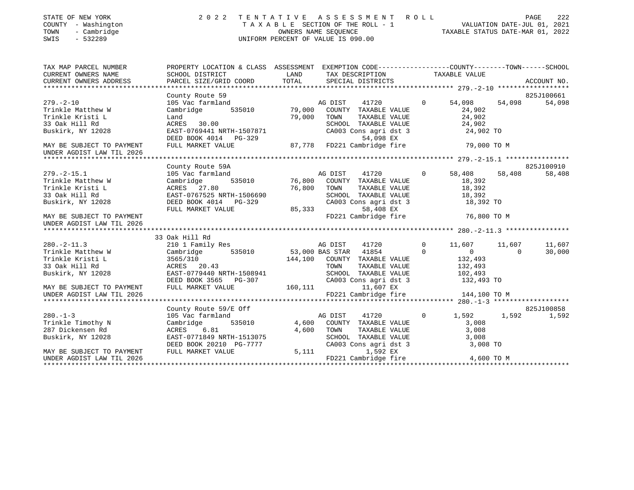| STATE OF NEW YORK<br>COUNTY - Washington<br>TOWN<br>- Cambridge<br>SWIS<br>$-532289$ | 2 0 2 2                                                                                          |             | TAXABLE SECTION OF THE ROLL - 1<br>TAXABLE SECTION OF THE ROLL - 1<br>OWNERS NAME SEQUENCE<br>TAXABLE STATUS DATE-MAR 01, 2022<br>UNIFORM PERCENT OF VALUE IS 090.00 |              |                       |                |             |
|--------------------------------------------------------------------------------------|--------------------------------------------------------------------------------------------------|-------------|----------------------------------------------------------------------------------------------------------------------------------------------------------------------|--------------|-----------------------|----------------|-------------|
| TAX MAP PARCEL NUMBER                                                                | PROPERTY LOCATION & CLASS ASSESSMENT EXEMPTION CODE----------------COUNTY-------TOWN------SCHOOL |             |                                                                                                                                                                      |              |                       |                |             |
| CURRENT OWNERS NAME                                                                  | SCHOOL DISTRICT                                                                                  | LAND        | TAX DESCRIPTION TAXABLE VALUE                                                                                                                                        |              |                       |                |             |
| CURRENT OWNERS ADDRESS                                                               | PARCEL SIZE/GRID COORD TOTAL                                                                     |             | SPECIAL DISTRICTS                                                                                                                                                    |              |                       |                | ACCOUNT NO. |
|                                                                                      |                                                                                                  |             |                                                                                                                                                                      |              |                       |                |             |
| $279. - 2 - 10$                                                                      | County Route 59                                                                                  |             |                                                                                                                                                                      | $\Omega$     |                       |                | 825J100661  |
| Trinkle Matthew W                                                                    | 105 Vac farmland<br>Cambridge 535010 79,000                                                      |             | AG DIST<br>41720<br>COUNTY TAXABLE VALUE                                                                                                                             |              | 54,098<br>24,902      | 54,098         | 54,098      |
| Trinkle Kristi L                                                                     | Land                                                                                             | 79,000      | TOWN                                                                                                                                                                 |              | 24,902                |                |             |
| 33 Oak Hill Rd                                                                       | ACRES 30.00                                                                                      |             | TAXABLE VALUE                                                                                                                                                        |              | 24,902<br>24,902      |                |             |
| Buskirk, NY 12028                                                                    | EAST-0769441 NRTH-1507871                                                                        |             | SCHOOL TAXABLE VALUE 24,902<br>CA003 Cons agri dst 3 24,902 TO                                                                                                       |              |                       |                |             |
|                                                                                      | DEED BOOK 4014 PG-329                                                                            |             | 54,098 EX                                                                                                                                                            |              |                       |                |             |
| MAY BE SUBJECT TO PAYMENT                                                            | FULL MARKET VALUE                                                                                |             | 87,778 FD221 Cambridge fire 39,000 TO M                                                                                                                              |              |                       |                |             |
| UNDER AGDIST LAW TIL 2026                                                            |                                                                                                  |             |                                                                                                                                                                      |              |                       |                |             |
|                                                                                      |                                                                                                  |             |                                                                                                                                                                      |              |                       |                |             |
|                                                                                      | County Route 59A                                                                                 |             |                                                                                                                                                                      |              |                       |                | 825J100910  |
| $279. - 2 - 15.1$                                                                    | 105 Vac farmland<br>$\begin{array}{c} \text{cmland} \ \text{535010} \end{array}$                 | A<br>76,800 | AG DIST<br>41720                                                                                                                                                     | $\Omega$     | 58,408                | 58,408         | 58,408      |
| Trinkle Matthew W                                                                    | Cambridge                                                                                        |             | COUNTY TAXABLE VALUE                                                                                                                                                 |              | 18,392                |                |             |
| Trinkle Kristi L                                                                     | ACRES 27.80                                                                                      | 76,800      | TAXABLE VALUE<br>TOWN                                                                                                                                                |              | 18,392                |                |             |
| 33 Oak Hill Rd                                                                       | EAST-0767525 NRTH-1506690                                                                        |             |                                                                                                                                                                      |              |                       |                |             |
| Buskirk, NY 12028                                                                    | DEED BOOK 4014 PG-329                                                                            | 85,333      | SCHOOL TAXABLE VALUE 18,392<br>CA003 Cons agri dst 3 18,392 TO                                                                                                       |              |                       |                |             |
|                                                                                      | FULL MARKET VALUE                                                                                |             | 58,408 EX                                                                                                                                                            |              |                       |                |             |
| MAY BE SUBJECT TO PAYMENT                                                            |                                                                                                  |             | FD221 Cambridge fire 76,800 TO M                                                                                                                                     |              |                       |                |             |
| UNDER AGDIST LAW TIL 2026                                                            |                                                                                                  |             |                                                                                                                                                                      |              |                       |                |             |
|                                                                                      | 33 Oak Hill Rd                                                                                   |             |                                                                                                                                                                      |              |                       |                |             |
| $280. -2 - 11.3$                                                                     | 210 1 Family Res                                                                                 |             | AG DIST<br>41720                                                                                                                                                     | $\circ$      | 11,607                | 11,607         | 11,607      |
|                                                                                      | Cambridge 535010                                                                                 |             | 53,000 BAS STAR 41854                                                                                                                                                | $\mathbf{0}$ | $\overline{0}$        | $\overline{0}$ | 30,000      |
| Trinkle Matthew W<br>Trinkle Kristi L                                                |                                                                                                  |             | 144,100 COUNTY TAXABLE VALUE                                                                                                                                         |              | 132,493               |                |             |
| 33 Oak Hill Rd                                                                       | 3565/310<br>ACRES 20.43                                                                          |             | TOWN<br>TAXABLE VALUE                                                                                                                                                |              | 132,493               |                |             |
| Buskirk, NY 12028                                                                    | EAST-0779440 NRTH-1508941                                                                        |             | SCHOOL TAXABLE VALUE                                                                                                                                                 |              |                       |                |             |
|                                                                                      | DEED BOOK 3565 PG-307                                                                            |             | CA003 Cons agri dst 3                                                                                                                                                |              | 102,493<br>132,493 TO |                |             |
| MAY BE SUBJECT TO PAYMENT                                                            | FULL MARKET VALUE                                                                                |             | 160,111 11,607 EX                                                                                                                                                    |              |                       |                |             |
| UNDER AGDIST LAW TIL 2026                                                            |                                                                                                  |             | FD221 Cambridge fire                                                                                                                                                 |              | 144,100 TO M          |                |             |
|                                                                                      |                                                                                                  |             |                                                                                                                                                                      |              |                       |                |             |
|                                                                                      | County Route 59/E Off                                                                            |             |                                                                                                                                                                      |              |                       |                | 825J100858  |
| $280. -1 - 3$                                                                        | 105 Vac farmland                                                                                 |             | $\sim$ 0<br>AG DIST<br>41720                                                                                                                                         |              | 1,592 1,592           |                | 1,592       |
| Trinkle Timothy N                                                                    | Cambridge 535010                                                                                 |             | 4,600 COUNTY TAXABLE VALUE                                                                                                                                           |              | 3,008                 |                |             |
| 287 Dickensen Rd                                                                     | ACRES<br>6.81                                                                                    | 4,600       | TAXABLE VALUE<br>TOWN                                                                                                                                                |              | 3,008                 |                |             |
| Buskirk, NY 12028                                                                    | EAST-0771849 NRTH-1513075                                                                        |             | SCHOOL TAXABLE VALUE<br>CA003 Cons agri dst 3                                                                                                                        |              | 3,008                 |                |             |
|                                                                                      | DEED BOOK 20210 PG-7777                                                                          |             |                                                                                                                                                                      |              | 3,008 TO              |                |             |
| MAY BE SUBJECT TO PAYMENT                                                            | FULL MARKET VALUE                                                                                | 5,111       | 1,592 EX<br>FD221 Cambridge fire 4,600 TO M                                                                                                                          |              |                       |                |             |
| UNDER AGDIST LAW TIL 2026                                                            |                                                                                                  |             |                                                                                                                                                                      |              |                       |                |             |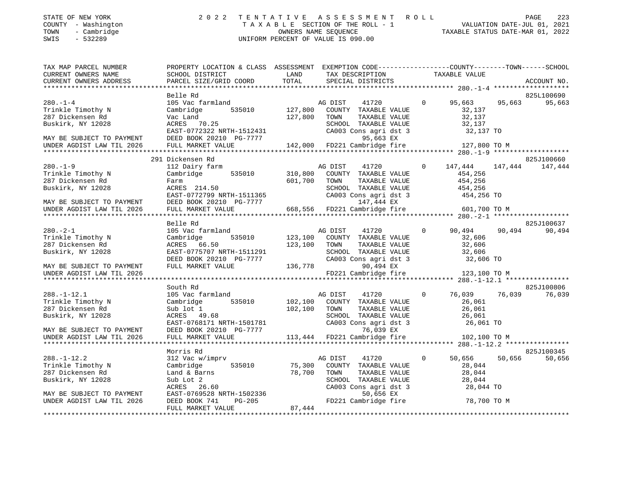| STATE OF NEW YORK |                          |            |
|-------------------|--------------------------|------------|
| COUNTY            | $\sim$                   | Washington |
| TOWN              | $\overline{\phantom{0}}$ | Cambridge  |

# STATE OF NEW YORK 2 0 2 2 T E N T A T I V E A S S E S S M E N T R O L L PAGE 223 COUNTY - Washington T A X A B L E SECTION OF THE ROLL - 1 VALUATION DATE-JUL 01, 2021 TOWN - Cambridge OWNERS NAME SEQUENCE TAXABLE STATUS DATE-MAR 01, 2022 SWIS - 532289 UNIFORM PERCENT OF VALUE IS 090.00

| TAX MAP PARCEL NUMBER<br>CURRENT OWNERS NAME<br>CURRENT OWNERS ADDRESS                                                                    | PROPERTY LOCATION & CLASS ASSESSMENT EXEMPTION CODE---------------COUNTY-------TOWN------SCHOOL<br>SCHOOL DISTRICT<br>PARCEL SIZE/GRID COORD             | LAND<br>TOTAL           | TAX DESCRIPTION<br>SPECIAL DISTRICTS                                                                                                                    |                | TAXABLE VALUE                                                    |         | ACCOUNT NO.           |
|-------------------------------------------------------------------------------------------------------------------------------------------|----------------------------------------------------------------------------------------------------------------------------------------------------------|-------------------------|---------------------------------------------------------------------------------------------------------------------------------------------------------|----------------|------------------------------------------------------------------|---------|-----------------------|
|                                                                                                                                           |                                                                                                                                                          |                         |                                                                                                                                                         |                |                                                                  |         |                       |
|                                                                                                                                           | Belle Rd                                                                                                                                                 |                         |                                                                                                                                                         |                |                                                                  |         | 825L100690            |
| $280. -1 - 4$<br>Trinkle Timothy N<br>287 Dickensen Rd<br>Buskirk, NY 12028<br>MAY BE SUBJECT TO PAYMENT                                  | 105 Vac farmland<br>535010<br>Cambridge<br>Vac Land<br>ACRES 70.25<br>EAST-0772322 NRTH-1512431<br>DEED BOOK 20210 PG-7777                               | 127,800<br>127,800      | 41720<br>AG DIST<br>COUNTY TAXABLE VALUE<br>TOWN<br>TAXABLE VALUE<br>SCHOOL TAXABLE VALUE<br>CA003 Cons agri dst 3<br>95,663 EX                         | $\Omega$       | 95,663<br>32,137<br>32,137<br>32,137<br>32,137 TO                | 95,663  | 95,663                |
| UNDER AGDIST LAW TIL 2026                                                                                                                 | FULL MARKET VALUE                                                                                                                                        |                         | 142,000 FD221 Cambridge fire                                                                                                                            |                | 127,800 TO M                                                     |         |                       |
|                                                                                                                                           |                                                                                                                                                          |                         |                                                                                                                                                         |                |                                                                  |         |                       |
| $280. - 1 - 9$<br>Trinkle Timothy N<br>287 Dickensen Rd<br>Buskirk, NY 12028<br>MAY BE SUBJECT TO PAYMENT                                 | 291 Dickensen Rd<br>112 Dairy farm<br>Cambridge 535010<br>Farm<br>ACRES 214.50<br>EAST-0772799 NRTH-1511365<br>DEED BOOK 20210 PG-7777                   | 310,800<br>601,700      | AG DIST<br>41720<br>COUNTY TAXABLE VALUE<br>TOWN<br>TAXABLE VALUE<br>SCHOOL TAXABLE VALUE<br>CA003 Cons agri dst 3<br>147,444 EX                        | $\overline{0}$ | 147,444<br>454,256<br>454,256<br>454,256<br>454,256 TO           | 147,444 | 825J100660<br>147,444 |
| UNDER AGDIST LAW TIL 2026                                                                                                                 | FULL MARKET VALUE                                                                                                                                        |                         | 668,556 FD221 Cambridge fire 601,700 TO M                                                                                                               |                |                                                                  |         |                       |
|                                                                                                                                           |                                                                                                                                                          |                         |                                                                                                                                                         |                |                                                                  |         |                       |
| $280. - 2 - 1$<br>Trinkle Timothy N<br>287 Dickensen Rd<br>Buskirk, NY 12028                                                              | Belle Rd<br>105 Vac farmland<br>Cambridge<br>535010 123,100<br>ACRES 66.50<br>EAST-0775707 NRTH-1511291                                                  | 123,100                 | AG DIST<br>41720<br>COUNTY TAXABLE VALUE<br>TOWN<br>TAXABLE VALUE<br>SCHOOL TAXABLE VALUE                                                               | $\Omega$       | 90,494<br>32,606<br>32,606<br>32,606                             | 90,494  | 825J100637<br>90,494  |
| MAY BE SUBJECT TO PAYMENT<br>UNDER AGDIST LAW TIL 2026                                                                                    | DEED BOOK 20210 PG-7777<br>FULL MARKET VALUE                                                                                                             | 136,778                 | CA003 Cons agri dst 3<br>$0.494$ FX<br>90,494 EX<br>FD221 Cambridge fire                                                                                |                | 32,606 TO<br>123,100 TO M                                        |         |                       |
|                                                                                                                                           |                                                                                                                                                          |                         |                                                                                                                                                         |                |                                                                  |         |                       |
|                                                                                                                                           | South Rd                                                                                                                                                 |                         |                                                                                                                                                         |                |                                                                  |         | 825J100806            |
| $288. - 1 - 12.1$<br>Trinkle Timothy N<br>287 Dickensen Rd<br>Buskirk, NY 12028<br>MAY BE SUBJECT TO PAYMENT                              | 105 Vac farmland<br>535010<br>Cambridge<br>Sub lot 1<br>ACRES 49.68<br>EAST-0768171 NRTH-1501781<br>DEED BOOK 20210 PG-7777                              | 102,100<br>102,100 TOWN | AG DIST<br>41720<br>COUNTY TAXABLE VALUE<br>TAXABLE VALUE<br>SCHOOL TAXABLE VALUE<br>CA003 Cons agri dst 3<br>76,039 EX                                 | $\circ$        | 76,039<br>26,061<br>26,061<br>26,061<br>26,061<br>26,061 TO      | 76,039  | 76,039                |
| UNDER AGDIST LAW TIL 2026                                                                                                                 | FULL MARKET VALUE                                                                                                                                        |                         | 113,444 FD221 Cambridge fire                                                                                                                            |                | 102,100 TO M                                                     |         |                       |
|                                                                                                                                           |                                                                                                                                                          |                         |                                                                                                                                                         |                |                                                                  |         |                       |
| $288. - 1 - 12.2$<br>Trinkle Timothy N<br>287 Dickensen Rd<br>Buskirk, NY 12028<br>MAY BE SUBJECT TO PAYMENT<br>UNDER AGDIST LAW TIL 2026 | Morris Rd<br>312 Vac w/imprv<br>Cambridge<br>535010<br>Land & Barns<br>Sub Lot 2<br>ACRES 26.60<br>$RAST-0769528$ NRTH-1502336<br>$T = 20.077741$ DG-205 | 75,300<br>78,700        | AG DIST<br>41720<br>COUNTY TAXABLE VALUE<br>TOWN<br>TAXABLE VALUE<br>SCHOOL TAXABLE VALUE<br>CA003 Cons agri dst 3<br>50,656 EX<br>FD221 Cambridge fire | $\Omega$       | 50,656<br>28,044<br>28,044<br>28,044<br>28,044 TO<br>78,700 TO M | 50,656  | 825J100345<br>50,656  |
| ************************                                                                                                                  | FULL MARKET VALUE                                                                                                                                        | 87,444                  |                                                                                                                                                         |                |                                                                  |         |                       |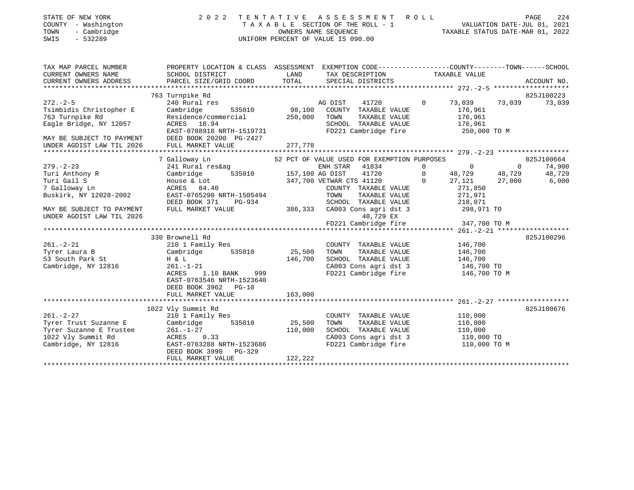| STATE OF NEW YORK<br>COUNTY - Washington<br>TOWN<br>- Cambridge<br>$-532289$<br>SWIS                                                                                                                                                 | 2022                                                                                                                                                                                                                                                                                                                                       | TENTATIVE ASSESSMENT ROLL<br>TAXABLE SECTION OF THE ROLL - 1<br>OWNERS NAME SEQUENCE<br>UNIFORM PERCENT OF VALUE IS 090.00                                                                                                                                                                                                                                                                                      | 224<br>PAGE<br>1<br>1 VALUATION DATE-JUL 01, 2021<br>TAXABLE STATUS DATE-MAR 01. 2022                                                                                                                                                                                                |
|--------------------------------------------------------------------------------------------------------------------------------------------------------------------------------------------------------------------------------------|--------------------------------------------------------------------------------------------------------------------------------------------------------------------------------------------------------------------------------------------------------------------------------------------------------------------------------------------|-----------------------------------------------------------------------------------------------------------------------------------------------------------------------------------------------------------------------------------------------------------------------------------------------------------------------------------------------------------------------------------------------------------------|--------------------------------------------------------------------------------------------------------------------------------------------------------------------------------------------------------------------------------------------------------------------------------------|
| TAX MAP PARCEL NUMBER<br>CURRENT OWNERS NAME<br>CURRENT OWNERS ADDRESS                                                                                                                                                               | SCHOOL DISTRICT<br>PARCEL SIZE/GRID COORD                                                                                                                                                                                                                                                                                                  | LAND<br>TAX DESCRIPTION<br>TOTAL<br>SPECIAL DISTRICTS                                                                                                                                                                                                                                                                                                                                                           | PROPERTY LOCATION & CLASS ASSESSMENT EXEMPTION CODE----------------COUNTY-------TOWN------SCHOOL<br>TAXABLE VALUE<br>ACCOUNT NO.                                                                                                                                                     |
| $272 - 2 - 5$<br>Tsimbidis Christopher E<br>763 Turnpike Rd<br>Eagle Bridge, NY 12057<br>MAY BE SUBJECT TO PAYMENT<br>UNDER AGDIST LAW TIL 2026                                                                                      | 763 Turnpike Rd<br>240 Rural res<br>Cambridge<br>535010<br>Residence/commercial<br>ACRES 18.94<br>EAST-0788918 NRTH-1519731<br>DEED BOOK 20200 PG-2427<br>FULL MARKET VALUE                                                                                                                                                                | 41720<br>AG DIST<br>98,100 COUNTY TAXABLE VALUE<br>250,000<br>TOWN<br>TAXABLE VALUE<br>SCHOOL TAXABLE VALUE<br>FD221 Cambridge fire<br>277,778                                                                                                                                                                                                                                                                  | 825J100223<br>$\Omega$<br>73,039<br>73,039<br>73,039<br>176,961<br>176,961<br>176,961<br>250,000 TO M                                                                                                                                                                                |
|                                                                                                                                                                                                                                      |                                                                                                                                                                                                                                                                                                                                            |                                                                                                                                                                                                                                                                                                                                                                                                                 |                                                                                                                                                                                                                                                                                      |
| $279. - 2 - 23$<br>Turi Anthony R<br>Turi Gail S<br>7 Galloway Ln<br>Buskirk, NY 12028-2002<br>MAY BE SUBJECT TO PAYMENT<br>UNDER AGDIST LAW TIL 2026<br>$261. - 2 - 21$<br>Tyrer Laura B<br>53 South Park St<br>Cambridge, NY 12816 | 7 Galloway Ln<br>241 Rural res&ag ENH STAR<br>Cambridge 535010 157,100 AG DIST<br>House & Lot<br>ACRES 84.40<br>EAST-0765290 NRTH-1505494<br>DEED BOOK 371 PG-934<br>FULL MARKET VALUE<br>330 Brownell Rd<br>210 1 Family Res<br>535010<br>Cambridge<br>H & L<br>$261. - 1 - 21$<br>999<br>ACRES<br>1.10 BANK<br>EAST-0763546 NRTH-1523640 | 52 PCT OF VALUE USED FOR EXEMPTION PURPOSES<br>ENH STAR 41834<br>41720<br>347,700 VETWAR CTS 41120<br>COUNTY TAXABLE VALUE<br>TOWN<br>TAXABLE VALUE<br>SCHOOL TAXABLE VALUE<br>386, 333<br>CA003 Cons agri dst 3 298,971 TO<br>48,729 EX<br>FD221 Cambridge fire<br>COUNTY TAXABLE VALUE<br>25,500<br>TOWN<br>TAXABLE VALUE<br>146,700<br>SCHOOL TAXABLE VALUE<br>CA003 Cons agri dst 3<br>FD221 Cambridge fire | 825J100664<br>$\overline{0}$<br>$\overline{0}$<br>$\Omega$<br>74,900<br>$\circ$<br>48,729<br>48,729<br>48,729<br>27,121<br>6,000<br>27,000<br>$\Omega$<br>271,850<br>271,971<br>218,071<br>347,700 TO M<br>825J100296<br>146,700<br>146,700<br>146,700<br>146,700 TO<br>146,700 TO M |
|                                                                                                                                                                                                                                      | DEED BOOK 3962 PG-10<br>FULL MARKET VALUE                                                                                                                                                                                                                                                                                                  | 163,000                                                                                                                                                                                                                                                                                                                                                                                                         |                                                                                                                                                                                                                                                                                      |
| $261. - 2 - 27$<br>Tyrer Trust Suzanne E<br>Tyrer Suzanne E Trustee<br>1022 Vly Summit Rd<br>Cambridge, NY 12816                                                                                                                     | 1022 Vly Summit Rd<br>210 1 Family Res<br>Cambridge<br>535010<br>261.-1-27<br>ACRES 0.33<br>EAST-0763288 NRTH-1523686<br>DEED BOOK 3990<br>PG-329<br>FULL MARKET VALUE                                                                                                                                                                     | COUNTY TAXABLE VALUE<br>25,500<br>TOWN<br>TAXABLE VALUE<br>110,000<br>SCHOOL TAXABLE VALUE<br>CA003 Cons agri dst 3<br>FD221 Cambridge fire<br>122,222                                                                                                                                                                                                                                                          | 825J100676<br>110,000<br>110,000<br>110,000<br>110,000 TO<br>110,000 TO M                                                                                                                                                                                                            |
|                                                                                                                                                                                                                                      |                                                                                                                                                                                                                                                                                                                                            |                                                                                                                                                                                                                                                                                                                                                                                                                 |                                                                                                                                                                                                                                                                                      |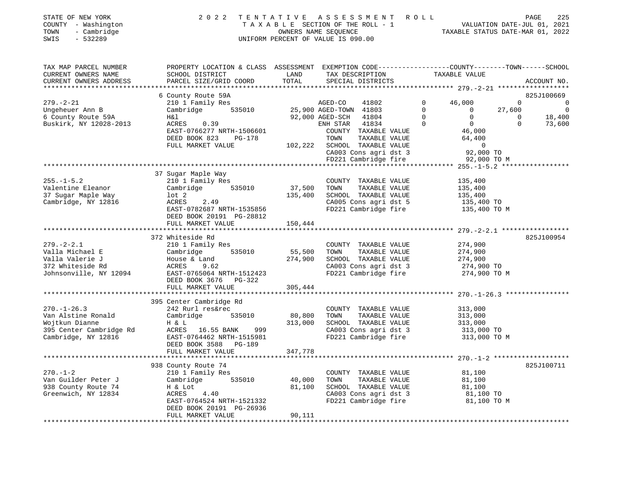| STATE OF NEW YORK   | 2022 TENTATIVE ASSESSMENT ROLL     | PAGE                             | 225 |
|---------------------|------------------------------------|----------------------------------|-----|
| COUNTY - Washington | TAXABLE SECTION OF THE ROLL - 1    | VALUATION DATE-JUL 01, 2021      |     |
| TOWN - Cambridge    | OWNERS NAME SEOUENCE               | TAXABLE STATUS DATE-MAR 01, 2022 |     |
| SWIS<br>- 532289    | UNIFORM PERCENT OF VALUE IS 090.00 |                                  |     |
|                     |                                    |                                  |     |
|                     |                                    |                                  |     |

| TAX MAP PARCEL NUMBER  | PROPERTY LOCATION & CLASS ASSESSMENT EXEMPTION CODE---------------COUNTY-------TOWN------SCHOOL                                                                                                                                                   |         |      |                                                                       |             |             |
|------------------------|---------------------------------------------------------------------------------------------------------------------------------------------------------------------------------------------------------------------------------------------------|---------|------|-----------------------------------------------------------------------|-------------|-------------|
| CURRENT OWNERS NAME    | SCHOOL DISTRICT                                                                                                                                                                                                                                   | LAND    |      |                                                                       |             |             |
| CURRENT OWNERS ADDRESS | PARCEL SIZE/GRID COORD TOTAL                                                                                                                                                                                                                      |         |      |                                                                       |             | ACCOUNT NO. |
|                        |                                                                                                                                                                                                                                                   |         |      |                                                                       |             |             |
|                        |                                                                                                                                                                                                                                                   |         |      |                                                                       |             |             |
| $279. - 2 - 21$        | 6 County Route 59A<br>210 1 Family Res<br>Cambridge 535010 25,900 AGED-TOWN 41803 0 0 27,600 0<br>H&1 92,000 AGED-SCH 41804 0 0 0 18,400<br>ENH STAR 41834 0 0 0 39<br>ACRES 0.39<br>ACRES 2.39<br>ACRES 2.39<br>ACRES 2.39<br>ACRES 2.39         |         |      |                                                                       |             |             |
| Ungeheuer Ann B        |                                                                                                                                                                                                                                                   |         |      |                                                                       |             |             |
| 6 County Route 59A     |                                                                                                                                                                                                                                                   |         |      |                                                                       |             |             |
| Buskirk, NY 12028-2013 |                                                                                                                                                                                                                                                   |         |      |                                                                       |             |             |
|                        |                                                                                                                                                                                                                                                   |         |      |                                                                       |             |             |
|                        |                                                                                                                                                                                                                                                   |         |      |                                                                       |             |             |
|                        |                                                                                                                                                                                                                                                   |         |      |                                                                       |             |             |
|                        |                                                                                                                                                                                                                                                   |         |      |                                                                       |             |             |
|                        |                                                                                                                                                                                                                                                   |         |      |                                                                       |             |             |
|                        | ACRES 0.39<br>EAST-0766277 NRTH-1506601<br>DEED BOOK 823 PG-178<br>FULL MARKET VALUE<br>TOWN TAXABLE VALUE<br>TOWN TAXABLE VALUE<br>TOWN TAXABLE VALUE<br>TOWN TAXABLE VALUE<br>TOWN TAXABLE VALUE<br>TOWN TAXABLE VALUE<br>CA003 CONS agri dst 3 |         |      |                                                                       |             |             |
|                        | Example way<br>210 1 Family Res<br>210 1 Family Res<br>CoUNTY TAXABLE VALUE<br>CoUNTY TAXABLE VALUE<br>2.49<br>2.49<br>2.49<br>2.49<br>2.49                                                                                                       |         |      |                                                                       |             |             |
| $255. - 1 - 5.2$       |                                                                                                                                                                                                                                                   |         |      |                                                                       |             |             |
|                        |                                                                                                                                                                                                                                                   |         |      |                                                                       |             |             |
| Valentine Eleanor      |                                                                                                                                                                                                                                                   |         |      |                                                                       |             |             |
| 37 Sugar Maple Way     |                                                                                                                                                                                                                                                   |         |      | SCHOOL TAXABLE VALUE 135,400<br>CA005 Cons agri dst 5 135,400 TO      |             |             |
| Cambridge, NY 12816    |                                                                                                                                                                                                                                                   |         |      |                                                                       |             |             |
|                        |                                                                                                                                                                                                                                                   |         |      |                                                                       |             |             |
|                        |                                                                                                                                                                                                                                                   |         |      |                                                                       |             |             |
|                        |                                                                                                                                                                                                                                                   |         |      |                                                                       |             |             |
|                        |                                                                                                                                                                                                                                                   |         |      |                                                                       |             |             |
|                        | 372 Whiteside Rd                                                                                                                                                                                                                                  |         |      |                                                                       |             | 825J100954  |
| $279. - 2 - 2.1$       | 210 1 Family Res                                                                                                                                                                                                                                  |         |      | COUNTY TAXABLE VALUE                                                  | 274,900     |             |
|                        | 279.-2-2.1 210 1 Family Res COUNTY TAXABLE VALUE 274,900<br>Valla Michael E Cambridge 535010 55,500 TOWN TAXABLE VALUE 274,900<br>Valla Valerie J House & Land 274,900 SCHOOL TAXABLE VALUE 274,900<br>372 Whiteside Rd ACRES 9.62 C              |         |      |                                                                       |             |             |
|                        |                                                                                                                                                                                                                                                   |         |      |                                                                       |             |             |
|                        |                                                                                                                                                                                                                                                   |         |      | CA003 Cons agri dst 3 274,900 TO<br>FD221 Cambridge fire 274,900 TO M |             |             |
|                        |                                                                                                                                                                                                                                                   |         |      |                                                                       |             |             |
|                        | DEED BOOK 3676 PG-322                                                                                                                                                                                                                             |         |      |                                                                       |             |             |
|                        | FULL MARKET VALUE                                                                                                                                                                                                                                 | 305,444 |      |                                                                       |             |             |
|                        |                                                                                                                                                                                                                                                   |         |      |                                                                       |             |             |
|                        |                                                                                                                                                                                                                                                   |         |      |                                                                       |             |             |
| $270. - 1 - 26.3$      | 395 Center Cambridge Rd<br>242 Rurl res&rec                                                                                                                                                                                                       |         |      | COUNTY TAXABLE VALUE 313,000                                          |             |             |
|                        |                                                                                                                                                                                                                                                   |         |      |                                                                       |             |             |
|                        |                                                                                                                                                                                                                                                   |         |      |                                                                       |             |             |
|                        |                                                                                                                                                                                                                                                   |         |      |                                                                       |             |             |
|                        |                                                                                                                                                                                                                                                   |         |      | CA003 Cons agri dst 3 313,000 TO<br>FD221 Cambridge fire 313,000 TO M |             |             |
|                        | DEED BOOK 3588 PG-189                                                                                                                                                                                                                             |         |      |                                                                       |             |             |
|                        | FULL MARKET VALUE                                                                                                                                                                                                                                 | 347,778 |      |                                                                       |             |             |
|                        |                                                                                                                                                                                                                                                   |         |      |                                                                       |             |             |
|                        | 938 County Route 74                                                                                                                                                                                                                               |         |      |                                                                       |             | 825J100711  |
| $270. - 1 - 2$         |                                                                                                                                                                                                                                                   |         |      | COUNTY TAXABLE VALUE                                                  | 81,100      |             |
|                        | $210$ 1 Family Res<br>Cambridge 535010 40,000                                                                                                                                                                                                     |         | TOWN |                                                                       |             |             |
| Van Guilder Peter J    |                                                                                                                                                                                                                                                   |         |      | TAXABLE VALUE 81,100<br>TAXABLE VALUE 81,100                          |             |             |
| 938 County Route 74    | 81,100<br>H & Lot                                                                                                                                                                                                                                 |         |      | SCHOOL TAXABLE VALUE 81,100<br>CA003 Cons agri dst 3 81,100 TO        |             |             |
| Greenwich, NY 12834    | ACRES 4.40<br>EAST-0764524 NRTH-1521332                                                                                                                                                                                                           |         |      |                                                                       |             |             |
|                        |                                                                                                                                                                                                                                                   |         |      | FD221 Cambridge fire                                                  | 81,100 TO M |             |
|                        | EAST-0704324 MALL --<br>DEED BOOK 20191 PG-26936<br>""" " MARKET VALUE                                                                                                                                                                            |         |      |                                                                       |             |             |
|                        |                                                                                                                                                                                                                                                   | 90,111  |      |                                                                       |             |             |
|                        |                                                                                                                                                                                                                                                   |         |      |                                                                       |             |             |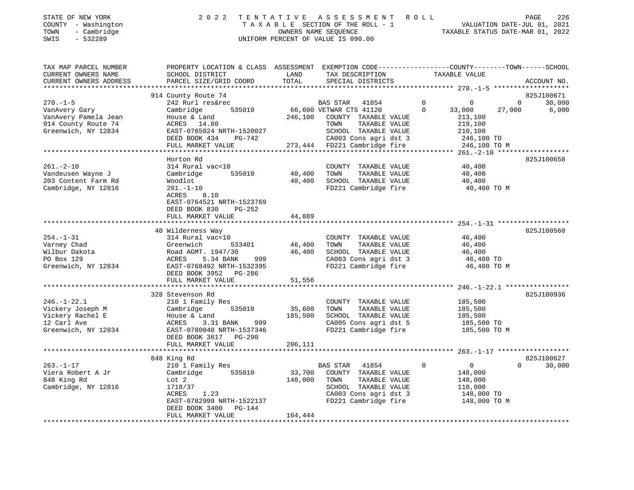| STATE OF NEW YORK   | 2022 TENTATIVE ASSESSMENT ROLL     |                      |  |                                  | PAGE | 226 |
|---------------------|------------------------------------|----------------------|--|----------------------------------|------|-----|
| COUNTY - Washington | TAXABLE SECTION OF THE ROLL - 1    |                      |  | VALUATION DATE-JUL 01, 2021      |      |     |
| - Cambridge<br>TOWN |                                    | OWNERS NAME SEOUENCE |  | TAXABLE STATUS DATE-MAR 01, 2022 |      |     |
| SWIS<br>- 532289    | UNIFORM PERCENT OF VALUE IS 090.00 |                      |  |                                  |      |     |
|                     |                                    |                      |  |                                  |      |     |

| TAX MAP PARCEL NUMBER  | PROPERTY LOCATION & CLASS ASSESSMENT EXEMPTION CODE----------------COUNTY-------TOWN-----SCHOOL |         |                                                       |                            |                    |
|------------------------|-------------------------------------------------------------------------------------------------|---------|-------------------------------------------------------|----------------------------|--------------------|
| CURRENT OWNERS NAME    | SCHOOL DISTRICT                                                                                 | LAND    | TAX DESCRIPTION                                       | TAXABLE VALUE              |                    |
| CURRENT OWNERS ADDRESS | PARCEL SIZE/GRID COORD                                                                          | TOTAL   | SPECIAL DISTRICTS                                     |                            | ACCOUNT NO.        |
|                        |                                                                                                 |         |                                                       |                            |                    |
|                        | 914 County Route 74                                                                             |         |                                                       |                            | 825J100671         |
| $270. - 1 - 5$         | 242 Rurl res&rec                                                                                |         | BAS STAR 41854                                        | $\Omega$<br>$\Omega$       | $\Omega$<br>30,000 |
| VanAvery Gary          | 535010<br>Cambridge                                                                             |         | 66,600 VETWAR CTS 41120                               | $\Omega$<br>33,000         | 6,000<br>27,000    |
| VanAvery Pamela Jean   | House & Land                                                                                    |         | 246,100 COUNTY TAXABLE VALUE                          | 213,100                    |                    |
| 914 County Route 74    | ACRES 14.80                                                                                     |         | TOWN<br>TAXABLE VALUE                                 | 219,100                    |                    |
| Greenwich, NY 12834    | $\frac{1}{2}$ EAST-0765024 NRTH-1520027                                                         |         | SCHOOL TAXABLE VALUE                                  | 210,100                    |                    |
|                        | DEED BOOK 434<br>PG-742                                                                         |         | CA003 Cons agri dst 3                                 | 246,100 TO                 |                    |
|                        | FULL MARKET VALUE                                                                               |         | CA003 Cons agri dst 3<br>273,444 FD221 Cambridge fire | 246,100 TO M               |                    |
|                        |                                                                                                 |         |                                                       |                            |                    |
|                        | Horton Rd                                                                                       |         |                                                       |                            | 825J100658         |
| $261. - 2 - 10$        | 314 Rural vac<10                                                                                |         | COUNTY TAXABLE VALUE                                  | 40,400                     |                    |
| Vandeusen Wayne J      | 535010<br>Cambridge                                                                             | 40,400  | TOWN<br>TAXABLE VALUE                                 | 40,400                     |                    |
| 203 Content Farm Rd    | Woodlot                                                                                         | 40,400  | SCHOOL TAXABLE VALUE                                  | 40,400                     |                    |
| Cambridge, NY 12816    | 261.-1-10                                                                                       |         | FD221 Cambridge fire                                  | 40,400 TO M                |                    |
|                        | ACRES<br>8.10                                                                                   |         |                                                       |                            |                    |
|                        | EAST-0764521 NRTH-1523769                                                                       |         |                                                       |                            |                    |
|                        | DEED BOOK 830<br>$PG-252$                                                                       |         |                                                       |                            |                    |
|                        | FULL MARKET VALUE                                                                               | 44,889  |                                                       |                            |                    |
|                        |                                                                                                 |         |                                                       |                            |                    |
|                        | 40 Wilderness Way                                                                               |         |                                                       |                            | 825J100560         |
| $254. - 1 - 31$        | 314 Rural vac<10                                                                                |         | COUNTY TAXABLE VALUE                                  | 46,400                     |                    |
| Varney Chad            | 533401<br>Greenwich                                                                             | 46,400  | TOWN<br>TAXABLE VALUE                                 | 46,400                     |                    |
| Wilbur Dakota          | Road AGMT. 1947/30                                                                              | 46,400  | SCHOOL TAXABLE VALUE                                  | 46,400                     |                    |
| PO Box 129             | ACRES<br>5.34 BANK<br>999                                                                       |         | CA003 Cons agri dst 3                                 | 46,400 TO                  |                    |
| Greenwich, NY 12834    |                                                                                                 |         | FD221 Cambridge fire                                  | 46,400 TO M                |                    |
|                        | EAST-0768492 NRTH-1532395                                                                       |         |                                                       |                            |                    |
|                        | DEED BOOK 3952 PG-286                                                                           |         |                                                       |                            |                    |
|                        | FULL MARKET VALUE                                                                               | 51,556  |                                                       |                            |                    |
|                        |                                                                                                 |         |                                                       |                            |                    |
|                        | 328 Stevenson Rd                                                                                |         |                                                       |                            | 825J100936         |
| $246. - 1 - 22.1$      | 210 1 Family Res                                                                                |         | COUNTY TAXABLE VALUE                                  | 185,500                    |                    |
| Vickery Joseph M       | Cambridge<br>535010                                                                             | 35,600  | TAXABLE VALUE<br>TOWN                                 | 185,500                    |                    |
| Vickery Rachel E       | House & Land                                                                                    | 185,500 | SCHOOL TAXABLE VALUE                                  | 185,500                    |                    |
| 12 Carl Ave            | 999<br>ACRES<br>3.31 BANK                                                                       |         | CA005 Cons agri dst 5                                 | 185,500 TO                 |                    |
| Greenwich, NY 12834    | EAST-0780040 NRTH-1537346                                                                       |         | FD221 Cambridge fire                                  | 185,500 TO M               |                    |
|                        | DEED BOOK 3617 PG-290                                                                           |         |                                                       |                            |                    |
|                        | FULL MARKET VALUE                                                                               | 206,111 |                                                       |                            |                    |
|                        |                                                                                                 |         |                                                       |                            |                    |
|                        | 848 King Rd                                                                                     |         |                                                       |                            | 825J100627         |
| $263. - 1 - 17$        | 210 1 Family Res                                                                                |         | <b>BAS STAR</b><br>41854                              | $\Omega$<br>$\overline{0}$ | $\Omega$<br>30,000 |
| Viera Robert A Jr      | 535010<br>Cambridge                                                                             | 33,700  | COUNTY TAXABLE VALUE                                  | 148,000                    |                    |
| 848 King Rd            | Lot 2                                                                                           | 148,000 | TAXABLE VALUE<br>TOWN                                 | 148,000                    |                    |
| Cambridge, NY 12816    | 1718/37                                                                                         |         | SCHOOL TAXABLE VALUE                                  | 118,000                    |                    |
|                        | ACRES<br>1.23                                                                                   |         | CA003 Cons agri dst 3                                 | 148,000 TO                 |                    |
|                        | EAST-0782999 NRTH-1522137                                                                       |         | FD221 Cambridge fire                                  | 148,000 TO M               |                    |
|                        | DEED BOOK 3400 PG-144                                                                           |         |                                                       |                            |                    |
|                        | FULL MARKET VALUE                                                                               | 164,444 |                                                       |                            |                    |
|                        |                                                                                                 |         |                                                       |                            |                    |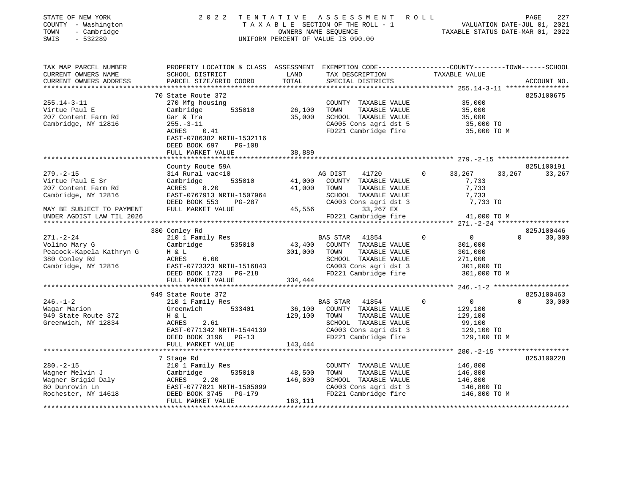| STATE OF NEW YORK         | 2022                                                                                            | TENTATIVE | A S S E S S M E N T A O L L        |                                                     | PAGE<br>227                        |
|---------------------------|-------------------------------------------------------------------------------------------------|-----------|------------------------------------|-----------------------------------------------------|------------------------------------|
| COUNTY - Washington       |                                                                                                 |           | TAXABLE SECTION OF THE ROLL - 1    |                                                     | VALUATION DATE-JUL 01, 2021        |
| TOWN<br>- Cambridge       |                                                                                                 |           | OWNERS NAME SEQUENCE               | TAXABLE STATUS DATE-MAR 01, 2022                    |                                    |
| SWIS<br>$-532289$         |                                                                                                 |           | UNIFORM PERCENT OF VALUE IS 090.00 |                                                     |                                    |
|                           |                                                                                                 |           |                                    |                                                     |                                    |
| TAX MAP PARCEL NUMBER     | PROPERTY LOCATION & CLASS ASSESSMENT EXEMPTION CODE---------------COUNTY-------TOWN------SCHOOL |           |                                    |                                                     |                                    |
| CURRENT OWNERS NAME       | SCHOOL DISTRICT                                                                                 | LAND      | TAX DESCRIPTION                    | TAXABLE VALUE                                       |                                    |
| CURRENT OWNERS ADDRESS    | PARCEL SIZE/GRID COORD                                                                          | TOTAL     | SPECIAL DISTRICTS                  |                                                     | ACCOUNT NO.                        |
|                           |                                                                                                 |           |                                    |                                                     |                                    |
|                           | 70 State Route 372                                                                              |           |                                    |                                                     | 825J100675                         |
| $255.14 - 3 - 11$         | 270 Mfg housing                                                                                 |           | COUNTY TAXABLE VALUE               | 35,000                                              |                                    |
| Virtue Paul E             | 535010<br>Cambridge                                                                             | 26,100    | TOWN<br>TAXABLE VALUE              | 35,000                                              |                                    |
| 207 Content Farm Rd       | Gar & Tra                                                                                       | 35,000    | SCHOOL TAXABLE VALUE               | 35,000                                              |                                    |
| Cambridge, NY 12816       | $255. - 3 - 11$                                                                                 |           | CA005 Cons agri dst 5              | 35,000 TO                                           |                                    |
|                           | ACRES<br>0.41                                                                                   |           | FD221 Cambridge fire               | 35,000 TO M                                         |                                    |
|                           | EAST-0786382 NRTH-1532116                                                                       |           |                                    |                                                     |                                    |
|                           |                                                                                                 |           |                                    |                                                     |                                    |
|                           | DEED BOOK 697<br>PG-108                                                                         |           |                                    |                                                     |                                    |
|                           | FULL MARKET VALUE                                                                               | 38,889    |                                    | ********************* 279.-2-15 ******************* |                                    |
|                           |                                                                                                 |           |                                    |                                                     |                                    |
|                           | County Route 59A                                                                                |           |                                    |                                                     | 825L100191                         |
| $279. - 2 - 15$           | 314 Rural vac<10                                                                                |           | AG DIST<br>41720                   | 33,267<br>$\mathbf{0}$                              | 33,267<br>33,267                   |
| Virtue Paul E Sr          | 535010<br>Cambridge                                                                             | 41,000    | COUNTY TAXABLE VALUE               | 7,733                                               |                                    |
| 207 Content Farm Rd       | 8.20<br>ACRES                                                                                   | 41,000    | TOWN<br>TAXABLE VALUE              | 7,733                                               |                                    |
| Cambridge, NY 12816       | EAST-0767913 NRTH-1507964                                                                       |           | SCHOOL TAXABLE VALUE               | 7,733                                               |                                    |
|                           | DEED BOOK 553<br>PG-287                                                                         |           | CA003 Cons agri dst 3              | 7,733 TO                                            |                                    |
| MAY BE SUBJECT TO PAYMENT | FULL MARKET VALUE                                                                               | 45,556    | 33,267 EX                          |                                                     |                                    |
| UNDER AGDIST LAW TIL 2026 |                                                                                                 |           | FD221 Cambridge fire               | 41,000 TO M                                         |                                    |
| *********************     | ******************************                                                                  |           |                                    |                                                     |                                    |
|                           | 380 Conley Rd                                                                                   |           |                                    |                                                     | 825J100446                         |
| $271. - 2 - 24$           | 210 1 Family Res                                                                                |           | BAS STAR<br>41854                  | $\mathbf 0$<br>$\overline{0}$                       | $\Omega$<br>30,000                 |
| Volino Mary G             | 535010<br>Cambridge                                                                             | 43,400    | COUNTY TAXABLE VALUE               | 301,000                                             |                                    |
| Peacock-Kapela Kathryn G  | H & L                                                                                           | 301,000   | TOWN<br>TAXABLE VALUE              | 301,000                                             |                                    |
| 380 Conley Rd             | ACRES<br>6.60                                                                                   |           | SCHOOL TAXABLE VALUE               | 271,000                                             |                                    |
| Cambridge, NY 12816       | EAST-0773323 NRTH-1516843                                                                       |           | CA003 Cons agri dst 3              | 301,000 TO                                          |                                    |
|                           | DEED BOOK 1723<br>PG-218                                                                        |           | FD221 Cambridge fire               | 301,000 TO M                                        |                                    |
|                           | FULL MARKET VALUE                                                                               | 334,444   |                                    |                                                     |                                    |
|                           |                                                                                                 |           |                                    |                                                     |                                    |
|                           | 949 State Route 372                                                                             |           |                                    |                                                     | 825J100463                         |
| $246. - 1 - 2$            | 210 1 Family Res                                                                                |           | <b>BAS STAR</b><br>41854           | $\circ$<br>$\overline{0}$                           | $\Omega$<br>30,000                 |
| Wagar Marion              | Greenwich<br>533401                                                                             | 36,100    | COUNTY TAXABLE VALUE               | 129,100                                             |                                    |
| 949 State Route 372       | H & L                                                                                           | 129,100   | TAXABLE VALUE<br>TOWN              |                                                     |                                    |
|                           |                                                                                                 |           |                                    | 129,100                                             |                                    |
| Greenwich, NY 12834       | ACRES<br>2.61                                                                                   |           | SCHOOL TAXABLE VALUE               | 99,100                                              |                                    |
|                           | EAST-0771342 NRTH-1544139                                                                       |           | CA003 Cons agri dst 3              | 129,100 TO                                          |                                    |
|                           | DEED BOOK 3196 PG-13                                                                            |           | FD221 Cambridge fire               | 129,100 TO M                                        |                                    |
|                           | FULL MARKET VALUE                                                                               | 143,444   |                                    |                                                     |                                    |
|                           |                                                                                                 |           | *********************************  |                                                     | $280 - 2 - 15$ ******************* |
|                           | 7 Stage Rd                                                                                      |           |                                    |                                                     | 825J100228                         |
| $280. -2 - 15$            | 210 1 Family Res                                                                                |           | COUNTY TAXABLE VALUE               | 146,800                                             |                                    |
| Wagner Melvin J           | 535010<br>Cambridge                                                                             | 48,500    | TOWN<br>TAXABLE VALUE              | 146,800                                             |                                    |
| Wagner Brigid Daly        | 2.20<br>ACRES                                                                                   | 146,800   | SCHOOL TAXABLE VALUE               | 146,800                                             |                                    |
| 80 Dunrovin Ln            | EAST-0777821 NRTH-1505099                                                                       |           | CA003 Cons agri dst 3              | 146,800 TO                                          |                                    |
| Rochester, NY 14618       | DEED BOOK 3745<br>PG-179                                                                        |           | FD221 Cambridge fire               | 146,800 TO M                                        |                                    |
|                           | FULL MARKET VALUE                                                                               | 163,111   |                                    |                                                     |                                    |
|                           |                                                                                                 |           |                                    |                                                     |                                    |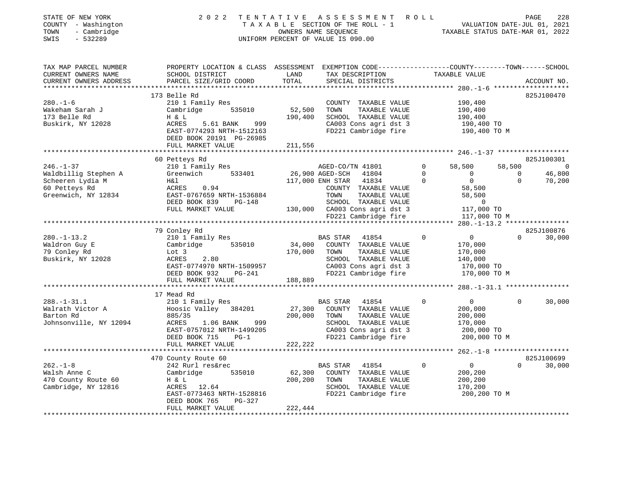| STATE OF NEW YORK<br>COUNTY - Washington<br>TOWN<br>- Cambridge<br>SWIS<br>$-532289$ | 2 0 2 2                                                                                                                                      |               | TENTATIVE ASSESSMENT ROLL<br>TAXABLE SECTION OF THE ROLL - 1 VALUATION DATE-JUL 01, 2021<br>OWNERS NAME SEQUENCE TAXABLE STATUS DATE-MAR 01, 2022<br>UNIFORM PERCENT OF VALUE IS 090.00 |                    | TAXABLE STATUS DATE-MAR 01, 2022 | PAGE<br>228                  |
|--------------------------------------------------------------------------------------|----------------------------------------------------------------------------------------------------------------------------------------------|---------------|-----------------------------------------------------------------------------------------------------------------------------------------------------------------------------------------|--------------------|----------------------------------|------------------------------|
| TAX MAP PARCEL NUMBER<br>CURRENT OWNERS NAME<br>CURRENT OWNERS ADDRESS               | PROPERTY LOCATION & CLASS ASSESSMENT EXEMPTION CODE---------------COUNTY-------TOWN------SCHOOL<br>SCHOOL DISTRICT<br>PARCEL SIZE/GRID COORD | LAND<br>TOTAL | TAX DESCRIPTION<br>SPECIAL DISTRICTS                                                                                                                                                    | TAXABLE VALUE      |                                  | ACCOUNT NO.                  |
|                                                                                      | 173 Belle Rd                                                                                                                                 |               |                                                                                                                                                                                         |                    |                                  | 825J100470                   |
| $280. - 1 - 6$                                                                       | 210 1 Family Res                                                                                                                             |               | COUNTY TAXABLE VALUE                                                                                                                                                                    |                    | 190,400                          |                              |
| Wakeham Sarah J                                                                      | Cambridge 535010                                                                                                                             | 52,500        | TOWN<br>TAXABLE VALUE                                                                                                                                                                   |                    | 190,400                          |                              |
| 173 Belle Rd                                                                         | H & L                                                                                                                                        | 190,400       | SCHOOL TAXABLE VALUE                                                                                                                                                                    |                    | 190,400                          |                              |
| Buskirk, NY 12028                                                                    | 999<br>ACRES<br>5.61 BANK                                                                                                                    |               | CA003 Cons agri dst 3                                                                                                                                                                   |                    | 190,400 TO                       |                              |
|                                                                                      | EAST-0774293 NRTH-1512163                                                                                                                    |               | FD221 Cambridge fire                                                                                                                                                                    |                    | 190,400 TO M                     |                              |
|                                                                                      | DEED BOOK 20191 PG-26985                                                                                                                     |               |                                                                                                                                                                                         |                    |                                  |                              |
|                                                                                      | FULL MARKET VALUE                                                                                                                            | 211,556       |                                                                                                                                                                                         |                    |                                  |                              |
|                                                                                      |                                                                                                                                              |               |                                                                                                                                                                                         |                    |                                  |                              |
| $246. - 1 - 37$                                                                      | 60 Petteys Rd<br>210 1 Family Res                                                                                                            |               |                                                                                                                                                                                         | $\Omega$<br>58,500 | 58,500                           | 825J100301<br>$\overline{a}$ |
| Waldbillig Stephen A                                                                 | Greenwich 533401                                                                                                                             |               | AGED-CO/TN 41801<br>26,900 AGED-SCH 41804                                                                                                                                               | $\mathbf 0$        | $\overline{0}$<br>$\mathbf 0$    | 46,800                       |
| Scheeren Lydia M                                                                     | H&l                                                                                                                                          |               | 117,000 ENH STAR<br>41834                                                                                                                                                               | $\Omega$           | 0<br>$\Omega$                    | 70,200                       |
| 60 Petteys Rd                                                                        | ACRES<br>0.94                                                                                                                                |               | COUNTY TAXABLE VALUE                                                                                                                                                                    |                    | 58,500                           |                              |
| Greenwich, NY 12834                                                                  | EAST-0767659 NRTH-1536884                                                                                                                    |               | TOWN<br>TAXABLE VALUE                                                                                                                                                                   |                    | 58,500                           |                              |
|                                                                                      | DEED BOOK 839<br>PG-148                                                                                                                      |               | SCHOOL TAXABLE VALUE                                                                                                                                                                    |                    | $\overline{0}$                   |                              |
|                                                                                      | FULL MARKET VALUE                                                                                                                            |               | 130,000 CA003 Cons agri dst 3                                                                                                                                                           |                    | 117,000 TO                       |                              |
|                                                                                      |                                                                                                                                              |               | FD221 Cambridge fire                                                                                                                                                                    |                    | 117,000 TO M                     |                              |
|                                                                                      |                                                                                                                                              |               |                                                                                                                                                                                         |                    |                                  |                              |
|                                                                                      | 79 Conley Rd                                                                                                                                 |               |                                                                                                                                                                                         |                    |                                  | 825J100876                   |
| $280. - 1 - 13.2$                                                                    | 210 1 Family Res                                                                                                                             |               | BAS STAR<br>41854                                                                                                                                                                       | $\mathbf 0$        | $\overline{0}$<br>$\Omega$       | 30,000                       |
| Waldron Guy E<br>79 Conley Rd                                                        | 535010<br>Cambridge                                                                                                                          | 170,000       | 34,000 COUNTY TAXABLE VALUE<br>TOWN<br>TAXABLE VALUE                                                                                                                                    |                    | 170,000<br>170,000               |                              |
| Buskirk, NY 12028                                                                    | Lot 3<br>ACRES<br>2.80                                                                                                                       |               | SCHOOL TAXABLE VALUE                                                                                                                                                                    |                    | 140,000                          |                              |
|                                                                                      | EAST-0774970 NRTH-1509957                                                                                                                    |               | CA003 Cons agri dst 3                                                                                                                                                                   |                    | 170,000 TO                       |                              |
|                                                                                      | DEED BOOK 932<br>PG-241                                                                                                                      |               | FD221 Cambridge fire                                                                                                                                                                    |                    | 170,000 TO M                     |                              |
|                                                                                      | FULL MARKET VALUE                                                                                                                            | 188,889       |                                                                                                                                                                                         |                    |                                  |                              |
|                                                                                      |                                                                                                                                              |               |                                                                                                                                                                                         |                    |                                  |                              |
|                                                                                      | 17 Mead Rd                                                                                                                                   |               |                                                                                                                                                                                         |                    |                                  |                              |
| $288. - 1 - 31.1$                                                                    | 210 1 Family Res                                                                                                                             |               | BAS STAR<br>41854                                                                                                                                                                       | $\Omega$           | $\Omega$<br>$\overline{0}$       | 30,000                       |
| Walrath Victor A                                                                     | Hoosic Valley<br>384201                                                                                                                      | 27,300        | COUNTY TAXABLE VALUE                                                                                                                                                                    |                    | 200,000                          |                              |
| Barton Rd                                                                            | 885/35                                                                                                                                       | 200,000       | TOWN<br>TAXABLE VALUE                                                                                                                                                                   |                    | 200,000                          |                              |
| Johnsonville, NY 12094                                                               | 999<br>ACRES<br>1.06 BANK                                                                                                                    |               | SCHOOL TAXABLE VALUE                                                                                                                                                                    |                    | 170,000                          |                              |
|                                                                                      | EAST-0757012 NRTH-1499205<br>DEED BOOK 715<br>$PG-1$                                                                                         |               | CA003 Cons agri dst 3<br>FD221 Cambridge fire                                                                                                                                           |                    | 200,000 TO<br>200,000 TO M       |                              |
|                                                                                      | FULL MARKET VALUE                                                                                                                            | 222,222       |                                                                                                                                                                                         |                    |                                  |                              |
|                                                                                      |                                                                                                                                              |               |                                                                                                                                                                                         |                    |                                  |                              |
|                                                                                      | 470 County Route 60                                                                                                                          |               |                                                                                                                                                                                         |                    |                                  | 825J100699                   |
| $262. - 1 - 8$                                                                       | 242 Rurl res&rec                                                                                                                             |               | BAS STAR<br>41854                                                                                                                                                                       | $\Omega$           | $\Omega$<br>$\overline{0}$       | 30,000                       |
| Walsh Anne C                                                                         | Cambridge<br>535010                                                                                                                          | 62,300        | COUNTY TAXABLE VALUE                                                                                                                                                                    |                    | 200,200                          |                              |
| 470 County Route 60                                                                  | H & L                                                                                                                                        | 200,200       | TOWN<br>TAXABLE VALUE                                                                                                                                                                   |                    | 200,200                          |                              |
| Cambridge, NY 12816                                                                  | ACRES 12.64                                                                                                                                  |               | SCHOOL TAXABLE VALUE                                                                                                                                                                    |                    | 170,200                          |                              |
|                                                                                      | EAST-0773463 NRTH-1528816                                                                                                                    |               | FD221 Cambridge fire                                                                                                                                                                    |                    | 200,200 TO M                     |                              |
|                                                                                      | PG-327<br>DEED BOOK 765                                                                                                                      |               |                                                                                                                                                                                         |                    |                                  |                              |
|                                                                                      | FULL MARKET VALUE                                                                                                                            | 222,444       |                                                                                                                                                                                         |                    |                                  |                              |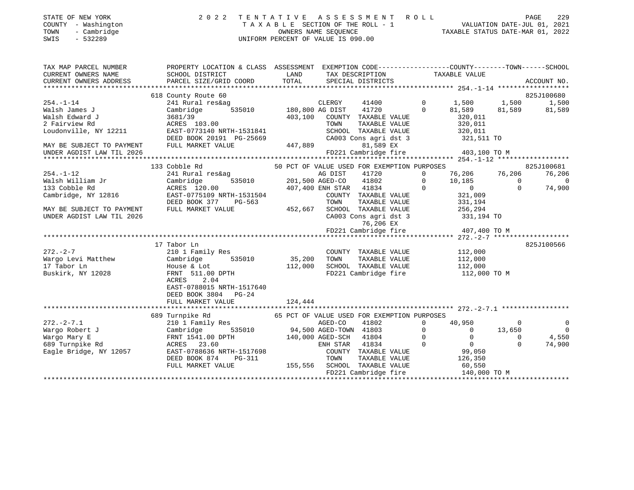| STATE OF NEW YORK   | 2022 TENTATIVE ASSESSMENT ROLL     | 229<br>PAGE                      |
|---------------------|------------------------------------|----------------------------------|
| COUNTY - Washington | TAXABLE SECTION OF THE ROLL - 1    | VALUATION DATE-JUL 01, 2021      |
| - Cambridge<br>TOWN | OWNERS NAME SEOUENCE               | TAXABLE STATUS DATE-MAR 01, 2022 |
| - 532289<br>SWIS    | UNIFORM PERCENT OF VALUE IS 090.00 |                                  |

| 618 County Route 60<br>825J100680<br>1,500 1,500<br>$254. -1 - 14$<br>$\Omega$<br>241 Rural res&ag<br>CLERGY<br>41400<br>81,589 81,589 81,589<br>41720<br>$\sim$ 0<br>Walsh James J<br>Cambridge<br>Walsh Edward J<br>320,011<br>3681/39<br>403,100 COUNTY TAXABLE VALUE<br>320,011<br>2 Fairview Rd<br>ACRES 103.00<br>TOWN<br>TAXABLE VALUE<br>Loudonville, NY 12211<br>320,011<br>EAST-0773140 NRTH-1531841<br>SCHOOL TAXABLE VALUE<br>DEED BOOK 20191 PG-25669<br>CA003 Cons agri dst 3 321,511 TO<br>447,889 | TAX MAP PARCEL NUMBER<br>CURRENT OWNERS NAME<br>CURRENT OWNERS ADDRESS FORCE SIZE/GRID COORD TOTAL SPECIAL DISTRICTS ACCOUNT NO.<br>- TOTAL SPECIAL DISTRICTS ACCOUNT NO. ACCOUNT NO. ACCOUNT NO. TOTAL SEECIAL DISTRICTS ACCOUNT NO.<br>CURRENT OWNERS ADDRESS | PROPERTY LOCATION & CLASS ASSESSMENT EXEMPTION CODE----------------COUNTY-------TOWN-----SCHOOL<br>SCHOOL DISTRICT | LAND |  | TAX DESCRIPTION TAXABLE VALUE |                |
|-------------------------------------------------------------------------------------------------------------------------------------------------------------------------------------------------------------------------------------------------------------------------------------------------------------------------------------------------------------------------------------------------------------------------------------------------------------------------------------------------------------------|-----------------------------------------------------------------------------------------------------------------------------------------------------------------------------------------------------------------------------------------------------------------|--------------------------------------------------------------------------------------------------------------------|------|--|-------------------------------|----------------|
|                                                                                                                                                                                                                                                                                                                                                                                                                                                                                                                   |                                                                                                                                                                                                                                                                 |                                                                                                                    |      |  |                               |                |
|                                                                                                                                                                                                                                                                                                                                                                                                                                                                                                                   |                                                                                                                                                                                                                                                                 |                                                                                                                    |      |  |                               | 1,500          |
|                                                                                                                                                                                                                                                                                                                                                                                                                                                                                                                   |                                                                                                                                                                                                                                                                 |                                                                                                                    |      |  |                               |                |
|                                                                                                                                                                                                                                                                                                                                                                                                                                                                                                                   |                                                                                                                                                                                                                                                                 |                                                                                                                    |      |  |                               |                |
|                                                                                                                                                                                                                                                                                                                                                                                                                                                                                                                   |                                                                                                                                                                                                                                                                 |                                                                                                                    |      |  |                               |                |
|                                                                                                                                                                                                                                                                                                                                                                                                                                                                                                                   |                                                                                                                                                                                                                                                                 |                                                                                                                    |      |  |                               |                |
|                                                                                                                                                                                                                                                                                                                                                                                                                                                                                                                   |                                                                                                                                                                                                                                                                 |                                                                                                                    |      |  |                               |                |
| MAY BE SUBJECT TO PAYMENT<br>81,589 EX<br>FULL MARKET VALUE                                                                                                                                                                                                                                                                                                                                                                                                                                                       |                                                                                                                                                                                                                                                                 |                                                                                                                    |      |  |                               |                |
| FD221 Cambridge fire 403,100 TO M<br>UNDER AGDIST LAW TIL 2026                                                                                                                                                                                                                                                                                                                                                                                                                                                    |                                                                                                                                                                                                                                                                 |                                                                                                                    |      |  |                               |                |
|                                                                                                                                                                                                                                                                                                                                                                                                                                                                                                                   |                                                                                                                                                                                                                                                                 |                                                                                                                    |      |  |                               |                |
| 133 Cobble Rd<br>50 PCT OF VALUE USED FOR EXEMPTION PURPOSES                                                                                                                                                                                                                                                                                                                                                                                                                                                      |                                                                                                                                                                                                                                                                 |                                                                                                                    |      |  |                               | 825J100681     |
| 76,206 76,206<br>$254. - 1 - 12$<br>241 Rural res&ag<br>ب Ces&ag MG DIST 41720<br>535010 201,500 AGED-CO 41802 0<br>100 MD RNH STAR 41834 0                                                                                                                                                                                                                                                                                                                                                                       |                                                                                                                                                                                                                                                                 |                                                                                                                    |      |  |                               | 76,206         |
| Walsh William Jr<br>133 Cobble Rd<br>Cambridge<br>$\begin{smallmatrix}10\,,185\0\end{smallmatrix}$<br>$\Omega$                                                                                                                                                                                                                                                                                                                                                                                                    |                                                                                                                                                                                                                                                                 |                                                                                                                    |      |  |                               | $\overline{0}$ |
| $\Omega$<br>133 Cobble Rd<br>ACRES 120.00                                                                                                                                                                                                                                                                                                                                                                                                                                                                         |                                                                                                                                                                                                                                                                 |                                                                                                                    |      |  |                               | 74,900         |
| EAST-0775109 NRTH-1531504<br>DEED BOOK 377 PG-563<br>Cambridge, NY 12816<br>COUNTY TAXABLE VALUE<br>321,009                                                                                                                                                                                                                                                                                                                                                                                                       |                                                                                                                                                                                                                                                                 |                                                                                                                    |      |  |                               |                |
| $-563$ 70WN TAXABLE VALUE 331,194<br>452,667 SCHOOL TAXABLE VALUE 256,294                                                                                                                                                                                                                                                                                                                                                                                                                                         |                                                                                                                                                                                                                                                                 |                                                                                                                    |      |  |                               |                |
| MAY BE SUBJECT TO PAYMENT<br>FULL MARKET VALUE                                                                                                                                                                                                                                                                                                                                                                                                                                                                    |                                                                                                                                                                                                                                                                 |                                                                                                                    |      |  |                               |                |
| CA003 Cons agri dst 3 331,194 TO<br>UNDER AGDIST LAW TIL 2026                                                                                                                                                                                                                                                                                                                                                                                                                                                     |                                                                                                                                                                                                                                                                 |                                                                                                                    |      |  |                               |                |
| 76,206 EX<br>FD221 Cambridge fire 407,400 TO M                                                                                                                                                                                                                                                                                                                                                                                                                                                                    |                                                                                                                                                                                                                                                                 |                                                                                                                    |      |  |                               |                |
|                                                                                                                                                                                                                                                                                                                                                                                                                                                                                                                   |                                                                                                                                                                                                                                                                 |                                                                                                                    |      |  |                               |                |
|                                                                                                                                                                                                                                                                                                                                                                                                                                                                                                                   |                                                                                                                                                                                                                                                                 |                                                                                                                    |      |  |                               |                |
| 825J100566<br>17 Tabor Ln                                                                                                                                                                                                                                                                                                                                                                                                                                                                                         |                                                                                                                                                                                                                                                                 |                                                                                                                    |      |  |                               |                |
| $272 - 2 - 7$<br>210 1 Family Res<br>COUNTY TAXABLE VALUE 112,000                                                                                                                                                                                                                                                                                                                                                                                                                                                 |                                                                                                                                                                                                                                                                 |                                                                                                                    |      |  |                               |                |
| 535010 35,200<br>Wargo Levi Matthew<br>TOWN<br>TAXABLE VALUE<br>112,000<br>Cambridge                                                                                                                                                                                                                                                                                                                                                                                                                              |                                                                                                                                                                                                                                                                 |                                                                                                                    |      |  |                               |                |
| 112,000<br>SCHOOL TAXABLE VALUE<br>17 Tabor Ln<br>112,000<br>112,000 TO M<br>House & Lot                                                                                                                                                                                                                                                                                                                                                                                                                          |                                                                                                                                                                                                                                                                 |                                                                                                                    |      |  |                               |                |
| FD221 Cambridge fire<br>FRNT 511.00 DPTH<br>Buskirk, NY 12028                                                                                                                                                                                                                                                                                                                                                                                                                                                     |                                                                                                                                                                                                                                                                 |                                                                                                                    |      |  |                               |                |
| 2.04<br>ACRES                                                                                                                                                                                                                                                                                                                                                                                                                                                                                                     |                                                                                                                                                                                                                                                                 |                                                                                                                    |      |  |                               |                |
| EAST-0788015 NRTH-1517640                                                                                                                                                                                                                                                                                                                                                                                                                                                                                         |                                                                                                                                                                                                                                                                 |                                                                                                                    |      |  |                               |                |
| DEED BOOK 3804 PG-24                                                                                                                                                                                                                                                                                                                                                                                                                                                                                              |                                                                                                                                                                                                                                                                 |                                                                                                                    |      |  |                               |                |
| FULL MARKET VALUE<br>124,444                                                                                                                                                                                                                                                                                                                                                                                                                                                                                      |                                                                                                                                                                                                                                                                 |                                                                                                                    |      |  |                               |                |
|                                                                                                                                                                                                                                                                                                                                                                                                                                                                                                                   |                                                                                                                                                                                                                                                                 |                                                                                                                    |      |  |                               |                |
| 65 PCT OF VALUE USED FOR EXEMPTION PURPOSES<br>689 Turnpike Rd                                                                                                                                                                                                                                                                                                                                                                                                                                                    |                                                                                                                                                                                                                                                                 |                                                                                                                    |      |  |                               |                |
| $272. - 2 - 7.1$<br>$\mathbf 0$<br>40,950<br>$\overline{0}$                                                                                                                                                                                                                                                                                                                                                                                                                                                       |                                                                                                                                                                                                                                                                 |                                                                                                                    |      |  |                               | $\overline{0}$ |
| Wargo Robert J<br>$\mathsf{O}$<br>$\overline{0}$<br>13,650                                                                                                                                                                                                                                                                                                                                                                                                                                                        |                                                                                                                                                                                                                                                                 |                                                                                                                    |      |  |                               | $\overline{0}$ |
| $\overline{0}$<br>$\overline{0}$<br>Wargo Mary E<br>$\Omega$                                                                                                                                                                                                                                                                                                                                                                                                                                                      |                                                                                                                                                                                                                                                                 |                                                                                                                    |      |  |                               | 4,550          |
| $\begin{array}{c} 0 \ 99,050 \end{array}$<br>$\overline{0}$<br>689 Turnpike Rd<br>$\Omega$                                                                                                                                                                                                                                                                                                                                                                                                                        |                                                                                                                                                                                                                                                                 |                                                                                                                    |      |  |                               | 74,900         |
| Cambridge 535010<br>Cambridge 535010<br>FRNT 1541.00 DPTH 140,000 AGED-CO 41802<br>ACRES 23.60<br>EAST-0788636 NRTH-1517698<br>DEED BOOK 874<br>PG-311<br>PG-311<br>PG-311<br>Eagle Bridge, NY 12057                                                                                                                                                                                                                                                                                                              |                                                                                                                                                                                                                                                                 |                                                                                                                    |      |  |                               |                |
|                                                                                                                                                                                                                                                                                                                                                                                                                                                                                                                   |                                                                                                                                                                                                                                                                 |                                                                                                                    |      |  |                               |                |
| 155,556 SCHOOL TAXABLE VALUE<br>SCHOOL TAXABLE VALUE 60,550<br>FD221 Cambridge fire 140,000 TO M<br>FULL MARKET VALUE                                                                                                                                                                                                                                                                                                                                                                                             |                                                                                                                                                                                                                                                                 |                                                                                                                    |      |  |                               |                |
|                                                                                                                                                                                                                                                                                                                                                                                                                                                                                                                   |                                                                                                                                                                                                                                                                 |                                                                                                                    |      |  |                               |                |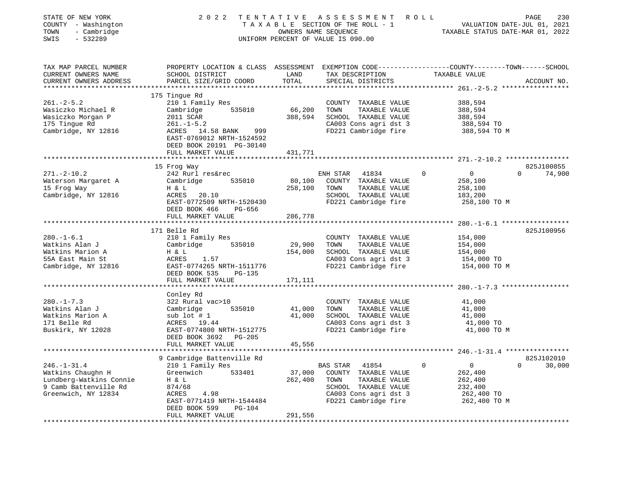| STATE OF NEW YORK<br>COUNTY - Washington<br>TOWN<br>- Cambridge<br>SWIS<br>$-532289$                |                                                                                                                                                       |                   | 2022 TENTATIVE ASSESSMENT ROLL<br>UNIFORM PERCENT OF VALUE IS 090.00                                                   |                                                                                 | 230<br>PAGE                      |
|-----------------------------------------------------------------------------------------------------|-------------------------------------------------------------------------------------------------------------------------------------------------------|-------------------|------------------------------------------------------------------------------------------------------------------------|---------------------------------------------------------------------------------|----------------------------------|
| TAX MAP PARCEL NUMBER<br>CURRENT OWNERS NAME<br>CURRENT OWNERS ADDRESS                              | PROPERTY LOCATION & CLASS ASSESSMENT EXEMPTION CODE---------------COUNTY-------TOWN-----SCHOOL<br>SCHOOL DISTRICT<br>PARCEL SIZE/GRID COORD           | LAND<br>TOTAL     | TAX DESCRIPTION TAXABLE VALUE<br>SPECIAL DISTRICTS                                                                     |                                                                                 | ACCOUNT NO.                      |
|                                                                                                     | 175 Tingue Rd                                                                                                                                         |                   |                                                                                                                        |                                                                                 |                                  |
| $261. - 2 - 5.2$<br>Wasiczko Michael R<br>Wasiczko Morgan P<br>175 Tingue Rd<br>Cambridge, NY 12816 | 210 1 Family Res<br>Cambridge 535010<br>2011 SCAR<br>$261. -1 - 5.2$<br>ACRES 14.58 BANK 999<br>EAST-0769012 NRTH-1524592<br>DEED BOOK 20191 PG-30140 | 66,200<br>388,594 | COUNTY TAXABLE VALUE<br>TOWN<br>TAXABLE VALUE<br>SCHOOL TAXABLE VALUE<br>CA003 Cons agri dst 3<br>FD221 Cambridge fire | 388,594<br>388,594<br>388,594<br>388,594 TO<br>388,594 TO M                     |                                  |
|                                                                                                     | FULL MARKET VALUE                                                                                                                                     | 431,771           |                                                                                                                        |                                                                                 |                                  |
|                                                                                                     |                                                                                                                                                       |                   |                                                                                                                        |                                                                                 |                                  |
| $271. - 2 - 10.2$<br>Waterson Margaret A<br>15 Frog Way<br>Cambridge, NY 12816                      | 15 Frog Way<br>242 Rurl res&rec<br>535010<br>Cambridge<br>$H \& L$<br>ACRES 20.10<br>EAST-0772509 NRTH-1520430                                        | 80,100<br>258,100 | ENH STAR 41834<br>COUNTY TAXABLE VALUE<br>TOWN<br>TAXABLE VALUE<br>SCHOOL TAXABLE VALUE<br>FD221 Cambridge fire        | $\overline{0}$<br>$\mathbf{0}$<br>258,100<br>258,100<br>183,200<br>258,100 TO M | 825J100855<br>$0 \t 74,900$      |
|                                                                                                     | DEED BOOK 466 PG-656                                                                                                                                  |                   |                                                                                                                        |                                                                                 |                                  |
|                                                                                                     | FULL MARKET VALUE                                                                                                                                     | 286,778           |                                                                                                                        |                                                                                 |                                  |
|                                                                                                     |                                                                                                                                                       |                   |                                                                                                                        | *************************** 280.-1-6.1 ******************                       |                                  |
|                                                                                                     | 171 Belle Rd                                                                                                                                          |                   |                                                                                                                        |                                                                                 | 825J100956                       |
| $280. - 1 - 6.1$<br>Watkins Alan J                                                                  | 210 1 Family Res<br>535010                                                                                                                            | 29,900            | COUNTY TAXABLE VALUE<br>TOWN<br>TAXABLE VALUE                                                                          | 154,000<br>154,000                                                              |                                  |
| Watkins Marion A                                                                                    | Cambridge<br>H & L                                                                                                                                    | 154,000           | SCHOOL TAXABLE VALUE                                                                                                   | 154,000                                                                         |                                  |
| 55A East Main St                                                                                    | ACRES 1.57                                                                                                                                            |                   | CA003 Cons agri dst 3                                                                                                  | 154,000 TO                                                                      |                                  |
| Cambridge, NY 12816                                                                                 | EAST-0774265 NRTH-1511776<br>DEED BOOK 535 PG-135                                                                                                     |                   | FD221 Cambridge fire                                                                                                   | 154,000 TO M                                                                    |                                  |
|                                                                                                     | FULL MARKET VALUE                                                                                                                                     | 171,111           |                                                                                                                        |                                                                                 |                                  |
|                                                                                                     | Conley Rd                                                                                                                                             |                   |                                                                                                                        |                                                                                 |                                  |
| $280. -1 - 7.3$                                                                                     | 322 Rural vac>10                                                                                                                                      |                   | COUNTY TAXABLE VALUE                                                                                                   | 41,000                                                                          |                                  |
| Watkins Alan J                                                                                      | Cambridge<br>535010                                                                                                                                   | 41,000            | TOWN<br>TAXABLE VALUE                                                                                                  | 41,000                                                                          |                                  |
| Watkins Marion A                                                                                    | sub lot # 1<br>sub 1ot # 1<br>ACRES 19.44                                                                                                             | 41,000            | SCHOOL TAXABLE VALUE                                                                                                   | 41,000                                                                          |                                  |
| 171 Belle Rd                                                                                        |                                                                                                                                                       |                   | CA003 Cons agri dst 3                                                                                                  | 41,000 TO                                                                       |                                  |
| Buskirk, NY 12028                                                                                   | EAST-0774800 NRTH-1512775<br>DEED BOOK 3692 PG-205                                                                                                    |                   | FD221 Cambridge fire                                                                                                   | 41,000 TO M                                                                     |                                  |
|                                                                                                     | FULL MARKET VALUE                                                                                                                                     | 45,556            |                                                                                                                        |                                                                                 |                                  |
|                                                                                                     |                                                                                                                                                       |                   |                                                                                                                        |                                                                                 |                                  |
| $246. - 1 - 31.4$                                                                                   | 9 Cambridge Battenville Rd<br>210 1 Family Res                                                                                                        |                   | BAS STAR<br>41854                                                                                                      | $\overline{0}$<br>$\mathbf 0$                                                   | 825J102010<br>$\Omega$<br>30,000 |
| Watkins Chaughn H                                                                                   | Greenwich 533401                                                                                                                                      | 37,000            | COUNTY TAXABLE VALUE                                                                                                   | 262,400                                                                         |                                  |
| Lundberg-Watkins Connie                                                                             | H & L                                                                                                                                                 | 262,400           | TOWN<br>TAXABLE VALUE                                                                                                  | 262,400                                                                         |                                  |
| 9 Camb Battenville Rd                                                                               | 874/68                                                                                                                                                |                   | SCHOOL TAXABLE VALUE                                                                                                   | 232,400                                                                         |                                  |
| Greenwich, NY 12834                                                                                 | 4.98<br>ACRES                                                                                                                                         |                   | CA003 Cons agri dst 3                                                                                                  | 262,400 TO                                                                      |                                  |
|                                                                                                     | EAST-0771419 NRTH-1544484                                                                                                                             |                   | FD221 Cambridge fire                                                                                                   | 262,400 TO M                                                                    |                                  |
|                                                                                                     | DEED BOOK 599<br>PG-104<br>FULL MARKET VALUE                                                                                                          | 291,556           |                                                                                                                        |                                                                                 |                                  |
| ********************                                                                                | ************************                                                                                                                              |                   |                                                                                                                        |                                                                                 |                                  |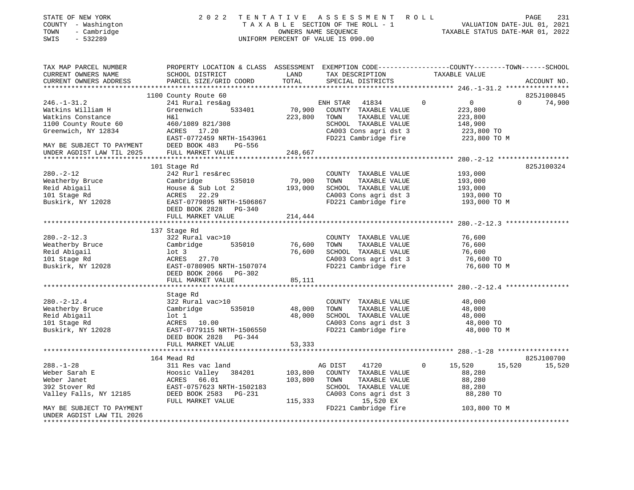| STATE OF NEW YORK<br>COUNTY - Washington<br>- Cambridge<br>TOWN<br>SWIS<br>$-532289$ | 2 0 2 2                                                                                                                                      |               | TENTATIVE ASSESSMENT ROLL<br>T A X A B L E SECTION OF THE ROLL - 1<br>OWNERS NAME SEQUENCE TAXABLE STATUS DATE-MAR 01, 2022<br>UNIFORM PERCENT OF VALUE IS 090.00 |             |                            | PAGE<br>231           |
|--------------------------------------------------------------------------------------|----------------------------------------------------------------------------------------------------------------------------------------------|---------------|-------------------------------------------------------------------------------------------------------------------------------------------------------------------|-------------|----------------------------|-----------------------|
| TAX MAP PARCEL NUMBER<br>CURRENT OWNERS NAME<br>CURRENT OWNERS ADDRESS               | PROPERTY LOCATION & CLASS ASSESSMENT EXEMPTION CODE----------------COUNTY-------TOWN-----SCHOOL<br>SCHOOL DISTRICT<br>PARCEL SIZE/GRID COORD | LAND<br>TOTAL | TAX DESCRIPTION<br>CREATAI RIGERICES<br>SPECIAL DISTRICTS                                                                                                         |             | TAXABLE VALUE              | ACCOUNT NO.           |
|                                                                                      | 1100 County Route 60                                                                                                                         |               |                                                                                                                                                                   |             |                            | 825J100845            |
| $246. - 1 - 31.2$                                                                    | 241 Rural res&ag                                                                                                                             |               | ENH STAR<br>41834                                                                                                                                                 | $\mathbf 0$ | $\overline{0}$             | $\mathbf 0$<br>74,900 |
| Watkins William H                                                                    | Greenwich<br>533401                                                                                                                          | 70,900        | COUNTY TAXABLE VALUE                                                                                                                                              |             | 223,800                    |                       |
| Watkins Constance                                                                    | H&l                                                                                                                                          | 223,800       | TAXABLE VALUE<br>TOWN                                                                                                                                             |             | 223,800                    |                       |
| 1100 County Route 60                                                                 | 460/1089 821/308                                                                                                                             |               | SCHOOL TAXABLE VALUE                                                                                                                                              |             | 148,900                    |                       |
| Greenwich, NY 12834                                                                  | ACRES 17.20                                                                                                                                  |               | CA003 Cons agri dst 3                                                                                                                                             |             | 223,800 TO                 |                       |
|                                                                                      | EAST-0772459 NRTH-1543961                                                                                                                    |               | FD221 Cambridge fire                                                                                                                                              |             | 223,800 TO M               |                       |
| MAY BE SUBJECT TO PAYMENT                                                            | DEED BOOK 483<br>PG-556                                                                                                                      |               |                                                                                                                                                                   |             |                            |                       |
| UNDER AGDIST LAW TIL 2025                                                            | FULL MARKET VALUE                                                                                                                            | 248,667       |                                                                                                                                                                   |             |                            |                       |
|                                                                                      |                                                                                                                                              |               |                                                                                                                                                                   |             |                            |                       |
|                                                                                      | 101 Stage Rd                                                                                                                                 |               |                                                                                                                                                                   |             |                            | 825J100324            |
| $280. - 2 - 12$                                                                      | 242 Rurl res&rec                                                                                                                             |               | COUNTY TAXABLE VALUE                                                                                                                                              |             | 193,000                    |                       |
| Weatherby Bruce                                                                      | 535010<br>Cambridge                                                                                                                          | 79,900        | TOWN<br>TAXABLE VALUE                                                                                                                                             |             | 193,000                    |                       |
| Reid Abigail<br>101 Stage Rd                                                         | House & Sub Lot 2<br>ACRES 22.29                                                                                                             | 193,000       | SCHOOL TAXABLE VALUE<br>CA003 Cons agri dst 3                                                                                                                     |             | 193,000                    |                       |
| Buskirk, NY 12028                                                                    | EAST-0779895 NRTH-1506867                                                                                                                    |               | FD221 Cambridge fire                                                                                                                                              |             | 193,000 TO<br>193,000 TO M |                       |
|                                                                                      | DEED BOOK 2828 PG-340                                                                                                                        |               |                                                                                                                                                                   |             |                            |                       |
|                                                                                      | FULL MARKET VALUE                                                                                                                            | 214,444       |                                                                                                                                                                   |             |                            |                       |
|                                                                                      |                                                                                                                                              |               |                                                                                                                                                                   |             |                            |                       |
|                                                                                      | 137 Stage Rd                                                                                                                                 |               |                                                                                                                                                                   |             |                            |                       |
| $280. -2 - 12.3$                                                                     | 322 Rural vac>10                                                                                                                             |               | COUNTY TAXABLE VALUE                                                                                                                                              |             | 76,600                     |                       |
| Weatherby Bruce                                                                      | 535010<br>Cambridge                                                                                                                          | 76,600        | TAXABLE VALUE<br>TOWN                                                                                                                                             |             | 76,600                     |                       |
| Reid Abigail                                                                         | $1$ ot $3$                                                                                                                                   | 76,600        | SCHOOL TAXABLE VALUE                                                                                                                                              |             | 76,600                     |                       |
| 101 Stage Rd                                                                         | ACRES 27.70                                                                                                                                  |               | CA003 Cons agri dst 3                                                                                                                                             |             | 76,600 TO                  |                       |
| Buskirk, NY 12028                                                                    | EAST-0780905 NRTH-1507074                                                                                                                    |               | FD221 Cambridge fire                                                                                                                                              |             | 76,600 TO M                |                       |
|                                                                                      | DEED BOOK 2066    PG-302                                                                                                                     |               |                                                                                                                                                                   |             |                            |                       |
|                                                                                      | FULL MARKET VALUE                                                                                                                            | 85,111        |                                                                                                                                                                   |             |                            |                       |
|                                                                                      |                                                                                                                                              |               |                                                                                                                                                                   |             |                            |                       |
| $280. - 2 - 12.4$                                                                    | Stage Rd<br>322 Rural vac>10                                                                                                                 |               | COUNTY TAXABLE VALUE                                                                                                                                              |             | 48,000                     |                       |
| Weatherby Bruce                                                                      | Cambridge<br>535010                                                                                                                          | 48,000        | TOWN<br>TAXABLE VALUE                                                                                                                                             |             | 48,000                     |                       |
| Reid Abigail                                                                         | $1$ ot $1$                                                                                                                                   | 48,000        | SCHOOL TAXABLE VALUE                                                                                                                                              |             | 48,000                     |                       |
| 101 Stage Rd                                                                         | ACRES 10.00                                                                                                                                  |               | CA003 Cons agri dst 3                                                                                                                                             |             | 48,000 TO                  |                       |
| Buskirk, NY 12028                                                                    | EAST-0779115 NRTH-1506550                                                                                                                    |               | FD221 Cambridge fire                                                                                                                                              |             | 48,000 TO M                |                       |
|                                                                                      | DEED BOOK 2828 PG-344                                                                                                                        |               |                                                                                                                                                                   |             |                            |                       |
|                                                                                      | FULL MARKET VALUE                                                                                                                            | 53,333        |                                                                                                                                                                   |             |                            |                       |
|                                                                                      |                                                                                                                                              |               |                                                                                                                                                                   |             |                            |                       |
|                                                                                      | 164 Mead Rd                                                                                                                                  |               |                                                                                                                                                                   |             |                            | 825J100700            |
| $288. - 1 - 28$                                                                      | 311 Res vac land                                                                                                                             |               | AG DIST<br>41720                                                                                                                                                  | $\Omega$    | 15,520<br>15,520           | 15,520                |
| Weber Sarah E                                                                        | Hoosic Valley<br>384201                                                                                                                      | 103,800       | COUNTY TAXABLE VALUE                                                                                                                                              |             | 88,280                     |                       |
| Weber Janet                                                                          | ACRES 66.01                                                                                                                                  | 103,800       | TOWN<br>TAXABLE VALUE                                                                                                                                             |             | 88,280                     |                       |
| 392 Stover Rd                                                                        | EAST-0757623 NRTH-1502183                                                                                                                    |               | SCHOOL TAXABLE VALUE                                                                                                                                              |             | 88,280                     |                       |
| Valley Falls, NY 12185                                                               | DEED BOOK 2583 PG-231                                                                                                                        |               | CA003 Cons agri dst 3                                                                                                                                             |             | 88,280 TO                  |                       |
|                                                                                      | FULL MARKET VALUE                                                                                                                            | 115,333       | 15,520 EX                                                                                                                                                         |             |                            |                       |
| MAY BE SUBJECT TO PAYMENT                                                            |                                                                                                                                              |               | FD221 Cambridge fire                                                                                                                                              |             | 103,800 TO M               |                       |
| UNDER AGDIST LAW TIL 2026<br>*************************                               |                                                                                                                                              |               |                                                                                                                                                                   |             |                            | ****************      |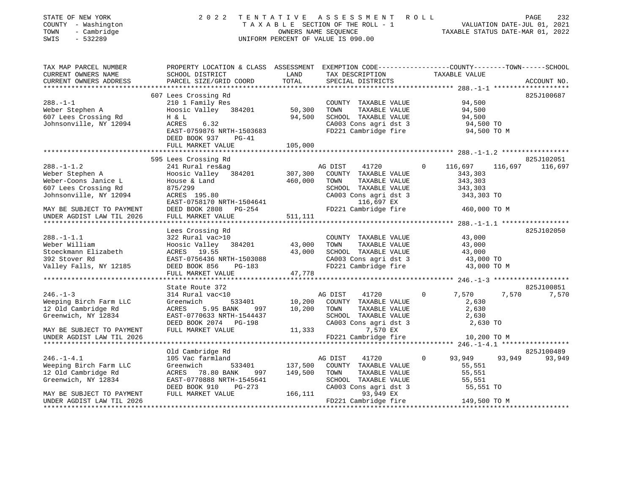| DIAID OF NOW IONN<br>COUNTY - Washington<br>TOWN<br>- Cambridge<br>$-532289$<br>SWIS |                                                                                                 | 1 1 1 1 1 1 1 1 1 1<br>OWNERS NAME SEQUENCE<br>UNIFORM PERCENT OF VALUE IS 090.00 |         | A D D D D D P D D T A L A L O D D D<br>TAXABLE SECTION OF THE ROLL - 1 |          | VALUATION DATE-JUL 01, 2021<br>TAXABLE STATUS DATE-MAR 01, 2022 |        |                 |
|--------------------------------------------------------------------------------------|-------------------------------------------------------------------------------------------------|-----------------------------------------------------------------------------------|---------|------------------------------------------------------------------------|----------|-----------------------------------------------------------------|--------|-----------------|
| TAX MAP PARCEL NUMBER                                                                | PROPERTY LOCATION & CLASS ASSESSMENT EXEMPTION CODE----------------COUNTY-------TOWN-----SCHOOL |                                                                                   |         |                                                                        |          |                                                                 |        |                 |
| CURRENT OWNERS NAME                                                                  | SCHOOL DISTRICT                                                                                 | LAND                                                                              |         | TAX DESCRIPTION TAXABLE VALUE                                          |          |                                                                 |        |                 |
| CURRENT OWNERS ADDRESS                                                               | PARCEL SIZE/GRID COORD                                                                          | TOTAL                                                                             |         | SPECIAL DISTRICTS                                                      |          |                                                                 |        | ACCOUNT NO.     |
|                                                                                      | 607 Lees Crossing Rd                                                                            |                                                                                   |         |                                                                        |          |                                                                 |        | 825J100687      |
| $288. - 1 - 1$                                                                       | 210 1 Family Res                                                                                |                                                                                   |         | COUNTY TAXABLE VALUE                                                   |          | 94,500                                                          |        |                 |
| Weber Stephen A                                                                      | Hoosic Valley 384201                                                                            | 50,300                                                                            | TOWN    | TAXABLE VALUE                                                          |          | 94,500                                                          |        |                 |
| 607 Lees Crossing Rd                                                                 | H & L                                                                                           | 94,500                                                                            |         | SCHOOL TAXABLE VALUE                                                   |          |                                                                 |        |                 |
| Johnsonville, NY 12094                                                               | ACRES<br>6.32                                                                                   |                                                                                   |         | CA003 Cons agri dst 3                                                  |          | 94,500<br>94,500 TO                                             |        |                 |
|                                                                                      | EAST-0759876 NRTH-1503683                                                                       |                                                                                   |         | FD221 Cambridge fire 94,500 TO M                                       |          |                                                                 |        |                 |
|                                                                                      | DEED BOOK 937<br>$PG-41$                                                                        |                                                                                   |         |                                                                        |          |                                                                 |        |                 |
|                                                                                      | FULL MARKET VALUE                                                                               | 105,000                                                                           |         |                                                                        |          |                                                                 |        |                 |
|                                                                                      |                                                                                                 |                                                                                   |         |                                                                        |          |                                                                 |        |                 |
|                                                                                      | 595 Lees Crossing Rd                                                                            |                                                                                   |         |                                                                        |          |                                                                 |        | 825J102051      |
| $288. - 1 - 1.2$                                                                     | 241 Rural res&ag                                                                                |                                                                                   | AG DIST | 41720                                                                  | $\circ$  | 116,697                                                         |        | 116,697 116,697 |
| Weber Stephen A                                                                      | Hoosic Valley 384201                                                                            | 307,300                                                                           |         | COUNTY TAXABLE VALUE                                                   |          | 343,303                                                         |        |                 |
| Weber-Coons Janice L                                                                 | House & Land                                                                                    | 460,000                                                                           | TOWN    | TAXABLE VALUE                                                          |          | 343,303                                                         |        |                 |
| 607 Lees Crossing Rd                                                                 | 875/299                                                                                         |                                                                                   |         | SCHOOL TAXABLE VALUE                                                   |          | 343,303                                                         |        |                 |
| Johnsonville, NY 12094                                                               | ACRES 195.80                                                                                    |                                                                                   |         | CA003 Cons agri dst 3                                                  |          | 343,303 TO                                                      |        |                 |
|                                                                                      | EAST-0758170 NRTH-1504641                                                                       |                                                                                   |         | 116,697 EX                                                             |          |                                                                 |        |                 |
| MAY BE SUBJECT TO PAYMENT                                                            | DEED BOOK 2808 PG-254                                                                           |                                                                                   |         | FD221 Cambridge fire                                                   |          | 460,000 TO M                                                    |        |                 |
| UNDER AGDIST LAW TIL 2026                                                            | FULL MARKET VALUE                                                                               | 511,111                                                                           |         |                                                                        |          |                                                                 |        |                 |
|                                                                                      | Lees Crossing Rd                                                                                |                                                                                   |         |                                                                        |          |                                                                 |        | 825J102050      |
| $288. - 1 - 1.1$                                                                     | 322 Rural vac>10                                                                                |                                                                                   |         | COUNTY TAXABLE VALUE                                                   |          | 43,000                                                          |        |                 |
| Weber William                                                                        | Hoosic Valley 384201                                                                            | 43,000                                                                            | TOWN    | TAXABLE VALUE                                                          |          | 43,000                                                          |        |                 |
| Stoeckmann Elizabeth                                                                 | ACRES 19.55                                                                                     | 43,000                                                                            |         | SCHOOL TAXABLE VALUE                                                   |          | 43,000                                                          |        |                 |
| 392 Stover Rd                                                                        | EAST-0756436 NRTH-1503088                                                                       |                                                                                   |         | CA003 Cons agri dst 3                                                  |          | 43,000 TO                                                       |        |                 |
| Valley Falls, NY 12185                                                               | DEED BOOK 856<br>PG-183                                                                         |                                                                                   |         | FD221 Cambridge fire                                                   |          | 43,000 TO M                                                     |        |                 |
|                                                                                      | FULL MARKET VALUE                                                                               | 47,778                                                                            |         |                                                                        |          |                                                                 |        |                 |
|                                                                                      |                                                                                                 |                                                                                   |         |                                                                        |          |                                                                 |        |                 |
|                                                                                      | State Route 372                                                                                 |                                                                                   |         |                                                                        |          |                                                                 |        | 825J100851      |
| $246. - 1 - 3$                                                                       | 314 Rural vac<10                                                                                |                                                                                   | AG DIST | 41720                                                                  | $\Omega$ | 7,570                                                           | 7,570  | 7,570           |
| Weeping Birch Farm LLC                                                               | Greenwich<br>533401                                                                             |                                                                                   |         | 10,200 COUNTY TAXABLE VALUE                                            |          | 2,630                                                           |        |                 |
| 12 Old Cambridge Rd                                                                  | 5.95 BANK<br>ACRES<br>997                                                                       | 10,200                                                                            | TOWN    | TAXABLE VALUE                                                          |          | 2,630                                                           |        |                 |
| Greenwich, NY 12834                                                                  | EAST-0770633 NRTH-1544437                                                                       |                                                                                   |         | SCHOOL TAXABLE VALUE                                                   |          | 2,630                                                           |        |                 |
|                                                                                      | DEED BOOK 2074 PG-198                                                                           |                                                                                   |         | CA003 Cons agri dst 3                                                  |          | 2,630 TO                                                        |        |                 |
| MAY BE SUBJECT TO PAYMENT                                                            | FULL MARKET VALUE                                                                               |                                                                                   | 11,333  | 7,570 EX                                                               |          |                                                                 |        |                 |
| UNDER AGDIST LAW TIL 2026                                                            |                                                                                                 |                                                                                   |         | FD221 Cambridge fire                                                   |          | 10,200 TO M                                                     |        |                 |
|                                                                                      |                                                                                                 |                                                                                   |         |                                                                        |          |                                                                 |        |                 |
|                                                                                      | Old Cambridge Rd                                                                                |                                                                                   |         |                                                                        | $\circ$  |                                                                 |        | 825J100489      |
| $246. -1 - 4.1$<br>Weeping Birch Farm LLC                                            | 105 Vac farmland<br>Greenwich<br>533401                                                         | 137,500                                                                           | AG DIST | 41720<br>COUNTY TAXABLE VALUE                                          |          | 93,949<br>55,551                                                | 93,949 | 93,949          |
| 12 Old Cambridge Rd                                                                  | ACRES 78.80 BANK<br>997                                                                         | 149,500                                                                           | TOWN    | TAXABLE VALUE                                                          |          | 55,551                                                          |        |                 |
| Greenwich, NY 12834                                                                  | EAST-0770888 NRTH-1545641                                                                       |                                                                                   |         | SCHOOL TAXABLE VALUE                                                   |          | 55,551                                                          |        |                 |
|                                                                                      | DEED BOOK 910<br>$PG-273$                                                                       |                                                                                   |         | CA003 Cons agri dst 3                                                  |          | 55,551 TO                                                       |        |                 |
| MAY BE SUBJECT TO PAYMENT                                                            | FULL MARKET VALUE                                                                               | 166,111                                                                           |         | 93,949 EX                                                              |          |                                                                 |        |                 |

UNDER AGDIST LAW TIL 2026 FD221 Cambridge fire 149,500 TO M \*\*\*\*\*\*\*\*\*\*\*\*\*\*\*\*\*\*\*\*\*\*\*\*\*\*\*\*\*\*\*\*\*\*\*\*\*\*\*\*\*\*\*\*\*\*\*\*\*\*\*\*\*\*\*\*\*\*\*\*\*\*\*\*\*\*\*\*\*\*\*\*\*\*\*\*\*\*\*\*\*\*\*\*\*\*\*\*\*\*\*\*\*\*\*\*\*\*\*\*\*\*\*\*\*\*\*\*\*\*\*\*\*\*\*\*\*\*\*\*\*\*\*\*\*\*\*\*\*\*\*\*

STATE OF NEW YORK 2 0 2 2 T E N T A T I V E A S S E S S M E N T R O L L PAGE 232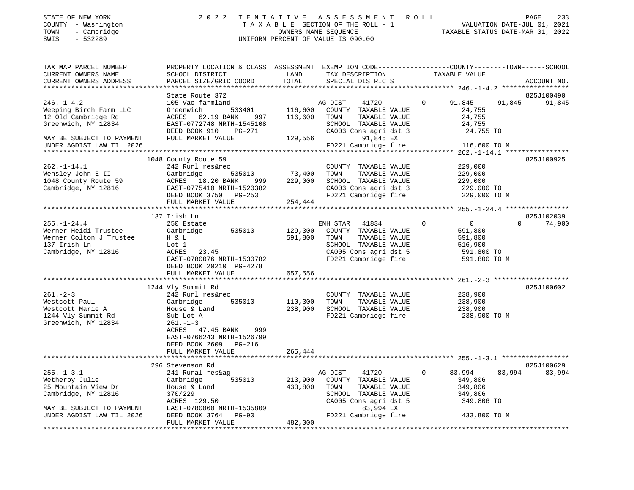| STATE OF NEW YORK<br>COUNTY - Washington<br>- Cambridge<br>TOWN<br>$-532289$<br>SWIS                                                                                 | 2 0 2 2                                                                                                                                                                                                            |                               | TENTATIVE ASSESSMENT ROLL<br>TAXABLE SECTION OF THE ROLL - 1<br>OWNERS NAME SEQUENCE<br>UNIFORM PERCENT OF VALUE IS 090.00                              |               | VALUATION DATE-JUL 01, 2021<br>TAXABLE STATUS DATE-MAR 01, 2022                    | PAGE<br>233          |
|----------------------------------------------------------------------------------------------------------------------------------------------------------------------|--------------------------------------------------------------------------------------------------------------------------------------------------------------------------------------------------------------------|-------------------------------|---------------------------------------------------------------------------------------------------------------------------------------------------------|---------------|------------------------------------------------------------------------------------|----------------------|
| TAX MAP PARCEL NUMBER<br>CURRENT OWNERS NAME<br>CURRENT OWNERS ADDRESS<br>***********************                                                                    | PROPERTY LOCATION & CLASS ASSESSMENT EXEMPTION CODE----------------COUNTY-------TOWN-----SCHOOL<br>SCHOOL DISTRICT<br>PARCEL SIZE/GRID COORD                                                                       | LAND<br>TOTAL                 | TAX DESCRIPTION<br>SPECIAL DISTRICTS                                                                                                                    | TAXABLE VALUE |                                                                                    | ACCOUNT NO.          |
| $246. - 1 - 4.2$<br>Weeping Birch Farm LLC<br>12 Old Cambridge Rd<br>Greenwich, NY 12834<br>MAY BE SUBJECT TO PAYMENT<br>UNDER AGDIST LAW TIL 2026                   | State Route 372<br>105 Vac farmland<br>533401<br>Greenwich<br>ACRES<br>62.19 BANK<br>997<br>EAST-0772748 NRTH-1545108<br>DEED BOOK 910<br>PG-271<br>FULL MARKET VALUE                                              | 116,600<br>116,600<br>129,556 | AG DIST<br>41720<br>COUNTY TAXABLE VALUE<br>TOWN<br>TAXABLE VALUE<br>SCHOOL TAXABLE VALUE<br>CA003 Cons agri dst 3<br>91,845 EX<br>FD221 Cambridge fire | $\Omega$      | 91,845<br>91,845<br>24,755<br>24,755<br>24,755<br>24,755 TO<br>116,600 TO M        | 825J100490<br>91,845 |
| $262. - 1 - 14.1$<br>Wensley John E II<br>1048 County Route 59<br>Cambridge, NY 12816                                                                                | 1048 County Route 59<br>242 Rurl res&rec<br>Cambridge<br>535010<br>ACRES 18.20 BANK<br>999<br>EAST-0775410 NRTH-1520382<br>DEED BOOK 3750 PG-253<br>FULL MARKET VALUE                                              | 73,400<br>229,000<br>254,444  | COUNTY TAXABLE VALUE<br>TOWN<br>TAXABLE VALUE<br>SCHOOL TAXABLE VALUE<br>CA003 Cons agri dst 3<br>FD221 Cambridge fire                                  |               | 229,000<br>229,000<br>229,000<br>229,000 TO<br>229,000 TO M                        | 825J100925           |
| $255. - 1 - 24.4$<br>Werner Heidi Trustee<br>Werner Colton J Trustee<br>137 Irish Ln<br>Cambridge, NY 12816                                                          | 137 Irish Ln<br>250 Estate<br>Cambridge<br>535010<br>H & L<br>Lot 1<br>ACRES<br>23.45<br>EAST-0780076 NRTH-1530782<br>DEED BOOK 20210 PG-4278<br>FULL MARKET VALUE                                                 | 129,300<br>591,800<br>657,556 | ENH STAR<br>41834<br>COUNTY TAXABLE VALUE<br>TOWN<br>TAXABLE VALUE<br>SCHOOL TAXABLE VALUE<br>CA005 Cons agri dst 5<br>FD221 Cambridge fire             | $\mathbf 0$   | $\circ$<br>$\Omega$<br>591,800<br>591,800<br>516,900<br>591,800 TO<br>591,800 TO M | 825J102039<br>74,900 |
| $261. - 2 - 3$<br>Westcott Paul<br>Westcott Marie A<br>1244 Vly Summit Rd<br>Greenwich, NY 12834                                                                     | 1244 Vly Summit Rd<br>242 Rurl res&rec<br>Cambridge<br>535010<br>House & Land<br>Sub Lot A<br>$261. - 1 - 3$<br>ACRES 47.45 BANK<br>999<br>EAST-0766243 NRTH-1526799<br>DEED BOOK 2609 PG-216<br>FULL MARKET VALUE | 110,300<br>238,900<br>265,444 | COUNTY TAXABLE VALUE<br>TOWN<br>TAXABLE VALUE<br>SCHOOL TAXABLE VALUE<br>FD221 Cambridge fire                                                           |               | 238,900<br>238,900<br>238,900<br>238,900 TO M                                      | 825J100602           |
| $255. - 1 - 3.1$<br>Wetherby Julie<br>25 Mountain View Dr<br>Cambridge, NY 12816<br>MAY BE SUBJECT TO PAYMENT<br>UNDER AGDIST LAW TIL 2026<br>********************** | 296 Stevenson Rd<br>241 Rural res&ag<br>535010<br>Cambridge<br>House & Land<br>370/229<br>ACRES 129.50<br>EAST-0780060 NRTH-1535809<br>DEED BOOK 3764<br>$PG-90$<br>FULL MARKET VALUE                              | 213,900<br>433,800<br>482,000 | AG DIST<br>41720<br>COUNTY TAXABLE VALUE<br>TOWN<br>TAXABLE VALUE<br>SCHOOL TAXABLE VALUE<br>CA005 Cons agri dst 5<br>83,994 EX<br>FD221 Cambridge fire | $\Omega$      | 83,994<br>83,994<br>349,806<br>349,806<br>349,806<br>349,806 TO<br>433,800 TO M    | 825J100629<br>83,994 |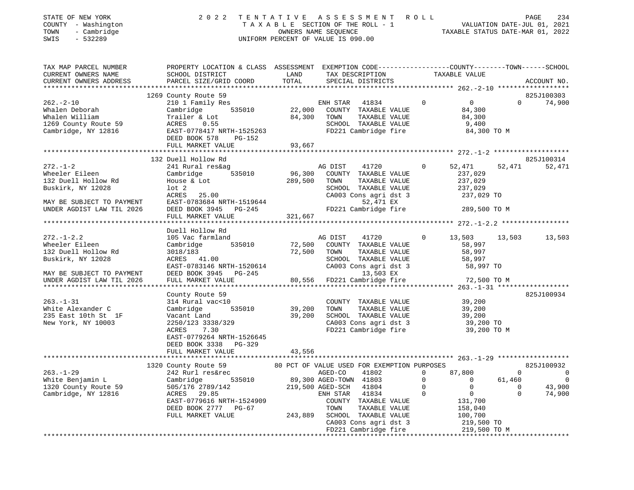| COUNTY - Washington<br>TOWN<br>- Cambridge<br>$-532289$<br>SWIS                                                                        | TAXABLE SECTION OF THE ROLL - 1<br>OWNERS NAME SEQUENCE<br>UNIFORM PERCENT OF VALUE IS 090.00                                                                                                                    |                              |                                                                                                                                                                                                                                            |                                                                                                                                                                         | VALUATION DATE-JUL 01, 2021<br>TAXABLE STATUS DATE-MAR 01, 2022                                                            |
|----------------------------------------------------------------------------------------------------------------------------------------|------------------------------------------------------------------------------------------------------------------------------------------------------------------------------------------------------------------|------------------------------|--------------------------------------------------------------------------------------------------------------------------------------------------------------------------------------------------------------------------------------------|-------------------------------------------------------------------------------------------------------------------------------------------------------------------------|----------------------------------------------------------------------------------------------------------------------------|
| TAX MAP PARCEL NUMBER<br>CURRENT OWNERS NAME<br>CURRENT OWNERS ADDRESS                                                                 | PROPERTY LOCATION & CLASS ASSESSMENT EXEMPTION CODE--------------COUNTY-------TOWN------SCHOOL<br>SCHOOL DISTRICT<br>PARCEL SIZE/GRID COORD                                                                      | LAND<br>TOTAL                | TAX DESCRIPTION<br>SPECIAL DISTRICTS                                                                                                                                                                                                       | TAXABLE VALUE                                                                                                                                                           | ACCOUNT NO.                                                                                                                |
| $262 - 2 - 10$<br>Whalen Deborah<br>Whalen William<br>1269 County Route 59<br>Cambridge, NY 12816                                      | 1269 County Route 59<br>210 1 Family Res<br>535010<br>Cambridge<br>Trailer & Lot<br>ACRES<br>0.55<br>EAST-0778417 NRTH-1525263<br>DEED BOOK 578 PG-152<br>FULL MARKET VALUE                                      | 22,000<br>84,300<br>93,667   | ENH STAR<br>41834<br>COUNTY TAXABLE VALUE<br>TAXABLE VALUE<br>TOWN<br>SCHOOL TAXABLE VALUE<br>FD221 Cambridge fire                                                                                                                         | $0 \qquad \qquad$<br>$\Omega$<br>84,300<br>84,300<br>9,400<br>84,300 TO M                                                                                               | 825J100303<br>$\Omega$<br>74,900                                                                                           |
|                                                                                                                                        |                                                                                                                                                                                                                  |                              |                                                                                                                                                                                                                                            |                                                                                                                                                                         |                                                                                                                            |
| $272. - 1 - 2$<br>Wheeler Eileen<br>132 Duell Hollow Rd<br>Buskirk, NY 12028<br>MAY BE SUBJECT TO PAYMENT<br>UNDER AGDIST LAW TIL 2026 | 132 Duell Hollow Rd<br>241 Rural res&ag<br>535010<br>Cambridge<br>House & Lot<br>$1$ ot $2$<br>ACRES 25.00<br>EAST-0783684 NRTH-1519644<br>DEED BOOK 3945 PG-245<br>FULL MARKET VALUE                            | 96,300<br>289,500<br>321,667 | AG DIST<br>41720<br>COUNTY TAXABLE VALUE<br>TOWN<br>TAXABLE VALUE<br>SCHOOL TAXABLE VALUE<br>CA003 Cons agri dst 3<br>52,471 EX<br>FD221 Cambridge fire                                                                                    | $\Omega$<br>52,471<br>237,029<br>237,029<br>237,029<br>237,029 TO<br>289,500 TO M                                                                                       | 825J100314<br>52,471<br>52,471                                                                                             |
| ******************************                                                                                                         |                                                                                                                                                                                                                  |                              |                                                                                                                                                                                                                                            |                                                                                                                                                                         |                                                                                                                            |
| $272. - 1 - 2.2$<br>Wheeler Eileen<br>132 Duell Hollow Rd<br>Buskirk, NY 12028<br>MAY BE SUBJECT TO PAYMENT                            | Duell Hollow Rd<br>105 Vac farmland<br>Cambridge<br>535010<br>3018/183<br>ACRES 41.00<br>EAST-0783146 NRTH-1520614<br>DEED BOOK 3945 PG-245                                                                      | 72,500<br>72,500             | AG DIST<br>41720<br>COUNTY TAXABLE VALUE<br>TOWN<br>TAXABLE VALUE<br>SCHOOL TAXABLE VALUE<br>CA003 Cons agri dst 3<br>13,503 EX                                                                                                            | 13,503<br>$\Omega$<br>58,997<br>58,997<br>58,997<br>58,997 TO                                                                                                           | 13,503<br>13,503                                                                                                           |
| UNDER AGDIST LAW TIL 2026                                                                                                              | FULL MARKET VALUE                                                                                                                                                                                                | 80,556                       | FD221 Cambridge fire                                                                                                                                                                                                                       | 72,500 TO M                                                                                                                                                             |                                                                                                                            |
| ************************<br>$263. - 1 - 31$<br>White Alexander C<br>235 East 10th St 1F<br>New York, NY 10003                          | ******************<br>County Route 59<br>314 Rural vac<10<br>Cambridge<br>535010<br>Vacant Land<br>2250/123 3338/329<br>ACRES<br>7.30<br>EAST-0779264 NRTH-1526645<br>DEED BOOK 3338 PG-329<br>FULL MARKET VALUE | 39,200<br>39,200<br>43,556   | COUNTY TAXABLE VALUE<br>TOWN<br>TAXABLE VALUE<br>SCHOOL TAXABLE VALUE<br>CA003 Cons agri dst 3<br>FD221 Cambridge fire                                                                                                                     | 39,200<br>39,200<br>39,200<br>39,200 TO<br>39,200 TO M                                                                                                                  | 825J100934                                                                                                                 |
|                                                                                                                                        | ***********************                                                                                                                                                                                          |                              |                                                                                                                                                                                                                                            |                                                                                                                                                                         |                                                                                                                            |
| $263. - 1 - 29$<br>White Benjamin L<br>1320 County Route 59<br>Cambridge, NY 12816                                                     | 1320 County Route 59<br>242 Rurl res&rec<br>535010<br>Cambridge<br>505/176 2789/142<br>ACRES 29.85<br>EAST-0779616 NRTH-1524909<br>DEED BOOK 2777 PG-67<br>FULL MARKET VALUE                                     | 243,889                      | 80 PCT OF VALUE USED FOR EXEMPTION PURPOSES<br>AGED-CO<br>41802<br>89,300 AGED-TOWN 41803<br>219,500 AGED-SCH 41804<br>ENH STAR<br>41834<br>COUNTY TAXABLE VALUE<br>TOWN<br>TAXABLE VALUE<br>SCHOOL TAXABLE VALUE<br>CA003 Cons agri dst 3 | $\mathbf 0$<br>87,800<br>$\overline{0}$<br>$\overline{0}$<br>$\mathbf 0$<br>$\overline{0}$<br>$\Omega$<br>$\overline{0}$<br>131,700<br>158,040<br>100,700<br>219,500 TO | 825J100932<br>$\mathbf{0}$<br>$\overline{0}$<br>61,460<br>$\overline{0}$<br>$\overline{0}$<br>43,900<br>$\Omega$<br>74,900 |

FD221 Cambridge fire 219,500 TO M \*\*\*\*\*\*\*\*\*\*\*\*\*\*\*\*\*\*\*\*\*\*\*\*\*\*\*\*\*\*\*\*\*\*\*\*\*\*\*\*\*\*\*\*\*\*\*\*\*\*\*\*\*\*\*\*\*\*\*\*\*\*\*\*\*\*\*\*\*\*\*\*\*\*\*\*\*\*\*\*\*\*\*\*\*\*\*\*\*\*\*\*\*\*\*\*\*\*\*\*\*\*\*\*\*\*\*\*\*\*\*\*\*\*\*\*\*\*\*\*\*\*\*\*\*\*\*\*\*\*\*\*

# STATE OF NEW YORK 2022 TENTATIVE ASSESSMENT ROLL PAGE

234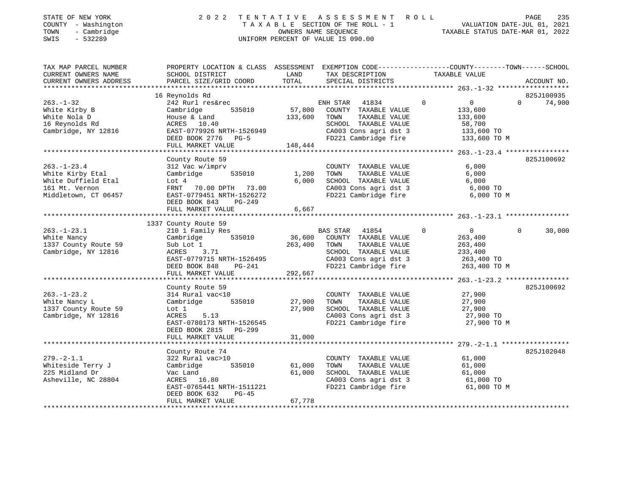| TOWN<br>SWIS | STATE OF NEW YORK<br>COUNTY - Washington<br>- Cambridge<br>$-532289$ |                                                         |      | 2022 TENTATIVE ASSESSMENT ROLL<br>TAXABLE SECTION OF THE ROLL - 1<br>OWNERS NAME SEOUENCE<br>UNIFORM PERCENT OF VALUE IS 090.00 | VALUATION DATE-JUL 01, 2021<br>TAXABLE STATUS DATE-MAR 01, 2022 | PAGE | 235 |
|--------------|----------------------------------------------------------------------|---------------------------------------------------------|------|---------------------------------------------------------------------------------------------------------------------------------|-----------------------------------------------------------------|------|-----|
|              | TAX MAP PARCEL NUMBER<br>CURRENT OWNERS NAME                         | PROPERTY LOCATION & CLASS ASSESSMENT<br>SCHOOL DISTRICT | LAND | EXEMPTION CODE-----------------COUNTY-------TOWN------SCHOOL<br>TAX DESCRIPTION                                                 | TAXABLE VALUE                                                   |      |     |

| CURRENT OWNERS ADDRESS                                                                                 | PARCEL SIZE/GRID COORD                                                                                                                                            | SPECIAL DISTRICTS<br>TOTAL                                                                                                                                                                                                         | ACCOUNT NO.                                                                                |
|--------------------------------------------------------------------------------------------------------|-------------------------------------------------------------------------------------------------------------------------------------------------------------------|------------------------------------------------------------------------------------------------------------------------------------------------------------------------------------------------------------------------------------|--------------------------------------------------------------------------------------------|
|                                                                                                        |                                                                                                                                                                   |                                                                                                                                                                                                                                    |                                                                                            |
| $263. - 1 - 32$<br>White Kirby B<br>White Nola D<br>16 Reynolds Rd<br>Cambridge, NY 12816              | 16 Reynolds Rd<br>242 Rurl res&rec<br>Cambridge<br>535010<br>House & Land<br>ACRES 10.40<br>EAST-0779926 NRTH-1526949<br>DEED BOOK 2776 PG-5<br>FULL MARKET VALUE | ENH STAR<br>$\Omega$<br>41834<br>57,800<br>COUNTY TAXABLE VALUE<br>133,600<br>133,600<br>TOWN<br>TAXABLE VALUE<br>133,600<br>SCHOOL TAXABLE VALUE<br>CA003 Cons agri dst 3<br>FD221 Cambridge fire<br>148,444                      | 825J100935<br>$\overline{0}$<br>74,900<br>$\Omega$<br>58,700<br>133,600 TO<br>133,600 TO M |
|                                                                                                        | County Route 59                                                                                                                                                   |                                                                                                                                                                                                                                    | 825J100692                                                                                 |
| $263. - 1 - 23.4$<br>White Kirby Etal<br>White Duffield Etal<br>161 Mt. Vernon<br>Middletown, CT 06457 | 312 Vac w/imprv<br>Cambridge<br>535010<br>Lot 4<br>FRNT 70.00 DPTH 73.00<br>EAST-0779451 NRTH-1526272<br>DEED BOOK 843<br>PG-249                                  | COUNTY TAXABLE VALUE<br>TAXABLE VALUE<br>1,200<br>TOWN<br>6,000<br>SCHOOL TAXABLE VALUE<br>CA003 Cons agri dst 3<br>FD221 Cambridge fire<br>6,667                                                                                  | 6,000<br>6,000<br>6,000<br>6,000 TO<br>6,000 TO M                                          |
|                                                                                                        | FULL MARKET VALUE                                                                                                                                                 |                                                                                                                                                                                                                                    |                                                                                            |
|                                                                                                        | 1337 County Route 59                                                                                                                                              |                                                                                                                                                                                                                                    |                                                                                            |
| $263. - 1 - 23.1$<br>White Nancy<br>1337 County Route 59<br>Cambridge, NY 12816                        | 210 1 Family Res<br>535010<br>Cambridge<br>Sub Lot 1<br>ACRES 3.71<br>EAST-0779715 NRTH-1526495<br>DEED BOOK 848<br>PG-241<br>FULL MARKET VALUE                   | <b>BAS STAR</b><br>41854<br>$\mathbf 0$<br>36,600<br>COUNTY TAXABLE VALUE<br>263,400<br>263,400<br>TOWN<br>TAXABLE VALUE<br>263,400<br>SCHOOL TAXABLE VALUE<br>233,400<br>CA003 Cons agri dst 3<br>FD221 Cambridge fire<br>292,667 | $\overline{0}$<br>$\mathbf 0$<br>30,000<br>263,400 TO<br>263,400 TO M                      |
|                                                                                                        |                                                                                                                                                                   |                                                                                                                                                                                                                                    |                                                                                            |
| $263. - 1 - 23.2$<br>White Nancy L<br>1337 County Route 59<br>Cambridge, NY 12816                      | County Route 59<br>314 Rural vac<10<br>535010<br>Cambridge<br>Lot 1<br>ACRES<br>5.13<br>EAST-0780173 NRTH-1526545<br>DEED BOOK 2815 PG-299                        | COUNTY TAXABLE VALUE<br>27,900<br>TOWN<br>TAXABLE VALUE<br>27,900<br>SCHOOL TAXABLE VALUE<br>CA003 Cons agri dst 3<br>FD221 Cambridge fire                                                                                         | 825J100692<br>27,900<br>27,900<br>27,900<br>27,900 TO<br>27,900 TO M                       |
|                                                                                                        | FULL MARKET VALUE                                                                                                                                                 | 31,000                                                                                                                                                                                                                             |                                                                                            |
| $279. - 2 - 1.1$<br>Whiteside Terry J<br>225 Midland Dr<br>Asheville, NC 28804                         | County Route 74<br>322 Rural vac>10<br>535010<br>Cambridge<br>Vac Land<br>ACRES 16.80<br>EAST-0765441 NRTH-1511221                                                | COUNTY TAXABLE VALUE<br>61,000<br>TAXABLE VALUE<br>TOWN<br>61,000<br>SCHOOL TAXABLE VALUE<br>CA003 Cons agri dst 3<br>FD221 Cambridge fire                                                                                         | 825J102048<br>61,000<br>61,000<br>61,000<br>61,000 TO<br>61,000 TO M                       |
|                                                                                                        | DEED BOOK 632<br>$PG-45$<br>FULL MARKET VALUE                                                                                                                     | 67,778                                                                                                                                                                                                                             |                                                                                            |
|                                                                                                        | ***********************                                                                                                                                           |                                                                                                                                                                                                                                    |                                                                                            |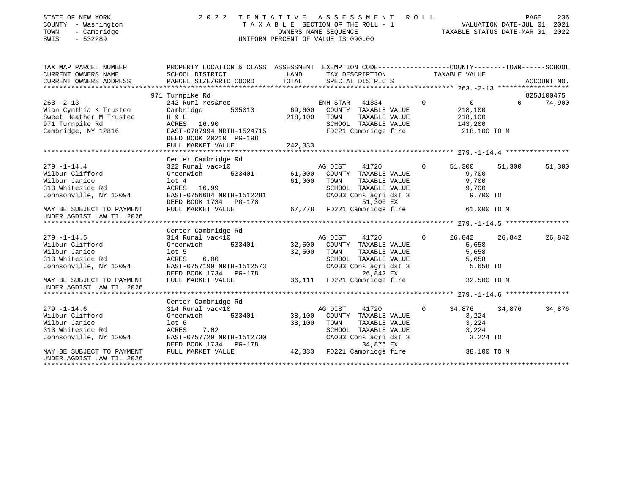| STATE OF NEW YORK<br>COUNTY - Washington<br>- Cambridge<br>TOWN<br>$-532289$<br>SWIS | 2 0 2 2                                                                                          | TENTATIVE     | A S S E S S M E N T<br>T A X A B L E SECTION OF THE ROLL - 1<br>OWNERS NAME SEQUENCE<br>UNIFORM PERCENT OF VALUE IS 090.00 | R O L L        | VALUATION DATE-JUL 01, 2021<br>TAXABLE STATUS DATE-MAR 01, 2022 | PAGE     | 236         |
|--------------------------------------------------------------------------------------|--------------------------------------------------------------------------------------------------|---------------|----------------------------------------------------------------------------------------------------------------------------|----------------|-----------------------------------------------------------------|----------|-------------|
| TAX MAP PARCEL NUMBER                                                                | PROPERTY LOCATION & CLASS ASSESSMENT EXEMPTION CODE----------------COUNTY-------TOWN------SCHOOL |               |                                                                                                                            |                |                                                                 |          |             |
| CURRENT OWNERS NAME<br>CURRENT OWNERS ADDRESS                                        | SCHOOL DISTRICT<br>PARCEL SIZE/GRID COORD                                                        | LAND<br>TOTAL | TAX DESCRIPTION TAXABLE VALUE<br>SPECIAL DISTRICTS                                                                         |                |                                                                 |          | ACCOUNT NO. |
|                                                                                      |                                                                                                  |               |                                                                                                                            |                |                                                                 |          |             |
|                                                                                      | 971 Turnpike Rd                                                                                  |               |                                                                                                                            |                |                                                                 |          | 825J100475  |
| $263. -2 - 13$                                                                       | 242 Rurl res&rec                                                                                 |               | ENH STAR<br>41834                                                                                                          | $\overline{0}$ | $0 \qquad \qquad$                                               | $\Omega$ | 74,900      |
| Wian Cynthia K Trustee                                                               | Cambridge<br>535010                                                                              | 69,600        | COUNTY TAXABLE VALUE                                                                                                       |                | 218,100                                                         |          |             |
| Sweet Heather M Trustee                                                              | H & L                                                                                            | 218,100       | TOWN<br>TAXABLE VALUE                                                                                                      |                | 218,100                                                         |          |             |
| 971 Turnpike Rd                                                                      | ACRES 16.90                                                                                      |               | SCHOOL TAXABLE VALUE                                                                                                       |                | 143,200                                                         |          |             |
| Cambridge, NY 12816                                                                  | EAST-0787994 NRTH-1524715                                                                        |               | FD221 Cambridge fire                                                                                                       |                | 218,100 TO M                                                    |          |             |
|                                                                                      | DEED BOOK 20210 PG-198                                                                           |               |                                                                                                                            |                |                                                                 |          |             |
|                                                                                      | FULL MARKET VALUE                                                                                | 242,333       |                                                                                                                            |                |                                                                 |          |             |
|                                                                                      |                                                                                                  |               |                                                                                                                            |                |                                                                 |          |             |
|                                                                                      | Center Cambridge Rd                                                                              |               |                                                                                                                            |                |                                                                 |          |             |
| $279. - 1 - 14.4$                                                                    | 322 Rural vac>10                                                                                 |               | AG DIST<br>41720                                                                                                           | $\overline{0}$ | 51,300                                                          | 51,300   | 51,300      |
| Wilbur Clifford                                                                      | Greenwich<br>533401                                                                              | 61,000        | COUNTY TAXABLE VALUE                                                                                                       |                | 9,700                                                           |          |             |
| Wilbur Janice                                                                        | $1$ ot $4$                                                                                       | 61,000        | TOWN<br>TAXABLE VALUE                                                                                                      |                | 9,700                                                           |          |             |
| 313 Whiteside Rd                                                                     | ACRES 16.99                                                                                      |               | SCHOOL TAXABLE VALUE                                                                                                       |                | 9,700                                                           |          |             |
| Johnsonville, NY 12094                                                               | EAST-0756684 NRTH-1512281<br>DEED BOOK 1734 PG-178                                               |               | CA003 Cons agri dst 3<br>51,300 EX                                                                                         |                | 9,700 TO                                                        |          |             |
| MAY BE SUBJECT TO PAYMENT                                                            | FULL MARKET VALUE                                                                                |               | 67,778 FD221 Cambridge fire                                                                                                |                | 61,000 TO M                                                     |          |             |
| UNDER AGDIST LAW TIL 2026                                                            |                                                                                                  |               |                                                                                                                            |                |                                                                 |          |             |
|                                                                                      |                                                                                                  |               |                                                                                                                            |                |                                                                 |          |             |
|                                                                                      | Center Cambridge Rd                                                                              |               |                                                                                                                            |                |                                                                 |          |             |
| $279. - 1 - 14.5$                                                                    | 314 Rural vac<10                                                                                 |               | AG DIST<br>41720                                                                                                           | $\circ$        | 26,842                                                          | 26,842   | 26,842      |
| Wilbur Clifford                                                                      | Greenwich 533401                                                                                 | 32,500        | COUNTY TAXABLE VALUE                                                                                                       |                | 5,658                                                           |          |             |
| Wilbur Janice                                                                        | $1$ ot 5                                                                                         | 32,500        | TAXABLE VALUE<br>TOWN                                                                                                      |                | 5,658                                                           |          |             |
| 313 Whiteside Rd                                                                     | ACRES<br>6.00                                                                                    |               | SCHOOL TAXABLE VALUE                                                                                                       |                | 5,658                                                           |          |             |
| Johnsonville, NY 12094                                                               | EAST-0757199 NRTH-1512573                                                                        |               | CA003 Cons agri dst 3                                                                                                      |                | 5,658 TO                                                        |          |             |
|                                                                                      | DEED BOOK 1734 PG-178                                                                            |               | 26,842 EX                                                                                                                  |                |                                                                 |          |             |
| MAY BE SUBJECT TO PAYMENT                                                            | FULL MARKET VALUE                                                                                |               | 36,111 FD221 Cambridge fire 32,500 TO M                                                                                    |                |                                                                 |          |             |
| UNDER AGDIST LAW TIL 2026                                                            |                                                                                                  |               |                                                                                                                            |                |                                                                 |          |             |
|                                                                                      |                                                                                                  |               |                                                                                                                            |                |                                                                 |          |             |
|                                                                                      | Center Cambridge Rd                                                                              |               |                                                                                                                            |                |                                                                 |          |             |
| $279. - 1 - 14.6$                                                                    | 314 Rural vac<10                                                                                 |               | 41720<br>AG DIST                                                                                                           | $\Omega$       | 34,876                                                          | 34,876   | 34,876      |
| Wilbur Clifford                                                                      | Greenwich<br>533401                                                                              | 38,100        | COUNTY TAXABLE VALUE                                                                                                       |                | 3,224                                                           |          |             |
| Wilbur Janice                                                                        | lot <sub>6</sub>                                                                                 | 38,100        | TOWN<br>TAXABLE VALUE                                                                                                      |                | 3,224                                                           |          |             |
| 313 Whiteside Rd                                                                     | ACRES<br>7.02                                                                                    |               | SCHOOL TAXABLE VALUE                                                                                                       |                | 3,224                                                           |          |             |
| Johnsonville, NY 12094                                                               | EAST-0757729 NRTH-1512730<br>DEED BOOK 1734 PG-178                                               |               | CA003 Cons agri dst 3<br>34,876 EX                                                                                         |                | 3,224 TO                                                        |          |             |
| MAY BE SUBJECT TO PAYMENT<br>UNDER AGDIST LAW TIL 2026                               | FULL MARKET VALUE                                                                                |               | 42,333 FD221 Cambridge fire                                                                                                |                | 38,100 TO M                                                     |          |             |

\*\*\*\*\*\*\*\*\*\*\*\*\*\*\*\*\*\*\*\*\*\*\*\*\*\*\*\*\*\*\*\*\*\*\*\*\*\*\*\*\*\*\*\*\*\*\*\*\*\*\*\*\*\*\*\*\*\*\*\*\*\*\*\*\*\*\*\*\*\*\*\*\*\*\*\*\*\*\*\*\*\*\*\*\*\*\*\*\*\*\*\*\*\*\*\*\*\*\*\*\*\*\*\*\*\*\*\*\*\*\*\*\*\*\*\*\*\*\*\*\*\*\*\*\*\*\*\*\*\*\*\*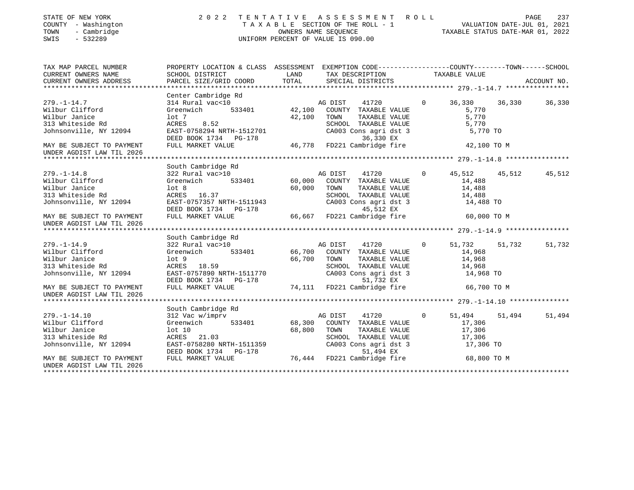| STATE OF NEW YORK<br>COUNTY - Washington<br>- Cambridge<br>TOWN<br>$-532289$<br>SWIS | 2 0 2 2                                                                                         | TENTATIVE | ASSESSMENT ROLL<br>T A X A B L E SECTION OF THE ROLL - 1 VALUATION DATE-JUL 01, 2021<br>OWNERS NAME SEQUENCE TAXABLE STATUS DATE-MAR 01. 2022<br>UNIFORM PERCENT OF VALUE IS 090.00 |             |               | PAGE<br>237      |
|--------------------------------------------------------------------------------------|-------------------------------------------------------------------------------------------------|-----------|-------------------------------------------------------------------------------------------------------------------------------------------------------------------------------------|-------------|---------------|------------------|
| TAX MAP PARCEL NUMBER                                                                | PROPERTY LOCATION & CLASS ASSESSMENT EXEMPTION CODE---------------COUNTY-------TOWN------SCHOOL |           |                                                                                                                                                                                     |             |               |                  |
| CURRENT OWNERS NAME                                                                  | SCHOOL DISTRICT                                                                                 | LAND      | TAX DESCRIPTION                                                                                                                                                                     |             | TAXABLE VALUE |                  |
| CURRENT OWNERS ADDRESS                                                               | PARCEL SIZE/GRID COORD                                                                          | TOTAL     | SPECIAL DISTRICTS                                                                                                                                                                   |             |               | ACCOUNT NO.      |
|                                                                                      |                                                                                                 |           |                                                                                                                                                                                     |             |               |                  |
| $279. - 1 - 14.7$                                                                    | Center Cambridge Rd<br>314 Rural vac<10                                                         |           | 41720<br>AG DIST                                                                                                                                                                    | $\Omega$    | 36,330        | 36,330<br>36,330 |
| Wilbur Clifford                                                                      | 533401<br>Greenwich                                                                             | 42,100    | COUNTY TAXABLE VALUE                                                                                                                                                                |             | 5,770         |                  |
| Wilbur Janice                                                                        | $1$ ot 7                                                                                        | 42,100    | TOWN<br>TAXABLE VALUE                                                                                                                                                               |             | 5,770         |                  |
| 313 Whiteside Rd                                                                     | ACRES<br>8.52                                                                                   |           | SCHOOL TAXABLE VALUE                                                                                                                                                                |             | 5,770         |                  |
| Johnsonville, NY 12094                                                               | EAST-0758294 NRTH-1512701                                                                       |           | CA003 Cons agri dst 3                                                                                                                                                               |             | 5,770 TO      |                  |
|                                                                                      | DEED BOOK 1734 PG-178                                                                           |           | 36,330 EX                                                                                                                                                                           |             |               |                  |
| MAY BE SUBJECT TO PAYMENT                                                            | FULL MARKET VALUE                                                                               | 46,778    | FD221 Cambridge fire                                                                                                                                                                |             | 42,100 TO M   |                  |
| UNDER AGDIST LAW TIL 2026                                                            |                                                                                                 |           |                                                                                                                                                                                     |             |               |                  |
|                                                                                      |                                                                                                 |           |                                                                                                                                                                                     |             |               |                  |
|                                                                                      | South Cambridge Rd                                                                              |           |                                                                                                                                                                                     |             |               |                  |
| $279. - 1 - 14.8$                                                                    | 322 Rural vac>10                                                                                |           | 41720<br>AG DIST                                                                                                                                                                    | $\Omega$    | 45,512        | 45,512<br>45,512 |
| Wilbur Clifford                                                                      | 533401<br>Greenwich                                                                             | 60,000    | COUNTY TAXABLE VALUE                                                                                                                                                                |             | 14,488        |                  |
| Wilbur Janice                                                                        | lot <sub>8</sub>                                                                                | 60,000    | TOWN<br>TAXABLE VALUE                                                                                                                                                               |             | 14,488        |                  |
| 313 Whiteside Rd                                                                     | ACRES 16.37                                                                                     |           | SCHOOL TAXABLE VALUE                                                                                                                                                                |             | 14,488        |                  |
| Johnsonville, NY 12094                                                               | EAST-0757357 NRTH-1511943                                                                       |           | CA003 Cons agri dst 3                                                                                                                                                               |             | 14,488 TO     |                  |
|                                                                                      | DEED BOOK 1734 PG-178                                                                           |           | 45,512 EX                                                                                                                                                                           |             |               |                  |
| MAY BE SUBJECT TO PAYMENT                                                            | FULL MARKET VALUE                                                                               | 66,667    | FD221 Cambridge fire                                                                                                                                                                |             | 60,000 TO M   |                  |
| UNDER AGDIST LAW TIL 2026                                                            |                                                                                                 |           |                                                                                                                                                                                     |             |               |                  |
|                                                                                      |                                                                                                 |           |                                                                                                                                                                                     |             |               |                  |
|                                                                                      | South Cambridge Rd                                                                              |           |                                                                                                                                                                                     |             |               |                  |
| $279. - 1 - 14.9$                                                                    | 322 Rural vac>10                                                                                |           | AG DIST<br>41720                                                                                                                                                                    | $\Omega$    | 51,732        | 51,732<br>51,732 |
| Wilbur Clifford                                                                      | 533401<br>Greenwich                                                                             | 66,700    | COUNTY TAXABLE VALUE                                                                                                                                                                |             | 14,968        |                  |
| Wilbur Janice                                                                        | $1$ ot $9$                                                                                      | 66,700    | TOWN<br>TAXABLE VALUE                                                                                                                                                               |             | 14,968        |                  |
| 313 Whiteside Rd                                                                     | ACRES 18.59                                                                                     |           | SCHOOL TAXABLE VALUE                                                                                                                                                                |             | 14,968        |                  |
| Johnsonville, NY 12094                                                               | EAST-0757890 NRTH-1511770                                                                       |           | CA003 Cons agri dst 3                                                                                                                                                               |             | 14,968 TO     |                  |
|                                                                                      | DEED BOOK 1734 PG-178                                                                           |           | 51,732 EX                                                                                                                                                                           |             |               |                  |
| MAY BE SUBJECT TO PAYMENT                                                            | FULL MARKET VALUE                                                                               |           | 74,111 FD221 Cambridge fire                                                                                                                                                         |             | 66,700 TO M   |                  |
| UNDER AGDIST LAW TIL 2026                                                            |                                                                                                 |           |                                                                                                                                                                                     |             |               |                  |
|                                                                                      |                                                                                                 |           |                                                                                                                                                                                     |             |               |                  |
|                                                                                      | South Cambridge Rd                                                                              |           |                                                                                                                                                                                     |             |               |                  |
| $279. - 1 - 14.10$                                                                   | 312 Vac w/imprv                                                                                 |           | AG DIST<br>41720                                                                                                                                                                    | $\mathbf 0$ | 51,494        | 51,494<br>51,494 |
| Wilbur Clifford                                                                      | 533401<br>Greenwich                                                                             | 68,300    | COUNTY TAXABLE VALUE                                                                                                                                                                |             | 17,306        |                  |
| Wilbur Janice                                                                        | $1$ ot $10$                                                                                     | 68,800    | TAXABLE VALUE<br>TOWN                                                                                                                                                               |             | 17,306        |                  |
| 313 Whiteside Rd                                                                     | ACRES 21.03                                                                                     |           | SCHOOL TAXABLE VALUE                                                                                                                                                                |             | 17,306        |                  |
| Johnsonville, NY 12094                                                               | EAST-0758280 NRTH-1511359                                                                       |           | CA003 Cons agri dst 3                                                                                                                                                               |             | 17,306 TO     |                  |
|                                                                                      | DEED BOOK 1734 PG-178                                                                           |           | 51,494 EX                                                                                                                                                                           |             |               |                  |
| MAY BE SUBJECT TO PAYMENT                                                            | FULL MARKET VALUE                                                                               |           | 76,444 FD221 Cambridge fire                                                                                                                                                         |             | 68,800 TO M   |                  |
| UNDER AGDIST LAW TIL 2026                                                            |                                                                                                 |           |                                                                                                                                                                                     |             |               |                  |
| *********************                                                                |                                                                                                 |           |                                                                                                                                                                                     |             |               |                  |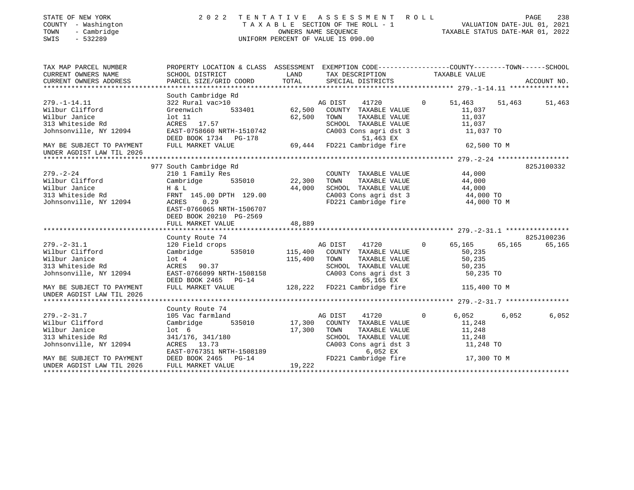| STATE OF NEW YORK<br>COUNTY - Washington<br>- Cambridge<br>TOWN<br>$-532289$<br>SWIS | 2 0 2 2                                                                                          |                  | TENTATIVE ASSESSMENT ROLL<br>T A X A B L E SECTION OF THE ROLL - 1 WE THAN WALUATION DATE-JUL 01, 2021<br>OWNERS NAME SEQUENCE TAXABLE STATUS DATE-MAR 01, 2022<br>UNIFORM PERCENT OF VALUE IS 090.00 |          |                  |        | PAGE<br>238 |
|--------------------------------------------------------------------------------------|--------------------------------------------------------------------------------------------------|------------------|-------------------------------------------------------------------------------------------------------------------------------------------------------------------------------------------------------|----------|------------------|--------|-------------|
| TAX MAP PARCEL NUMBER                                                                | PROPERTY LOCATION & CLASS ASSESSMENT EXEMPTION CODE----------------COUNTY-------TOWN------SCHOOL |                  |                                                                                                                                                                                                       |          |                  |        |             |
| CURRENT OWNERS NAME<br>CURRENT OWNERS ADDRESS                                        | SCHOOL DISTRICT<br>PARCEL SIZE/GRID COORD                                                        | LAND<br>TOTAL    | TAX DESCRIPTION<br>SPECIAL DISTRICTS                                                                                                                                                                  |          | TAXABLE VALUE    |        | ACCOUNT NO. |
|                                                                                      |                                                                                                  |                  |                                                                                                                                                                                                       |          |                  |        |             |
|                                                                                      | South Cambridge Rd                                                                               |                  |                                                                                                                                                                                                       |          |                  |        |             |
| $279. - 1 - 14.11$                                                                   | 322 Rural vac>10                                                                                 |                  | 41720<br>AG DIST                                                                                                                                                                                      | $\Omega$ | 51,463           | 51,463 | 51,463      |
| Wilbur Clifford                                                                      | 533401<br>Greenwich                                                                              | 62,500           | COUNTY TAXABLE VALUE                                                                                                                                                                                  |          | 11,037           |        |             |
| Wilbur Janice                                                                        | $1$ ot $11$                                                                                      | 62,500           | TOWN<br>TAXABLE VALUE                                                                                                                                                                                 |          | 11,037           |        |             |
| 313 Whiteside Rd                                                                     | ACRES 17.57                                                                                      |                  | SCHOOL TAXABLE VALUE<br>CA003 Cons agri dst 3                                                                                                                                                         |          | 11,037           |        |             |
| Johnsonville, NY 12094                                                               | EAST-0758660 NRTH-1510742                                                                        |                  |                                                                                                                                                                                                       |          | 11,037 TO        |        |             |
|                                                                                      | DEED BOOK 1734 PG-178                                                                            |                  | 51,463 EX<br>51,463 EX<br>69,444   FD221 Cambridge fire                                                                                                                                               |          |                  |        |             |
| MAY BE SUBJECT TO PAYMENT                                                            | FULL MARKET VALUE                                                                                |                  |                                                                                                                                                                                                       |          | 62,500 TO M      |        |             |
| UNDER AGDIST LAW TIL 2026                                                            |                                                                                                  |                  |                                                                                                                                                                                                       |          |                  |        |             |
|                                                                                      | 977 South Cambridge Rd                                                                           |                  |                                                                                                                                                                                                       |          |                  |        | 825J100332  |
| $279. - 2 - 24$                                                                      | 210 1 Family Res                                                                                 |                  | COUNTY TAXABLE VALUE                                                                                                                                                                                  |          | 44,000           |        |             |
| Wilbur Clifford                                                                      | 535010<br>Cambridge                                                                              | 22,300           | TOWN<br>TAXABLE VALUE                                                                                                                                                                                 |          | 44,000           |        |             |
| Wilbur Janice                                                                        | H & L                                                                                            | 44,000           | SCHOOL TAXABLE VALUE                                                                                                                                                                                  |          | 44,000           |        |             |
| 313 Whiteside Rd                                                                     | FRNT 145.00 DPTH 129.00                                                                          |                  | CA003 Cons agri dst 3<br>FD221 Cambridge fire                                                                                                                                                         |          | 44,000 TO        |        |             |
| Johnsonville, NY 12094                                                               | ACRES<br>0.29                                                                                    |                  |                                                                                                                                                                                                       |          | 44,000 TO M      |        |             |
|                                                                                      | EAST-0766065 NRTH-1506707                                                                        |                  |                                                                                                                                                                                                       |          |                  |        |             |
|                                                                                      | DEED BOOK 20210 PG-2569                                                                          |                  |                                                                                                                                                                                                       |          |                  |        |             |
|                                                                                      | FULL MARKET VALUE                                                                                | 48,889           |                                                                                                                                                                                                       |          |                  |        |             |
|                                                                                      |                                                                                                  |                  |                                                                                                                                                                                                       |          |                  |        | 825J100236  |
| $279. - 2 - 31.1$                                                                    | County Route 74<br>120 Field crops                                                               |                  | AG DIST<br>41720                                                                                                                                                                                      | $\Omega$ | 65,165           | 65,165 | 65,165      |
| Wilbur Clifford                                                                      | 535010<br>Cambridge                                                                              |                  | 115,400 COUNTY TAXABLE VALUE                                                                                                                                                                          |          | 50,235           |        |             |
| Wilbur Janice                                                                        | lot 4                                                                                            | 115,400          | TOWN<br>TAXABLE VALUE                                                                                                                                                                                 |          | 50,235           |        |             |
| 313 Whiteside Rd                                                                     | ACRES 90.37                                                                                      |                  | SCHOOL TAXABLE VALUE                                                                                                                                                                                  |          | 50,235           |        |             |
| Johnsonville, NY 12094                                                               | EAST-0766099 NRTH-1508158                                                                        |                  | CA003 Cons agri dst 3                                                                                                                                                                                 |          | 50,235 TO        |        |             |
|                                                                                      | DEED BOOK 2465 PG-14                                                                             |                  | 65,165 EX                                                                                                                                                                                             |          |                  |        |             |
| MAY BE SUBJECT TO PAYMENT                                                            | FULL MARKET VALUE                                                                                |                  | 128,222 FD221 Cambridge fire                                                                                                                                                                          |          | 115,400 TO M     |        |             |
| UNDER AGDIST LAW TIL 2026                                                            |                                                                                                  |                  |                                                                                                                                                                                                       |          |                  |        |             |
|                                                                                      |                                                                                                  |                  |                                                                                                                                                                                                       |          |                  |        |             |
|                                                                                      | County Route 74                                                                                  |                  |                                                                                                                                                                                                       |          |                  |        |             |
| $279. - 2 - 31.7$                                                                    | 105 Vac farmland                                                                                 |                  | 41720<br>AG DIST                                                                                                                                                                                      | $\Omega$ | 6,052            | 6,052  | 6,052       |
| Wilbur Clifford<br>Wilbur Janice                                                     | 535010<br>Cambridge<br>lot <sub>6</sub>                                                          | 17,300<br>17,300 | COUNTY TAXABLE VALUE<br>TOWN<br>TAXABLE VALUE                                                                                                                                                         |          | 11,248           |        |             |
| 313 Whiteside Rd                                                                     | 341/176, 341/180                                                                                 |                  | SCHOOL TAXABLE VALUE                                                                                                                                                                                  |          | 11,248<br>11,248 |        |             |
| Johnsonville, NY 12094                                                               | ACRES 13.73                                                                                      |                  | CA003 Cons agri dst 3                                                                                                                                                                                 |          | 11,248 TO        |        |             |
|                                                                                      | EAST-0767351 NRTH-1508189                                                                        |                  | 6,052 EX                                                                                                                                                                                              |          |                  |        |             |
| MAY BE SUBJECT TO PAYMENT                                                            | DEED BOOK 2465 PG-14                                                                             |                  | FD221 Cambridge fire                                                                                                                                                                                  |          | 17,300 TO M      |        |             |
| UNDER AGDIST LAW TIL 2026                                                            | FULL MARKET VALUE                                                                                | 19,222           |                                                                                                                                                                                                       |          |                  |        |             |
|                                                                                      |                                                                                                  |                  |                                                                                                                                                                                                       |          |                  |        |             |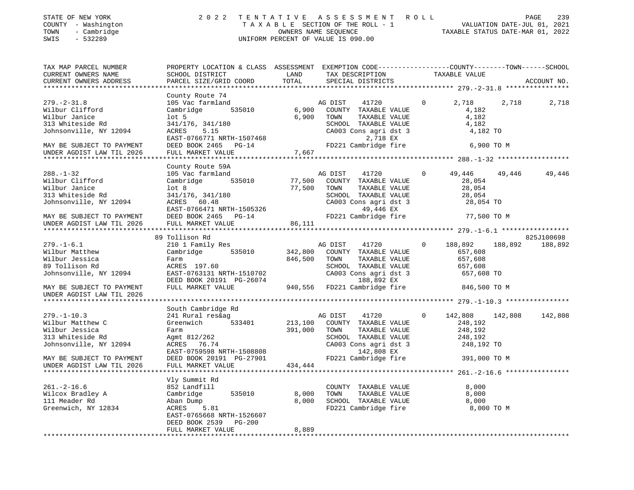| STATE OF NEW YORK   | 2022 TENTATIVE ASSESSMENT ROLL     |                                  | PAGE | 239 |
|---------------------|------------------------------------|----------------------------------|------|-----|
| COUNTY - Washington | TAXABLE SECTION OF THE ROLL - 1    | VALUATION DATE-JUL 01, 2021      |      |     |
| - Cambridge<br>TOWN | OWNERS NAME SEOUENCE               | TAXABLE STATUS DATE-MAR 01, 2022 |      |     |
| SWIS<br>- 532289    | UNIFORM PERCENT OF VALUE IS 090.00 |                                  |      |     |
|                     |                                    |                                  |      |     |

| TAX MAP PARCEL NUMBER     | PROPERTY LOCATION & CLASS ASSESSMENT EXEMPTION CODE---------------COUNTY-------TOWN------SCHOOL |         |                              |              |               |         |             |
|---------------------------|-------------------------------------------------------------------------------------------------|---------|------------------------------|--------------|---------------|---------|-------------|
| CURRENT OWNERS NAME       | SCHOOL DISTRICT                                                                                 | LAND    | TAX DESCRIPTION              |              | TAXABLE VALUE |         |             |
| CURRENT OWNERS ADDRESS    | PARCEL SIZE/GRID COORD                                                                          | TOTAL   | SPECIAL DISTRICTS            |              |               |         | ACCOUNT NO. |
|                           |                                                                                                 |         |                              |              |               |         |             |
|                           |                                                                                                 |         |                              |              |               |         |             |
|                           | County Route 74                                                                                 |         |                              |              |               |         |             |
| $279. - 2 - 31.8$         | 105 Vac farmland                                                                                |         | AG DIST<br>41720             | $\Omega$     | 2,718         | 2,718   | 2,718       |
| Wilbur Clifford           | 535010<br>Cambridge                                                                             | 6,900   | COUNTY TAXABLE VALUE         |              | 4,182         |         |             |
| Wilbur Janice             | $1$ ot 5                                                                                        | 6,900   | TOWN<br>TAXABLE VALUE        |              | 4,182         |         |             |
| 313 Whiteside Rd          | 341/176, 341/180                                                                                |         | SCHOOL TAXABLE VALUE         |              | 4,182         |         |             |
| Johnsonville, NY 12094    | ACRES<br>5.15                                                                                   |         | CA003 Cons agri dst 3        |              | 4,182 TO      |         |             |
|                           |                                                                                                 |         |                              |              |               |         |             |
|                           | EAST-0766771 NRTH-1507468                                                                       |         | 2,718 EX                     |              |               |         |             |
| MAY BE SUBJECT TO PAYMENT | DEED BOOK 2465 PG-14                                                                            |         | FD221 Cambridge fire         |              | 6,900 TO M    |         |             |
| UNDER AGDIST LAW TIL 2026 | FULL MARKET VALUE                                                                               | 7,667   |                              |              |               |         |             |
|                           |                                                                                                 |         |                              |              |               |         |             |
|                           | County Route 59A                                                                                |         |                              |              |               |         |             |
| $288. - 1 - 32$           | 105 Vac farmland                                                                                |         | AG DIST<br>41720             | $\Omega$     | 49,446        | 49,446  | 49,446      |
|                           |                                                                                                 |         |                              |              |               |         |             |
| Wilbur Clifford           | 535010<br>Cambridge                                                                             | 77,500  | COUNTY TAXABLE VALUE         |              | 28,054        |         |             |
| Wilbur Janice             | lot <sub>8</sub>                                                                                | 77,500  | TOWN<br>TAXABLE VALUE        |              | 28,054        |         |             |
| 313 Whiteside Rd          | 341/176, 341/180                                                                                |         | SCHOOL TAXABLE VALUE         |              | 28,054        |         |             |
| Johnsonville, NY 12094    | ACRES 60.48                                                                                     |         | CA003 Cons agri dst 3        |              | 28,054 TO     |         |             |
|                           | EAST-0766471 NRTH-1505326                                                                       |         | 49,446 EX                    |              |               |         |             |
| MAY BE SUBJECT TO PAYMENT | DEED BOOK 2465 PG-14                                                                            |         | FD221 Cambridge fire         |              | 77,500 TO M   |         |             |
|                           |                                                                                                 |         |                              |              |               |         |             |
| UNDER AGDIST LAW TIL 2026 | FULL MARKET VALUE                                                                               | 86,111  |                              |              |               |         |             |
|                           |                                                                                                 |         |                              |              |               |         |             |
|                           | 89 Tollison Rd                                                                                  |         |                              |              |               |         | 825J100698  |
| $279. - 1 - 6.1$          | 210 1 Family Res                                                                                |         | 41720<br>AG DIST             | $\Omega$     | 188,892       | 188,892 | 188,892     |
| Wilbur Matthew            | Cambridge<br>535010                                                                             | 342,800 | COUNTY TAXABLE VALUE         |              | 657,608       |         |             |
| Wilbur Jessica            | Farm                                                                                            | 846,500 | TAXABLE VALUE<br>TOWN        |              | 657,608       |         |             |
| 89 Tollison Rd            | ACRES 197.60                                                                                    |         | SCHOOL TAXABLE VALUE         |              | 657,608       |         |             |
|                           |                                                                                                 |         |                              |              |               |         |             |
| Johnsonville, NY 12094    | EAST-0763131 NRTH-1510702                                                                       |         | CA003 Cons agri dst 3        |              | 657,608 TO    |         |             |
|                           | DEED BOOK 20191 PG-26074                                                                        |         | 188,892 EX                   |              |               |         |             |
| MAY BE SUBJECT TO PAYMENT | FULL MARKET VALUE                                                                               |         | 940,556 FD221 Cambridge fire |              | 846,500 TO M  |         |             |
| UNDER AGDIST LAW TIL 2026 |                                                                                                 |         |                              |              |               |         |             |
|                           |                                                                                                 |         |                              |              |               |         |             |
|                           | South Cambridge Rd                                                                              |         |                              |              |               |         |             |
| $279. - 1 - 10.3$         | 241 Rural res&ag                                                                                |         | AG DIST<br>41720             | $\mathbf{0}$ | 142,808       | 142,808 | 142,808     |
|                           |                                                                                                 |         |                              |              |               |         |             |
| Wilbur Matthew C          | Greenwich 533401                                                                                | 213,100 | COUNTY TAXABLE VALUE         |              | 248,192       |         |             |
| Wilbur Jessica            | Farm                                                                                            | 391,000 | TOWN<br>TAXABLE VALUE        |              | 248,192       |         |             |
| 313 Whiteside Rd          | Agmt 812/262                                                                                    |         | SCHOOL TAXABLE VALUE         |              | 248,192       |         |             |
| Johnsonville, NY 12094    | ACRES 76.74                                                                                     |         | CA003 Cons agri dst 3        |              | 248,192 TO    |         |             |
|                           | EAST-0759598 NRTH-1508808                                                                       |         | 142,808 EX                   |              |               |         |             |
| MAY BE SUBJECT TO PAYMENT | DEED BOOK 20191 PG-27901                                                                        |         | FD221 Cambridge fire         |              | 391,000 TO M  |         |             |
|                           |                                                                                                 |         |                              |              |               |         |             |
| UNDER AGDIST LAW TIL 2026 | FULL MARKET VALUE                                                                               | 434,444 |                              |              |               |         |             |
|                           |                                                                                                 |         |                              |              |               |         |             |
|                           | Vly Summit Rd                                                                                   |         |                              |              |               |         |             |
| $261. -2 - 16.6$          | 852 Landfill                                                                                    |         | COUNTY TAXABLE VALUE         |              | 8,000         |         |             |
| Wilcox Bradley A          | 535010<br>Cambridge                                                                             | 8,000   | TOWN<br>TAXABLE VALUE        |              | 8,000         |         |             |
| 111 Meader Rd             | Aban Dump                                                                                       | 8,000   | SCHOOL TAXABLE VALUE         |              | 8,000         |         |             |
|                           |                                                                                                 |         |                              |              |               |         |             |
| Greenwich, NY 12834       | ACRES 5.81                                                                                      |         | FD221 Cambridge fire         |              | 8,000 TO M    |         |             |
|                           | EAST-0765668 NRTH-1526607                                                                       |         |                              |              |               |         |             |
|                           | DEED BOOK 2539 PG-200                                                                           |         |                              |              |               |         |             |
|                           | FULL MARKET VALUE                                                                               | 8,889   |                              |              |               |         |             |
|                           |                                                                                                 |         |                              |              |               |         |             |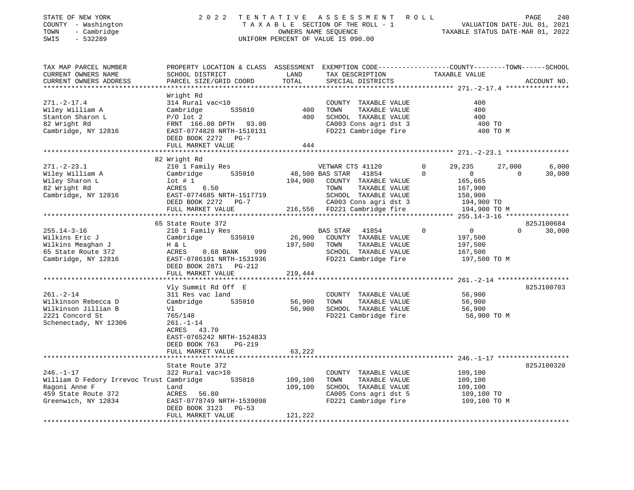| STATE OF NEW YORK<br>COUNTY - Washington<br>TOWN<br>- Cambridge<br>$-532289$<br>SWIS | 2022 TENTATIVE                                                                                                                               | OWNERS NAME SEQUENCE | ASSESSMENT ROLL<br>TAXABLE SECTION OF THE ROLL - 1<br>UNIFORM PERCENT OF VALUE IS 090.00 | VALUATION DATE-JUL 01, 2021<br>TAXABLE STATUS DATE-MAR 01, 2022 | PAGE<br>240        |
|--------------------------------------------------------------------------------------|----------------------------------------------------------------------------------------------------------------------------------------------|----------------------|------------------------------------------------------------------------------------------|-----------------------------------------------------------------|--------------------|
| TAX MAP PARCEL NUMBER<br>CURRENT OWNERS NAME<br>CURRENT OWNERS ADDRESS               | PROPERTY LOCATION & CLASS ASSESSMENT EXEMPTION CODE---------------COUNTY-------TOWN------SCHOOL<br>SCHOOL DISTRICT<br>PARCEL SIZE/GRID COORD | LAND<br>TOTAL        | TAX DESCRIPTION<br>SPECIAL DISTRICTS                                                     | TAXABLE VALUE                                                   | ACCOUNT NO.        |
|                                                                                      |                                                                                                                                              |                      |                                                                                          |                                                                 |                    |
| $271. - 2 - 17.4$                                                                    | Wright Rd<br>314 Rural vac<10                                                                                                                |                      | COUNTY TAXABLE VALUE                                                                     | 400                                                             |                    |
| Wiley William A                                                                      | 535010<br>Cambridge                                                                                                                          | 400                  | TOWN<br>TAXABLE VALUE                                                                    | 400                                                             |                    |
| Stanton Sharon L                                                                     | $P/O$ lot $2$                                                                                                                                | 400                  | SCHOOL TAXABLE VALUE                                                                     | 400                                                             |                    |
| 82 Wright Rd                                                                         | FRNT 166.00 DPTH 93.00                                                                                                                       |                      | CA003 Cons agri dst 3                                                                    | 400 TO                                                          |                    |
| Cambridge, NY 12816                                                                  | EAST-0774828 NRTH-1518131                                                                                                                    |                      | FD221 Cambridge fire                                                                     | 400 TO M                                                        |                    |
|                                                                                      | DEED BOOK 2272 PG-7                                                                                                                          |                      |                                                                                          |                                                                 |                    |
|                                                                                      | FULL MARKET VALUE                                                                                                                            | 444                  |                                                                                          |                                                                 |                    |
|                                                                                      | 82 Wright Rd                                                                                                                                 |                      |                                                                                          |                                                                 |                    |
| $271. - 2 - 23.1$                                                                    | 210 1 Family Res                                                                                                                             |                      | VETWAR CTS 41120                                                                         | 29,235<br>$\Omega$                                              | 27,000<br>6,000    |
| Wiley William A                                                                      | 535010<br>Cambridge                                                                                                                          | 48,500 BAS STAR      | 41854                                                                                    | $\mathbf 0$<br>$\overline{0}$                                   | 30,000<br>$\Omega$ |
| Wiley Sharon L                                                                       | $1$ ot # 1                                                                                                                                   |                      | 194,900 COUNTY TAXABLE VALUE                                                             | 165,665                                                         |                    |
| 82 Wright Rd                                                                         | ACRES 6.50                                                                                                                                   |                      | TOWN<br>TAXABLE VALUE                                                                    | 167,900                                                         |                    |
| Cambridge, NY 12816                                                                  | EAST-0774685 NRTH-1517719<br>DEED BOOK 2272 PG-7                                                                                             |                      | SCHOOL TAXABLE VALUE<br>CA003 Cons agri dst 3                                            | 158,900<br>194,900 TO                                           |                    |
|                                                                                      | FULL MARKET VALUE                                                                                                                            |                      | 216,556 FD221 Cambridge fire                                                             | 194,900 TO M                                                    |                    |
|                                                                                      |                                                                                                                                              |                      |                                                                                          |                                                                 |                    |
|                                                                                      | 65 State Route 372                                                                                                                           |                      |                                                                                          |                                                                 | 825J100684         |
| $255.14 - 3 - 16$                                                                    | 210 1 Family Res                                                                                                                             |                      | BAS STAR 41854                                                                           | $\Omega$<br>$\overline{0}$                                      | 30,000             |
| Wilkins Eric J                                                                       | Cambridge<br>535010                                                                                                                          |                      | 26,900 COUNTY TAXABLE VALUE                                                              | 197,500                                                         |                    |
| Wilkins Meaghan J<br>65 State Route 372                                              | H & L<br>ACRES<br>0.68 BANK 999                                                                                                              | 197,500              | TOWN<br>TAXABLE VALUE<br>SCHOOL TAXABLE VALUE                                            | 197,500<br>167,500                                              |                    |
| Cambridge, NY 12816                                                                  | EAST-0786101 NRTH-1531936                                                                                                                    |                      | FD221 Cambridge fire                                                                     | 197,500 TO M                                                    |                    |
|                                                                                      | DEED BOOK 2871 PG-212                                                                                                                        |                      |                                                                                          |                                                                 |                    |
|                                                                                      | FULL MARKET VALUE                                                                                                                            | 219,444              |                                                                                          |                                                                 |                    |
|                                                                                      |                                                                                                                                              |                      |                                                                                          |                                                                 |                    |
|                                                                                      | Vly Summit Rd Off E                                                                                                                          |                      |                                                                                          |                                                                 | 825J100703         |
| $261. - 2 - 14$<br>Wilkinson Rebecca D                                               | 311 Res vac land<br>Cambridge<br>535010                                                                                                      | 56,900               | COUNTY TAXABLE VALUE<br>TAXABLE VALUE<br>TOWN                                            | 56,900<br>56,900                                                |                    |
| Wilkinson Jillian B                                                                  | Vl                                                                                                                                           | 56,900               | SCHOOL TAXABLE VALUE                                                                     | 56,900                                                          |                    |
| 2221 Concord St                                                                      | 765/148                                                                                                                                      |                      | FD221 Cambridge fire                                                                     | 56,900 TO M                                                     |                    |
| Schenectady, NY 12306                                                                | $261. - 1 - 14$                                                                                                                              |                      |                                                                                          |                                                                 |                    |
|                                                                                      | ACRES 43.70                                                                                                                                  |                      |                                                                                          |                                                                 |                    |
|                                                                                      | EAST-0765242 NRTH-1524833                                                                                                                    |                      |                                                                                          |                                                                 |                    |
|                                                                                      | DEED BOOK 763<br>$PG-219$<br>FULL MARKET VALUE                                                                                               | 63,222               |                                                                                          |                                                                 |                    |
|                                                                                      |                                                                                                                                              |                      |                                                                                          |                                                                 |                    |
|                                                                                      | State Route 372                                                                                                                              |                      |                                                                                          |                                                                 | 825J100320         |
| $246. - 1 - 17$                                                                      | 322 Rural vac>10                                                                                                                             |                      | COUNTY TAXABLE VALUE                                                                     | 109,100                                                         |                    |
| William D Fedory Irrevoc Trust Cambridge                                             | 535010                                                                                                                                       | 109,100              | TOWN<br>TAXABLE VALUE                                                                    | 109,100                                                         |                    |
| Ragoni Anne F                                                                        | Land                                                                                                                                         | 109,100              | SCHOOL TAXABLE VALUE                                                                     | 109,100                                                         |                    |
| 459 State Route 372<br>Greenwich, NY 12834                                           | ACRES 56.80                                                                                                                                  |                      | CA005 Cons agri dst 5                                                                    | 109,100 TO                                                      |                    |
|                                                                                      | EAST-0778749 NRTH-1539098<br>DEED BOOK 3123 PG-53                                                                                            |                      | FD221 Cambridge fire                                                                     | 109,100 TO M                                                    |                    |
|                                                                                      | FULL MARKET VALUE                                                                                                                            | 121,222              |                                                                                          |                                                                 |                    |
|                                                                                      |                                                                                                                                              |                      |                                                                                          |                                                                 |                    |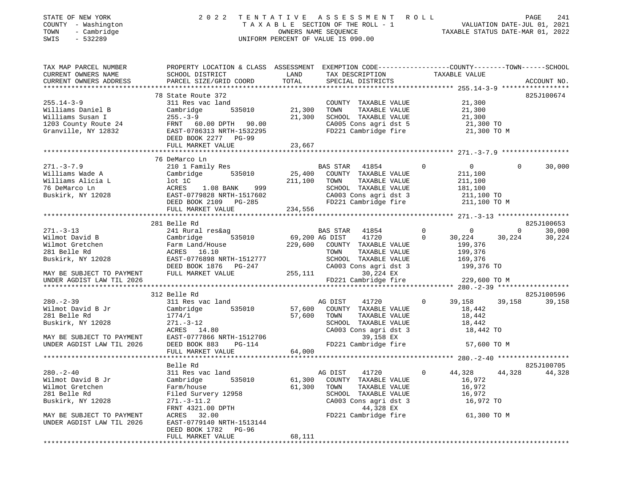| PROPERTY LOCATION & CLASS ASSESSMENT EXEMPTION CODE----------------COUNTY-------TOWN------SCHOOL<br>TAX MAP PARCEL NUMBER<br>CURRENT OWNERS NAME<br>TAX DESCRIPTION TAXABLE VALUE<br>SCHOOL DISTRICT<br>LAND<br>TOTAL<br>CURRENT OWNERS ADDRESS<br>PARCEL SIZE/GRID COORD<br>SPECIAL DISTRICTS<br>ACCOUNT NO.<br>78 State Route 372<br>825J100674<br>$255.14 - 3 - 9$<br>21,300<br>311 Res vac land<br>COUNTY TAXABLE VALUE<br>535010<br>21,300<br>Williams Daniel B<br>Cambridge<br>TOWN<br>TAXABLE VALUE<br>21,300<br>21,300<br>Williams Susan I<br>$255. - 3 - 9$<br>SCHOOL TAXABLE VALUE<br>21,300<br>1203 County Route 24<br>CA005 Cons agri dst 5<br>FD221 Cambridge fire<br>FRNT 60.00 DPTH 90.00<br>21,300 TO<br>Granville, NY 12832<br>EAST-0786313 NRTH-1532295<br>21,300 TO M<br>DEED BOOK 2277 PG-99<br>FULL MARKET VALUE<br>23,667<br>76 DeMarco Ln<br>$271. - 3 - 7.9$<br>210 1 Family Res<br>$\overline{0}$<br>30,000<br>BAS STAR 41854<br>$\mathbf 0$<br>$\Omega$<br>Williams Wade A<br>25,400<br>COUNTY TAXABLE VALUE<br>Cambridge<br>535010<br>211,100<br>Williams Alicia L<br>TAXABLE VALUE<br>lot 1C<br>211,100<br>TOWN<br>211,100<br>76 DeMarco Ln<br>SCHOOL TAXABLE VALUE<br>181,100<br>ACRES 1.08 BANK<br>999<br>Buskirk, NY 12028<br>EAST-0779828 NRTH-1517602<br>CA003 Cons agri dst 3<br>211,100 TO<br>DEED BOOK 2109 PG-285<br>FD221 Cambridge fire<br>211,100 TO M<br>FULL MARKET VALUE<br>234,556<br>281 Belle Rd<br>825J100653<br>$\mathbf 0$<br>$271. - 3 - 13$<br>41854<br>$\mathbf 0$<br>$\mathbf 0$<br>30,000<br>241 Rural res&ag<br><b>BAS STAR</b><br>41720<br>Wilmot David B<br>Cambridge<br>535010<br>69,200 AG DIST<br>$\mathbf 0$<br>30,224<br>30,224<br>30,224<br>Wilmot Gretchen<br>229,600<br>199,376<br>Farm Land/House<br>COUNTY TAXABLE VALUE<br>281 Belle Rd<br>ACRES 16.10<br>TAXABLE VALUE<br>199,376<br>TOWN<br>Buskirk, NY 12028<br>EAST-0776898 NRTH-1512777<br>SCHOOL TAXABLE VALUE<br>169,376<br>CA003 Cons agri dst 3<br>DEED BOOK 1876 PG-247<br>199,376 TO<br>FULL MARKET VALUE<br>MAY BE SUBJECT TO PAYMENT<br>255,111<br>30,224 EX<br>FD221 Cambridge fire<br>UNDER AGDIST LAW TIL 2026<br>229,600 TO M<br>825J100596<br>312 Belle Rd<br>$280. - 2 - 39$<br>311 Res vac land<br>41720<br>$\mathbf 0$<br>39,158<br>39,158<br>39,158<br>AG DIST<br>Wilmot David B Jr<br>57,600<br>Cambridge<br>535010<br>COUNTY TAXABLE VALUE<br>18,442<br>281 Belle Rd<br>57,600<br>1774/1<br>TOWN<br>TAXABLE VALUE<br>18,442<br>SCHOOL TAXABLE VALUE<br>Buskirk, NY 12028<br>$271. - 3 - 12$<br>18,442<br>ACRES 14.80<br>CA003 Cons agri dst 3<br>18,442 TO<br>EAST-0777866 NRTH-1512706<br>39,158 EX<br>MAY BE SUBJECT TO PAYMENT<br>DEED BOOK 883<br>FD221 Cambridge fire<br>UNDER AGDIST LAW TIL 2026<br>PG-114<br>57,600 TO M<br>64,000<br>FULL MARKET VALUE<br>Belle Rd<br>825J100705<br>44,328<br>311 Res vac land<br>$0 \t 44,328$<br>AG DIST 41720<br>44,328<br>Wilmot David B Jr<br>Cambridge<br>535010<br>61,300<br>COUNTY TAXABLE VALUE<br>16,972<br>Wilmot Gretchen<br>Farm/house<br>61,300<br>TOWN<br>TAXABLE VALUE<br>16,972<br>16,972<br>281 Belle Rd<br>Filed Survery 12958<br>SCHOOL TAXABLE VALUE<br>Buskirk, NY 12028<br>CA003 Cons agri dst 3<br>16,972 TO<br>$271. - 3 - 11.2$<br>FRNT 4321.00 DPTH<br>44,328 EX<br>MAY BE SUBJECT TO PAYMENT<br>ACRES 32.00<br>FD221 Cambridge fire<br>61,300 TO M<br>UNDER AGDIST LAW TIL 2026<br>EAST-0779140 NRTH-1513144<br>DEED BOOK 1782 PG-96<br>FULL MARKET VALUE<br>68,111 | STATE OF NEW YORK<br>COUNTY - Washington<br>- Cambridge<br>TOWN<br>SWIS<br>$-532289$ | 2 0 2 2 | TENTATIVE ASSESSMENT ROLL<br>UNIFORM PERCENT OF VALUE IS 090.00 | PAGE<br>241 |
|--------------------------------------------------------------------------------------------------------------------------------------------------------------------------------------------------------------------------------------------------------------------------------------------------------------------------------------------------------------------------------------------------------------------------------------------------------------------------------------------------------------------------------------------------------------------------------------------------------------------------------------------------------------------------------------------------------------------------------------------------------------------------------------------------------------------------------------------------------------------------------------------------------------------------------------------------------------------------------------------------------------------------------------------------------------------------------------------------------------------------------------------------------------------------------------------------------------------------------------------------------------------------------------------------------------------------------------------------------------------------------------------------------------------------------------------------------------------------------------------------------------------------------------------------------------------------------------------------------------------------------------------------------------------------------------------------------------------------------------------------------------------------------------------------------------------------------------------------------------------------------------------------------------------------------------------------------------------------------------------------------------------------------------------------------------------------------------------------------------------------------------------------------------------------------------------------------------------------------------------------------------------------------------------------------------------------------------------------------------------------------------------------------------------------------------------------------------------------------------------------------------------------------------------------------------------------------------------------------------------------------------------------------------------------------------------------------------------------------------------------------------------------------------------------------------------------------------------------------------------------------------------------------------------------------------------------------------------------------------------------------------------------------------------------------------------------------------------------------------------------------------------------------------------------------------------------------------------------------------------------------------------------------------------------------------------------------------------------------------------------------------------------------------------------------------------------------------------------------------|--------------------------------------------------------------------------------------|---------|-----------------------------------------------------------------|-------------|
|                                                                                                                                                                                                                                                                                                                                                                                                                                                                                                                                                                                                                                                                                                                                                                                                                                                                                                                                                                                                                                                                                                                                                                                                                                                                                                                                                                                                                                                                                                                                                                                                                                                                                                                                                                                                                                                                                                                                                                                                                                                                                                                                                                                                                                                                                                                                                                                                                                                                                                                                                                                                                                                                                                                                                                                                                                                                                                                                                                                                                                                                                                                                                                                                                                                                                                                                                                                                                                                                                      |                                                                                      |         |                                                                 |             |
|                                                                                                                                                                                                                                                                                                                                                                                                                                                                                                                                                                                                                                                                                                                                                                                                                                                                                                                                                                                                                                                                                                                                                                                                                                                                                                                                                                                                                                                                                                                                                                                                                                                                                                                                                                                                                                                                                                                                                                                                                                                                                                                                                                                                                                                                                                                                                                                                                                                                                                                                                                                                                                                                                                                                                                                                                                                                                                                                                                                                                                                                                                                                                                                                                                                                                                                                                                                                                                                                                      |                                                                                      |         |                                                                 |             |
|                                                                                                                                                                                                                                                                                                                                                                                                                                                                                                                                                                                                                                                                                                                                                                                                                                                                                                                                                                                                                                                                                                                                                                                                                                                                                                                                                                                                                                                                                                                                                                                                                                                                                                                                                                                                                                                                                                                                                                                                                                                                                                                                                                                                                                                                                                                                                                                                                                                                                                                                                                                                                                                                                                                                                                                                                                                                                                                                                                                                                                                                                                                                                                                                                                                                                                                                                                                                                                                                                      |                                                                                      |         |                                                                 |             |
|                                                                                                                                                                                                                                                                                                                                                                                                                                                                                                                                                                                                                                                                                                                                                                                                                                                                                                                                                                                                                                                                                                                                                                                                                                                                                                                                                                                                                                                                                                                                                                                                                                                                                                                                                                                                                                                                                                                                                                                                                                                                                                                                                                                                                                                                                                                                                                                                                                                                                                                                                                                                                                                                                                                                                                                                                                                                                                                                                                                                                                                                                                                                                                                                                                                                                                                                                                                                                                                                                      |                                                                                      |         |                                                                 |             |
|                                                                                                                                                                                                                                                                                                                                                                                                                                                                                                                                                                                                                                                                                                                                                                                                                                                                                                                                                                                                                                                                                                                                                                                                                                                                                                                                                                                                                                                                                                                                                                                                                                                                                                                                                                                                                                                                                                                                                                                                                                                                                                                                                                                                                                                                                                                                                                                                                                                                                                                                                                                                                                                                                                                                                                                                                                                                                                                                                                                                                                                                                                                                                                                                                                                                                                                                                                                                                                                                                      |                                                                                      |         |                                                                 |             |
|                                                                                                                                                                                                                                                                                                                                                                                                                                                                                                                                                                                                                                                                                                                                                                                                                                                                                                                                                                                                                                                                                                                                                                                                                                                                                                                                                                                                                                                                                                                                                                                                                                                                                                                                                                                                                                                                                                                                                                                                                                                                                                                                                                                                                                                                                                                                                                                                                                                                                                                                                                                                                                                                                                                                                                                                                                                                                                                                                                                                                                                                                                                                                                                                                                                                                                                                                                                                                                                                                      |                                                                                      |         |                                                                 |             |
|                                                                                                                                                                                                                                                                                                                                                                                                                                                                                                                                                                                                                                                                                                                                                                                                                                                                                                                                                                                                                                                                                                                                                                                                                                                                                                                                                                                                                                                                                                                                                                                                                                                                                                                                                                                                                                                                                                                                                                                                                                                                                                                                                                                                                                                                                                                                                                                                                                                                                                                                                                                                                                                                                                                                                                                                                                                                                                                                                                                                                                                                                                                                                                                                                                                                                                                                                                                                                                                                                      |                                                                                      |         |                                                                 |             |
|                                                                                                                                                                                                                                                                                                                                                                                                                                                                                                                                                                                                                                                                                                                                                                                                                                                                                                                                                                                                                                                                                                                                                                                                                                                                                                                                                                                                                                                                                                                                                                                                                                                                                                                                                                                                                                                                                                                                                                                                                                                                                                                                                                                                                                                                                                                                                                                                                                                                                                                                                                                                                                                                                                                                                                                                                                                                                                                                                                                                                                                                                                                                                                                                                                                                                                                                                                                                                                                                                      |                                                                                      |         |                                                                 |             |
|                                                                                                                                                                                                                                                                                                                                                                                                                                                                                                                                                                                                                                                                                                                                                                                                                                                                                                                                                                                                                                                                                                                                                                                                                                                                                                                                                                                                                                                                                                                                                                                                                                                                                                                                                                                                                                                                                                                                                                                                                                                                                                                                                                                                                                                                                                                                                                                                                                                                                                                                                                                                                                                                                                                                                                                                                                                                                                                                                                                                                                                                                                                                                                                                                                                                                                                                                                                                                                                                                      |                                                                                      |         |                                                                 |             |
|                                                                                                                                                                                                                                                                                                                                                                                                                                                                                                                                                                                                                                                                                                                                                                                                                                                                                                                                                                                                                                                                                                                                                                                                                                                                                                                                                                                                                                                                                                                                                                                                                                                                                                                                                                                                                                                                                                                                                                                                                                                                                                                                                                                                                                                                                                                                                                                                                                                                                                                                                                                                                                                                                                                                                                                                                                                                                                                                                                                                                                                                                                                                                                                                                                                                                                                                                                                                                                                                                      |                                                                                      |         |                                                                 |             |
|                                                                                                                                                                                                                                                                                                                                                                                                                                                                                                                                                                                                                                                                                                                                                                                                                                                                                                                                                                                                                                                                                                                                                                                                                                                                                                                                                                                                                                                                                                                                                                                                                                                                                                                                                                                                                                                                                                                                                                                                                                                                                                                                                                                                                                                                                                                                                                                                                                                                                                                                                                                                                                                                                                                                                                                                                                                                                                                                                                                                                                                                                                                                                                                                                                                                                                                                                                                                                                                                                      |                                                                                      |         |                                                                 |             |
|                                                                                                                                                                                                                                                                                                                                                                                                                                                                                                                                                                                                                                                                                                                                                                                                                                                                                                                                                                                                                                                                                                                                                                                                                                                                                                                                                                                                                                                                                                                                                                                                                                                                                                                                                                                                                                                                                                                                                                                                                                                                                                                                                                                                                                                                                                                                                                                                                                                                                                                                                                                                                                                                                                                                                                                                                                                                                                                                                                                                                                                                                                                                                                                                                                                                                                                                                                                                                                                                                      |                                                                                      |         |                                                                 |             |
|                                                                                                                                                                                                                                                                                                                                                                                                                                                                                                                                                                                                                                                                                                                                                                                                                                                                                                                                                                                                                                                                                                                                                                                                                                                                                                                                                                                                                                                                                                                                                                                                                                                                                                                                                                                                                                                                                                                                                                                                                                                                                                                                                                                                                                                                                                                                                                                                                                                                                                                                                                                                                                                                                                                                                                                                                                                                                                                                                                                                                                                                                                                                                                                                                                                                                                                                                                                                                                                                                      |                                                                                      |         |                                                                 |             |
|                                                                                                                                                                                                                                                                                                                                                                                                                                                                                                                                                                                                                                                                                                                                                                                                                                                                                                                                                                                                                                                                                                                                                                                                                                                                                                                                                                                                                                                                                                                                                                                                                                                                                                                                                                                                                                                                                                                                                                                                                                                                                                                                                                                                                                                                                                                                                                                                                                                                                                                                                                                                                                                                                                                                                                                                                                                                                                                                                                                                                                                                                                                                                                                                                                                                                                                                                                                                                                                                                      |                                                                                      |         |                                                                 |             |
|                                                                                                                                                                                                                                                                                                                                                                                                                                                                                                                                                                                                                                                                                                                                                                                                                                                                                                                                                                                                                                                                                                                                                                                                                                                                                                                                                                                                                                                                                                                                                                                                                                                                                                                                                                                                                                                                                                                                                                                                                                                                                                                                                                                                                                                                                                                                                                                                                                                                                                                                                                                                                                                                                                                                                                                                                                                                                                                                                                                                                                                                                                                                                                                                                                                                                                                                                                                                                                                                                      |                                                                                      |         |                                                                 |             |
|                                                                                                                                                                                                                                                                                                                                                                                                                                                                                                                                                                                                                                                                                                                                                                                                                                                                                                                                                                                                                                                                                                                                                                                                                                                                                                                                                                                                                                                                                                                                                                                                                                                                                                                                                                                                                                                                                                                                                                                                                                                                                                                                                                                                                                                                                                                                                                                                                                                                                                                                                                                                                                                                                                                                                                                                                                                                                                                                                                                                                                                                                                                                                                                                                                                                                                                                                                                                                                                                                      |                                                                                      |         |                                                                 |             |
|                                                                                                                                                                                                                                                                                                                                                                                                                                                                                                                                                                                                                                                                                                                                                                                                                                                                                                                                                                                                                                                                                                                                                                                                                                                                                                                                                                                                                                                                                                                                                                                                                                                                                                                                                                                                                                                                                                                                                                                                                                                                                                                                                                                                                                                                                                                                                                                                                                                                                                                                                                                                                                                                                                                                                                                                                                                                                                                                                                                                                                                                                                                                                                                                                                                                                                                                                                                                                                                                                      |                                                                                      |         |                                                                 |             |
|                                                                                                                                                                                                                                                                                                                                                                                                                                                                                                                                                                                                                                                                                                                                                                                                                                                                                                                                                                                                                                                                                                                                                                                                                                                                                                                                                                                                                                                                                                                                                                                                                                                                                                                                                                                                                                                                                                                                                                                                                                                                                                                                                                                                                                                                                                                                                                                                                                                                                                                                                                                                                                                                                                                                                                                                                                                                                                                                                                                                                                                                                                                                                                                                                                                                                                                                                                                                                                                                                      |                                                                                      |         |                                                                 |             |
|                                                                                                                                                                                                                                                                                                                                                                                                                                                                                                                                                                                                                                                                                                                                                                                                                                                                                                                                                                                                                                                                                                                                                                                                                                                                                                                                                                                                                                                                                                                                                                                                                                                                                                                                                                                                                                                                                                                                                                                                                                                                                                                                                                                                                                                                                                                                                                                                                                                                                                                                                                                                                                                                                                                                                                                                                                                                                                                                                                                                                                                                                                                                                                                                                                                                                                                                                                                                                                                                                      |                                                                                      |         |                                                                 |             |
|                                                                                                                                                                                                                                                                                                                                                                                                                                                                                                                                                                                                                                                                                                                                                                                                                                                                                                                                                                                                                                                                                                                                                                                                                                                                                                                                                                                                                                                                                                                                                                                                                                                                                                                                                                                                                                                                                                                                                                                                                                                                                                                                                                                                                                                                                                                                                                                                                                                                                                                                                                                                                                                                                                                                                                                                                                                                                                                                                                                                                                                                                                                                                                                                                                                                                                                                                                                                                                                                                      |                                                                                      |         |                                                                 |             |
|                                                                                                                                                                                                                                                                                                                                                                                                                                                                                                                                                                                                                                                                                                                                                                                                                                                                                                                                                                                                                                                                                                                                                                                                                                                                                                                                                                                                                                                                                                                                                                                                                                                                                                                                                                                                                                                                                                                                                                                                                                                                                                                                                                                                                                                                                                                                                                                                                                                                                                                                                                                                                                                                                                                                                                                                                                                                                                                                                                                                                                                                                                                                                                                                                                                                                                                                                                                                                                                                                      |                                                                                      |         |                                                                 |             |
|                                                                                                                                                                                                                                                                                                                                                                                                                                                                                                                                                                                                                                                                                                                                                                                                                                                                                                                                                                                                                                                                                                                                                                                                                                                                                                                                                                                                                                                                                                                                                                                                                                                                                                                                                                                                                                                                                                                                                                                                                                                                                                                                                                                                                                                                                                                                                                                                                                                                                                                                                                                                                                                                                                                                                                                                                                                                                                                                                                                                                                                                                                                                                                                                                                                                                                                                                                                                                                                                                      |                                                                                      |         |                                                                 |             |
|                                                                                                                                                                                                                                                                                                                                                                                                                                                                                                                                                                                                                                                                                                                                                                                                                                                                                                                                                                                                                                                                                                                                                                                                                                                                                                                                                                                                                                                                                                                                                                                                                                                                                                                                                                                                                                                                                                                                                                                                                                                                                                                                                                                                                                                                                                                                                                                                                                                                                                                                                                                                                                                                                                                                                                                                                                                                                                                                                                                                                                                                                                                                                                                                                                                                                                                                                                                                                                                                                      |                                                                                      |         |                                                                 |             |
|                                                                                                                                                                                                                                                                                                                                                                                                                                                                                                                                                                                                                                                                                                                                                                                                                                                                                                                                                                                                                                                                                                                                                                                                                                                                                                                                                                                                                                                                                                                                                                                                                                                                                                                                                                                                                                                                                                                                                                                                                                                                                                                                                                                                                                                                                                                                                                                                                                                                                                                                                                                                                                                                                                                                                                                                                                                                                                                                                                                                                                                                                                                                                                                                                                                                                                                                                                                                                                                                                      |                                                                                      |         |                                                                 |             |
|                                                                                                                                                                                                                                                                                                                                                                                                                                                                                                                                                                                                                                                                                                                                                                                                                                                                                                                                                                                                                                                                                                                                                                                                                                                                                                                                                                                                                                                                                                                                                                                                                                                                                                                                                                                                                                                                                                                                                                                                                                                                                                                                                                                                                                                                                                                                                                                                                                                                                                                                                                                                                                                                                                                                                                                                                                                                                                                                                                                                                                                                                                                                                                                                                                                                                                                                                                                                                                                                                      |                                                                                      |         |                                                                 |             |
|                                                                                                                                                                                                                                                                                                                                                                                                                                                                                                                                                                                                                                                                                                                                                                                                                                                                                                                                                                                                                                                                                                                                                                                                                                                                                                                                                                                                                                                                                                                                                                                                                                                                                                                                                                                                                                                                                                                                                                                                                                                                                                                                                                                                                                                                                                                                                                                                                                                                                                                                                                                                                                                                                                                                                                                                                                                                                                                                                                                                                                                                                                                                                                                                                                                                                                                                                                                                                                                                                      |                                                                                      |         |                                                                 |             |
|                                                                                                                                                                                                                                                                                                                                                                                                                                                                                                                                                                                                                                                                                                                                                                                                                                                                                                                                                                                                                                                                                                                                                                                                                                                                                                                                                                                                                                                                                                                                                                                                                                                                                                                                                                                                                                                                                                                                                                                                                                                                                                                                                                                                                                                                                                                                                                                                                                                                                                                                                                                                                                                                                                                                                                                                                                                                                                                                                                                                                                                                                                                                                                                                                                                                                                                                                                                                                                                                                      |                                                                                      |         |                                                                 |             |
|                                                                                                                                                                                                                                                                                                                                                                                                                                                                                                                                                                                                                                                                                                                                                                                                                                                                                                                                                                                                                                                                                                                                                                                                                                                                                                                                                                                                                                                                                                                                                                                                                                                                                                                                                                                                                                                                                                                                                                                                                                                                                                                                                                                                                                                                                                                                                                                                                                                                                                                                                                                                                                                                                                                                                                                                                                                                                                                                                                                                                                                                                                                                                                                                                                                                                                                                                                                                                                                                                      |                                                                                      |         |                                                                 |             |
|                                                                                                                                                                                                                                                                                                                                                                                                                                                                                                                                                                                                                                                                                                                                                                                                                                                                                                                                                                                                                                                                                                                                                                                                                                                                                                                                                                                                                                                                                                                                                                                                                                                                                                                                                                                                                                                                                                                                                                                                                                                                                                                                                                                                                                                                                                                                                                                                                                                                                                                                                                                                                                                                                                                                                                                                                                                                                                                                                                                                                                                                                                                                                                                                                                                                                                                                                                                                                                                                                      |                                                                                      |         |                                                                 |             |
|                                                                                                                                                                                                                                                                                                                                                                                                                                                                                                                                                                                                                                                                                                                                                                                                                                                                                                                                                                                                                                                                                                                                                                                                                                                                                                                                                                                                                                                                                                                                                                                                                                                                                                                                                                                                                                                                                                                                                                                                                                                                                                                                                                                                                                                                                                                                                                                                                                                                                                                                                                                                                                                                                                                                                                                                                                                                                                                                                                                                                                                                                                                                                                                                                                                                                                                                                                                                                                                                                      |                                                                                      |         |                                                                 |             |
|                                                                                                                                                                                                                                                                                                                                                                                                                                                                                                                                                                                                                                                                                                                                                                                                                                                                                                                                                                                                                                                                                                                                                                                                                                                                                                                                                                                                                                                                                                                                                                                                                                                                                                                                                                                                                                                                                                                                                                                                                                                                                                                                                                                                                                                                                                                                                                                                                                                                                                                                                                                                                                                                                                                                                                                                                                                                                                                                                                                                                                                                                                                                                                                                                                                                                                                                                                                                                                                                                      |                                                                                      |         |                                                                 |             |
|                                                                                                                                                                                                                                                                                                                                                                                                                                                                                                                                                                                                                                                                                                                                                                                                                                                                                                                                                                                                                                                                                                                                                                                                                                                                                                                                                                                                                                                                                                                                                                                                                                                                                                                                                                                                                                                                                                                                                                                                                                                                                                                                                                                                                                                                                                                                                                                                                                                                                                                                                                                                                                                                                                                                                                                                                                                                                                                                                                                                                                                                                                                                                                                                                                                                                                                                                                                                                                                                                      |                                                                                      |         |                                                                 |             |
|                                                                                                                                                                                                                                                                                                                                                                                                                                                                                                                                                                                                                                                                                                                                                                                                                                                                                                                                                                                                                                                                                                                                                                                                                                                                                                                                                                                                                                                                                                                                                                                                                                                                                                                                                                                                                                                                                                                                                                                                                                                                                                                                                                                                                                                                                                                                                                                                                                                                                                                                                                                                                                                                                                                                                                                                                                                                                                                                                                                                                                                                                                                                                                                                                                                                                                                                                                                                                                                                                      |                                                                                      |         |                                                                 |             |
|                                                                                                                                                                                                                                                                                                                                                                                                                                                                                                                                                                                                                                                                                                                                                                                                                                                                                                                                                                                                                                                                                                                                                                                                                                                                                                                                                                                                                                                                                                                                                                                                                                                                                                                                                                                                                                                                                                                                                                                                                                                                                                                                                                                                                                                                                                                                                                                                                                                                                                                                                                                                                                                                                                                                                                                                                                                                                                                                                                                                                                                                                                                                                                                                                                                                                                                                                                                                                                                                                      |                                                                                      |         |                                                                 |             |
|                                                                                                                                                                                                                                                                                                                                                                                                                                                                                                                                                                                                                                                                                                                                                                                                                                                                                                                                                                                                                                                                                                                                                                                                                                                                                                                                                                                                                                                                                                                                                                                                                                                                                                                                                                                                                                                                                                                                                                                                                                                                                                                                                                                                                                                                                                                                                                                                                                                                                                                                                                                                                                                                                                                                                                                                                                                                                                                                                                                                                                                                                                                                                                                                                                                                                                                                                                                                                                                                                      |                                                                                      |         |                                                                 |             |
|                                                                                                                                                                                                                                                                                                                                                                                                                                                                                                                                                                                                                                                                                                                                                                                                                                                                                                                                                                                                                                                                                                                                                                                                                                                                                                                                                                                                                                                                                                                                                                                                                                                                                                                                                                                                                                                                                                                                                                                                                                                                                                                                                                                                                                                                                                                                                                                                                                                                                                                                                                                                                                                                                                                                                                                                                                                                                                                                                                                                                                                                                                                                                                                                                                                                                                                                                                                                                                                                                      |                                                                                      |         |                                                                 |             |
|                                                                                                                                                                                                                                                                                                                                                                                                                                                                                                                                                                                                                                                                                                                                                                                                                                                                                                                                                                                                                                                                                                                                                                                                                                                                                                                                                                                                                                                                                                                                                                                                                                                                                                                                                                                                                                                                                                                                                                                                                                                                                                                                                                                                                                                                                                                                                                                                                                                                                                                                                                                                                                                                                                                                                                                                                                                                                                                                                                                                                                                                                                                                                                                                                                                                                                                                                                                                                                                                                      |                                                                                      |         |                                                                 |             |
|                                                                                                                                                                                                                                                                                                                                                                                                                                                                                                                                                                                                                                                                                                                                                                                                                                                                                                                                                                                                                                                                                                                                                                                                                                                                                                                                                                                                                                                                                                                                                                                                                                                                                                                                                                                                                                                                                                                                                                                                                                                                                                                                                                                                                                                                                                                                                                                                                                                                                                                                                                                                                                                                                                                                                                                                                                                                                                                                                                                                                                                                                                                                                                                                                                                                                                                                                                                                                                                                                      |                                                                                      |         |                                                                 |             |
|                                                                                                                                                                                                                                                                                                                                                                                                                                                                                                                                                                                                                                                                                                                                                                                                                                                                                                                                                                                                                                                                                                                                                                                                                                                                                                                                                                                                                                                                                                                                                                                                                                                                                                                                                                                                                                                                                                                                                                                                                                                                                                                                                                                                                                                                                                                                                                                                                                                                                                                                                                                                                                                                                                                                                                                                                                                                                                                                                                                                                                                                                                                                                                                                                                                                                                                                                                                                                                                                                      | $280 - 2 - 40$                                                                       |         |                                                                 |             |
|                                                                                                                                                                                                                                                                                                                                                                                                                                                                                                                                                                                                                                                                                                                                                                                                                                                                                                                                                                                                                                                                                                                                                                                                                                                                                                                                                                                                                                                                                                                                                                                                                                                                                                                                                                                                                                                                                                                                                                                                                                                                                                                                                                                                                                                                                                                                                                                                                                                                                                                                                                                                                                                                                                                                                                                                                                                                                                                                                                                                                                                                                                                                                                                                                                                                                                                                                                                                                                                                                      |                                                                                      |         |                                                                 |             |
|                                                                                                                                                                                                                                                                                                                                                                                                                                                                                                                                                                                                                                                                                                                                                                                                                                                                                                                                                                                                                                                                                                                                                                                                                                                                                                                                                                                                                                                                                                                                                                                                                                                                                                                                                                                                                                                                                                                                                                                                                                                                                                                                                                                                                                                                                                                                                                                                                                                                                                                                                                                                                                                                                                                                                                                                                                                                                                                                                                                                                                                                                                                                                                                                                                                                                                                                                                                                                                                                                      |                                                                                      |         |                                                                 |             |
|                                                                                                                                                                                                                                                                                                                                                                                                                                                                                                                                                                                                                                                                                                                                                                                                                                                                                                                                                                                                                                                                                                                                                                                                                                                                                                                                                                                                                                                                                                                                                                                                                                                                                                                                                                                                                                                                                                                                                                                                                                                                                                                                                                                                                                                                                                                                                                                                                                                                                                                                                                                                                                                                                                                                                                                                                                                                                                                                                                                                                                                                                                                                                                                                                                                                                                                                                                                                                                                                                      |                                                                                      |         |                                                                 |             |
|                                                                                                                                                                                                                                                                                                                                                                                                                                                                                                                                                                                                                                                                                                                                                                                                                                                                                                                                                                                                                                                                                                                                                                                                                                                                                                                                                                                                                                                                                                                                                                                                                                                                                                                                                                                                                                                                                                                                                                                                                                                                                                                                                                                                                                                                                                                                                                                                                                                                                                                                                                                                                                                                                                                                                                                                                                                                                                                                                                                                                                                                                                                                                                                                                                                                                                                                                                                                                                                                                      |                                                                                      |         |                                                                 |             |
|                                                                                                                                                                                                                                                                                                                                                                                                                                                                                                                                                                                                                                                                                                                                                                                                                                                                                                                                                                                                                                                                                                                                                                                                                                                                                                                                                                                                                                                                                                                                                                                                                                                                                                                                                                                                                                                                                                                                                                                                                                                                                                                                                                                                                                                                                                                                                                                                                                                                                                                                                                                                                                                                                                                                                                                                                                                                                                                                                                                                                                                                                                                                                                                                                                                                                                                                                                                                                                                                                      |                                                                                      |         |                                                                 |             |
|                                                                                                                                                                                                                                                                                                                                                                                                                                                                                                                                                                                                                                                                                                                                                                                                                                                                                                                                                                                                                                                                                                                                                                                                                                                                                                                                                                                                                                                                                                                                                                                                                                                                                                                                                                                                                                                                                                                                                                                                                                                                                                                                                                                                                                                                                                                                                                                                                                                                                                                                                                                                                                                                                                                                                                                                                                                                                                                                                                                                                                                                                                                                                                                                                                                                                                                                                                                                                                                                                      |                                                                                      |         |                                                                 |             |
|                                                                                                                                                                                                                                                                                                                                                                                                                                                                                                                                                                                                                                                                                                                                                                                                                                                                                                                                                                                                                                                                                                                                                                                                                                                                                                                                                                                                                                                                                                                                                                                                                                                                                                                                                                                                                                                                                                                                                                                                                                                                                                                                                                                                                                                                                                                                                                                                                                                                                                                                                                                                                                                                                                                                                                                                                                                                                                                                                                                                                                                                                                                                                                                                                                                                                                                                                                                                                                                                                      |                                                                                      |         |                                                                 |             |
|                                                                                                                                                                                                                                                                                                                                                                                                                                                                                                                                                                                                                                                                                                                                                                                                                                                                                                                                                                                                                                                                                                                                                                                                                                                                                                                                                                                                                                                                                                                                                                                                                                                                                                                                                                                                                                                                                                                                                                                                                                                                                                                                                                                                                                                                                                                                                                                                                                                                                                                                                                                                                                                                                                                                                                                                                                                                                                                                                                                                                                                                                                                                                                                                                                                                                                                                                                                                                                                                                      |                                                                                      |         |                                                                 |             |
|                                                                                                                                                                                                                                                                                                                                                                                                                                                                                                                                                                                                                                                                                                                                                                                                                                                                                                                                                                                                                                                                                                                                                                                                                                                                                                                                                                                                                                                                                                                                                                                                                                                                                                                                                                                                                                                                                                                                                                                                                                                                                                                                                                                                                                                                                                                                                                                                                                                                                                                                                                                                                                                                                                                                                                                                                                                                                                                                                                                                                                                                                                                                                                                                                                                                                                                                                                                                                                                                                      |                                                                                      |         |                                                                 |             |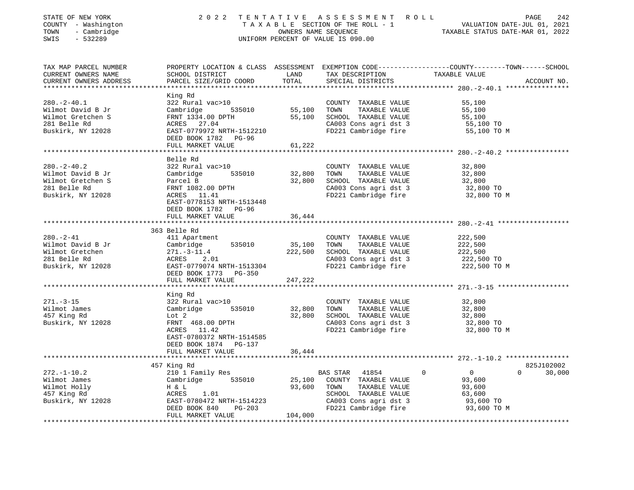| STATE OF NEW YORK<br>COUNTY - Washington | 2 0 2 2                             | TENTATIVE | A S S E S S M E N T R O L L<br>T A X A B L E SECTION OF THE ROLL - 1 | PAGE<br>242<br>VALUATION DATE-JUL 01, 2021                                                      |
|------------------------------------------|-------------------------------------|-----------|----------------------------------------------------------------------|-------------------------------------------------------------------------------------------------|
| TOWN<br>- Cambridge                      |                                     |           | OWNERS NAME SEQUENCE                                                 | TAXABLE STATUS DATE-MAR 01, 2022                                                                |
| SWIS<br>$-532289$                        |                                     |           | UNIFORM PERCENT OF VALUE IS 090.00                                   |                                                                                                 |
|                                          |                                     |           |                                                                      |                                                                                                 |
| TAX MAP PARCEL NUMBER                    |                                     |           |                                                                      | PROPERTY LOCATION & CLASS ASSESSMENT EXEMPTION CODE----------------COUNTY-------TOWN-----SCHOOL |
| CURRENT OWNERS NAME                      | SCHOOL DISTRICT                     | LAND      | TAX DESCRIPTION                                                      | TAXABLE VALUE                                                                                   |
| CURRENT OWNERS ADDRESS                   | PARCEL SIZE/GRID COORD              | TOTAL     | SPECIAL DISTRICTS                                                    | ACCOUNT NO.<br>.*********************** 280.-2-40.1 *****************                           |
|                                          | King Rd                             |           |                                                                      |                                                                                                 |
| $280. - 2 - 40.1$                        | 322 Rural vac>10                    |           | COUNTY TAXABLE VALUE                                                 | 55,100                                                                                          |
| Wilmot David B Jr                        | Cambridge<br>535010                 | 55,100    | TOWN<br>TAXABLE VALUE                                                | 55,100                                                                                          |
| Wilmot Gretchen S                        | FRNT 1334.00 DPTH                   | 55,100    | SCHOOL TAXABLE VALUE                                                 | 55,100                                                                                          |
| 281 Belle Rd                             | ACRES 27.04                         |           | CA003 Cons agri dst 3                                                | 55,100 TO                                                                                       |
| Buskirk, NY 12028                        | EAST-0779972 NRTH-1512210           |           | FD221 Cambridge fire                                                 | 55,100 TO M                                                                                     |
|                                          | DEED BOOK 1782 PG-96                |           |                                                                      |                                                                                                 |
|                                          | FULL MARKET VALUE                   | 61,222    |                                                                      |                                                                                                 |
|                                          | *******************                 |           |                                                                      |                                                                                                 |
|                                          | Belle Rd                            |           |                                                                      |                                                                                                 |
| $280. - 2 - 40.2$                        | 322 Rural vac>10                    |           | COUNTY TAXABLE VALUE                                                 | 32,800                                                                                          |
| Wilmot David B Jr                        | 535010<br>Cambridge                 | 32,800    | TAXABLE VALUE<br>TOWN                                                | 32,800                                                                                          |
| Wilmot Gretchen S                        | Parcel B                            | 32,800    | SCHOOL TAXABLE VALUE                                                 | 32,800                                                                                          |
| 281 Belle Rd                             | FRNT 1082.00 DPTH                   |           | CA003 Cons agri dst 3                                                | 32,800 TO                                                                                       |
| Buskirk, NY 12028                        | ACRES 11.41                         |           | FD221 Cambridge fire                                                 | 32,800 TO M                                                                                     |
|                                          | EAST-0778153 NRTH-1513448           |           |                                                                      |                                                                                                 |
|                                          | DEED BOOK 1782 PG-96                |           |                                                                      |                                                                                                 |
|                                          | FULL MARKET VALUE                   | 36,444    |                                                                      |                                                                                                 |
|                                          | 363 Belle Rd                        |           |                                                                      |                                                                                                 |
| $280. - 2 - 41$                          | 411 Apartment                       |           | COUNTY TAXABLE VALUE                                                 | 222,500                                                                                         |
| Wilmot David B Jr                        | 535010<br>Cambridge                 | 35,100    | TAXABLE VALUE<br>TOWN                                                | 222,500                                                                                         |
| Wilmot Gretchen                          | $271. - 3 - 11.4$                   | 222,500   | SCHOOL TAXABLE VALUE                                                 | 222,500                                                                                         |
| 281 Belle Rd                             | ACRES<br>2.01                       |           | CA003 Cons agri dst 3                                                | 222,500 TO                                                                                      |
| Buskirk, NY 12028                        | EAST-0779074 NRTH-1513304           |           | FD221 Cambridge fire                                                 | 222,500 TO M                                                                                    |
|                                          | DEED BOOK 1773 PG-350               |           |                                                                      |                                                                                                 |
|                                          | FULL MARKET VALUE                   | 247,222   |                                                                      |                                                                                                 |
|                                          | ***********************             |           |                                                                      |                                                                                                 |
|                                          | King Rd                             |           |                                                                      |                                                                                                 |
| $271. - 3 - 15$                          | 322 Rural vac>10                    |           | COUNTY TAXABLE VALUE                                                 | 32,800                                                                                          |
| Wilmot James                             | Cambridge<br>535010                 | 32,800    | TAXABLE VALUE<br>TOWN                                                | 32,800                                                                                          |
| 457 King Rd                              | Lot 2                               | 32,800    | SCHOOL TAXABLE VALUE                                                 | 32,800                                                                                          |
| Buskirk, NY 12028                        | FRNT 468.00 DPTH                    |           | CA003 Cons agri dst 3                                                | 32,800 TO                                                                                       |
|                                          | ACRES 11.42                         |           | FD221 Cambridge fire                                                 | 32,800 TO M                                                                                     |
|                                          | EAST-0780372 NRTH-1514585           |           |                                                                      |                                                                                                 |
|                                          | DEED BOOK 1874 PG-137               |           |                                                                      |                                                                                                 |
|                                          | FULL MARKET VALUE                   | 36,444    |                                                                      |                                                                                                 |
|                                          |                                     |           |                                                                      |                                                                                                 |
|                                          | 457 King Rd                         |           |                                                                      | 825J102002<br>$\overline{0}$                                                                    |
| $272. - 1 - 10.2$                        | 210 1 Family Res<br>535010          |           | <b>BAS STAR</b><br>41854                                             | 30,000<br>0<br>$\Omega$                                                                         |
| Wilmot James                             | Cambridge                           | 25,100    | COUNTY TAXABLE VALUE                                                 | 93,600                                                                                          |
| Wilmot Holly                             | H & L<br>1.01                       | 93,600    | TOWN<br>TAXABLE VALUE                                                | 93,600                                                                                          |
| 457 King Rd<br>Buskirk, NY 12028         | ACRES                               |           | SCHOOL TAXABLE VALUE<br>CA003 Cons agri dst 3                        | 63,600<br>93,600 TO                                                                             |
|                                          | EAST-0780472 NRTH-1514223<br>PG-203 |           | FD221 Cambridge fire                                                 | 93,600 TO M                                                                                     |
|                                          | DEED BOOK 840<br>FULL MARKET VALUE  | 104,000   |                                                                      |                                                                                                 |
|                                          |                                     |           |                                                                      |                                                                                                 |
|                                          |                                     |           |                                                                      |                                                                                                 |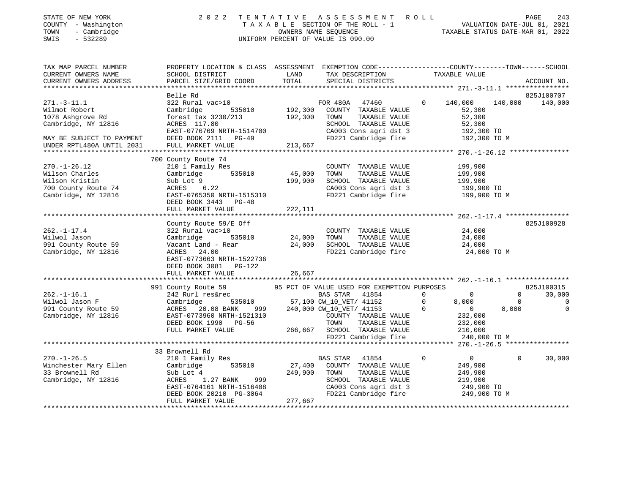| STATE OF NEW YORK<br>COUNTY - Washington<br>TOWN<br>- Cambridge<br>$-532289$<br>SWIS                 | 2 0 2 2                                                                                                                                                        |                    | TENTATIVE ASSESSMENT ROLL<br>T A X A B L E SECTION OF THE ROLL - $1$<br>OWNERS NAME SEQUENCE<br>UNIFORM PERCENT OF VALUE IS 090.00                       |                                     | TAXABLE STATUS DATE-MAR 01, 2022                                              |                                  | PAGE<br>243<br>VALUATION DATE-JUL 01, 2021 |
|------------------------------------------------------------------------------------------------------|----------------------------------------------------------------------------------------------------------------------------------------------------------------|--------------------|----------------------------------------------------------------------------------------------------------------------------------------------------------|-------------------------------------|-------------------------------------------------------------------------------|----------------------------------|--------------------------------------------|
| TAX MAP PARCEL NUMBER<br>CURRENT OWNERS NAME<br>CURRENT OWNERS ADDRESS                               | PROPERTY LOCATION & CLASS ASSESSMENT EXEMPTION CODE---------------COUNTY-------TOWN------SCHOOL<br>SCHOOL DISTRICT<br>PARCEL SIZE/GRID COORD                   | LAND<br>TOTAL      | TAX DESCRIPTION<br>SPECIAL DISTRICTS                                                                                                                     |                                     | TAXABLE VALUE                                                                 |                                  | ACCOUNT NO.                                |
|                                                                                                      |                                                                                                                                                                |                    |                                                                                                                                                          |                                     |                                                                               |                                  |                                            |
|                                                                                                      | Belle Rd                                                                                                                                                       |                    |                                                                                                                                                          |                                     |                                                                               |                                  | 825J100707                                 |
| $271. - 3 - 11.1$<br>Wilmot Robert<br>1078 Ashgrove Rd<br>Cambridge, NY 12816                        | 322 Rural vac>10<br>Cambridge<br>535010<br>forest tax 3230/213<br>ACRES 117.80<br>EAST-0776769 NRTH-1514700                                                    | 192,300<br>192,300 | FOR 480A<br>47460<br>COUNTY TAXABLE VALUE<br>TOWN<br>TAXABLE VALUE<br>SCHOOL TAXABLE VALUE<br>CA003 Cons agri dst 3                                      | $\Omega$                            | 140,000<br>52,300<br>52,300<br>52,300<br>192,300 TO                           | 140,000                          | 140,000                                    |
| MAY BE SUBJECT TO PAYMENT                                                                            | DEED BOOK 2111<br>$PG-49$                                                                                                                                      |                    | FD221 Cambridge fire                                                                                                                                     |                                     | 192,300 TO M                                                                  |                                  |                                            |
| UNDER RPTL480A UNTIL 2031                                                                            | FULL MARKET VALUE                                                                                                                                              | 213,667            |                                                                                                                                                          |                                     |                                                                               |                                  |                                            |
| $270. - 1 - 26.12$<br>Wilson Charles<br>Wilson Kristin<br>700 County Route 74<br>Cambridge, NY 12816 | 700 County Route 74<br>210 1 Family Res<br>Cambridge<br>535010<br>Sub Lot 9<br>ACRES<br>6.22<br>EAST-0765350 NRTH-1515310<br>DEED BOOK 3443 PG-48              | 45,000<br>199,900  | COUNTY TAXABLE VALUE<br>TOWN<br>TAXABLE VALUE<br>SCHOOL TAXABLE VALUE<br>CA003 Cons agri dst 3<br>FD221 Cambridge fire                                   |                                     | 199,900<br>199,900<br>199,900<br>199,900 TO<br>199,900 TO M                   |                                  |                                            |
|                                                                                                      | FULL MARKET VALUE<br>***************************                                                                                                               | 222,111            |                                                                                                                                                          |                                     |                                                                               |                                  |                                            |
| $262. - 1 - 17.4$<br>Wilwol Jason<br>991 County Route 59<br>Cambridge, NY 12816                      | County Route 59/E Off<br>322 Rural vac>10<br>Cambridge<br>535010<br>Vacant Land - Rear<br>ACRES<br>24.00<br>EAST-0773663 NRTH-1522736<br>DEED BOOK 3081 PG-122 | 24,000<br>24,000   | COUNTY TAXABLE VALUE<br>TAXABLE VALUE<br>TOWN<br>SCHOOL TAXABLE VALUE<br>FD221 Cambridge fire                                                            |                                     | 24,000<br>24,000<br>24,000<br>24,000 TO M                                     |                                  | 825J100928                                 |
|                                                                                                      | FULL MARKET VALUE                                                                                                                                              | 26,667             |                                                                                                                                                          |                                     |                                                                               |                                  |                                            |
|                                                                                                      | 991 County Route 59                                                                                                                                            |                    | 95 PCT OF VALUE USED FOR EXEMPTION PURPOSES                                                                                                              |                                     |                                                                               |                                  | 825J100315                                 |
| $262. - 1 - 16.1$<br>Wilwol Jason F<br>991 County Route 59<br>Cambridge, NY 12816                    | 242 Rurl res&rec<br>535010<br>Cambridge<br>ACRES<br>20.08 BANK<br>999<br>EAST-0773960 NRTH-1521310<br>DEED BOOK 1990 PG-56<br>FULL MARKET VALUE                | 266,667            | <b>BAS STAR</b><br>41854<br>57,100 CW_10_VET/ 41152<br>240,000 CW_10_VET/ 41153<br>COUNTY TAXABLE VALUE<br>TAXABLE VALUE<br>TOWN<br>SCHOOL TAXABLE VALUE | $\Omega$<br>$\mathbf 0$<br>$\Omega$ | $\mathbf 0$<br>8,000<br>$\overline{0}$<br>232,000<br>232,000<br>210,000       | $\Omega$<br>$\mathbf 0$<br>8,000 | 30,000<br>$\mathbf 0$<br>$\mathbf 0$       |
|                                                                                                      |                                                                                                                                                                |                    | FD221 Cambridge fire                                                                                                                                     |                                     | 240,000 TO M                                                                  |                                  |                                            |
|                                                                                                      |                                                                                                                                                                |                    |                                                                                                                                                          |                                     |                                                                               |                                  |                                            |
| $270. - 1 - 26.5$<br>Winchester Mary Ellen<br>33 Brownell Rd<br>Cambridge, NY 12816                  | 33 Brownell Rd<br>210 1 Family Res<br>Cambridge<br>535010<br>Sub Lot 4<br>ACRES<br>1.27 BANK<br>999<br>EAST-0764161 NRTH-1516408<br>DEED BOOK 20210 PG-3064    | 27,400<br>249,900  | <b>BAS STAR</b><br>41854<br>COUNTY TAXABLE VALUE<br>TOWN<br>TAXABLE VALUE<br>SCHOOL TAXABLE VALUE<br>CA003 Cons agri dst 3<br>FD221 Cambridge fire       | $\Omega$                            | $\overline{0}$<br>249,900<br>249,900<br>219,900<br>249,900 TO<br>249,900 TO M | $\Omega$                         | 30,000                                     |

\*\*\*\*\*\*\*\*\*\*\*\*\*\*\*\*\*\*\*\*\*\*\*\*\*\*\*\*\*\*\*\*\*\*\*\*\*\*\*\*\*\*\*\*\*\*\*\*\*\*\*\*\*\*\*\*\*\*\*\*\*\*\*\*\*\*\*\*\*\*\*\*\*\*\*\*\*\*\*\*\*\*\*\*\*\*\*\*\*\*\*\*\*\*\*\*\*\*\*\*\*\*\*\*\*\*\*\*\*\*\*\*\*\*\*\*\*\*\*\*\*\*\*\*\*\*\*\*\*\*\*\*

DEED BOOK 20210 PG-3064<br>FULL MARKET VALUE 277,667

FULL MARKET VALUE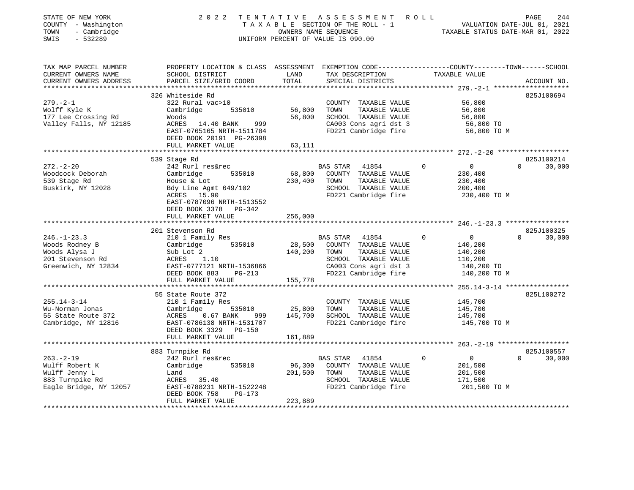| STATE OF NEW YORK<br>COUNTY - Washington<br>TOWN<br>- Cambridge                                 | 2022<br>T E N T A T I V E<br>TAXABLE SECTION OF THE ROLL - 1                                                                                                                                                                      | R O L L                      | 244<br>PAGE<br>VALUATION DATE-JUL 01, 2021<br>TAXABLE STATUS DATE-MAR 01, 2022                                                          |                                                                                                                                                |                                                                      |  |
|-------------------------------------------------------------------------------------------------|-----------------------------------------------------------------------------------------------------------------------------------------------------------------------------------------------------------------------------------|------------------------------|-----------------------------------------------------------------------------------------------------------------------------------------|------------------------------------------------------------------------------------------------------------------------------------------------|----------------------------------------------------------------------|--|
| SWIS<br>$-532289$                                                                               | UNIFORM PERCENT OF VALUE IS 090.00                                                                                                                                                                                                |                              |                                                                                                                                         |                                                                                                                                                |                                                                      |  |
| TAX MAP PARCEL NUMBER<br>CURRENT OWNERS NAME<br>CURRENT OWNERS ADDRESS                          | PROPERTY LOCATION & CLASS ASSESSMENT EXEMPTION CODE----------------COUNTY-------TOWN-----SCHOOL<br>SCHOOL DISTRICT<br>PARCEL SIZE/GRID COORD                                                                                      | LAND<br>TOTAL                | TAX DESCRIPTION<br>SPECIAL DISTRICTS                                                                                                    | TAXABLE VALUE                                                                                                                                  | ACCOUNT NO.                                                          |  |
|                                                                                                 |                                                                                                                                                                                                                                   | ********************         |                                                                                                                                         |                                                                                                                                                |                                                                      |  |
| $279. - 2 - 1$<br>Wolff Kyle K<br>177 Lee Crossing Rd<br>Valley Falls, NY 12185                 | 326 Whiteside Rd<br>322 Rural vac>10<br>Cambridge<br>535010<br>Woods<br>ACRES 14.40 BANK<br>999<br>EAST-0765165 NRTH-1511784<br>DEED BOOK 20191 PG-26398                                                                          | 56,800<br>56,800             | COUNTY TAXABLE VALUE<br>TOWN<br>TAXABLE VALUE<br>SCHOOL TAXABLE VALUE<br>CA003 Cons agri dst 3<br>FD221 Cambridge fire                  | 56,800<br>56,800<br>56,800<br>56,800 TO<br>56,800 TO M                                                                                         | 825J100694                                                           |  |
|                                                                                                 | FULL MARKET VALUE                                                                                                                                                                                                                 | 63,111                       |                                                                                                                                         |                                                                                                                                                |                                                                      |  |
| $272 - 2 - 20$<br>Woodcock Deborah<br>539 Stage Rd<br>Buskirk, NY 12028<br>$246. - 1 - 23.3$    | 539 Stage Rd<br>242 Rurl res&rec<br>Cambridge<br>535010<br>House & Lot<br>Bdy Line Agmt 649/102<br>ACRES 15.90<br>EAST-0787096 NRTH-1513552<br>DEED BOOK 3378 PG-342<br>FULL MARKET VALUE<br>201 Stevenson Rd<br>210 1 Family Res | 68,800<br>230,400<br>256,000 | BAS STAR<br>41854<br>COUNTY TAXABLE VALUE<br>TOWN<br>TAXABLE VALUE<br>SCHOOL TAXABLE VALUE<br>FD221 Cambridge fire<br>BAS STAR<br>41854 | $\overline{0}$<br>0<br>230,400<br>230,400<br>200,400<br>230,400 TO M<br>***************** 246.-1-23.3 *****************<br>$\overline{0}$<br>0 | 825J100214<br>$\Omega$<br>30,000<br>825J100325<br>$\Omega$<br>30,000 |  |
| Woods Rodney B<br>Woods Alysa J<br>201 Stevenson Rd<br>Greenwich, NY 12834                      | 535010<br>Cambridge<br>Sub Lot 2<br>1.10<br>ACRES<br>EAST-0777121 NRTH-1536866<br>DEED BOOK 883<br>PG-213<br>FULL MARKET VALUE                                                                                                    | 28,500<br>140,200<br>155,778 | COUNTY TAXABLE VALUE<br>TOWN<br>TAXABLE VALUE<br>SCHOOL TAXABLE VALUE<br>CA003 Cons agri dst 3<br>FD221 Cambridge fire                  | 140,200<br>140,200<br>110,200<br>140,200 TO<br>140,200 TO M                                                                                    |                                                                      |  |
|                                                                                                 | ************************                                                                                                                                                                                                          |                              |                                                                                                                                         |                                                                                                                                                |                                                                      |  |
| $255.14 - 3 - 14$<br>Wu-Norman Jonas<br>55 State Route 372<br>Cambridge, NY 12816               | 55 State Route 372<br>210 1 Family Res<br>Cambridge<br>535010<br>ACRES<br>$0.67$ BANK<br>999<br>EAST-0786138 NRTH-1531707<br>DEED BOOK 3329 PG-150<br>FULL MARKET VALUE                                                           | 25,800<br>145,700<br>161,889 | COUNTY TAXABLE VALUE<br>TOWN<br>TAXABLE VALUE<br>SCHOOL TAXABLE VALUE<br>FD221 Cambridge fire                                           | 145,700<br>145,700<br>145,700<br>145,700 TO M                                                                                                  | 825L100272                                                           |  |
|                                                                                                 | *********************                                                                                                                                                                                                             |                              |                                                                                                                                         |                                                                                                                                                |                                                                      |  |
| $263. - 2 - 19$<br>Wulff Robert K<br>Wulff Jenny L<br>883 Turnpike Rd<br>Eagle Bridge, NY 12057 | 883 Turnpike Rd<br>242 Rurl res&rec<br>535010<br>Cambridge<br>Land<br>ACRES 35.40<br>EAST-0788231 NRTH-1522248<br>DEED BOOK 758<br>$PG-173$<br>FULL MARKET VALUE                                                                  | 96,300<br>201,500<br>223,889 | BAS STAR<br>41854<br>COUNTY TAXABLE VALUE<br>TOWN<br>TAXABLE VALUE<br>SCHOOL TAXABLE VALUE<br>FD221 Cambridge fire                      | $\Omega$<br>$\overline{0}$<br>201,500<br>201,500<br>171,500<br>201,500 TO M                                                                    | 825J100557<br>$\Omega$<br>30,000                                     |  |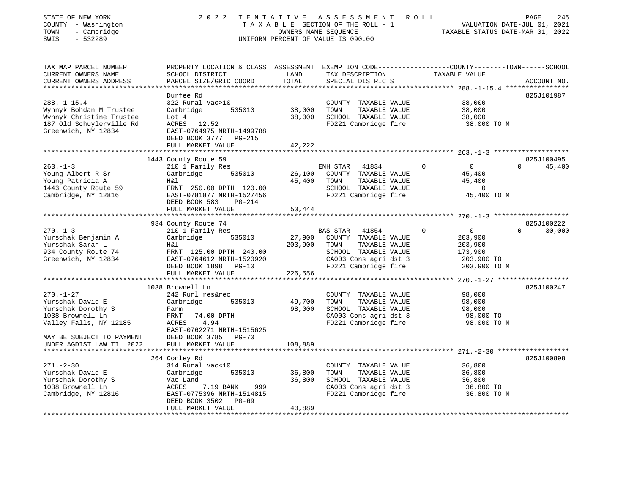| STATE OF NEW YORK<br>COUNTY - Washington<br>- Cambridge<br>TOWN<br>$-532289$<br>SWIS                                                 | 2 0 2 2                                                                                                                                                                                                    | TENTATIVE ASSESSMENT<br>PAGE<br>245<br>R O L L<br>TAXABLE SECTION OF THE ROLL - 1<br>VALUATION DATE-JUL 01, 2021<br>OWNERS NAME SEQUENCE<br>TAXABLE STATUS DATE-MAR 01, 2022<br>UNIFORM PERCENT OF VALUE IS 090.00 |                                                                                                                                             |                                                                                           |                                  |  |
|--------------------------------------------------------------------------------------------------------------------------------------|------------------------------------------------------------------------------------------------------------------------------------------------------------------------------------------------------------|--------------------------------------------------------------------------------------------------------------------------------------------------------------------------------------------------------------------|---------------------------------------------------------------------------------------------------------------------------------------------|-------------------------------------------------------------------------------------------|----------------------------------|--|
| TAX MAP PARCEL NUMBER<br>CURRENT OWNERS NAME<br>CURRENT OWNERS ADDRESS<br>***********************                                    | PROPERTY LOCATION & CLASS ASSESSMENT EXEMPTION CODE---------------COUNTY-------TOWN------SCHOOL<br>SCHOOL DISTRICT<br>PARCEL SIZE/GRID COORD                                                               | LAND<br>TOTAL                                                                                                                                                                                                      | TAX DESCRIPTION<br>SPECIAL DISTRICTS                                                                                                        | TAXABLE VALUE                                                                             | ACCOUNT NO.                      |  |
| $288. - 1 - 15.4$<br>Wynnyk Bohdan M Trustee<br>Wynnyk Christine Trustee<br>187 Old Schuylerville Rd<br>Greenwich, NY 12834          | Durfee Rd<br>322 Rural vac>10<br>535010<br>Cambridge<br>Lot 4<br>ACRES<br>12.52<br>EAST-0764975 NRTH-1499788<br>DEED BOOK 3777<br>PG-215<br>FULL MARKET VALUE                                              | 38,000<br>38,000<br>42,222                                                                                                                                                                                         | COUNTY TAXABLE VALUE<br>TOWN<br>TAXABLE VALUE<br>SCHOOL TAXABLE VALUE<br>FD221 Cambridge fire                                               | 38,000<br>38,000<br>38,000<br>38,000 TO M                                                 | 825J101987                       |  |
|                                                                                                                                      |                                                                                                                                                                                                            |                                                                                                                                                                                                                    |                                                                                                                                             | ************* 263.-1-3 ********************                                               |                                  |  |
| $263. - 1 - 3$<br>Young Albert R Sr<br>Young Patricia A<br>1443 County Route 59<br>Cambridge, NY 12816                               | 1443 County Route 59<br>210 1 Family Res<br>Cambridge<br>535010<br>Η&l<br>FRNT 250.00 DPTH 120.00<br>EAST-0781877 NRTH-1527456                                                                             | 26,100<br>45,400                                                                                                                                                                                                   | 41834<br>ENH STAR<br>COUNTY TAXABLE VALUE<br>TAXABLE VALUE<br>TOWN<br>SCHOOL TAXABLE VALUE<br>FD221 Cambridge fire                          | $\mathbf 0$<br>$\overline{0}$<br>45,400<br>45,400<br>$\mathsf{O}$<br>45,400 TO M          | 825J100495<br>$\Omega$<br>45,400 |  |
|                                                                                                                                      | DEED BOOK 583<br>$PG-214$                                                                                                                                                                                  |                                                                                                                                                                                                                    |                                                                                                                                             |                                                                                           |                                  |  |
|                                                                                                                                      | FULL MARKET VALUE                                                                                                                                                                                          | 50,444                                                                                                                                                                                                             |                                                                                                                                             |                                                                                           |                                  |  |
| $270. - 1 - 3$<br>Yurschak Benjamin A<br>Yurschak Sarah L<br>934 County Route 74<br>Greenwich, NY 12834                              | 934 County Route 74<br>210 1 Family Res<br>Cambridge<br>535010<br>Η&l<br>FRNT 125.00 DPTH 240.00<br>EAST-0764612 NRTH-1520920<br>DEED BOOK 1898 PG-10                                                      | 27,900<br>203,900                                                                                                                                                                                                  | BAS STAR<br>41854<br>COUNTY TAXABLE VALUE<br>TOWN<br>TAXABLE VALUE<br>SCHOOL TAXABLE VALUE<br>CA003 Cons agri dst 3<br>FD221 Cambridge fire | $\Omega$<br>$\overline{0}$<br>203,900<br>203,900<br>173,900<br>203,900 TO<br>203,900 TO M | 825J100222<br>$\Omega$<br>30,000 |  |
|                                                                                                                                      | FULL MARKET VALUE                                                                                                                                                                                          | 226,556                                                                                                                                                                                                            |                                                                                                                                             |                                                                                           |                                  |  |
| $270. - 1 - 27$<br>Yurschak David E<br>Yurschak Dorothy S<br>1038 Brownell Ln<br>Valley Falls, NY 12185<br>MAY BE SUBJECT TO PAYMENT | *****************************<br>1038 Brownell Ln<br>242 Rurl res&rec<br>Cambridge<br>535010<br>Farm<br>FRNT<br>74.00 DPTH<br>4.94<br>ACRES<br>EAST-0762271 NRTH-1515625<br>DEED BOOK 3785<br><b>PG-70</b> | 49,700<br>98,000                                                                                                                                                                                                   | COUNTY TAXABLE VALUE<br>TOWN<br>TAXABLE VALUE<br>SCHOOL TAXABLE VALUE<br>CA003 Cons agri dst 3<br>FD221 Cambridge fire                      | 98,000<br>98,000<br>98,000<br>98,000 TO<br>98,000 TO M                                    | 825J100247                       |  |
| UNDER AGDIST LAW TIL 2022                                                                                                            | FULL MARKET VALUE                                                                                                                                                                                          | 108,889                                                                                                                                                                                                            |                                                                                                                                             |                                                                                           |                                  |  |
| $271. - 2 - 30$<br>Yurschak David E<br>Yurschak Dorothy S<br>1038 Brownell Ln<br>Cambridge, NY 12816<br>*********************        | 264 Conley Rd<br>314 Rural vac<10<br>Cambridge<br>535010<br>Vac Land<br>ACRES<br>7.19 BANK<br>999<br>EAST-0775396 NRTH-1514815<br>DEED BOOK 3502<br>PG-69<br>FULL MARKET VALUE<br>********************     | 36,800<br>36,800<br>40,889<br>**********                                                                                                                                                                           | COUNTY TAXABLE VALUE<br>TAXABLE VALUE<br>TOWN<br>SCHOOL TAXABLE VALUE<br>CA003 Cons agri dst 3<br>FD221 Cambridge fire                      | 36,800<br>36,800<br>36,800<br>36,800 TO<br>36,800 TO M                                    | 825J100898                       |  |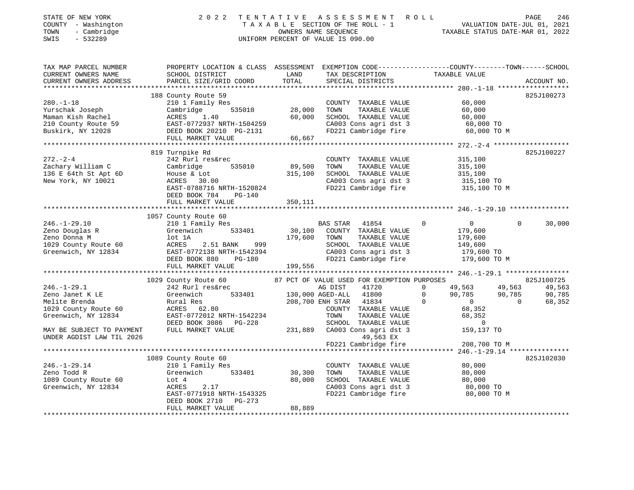| STATE OF NEW YORK<br>COUNTY - Washington<br>- Cambridge<br>TOWN<br>SWIS<br>$-532289$                | 2 0 2 2                                                                                                                                     |                                   | TENTATIVE ASSESSMENT ROLL<br>TAXABLE SECTION OF THE ROLL - 1 VALUATION DATE-JUL 01, 2021<br>OWNERS NAME SEQUENCE TAXABLE STATUS DATE-MAR 01, 2022<br>UNIFORM PERCENT OF VALUE IS 090.00 |                                                                                                | PAGE<br>246                                                |
|-----------------------------------------------------------------------------------------------------|---------------------------------------------------------------------------------------------------------------------------------------------|-----------------------------------|-----------------------------------------------------------------------------------------------------------------------------------------------------------------------------------------|------------------------------------------------------------------------------------------------|------------------------------------------------------------|
| TAX MAP PARCEL NUMBER<br>CURRENT OWNERS NAME<br>CURRENT OWNERS ADDRESS                              | PROPERTY LOCATION & CLASS ASSESSMENT EXEMPTION CODE---------------COUNTY-------TOWN-----SCHOOL<br>SCHOOL DISTRICT<br>PARCEL SIZE/GRID COORD | LAND<br>TOTAL                     | TAX DESCRIPTION TAXABLE VALUE<br>SPECIAL DISTRICTS                                                                                                                                      |                                                                                                | ACCOUNT NO.                                                |
|                                                                                                     |                                                                                                                                             |                                   |                                                                                                                                                                                         |                                                                                                |                                                            |
|                                                                                                     | 188 County Route 59                                                                                                                         |                                   |                                                                                                                                                                                         |                                                                                                | 825J100273                                                 |
| $280. - 1 - 18$<br>Yurschak Joseph<br>Maman Kish Rachel<br>Maman Albu Albu<br>210 County Route 59   | 210 1 Family Res<br>Cambridge<br>ACRES<br>1.40<br>EAST-0772937 NRTH-1504259<br>DEED BOOK 20210 PG-2131                                      | 535010 28,000<br>60,000<br>66,667 | COUNTY TAXABLE VALUE<br>TAXABLE VALUE<br>TOWN<br>SCHOOL TAXABLE VALUE<br>CA003 Cons agri dst 3<br>FD221 Cambridge fire                                                                  | 60,000<br>60,000<br>60,000<br>60,000 TO<br>60,000 TO M                                         |                                                            |
|                                                                                                     | FULL MARKET VALUE                                                                                                                           |                                   |                                                                                                                                                                                         |                                                                                                |                                                            |
| $272. - 2 - 4$<br>Zachary William C<br>136 E 64th St Apt 6D<br>New York, NY 10021                   | 819 Turnpike Rd<br>242 Rurl res&rec<br>535010<br>Cambridge<br>House & Lot                                                                   | 89,500<br>315,100                 | COUNTY TAXABLE VALUE<br>TAXABLE VALUE<br>TOWN<br>SCHOOL TAXABLE VALUE<br>CA003 Cons agri dst 3                                                                                          | 315,100<br>315,100<br>315,100                                                                  | 825J100227                                                 |
|                                                                                                     | ACRES 30.00<br>EAST-0788716 NRTH-1520824<br>DEED BOOK 784 PG-140<br>FULL MARKET VALUE                                                       | 350,111                           | FD221 Cambridge fire                                                                                                                                                                    | 315,100 TO<br>315,100 TO M                                                                     |                                                            |
|                                                                                                     | 1057 County Route 60                                                                                                                        |                                   |                                                                                                                                                                                         |                                                                                                |                                                            |
| $246. - 1 - 29.10$<br>Zeno Douglas R<br>Zeno Donna M<br>1029 County Route 60<br>Greenwich, NY 12834 | 210 1 Family Res<br>533401<br>Greenwich<br>lot 1A<br>2.51 BANK 999<br>ACRES<br>EAST-0772138 NRTH-1542394<br>DEED BOOK 880<br>PG-180         | 30,100<br>179,600                 | BAS STAR<br>41854<br>COUNTY TAXABLE VALUE<br>TAXABLE VALUE<br>TOWN<br>SCHOOL TAXABLE VALUE<br>CA003 Cons agri dst 3<br>FD221 Cambridge fire                                             | $\mathbf 0$<br>$\overline{0}$<br>179,600<br>179,600<br>149,600<br>$179,600$ TO<br>179,600 TO M | $\Omega$<br>30,000                                         |
|                                                                                                     | FULL MARKET VALUE                                                                                                                           | 199,556                           |                                                                                                                                                                                         |                                                                                                |                                                            |
|                                                                                                     |                                                                                                                                             |                                   |                                                                                                                                                                                         |                                                                                                |                                                            |
| $246. - 1 - 29.1$<br>Zeno Janet K LE<br>Melite Brenda                                               | 1029 County Route 60<br>242 Rurl res&rec<br>Greenwich<br>Rural Res                                                                          |                                   | 87 PCT OF VALUE USED FOR EXEMPTION PURPOSES<br>AG DIST<br>41720<br>533401 130,000 AGED-ALL 41800<br>208,700 ENH STAR 41834                                                              | $\Omega$<br>49,563<br>90,785 90,785<br>$\overline{0}$<br>$\overline{0}$<br>$\sim$ 0            | 825J100725<br>49,563<br>90,785<br>68,352<br>$\overline{0}$ |
| 1029 County Route 60<br>Greenwich, NY 12834                                                         | ACRES 62.80<br>EAST-0772012 NRTH-1542234<br>DEED BOOK 3086 PG-228                                                                           |                                   | COUNTY TAXABLE VALUE<br>TAXABLE VALUE<br>TOWN<br>SCHOOL TAXABLE VALUE                                                                                                                   | 68,352<br>68,352<br>$\overline{0}$                                                             |                                                            |
| MAY BE SUBJECT TO PAYMENT<br>UNDER AGDIST LAW TIL 2026                                              | FULL MARKET VALUE                                                                                                                           |                                   | 231,889 CA003 Cons agri dst 3<br>49,563 EX                                                                                                                                              | 159,137 TO                                                                                     |                                                            |
|                                                                                                     |                                                                                                                                             |                                   | FD221 Cambridge fire                                                                                                                                                                    | 208,700 TO M                                                                                   |                                                            |
|                                                                                                     | 1089 County Route 60                                                                                                                        |                                   |                                                                                                                                                                                         |                                                                                                | 825J102030                                                 |
| $246. - 1 - 29.14$                                                                                  | 210 1 Family Res                                                                                                                            |                                   | COUNTY TAXABLE VALUE                                                                                                                                                                    | 80,000                                                                                         |                                                            |
| Zeno Todd R                                                                                         | Greenwich 533401                                                                                                                            | 30,300                            | TOWN<br>TAXABLE VALUE                                                                                                                                                                   | 80,000                                                                                         |                                                            |
| 1089 County Route 60                                                                                | Lot 4                                                                                                                                       | 80,000                            | SCHOOL TAXABLE VALUE                                                                                                                                                                    | 80,000                                                                                         |                                                            |
| Greenwich, NY 12834                                                                                 | ACRES<br>2.17<br>EAST-0771918 NRTH-1543325<br>PG-273<br>DEED BOOK 2710<br>FULL MARKET VALUE                                                 | 88,889                            | CA003 Cons agri dst 3<br>FD221 Cambridge fire                                                                                                                                           | 80,000 TO<br>80,000 TO M                                                                       |                                                            |
|                                                                                                     |                                                                                                                                             |                                   |                                                                                                                                                                                         |                                                                                                |                                                            |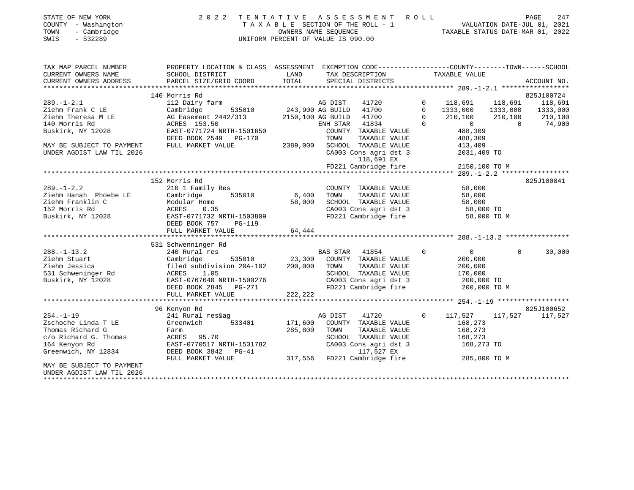| STATE OF NEW YORK<br>COUNTY - Washington<br>TOWN<br>- Cambridge<br>$-532289$<br>SWIS | 2 0 2 2<br>TENTATIVE                                                                            | UNIFORM PERCENT OF VALUE IS 090.00 | OWNERS NAME SEQUENCE    | A S S E S S M E N T<br>TAXABLE SECTION OF THE ROLL - 1 | ROLL        | TAXABLE STATUS DATE-MAR 01, 2022 |          | PAGE<br>247<br>VALUATION DATE-JUL 01, 2021 |
|--------------------------------------------------------------------------------------|-------------------------------------------------------------------------------------------------|------------------------------------|-------------------------|--------------------------------------------------------|-------------|----------------------------------|----------|--------------------------------------------|
| TAX MAP PARCEL NUMBER                                                                | PROPERTY LOCATION & CLASS ASSESSMENT EXEMPTION CODE---------------COUNTY-------TOWN------SCHOOL |                                    |                         |                                                        |             |                                  |          |                                            |
| CURRENT OWNERS NAME<br>CURRENT OWNERS ADDRESS                                        | SCHOOL DISTRICT<br>PARCEL SIZE/GRID COORD                                                       | LAND<br>TOTAL                      |                         | TAX DESCRIPTION<br>SPECIAL DISTRICTS                   |             | TAXABLE VALUE                    |          | ACCOUNT NO.                                |
|                                                                                      | 140 Morris Rd                                                                                   |                                    |                         |                                                        |             |                                  |          | 825J100724                                 |
| $289. - 1 - 2.1$                                                                     | 112 Dairy farm                                                                                  |                                    | AG DIST                 | 41720                                                  | $\mathbf 0$ | 118,691                          | 118,691  | 118,691                                    |
| Ziehm Frank C LE                                                                     | 535010<br>Cambridge                                                                             |                                    | 243,900 AG BUILD 41700  |                                                        | $\Omega$    | 1333,000                         | 1333,000 | 1333,000                                   |
| Ziehm Theresa M LE                                                                   | AG Easement 2442/313                                                                            |                                    | 2150,100 AG BUILD 41700 |                                                        | $\Omega$    | 210,100                          | 210,100  | 210,100                                    |
| 140 Morris Rd                                                                        | ACRES 153.50                                                                                    |                                    | ENH STAR 41834          |                                                        | $\Omega$    | $\overline{0}$                   | $\Omega$ | 74,900                                     |
| Buskirk, NY 12028                                                                    | EAST-0771724 NRTH-1501650                                                                       |                                    |                         | COUNTY TAXABLE VALUE                                   |             | 488,309                          |          |                                            |
|                                                                                      | DEED BOOK 2549 PG-170                                                                           |                                    | TOWN                    | TAXABLE VALUE                                          |             | 488,309                          |          |                                            |
| MAY BE SUBJECT TO PAYMENT                                                            | FULL MARKET VALUE                                                                               | 2389,000                           |                         | SCHOOL TAXABLE VALUE                                   |             | 413,409                          |          |                                            |
| UNDER AGDIST LAW TIL 2026                                                            |                                                                                                 |                                    |                         | CA003 Cons agri dst 3<br>118,691 EX                    |             | 2031,409 TO                      |          |                                            |
|                                                                                      |                                                                                                 |                                    |                         | FD221 Cambridge fire                                   |             | 2150,100 TO M                    |          |                                            |
|                                                                                      |                                                                                                 |                                    |                         |                                                        |             |                                  |          |                                            |
|                                                                                      | 152 Morris Rd                                                                                   |                                    |                         |                                                        |             |                                  |          | 825J100841                                 |
| $289. - 1 - 2.2$                                                                     | 210 1 Family Res                                                                                |                                    |                         | COUNTY TAXABLE VALUE                                   |             | 58,000                           |          |                                            |
| Ziehm Hanah Phoebe LE                                                                | 535010<br>Cambridge                                                                             | 6,400                              | TOWN                    | TAXABLE VALUE                                          |             | 58,000                           |          |                                            |
| Ziehm Franklin C                                                                     | Modular Home                                                                                    | 58,000                             |                         | SCHOOL TAXABLE VALUE                                   |             | 58,000                           |          |                                            |
| 152 Morris Rd                                                                        | ACRES<br>0.35                                                                                   |                                    |                         | CA003 Cons agri dst 3                                  |             | 58,000 TO                        |          |                                            |
| Buskirk, NY 12028                                                                    | EAST-0771732 NRTH-1503809<br>DEED BOOK 757<br><b>PG-119</b>                                     |                                    |                         | FD221 Cambridge fire                                   |             | 58,000 TO M                      |          |                                            |
|                                                                                      | FULL MARKET VALUE                                                                               | 64,444                             |                         |                                                        |             |                                  |          |                                            |
|                                                                                      |                                                                                                 |                                    |                         |                                                        |             |                                  |          |                                            |
|                                                                                      | 531 Schwenninger Rd                                                                             |                                    |                         |                                                        |             |                                  |          |                                            |
| $288. - 1 - 13.2$                                                                    | 240 Rural res                                                                                   |                                    | <b>BAS STAR</b>         | 41854                                                  | $\Omega$    | $\overline{0}$                   | $\Omega$ | 30,000                                     |
| Ziehm Stuart                                                                         | Cambridge<br>535010                                                                             | 23,300                             |                         | COUNTY TAXABLE VALUE                                   |             | 200,000                          |          |                                            |
| Ziehm Jessica<br>531 Schweninger Rd                                                  | filed subdivision 20A-102<br>1.05                                                               | 200,000                            | TOWN                    | TAXABLE VALUE                                          |             | 200,000                          |          |                                            |
| Buskirk, NY 12028                                                                    | ACRES                                                                                           |                                    |                         | SCHOOL TAXABLE VALUE<br>CA003 Cons agri dst 3          |             | 170,000                          |          |                                            |
|                                                                                      | EAST-0767640 NRTH-1500276<br>DEED BOOK 2845 PG-271                                              |                                    |                         | FD221 Cambridge fire                                   |             | 200,000 TO<br>200,000 TO M       |          |                                            |
|                                                                                      | FULL MARKET VALUE                                                                               | 222,222                            |                         |                                                        |             |                                  |          |                                            |
|                                                                                      |                                                                                                 |                                    |                         |                                                        |             |                                  |          |                                            |
|                                                                                      | 96 Kenyon Rd                                                                                    |                                    |                         |                                                        |             |                                  |          | 825J100652                                 |
| $254. -1 - 19$                                                                       | 241 Rural res&ag                                                                                |                                    | AG DIST                 | 41720                                                  | $\Omega$    | 117,527                          | 117,527  | 117,527                                    |
| Zschoche Linda T LE                                                                  | 533401<br>Greenwich                                                                             | 171,600                            |                         | COUNTY TAXABLE VALUE                                   |             | 168,273                          |          |                                            |
| Thomas Richard G                                                                     | Farm                                                                                            | 285,800                            | TOWN                    | TAXABLE VALUE                                          |             | 168,273                          |          |                                            |
| c/o Richard G. Thomas                                                                | ACRES<br>95.70                                                                                  |                                    |                         | SCHOOL TAXABLE VALUE                                   |             | 168,273                          |          |                                            |
| 164 Kenyon Rd                                                                        | EAST-0770517 NRTH-1531782                                                                       |                                    |                         | CA003 Cons agri dst 3                                  |             | 168,273 TO                       |          |                                            |
| Greenwich, NY 12834                                                                  | DEED BOOK 3842<br>$PG-41$                                                                       |                                    |                         | 117,527 EX                                             |             |                                  |          |                                            |
|                                                                                      | FULL MARKET VALUE                                                                               | 317,556                            |                         | FD221 Cambridge fire                                   |             | 285,800 TO M                     |          |                                            |
| MAY BE SUBJECT TO PAYMENT<br>UNDER AGDIST LAW TIL 2026                               |                                                                                                 |                                    |                         |                                                        |             |                                  |          |                                            |

\*\*\*\*\*\*\*\*\*\*\*\*\*\*\*\*\*\*\*\*\*\*\*\*\*\*\*\*\*\*\*\*\*\*\*\*\*\*\*\*\*\*\*\*\*\*\*\*\*\*\*\*\*\*\*\*\*\*\*\*\*\*\*\*\*\*\*\*\*\*\*\*\*\*\*\*\*\*\*\*\*\*\*\*\*\*\*\*\*\*\*\*\*\*\*\*\*\*\*\*\*\*\*\*\*\*\*\*\*\*\*\*\*\*\*\*\*\*\*\*\*\*\*\*\*\*\*\*\*\*\*\*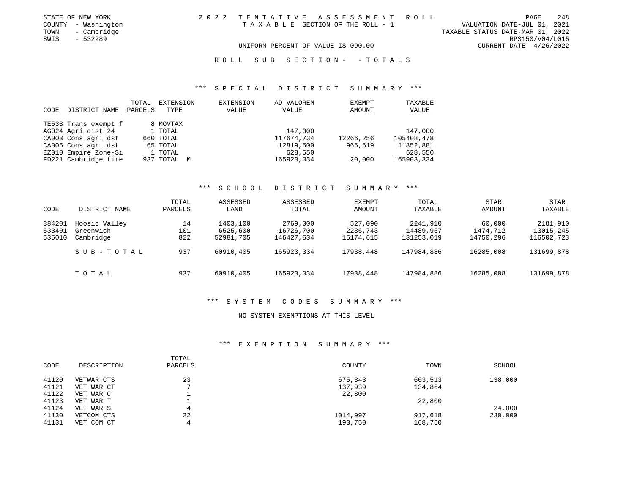| STATE OF NEW YORK   | 2022 TENTATIVE ASSESSMENT ROLL     |                                  | PAGE | 248 |
|---------------------|------------------------------------|----------------------------------|------|-----|
| COUNTY - Washington | TAXABLE SECTION OF THE ROLL - 1    | VALUATION DATE-JUL 01, 2021      |      |     |
| TOWN<br>- Cambridge |                                    | TAXABLE STATUS DATE-MAR 01, 2022 |      |     |
| $-532289$<br>SWIS   |                                    | RPS150/V04/L015                  |      |     |
|                     | UNIFORM PERCENT OF VALUE IS 090.00 | CURRENT DATE $4/26/2022$         |      |     |

#### R O L L S U B S E C T I O N - - T O T A L S

#### \*\*\* S P E C I A L D I S T R I C T S U M M A R Y \*\*\*

| CODE | DISTRICT NAME        | TOTAL<br>PARCELS | EXTENSION<br>TYPE | EXTENSION<br>VALUE | AD VALOREM<br>VALUE | <b>EXEMPT</b><br>AMOUNT | TAXABLE<br>VALUE |
|------|----------------------|------------------|-------------------|--------------------|---------------------|-------------------------|------------------|
|      | TE533 Trans exempt f |                  | 8 MOVTAX          |                    |                     |                         |                  |
|      | AG024 Agri dist 24   |                  | 1 TOTAL           |                    | 147,000             |                         | 147,000          |
|      | CA003 Cons agri dst  |                  | 660 TOTAL         |                    | 117674.734          | 12266,256               | 105408,478       |
|      | CA005 Cons agri dst  |                  | 65 TOTAL          |                    | 12819,500           | 966,619                 | 11852,881        |
|      | EZ010 Empire Zone-Si |                  | 1 TOTAL           |                    | 628,550             |                         | 628,550          |
|      | FD221 Cambridge fire |                  | 937 TOTAL<br>M    |                    | 165923,334          | 20,000                  | 165903,334       |

#### \*\*\* S C H O O L D I S T R I C T S U M M A R Y \*\*\*

| CODE   | DISTRICT NAME | TOTAL<br>PARCELS | ASSESSED<br>LAND | ASSESSED<br>TOTAL | EXEMPT<br>AMOUNT | TOTAL<br>TAXABLE | STAR<br>AMOUNT | STAR<br>TAXABLE |
|--------|---------------|------------------|------------------|-------------------|------------------|------------------|----------------|-----------------|
| 384201 | Hoosic Valley | 14               | 1403,100         | 2769,000          | 527,090          | 2241,910         | 60,000         | 2181,910        |
| 533401 | Greenwich     | 101              | 6525,600         | 16726,700         | 2236,743         | 14489,957        | 1474,712       | 13015,245       |
| 535010 | Cambridge     | 822              | 52981,705        | 146427,634        | 15174,615        | 131253,019       | 14750,296      | 116502,723      |
|        | SUB-TOTAL     | 937              | 60910,405        | 165923,334        | 17938,448        | 147984,886       | 16285,008      | 131699,878      |
|        | TOTAL         | 937              | 60910,405        | 165923,334        | 17938,448        | 147984,886       | 16285,008      | 131699,878      |

#### \*\*\* S Y S T E M C O D E S S U M M A R Y \*\*\*

#### NO SYSTEM EXEMPTIONS AT THIS LEVEL

#### \*\*\* E X E M P T I O N S U M M A R Y \*\*\*

| CODE  | DESCRIPTION | TOTAL<br>PARCELS | COUNTY   | TOWN    | SCHOOL  |
|-------|-------------|------------------|----------|---------|---------|
| 41120 | VETWAR CTS  | 23               | 675,343  | 603,513 | 138,000 |
| 41121 | VET WAR CT  |                  | 137,939  | 134,864 |         |
| 41122 | VET WAR C   |                  | 22,800   |         |         |
| 41123 | VET WAR T   |                  |          | 22,800  |         |
| 41124 | VET WAR S   | 4                |          |         | 24,000  |
| 41130 | VETCOM CTS  | 22               | 1014,997 | 917,618 | 230,000 |
| 41131 | VET COM CT  | 4                | 193,750  | 168,750 |         |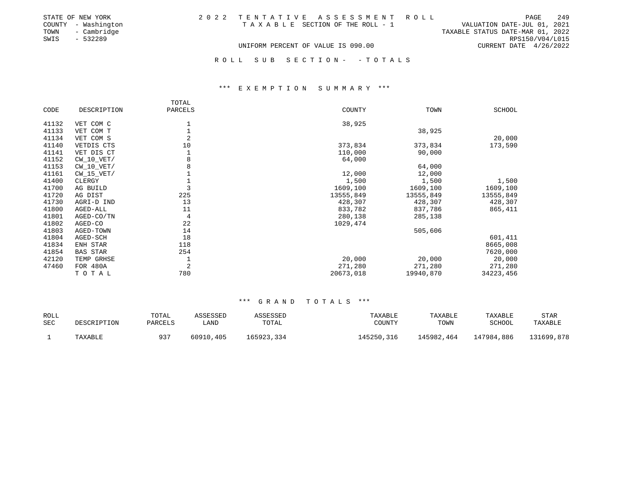| STATE OF NEW YORK   | 2022 TENTATIVE ASSESSMENT ROLL     | 249<br>PAGE                      |
|---------------------|------------------------------------|----------------------------------|
| COUNTY - Washington | TAXABLE SECTION OF THE ROLL - 1    | VALUATION DATE-JUL 01, 2021      |
| TOWN - Cambridge    |                                    | TAXABLE STATUS DATE-MAR 01, 2022 |
| SWIS<br>- 532289    |                                    | RPS150/V04/L015                  |
|                     | UNIFORM PERCENT OF VALUE IS 090.00 | CURRENT DATE 4/26/2022           |
|                     |                                    |                                  |
|                     | ROLL SUB SECTION- -TOTALS          |                                  |

#### \*\*\* E X E M P T I O N S U M M A R Y \*\*\*

|       |                 | TOTAL          |           |           |           |
|-------|-----------------|----------------|-----------|-----------|-----------|
| CODE  | DESCRIPTION     | PARCELS        | COUNTY    | TOWN      | SCHOOL    |
|       |                 |                |           |           |           |
| 41132 | VET COM C       |                | 38,925    |           |           |
| 41133 | VET COM T       |                |           | 38,925    |           |
| 41134 | VET COM S       | $\overline{2}$ |           |           | 20,000    |
| 41140 | VETDIS CTS      | 10             | 373,834   | 373,834   | 173,590   |
| 41141 | VET DIS CT      |                | 110,000   | 90,000    |           |
| 41152 | $CW_10_VET/$    | 8              | 64,000    |           |           |
| 41153 | $CW_10_VET/$    | 8              |           | 64,000    |           |
| 41161 | $CW_15_VET/$    |                | 12,000    | 12,000    |           |
| 41400 | CLERGY          |                | 1,500     | 1,500     | 1,500     |
| 41700 | AG BUILD        | 3              | 1609,100  | 1609,100  | 1609,100  |
| 41720 | AG DIST         | 225            | 13555,849 | 13555,849 | 13555,849 |
| 41730 | AGRI-D IND      | 13             | 428,307   | 428,307   | 428,307   |
| 41800 | AGED-ALL        | 11             | 833,782   | 837,786   | 865,411   |
| 41801 | AGED-CO/TN      | 4              | 280,138   | 285,138   |           |
| 41802 | AGED-CO         | 22             | 1029,474  |           |           |
| 41803 | AGED-TOWN       | 14             |           | 505,606   |           |
| 41804 | AGED-SCH        | 18             |           |           | 601,411   |
| 41834 | ENH STAR        | 118            |           |           | 8665,008  |
| 41854 | <b>BAS STAR</b> | 254            |           |           | 7620,000  |
| 42120 | TEMP GRHSE      | 1              | 20,000    | 20,000    | 20,000    |
| 47460 | FOR 480A        | $\overline{c}$ | 271,280   | 271,280   | 271,280   |
|       | TOTAL           | 780            | 20673,018 | 19940,870 | 34223,456 |

#### \*\*\* G R A N D T O T A L S \*\*\*

| ROLL<br>SEC | DESCRIPTION | TOTAL<br>PARCELS | ASSESSED  | ASSESSED<br>TOTAL | TAXABLE<br>COUNTY | TAXABLE<br>TOWN | TAXABLE<br>SCHOOL | <b>STAR</b> |
|-------------|-------------|------------------|-----------|-------------------|-------------------|-----------------|-------------------|-------------|
|             |             |                  | LAND      |                   |                   |                 |                   | TAXABLE     |
|             | TAXABLE     | 937              | 60910,405 | 165923,334        | 145250,316        | 145982,464      | 147984,886        | 131699,878  |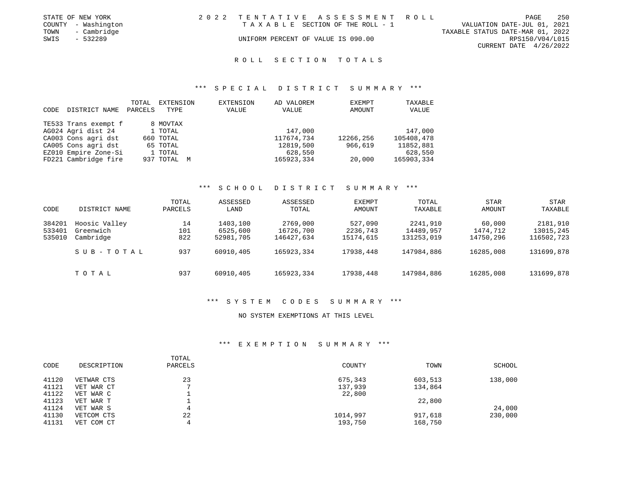|      | STATE OF NEW YORK   | 2022 TENTATIVE ASSESSMENT ROLL     |  |  |                                  |                        | PAGE | - 250 |
|------|---------------------|------------------------------------|--|--|----------------------------------|------------------------|------|-------|
|      | COUNTY - Washington | TAXABLE SECTION OF THE ROLL - 1    |  |  | VALUATION DATE-JUL 01, 2021      |                        |      |       |
|      | TOWN - Cambridge    |                                    |  |  | TAXABLE STATUS DATE-MAR 01, 2022 |                        |      |       |
| SWIS | - 532289            | UNIFORM PERCENT OF VALUE IS 090.00 |  |  |                                  | RPS150/V04/L015        |      |       |
|      |                     |                                    |  |  |                                  | CURRENT DATE 4/26/2022 |      |       |
|      |                     |                                    |  |  |                                  |                        |      |       |

#### R O L L S E C T I O N T O T A L S

#### \*\*\* S P E C I A L D I S T R I C T S U M M A R Y \*\*\*

| CODE | DISTRICT NAME        | TOTAL<br>PARCELS | EXTENSION<br>TYPE | EXTENSION<br>VALUE | AD VALOREM<br>VALUE | <b>EXEMPT</b><br>AMOUNT | TAXABLE<br>VALUE |
|------|----------------------|------------------|-------------------|--------------------|---------------------|-------------------------|------------------|
|      | TE533 Trans exempt f |                  | 8 MOVTAX          |                    |                     |                         |                  |
|      | AG024 Agri dist 24   |                  | 1 TOTAL           |                    | 147,000             |                         | 147,000          |
|      | CA003 Cons agri dst  |                  | 660 TOTAL         |                    | 117674.734          | 12266,256               | 105408,478       |
|      | CA005 Cons agri dst  |                  | 65 TOTAL          |                    | 12819,500           | 966,619                 | 11852,881        |
|      | EZ010 Empire Zone-Si |                  | 1 TOTAL           |                    | 628,550             |                         | 628,550          |
|      | FD221 Cambridge fire |                  | 937 TOTAL<br>M    |                    | 165923,334          | 20,000                  | 165903,334       |

#### \*\*\* S C H O O L D I S T R I C T S U M M A R Y \*\*\*

| CODE   | DISTRICT NAME | TOTAL<br>PARCELS | ASSESSED<br>LAND | ASSESSED<br>TOTAL | EXEMPT<br>AMOUNT | TOTAL<br>TAXABLE | <b>STAR</b><br>AMOUNT | STAR<br>TAXABLE |
|--------|---------------|------------------|------------------|-------------------|------------------|------------------|-----------------------|-----------------|
| 384201 | Hoosic Valley | 14               | 1403,100         | 2769,000          | 527,090          | 2241,910         | 60,000                | 2181,910        |
| 533401 | Greenwich     | 101              | 6525,600         | 16726,700         | 2236,743         | 14489,957        | 1474,712              | 13015,245       |
| 535010 | Cambridge     | 822              | 52981,705        | 146427,634        | 15174,615        | 131253,019       | 14750,296             | 116502,723      |
|        | SUB-TOTAL     | 937              | 60910,405        | 165923,334        | 17938,448        | 147984,886       | 16285,008             | 131699,878      |
|        | TOTAL         | 937              | 60910,405        | 165923,334        | 17938,448        | 147984,886       | 16285,008             | 131699,878      |

#### \*\*\* S Y S T E M C O D E S S U M M A R Y \*\*\*

#### NO SYSTEM EXEMPTIONS AT THIS LEVEL

#### \*\*\* E X E M P T I O N S U M M A R Y \*\*\*

| CODE  | DESCRIPTION | TOTAL<br>PARCELS | COUNTY   | TOWN    | SCHOOL  |
|-------|-------------|------------------|----------|---------|---------|
| 41120 | VETWAR CTS  | 23               | 675,343  | 603,513 | 138,000 |
| 41121 | VET WAR CT  |                  | 137,939  | 134,864 |         |
| 41122 | VET WAR C   |                  | 22,800   |         |         |
| 41123 | VET WAR T   |                  |          | 22,800  |         |
| 41124 | VET WAR S   | 4                |          |         | 24,000  |
| 41130 | VETCOM CTS  | 22               | 1014,997 | 917,618 | 230,000 |
| 41131 | VET COM CT  | 4                | 193,750  | 168,750 |         |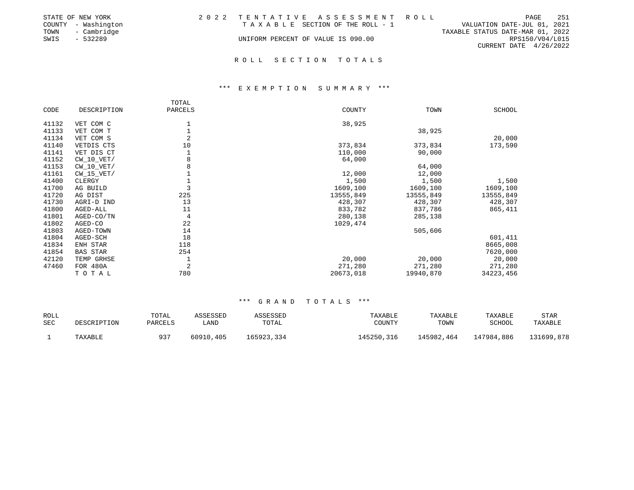|      | STATE OF NEW YORK   | 2022 TENTATIVE ASSESSMENT ROLL     |                                  |                        | PAGE | 251 |
|------|---------------------|------------------------------------|----------------------------------|------------------------|------|-----|
|      | COUNTY - Washington | TAXABLE SECTION OF THE ROLL - 1    | VALUATION DATE-JUL 01, 2021      |                        |      |     |
| TOWN | - Cambridge         |                                    | TAXABLE STATUS DATE-MAR 01, 2022 |                        |      |     |
| SWIS | - 532289            | UNIFORM PERCENT OF VALUE IS 090.00 |                                  | RPS150/V04/L015        |      |     |
|      |                     |                                    |                                  | CURRENT DATE 4/26/2022 |      |     |
|      |                     |                                    |                                  |                        |      |     |

#### R O L L S E C T I O N T O T A L S

#### \*\*\* E X E M P T I O N S U M M A R Y \*\*\*

|       |                 | TOTAL          |           |           |           |
|-------|-----------------|----------------|-----------|-----------|-----------|
| CODE  | DESCRIPTION     | PARCELS        | COUNTY    | TOWN      | SCHOOL    |
|       |                 |                |           |           |           |
| 41132 | VET COM C       |                | 38,925    |           |           |
| 41133 | VET COM T       |                |           | 38,925    |           |
| 41134 | VET COM S       | $\overline{2}$ |           |           | 20,000    |
| 41140 | VETDIS CTS      | 10             | 373,834   | 373,834   | 173,590   |
| 41141 | VET DIS CT      |                | 110,000   | 90,000    |           |
| 41152 | $CW_10_VET/$    | 8              | 64,000    |           |           |
| 41153 | $CW_10_VET/$    | 8              |           | 64,000    |           |
| 41161 | $CW_15_VET/$    |                | 12,000    | 12,000    |           |
| 41400 | CLERGY          |                | 1,500     | 1,500     | 1,500     |
| 41700 | AG BUILD        | 3              | 1609,100  | 1609,100  | 1609,100  |
| 41720 | AG DIST         | 225            | 13555,849 | 13555,849 | 13555,849 |
| 41730 | AGRI-D IND      | 13             | 428,307   | 428,307   | 428,307   |
| 41800 | AGED-ALL        | 11             | 833,782   | 837,786   | 865,411   |
| 41801 | AGED-CO/TN      | 4              | 280,138   | 285,138   |           |
| 41802 | AGED-CO         | 22             | 1029,474  |           |           |
| 41803 | AGED-TOWN       | 14             |           | 505,606   |           |
| 41804 | AGED-SCH        | 18             |           |           | 601,411   |
| 41834 | ENH STAR        | 118            |           |           | 8665,008  |
| 41854 | <b>BAS STAR</b> | 254            |           |           | 7620,000  |
| 42120 | TEMP GRHSE      | 1              | 20,000    | 20,000    | 20,000    |
| 47460 | FOR 480A        | 2              | 271,280   | 271,280   | 271,280   |
|       | TOTAL           | 780            | 20673,018 | 19940,870 | 34223,456 |

#### \*\*\* G R A N D T O T A L S \*\*\*

| <b>ROLL</b> |             | TOTAL   | ASSESSED  | ASSESSED   | TAXABLE    | TAXABLE    | <b>TAXABLE</b> | <b>STAR</b> |
|-------------|-------------|---------|-----------|------------|------------|------------|----------------|-------------|
| <b>SEC</b>  | DESCRIPTION | PARCELS | LAND      | TOTAL      | COUNTY     | TOWN       | SCHOOL         | TAXABLE     |
|             | TAXABLE     | 937     | 60910,405 | 165923,334 | 145250,316 | 145982,464 | 147984,886     | 131699,878  |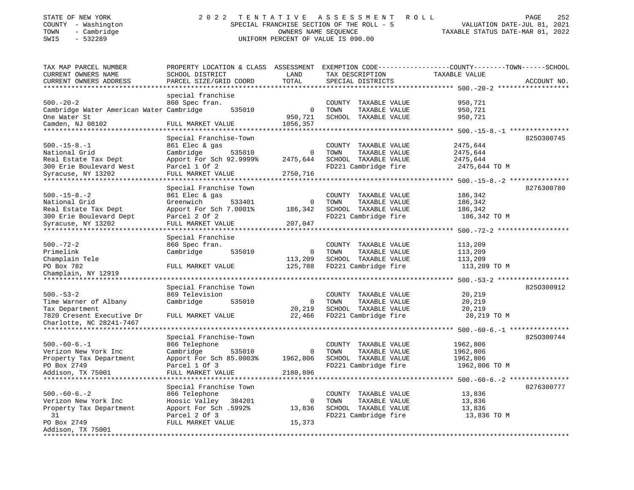| STATE OF NEW YORK   |  | 2022 TENTATIVE ASSESSMENT ROLL            | PAGE                        | 252 |
|---------------------|--|-------------------------------------------|-----------------------------|-----|
| COUNTY - Washington |  | SPECIAL FRANCHISE SECTION OF THE ROLL - 5 | VALUATION DATE-JUL 01, 2021 |     |

## COUNTY - Washington SPECIAL FRANCHISE SECTION OF THE ROLL - 5 VALUATION DATE-JUL 01, 2021 UNIFORM PERCENT OF VALUE IS 090.00

TAX MAP PARCEL NUMBER PROPERTY LOCATION & CLASS ASSESSMENT EXEMPTION CODE------------------COUNTY--------TOWN------SCHOOL

CURRENT OWNERS ADDRESS PARCEL SIZE/GRID COORD TOTAL SPECIAL DISTRICTS ACCOUNT NO. \*\*\*\*\*\*\*\*\*\*\*\*\*\*\*\*\*\*\*\*\*\*\*\*\*\*\*\*\*\*\*\*\*\*\*\*\*\*\*\*\*\*\*\*\*\*\*\*\*\*\*\*\*\*\*\*\*\*\*\*\*\*\*\*\*\*\*\*\*\*\*\*\*\*\*\*\*\*\*\*\*\*\*\*\*\*\*\*\*\*\*\*\*\*\*\*\*\*\*\*\*\*\* 500.-20-2 \*\*\*\*\*\*\*\*\*\*\*\*\*\*\*\*\*\*

CURRENT OWNERS NAME SCHOOL DISTRICT LAND TAX DESCRIPTION TAXABLE VALUE

 $, 2021$ TAXABLE STATUS DATE-MAR 01, 2022

TAXABLE VALUE

|                                          | special franchise       |        |              |        |                      |                         |            |
|------------------------------------------|-------------------------|--------|--------------|--------|----------------------|-------------------------|------------|
| $500. - 20 - 2$                          | 860 Spec fran.          |        |              | COUNTY | TAXABLE VALUE        | 950,721                 |            |
| Cambridge Water American Water Cambridge |                         | 535010 | $\mathbf{0}$ | TOWN   | TAXABLE VALUE        | 950,721                 |            |
| One Water St                             |                         |        | 950,721      |        | SCHOOL TAXABLE VALUE | 950,721                 |            |
| Camden, NJ 08102                         | FULL MARKET VALUE       |        | 1056,357     |        |                      |                         |            |
|                                          |                         |        |              |        |                      | *** $500.-15-8.-1$      |            |
|                                          | Special Franchise-Town  |        |              |        |                      |                         | 8250300745 |
| $500. -15 - 8. -1$                       | 861 Elec & gas          |        |              |        | COUNTY TAXABLE VALUE | 2475,644                |            |
| National Grid                            | Cambridge               | 535010 | $\mathbf 0$  | TOWN   | TAXABLE VALUE        | 2475,644                |            |
| Real Estate Tax Dept                     | Apport For Sch 92.9999% |        | 2475,644     |        | SCHOOL TAXABLE VALUE | 2475,644                |            |
| 300 Erie Boulevard West                  | Parcel 1 Of 2           |        |              |        | FD221 Cambridge fire | 2475,644 TO M           |            |
| Syracuse, NY 13202                       | FULL MARKET VALUE       |        | 2750,716     |        |                      |                         |            |
|                                          | *************           |        |              |        |                      | ***** 500.-15-8.-2      |            |
|                                          | Special Franchise Town  |        |              |        |                      |                         | 8276300780 |
| $500. -15 - 8. -2$                       | 861 Elec & gas          |        |              |        | COUNTY TAXABLE VALUE | 186,342                 |            |
| National Grid                            | Greenwich               | 533401 | $\mathbf 0$  | TOWN   | TAXABLE VALUE        | 186,342                 |            |
| Real Estate Tax Dept                     | Apport For Sch 7.0001%  |        | 186,342      |        | SCHOOL TAXABLE VALUE | 186,342                 |            |
| 300 Erie Boulevard Dept                  | Parcel 2 Of 2           |        |              |        | FD221 Cambridge fire | 186,342 TO M            |            |
| Syracuse, NY 13202                       | FULL MARKET VALUE       |        | 207,047      |        |                      |                         |            |
|                                          | ************            |        |              |        |                      | *** 500.-72-2           |            |
|                                          | Special Franchise       |        |              |        |                      |                         |            |
| $500. - 72 - 2$                          | 860 Spec fran.          |        |              |        | COUNTY TAXABLE VALUE | 113,209                 |            |
| Primelink                                | Cambridge               | 535010 | $\Omega$     | TOWN   | TAXABLE VALUE        | 113,209                 |            |
| Champlain Tele                           |                         |        | 113,209      |        | SCHOOL TAXABLE VALUE | 113,209                 |            |
| PO Box 782                               | FULL MARKET VALUE       |        | 125,788      |        | FD221 Cambridge fire | 113,209 TO M            |            |
| Champlain, NY 12919                      |                         |        |              |        |                      |                         |            |
|                                          |                         |        |              |        |                      | ******* 500. -53-2 **** |            |
|                                          | Special Franchise Town  |        |              |        |                      |                         | 8250300912 |
| $500. - 53 - 2$                          | 869 Television          |        |              |        | COUNTY TAXABLE VALUE | 20,219                  |            |
| Time Warner of Albany                    | Cambridge               | 535010 | $\mathbf 0$  | TOWN   | TAXABLE VALUE        | 20,219                  |            |
| Tax Department                           |                         |        | 20,219       |        | SCHOOL TAXABLE VALUE | 20,219                  |            |
| 7820 Cresent Executive Dr                | FULL MARKET VALUE       |        | 22,466       |        | FD221 Cambridge fire | 20,219 TO M             |            |
| Charlotte, NC 28241-7467                 |                         |        |              |        |                      |                         |            |
| **************************               |                         |        |              |        |                      |                         |            |
|                                          | Special Franchise-Town  |        |              |        |                      |                         | 8250300744 |
| $500. -60 - 6. -1$                       | 866 Telephone           |        |              | COUNTY | TAXABLE VALUE        | 1962,806                |            |
| Verizon New York Inc                     | Cambridge               | 535010 | 0            | TOWN   | TAXABLE VALUE        | 1962,806                |            |
| Property Tax Department                  | Apport For Sch 85.0003% |        | 1962,806     |        | SCHOOL TAXABLE VALUE | 1962,806                |            |
| PO Box 2749                              | Parcel 1 Of 3           |        |              |        | FD221 Cambridge fire | 1962,806 TO M           |            |
| Addison, TX 75001                        | FULL MARKET VALUE       |        | 2180,896     |        |                      |                         |            |
|                                          |                         |        |              |        |                      | $500. -60 - 6. -2$      |            |
|                                          | Special Franchise Town  |        |              |        |                      |                         | 8276300777 |
| $500. -60 - 6. - 2$                      | 866 Telephone           |        |              |        | COUNTY TAXABLE VALUE | 13,836                  |            |
| Verizon New York Inc                     | Hoosic Valley           | 384201 | 0            | TOWN   | TAXABLE VALUE        | 13,836                  |            |
| Property Tax Department                  | Apport For Sch .5992%   |        | 13,836       |        | SCHOOL TAXABLE VALUE | 13,836                  |            |
| 31                                       | Parcel 2 Of 3           |        |              |        | FD221 Cambridge fire | 13,836 TO M             |            |
| PO Box 2749                              | FULL MARKET VALUE       |        | 15,373       |        |                      |                         |            |
| Addison, TX 75001                        |                         |        |              |        |                      |                         |            |
|                                          |                         |        |              |        |                      |                         |            |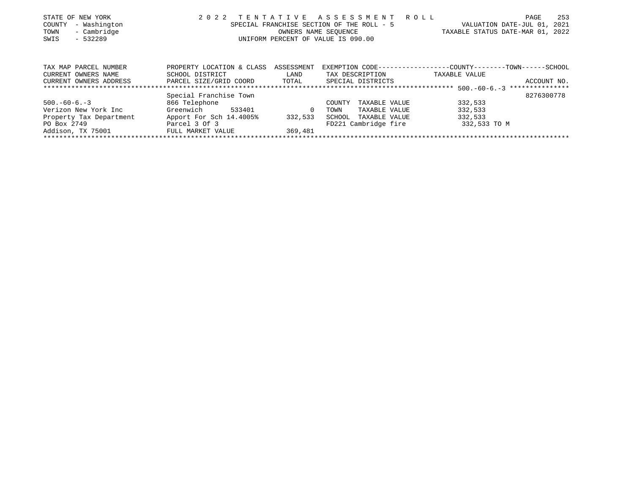| STATE OF NEW YORK       | 2 0 2 2                   | TENTATIVE                          | A S S E S S M E N T                       | R O L L<br>253<br>PAGE                       |  |  |
|-------------------------|---------------------------|------------------------------------|-------------------------------------------|----------------------------------------------|--|--|
| - Washington<br>COUNTY  |                           |                                    | SPECIAL FRANCHISE SECTION OF THE ROLL - 5 | 2021<br>VALUATION DATE-JUL 01,               |  |  |
| - Cambridge<br>TOWN     |                           |                                    | OWNERS NAME SEOUENCE                      | TAXABLE STATUS DATE-MAR 01, 2022             |  |  |
| SWIS<br>- 532289        |                           | UNIFORM PERCENT OF VALUE IS 090.00 |                                           |                                              |  |  |
|                         |                           |                                    |                                           |                                              |  |  |
| TAX MAP PARCEL NUMBER   | PROPERTY LOCATION & CLASS | ASSESSMENT                         | EXEMPTION CODE---                         | --------------COUNTY--------TOWN------SCHOOL |  |  |
| CURRENT OWNERS NAME     | SCHOOL DISTRICT           | LAND                               | TAX DESCRIPTION                           | TAXABLE VALUE                                |  |  |
| CURRENT OWNERS ADDRESS  | PARCEL SIZE/GRID COORD    | TOTAL                              | SPECIAL DISTRICTS                         | ACCOUNT NO.                                  |  |  |
|                         |                           |                                    |                                           |                                              |  |  |
|                         | Special Franchise Town    |                                    |                                           | 8276300778                                   |  |  |
| $500. -60 - 6. -3$      | 866 Telephone             |                                    | TAXABLE VALUE<br>COUNTY                   | 332,533                                      |  |  |
| Verizon New York Inc    | 533401<br>Greenwich       | 0                                  | TAXABLE VALUE<br>TOWN                     | 332,533                                      |  |  |
| Property Tax Department | Apport For Sch 14.4005%   | 332,533                            | SCHOOL<br>TAXABLE VALUE                   | 332,533                                      |  |  |
| PO Box 2749             | Parcel 3 Of 3             |                                    | FD221 Cambridge fire                      | 332,533 TO M                                 |  |  |
| Addison, TX 75001       | FULL MARKET VALUE         | 369,481                            |                                           |                                              |  |  |
|                         |                           |                                    |                                           |                                              |  |  |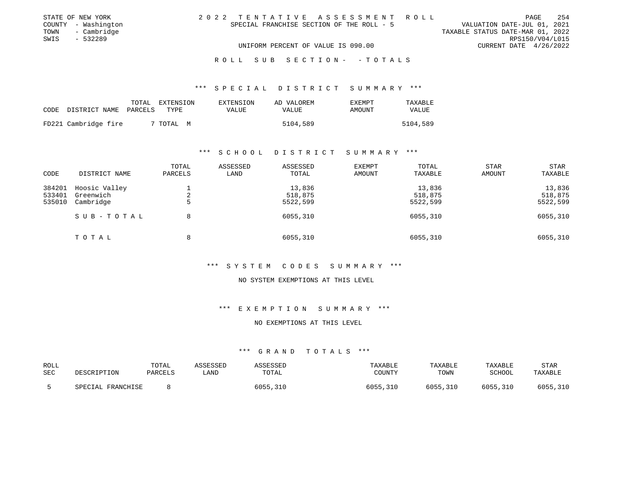| STATE OF NEW YORK |                     |  |                                    |  |                                           | 2022 TENTATIVE ASSESSMENT ROLL |                                  | PAGE | 254             |
|-------------------|---------------------|--|------------------------------------|--|-------------------------------------------|--------------------------------|----------------------------------|------|-----------------|
|                   | COUNTY - Washington |  |                                    |  | SPECIAL FRANCHISE SECTION OF THE ROLL - 5 |                                | VALUATION DATE-JUL 01, 2021      |      |                 |
| TOWN              | - Cambridge         |  |                                    |  |                                           |                                | TAXABLE STATUS DATE-MAR 01, 2022 |      |                 |
| SWIS              | - 532289            |  |                                    |  |                                           |                                |                                  |      | RPS150/V04/L015 |
|                   |                     |  | UNIFORM PERCENT OF VALUE IS 090.00 |  |                                           |                                | CURRENT DATE $4/26/2022$         |      |                 |
|                   |                     |  |                                    |  |                                           |                                |                                  |      |                 |

#### R O L L S U B S E C T I O N - - T O T A L S

### \*\*\* S P E C I A L D I S T R I C T S U M M A R Y \*\*\*

| CODE | DISTRICT NAME        | TOTAL<br>PARCELS | EXTENSION<br>TYPE | EXTENSION<br>VALUE | AD VALOREM<br>VALUE | <b>EXEMPT</b><br>AMOUNT | TAXABLE<br>VALUE |
|------|----------------------|------------------|-------------------|--------------------|---------------------|-------------------------|------------------|
|      | FD221 Cambridge fire |                  | 7 TOTAL M         |                    | 5104,589            |                         | 5104,589         |

### \*\*\* S C H O O L D I S T R I C T S U M M A R Y \*\*\*

| CODE                       | DISTRICT NAME                           | TOTAL<br>PARCELS | ASSESSED<br>LAND | ASSESSED<br>TOTAL             | <b>EXEMPT</b><br>AMOUNT | TOTAL<br>TAXABLE              | STAR<br>AMOUNT | STAR<br>TAXABLE               |
|----------------------------|-----------------------------------------|------------------|------------------|-------------------------------|-------------------------|-------------------------------|----------------|-------------------------------|
| 384201<br>533401<br>535010 | Hoosic Valley<br>Greenwich<br>Cambridge | 2<br>5           |                  | 13,836<br>518,875<br>5522,599 |                         | 13,836<br>518,875<br>5522,599 |                | 13,836<br>518,875<br>5522,599 |
|                            | SUB-TOTAL                               | 8                |                  | 6055,310                      |                         | 6055,310                      |                | 6055,310                      |
|                            | TOTAL                                   | 8                |                  | 6055,310                      |                         | 6055,310                      |                | 6055,310                      |

### \*\*\* S Y S T E M C O D E S S U M M A R Y \*\*\*

### NO SYSTEM EXEMPTIONS AT THIS LEVEL

### \*\*\* E X E M P T I O N S U M M A R Y \*\*\*

### NO EXEMPTIONS AT THIS LEVEL

| ROLL | DESCRIPTION       | TOTAL   | ASSESSED | ASSESSED | TAXABLE  | TAXABLE  | TAXABLE  | <b>STAR</b> |
|------|-------------------|---------|----------|----------|----------|----------|----------|-------------|
| SEC  |                   | PARCELS | LAND     | TOTAL    | COUNTY   | TOWN     | SCHOOL   | TAXABLE     |
|      | SPECIAL FRANCHISE |         |          | 6055,310 | 6055,310 | 6055,310 | 6055,310 | 6055,310    |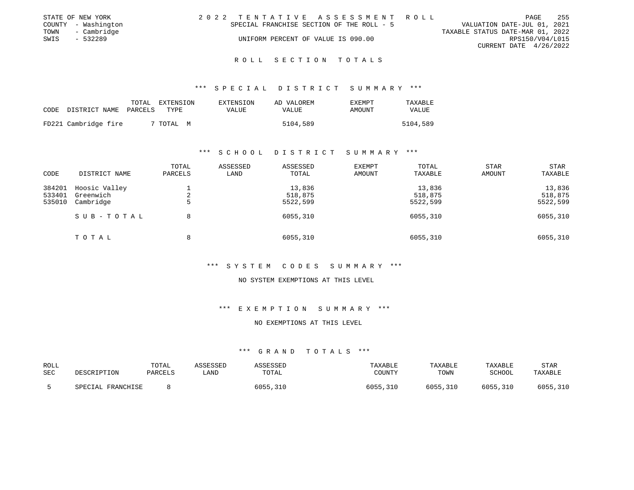| VALUATION DATE-JUL 01, 2021      |
|----------------------------------|
| TAXABLE STATUS DATE-MAR 01, 2022 |
| RPS150/V04/L015                  |
| CURRENT DATE 4/26/2022           |
|                                  |

R O L L S E C T I O N T O T A L S

\*\*\* S P E C I A L D I S T R I C T S U M M A R Y \*\*\*

| CODE | DISTRICT NAME        | TOTAL<br>PARCELS | EXTENSION<br>TYPE | EXTENSION<br>VALUE | AD VALOREM<br>VALUE | <b>EXEMPT</b><br>AMOUNT | TAXABLE<br>VALUE |
|------|----------------------|------------------|-------------------|--------------------|---------------------|-------------------------|------------------|
|      | FD221 Cambridge fire |                  | TOTAL M           |                    | 5104,589            |                         | 5104,589         |

### \*\*\* S C H O O L D I S T R I C T S U M M A R Y \*\*\*

| CODE                       | DISTRICT NAME                           | TOTAL<br>PARCELS | ASSESSED<br>LAND | ASSESSED<br>TOTAL             | <b>EXEMPT</b><br>AMOUNT | TOTAL<br>TAXABLE              | <b>STAR</b><br>AMOUNT | STAR<br>TAXABLE               |
|----------------------------|-----------------------------------------|------------------|------------------|-------------------------------|-------------------------|-------------------------------|-----------------------|-------------------------------|
| 384201<br>533401<br>535010 | Hoosic Valley<br>Greenwich<br>Cambridge | 2<br>ל           |                  | 13,836<br>518,875<br>5522,599 |                         | 13,836<br>518,875<br>5522,599 |                       | 13,836<br>518,875<br>5522,599 |
|                            | SUB-TOTAL                               | 8                |                  | 6055,310                      |                         | 6055,310                      |                       | 6055,310                      |
|                            | TOTAL                                   | 8                |                  | 6055,310                      |                         | 6055,310                      |                       | 6055,310                      |

### \*\*\* S Y S T E M C O D E S S U M M A R Y \*\*\*

### NO SYSTEM EXEMPTIONS AT THIS LEVEL

\*\*\* E X E M P T I O N S U M M A R Y \*\*\*

### NO EXEMPTIONS AT THIS LEVEL

| ROLL | DESCRIPTION       | TOTAL   | ASSESSED | ASSESSED | TAXABLE  | TAXABLE  | TAXABLE  | <b>STAR</b> |
|------|-------------------|---------|----------|----------|----------|----------|----------|-------------|
| SEC  |                   | PARCELS | LAND     | TOTAL    | COUNTY   | TOWN     | SCHOOL   | TAXABLE     |
|      | SPECIAL FRANCHISE |         |          | 6055,310 | 6055,310 | 6055,310 | 6055,310 | 6055,310    |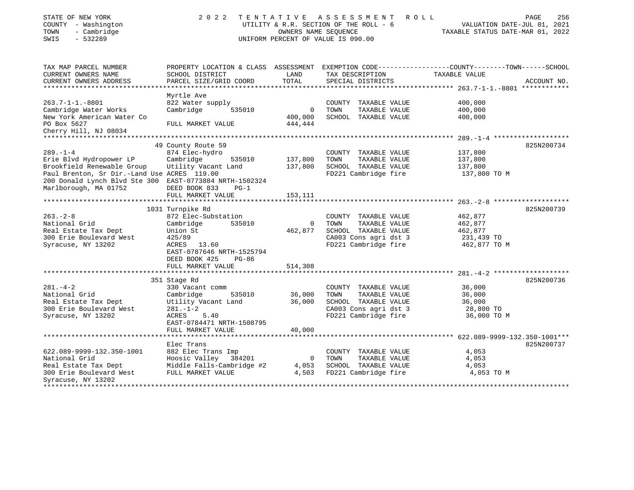| STATE OF NEW YORK |  |              |
|-------------------|--|--------------|
| COUNTY            |  | - Washington |
| <b>TOMM</b>       |  | - Cambridge  |

# STATE OF NEW YORK 2 0 2 2 T E N T A T I V E A S S E S S M E N T R O L L PAGE 256 COUNTY - Washington UTILITY & R.R. SECTION OF THE ROLL - 6 VALUATION DATE-JUL 01, 2021 TOWN - Cambridge OWNERS NAME SEQUENCE TAXABLE STATUS DATE-MAR 01, 2022 SWIS - 532289 UNIFORM PERCENT OF VALUE IS 090.00

| TAX MAP PARCEL NUMBER<br>CURRENT OWNERS NAME<br>CURRENT OWNERS ADDRESS                                 | PROPERTY LOCATION & CLASS ASSESSMENT<br>SCHOOL DISTRICT<br>PARCEL SIZE/GRID COORD | LAND<br>TOTAL          | TAX DESCRIPTION<br>SPECIAL DISTRICTS                                  | EXEMPTION CODE-----------------COUNTY-------TOWN------SCHOOL<br>TAXABLE VALUE | ACCOUNT NO. |
|--------------------------------------------------------------------------------------------------------|-----------------------------------------------------------------------------------|------------------------|-----------------------------------------------------------------------|-------------------------------------------------------------------------------|-------------|
|                                                                                                        |                                                                                   |                        |                                                                       |                                                                               |             |
| $263.7 - 1 - 1. - 8801$<br>Cambridge Water Works<br>New York American Water Co                         | Myrtle Ave<br>822 Water supply<br>Cambridge<br>535010                             | $\mathbf 0$<br>400,000 | COUNTY TAXABLE VALUE<br>TOWN<br>TAXABLE VALUE<br>SCHOOL TAXABLE VALUE | 400,000<br>400,000<br>400,000                                                 |             |
| PO Box 5627<br>Cherry Hill, NJ 08034                                                                   | FULL MARKET VALUE                                                                 | 444,444                |                                                                       |                                                                               |             |
|                                                                                                        |                                                                                   |                        |                                                                       |                                                                               |             |
|                                                                                                        | 49 County Route 59                                                                |                        |                                                                       |                                                                               | 825N200734  |
| $289. - 1 - 4$                                                                                         | 874 Elec-hydro                                                                    |                        | COUNTY TAXABLE VALUE                                                  | 137,800                                                                       |             |
| Erie Blvd Hydropower LP                                                                                | Cambridge<br>535010                                                               | 137,800                | TOWN<br>TAXABLE VALUE                                                 | 137,800                                                                       |             |
| Brookfield Renewable Group                                                                             | Utility Vacant Land                                                               | 137,800                | SCHOOL TAXABLE VALUE                                                  | 137,800                                                                       |             |
| Paul Brenton, Sr Dir.-Land Use ACRES 119.00<br>200 Donald Lynch Blvd Ste 300 EAST-0773884 NRTH-1502324 |                                                                                   |                        | FD221 Cambridge fire                                                  | 137,800 TO M                                                                  |             |
| Marlborough, MA 01752                                                                                  | DEED BOOK 833<br>$PG-1$                                                           |                        |                                                                       |                                                                               |             |
|                                                                                                        | FULL MARKET VALUE                                                                 | 153,111                |                                                                       |                                                                               |             |
|                                                                                                        |                                                                                   |                        |                                                                       |                                                                               |             |
|                                                                                                        | 1031 Turnpike Rd                                                                  |                        |                                                                       |                                                                               | 825N200739  |
| $263. - 2 - 8$                                                                                         | 872 Elec-Substation                                                               |                        | COUNTY TAXABLE VALUE                                                  | 462,877                                                                       |             |
| National Grid                                                                                          | 535010<br>Cambridge                                                               | $\mathbf 0$            | TOWN<br>TAXABLE VALUE                                                 | 462,877                                                                       |             |
| Real Estate Tax Dept                                                                                   | Union St                                                                          | 462,877                | SCHOOL TAXABLE VALUE                                                  | 462,877                                                                       |             |
| 300 Erie Boulevard West                                                                                | 425/89                                                                            |                        | CA003 Cons agri dst 3                                                 | 231,439 TO                                                                    |             |
| Syracuse, NY 13202                                                                                     | ACRES<br>13.60<br>EAST-0787646 NRTH-1525794                                       |                        | FD221 Cambridge fire                                                  | 462,877 TO M                                                                  |             |
|                                                                                                        | DEED BOOK 425<br>$PG-86$                                                          |                        |                                                                       |                                                                               |             |
|                                                                                                        | FULL MARKET VALUE                                                                 | 514,308                |                                                                       |                                                                               |             |
|                                                                                                        |                                                                                   |                        |                                                                       |                                                                               |             |
|                                                                                                        | 351 Stage Rd                                                                      |                        |                                                                       |                                                                               | 825N200736  |
| $281. - 4 - 2$                                                                                         | 330 Vacant comm                                                                   |                        | COUNTY TAXABLE VALUE                                                  | 36,000                                                                        |             |
| National Grid                                                                                          | 535010<br>Cambridge                                                               | 36,000                 | TOWN<br>TAXABLE VALUE                                                 | 36,000                                                                        |             |
| Real Estate Tax Dept                                                                                   | Utility Vacant Land                                                               | 36,000                 | SCHOOL TAXABLE VALUE                                                  | 36,000                                                                        |             |
| 300 Erie Boulevard West                                                                                | $281. - 1 - 2$                                                                    |                        | CA003 Cons agri dst 3                                                 | 28,800 TO                                                                     |             |
| Syracuse, NY 13202                                                                                     | 5.40<br>ACRES                                                                     |                        | FD221 Cambridge fire                                                  | 36,000 TO M                                                                   |             |
|                                                                                                        | EAST-0784471 NRTH-1508795                                                         |                        |                                                                       |                                                                               |             |
|                                                                                                        | FULL MARKET VALUE                                                                 | 40,000                 |                                                                       |                                                                               |             |
|                                                                                                        |                                                                                   |                        |                                                                       |                                                                               |             |
|                                                                                                        | Elec Trans                                                                        |                        |                                                                       |                                                                               | 825N200737  |
| 622.089-9999-132.350-1001                                                                              | 882 Elec Trans Imp                                                                |                        | COUNTY TAXABLE VALUE                                                  | 4,053                                                                         |             |
| National Grid                                                                                          | Hoosic Valley 384201                                                              | $\overline{0}$         | TOWN<br>TAXABLE VALUE                                                 | 4,053                                                                         |             |
| Real Estate Tax Dept                                                                                   | Middle Falls-Cambridge #2                                                         | 4,053                  | SCHOOL TAXABLE VALUE                                                  | 4,053                                                                         |             |
| 300 Erie Boulevard West<br>Syracuse, NY 13202                                                          | FULL MARKET VALUE                                                                 | 4,503                  | FD221 Cambridge fire                                                  | 4,053 TO M                                                                    |             |
| *****************                                                                                      |                                                                                   |                        |                                                                       |                                                                               |             |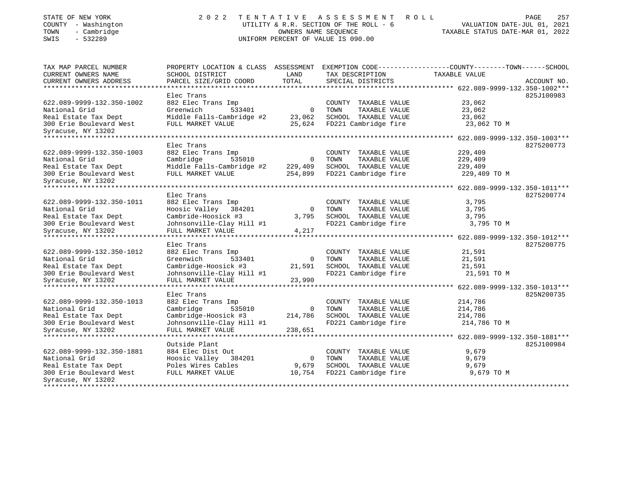# STATE OF NEW YORK 2 0 2 2 T E N T A T I V E A S S E S S M E N T R O L L PAGE 257 COUNTY - Washington UTILITY & R.R. SECTION OF THE ROLL - 6 VALUATION DATE-JUL 01, 2021 TOWN - Cambridge OWNERS NAME SEQUENCE TAXABLE STATUS DATE-MAR 01, 2022 SWIS - 532289 UNIFORM PERCENT OF VALUE IS 090.00

| TAX MAP PARCEL NUMBER     | PROPERTY LOCATION & CLASS ASSESSMENT |                |                       | EXEMPTION CODE-----------------COUNTY-------TOWN------SCHOOL |             |
|---------------------------|--------------------------------------|----------------|-----------------------|--------------------------------------------------------------|-------------|
| CURRENT OWNERS NAME       | SCHOOL DISTRICT                      | LAND           | TAX DESCRIPTION       | TAXABLE VALUE                                                |             |
| CURRENT OWNERS ADDRESS    | PARCEL SIZE/GRID COORD               | TOTAL          | SPECIAL DISTRICTS     |                                                              | ACCOUNT NO. |
| *******************       |                                      |                |                       |                                                              |             |
|                           | Elec Trans                           |                |                       |                                                              | 825J100983  |
| 622.089-9999-132.350-1002 | 882 Elec Trans Imp                   |                | COUNTY TAXABLE VALUE  | 23,062                                                       |             |
| National Grid             | Greenwich<br>533401                  | $\overline{0}$ | TOWN<br>TAXABLE VALUE | 23,062                                                       |             |
| Real Estate Tax Dept      | Middle Falls-Cambridge #2            | 23,062         | SCHOOL TAXABLE VALUE  | 23,062                                                       |             |
| 300 Erie Boulevard West   | FULL MARKET VALUE                    | 25,624         | FD221 Cambridge fire  | 23,062 TO M                                                  |             |
| Syracuse, NY 13202        |                                      |                |                       |                                                              |             |
| ******************        |                                      |                |                       | ********** 622.089-9999-132.350-1003***                      |             |
|                           | Elec Trans                           |                |                       |                                                              | 8275200773  |
| 622.089-9999-132.350-1003 | 882 Elec Trans Imp                   |                | COUNTY TAXABLE VALUE  | 229,409                                                      |             |
| National Grid             | Cambridge<br>535010                  | $\overline{0}$ | TOWN<br>TAXABLE VALUE | 229,409                                                      |             |
| Real Estate Tax Dept      | Middle Falls-Cambridge #2            | 229,409        | SCHOOL TAXABLE VALUE  | 229,409                                                      |             |
| 300 Erie Boulevard West   | FULL MARKET VALUE                    | 254,899        | FD221 Cambridge fire  | 229,409 TO M                                                 |             |
| Syracuse, NY 13202        |                                      |                |                       |                                                              |             |
| ***************           |                                      |                |                       | ********* 622.089-9999-132.350-1011***                       |             |
|                           | Elec Trans                           |                |                       |                                                              | 8275200774  |
| 622.089-9999-132.350-1011 | 882 Elec Trans Imp                   |                | COUNTY TAXABLE VALUE  | 3,795                                                        |             |
| National Grid             | Hoosic Valley 384201                 | $\overline{0}$ | TOWN<br>TAXABLE VALUE | 3,795                                                        |             |
| Real Estate Tax Dept      | Cambride-Hoosick #3                  | 3,795          | SCHOOL TAXABLE VALUE  | 3,795                                                        |             |
| 300 Erie Boulevard West   | Johnsonville-Clay Hill #1            |                | FD221 Cambridge fire  | 3,795 TO M                                                   |             |
| Syracuse, NY 13202        | FULL MARKET VALUE                    | 4,217          |                       |                                                              |             |
|                           | ********************************     |                | ***************       | *********************** 622.089-9999-132.350-1012***         |             |
|                           | Elec Trans                           |                |                       |                                                              | 8275200775  |
| 622.089-9999-132.350-1012 | 882 Elec Trans Imp                   |                | COUNTY TAXABLE VALUE  | 21,591                                                       |             |
| National Grid             | Greenwich<br>533401                  | $\mathbf{0}$   | TOWN<br>TAXABLE VALUE | 21,591                                                       |             |
| Real Estate Tax Dept      | Cambridge-Hoosick #3                 | 21,591         | SCHOOL TAXABLE VALUE  | 21,591                                                       |             |
| 300 Erie Boulevard West   | Johnsonville-Clay Hill #1            |                | FD221 Cambridge fire  | 21,591 TO M                                                  |             |
| Syracuse, NY 13202        | FULL MARKET VALUE                    | 23,990         |                       |                                                              |             |
|                           |                                      |                |                       | 622.089-9999-132.350-1013***                                 |             |
|                           | Elec Trans                           |                |                       |                                                              | 825N200735  |
| 622.089-9999-132.350-1013 | 882 Elec Trans Imp                   |                | COUNTY TAXABLE VALUE  | 214,786                                                      |             |
| National Grid             | Cambridge<br>535010                  | $\Omega$       | TOWN<br>TAXABLE VALUE | 214,786                                                      |             |
| Real Estate Tax Dept      | Cambridge-Hoosick #3                 | 214,786        | SCHOOL TAXABLE VALUE  | 214,786                                                      |             |
| 300 Erie Boulevard West   | Johnsonville-Clay Hill #1            |                | FD221 Cambridge fire  | 214,786 TO M                                                 |             |
| Syracuse, NY 13202        | FULL MARKET VALUE                    | 238,651        |                       |                                                              |             |
|                           | ******************                   |                |                       | ******* 622.089-9999-132.350-1881***                         |             |
|                           | Outside Plant                        |                |                       |                                                              | 825J100984  |
| 622.089-9999-132.350-1881 | 884 Elec Dist Out                    |                | COUNTY TAXABLE VALUE  | 9,679                                                        |             |
| National Grid             | Hoosic Valley 384201                 | 0              | TOWN<br>TAXABLE VALUE | 9,679                                                        |             |
| Real Estate Tax Dept      | Poles Wires Cables                   | 9,679          | SCHOOL TAXABLE VALUE  | 9,679                                                        |             |
| 300 Erie Boulevard West   | FULL MARKET VALUE                    | 10,754         | FD221 Cambridge fire  | 9,679 TO M                                                   |             |
| Syracuse, NY 13202        |                                      |                |                       |                                                              |             |
|                           |                                      |                |                       |                                                              |             |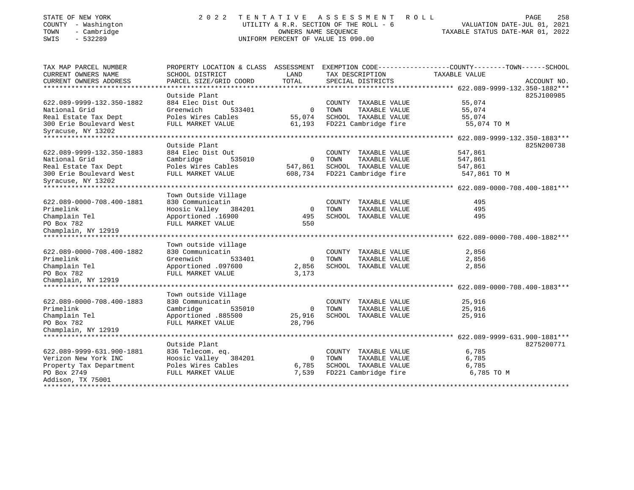| STATE OF NEW YORK |              |
|-------------------|--------------|
| <b>COUNTY</b>     | - Washington |
| TOWN              | Cambridge    |
| $    -$           | $-0.0000$    |

# STATE OF NEW YORK 2 0 2 2 T E N T A T I V E A S S E S S M E N T R O L L PAGE 258 COUNTY - Washington UTILITY & R.R. SECTION OF THE ROLL - 6 VALUATION DATE-JUL 01, 2021 TOWN - Cambridge OWNERS NAME SEQUENCE TAXABLE STATUS DATE-MAR 01, 2022 SWIS - 532289 UNIFORM PERCENT OF VALUE IS 090.00

| TAX MAP PARCEL NUMBER          |                        |                | PROPERTY LOCATION & CLASS ASSESSMENT EXEMPTION CODE----------------COUNTY-------TOWN-----SCHOOL |               |             |
|--------------------------------|------------------------|----------------|-------------------------------------------------------------------------------------------------|---------------|-------------|
| CURRENT OWNERS NAME            | SCHOOL DISTRICT        | LAND           | TAX DESCRIPTION                                                                                 | TAXABLE VALUE |             |
| CURRENT OWNERS ADDRESS         | PARCEL SIZE/GRID COORD | TOTAL          | SPECIAL DISTRICTS                                                                               |               | ACCOUNT NO. |
|                                |                        |                |                                                                                                 |               |             |
|                                | Outside Plant          |                |                                                                                                 |               | 825J100985  |
| 622.089-9999-132.350-1882      | 884 Elec Dist Out      |                | COUNTY TAXABLE VALUE                                                                            | 55,074        |             |
| National Grid                  | Greenwich<br>533401    | $\mathbf 0$    | TAXABLE VALUE<br>TOWN                                                                           | 55,074        |             |
| Real Estate Tax Dept           | Poles Wires Cables     | 55,074         | SCHOOL TAXABLE VALUE                                                                            | 55,074        |             |
| 300 Erie Boulevard West        | FULL MARKET VALUE      | 61,193         | FD221 Cambridge fire                                                                            | 55,074 TO M   |             |
| Syracuse, NY 13202             |                        |                |                                                                                                 |               |             |
| ***************                |                        |                |                                                                                                 |               |             |
|                                | Outside Plant          |                |                                                                                                 |               | 825N200738  |
| 622.089-9999-132.350-1883      | 884 Elec Dist Out      |                | COUNTY TAXABLE VALUE                                                                            | 547,861       |             |
| National Grid                  | Cambridge<br>535010    | $\overline{0}$ | TOWN<br>TAXABLE VALUE                                                                           | 547,861       |             |
| Real Estate Tax Dept           | Poles Wires Cables     | 547,861        | SCHOOL TAXABLE VALUE                                                                            | 547,861       |             |
| 300 Erie Boulevard West        | FULL MARKET VALUE      | 608,734        | FD221 Cambridge fire                                                                            | 547,861 TO M  |             |
| Syracuse, NY 13202             |                        |                |                                                                                                 |               |             |
|                                |                        |                |                                                                                                 |               |             |
|                                | Town Outside Village   |                |                                                                                                 |               |             |
| 622.089-0000-708.400-1881      | 830 Communicatin       |                | COUNTY TAXABLE VALUE                                                                            | 495           |             |
| Primelink                      | Hoosic Valley 384201   | $\overline{0}$ | TAXABLE VALUE<br>TOWN                                                                           | 495           |             |
| Champlain Tel                  | Apportioned .16900     | 495            | SCHOOL TAXABLE VALUE                                                                            | 495           |             |
| PO Box 782                     | FULL MARKET VALUE      | 550            |                                                                                                 |               |             |
| Champlain, NY 12919            |                        |                |                                                                                                 |               |             |
|                                |                        |                |                                                                                                 |               |             |
|                                | Town outside village   |                |                                                                                                 |               |             |
| 622.089-0000-708.400-1882      | 830 Communicatin       |                | COUNTY TAXABLE VALUE                                                                            | 2,856         |             |
| Primelink                      | Greenwich<br>533401    | $\mathbf 0$    | TOWN<br>TAXABLE VALUE                                                                           | 2,856         |             |
| Champlain Tel                  | Apportioned .097600    | 2,856          | SCHOOL TAXABLE VALUE                                                                            | 2,856         |             |
| PO Box 782                     | FULL MARKET VALUE      | 3,173          |                                                                                                 |               |             |
| Champlain, NY 12919            |                        |                |                                                                                                 |               |             |
| ****************************** |                        |                |                                                                                                 |               |             |
|                                | Town outside Village   |                |                                                                                                 |               |             |
| 622.089-0000-708.400-1883      | 830 Communicatin       |                | COUNTY TAXABLE VALUE                                                                            | 25,916        |             |
| Primelink                      | Cambridge<br>535010    | $\overline{0}$ | TOWN<br>TAXABLE VALUE                                                                           | 25,916        |             |
| Champlain Tel                  | Apportioned .885500    | 25,916         | SCHOOL TAXABLE VALUE                                                                            | 25,916        |             |
| PO Box 782                     | FULL MARKET VALUE      | 28,796         |                                                                                                 |               |             |
| Champlain, NY 12919            |                        |                |                                                                                                 |               |             |
|                                |                        |                |                                                                                                 |               |             |
|                                | Outside Plant          |                |                                                                                                 |               | 8275200771  |
| 622.089-9999-631.900-1881      | 836 Telecom. eq.       |                | COUNTY TAXABLE VALUE                                                                            | 6,785         |             |
| Verizon New York INC           | Hoosic Valley 384201   | $\mathbf{0}$   | TOWN<br>TAXABLE VALUE                                                                           | 6,785         |             |
| Property Tax Department        | Poles Wires Cables     | 6,785          | SCHOOL TAXABLE VALUE                                                                            | 6,785         |             |
| PO Box 2749                    | FULL MARKET VALUE      | 7,539          | FD221 Cambridge fire                                                                            | 6,785 TO M    |             |
| Addison, TX 75001              |                        |                |                                                                                                 |               |             |
|                                |                        |                |                                                                                                 |               |             |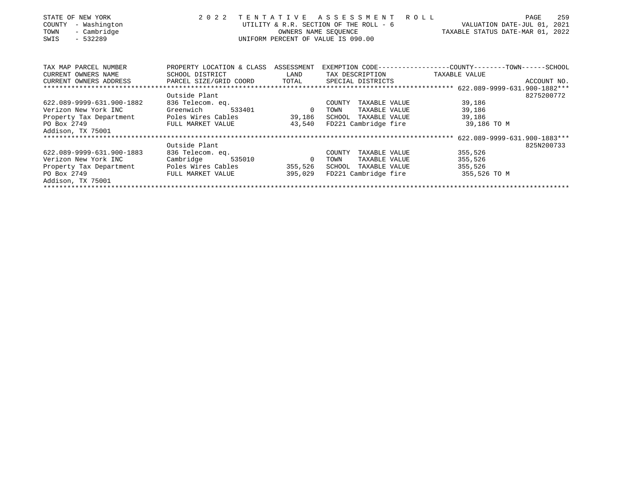| STATE OF NEW YORK<br>- Washington<br>COUNTY<br>- Cambridge<br>TOWN<br>$-532289$<br>SWIS | 2 0 2 2                   | TENTATIVE    | ASSESSMENT<br>UTILITY & R.R. SECTION OF THE ROLL - 6<br>OWNERS NAME SEQUENCE<br>UNIFORM PERCENT OF VALUE IS 090.00 | ROLL                                                         | 259<br>PAGE<br>VALUATION DATE-JUL 01, 2021<br>TAXABLE STATUS DATE-MAR 01, 2022 |
|-----------------------------------------------------------------------------------------|---------------------------|--------------|--------------------------------------------------------------------------------------------------------------------|--------------------------------------------------------------|--------------------------------------------------------------------------------|
| TAX MAP PARCEL NUMBER                                                                   | PROPERTY LOCATION & CLASS | ASSESSMENT   |                                                                                                                    | EXEMPTION CODE-----------------COUNTY-------TOWN------SCHOOL |                                                                                |
| CURRENT OWNERS NAME                                                                     | SCHOOL DISTRICT           | LAND         | TAX DESCRIPTION                                                                                                    | TAXABLE VALUE                                                |                                                                                |
| CURRENT OWNERS ADDRESS                                                                  | PARCEL SIZE/GRID COORD    | TOTAL        | SPECIAL DISTRICTS                                                                                                  |                                                              | ACCOUNT NO.                                                                    |
|                                                                                         |                           |              |                                                                                                                    |                                                              |                                                                                |
|                                                                                         | Outside Plant             |              |                                                                                                                    |                                                              | 8275200772                                                                     |
| 622.089-9999-631.900-1882                                                               | 836 Telecom. eq.          |              | COUNTY<br>TAXABLE VALUE                                                                                            | 39,186                                                       |                                                                                |
| Verizon New York INC                                                                    | Greenwich<br>533401       | $\mathbf{0}$ | TAXABLE VALUE<br>TOWN                                                                                              | 39,186                                                       |                                                                                |
| Property Tax Department                                                                 | Poles Wires Cables        | 39,186       | SCHOOL<br>TAXABLE VALUE                                                                                            | 39,186                                                       |                                                                                |
| PO Box 2749<br>Addison, TX 75001                                                        | FULL MARKET VALUE         | 43,540       | FD221 Cambridge fire                                                                                               | 39,186 TO M                                                  |                                                                                |
|                                                                                         |                           |              |                                                                                                                    |                                                              |                                                                                |
|                                                                                         | Outside Plant             |              |                                                                                                                    |                                                              | 825N200733                                                                     |
| 622.089-9999-631.900-1883                                                               | 836 Telecom. eq.          |              | TAXABLE VALUE<br>COUNTY                                                                                            | 355,526                                                      |                                                                                |
| Verizon New York INC                                                                    | Cambridge<br>535010       | $\Omega$     | TAXABLE VALUE<br>TOWN                                                                                              | 355,526                                                      |                                                                                |
| Property Tax Department                                                                 | Poles Wires Cables        | 355,526      | TAXABLE VALUE<br>SCHOOL                                                                                            | 355,526                                                      |                                                                                |
| PO Box 2749                                                                             | FULL MARKET VALUE         | 395,029      | FD221 Cambridge fire                                                                                               | 355,526 TO M                                                 |                                                                                |
| Addison, TX 75001                                                                       |                           |              |                                                                                                                    |                                                              |                                                                                |
|                                                                                         |                           |              |                                                                                                                    |                                                              |                                                                                |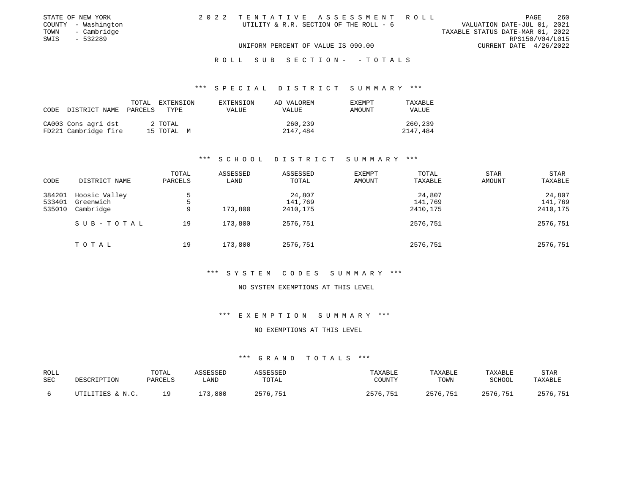| STATE OF NEW YORK   | 2022 TENTATIVE ASSESSMENT ROLL         |                                  | PAGE                        | 260 |
|---------------------|----------------------------------------|----------------------------------|-----------------------------|-----|
| COUNTY - Washington | UTILITY & R.R. SECTION OF THE ROLL - 6 |                                  | VALUATION DATE-JUL 01, 2021 |     |
| TOWN - Cambridge    |                                        | TAXABLE STATUS DATE-MAR 01, 2022 |                             |     |
| SWIS<br>- 532289    |                                        |                                  | RPS150/V04/L015             |     |
|                     | UNIFORM PERCENT OF VALUE IS 090.00     |                                  | CURRENT DATE 4/26/2022      |     |
|                     |                                        |                                  |                             |     |

#### R O L L S U B S E C T I O N - - T O T A L S

### \*\*\* S P E C I A L D I S T R I C T S U M M A R Y \*\*\*

| CODE | DISTRICT NAME                               | TOTAL<br>PARCELS | EXTENSION<br>TYPE     | EXTENSION<br>VALUE | AD VALOREM<br>VALUE | <b>EXEMPT</b><br>AMOUNT | TAXABLE<br>VALUE    |
|------|---------------------------------------------|------------------|-----------------------|--------------------|---------------------|-------------------------|---------------------|
|      | CA003 Cons agri dst<br>FD221 Cambridge fire |                  | 2 TOTAL<br>15 TOTAL M |                    | 260,239<br>2147,484 |                         | 260,239<br>2147,484 |

### \*\*\* S C H O O L D I S T R I C T S U M M A R Y \*\*\*

| CODE                       | DISTRICT NAME                           | TOTAL<br>PARCELS | ASSESSED<br>LAND | ASSESSED<br>TOTAL             | <b>EXEMPT</b><br>AMOUNT | TOTAL<br>TAXABLE              | STAR<br><b>AMOUNT</b> | STAR<br>TAXABLE               |
|----------------------------|-----------------------------------------|------------------|------------------|-------------------------------|-------------------------|-------------------------------|-----------------------|-------------------------------|
| 384201<br>533401<br>535010 | Hoosic Valley<br>Greenwich<br>Cambridge | 5<br>5<br>9      | 173,800          | 24,807<br>141,769<br>2410,175 |                         | 24,807<br>141,769<br>2410,175 |                       | 24,807<br>141,769<br>2410,175 |
|                            | SUB-TOTAL                               | 19               | 173,800          | 2576,751                      |                         | 2576,751                      |                       | 2576,751                      |
|                            | TOTAL                                   | 19               | 173,800          | 2576,751                      |                         | 2576,751                      |                       | 2576,751                      |

#### \*\*\* S Y S T E M C O D E S S U M M A R Y \*\*\*

#### NO SYSTEM EXEMPTIONS AT THIS LEVEL

### \*\*\* E X E M P T I O N S U M M A R Y \*\*\*

#### NO EXEMPTIONS AT THIS LEVEL

| ROLL |                  | TOTAL   | ASSESSED | <b>ASSESSED</b> | TAXABLE  | TAXABLE  | TAXABLE  | <b>STAR</b> |
|------|------------------|---------|----------|-----------------|----------|----------|----------|-------------|
| SEC  | DESCRIPTION      | PARCELS | LAND     | TOTAL           | COUNTY   | TOWN     | SCHOOL   | TAXABLE     |
|      | UTILITIES & N.C. | 1 Q     | 173,800  | 2576,751        | 2576,751 | 2576,751 | 2576,751 | 2576,751    |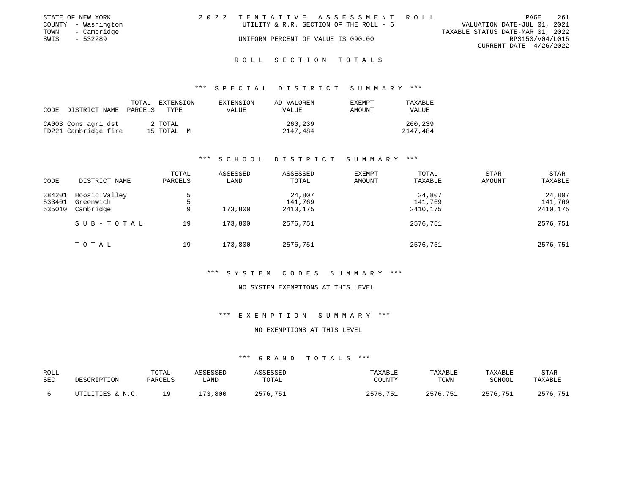|      | STATE OF NEW YORK   | 2022 TENTATIVE ASSESSMENT ROLL         |                                  | PAGE                   | -261 |
|------|---------------------|----------------------------------------|----------------------------------|------------------------|------|
|      | COUNTY - Washington | UTILITY & R.R. SECTION OF THE ROLL - 6 | VALUATION DATE-JUL 01, 2021      |                        |      |
| TOWN | - Cambridge         |                                        | TAXABLE STATUS DATE-MAR 01, 2022 |                        |      |
| SWIS | - 532289            | UNIFORM PERCENT OF VALUE IS 090.00     |                                  | RPS150/V04/L015        |      |
|      |                     |                                        |                                  | CURRENT DATE 4/26/2022 |      |
|      |                     |                                        |                                  |                        |      |

#### R O L L S E C T I O N T O T A L S

### \*\*\* S P E C I A L D I S T R I C T S U M M A R Y \*\*\*

| CODE | DISTRICT NAME PARCELS                       | TOTAL EXTENSION<br>TYPE | EXTENSION<br>VALUE | AD VALOREM<br>VALUE | <b>EXEMPT</b><br>AMOUNT | TAXABLE<br>VALUE    |
|------|---------------------------------------------|-------------------------|--------------------|---------------------|-------------------------|---------------------|
|      | CA003 Cons agri dst<br>FD221 Cambridge fire | 2 TOTAL<br>15 TOTAL M   |                    | 260,239<br>2147,484 |                         | 260,239<br>2147,484 |

### \*\*\* S C H O O L D I S T R I C T S U M M A R Y \*\*\*

| CODE                       | DISTRICT NAME                           | TOTAL<br>PARCELS | ASSESSED<br>LAND | ASSESSED<br>TOTAL             | <b>EXEMPT</b><br>AMOUNT | TOTAL<br>TAXABLE              | <b>STAR</b><br>AMOUNT | STAR<br>TAXABLE               |
|----------------------------|-----------------------------------------|------------------|------------------|-------------------------------|-------------------------|-------------------------------|-----------------------|-------------------------------|
| 384201<br>533401<br>535010 | Hoosic Valley<br>Greenwich<br>Cambridge | 5.<br>9          | 173,800          | 24,807<br>141,769<br>2410,175 |                         | 24,807<br>141,769<br>2410,175 |                       | 24,807<br>141,769<br>2410,175 |
|                            | SUB-TOTAL                               | 19               | 173,800          | 2576,751                      |                         | 2576,751                      |                       | 2576,751                      |
|                            | TOTAL                                   | 19               | 173,800          | 2576,751                      |                         | 2576,751                      |                       | 2576,751                      |

#### \*\*\* S Y S T E M C O D E S S U M M A R Y \*\*\*

#### NO SYSTEM EXEMPTIONS AT THIS LEVEL

### \*\*\* E X E M P T I O N S U M M A R Y \*\*\*

#### NO EXEMPTIONS AT THIS LEVEL

| ROLL<br>SEC | DESCRIPTION      | TOTAL<br><b>PARCELS</b> | <i><b>\SSESSED</b></i><br>LAND | SSESSED<br>TOTAL | TAXABLE<br>COUNTY | TAXABLE<br>TOWN | TAXABLE<br>SCHOOL | <b>STAR</b><br>TAXABLE |
|-------------|------------------|-------------------------|--------------------------------|------------------|-------------------|-----------------|-------------------|------------------------|
|             | UTILITIES & N.C. | 1 Q                     | 173,800                        | 2576,751         | 2576,751          | 2576,751        | 2576,751          | 2576,751               |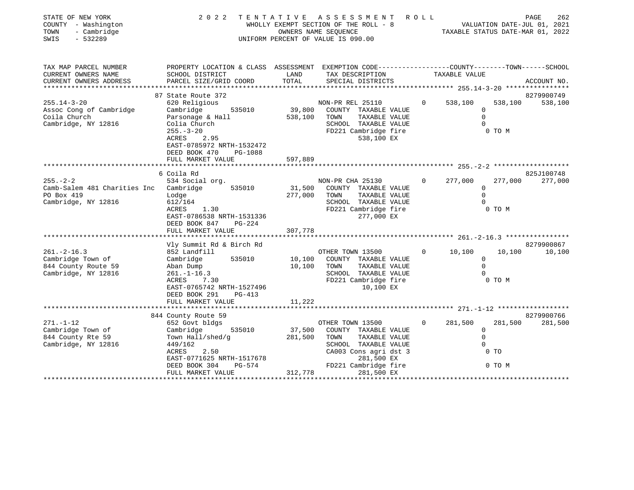| STATE OF NEW YORK<br>COUNTY - Washington<br>TOWN<br>- Cambridge<br>SWIS<br>$-532289$          | 2 0 2 2                                                                                                                                                                                                                 |                              | TENTATIVE ASSESSMENT ROLL<br>WHOLLY EXEMPT SECTION OF THE ROLL - 8<br>OWNERS NAME SEQUENCE<br>UNIFORM PERCENT OF VALUE IS 090.00                         |              | VALUATION DATE-JUL 01, 2021<br>TAXABLE STATUS DATE-MAR 01, 2022 |                   | PAGE<br>262           |
|-----------------------------------------------------------------------------------------------|-------------------------------------------------------------------------------------------------------------------------------------------------------------------------------------------------------------------------|------------------------------|----------------------------------------------------------------------------------------------------------------------------------------------------------|--------------|-----------------------------------------------------------------|-------------------|-----------------------|
| TAX MAP PARCEL NUMBER<br>CURRENT OWNERS NAME<br>CURRENT OWNERS ADDRESS                        | PROPERTY LOCATION & CLASS ASSESSMENT EXEMPTION CODE---------------COUNTY-------TOWN-----SCHOOL<br>SCHOOL DISTRICT<br>PARCEL SIZE/GRID COORD                                                                             | LAND<br>TOTAL                | TAX DESCRIPTION<br>SPECIAL DISTRICTS                                                                                                                     |              | <b>TAXABLE VALUE</b>                                            |                   | ACCOUNT NO.           |
| $255.14 - 3 - 20$<br>Assoc Cong of Cambridge<br>Coila Church<br>Cambridge, NY 12816           | 87 State Route 372<br>620 Religious<br>Cambridge<br>535010<br>Parsonage & Hall<br>Colia Church<br>$255. - 3 - 20$<br>ACRES<br>2.95<br>EAST-0785972 NRTH-1532472<br>DEED BOOK 470<br><b>PG-1088</b><br>FULL MARKET VALUE | 39,800<br>538,100<br>597,889 | NON-PR REL 25110<br>COUNTY TAXABLE VALUE<br>TOWN<br>TAXABLE VALUE<br>SCHOOL TAXABLE VALUE<br>FD221 Cambridge fire<br>538,100 EX                          | $\Omega$     | 538,100<br>$\Omega$<br>$\mathbf 0$<br>$\Omega$                  | 538,100<br>0 TO M | 8279900749<br>538,100 |
|                                                                                               |                                                                                                                                                                                                                         |                              |                                                                                                                                                          |              |                                                                 |                   |                       |
| $255. - 2 - 2$<br>Camb-Salem 481 Charities Inc Cambridge<br>PO Box 419<br>Cambridge, NY 12816 | 6 Coila Rd<br>534 Social org.<br>535010<br>Lodge<br>612/164<br>ACRES<br>1.30<br>EAST-0786538 NRTH-1531336<br>DEED BOOK 847<br>PG-224<br>FULL MARKET VALUE                                                               | 31,500<br>277,000<br>307,778 | NON-PR CHA 25130<br>COUNTY TAXABLE VALUE<br>TOWN<br>TAXABLE VALUE<br>SCHOOL TAXABLE VALUE<br>FD221 Cambridge fire<br>277,000 EX                          | $\Omega$     | 277,000<br>0<br>$\mathbf 0$<br>$\Omega$                         | 277,000<br>0 TO M | 825J100748<br>277,000 |
|                                                                                               | Vly Summit Rd & Birch Rd                                                                                                                                                                                                |                              |                                                                                                                                                          |              |                                                                 |                   | 8279900867            |
| $261. -2 - 16.3$<br>Cambridge Town of<br>844 County Route 59<br>Cambridge, NY 12816           | 852 Landfill<br>Cambridge<br>535010<br>Aban Dump<br>$261. - 1 - 16.3$<br>ACRES<br>7.30<br>EAST-0765742 NRTH-1527496<br>DEED BOOK 291<br>PG-413                                                                          | 10,100<br>10,100             | OTHER TOWN 13500<br>COUNTY TAXABLE VALUE<br>TOWN<br>TAXABLE VALUE<br>SCHOOL TAXABLE VALUE<br>FD221 Cambridge fire<br>10,100 EX                           | $\mathbf{0}$ | 10,100<br>$\circ$<br>$\Omega$<br>$\Omega$                       | 10,100<br>0 TO M  | 10,100                |
|                                                                                               | FULL MARKET VALUE                                                                                                                                                                                                       | 11,222                       |                                                                                                                                                          |              |                                                                 |                   |                       |
|                                                                                               | 844 County Route 59                                                                                                                                                                                                     |                              |                                                                                                                                                          |              |                                                                 |                   | 8279900766            |
| $271. - 1 - 12$<br>Cambridge Town of<br>844 County Rte 59<br>Cambridge, NY 12816              | 652 Govt bldgs<br>535010<br>Cambridge<br>Town Hall/shed/g<br>449/162<br>ACRES<br>2.50<br>EAST-0771625 NRTH-1517678<br>DEED BOOK 304<br>PG-574                                                                           | 37,500<br>281,500            | OTHER TOWN 13500<br>COUNTY TAXABLE VALUE<br>TOWN<br>TAXABLE VALUE<br>SCHOOL TAXABLE VALUE<br>CA003 Cons agri dst 3<br>281,500 EX<br>FD221 Cambridge fire | $\Omega$     | 281,500<br>$\circ$<br>$\Omega$<br>$\Omega$<br>$0$ TO            | 281,500<br>0 TO M | 281,500               |
|                                                                                               | FULL MARKET VALUE                                                                                                                                                                                                       | 312,778                      | 281,500 EX                                                                                                                                               |              |                                                                 |                   |                       |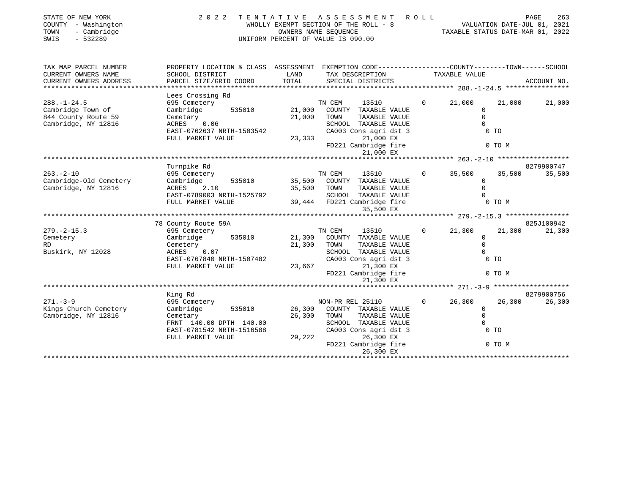| STATE OF NEW YORK<br>COUNTY - Washington<br>- Cambridge<br>TOWN<br>SWIS<br>$-532289$ | 2022                                                                                           |               | TENTATIVE ASSESSMENT ROLL<br>UNIFORM PERCENT OF VALUE IS 090.00 |                |               | PAGE   | 263         |
|--------------------------------------------------------------------------------------|------------------------------------------------------------------------------------------------|---------------|-----------------------------------------------------------------|----------------|---------------|--------|-------------|
| TAX MAP PARCEL NUMBER                                                                | PROPERTY LOCATION & CLASS ASSESSMENT EXEMPTION CODE---------------COUNTY-------TOWN-----SCHOOL |               |                                                                 |                |               |        |             |
| CURRENT OWNERS NAME<br>CURRENT OWNERS ADDRESS                                        | SCHOOL DISTRICT<br>PARCEL SIZE/GRID COORD                                                      | LAND<br>TOTAL | TAX DESCRIPTION<br>SPECIAL DISTRICTS                            |                | TAXABLE VALUE |        | ACCOUNT NO. |
| * * * * * * * * * * * * * * * * *                                                    |                                                                                                |               |                                                                 |                |               |        |             |
|                                                                                      | Lees Crossing Rd                                                                               |               |                                                                 |                |               |        |             |
| $288. - 1 - 24.5$                                                                    | 695 Cemetery                                                                                   |               | TN CEM<br>13510                                                 | $\Omega$       | 21,000        | 21,000 | 21,000      |
| Cambridge Town of                                                                    | 535010<br>Cambridge                                                                            | 21,000        | COUNTY TAXABLE VALUE                                            |                | $\Omega$      |        |             |
| 844 County Route 59                                                                  | Cemetary                                                                                       | 21,000        | TOWN<br>TAXABLE VALUE                                           |                | $\Omega$      |        |             |
| Cambridge, NY 12816                                                                  | 0.06<br>ACRES                                                                                  |               | SCHOOL TAXABLE VALUE                                            |                | $\Omega$      |        |             |
|                                                                                      | EAST-0762637 NRTH-1503542                                                                      |               | CA003 Cons agri dst 3                                           |                | $0$ TO        |        |             |
|                                                                                      | FULL MARKET VALUE                                                                              | 23,333        | 21,000 EX<br>FD221 Cambridge fire                               |                |               | 0 TO M |             |
|                                                                                      |                                                                                                |               |                                                                 |                |               |        |             |
|                                                                                      |                                                                                                |               | 21,000 EX                                                       |                |               |        |             |
|                                                                                      | Turnpike Rd                                                                                    |               |                                                                 |                |               |        | 8279900747  |
| $263. - 2 - 10$                                                                      | 695 Cemetery                                                                                   |               | TN CEM<br>13510                                                 | $\overline{0}$ | 35,500        | 35,500 | 35,500      |
| Cambridge-Old Cemetery                                                               | 535010<br>Cambridge                                                                            |               | 35,500 COUNTY TAXABLE VALUE                                     |                | $\mathbf 0$   |        |             |
| Cambridge, NY 12816                                                                  | 2.10<br>ACRES                                                                                  | 35,500 TOWN   | TAXABLE VALUE                                                   |                | $\Omega$      |        |             |
|                                                                                      | EAST-0789003 NRTH-1525792                                                                      |               | SCHOOL TAXABLE VALUE                                            |                | $\Omega$      |        |             |
|                                                                                      | FULL MARKET VALUE                                                                              |               | 39,444 FD221 Cambridge fire                                     |                |               | 0 TO M |             |
|                                                                                      |                                                                                                |               | 35,500 EX                                                       |                |               |        |             |
|                                                                                      |                                                                                                |               |                                                                 |                |               |        |             |
|                                                                                      | 78 County Route 59A                                                                            |               |                                                                 |                |               |        | 825J100942  |
| $279. - 2 - 15.3$                                                                    | 695 Cemetery                                                                                   |               | TN CEM<br>13510                                                 | $\Omega$       | 21,300        | 21,300 | 21,300      |
| Cemetery                                                                             | 535010<br>Cambridge                                                                            | 21,300        | COUNTY TAXABLE VALUE                                            |                | $\Omega$      |        |             |
| <b>RD</b>                                                                            | Cemetery                                                                                       | 21,300 TOWN   | TAXABLE VALUE                                                   |                | $\Omega$      |        |             |
| Buskirk, NY 12028                                                                    | ACRES 0.07                                                                                     |               | SCHOOL TAXABLE VALUE                                            |                | $\Omega$      |        |             |
|                                                                                      | EAST-0767840 NRTH-1507482                                                                      |               | CA003 Cons agri dst 3                                           |                | 0 TO          |        |             |
|                                                                                      | FULL MARKET VALUE                                                                              |               | 21,300 EX<br>23,667                                             |                |               |        |             |
|                                                                                      |                                                                                                |               | FD221 Cambridge fire<br>21,300 EX                               |                |               | 0 TO M |             |
|                                                                                      |                                                                                                |               |                                                                 |                |               |        |             |
|                                                                                      | King Rd                                                                                        |               |                                                                 |                |               |        | 8279900756  |
| $271 - 3 - 9$                                                                        | 695 Cemetery                                                                                   |               | NON-PR REL 25110                                                | $\Omega$       | 26,300        | 26,300 | 26,300      |
| Kings Church Cemetery                                                                | 535010<br>Cambridge                                                                            | 26,300        | COUNTY TAXABLE VALUE                                            |                | $\Omega$      |        |             |
| Cambridge, NY 12816                                                                  | Cemetary                                                                                       | 26,300        | TOWN<br>TAXABLE VALUE                                           |                | $\mathbf 0$   |        |             |
|                                                                                      | FRNT 140.00 DPTH 140.00                                                                        |               | SCHOOL TAXABLE VALUE                                            |                | $\Omega$      |        |             |
|                                                                                      | EAST-0781542 NRTH-1516588                                                                      |               | CA003 Cons agri dst 3                                           |                | $0$ TO        |        |             |
|                                                                                      | FULL MARKET VALUE                                                                              | 29,222        | 26,300 EX                                                       |                |               |        |             |
|                                                                                      |                                                                                                |               | FD221 Cambridge fire                                            |                |               | 0 TO M |             |
|                                                                                      |                                                                                                |               | 26,300 EX                                                       |                |               |        |             |
|                                                                                      |                                                                                                |               |                                                                 |                |               |        |             |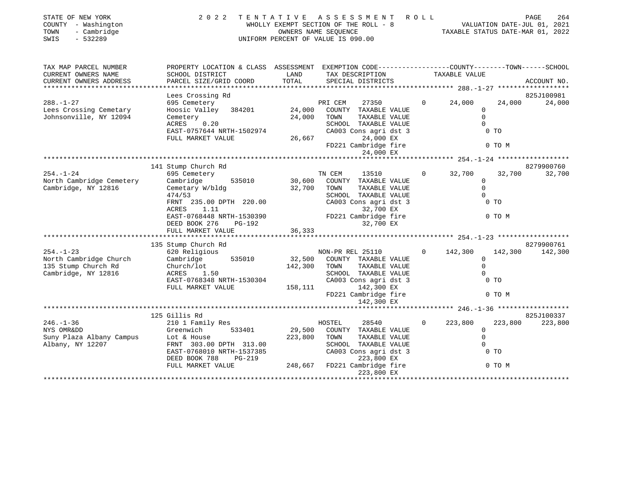| STATE OF NEW YORK<br>COUNTY - Washington<br>- Cambridge<br>TOWN<br>$-532289$<br>SWIS | 2 0 2 2                                                                                                                                                                                   |                              | TENTATIVE ASSESSMENT<br>WHOLLY EXEMPT SECTION OF THE ROLL - 8<br>OWNERS NAME SEQUENCE<br>UNIFORM PERCENT OF VALUE IS 090.00                                            | R O L L  | 204 - הספר<br>VALUATION DATE-JUL 01, 2021<br>TAXABLE STATUS DATE-MAR 01 2022 |                                    | PAGE<br>264           |
|--------------------------------------------------------------------------------------|-------------------------------------------------------------------------------------------------------------------------------------------------------------------------------------------|------------------------------|------------------------------------------------------------------------------------------------------------------------------------------------------------------------|----------|------------------------------------------------------------------------------|------------------------------------|-----------------------|
| TAX MAP PARCEL NUMBER<br>CURRENT OWNERS NAME<br>CURRENT OWNERS ADDRESS               | PROPERTY LOCATION & CLASS ASSESSMENT EXEMPTION CODE---------------COUNTY-------TOWN-----SCHOOL<br>SCHOOL DISTRICT<br>PARCEL SIZE/GRID COORD                                               | LAND<br>TOTAL                | TAX DESCRIPTION<br>SPECIAL DISTRICTS                                                                                                                                   |          | TAXABLE VALUE                                                                |                                    | ACCOUNT NO.           |
|                                                                                      | Lees Crossing Rd                                                                                                                                                                          |                              |                                                                                                                                                                        |          |                                                                              |                                    | 825J100981            |
| $288. - 1 - 27$<br>Lees Crossing Cemetary<br>Johnsonville, NY 12094                  | 695 Cemetery<br>Hoosic Valley 384201<br>Cemetery<br>0.20<br>ACRES<br>EAST-0757644 NRTH-1502974<br>FULL MARKET VALUE                                                                       | 24,000<br>24,000<br>26,667   | 27350<br>PRI CEM<br>COUNTY TAXABLE VALUE<br>TAXABLE VALUE<br>TOWN<br>SCHOOL TAXABLE VALUE<br>CA003 Cons agri dst 3<br>24,000 EX<br>FD221 Cambridge fire<br>24,000 EX   | $\Omega$ | 24,000<br>$\Omega$<br>$\mathbf 0$<br>$\Omega$                                | 24,000<br>0 <sub>T</sub><br>0 TO M | 24,000                |
|                                                                                      |                                                                                                                                                                                           |                              |                                                                                                                                                                        |          |                                                                              |                                    |                       |
|                                                                                      | 141 Stump Church Rd                                                                                                                                                                       |                              |                                                                                                                                                                        |          |                                                                              |                                    | 8279900760            |
| $254. - 1 - 24$<br>North Cambridge Cemetery<br>Cambridge, NY 12816                   | 695 Cemetery<br>535010<br>Cambridge<br>Cemetary W/bldg<br>474/53<br>FRNT 235.00 DPTH 220.00<br>ACRES<br>1.11<br>EAST-0768448 NRTH-1530390<br>DEED BOOK 276<br>PG-192<br>FULL MARKET VALUE | 30,600<br>32,700<br>36,333   | TN CEM<br>13510<br>COUNTY TAXABLE VALUE<br>TOWN<br>TAXABLE VALUE<br>SCHOOL TAXABLE VALUE<br>CA003 Cons agri dst 3<br>32,700 EX<br>FD221 Cambridge fire<br>32,700 EX    | $\Omega$ | 32,700<br>$\mathbf 0$<br>$\Omega$<br>$\Omega$                                | 32,700<br>$0$ TO<br>0 TO M         | 32,700                |
| $254. - 1 - 23$                                                                      | 135 Stump Church Rd                                                                                                                                                                       |                              |                                                                                                                                                                        | $\Omega$ |                                                                              | 142,300                            | 8279900761<br>142,300 |
| North Cambridge Church<br>135 Stump Church Rd<br>Cambridge, NY 12816                 | 620 Religious<br>535010<br>Cambridge<br>Church/lot<br>ACRES 1.50<br>EAST-0768348 NRTH-1530304<br>FULL MARKET VALUE                                                                        | 32,500<br>142,300<br>158,111 | NON-PR REL 25110<br>COUNTY TAXABLE VALUE<br>TAXABLE VALUE<br>TOWN<br>SCHOOL TAXABLE VALUE<br>CA003 Cons agri dst 3<br>142,300 EX<br>FD221 Cambridge fire<br>142,300 EX |          | 142,300<br>$\Omega$<br>$\mathbf 0$<br>$\Omega$                               | 0 <sub>T</sub><br>0 TO M           |                       |
|                                                                                      |                                                                                                                                                                                           |                              |                                                                                                                                                                        |          |                                                                              |                                    |                       |
| $246. - 1 - 36$<br>NYS OMRⅅ<br>Suny Plaza Albany Campus<br>Albany, NY 12207          | 125 Gillis Rd<br>210 1 Family Res<br>Greenwich<br>533401<br>Lot & House<br>FRNT 303.00 DPTH 313.00<br>EAST-0768010 NRTH-1537385<br>DEED BOOK 788<br>$PG-219$<br>FULL MARKET VALUE         | 29,500<br>223,800<br>248,667 | 28540<br>HOSTEL<br>COUNTY TAXABLE VALUE<br>TAXABLE VALUE<br>TOWN<br>SCHOOL TAXABLE VALUE<br>CA003 Cons agri dst 3<br>223,800 EX<br>FD221 Cambridge fire<br>223,800 EX  | $\Omega$ | 223,800<br>$\mathbf 0$<br>$\Omega$<br>$\Omega$                               | 223,800<br>$0$ TO<br>0 TO M        | 825J100337<br>223,800 |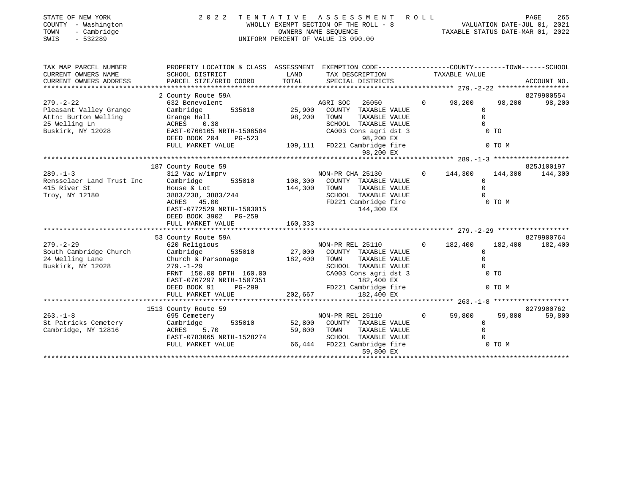| STATE OF NEW YORK<br>COUNTY - Washington<br>- Cambridge<br>TOWN<br>$-532289$<br>SWIS | 2 0 2 2                                                                                                                               |                  | TENTATIVE ASSESSMENT<br>WHOLLY EXEMPT SECTION OF THE ROLL - 8<br>OWNERS NAME SEQUENCE<br>UNIFORM PERCENT OF VALUE IS 090.00                                     | R O L L  | VALUATION DATE-JUL 01, 2021<br>TAXABLE STATUS DATE-MAR 01, 2022 | PAGE    | 265                   |
|--------------------------------------------------------------------------------------|---------------------------------------------------------------------------------------------------------------------------------------|------------------|-----------------------------------------------------------------------------------------------------------------------------------------------------------------|----------|-----------------------------------------------------------------|---------|-----------------------|
| TAX MAP PARCEL NUMBER                                                                | PROPERTY LOCATION & CLASS ASSESSMENT EXEMPTION CODE---------------COUNTY-------TOWN------SCHOOL                                       |                  |                                                                                                                                                                 |          |                                                                 |         |                       |
| CURRENT OWNERS NAME<br>CURRENT OWNERS ADDRESS<br>******************                  | SCHOOL DISTRICT<br>PARCEL SIZE/GRID COORD                                                                                             | LAND<br>TOTAL    | TAX DESCRIPTION TAXABLE VALUE<br>SPECIAL DISTRICTS                                                                                                              |          |                                                                 |         | ACCOUNT NO.           |
|                                                                                      | 2 County Route 59A                                                                                                                    |                  |                                                                                                                                                                 |          |                                                                 |         | 8279900554            |
| $279. - 2 - 22$<br>Pleasant Valley Grange<br>Attn: Burton Welling                    | 632 Benevolent<br>Cambridge<br>535010<br>Cambridge<br>Grange Hall                                                                     | 25,900<br>98,200 | 26050<br>AGRI SOC<br>COUNTY TAXABLE VALUE<br>TOWN<br>TAXABLE VALUE                                                                                              | $\Omega$ | 98,200<br>$\circ$<br>$\mathbf 0$                                | 98,200  | 98,200                |
| 25 Welling Ln<br>Buskirk, NY 12028                                                   | 0.38<br>ACRES<br>EAST-0766165 NRTH-1506584<br>DEED BOOK 204<br>PG-523                                                                 |                  | SCHOOL TAXABLE VALUE<br>CA003 Cons agri dst 3<br>98,200 EX                                                                                                      |          | $\Omega$                                                        | $0$ TO  |                       |
|                                                                                      | FULL MARKET VALUE                                                                                                                     |                  | 109,111 FD221 Cambridge fire<br>98,200 EX                                                                                                                       |          |                                                                 | 0 TO M  |                       |
|                                                                                      |                                                                                                                                       |                  |                                                                                                                                                                 |          |                                                                 |         |                       |
|                                                                                      | 187 County Route 59                                                                                                                   |                  |                                                                                                                                                                 |          |                                                                 |         | 825J100197            |
| $289. - 1 - 3$<br>Rensselaer Land Trust Inc                                          | 312 Vac w/imprv<br>Cambridge                                                                                                          | 535010 108,300   | NON-PR CHA 25130<br>COUNTY TAXABLE VALUE                                                                                                                        | $\Omega$ | 144,300<br>$\Omega$                                             | 144,300 | 144,300               |
| 415 River St<br>Troy, NY 12180                                                       | House & Lot<br>3883/238, 3883/244<br>ACRES 45.00<br>EAST-0772529 NRTH-1503015<br>DEED BOOK 3902 PG-259                                | 144,300          | TAXABLE VALUE<br>TOWN<br>SCHOOL TAXABLE VALUE<br>FD221 Cambridge fire<br>144,300 EX                                                                             |          | $\Omega$<br>$\Omega$                                            | 0 TO M  |                       |
|                                                                                      | FULL MARKET VALUE                                                                                                                     | 160,333          |                                                                                                                                                                 |          |                                                                 |         |                       |
|                                                                                      |                                                                                                                                       |                  |                                                                                                                                                                 |          |                                                                 |         |                       |
| $279. - 2 - 29$                                                                      | 53 County Route 59A                                                                                                                   |                  |                                                                                                                                                                 | $\Omega$ | 182,400                                                         | 182,400 | 8279900764<br>182,400 |
| South Cambridge Church<br>24 Welling Lane<br>Buskirk, NY 12028                       | 620 Religious<br>535010<br>Cambridge<br>Church & Parsonage<br>$279. - 1 - 29$<br>FRNT 150.00 DPTH 160.00<br>EAST-0767297 NRTH-1507351 | 182,400          | NON-PR REL 25110<br>27,000 COUNTY TAXABLE VALUE<br>TAXABLE VALUE<br>TOWN<br>SCHOOL TAXABLE VALUE<br>CA003 Cons agri dst 3<br>182,400 EX<br>FD221 Cambridge fire |          | $\Omega$<br>$\Omega$<br>$\Omega$                                | $0$ TO  |                       |
|                                                                                      | DEED BOOK 91<br>PG-299                                                                                                                |                  |                                                                                                                                                                 |          |                                                                 | 0 TO M  |                       |
|                                                                                      | FULL MARKET VALUE                                                                                                                     | 202,667          | 182,400 EX                                                                                                                                                      |          |                                                                 |         |                       |
|                                                                                      | 1513 County Route 59                                                                                                                  |                  |                                                                                                                                                                 |          |                                                                 |         | 8279900762            |
| $263. - 1 - 8$<br>St Patricks Cemetery<br>Cambridge, NY 12816                        | 695 Cemetery<br>535010<br>Cambridge<br>5.70<br>ACRES<br>EAST-0783065 NRTH-1528274                                                     | 52,800<br>59,800 | NON-PR REL 25110<br>COUNTY TAXABLE VALUE<br>TOWN<br>TAXABLE VALUE<br>SCHOOL TAXABLE VALUE                                                                       | $\Omega$ | 59,800<br>$\mathbf 0$<br>$\Omega$                               | 59,800  | 59,800                |
|                                                                                      | FULL MARKET VALUE                                                                                                                     |                  | 66,444 FD221 Cambridge fire<br>59,800 EX                                                                                                                        |          |                                                                 | 0 TO M  |                       |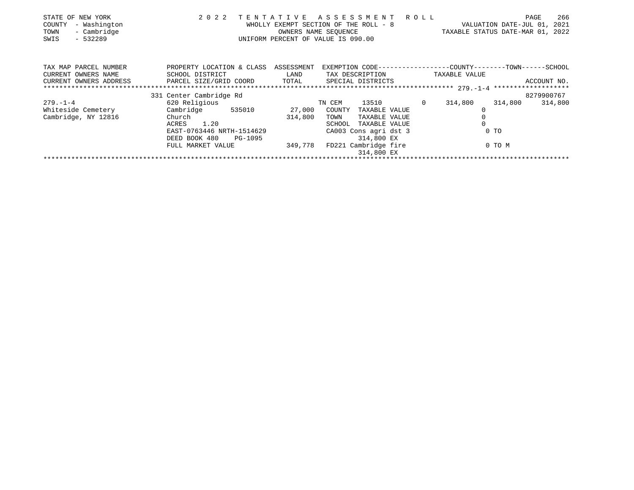| STATE OF NEW YORK<br>- Washington<br>COUNTY<br>- Cambridge<br>TOWN<br>SWIS<br>- 532289 | 2 0 2 2                              | TENTATIVE                                             | ASSESSMENT ROLL<br>WHOLLY EXEMPT SECTION OF THE ROLL - 8<br>OWNERS NAME SEQUENCE<br>UNIFORM PERCENT OF VALUE IS 090.00 |                | VALUATION DATE-JUL 01,<br>TAXABLE STATUS DATE-MAR 01, 2022 | 266<br>PAGE<br>2021 |
|----------------------------------------------------------------------------------------|--------------------------------------|-------------------------------------------------------|------------------------------------------------------------------------------------------------------------------------|----------------|------------------------------------------------------------|---------------------|
| TAX MAP PARCEL NUMBER                                                                  | PROPERTY LOCATION & CLASS ASSESSMENT |                                                       | EXEMPTION CODE-----------------COUNTY-------TOWN------SCHOOL                                                           |                |                                                            |                     |
| CURRENT OWNERS NAME                                                                    | SCHOOL DISTRICT                      | <b>EXAMPLE TO A LAND THE EXAMPLE THE SET OF STATE</b> | TAX DESCRIPTION                                                                                                        |                | TAXABLE VALUE                                              |                     |
| CURRENT OWNERS ADDRESS                                                                 | PARCEL SIZE/GRID COORD               |                                                       | TOTAL SPECIAL DISTRICTS                                                                                                |                |                                                            | ACCOUNT NO.         |
|                                                                                        |                                      |                                                       |                                                                                                                        |                |                                                            |                     |
|                                                                                        | 331 Center Cambridge Rd              |                                                       |                                                                                                                        |                |                                                            | 8279900767          |
| $279 - 1 - 4$                                                                          | 620 Religious                        |                                                       | 13510<br>TN CEM                                                                                                        | $\overline{0}$ | 314,800<br>314,800                                         | 314,800             |
|                                                                                        | Whiteside Cemetery Cambridge 535010  | 27,000                                                | COUNTY<br>TAXABLE VALUE                                                                                                |                |                                                            |                     |
| Cambridge, NY 12816                                                                    | Church                               | 314,800                                               | TAXABLE VALUE<br>TOWN                                                                                                  |                |                                                            |                     |
|                                                                                        | ACRES 1.20                           |                                                       | SCHOOL<br>TAXABLE VALUE                                                                                                |                |                                                            |                     |
|                                                                                        | EAST-0763446 NRTH-1514629            |                                                       | CA003 Cons agri dst 3                                                                                                  |                | $0$ TO                                                     |                     |
|                                                                                        | DEED BOOK 480<br>PG-1095             |                                                       | 314,800 EX                                                                                                             |                |                                                            |                     |
|                                                                                        | FULL MARKET VALUE                    | 349,778                                               | FD221 Cambridge fire                                                                                                   |                | 0 TO M                                                     |                     |
|                                                                                        |                                      |                                                       | 314,800 EX                                                                                                             |                |                                                            |                     |
|                                                                                        |                                      |                                                       |                                                                                                                        |                |                                                            |                     |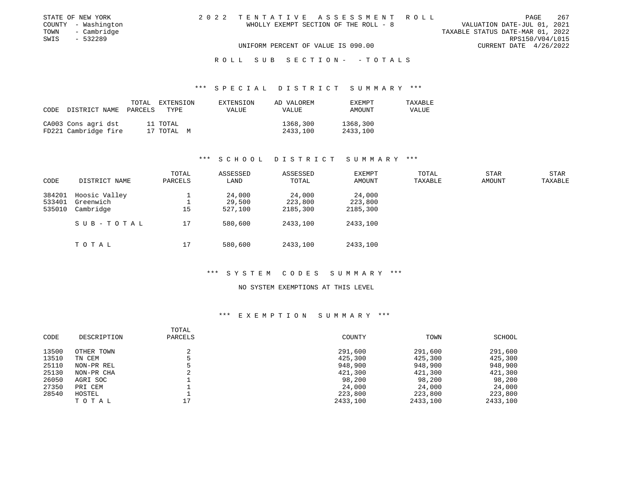| STATE OF NEW YORK   | 2022 TENTATIVE ASSESSMENT ROLL        | 267<br>PAGE                      |
|---------------------|---------------------------------------|----------------------------------|
| COUNTY - Washington | WHOLLY EXEMPT SECTION OF THE ROLL - 8 | VALUATION DATE-JUL 01, 2021      |
| TOWN - Cambridge    |                                       | TAXABLE STATUS DATE-MAR 01, 2022 |
| SWIS<br>- 532289    |                                       | RPS150/V04/L015                  |
|                     | UNIFORM PERCENT OF VALUE IS 090.00    | CURRENT DATE 4/26/2022           |
|                     |                                       |                                  |

#### R O L L S U B S E C T I O N - - T O T A L S

### \*\*\* S P E C I A L D I S T R I C T S U M M A R Y \*\*\*

| CODE | DISTRICT NAME                               | TOTAL<br>PARCELS | EXTENSION<br>TYPE      | EXTENSION<br><b>VALUE</b> | AD VALOREM<br><b>VALUE</b> | EXEMPT<br>AMOUNT     | TAXABLE<br>VALUE |
|------|---------------------------------------------|------------------|------------------------|---------------------------|----------------------------|----------------------|------------------|
|      | CA003 Cons agri dst<br>FD221 Cambridge fire |                  | 11 TOTAL<br>17 TOTAL M |                           | 1368,300<br>2433,100       | 1368,300<br>2433,100 |                  |

### \*\*\* S C H O O L D I S T R I C T S U M M A R Y \*\*\*

| CODE   | DISTRICT NAME | TOTAL<br>PARCELS | ASSESSED<br>LAND | ASSESSED<br>TOTAL | <b>EXEMPT</b><br>AMOUNT | TOTAL<br>TAXABLE | <b>STAR</b><br><b>AMOUNT</b> | STAR<br>TAXABLE |
|--------|---------------|------------------|------------------|-------------------|-------------------------|------------------|------------------------------|-----------------|
| 384201 | Hoosic Valley |                  | 24,000           | 24,000            | 24,000                  |                  |                              |                 |
| 533401 | Greenwich     |                  | 29,500           | 223,800           | 223,800                 |                  |                              |                 |
| 535010 | Cambridge     | 15               | 527,100          | 2185,300          | 2185,300                |                  |                              |                 |
|        | SUB-TOTAL     | 17               | 580,600          | 2433,100          | 2433,100                |                  |                              |                 |
|        | TOTAL         | 17               | 580,600          | 2433,100          | 2433,100                |                  |                              |                 |

### \*\*\* S Y S T E M C O D E S S U M M A R Y \*\*\*

#### NO SYSTEM EXEMPTIONS AT THIS LEVEL

|       |             | TOTAL   |          |          |          |
|-------|-------------|---------|----------|----------|----------|
| CODE  | DESCRIPTION | PARCELS | COUNTY   | TOWN     | SCHOOL   |
|       |             |         |          |          |          |
| 13500 | OTHER TOWN  |         | 291,600  | 291,600  | 291,600  |
| 13510 | TN CEM      |         | 425,300  | 425,300  | 425,300  |
| 25110 | NON-PR REL  |         | 948,900  | 948,900  | 948,900  |
| 25130 | NON-PR CHA  |         | 421,300  | 421,300  | 421,300  |
| 26050 | AGRI SOC    |         | 98,200   | 98,200   | 98,200   |
| 27350 | PRI CEM     |         | 24,000   | 24,000   | 24,000   |
| 28540 | HOSTEL      |         | 223,800  | 223,800  | 223,800  |
|       | TOTAL       | 17      | 2433,100 | 2433,100 | 2433,100 |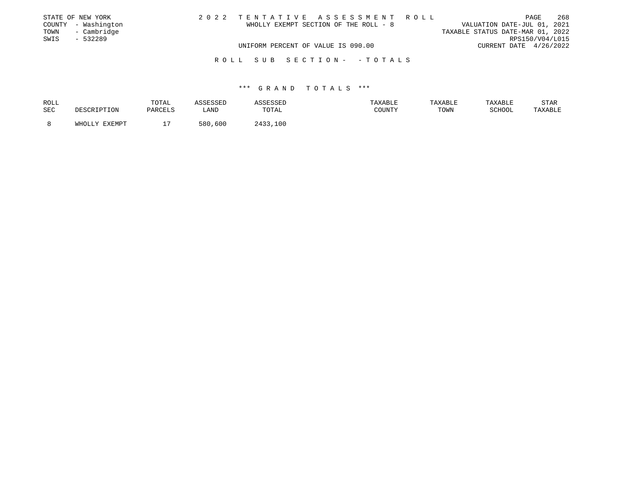|      | STATE OF NEW YORK   | 2022 TENTATIVE ASSESSMENT ROLL        | 268<br>PAGE                      |
|------|---------------------|---------------------------------------|----------------------------------|
|      | COUNTY - Washington | WHOLLY EXEMPT SECTION OF THE ROLL - 8 | VALUATION DATE-JUL 01, 2021      |
| TOWN | - Cambridge         |                                       | TAXABLE STATUS DATE-MAR 01, 2022 |
| SWIS | $-532289$           |                                       | RPS150/V04/L015                  |
|      |                     | UNIFORM PERCENT OF VALUE IS 090.00    | CURRENT DATE 4/26/2022           |
|      |                     | ROLL SUB SECTION- -TOTALS             |                                  |

| ROLL |               | TOTAL   | <i><b>SSESSED</b></i> | דתפסי       | TAXABLE | TAXABLE | TAXABLE       | STAR    |
|------|---------------|---------|-----------------------|-------------|---------|---------|---------------|---------|
| SEC  | DESCRIPTION   | PARCELS | LAND                  | TOTAL       | COUNTY  | TOWN    | <b>SCHOOL</b> | TAXABLE |
|      |               |         |                       |             |         |         |               |         |
|      | WHOLLY EXEMPT |         | 580,600               | つ433<br>100 |         |         |               |         |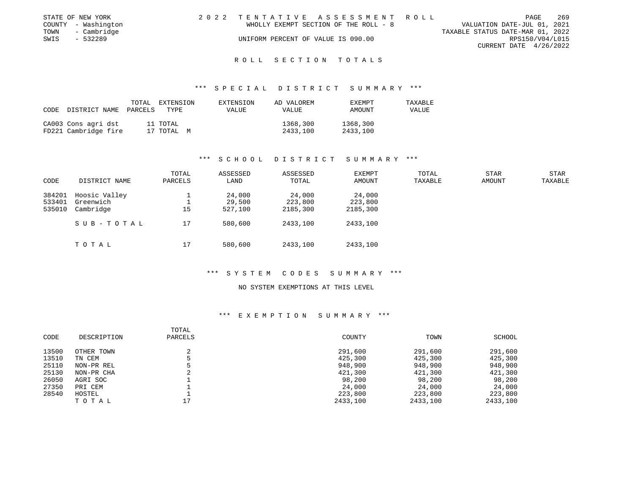|      | STATE OF NEW YORK   | 2022 TENTATIVE ASSESSMENT ROLL        |  |                                  |                        | PAGE | 269 |
|------|---------------------|---------------------------------------|--|----------------------------------|------------------------|------|-----|
|      | COUNTY - Washington | WHOLLY EXEMPT SECTION OF THE ROLL - 8 |  | VALUATION DATE-JUL 01, 2021      |                        |      |     |
| TOWN | - Cambridge         |                                       |  | TAXABLE STATUS DATE-MAR 01, 2022 |                        |      |     |
| SWIS | $-532289$           | UNIFORM PERCENT OF VALUE IS 090.00    |  |                                  | RPS150/V04/L015        |      |     |
|      |                     |                                       |  |                                  | CURRENT DATE 4/26/2022 |      |     |
|      |                     |                                       |  |                                  |                        |      |     |

### R O L L S E C T I O N T O T A L S

### \*\*\* S P E C I A L D I S T R I C T S U M M A R Y \*\*\*

| CODE | DISTRICT NAME                               | TOTAL<br>PARCELS | EXTENSION<br>TYPE      | EXTENSION<br><b>VALUE</b> | AD VALOREM<br>VALUE  | <b>EXEMPT</b><br>AMOUNT | TAXABLE<br>VALUE |
|------|---------------------------------------------|------------------|------------------------|---------------------------|----------------------|-------------------------|------------------|
|      | CA003 Cons agri dst<br>FD221 Cambridge fire |                  | 11 TOTAL<br>17 TOTAL M |                           | 1368,300<br>2433,100 | 1368,300<br>2433,100    |                  |

### \*\*\* S C H O O L D I S T R I C T S U M M A R Y \*\*\*

| CODE                       | DISTRICT NAME                           | TOTAL<br>PARCELS | ASSESSED<br>LAND            | ASSESSED<br>TOTAL             | <b>EXEMPT</b><br>AMOUNT       | TOTAL<br>TAXABLE | STAR<br><b>AMOUNT</b> | STAR<br>TAXABLE |
|----------------------------|-----------------------------------------|------------------|-----------------------------|-------------------------------|-------------------------------|------------------|-----------------------|-----------------|
| 384201<br>533401<br>535010 | Hoosic Valley<br>Greenwich<br>Cambridge | 15               | 24,000<br>29,500<br>527,100 | 24,000<br>223,800<br>2185,300 | 24,000<br>223,800<br>2185,300 |                  |                       |                 |
|                            | SUB-TOTAL                               | 17               | 580,600                     | 2433,100                      | 2433,100                      |                  |                       |                 |
|                            | TOTAL                                   | 17               | 580,600                     | 2433,100                      | 2433,100                      |                  |                       |                 |

### \*\*\* S Y S T E M C O D E S S U M M A R Y \*\*\*

#### NO SYSTEM EXEMPTIONS AT THIS LEVEL

|       |             | TOTAL   |          |          |          |
|-------|-------------|---------|----------|----------|----------|
| CODE  | DESCRIPTION | PARCELS | COUNTY   | TOWN     | SCHOOL   |
| 13500 | OTHER TOWN  |         | 291,600  | 291,600  | 291,600  |
| 13510 | TN CEM      |         | 425,300  | 425,300  | 425,300  |
| 25110 | NON-PR REL  |         | 948,900  | 948,900  | 948,900  |
| 25130 | NON-PR CHA  |         | 421,300  | 421,300  | 421,300  |
| 26050 | AGRI SOC    |         | 98,200   | 98,200   | 98,200   |
| 27350 | PRI CEM     |         | 24,000   | 24,000   | 24,000   |
| 28540 | HOSTEL      |         | 223,800  | 223,800  | 223,800  |
|       | TOTAL       |         | 2433,100 | 2433,100 | 2433,100 |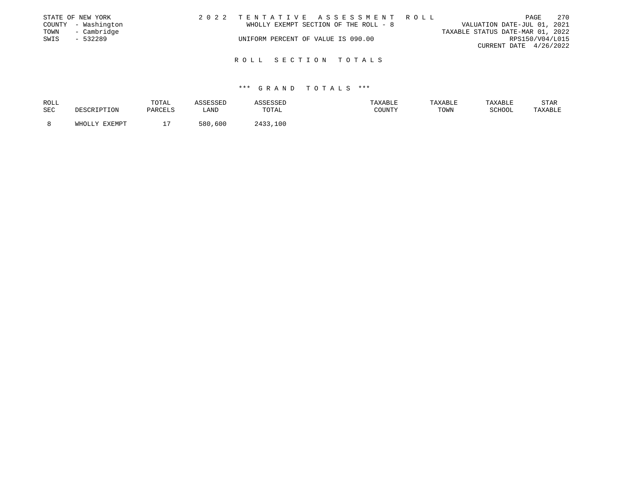|      | STATE OF NEW YORK   |  |                                    | 2022 TENTATIVE ASSESSMENT ROLL        |                                  |                        | PAGE | 270 |
|------|---------------------|--|------------------------------------|---------------------------------------|----------------------------------|------------------------|------|-----|
|      | COUNTY - Washington |  |                                    | WHOLLY EXEMPT SECTION OF THE ROLL - 8 | VALUATION DATE-JUL 01, 2021      |                        |      |     |
| TOWN | - Cambridge         |  |                                    |                                       | TAXABLE STATUS DATE-MAR 01, 2022 |                        |      |     |
| SWIS | $-532289$           |  | UNIFORM PERCENT OF VALUE IS 090.00 |                                       |                                  | RPS150/V04/L015        |      |     |
|      |                     |  |                                    |                                       |                                  | CURRENT DATE 4/26/2022 |      |     |
|      |                     |  |                                    |                                       |                                  |                        |      |     |
|      |                     |  |                                    | ROLL SECTION TOTALS                   |                                  |                        |      |     |

| ROLL |               | TOTAL   | ASSESSED | ASSESSED | TAXABLE | <b>TAXABLE</b> | TAXABLE | <b>STAR</b> |
|------|---------------|---------|----------|----------|---------|----------------|---------|-------------|
| SEC  | DESCRIPTION   | PARCELS | LAND     | TOTAL    | COUNTY  | TOWN           | SCHOOL  | TAXABLE     |
|      |               |         |          |          |         |                |         |             |
|      | WHOLLY EXEMPT |         | 580,600  | 2433,100 |         |                |         |             |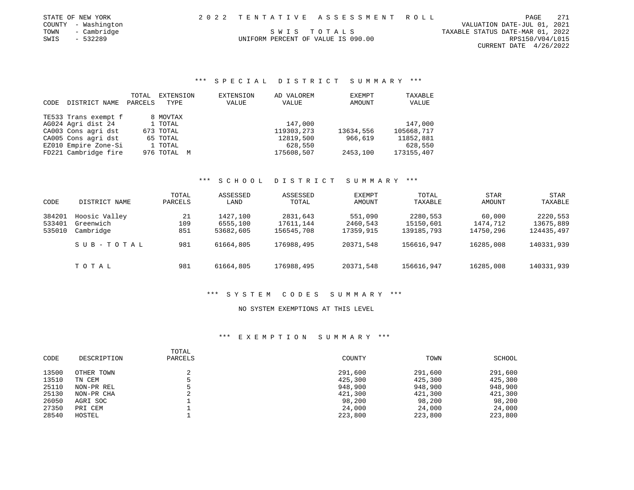| STATE OF NEW YORK   |                                    | 2022 TENTATIVE ASSESSMENT ROLL | 271<br>PAGE                      |  |
|---------------------|------------------------------------|--------------------------------|----------------------------------|--|
| COUNTY - Washington |                                    |                                | VALUATION DATE-JUL 01, 2021      |  |
| - Cambridge<br>TOWN |                                    | SWIS TOTALS                    | TAXABLE STATUS DATE-MAR 01, 2022 |  |
| SWIS<br>- 532289    | UNIFORM PERCENT OF VALUE IS 090.00 |                                | RPS150/V04/L015                  |  |

CURRENT DATE 4/26/2022

### \*\*\* S P E C I A L D I S T R I C T S U M M A R Y \*\*\*

| CODE | DISTRICT NAME        | TOTAL<br>PARCELS | EXTENSION<br>TYPE | EXTENSION<br>VALUE | AD VALOREM<br>VALUE | EXEMPT<br>AMOUNT | TAXABLE<br>VALUE |
|------|----------------------|------------------|-------------------|--------------------|---------------------|------------------|------------------|
|      | TE533 Trans exempt f |                  | 8 MOVTAX          |                    |                     |                  |                  |
|      | AG024 Agri dist 24   |                  | 1 TOTAL           |                    | 147,000             |                  | 147,000          |
|      | CA003 Cons agri dst  |                  | 673 TOTAL         |                    | 119303, 273         | 13634,556        | 105668,717       |
|      | CA005 Cons agri dst  |                  | 65 TOTAL          |                    | 12819,500           | 966,619          | 11852,881        |
|      | EZ010 Empire Zone-Si |                  | 1 TOTAL           |                    | 628,550             |                  | 628,550          |
|      | FD221 Cambridge fire |                  | 976 TOTAL M       |                    | 175608,507          | 2453,100         | 173155,407       |

### \*\*\* S C H O O L D I S T R I C T S U M M A R Y \*\*\*

| CODE             | DISTRICT NAME              | TOTAL<br>PARCELS | ASSESSED<br>LAND     | ASSESSED<br>TOTAL     | EXEMPT<br>AMOUNT    | TOTAL<br>TAXABLE      | <b>STAR</b><br>AMOUNT | STAR<br>TAXABLE       |
|------------------|----------------------------|------------------|----------------------|-----------------------|---------------------|-----------------------|-----------------------|-----------------------|
| 384201<br>533401 | Hoosic Valley<br>Greenwich | 21<br>109        | 1427,100<br>6555,100 | 2831,643<br>17611,144 | 551,090<br>2460,543 | 2280,553<br>15150,601 | 60,000<br>1474,712    | 2220,553<br>13675,889 |
| 535010           | Cambridge                  | 851              | 53682,605            | 156545,708            | 17359,915           | 139185,793            | 14750,296             | 124435,497            |
|                  | SUB-TOTAL                  | 981              | 61664,805            | 176988,495            | 20371,548           | 156616,947            | 16285,008             | 140331,939            |
|                  | тотаь                      | 981              | 61664,805            | 176988,495            | 20371,548           | 156616,947            | 16285,008             | 140331,939            |

### \*\*\* S Y S T E M C O D E S S U M M A R Y \*\*\*

### NO SYSTEM EXEMPTIONS AT THIS LEVEL

| CODE  | DESCRIPTION | TOTAL<br>PARCELS | COUNTY  | TOWN    | SCHOOL  |
|-------|-------------|------------------|---------|---------|---------|
| 13500 | OTHER TOWN  |                  | 291,600 | 291,600 | 291,600 |
| 13510 | TN CEM      |                  | 425,300 | 425,300 | 425,300 |
| 25110 | NON-PR REL  |                  | 948,900 | 948,900 | 948,900 |
| 25130 | NON-PR CHA  | $\sim$           | 421,300 | 421,300 | 421,300 |
| 26050 | AGRI SOC    |                  | 98,200  | 98,200  | 98,200  |
| 27350 | PRI CEM     |                  | 24,000  | 24,000  | 24,000  |
| 28540 | HOSTEL      |                  | 223,800 | 223,800 | 223,800 |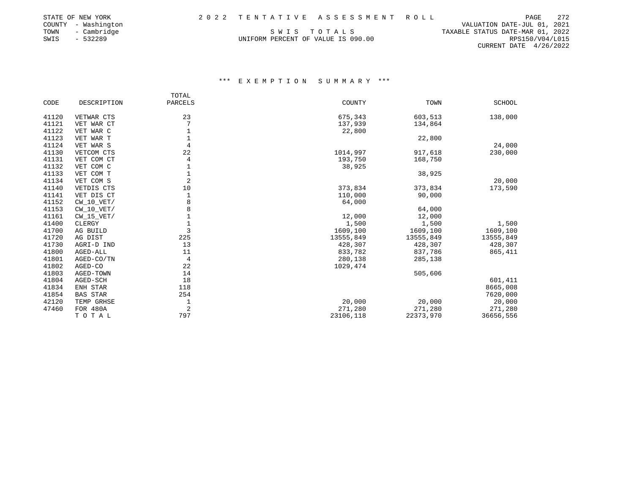|      | STATE OF NEW YORK   |                                    | 2022 TENTATIVE ASSESSMENT ROLL | PAGE                             | 272 |
|------|---------------------|------------------------------------|--------------------------------|----------------------------------|-----|
|      | COUNTY - Washington |                                    |                                | VALUATION DATE-JUL 01, 2021      |     |
| TOWN | - Cambridge         | SWIS TOTALS                        |                                | TAXABLE STATUS DATE-MAR 01, 2022 |     |
| SWIS | - 532289            | UNIFORM PERCENT OF VALUE IS 090.00 |                                | RPS150/V04/L015                  |     |

CURRENT DATE 4/26/2022

|       |                 | TOTAL          |           |           |               |
|-------|-----------------|----------------|-----------|-----------|---------------|
| CODE  | DESCRIPTION     | PARCELS        | COUNTY    | TOWN      | <b>SCHOOL</b> |
| 41120 | VETWAR CTS      | 23             | 675,343   | 603,513   | 138,000       |
| 41121 | VET WAR CT      |                | 137,939   | 134,864   |               |
| 41122 | VET WAR C       | 1              | 22,800    |           |               |
| 41123 | VET WAR T       |                |           | 22,800    |               |
| 41124 | VET WAR S       | 4              |           |           | 24,000        |
| 41130 | VETCOM CTS      | 22             | 1014,997  | 917,618   | 230,000       |
| 41131 | VET COM CT      | 4              | 193,750   | 168,750   |               |
| 41132 | VET COM C       | 1              | 38,925    |           |               |
| 41133 | VET COM T       | $\mathbf 1$    |           | 38,925    |               |
| 41134 | VET COM S       | 2              |           |           | 20,000        |
| 41140 | VETDIS CTS      | 10             | 373,834   | 373,834   | 173,590       |
| 41141 | VET DIS CT      | 1              | 110,000   | 90,000    |               |
| 41152 | $CW_10_VET/$    | 8              | 64,000    |           |               |
| 41153 | $CW_10_VET/$    | 8              |           | 64,000    |               |
| 41161 | $CW_15_VET/$    |                | 12,000    | 12,000    |               |
| 41400 | CLERGY          | $\mathbf 1$    | 1,500     | 1,500     | 1,500         |
| 41700 | AG BUILD        | 3              | 1609,100  | 1609,100  | 1609,100      |
| 41720 | AG DIST         | 225            | 13555,849 | 13555,849 | 13555,849     |
| 41730 | AGRI-D IND      | 13             | 428,307   | 428,307   | 428,307       |
| 41800 | AGED-ALL        | 11             | 833,782   | 837,786   | 865,411       |
| 41801 | AGED-CO/TN      | 4              | 280,138   | 285,138   |               |
| 41802 | AGED-CO         | 22             | 1029,474  |           |               |
| 41803 | AGED-TOWN       | 14             |           | 505,606   |               |
| 41804 | AGED-SCH        | 18             |           |           | 601,411       |
| 41834 | ENH STAR        | 118            |           |           | 8665,008      |
| 41854 | <b>BAS STAR</b> | 254            |           |           | 7620,000      |
| 42120 | TEMP GRHSE      | 1              | 20,000    | 20,000    | 20,000        |
| 47460 | FOR 480A        | $\overline{2}$ | 271,280   | 271,280   | 271,280       |
|       | TOTAL           | 797            | 23106,118 | 22373,970 | 36656,556     |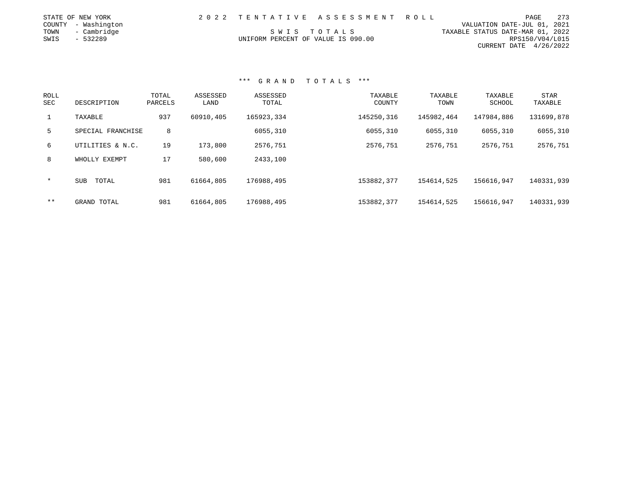| STATE OF NEW YORK   |  | 2022 TENTATIVE ASSESSMENT ROLL     |                                  | PAGE                        | 273 |
|---------------------|--|------------------------------------|----------------------------------|-----------------------------|-----|
| COUNTY - Washington |  |                                    |                                  | VALUATION DATE-JUL 01, 2021 |     |
| - Cambridge<br>TOWN |  | SWIS TOTALS                        | TAXABLE STATUS DATE-MAR 01, 2022 |                             |     |
| SWIS<br>- 532289    |  | UNIFORM PERCENT OF VALUE IS 090.00 |                                  | RPS150/V04/L015             |     |
|                     |  |                                    |                                  | CURRENT DATE $4/26/2022$    |     |

| <b>ROLL</b><br>SEC | DESCRIPTION         | TOTAL<br>PARCELS | ASSESSED<br>LAND | ASSESSED<br>TOTAL | TAXABLE<br>COUNTY | TAXABLE<br>TOWN | TAXABLE<br>SCHOOL | STAR<br>TAXABLE |
|--------------------|---------------------|------------------|------------------|-------------------|-------------------|-----------------|-------------------|-----------------|
| $\mathbf{1}$       | TAXABLE             | 937              | 60910,405        | 165923,334        | 145250,316        | 145982,464      | 147984,886        | 131699,878      |
| 5                  | SPECIAL FRANCHISE   | 8                |                  | 6055,310          | 6055,310          | 6055,310        | 6055,310          | 6055,310        |
| 6                  | UTILITIES & N.C.    | 19               | 173,800          | 2576,751          | 2576,751          | 2576,751        | 2576,751          | 2576,751        |
| 8                  | WHOLLY EXEMPT       | 17               | 580,600          | 2433,100          |                   |                 |                   |                 |
| $\star$            | TOTAL<br><b>SUB</b> | 981              | 61664,805        | 176988,495        | 153882,377        | 154614,525      | 156616,947        | 140331,939      |
| $* *$              | GRAND TOTAL         | 981              | 61664,805        | 176988,495        | 153882,377        | 154614,525      | 156616,947        | 140331,939      |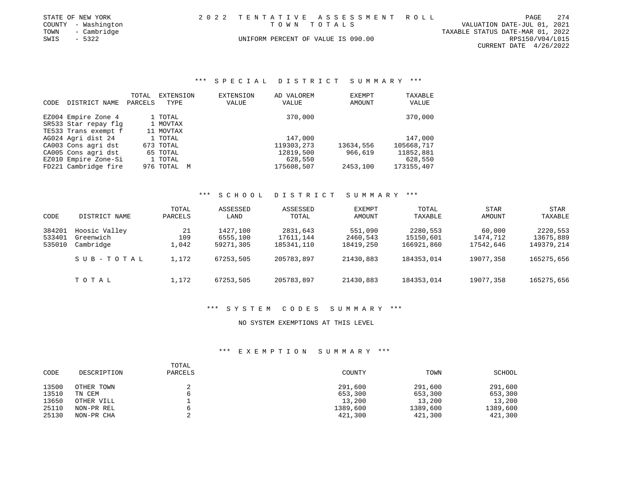| STATE OF NEW YORK   | 2022 TENTATIVE ASSESSMENT ROLL     |  |                                  | PAGE                     | 274 |
|---------------------|------------------------------------|--|----------------------------------|--------------------------|-----|
| COUNTY - Washington | TOWN TOTALS                        |  | VALUATION DATE-JUL 01, 2021      |                          |     |
| TOWN<br>- Cambridge |                                    |  | TAXABLE STATUS DATE-MAR 01, 2022 |                          |     |
| SWIS<br>$-5322$     | UNIFORM PERCENT OF VALUE IS 090.00 |  |                                  | RPS150/V04/L015          |     |
|                     |                                    |  |                                  | CURRENT DATE $4/26/2022$ |     |

# \*\*\* S P E C I A L D I S T R I C T S U M M A R Y \*\*\*

|      |                      | TOTAL   | EXTENSION   | EXTENSION | AD VALOREM | EXEMPT    | TAXABLE    |
|------|----------------------|---------|-------------|-----------|------------|-----------|------------|
| CODE | DISTRICT NAME        | PARCELS | TYPE        | VALUE     | VALUE      | AMOUNT    | VALUE      |
|      |                      |         |             |           |            |           |            |
|      | EZ004 Empire Zone 4  |         | 1 TOTAL     |           | 370,000    |           | 370,000    |
|      | SR533 Star repay flg |         | 1 MOVTAX    |           |            |           |            |
|      | TE533 Trans exempt f |         | 11 MOVTAX   |           |            |           |            |
|      | AG024 Agri dist 24   |         | 1 TOTAL     |           | 147,000    |           | 147,000    |
|      | CA003 Cons agri dst  |         | 673 TOTAL   |           | 119303,273 | 13634,556 | 105668,717 |
|      | CA005 Cons agri dst  |         | 65 TOTAL    |           | 12819,500  | 966,619   | 11852,881  |
|      | EZ010 Empire Zone-Si |         | 1 TOTAL     |           | 628,550    |           | 628,550    |
|      | FD221 Cambridge fire |         | 976 TOTAL M |           | 175608,507 | 2453,100  | 173155,407 |

#### \*\*\* S C H O O L D I S T R I C T S U M M A R Y \*\*\*

| CODE   | DISTRICT NAME | TOTAL<br>PARCELS | ASSESSED<br>LAND | ASSESSED<br>TOTAL | <b>EXEMPT</b><br>AMOUNT | TOTAL<br>TAXABLE | <b>STAR</b><br>AMOUNT | <b>STAR</b><br>TAXABLE |
|--------|---------------|------------------|------------------|-------------------|-------------------------|------------------|-----------------------|------------------------|
| 384201 | Hoosic Valley | 21               | 1427,100         | 2831,643          | 551,090                 | 2280,553         | 60,000                | 2220,553               |
| 533401 | Greenwich     | 109              | 6555,100         | 17611,144         | 2460,543                | 15150,601        | 1474,712              | 13675,889              |
| 535010 | Cambridge     | ,042             | 59271,305        | 185341,110        | 18419,250               | 166921,860       | 17542,646             | 149379,214             |
|        | SUB-TOTAL     | 1,172            | 67253,505        | 205783,897        | 21430,883               | 184353,014       | 19077,358             | 165275,656             |
|        | TOTAL         | 1,172            | 67253,505        | 205783,897        | 21430,883               | 184353,014       | 19077,358             | 165275,656             |

## \*\*\* S Y S T E M C O D E S S U M M A R Y \*\*\*

### NO SYSTEM EXEMPTIONS AT THIS LEVEL

| CODE  | DESCRIPTION | TOTAL<br>PARCELS | COUNTY   | TOWN     | SCHOOL   |
|-------|-------------|------------------|----------|----------|----------|
| 13500 | OTHER TOWN  |                  | 291,600  | 291,600  | 291,600  |
| 13510 | TN CEM      |                  | 653,300  | 653,300  | 653,300  |
| 13650 | OTHER VILL  |                  | 13,200   | 13,200   | 13,200   |
| 25110 | NON-PR REL  |                  | 1389,600 | 1389,600 | 1389,600 |
| 25130 | NON-PR CHA  |                  | 421,300  | 421,300  | 421,300  |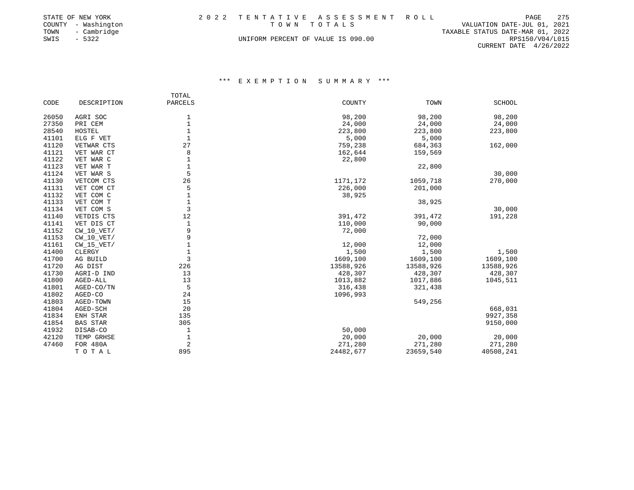|      | STATE OF NEW YORK   |                                    | 2022 TENTATIVE ASSESSMENT ROLL |                                  |                 | PAGE | 275 |
|------|---------------------|------------------------------------|--------------------------------|----------------------------------|-----------------|------|-----|
|      | COUNTY - Washington | TOWN TOTALS                        |                                | VALUATION DATE-JUL 01, 2021      |                 |      |     |
| TOWN | - Cambridge         |                                    |                                | TAXABLE STATUS DATE-MAR 01, 2022 |                 |      |     |
| SWIS | $-5322$             | UNIFORM PERCENT OF VALUE IS 090.00 |                                |                                  | RPS150/V04/L015 |      |     |
|      |                     |                                    |                                |                                  |                 |      |     |

CURRENT DATE 4/26/2022

|       |                         | TOTAL            |                   |           |                   |
|-------|-------------------------|------------------|-------------------|-----------|-------------------|
| CODE  | DESCRIPTION             | PARCELS          | COUNTY            | TOWN      | <b>SCHOOL</b>     |
| 26050 | AGRI SOC                |                  | 98,200            | 98,200    | 98,200            |
| 27350 | PRI CEM                 | 1                |                   | 24,000    |                   |
| 28540 | HOSTEL                  | 1<br>$\mathbf 1$ | 24,000<br>223,800 | 223,800   | 24,000<br>223,800 |
| 41101 |                         | $\mathbf{1}$     | 5,000             |           |                   |
| 41120 | ELG F VET<br>VETWAR CTS | 27               | 759,238           | 5,000     |                   |
|       |                         |                  |                   | 684,363   | 162,000           |
| 41121 | VET WAR CT              | 8                | 162,644           | 159,569   |                   |
| 41122 | VET WAR C               | 1                | 22,800            |           |                   |
| 41123 | VET WAR T               | 1                |                   | 22,800    |                   |
| 41124 | VET WAR S               | 5                |                   |           | 30,000            |
| 41130 | VETCOM CTS              | 26               | 1171,172          | 1059,718  | 270,000           |
| 41131 | VET COM CT              | 5                | 226,000           | 201,000   |                   |
| 41132 | VET COM C               | $\mathbf 1$      | 38,925            |           |                   |
| 41133 | VET COM T               | 1                |                   | 38,925    |                   |
| 41134 | VET COM S               | 3                |                   |           | 30,000            |
| 41140 | VETDIS CTS              | 12               | 391,472           | 391,472   | 191,228           |
| 41141 | VET DIS CT              | 1                | 110,000           | 90,000    |                   |
| 41152 | $CW_10_VET/$            | 9                | 72,000            |           |                   |
| 41153 | $CW_10_VET/$            | 9                |                   | 72,000    |                   |
| 41161 | $CW_15_VET/$            |                  | 12,000            | 12,000    |                   |
| 41400 | CLERGY                  |                  | 1,500             | 1,500     | 1,500             |
| 41700 | AG BUILD                | 3                | 1609,100          | 1609,100  | 1609,100          |
| 41720 | AG DIST                 | 226              | 13588,926         | 13588,926 | 13588,926         |
| 41730 | AGRI-D IND              | 13               | 428,307           | 428,307   | 428,307           |
| 41800 | AGED-ALL                | 13               | 1013,882          | 1017,886  | 1045,511          |
| 41801 | AGED-CO/TN              | 5                | 316,438           | 321,438   |                   |
| 41802 | AGED-CO                 | 24               | 1096,993          |           |                   |
| 41803 | AGED-TOWN               | 15               |                   | 549,256   |                   |
| 41804 | AGED-SCH                | 20               |                   |           | 668,031           |
| 41834 | ENH STAR                | 135              |                   |           | 9927,358          |
| 41854 | <b>BAS STAR</b>         | 305              |                   |           | 9150,000          |
| 41932 | DISAB-CO                | 1                | 50,000            |           |                   |
| 42120 | TEMP GRHSE              | 1                | 20,000            | 20,000    | 20,000            |
| 47460 | <b>FOR 480A</b>         | 2                | 271,280           | 271,280   | 271,280           |
|       | TOTAL                   | 895              | 24482,677         | 23659,540 | 40508,241         |